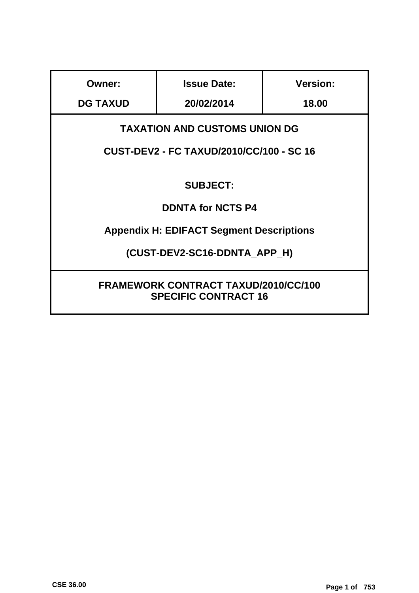| <b>Owner:</b>                                                              | <b>Issue Date:</b>                              | <b>Version:</b> |  |  |
|----------------------------------------------------------------------------|-------------------------------------------------|-----------------|--|--|
| <b>DG TAXUD</b>                                                            | 20/02/2014                                      | 18.00           |  |  |
| <b>TAXATION AND CUSTOMS UNION DG</b>                                       |                                                 |                 |  |  |
|                                                                            | <b>CUST-DEV2 - FC TAXUD/2010/CC/100 - SC 16</b> |                 |  |  |
| <b>SUBJECT:</b>                                                            |                                                 |                 |  |  |
| <b>DDNTA for NCTS P4</b>                                                   |                                                 |                 |  |  |
| <b>Appendix H: EDIFACT Segment Descriptions</b>                            |                                                 |                 |  |  |
| (CUST-DEV2-SC16-DDNTA APP_H)                                               |                                                 |                 |  |  |
| <b>FRAMEWORK CONTRACT TAXUD/2010/CC/100</b><br><b>SPECIFIC CONTRACT 16</b> |                                                 |                 |  |  |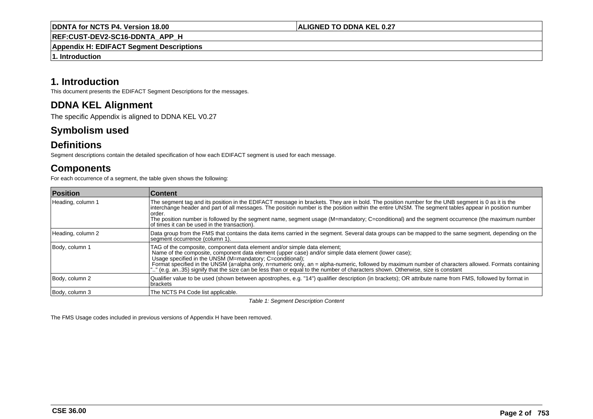**ALIGNED TO DDNA KEL 0.27**

**REF:CUST-DEV2-SC16-DDNTA\_APP\_H**

**Appendix H: EDIFACT Segment Descriptions**

**1. Introduction**

# **1. Introduction**

This document presents the EDIFACT Segment Descriptions for the messages.

# **DDNA KEL Alignment**

The specific Appendix is aligned to DDNA KEL V0.27

# **Symbolism used**

# **Definitions**

Segment descriptions contain the detailed specification of how each EDIFACT segment is used for each message.

# **Components**

For each occurrence of a segment, the table given shows the following:

| <b>Position</b>   | <b>∣Content</b>                                                                                                                                                                                                                                                                                                                                                                                                                                                                                                                         |
|-------------------|-----------------------------------------------------------------------------------------------------------------------------------------------------------------------------------------------------------------------------------------------------------------------------------------------------------------------------------------------------------------------------------------------------------------------------------------------------------------------------------------------------------------------------------------|
| Heading, column 1 | The segment tag and its position in the EDIFACT message in brackets. They are in bold. The position number for the UNB segment is 0 as it is the<br>interchange header and part of all messages. The position number is the position within the entire UNSM. The segment tables appear in position number<br>lorder.<br>The position number is followed by the segment name, segment usage (M=mandatory; C=conditional) and the segment occurrence (the maximum number<br>of times it can be used in the transaction).                  |
| Heading, column 2 | Data group from the FMS that contains the data items carried in the segment. Several data groups can be mapped to the same segment, depending on the<br>segment occurrence (column 1).                                                                                                                                                                                                                                                                                                                                                  |
| Body, column 1    | TAG of the composite, component data element and/or simple data element;<br>Name of the composite, component data element (upper case) and/or simple data element (lower case);<br>Usage specified in the UNSM (M=mandatory: C=conditional);<br>Format specified in the UNSM (a=alpha only, n=numeric only, an = alpha-numeric, followed by maximum number of characters allowed. Formats containing<br>"" (e.g. an. 35) signify that the size can be less than or equal to the number of characters shown. Otherwise, size is constant |
| Body, column 2    | Qualifier value to be used (shown between apostrophes, e.g. "14") qualifier description (in brackets); OR attribute name from FMS, followed by format in<br>brackets                                                                                                                                                                                                                                                                                                                                                                    |
| Body, column 3    | The NCTS P4 Code list applicable.                                                                                                                                                                                                                                                                                                                                                                                                                                                                                                       |

Table 1: Segment Description Content

The FMS Usage codes included in previous versions of Appendix H have been removed.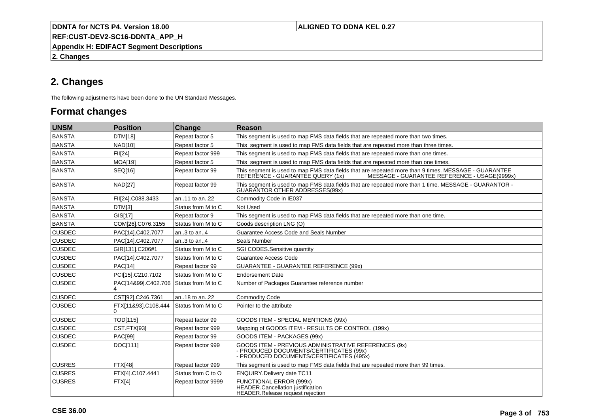# **ALIGNED TO DDNA KEL 0.27**

**REF:CUST-DEV2-SC16-DDNTA\_APP\_H**

**Appendix H: EDIFACT Segment Descriptions**

**2. Changes**

# **2. Changes**

The following adjustments have been done to the UN Standard Messages.

# **Format changes**

| <b>UNSM</b>   | <b>Position</b>          | Change             | Reason                                                                                                                                                                                   |
|---------------|--------------------------|--------------------|------------------------------------------------------------------------------------------------------------------------------------------------------------------------------------------|
| BANSTA        | DTM[18]                  | Repeat factor 5    | This segment is used to map FMS data fields that are repeated more than two times.                                                                                                       |
| <b>BANSTA</b> | <b>NAD[10]</b>           | Repeat factor 5    | This segment is used to map FMS data fields that are repeated more than three times.                                                                                                     |
| BANSTA        | FII[24]                  | Repeat factor 999  | This segment is used to map FMS data fields that are repeated more than one times.                                                                                                       |
| <b>BANSTA</b> | <b>MOA[19]</b>           | Repeat factor 5    | This segment is used to map FMS data fields that are repeated more than one times.                                                                                                       |
| <b>BANSTA</b> | SEQ[16]                  | Repeat factor 99   | This segment is used to map FMS data fields that are repeated more than 9 times. MESSAGE - GUARANTEE<br>REFERENCE - GUARANTEE QUERY (1x)<br>MESSAGE - GUARANTEE REFERENCE - USAGE(9999x) |
| BANSTA        | <b>NAD[27]</b>           | Repeat factor 99   | This segment is used to map FMS data fields that are repeated more than 1 time. MESSAGE - GUARANTOR -<br>GUARANTOR OTHER ADDRESSES(99x)                                                  |
| <b>BANSTA</b> | FII[24].C088.3433        | an11 to an22       | Commodity Code in IE037                                                                                                                                                                  |
| <b>BANSTA</b> | DTM[3]                   | Status from M to C | Not Used                                                                                                                                                                                 |
| <b>BANSTA</b> | GIS[17]                  | Repeat factor 9    | This segment is used to map FMS data fields that are repeated more than one time.                                                                                                        |
| BANSTA        | COM[26].C076.3155        | Status from M to C | Goods description LNG (O)                                                                                                                                                                |
| <b>CUSDEC</b> | PAC[14].C402.7077        | an3 to an4         | Guarantee Access Code and Seals Number                                                                                                                                                   |
| <b>CUSDEC</b> | PAC[14].C402.7077        | an3 to an4         | Seals Number                                                                                                                                                                             |
| <b>CUSDEC</b> | GIR[131].C206#1          | Status from M to C | SGI CODES.Sensitive quantity                                                                                                                                                             |
| <b>CUSDEC</b> | PAC[14].C402.7077        | Status from M to C | Guarantee Access Code                                                                                                                                                                    |
| <b>CUSDEC</b> | <b>PAC[14]</b>           | Repeat factor 99   | <b>GUARANTEE - GUARANTEE REFERENCE (99x)</b>                                                                                                                                             |
| <b>CUSDEC</b> | PCI[15].C210.7102        | Status from M to C | <b>Endorsement Date</b>                                                                                                                                                                  |
| <b>CUSDEC</b> | PAC[14&99].C402.706      | Status from M to C | Number of Packages Guarantee reference number                                                                                                                                            |
| <b>CUSDEC</b> | CST[92].C246.7361        | an18 to an22       | <b>Commodity Code</b>                                                                                                                                                                    |
| <b>CUSDEC</b> | FTX[11&93].C108.444<br>0 | Status from M to C | Pointer to the attribute                                                                                                                                                                 |
| <b>CUSDEC</b> | TOD[115]                 | Repeat factor 99   | GOODS ITEM - SPECIAL MENTIONS (99x)                                                                                                                                                      |
| <b>CUSDEC</b> | CST.FTX[93]              | Repeat factor 999  | Mapping of GOODS ITEM - RESULTS OF CONTROL (199x)                                                                                                                                        |
| <b>CUSDEC</b> | <b>PAC[99]</b>           | Repeat factor 99   | GOODS ITEM - PACKAGES (99x)                                                                                                                                                              |
| <b>CUSDEC</b> | DOC[111]                 | Repeat factor 999  | GOODS ITEM - PREVIOUS ADMINISTRATIVE REFERENCES (9x)<br>- PRODUCED DOCUMENTS/CERTIFICATES (99x)<br>PRODUCED DOCUMENTS/CERTIFICATES (495x)                                                |
| <b>CUSRES</b> | <b>FTX[48]</b>           | Repeat factor 999  | This segment is used to map FMS data fields that are repeated more than 99 times.                                                                                                        |
| <b>CUSRES</b> | FTX[4].C107.4441         | Status from C to O | ENQUIRY.Delivery date TC11                                                                                                                                                               |
| <b>CUSRES</b> | FTX[4]                   | Repeat factor 9999 | <b>FUNCTIONAL ERROR (999x)</b><br>HEADER.Cancellation justification<br>HEADER.Release request rejection                                                                                  |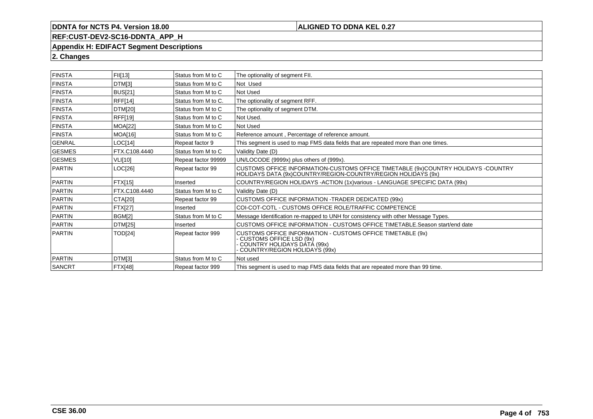# **ALIGNED TO DDNA KEL 0.27**

# **REF:CUST-DEV2-SC16-DDNTA\_APP\_H**

#### **Appendix H: EDIFACT Segment Descriptions**

**2. Changes**

| <b>FINSTA</b> | FII[13]        | Status from M to C  | The optionality of segment FII.                                                                                                                              |
|---------------|----------------|---------------------|--------------------------------------------------------------------------------------------------------------------------------------------------------------|
| <b>FINSTA</b> | DTM[3]         | Status from M to C  | Not Used                                                                                                                                                     |
| <b>FINSTA</b> | <b>BUS[21]</b> | Status from M to C  | Not Used                                                                                                                                                     |
| <b>FINSTA</b> | <b>RFF[14]</b> | Status from M to C. | The optionality of segment RFF.                                                                                                                              |
| <b>FINSTA</b> | <b>DTM[20]</b> | Status from M to C  | The optionality of segment DTM.                                                                                                                              |
| <b>FINSTA</b> | <b>RFF[19]</b> | Status from M to C  | Not Used.                                                                                                                                                    |
| <b>FINSTA</b> | <b>MOA[22]</b> | Status from M to C  | Not Used                                                                                                                                                     |
| <b>FINSTA</b> | MOA[16]        | Status from M to C  | Reference amount, Percentage of reference amount.                                                                                                            |
| <b>GENRAL</b> | LOC[14]        | Repeat factor 9     | This segment is used to map FMS data fields that are repeated more than one times.                                                                           |
| <b>GESMES</b> | FTX.C108.4440  | Status from M to C  | Validity Date (D)                                                                                                                                            |
| GESMES        | <b>VLI[10]</b> | Repeat factor 99999 | UN/LOCODE (9999x) plus others of (999x).                                                                                                                     |
| <b>PARTIN</b> | LOC[26]        | Repeat factor 99    | CUSTOMS OFFICE INFORMATION-CUSTOMS OFFICE TIMETABLE (9x)COUNTRY HOLIDAYS -COUNTRY<br>HOLIDAYS DATA (9x)COUNTRY/REGION-COUNTRY/REGION HOLIDAYS (9x)           |
| PARTIN        | FTX[15]        | Inserted            | COUNTRY/REGION HOLIDAYS - ACTION (1x) various - LANGUAGE SPECIFIC DATA (99x)                                                                                 |
| PARTIN        | FTX.C108.4440  | Status from M to C  | Validity Date (D)                                                                                                                                            |
| PARTIN        | CTA[20]        | Repeat factor 99    | <b>CUSTOMS OFFICE INFORMATION -TRADER DEDICATED (99x)</b>                                                                                                    |
| PARTIN        | FTX[27]        | Inserted            | COI-COT-COTL - CUSTOMS OFFICE ROLE/TRAFFIC COMPETENCE                                                                                                        |
| PARTIN        | <b>BGM[2]</b>  | Status from M to C  | Message Identification re-mapped to UNH for consistency with other Message Types.                                                                            |
| <b>PARTIN</b> | <b>DTM[25]</b> | Inserted            | CUSTOMS OFFICE INFORMATION - CUSTOMS OFFICE TIMETABLE.Season start/end date                                                                                  |
| <b>PARTIN</b> | TOD[24]        | Repeat factor 999   | CUSTOMS OFFICE INFORMATION - CUSTOMS OFFICE TIMETABLE (9x)<br><b>CUSTOMS OFFICE LSD (9x)</b><br>COUNTRY HOLIDAYS DATÁ (99x)<br>COUNTRY/REGION HOLIDAYS (99x) |
| <b>PARTIN</b> | DTM[3]         | Status from M to C  | Not used                                                                                                                                                     |
| SANCRT        | <b>FTX[48]</b> | Repeat factor 999   | This segment is used to map FMS data fields that are repeated more than 99 time.                                                                             |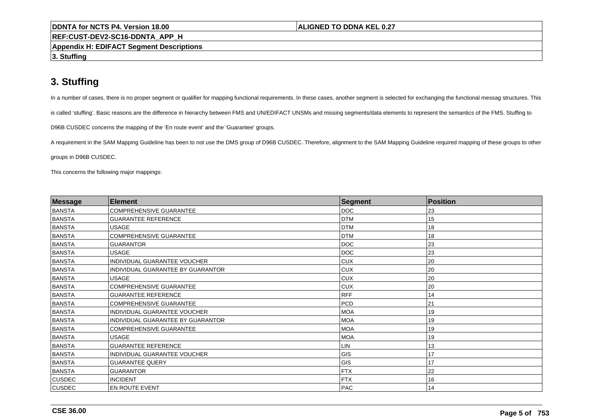### **ALIGNED TO DDNA KEL 0.27**

**REF:CUST-DEV2-SC16-DDNTA\_APP\_H**

**Appendix H: EDIFACT Segment Descriptions**

**3. Stuffing**

# **3. Stuffing**

In a number of cases, there is no proper segment or qualifier for mapping functional requirements. In these cases, another segment is selected for exchanging the functional messag structures. This

is called 'stuffing'. Basic reasons are the difference in hierarchy between FMS and UN/EDIFACT UNSMs and missing segments/data elements to represent the semantics of the FMS. Stuffing to

D96B CUSDEC concerns the mapping of the 'En route event' and the 'Guarantee' groups.

A requirement in the SAM Mapping Guideline has been to not use the DMS group of D96B CUSDEC. Therefore, alignment to the SAM Mapping Guideline required mapping of these groups to other

groups in D96B CUSDEC.

This concerns the following major mappings:

| <b>Message</b> | <b>Element</b>                    | Segment    | Position |  |
|----------------|-----------------------------------|------------|----------|--|
| <b>BANSTA</b>  | <b>COMPREHENSIVE GUARANTEE</b>    | DOC        | 23       |  |
| <b>BANSTA</b>  | <b>GUARANTEE REFERENCE</b>        | <b>DTM</b> | 15       |  |
| <b>BANSTA</b>  | <b>USAGE</b>                      | <b>DTM</b> | 18       |  |
| <b>BANSTA</b>  | <b>COMPREHENSIVE GUARANTEE</b>    | <b>DTM</b> | 18       |  |
| <b>BANSTA</b>  | <b>GUARANTOR</b>                  | <b>DOC</b> | 23       |  |
| <b>BANSTA</b>  | <b>USAGE</b>                      | <b>DOC</b> | 23       |  |
| <b>BANSTA</b>  | INDIVIDUAL GUARANTEE VOUCHER      | <b>CUX</b> | 20       |  |
| <b>BANSTA</b>  | INDIVIDUAL GUARANTEE BY GUARANTOR | <b>CUX</b> | 20       |  |
| <b>BANSTA</b>  | <b>USAGE</b>                      | <b>CUX</b> | 20       |  |
| <b>BANSTA</b>  | COMPREHENSIVE GUARANTEE           | <b>CUX</b> | 20       |  |
| <b>BANSTA</b>  | <b>GUARANTEE REFERENCE</b>        | <b>RFF</b> | 14       |  |
| <b>BANSTA</b>  | <b>COMPREHENSIVE GUARANTEE</b>    | <b>PCD</b> | 21       |  |
| <b>BANSTA</b>  | INDIVIDUAL GUARANTEE VOUCHER      | <b>MOA</b> | 19       |  |
| <b>BANSTA</b>  | INDIVIDUAL GUARANTEE BY GUARANTOR | <b>MOA</b> | 19       |  |
| <b>BANSTA</b>  | <b>COMPREHENSIVE GUARANTEE</b>    | <b>MOA</b> | 19       |  |
| <b>BANSTA</b>  | <b>USAGE</b>                      | <b>MOA</b> | 19       |  |
| <b>BANSTA</b>  | <b>GUARANTEE REFERENCE</b>        | LIN        | 13       |  |
| <b>BANSTA</b>  | INDIVIDUAL GUARANTEE VOUCHER      | GIS        | 17       |  |
| <b>BANSTA</b>  | <b>GUARANTEE QUERY</b>            | GIS        | 17       |  |
| <b>BANSTA</b>  | <b>GUARANTOR</b>                  | <b>FTX</b> | 22       |  |
| <b>CUSDEC</b>  | <b>INCIDENT</b>                   | <b>FTX</b> | 16       |  |
| CUSDEC         | EN ROUTE EVENT                    | <b>PAC</b> | 14       |  |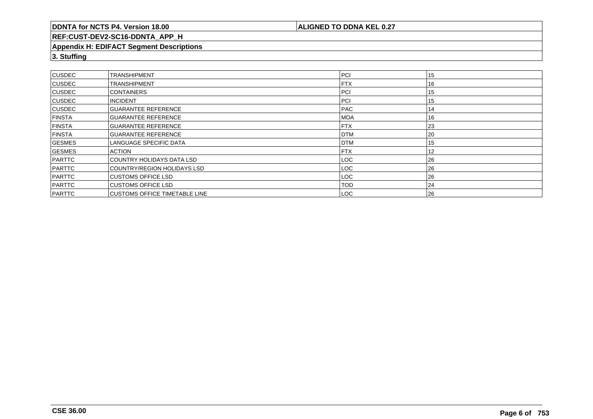**ALIGNED TO DDNA KEL 0.27**

# **REF:CUST-DEV2-SC16-DDNTA\_APP\_H**

#### **Appendix H: EDIFACT Segment Descriptions**

**3. Stuffing**

| <b>CUSDEC</b> | <b>TRANSHIPMENT</b>                  | <b>PCI</b> | 15 |
|---------------|--------------------------------------|------------|----|
| <b>CUSDEC</b> | <b>TRANSHIPMENT</b>                  | <b>FTX</b> | 16 |
| <b>CUSDEC</b> | <b>CONTAINERS</b>                    | PCI        | 15 |
| <b>CUSDEC</b> | <b>INCIDENT</b>                      | PCI        | 15 |
| <b>CUSDEC</b> | <b>GUARANTEE REFERENCE</b>           | <b>PAC</b> | 14 |
| <b>FINSTA</b> | <b>GUARANTEE REFERENCE</b>           | <b>MOA</b> | 16 |
| <b>FINSTA</b> | <b>GUARANTEE REFERENCE</b>           | <b>FTX</b> | 23 |
| <b>FINSTA</b> | <b>GUARANTEE REFERENCE</b>           | <b>DTM</b> | 20 |
| <b>GESMES</b> | LANGUAGE SPECIFIC DATA               | <b>DTM</b> | 15 |
| <b>GESMES</b> | <b>ACTION</b>                        | <b>FTX</b> | 12 |
| PARTTC        | I COUNTRY HOLIDAYS DATA LSD          | LOC.       | 26 |
| PARTTC        | COUNTRY/REGION HOLIDAYS LSD          | LOC.       | 26 |
| PARTTC        | ICUSTOMS OFFICE LSD                  | LOC.       | 26 |
| PARTTC        | <b>CUSTOMS OFFICE LSD</b>            | <b>TOD</b> | 24 |
| PARTTC        | <b>CUSTOMS OFFICE TIMETABLE LINE</b> | LOC        | 26 |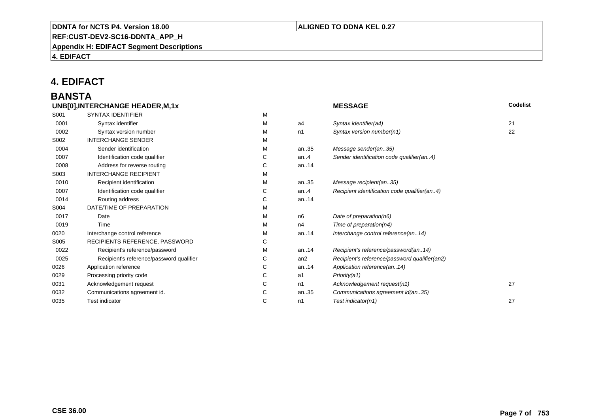# **REF:CUST-DEV2-SC16-DDNTA\_APP\_H**

**Appendix H: EDIFACT Segment Descriptions**

**4. EDIFACT**

# **4. EDIFACT**

### **BANSTAUNB[0],INTERCHANGE HEADER,M,1x**

|      | UNB[0], INTERCHANGE HEADER, M, 1x        |   |         | <b>MESSAGE</b>                                | <b>Codelist</b> |
|------|------------------------------------------|---|---------|-----------------------------------------------|-----------------|
| S001 | <b>SYNTAX IDENTIFIER</b>                 | M |         |                                               |                 |
| 0001 | Syntax identifier                        | М | a4      | Syntax identifier(a4)                         | 21              |
| 0002 | Syntax version number                    | м | n1      | Syntax version number(n1)                     | 22              |
| S002 | <b>INTERCHANGE SENDER</b>                | М |         |                                               |                 |
| 0004 | Sender identification                    | М | an35    | Message sender(an35)                          |                 |
| 0007 | Identification code qualifier            | С | an. $4$ | Sender identification code qualifier(an4)     |                 |
| 0008 | Address for reverse routing              | С | an14    |                                               |                 |
| S003 | <b>INTERCHANGE RECIPIENT</b>             | М |         |                                               |                 |
| 0010 | Recipient identification                 | М | an35    | Message recipient(an35)                       |                 |
| 0007 | Identification code qualifier            | С | an. $4$ | Recipient identification code qualifier(an4)  |                 |
| 0014 | Routing address                          | С | an14    |                                               |                 |
| S004 | DATE/TIME OF PREPARATION                 | М |         |                                               |                 |
| 0017 | Date                                     | М | n6      | Date of preparation(n6)                       |                 |
| 0019 | Time                                     | М | n4      | Time of preparation(n4)                       |                 |
| 0020 | Interchange control reference            | М | an14    | Interchange control reference(an14)           |                 |
| S005 | RECIPIENTS REFERENCE, PASSWORD           | С |         |                                               |                 |
| 0022 | Recipient's reference/password           | М | an14    | Recipient's reference/password(an14)          |                 |
| 0025 | Recipient's reference/password qualifier | С | an2     | Recipient's reference/password qualifier(an2) |                 |
| 0026 | Application reference                    | С | an14    | Application reference(an14)                   |                 |
| 0029 | Processing priority code                 | С | a1      | Priority(a1)                                  |                 |
| 0031 | Acknowledgement request                  | С | n1      | Acknowledgement request(n1)                   | 27              |
| 0032 | Communications agreement id.             | С | an35    | Communications agreement id(an35)             |                 |
| 0035 | <b>Test indicator</b>                    | С | n1      | Test indicator(n1)                            | 27              |
|      |                                          |   |         |                                               |                 |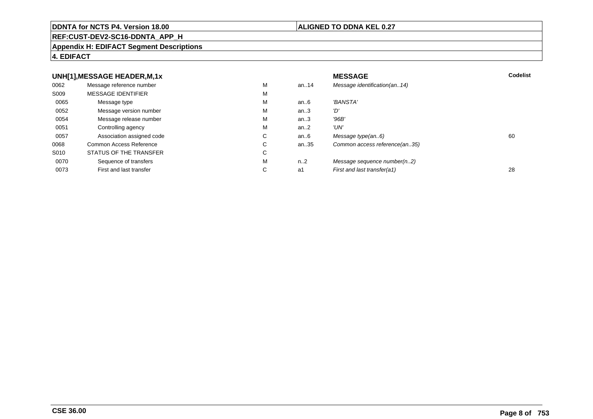### **REF:CUST-DEV2-SC16-DDNTA\_APP\_H**

### **Appendix H: EDIFACT Segment Descriptions**

# **4. EDIFACT**

#### **UNH[1],MESSAGE HEADER,M,1xx** MESSAGE **Codelist** Codelist 0062 Message reference number <sup>M</sup> an..14 Message identification(an..14) S009 MESSAGE IDENTIFIERR M M 0065Message type Message version number and the Message version number and the Message of Message Message Message M an..6 'BANSTA'<br>an..3 'D' 0052 Message version number <sup>M</sup>an..3 '*D'*<br>an..3 '96*B'* 0054Message release number Message release number Message of the Message of the Message of Message of Message of Me<br>
Message release number of Message of Message of Message of Message of Message of Message of Message of Messag an..3 '96B'<br>an..2 'UN' 0051 Controlling agency <sup>M</sup>an $.2$ <br>an $.6$ 0057Association assigned code **C** C<br>
mmon Access Reference **C** C an..6 Message type(an..6)<br>an..35 Common access reference(an..35) 0068Common Access Reference C<br>
STATUS OF THE TRANSFER
C Common access reference(an..35) S010 STATUS OF THE TRANSFERR C 0070Sequence of transfers M<br>
First and last transfer C n..2 Message sequence number(n..2)<br>a1 First and last transfer(a1) 0073First and last transfer First and last transfer(a1) 28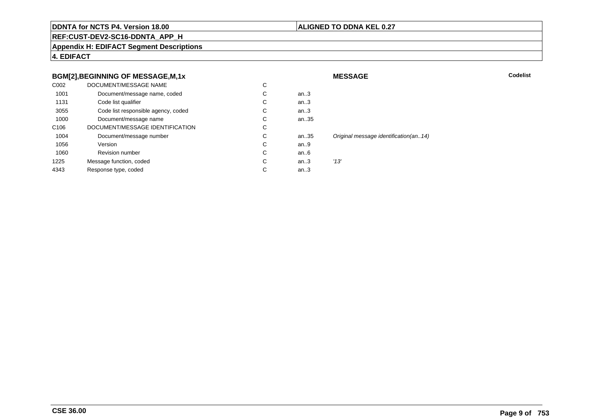# **ALIGNED TO DDNA KEL 0.27**

**MESSAGE**

**REF:CUST-DEV2-SC16-DDNTA\_APP\_H**

**Appendix H: EDIFACT Segment Descriptions**

**4. EDIFACT**

# **BGM[2],BEGINNING OF MESSAGE,M,1x**

|                  | BGM[2], BEGINNING OF MESSAGE, M, 1x |    |      | <b>MESSAGE</b>                        | Codelist |
|------------------|-------------------------------------|----|------|---------------------------------------|----------|
| C002             | DOCUMENT/MESSAGE NAME               | C  |      |                                       |          |
| 1001             | Document/message name, coded        | C. | an.3 |                                       |          |
| 1131             | Code list qualifier                 | Ü  | an.3 |                                       |          |
| 3055             | Code list responsible agency, coded | C  | an.3 |                                       |          |
| 1000             | Document/message name               | C  | an35 |                                       |          |
| C <sub>106</sub> | DOCUMENT/MESSAGE IDENTIFICATION     | C  |      |                                       |          |
| 1004             | Document/message number             | C  | an35 | Original message identification(an14) |          |
| 1056             | Version                             | C  | an.9 |                                       |          |
| 1060             | <b>Revision number</b>              | C  | an.6 |                                       |          |
| 1225             | Message function, coded             | C  | an.3 | '13'                                  |          |
| 4343             | Response type, coded                | C  | an.3 |                                       |          |
|                  |                                     |    |      |                                       |          |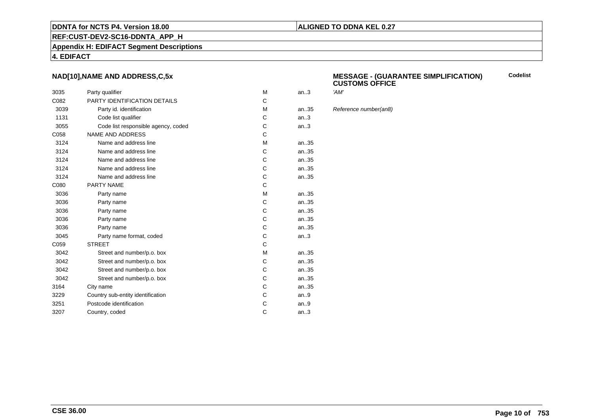# **ALIGNED TO DDNA KEL 0.27**

**REF:CUST-DEV2-SC16-DDNTA\_APP\_H**

**Appendix H: EDIFACT Segment Descriptions**

**4. EDIFACT**

# **NAD[10],NAME AND ADDRESS,C,5x**

| 3035 | Party qualifier                     | M | an.3  | 'AM' |
|------|-------------------------------------|---|-------|------|
| C082 | PARTY IDENTIFICATION DETAILS        | C |       |      |
| 3039 | Party id. identification            | М | an.35 | Refe |
| 1131 | Code list qualifier                 | C | an.3  |      |
| 3055 | Code list responsible agency, coded | С | an.3  |      |
| C058 | <b>NAME AND ADDRESS</b>             | C |       |      |
| 3124 | Name and address line               | M | an35  |      |
| 3124 | Name and address line               | С | an35  |      |
| 3124 | Name and address line               | С | an35  |      |
| 3124 | Name and address line               | С | an35  |      |
| 3124 | Name and address line               | C | an35  |      |
| C080 | PARTY NAME                          | C |       |      |
| 3036 | Party name                          | M | an.35 |      |
| 3036 | Party name                          | С | an35  |      |
| 3036 | Party name                          | C | an.35 |      |
| 3036 | Party name                          | C | an35  |      |
| 3036 | Party name                          | С | an35  |      |
| 3045 | Party name format, coded            | C | an.3  |      |
| C059 | <b>STREET</b>                       | C |       |      |
| 3042 | Street and number/p.o. box          | M | an35  |      |
| 3042 | Street and number/p.o. box          | С | an35  |      |
| 3042 | Street and number/p.o. box          | С | an35  |      |
| 3042 | Street and number/p.o. box          | C | an.35 |      |
| 3164 | City name                           | С | an.35 |      |
| 3229 | Country sub-entity identification   | C | an.9  |      |
| 3251 | Postcode identification             | C | an.9  |      |
| 3207 | Country, coded                      | C | an.3  |      |
|      |                                     |   |       |      |

#### **MESSAGE - (GUARANTEE SIMPLIFICATION) CUSTOMS OFFICECodelist**

Reference number(an8)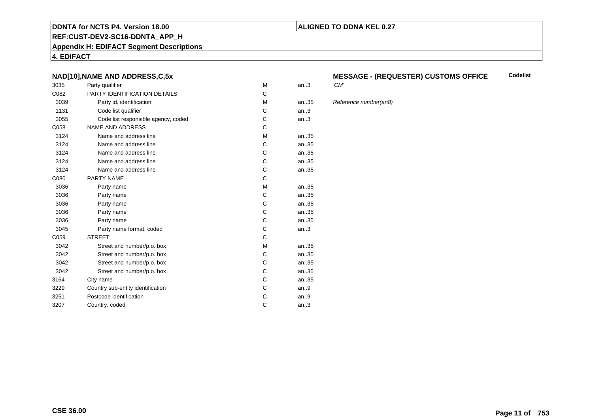### **REF:CUST-DEV2-SC16-DDNTA\_APP\_H**

**Appendix H: EDIFACT Segment Descriptions**

**4. EDIFACT**

# **NAD[10],NAME AND ADDRESS,C,5x**

| 3035 | Party qualifier                     | M | an.3  | 'CM' |
|------|-------------------------------------|---|-------|------|
| C082 | PARTY IDENTIFICATION DETAILS        | С |       |      |
| 3039 | Party id. identification            | M | an.35 | Refe |
| 1131 | Code list qualifier                 | С | an.3  |      |
| 3055 | Code list responsible agency, coded | С | an.3  |      |
| C058 | <b>NAME AND ADDRESS</b>             | С |       |      |
| 3124 | Name and address line               | M | an35  |      |
| 3124 | Name and address line               | С | an.35 |      |
| 3124 | Name and address line               | C | an.35 |      |
| 3124 | Name and address line               | С | an.35 |      |
| 3124 | Name and address line               | C | an35  |      |
| C080 | <b>PARTY NAME</b>                   | C |       |      |
| 3036 | Party name                          | M | an35  |      |
| 3036 | Party name                          | C | an.35 |      |
| 3036 | Party name                          | С | an35  |      |
| 3036 | Party name                          | С | an35  |      |
| 3036 | Party name                          | C | an35  |      |
| 3045 | Party name format, coded            | С | an.3  |      |
| C059 | <b>STREET</b>                       | C |       |      |
| 3042 | Street and number/p.o. box          | М | an.35 |      |
| 3042 | Street and number/p.o. box          | Ċ | an.35 |      |
| 3042 | Street and number/p.o. box          | С | an35  |      |
| 3042 | Street and number/p.o. box          | C | an35  |      |
| 3164 | City name                           | С | an35  |      |
| 3229 | Country sub-entity identification   | C | an.9  |      |
| 3251 | Postcode identification             | С | an.9  |      |
| 3207 | Country, coded                      | C | an.3  |      |
|      |                                     |   |       |      |

### **MESSAGE - (REQUESTER) CUSTOMS OFFICE Codelist**

### Reference number(an8)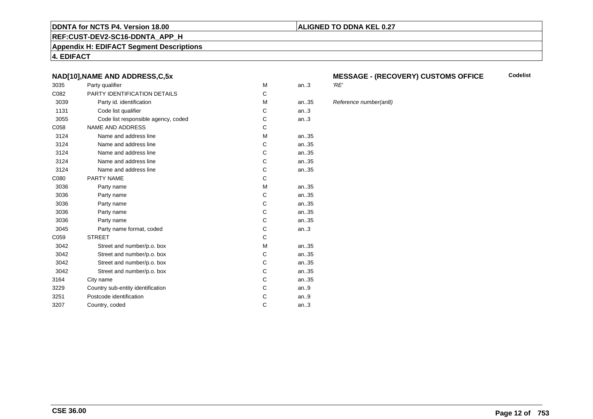### **REF:CUST-DEV2-SC16-DDNTA\_APP\_H**

**Appendix H: EDIFACT Segment Descriptions**

**4. EDIFACT**

# **NAD[10],NAME AND ADDRESS,C,5x**

| 3035 | Party qualifier                     | M | an.3  | 'RE' |
|------|-------------------------------------|---|-------|------|
| C082 | <b>PARTY IDENTIFICATION DETAILS</b> | C |       |      |
| 3039 | Party id. identification            | М | an.35 | Refe |
| 1131 | Code list qualifier                 | C | an.3  |      |
| 3055 | Code list responsible agency, coded | С | an.3  |      |
| C058 | <b>NAME AND ADDRESS</b>             | C |       |      |
| 3124 | Name and address line               | M | an35  |      |
| 3124 | Name and address line               | C | an35  |      |
| 3124 | Name and address line               | C | an35  |      |
| 3124 | Name and address line               | C | an35  |      |
| 3124 | Name and address line               | C | an35  |      |
| C080 | PARTY NAME                          | C |       |      |
| 3036 | Party name                          | M | an35  |      |
| 3036 | Party name                          | C | an35  |      |
| 3036 | Party name                          | C | an35  |      |
| 3036 | Party name                          | C | an.35 |      |
| 3036 | Party name                          | C | an35  |      |
| 3045 | Party name format, coded            | C | an.3  |      |
| C059 | <b>STREET</b>                       | C |       |      |
| 3042 | Street and number/p.o. box          | M | an35  |      |
| 3042 | Street and number/p.o. box          | C | an35  |      |
| 3042 | Street and number/p.o. box          | С | an35  |      |
| 3042 | Street and number/p.o. box          | C | an35  |      |
| 3164 | City name                           | С | an.35 |      |
| 3229 | Country sub-entity identification   | C | an.9  |      |
| 3251 | Postcode identification             | С | an.9  |      |
| 3207 | Country, coded                      | C | an.3  |      |
|      |                                     |   |       |      |

### **MESSAGE - (RECOVERY) CUSTOMS OFFICECodelist**

### Reference number(an8)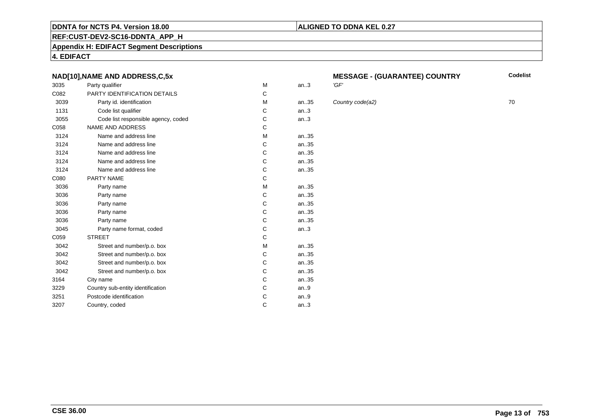# **REF:CUST-DEV2-SC16-DDNTA\_APP\_H**

**Appendix H: EDIFACT Segment Descriptions**

**4. EDIFACT**

# **NAD[10],NAME AND ADDRESS,C,5x**

| 3035 | Party qualifier                     | M | an.3  | 'GF' |
|------|-------------------------------------|---|-------|------|
| C082 | PARTY IDENTIFICATION DETAILS        | C |       |      |
| 3039 | Party id. identification            | M | an.35 | Cou  |
| 1131 | Code list qualifier                 | C | an.3  |      |
| 3055 | Code list responsible agency, coded | C | an.3  |      |
| C058 | <b>NAME AND ADDRESS</b>             | C |       |      |
| 3124 | Name and address line               | M | an35  |      |
| 3124 | Name and address line               | C | an.35 |      |
| 3124 | Name and address line               | C | an35  |      |
| 3124 | Name and address line               | C | an35  |      |
| 3124 | Name and address line               | C | an35  |      |
| C080 | <b>PARTY NAME</b>                   | C |       |      |
| 3036 | Party name                          | М | an35  |      |
| 3036 | Party name                          | C | an35  |      |
| 3036 | Party name                          | C | an35  |      |
| 3036 | Party name                          | C | an35  |      |
| 3036 | Party name                          | C | an35  |      |
| 3045 | Party name format, coded            | C | an.3  |      |
| C059 | <b>STREET</b>                       | C |       |      |
| 3042 | Street and number/p.o. box          | м | an35  |      |
| 3042 | Street and number/p.o. box          | C | an35  |      |
| 3042 | Street and number/p.o. box          | C | an35  |      |
| 3042 | Street and number/p.o. box          | C | an35  |      |
| 3164 | City name                           | C | an35  |      |
| 3229 | Country sub-entity identification   | C | an.9  |      |
| 3251 | Postcode identification             | C | an.9  |      |
| 3207 | Country, coded                      | C | an.3  |      |
|      |                                     |   |       |      |

# **MESSAGE - (GUARANTEE) COUNTRY**

**ALIGNED TO DDNA KEL 0.27**

**Country code(a2)** 70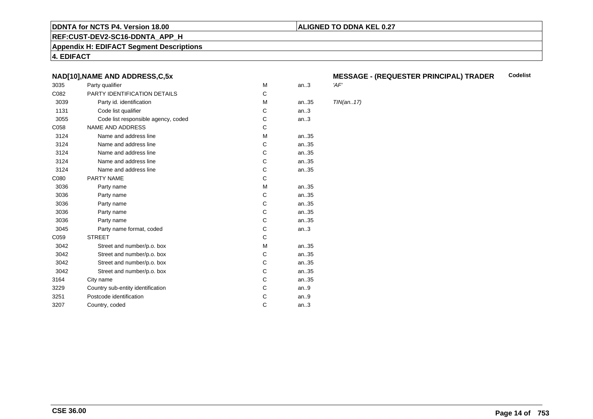# **ALIGNED TO DDNA KEL 0.27**

**REF:CUST-DEV2-SC16-DDNTA\_APP\_H**

**Appendix H: EDIFACT Segment Descriptions**

**4. EDIFACT**

# **NAD[10],NAME AND ADDRESS,C,5x**

| 3035 | Party qualifier                     | M | an.3 | 'AF'       |
|------|-------------------------------------|---|------|------------|
| C082 | PARTY IDENTIFICATION DETAILS        | C |      |            |
| 3039 | Party id. identification            | М | an35 | <b>TIN</b> |
| 1131 | Code list qualifier                 | C | an.3 |            |
| 3055 | Code list responsible agency, coded | С | an.3 |            |
| C058 | <b>NAME AND ADDRESS</b>             | C |      |            |
| 3124 | Name and address line               | M | an35 |            |
| 3124 | Name and address line               | C | an35 |            |
| 3124 | Name and address line               | C | an35 |            |
| 3124 | Name and address line               | C | an35 |            |
| 3124 | Name and address line               | C | an35 |            |
| C080 | PARTY NAME                          | C |      |            |
| 3036 | Party name                          | M | an35 |            |
| 3036 | Party name                          | C | an35 |            |
| 3036 | Party name                          | C | an35 |            |
| 3036 | Party name                          | C | an35 |            |
| 3036 | Party name                          | C | an35 |            |
| 3045 | Party name format, coded            | С | an.3 |            |
| C059 | <b>STREET</b>                       | C |      |            |
| 3042 | Street and number/p.o. box          | M | an35 |            |
| 3042 | Street and number/p.o. box          | C | an35 |            |
| 3042 | Street and number/p.o. box          | C | an35 |            |
| 3042 | Street and number/p.o. box          | C | an35 |            |
| 3164 | City name                           | C | an35 |            |
| 3229 | Country sub-entity identification   | C | an.9 |            |
| 3251 | Postcode identification             | С | an.9 |            |
| 3207 | Country, coded                      | C | an.3 |            |
|      |                                     |   |      |            |

### **MESSAGE - (REQUESTER PRINCIPAL) TRADERCodelist**

 $TIN(an..17)$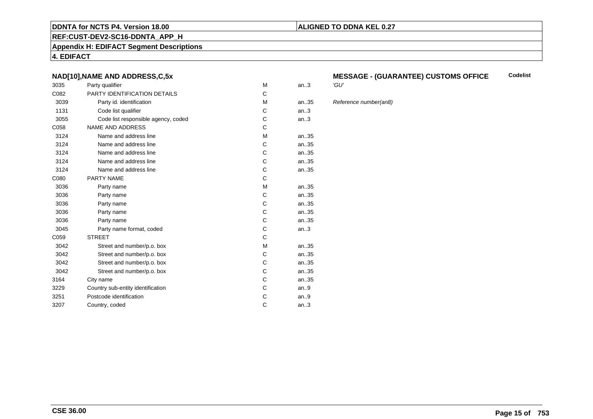### **REF:CUST-DEV2-SC16-DDNTA\_APP\_H**

**Appendix H: EDIFACT Segment Descriptions**

**4. EDIFACT**

# **NAD[10],NAME AND ADDRESS,C,5x**

| 3035 | Party qualifier                     | M | 'GU'<br>an.3 |      |
|------|-------------------------------------|---|--------------|------|
| C082 | PARTY IDENTIFICATION DETAILS        | C |              |      |
| 3039 | Party id. identification            | M | an.35        | Refe |
| 1131 | Code list qualifier                 | С | an.3         |      |
| 3055 | Code list responsible agency, coded | С | an.3         |      |
| C058 | <b>NAME AND ADDRESS</b>             | C |              |      |
| 3124 | Name and address line               | M | an35         |      |
| 3124 | Name and address line               | C | an.35        |      |
| 3124 | Name and address line               | C | an35         |      |
| 3124 | Name and address line               | C | an.35        |      |
| 3124 | Name and address line               | C | an35         |      |
| C080 | <b>PARTY NAME</b>                   | C |              |      |
| 3036 | Party name                          | M | an35         |      |
| 3036 | Party name                          | C | an.35        |      |
| 3036 | Party name                          | С | an35         |      |
| 3036 | Party name                          | С | an35         |      |
| 3036 | Party name                          | C | an35         |      |
| 3045 | Party name format, coded            | С | an.3         |      |
| C059 | <b>STREET</b>                       | C |              |      |
| 3042 | Street and number/p.o. box          | M | an.35        |      |
| 3042 | Street and number/p.o. box          | C | an.35        |      |
| 3042 | Street and number/p.o. box          | С | an35         |      |
| 3042 | Street and number/p.o. box          | C | an35         |      |
| 3164 | City name                           | С | an35         |      |
| 3229 | Country sub-entity identification   | С | an.9         |      |
| 3251 | Postcode identification             | С | an.9         |      |
| 3207 | Country, coded                      | С | an.3         |      |
|      |                                     |   |              |      |

### **MESSAGE - (GUARANTEE) CUSTOMS OFFICE Codelist**

Reference number(an8)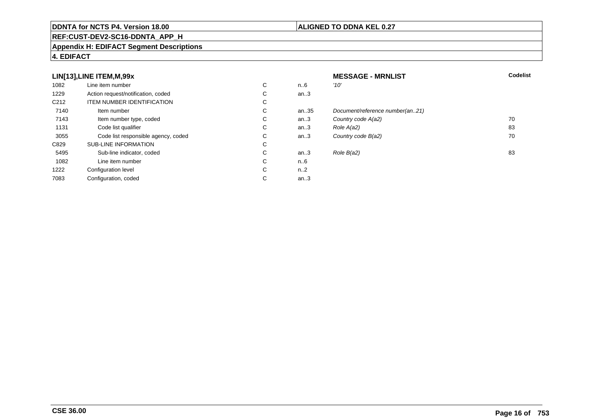# **REF:CUST-DEV2-SC16-DDNTA\_APP\_H**

### **Appendix H: EDIFACT Segment Descriptions**

# **4. EDIFACT**

# **LIN[13],LINE ITEM,M,99x**

| 1082             | Line item number                    | С | n6        | '10' |
|------------------|-------------------------------------|---|-----------|------|
| 1229             | Action request/notification, coded  | С | an3       |      |
| C <sub>212</sub> | <b>ITEM NUMBER IDENTIFICATION</b>   | C |           |      |
| 7140             | Item number                         | C | an35      | Doo  |
| 7143             | Item number type, coded             | С | an.3      | Col  |
| 1131             | Code list qualifier                 | С | an.3      | Rol  |
| 3055             | Code list responsible agency, coded | C | an.3      | Col  |
| C829             | <b>SUB-LINE INFORMATION</b>         | С |           |      |
| 5495             | Sub-line indicator, coded           | С | an.3      | Rol  |
| 1082             | Line item number                    | C | n6        |      |
| 1222             | Configuration level                 | C | $n_{.}.2$ |      |
| 7083             | Configuration, coded                | С | an.3      |      |

# **MESSAGE - MRNLIST**<br>n..6  $10'$ **T** Codelist an..3 an..35 Document/reference number(an..21)<br>an..3 Country code A(a2) an..3 Country code  $A(a2)$  70<br>an..3 Role  $A(a2)$  83 C an..3 Role  $A(a2)$  83 an..3 Country code  $B(a2)$  70 C an..3 Role  $B(a2)$  83 n..6 n..2

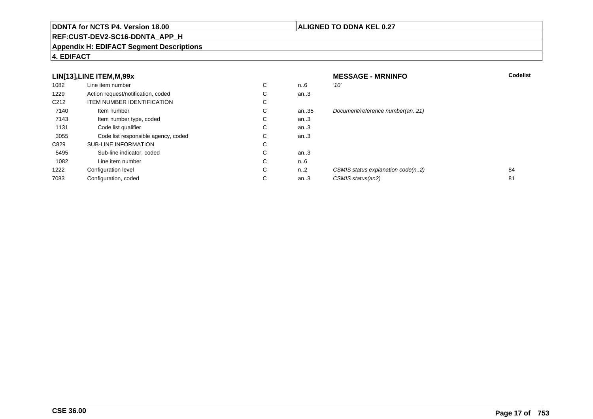# **REF:CUST-DEV2-SC16-DDNTA\_APP\_H**

### **Appendix H: EDIFACT Segment Descriptions**

# **4. EDIFACT**

|                  | LIN[13], LINE ITEM, M, 99x          |             |      | <b>MESSAGE - MRNINFO</b>          | <b>Codelist</b> |
|------------------|-------------------------------------|-------------|------|-----------------------------------|-----------------|
| 1082             | Line item number                    | $\sim$<br>Ü | n6   | '10'                              |                 |
| 1229             | Action request/notification, coded  | $\sim$<br>◡ | an.3 |                                   |                 |
| C <sub>212</sub> | <b>ITEM NUMBER IDENTIFICATION</b>   | $\sim$<br>◡ |      |                                   |                 |
| 7140             | Item number                         | С           | an35 | Document/reference number(an21)   |                 |
| 7143             | Item number type, coded             | $\sim$<br>◡ | an.3 |                                   |                 |
| 1131             | Code list qualifier                 | $\sim$<br>◡ | an.3 |                                   |                 |
| 3055             | Code list responsible agency, coded | $\sim$<br>◡ | an.3 |                                   |                 |
| C829             | <b>SUB-LINE INFORMATION</b>         | $\sim$<br>◡ |      |                                   |                 |
| 5495             | Sub-line indicator, coded           | $\sim$<br>◡ | an.3 |                                   |                 |
| 1082             | Line item number                    | $\sim$<br>◡ | n6   |                                   |                 |
| 1222             | Configuration level                 | $\sim$<br>◡ | n2   | CSMIS status explanation code(n2) | 84              |
| 7083             | Configuration, coded                | $\sim$<br>◡ | an.3 | CSMIS status(an2)                 | 81              |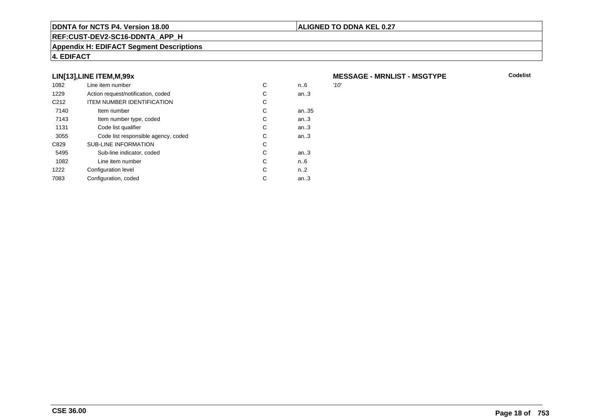### **REF:CUST-DEV2-SC16-DDNTA\_APP\_H**

### **Appendix H: EDIFACT Segment Descriptions**

# **4. EDIFACT**

# **LIN[13],LINE ITEM,M,99x**

| 1082             | Line item number                    | С | n.6  | '10' |
|------------------|-------------------------------------|---|------|------|
| 1229             | Action request/notification, coded  | С | an.3 |      |
| C <sub>212</sub> | <b>ITEM NUMBER IDENTIFICATION</b>   | С |      |      |
| 7140             | Item number                         | С | an35 |      |
| 7143             | Item number type, coded             | С | an.3 |      |
| 1131             | Code list qualifier                 | С | an.3 |      |
| 3055             | Code list responsible agency, coded | С | an.3 |      |
| C829             | <b>SUB-LINE INFORMATION</b>         | С |      |      |
| 5495             | Sub-line indicator, coded           | С | an.3 |      |
| 1082             | Line item number                    | C | n.6  |      |
| 1222             | Configuration level                 | C | n2   |      |
| 7083             | Configuration, coded                | С | an.3 |      |
|                  |                                     |   |      |      |

# **MESSAGE - MRNLIST - MSGTYPE**

**Codelist**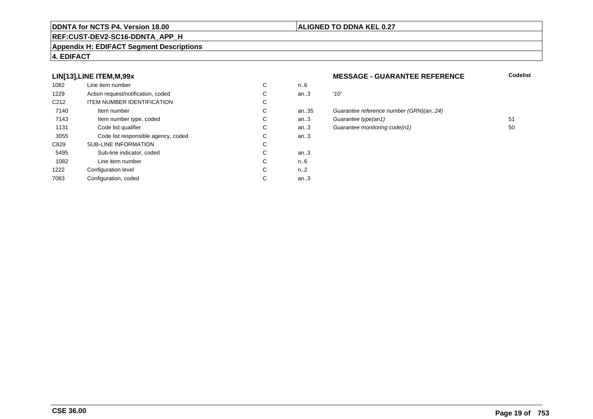# **ALIGNED TO DDNA KEL 0.27**

# **REF:CUST-DEV2-SC16-DDNTA\_APP\_H**

#### **Appendix H: EDIFACT Segment Descriptions**

# **4. EDIFACT**

# **LIN[13],LINE ITEM,M,99x**

| 1082             | Line item number                    | С | n.6  |      |
|------------------|-------------------------------------|---|------|------|
| 1229             | Action request/notification, coded  | С | an.3 | '10' |
| C <sub>212</sub> | <b>ITEM NUMBER IDENTIFICATION</b>   | С |      |      |
| 7140             | Item number                         | C | an35 | Gu   |
| 7143             | Item number type, coded             | С | an.3 | Gu   |
| 1131             | Code list qualifier                 | С | an.3 | Gu   |
| 3055             | Code list responsible agency, coded | С | an.3 |      |
| C829             | <b>SUB-LINE INFORMATION</b>         | С |      |      |
| 5495             | Sub-line indicator, coded           | C | an.3 |      |
| 1082             | Line item number                    | C | n6   |      |
| 1222             | Configuration level                 | C | n2   |      |
| 7083             | Configuration, coded                | C | an.3 |      |

### **MESSAGE - GUARANTEE REFERENCE**

| ີ  | 11U    |                                        |    |
|----|--------|----------------------------------------|----|
| С  | an.3   | '10'                                   |    |
| C. |        |                                        |    |
| С  | an35   | Guarantee reference number (GRN)(an24) |    |
| С  | an.3   | Guarantee type(an1)                    | 51 |
| С  | an $3$ | Guarantee monitoring code(n1)          | 50 |
| C  | an.3   |                                        |    |
|    |        |                                        |    |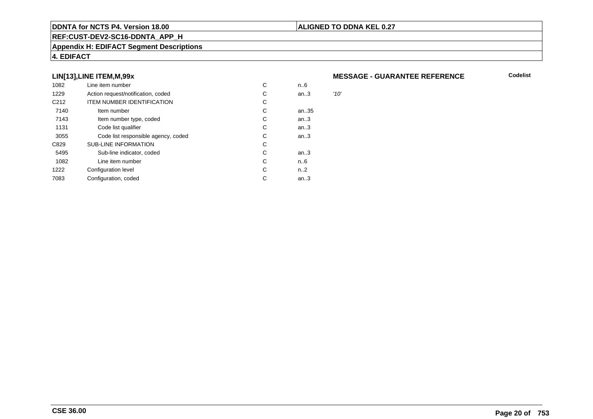# **REF:CUST-DEV2-SC16-DDNTA\_APP\_H**

### **Appendix H: EDIFACT Segment Descriptions**

# **4. EDIFACT**

# **LIN[13],LINE ITEM,M,99x**

| 1082             | Line item number                    | С | n6   |      |
|------------------|-------------------------------------|---|------|------|
| 1229             | Action request/notification, coded  | С | an.3 | '10' |
| C <sub>212</sub> | <b>ITEM NUMBER IDENTIFICATION</b>   | С |      |      |
| 7140             | Item number                         | С | an35 |      |
| 7143             | Item number type, coded             | С | an.3 |      |
| 1131             | Code list qualifier                 | С | an.3 |      |
| 3055             | Code list responsible agency, coded | С | an.3 |      |
| C829             | <b>SUB-LINE INFORMATION</b>         | С |      |      |
| 5495             | Sub-line indicator, coded           | C | an.3 |      |
| 1082             | Line item number                    | С | n6   |      |
| 1222             | Configuration level                 | C | n2   |      |
| 7083             | Configuration, coded                | С | an.3 |      |
|                  |                                     |   |      |      |

### **MESSAGE - GUARANTEE REFERENCE**

**Codelist**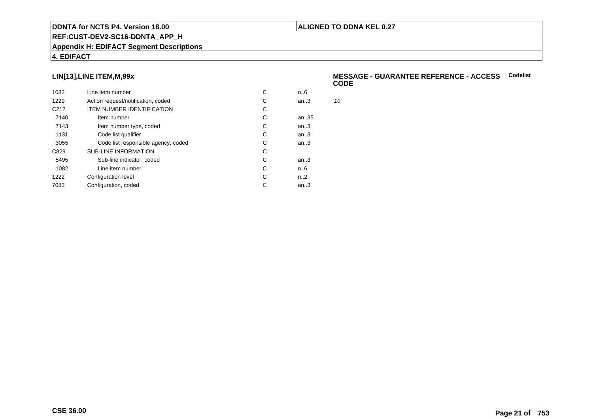# **REF:CUST-DEV2-SC16-DDNTA\_APP\_H**

### **Appendix H: EDIFACT Segment Descriptions**

# **4. EDIFACT**

# **LIN[13],LINE ITEM,M,99x**

| 1082             | Line item number                    | С | n.6  |      |
|------------------|-------------------------------------|---|------|------|
| 1229             | Action request/notification, coded  | C | an.3 | '10' |
| C <sub>212</sub> | <b>ITEM NUMBER IDENTIFICATION</b>   | С |      |      |
| 7140             | Item number                         | C | an35 |      |
| 7143             | Item number type, coded             | С | an.3 |      |
| 1131             | Code list qualifier                 | C | an.3 |      |
| 3055             | Code list responsible agency, coded | C | an.3 |      |
| C829             | <b>SUB-LINE INFORMATION</b>         | C |      |      |
| 5495             | Sub-line indicator, coded           | C | an.3 |      |
| 1082             | Line item number                    | C | n6   |      |
| 1222             | Configuration level                 | C | n2   |      |
| 7083             | Configuration, coded                | C | an.3 |      |
|                  |                                     |   |      |      |

### **MESSAGE - GUARANTEE REFERENCE - ACCESSCodelistCODE**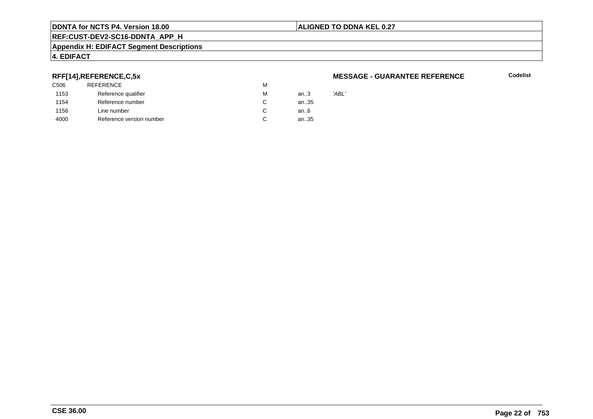# **ALIGNED TO DDNA KEL 0.27**

**REF:CUST-DEV2-SC16-DDNTA\_APP\_H**

#### **Appendix H: EDIFACT Segment Descriptions**

# **4. EDIFACT**

# **RFF[14],REFERENCE,C,5x**

| 'ABL'<br>an3 |
|--------------|
| an35         |
| an6          |
| an35         |
|              |

### **MESSAGE - GUARANTEE REFERENCE**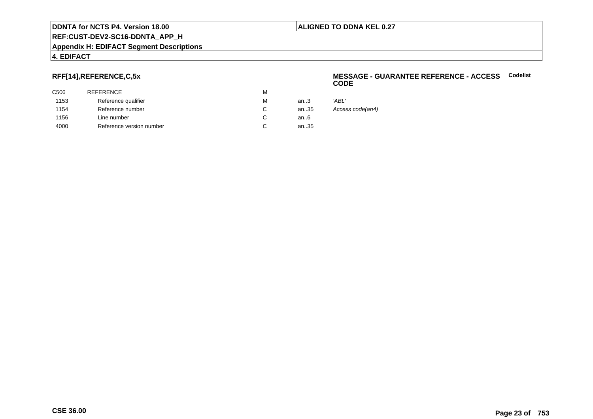# **ALIGNED TO DDNA KEL 0.27**

# **REF:CUST-DEV2-SC16-DDNTA\_APP\_H**

#### **Appendix H: EDIFACT Segment Descriptions**

# **4. EDIFACT**

# **RFF[14],REFERENCE,C,5x**

| C506 | <b>REFERENCE</b>         | M |      |                  |
|------|--------------------------|---|------|------------------|
| 1153 | Reference qualifier      | м | an.3 | 'ABL'            |
| 1154 | Reference number         |   | an35 | Access code(an4) |
| 1156 | Line number              |   | an6  |                  |
| 4000 | Reference version number |   | an35 |                  |
|      |                          |   |      |                  |

### **MESSAGE - GUARANTEE REFERENCE - ACCESSCodelistCODE**

|    | 'ABL'       |
|----|-------------|
| 85 | Access code |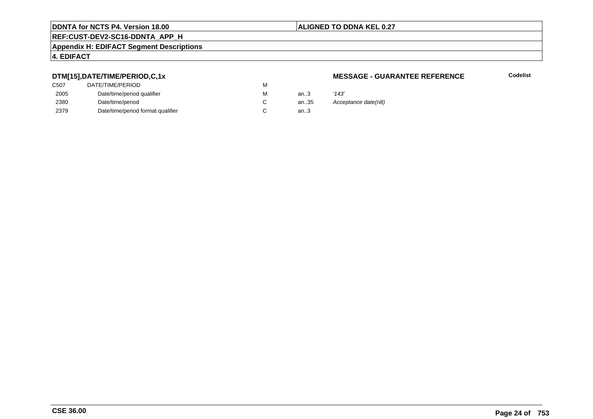# **ALIGNED TO DDNA KEL 0.27**

# **REF:CUST-DEV2-SC16-DDNTA\_APP\_H**

#### **Appendix H: EDIFACT Segment Descriptions**

# **4. EDIFACT**

# **DTM[15],DATE/TIME/PERIOD,C,1x**

| DATE/TIME/PERIOD                  | М |          |       |
|-----------------------------------|---|----------|-------|
| Date/time/period qualifier        | М | an $3$   | '143' |
| Date/time/period                  |   | an $.35$ | Ассе  |
| Date/time/period format qualifier |   | an.3     |       |
|                                   |   |          |       |

### **MESSAGE - GUARANTEE REFERENCE**

**Codelist**

35 Acceptance date(n8)<br>3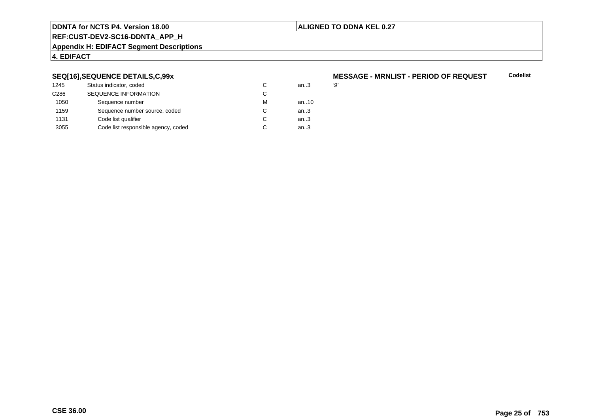# **ALIGNED TO DDNA KEL 0.27**

# **REF:CUST-DEV2-SC16-DDNTA\_APP\_H**

#### **Appendix H: EDIFACT Segment Descriptions**

# **4. EDIFACT**

# **SEQ[16],SEQUENCE DETAILS,C,99x**

| 1245             | Status indicator, coded             | C | an.3 | '9' |
|------------------|-------------------------------------|---|------|-----|
| C <sub>286</sub> | <b>SEQUENCE INFORMATION</b>         | C |      |     |
| 1050             | Sequence number                     | м | an10 |     |
| 1159             | Sequence number source, coded       | C | an.3 |     |
| 1131             | Code list qualifier                 | C | an.3 |     |
| 3055             | Code list responsible agency, coded | C | an.3 |     |

### **MESSAGE - MRNLIST - PERIOD OF REQUESTCodelist**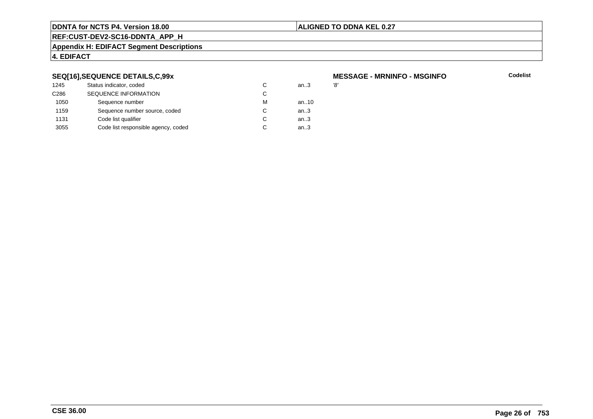# **ALIGNED TO DDNA KEL 0.27**

# **REF:CUST-DEV2-SC16-DDNTA\_APP\_H**

#### **Appendix H: EDIFACT Segment Descriptions**

# **4. EDIFACT**

# **SEQ[16],SEQUENCE DETAILS,C,99x**

| 1245             | Status indicator, coded             | C | an.3 | '8' |
|------------------|-------------------------------------|---|------|-----|
| C <sub>286</sub> | <b>SEQUENCE INFORMATION</b>         | C |      |     |
| 1050             | Sequence number                     | м | an10 |     |
| 1159             | Sequence number source, coded       | C | an.3 |     |
| 1131             | Code list qualifier                 | C | an.3 |     |
| 3055             | Code list responsible agency, coded | C | an.3 |     |

# **MESSAGE - MRNINFO - MSGINFO**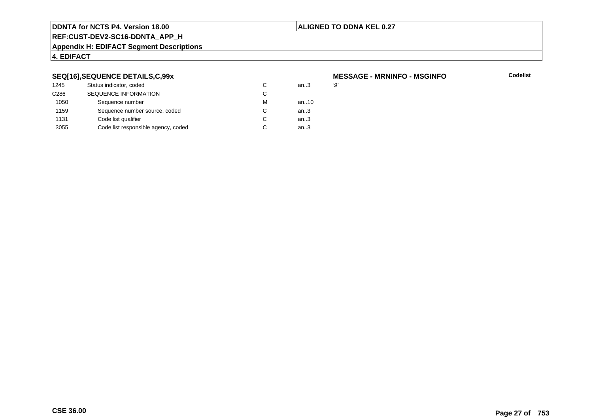# **ALIGNED TO DDNA KEL 0.27**

# **REF:CUST-DEV2-SC16-DDNTA\_APP\_H**

#### **Appendix H: EDIFACT Segment Descriptions**

# **4. EDIFACT**

# **SEQ[16],SEQUENCE DETAILS,C,99x**

| 1245             | Status indicator, coded             | C | an.3 | פי |
|------------------|-------------------------------------|---|------|----|
| C <sub>286</sub> | <b>SEQUENCE INFORMATION</b>         | C |      |    |
| 1050             | Sequence number                     | м | an10 |    |
| 1159             | Sequence number source, coded       | C | an.3 |    |
| 1131             | Code list qualifier                 | C | an.3 |    |
| 3055             | Code list responsible agency, coded | C | an.3 |    |

# **MESSAGE - MRNINFO - MSGINFO**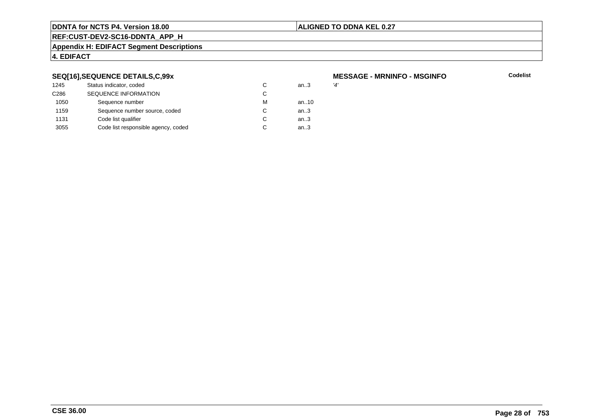# **ALIGNED TO DDNA KEL 0.27**

# **REF:CUST-DEV2-SC16-DDNTA\_APP\_H**

#### **Appendix H: EDIFACT Segment Descriptions**

# **4. EDIFACT**

# **SEQ[16],SEQUENCE DETAILS,C,99x**

| 1245             | Status indicator, coded             | C | an.3 | '4' |
|------------------|-------------------------------------|---|------|-----|
| C <sub>286</sub> | <b>SEQUENCE INFORMATION</b>         | C |      |     |
| 1050             | Sequence number                     | м | an10 |     |
| 1159             | Sequence number source, coded       | C | an.3 |     |
| 1131             | Code list qualifier                 | C | an.3 |     |
| 3055             | Code list responsible agency, coded | C | an.3 |     |
|                  |                                     |   |      |     |

# **MESSAGE - MRNINFO - MSGINFO**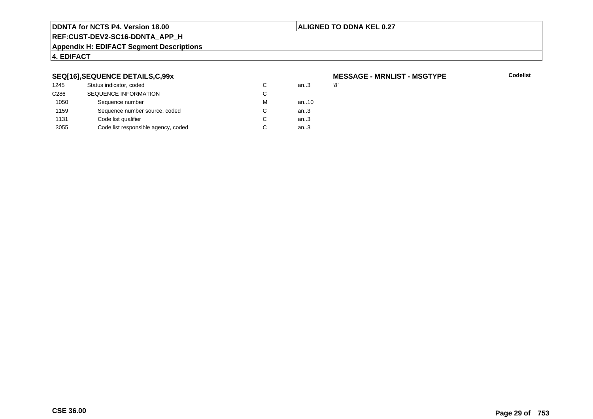# **ALIGNED TO DDNA KEL 0.27**

# **REF:CUST-DEV2-SC16-DDNTA\_APP\_H**

#### **Appendix H: EDIFACT Segment Descriptions**

# **4. EDIFACT**

# **SEQ[16],SEQUENCE DETAILS,C,99x**

| 1245             | Status indicator, coded             | C | an.3 | '8' |
|------------------|-------------------------------------|---|------|-----|
| C <sub>286</sub> | <b>SEQUENCE INFORMATION</b>         | C |      |     |
| 1050             | Sequence number                     | м | an10 |     |
| 1159             | Sequence number source, coded       | C | an.3 |     |
| 1131             | Code list qualifier                 | C | an.3 |     |
| 3055             | Code list responsible agency, coded | C | an.3 |     |
|                  |                                     |   |      |     |

# **MESSAGE - MRNLIST - MSGTYPE**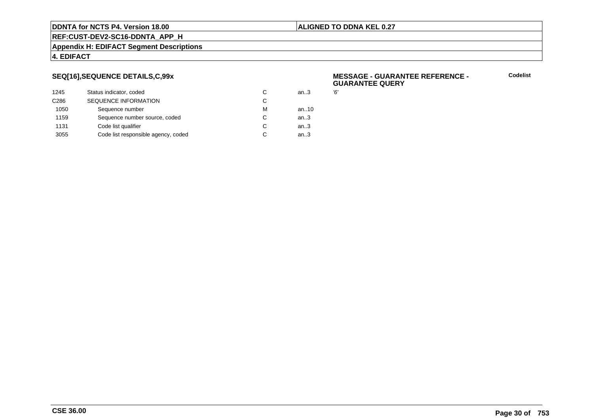# **ALIGNED TO DDNA KEL 0.27**

**REF:CUST-DEV2-SC16-DDNTA\_APP\_H**

#### **Appendix H: EDIFACT Segment Descriptions**

# **4. EDIFACT**

# **SEQ[16],SEQUENCE DETAILS,C,99x**

| 1245             | Status indicator, coded             | C | an.3 | Έ, |
|------------------|-------------------------------------|---|------|----|
| C <sub>286</sub> | SEQUENCE INFORMATION                | С |      |    |
| 1050             | Sequence number                     | м | an10 |    |
| 1159             | Sequence number source, coded       | С | an.3 |    |
| 1131             | Code list qualifier                 | С | an.3 |    |
| 3055             | Code list responsible agency, coded | С | an.3 |    |
|                  |                                     |   |      |    |

### **MESSAGE - GUARANTEE REFERENCE - GUARANTEE QUERY**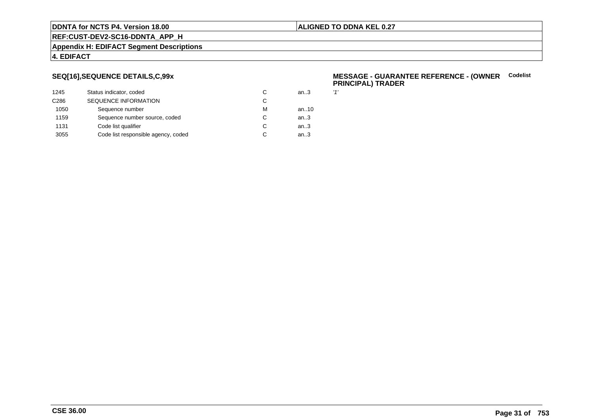# **ALIGNED TO DDNA KEL 0.27**

# **REF:CUST-DEV2-SC16-DDNTA\_APP\_H**

#### **Appendix H: EDIFACT Segment Descriptions**

# **4. EDIFACT**

# **SEQ[16],SEQUENCE DETAILS,C,99x**

| 1245             | Status indicator, coded             | С | an.3 | 11' |
|------------------|-------------------------------------|---|------|-----|
| C <sub>286</sub> | <b>SEQUENCE INFORMATION</b>         | С |      |     |
| 1050             | Sequence number                     | м | an10 |     |
| 1159             | Sequence number source, coded       | С | an.3 |     |
| 1131             | Code list qualifier                 | C | an.3 |     |
| 3055             | Code list responsible agency, coded | С | an.3 |     |
|                  |                                     |   |      |     |

### **MESSAGE - GUARANTEE REFERENCE - (OWNER**<br> **CONNER**<br> **CONNER PRINCIPAL) TRADER**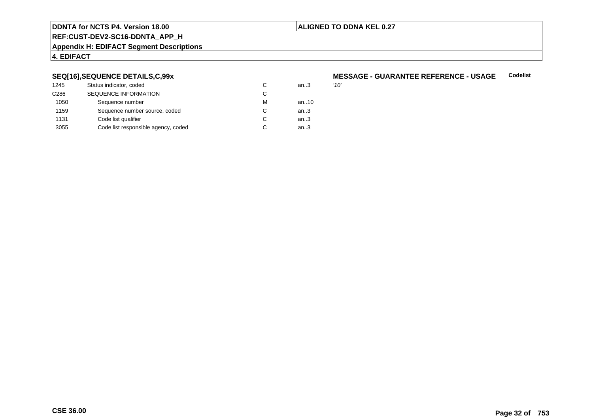# **ALIGNED TO DDNA KEL 0.27**

# **REF:CUST-DEV2-SC16-DDNTA\_APP\_H**

#### **Appendix H: EDIFACT Segment Descriptions**

# **4. EDIFACT**

# **SEQ[16],SEQUENCE DETAILS,C,99x**

| 1245             | Status indicator, coded             | С | an3  | '10' |
|------------------|-------------------------------------|---|------|------|
| C <sub>286</sub> | <b>SEQUENCE INFORMATION</b>         | С |      |      |
| 1050             | Sequence number                     | М | an10 |      |
| 1159             | Sequence number source, coded       | С | an3  |      |
| 1131             | Code list qualifier                 | C | an3  |      |
| 3055             | Code list responsible agency, coded | С | an.3 |      |

### **MESSAGE - GUARANTEE REFERENCE - USAGECodelist**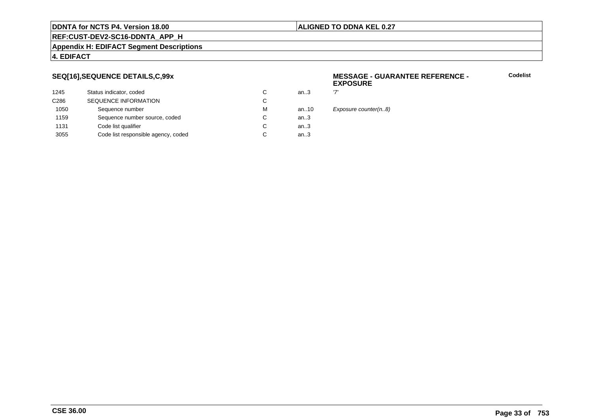# **ALIGNED TO DDNA KEL 0.27**

# **REF:CUST-DEV2-SC16-DDNTA\_APP\_H**

#### **Appendix H: EDIFACT Segment Descriptions**

# **4. EDIFACT**

# **SEQ[16],SEQUENCE DETAILS,C,99x**

| 1245             | Status indicator, coded             | C | an.3 | ידי |
|------------------|-------------------------------------|---|------|-----|
| C <sub>286</sub> | <b>SEQUENCE INFORMATION</b>         | С |      |     |
| 1050             | Sequence number                     | м | an10 | E   |
| 1159             | Sequence number source, coded       | C | an.3 |     |
| 1131             | Code list qualifier                 | C | an.3 |     |
| 3055             | Code list responsible agency, coded | С | an.3 |     |
|                  |                                     |   |      |     |

### **MESSAGE - GUARANTEE REFERENCE - EXPOSURE**

**Codelist**

Exposure counter(n..8)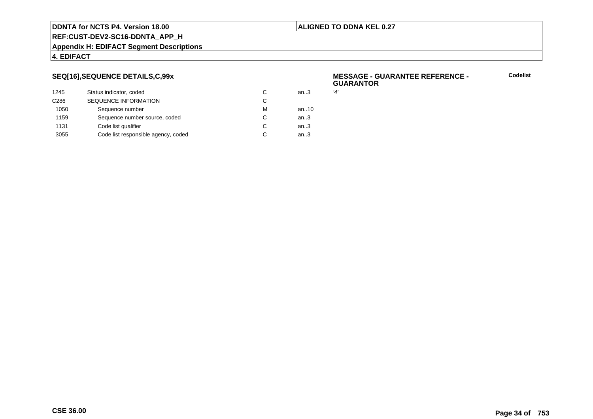# **ALIGNED TO DDNA KEL 0.27**

**REF:CUST-DEV2-SC16-DDNTA\_APP\_H**

#### **Appendix H: EDIFACT Segment Descriptions**

# **4. EDIFACT**

# **SEQ[16],SEQUENCE DETAILS,C,99x**

| 1245             | Status indicator, coded             | C | an.3 | '4' |
|------------------|-------------------------------------|---|------|-----|
| C <sub>286</sub> | <b>SEQUENCE INFORMATION</b>         | C |      |     |
| 1050             | Sequence number                     | м | an10 |     |
| 1159             | Sequence number source, coded       | C | an.3 |     |
| 1131             | Code list qualifier                 | C | an.3 |     |
| 3055             | Code list responsible agency, coded | C | an.3 |     |
|                  |                                     |   |      |     |

### **MESSAGE - GUARANTEE REFERENCE - GUARANTOR**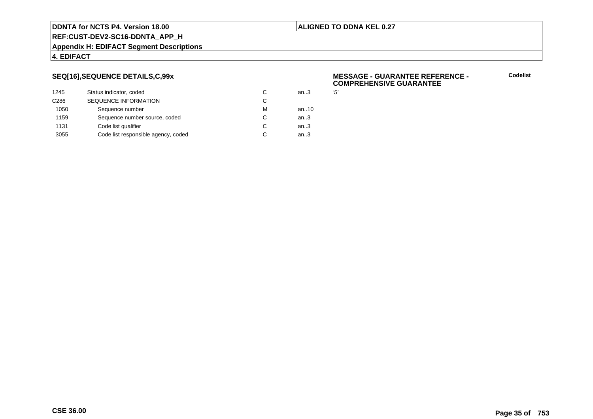# **ALIGNED TO DDNA KEL 0.27**

**REF:CUST-DEV2-SC16-DDNTA\_APP\_H**

#### **Appendix H: EDIFACT Segment Descriptions**

# **4. EDIFACT**

# **SEQ[16],SEQUENCE DETAILS,C,99x**

| 1245             | Status indicator, coded             | C | an.3 | '5' |
|------------------|-------------------------------------|---|------|-----|
| C <sub>286</sub> | <b>SEQUENCE INFORMATION</b>         | C |      |     |
| 1050             | Sequence number                     | м | an10 |     |
| 1159             | Sequence number source, coded       | C | an.3 |     |
| 1131             | Code list qualifier                 | C | an.3 |     |
| 3055             | Code list responsible agency, coded | C | an.3 |     |
|                  |                                     |   |      |     |

### **MESSAGE - GUARANTEE REFERENCE - COMPREHENSIVE GUARANTEE**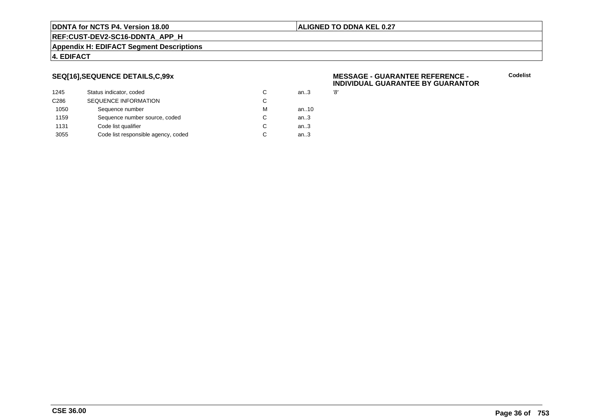# **ALIGNED TO DDNA KEL 0.27**

**REF:CUST-DEV2-SC16-DDNTA\_APP\_H**

#### **Appendix H: EDIFACT Segment Descriptions**

# **4. EDIFACT**

# **SEQ[16],SEQUENCE DETAILS,C,99x**

| 1245             | Status indicator, coded             | C | an.3 | '8' |
|------------------|-------------------------------------|---|------|-----|
| C <sub>286</sub> | SEQUENCE INFORMATION                | С |      |     |
| 1050             | Sequence number                     | м | an10 |     |
| 1159             | Sequence number source, coded       | С | an.3 |     |
| 1131             | Code list qualifier                 | С | an.3 |     |
| 3055             | Code list responsible agency, coded | С | an.3 |     |
|                  |                                     |   |      |     |

### **MESSAGE - GUARANTEE REFERENCE - INDIVIDUAL GUARANTEE BY GUARANTOR**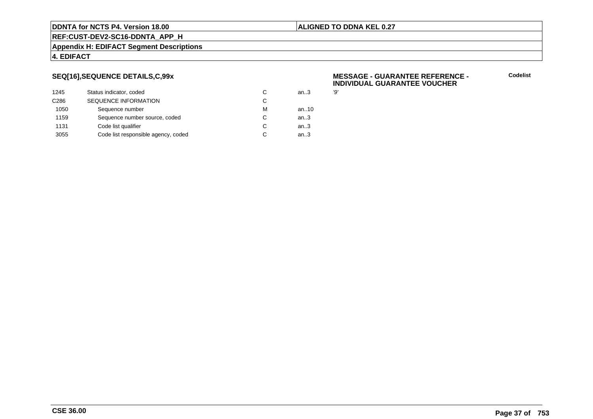#### **ALIGNED TO DDNA KEL 0.27**

**REF:CUST-DEV2-SC16-DDNTA\_APP\_H**

#### **Appendix H: EDIFACT Segment Descriptions**

### **4. EDIFACT**

### **SEQ[16],SEQUENCE DETAILS,C,99x**

| 1245             | Status indicator, coded             | C | an.3   | '9' |
|------------------|-------------------------------------|---|--------|-----|
| C <sub>286</sub> | <b>SEQUENCE INFORMATION</b>         | C |        |     |
| 1050             | Sequence number                     | M | an10   |     |
| 1159             | Sequence number source, coded       | C | an $3$ |     |
| 1131             | Code list qualifier                 | C | an.3   |     |
| 3055             | Code list responsible agency, coded | C | an.3   |     |
|                  |                                     |   |        |     |

#### **MESSAGE - GUARANTEE REFERENCE - INDIVIDUAL GUARANTEE VOUCHER**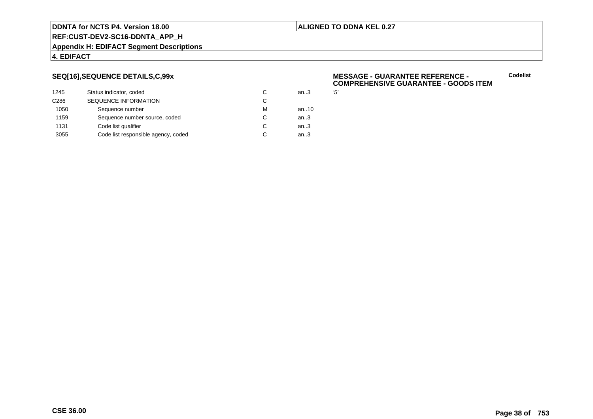#### **ALIGNED TO DDNA KEL 0.27**

**REF:CUST-DEV2-SC16-DDNTA\_APP\_H**

#### **Appendix H: EDIFACT Segment Descriptions**

#### **4. EDIFACT**

### **SEQ[16],SEQUENCE DETAILS,C,99x**

| 1245             | Status indicator, coded             | C | an.3 | '5' |
|------------------|-------------------------------------|---|------|-----|
| C <sub>286</sub> | <b>SEQUENCE INFORMATION</b>         | C |      |     |
| 1050             | Sequence number                     | М | an10 |     |
| 1159             | Sequence number source, coded       | C | an.3 |     |
| 1131             | Code list qualifier                 | C | an.3 |     |
| 3055             | Code list responsible agency, coded | C | an.3 |     |
|                  |                                     |   |      |     |

#### **MESSAGE - GUARANTEE REFERENCE - COMPREHENSIVE GUARANTEE - GOODS ITEM**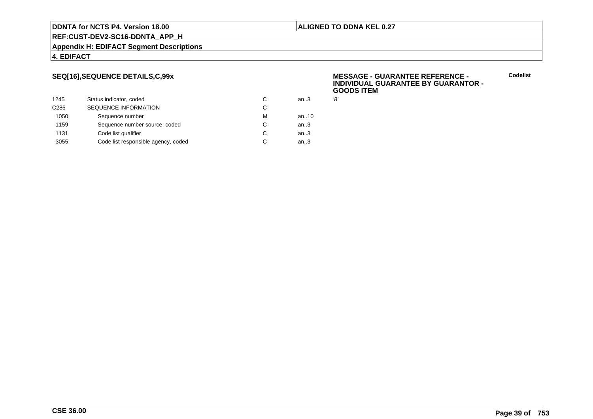#### **ALIGNED TO DDNA KEL 0.27**

**REF:CUST-DEV2-SC16-DDNTA\_APP\_H**

**Appendix H: EDIFACT Segment Descriptions**

#### **4. EDIFACT**

### **SEQ[16],SEQUENCE DETAILS,C,99x**

| 1245             | Status indicator, coded             | C | an.3 | '8' |
|------------------|-------------------------------------|---|------|-----|
| C <sub>286</sub> | <b>SEQUENCE INFORMATION</b>         | С |      |     |
| 1050             | Sequence number                     | м | an10 |     |
| 1159             | Sequence number source, coded       | C | an.3 |     |
| 1131             | Code list qualifier                 | C | an.3 |     |
| 3055             | Code list responsible agency, coded | С | an.3 |     |
|                  |                                     |   |      |     |

#### **MESSAGE - GUARANTEE REFERENCE - INDIVIDUAL GUARANTEE BY GUARANTOR -GOODS ITEM**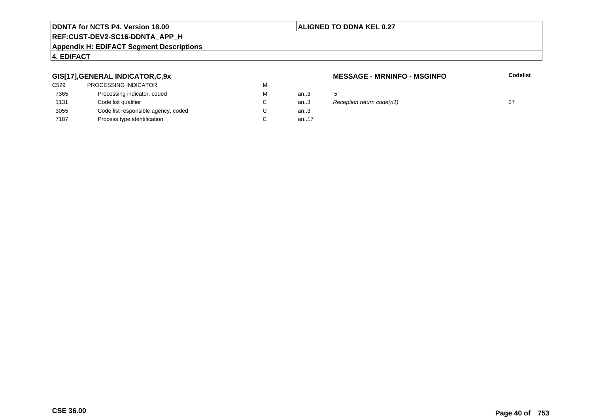### **ALIGNED TO DDNA KEL 0.27**

# **REF:CUST-DEV2-SC16-DDNTA\_APP\_H**

#### **Appendix H: EDIFACT Segment Descriptions**

### **4. EDIFACT**

### **GIS[17],GENERAL INDICATOR,C,9x**

| <b>PROCESSING INDICATOR</b>         | М |          |     |
|-------------------------------------|---|----------|-----|
| Processing indicator, coded         | М | an.3     | '5' |
| Code list qualifier                 | C | an.3     | R   |
| Code list responsible agency, coded | C | an $3$   |     |
| Process type identification         |   | an. $17$ |     |
|                                     |   |          |     |

#### **MESSAGE - MRNINFO - MSGINFO**

**Codelist**

 $\therefore$  Reception return code(n1) 27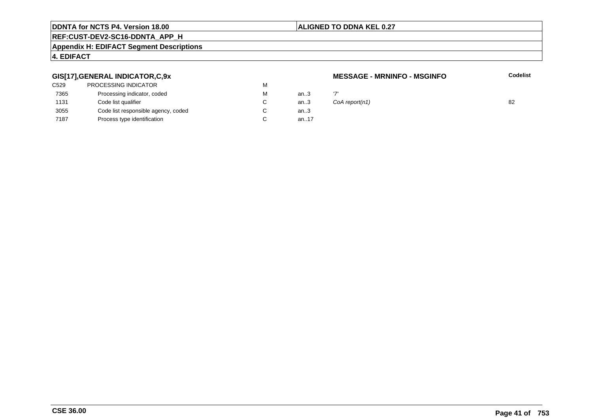#### **ALIGNED TO DDNA KEL 0.27**

# **REF:CUST-DEV2-SC16-DDNTA\_APP\_H**

#### **Appendix H: EDIFACT Segment Descriptions**

## **4. EDIFACT**

### **GIS[17],GENERAL INDICATOR,C,9x**

| C <sub>529</sub> | <b>PROCESSING INDICATOR</b>         | М |      |     |
|------------------|-------------------------------------|---|------|-----|
| 7365             | Processing indicator, coded         | М | an.3 | ידי |
| 1131             | Code list qualifier                 |   | an.3 | Co  |
| 3055             | Code list responsible agency, coded |   | an.3 |     |
| 7187             | Process type identification         |   | an17 |     |
|                  |                                     |   |      |     |

#### **MESSAGE - MRNINFO - MSGINFO**

| М                        | an3    |                    |    |
|--------------------------|--------|--------------------|----|
| С                        |        | an3 CoA report(n1) | 82 |
| $\overline{\phantom{0}}$ | $\sim$ |                    |    |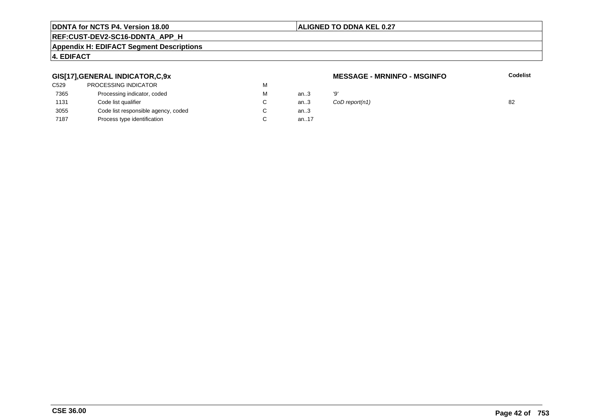#### **ALIGNED TO DDNA KEL 0.27**

# **REF:CUST-DEV2-SC16-DDNTA\_APP\_H**

#### **Appendix H: EDIFACT Segment Descriptions**

## **4. EDIFACT**

### **GIS[17],GENERAL INDICATOR,C,9x**

| C529 | PROCESSING INDICATOR                | М |      |    |
|------|-------------------------------------|---|------|----|
| 7365 | Processing indicator, coded         | м | an.3 | פי |
| 1131 | Code list qualifier                 | C | an.3 | C( |
| 3055 | Code list responsible agency, coded |   | an.3 |    |
| 7187 | Process type identification         |   | an17 |    |
|      |                                     |   |      |    |

#### **MESSAGE - MRNINFO - MSGINFO**

| М  | an3  | 'Q'                |    |
|----|------|--------------------|----|
| C. |      | an3 CoD report(n1) | 82 |
| ⌒  | מ הה |                    |    |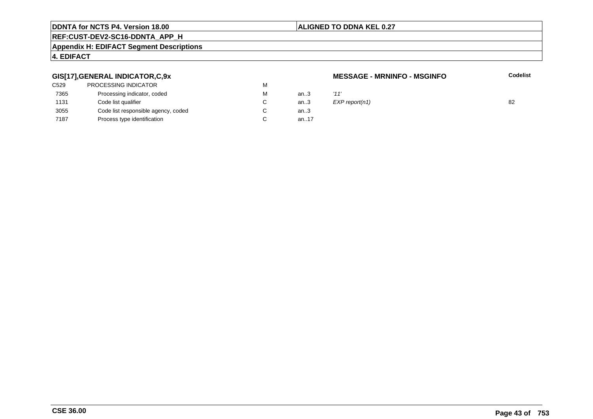#### **ALIGNED TO DDNA KEL 0.27**

# **REF:CUST-DEV2-SC16-DDNTA\_APP\_H**

#### **Appendix H: EDIFACT Segment Descriptions**

## **4. EDIFACT**

### **GIS[17],GENERAL INDICATOR,C,9x**

| C529 | PROCESSING INDICATOR                | м |      |      |
|------|-------------------------------------|---|------|------|
| 7365 | Processing indicator, coded         | м | an.3 | '11' |
| 1131 | Code list qualifier                 |   | an.3 | EXI  |
| 3055 | Code list responsible agency, coded |   | an.3 |      |
| 7187 | Process type identification         |   | an17 |      |
|      |                                     |   |      |      |

#### **MESSAGE - MRNINFO - MSGINFO**

| М  | an3             | '11'           |    |
|----|-----------------|----------------|----|
| C. | an3             | EXP report(n1) | 82 |
| ⌒  | $\sim$ $\Omega$ |                |    |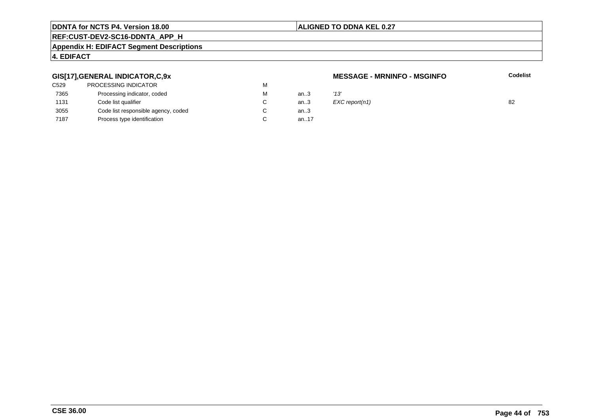## **ALIGNED TO DDNA KEL 0.27**

# **REF:CUST-DEV2-SC16-DDNTA\_APP\_H**

#### **Appendix H: EDIFACT Segment Descriptions**

## **4. EDIFACT**

### **GIS[17],GENERAL INDICATOR,C,9x**

| C529 | <b>PROCESSING INDICATOR</b>         | м |      |      |
|------|-------------------------------------|---|------|------|
| 7365 | Processing indicator, coded         | м | an.3 | '13' |
| 1131 | Code list qualifier                 |   | an.3 | EX   |
| 3055 | Code list responsible agency, coded |   | an.3 |      |
| 7187 | Process type identification         |   | an17 |      |
|      |                                     |   |      |      |

#### **MESSAGE - MRNINFO - MSGINFO**

| М | an3             | '13'           |    |
|---|-----------------|----------------|----|
| С | an.3            | EXC report(n1) | 82 |
| ⌒ | $\sim$ $\Omega$ |                |    |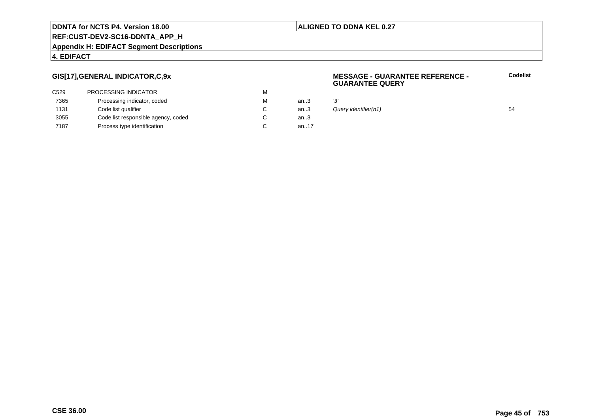#### **ALIGNED TO DDNA KEL 0.27**

**REF:CUST-DEV2-SC16-DDNTA\_APP\_H**

#### **Appendix H: EDIFACT Segment Descriptions**

### **4. EDIFACT**

### **GIS[17],GENERAL INDICATOR,C,9x**

| <b>PROCESSING INDICATOR</b>         | м |          |     |
|-------------------------------------|---|----------|-----|
| Processing indicator, coded         | М | an.3     | '3' |
| Code list qualifier                 |   | an.3     | Qı  |
| Code list responsible agency, coded | C | an.3     |     |
| Process type identification         |   | an. $17$ |     |
|                                     |   |          |     |

#### **MESSAGE - GUARANTEE REFERENCE - GUARANTEE QUERY**

| М  | an.3 | יפי                  |    |
|----|------|----------------------|----|
| С  | an.3 | Query identifier(n1) | 54 |
| C. | an 3 |                      |    |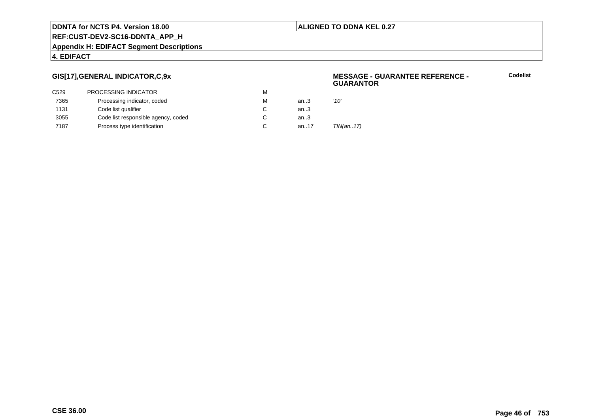#### **ALIGNED TO DDNA KEL 0.27**

**REF:CUST-DEV2-SC16-DDNTA\_APP\_H**

**Appendix H: EDIFACT Segment Descriptions**

### **4. EDIFACT**

### **GIS[17],GENERAL INDICATOR,C,9x**

|      |                                     |   |      | .         |
|------|-------------------------------------|---|------|-----------|
| C529 | PROCESSING INDICATOR                | м |      |           |
| 7365 | Processing indicator, coded         | м | an.3 | '10'      |
| 1131 | Code list qualifier                 | C | an3  |           |
| 3055 | Code list responsible agency, coded |   | an.3 |           |
| 7187 | Process type identification         | C | an17 | TIN(an17) |
|      |                                     |   |      |           |

#### **MESSAGE - GUARANTEE REFERENCE - GUARANTOR**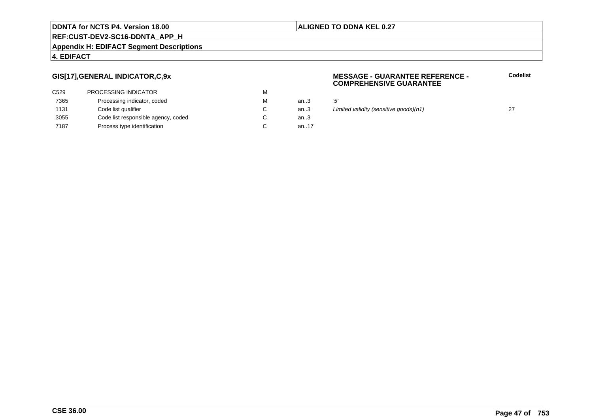### **ALIGNED TO DDNA KEL 0.27**

# **REF:CUST-DEV2-SC16-DDNTA\_APP\_H**

#### **Appendix H: EDIFACT Segment Descriptions**

### **4. EDIFACT**

## **GIS[17],GENERAL INDICATOR,C,9x**

| C <sub>529</sub> | <b>PROCESSING INDICATOR</b>         | М |          |     |
|------------------|-------------------------------------|---|----------|-----|
| 7365             | Processing indicator, coded         | М | an.3     | '5' |
| 1131             | Code list qualifier                 |   | an.3     | Liı |
| 3055             | Code list responsible agency, coded |   | an $3$   |     |
| 7187             | Process type identification         |   | an. $17$ |     |

#### **MESSAGE - GUARANTEE REFERENCE - COMPREHENSIVE GUARANTEE**

**Codelist**

an... 27<br>an... Limited validity (sensitive goods)(n1) 27<br>3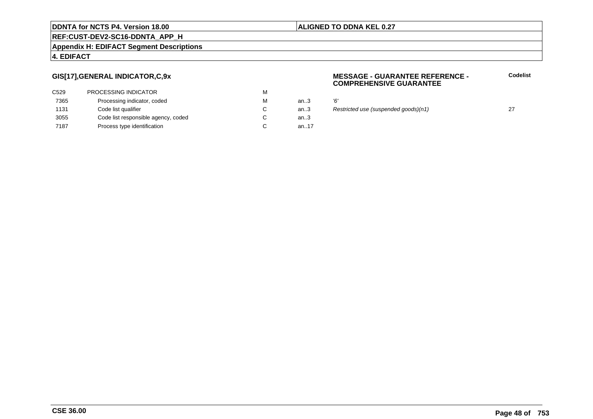### **ALIGNED TO DDNA KEL 0.27**

# **REF:CUST-DEV2-SC16-DDNTA\_APP\_H**

#### **Appendix H: EDIFACT Segment Descriptions**

### **4. EDIFACT**

### **GIS[17],GENERAL INDICATOR,C,9x**

| C <sub>529</sub> | <b>PROCESSING INDICATOR</b>         | М |          |    |
|------------------|-------------------------------------|---|----------|----|
| 7365             | Processing indicator, coded         | М | an.3     | Έ, |
| 1131             | Code list qualifier                 | C | an.3     | R  |
| 3055             | Code list responsible agency, coded |   | an.3     |    |
| 7187             | Process type identification         |   | an. $17$ |    |

#### **MESSAGE - GUARANTEE REFERENCE - COMPREHENSIVE GUARANTEE**

**Codelist**

an...<br>3 Restricted use (suspended goods)(n1) 27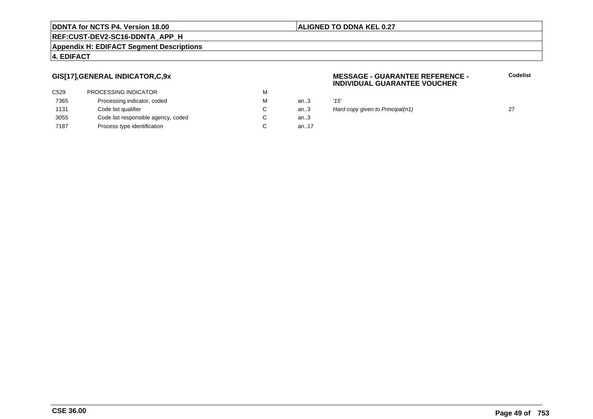#### **ALIGNED TO DDNA KEL 0.27**

**REF:CUST-DEV2-SC16-DDNTA\_APP\_H**

#### **Appendix H: EDIFACT Segment Descriptions**

#### **4. EDIFACT**

### **GIS[17],GENERAL INDICATOR,C,9x**

| C <sub>529</sub> | <b>PROCESSING INDICATOR</b>         | м |       |      |
|------------------|-------------------------------------|---|-------|------|
| 7365             | Processing indicator, coded         | М | an.3  | '15' |
| 1131             | Code list qualifier                 |   | an.3  | Haı  |
| 3055             | Code list responsible agency, coded |   | an.3  |      |
| 7187             | Process type identification         |   | an.17 |      |

#### **MESSAGE - GUARANTEE REFERENCE - INDIVIDUAL GUARANTEE VOUCHER**

| м | an $3$ | '15'                             |  |
|---|--------|----------------------------------|--|
| С | an $3$ | Hard copy given to Principal(n1) |  |
| ⌒ | on.    |                                  |  |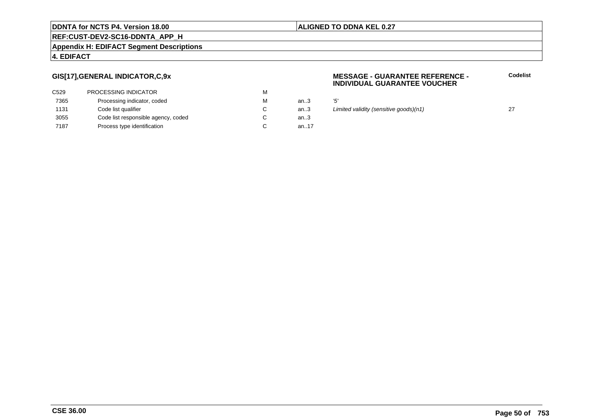#### **ALIGNED TO DDNA KEL 0.27**

**REF:CUST-DEV2-SC16-DDNTA\_APP\_H**

#### **Appendix H: EDIFACT Segment Descriptions**

### **4. EDIFACT**

### **GIS[17],GENERAL INDICATOR,C,9x**

| C <sub>529</sub> | <b>PROCESSING INDICATOR</b>         | М |          |     |
|------------------|-------------------------------------|---|----------|-----|
| 7365             | Processing indicator, coded         | М | an.3     | '5' |
| 1131             | Code list qualifier                 | C | an.3     | Liı |
| 3055             | Code list responsible agency, coded |   | an.3     |     |
| 7187             | Process type identification         |   | an. $17$ |     |

#### **MESSAGE - GUARANTEE REFERENCE - INDIVIDUAL GUARANTEE VOUCHER**

an... 27<br>an... Limited validity (sensitive goods)(n1) 27<br>3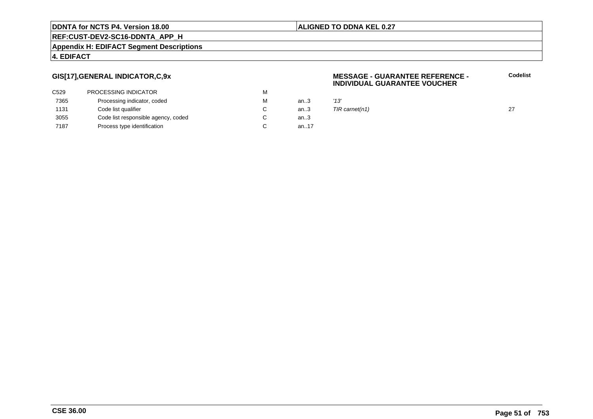#### **ALIGNED TO DDNA KEL 0.27**

**REF:CUST-DEV2-SC16-DDNTA\_APP\_H**

#### **Appendix H: EDIFACT Segment Descriptions**

### **4. EDIFACT**

### **GIS[17],GENERAL INDICATOR,C,9x**

| М |       |      |
|---|-------|------|
| м | an3   | '13' |
|   | an3   | TIR  |
|   | an.3  |      |
|   | an.17 |      |
|   |       |      |

#### **MESSAGE - GUARANTEE REFERENCE - INDIVIDUAL GUARANTEE VOUCHERCodelist**

 $TIR \, \text{carnet}(n1)$  27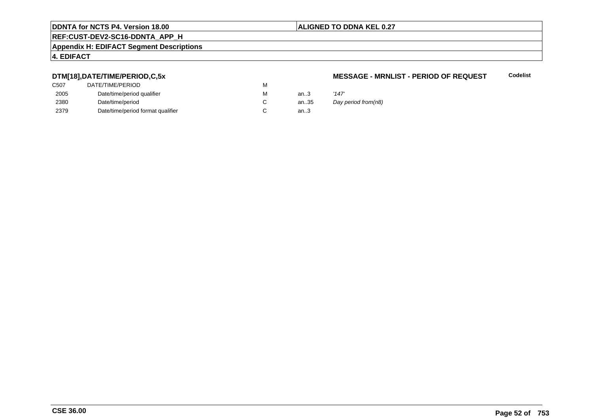#### **ALIGNED TO DDNA KEL 0.27**

# **REF:CUST-DEV2-SC16-DDNTA\_APP\_H**

#### **Appendix H: EDIFACT Segment Descriptions**

## **4. EDIFACT**

### **DTM[18],DATE/TIME/PERIOD,C,5x**

| C507 | DATE/TIME/PERIOD                  | М |      |                     |
|------|-----------------------------------|---|------|---------------------|
| 2005 | Date/time/period qualifier        | М | an.3 | '147'               |
| 2380 | Date/time/period                  |   | an35 | Day period from(n8) |
| 2379 | Date/time/period format qualifier |   | an.3 |                     |

#### **MESSAGE - MRNLIST - PERIOD OF REQUEST**

| '147'              |
|--------------------|
| Day period from(n8 |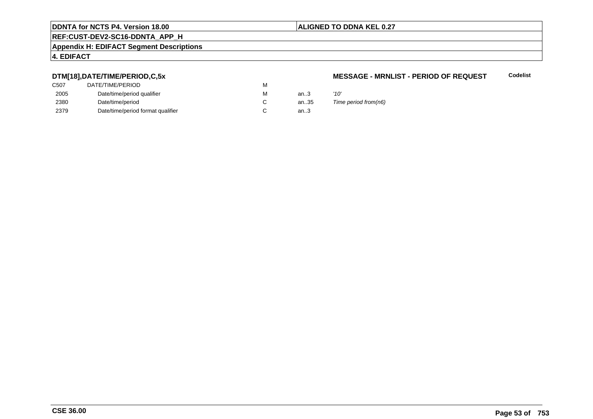### **ALIGNED TO DDNA KEL 0.27**

# **REF:CUST-DEV2-SC16-DDNTA\_APP\_H**

#### **Appendix H: EDIFACT Segment Descriptions**

## **4. EDIFACT**

### **DTM[18],DATE/TIME/PERIOD,C,5x**

| DATE/TIME/PERIOD                  | м |       |      |
|-----------------------------------|---|-------|------|
| Date/time/period qualifier        | м | an.3  | '10' |
| Date/time/period                  |   | an.35 | Tim  |
| Date/time/period format qualifier |   | an.3  |      |
|                                   |   |       |      |

#### **MESSAGE - MRNLIST - PERIOD OF REQUESTCodelist**

35 Time period from(n6)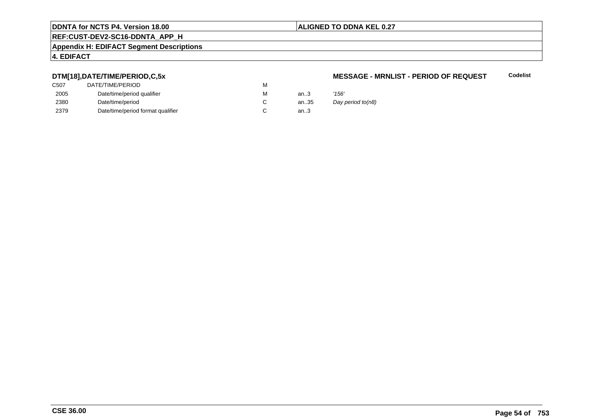#### **ALIGNED TO DDNA KEL 0.27**

# **REF:CUST-DEV2-SC16-DDNTA\_APP\_H**

#### **Appendix H: EDIFACT Segment Descriptions**

### **4. EDIFACT**

### **DTM[18],DATE/TIME/PERIOD,C,5x**

| C507 | DATE/TIME/PERIOD                  | М |      |       |
|------|-----------------------------------|---|------|-------|
| 2005 | Date/time/period qualifier        | М | an.3 | '156' |
| 2380 | Date/time/period                  |   | an35 | Day   |
| 2379 | Date/time/period format qualifier |   | an.3 |       |

#### **MESSAGE - MRNLIST - PERIOD OF REQUESTCodelist**

Day period to(n8)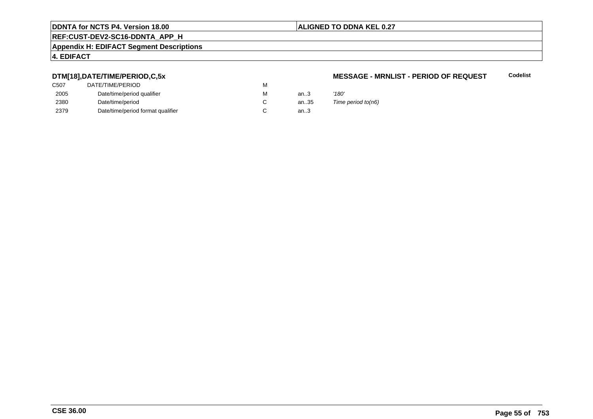### **ALIGNED TO DDNA KEL 0.27**

# **REF:CUST-DEV2-SC16-DDNTA\_APP\_H**

#### **Appendix H: EDIFACT Segment Descriptions**

## **4. EDIFACT**

### **DTM[18],DATE/TIME/PERIOD,C,5x**

| C507 | DATE/TIME/PERIOD                  | М |        |       |
|------|-----------------------------------|---|--------|-------|
| 2005 | Date/time/period qualifier        | М | an $3$ | '180' |
| 2380 | Date/time/period                  |   | an35   | Time  |
| 2379 | Date/time/period format qualifier |   | an.3   |       |

#### **MESSAGE - MRNLIST - PERIOD OF REQUESTCodelist**

Time period to( $n6$ )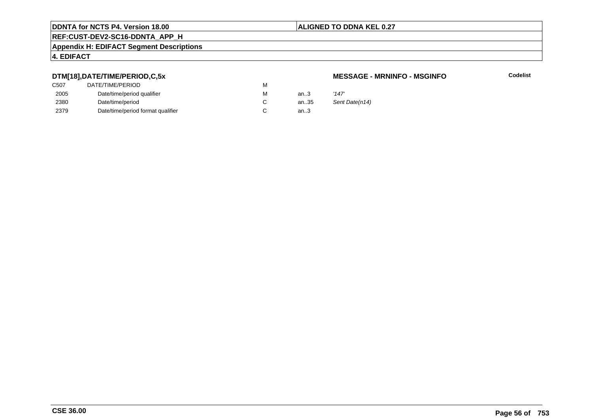#### **ALIGNED TO DDNA KEL 0.27**

# **REF:CUST-DEV2-SC16-DDNTA\_APP\_H**

#### **Appendix H: EDIFACT Segment Descriptions**

### **4. EDIFACT**

### **DTM[18],DATE/TIME/PERIOD,C,5x**

| C <sub>50</sub> 7 | DATE/TIME/PERIOD                  | м |        |       |
|-------------------|-----------------------------------|---|--------|-------|
| 2005              | Date/time/period qualifier        | м | an.3   | '147' |
| 2380              | Date/time/period                  |   | an35   | Sent  |
| 2379              | Date/time/period format qualifier |   | an $3$ |       |

#### **MESSAGE - MRNINFO - MSGINFO**

**Codelist**

Sent Date(n14)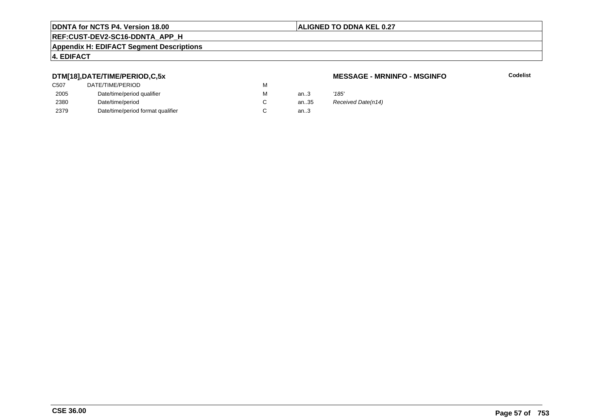### **ALIGNED TO DDNA KEL 0.27**

# **REF:CUST-DEV2-SC16-DDNTA\_APP\_H**

#### **Appendix H: EDIFACT Segment Descriptions**

### **4. EDIFACT**

### **DTM[18],DATE/TIME/PERIOD,C,5x**

| C507 | DATE/TIME/PERIOD                  | М |          |       |
|------|-----------------------------------|---|----------|-------|
| 2005 | Date/time/period qualifier        | М | an $3$   | '185' |
| 2380 | Date/time/period                  |   | an $.35$ | Rece  |
| 2379 | Date/time/period format qualifier |   | an.3     |       |

#### **MESSAGE - MRNINFO - MSGINFO**

**Codelist**

35 Received Date(n14)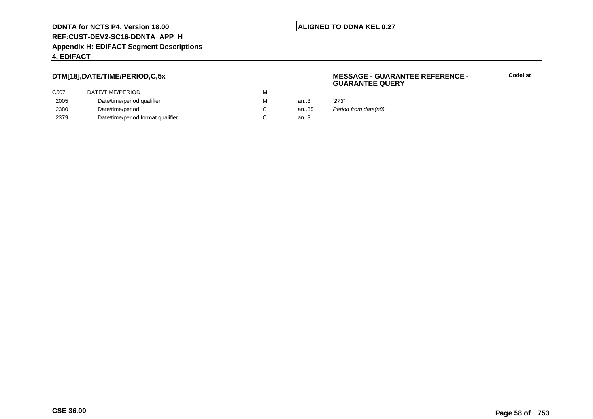**REF:CUST-DEV2-SC16-DDNTA\_APP\_H**

**Appendix H: EDIFACT Segment Descriptions**

### **4. EDIFACT**

## **DTM[18],DATE/TIME/PERIOD,C,5x**

| DATE/TIME/PERIOD                  | M |        |       |
|-----------------------------------|---|--------|-------|
| Date/time/period qualifier        | M | an $3$ | '273' |
| Date/time/period                  |   | an35   | Perio |
| Date/time/period format qualifier |   | an $3$ |       |
|                                   |   |        |       |

#### **MESSAGE - GUARANTEE REFERENCE - GUARANTEE QUERY**

**Codelist**

Period from date(n8)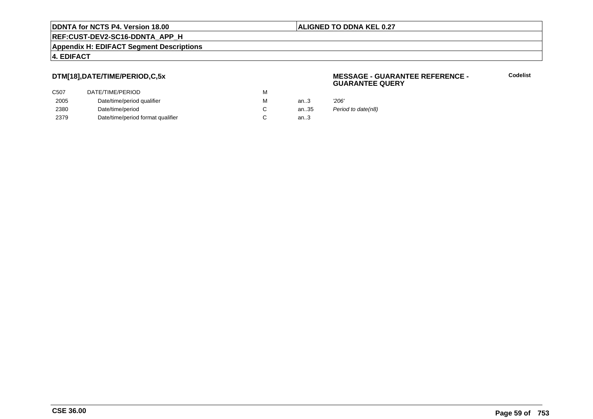**REF:CUST-DEV2-SC16-DDNTA\_APP\_H**

**Appendix H: EDIFACT Segment Descriptions**

### **4. EDIFACT**

## **DTM[18],DATE/TIME/PERIOD,C,5x**

| DATE/TIME/PERIOD                  | М |      |       |
|-----------------------------------|---|------|-------|
| Date/time/period qualifier        | M | an.3 | '206' |
| Date/time/period                  |   | an35 | Perio |
| Date/time/period format qualifier |   | an.3 |       |
|                                   |   |      |       |

#### **MESSAGE - GUARANTEE REFERENCE - GUARANTEE QUERY**

**Codelist**

Period to date(n8)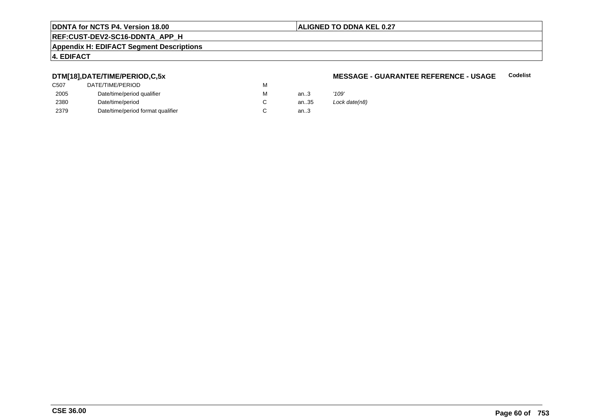#### **ALIGNED TO DDNA KEL 0.27**

# **REF:CUST-DEV2-SC16-DDNTA\_APP\_H**

#### **Appendix H: EDIFACT Segment Descriptions**

### **4. EDIFACT**

### **DTM[18],DATE/TIME/PERIOD,C,5x**

| C507 | DATE/TIME/PERIOD                  | М |        |       |
|------|-----------------------------------|---|--------|-------|
| 2005 | Date/time/period qualifier        | М | an.3   | '109' |
| 2380 | Date/time/period                  |   | an35   | Lock  |
| 2379 | Date/time/period format qualifier |   | an $3$ |       |

#### **MESSAGE - GUARANTEE REFERENCE - USAGECodelist**

Lock date(n8)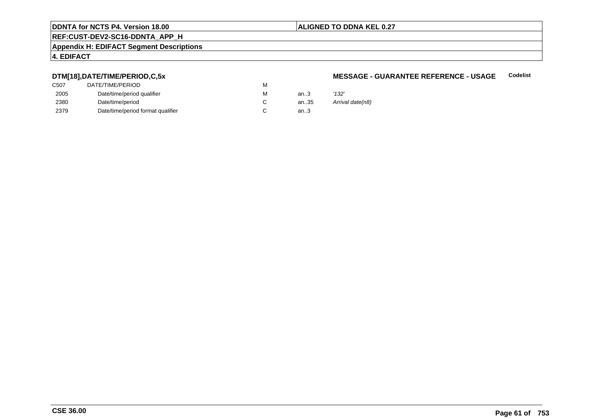#### **ALIGNED TO DDNA KEL 0.27**

# **REF:CUST-DEV2-SC16-DDNTA\_APP\_H**

#### **Appendix H: EDIFACT Segment Descriptions**

### **4. EDIFACT**

### **DTM[18],DATE/TIME/PERIOD,C,5x**

| C507 | DATE/TIME/PERIOD                  | М |        |       |
|------|-----------------------------------|---|--------|-------|
| 2005 | Date/time/period qualifier        | М | an $3$ | '132' |
| 2380 | Date/time/period                  |   | an35   | Arriv |
| 2379 | Date/time/period format qualifier |   | an.3   |       |

#### **MESSAGE - GUARANTEE REFERENCE - USAGECodelist**

Arrival date(n8)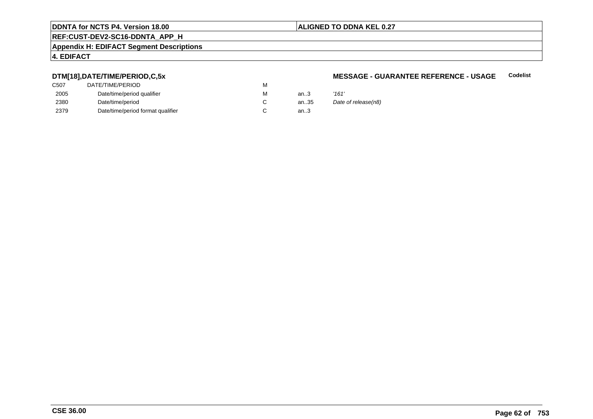### **ALIGNED TO DDNA KEL 0.27**

# **REF:CUST-DEV2-SC16-DDNTA\_APP\_H**

#### **Appendix H: EDIFACT Segment Descriptions**

## **4. EDIFACT**

### **DTM[18],DATE/TIME/PERIOD,C,5x**

| C507 | DATE/TIME/PERIOD                  | М |      |       |
|------|-----------------------------------|---|------|-------|
| 2005 | Date/time/period qualifier        | М | an.3 | '161' |
| 2380 | Date/time/period                  |   | an35 | Date  |
| 2379 | Date/time/period format qualifier |   | an.3 |       |

#### **MESSAGE - GUARANTEE REFERENCE - USAGECodelist**

| м | an.3 | '161'               |
|---|------|---------------------|
| С | an35 | Date of release(n8) |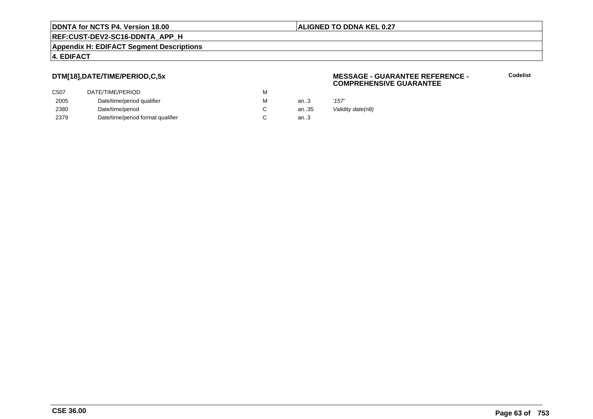**REF:CUST-DEV2-SC16-DDNTA\_APP\_H**

**Appendix H: EDIFACT Segment Descriptions**

### **4. EDIFACT**

## **DTM[18],DATE/TIME/PERIOD,C,5x**

| DATE/TIME/PERIOD                  | M |        |       |
|-----------------------------------|---|--------|-------|
| Date/time/period qualifier        | M | an.3   | '157' |
| Date/time/period                  |   | an35   | Valic |
| Date/time/period format qualifier |   | an $3$ |       |
|                                   |   |        |       |

#### **MESSAGE - GUARANTEE REFERENCE - COMPREHENSIVE GUARANTEE**

**Codelist**

Validity date(n8)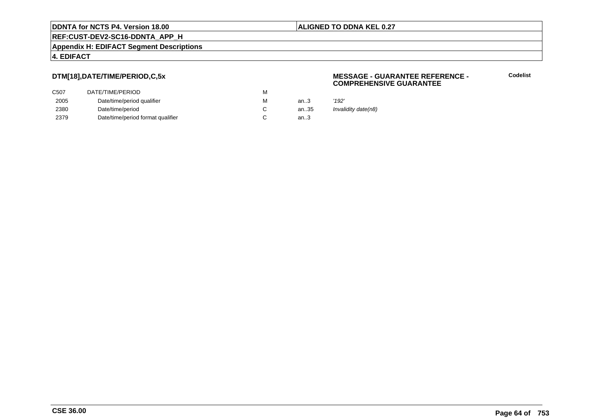**REF:CUST-DEV2-SC16-DDNTA\_APP\_H**

**Appendix H: EDIFACT Segment Descriptions**

### **4. EDIFACT**

## **DTM[18],DATE/TIME/PERIOD,C,5x**

| C507 | DATE/TIME/PERIOD                  | M |        |       |
|------|-----------------------------------|---|--------|-------|
| 2005 | Date/time/period qualifier        | M | an.3   | '192' |
| 2380 | Date/time/period                  |   | an35   | Inval |
| 2379 | Date/time/period format qualifier |   | an $3$ |       |

#### **MESSAGE - GUARANTEE REFERENCE - COMPREHENSIVE GUARANTEE**

**Codelist**

Invalidity date(n8)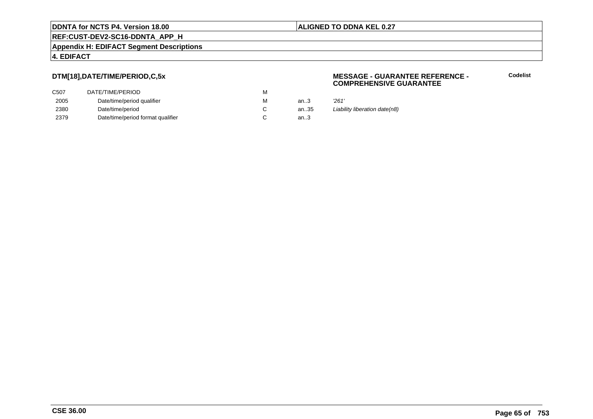**REF:CUST-DEV2-SC16-DDNTA\_APP\_H**

**Appendix H: EDIFACT Segment Descriptions**

### **4. EDIFACT**

## **DTM[18],DATE/TIME/PERIOD,C,5x**

| DATE/TIME/PERIOD                  | M |        |       |
|-----------------------------------|---|--------|-------|
| Date/time/period qualifier        | M | an.3   | '261' |
| Date/time/period                  |   | an35   | Liabi |
| Date/time/period format qualifier |   | an $3$ |       |
|                                   |   |        |       |

#### **MESSAGE - GUARANTEE REFERENCE - COMPREHENSIVE GUARANTEE**

| м | an3  | 261'                          |
|---|------|-------------------------------|
| С | an35 | Liability liberation date(n8) |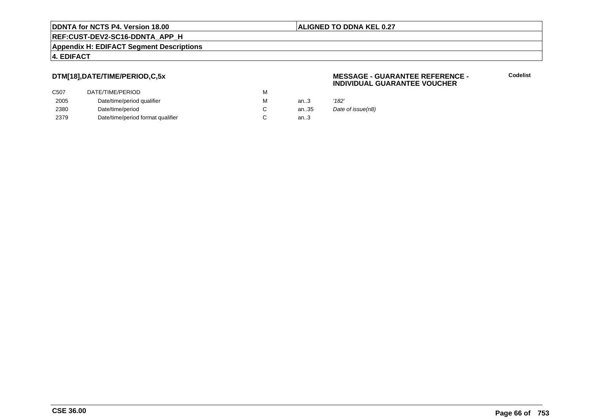**REF:CUST-DEV2-SC16-DDNTA\_APP\_H**

**Appendix H: EDIFACT Segment Descriptions**

### **4. EDIFACT**

## **DTM[18],DATE/TIME/PERIOD,C,5x**

| C507 | DATE/TIME/PERIOD                  | М |      |       |
|------|-----------------------------------|---|------|-------|
| 2005 | Date/time/period qualifier        | M | an.3 | '182' |
| 2380 | Date/time/period                  |   | an35 | Date  |
| 2379 | Date/time/period format qualifier |   | an.3 |       |

#### **MESSAGE - GUARANTEE REFERENCE - INDIVIDUAL GUARANTEE VOUCHER**

**Codelist**

Date of issue(n8)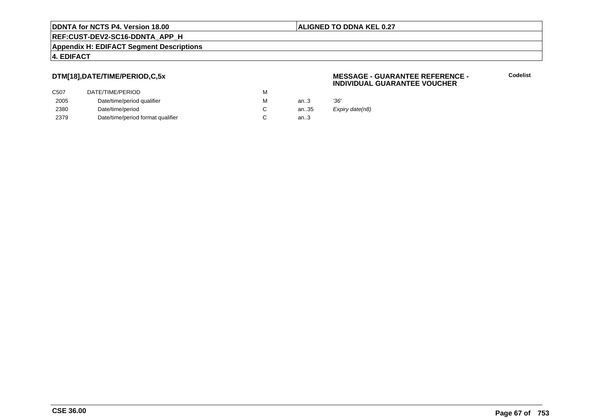**REF:CUST-DEV2-SC16-DDNTA\_APP\_H**

**Appendix H: EDIFACT Segment Descriptions**

### **4. EDIFACT**

## **DTM[18],DATE/TIME/PERIOD,C,5x**

| DATE/TIME/PERIOD                  | м |      |      |
|-----------------------------------|---|------|------|
| Date/time/period qualifier        | м | an3  | '36' |
| Date/time/period                  |   | an35 | Exp  |
| Date/time/period format qualifier |   | an.3 |      |
|                                   |   |      |      |

#### **MESSAGE - GUARANTEE REFERENCE - INDIVIDUAL GUARANTEE VOUCHER**

**Codelist**

xpiry date(n8)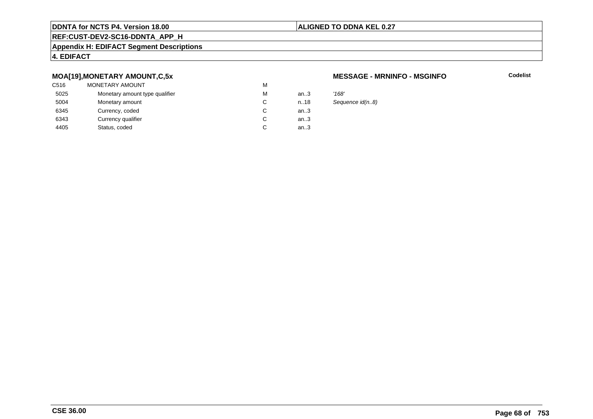#### **ALIGNED TO DDNA KEL 0.27**

# **REF:CUST-DEV2-SC16-DDNTA\_APP\_H**

#### **Appendix H: EDIFACT Segment Descriptions**

### **4. EDIFACT**

### **MOA[19],MONETARY AMOUNT,C,5x**

| C516 | <b>MONETARY AMOUNT</b>         | M |      |       |
|------|--------------------------------|---|------|-------|
| 5025 | Monetary amount type qualifier | М | an.3 | '168' |
| 5004 | Monetary amount                | C | n.18 | Sequ  |
| 6345 | Currency, coded                | C | an.3 |       |
| 6343 | Currency qualifier             | C | an.3 |       |
| 4405 | Status, coded                  | C | an.3 |       |
|      |                                |   |      |       |

#### **MESSAGE - MRNINFO - MSGINFO**

**Codelist**

Sequence id(n..8)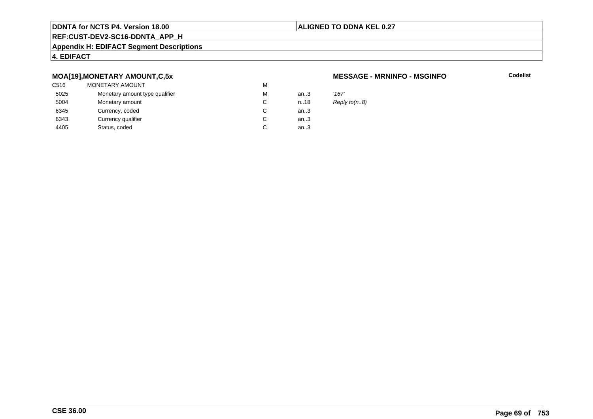#### **ALIGNED TO DDNA KEL 0.27**

# **REF:CUST-DEV2-SC16-DDNTA\_APP\_H**

#### **Appendix H: EDIFACT Segment Descriptions**

## **4. EDIFACT**

### **MOA[19],MONETARY AMOUNT,C,5x**

| C516 | <b>MONETARY AMOUNT</b>         | M |        |       |
|------|--------------------------------|---|--------|-------|
| 5025 | Monetary amount type qualifier | M | an $3$ | '167' |
| 5004 | Monetary amount                | C | n.18   | Repl  |
| 6345 | Currency, coded                | C | an $3$ |       |
| 6343 | Currency qualifier             | C | an $3$ |       |
| 4405 | Status, coded                  | C | an.3   |       |
|      |                                |   |        |       |

#### **MESSAGE - MRNINFO - MSGINFO**

**Codelist**

Reply to(n..8)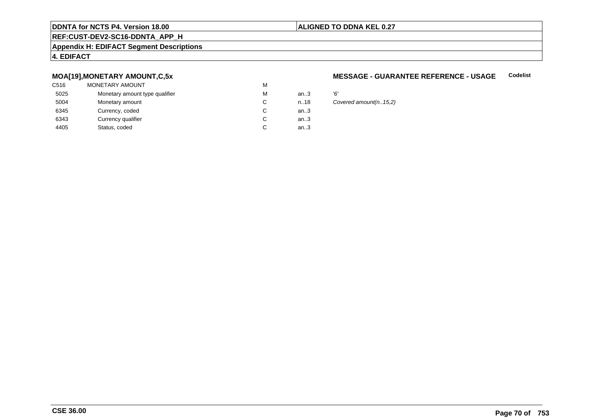#### **ALIGNED TO DDNA KEL 0.27**

# **REF:CUST-DEV2-SC16-DDNTA\_APP\_H**

#### **Appendix H: EDIFACT Segment Descriptions**

### **4. EDIFACT**

### **MOA[19],MONETARY AMOUNT,C,5x**

| C516 | MONETARY AMOUNT                | M |      |    |
|------|--------------------------------|---|------|----|
| 5025 | Monetary amount type qualifier | M | an.3 | Έ, |
| 5004 | Monetary amount                | C | n.18 | Co |
| 6345 | Currency, coded                | С | an.3 |    |
| 6343 | Currency qualifier             | C | an.3 |    |
| 4405 | Status, coded                  | C | an.3 |    |
|      |                                |   |      |    |

#### **MESSAGE - GUARANTEE REFERENCE - USAGECodelist**

Covered amount(n..15,2)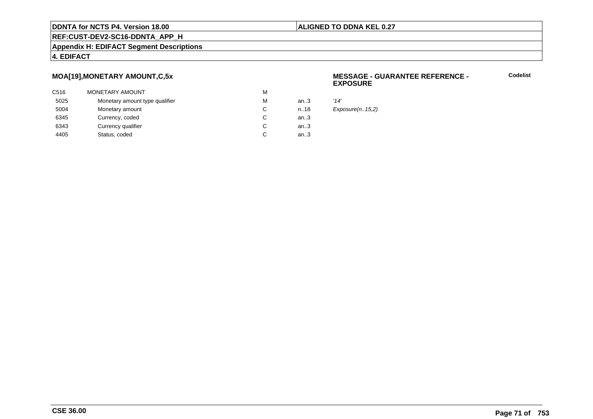#### **ALIGNED TO DDNA KEL 0.27**

**REF:CUST-DEV2-SC16-DDNTA\_APP\_H**

#### **Appendix H: EDIFACT Segment Descriptions**

#### **4. EDIFACT**

### **MOA[19],MONETARY AMOUNT,C,5x**

| C516 | MONETARY AMOUNT                | М |      |      |
|------|--------------------------------|---|------|------|
| 5025 | Monetary amount type qualifier | М | an3  | '14' |
| 5004 | Monetary amount                | C | n.18 | Exp  |
| 6345 | Currency, coded                | C | an.3 |      |
| 6343 | Currency qualifier             | C | an.3 |      |
| 4405 | Status, coded                  | C | an.3 |      |
|      |                                |   |      |      |

#### **MESSAGE - GUARANTEE REFERENCE - EXPOSURE**

**Codelist**

 $Exposure(n..15,2)$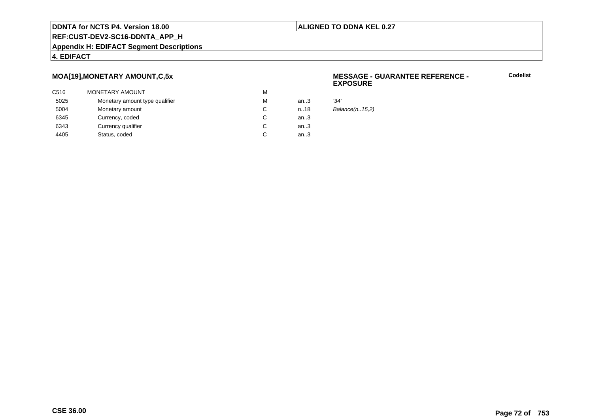#### **ALIGNED TO DDNA KEL 0.27**

**REF:CUST-DEV2-SC16-DDNTA\_APP\_H**

#### **Appendix H: EDIFACT Segment Descriptions**

#### **4. EDIFACT**

### **MOA[19],MONETARY AMOUNT,C,5x**

| C516 | MONETARY AMOUNT                | М |      |      |
|------|--------------------------------|---|------|------|
| 5025 | Monetary amount type qualifier | М | an3  | '34' |
| 5004 | Monetary amount                | C | n.18 | Bal  |
| 6345 | Currency, coded                | C | an.3 |      |
| 6343 | Currency qualifier             | C | an.3 |      |
| 4405 | Status, coded                  | C | an.3 |      |
|      |                                |   |      |      |

#### **MESSAGE - GUARANTEE REFERENCE - EXPOSURE**

**Codelist**

 $Balance(n..15,2)$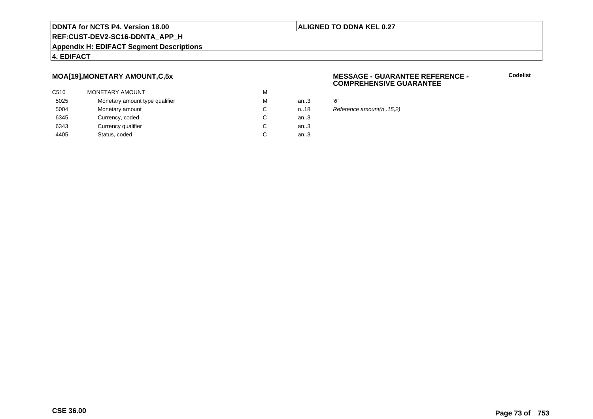### **ALIGNED TO DDNA KEL 0.27**

**REF:CUST-DEV2-SC16-DDNTA\_APP\_H**

### **Appendix H: EDIFACT Segment Descriptions**

### **4. EDIFACT**

### **MOA[19],MONETARY AMOUNT,C,5x**

| C516 | MONETARY AMOUNT                | M |      |   |
|------|--------------------------------|---|------|---|
| 5025 | Monetary amount type qualifier | M | an.3 | Έ |
| 5004 | Monetary amount                | C | n.18 | R |
| 6345 | Currency, coded                | C | an.3 |   |
| 6343 | Currency qualifier             | C | an.3 |   |
| 4405 | Status, coded                  | C | an.3 |   |
|      |                                |   |      |   |

### **MESSAGE - GUARANTEE REFERENCE - COMPREHENSIVE GUARANTEE**

**Codelist**

Reference amount(n..15,2)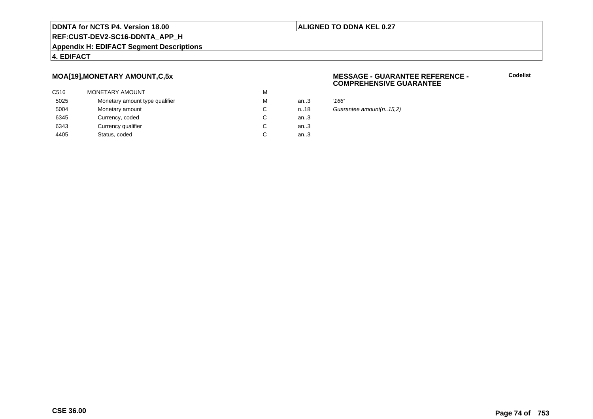### **ALIGNED TO DDNA KEL 0.27**

# **REF:CUST-DEV2-SC16-DDNTA\_APP\_H**

### **Appendix H: EDIFACT Segment Descriptions**

### **4. EDIFACT**

### **MOA[19],MONETARY AMOUNT,C,5x**

| C516 | <b>MONETARY AMOUNT</b>         | M |        |       |
|------|--------------------------------|---|--------|-------|
| 5025 | Monetary amount type qualifier | M | an.3   | '166' |
| 5004 | Monetary amount                | C | n.18   | Guai  |
| 6345 | Currency, coded                | C | an $3$ |       |
| 6343 | Currency qualifier             | C | an.3   |       |
| 4405 | Status, coded                  | C | an.3   |       |
|      |                                |   |        |       |

### **MESSAGE - GUARANTEE REFERENCE - COMPREHENSIVE GUARANTEE**

**Codelist**

Guarantee amount(n..15,2)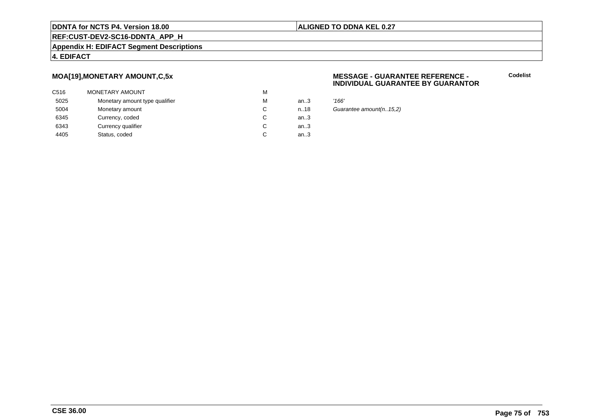### **ALIGNED TO DDNA KEL 0.27**

## **REF:CUST-DEV2-SC16-DDNTA\_APP\_H**

### **Appendix H: EDIFACT Segment Descriptions**

### **4. EDIFACT**

### **MOA[19],MONETARY AMOUNT,C,5x**

| C516 | <b>MONETARY AMOUNT</b>         | M |        |       |
|------|--------------------------------|---|--------|-------|
| 5025 | Monetary amount type qualifier | M | an.3   | '166' |
| 5004 | Monetary amount                | C | n.18   | Guai  |
| 6345 | Currency, coded                | C | an $3$ |       |
| 6343 | Currency qualifier             | C | an.3   |       |
| 4405 | Status, coded                  | C | an.3   |       |
|      |                                |   |        |       |

### **MESSAGE - GUARANTEE REFERENCE - INDIVIDUAL GUARANTEE BY GUARANTOR**

**Codelist**

Guarantee amount(n..15,2)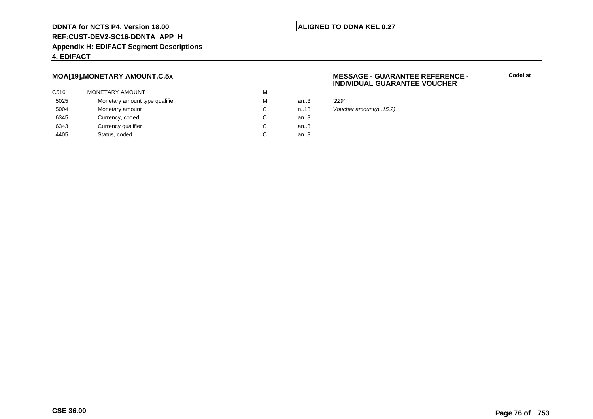### **ALIGNED TO DDNA KEL 0.27**

**REF:CUST-DEV2-SC16-DDNTA\_APP\_H**

**Appendix H: EDIFACT Segment Descriptions**

### **4. EDIFACT**

### **MOA[19],MONETARY AMOUNT,C,5x**

| C516 | <b>MONETARY AMOUNT</b>         | M |        |       |
|------|--------------------------------|---|--------|-------|
| 5025 | Monetary amount type qualifier | M | an $3$ | '229' |
| 5004 | Monetary amount                | C | n.18   | Vouc  |
| 6345 | Currency, coded                | C | an $3$ |       |
| 6343 | Currency qualifier             | C | an.3   |       |
| 4405 | Status, coded                  | C | an.3   |       |
|      |                                |   |        |       |

### **MESSAGE - GUARANTEE REFERENCE - INDIVIDUAL GUARANTEE VOUCHER**

**Codelist**

Voucher amount(n..15,2)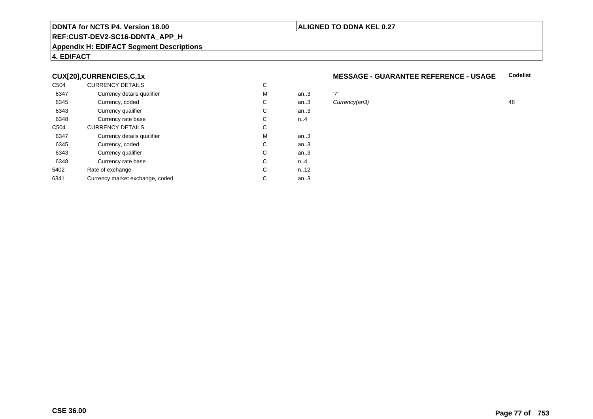### **REF:CUST-DEV2-SC16-DDNTA\_APP\_H**

### **Appendix H: EDIFACT Segment Descriptions**

## **4. EDIFACT**

### **CUX[20],CURRENCIES,C,1x**

| C504 | <b>CURRENCY DETAILS</b>         | C |      |               |    |
|------|---------------------------------|---|------|---------------|----|
| 6347 | Currency details qualifier      | M | an.3 | '7'           |    |
| 6345 | Currency, coded                 | C | an.3 | Currency(an3) | 48 |
| 6343 | Currency qualifier              | C | an.3 |               |    |
| 6348 | Currency rate base              | C | n.4  |               |    |
| C504 | <b>CURRENCY DETAILS</b>         | C |      |               |    |
| 6347 | Currency details qualifier      | M | an.3 |               |    |
| 6345 | Currency, coded                 | C | an.3 |               |    |
| 6343 | Currency qualifier              | C | an.3 |               |    |
| 6348 | Currency rate base              | C | n.4  |               |    |
| 5402 | Rate of exchange                | C | n.12 |               |    |
| 6341 | Currency market exchange, coded | C | an.3 |               |    |

### **MESSAGE - GUARANTEE REFERENCE - USAGECodelist**

**ALIGNED TO DDNA KEL 0.27**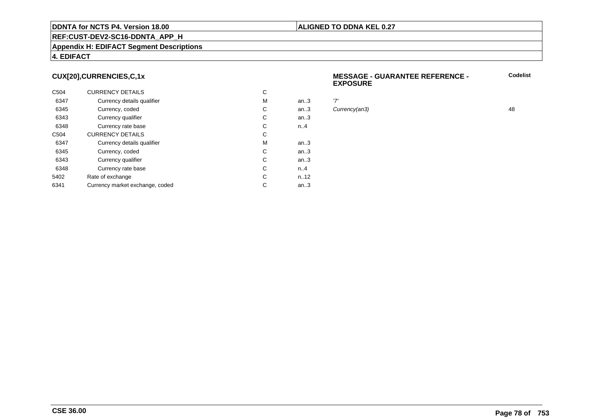### **REF:CUST-DEV2-SC16-DDNTA\_APP\_H**

### **Appendix H: EDIFACT Segment Descriptions**

## **4. EDIFACT**

### **CUX[20],CURRENCIES,C,1x**

| C <sub>504</sub> | <b>CURRENCY DETAILS</b>         | С |        |     |
|------------------|---------------------------------|---|--------|-----|
| 6347             | Currency details qualifier      | M | an.3   | '7' |
| 6345             | Currency, coded                 | С | an.3   | Cι  |
| 6343             | Currency qualifier              | С | an.3   |     |
| 6348             | Currency rate base              | С | n.A    |     |
| C <sub>504</sub> | <b>CURRENCY DETAILS</b>         | C |        |     |
| 6347             | Currency details qualifier      | M | an $3$ |     |
| 6345             | Currency, coded                 | С | an.3   |     |
| 6343             | Currency qualifier              | C | an.3   |     |
| 6348             | Currency rate base              | C | n.A    |     |
| 5402             | Rate of exchange                | C | n.12   |     |
| 6341             | Currency market exchange, coded | С | an.3   |     |

### **MESSAGE - GUARANTEE REFERENCE - EXPOSURECodelist**

Currency(an3) 48

**ALIGNED TO DDNA KEL 0.27**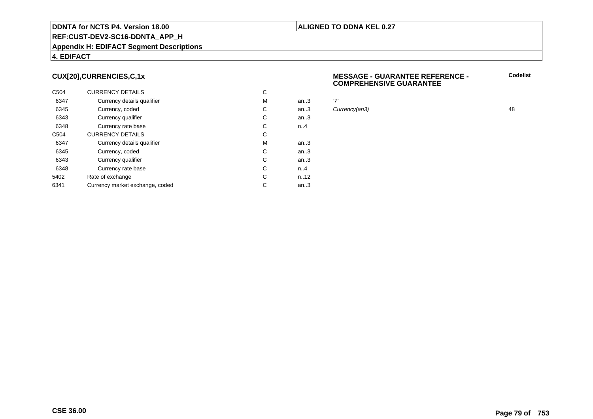### **REF:CUST-DEV2-SC16-DDNTA\_APP\_H**

### **CUX[20],CURRENCIES,C,1x**

| C <sub>504</sub> | <b>CURRENCY DETAILS</b>         | С |        |     |
|------------------|---------------------------------|---|--------|-----|
| 6347             | Currency details qualifier      | М | an.3   | '7' |
| 6345             | Currency, coded                 | С | an.3   | Cι  |
| 6343             | Currency qualifier              | С | an.3   |     |
| 6348             | Currency rate base              | С | n.A    |     |
| C <sub>504</sub> | <b>CURRENCY DETAILS</b>         | С |        |     |
| 6347             | Currency details qualifier      | М | an $3$ |     |
| 6345             | Currency, coded                 | С | an.3   |     |
| 6343             | Currency qualifier              | С | an.3   |     |
| 6348             | Currency rate base              | С | n.A    |     |
| 5402             | Rate of exchange                | С | n.12   |     |
| 6341             | Currency market exchange, coded | С | an.3   |     |

### **MESSAGE - GUARANTEE REFERENCE - COMPREHENSIVE GUARANTEE**

**Codelist**

Currency(an3) 48

**ALIGNED TO DDNA KEL 0.27**

**Appendix H: EDIFACT Segment Descriptions**

### **4. EDIFACT**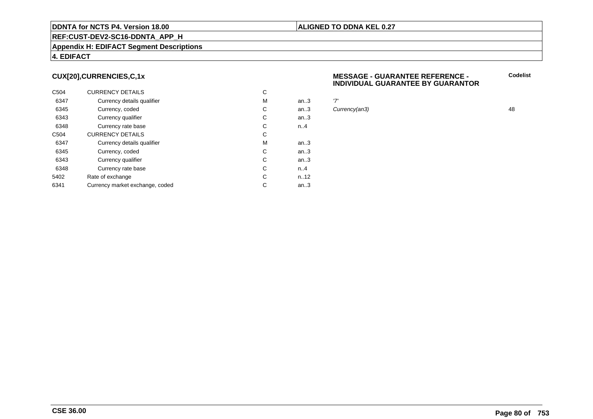### **REF:CUST-DEV2-SC16-DDNTA\_APP\_H**

### **Appendix H: EDIFACT Segment Descriptions**

### **4. EDIFACT**

### **CUX[20],CURRENCIES,C,1x**

| C <sub>504</sub> | <b>CURRENCY DETAILS</b>         | С |      |     |
|------------------|---------------------------------|---|------|-----|
| 6347             | Currency details qualifier      | М | an.3 | '7' |
| 6345             | Currency, coded                 | С | an.3 | Cι  |
| 6343             | Currency qualifier              | С | an.3 |     |
| 6348             | Currency rate base              | С | n.A  |     |
| C <sub>504</sub> | <b>CURRENCY DETAILS</b>         | С |      |     |
| 6347             | Currency details qualifier      | М | an.3 |     |
| 6345             | Currency, coded                 | С | an.3 |     |
| 6343             | Currency qualifier              | C | an.3 |     |
| 6348             | Currency rate base              | C | n.A  |     |
| 5402             | Rate of exchange                | С | n.12 |     |
| 6341             | Currency market exchange, coded | С | an.3 |     |

### **MESSAGE - GUARANTEE REFERENCE - INDIVIDUAL GUARANTEE BY GUARANTOR**

Currency(an3) 48

**ALIGNED TO DDNA KEL 0.27**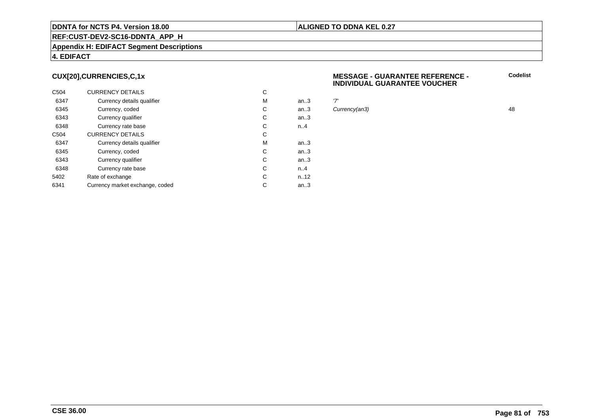### **REF:CUST-DEV2-SC16-DDNTA\_APP\_H**

### **Appendix H: EDIFACT Segment Descriptions**

### **4. EDIFACT**

### **CUX[20],CURRENCIES,C,1x**

| C <sub>504</sub> | <b>CURRENCY DETAILS</b>         | С |        |     |
|------------------|---------------------------------|---|--------|-----|
| 6347             | Currency details qualifier      | М | an.3   | '7' |
| 6345             | Currency, coded                 | С | an.3   | Cι  |
| 6343             | Currency qualifier              | С | an.3   |     |
| 6348             | Currency rate base              | С | n.A    |     |
| C <sub>504</sub> | <b>CURRENCY DETAILS</b>         | С |        |     |
| 6347             | Currency details qualifier      | М | an $3$ |     |
| 6345             | Currency, coded                 | С | an.3   |     |
| 6343             | Currency qualifier              | С | an.3   |     |
| 6348             | Currency rate base              | С | n.A    |     |
| 5402             | Rate of exchange                | С | n.12   |     |
| 6341             | Currency market exchange, coded | С | an.3   |     |

### **MESSAGE - GUARANTEE REFERENCE - INDIVIDUAL GUARANTEE VOUCHER**

Currency(an3) 48

**ALIGNED TO DDNA KEL 0.27**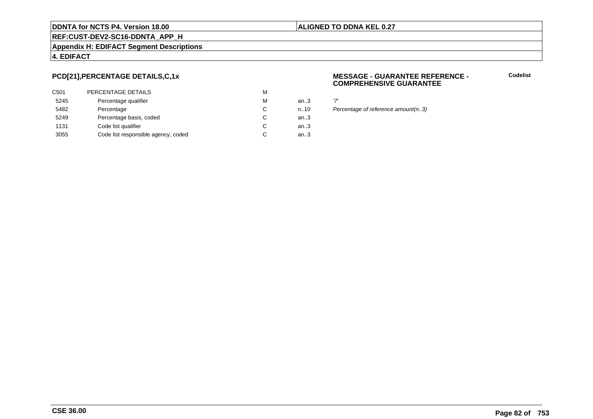### **ALIGNED TO DDNA KEL 0.27**

**REF:CUST-DEV2-SC16-DDNTA\_APP\_H**

### **Appendix H: EDIFACT Segment Descriptions**

### **4. EDIFACT**

## **PCD[21],PERCENTAGE DETAILS,C,1x**

| C501 | PERCENTAGE DETAILS                  | M |      |                |
|------|-------------------------------------|---|------|----------------|
| 5245 | Percentage qualifier                | M | an.3 | $\overline{7}$ |
| 5482 | Percentage                          | C | n.10 | Pι             |
| 5249 | Percentage basis, coded             | С | an.3 |                |
| 1131 | Code list qualifier                 | С | an.3 |                |
| 3055 | Code list responsible agency, coded | С | an.3 |                |
|      |                                     |   |      |                |

### **MESSAGE - GUARANTEE REFERENCE - COMPREHENSIVE GUARANTEE**

**Codelist**

n..10 Percentage of reference amount(n..3)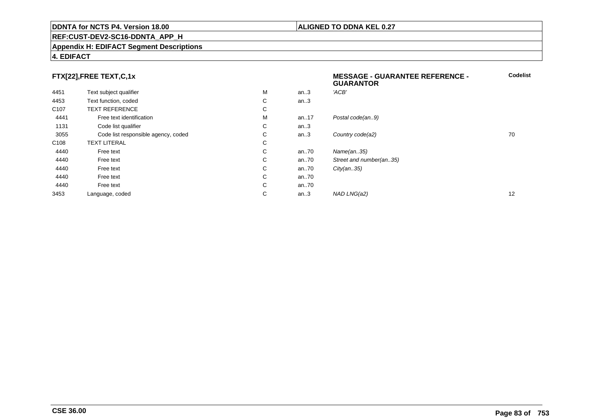### **REF:CUST-DEV2-SC16-DDNTA\_APP\_H**

### **Appendix H: EDIFACT Segment Descriptions**

### **4. EDIFACT**

## **FTX[22],FREE TEXT,C,1x**

|                                     |   |      | <b>GUARANTOR</b>        |    |
|-------------------------------------|---|------|-------------------------|----|
| Text subject qualifier              | М | an.3 | 'ACB'                   |    |
| Text function, coded                | С | an.3 |                         |    |
| <b>TEXT REFERENCE</b>               | С |      |                         |    |
| Free text identification            | М | an17 | Postal code(an9)        |    |
| Code list qualifier                 | С | an.3 |                         |    |
| Code list responsible agency, coded | С | an.3 | Country code(a2)        | 70 |
| <b>TEXT LITERAL</b>                 | С |      |                         |    |
| Free text                           | C | an70 | Name(an35)              |    |
| Free text                           | С | an70 | Street and number(an35) |    |
| Free text                           | C | an70 | City(an35)              |    |
| Free text                           | C | an70 |                         |    |
| Free text                           | С | an70 |                         |    |
| Language, coded                     | С | an.3 | NAD LNG(a2)             | 12 |
|                                     |   |      |                         |    |

**ALIGNED TO DDNA KEL 0.27**

**MESSAGE - GUARANTEE REFERENCE -**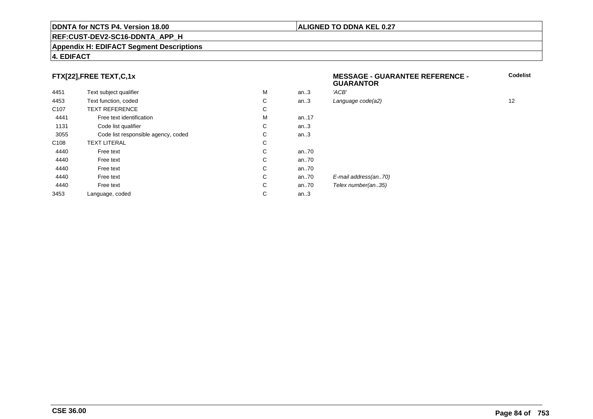### **REF:CUST-DEV2-SC16-DDNTA\_APP\_H**

### **Appendix H: EDIFACT Segment Descriptions**

### **4. EDIFACT**

## **FTX[22],FREE TEXT,C,1x**

| 4451             | Text subject qualifier              | M | an.3      | 'ACB'      |
|------------------|-------------------------------------|---|-----------|------------|
| 4453             | Text function, coded                | C | an.3      | Language   |
| C <sub>107</sub> | <b>TEXT REFERENCE</b>               | С |           |            |
| 4441             | Free text identification            | M | an. $.17$ |            |
| 1131             | Code list qualifier                 | C | an.3      |            |
| 3055             | Code list responsible agency, coded | С | an.3      |            |
| C <sub>108</sub> | <b>TEXT LITERAL</b>                 | C |           |            |
| 4440             | Free text                           | C | an70      |            |
| 4440             | Free text                           | C | an70      |            |
| 4440             | Free text                           | C | an70      |            |
| 4440             | Free text                           | C | an70      | E-mail add |
| 4440             | Free text                           | C | an70      | Telex num  |
| 3453             | Language, coded                     | C | an.3      |            |
|                  |                                     |   |           |            |

 **MESSAGE - GUARANTEE REFERENCE - GUARANTORCodelist** $C$  an..3 Language code(a2) and  $12$ dress(an..70) nber(an..35)

### **CSE 36.00**

### **ALIGNED TO DDNA KEL 0.27**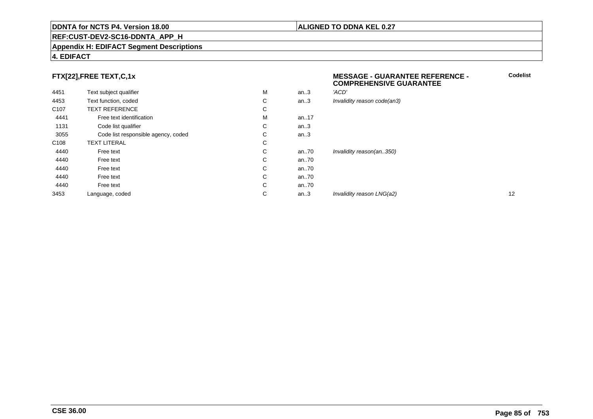### **REF:CUST-DEV2-SC16-DDNTA\_APP\_H**

### **Appendix H: EDIFACT Segment Descriptions**

### **4. EDIFACT**

## **FTX[22],FREE TEXT,C,1x**

| 4451             | Text subject qualifier              | M | an.3   | 'ACD'                       |    |
|------------------|-------------------------------------|---|--------|-----------------------------|----|
| 4453             | Text function, coded                | C | an $3$ | Invalidity reason code(an3) |    |
| C <sub>107</sub> | <b>TEXT REFERENCE</b>               | С |        |                             |    |
| 4441             | Free text identification            | M | an17   |                             |    |
| 1131             | Code list qualifier                 | С | an.3   |                             |    |
| 3055             | Code list responsible agency, coded | C | an.3   |                             |    |
| C108             | <b>TEXT LITERAL</b>                 | С |        |                             |    |
| 4440             | Free text                           | С | an70   | Invalidity reason(an350)    |    |
| 4440             | Free text                           | C | an70   |                             |    |
| 4440             | Free text                           | С | an70   |                             |    |
| 4440             | Free text                           | C | an70   |                             |    |
| 4440             | Free text                           | C | an70   |                             |    |
| 3453             | Language, coded                     | С | an.3   | Invalidity reason LNG(a2)   | 12 |
|                  |                                     |   |        |                             |    |

### **ALIGNED TO DDNA KEL 0.27**

### **MESSAGE - GUARANTEE REFERENCE - COMPREHENSIVE GUARANTEE**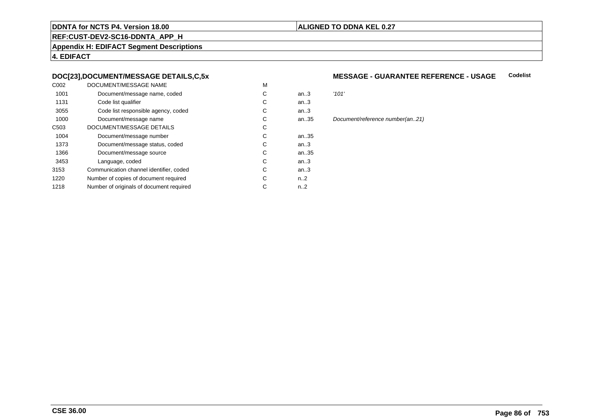### **ALIGNED TO DDNA KEL 0.27**

**REF:CUST-DEV2-SC16-DDNTA\_APP\_H**

**Appendix H: EDIFACT Segment Descriptions**

**4. EDIFACT**

### **DOC[23],DOCUMENT/MESSAGE DETAILS,C,5x**

| C002             | DOCUMENT/MESSAGE NAME                    | M |                  |       |
|------------------|------------------------------------------|---|------------------|-------|
| 1001             | Document/message name, coded             | С | an.3             | '101' |
| 1131             | Code list qualifier                      | С | an.3             |       |
| 3055             | Code list responsible agency, coded      | С | an.3             |       |
| 1000             | Document/message name                    | С | an35             | Docu  |
| C <sub>503</sub> | DOCUMENT/MESSAGE DETAILS                 | С |                  |       |
| 1004             | Document/message number                  | С | an35             |       |
| 1373             | Document/message status, coded           | С | an.3             |       |
| 1366             | Document/message source                  | С | an35             |       |
| 3453             | Language, coded                          | С | an.3             |       |
| 3153             | Communication channel identifier, coded  | С | an.3             |       |
| 1220             | Number of copies of document required    | С | n2               |       |
| 1218             | Number of originals of document required | С | n <sub>1</sub> 2 |       |
|                  |                                          |   |                  |       |

### **MESSAGE - GUARANTEE REFERENCE - USAGECodelist**

Document/reference number(an..21)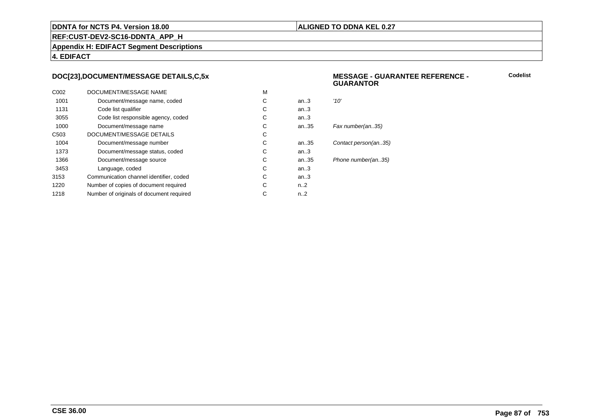### **ALIGNED TO DDNA KEL 0.27**

**REF:CUST-DEV2-SC16-DDNTA\_APP\_H**

**Appendix H: EDIFACT Segment Descriptions**

**4. EDIFACT**

### **DOC[23],DOCUMENT/MESSAGE DETAILS,C,5x**

| C <sub>0</sub> 02 | DOCUMENT/MESSAGE NAME                    | M |                  |                      |
|-------------------|------------------------------------------|---|------------------|----------------------|
| 1001              | Document/message name, coded             | C | an.3             | '10'                 |
| 1131              | Code list qualifier                      | C | an.3             |                      |
| 3055              | Code list responsible agency, coded      | C | an.3             |                      |
| 1000              | Document/message name                    | C | an.35            | Fax number(an35)     |
| C <sub>503</sub>  | DOCUMENT/MESSAGE DETAILS                 | C |                  |                      |
| 1004              | Document/message number                  | C | an35             | Contact person(an35) |
| 1373              | Document/message status, coded           | С | an.3             |                      |
| 1366              | Document/message source                  | C | an35             | Phone number(an35)   |
| 3453              | Language, coded                          | C | an.3             |                      |
| 3153              | Communication channel identifier, coded  | C | an.3             |                      |
| 1220              | Number of copies of document required    | C | n <sub>1</sub> 2 |                      |
| 1218              | Number of originals of document required | С | $n_{.}.2$        |                      |
|                   |                                          |   |                  |                      |

### **MESSAGE - GUARANTEE REFERENCE - GUARANTOR**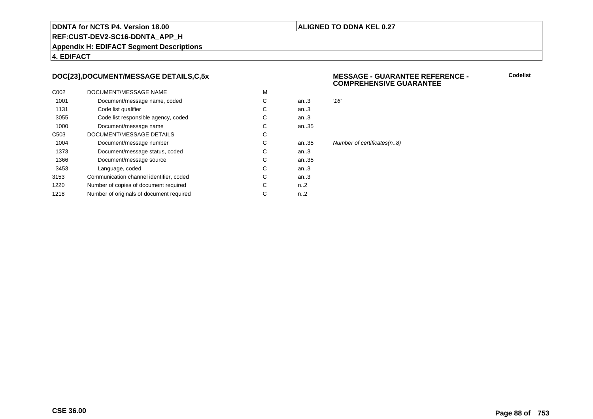### **ALIGNED TO DDNA KEL 0.27**

**REF:CUST-DEV2-SC16-DDNTA\_APP\_H**

**Appendix H: EDIFACT Segment Descriptions**

**4. EDIFACT**

### **DOC[23],DOCUMENT/MESSAGE DETAILS,C,5x**

| C <sub>0</sub> 02 | DOCUMENT/MESSAGE NAME                    | M |                  |                            |
|-------------------|------------------------------------------|---|------------------|----------------------------|
| 1001              | Document/message name, coded             | C | an.3             | '16'                       |
| 1131              | Code list qualifier                      | C | an.3             |                            |
| 3055              | Code list responsible agency, coded      | C | an.3             |                            |
| 1000              | Document/message name                    | С | an35             |                            |
| C <sub>503</sub>  | DOCUMENT/MESSAGE DETAILS                 | С |                  |                            |
| 1004              | Document/message number                  | C | an35             | Number of certificates(n8) |
| 1373              | Document/message status, coded           | C | an.3             |                            |
| 1366              | Document/message source                  | C | an35             |                            |
| 3453              | Language, coded                          | C | an.3             |                            |
| 3153              | Communication channel identifier, coded  | С | an.3             |                            |
| 1220              | Number of copies of document required    | С | n <sub>1</sub> 2 |                            |
| 1218              | Number of originals of document required | С | n2               |                            |
|                   |                                          |   |                  |                            |

### **MESSAGE - GUARANTEE REFERENCE - COMPREHENSIVE GUARANTEE**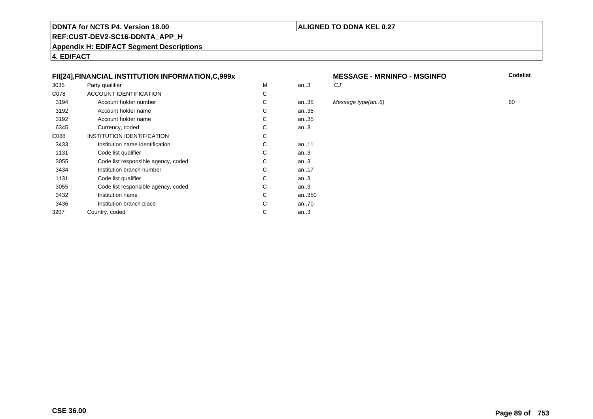### **ALIGNED TO DDNA KEL 0.27**

**REF:CUST-DEV2-SC16-DDNTA\_APP\_H**

**Appendix H: EDIFACT Segment Descriptions**

**4. EDIFACT**

### **FII[24],FINANCIAL INSTITUTION INFORMATION,C,999x**

| 3035 | Party qualifier                     | M | an.3      | 'CJ' |
|------|-------------------------------------|---|-----------|------|
| C078 | ACCOUNT IDENTIFICATION              | C |           |      |
| 3194 | Account holder number               | C | an35      | Mes  |
| 3192 | Account holder name                 | C | an35      |      |
| 3192 | Account holder name                 | C | an35      |      |
| 6345 | Currency, coded                     | С | an.3      |      |
| C088 | <b>INSTITUTION IDENTIFICATION</b>   | C |           |      |
| 3433 | Institution name identification     | C | an11      |      |
| 1131 | Code list qualifier                 | C | an.3      |      |
| 3055 | Code list responsible agency, coded | C | an.3      |      |
| 3434 | Institution branch number           | С | an. $.17$ |      |
| 1131 | Code list qualifier                 | C | an $3$    |      |
| 3055 | Code list responsible agency, coded | C | an.3      |      |
| 3432 | Institution name                    | C | an350     |      |
| 3436 | Institution branch place            | C | an70      |      |
| 3207 | Country, coded                      | C | an $3$    |      |
|      |                                     |   |           |      |

# **MESSAGE - MRNINFO - MSGINFO**<br>3

35 Message type(an..6) 60<br>35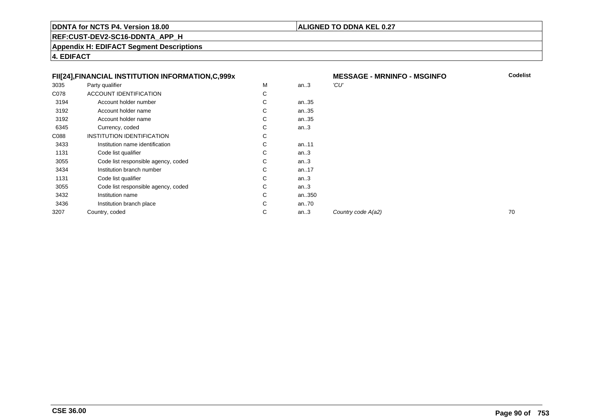### **ALIGNED TO DDNA KEL 0.27**

**REF:CUST-DEV2-SC16-DDNTA\_APP\_H**

**Appendix H: EDIFACT Segment Descriptions**

**4. EDIFACT**

|      | FII[24], FINANCIAL INSTITUTION INFORMATION, C, 999x |   |           |      |
|------|-----------------------------------------------------|---|-----------|------|
| 3035 | Party qualifier                                     | M | an.3      | 'CU' |
| C078 | <b>ACCOUNT IDENTIFICATION</b>                       | C |           |      |
| 3194 | Account holder number                               | С | an35      |      |
| 3192 | Account holder name                                 | C | an35      |      |
| 3192 | Account holder name                                 | С | an35      |      |
| 6345 | Currency, coded                                     | C | an.3      |      |
| C088 | INSTITUTION IDENTIFICATION                          | C |           |      |
| 3433 | Institution name identification                     | C | an11      |      |
| 1131 | Code list qualifier                                 | C | an.3      |      |
| 3055 | Code list responsible agency, coded                 | C | an.3      |      |
| 3434 | Institution branch number                           | C | an. $.17$ |      |
| 1131 | Code list qualifier                                 | C | an.3      |      |
| 3055 | Code list responsible agency, coded                 | С | an.3      |      |
| 3432 | Institution name                                    | С | an350     |      |
| 3436 | Institution branch place                            | С | an70      |      |
| 3207 | Country, coded                                      | C | an.3      | Cou  |
|      |                                                     |   |           |      |

| X |   |       | <b>MESSAGE - MRNINFO - MSGINFO</b> | Codelist |
|---|---|-------|------------------------------------|----------|
|   | M | an.3  | 'CU'                               |          |
|   | C |       |                                    |          |
|   | C | an35  |                                    |          |
|   | C | an35  |                                    |          |
|   | C | an35  |                                    |          |
|   | C | an.3  |                                    |          |
|   | C |       |                                    |          |
|   | C | an11  |                                    |          |
|   | C | an.3  |                                    |          |
|   | C | an.3  |                                    |          |
|   | C | an17  |                                    |          |
|   | C | an.3  |                                    |          |
|   | C | an.3  |                                    |          |
|   | C | an350 |                                    |          |
|   | C | an70  |                                    |          |
|   | C | an.3  | Country code A(a2)                 | 70       |
|   |   |       |                                    |          |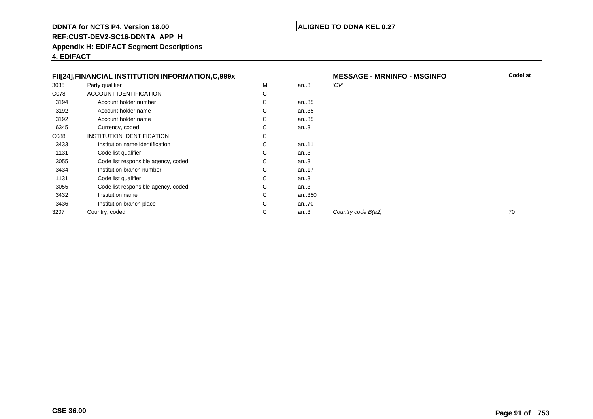### **ALIGNED TO DDNA KEL 0.27**

**REF:CUST-DEV2-SC16-DDNTA\_APP\_H**

**Appendix H: EDIFACT Segment Descriptions**

**4. EDIFACT**

|      | FII[24], FINANCIAL INSTITUTION INFORMATION, C, 999x |   |           |      |
|------|-----------------------------------------------------|---|-----------|------|
| 3035 | Party qualifier                                     | M | an.3      | 'CV' |
| C078 | ACCOUNT IDENTIFICATION                              | С |           |      |
| 3194 | Account holder number                               | C | an35      |      |
| 3192 | Account holder name                                 | C | an35      |      |
| 3192 | Account holder name                                 | C | an35      |      |
| 6345 | Currency, coded                                     | C | an.3      |      |
| C088 | <b>INSTITUTION IDENTIFICATION</b>                   | C |           |      |
| 3433 | Institution name identification                     | C | an.11     |      |
| 1131 | Code list qualifier                                 | C | an.3      |      |
| 3055 | Code list responsible agency, coded                 | C | an.3      |      |
| 3434 | Institution branch number                           | C | an. $.17$ |      |
| 1131 | Code list qualifier                                 | C | an.3      |      |
| 3055 | Code list responsible agency, coded                 | С | an.3      |      |
| 3432 | Institution name                                    | C | an350     |      |
| 3436 | Institution branch place                            | С | an70      |      |
| 3207 | Country, coded                                      | C | an.3      | Cou  |
|      |                                                     |   |           |      |

| X |   |       | <b>MESSAGE - MRNINFO - MSGINFO</b> | <b>Codelist</b> |
|---|---|-------|------------------------------------|-----------------|
|   | M | an.3  | 'CV'                               |                 |
|   | C |       |                                    |                 |
|   | C | an35  |                                    |                 |
|   | С | an35  |                                    |                 |
|   | C | an35  |                                    |                 |
|   | C | an.3  |                                    |                 |
|   | C |       |                                    |                 |
|   | C | an11  |                                    |                 |
|   | C | an.3  |                                    |                 |
|   | C | an.3  |                                    |                 |
|   | C | an17  |                                    |                 |
|   | С | an.3  |                                    |                 |
|   | C | an.3  |                                    |                 |
|   | C | an350 |                                    |                 |
|   | С | an70  |                                    |                 |
|   | С | an.3  | Country code B(a2)                 | 70              |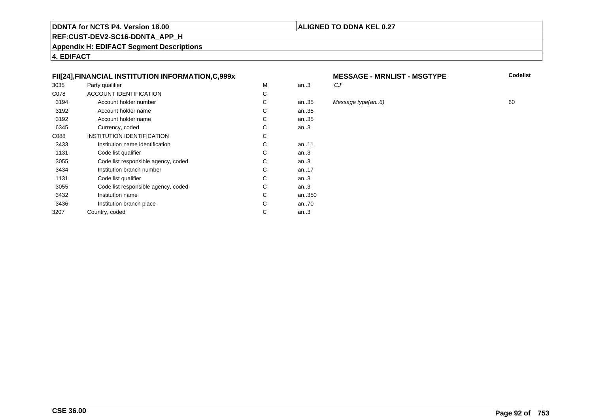### **ALIGNED TO DDNA KEL 0.27**

**REF:CUST-DEV2-SC16-DDNTA\_APP\_H**

**Appendix H: EDIFACT Segment Descriptions**

**4. EDIFACT**

### **FII[24],FINANCIAL INSTITUTION INFORMATION,C,999x**

| 3035 | Party qualifier                     | М | an.3   | 'CJ' |
|------|-------------------------------------|---|--------|------|
| C078 | <b>ACCOUNT IDENTIFICATION</b>       | С |        |      |
| 3194 | Account holder number               | С | an35   | Mes  |
| 3192 | Account holder name                 | С | an35   |      |
| 3192 | Account holder name                 | C | an35   |      |
| 6345 | Currency, coded                     | С | an.3   |      |
| C088 | INSTITUTION IDENTIFICATION          | С |        |      |
| 3433 | Institution name identification     | C | an11   |      |
| 1131 | Code list qualifier                 | С | an.3   |      |
| 3055 | Code list responsible agency, coded | С | an $3$ |      |
| 3434 | Institution branch number           | C | an17   |      |
| 1131 | Code list qualifier                 | С | an $3$ |      |
| 3055 | Code list responsible agency, coded | С | an.3   |      |
| 3432 | Institution name                    | С | an350  |      |
| 3436 | Institution branch place            | C | an70   |      |
| 3207 | Country, coded                      | С | an.3   |      |
|      |                                     |   |        |      |

# **MESSAGE - MRNLIST - MSGTYPE**<br>3

an..35 Message type(an..6) <sup>60</sup>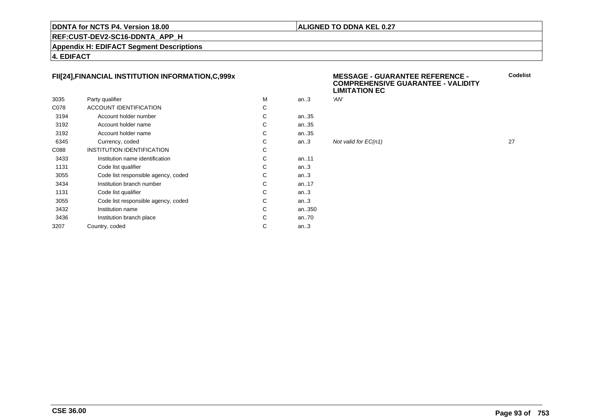### **ALIGNED TO DDNA KEL 0.27**

**REF:CUST-DEV2-SC16-DDNTA\_APP\_H**

**Appendix H: EDIFACT Segment Descriptions**

**4. EDIFACT**

### **FII[24],FINANCIAL INSTITUTION INFORMATION,C,999x**

|      |                                     |   |        | ---- |
|------|-------------------------------------|---|--------|------|
| 3035 | Party qualifier                     | м | an $3$ | 'AN' |
| C078 | <b>ACCOUNT IDENTIFICATION</b>       | С |        |      |
| 3194 | Account holder number               | C | an35   |      |
| 3192 | Account holder name                 | C | an35   |      |
| 3192 | Account holder name                 | C | an35   |      |
| 6345 | Currency, coded                     | C | an.3   | Not  |
| C088 | <b>INSTITUTION IDENTIFICATION</b>   | C |        |      |
| 3433 | Institution name identification     | C | an11   |      |
| 1131 | Code list qualifier                 | C | an.3   |      |
| 3055 | Code list responsible agency, coded | C | an.3   |      |
| 3434 | Institution branch number           | C | an17   |      |
| 1131 | Code list qualifier                 | C | an.3   |      |
| 3055 | Code list responsible agency, coded | C | an.3   |      |
| 3432 | Institution name                    | C | an350  |      |
| 3436 | Institution branch place            | C | an70   |      |
| 3207 | Country, coded                      | C | an.3   |      |
|      |                                     |   |        |      |

### **MESSAGE - GUARANTEE REFERENCE - COMPREHENSIVE GUARANTEE - VALIDITYLIMITATION EC**

Not valid for  $EC(n1)$  27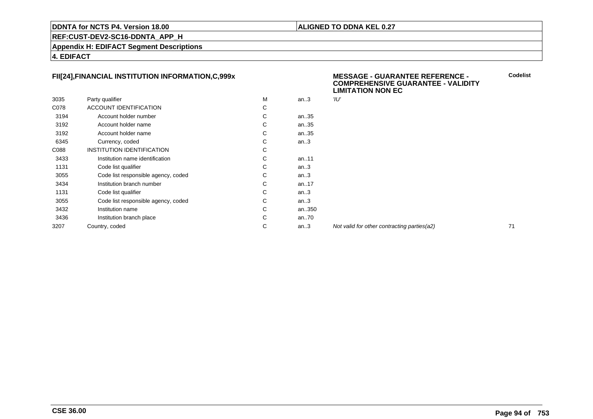### **ALIGNED TO DDNA KEL 0.27**

**REF:CUST-DEV2-SC16-DDNTA\_APP\_H**

**Appendix H: EDIFACT Segment Descriptions**

**4. EDIFACT**

### **FII[24],FINANCIAL INSTITUTION INFORMATION,C,999x**

|      |                                     |   |        | ---  |
|------|-------------------------------------|---|--------|------|
| 3035 | Party qualifier                     | м | an $3$ | 'וע" |
| C078 | <b>ACCOUNT IDENTIFICATION</b>       | С |        |      |
| 3194 | Account holder number               | С | an35   |      |
| 3192 | Account holder name                 | С | an35   |      |
| 3192 | Account holder name                 | С | an35   |      |
| 6345 | Currency, coded                     | C | an.3   |      |
| C088 | INSTITUTION IDENTIFICATION          | С |        |      |
| 3433 | Institution name identification     | С | an11   |      |
| 1131 | Code list qualifier                 | С | an.3   |      |
| 3055 | Code list responsible agency, coded | C | an.3   |      |
| 3434 | Institution branch number           | С | an17   |      |
| 1131 | Code list qualifier                 | С | an.3   |      |
| 3055 | Code list responsible agency, coded | C | an.3   |      |
| 3432 | Institution name                    | C | an350  |      |
| 3436 | Institution branch place            | С | an70   |      |
| 3207 | Country, coded                      | С | an $3$ | Noi  |
|      |                                     |   |        |      |

### **MESSAGE - GUARANTEE REFERENCE - COMPREHENSIVE GUARANTEE - VALIDITYLIMITATION NON EC**

Not valid for other contracting parties(a2) 71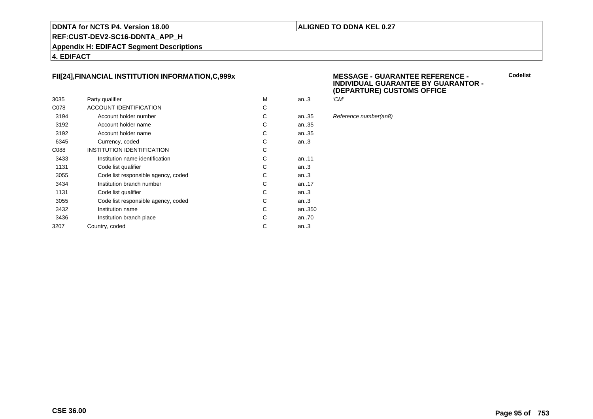### **ALIGNED TO DDNA KEL 0.27**

**REF:CUST-DEV2-SC16-DDNTA\_APP\_H**

**Appendix H: EDIFACT Segment Descriptions**

**4. EDIFACT**

### **FII[24],FINANCIAL INSTITUTION INFORMATION,C,999x**

| 3035 | Party qualifier                     | M | an.3   | 'CM' |
|------|-------------------------------------|---|--------|------|
| C078 | ACCOUNT IDENTIFICATION              | С |        |      |
| 3194 | Account holder number               | С | an35   | Refe |
| 3192 | Account holder name                 | С | an35   |      |
| 3192 | Account holder name                 | C | an35   |      |
| 6345 | Currency, coded                     | C | an.3   |      |
| C088 | <b>INSTITUTION IDENTIFICATION</b>   | С |        |      |
| 3433 | Institution name identification     | С | an11   |      |
| 1131 | Code list qualifier                 | C | an.3   |      |
| 3055 | Code list responsible agency, coded | С | an.3   |      |
| 3434 | Institution branch number           | C | an17   |      |
| 1131 | Code list qualifier                 | C | an.3   |      |
| 3055 | Code list responsible agency, coded | С | an.3   |      |
| 3432 | Institution name                    | С | an350  |      |
| 3436 | Institution branch place            | С | an70   |      |
| 3207 | Country, coded                      | С | an $3$ |      |
|      |                                     |   |        |      |

### **MESSAGE - GUARANTEE REFERENCE - INDIVIDUAL GUARANTEE BY GUARANTOR -(DEPARTURE) CUSTOMS OFFICE**

| м | an.3  | 'CM'                  |
|---|-------|-----------------------|
| С |       |                       |
| С | an35  | Reference number(an8) |
| С | an35  |                       |
| ⌒ | on 25 |                       |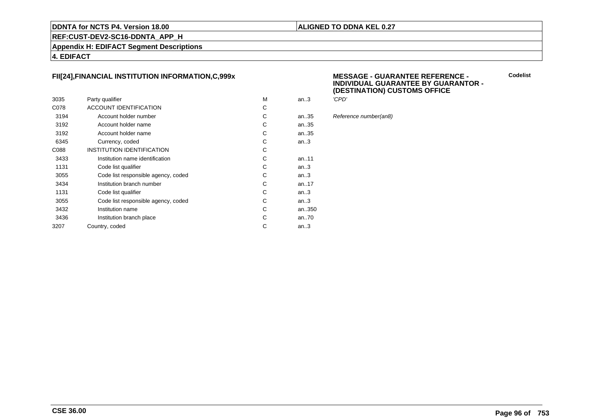### **ALIGNED TO DDNA KEL 0.27**

**REF:CUST-DEV2-SC16-DDNTA\_APP\_H**

**Appendix H: EDIFACT Segment Descriptions**

**4. EDIFACT**

### **FII[24],FINANCIAL INSTITUTION INFORMATION,C,999x**

|      |                                     |   |           | `     |
|------|-------------------------------------|---|-----------|-------|
| 3035 | Party qualifier                     | M | an.3      | 'CPD' |
| C078 | <b>ACCOUNT IDENTIFICATION</b>       | С |           |       |
| 3194 | Account holder number               | С | an35      | Refer |
| 3192 | Account holder name                 | С | an35      |       |
| 3192 | Account holder name                 | С | an35      |       |
| 6345 | Currency, coded                     | С | an.3      |       |
| C088 | INSTITUTION IDENTIFICATION          | С |           |       |
| 3433 | Institution name identification     | С | an11      |       |
| 1131 | Code list qualifier                 | С | an.3      |       |
| 3055 | Code list responsible agency, coded | С | an.3      |       |
| 3434 | Institution branch number           | С | an. $.17$ |       |
| 1131 | Code list qualifier                 | С | an $3$    |       |
| 3055 | Code list responsible agency, coded | С | an.3      |       |
| 3432 | Institution name                    | С | an350     |       |
| 3436 | Institution branch place            | С | an70      |       |
| 3207 | Country, coded                      | С | an $3$    |       |
|      |                                     |   |           |       |

### **MESSAGE - GUARANTEE REFERENCE - INDIVIDUAL GUARANTEE BY GUARANTOR -(DESTINATION) CUSTOMS OFFICE**

| м | an.3 | 'CPD'                 |
|---|------|-----------------------|
| С |      |                       |
| C | an35 | Reference number(an8) |
| C | an35 |                       |
| Ć | an35 |                       |
|   |      |                       |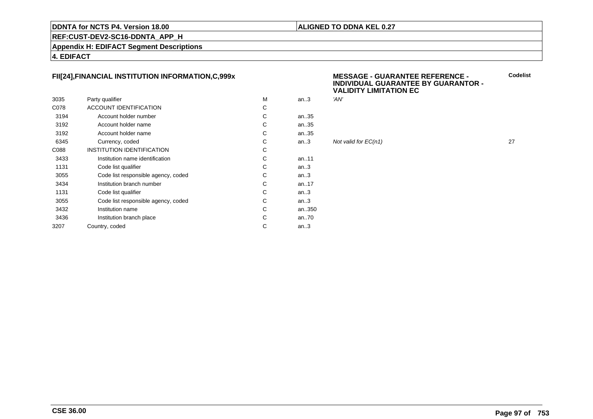### **ALIGNED TO DDNA KEL 0.27**

### **REF:CUST-DEV2-SC16-DDNTA\_APP\_H**

**Appendix H: EDIFACT Segment Descriptions**

**4. EDIFACT**

### **FII[24],FINANCIAL INSTITUTION INFORMATION,C,999x**

|      |                                     |   |        | .    |
|------|-------------------------------------|---|--------|------|
| 3035 | Party qualifier                     | м | an $3$ | 'AN' |
| C078 | <b>ACCOUNT IDENTIFICATION</b>       | С |        |      |
| 3194 | Account holder number               | C | an35   |      |
| 3192 | Account holder name                 | C | an35   |      |
| 3192 | Account holder name                 | C | an35   |      |
| 6345 | Currency, coded                     | C | an.3   | Not  |
| C088 | <b>INSTITUTION IDENTIFICATION</b>   | C |        |      |
| 3433 | Institution name identification     | C | an11   |      |
| 1131 | Code list qualifier                 | C | an.3   |      |
| 3055 | Code list responsible agency, coded | C | an.3   |      |
| 3434 | Institution branch number           | C | an17   |      |
| 1131 | Code list qualifier                 | C | an.3   |      |
| 3055 | Code list responsible agency, coded | C | an.3   |      |
| 3432 | Institution name                    | C | an350  |      |
| 3436 | Institution branch place            | C | an70   |      |
| 3207 | Country, coded                      | C | an.3   |      |
|      |                                     |   |        |      |

### **MESSAGE - GUARANTEE REFERENCE - INDIVIDUAL GUARANTEE BY GUARANTOR -VALIDITY LIMITATION EC**

| .  | ------ | .                    |    |
|----|--------|----------------------|----|
| C. |        |                      |    |
| C. | an35   |                      |    |
| C. | an35   |                      |    |
| C. | an35   |                      |    |
| C. | an $3$ | Not valid for EC(n1) | 27 |
|    |        |                      |    |

**CSE 36.00**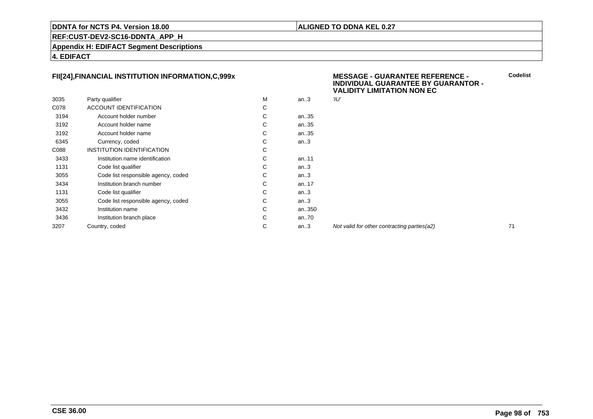### **ALIGNED TO DDNA KEL 0.27**

**REF:CUST-DEV2-SC16-DDNTA\_APP\_H**

**Appendix H: EDIFACT Segment Descriptions**

**4. EDIFACT**

### **FII[24],FINANCIAL INSTITUTION INFORMATION,C,999x**

|      |                                     |   |        | . .  |
|------|-------------------------------------|---|--------|------|
| 3035 | Party qualifier                     | М | an $3$ | 'וע" |
| C078 | <b>ACCOUNT IDENTIFICATION</b>       | С |        |      |
| 3194 | Account holder number               | С | an35   |      |
| 3192 | Account holder name                 | С | an35   |      |
| 3192 | Account holder name                 | С | an35   |      |
| 6345 | Currency, coded                     | С | an.3   |      |
| C088 | INSTITUTION IDENTIFICATION          | С |        |      |
| 3433 | Institution name identification     | С | an11   |      |
| 1131 | Code list qualifier                 | С | an.3   |      |
| 3055 | Code list responsible agency, coded | С | an.3   |      |
| 3434 | Institution branch number           | С | an17   |      |
| 1131 | Code list qualifier                 | С | an.3   |      |
| 3055 | Code list responsible agency, coded | С | an.3   |      |
| 3432 | Institution name                    | С | an350  |      |
| 3436 | Institution branch place            | C | an70   |      |
| 3207 | Country, coded                      | С | an $3$ | Noi  |
|      |                                     |   |        |      |

### **MESSAGE - GUARANTEE REFERENCE - INDIVIDUAL GUARANTEE BY GUARANTOR -VALIDITY LIMITATION NON EC**

Not valid for other contracting parties(a2) 71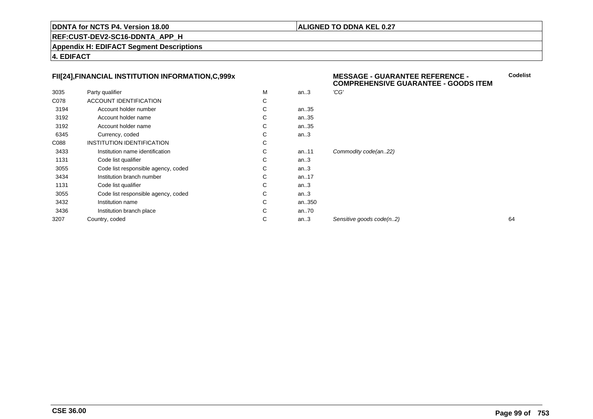### **ALIGNED TO DDNA KEL 0.27**

**REF:CUST-DEV2-SC16-DDNTA\_APP\_H**

**Appendix H: EDIFACT Segment Descriptions**

**4. EDIFACT**

### **FII[24],FINANCIAL INSTITUTION INFORMATION,C,999x**

|      | FII[24], FINANCIAL INSTITUTION INFORMATION, C, 999x |   |          | <b>MESSAGE - GUARANTEE REFERENCE -</b><br>Codelis<br><b>COMPREHENSIVE GUARANTEE - GOODS ITEM</b> |    |  |
|------|-----------------------------------------------------|---|----------|--------------------------------------------------------------------------------------------------|----|--|
| 3035 | Party qualifier                                     | M | an.3     | 'CG'                                                                                             |    |  |
| C078 | ACCOUNT IDENTIFICATION                              | C |          |                                                                                                  |    |  |
| 3194 | Account holder number                               | С | an35     |                                                                                                  |    |  |
| 3192 | Account holder name                                 | С | an35     |                                                                                                  |    |  |
| 3192 | Account holder name                                 | С | an35     |                                                                                                  |    |  |
| 6345 | Currency, coded                                     | С | an.3     |                                                                                                  |    |  |
| C088 | <b>INSTITUTION IDENTIFICATION</b>                   | С |          |                                                                                                  |    |  |
| 3433 | Institution name identification                     | C | an11     | Commodity code(an22)                                                                             |    |  |
| 1131 | Code list qualifier                                 | C | an.3     |                                                                                                  |    |  |
| 3055 | Code list responsible agency, coded                 | C | an.3     |                                                                                                  |    |  |
| 3434 | Institution branch number                           | C | an17     |                                                                                                  |    |  |
| 1131 | Code list qualifier                                 | C | an.3     |                                                                                                  |    |  |
| 3055 | Code list responsible agency, coded                 | C | an.3     |                                                                                                  |    |  |
| 3432 | Institution name                                    | С | an350    |                                                                                                  |    |  |
| 3436 | Institution branch place                            | C | an $.70$ |                                                                                                  |    |  |
| 3207 | Country, coded                                      | С | an.3     | Sensitive goods code(n2)                                                                         | 64 |  |
|      |                                                     |   |          |                                                                                                  |    |  |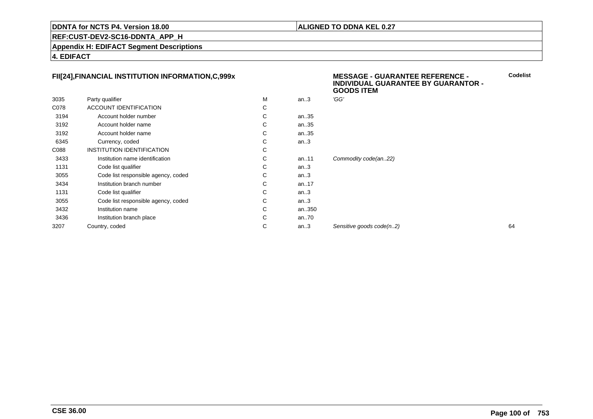### **ALIGNED TO DDNA KEL 0.27**

**MESSAGE - GUARANTEE REFERENCE -**

**REF:CUST-DEV2-SC16-DDNTA\_APP\_H**

**Appendix H: EDIFACT Segment Descriptions**

**4. EDIFACT**

### **FII[24],FINANCIAL INSTITUTION INFORMATION,C,999x**

|      |                                     |   |          | <b>INDIVIDUAL GUARANTEE BY GUARANTOR -</b><br><b>GOODS ITEM</b> |    |
|------|-------------------------------------|---|----------|-----------------------------------------------------------------|----|
| 3035 | Party qualifier                     | M | an.3     | 'GG'                                                            |    |
| C078 | ACCOUNT IDENTIFICATION              | С |          |                                                                 |    |
| 3194 | Account holder number               | С | an35     |                                                                 |    |
| 3192 | Account holder name                 | С | an35     |                                                                 |    |
| 3192 | Account holder name                 | С | an35     |                                                                 |    |
| 6345 | Currency, coded                     | С | an.3     |                                                                 |    |
| C088 | INSTITUTION IDENTIFICATION          | С |          |                                                                 |    |
| 3433 | Institution name identification     | С | an11     | Commodity code(an22)                                            |    |
| 1131 | Code list qualifier                 | С | an.3     |                                                                 |    |
| 3055 | Code list responsible agency, coded | C | an.3     |                                                                 |    |
| 3434 | Institution branch number           | С | an17     |                                                                 |    |
| 1131 | Code list qualifier                 | С | an.3     |                                                                 |    |
| 3055 | Code list responsible agency, coded | С | an.3     |                                                                 |    |
| 3432 | Institution name                    | С | an350    |                                                                 |    |
| 3436 | Institution branch place            | С | an $.70$ |                                                                 |    |
| 3207 | Country, coded                      | С | an.3     | Sensitive goods code(n2)                                        | 64 |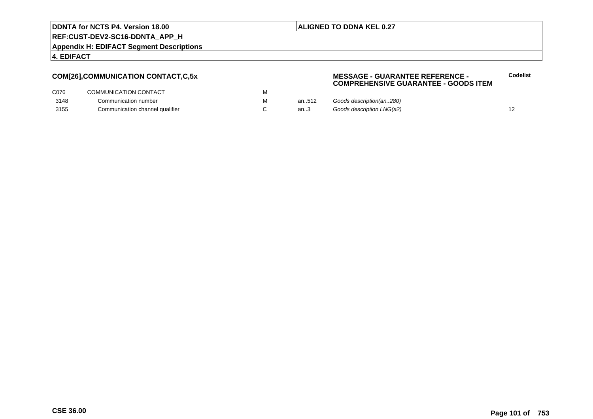### **ALIGNED TO DDNA KEL 0.27**

**REF:CUST-DEV2-SC16-DDNTA\_APP\_H**

**Appendix H: EDIFACT Segment Descriptions**

### **4. EDIFACT**

### **COM[26],COMMUNICATION CONTACT,C,5x**

### **MESSAGE - GUARANTEE REFERENCE - COMPREHENSIVE GUARANTEE - GOODS ITEMCodelist**

| C076 | COMMUNICATION CONTACT           |       |                           |  |
|------|---------------------------------|-------|---------------------------|--|
| 3148 | Communication number            | an512 | Goods description(an280)  |  |
| 3155 | Communication channel qualifier | an3   | Goods description LNG(a2) |  |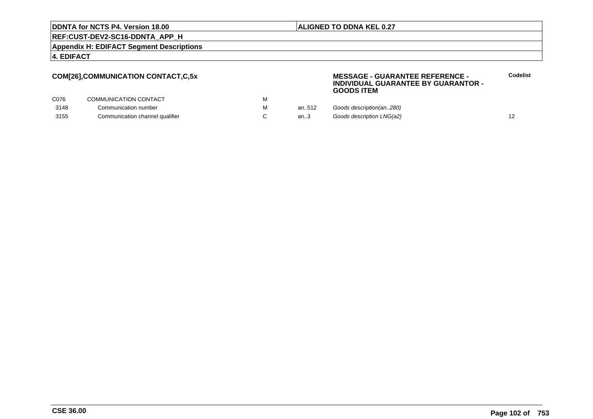### **ALIGNED TO DDNA KEL 0.27**

**REF:CUST-DEV2-SC16-DDNTA\_APP\_H**

**Appendix H: EDIFACT Segment Descriptions**

### **4. EDIFACT**

### **COM[26],COMMUNICATION CONTACT,C,5x**

### **MESSAGE - GUARANTEE REFERENCE - INDIVIDUAL GUARANTEE BY GUARANTOR -GOODS ITEM**

| C076 | COMMUNICATION CONTACT           | IV I |        |                           |  |
|------|---------------------------------|------|--------|---------------------------|--|
| 3148 | Communication number            | м    | an512  | Goods description(an280)  |  |
| 3155 | Communication channel qualifier |      | an $3$ | Goods description LNG(a2) |  |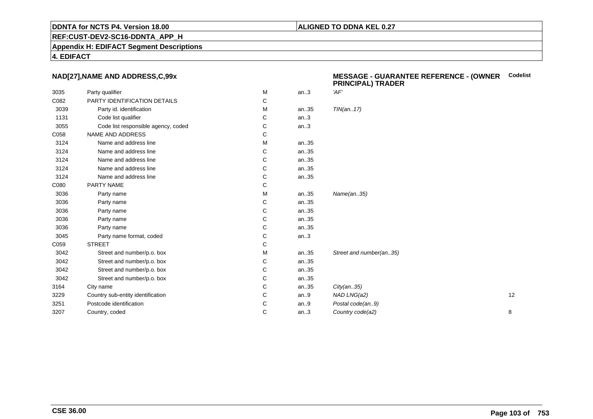### **ALIGNED TO DDNA KEL 0.27**

**REF:CUST-DEV2-SC16-DDNTA\_APP\_H**

**Appendix H: EDIFACT Segment Descriptions**

**4. EDIFACT**

### **NAD[27],NAME AND ADDRESS,C,99x**

| 3035 | Party qualifier                     | M | an.3 | 'AF'                    |    |
|------|-------------------------------------|---|------|-------------------------|----|
| C082 | PARTY IDENTIFICATION DETAILS        | C |      |                         |    |
| 3039 | Party id. identification            | M | an35 | TIN(an17)               |    |
| 1131 | Code list qualifier                 | C | an.3 |                         |    |
| 3055 | Code list responsible agency, coded | С | an.3 |                         |    |
| C058 | NAME AND ADDRESS                    | С |      |                         |    |
| 3124 | Name and address line               | M | an35 |                         |    |
| 3124 | Name and address line               | C | an35 |                         |    |
| 3124 | Name and address line               | C | an35 |                         |    |
| 3124 | Name and address line               | С | an35 |                         |    |
| 3124 | Name and address line               | С | an35 |                         |    |
| C080 | PARTY NAME                          | C |      |                         |    |
| 3036 | Party name                          | M | an35 | Name(an35)              |    |
| 3036 | Party name                          | С | an35 |                         |    |
| 3036 | Party name                          | C | an35 |                         |    |
| 3036 | Party name                          | C | an35 |                         |    |
| 3036 | Party name                          | С | an35 |                         |    |
| 3045 | Party name format, coded            | С | an.3 |                         |    |
| C059 | <b>STREET</b>                       | C |      |                         |    |
| 3042 | Street and number/p.o. box          | M | an35 | Street and number(an35) |    |
| 3042 | Street and number/p.o. box          | С | an35 |                         |    |
| 3042 | Street and number/p.o. box          | C | an35 |                         |    |
| 3042 | Street and number/p.o. box          | С | an35 |                         |    |
| 3164 | City name                           | C | an35 | City(an35)              |    |
| 3229 | Country sub-entity identification   | С | an.9 | NAD LNG(a2)             | 12 |
| 3251 | Postcode identification             | C | an.9 | Postal code(an9)        |    |
| 3207 | Country, coded                      | C | an.3 | Country code(a2)        | 8  |
|      |                                     |   |      |                         |    |

### **MESSAGE - GUARANTEE REFERENCE - (OWNER PRINCIPAL) TRADERCodelist**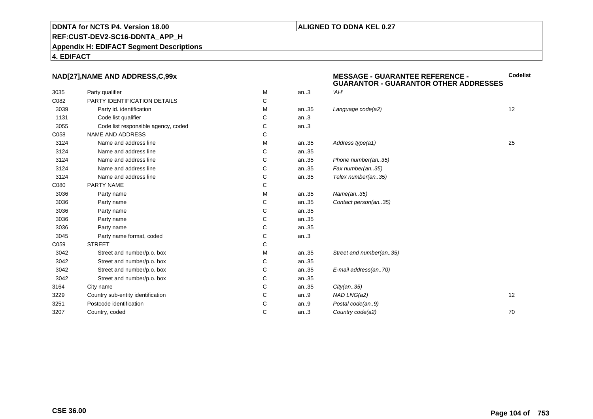### **ALIGNED TO DDNA KEL 0.27**

**REF:CUST-DEV2-SC16-DDNTA\_APP\_H**

**Appendix H: EDIFACT Segment Descriptions**

**4. EDIFACT**

### **NAD[27],NAME AND ADDRESS,C,99x**

| NAD[27], NAME AND ADDRESS, C, 99x |                                     |   |      | <b>MESSAGE - GUARANTEE REFERENCE -</b><br><b>GUARANTOR - GUARANTOR OTHER ADDRESSES</b> |    |
|-----------------------------------|-------------------------------------|---|------|----------------------------------------------------------------------------------------|----|
| 3035                              | Party qualifier                     | M | an.3 | 'AH'                                                                                   |    |
| C082                              | PARTY IDENTIFICATION DETAILS        | С |      |                                                                                        |    |
| 3039                              | Party id. identification            | М | an35 | Language code(a2)                                                                      | 12 |
| 1131                              | Code list qualifier                 | С | an.3 |                                                                                        |    |
| 3055                              | Code list responsible agency, coded | С | an.3 |                                                                                        |    |
| C058                              | NAME AND ADDRESS                    | С |      |                                                                                        |    |
| 3124                              | Name and address line               | М | an35 | Address type(a1)                                                                       | 25 |
| 3124                              | Name and address line               | С | an35 |                                                                                        |    |
| 3124                              | Name and address line               | С | an35 | Phone number(an35)                                                                     |    |
| 3124                              | Name and address line               | С | an35 | Fax number(an35)                                                                       |    |
| 3124                              | Name and address line               | C | an35 | Telex number(an35)                                                                     |    |
| C080                              | PARTY NAME                          | С |      |                                                                                        |    |
| 3036                              | Party name                          | М | an35 | Name(an35)                                                                             |    |
| 3036                              | Party name                          | С | an35 | Contact person(an35)                                                                   |    |
| 3036                              | Party name                          | C | an35 |                                                                                        |    |
| 3036                              | Party name                          | С | an35 |                                                                                        |    |
| 3036                              | Party name                          | С | an35 |                                                                                        |    |
| 3045                              | Party name format, coded            | С | an.3 |                                                                                        |    |
| C059                              | <b>STREET</b>                       | С |      |                                                                                        |    |
| 3042                              | Street and number/p.o. box          | М | an35 | Street and number(an35)                                                                |    |
| 3042                              | Street and number/p.o. box          | С | an35 |                                                                                        |    |
| 3042                              | Street and number/p.o. box          | С | an35 | E-mail address(an70)                                                                   |    |
| 3042                              | Street and number/p.o. box          | С | an35 |                                                                                        |    |
| 3164                              | City name                           | C | an35 | City(an35)                                                                             |    |
| 3229                              | Country sub-entity identification   | C | an.9 | NAD LNG(a2)                                                                            | 12 |
| 3251                              | Postcode identification             | С | an.9 | Postal code(an9)                                                                       |    |
| 3207                              | Country, coded                      | C | an.3 | Country code(a2)                                                                       | 70 |
|                                   |                                     |   |      |                                                                                        |    |

**CSE 36.00**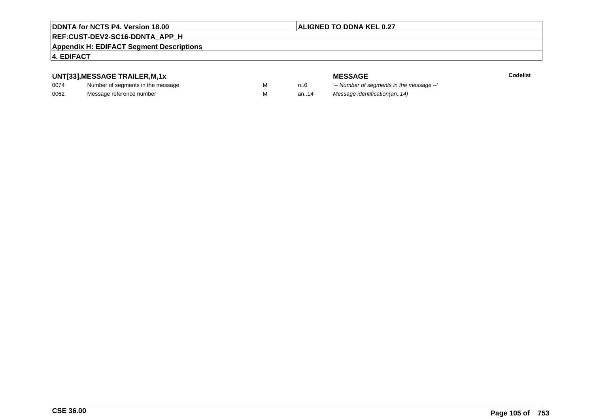## **ALIGNED TO DDNA KEL 0.27**

# **REF:CUST-DEV2-SC16-DDNTA\_APP\_H**

### **Appendix H: EDIFACT Segment Descriptions**

## **4. EDIFACT**

### **UNT[33],MESSAGE TRAILER,M,1x**

| 0074 | Number of segments in the message |  |
|------|-----------------------------------|--|
| 0062 | Message reference number          |  |

**MESSAGE**<br>M n.6 <sup>'--</sup> Number of s **Codelist** n..6 '-- Number of segments in the message --' M an..14 Message identification(an..14)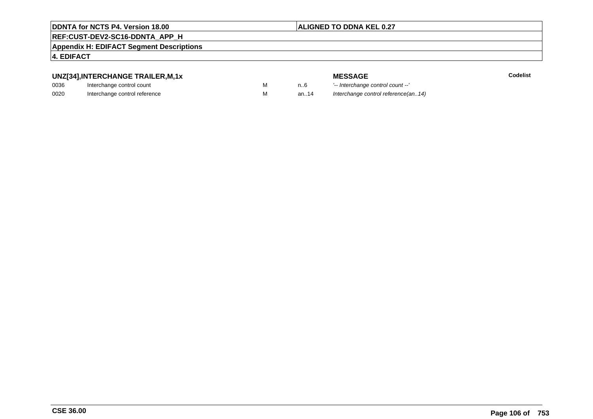### **ALIGNED TO DDNA KEL 0.27**

## **REF:CUST-DEV2-SC16-DDNTA\_APP\_H**

**Appendix H: EDIFACT Segment Descriptions**

### **4. EDIFACT**

## **UNZ[34],INTERCHANGE TRAILER,M,1x**

| 0036 | Interchange control count     |  |
|------|-------------------------------|--|
| 0020 | Interchange control reference |  |

**MESSAGE**<br>M n.6 <sup>1-</sup>- Interchange **E** m..6 <sup>1</sup>-- Interchange control count --'<br>
M an..14 Interchange control reference a Interchange control reference(an..14)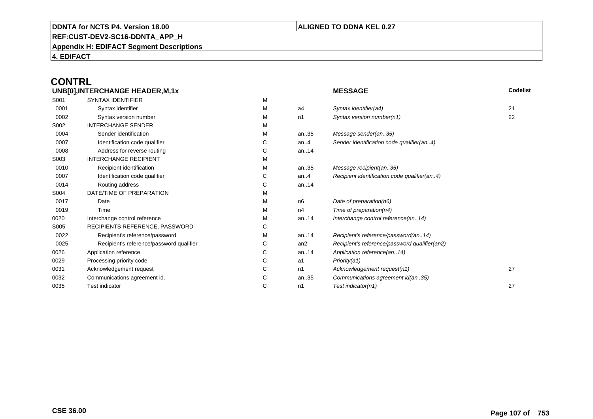### **ALIGNED TO DDNA KEL 0.27**

**REF:CUST-DEV2-SC16-DDNTA\_APP\_H**

**Appendix H: EDIFACT Segment Descriptions**

**4. EDIFACT**

### **CONTRLUNB[0],INTERCHANGE HEADER,M,1x**

| UNB[0], INTERCHANGE HEADER, M, 1x |                                          |   |                | <b>MESSAGE</b>                                | Codelist |  |
|-----------------------------------|------------------------------------------|---|----------------|-----------------------------------------------|----------|--|
| S001                              | <b>SYNTAX IDENTIFIER</b>                 | M |                |                                               |          |  |
| 0001                              | Syntax identifier                        | М | a4             | Syntax identifier(a4)                         | 21       |  |
| 0002                              | Syntax version number                    | М | n1             | Syntax version number(n1)                     | 22       |  |
| S002                              | <b>INTERCHANGE SENDER</b>                | М |                |                                               |          |  |
| 0004                              | Sender identification                    | М | an35           | Message sender(an35)                          |          |  |
| 0007                              | Identification code qualifier            | С | an.4           | Sender identification code qualifier(an4)     |          |  |
| 0008                              | Address for reverse routing              | С | an14           |                                               |          |  |
| S003                              | <b>INTERCHANGE RECIPIENT</b>             | М |                |                                               |          |  |
| 0010                              | Recipient identification                 | М | an35           | Message recipient(an35)                       |          |  |
| 0007                              | Identification code qualifier            | С | an.4           | Recipient identification code qualifier(an4)  |          |  |
| 0014                              | Routing address                          | С | an14           |                                               |          |  |
| S004                              | DATE/TIME OF PREPARATION                 | М |                |                                               |          |  |
| 0017                              | Date                                     | М | n <sub>6</sub> | Date of preparation(n6)                       |          |  |
| 0019                              | Time                                     | М | n4             | Time of preparation(n4)                       |          |  |
| 0020                              | Interchange control reference            | М | an14           | Interchange control reference(an14)           |          |  |
| S005                              | RECIPIENTS REFERENCE, PASSWORD           | С |                |                                               |          |  |
| 0022                              | Recipient's reference/password           | М | an14           | Recipient's reference/password(an14)          |          |  |
| 0025                              | Recipient's reference/password qualifier | С | an2            | Recipient's reference/password qualifier(an2) |          |  |
| 0026                              | Application reference                    | С | an14           | Application reference(an14)                   |          |  |
| 0029                              | Processing priority code                 | С | a1             | Priority(a1)                                  |          |  |
| 0031                              | Acknowledgement request                  | С | n1             | Acknowledgement request(n1)                   | 27       |  |
| 0032                              | Communications agreement id.             | С | an35           | Communications agreement id(an35)             |          |  |
| 0035                              | <b>Test indicator</b>                    | С | n1             | Test indicator(n1)                            | 27       |  |
|                                   |                                          |   |                |                                               |          |  |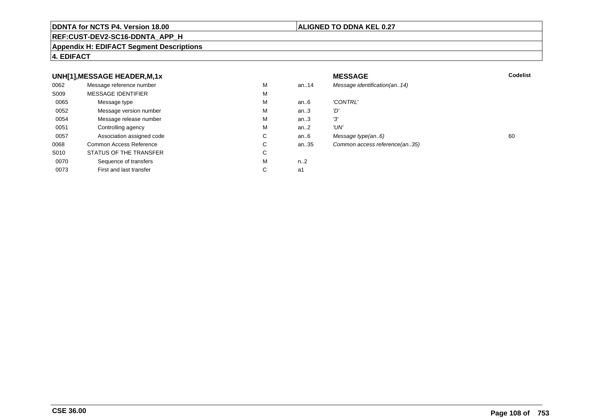### **REF:CUST-DEV2-SC16-DDNTA\_APP\_H**

### **Appendix H: EDIFACT Segment Descriptions**

### **4. EDIFACT**

### **UNH[1],MESSAGE HEADER,M,1xx** MESSAGE **Codelist** Codelist 0062 Message reference number <sup>M</sup> an..14 Message identification(an..14) S009 MESSAGE IDENTIFIERR M M 0065Message type Message version number and the Message version number and the Message of Message Message Message M an..6 'CONTRL'<br>an..3 'D' 0052 Message version number <sup>M</sup>an..3 'D'<br>an..3 '3' 0054Message release number Message release number Message of the Message of the Message of Message of Message of Me<br>
Message release number of Message of Message of Message of Message of Message of Message of Message of Messag an..3 '3'<br>an..2 'UN' 0051 Controlling agency <sup>M</sup>an $.2$ <br>an $.6$ 0057Association assigned code **C** C<br>
mmon Access Reference **C** C an..6 Message type(an..6)<br>an..35 Common access reference(an..35) 0068Common Access Reference C<br>
STATUS OF THE TRANSFER
C Common access reference(an..35) S010 STATUS OF THE TRANSFERR C 0070Sequence of transfers M<br>
First and last transfer C n..2<br>a1 0073First and last transfer  $C \qquad \qquad$  a1

### **CSE 36.00**

### **ALIGNED TO DDNA KEL 0.27**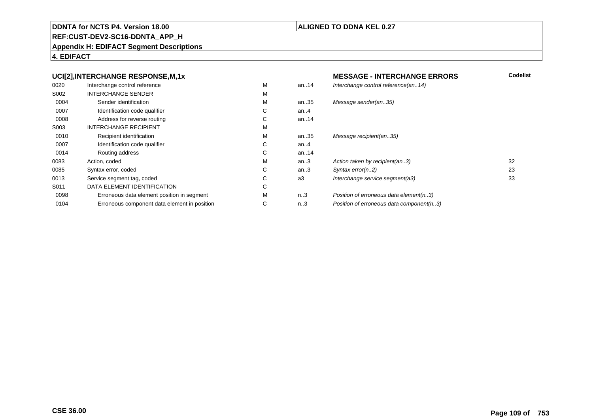#### **REF:CUST-DEV2-SC16-DDNTA\_APP\_H**

#### **Appendix H: EDIFACT Segment Descriptions**

### **4. EDIFACT**

#### **UCI[2],INTERCHANGE RESPONSE,M,1xMESSAGE - INTERCHANGE ERRORS**<br>M an..14 *Interchange control reference(an..14)* 0020Interchange control reference<br>
INTERCHANGE SENDER<br>
M Interchange control reference(an..14) S002 INTERCHANGE SENDERR M M 0004Sender identification<br>
Identification code qualifier<br>
C an..35 Message sender(an..35) 0007Identification code qualifier example of the Control of Control of Control of Control of Control of Control of Control of Control of Control of Control of Control of Control of Control of Control of Control of Control of C an..4 0008Address for reverse routing the control of the Control of Control of Control of Control of Control of Control of Control of Control of Control of Control of Control of Control of Control of Control of Control of Control of an..14 S003 INTERCHANGE RECIPIENTT M M 0010Recipient identification M<br>
Identification code qualifier C an..35 Message recipient(an..35) 0007Identification code qualifier example of the Control of Control of Control of Control of Control of Control of Control of Control of Control of Control of Control of Control of Control of Control of Control of Control of C an..4 0014Routing address Contact Contact Contact Contact Contact Contact Contact Contact Contact Contact Contact Contact Contact Contact Contact Contact Contact Contact Contact Contact Contact Contact Contact Contact Contact Contac an..14<br>an..3 0083Action, coded M<br>
Syntax error. coded C an..3 Action taken by recipient(an..3) 32<br>an..3 Svntax error(n..2) 33 0085Syntax error, coded C<br>
Service seament taa. coded C an..3 Syntax error(n..2) 23<br>a3 Interchange service segment(a3) 23 33 0013Service segment tag, coded C<br>
DATA ELEMENT IDENTIFICATION C Interchange service segment(a3) S011 DATA ELEMENT IDENTIFICATIONN C 0098Erroneous data element position in segment<br>
Erroneous component data element in position C n..3 Position of erroneous data element(n..3)<br>n..3 Position of erroneous data component(n. 0104Erroneous component data element in position Position of erroneous data component(n..3)

# **ALIGNED TO DDNA KEL 0.27**

**Codelist**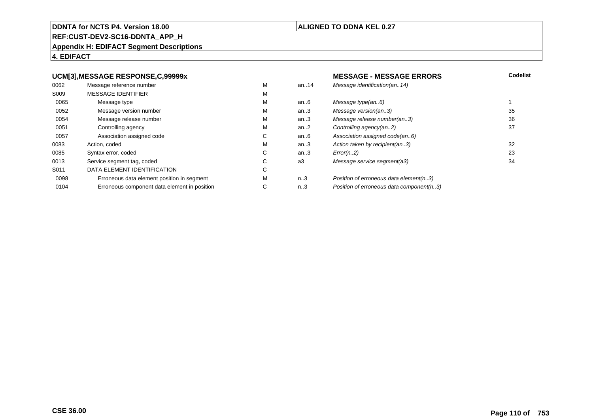#### **REF:CUST-DEV2-SC16-DDNTA\_APP\_H**

#### **Appendix H: EDIFACT Segment Descriptions**

# **4. EDIFACT**

#### **UCM[3],MESSAGE RESPONSE,C,99999x**

| 0062 | Message reference number                     | M | an. $.14$        | Message identification(an14)             |    |
|------|----------------------------------------------|---|------------------|------------------------------------------|----|
| S009 | <b>MESSAGE IDENTIFIER</b>                    | M |                  |                                          |    |
| 0065 | Message type                                 | M | an6              | Message type(an6)                        |    |
| 0052 | Message version number                       | M | an.3             | Message version(an3)                     | 35 |
| 0054 | Message release number                       | M | an.3             | Message release number(an3)              | 36 |
| 0051 | Controlling agency                           | M | an $2$           | Controlling agency(an2)                  | 37 |
| 0057 | Association assigned code                    | C | an $6$           | Association assigned code(an6)           |    |
| 0083 | Action, coded                                | M | an.3             | Action taken by recipient(an3)           | 32 |
| 0085 | Syntax error, coded                          | С | an.3             | Error(n.2)                               | 23 |
| 0013 | Service segment tag, coded                   | С | a3               | Message service segment(a3)              | 34 |
| S011 | DATA ELEMENT IDENTIFICATION                  | С |                  |                                          |    |
| 0098 | Erroneous data element position in segment   | M | n3               | Position of erroneous data element(n3)   |    |
| 0104 | Erroneous component data element in position | С | n <sub>1</sub> 3 | Position of erroneous data component(n3) |    |
|      |                                              |   |                  |                                          |    |

# **ALIGNED TO DDNA KEL 0.27**

# **MESSAGE - MESSAGE ERRORS**<br>an..14 *Message identification(an..14)*  **Codelist** Message identification(an..14) an..6 Message type(an..6)<br>an..3 Message version(an..3) 135 an..3 Message version(an..3)<br>an..3 Message release number(an..3) 36 an..3 Message release number(an..3)<br>an..2 Controlling agency(an..2) 37 an..2 Controlling agency(an..2)<br>an..6 Association assigned code an..6 Association assigned code(an..6)<br>an..3 Action taken by recipient(an..3) an..3 Action taken by recipient(an..3)<br>an..3 Error(n..2) 23

# n..3 Position of erroneous data element(n..3)<br>n..3 Position of erroneous data component(n. Position of erroneous data component(n..3)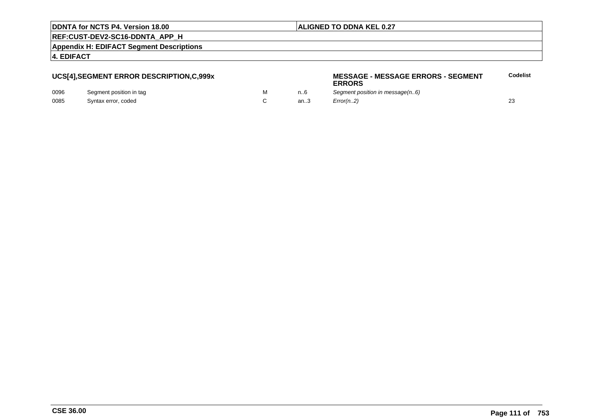# **ALIGNED TO DDNA KEL 0.27**

**REF:CUST-DEV2-SC16-DDNTA\_APP\_H**

**Appendix H: EDIFACT Segment Descriptions**

**4. EDIFACT**

# **UCS[4],SEGMENT ERROR DESCRIPTION,C,999x**

| 0096 | Segment position in tag |  |
|------|-------------------------|--|
| 0085 | Syntax error, coded     |  |

#### **MESSAGE - MESSAGE ERRORS - SEGMENTERRORSCodelist**

M m..6 Segment position in message(n..6) C an..3  $Error(n.2)$  23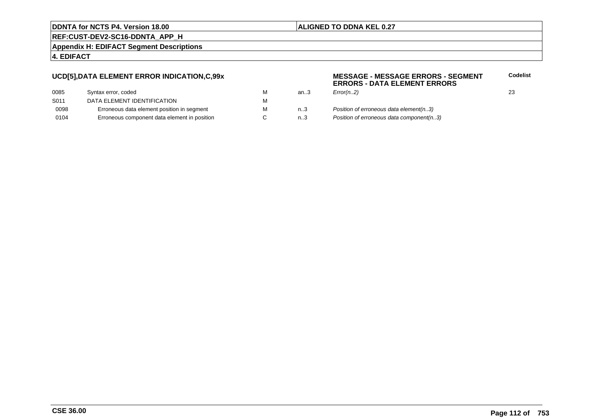# **ALIGNED TO DDNA KEL 0.27**

**REF:CUST-DEV2-SC16-DDNTA\_APP\_H**

**Appendix H: EDIFACT Segment Descriptions**

# **4. EDIFACT**

# **UCD[5],DATA ELEMENT ERROR INDICATION,C,99x**

| м |
|---|
| м |
| м |
| C |
|   |

#### **MESSAGE - MESSAGE ERRORS - SEGMENTERRORS - DATA ELEMENT ERRORSCodelist**

| м | an3     | Error(n.2)                             | 23 |
|---|---------|----------------------------------------|----|
| М |         |                                        |    |
| М | $n_{}3$ | Position of erroneous data element(n3) |    |
|   |         |                                        |    |

n..3 Position of erroneous data component(n..3)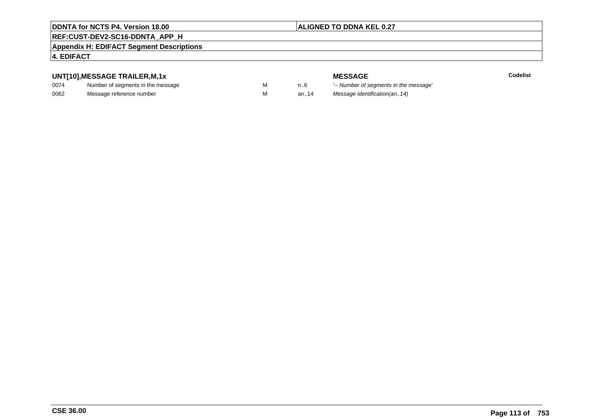# **ALIGNED TO DDNA KEL 0.27**

# **REF:CUST-DEV2-SC16-DDNTA\_APP\_H**

#### **Appendix H: EDIFACT Segment Descriptions**

# **4. EDIFACT**

# **UNT[10],MESSAGE TRAILER,M,1x**

| 0074 | Number of segments in the message |  |
|------|-----------------------------------|--|
| 0062 | Message reference number          |  |

**MESSAGE**<br>M n.6 <sup>'--</sup> Number of s **Codelist** M carried manufacturer of segments in the message'<br>Carried manufacturer in the message's M an..14 Message identification(an..14)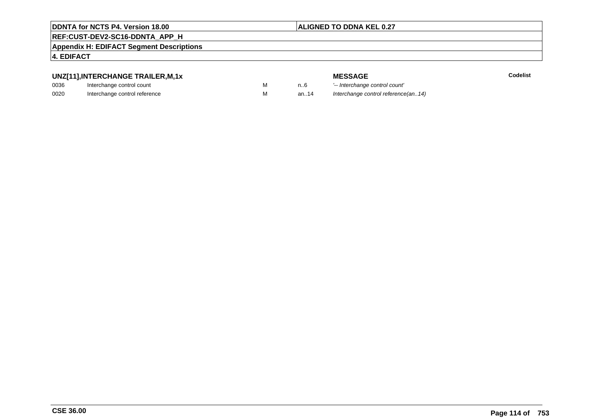# **ALIGNED TO DDNA KEL 0.27**

# **REF:CUST-DEV2-SC16-DDNTA\_APP\_H**

**Appendix H: EDIFACT Segment Descriptions**

# **4. EDIFACT**

# **UNZ[11],INTERCHANGE TRAILER,M,1x**

| 0036 | Interchange control count     |  |
|------|-------------------------------|--|
| 0020 | Interchange control reference |  |

| י הייזי בבוראיו בשיראו |  |
|------------------------|--|
| nge control count      |  |
| ago control reference  |  |

|   |      | <b>MESSAGE</b>                      | Codelist |
|---|------|-------------------------------------|----------|
| M | n6   | '-- Interchange control count'      |          |
| м | an14 | Interchange control reference(an14) |          |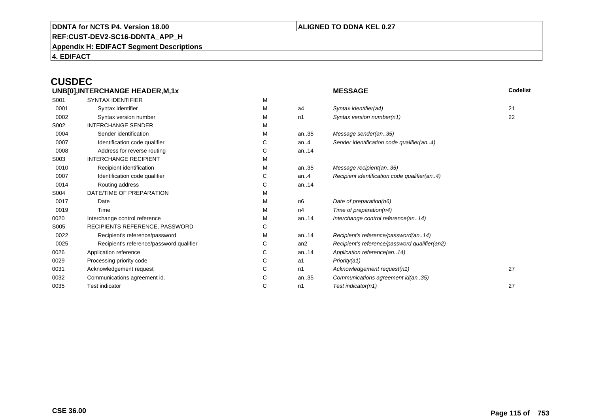# **ALIGNED TO DDNA KEL 0.27**

**REF:CUST-DEV2-SC16-DDNTA\_APP\_H**

**Appendix H: EDIFACT Segment Descriptions**

**4. EDIFACT**

# **CUSDEC**

| UNB[0], INTERCHANGE HEADER, M, 1x |                                          |   | <b>MESSAGE</b>  | Codelist                                      |    |
|-----------------------------------|------------------------------------------|---|-----------------|-----------------------------------------------|----|
| S001                              | <b>SYNTAX IDENTIFIER</b>                 | M |                 |                                               |    |
| 0001                              | Syntax identifier                        | M | a4              | Syntax identifier(a4)                         | 21 |
| 0002                              | Syntax version number                    | М | n1              | Syntax version number(n1)                     | 22 |
| S002                              | <b>INTERCHANGE SENDER</b>                | M |                 |                                               |    |
| 0004                              | Sender identification                    | M | an35            | Message sender(an35)                          |    |
| 0007                              | Identification code qualifier            | С | an. $4$         | Sender identification code qualifier(an4)     |    |
| 0008                              | Address for reverse routing              | С | an14            |                                               |    |
| S003                              | <b>INTERCHANGE RECIPIENT</b>             | М |                 |                                               |    |
| 0010                              | Recipient identification                 | М | an35            | Message recipient(an35)                       |    |
| 0007                              | Identification code qualifier            | С | an.4            | Recipient identification code qualifier(an4)  |    |
| 0014                              | Routing address                          | С | an14            |                                               |    |
| S004                              | DATE/TIME OF PREPARATION                 | М |                 |                                               |    |
| 0017                              | Date                                     | M | n <sub>6</sub>  | Date of preparation(n6)                       |    |
| 0019                              | Time                                     | М | n4              | Time of preparation(n4)                       |    |
| 0020                              | Interchange control reference            | М | an14            | Interchange control reference(an14)           |    |
| S005                              | RECIPIENTS REFERENCE, PASSWORD           | С |                 |                                               |    |
| 0022                              | Recipient's reference/password           | М | an14            | Recipient's reference/password(an14)          |    |
| 0025                              | Recipient's reference/password qualifier | С | an <sub>2</sub> | Recipient's reference/password qualifier(an2) |    |
| 0026                              | Application reference                    | С | an14            | Application reference(an14)                   |    |
| 0029                              | Processing priority code                 | С | a1              | Priority(a1)                                  |    |
| 0031                              | Acknowledgement request                  | С | n1              | Acknowledgement request(n1)                   | 27 |
| 0032                              | Communications agreement id.             | С | an35            | Communications agreement id(an35)             |    |
| 0035                              | <b>Test indicator</b>                    | С | n1              | Test indicator(n1)                            | 27 |
|                                   |                                          |   |                 |                                               |    |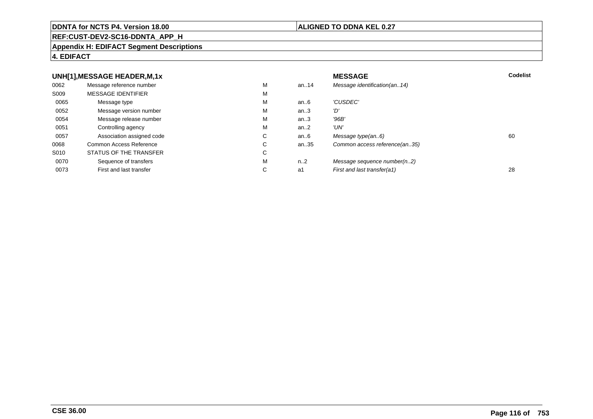#### **REF:CUST-DEV2-SC16-DDNTA\_APP\_H**

#### **Appendix H: EDIFACT Segment Descriptions**

# **4. EDIFACT**

#### **UNH[1],MESSAGE HEADER,M,1xx** MESSAGE **Codelist** Codelist 0062 Message reference number <sup>M</sup> an..14 Message identification(an..14) S009 MESSAGE IDENTIFIERR M M 0065Message type Message version number and the Message version number and the Message of Message Message Message M an..6 'CUSDEC' 0052 Message version number <sup>M</sup>an..3 '*D'*<br>an..3 '96*B'* 0054Message release number Message release number Message of the Message of the Message of Message of Message of Me<br>
Message release number of Message of Message of Message of Message of Message of Message of Message of Messag an..3 '96B'<br>an..2 'UN' 0051Controlling agency<br>
Association assigned code<br>
C an..2<br>an..6 0057Association assigned code **C** C<br>
mmon Access Reference **C** C an..6 Message type(an..6)<br>an..35 Common access reference(an..35) 0068Common Access Reference C<br>
STATUS OF THE TRANSFER
C Common access reference(an..35) S010 STATUS OF THE TRANSFERR C 0070Sequence of transfers M<br>
First and last transfer C n..2 Message sequence number(n..2)<br>a1 First and last transfer(a1) 0073First and last transfer First and last transfer(a1) 28

# **ALIGNED TO DDNA KEL 0.27**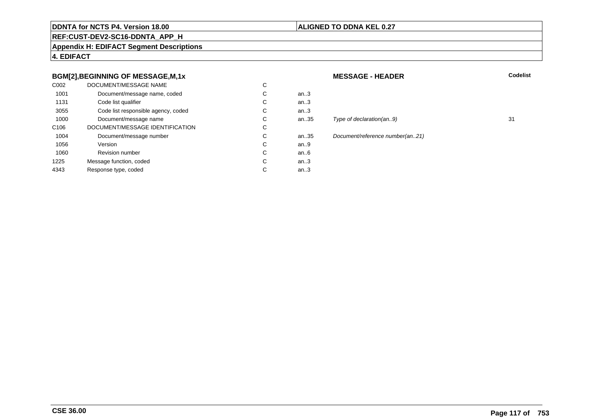# **ALIGNED TO DDNA KEL 0.27**

# **REF:CUST-DEV2-SC16-DDNTA\_APP\_H**

**Appendix H: EDIFACT Segment Descriptions**

**4. EDIFACT**

# **BGM[2],BEGINNING OF MESSAGE,M,1x**

| C <sub>0</sub> 02 | DOCUMENT/MESSAGE NAME               | C |      |
|-------------------|-------------------------------------|---|------|
| 1001              | Document/message name, coded        | С | an.3 |
| 1131              | Code list qualifier                 | С | an.3 |
| 3055              | Code list responsible agency, coded | С | an.3 |
| 1000              | Document/message name               | С | an35 |
| C <sub>106</sub>  | DOCUMENT/MESSAGE IDENTIFICATION     | C |      |
| 1004              | Document/message number             | С | an35 |
| 1056              | Version                             | С | an.9 |
| 1060              | <b>Revision number</b>              | С | an6  |
| 1225              | Message function, coded             | С | an.3 |
| 4343              | Response type, coded                | С | an.3 |
|                   |                                     |   |      |

#### **MESSAGE - HEADER**

**R** Codelist

# an.35 Type of declaration(an..9) 31

n..35 Document/reference number(an..21)<br>n..9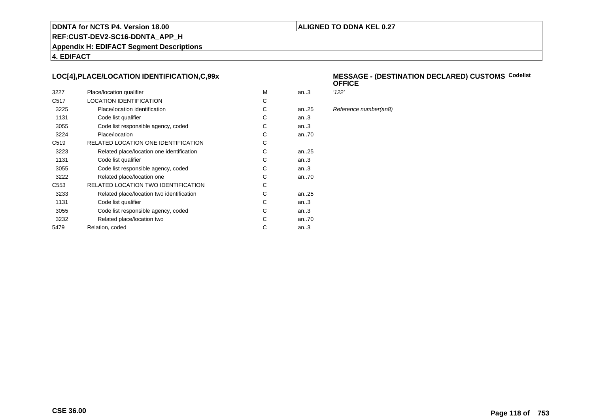# **ALIGNED TO DDNA KEL 0.27**

**REF:CUST-DEV2-SC16-DDNTA\_APP\_H**

**Appendix H: EDIFACT Segment Descriptions**

**4. EDIFACT**

# **LOC[4],PLACE/LOCATION IDENTIFICATION,C,99x**

| 3227             | Place/location qualifier                  | M | an $3$    | '122' |
|------------------|-------------------------------------------|---|-----------|-------|
| C <sub>517</sub> | <b>LOCATION IDENTIFICATION</b>            | C |           |       |
| 3225             | Place/location identification             | C | an. $.25$ | Refe  |
| 1131             | Code list qualifier                       | C | an.3      |       |
| 3055             | Code list responsible agency, coded       | С | an.3      |       |
| 3224             | Place/location                            | C | an70      |       |
| C <sub>519</sub> | RELATED LOCATION ONE IDENTIFICATION       | C |           |       |
| 3223             | Related place/location one identification | C | an25      |       |
| 1131             | Code list qualifier                       | C | an.3      |       |
| 3055             | Code list responsible agency, coded       | C | an.3      |       |
| 3222             | Related place/location one                | C | an70      |       |
| C <sub>553</sub> | RELATED LOCATION TWO IDENTIFICATION       | C |           |       |
| 3233             | Related place/location two identification | C | an. $.25$ |       |
| 1131             | Code list qualifier                       | C | an3       |       |
| 3055             | Code list responsible agency, coded       | C | an3       |       |
| 3232             | Related place/location two                | C | an70      |       |
| 5479             | Relation, coded                           | C | an.3      |       |
|                  |                                           |   |           |       |

#### **MESSAGE - (DESTINATION DECLARED) CUSTOMSCodelist OFFICE**

Reference number(an8)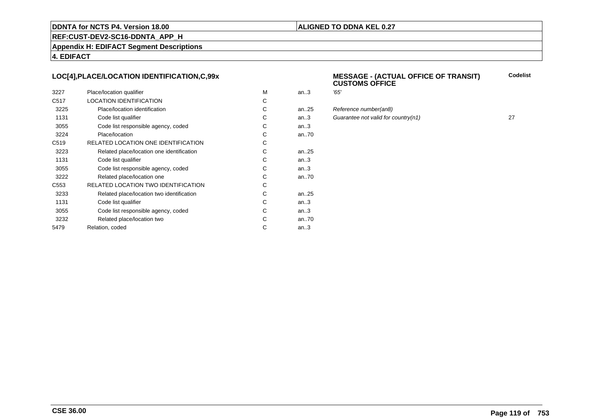# **ALIGNED TO DDNA KEL 0.27**

**REF:CUST-DEV2-SC16-DDNTA\_APP\_H**

**Appendix H: EDIFACT Segment Descriptions**

**4. EDIFACT**

# **LOC[4],PLACE/LOCATION IDENTIFICATION,C,99x**

| 3227             | Place/location qualifier                   | м | an.3 | '65' |
|------------------|--------------------------------------------|---|------|------|
| C <sub>517</sub> | <b>LOCATION IDENTIFICATION</b>             | C |      |      |
| 3225             | Place/location identification              | С | an25 | Ref  |
| 1131             | Code list qualifier                        | С | an.3 | Gu   |
| 3055             | Code list responsible agency, coded        | С | an.3 |      |
| 3224             | Place/location                             | С | an70 |      |
| C <sub>519</sub> | RELATED LOCATION ONE IDENTIFICATION        | С |      |      |
| 3223             | Related place/location one identification  | C | an25 |      |
| 1131             | Code list qualifier                        | С | an.3 |      |
| 3055             | Code list responsible agency, coded        | С | an.3 |      |
| 3222             | Related place/location one                 | С | an70 |      |
| C <sub>553</sub> | <b>RELATED LOCATION TWO IDENTIFICATION</b> | С |      |      |
| 3233             | Related place/location two identification  | С | an25 |      |
| 1131             | Code list qualifier                        | C | an.3 |      |
| 3055             | Code list responsible agency, coded        | C | an.3 |      |
| 3232             | Related place/location two                 | C | an70 |      |
| 5479             | Relation, coded                            | С | an.3 |      |
|                  |                                            |   |      |      |

#### **MESSAGE - (ACTUAL OFFICE OF TRANSIT) CUSTOMS OFFICECodelist**

| М  | an.3     | '65'                                |    |
|----|----------|-------------------------------------|----|
| C. |          |                                     |    |
| С  | an25     | Reference number(an8)               |    |
| С  | an.3     | Guarantee not valid for country(n1) | 27 |
| С  | an.3     |                                     |    |
| C. | an70     |                                     |    |
| C. |          |                                     |    |
| С  | an $.25$ |                                     |    |
|    |          |                                     |    |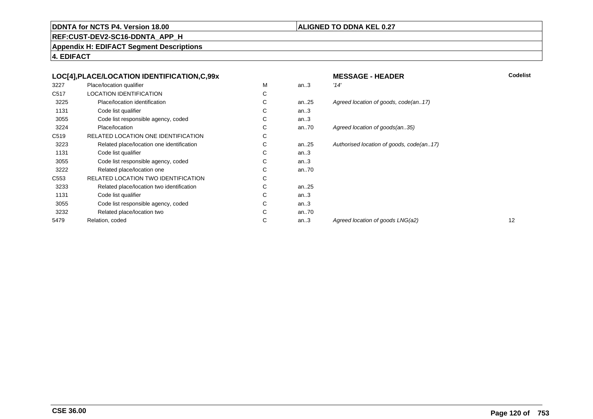# **ALIGNED TO DDNA KEL 0.27**

**REF:CUST-DEV2-SC16-DDNTA\_APP\_H**

**Appendix H: EDIFACT Segment Descriptions**

**4. EDIFACT**

|                  | LOC[4], PLACE/LOCATION IDENTIFICATION, C, 99x |   |      | <b>MESSAGE - HEADER</b>                  | Codelist |
|------------------|-----------------------------------------------|---|------|------------------------------------------|----------|
| 3227             | Place/location qualifier                      | M | an.3 | '14'                                     |          |
| C517             | LOCATION IDENTIFICATION                       | С |      |                                          |          |
| 3225             | Place/location identification                 | С | an25 | Agreed location of goods, code(an17)     |          |
| 1131             | Code list qualifier                           | С | an.3 |                                          |          |
| 3055             | Code list responsible agency, coded           | С | an.3 |                                          |          |
| 3224             | Place/location                                | С | an70 | Agreed location of goods(an35)           |          |
| C519             | RELATED LOCATION ONE IDENTIFICATION           | С |      |                                          |          |
| 3223             | Related place/location one identification     | С | an25 | Authorised location of goods, code(an17) |          |
| 1131             | Code list qualifier                           | С | an.3 |                                          |          |
| 3055             | Code list responsible agency, coded           | С | an.3 |                                          |          |
| 3222             | Related place/location one                    | С | an70 |                                          |          |
| C <sub>553</sub> | RELATED LOCATION TWO IDENTIFICATION           | С |      |                                          |          |
| 3233             | Related place/location two identification     | С | an25 |                                          |          |
| 1131             | Code list qualifier                           | С | an.3 |                                          |          |
| 3055             | Code list responsible agency, coded           | С | an.3 |                                          |          |
| 3232             | Related place/location two                    | С | an70 |                                          |          |
| 5479             | Relation, coded                               | С | an.3 | Agreed location of goods LNG(a2)         | 12       |
|                  |                                               |   |      |                                          |          |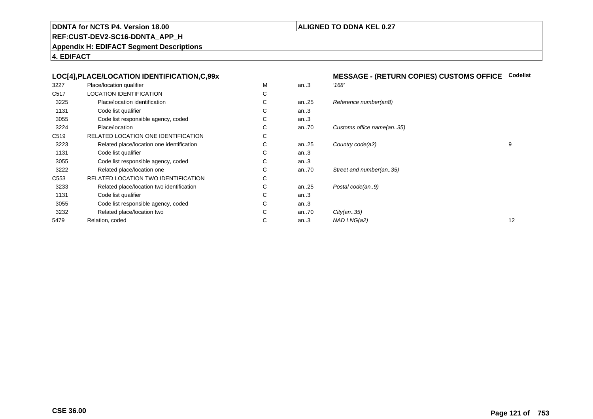# **ALIGNED TO DDNA KEL 0.27**

**REF:CUST-DEV2-SC16-DDNTA\_APP\_H**

**Appendix H: EDIFACT Segment Descriptions**

**4. EDIFACT**

| М<br>Place/location qualifier<br>'168'<br>3227<br>an.3<br>C517<br><b>LOCATION IDENTIFICATION</b><br>С<br>С<br>3225<br>Place/location identification<br>Reference number(an8)<br>an $.25$<br>1131<br>C<br>Code list qualifier<br>an.3<br>3055<br>Code list responsible agency, coded<br>С<br>an.3<br>3224<br>С<br>Place/location<br>Customs office name(an35)<br>an70<br>C519<br>С<br>RELATED LOCATION ONE IDENTIFICATION<br>С<br>9<br>3223<br>Related place/location one identification<br>Country code(a2)<br>an25<br>1131<br>C<br>Code list qualifier<br>an.3<br>3055<br>Code list responsible agency, coded<br>C<br>an.3<br>3222<br>Related place/location one<br>С<br>an $.70$<br>Street and number(an35)<br>C <sub>553</sub><br>С<br>RELATED LOCATION TWO IDENTIFICATION<br>Related place/location two identification<br>Postal code(an9)<br>3233<br>С<br>an $.25$<br>1131<br>Code list qualifier<br>С<br>an.3<br>3055<br>Code list responsible agency, coded<br>С<br>an.3<br>3232<br>С<br>Related place/location two<br>an $.70$<br>City(an35)<br>12<br>С<br>5479<br>an.3<br>NAD LNG(a2)<br>Relation, coded | LOC[4], PLACE/LOCATION IDENTIFICATION, C, 99x |  | <b>MESSAGE - (RETURN COPIES) CUSTOMS OFFICE</b> | <b>Codelist</b> |
|-------------------------------------------------------------------------------------------------------------------------------------------------------------------------------------------------------------------------------------------------------------------------------------------------------------------------------------------------------------------------------------------------------------------------------------------------------------------------------------------------------------------------------------------------------------------------------------------------------------------------------------------------------------------------------------------------------------------------------------------------------------------------------------------------------------------------------------------------------------------------------------------------------------------------------------------------------------------------------------------------------------------------------------------------------------------------------------------------------------------|-----------------------------------------------|--|-------------------------------------------------|-----------------|
|                                                                                                                                                                                                                                                                                                                                                                                                                                                                                                                                                                                                                                                                                                                                                                                                                                                                                                                                                                                                                                                                                                                   |                                               |  |                                                 |                 |
|                                                                                                                                                                                                                                                                                                                                                                                                                                                                                                                                                                                                                                                                                                                                                                                                                                                                                                                                                                                                                                                                                                                   |                                               |  |                                                 |                 |
|                                                                                                                                                                                                                                                                                                                                                                                                                                                                                                                                                                                                                                                                                                                                                                                                                                                                                                                                                                                                                                                                                                                   |                                               |  |                                                 |                 |
|                                                                                                                                                                                                                                                                                                                                                                                                                                                                                                                                                                                                                                                                                                                                                                                                                                                                                                                                                                                                                                                                                                                   |                                               |  |                                                 |                 |
|                                                                                                                                                                                                                                                                                                                                                                                                                                                                                                                                                                                                                                                                                                                                                                                                                                                                                                                                                                                                                                                                                                                   |                                               |  |                                                 |                 |
|                                                                                                                                                                                                                                                                                                                                                                                                                                                                                                                                                                                                                                                                                                                                                                                                                                                                                                                                                                                                                                                                                                                   |                                               |  |                                                 |                 |
|                                                                                                                                                                                                                                                                                                                                                                                                                                                                                                                                                                                                                                                                                                                                                                                                                                                                                                                                                                                                                                                                                                                   |                                               |  |                                                 |                 |
|                                                                                                                                                                                                                                                                                                                                                                                                                                                                                                                                                                                                                                                                                                                                                                                                                                                                                                                                                                                                                                                                                                                   |                                               |  |                                                 |                 |
|                                                                                                                                                                                                                                                                                                                                                                                                                                                                                                                                                                                                                                                                                                                                                                                                                                                                                                                                                                                                                                                                                                                   |                                               |  |                                                 |                 |
|                                                                                                                                                                                                                                                                                                                                                                                                                                                                                                                                                                                                                                                                                                                                                                                                                                                                                                                                                                                                                                                                                                                   |                                               |  |                                                 |                 |
|                                                                                                                                                                                                                                                                                                                                                                                                                                                                                                                                                                                                                                                                                                                                                                                                                                                                                                                                                                                                                                                                                                                   |                                               |  |                                                 |                 |
|                                                                                                                                                                                                                                                                                                                                                                                                                                                                                                                                                                                                                                                                                                                                                                                                                                                                                                                                                                                                                                                                                                                   |                                               |  |                                                 |                 |
|                                                                                                                                                                                                                                                                                                                                                                                                                                                                                                                                                                                                                                                                                                                                                                                                                                                                                                                                                                                                                                                                                                                   |                                               |  |                                                 |                 |
|                                                                                                                                                                                                                                                                                                                                                                                                                                                                                                                                                                                                                                                                                                                                                                                                                                                                                                                                                                                                                                                                                                                   |                                               |  |                                                 |                 |
|                                                                                                                                                                                                                                                                                                                                                                                                                                                                                                                                                                                                                                                                                                                                                                                                                                                                                                                                                                                                                                                                                                                   |                                               |  |                                                 |                 |
|                                                                                                                                                                                                                                                                                                                                                                                                                                                                                                                                                                                                                                                                                                                                                                                                                                                                                                                                                                                                                                                                                                                   |                                               |  |                                                 |                 |
|                                                                                                                                                                                                                                                                                                                                                                                                                                                                                                                                                                                                                                                                                                                                                                                                                                                                                                                                                                                                                                                                                                                   |                                               |  |                                                 |                 |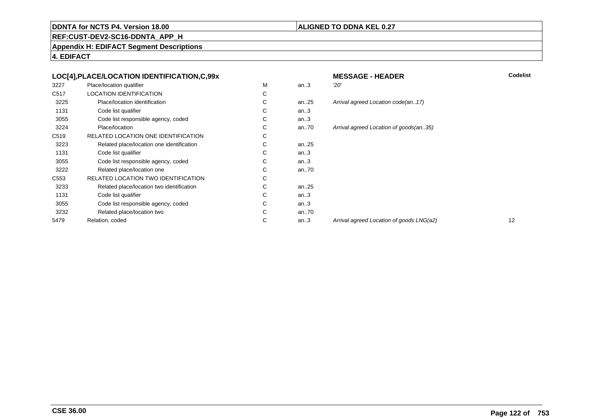# **ALIGNED TO DDNA KEL 0.27**

**REF:CUST-DEV2-SC16-DDNTA\_APP\_H**

**Appendix H: EDIFACT Segment Descriptions**

**4. EDIFACT**

| LOC[4], PLACE/LOCATION IDENTIFICATION, C, 99x |                                           |   |           | <b>MES</b> |
|-----------------------------------------------|-------------------------------------------|---|-----------|------------|
| 3227                                          | Place/location qualifier                  | M | an.3      | 20'        |
| C <sub>517</sub>                              | <b>LOCATION IDENTIFICATION</b>            | C |           |            |
| 3225                                          | Place/location identification             | C | an. $.25$ | Arriva     |
| 1131                                          | Code list qualifier                       | C | an.3      |            |
| 3055                                          | Code list responsible agency, coded       | С | an.3      |            |
| 3224                                          | Place/location                            | С | an70      | Arriva     |
| C <sub>519</sub>                              | RELATED LOCATION ONE IDENTIFICATION       | С |           |            |
| 3223                                          | Related place/location one identification | C | an. $.25$ |            |
| 1131                                          | Code list qualifier                       | C | an.3      |            |
| 3055                                          | Code list responsible agency, coded       | С | an.3      |            |
| 3222                                          | Related place/location one                | C | an70      |            |
| C <sub>553</sub>                              | RELATED LOCATION TWO IDENTIFICATION       | C |           |            |
| 3233                                          | Related place/location two identification | C | an. $.25$ |            |
| 1131                                          | Code list qualifier                       | C | an.3      |            |
| 3055                                          | Code list responsible agency, coded       | C | an.3      |            |
| 3232                                          | Related place/location two                | С | an70      |            |
| 5479                                          | Relation, coded                           | С | an.3      | Arriva     |
|                                               |                                           |   |           |            |

 **MESSAGE - HEADERR** Codelist al agreed Location code(an..17) ral agreed Location of goods(an..35) ral agreed Location of goods LNG(a2) 12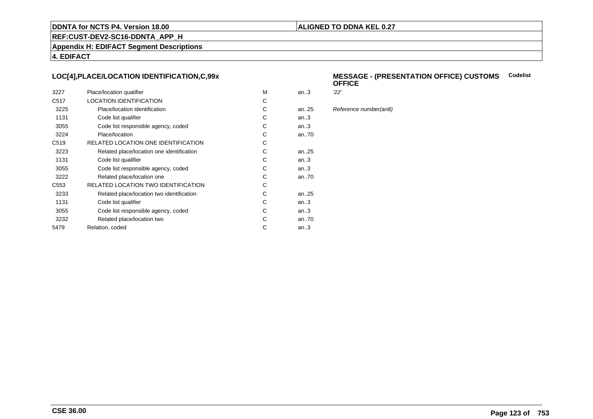# **ALIGNED TO DDNA KEL 0.27**

**REF:CUST-DEV2-SC16-DDNTA\_APP\_H**

**Appendix H: EDIFACT Segment Descriptions**

**4. EDIFACT**

# **LOC[4],PLACE/LOCATION IDENTIFICATION,C,99x**

| 3227             | Place/location qualifier                   | м | an.3      | 22' |
|------------------|--------------------------------------------|---|-----------|-----|
| C <sub>517</sub> | <b>LOCATION IDENTIFICATION</b>             | C |           |     |
| 3225             | Place/location identification              | С | an25      | Ref |
| 1131             | Code list qualifier                        | С | an.3      |     |
| 3055             | Code list responsible agency, coded        | С | an.3      |     |
| 3224             | Place/location                             | C | an70      |     |
| C <sub>519</sub> | <b>RELATED LOCATION ONE IDENTIFICATION</b> | С |           |     |
| 3223             | Related place/location one identification  | С | an25      |     |
| 1131             | Code list qualifier                        | C | an.3      |     |
| 3055             | Code list responsible agency, coded        | С | an.3      |     |
| 3222             | Related place/location one                 | С | an70      |     |
| C <sub>553</sub> | RELATED LOCATION TWO IDENTIFICATION        | С |           |     |
| 3233             | Related place/location two identification  | C | an. $.25$ |     |
| 1131             | Code list qualifier                        | C | an.3      |     |
| 3055             | Code list responsible agency, coded        | С | an.3      |     |
| 3232             | Related place/location two                 | С | an70      |     |
| 5479             | Relation, coded                            | С | an.3      |     |
|                  |                                            |   |           |     |

#### **MESSAGE - (PRESENTATION OFFICE) CUSTOMSCodelist OFFICE**

Reference number(an8)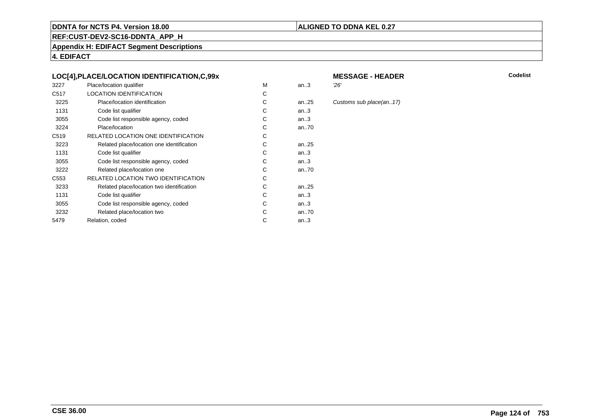# **ALIGNED TO DDNA KEL 0.27**

**REF:CUST-DEV2-SC16-DDNTA\_APP\_H**

**Appendix H: EDIFACT Segment Descriptions**

**4. EDIFACT**

# **LOC[4],PLACE/LOCATION IDENTIFICATION,C,99x**

| 3227             | Place/location qualifier                  | M | an.3      | 26' |
|------------------|-------------------------------------------|---|-----------|-----|
| C <sub>517</sub> | <b>LOCATION IDENTIFICATION</b>            | С |           |     |
| 3225             | Place/location identification             | С | an. $.25$ | Cus |
| 1131             | Code list qualifier                       | С | an.3      |     |
| 3055             | Code list responsible agency, coded       | С | an.3      |     |
| 3224             | Place/location                            | C | an70      |     |
| C <sub>519</sub> | RELATED LOCATION ONE IDENTIFICATION       | С |           |     |
| 3223             | Related place/location one identification | С | an. $.25$ |     |
| 1131             | Code list qualifier                       | C | an.3      |     |
| 3055             | Code list responsible agency, coded       | С | an.3      |     |
| 3222             | Related place/location one                | С | an70      |     |
| C <sub>553</sub> | RELATED LOCATION TWO IDENTIFICATION       | С |           |     |
| 3233             | Related place/location two identification | С | an25      |     |
| 1131             | Code list qualifier                       | C | an.3      |     |
| 3055             | Code list responsible agency, coded       | С | an.3      |     |
| 3232             | Related place/location two                | С | an70      |     |
| 5479             | Relation, coded                           | С | an.3      |     |
|                  |                                           |   |           |     |

# **MESSAGE - HEADER**

**R** Codelist

Customs sub place(an..17)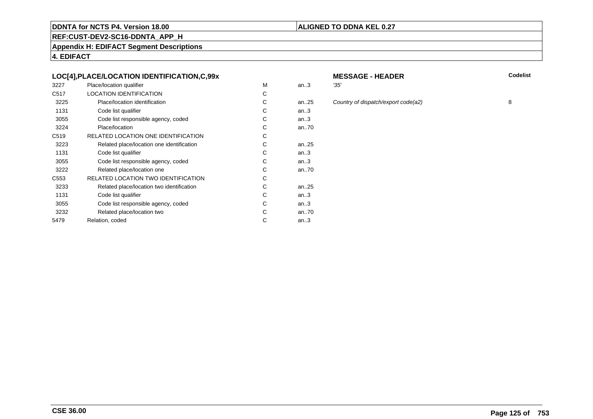# **ALIGNED TO DDNA KEL 0.27**

**REF:CUST-DEV2-SC16-DDNTA\_APP\_H**

**Appendix H: EDIFACT Segment Descriptions**

**4. EDIFACT**

# **LOC[4],PLACE/LOCATION IDENTIFICATION,C,99x**

| 3227             | Place/location qualifier                  | м | an.3      | '35' |
|------------------|-------------------------------------------|---|-----------|------|
| C <sub>517</sub> | <b>LOCATION IDENTIFICATION</b>            | С |           |      |
| 3225             | Place/location identification             | С | an $.25$  | Col  |
| 1131             | Code list qualifier                       | С | an.3      |      |
| 3055             | Code list responsible agency, coded       | С | an.3      |      |
| 3224             | Place/location                            | С | an70      |      |
| C <sub>519</sub> | RELATED LOCATION ONE IDENTIFICATION       | С |           |      |
| 3223             | Related place/location one identification | С | an. $.25$ |      |
| 1131             | Code list qualifier                       | C | an.3      |      |
| 3055             | Code list responsible agency, coded       | С | an.3      |      |
| 3222             | Related place/location one                | С | an70      |      |
| C <sub>553</sub> | RELATED LOCATION TWO IDENTIFICATION       | С |           |      |
| 3233             | Related place/location two identification | С | an25      |      |
| 1131             | Code list qualifier                       | C | an.3      |      |
| 3055             | Code list responsible agency, coded       | С | an.3      |      |
| 3232             | Related place/location two                | С | an70      |      |
| 5479             | Relation, coded                           | С | an.3      |      |
|                  |                                           |   |           |      |

# **MESSAGE - HEADER**

**R** Codelist

an...<br>25 Country of dispatch/export code(a2) 8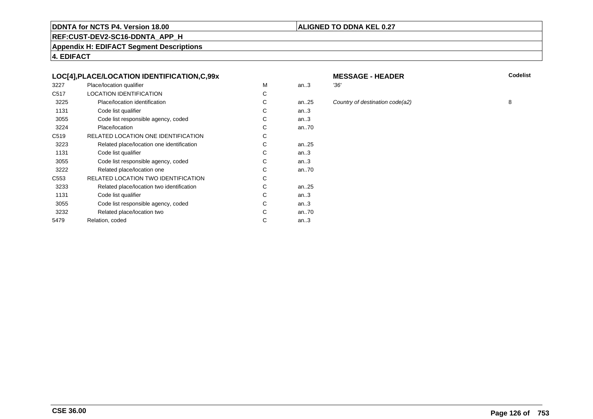# **ALIGNED TO DDNA KEL 0.27**

**REF:CUST-DEV2-SC16-DDNTA\_APP\_H**

**Appendix H: EDIFACT Segment Descriptions**

**4. EDIFACT**

# **LOC[4],PLACE/LOCATION IDENTIFICATION,C,99x**

| 3227             | Place/location qualifier                  | м | an.3     | '36' |
|------------------|-------------------------------------------|---|----------|------|
| C <sub>517</sub> | <b>LOCATION IDENTIFICATION</b>            | С |          |      |
| 3225             | Place/location identification             | С | an $.25$ | Col  |
| 1131             | Code list qualifier                       | С | an.3     |      |
| 3055             | Code list responsible agency, coded       | С | an.3     |      |
| 3224             | Place/location                            | C | an70     |      |
| C <sub>519</sub> | RELATED LOCATION ONE IDENTIFICATION       | С |          |      |
| 3223             | Related place/location one identification | С | an25     |      |
| 1131             | Code list qualifier                       | С | an.3     |      |
| 3055             | Code list responsible agency, coded       | С | an.3     |      |
| 3222             | Related place/location one                | С | an70     |      |
| C553             | RELATED LOCATION TWO IDENTIFICATION       | С |          |      |
| 3233             | Related place/location two identification | С | an25     |      |
| 1131             | Code list qualifier                       | C | an.3     |      |
| 3055             | Code list responsible agency, coded       | C | an.3     |      |
| 3232             | Related place/location two                | C | an70     |      |
| 5479             | Relation, coded                           | С | an.3     |      |
|                  |                                           |   |          |      |

# **MESSAGE - HEADER**

**R** Codelist

an...<br>25 Country of destination code(a2) 8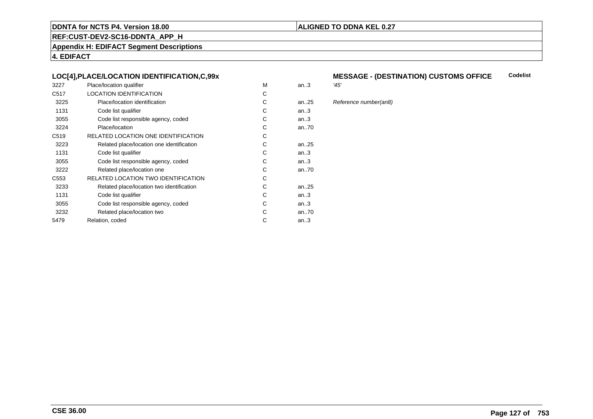# **ALIGNED TO DDNA KEL 0.27**

**REF:CUST-DEV2-SC16-DDNTA\_APP\_H**

**Appendix H: EDIFACT Segment Descriptions**

**4. EDIFACT**

# **LOC[4],PLACE/LOCATION IDENTIFICATION,C,99x**

| 3227             | Place/location qualifier                   | М | an.3      | '45' |
|------------------|--------------------------------------------|---|-----------|------|
| C <sub>517</sub> | <b>LOCATION IDENTIFICATION</b>             | С |           |      |
| 3225             | Place/location identification              | C | an25      | Ref  |
| 1131             | Code list qualifier                        | С | an.3      |      |
| 3055             | Code list responsible agency, coded        | С | an.3      |      |
| 3224             | Place/location                             | C | an70      |      |
| C <sub>519</sub> | RELATED LOCATION ONE IDENTIFICATION        | С |           |      |
| 3223             | Related place/location one identification  | C | an. $.25$ |      |
| 1131             | Code list qualifier                        | С | an.3      |      |
| 3055             | Code list responsible agency, coded        | С | an.3      |      |
| 3222             | Related place/location one                 | C | an70      |      |
| C553             | <b>RELATED LOCATION TWO IDENTIFICATION</b> | С |           |      |
| 3233             | Related place/location two identification  | С | an. $.25$ |      |
| 1131             | Code list qualifier                        | C | an.3      |      |
| 3055             | Code list responsible agency, coded        | С | an.3      |      |
| 3232             | Related place/location two                 | С | an70      |      |
| 5479             | Relation, coded                            | С | an.3      |      |
|                  |                                            |   |           |      |

#### **MESSAGE - (DESTINATION) CUSTOMS OFFICE Codelist**

Reference number(an8)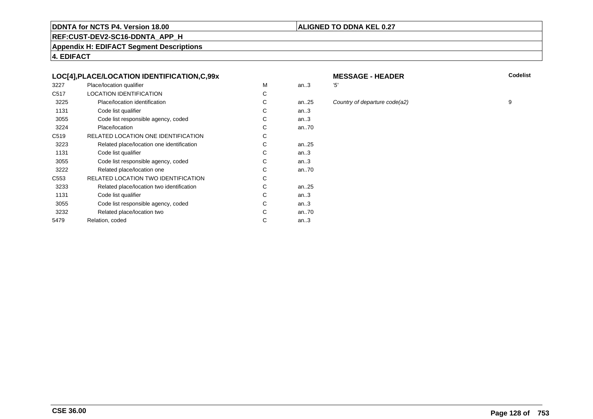# **ALIGNED TO DDNA KEL 0.27**

**REF:CUST-DEV2-SC16-DDNTA\_APP\_H**

**Appendix H: EDIFACT Segment Descriptions**

**4. EDIFACT**

# **LOC[4],PLACE/LOCATION IDENTIFICATION,C,99x**

| 3227             | Place/location qualifier                   | M | an.3      | '5' |
|------------------|--------------------------------------------|---|-----------|-----|
| C <sub>517</sub> | <b>LOCATION IDENTIFICATION</b>             | С |           |     |
| 3225             | Place/location identification              | C | an25      | C(  |
| 1131             | Code list qualifier                        | С | an.3      |     |
| 3055             | Code list responsible agency, coded        | C | an.3      |     |
| 3224             | Place/location                             | С | an70      |     |
| C <sub>519</sub> | RELATED LOCATION ONE IDENTIFICATION        | С |           |     |
| 3223             | Related place/location one identification  | С | an. $.25$ |     |
| 1131             | Code list qualifier                        | С | an.3      |     |
| 3055             | Code list responsible agency, coded        | С | an.3      |     |
| 3222             | Related place/location one                 | С | an70      |     |
| C <sub>553</sub> | <b>RELATED LOCATION TWO IDENTIFICATION</b> | C |           |     |
| 3233             | Related place/location two identification  | С | an. $.25$ |     |
| 1131             | Code list qualifier                        | С | an.3      |     |
| 3055             | Code list responsible agency, coded        | С | an.3      |     |
| 3232             | Related place/location two                 | С | an70      |     |
| 5479             | Relation, coded                            | С | an.3      |     |
|                  |                                            |   |           |     |

# **MESSAGE - HEADER**

**R** Codelist

an...<br>25 Country of departure code(a2) 9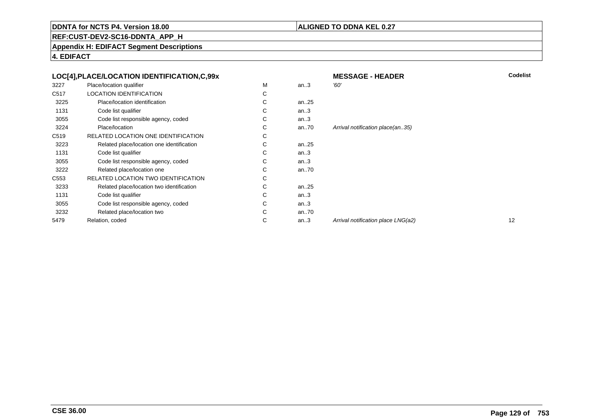# **ALIGNED TO DDNA KEL 0.27**

**REF:CUST-DEV2-SC16-DDNTA\_APP\_H**

**Appendix H: EDIFACT Segment Descriptions**

**4. EDIFACT**

|                  | LOC[4], PLACE/LOCATION IDENTIFICATION, C, 99x |   |          | <b>MESSAGE - HEADER</b>            | Codelist |
|------------------|-----------------------------------------------|---|----------|------------------------------------|----------|
| 3227             | Place/location qualifier                      | M | an.3     | '60'                               |          |
| C517             | <b>LOCATION IDENTIFICATION</b>                | С |          |                                    |          |
| 3225             | Place/location identification                 | С | an $.25$ |                                    |          |
| 1131             | Code list qualifier                           | С | an.3     |                                    |          |
| 3055             | Code list responsible agency, coded           | С | an.3     |                                    |          |
| 3224             | Place/location                                | С | an $.70$ | Arrival notification place(an35)   |          |
| C <sub>519</sub> | RELATED LOCATION ONE IDENTIFICATION           | С |          |                                    |          |
| 3223             | Related place/location one identification     | C | an25     |                                    |          |
| 1131             | Code list qualifier                           | С | an.3     |                                    |          |
| 3055             | Code list responsible agency, coded           | С | an.3     |                                    |          |
| 3222             | Related place/location one                    | С | an $.70$ |                                    |          |
| C <sub>553</sub> | RELATED LOCATION TWO IDENTIFICATION           | С |          |                                    |          |
| 3233             | Related place/location two identification     | С | an $.25$ |                                    |          |
| 1131             | Code list qualifier                           | C | an.3     |                                    |          |
| 3055             | Code list responsible agency, coded           | С | an.3     |                                    |          |
| 3232             | Related place/location two                    | С | an70     |                                    |          |
| 5479             | Relation, coded                               | С | an.3     | Arrival notification place LNG(a2) | 12       |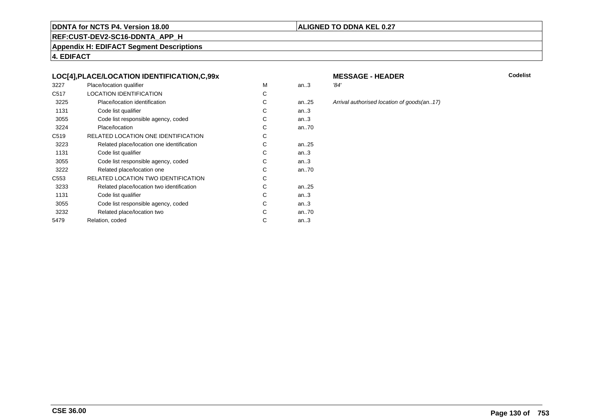# **ALIGNED TO DDNA KEL 0.27**

**REF:CUST-DEV2-SC16-DDNTA\_APP\_H**

**Appendix H: EDIFACT Segment Descriptions**

**4. EDIFACT**

# **LOC[4],PLACE/LOCATION IDENTIFICATION,C,99x**

| 3227             | Place/location qualifier                   | м | an.3      | '84' |
|------------------|--------------------------------------------|---|-----------|------|
| C <sub>517</sub> | <b>LOCATION IDENTIFICATION</b>             | С |           |      |
| 3225             | Place/location identification              | С | an. $.25$ | Arri |
| 1131             | Code list qualifier                        | C | an.3      |      |
| 3055             | Code list responsible agency, coded        | С | an.3      |      |
| 3224             | Place/location                             | С | an70      |      |
| C <sub>519</sub> | RELATED LOCATION ONE IDENTIFICATION        | С |           |      |
| 3223             | Related place/location one identification  | C | an. $.25$ |      |
| 1131             | Code list qualifier                        | С | an.3      |      |
| 3055             | Code list responsible agency, coded        | С | an.3      |      |
| 3222             | Related place/location one                 | С | an70      |      |
| C553             | <b>RELATED LOCATION TWO IDENTIFICATION</b> | С |           |      |
| 3233             | Related place/location two identification  | С | an. $.25$ |      |
| 1131             | Code list qualifier                        | C | an.3      |      |
| 3055             | Code list responsible agency, coded        | С | an.3      |      |
| 3232             | Related place/location two                 | С | an70      |      |
| 5479             | Relation, coded                            | С | an.3      |      |
|                  |                                            |   |           |      |

# **MESSAGE - HEADER**

**R** Codelist

25 Arrival authorised location of goods(an..17)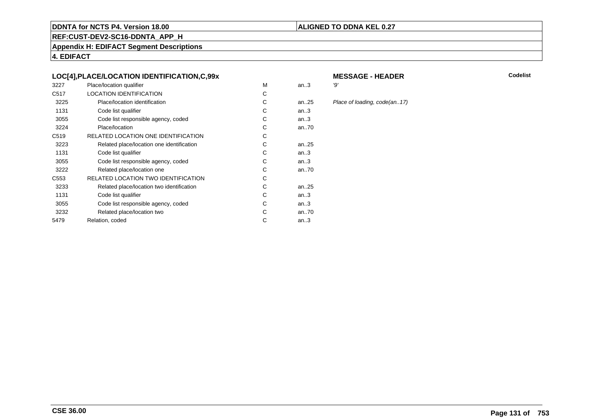# **ALIGNED TO DDNA KEL 0.27**

**REF:CUST-DEV2-SC16-DDNTA\_APP\_H**

**Appendix H: EDIFACT Segment Descriptions**

**4. EDIFACT**

# **LOC[4],PLACE/LOCATION IDENTIFICATION,C,99x**

| 3227             | Place/location qualifier                  | M | an.3      | '9' |
|------------------|-------------------------------------------|---|-----------|-----|
| C <sub>517</sub> | <b>LOCATION IDENTIFICATION</b>            | С |           |     |
| 3225             | Place/location identification             | C | an25      | PI  |
| 1131             | Code list qualifier                       | С | an.3      |     |
| 3055             | Code list responsible agency, coded       | C | an.3      |     |
| 3224             | Place/location                            | С | an70      |     |
| C <sub>519</sub> | RELATED LOCATION ONE IDENTIFICATION       | С |           |     |
| 3223             | Related place/location one identification | C | an. $.25$ |     |
| 1131             | Code list qualifier                       | С | an.3      |     |
| 3055             | Code list responsible agency, coded       | C | an.3      |     |
| 3222             | Related place/location one                | С | an70      |     |
| C <sub>553</sub> | RELATED LOCATION TWO IDENTIFICATION       | С |           |     |
| 3233             | Related place/location two identification | С | an25      |     |
| 1131             | Code list qualifier                       | C | an.3      |     |
| 3055             | Code list responsible agency, coded       | С | an.3      |     |
| 3232             | Related place/location two                | С | an70      |     |
| 5479             | Relation, coded                           | С | an $3$    |     |
|                  |                                           |   |           |     |

# **MESSAGE - HEADER**

**R** Codelist

5 Place of loading, code(an..17)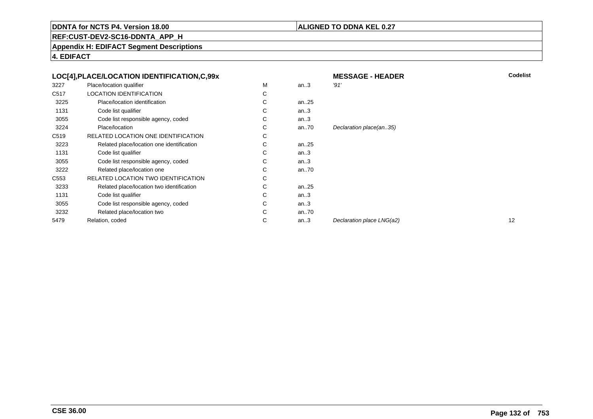# **ALIGNED TO DDNA KEL 0.27**

**REF:CUST-DEV2-SC16-DDNTA\_APP\_H**

**Appendix H: EDIFACT Segment Descriptions**

**4. EDIFACT**

|                  | LOC[4], PLACE/LOCATION IDENTIFICATION, C, 99x |   |          | <b>MESSAGE - HEADER</b>   | Codelist |
|------------------|-----------------------------------------------|---|----------|---------------------------|----------|
| 3227             | Place/location qualifier                      | м | an.3     | '91'                      |          |
| C517             | <b>LOCATION IDENTIFICATION</b>                | C |          |                           |          |
| 3225             | Place/location identification                 | C | an $.25$ |                           |          |
| 1131             | Code list qualifier                           | C | an.3     |                           |          |
| 3055             | Code list responsible agency, coded           | C | an.3     |                           |          |
| 3224             | Place/location                                | C | an70     | Declaration place(an35)   |          |
| C <sub>519</sub> | RELATED LOCATION ONE IDENTIFICATION           | C |          |                           |          |
| 3223             | Related place/location one identification     | C | an $.25$ |                           |          |
| 1131             | Code list qualifier                           | C | an.3     |                           |          |
| 3055             | Code list responsible agency, coded           | С | an.3     |                           |          |
| 3222             | Related place/location one                    | C | an $.70$ |                           |          |
| C <sub>553</sub> | <b>RELATED LOCATION TWO IDENTIFICATION</b>    | C |          |                           |          |
| 3233             | Related place/location two identification     | C | an $.25$ |                           |          |
| 1131             | Code list qualifier                           | C | an.3     |                           |          |
| 3055             | Code list responsible agency, coded           | C | an.3     |                           |          |
| 3232             | Related place/location two                    | C | an $.70$ |                           |          |
| 5479             | Relation, coded                               | C | an.3     | Declaration place LNG(a2) | 12       |
|                  |                                               |   |          |                           |          |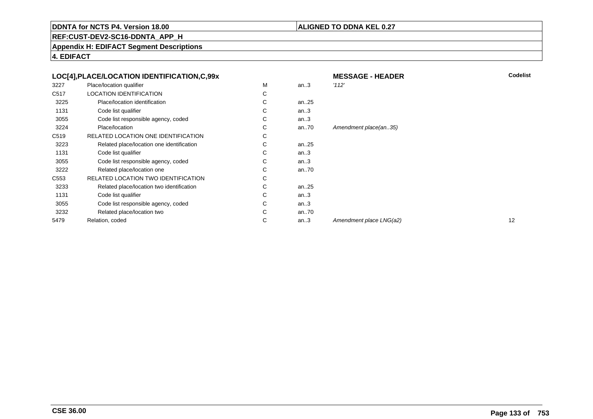# **ALIGNED TO DDNA KEL 0.27**

**REF:CUST-DEV2-SC16-DDNTA\_APP\_H**

**Appendix H: EDIFACT Segment Descriptions**

**4. EDIFACT**

|                  | LOC[4], PLACE/LOCATION IDENTIFICATION, C, 99x |   |          | <b>MESSAGE - HEADER</b> | Codelist |
|------------------|-----------------------------------------------|---|----------|-------------------------|----------|
| 3227             | Place/location qualifier                      | М | an.3     | '112'                   |          |
| C <sub>517</sub> | LOCATION IDENTIFICATION                       | С |          |                         |          |
| 3225             | Place/location identification                 | C | an $.25$ |                         |          |
| 1131             | Code list qualifier                           | С | an.3     |                         |          |
| 3055             | Code list responsible agency, coded           | С | an.3     |                         |          |
| 3224             | Place/location                                | С | an $.70$ | Amendment place(an35)   |          |
| C519             | RELATED LOCATION ONE IDENTIFICATION           | С |          |                         |          |
| 3223             | Related place/location one identification     | С | an25     |                         |          |
| 1131             | Code list qualifier                           | С | an.3     |                         |          |
| 3055             | Code list responsible agency, coded           | С | an.3     |                         |          |
| 3222             | Related place/location one                    | С | an.70    |                         |          |
| C <sub>553</sub> | RELATED LOCATION TWO IDENTIFICATION           | С |          |                         |          |
| 3233             | Related place/location two identification     | С | an25     |                         |          |
| 1131             | Code list qualifier                           | С | an.3     |                         |          |
| 3055             | Code list responsible agency, coded           | С | an.3     |                         |          |
| 3232             | Related place/location two                    | C | an.70    |                         |          |
| 5479             | Relation, coded                               | С | an.3     | Amendment place LNG(a2) | 12       |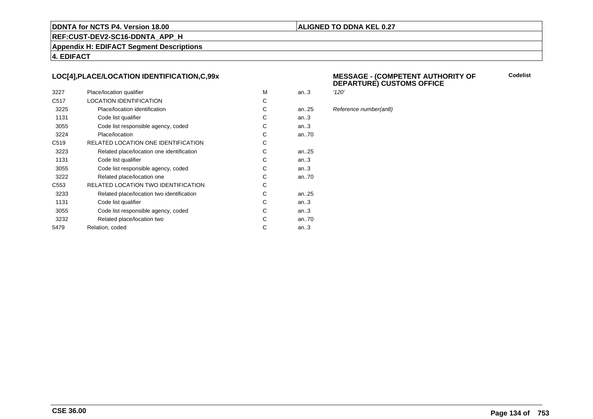# **ALIGNED TO DDNA KEL 0.27**

**REF:CUST-DEV2-SC16-DDNTA\_APP\_H**

**Appendix H: EDIFACT Segment Descriptions**

**4. EDIFACT**

# **LOC[4],PLACE/LOCATION IDENTIFICATION,C,99x**

| 3227             | Place/location qualifier                   | M | an.3      | '120' |
|------------------|--------------------------------------------|---|-----------|-------|
| C <sub>517</sub> | <b>LOCATION IDENTIFICATION</b>             | С |           |       |
| 3225             | Place/location identification              | С | an25      | Refe  |
| 1131             | Code list qualifier                        | C | an3       |       |
| 3055             | Code list responsible agency, coded        | С | an3       |       |
| 3224             | Place/location                             | C | an70      |       |
| C <sub>519</sub> | RELATED LOCATION ONE IDENTIFICATION        | С |           |       |
| 3223             | Related place/location one identification  | C | an25      |       |
| 1131             | Code list qualifier                        | C | an.3      |       |
| 3055             | Code list responsible agency, coded        | C | an3       |       |
| 3222             | Related place/location one                 | С | an70      |       |
| C <sub>553</sub> | <b>RELATED LOCATION TWO IDENTIFICATION</b> | С |           |       |
| 3233             | Related place/location two identification  | С | an. $.25$ |       |
| 1131             | Code list qualifier                        | C | an.3      |       |
| 3055             | Code list responsible agency, coded        | C | an.3      |       |
| 3232             | Related place/location two                 | С | an70      |       |
| 5479             | Relation, coded                            | C | an.3      |       |
|                  |                                            |   |           |       |

#### **MESSAGE - (COMPETENT AUTHORITY OFDEPARTURE) CUSTOMS OFFICE**

**Codelist**

Reference number(an8)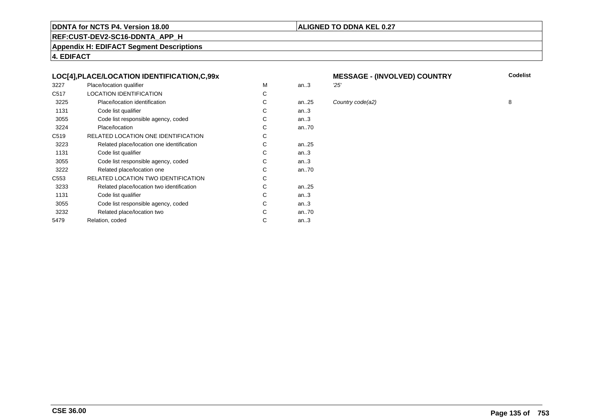# **ALIGNED TO DDNA KEL 0.27**

**REF:CUST-DEV2-SC16-DDNTA\_APP\_H**

**Appendix H: EDIFACT Segment Descriptions**

**4. EDIFACT**

# **LOC[4],PLACE/LOCATION IDENTIFICATION,C,99x**

| 3227             | Place/location qualifier                   | М | an.3  | 25' |
|------------------|--------------------------------------------|---|-------|-----|
| C <sub>517</sub> | <b>LOCATION IDENTIFICATION</b>             | С |       |     |
| 3225             | Place/location identification              | C | an.25 | Col |
| 1131             | Code list qualifier                        | С | an.3  |     |
| 3055             | Code list responsible agency, coded        | С | an.3  |     |
| 3224             | Place/location                             | C | an70  |     |
| C <sub>519</sub> | RELATED LOCATION ONE IDENTIFICATION        | С |       |     |
| 3223             | Related place/location one identification  | С | an25  |     |
| 1131             | Code list qualifier                        | C | an.3  |     |
| 3055             | Code list responsible agency, coded        | С | an.3  |     |
| 3222             | Related place/location one                 | С | an70  |     |
| C <sub>553</sub> | <b>RELATED LOCATION TWO IDENTIFICATION</b> | С |       |     |
| 3233             | Related place/location two identification  | С | an25  |     |
| 1131             | Code list qualifier                        | C | an.3  |     |
| 3055             | Code list responsible agency, coded        | С | an.3  |     |
| 3232             | Related place/location two                 | С | an70  |     |
| 5479             | Relation, coded                            | С | an.3  |     |
|                  |                                            |   |       |     |

# **MESSAGE - (INVOLVED) COUNTRY**

5 Country code(a2) 8

**Codelist**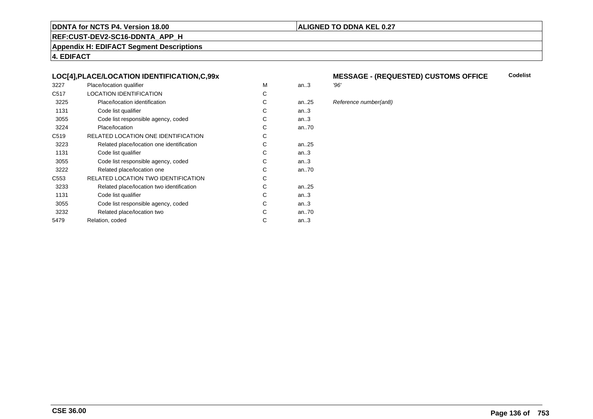# **ALIGNED TO DDNA KEL 0.27**

**REF:CUST-DEV2-SC16-DDNTA\_APP\_H**

**Appendix H: EDIFACT Segment Descriptions**

**4. EDIFACT**

# **LOC[4],PLACE/LOCATION IDENTIFICATION,C,99x**

| 3227             | Place/location qualifier                   | М | an.3 | '96' |
|------------------|--------------------------------------------|---|------|------|
| C <sub>517</sub> | <b>LOCATION IDENTIFICATION</b>             | С |      |      |
| 3225             | Place/location identification              | C | an25 | Ref  |
| 1131             | Code list qualifier                        | С | an.3 |      |
| 3055             | Code list responsible agency, coded        | С | an.3 |      |
| 3224             | Place/location                             | C | an70 |      |
| C <sub>519</sub> | RELATED LOCATION ONE IDENTIFICATION        | С |      |      |
| 3223             | Related place/location one identification  | C | an25 |      |
| 1131             | Code list qualifier                        | С | an.3 |      |
| 3055             | Code list responsible agency, coded        | С | an.3 |      |
| 3222             | Related place/location one                 | C | an70 |      |
| C553             | <b>RELATED LOCATION TWO IDENTIFICATION</b> | С |      |      |
| 3233             | Related place/location two identification  | С | an25 |      |
| 1131             | Code list qualifier                        | C | an.3 |      |
| 3055             | Code list responsible agency, coded        | С | an.3 |      |
| 3232             | Related place/location two                 | С | an70 |      |
| 5479             | Relation, coded                            | С | an.3 |      |
|                  |                                            |   |      |      |

#### **MESSAGE - (REQUESTED) CUSTOMS OFFICE**<br>'96' **Codelist**

Reference number(an8)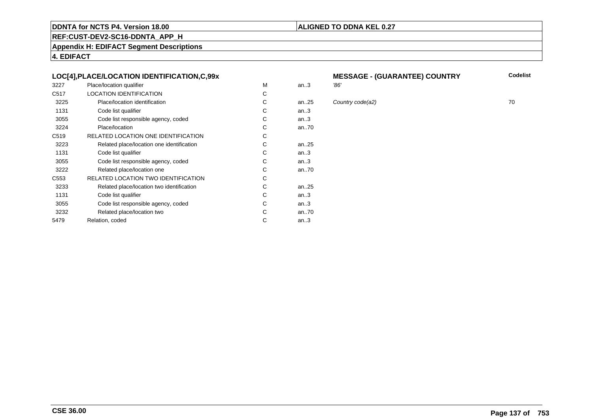# **ALIGNED TO DDNA KEL 0.27**

**REF:CUST-DEV2-SC16-DDNTA\_APP\_H**

**Appendix H: EDIFACT Segment Descriptions**

**4. EDIFACT**

# **LOC[4],PLACE/LOCATION IDENTIFICATION,C,99x**

| 3227             | Place/location qualifier                   | M | an.3 | '86' |
|------------------|--------------------------------------------|---|------|------|
| C <sub>517</sub> | <b>LOCATION IDENTIFICATION</b>             | С |      |      |
| 3225             | Place/location identification              | C | an25 | Col  |
| 1131             | Code list qualifier                        | C | an.3 |      |
| 3055             | Code list responsible agency, coded        | С | an.3 |      |
| 3224             | Place/location                             | C | an70 |      |
| C <sub>519</sub> | RELATED LOCATION ONE IDENTIFICATION        | С |      |      |
| 3223             | Related place/location one identification  | C | an25 |      |
| 1131             | Code list qualifier                        | C | an.3 |      |
| 3055             | Code list responsible agency, coded        | С | an.3 |      |
| 3222             | Related place/location one                 | C | an70 |      |
| C <sub>553</sub> | <b>RELATED LOCATION TWO IDENTIFICATION</b> | С |      |      |
| 3233             | Related place/location two identification  | С | an25 |      |
| 1131             | Code list qualifier                        | C | an.3 |      |
| 3055             | Code list responsible agency, coded        | С | an.3 |      |
| 3232             | Related place/location two                 | С | an70 |      |
| 5479             | Relation, coded                            | С | an.3 |      |
|                  |                                            |   |      |      |

# **MESSAGE - (GUARANTEE) COUNTRY**

 $25$  Country code(a2)  $70$ 

**Codelist**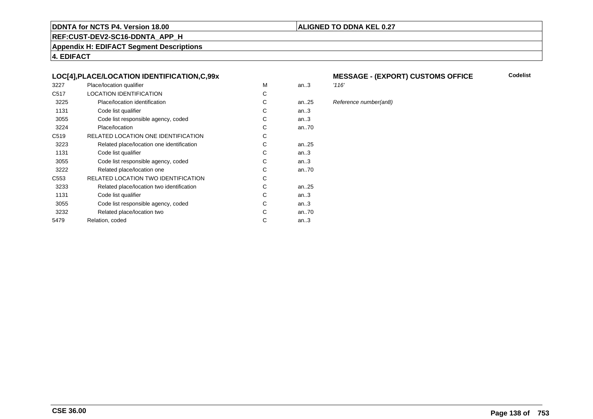# **ALIGNED TO DDNA KEL 0.27**

**REF:CUST-DEV2-SC16-DDNTA\_APP\_H**

**Appendix H: EDIFACT Segment Descriptions**

**4. EDIFACT**

# **LOC[4],PLACE/LOCATION IDENTIFICATION,C,99x**

| 3227             | Place/location qualifier                   | M | an.3   | '116' |
|------------------|--------------------------------------------|---|--------|-------|
| C <sub>517</sub> | <b>LOCATION IDENTIFICATION</b>             | C |        |       |
| 3225             | Place/location identification              | С | an25   | Refe  |
| 1131             | Code list qualifier                        | C | an.3   |       |
| 3055             | Code list responsible agency, coded        | С | an.3   |       |
| 3224             | Place/location                             | С | an70   |       |
| C <sub>519</sub> | RELATED LOCATION ONE IDENTIFICATION        | С |        |       |
| 3223             | Related place/location one identification  | C | an25   |       |
| 1131             | Code list qualifier                        | C | an.3   |       |
| 3055             | Code list responsible agency, coded        | С | an.3   |       |
| 3222             | Related place/location one                 | С | an70   |       |
| C553             | <b>RELATED LOCATION TWO IDENTIFICATION</b> | С |        |       |
| 3233             | Related place/location two identification  | C | an25   |       |
| 1131             | Code list qualifier                        | C | an.3   |       |
| 3055             | Code list responsible agency, coded        | С | an.3   |       |
| 3232             | Related place/location two                 | C | an70   |       |
| 5479             | Relation, coded                            | C | an $3$ |       |
|                  |                                            |   |        |       |

# **MESSAGE - (EXPORT) CUSTOMS OFFICE**

# 25 Reference number(an8)

**Codelist**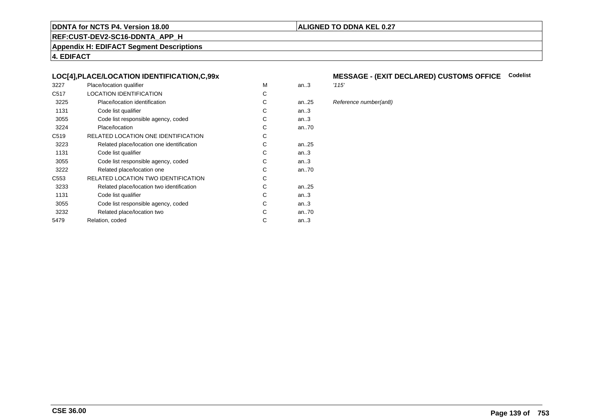# **ALIGNED TO DDNA KEL 0.27**

**REF:CUST-DEV2-SC16-DDNTA\_APP\_H**

**Appendix H: EDIFACT Segment Descriptions**

**4. EDIFACT**

# **LOC[4],PLACE/LOCATION IDENTIFICATION,C,99x**

| 3227             | Place/location qualifier                   | M | an.3   | '115' |
|------------------|--------------------------------------------|---|--------|-------|
| C <sub>517</sub> | <b>LOCATION IDENTIFICATION</b>             | C |        |       |
| 3225             | Place/location identification              | С | an25   | Refe  |
| 1131             | Code list qualifier                        | C | an.3   |       |
| 3055             | Code list responsible agency, coded        | С | an.3   |       |
| 3224             | Place/location                             | С | an70   |       |
| C <sub>519</sub> | RELATED LOCATION ONE IDENTIFICATION        | С |        |       |
| 3223             | Related place/location one identification  | C | an25   |       |
| 1131             | Code list qualifier                        | C | an.3   |       |
| 3055             | Code list responsible agency, coded        | С | an.3   |       |
| 3222             | Related place/location one                 | С | an70   |       |
| C553             | <b>RELATED LOCATION TWO IDENTIFICATION</b> | С |        |       |
| 3233             | Related place/location two identification  | C | an25   |       |
| 1131             | Code list qualifier                        | C | an.3   |       |
| 3055             | Code list responsible agency, coded        | С | an.3   |       |
| 3232             | Related place/location two                 | C | an70   |       |
| 5479             | Relation, coded                            | C | an $3$ |       |
|                  |                                            |   |        |       |

# **MESSAGE - (EXIT DECLARED) CUSTOMS OFFICE Codelist**

Reference number(an8)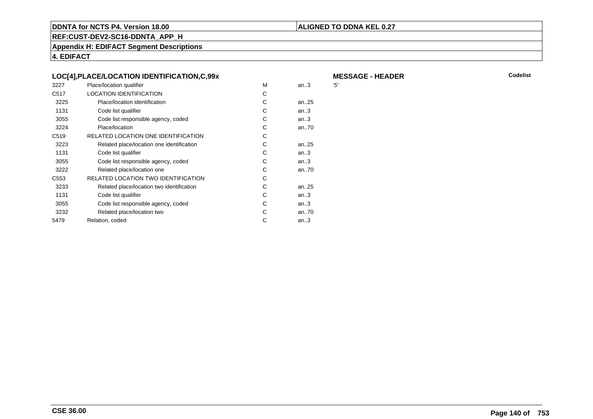# **ALIGNED TO DDNA KEL 0.27**

**REF:CUST-DEV2-SC16-DDNTA\_APP\_H**

**Appendix H: EDIFACT Segment Descriptions**

**4. EDIFACT**

|                  | LOC[4], PLACE/LOCATION IDENTIFICATION, C, 99x |   |      | M   |
|------------------|-----------------------------------------------|---|------|-----|
| 3227             | Place/location qualifier                      | м | an.3 | '5' |
| C <sub>517</sub> | <b>LOCATION IDENTIFICATION</b>                | C |      |     |
| 3225             | Place/location identification                 | C | an25 |     |
| 1131             | Code list qualifier                           | С | an.3 |     |
| 3055             | Code list responsible agency, coded           | С | an.3 |     |
| 3224             | Place/location                                | C | an70 |     |
| C <sub>519</sub> | RELATED LOCATION ONE IDENTIFICATION           | C |      |     |
| 3223             | Related place/location one identification     | C | an25 |     |
| 1131             | Code list qualifier                           | C | an.3 |     |
| 3055             | Code list responsible agency, coded           | C | an.3 |     |
| 3222             | Related place/location one                    | C | an70 |     |
| C <sub>553</sub> | RELATED LOCATION TWO IDENTIFICATION           | C |      |     |
| 3233             | Related place/location two identification     | C | an25 |     |
| 1131             | Code list qualifier                           | C | an.3 |     |
| 3055             | Code list responsible agency, coded           | C | an.3 |     |
| 3232             | Related place/location two                    | C | an70 |     |
| 5479             | Relation, coded                               | C | an.3 |     |
|                  |                                               |   |      |     |

**R** Codelist

**MESSAGE - HEADER**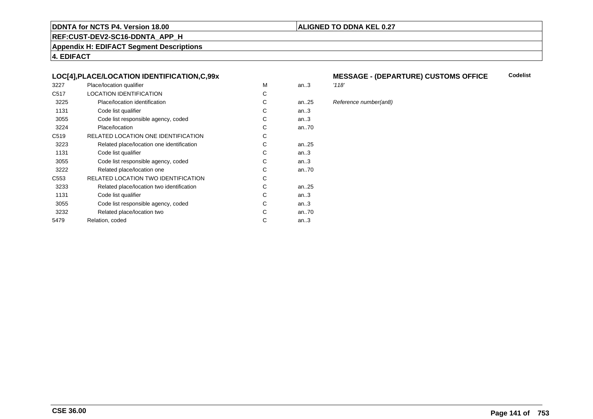# **ALIGNED TO DDNA KEL 0.27**

**REF:CUST-DEV2-SC16-DDNTA\_APP\_H**

**Appendix H: EDIFACT Segment Descriptions**

**4. EDIFACT**

# **LOC[4],PLACE/LOCATION IDENTIFICATION,C,99x**

| 3227             | Place/location qualifier                   | M | an.3      | '118' |
|------------------|--------------------------------------------|---|-----------|-------|
| C <sub>517</sub> | <b>LOCATION IDENTIFICATION</b>             | C |           |       |
| 3225             | Place/location identification              | С | an25      | Refe  |
| 1131             | Code list qualifier                        | C | an3       |       |
| 3055             | Code list responsible agency, coded        | С | an3       |       |
| 3224             | Place/location                             | С | an70      |       |
| C <sub>519</sub> | RELATED LOCATION ONE IDENTIFICATION        | С |           |       |
| 3223             | Related place/location one identification  | C | an25      |       |
| 1131             | Code list qualifier                        | C | an.3      |       |
| 3055             | Code list responsible agency, coded        | С | an3       |       |
| 3222             | Related place/location one                 | С | an70      |       |
| C553             | <b>RELATED LOCATION TWO IDENTIFICATION</b> | С |           |       |
| 3233             | Related place/location two identification  | C | an. $.25$ |       |
| 1131             | Code list qualifier                        | C | an.3      |       |
| 3055             | Code list responsible agency, coded        | С | an.3      |       |
| 3232             | Related place/location two                 | C | an70      |       |
| 5479             | Relation, coded                            | C | an $3$    |       |
|                  |                                            |   |           |       |

#### **MESSAGE - (DEPARTURE) CUSTOMS OFFICECodelist**

5 Reference number(an8)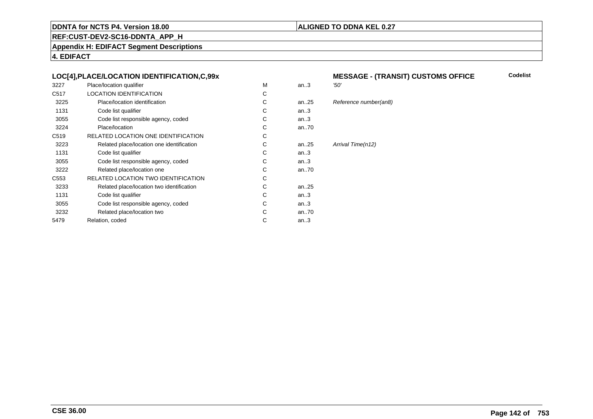# **ALIGNED TO DDNA KEL 0.27**

**REF:CUST-DEV2-SC16-DDNTA\_APP\_H**

**Appendix H: EDIFACT Segment Descriptions**

**4. EDIFACT**

# **LOC[4],PLACE/LOCATION IDENTIFICATION,C,99x**

| 3227             | Place/location qualifier                   | М | an.3      | '50'              |
|------------------|--------------------------------------------|---|-----------|-------------------|
| C <sub>517</sub> | <b>LOCATION IDENTIFICATION</b>             | C |           |                   |
| 3225             | Place/location identification              | C | an25      | Reference numbe   |
| 1131             | Code list qualifier                        | C | an.3      |                   |
| 3055             | Code list responsible agency, coded        | C | an.3      |                   |
| 3224             | Place/location                             | C | an $.70$  |                   |
| C <sub>519</sub> | RELATED LOCATION ONE IDENTIFICATION        | C |           |                   |
| 3223             | Related place/location one identification  | C | an. $.25$ | Arrival Time(n12) |
| 1131             | Code list qualifier                        | C | an.3      |                   |
| 3055             | Code list responsible agency, coded        | C | an.3      |                   |
| 3222             | Related place/location one                 | C | an70      |                   |
| C <sub>553</sub> | <b>RELATED LOCATION TWO IDENTIFICATION</b> | C |           |                   |
| 3233             | Related place/location two identification  | C | an25      |                   |
| 1131             | Code list qualifier                        | C | an.3      |                   |
| 3055             | Code list responsible agency, coded        | C | an.3      |                   |
| 3232             | Related place/location two                 | C | an70      |                   |
| 5479             | Relation, coded                            | C | an $.3$   |                   |
|                  |                                            |   |           |                   |

#### **MESSAGE - (TRANSIT) CUSTOMS OFFICE Codelist**

#### eference number(an8)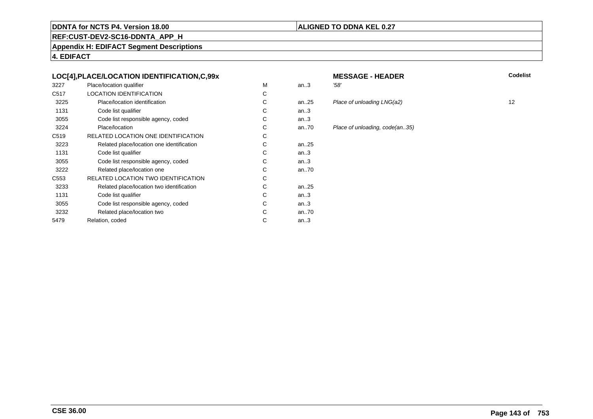### **ALIGNED TO DDNA KEL 0.27**

**REF:CUST-DEV2-SC16-DDNTA\_APP\_H**

**Appendix H: EDIFACT Segment Descriptions**

**4. EDIFACT**

# **LOC[4],PLACE/LOCATION IDENTIFICATION,C,99x**

| 3227             | Place/location qualifier                  | М | an.3      | '58' |
|------------------|-------------------------------------------|---|-----------|------|
| C <sub>517</sub> | <b>LOCATION IDENTIFICATION</b>            | С |           |      |
| 3225             | Place/location identification             | C | an.25     | Pla  |
| 1131             | Code list qualifier                       | С | an.3      |      |
| 3055             | Code list responsible agency, coded       | С | an.3      |      |
| 3224             | Place/location                            | С | an70      | Pla  |
| C <sub>519</sub> | RELATED LOCATION ONE IDENTIFICATION       | С |           |      |
| 3223             | Related place/location one identification | С | an25      |      |
| 1131             | Code list qualifier                       | С | an.3      |      |
| 3055             | Code list responsible agency, coded       | С | an.3      |      |
| 3222             | Related place/location one                | С | an70      |      |
| C553             | RELATED LOCATION TWO IDENTIFICATION       | С |           |      |
| 3233             | Related place/location two identification | С | an. $.25$ |      |
| 1131             | Code list qualifier                       | C | an.3      |      |
| 3055             | Code list responsible agency, coded       | С | an.3      |      |
| 3232             | Related place/location two                | C | an70      |      |
| 5479             | Relation, coded                           | С | an.3      |      |
|                  |                                           |   |           |      |

# **MESSAGE - HEADER**<br>3 58' **R** Codelist

25 Place of unloading LNG(a2) 12<br>3

#### 70 Place of unloading, code(an..35)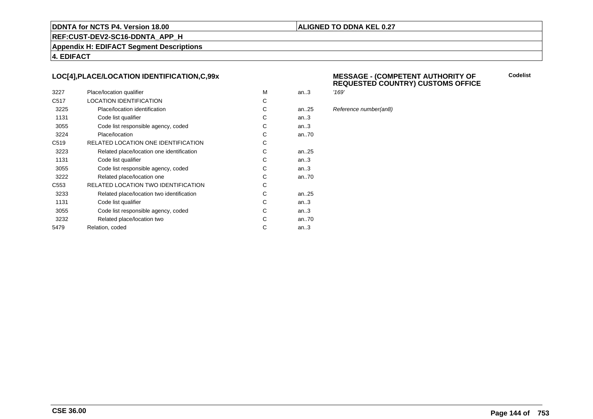# **ALIGNED TO DDNA KEL 0.27**

**REF:CUST-DEV2-SC16-DDNTA\_APP\_H**

**Appendix H: EDIFACT Segment Descriptions**

**4. EDIFACT**

# **LOC[4],PLACE/LOCATION IDENTIFICATION,C,99x**

| 3227             | Place/location qualifier                   | M | an.3 | '169' |
|------------------|--------------------------------------------|---|------|-------|
| C <sub>517</sub> | <b>LOCATION IDENTIFICATION</b>             | С |      |       |
| 3225             | Place/location identification              | C | an25 | Refe  |
| 1131             | Code list qualifier                        | C | an.3 |       |
| 3055             | Code list responsible agency, coded        | С | an.3 |       |
| 3224             | Place/location                             | С | an70 |       |
| C <sub>519</sub> | RELATED LOCATION ONE IDENTIFICATION        | С |      |       |
| 3223             | Related place/location one identification  | C | an25 |       |
| 1131             | Code list qualifier                        | C | an.3 |       |
| 3055             | Code list responsible agency, coded        | C | an.3 |       |
| 3222             | Related place/location one                 | C | an70 |       |
| C <sub>553</sub> | <b>RELATED LOCATION TWO IDENTIFICATION</b> | С |      |       |
| 3233             | Related place/location two identification  | C | an25 |       |
| 1131             | Code list qualifier                        | C | an.3 |       |
| 3055             | Code list responsible agency, coded        | C | an.3 |       |
| 3232             | Related place/location two                 | С | an70 |       |
| 5479             | Relation, coded                            | C | an.3 |       |
|                  |                                            |   |      |       |

#### **MESSAGE - (COMPETENT AUTHORITY OFREQUESTED COUNTRY) CUSTOMS OFFICE**

Reference number(an8)

**Codelist**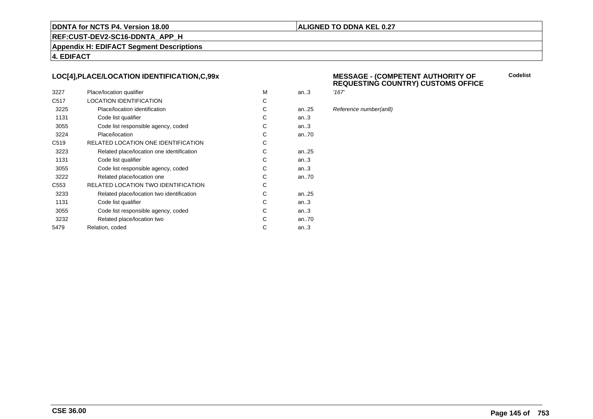### **ALIGNED TO DDNA KEL 0.27**

**REF:CUST-DEV2-SC16-DDNTA\_APP\_H**

**Appendix H: EDIFACT Segment Descriptions**

**4. EDIFACT**

# **LOC[4],PLACE/LOCATION IDENTIFICATION,C,99x**

| 3227             | Place/location qualifier                   | M | an.3 | '167' |
|------------------|--------------------------------------------|---|------|-------|
| C <sub>517</sub> | <b>LOCATION IDENTIFICATION</b>             | С |      |       |
| 3225             | Place/location identification              | C | an25 | Refe  |
| 1131             | Code list qualifier                        | C | an.3 |       |
| 3055             | Code list responsible agency, coded        | С | an.3 |       |
| 3224             | Place/location                             | С | an70 |       |
| C <sub>519</sub> | RELATED LOCATION ONE IDENTIFICATION        | С |      |       |
| 3223             | Related place/location one identification  | C | an25 |       |
| 1131             | Code list qualifier                        | C | an.3 |       |
| 3055             | Code list responsible agency, coded        | C | an.3 |       |
| 3222             | Related place/location one                 | C | an70 |       |
| C <sub>553</sub> | <b>RELATED LOCATION TWO IDENTIFICATION</b> | С |      |       |
| 3233             | Related place/location two identification  | C | an25 |       |
| 1131             | Code list qualifier                        | C | an.3 |       |
| 3055             | Code list responsible agency, coded        | C | an.3 |       |
| 3232             | Related place/location two                 | С | an70 |       |
| 5479             | Relation, coded                            | C | an.3 |       |
|                  |                                            |   |      |       |

### **MESSAGE - (COMPETENT AUTHORITY OFREQUESTING COUNTRY) CUSTOMS OFFICE**

**Codelist**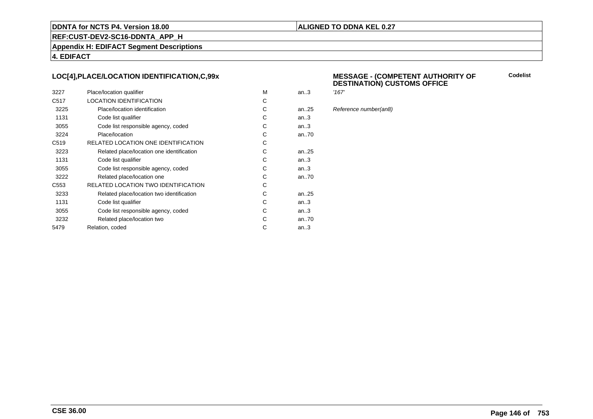### **ALIGNED TO DDNA KEL 0.27**

**REF:CUST-DEV2-SC16-DDNTA\_APP\_H**

**Appendix H: EDIFACT Segment Descriptions**

**4. EDIFACT**

# **LOC[4],PLACE/LOCATION IDENTIFICATION,C,99x**

| 3227             | Place/location qualifier                  | M | an.3      | '167' |
|------------------|-------------------------------------------|---|-----------|-------|
| C <sub>517</sub> | <b>LOCATION IDENTIFICATION</b>            | C |           |       |
| 3225             | Place/location identification             | C | an. $.25$ | Refe  |
| 1131             | Code list qualifier                       | C | an.3      |       |
| 3055             | Code list responsible agency, coded       | C | an3       |       |
| 3224             | Place/location                            | C | an70      |       |
| C <sub>519</sub> | RELATED LOCATION ONE IDENTIFICATION       | C |           |       |
| 3223             | Related place/location one identification | C | an25      |       |
| 1131             | Code list qualifier                       | C | an.3      |       |
| 3055             | Code list responsible agency, coded       | C | an.3      |       |
| 3222             | Related place/location one                | C | an70      |       |
| C <sub>553</sub> | RELATED LOCATION TWO IDENTIFICATION       | C |           |       |
| 3233             | Related place/location two identification | C | an25      |       |
| 1131             | Code list qualifier                       | C | an.3      |       |
| 3055             | Code list responsible agency, coded       | C | an.3      |       |
| 3232             | Related place/location two                | C | an70      |       |
| 5479             | Relation, coded                           | C | an.3      |       |
|                  |                                           |   |           |       |

### **MESSAGE - (COMPETENT AUTHORITY OFDESTINATION) CUSTOMS OFFICE**

**Codelist**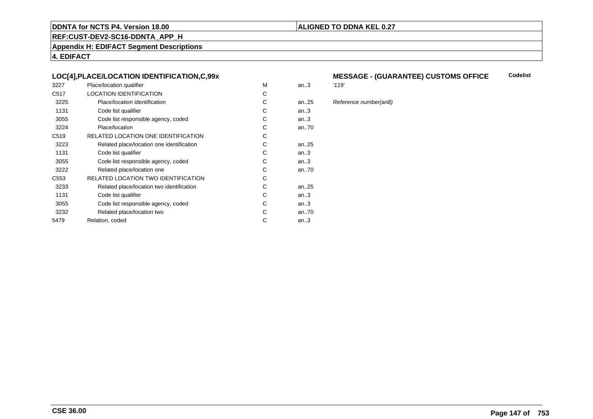### **ALIGNED TO DDNA KEL 0.27**

**REF:CUST-DEV2-SC16-DDNTA\_APP\_H**

**Appendix H: EDIFACT Segment Descriptions**

**4. EDIFACT**

## **LOC[4],PLACE/LOCATION IDENTIFICATION,C,99x**

| 3227             | Place/location qualifier                   | M | an.3      | '119' |
|------------------|--------------------------------------------|---|-----------|-------|
| C <sub>517</sub> | <b>LOCATION IDENTIFICATION</b>             | C |           |       |
| 3225             | Place/location identification              | С | an25      | Refe  |
| 1131             | Code list qualifier                        | C | an3       |       |
| 3055             | Code list responsible agency, coded        | С | an.3      |       |
| 3224             | Place/location                             | С | an70      |       |
| C <sub>519</sub> | RELATED LOCATION ONE IDENTIFICATION        | C |           |       |
| 3223             | Related place/location one identification  | C | an. $.25$ |       |
| 1131             | Code list qualifier                        | C | an.3      |       |
| 3055             | Code list responsible agency, coded        | С | an3       |       |
| 3222             | Related place/location one                 | C | an70      |       |
| C553             | <b>RELATED LOCATION TWO IDENTIFICATION</b> | С |           |       |
| 3233             | Related place/location two identification  | С | an25      |       |
| 1131             | Code list qualifier                        | C | an.3      |       |
| 3055             | Code list responsible agency, coded        | С | an.3      |       |
| 3232             | Related place/location two                 | C | an70      |       |
| 5479             | Relation, coded                            | C | an.3      |       |
|                  |                                            |   |           |       |

### **MESSAGE - (GUARANTEE) CUSTOMS OFFICE Codelist**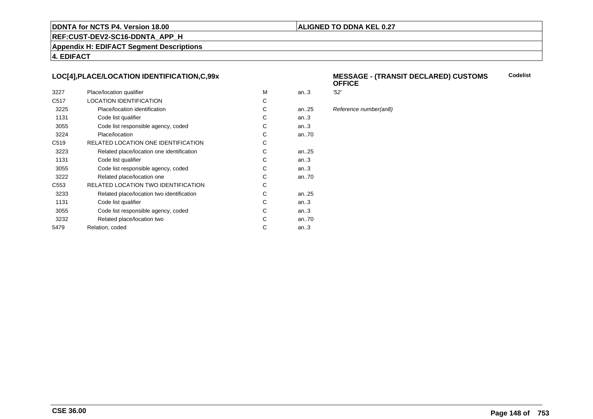### **ALIGNED TO DDNA KEL 0.27**

**REF:CUST-DEV2-SC16-DDNTA\_APP\_H**

**Appendix H: EDIFACT Segment Descriptions**

**4. EDIFACT**

# **LOC[4],PLACE/LOCATION IDENTIFICATION,C,99x**

| 3227             | Place/location qualifier                   | м | an.3      | '52' |
|------------------|--------------------------------------------|---|-----------|------|
| C <sub>517</sub> | LOCATION IDENTIFICATION                    | С |           |      |
| 3225             | Place/location identification              | С | an25      | Ref  |
| 1131             | Code list qualifier                        | С | an.3      |      |
| 3055             | Code list responsible agency, coded        | С | an.3      |      |
| 3224             | Place/location                             | C | an70      |      |
| C <sub>519</sub> | RELATED LOCATION ONE IDENTIFICATION        | С |           |      |
| 3223             | Related place/location one identification  | С | an25      |      |
| 1131             | Code list qualifier                        | C | an.3      |      |
| 3055             | Code list responsible agency, coded        | С | an.3      |      |
| 3222             | Related place/location one                 | С | an70      |      |
| C <sub>553</sub> | <b>RELATED LOCATION TWO IDENTIFICATION</b> | С |           |      |
| 3233             | Related place/location two identification  | C | an. $.25$ |      |
| 1131             | Code list qualifier                        | C | an.3      |      |
| 3055             | Code list responsible agency, coded        | С | an.3      |      |
| 3232             | Related place/location two                 | C | an70      |      |
| 5479             | Relation, coded                            | С | an.3      |      |
|                  |                                            |   |           |      |

#### **MESSAGE - (TRANSIT DECLARED) CUSTOMSOFFICECodelist**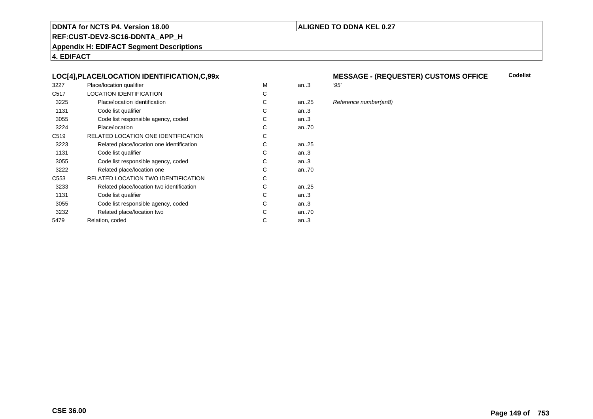### **ALIGNED TO DDNA KEL 0.27**

**REF:CUST-DEV2-SC16-DDNTA\_APP\_H**

**Appendix H: EDIFACT Segment Descriptions**

**4. EDIFACT**

## **LOC[4],PLACE/LOCATION IDENTIFICATION,C,99x**

| 3227             | Place/location qualifier                   | М | an.3 | '95' |
|------------------|--------------------------------------------|---|------|------|
| C <sub>517</sub> | <b>LOCATION IDENTIFICATION</b>             | С |      |      |
| 3225             | Place/location identification              | C | an25 | Ref  |
| 1131             | Code list qualifier                        | С | an.3 |      |
| 3055             | Code list responsible agency, coded        | С | an.3 |      |
| 3224             | Place/location                             | C | an70 |      |
| C <sub>519</sub> | RELATED LOCATION ONE IDENTIFICATION        | С |      |      |
| 3223             | Related place/location one identification  | C | an25 |      |
| 1131             | Code list qualifier                        | С | an.3 |      |
| 3055             | Code list responsible agency, coded        | С | an.3 |      |
| 3222             | Related place/location one                 | C | an70 |      |
| C553             | <b>RELATED LOCATION TWO IDENTIFICATION</b> | С |      |      |
| 3233             | Related place/location two identification  | С | an25 |      |
| 1131             | Code list qualifier                        | C | an.3 |      |
| 3055             | Code list responsible agency, coded        | С | an.3 |      |
| 3232             | Related place/location two                 | С | an70 |      |
| 5479             | Relation, coded                            | С | an.3 |      |
|                  |                                            |   |      |      |

### **MESSAGE - (REQUESTER) CUSTOMS OFFICECodelist**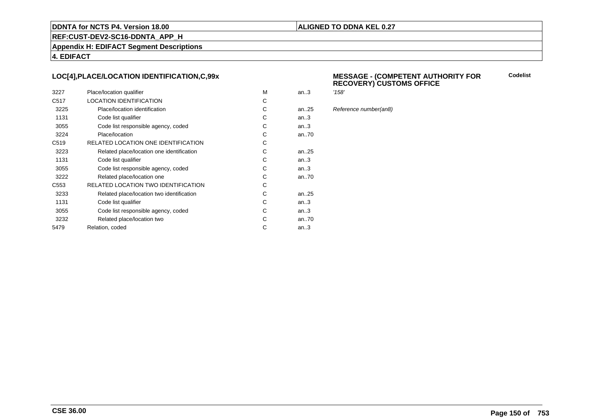### **ALIGNED TO DDNA KEL 0.27**

**REF:CUST-DEV2-SC16-DDNTA\_APP\_H**

**Appendix H: EDIFACT Segment Descriptions**

**4. EDIFACT**

# **LOC[4],PLACE/LOCATION IDENTIFICATION,C,99x**

| 3227             | Place/location qualifier                   | M | an.3 | '158' |
|------------------|--------------------------------------------|---|------|-------|
| C <sub>517</sub> | <b>LOCATION IDENTIFICATION</b>             | С |      |       |
| 3225             | Place/location identification              | C | an25 | Refe  |
| 1131             | Code list qualifier                        | C | an.3 |       |
| 3055             | Code list responsible agency, coded        | С | an.3 |       |
| 3224             | Place/location                             | С | an70 |       |
| C <sub>519</sub> | RELATED LOCATION ONE IDENTIFICATION        | С |      |       |
| 3223             | Related place/location one identification  | C | an25 |       |
| 1131             | Code list qualifier                        | C | an.3 |       |
| 3055             | Code list responsible agency, coded        | C | an.3 |       |
| 3222             | Related place/location one                 | C | an70 |       |
| C <sub>553</sub> | <b>RELATED LOCATION TWO IDENTIFICATION</b> | С |      |       |
| 3233             | Related place/location two identification  | C | an25 |       |
| 1131             | Code list qualifier                        | C | an.3 |       |
| 3055             | Code list responsible agency, coded        | C | an.3 |       |
| 3232             | Related place/location two                 | С | an70 |       |
| 5479             | Relation, coded                            | C | an.3 |       |
|                  |                                            |   |      |       |

#### **MESSAGE - (COMPETENT AUTHORITY FORRECOVERY) CUSTOMS OFFICE**

**Codelist**

Reference number(an8)

**CSE 36.00**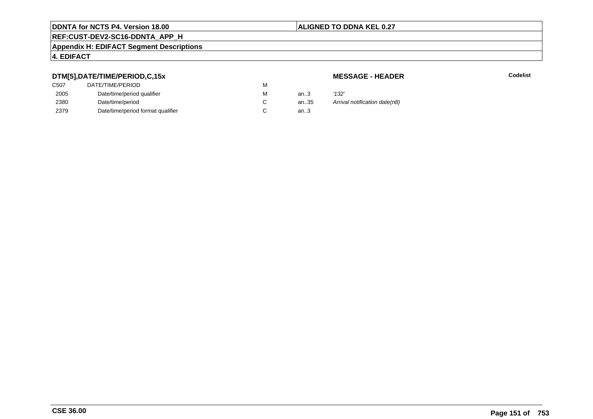## **ALIGNED TO DDNA KEL 0.27**

# **REF:CUST-DEV2-SC16-DDNTA\_APP\_H**

#### **Appendix H: EDIFACT Segment Descriptions**

# **4. EDIFACT**

# **DTM[5],DATE/TIME/PERIOD,C,15x**

| <b>MESSAGE - HEADER</b> |  |
|-------------------------|--|
|-------------------------|--|

| DTM[5],DATE/TIME/PERIOD,C,15x     |   |      | <b>MESSAGE - HEADER</b>       |
|-----------------------------------|---|------|-------------------------------|
| DATE/TIME/PERIOD                  | м |      |                               |
| Date/time/period qualifier        | м | an.3 | '132'                         |
| Date/time/period                  |   | an35 | Arrival notification date(n8) |
| Date/time/period format qualifier |   | an.3 |                               |
|                                   |   |      |                               |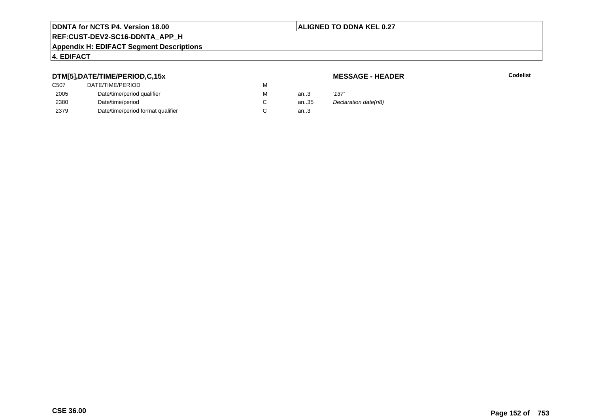## **ALIGNED TO DDNA KEL 0.27**

# **REF:CUST-DEV2-SC16-DDNTA\_APP\_H**

#### **Appendix H: EDIFACT Segment Descriptions**

## **4. EDIFACT**

# **DTM[5],DATE/TIME/PERIOD,C,15x**

# **MESSAGE - HEADER**

| C <sub>507</sub> | DATE/TIME/PERIOD                  | м |        |                      |
|------------------|-----------------------------------|---|--------|----------------------|
| 2005             | Date/time/period qualifier        | м | an $3$ | '137'                |
| 2380             | Date/time/period                  |   | an35   | Declaration date(n8) |
| 2379             | Date/time/period format qualifier |   | an.3   |                      |
|                  |                                   |   |        |                      |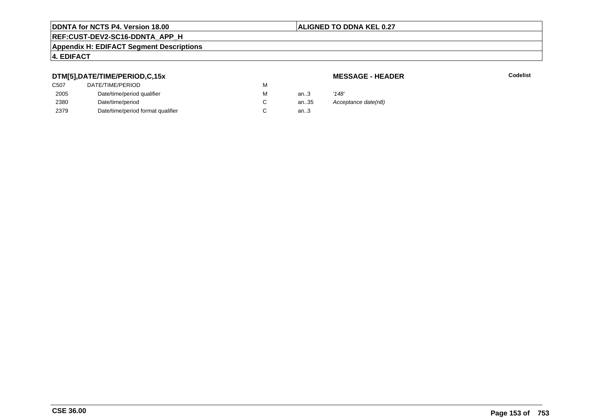## **ALIGNED TO DDNA KEL 0.27**

# **REF:CUST-DEV2-SC16-DDNTA\_APP\_H**

#### **Appendix H: EDIFACT Segment Descriptions**

# **4. EDIFACT**

# **DTM[5],DATE/TIME/PERIOD,C,15x**

# **MESSAGE - HEADER**

| C <sub>507</sub> | DATE/TIME/PERIOD                  | м |      |                     |
|------------------|-----------------------------------|---|------|---------------------|
| 2005             | Date/time/period qualifier        | м | an.3 | '148'               |
| 2380             | Date/time/period                  |   | an35 | Acceptance date(n8) |
| 2379             | Date/time/period format qualifier |   | an3  |                     |
|                  |                                   |   |      |                     |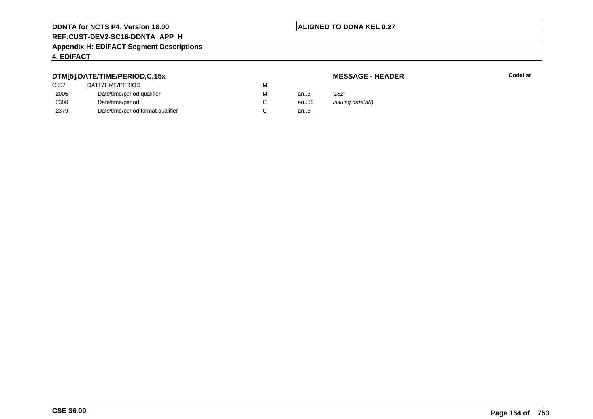## **ALIGNED TO DDNA KEL 0.27**

# **REF:CUST-DEV2-SC16-DDNTA\_APP\_H**

#### **Appendix H: EDIFACT Segment Descriptions**

# **4. EDIFACT**

# **DTM[5],DATE/TIME/PERIOD,C,15x**

# **MESSAGE - HEADER**

| C507 | DATE/TIME/PERIOD                  | М |        |                  |
|------|-----------------------------------|---|--------|------------------|
| 2005 | Date/time/period qualifier        | м | an $3$ | '182'            |
| 2380 | Date/time/period                  |   | an35   | Issuing date(n8) |
| 2379 | Date/time/period format qualifier |   | an $3$ |                  |
|      |                                   |   |        |                  |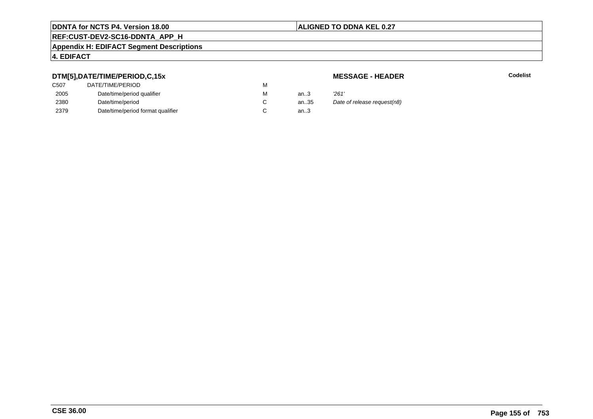## **ALIGNED TO DDNA KEL 0.27**

# **REF:CUST-DEV2-SC16-DDNTA\_APP\_H**

#### **Appendix H: EDIFACT Segment Descriptions**

## **4. EDIFACT**

# **DTM[5],DATE/TIME/PERIOD,C,15x**

# **MESSAGE - HEADER**

| ---              |                                   |   |      |                             |
|------------------|-----------------------------------|---|------|-----------------------------|
| C <sub>507</sub> | DATE/TIME/PERIOD                  | M |      |                             |
| 2005             | Date/time/period qualifier        | M | an.3 | 261'                        |
| 2380             | Date/time/period                  |   | an35 | Date of release request(n8) |
| 2379             | Date/time/period format qualifier |   | an.3 |                             |
|                  |                                   |   |      |                             |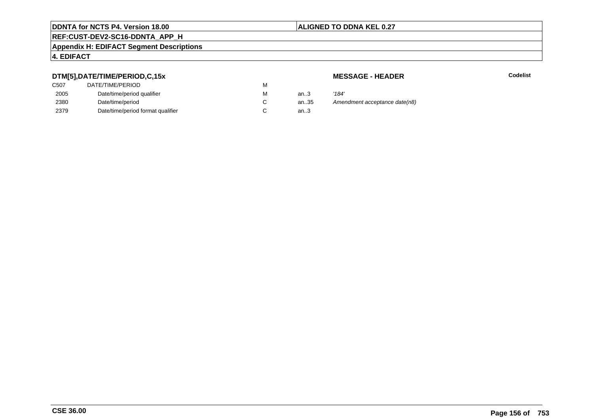## **ALIGNED TO DDNA KEL 0.27**

# **REF:CUST-DEV2-SC16-DDNTA\_APP\_H**

#### **Appendix H: EDIFACT Segment Descriptions**

# **4. EDIFACT**

# **DTM[5],DATE/TIME/PERIOD,C,15x**

| C <sub>50</sub> 7 | DATE/TIME/PERIOD                  | М |        |       |
|-------------------|-----------------------------------|---|--------|-------|
| 2005              | Date/time/period qualifier        | М | an $3$ | '184' |
| 2380              | Date/time/period                  |   | an.35  | Ame   |
| 2379              | Date/time/period format qualifier |   | an $3$ |       |

**MESSAGE - HEADER**

**R** Codelist

andment acceptance date(n8)<br>..3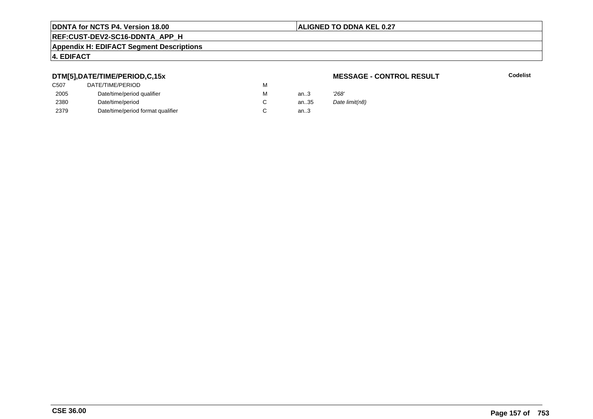## **ALIGNED TO DDNA KEL 0.27**

# **REF:CUST-DEV2-SC16-DDNTA\_APP\_H**

#### **Appendix H: EDIFACT Segment Descriptions**

## **4. EDIFACT**

# **DTM[5],DATE/TIME/PERIOD,C,15x**

| C507 | DATE/TIME/PERIOD                  | М |        |       |
|------|-----------------------------------|---|--------|-------|
| 2005 | Date/time/period qualifier        | М | an $3$ | '268' |
| 2380 | Date/time/period                  |   | an35   | Date  |
| 2379 | Date/time/period format qualifier |   | an.3   |       |

### **MESSAGE - CONTROL RESULT**

**Codelist**

Date limit(n8)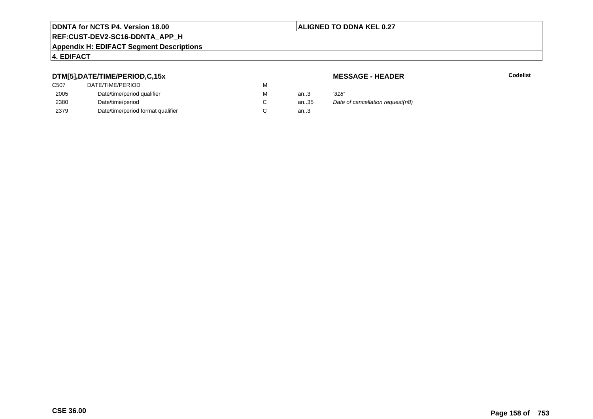## **ALIGNED TO DDNA KEL 0.27**

# **REF:CUST-DEV2-SC16-DDNTA\_APP\_H**

#### **Appendix H: EDIFACT Segment Descriptions**

## **4. EDIFACT**

# **DTM[5],DATE/TIME/PERIOD,C,15x**

| C <sub>50</sub> 7 | DATE/TIME/PERIOD                  | М |        |       |
|-------------------|-----------------------------------|---|--------|-------|
| 2005              | Date/time/period qualifier        | М | an $3$ | '318' |
| 2380              | Date/time/period                  |   | an.35  | Date  |
| 2379              | Date/time/period format qualifier |   | an $3$ |       |

### **MESSAGE - HEADER**

**R** Codelist

35 Date of cancellation request(n8)<br>3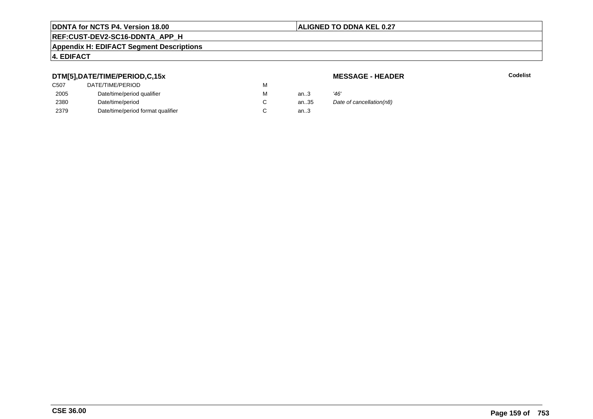## **ALIGNED TO DDNA KEL 0.27**

# **REF:CUST-DEV2-SC16-DDNTA\_APP\_H**

#### **Appendix H: EDIFACT Segment Descriptions**

## **4. EDIFACT**

# **DTM[5],DATE/TIME/PERIOD,C,15x**

# **MESSAGE - HEADER**

| ---               |                                   |   |        |                          |
|-------------------|-----------------------------------|---|--------|--------------------------|
| C <sub>50</sub> 7 | DATE/TIME/PERIOD                  | М |        |                          |
| 2005              | Date/time/period qualifier        | М | an $3$ | '46'                     |
| 2380              | Date/time/period                  |   | an35   | Date of cancellation(n8) |
| 2379              | Date/time/period format qualifier |   | an.3   |                          |
|                   |                                   |   |        |                          |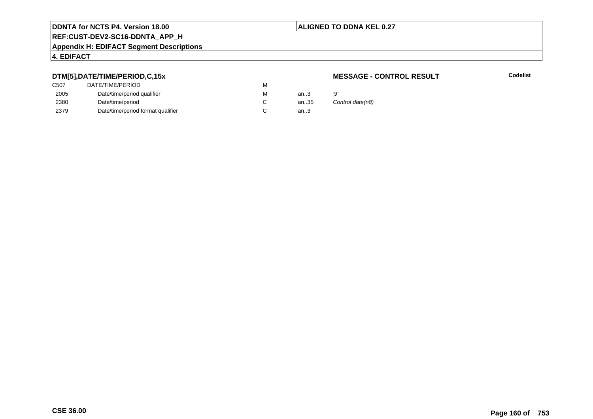## **ALIGNED TO DDNA KEL 0.27**

# **REF:CUST-DEV2-SC16-DDNTA\_APP\_H**

#### **Appendix H: EDIFACT Segment Descriptions**

## **4. EDIFACT**

# **DTM[5],DATE/TIME/PERIOD,C,15x**

| C <sub>50</sub> 7 | DATE/TIME/PERIOD                  | м |      |    |
|-------------------|-----------------------------------|---|------|----|
| 2005              | Date/time/period qualifier        | м | an.3 | פי |
| 2380              | Date/time/period                  |   | an35 | C  |
| 2379              | Date/time/period format qualifier |   | an.3 |    |

### **MESSAGE - CONTROL RESULT**

**Codelist**

Control date(n8)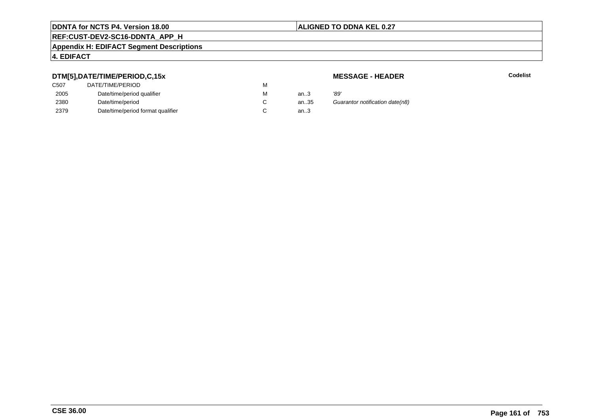## **ALIGNED TO DDNA KEL 0.27**

# **REF:CUST-DEV2-SC16-DDNTA\_APP\_H**

#### **Appendix H: EDIFACT Segment Descriptions**

## **4. EDIFACT**

# **DTM[5],DATE/TIME/PERIOD,C,15x**

| C <sub>50</sub> 7 | DATE/TIME/PERIOD                  | м |        |      |
|-------------------|-----------------------------------|---|--------|------|
| 2005              | Date/time/period qualifier        | М | an.3   | '89' |
| 2380              | Date/time/period                  |   | an.35  | Gu   |
| 2379              | Date/time/period format qualifier |   | an $3$ |      |

### **MESSAGE - HEADER**

**R** Codelist

5 Guarantor notification date(n8)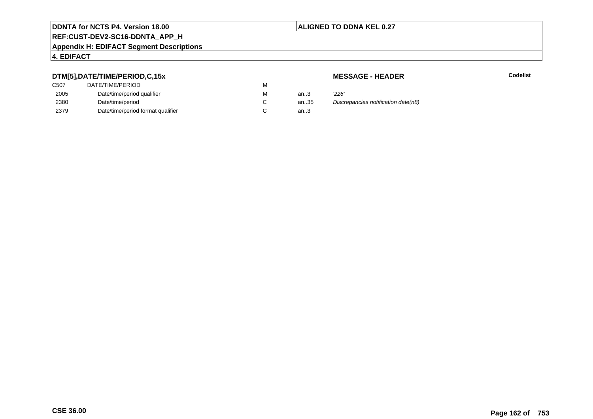## **ALIGNED TO DDNA KEL 0.27**

# **REF:CUST-DEV2-SC16-DDNTA\_APP\_H**

#### **Appendix H: EDIFACT Segment Descriptions**

## **4. EDIFACT**

# **DTM[5],DATE/TIME/PERIOD,C,15x**

| DATE/TIME/PERIOD                  | М |        |       |
|-----------------------------------|---|--------|-------|
| Date/time/period qualifier        | М | an $3$ | '226' |
| Date/time/period                  |   | an35   | Disci |
| Date/time/period format qualifier |   | an.3   |       |
|                                   |   |        |       |

**MESSAGE - HEADER**

**R** Codelist

an.35 Discrepancies notification date(n8)<br>3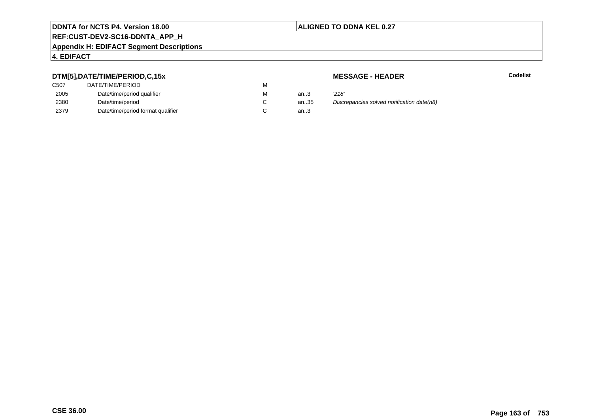## **ALIGNED TO DDNA KEL 0.27**

# **REF:CUST-DEV2-SC16-DDNTA\_APP\_H**

#### **Appendix H: EDIFACT Segment Descriptions**

## **4. EDIFACT**

# **DTM[5],DATE/TIME/PERIOD,C,15x**

| DATE/TIME/PERIOD                  | М |          |       |
|-----------------------------------|---|----------|-------|
| Date/time/period qualifier        | М | an $3$   | '218' |
| Date/time/period                  |   | an $.35$ | Disci |
| Date/time/period format qualifier |   | an.3     |       |
|                                   |   |          |       |

**MESSAGE - HEADER**

**R** Codelist

n..35 Discrepancies solved notification date(n8)<br>n..3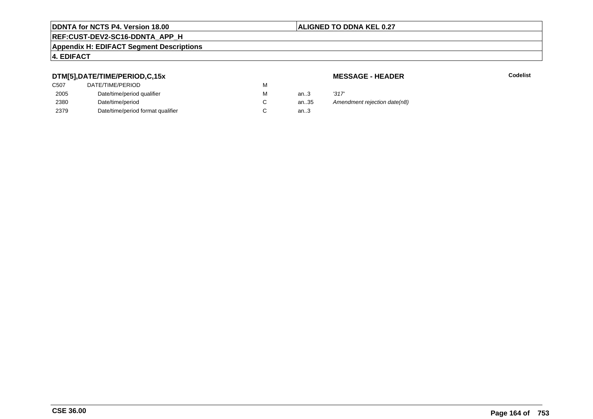## **ALIGNED TO DDNA KEL 0.27**

# **REF:CUST-DEV2-SC16-DDNTA\_APP\_H**

#### **Appendix H: EDIFACT Segment Descriptions**

# **4. EDIFACT**

# **DTM[5],DATE/TIME/PERIOD,C,15x**

| C <sub>50</sub> 7 | DATE/TIME/PERIOD                  | М |        |       |
|-------------------|-----------------------------------|---|--------|-------|
| 2005              | Date/time/period qualifier        | М | an.3   | '317' |
| 2380              | Date/time/period                  |   | an35   | Ame   |
| 2379              | Date/time/period format qualifier |   | an $3$ |       |

**MESSAGE - HEADER**

**R** Codelist

an.35 Amendment rejection date(n8)<br>3.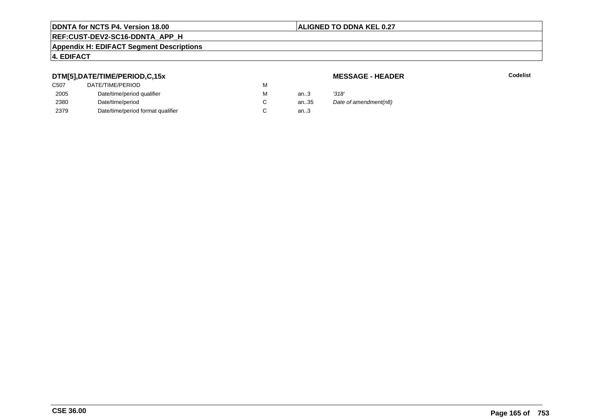## **ALIGNED TO DDNA KEL 0.27**

# **REF:CUST-DEV2-SC16-DDNTA\_APP\_H**

#### **Appendix H: EDIFACT Segment Descriptions**

## **4. EDIFACT**

# **DTM[5],DATE/TIME/PERIOD,C,15x**

# **MESSAGE - HEADER**

| ---               |                                   |   |        |                       |
|-------------------|-----------------------------------|---|--------|-----------------------|
| C <sub>50</sub> 7 | DATE/TIME/PERIOD                  | М |        |                       |
| 2005              | Date/time/period qualifier        | М | an $3$ | '318'                 |
| 2380              | Date/time/period                  |   | an35   | Date of amendment(n8) |
| 2379              | Date/time/period format qualifier |   | an.3   |                       |
|                   |                                   |   |        |                       |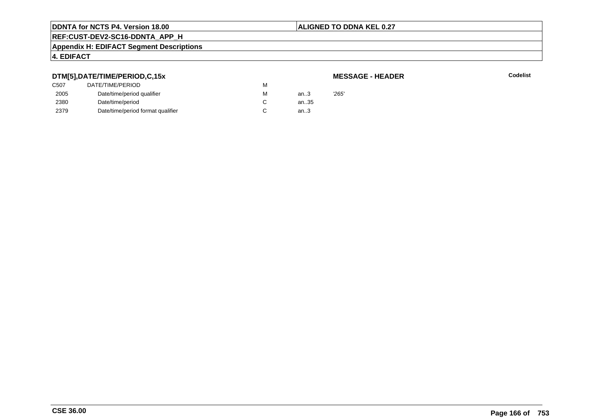### **ALIGNED TO DDNA KEL 0.27**

# **REF:CUST-DEV2-SC16-DDNTA\_APP\_H**

#### **Appendix H: EDIFACT Segment Descriptions**

# **4. EDIFACT**

# **DTM[5],DATE/TIME/PERIOD,C,15x**

| <b>MESSAGE - HEADER</b> |  |
|-------------------------|--|
|-------------------------|--|

|      | DTM[5],DATE/TIME/PERIOD,C,15x     |   |      | <b>MESSAGE - HEADER</b> |
|------|-----------------------------------|---|------|-------------------------|
| C507 | DATE/TIME/PERIOD                  | м |      |                         |
| 2005 | Date/time/period qualifier        | М | an.3 | 265'                    |
| 2380 | Date/time/period                  |   | an35 |                         |
| 2379 | Date/time/period format qualifier |   | an.3 |                         |
|      |                                   |   |      |                         |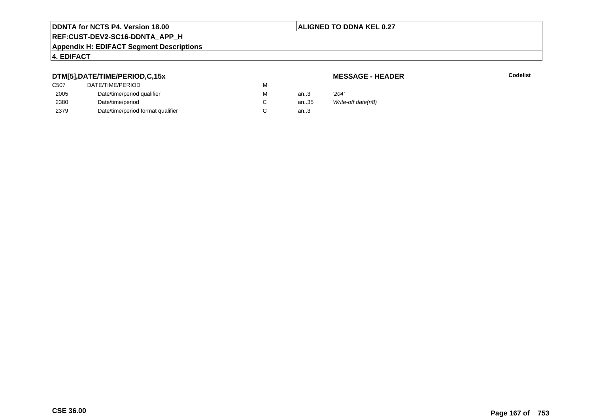## **ALIGNED TO DDNA KEL 0.27**

# **REF:CUST-DEV2-SC16-DDNTA\_APP\_H**

#### **Appendix H: EDIFACT Segment Descriptions**

## **4. EDIFACT**

# **DTM[5],DATE/TIME/PERIOD,C,15x**

# **MESSAGE - HEADER**

| ---  |                                   |   |      |                    |
|------|-----------------------------------|---|------|--------------------|
| C507 | DATE/TIME/PERIOD                  | м |      |                    |
| 2005 | Date/time/period qualifier        | м | an.3 | 204'               |
| 2380 | Date/time/period                  |   | an35 | Write-off date(n8) |
| 2379 | Date/time/period format qualifier |   | an.3 |                    |
|      |                                   |   |      |                    |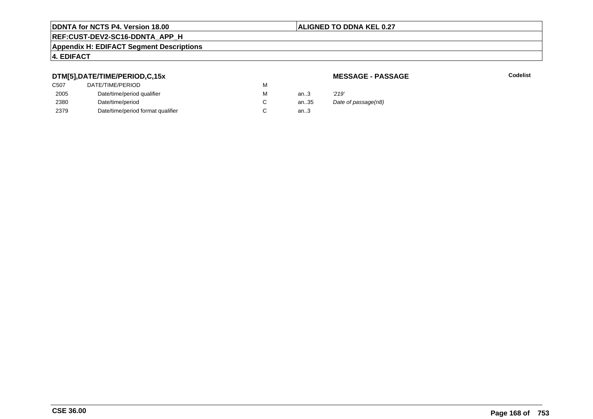## **ALIGNED TO DDNA KEL 0.27**

# **REF:CUST-DEV2-SC16-DDNTA\_APP\_H**

#### **Appendix H: EDIFACT Segment Descriptions**

## **4. EDIFACT**

# **DTM[5],DATE/TIME/PERIOD,C,15x**

# **MESSAGE - PASSAGE**

**Codelist** Codelist

| ---              |                                   |   |        |                     |
|------------------|-----------------------------------|---|--------|---------------------|
| C <sub>507</sub> | DATE/TIME/PERIOD                  | м |        |                     |
| 2005             | Date/time/period qualifier        | м | an $3$ | '219'               |
| 2380             | Date/time/period                  |   | an35   | Date of passage(n8) |
| 2379             | Date/time/period format qualifier |   | an.3   |                     |
|                  |                                   |   |        |                     |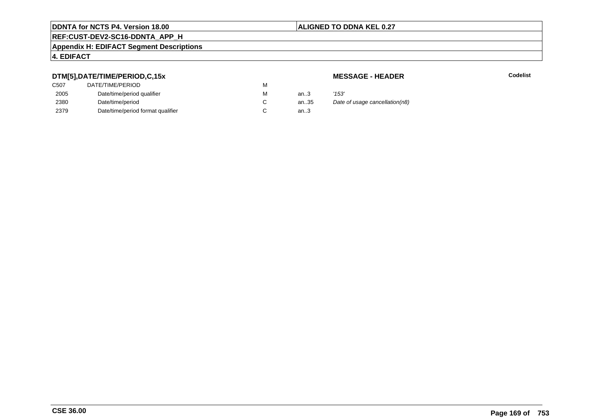## **ALIGNED TO DDNA KEL 0.27**

# **REF:CUST-DEV2-SC16-DDNTA\_APP\_H**

#### **Appendix H: EDIFACT Segment Descriptions**

## **4. EDIFACT**

# **DTM[5],DATE/TIME/PERIOD,C,15x**

| C <sub>50</sub> 7 | DATE/TIME/PERIOD                  | М |        |       |
|-------------------|-----------------------------------|---|--------|-------|
| 2005              | Date/time/period qualifier        | М | an.3   | '153' |
| 2380              | Date/time/period                  |   | an.35  | Date  |
| 2379              | Date/time/period format qualifier |   | an $3$ |       |

### **MESSAGE - HEADER**

**R** Codelist

alte of usage cancellation(n8)<br>3.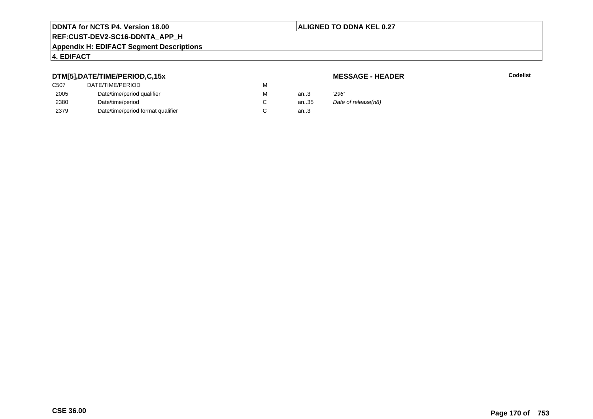## **ALIGNED TO DDNA KEL 0.27**

# **REF:CUST-DEV2-SC16-DDNTA\_APP\_H**

#### **Appendix H: EDIFACT Segment Descriptions**

## **4. EDIFACT**

# **DTM[5],DATE/TIME/PERIOD,C,15x**

# **MESSAGE - HEADER**

| ---               |                                   |   |      |                     |
|-------------------|-----------------------------------|---|------|---------------------|
| C <sub>50</sub> 7 | DATE/TIME/PERIOD                  | м |      |                     |
| 2005              | Date/time/period qualifier        | м | an3  | 296'                |
| 2380              | Date/time/period                  |   | an35 | Date of release(n8) |
| 2379              | Date/time/period format qualifier |   | an3  |                     |
|                   |                                   |   |      |                     |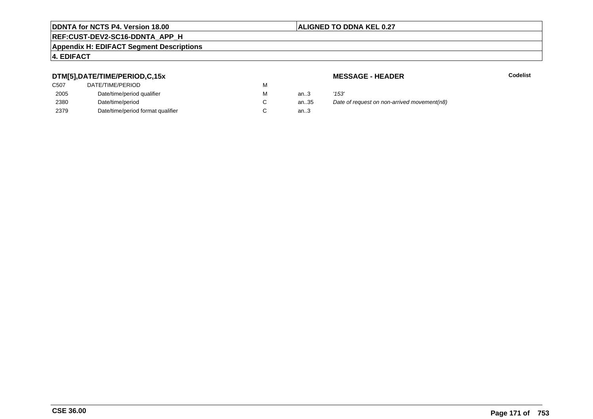## **ALIGNED TO DDNA KEL 0.27**

# **REF:CUST-DEV2-SC16-DDNTA\_APP\_H**

#### **Appendix H: EDIFACT Segment Descriptions**

## **4. EDIFACT**

# **DTM[5],DATE/TIME/PERIOD,C,15x**

| C507 | DATE/TIME/PERIOD                  | М |          |       |
|------|-----------------------------------|---|----------|-------|
| 2005 | Date/time/period qualifier        | М | an $3$   | '153' |
| 2380 | Date/time/period                  |   | an $.35$ | Date  |
| 2379 | Date/time/period format qualifier |   | an.3     |       |

**MESSAGE - HEADER**

**R** Codelist

antian.35 Date of request on non-arrived movement(n8)...3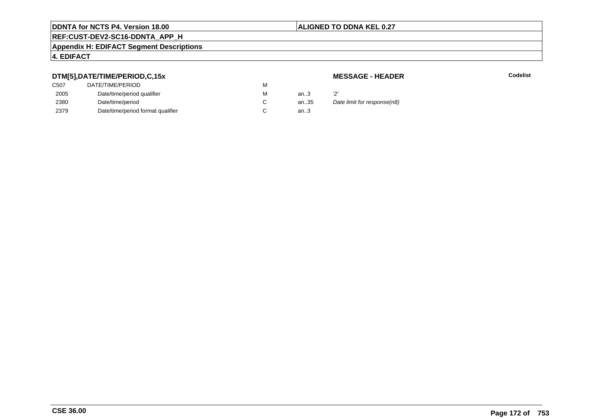## **ALIGNED TO DDNA KEL 0.27**

# **REF:CUST-DEV2-SC16-DDNTA\_APP\_H**

#### **Appendix H: EDIFACT Segment Descriptions**

## **4. EDIFACT**

# **DTM[5],DATE/TIME/PERIOD,C,15x**

# **MESSAGE - HEADER**

| .                 |                                   |   |      |                             |
|-------------------|-----------------------------------|---|------|-----------------------------|
| C <sub>50</sub> 7 | DATE/TIME/PERIOD                  | м |      |                             |
| 2005              | Date/time/period qualifier        | м | an3  |                             |
| 2380              | Date/time/period                  |   | an35 | Date limit for response(n8) |
| 2379              | Date/time/period format qualifier |   | an3  |                             |
|                   |                                   |   |      |                             |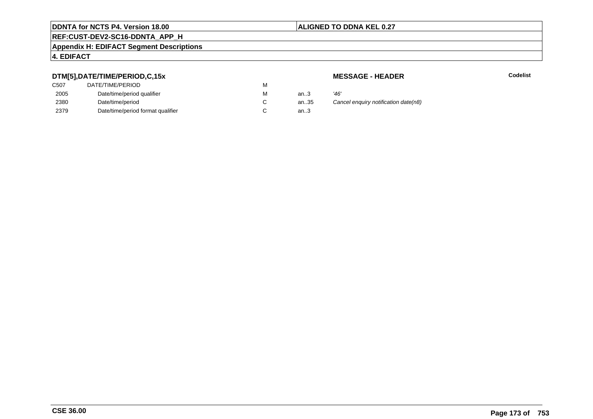## **ALIGNED TO DDNA KEL 0.27**

# **REF:CUST-DEV2-SC16-DDNTA\_APP\_H**

#### **Appendix H: EDIFACT Segment Descriptions**

## **4. EDIFACT**

# **DTM[5],DATE/TIME/PERIOD,C,15x**

| DATE/TIME/PERIOD                  | м |        |      |
|-----------------------------------|---|--------|------|
| Date/time/period qualifier        | м | an $3$ | '46' |
| Date/time/period                  |   | an.35  | Caı  |
| Date/time/period format qualifier |   | an $3$ |      |
|                                   |   |        |      |

**MESSAGE - HEADER**

**R** Codelist

35 Cancel enquiry notification date(n8)<br>3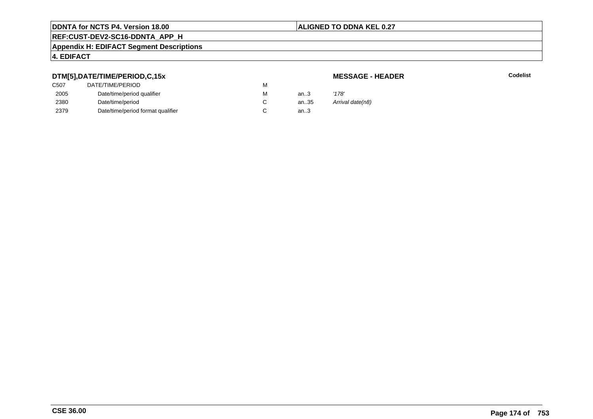## **ALIGNED TO DDNA KEL 0.27**

# **REF:CUST-DEV2-SC16-DDNTA\_APP\_H**

#### **Appendix H: EDIFACT Segment Descriptions**

# **4. EDIFACT**

# **DTM[5],DATE/TIME/PERIOD,C,15x**

# **MESSAGE - HEADER**

| C507 | DATE/TIME/PERIOD                  | М |      |                  |
|------|-----------------------------------|---|------|------------------|
| 2005 | Date/time/period qualifier        | м | an.3 | '178'            |
| 2380 | Date/time/period                  |   | an35 | Arrival date(n8) |
| 2379 | Date/time/period format qualifier |   | an.3 |                  |
|      |                                   |   |      |                  |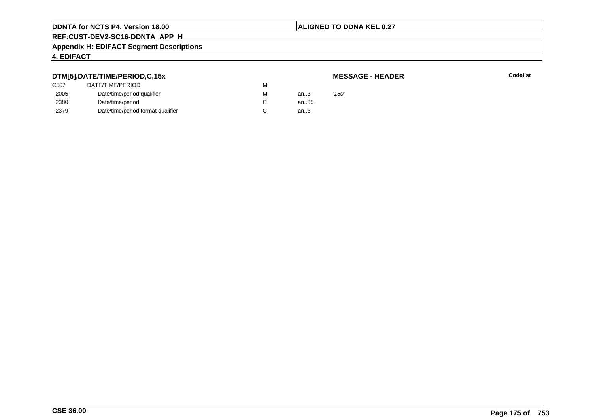### **ALIGNED TO DDNA KEL 0.27**

# **REF:CUST-DEV2-SC16-DDNTA\_APP\_H**

#### **Appendix H: EDIFACT Segment Descriptions**

## **4. EDIFACT**

# **DTM[5],DATE/TIME/PERIOD,C,15x**

## **MESSAGE - HEADER**

| C507 | DATE/TIME/PERIOD                  | M |      |       |
|------|-----------------------------------|---|------|-------|
| 2005 | Date/time/period qualifier        | M | an.3 | '150' |
| 2380 | Date/time/period                  |   | an35 |       |
| 2379 | Date/time/period format qualifier | C | an.3 |       |
|      |                                   |   |      |       |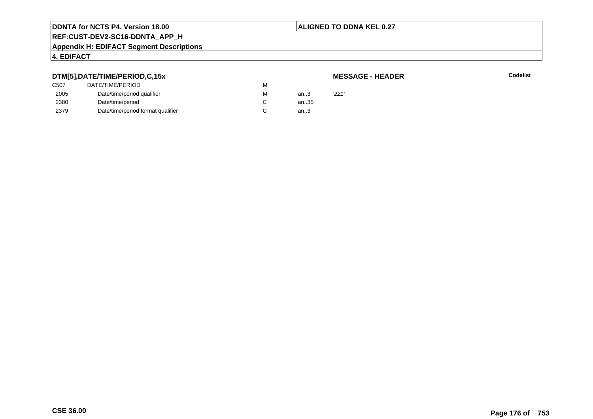## **ALIGNED TO DDNA KEL 0.27**

# **REF:CUST-DEV2-SC16-DDNTA\_APP\_H**

#### **Appendix H: EDIFACT Segment Descriptions**

# **4. EDIFACT**

# **DTM[5],DATE/TIME/PERIOD,C,15x**

| <b>MESSAGE - HEADER</b> |  |
|-------------------------|--|
|-------------------------|--|

| DTM[5],DATE/TIME/PERIOD,C,15x |                                   |   |      | <b>MESSAGE - HEADER</b> |
|-------------------------------|-----------------------------------|---|------|-------------------------|
| C507                          | DATE/TIME/PERIOD                  | м |      |                         |
| 2005                          | Date/time/period qualifier        | М | an.3 | '221'                   |
| 2380                          | Date/time/period                  |   | an35 |                         |
| 2379                          | Date/time/period format qualifier |   | an.3 |                         |
|                               |                                   |   |      |                         |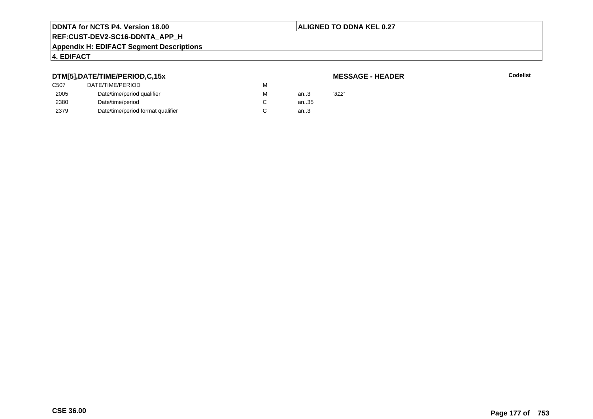### **ALIGNED TO DDNA KEL 0.27**

# **REF:CUST-DEV2-SC16-DDNTA\_APP\_H**

#### **Appendix H: EDIFACT Segment Descriptions**

# **4. EDIFACT**

# **DTM[5],DATE/TIME/PERIOD,C,15x**

| DTM[5],DATE/TIME/PERIOD,C,15x |                                   |   |      | <b>MESSAGE - HEADER</b> |  |  |
|-------------------------------|-----------------------------------|---|------|-------------------------|--|--|
| C507                          | DATE/TIME/PERIOD                  | м |      |                         |  |  |
| 2005                          | Date/time/period qualifier        | М | an.3 | '312'                   |  |  |
| 2380                          | Date/time/period                  |   | an35 |                         |  |  |
| 2379                          | Date/time/period format qualifier |   | an.3 |                         |  |  |
|                               |                                   |   |      |                         |  |  |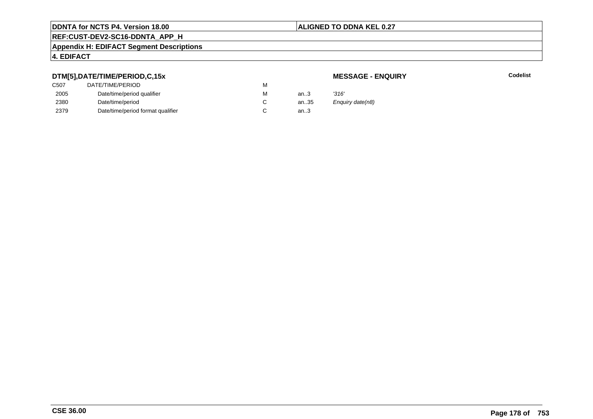## **ALIGNED TO DDNA KEL 0.27**

# **REF:CUST-DEV2-SC16-DDNTA\_APP\_H**

#### **Appendix H: EDIFACT Segment Descriptions**

## **4. EDIFACT**

# **DTM[5],DATE/TIME/PERIOD,C,15x**

# **MESSAGE - ENQUIRY**

**Latter School** School Codelist

| C507 | DATE/TIME/PERIOD                  | м |      |                  |
|------|-----------------------------------|---|------|------------------|
| 2005 | Date/time/period qualifier        | М | an.3 | '316'            |
| 2380 | Date/time/period                  |   | an35 | Enguiry date(n8) |
| 2379 | Date/time/period format qualifier |   | an.3 |                  |
|      |                                   |   |      |                  |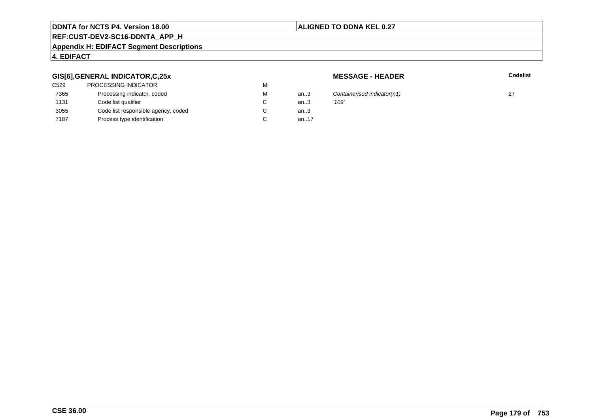# **ALIGNED TO DDNA KEL 0.27**

# **REF:CUST-DEV2-SC16-DDNTA\_APP\_H**

#### **Appendix H: EDIFACT Segment Descriptions**

## **4. EDIFACT**

# **GIS[6],GENERAL INDICATOR,C,25x**

| an.3   |               |
|--------|---------------|
| an.3   |               |
| an $3$ |               |
| an17   |               |
|        | Cont<br>'109' |

**MESSAGE - HEADER**

**R** Codelist

Containerised indicator(n1) 27<br> $'109'$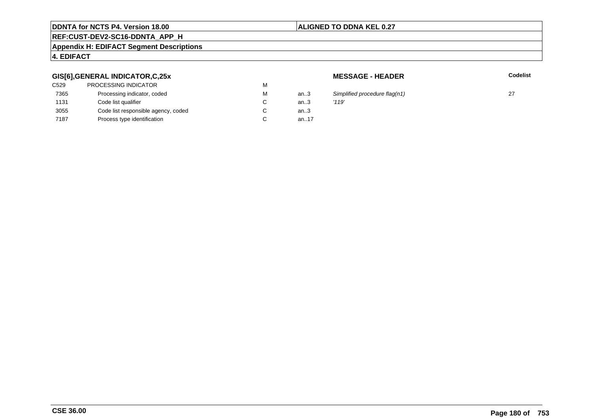# **ALIGNED TO DDNA KEL 0.27**

# **REF:CUST-DEV2-SC16-DDNTA\_APP\_H**

#### **Appendix H: EDIFACT Segment Descriptions**

# **4. EDIFACT**

# **GIS[6],GENERAL INDICATOR,C,25x**

| <b>PROCESSING INDICATOR</b>         | M |        |       |
|-------------------------------------|---|--------|-------|
| Processing indicator, coded         | M | an $3$ | Simp  |
| Code list qualifier                 | C | an.3   | '119' |
| Code list responsible agency, coded | С | an $3$ |       |
| Process type identification         | C | an17   |       |
|                                     |   |        |       |

**MESSAGE - HEADER**

**R** Codelist

Simplified procedure flag(n1)  $27$ <br>'119'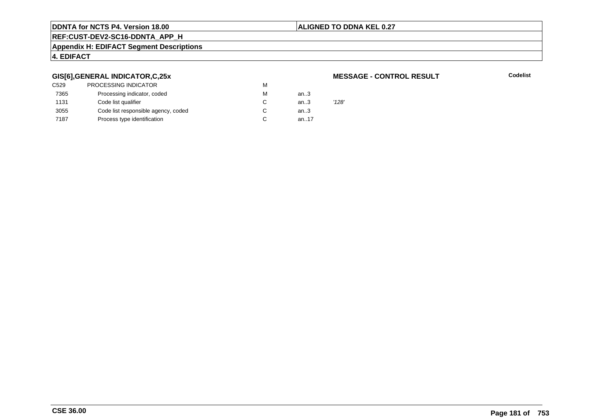#### **ALIGNED TO DDNA KEL 0.27**

# **REF:CUST-DEV2-SC16-DDNTA\_APP\_H**

#### **Appendix H: EDIFACT Segment Descriptions**

## **4. EDIFACT**

#### **GIS[6],GENERAL INDICATOR,C,25x**

| C529 | <b>PROCESSING INDICATOR</b>         | М |        |       |
|------|-------------------------------------|---|--------|-------|
| 7365 | Processing indicator, coded         | М | an $3$ |       |
| 1131 | Code list qualifier                 | C | an.3   | '128' |
| 3055 | Code list responsible agency, coded | C | an.3   |       |
| 7187 | Process type identification         | C | an17   |       |
|      |                                     |   |        |       |

#### **MESSAGE - CONTROL RESULT**

**Codelist**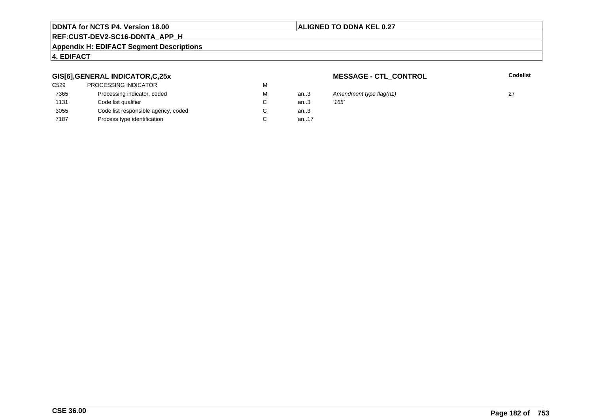# **ALIGNED TO DDNA KEL 0.27**

# **REF:CUST-DEV2-SC16-DDNTA\_APP\_H**

#### **Appendix H: EDIFACT Segment Descriptions**

# **4. EDIFACT**

#### **GIS[6],GENERAL INDICATOR,C,25x**

| <b>PROCESSING INDICATOR</b>         | м |        |       |
|-------------------------------------|---|--------|-------|
| Processing indicator, coded         | м | an3    | Ame   |
| Code list qualifier                 | C | an.3   | '165' |
| Code list responsible agency, coded | С | an $3$ |       |
| Process type identification         |   | an17   |       |
|                                     |   |        |       |

**MESSAGE - CTL\_CONTROL**

**Codelist**

3 Amendment type flag(n1) 27<br>3  $'165'$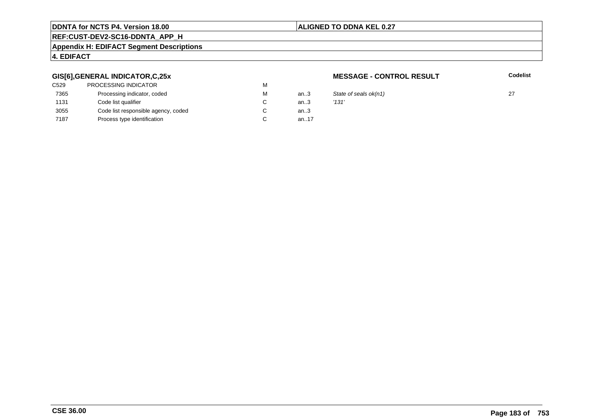#### **ALIGNED TO DDNA KEL 0.27**

# **REF:CUST-DEV2-SC16-DDNTA\_APP\_H**

#### **Appendix H: EDIFACT Segment Descriptions**

#### **4. EDIFACT**

#### **GIS[6],GENERAL INDICATOR,C,25x**

| C <sub>529</sub> | <b>PROCESSING INDICATOR</b>         | м |           |       |
|------------------|-------------------------------------|---|-----------|-------|
| 7365             | Processing indicator, coded         | м | an $3$    | State |
| 1131             | Code list qualifier                 | C | an.3      | '131' |
| 3055             | Code list responsible agency, coded | C | an $3$    |       |
| 7187             | Process type identification         |   | an. $.17$ |       |

#### **MESSAGE - CONTROL RESULT**

**Codelist**

3 State of seals  $ok(n1)$  27<br>3  $'131'$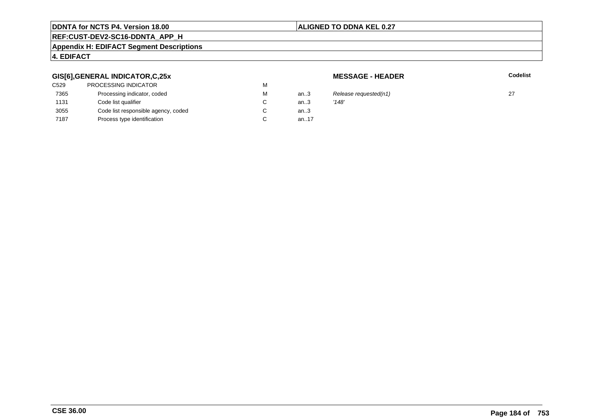## **ALIGNED TO DDNA KEL 0.27**

# **REF:CUST-DEV2-SC16-DDNTA\_APP\_H**

#### **Appendix H: EDIFACT Segment Descriptions**

# **4. EDIFACT**

#### **GIS[6],GENERAL INDICATOR,C,25x**

| <b>PROCESSING INDICATOR</b>         | M |        |       |
|-------------------------------------|---|--------|-------|
| Processing indicator, coded         | M | an3    | Rele  |
| Code list qualifier                 | C | an.3   | '148' |
| Code list responsible agency, coded | С | an $3$ |       |
| Process type identification         | C | an17   |       |
|                                     |   |        |       |

**MESSAGE - HEADER**

**R** Codelist

3 Release requested(n1)  $27$ <br>3  $'148'$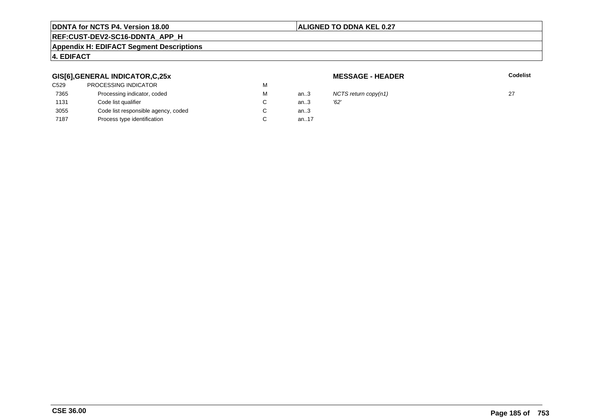#### **ALIGNED TO DDNA KEL 0.27**

# **REF:CUST-DEV2-SC16-DDNTA\_APP\_H**

#### **Appendix H: EDIFACT Segment Descriptions**

# **4. EDIFACT**

#### **GIS[6],GENERAL INDICATOR,C,25x**

| C529 | <b>PROCESSING INDICATOR</b>         | М |      |      |
|------|-------------------------------------|---|------|------|
| 7365 | Processing indicator, coded         | М | an3  | ΝC   |
| 1131 | Code list qualifier                 |   | an3  | '62' |
| 3055 | Code list responsible agency, coded |   | an.3 |      |
| 7187 | Process type identification         |   | an17 |      |
|      |                                     |   |      |      |

**MESSAGE - HEADER**

**R** Codelist

NCTS return copy(n1)  $27$ <br>'62'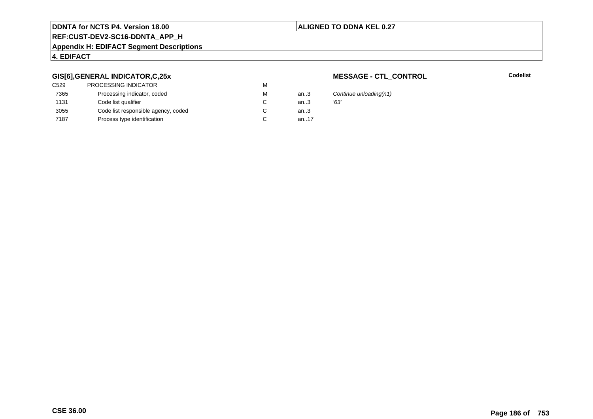#### **ALIGNED TO DDNA KEL 0.27**

# **REF:CUST-DEV2-SC16-DDNTA\_APP\_H**

#### **Appendix H: EDIFACT Segment Descriptions**

#### **4. EDIFACT**

#### **GIS[6],GENERAL INDICATOR,C,25x**

| C <sub>529</sub> | PROCESSING INDICATOR                | м |      |      |
|------------------|-------------------------------------|---|------|------|
| 7365             | Processing indicator, coded         | М | an.3 | Cor  |
| 1131             | Code list qualifier                 |   | an.3 | '63' |
| 3055             | Code list responsible agency, coded |   | an.3 |      |
| 7187             | Process type identification         |   | an17 |      |

#### **MESSAGE - CTL\_CONTROL**

**Codelist**

Continue unloading(n1)<br>'63'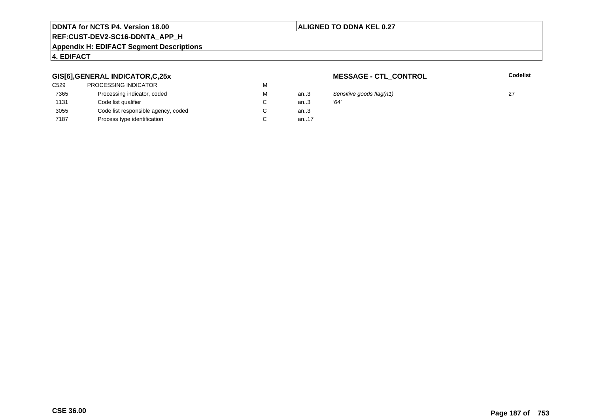## **ALIGNED TO DDNA KEL 0.27**

# **REF:CUST-DEV2-SC16-DDNTA\_APP\_H**

#### **Appendix H: EDIFACT Segment Descriptions**

# **4. EDIFACT**

#### **GIS[6],GENERAL INDICATOR,C,25x**

| C <sub>529</sub> | PROCESSING INDICATOR                | м |      |      |
|------------------|-------------------------------------|---|------|------|
| 7365             | Processing indicator, coded         | М | an.3 | Ser  |
| 1131             | Code list qualifier                 |   | an.3 | '64' |
| 3055             | Code list responsible agency, coded |   | an.3 |      |
| 7187             | Process type identification         |   | an17 |      |

**MESSAGE - CTL\_CONTROL**

**Codelist**

an..3 Sensitive goods flag(n1) <sup>27</sup>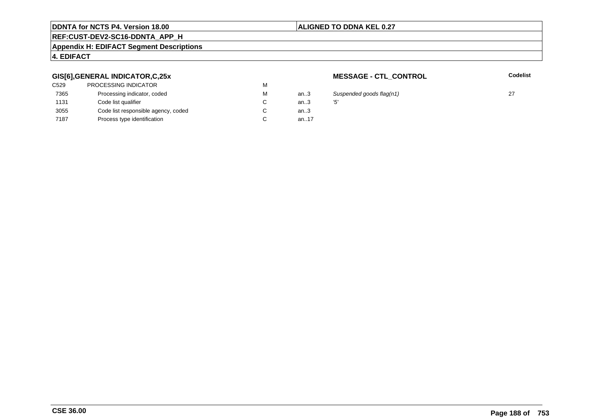#### **ALIGNED TO DDNA KEL 0.27**

# **REF:CUST-DEV2-SC16-DDNTA\_APP\_H**

#### **Appendix H: EDIFACT Segment Descriptions**

# **4. EDIFACT**

#### **GIS[6],GENERAL INDICATOR,C,25x**

| C529 | PROCESSING INDICATOR                | м |        |     |
|------|-------------------------------------|---|--------|-----|
| 7365 | Processing indicator, coded         | м | an.3   | Sι  |
| 1131 | Code list qualifier                 | C | an.3   | '5' |
| 3055 | Code list responsible agency, coded |   | an $3$ |     |
| 7187 | Process type identification         |   | an17   |     |

**MESSAGE - CTL\_CONTROL**

**Codelist**

an..3 Suspended goods flag(n1) <sup>27</sup>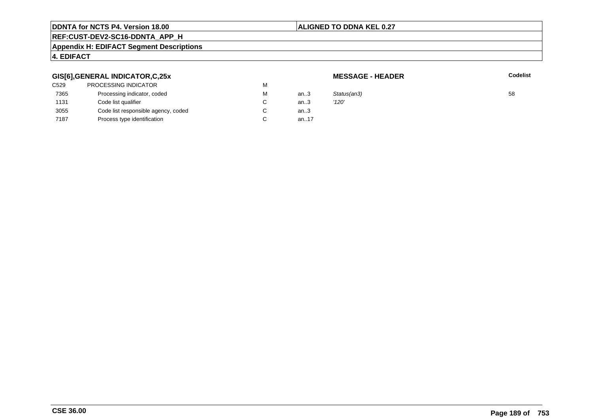## **ALIGNED TO DDNA KEL 0.27**

# **REF:CUST-DEV2-SC16-DDNTA\_APP\_H**

#### **Appendix H: EDIFACT Segment Descriptions**

# **4. EDIFACT**

#### **GIS[6],GENERAL INDICATOR,C,25x**

| C529 | PROCESSING INDICATOR                | M      |        |             |    |
|------|-------------------------------------|--------|--------|-------------|----|
| 7365 | Processing indicator, coded         | М      | an.3   | Status(an3) | 58 |
| 1131 | Code list qualifier                 | $\sim$ | an3    | '120'       |    |
| 3055 | Code list responsible agency, coded | $\sim$ | an $3$ |             |    |
| 7187 | Process type identification         | C      | an.17  |             |    |
|      |                                     |        |        |             |    |

**MESSAGE - HEADER**

**R** Codelist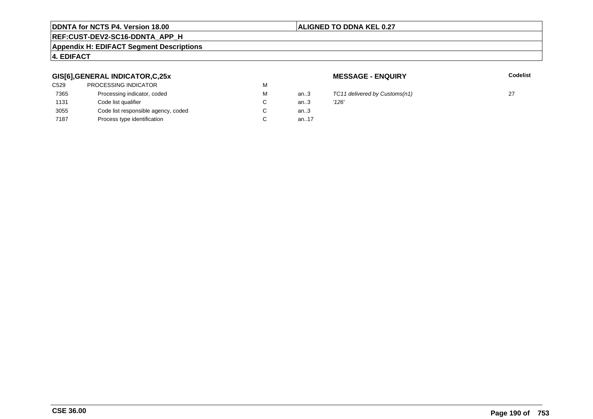# **ALIGNED TO DDNA KEL 0.27**

# **REF:CUST-DEV2-SC16-DDNTA\_APP\_H**

#### **Appendix H: EDIFACT Segment Descriptions**

# **4. EDIFACT**

#### **GIS[6],GENERAL INDICATOR,C,25x**

| <b>PROCESSING INDICATOR</b>         | М |        |       |
|-------------------------------------|---|--------|-------|
| Processing indicator, coded         | м | an3    | TC1:  |
| Code list qualifier                 | C | an.3   | '126' |
| Code list responsible agency, coded | С | an $3$ |       |
| Process type identification         |   | an17   |       |
|                                     |   |        |       |

**MESSAGE - ENQUIRY**

**Latter School** School Codelist

 $TC11$  delivered by Customs(n1) 27<br> $'126'$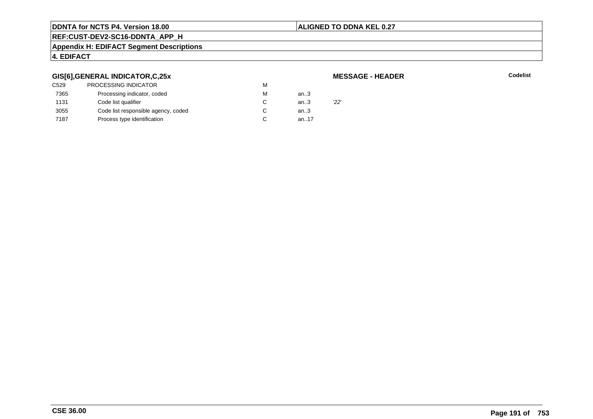# **ALIGNED TO DDNA KEL 0.27**

# **REF:CUST-DEV2-SC16-DDNTA\_APP\_H**

#### **Appendix H: EDIFACT Segment Descriptions**

## **4. EDIFACT**

#### **GIS[6],GENERAL INDICATOR,C,25x**

| C529 | <b>PROCESSING INDICATOR</b>         | м |      |     |
|------|-------------------------------------|---|------|-----|
| 7365 | Processing indicator, coded         | м | an.3 |     |
| 1131 | Code list qualifier                 |   | an.3 | 22' |
| 3055 | Code list responsible agency, coded |   | an.3 |     |
| 7187 | Process type identification         |   | an17 |     |
|      |                                     |   |      |     |

**MESSAGE - HEADER**

**R** Codelist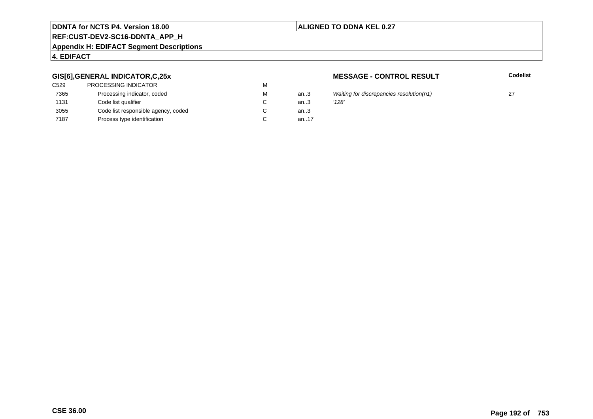## **ALIGNED TO DDNA KEL 0.27**

# **REF:CUST-DEV2-SC16-DDNTA\_APP\_H**

#### **Appendix H: EDIFACT Segment Descriptions**

# **4. EDIFACT**

#### **GIS[6],GENERAL INDICATOR,C,25x**

| C529 | <b>PROCESSING INDICATOR</b>         | м |          |       |
|------|-------------------------------------|---|----------|-------|
| 7365 | Processing indicator, coded         | м | an.3     | Wait  |
| 1131 | Code list qualifier                 | C | an.3     | '128' |
| 3055 | Code list responsible agency, coded | С | an $3$   |       |
| 7187 | Process type identification         |   | an. $17$ |       |

#### **MESSAGE - CONTROL RESULT**

**Codelist**

| м | an3 | Waiting for discrepancies resolution(n1) |  |
|---|-----|------------------------------------------|--|
| С | an3 | '128'                                    |  |
| С | an3 |                                          |  |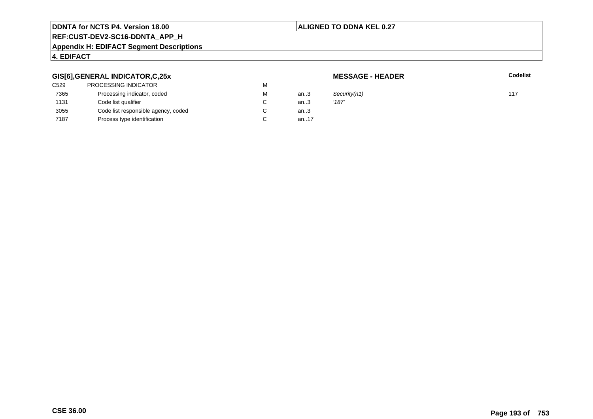#### **ALIGNED TO DDNA KEL 0.27**

# **REF:CUST-DEV2-SC16-DDNTA\_APP\_H**

#### **Appendix H: EDIFACT Segment Descriptions**

# **4. EDIFACT**

## **GIS[6],GENERAL INDICATOR,C,25x**

| C529 | PROCESSING INDICATOR                | М |      |       |
|------|-------------------------------------|---|------|-------|
| 7365 | Processing indicator, coded         | М | an.3 | Secu  |
| 1131 | Code list qualifier                 | C | an.3 | '187' |
| 3055 | Code list responsible agency, coded | C | an.3 |       |
| 7187 | Process type identification         |   | an17 |       |
|      |                                     |   |      |       |

**MESSAGE - HEADER**

**R** Codelist

M an..3 Security(n1) 117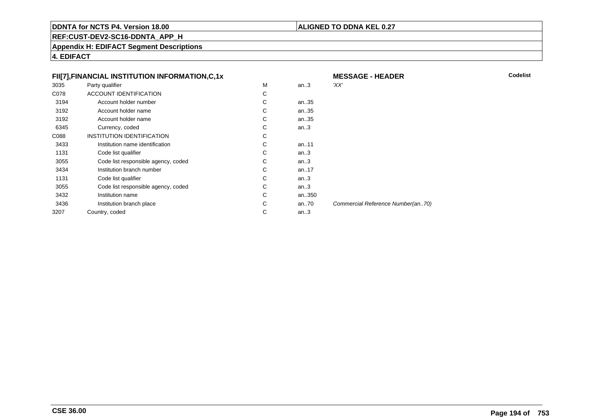#### **ALIGNED TO DDNA KEL 0.27**

**REF:CUST-DEV2-SC16-DDNTA\_APP\_H**

**Appendix H: EDIFACT Segment Descriptions**

| FII[7], FINANCIAL INSTITUTION INFORMATION, C, 1x |                                     |    | <b>MESSAGE - HEADER</b> | Codelist                          |  |
|--------------------------------------------------|-------------------------------------|----|-------------------------|-----------------------------------|--|
| 3035                                             | Party qualifier                     | M  | an.3                    | 'XX'                              |  |
| C078                                             | ACCOUNT IDENTIFICATION              | C  |                         |                                   |  |
| 3194                                             | Account holder number               | C  | an35                    |                                   |  |
| 3192                                             | Account holder name                 | C  | an35                    |                                   |  |
| 3192                                             | Account holder name                 | C. | an35                    |                                   |  |
| 6345                                             | Currency, coded                     | С  | an.3                    |                                   |  |
| C088                                             | INSTITUTION IDENTIFICATION          | C  |                         |                                   |  |
| 3433                                             | Institution name identification     | C  | an11                    |                                   |  |
| 1131                                             | Code list qualifier                 | C  | an.3                    |                                   |  |
| 3055                                             | Code list responsible agency, coded | C  | an.3                    |                                   |  |
| 3434                                             | Institution branch number           | С  | an17                    |                                   |  |
| 1131                                             | Code list qualifier                 | C  | an.3                    |                                   |  |
| 3055                                             | Code list responsible agency, coded | C. | an.3                    |                                   |  |
| 3432                                             | Institution name                    | C. | an350                   |                                   |  |
| 3436                                             | Institution branch place            | C  | an $.70$                | Commercial Reference Number(an70) |  |
| 3207                                             | Country, coded                      | С  | an.3                    |                                   |  |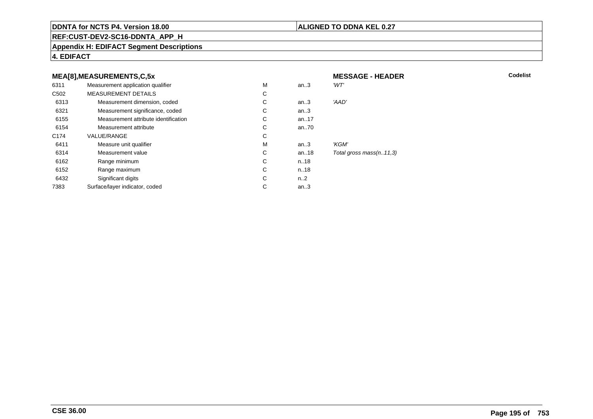#### **ALIGNED TO DDNA KEL 0.27**

**REF:CUST-DEV2-SC16-DDNTA\_APP\_H**

#### **Appendix H: EDIFACT Segment Descriptions**

**4. EDIFACT**

#### **MEA[8],MEASUREMENTS,C,5xMESSAGE - HEADER**<br>M an..3 'WT' 6311Measurement application qualifier  $M$ <br>MEASUREMENT DETAILS M an..3 *'WT'* C<sub>502</sub> MEASUREMENT DETAILSs c  $\mathsf{C}$ 6313Measurement dimension, coded<br>
Measurement significance, coded<br>
C C an..3 'AAD' 6321Measurement significance, coded C<br>
Measurement attribute identification C an..3 6155Measurement attribute identification  $\begin{array}{ccc} \text{C} \\ \text{C} \end{array}$  an..17 6154Measurement attribute C<br>COLLE/RANGE C an..70 C174 VALUE/RANGEE C  ${\sf M}$ 6411Measure unit qualifier the matrix of the matrix of the Measurement value of the Measurement value of the Measurement value of the Measurement value of the Measurement value of the Measurement value of the Measurement value an..3 *'KGM'*<br>an..18 *Total g* 6314Measurement value C<br>
Range minimum C<br>
C an..18 Total gross mass(n..11,3)<br>n..18 6162 Range minimum <sup>C</sup> n..18 6152 Range maximum <sup>C</sup> n..18 6432Significant digits C<br>
Face/laver indicator. coded n..2 7383Surface/layer indicator, coded an..3

**R** Codelist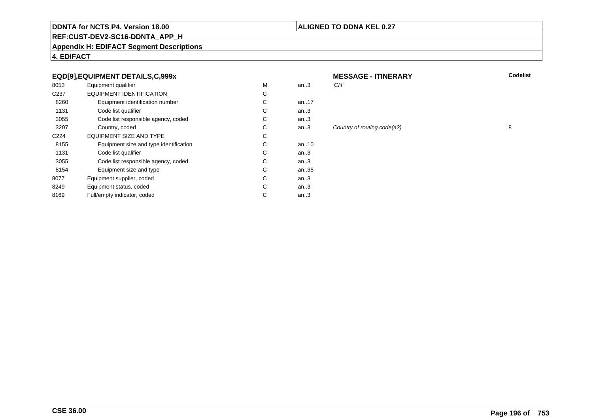#### **ALIGNED TO DDNA KEL 0.27**

# **REF:CUST-DEV2-SC16-DDNTA\_APP\_H**

#### **Appendix H: EDIFACT Segment Descriptions**

# **4. EDIFACT**

#### **EQD[9],EQUIPMENT DETAILS,C,999x**

| 8053             | Equipment qualifier                    | M | an.3      | 'CH' |
|------------------|----------------------------------------|---|-----------|------|
| C <sub>237</sub> | EQUIPMENT IDENTIFICATION               | С |           |      |
| 8260             | Equipment identification number        | С | an. $.17$ |      |
| 1131             | Code list qualifier                    | С | an $3$    |      |
| 3055             | Code list responsible agency, coded    | С | an.3      |      |
| 3207             | Country, coded                         | С | an.3      | Cou  |
| C <sub>224</sub> | <b>EQUIPMENT SIZE AND TYPE</b>         | С |           |      |
| 8155             | Equipment size and type identification | С | an. $.10$ |      |
| 1131             | Code list qualifier                    | С | an $3$    |      |
| 3055             | Code list responsible agency, coded    | С | an $3$    |      |
| 8154             | Equipment size and type                | С | an35      |      |
| 8077             | Equipment supplier, coded              | C | an.3      |      |
| 8249             | Equipment status, coded                | С | an.3      |      |
| 8169             | Full/empty indicator, coded            | С | an.3      |      |
|                  |                                        |   |           |      |

| x         |   |          | <b>MESSAGE - ITINERARY</b>  | Codelist |
|-----------|---|----------|-----------------------------|----------|
|           | M | an.3     | 'CH'                        |          |
|           | C |          |                             |          |
| er        | C | an17     |                             |          |
|           | C | an.3     |                             |          |
| coded     | C | an.3     |                             |          |
|           | C | an.3     | Country of routing code(a2) | 8        |
|           | C |          |                             |          |
| ification | С | an $.10$ |                             |          |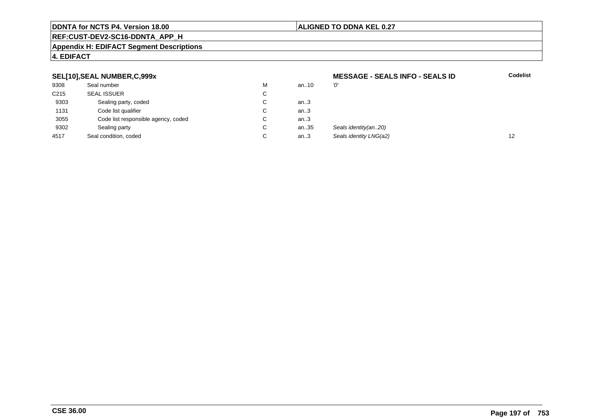#### **ALIGNED TO DDNA KEL 0.27**

# **REF:CUST-DEV2-SC16-DDNTA\_APP\_H**

#### **Appendix H: EDIFACT Segment Descriptions**

#### **4. EDIFACT**

#### **SEL[10],SEAL NUMBER,C,999x**

| SEL[10], SEAL NUMBER, C, 999x |                                     |        | <b>MESSAGE - SEALS INFO - SEALS ID</b> |                        |    |
|-------------------------------|-------------------------------------|--------|----------------------------------------|------------------------|----|
| 9308                          | Seal number                         | М      | an10                                   | Ό'                     |    |
| C <sub>215</sub>              | <b>SEAL ISSUER</b>                  | ⌒<br>ັ |                                        |                        |    |
| 9303                          | Sealing party, coded                | ⌒<br>ັ | an.3                                   |                        |    |
| 1131                          | Code list qualifier                 | ~<br>◡ | an.3                                   |                        |    |
| 3055                          | Code list responsible agency, coded | ⌒<br>◡ | an.3                                   |                        |    |
| 9302                          | Sealing party                       | ⌒<br>◡ | an35                                   | Seals identity(an20)   |    |
| 4517                          | Seal condition, coded               | ◡      | an.3                                   | Seals identity LNG(a2) | 12 |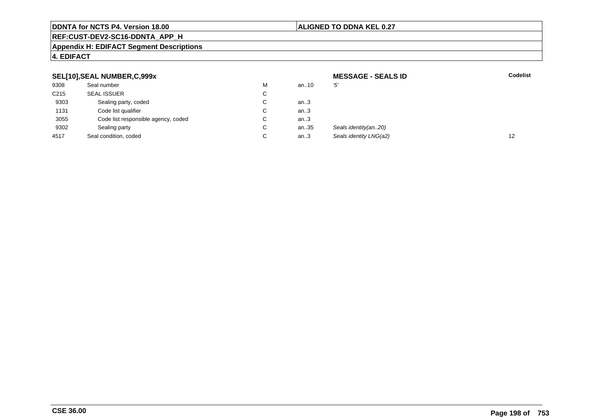#### **ALIGNED TO DDNA KEL 0.27**

# **REF:CUST-DEV2-SC16-DDNTA\_APP\_H**

#### **Appendix H: EDIFACT Segment Descriptions**

| SEL[10], SEAL NUMBER, C, 999x |                                     |                      | <b>MESSAGE - SEALS ID</b> | <b>Codelist</b>        |    |
|-------------------------------|-------------------------------------|----------------------|---------------------------|------------------------|----|
| 9308                          | Seal number                         | M                    | an10                      | '5'                    |    |
| C <sub>215</sub>              | <b>SEAL ISSUER</b>                  | $\mathbf{\tilde{v}}$ |                           |                        |    |
| 9303                          | Sealing party, coded                |                      | an.3                      |                        |    |
| 1131                          | Code list qualifier                 |                      | an.3                      |                        |    |
| 3055                          | Code list responsible agency, coded | ◡                    | an.3                      |                        |    |
| 9302                          | Sealing party                       | ◡                    | an35                      | Seals identity(an20)   |    |
| 4517                          | Seal condition, coded               |                      | an.3                      | Seals identity LNG(a2) | 12 |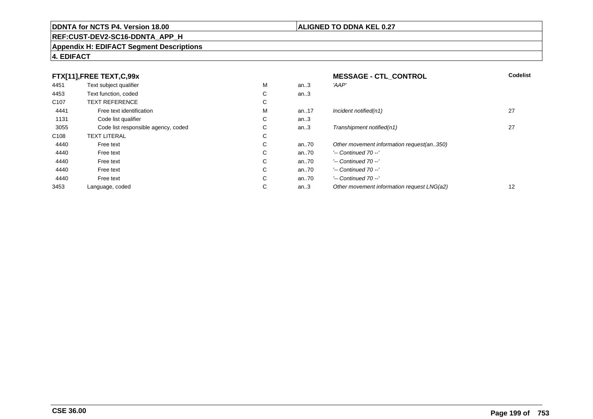# **REF:CUST-DEV2-SC16-DDNTA\_APP\_H**

#### **Appendix H: EDIFACT Segment Descriptions**

## **4. EDIFACT**

| FTX[11],FREE TEXT,C,99x |                                     |             | <b>MESSAGE - CTL CONTROL</b> | <b>Codelist</b>                            |    |
|-------------------------|-------------------------------------|-------------|------------------------------|--------------------------------------------|----|
| 4451                    | Text subject qualifier              | М           | an.3                         | 'AAP'                                      |    |
| 4453                    | Text function, coded                | ⌒<br>Ü      | an.3                         |                                            |    |
| C <sub>107</sub>        | <b>TEXT REFERENCE</b>               | ⌒<br>Ü      |                              |                                            |    |
| 4441                    | Free text identification            | м           | an17                         | Incident notified(n1)                      | 27 |
| 1131                    | Code list qualifier                 | ⌒<br>◡      | an.3                         |                                            |    |
| 3055                    | Code list responsible agency, coded | С           | an.3                         | Transhipment notified(n1)                  | 27 |
| C <sub>108</sub>        | <b>TEXT LITERAL</b>                 | $\sim$<br>Ü |                              |                                            |    |
| 4440                    | Free text                           | ⌒<br>Ü      | an70                         | Other movement information request(an350)  |    |
| 4440                    | Free text                           | ⌒<br>Ü      | an70                         | $'-$ Continued 70 $-$ '                    |    |
| 4440                    | Free text                           | С           | an70                         | $'-$ Continued 70 $-$ '                    |    |
| 4440                    | Free text                           | C           | an70                         | $'-$ Continued 70 $-$ '                    |    |
| 4440                    | Free text                           | С           | an70                         | $'-$ Continued 70 $-$ '                    |    |
| 3453                    | Language, coded                     | ⌒<br>Ü      | an.3                         | Other movement information request LNG(a2) | 12 |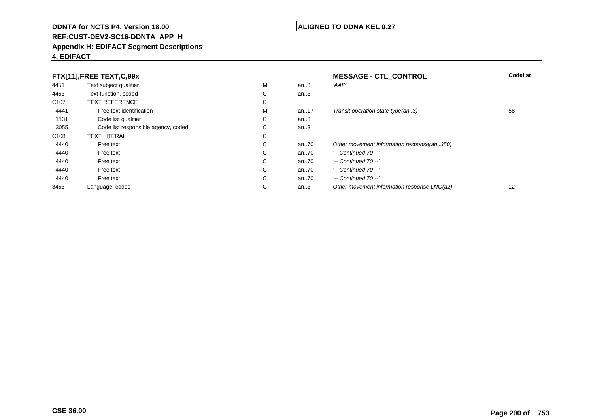# **REF:CUST-DEV2-SC16-DDNTA\_APP\_H**

#### **Appendix H: EDIFACT Segment Descriptions**

## **4. EDIFACT**

| FTX[11],FREE TEXT,C,99x |                                     |             | <b>MESSAGE - CTL CONTROL</b> | <b>Codelist</b>                             |                   |
|-------------------------|-------------------------------------|-------------|------------------------------|---------------------------------------------|-------------------|
| 4451                    | Text subject qualifier              | м           | an.3                         | 'AAP'                                       |                   |
| 4453                    | Text function, coded                | $\sim$<br>Ü | an.3                         |                                             |                   |
| C <sub>107</sub>        | <b>TEXT REFERENCE</b>               | $\sim$<br>◡ |                              |                                             |                   |
| 4441                    | Free text identification            | м           | an17                         | Transit operation state type(an3)           | 58                |
| 1131                    | Code list qualifier                 | С           | an.3                         |                                             |                   |
| 3055                    | Code list responsible agency, coded | $\sim$<br>◡ | an.3                         |                                             |                   |
| C <sub>108</sub>        | <b>TEXT LITERAL</b>                 | $\sim$<br>Ü |                              |                                             |                   |
| 4440                    | Free text                           | $\sim$<br>◡ | an70                         | Other movement information response(an350)  |                   |
| 4440                    | Free text                           | $\sim$<br>◡ | an70                         | $'-$ Continued 70 $-$ '                     |                   |
| 4440                    | Free text                           | С           | an70                         | $'-$ Continued 70 $-$ '                     |                   |
| 4440                    | Free text                           | С           | an70                         | $'-$ Continued 70 $-$ '                     |                   |
| 4440                    | Free text                           | $\sim$<br>Ü | an70                         | $'-$ Continued 70 $-$ '                     |                   |
| 3453                    | Language, coded                     | $\sim$<br>◡ | an.3                         | Other movement information response LNG(a2) | $12 \overline{ }$ |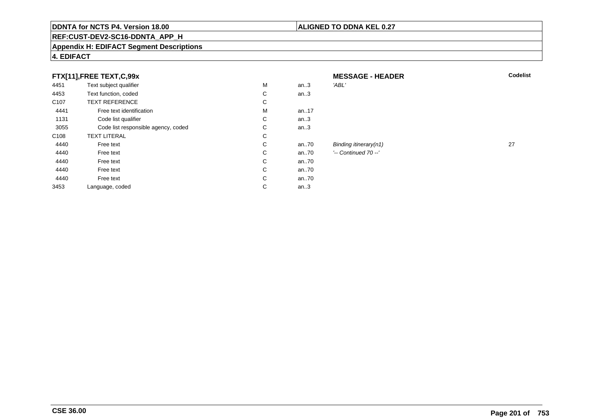# **REF:CUST-DEV2-SC16-DDNTA\_APP\_H**

#### **Appendix H: EDIFACT Segment Descriptions**

# **4. EDIFACT**

| FTX[11], FREE TEXT, C, 99x |                                     |   | <b>MESSAGE - HEADER</b> | <b>Codelist</b>         |    |
|----------------------------|-------------------------------------|---|-------------------------|-------------------------|----|
| 4451                       | Text subject qualifier              | M | an.3                    | 'ABL'                   |    |
| 4453                       | Text function, coded                | С | an. $3$                 |                         |    |
| C <sub>107</sub>           | <b>TEXT REFERENCE</b>               | С |                         |                         |    |
| 4441                       | Free text identification            | M | an17                    |                         |    |
| 1131                       | Code list qualifier                 | С | an.3                    |                         |    |
| 3055                       | Code list responsible agency, coded | С | an.3                    |                         |    |
| C <sub>108</sub>           | <b>TEXT LITERAL</b>                 | С |                         |                         |    |
| 4440                       | Free text                           | C | an70                    | Binding itinerary(n1)   | 27 |
| 4440                       | Free text                           | C | an $.70$                | $'-$ Continued 70 $-$ ' |    |
| 4440                       | Free text                           | С | an70                    |                         |    |
| 4440                       | Free text                           | C | an70                    |                         |    |
| 4440                       | Free text                           | C | an70                    |                         |    |
| 3453                       | Language, coded                     | С | an.3                    |                         |    |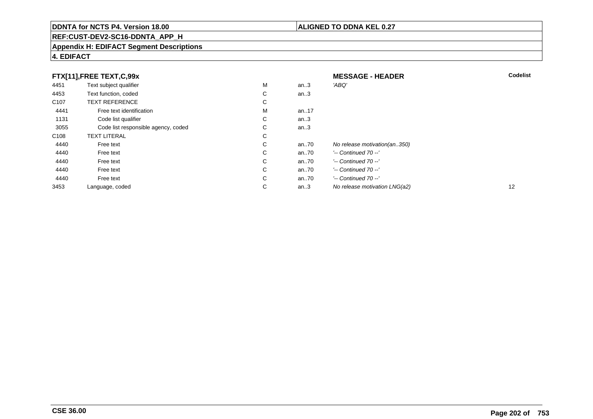# **REF:CUST-DEV2-SC16-DDNTA\_APP\_H**

#### **Appendix H: EDIFACT Segment Descriptions**

## **4. EDIFACT**

| FTX[11],FREE TEXT,C,99x |                                     |        |      | <b>MESSAGE - HEADER</b>       | <b>Codelist</b> |
|-------------------------|-------------------------------------|--------|------|-------------------------------|-----------------|
| 4451                    | Text subject qualifier              | M      | an.3 | 'ABQ'                         |                 |
| 4453                    | Text function, coded                | ⌒<br>Ü | an.3 |                               |                 |
| C <sub>107</sub>        | <b>TEXT REFERENCE</b>               | С      |      |                               |                 |
| 4441                    | Free text identification            | м      | an17 |                               |                 |
| 1131                    | Code list qualifier                 | С      | an.3 |                               |                 |
| 3055                    | Code list responsible agency, coded | C.     | an.3 |                               |                 |
| C <sub>108</sub>        | <b>TEXT LITERAL</b>                 | C      |      |                               |                 |
| 4440                    | Free text                           | С      | an70 | No release motivation(an350)  |                 |
| 4440                    | Free text                           | C      | an70 | $'-$ Continued 70 $-$ '       |                 |
| 4440                    | Free text                           | C      | an70 | $'-$ Continued 70 $-$ '       |                 |
| 4440                    | Free text                           | C      | an70 | $'-$ Continued 70 $-$ '       |                 |
| 4440                    | Free text                           | C      | an70 | $'-$ Continued 70 $-$ '       |                 |
| 3453                    | Language, coded                     | С      | an.3 | No release motivation LNG(a2) | 12              |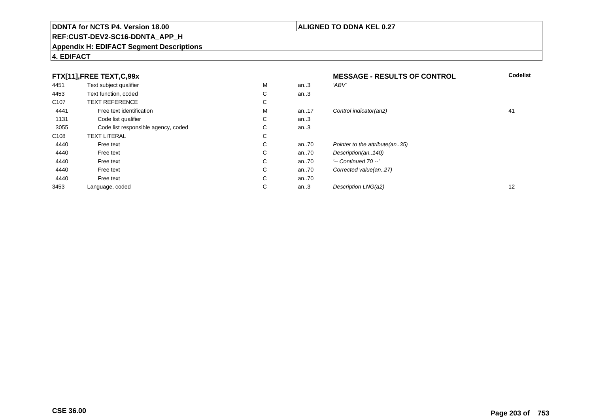# **REF:CUST-DEV2-SC16-DDNTA\_APP\_H**

#### **Appendix H: EDIFACT Segment Descriptions**

# **4. EDIFACT**

| FTX[11],FREE TEXT,C,99x |                                     |             | <b>MESSAGE - RESULTS OF CONTROL</b> | <b>Codelist</b>                 |                   |
|-------------------------|-------------------------------------|-------------|-------------------------------------|---------------------------------|-------------------|
| 4451                    | Text subject qualifier              | М           | an.3                                | 'ABV'                           |                   |
| 4453                    | Text function, coded                | $\sim$<br>◡ | an.3                                |                                 |                   |
| C <sub>107</sub>        | <b>TEXT REFERENCE</b>               | ⌒<br>U      |                                     |                                 |                   |
| 4441                    | Free text identification            | м           | an17                                | Control indicator(an2)          | 41                |
| 1131                    | Code list qualifier                 | ⌒<br>Ü      | an.3                                |                                 |                   |
| 3055                    | Code list responsible agency, coded | C           | an.3                                |                                 |                   |
| C <sub>108</sub>        | <b>TEXT LITERAL</b>                 | $\sim$<br>U |                                     |                                 |                   |
| 4440                    | Free text                           | ⌒<br>Ü      | an70                                | Pointer to the attribute (an35) |                   |
| 4440                    | Free text                           | $\sim$<br>◡ | an70                                | Description(an140)              |                   |
| 4440                    | Free text                           | С           | an70                                | $'-$ Continued 70 $-$ '         |                   |
| 4440                    | Free text                           | C           | an70                                | Corrected value(an27)           |                   |
| 4440                    | Free text                           | C           | an70                                |                                 |                   |
| 3453                    | Language, coded                     | ⌒<br>◡      | an.3                                | Description LNG(a2)             | $12 \overline{ }$ |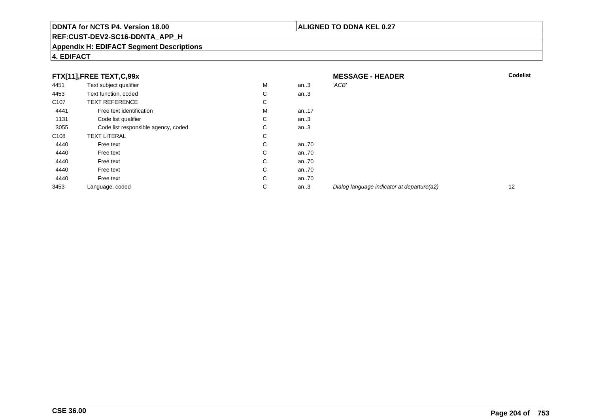#### **ALIGNED TO DDNA KEL 0.27**

# **REF:CUST-DEV2-SC16-DDNTA\_APP\_H**

#### **Appendix H: EDIFACT Segment Descriptions**

| FTX[11],FREE TEXT,C,99x |                                     |             | <b>MESSAGE - HEADER</b> | <b>Codelist</b>                            |    |
|-------------------------|-------------------------------------|-------------|-------------------------|--------------------------------------------|----|
| 4451                    | Text subject qualifier              | M           | an.3                    | 'ACB'                                      |    |
| 4453                    | Text function, coded                | C           | an.3                    |                                            |    |
| C <sub>107</sub>        | <b>TEXT REFERENCE</b>               | C           |                         |                                            |    |
| 4441                    | Free text identification            | M           | an17                    |                                            |    |
| 1131                    | Code list qualifier                 | C           | an.3                    |                                            |    |
| 3055                    | Code list responsible agency, coded | C           | an.3                    |                                            |    |
| C <sub>108</sub>        | <b>TEXT LITERAL</b>                 | $\sim$<br>◡ |                         |                                            |    |
| 4440                    | Free text                           | C           | an70                    |                                            |    |
| 4440                    | Free text                           | C.          | an70                    |                                            |    |
| 4440                    | Free text                           | C           | an70                    |                                            |    |
| 4440                    | Free text                           | C.          | an70                    |                                            |    |
| 4440                    | Free text                           | C           | an70                    |                                            |    |
| 3453                    | Language, coded                     | C           | an.3                    | Dialog language indicator at departure(a2) | 12 |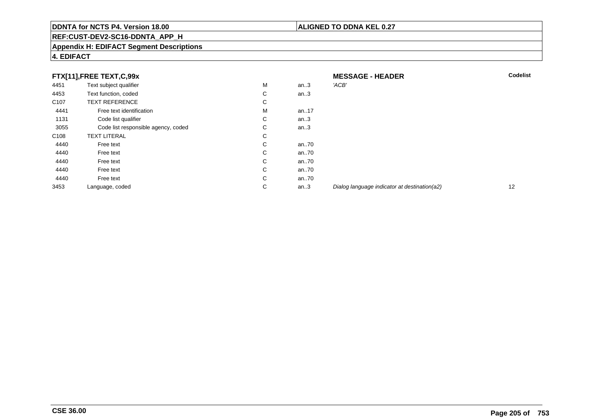#### **ALIGNED TO DDNA KEL 0.27**

# **REF:CUST-DEV2-SC16-DDNTA\_APP\_H**

#### **Appendix H: EDIFACT Segment Descriptions**

| FTX[11],FREE TEXT,C,99x |                                     |   | <b>MESSAGE - HEADER</b> | <b>Codelist</b>                              |    |
|-------------------------|-------------------------------------|---|-------------------------|----------------------------------------------|----|
| 4451                    | Text subject qualifier              | м | an $.3$                 | 'ACB'                                        |    |
| 4453                    | Text function, coded                | C | an $.3$                 |                                              |    |
| C <sub>107</sub>        | <b>TEXT REFERENCE</b>               | C |                         |                                              |    |
| 4441                    | Free text identification            | M | an17                    |                                              |    |
| 1131                    | Code list qualifier                 | C | an.3                    |                                              |    |
| 3055                    | Code list responsible agency, coded | C | an.3                    |                                              |    |
| C <sub>108</sub>        | <b>TEXT LITERAL</b>                 | C |                         |                                              |    |
| 4440                    | Free text                           | C | an70                    |                                              |    |
| 4440                    | Free text                           | C | an70                    |                                              |    |
| 4440                    | Free text                           | C | an70                    |                                              |    |
| 4440                    | Free text                           | C | an70                    |                                              |    |
| 4440                    | Free text                           | C | an70                    |                                              |    |
| 3453                    | Language, coded                     | C | an $.3$                 | Dialog language indicator at destination(a2) | 12 |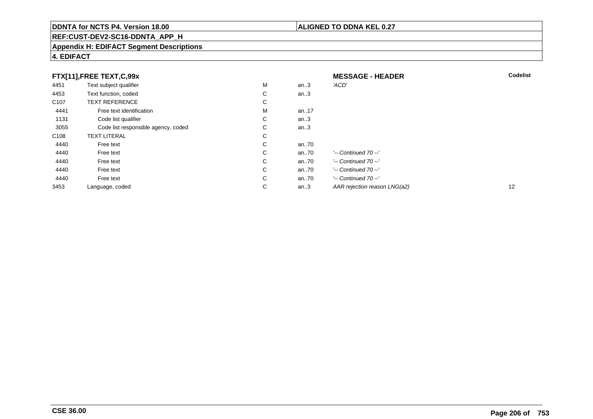# **REF:CUST-DEV2-SC16-DDNTA\_APP\_H**

#### **Appendix H: EDIFACT Segment Descriptions**

| FTX[11],FREE TEXT,C,99x |                                     |        | <b>MESSAGE - HEADER</b> | <b>Codelist</b>              |    |
|-------------------------|-------------------------------------|--------|-------------------------|------------------------------|----|
| 4451                    | Text subject qualifier              | М      | an.3                    | 'ACD'                        |    |
| 4453                    | Text function, coded                | C      | an.3                    |                              |    |
| C <sub>107</sub>        | <b>TEXT REFERENCE</b>               | С      |                         |                              |    |
| 4441                    | Free text identification            | М      | an17                    |                              |    |
| 1131                    | Code list qualifier                 | С      | an.3                    |                              |    |
| 3055                    | Code list responsible agency, coded | С      | an.3                    |                              |    |
| C108                    | <b>TEXT LITERAL</b>                 | С      |                         |                              |    |
| 4440                    | Free text                           | С      | an70                    |                              |    |
| 4440                    | Free text                           | C      | an70                    | $'-$ Continued 70 $-$ '      |    |
| 4440                    | Free text                           | C      | an70                    | $'-$ Continued 70 $-$ '      |    |
| 4440                    | Free text                           | C      | an70                    | $'-$ Continued 70 $-$ '      |    |
| 4440                    | Free text                           | C      | an70                    | $'-$ Continued 70 $-$ '      |    |
| 3453                    | Language, coded                     | ⌒<br>Ü | an.3                    | AAR rejection reason LNG(a2) | 12 |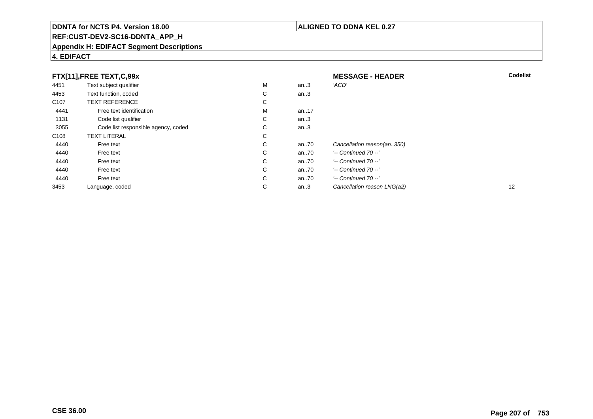# **REF:CUST-DEV2-SC16-DDNTA\_APP\_H**

#### **Appendix H: EDIFACT Segment Descriptions**

| FTX[11],FREE TEXT,C,99x |                                     |              |      | <b>MESSAGE - HEADER</b>     | <b>Codelist</b> |
|-------------------------|-------------------------------------|--------------|------|-----------------------------|-----------------|
| 4451                    | Text subject qualifier              | м            | an.3 | 'ACD'                       |                 |
| 4453                    | Text function, coded                | C            | an.3 |                             |                 |
| C <sub>107</sub>        | <b>TEXT REFERENCE</b>               | C            |      |                             |                 |
| 4441                    | Free text identification            | м            | an17 |                             |                 |
| 1131                    | Code list qualifier                 | C            | an.3 |                             |                 |
| 3055                    | Code list responsible agency, coded | C            | an.3 |                             |                 |
| C <sub>108</sub>        | <b>TEXT LITERAL</b>                 | C            |      |                             |                 |
| 4440                    | Free text                           | C            | an70 | Cancellation reason(an350)  |                 |
| 4440                    | Free text                           | C.           | an70 | $'-$ Continued 70 $-$ '     |                 |
| 4440                    | Free text                           | C            | an70 | $'-$ Continued 70 $-$ '     |                 |
| 4440                    | Free text                           | C            | an70 | $'-$ Continued 70 $-$ '     |                 |
| 4440                    | Free text                           | $\mathsf{C}$ | an70 | $'-$ Continued 70 $-$ '     |                 |
| 3453                    | Language, coded                     | $\mathsf{C}$ | an.3 | Cancellation reason LNG(a2) | 12              |

# **4. EDIFACT**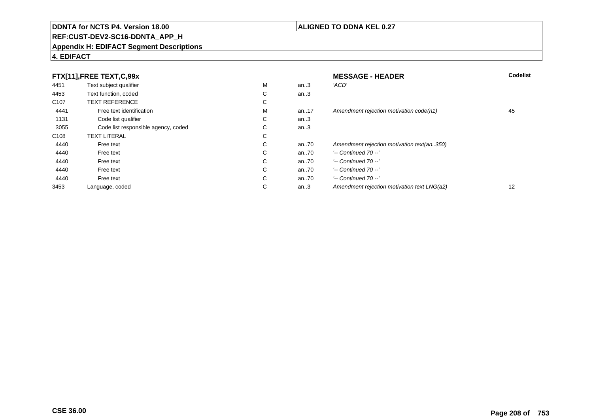# **REF:CUST-DEV2-SC16-DDNTA\_APP\_H**

#### **Appendix H: EDIFACT Segment Descriptions**

## **4. EDIFACT**

| FTX[11],FREE TEXT,C,99x |                                     |             | <b>MESSAGE - HEADER</b> | <b>Codelist</b>                             |    |
|-------------------------|-------------------------------------|-------------|-------------------------|---------------------------------------------|----|
| 4451                    | Text subject qualifier              | М           | an.3                    | 'ACD'                                       |    |
| 4453                    | Text function, coded                | С           | an.3                    |                                             |    |
| C <sub>107</sub>        | <b>TEXT REFERENCE</b>               | $\sim$<br>◡ |                         |                                             |    |
| 4441                    | Free text identification            | М           | an17                    | Amendment rejection motivation code(n1)     | 45 |
| 1131                    | Code list qualifier                 | C           | an.3                    |                                             |    |
| 3055                    | Code list responsible agency, coded | С           | an.3                    |                                             |    |
| C <sub>108</sub>        | <b>TEXT LITERAL</b>                 | С           |                         |                                             |    |
| 4440                    | Free text                           | С           | an70                    | Amendment rejection motivation text(an350)  |    |
| 4440                    | Free text                           | С           | an70                    | $'-$ Continued 70 $-$ '                     |    |
| 4440                    | Free text                           | C           | an70                    | $'-$ Continued 70 $-$ '                     |    |
| 4440                    | Free text                           | С           | an70                    | $'-$ Continued 70 $-$ '                     |    |
| 4440                    | Free text                           | C           | an70                    | $'-$ Continued 70 $-$ '                     |    |
| 3453                    | Language, coded                     | С           | an.3                    | Amendment rejection motivation text LNG(a2) | 12 |

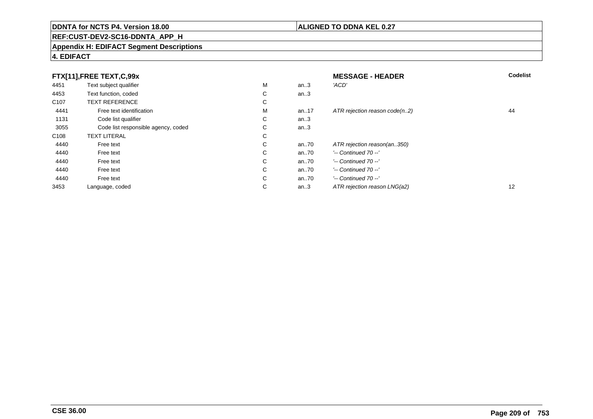# **REF:CUST-DEV2-SC16-DDNTA\_APP\_H**

#### **Appendix H: EDIFACT Segment Descriptions**

| FTX[11],FREE TEXT,C,99x |                                     |             | <b>MESSAGE - HEADER</b> | Codelist                      |                   |
|-------------------------|-------------------------------------|-------------|-------------------------|-------------------------------|-------------------|
| 4451                    | Text subject qualifier              | М           | an.3                    | 'ACD'                         |                   |
| 4453                    | Text function, coded                | ⌒<br>◡      | an.3                    |                               |                   |
| C <sub>107</sub>        | <b>TEXT REFERENCE</b>               | $\sim$<br>Ü |                         |                               |                   |
| 4441                    | Free text identification            | М           | an17                    | ATR rejection reason code(n2) | 44                |
| 1131                    | Code list qualifier                 | С           | an.3                    |                               |                   |
| 3055                    | Code list responsible agency, coded | $\sim$<br>Ü | an.3                    |                               |                   |
| C <sub>108</sub>        | <b>TEXT LITERAL</b>                 | $\sim$<br>◡ |                         |                               |                   |
| 4440                    | Free text                           | $\sim$<br>◡ | an70                    | ATR rejection reason(an350)   |                   |
| 4440                    | Free text                           | С           | an70                    | $'-$ Continued 70 $-$ '       |                   |
| 4440                    | Free text                           | C           | an70                    | $'-$ Continued 70 $-$ '       |                   |
| 4440                    | Free text                           | С           | an70                    | $'-$ Continued 70 $-$ '       |                   |
| 4440                    | Free text                           | С           | an.70                   | $'-$ Continued 70 $-$ '       |                   |
| 3453                    | Language, coded                     | $\sim$<br>◡ | an.3                    | ATR rejection reason LNG(a2)  | $12 \overline{ }$ |

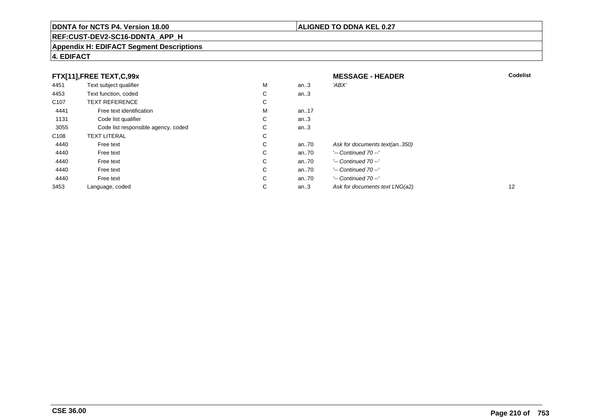# **REF:CUST-DEV2-SC16-DDNTA\_APP\_H**

#### **Appendix H: EDIFACT Segment Descriptions**

## **4. EDIFACT**

| FTX[11],FREE TEXT,C,99x |                                     |   | <b>MESSAGE - HEADER</b> | <b>Codelist</b>                |    |
|-------------------------|-------------------------------------|---|-------------------------|--------------------------------|----|
| 4451                    | Text subject qualifier              | М | an.3                    | 'ABX'                          |    |
| 4453                    | Text function, coded                | С | an.3                    |                                |    |
| C <sub>107</sub>        | <b>TEXT REFERENCE</b>               | С |                         |                                |    |
| 4441                    | Free text identification            | М | an17                    |                                |    |
| 1131                    | Code list qualifier                 | C | an.3                    |                                |    |
| 3055                    | Code list responsible agency, coded | С | an.3                    |                                |    |
| C108                    | <b>TEXT LITERAL</b>                 | С |                         |                                |    |
| 4440                    | Free text                           | С | an70                    | Ask for documents text(an350)  |    |
| 4440                    | Free text                           | С | an70                    | $'-$ Continued 70 $-$ '        |    |
| 4440                    | Free text                           | С | an70                    | $'-$ Continued 70 $-$ '        |    |
| 4440                    | Free text                           | C | an70                    | $'-$ Continued 70 $-$ '        |    |
| 4440                    | Free text                           | С | an70                    | $'-$ Continued 70 $-$ '        |    |
| 3453                    | Language, coded                     | С | an.3                    | Ask for documents text LNG(a2) | 12 |

**CSE 36.00**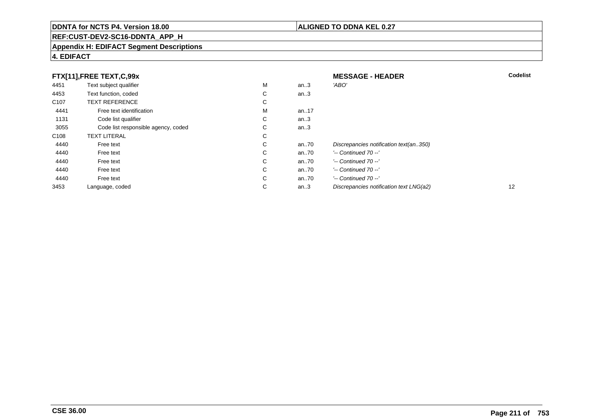# **REF:CUST-DEV2-SC16-DDNTA\_APP\_H**

#### **Appendix H: EDIFACT Segment Descriptions**

## **4. EDIFACT**

| FTX[11],FREE TEXT,C,99x |                                     |             | <b>MESSAGE - HEADER</b> | <b>Codelist</b>                         |    |
|-------------------------|-------------------------------------|-------------|-------------------------|-----------------------------------------|----|
| 4451                    | Text subject qualifier              | M           | an.3                    | 'ABO'                                   |    |
| 4453                    | Text function, coded                | $\sim$<br>◡ | an.3                    |                                         |    |
| C <sub>107</sub>        | <b>TEXT REFERENCE</b>               | $\sim$<br>◡ |                         |                                         |    |
| 4441                    | Free text identification            | М           | an17                    |                                         |    |
| 1131                    | Code list qualifier                 | С           | an.3                    |                                         |    |
| 3055                    | Code list responsible agency, coded | С           | an.3                    |                                         |    |
| C <sub>108</sub>        | <b>TEXT LITERAL</b>                 | С           |                         |                                         |    |
| 4440                    | Free text                           | $\sim$<br>Ü | an70                    | Discrepancies notification text(an350)  |    |
| 4440                    | Free text                           | С           | an70                    | $'-$ Continued 70 $-$ '                 |    |
| 4440                    | Free text                           | С           | an70                    | $'-$ Continued 70 $-$ '                 |    |
| 4440                    | Free text                           | С           | an70                    | '-- Continued 70 --'                    |    |
| 4440                    | Free text                           | С           | an70                    | $'-$ Continued 70 $-$ '                 |    |
| 3453                    | Language, coded                     | $\sim$<br>◡ | an.3                    | Discrepancies notification text LNG(a2) | 12 |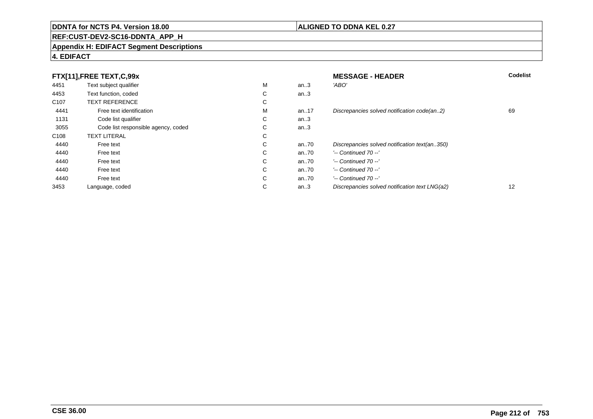# **REF:CUST-DEV2-SC16-DDNTA\_APP\_H**

#### **Appendix H: EDIFACT Segment Descriptions**

| FTX[11],FREE TEXT,C,99x |                                     |             | <b>MESSAGE - HEADER</b> | <b>Codelist</b>                                |    |
|-------------------------|-------------------------------------|-------------|-------------------------|------------------------------------------------|----|
| 4451                    | Text subject qualifier              | М           | an.3                    | 'ABO'                                          |    |
| 4453                    | Text function, coded                | С           | an.3                    |                                                |    |
| C <sub>107</sub>        | <b>TEXT REFERENCE</b>               | $\sim$<br>◡ |                         |                                                |    |
| 4441                    | Free text identification            | м           | an17                    | Discrepancies solved notification code(an2)    | 69 |
| 1131                    | Code list qualifier                 | C           | an.3                    |                                                |    |
| 3055                    | Code list responsible agency, coded | С           | an.3                    |                                                |    |
| C <sub>108</sub>        | <b>TEXT LITERAL</b>                 | С           |                         |                                                |    |
| 4440                    | Free text                           | ⌒<br>Ü      | an70                    | Discrepancies solved notification text(an350)  |    |
| 4440                    | Free text                           | С           | an70                    | $'-$ Continued 70 $-$ '                        |    |
| 4440                    | Free text                           | C           | an70                    | $'-$ Continued 70 $-$ '                        |    |
| 4440                    | Free text                           | С           | an70                    | $'-$ Continued 70 $-$ '                        |    |
| 4440                    | Free text                           | C           | an70                    | $'-$ Continued 70 $-$ '                        |    |
| 3453                    | Language, coded                     | С           | an.3                    | Discrepancies solved notification text LNG(a2) | 12 |

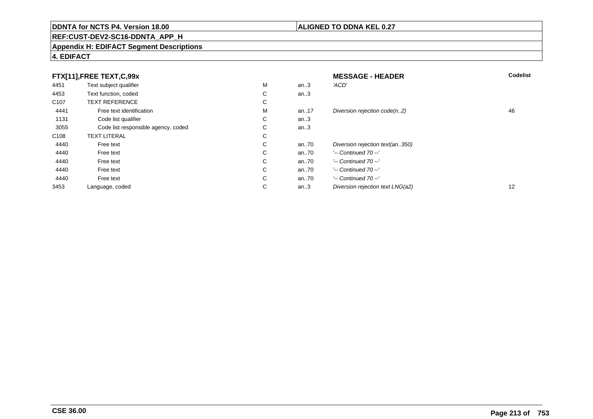# **REF:CUST-DEV2-SC16-DDNTA\_APP\_H**

#### **Appendix H: EDIFACT Segment Descriptions**

## **4. EDIFACT**

| FTX[11],FREE TEXT,C,99x |                                     |             | <b>MESSAGE - HEADER</b> | Codelist                         |    |
|-------------------------|-------------------------------------|-------------|-------------------------|----------------------------------|----|
| 4451                    | Text subject qualifier              | М           | an.3                    | 'ACD'                            |    |
| 4453                    | Text function, coded                | ⌒<br>◡      | an.3                    |                                  |    |
| C <sub>107</sub>        | <b>TEXT REFERENCE</b>               | $\sim$<br>Ü |                         |                                  |    |
| 4441                    | Free text identification            | М           | an17                    | Diversion rejection code(n2)     | 46 |
| 1131                    | Code list qualifier                 | С           | an.3                    |                                  |    |
| 3055                    | Code list responsible agency, coded | $\sim$<br>Ü | an.3                    |                                  |    |
| C <sub>108</sub>        | <b>TEXT LITERAL</b>                 | $\sim$<br>◡ |                         |                                  |    |
| 4440                    | Free text                           | $\sim$<br>◡ | an70                    | Diversion rejection text(an350)  |    |
| 4440                    | Free text                           | С           | an70                    | $'-$ Continued 70 $-$ '          |    |
| 4440                    | Free text                           | C           | an70                    | $'-$ Continued 70 $-$ '          |    |
| 4440                    | Free text                           | С           | an70                    | $'-$ Continued 70 $-$ '          |    |
| 4440                    | Free text                           | $\sim$<br>Ü | an.70                   | $'-$ Continued 70 $-$ '          |    |
| 3453                    | Language, coded                     | $\sim$<br>◡ | an.3                    | Diversion rejection text LNG(a2) | 12 |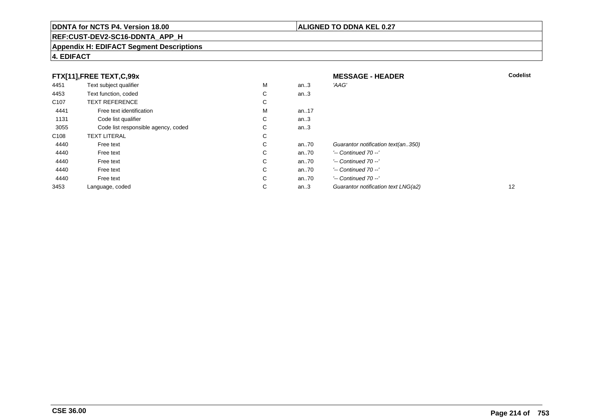# **REF:CUST-DEV2-SC16-DDNTA\_APP\_H**

#### **Appendix H: EDIFACT Segment Descriptions**

## **4. EDIFACT**

| FTX[11],FREE TEXT,C,99x |                                     |   | <b>MESSAGE - HEADER</b> | <b>Codelist</b>                     |    |
|-------------------------|-------------------------------------|---|-------------------------|-------------------------------------|----|
| 4451                    | Text subject qualifier              | M | an.3                    | 'AAG'                               |    |
| 4453                    | Text function, coded                | С | an.3                    |                                     |    |
| C <sub>107</sub>        | <b>TEXT REFERENCE</b>               | С |                         |                                     |    |
| 4441                    | Free text identification            | M | an17                    |                                     |    |
| 1131                    | Code list qualifier                 | С | an $3$                  |                                     |    |
| 3055                    | Code list responsible agency, coded | C | an.3                    |                                     |    |
| C <sub>108</sub>        | <b>TEXT LITERAL</b>                 | С |                         |                                     |    |
| 4440                    | Free text                           | C | an70                    | Guarantor notification text(an350)  |    |
| 4440                    | Free text                           | C | an70                    | $'-$ Continued 70 $-$ '             |    |
| 4440                    | Free text                           | C | an70                    | $'-$ Continued 70 $-$ '             |    |
| 4440                    | Free text                           | C | an70                    | $'-$ Continued 70 $-$ '             |    |
| 4440                    | Free text                           | C | an70                    | $'-$ Continued 70 $-$ '             |    |
| 3453                    | Language, coded                     | С | an.3                    | Guarantor notification text LNG(a2) | 12 |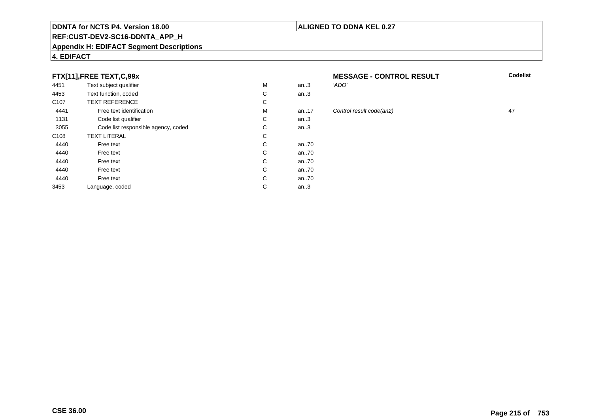#### **REF:CUST-DEV2-SC16-DDNTA\_APP\_H**

#### **Appendix H: EDIFACT Segment Descriptions**

#### **4. EDIFACT**

#### **FTX[11],FREE TEXT,C,99x**

| 4451             | Text subject qualifier              | M | an.3 | 'ADO' |
|------------------|-------------------------------------|---|------|-------|
| 4453             | Text function, coded                | C | an.3 |       |
| C <sub>107</sub> | <b>TEXT REFERENCE</b>               | C |      |       |
| 4441             | Free text identification            | M | an17 | Contr |
| 1131             | Code list qualifier                 | С | an.3 |       |
| 3055             | Code list responsible agency, coded | С | an.3 |       |
| C <sub>108</sub> | <b>TEXT LITERAL</b>                 | С |      |       |
| 4440             | Free text                           | С | an70 |       |
| 4440             | Free text                           | С | an70 |       |
| 4440             | Free text                           | C | an70 |       |
| 4440             | Free text                           | С | an70 |       |
| 4440             | Free text                           | C | an70 |       |
| 3453             | Language, coded                     | С | an.3 |       |
|                  |                                     |   |      |       |

#### **MESSAGE - CONTROL RESULT**<br>3 *ADO'* **Codelist**

# 17 Control result code(an2) 47<br>3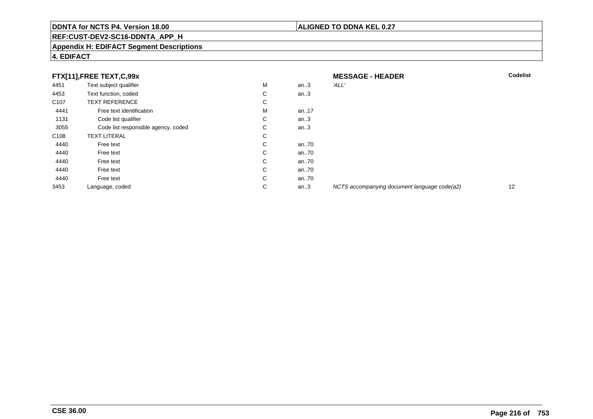#### **ALIGNED TO DDNA KEL 0.27**

# **REF:CUST-DEV2-SC16-DDNTA\_APP\_H**

#### **Appendix H: EDIFACT Segment Descriptions**

| FTX[11],FREE TEXT,C,99x |                                     |             | <b>MESSAGE - HEADER</b> | <b>Codelist</b>                              |    |
|-------------------------|-------------------------------------|-------------|-------------------------|----------------------------------------------|----|
| 4451                    | Text subject qualifier              | M           | an $3$                  | 'ALL'                                        |    |
| 4453                    | Text function, coded                | $\sim$<br>Ü | an.3                    |                                              |    |
| C <sub>107</sub>        | <b>TEXT REFERENCE</b>               | С           |                         |                                              |    |
| 4441                    | Free text identification            | М           | an17                    |                                              |    |
| 1131                    | Code list qualifier                 | С           | an $3$                  |                                              |    |
| 3055                    | Code list responsible agency, coded | C           | an $3$                  |                                              |    |
| C <sub>108</sub>        | <b>TEXT LITERAL</b>                 | $\sim$<br>Ü |                         |                                              |    |
| 4440                    | Free text                           | С           | an70                    |                                              |    |
| 4440                    | Free text                           | C           | an70                    |                                              |    |
| 4440                    | Free text                           | С           | an70                    |                                              |    |
| 4440                    | Free text                           | C           | an70                    |                                              |    |
| 4440                    | Free text                           | C           | an70                    |                                              |    |
| 3453                    | Language, coded                     | С           | an $3$                  | NCTS accompanying document language code(a2) | 12 |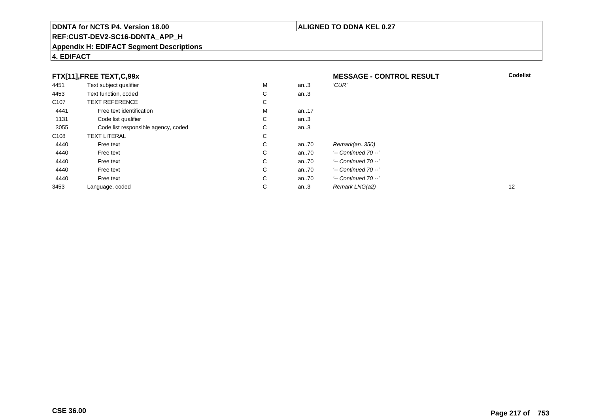# **REF:CUST-DEV2-SC16-DDNTA\_APP\_H**

#### **Appendix H: EDIFACT Segment Descriptions**

# **4. EDIFACT**

| FTX[11],FREE TEXT,C,99x |                                     | <b>MESSAGE - CONTROL RESULT</b> | <b>Codelist</b> |                         |    |
|-------------------------|-------------------------------------|---------------------------------|-----------------|-------------------------|----|
| 4451                    | Text subject qualifier              | M                               | an.3            | 'CUR'                   |    |
| 4453                    | Text function, coded                | С                               | an.3            |                         |    |
| C <sub>107</sub>        | <b>TEXT REFERENCE</b>               | С                               |                 |                         |    |
| 4441                    | Free text identification            | М                               | an17            |                         |    |
| 1131                    | Code list qualifier                 | С                               | an.3            |                         |    |
| 3055                    | Code list responsible agency, coded | С                               | an.3            |                         |    |
| C <sub>108</sub>        | <b>TEXT LITERAL</b>                 | С                               |                 |                         |    |
| 4440                    | Free text                           | С                               | an $.70$        | Remark(an350)           |    |
| 4440                    | Free text                           | C                               | an $.70$        | $'-$ Continued 70 $-$ ' |    |
| 4440                    | Free text                           | С                               | an70            | $'-$ Continued 70 $-$ ' |    |
| 4440                    | Free text                           | С                               | an70            | $'-$ Continued 70 $-$ ' |    |
| 4440                    | Free text                           | С                               | an.70           | $'-$ Continued 70 $-$ ' |    |
| 3453                    | Language, coded                     | $\sim$<br>◡                     | an.3            | Remark LNG(a2)          | 12 |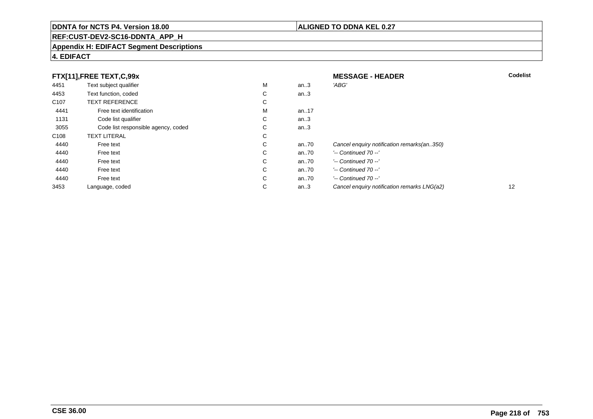# **REF:CUST-DEV2-SC16-DDNTA\_APP\_H**

#### **Appendix H: EDIFACT Segment Descriptions**

# **4. EDIFACT**

| FTX[11],FREE TEXT,C,99x |                                     |   | <b>MESSAGE - HEADER</b> | <b>Codelist</b>                             |    |
|-------------------------|-------------------------------------|---|-------------------------|---------------------------------------------|----|
| 4451                    | Text subject qualifier              | М | an.3                    | 'ABG'                                       |    |
| 4453                    | Text function, coded                | С | an.3                    |                                             |    |
| C <sub>107</sub>        | <b>TEXT REFERENCE</b>               | С |                         |                                             |    |
| 4441                    | Free text identification            | М | an17                    |                                             |    |
| 1131                    | Code list qualifier                 | C | an.3                    |                                             |    |
| 3055                    | Code list responsible agency, coded | С | an.3                    |                                             |    |
| C <sub>108</sub>        | <b>TEXT LITERAL</b>                 | С |                         |                                             |    |
| 4440                    | Free text                           | С | an70                    | Cancel enquiry notification remarks(an350)  |    |
| 4440                    | Free text                           | С | an70                    | $'-$ Continued 70 $-$ '                     |    |
| 4440                    | Free text                           | C | an70                    | $'-$ Continued 70 $-$ '                     |    |
| 4440                    | Free text                           | С | an70                    | $'-$ Continued 70 $-$ '                     |    |
| 4440                    | Free text                           | С | an70                    | $'-$ Continued 70 $-$ '                     |    |
| 3453                    | Language, coded                     | С | an.3                    | Cancel enguiry notification remarks LNG(a2) | 12 |

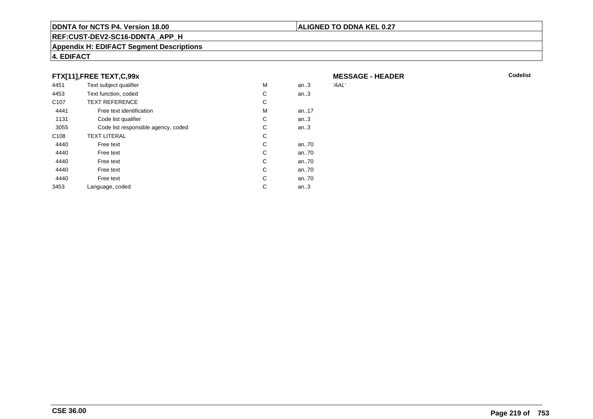### **REF:CUST-DEV2-SC16-DDNTA\_APP\_H**

#### **Appendix H: EDIFACT Segment Descriptions**

# **4. EDIFACT**

## **FTX[11],FREE TEXT,C,99x**

| 4451             | Text subject qualifier              | М | an.3 | 'AAL' |
|------------------|-------------------------------------|---|------|-------|
| 4453             | Text function, coded                | C | an.3 |       |
| C <sub>107</sub> | <b>TEXT REFERENCE</b>               | C |      |       |
| 4441             | Free text identification            | M | an17 |       |
| 1131             | Code list qualifier                 | С | an.3 |       |
| 3055             | Code list responsible agency, coded | C | an.3 |       |
| C <sub>108</sub> | <b>TEXT LITERAL</b>                 | С |      |       |
| 4440             | Free text                           | C | an70 |       |
| 4440             | Free text                           | C | an70 |       |
| 4440             | Free text                           | C | an70 |       |
| 4440             | Free text                           | C | an70 |       |
| 4440             | Free text                           | C | an70 |       |
| 3453             | Language, coded                     | С | an.3 |       |
|                  |                                     |   |      |       |

**MESSAGE - HEADER**

**ALIGNED TO DDNA KEL 0.27**

**R** Codelist

**CSE 36.00**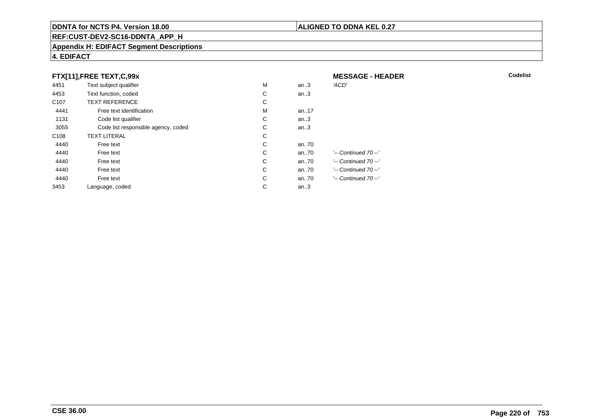# **REF:CUST-DEV2-SC16-DDNTA\_APP\_H**

#### **Appendix H: EDIFACT Segment Descriptions**

|                  | FTX[11], FREE TEXT, C, 99x          |   |      | <b>MESSAGE - HEADER</b> |
|------------------|-------------------------------------|---|------|-------------------------|
| 4451             | Text subject qualifier              | M | an.3 | 'ACD'                   |
| 4453             | Text function, coded                | C | an.3 |                         |
| C <sub>107</sub> | <b>TEXT REFERENCE</b>               | C |      |                         |
| 4441             | Free text identification            | M | an17 |                         |
| 1131             | Code list qualifier                 | C | an.3 |                         |
| 3055             | Code list responsible agency, coded | С | an.3 |                         |
| C <sub>108</sub> | <b>TEXT LITERAL</b>                 | C |      |                         |
| 4440             | Free text                           | C | an70 |                         |
| 4440             | Free text                           | C | an70 | $'-$ Continued 70 $-$ ' |
| 4440             | Free text                           | C | an70 | '-- Continued 70 --'    |
| 4440             | Free text                           | С | an70 | '-- Continued 70 --'    |
| 4440             | Free text                           | C | an70 | '-- Continued 70 --'    |
| 3453             | Language, coded                     | С | an.3 |                         |

**4. EDIFACT**

**ALIGNED TO DDNA KEL 0.27**

**R** Codelist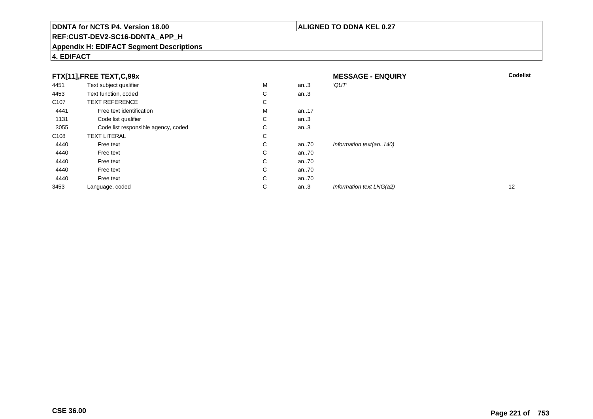# **REF:CUST-DEV2-SC16-DDNTA\_APP\_H**

#### **Appendix H: EDIFACT Segment Descriptions**

# **4. EDIFACT**

| FTX[11],FREE TEXT,C,99x |                                     | <b>MESSAGE - ENQUIRY</b> | <b>Codelist</b> |                          |    |
|-------------------------|-------------------------------------|--------------------------|-----------------|--------------------------|----|
| 4451                    | Text subject qualifier              | M                        | an.3            | 'QUT'                    |    |
| 4453                    | Text function, coded                | С                        | an.3            |                          |    |
| C <sub>107</sub>        | <b>TEXT REFERENCE</b>               | С                        |                 |                          |    |
| 4441                    | Free text identification            | M                        | an17            |                          |    |
| 1131                    | Code list qualifier                 | С                        | an.3            |                          |    |
| 3055                    | Code list responsible agency, coded | С                        | an.3            |                          |    |
| C <sub>108</sub>        | <b>TEXT LITERAL</b>                 | С                        |                 |                          |    |
| 4440                    | Free text                           | С                        | an70            | Information text(an140)  |    |
| 4440                    | Free text                           | C                        | an70            |                          |    |
| 4440                    | Free text                           | С                        | an70            |                          |    |
| 4440                    | Free text                           | C                        | an70            |                          |    |
| 4440                    | Free text                           | С                        | an70            |                          |    |
| 3453                    | Language, coded                     | С                        | an.3            | Information text LNG(a2) | 12 |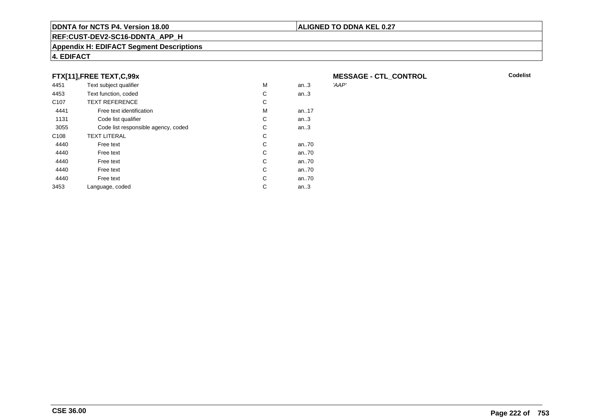### **REF:CUST-DEV2-SC16-DDNTA\_APP\_H**

#### **Appendix H: EDIFACT Segment Descriptions**

# **4. EDIFACT**

## **FTX[11],FREE TEXT,C,99x**

| 4451             | Text subject qualifier              | М | an.3     | 'AAP' |
|------------------|-------------------------------------|---|----------|-------|
| 4453             | Text function, coded                | C | an.3     |       |
| C <sub>107</sub> | <b>TEXT REFERENCE</b>               | С |          |       |
| 4441             | Free text identification            | М | an17     |       |
| 1131             | Code list qualifier                 | C | an.3     |       |
| 3055             | Code list responsible agency, coded | С | an.3     |       |
| C <sub>108</sub> | <b>TEXT LITERAL</b>                 | С |          |       |
| 4440             | Free text                           | C | an70     |       |
| 4440             | Free text                           | C | an70     |       |
| 4440             | Free text                           | С | an $.70$ |       |
| 4440             | Free text                           | С | an70     |       |
| 4440             | Free text                           | С | an70     |       |
| 3453             | Language, coded                     | С | an.3     |       |
|                  |                                     |   |          |       |

**MESSAGE - CTL\_CONTROL**<br>'AAP'

**Codelist**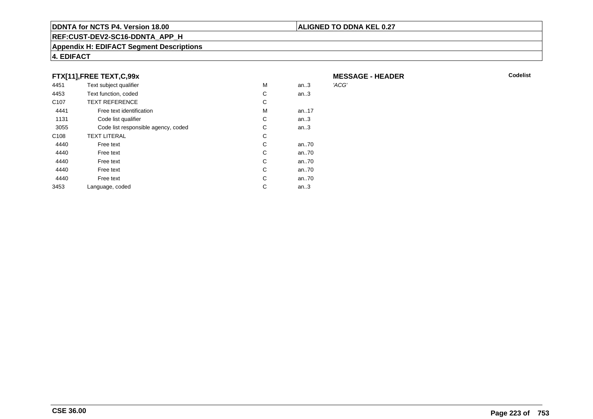### **REF:CUST-DEV2-SC16-DDNTA\_APP\_H**

#### **Appendix H: EDIFACT Segment Descriptions**

# **4. EDIFACT**

## **FTX[11],FREE TEXT,C,99x**

| 4451             | Text subject qualifier              | M | an.3 | 'ACG' |
|------------------|-------------------------------------|---|------|-------|
| 4453             | Text function, coded                | С | an.3 |       |
| C <sub>107</sub> | <b>TEXT REFERENCE</b>               | С |      |       |
| 4441             | Free text identification            | M | an17 |       |
| 1131             | Code list qualifier                 | С | an.3 |       |
| 3055             | Code list responsible agency, coded | С | an.3 |       |
| C <sub>108</sub> | <b>TEXT LITERAL</b>                 | С |      |       |
| 4440             | Free text                           | С | an70 |       |
| 4440             | Free text                           | С | an70 |       |
| 4440             | Free text                           | C | an70 |       |
| 4440             | Free text                           | С | an70 |       |
| 4440             | Free text                           | C | an70 |       |
| 3453             | Language, coded                     | С | an.3 |       |
|                  |                                     |   |      |       |

# **MESSAGE - HEADER**

**R** Codelist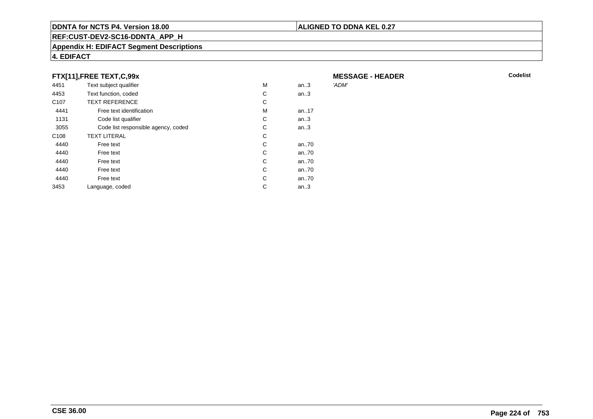### **REF:CUST-DEV2-SC16-DDNTA\_APP\_H**

#### **Appendix H: EDIFACT Segment Descriptions**

# **4. EDIFACT**

## **FTX[11],FREE TEXT,C,99x**

| 4451             | Text subject qualifier              | M | an.3     | 'ADM' |
|------------------|-------------------------------------|---|----------|-------|
| 4453             | Text function, coded                | С | an.3     |       |
| C <sub>107</sub> | <b>TEXT REFERENCE</b>               | С |          |       |
| 4441             | Free text identification            | М | an. $17$ |       |
| 1131             | Code list qualifier                 | С | an.3     |       |
| 3055             | Code list responsible agency, coded | С | an.3     |       |
| C <sub>108</sub> | <b>TEXT LITERAL</b>                 | С |          |       |
| 4440             | Free text                           | C | an70     |       |
| 4440             | Free text                           | C | an70     |       |
| 4440             | Free text                           | C | an70     |       |
| 4440             | Free text                           | C | an70     |       |
| 4440             | Free text                           | C | an70     |       |
| 3453             | Language, coded                     | С | an.3     |       |
|                  |                                     |   |          |       |

**MESSAGE - HEADER**

**ALIGNED TO DDNA KEL 0.27**

**R** Codelist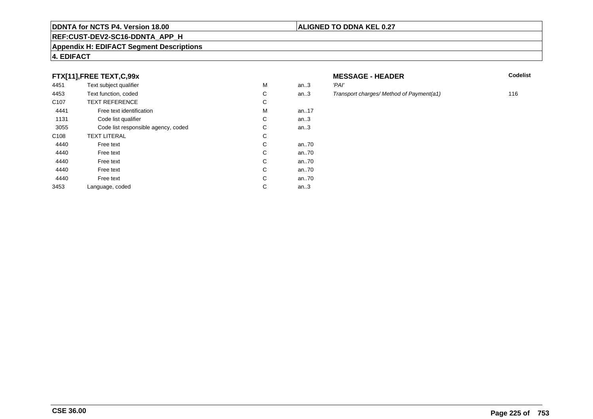### **REF:CUST-DEV2-SC16-DDNTA\_APP\_H**

#### **Appendix H: EDIFACT Segment Descriptions**

# **4. EDIFACT**

## **FTX[11],FREE TEXT,C,99x**

| 4451             | Text subject qualifier              | M | an.3    | 'PAI' |
|------------------|-------------------------------------|---|---------|-------|
| 4453             | Text function, coded                | C | an.3    | Tran  |
| C <sub>107</sub> | <b>TEXT REFERENCE</b>               | С |         |       |
| 4441             | Free text identification            | M | an17    |       |
| 1131             | Code list qualifier                 | C | an.3    |       |
| 3055             | Code list responsible agency, coded | С | an.3    |       |
| C <sub>108</sub> | <b>TEXT LITERAL</b>                 | C |         |       |
| 4440             | Free text                           | C | an70    |       |
| 4440             | Free text                           | C | an70    |       |
| 4440             | Free text                           | C | an70    |       |
| 4440             | Free text                           | C | an70    |       |
| 4440             | Free text                           | C | an70    |       |
| 3453             | Language, coded                     | С | an $.3$ |       |
|                  |                                     |   |         |       |

# **MESSAGE - HEADER**

**R** Codelist

Transport charges/ Method of Payment(a1) 116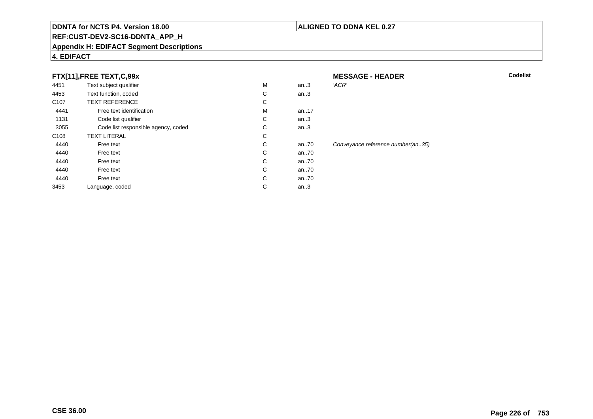# **REF:CUST-DEV2-SC16-DDNTA\_APP\_H**

#### **Appendix H: EDIFACT Segment Descriptions**

### **4. EDIFACT**

# **FTX[11],FREE TEXT,C,99x**

|                  | FTX[11], FREE TEXT, C, 99x          |   |       | <b>MESSAGE - HEADER</b>           |
|------------------|-------------------------------------|---|-------|-----------------------------------|
| 4451             | Text subject qualifier              | M | an.3  | 'ACR'                             |
| 4453             | Text function, coded                | С | an.3  |                                   |
| C <sub>107</sub> | <b>TEXT REFERENCE</b>               | С |       |                                   |
| 4441             | Free text identification            | M | an.17 |                                   |
| 1131             | Code list qualifier                 | С | an.3  |                                   |
| 3055             | Code list responsible agency, coded | С | an.3  |                                   |
| C <sub>108</sub> | <b>TEXT LITERAL</b>                 | С |       |                                   |
| 4440             | Free text                           | С | an70  | Conveyance reference number(an35) |
| 4440             | Free text                           | С | an70  |                                   |
| 4440             | Free text                           | С | an70  |                                   |
| 4440             | Free text                           | С | an70  |                                   |
| 4440             | Free text                           | С | an70  |                                   |
| 3453             | Language, coded                     | С | an.3  |                                   |
|                  |                                     |   |       |                                   |

#### **ALIGNED TO DDNA KEL 0.27**

**R** Codelist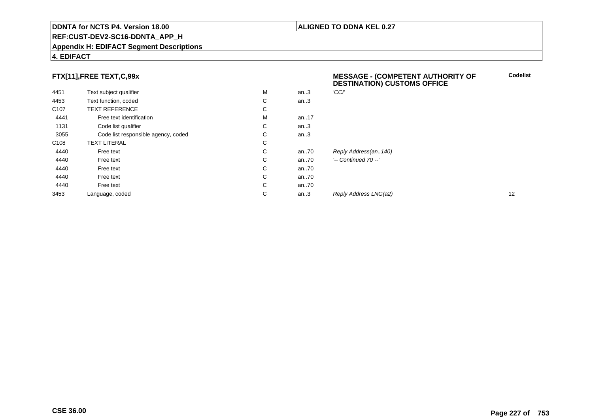#### **REF:CUST-DEV2-SC16-DDNTA\_APP\_H**

#### **Appendix H: EDIFACT Segment Descriptions**

#### **4. EDIFACT**

# **FTX[11],FREE TEXT,C,99x**

|                  | FTX[11],FREE TEXT,C,99x             |   |          | <b>MESSAGE - (COMPETENT AUTHORITY OF</b><br><b>DESTINATION) CUSTOMS OFFICE</b> | <b>C</b> |
|------------------|-------------------------------------|---|----------|--------------------------------------------------------------------------------|----------|
| 4451             | Text subject qualifier              | M | an.3     | 'CCI'                                                                          |          |
| 4453             | Text function, coded                | С | an.3     |                                                                                |          |
| C <sub>107</sub> | <b>TEXT REFERENCE</b>               | С |          |                                                                                |          |
| 4441             | Free text identification            | M | an17     |                                                                                |          |
| 1131             | Code list qualifier                 | С | an.3     |                                                                                |          |
| 3055             | Code list responsible agency, coded | С | an.3     |                                                                                |          |
| C <sub>108</sub> | TEXT LITERAL                        | С |          |                                                                                |          |
| 4440             | Free text                           | С | an70     | Reply Address(an140)                                                           |          |
| 4440             | Free text                           | С | an70     | $'-$ Continued 70 $-$ '                                                        |          |
| 4440             | Free text                           | С | an70     |                                                                                |          |
| 4440             | Free text                           | С | an $.70$ |                                                                                |          |
| 4440             | Free text                           | С | an $.70$ |                                                                                |          |
| 3453             | Language, coded                     | С | an.3     | Reply Address LNG(a2)                                                          | 12       |

**ALIGNED TO DDNA KEL 0.27**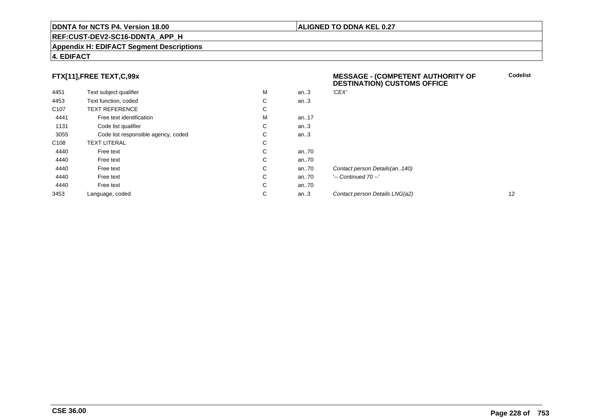#### **REF:CUST-DEV2-SC16-DDNTA\_APP\_H**

#### **Appendix H: EDIFACT Segment Descriptions**

#### **4. EDIFACT**

# **FTX[11],FREE TEXT,C,99x**

| 4451             | Text subject qualifier              | M | an.3 | 'CEX'   |
|------------------|-------------------------------------|---|------|---------|
| 4453             | Text function, coded                | С | an.3 |         |
| C <sub>107</sub> | <b>TEXT REFERENCE</b>               | С |      |         |
| 4441             | Free text identification            | M | an17 |         |
| 1131             | Code list qualifier                 | С | an.3 |         |
| 3055             | Code list responsible agency, coded | С | an.3 |         |
| C <sub>108</sub> | <b>TEXT LITERAL</b>                 | С |      |         |
| 4440             | Free text                           | C | an70 |         |
| 4440             | Free text                           | С | an70 |         |
| 4440             | Free text                           | C | an70 | Contac  |
| 4440             | Free text                           | С | an70 | '-- Con |
| 4440             | Free text                           | С | an70 |         |
| 3453             | Language, coded                     | С | an.3 | Contac  |

#### **MESSAGE - (COMPETENT AUTHORITY OFDESTINATION) CUSTOMS OFFICE**

**ALIGNED TO DDNA KEL 0.27**

**Codelist**

ct person Details(an..140) ntinued 70 --' an...<br>2 Contact person Details LNG(a2) 12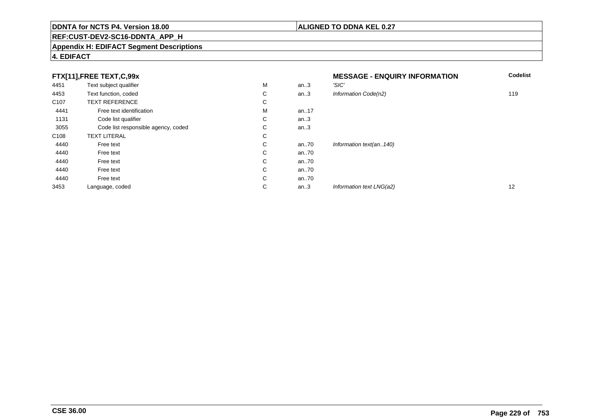# **REF:CUST-DEV2-SC16-DDNTA\_APP\_H**

#### **Appendix H: EDIFACT Segment Descriptions**

# **4. EDIFACT**

| FTX[11], FREE TEXT, C, 99x |                                     |             | <b>MESSAGE - ENQUIRY INFORMATION</b> | <b>Codelist</b>          |     |
|----------------------------|-------------------------------------|-------------|--------------------------------------|--------------------------|-----|
| 4451                       | Text subject qualifier              | M           | an.3                                 | 'SIC'                    |     |
| 4453                       | Text function, coded                | С           | an.3                                 | Information Code(n2)     | 119 |
| C <sub>107</sub>           | <b>TEXT REFERENCE</b>               | С           |                                      |                          |     |
| 4441                       | Free text identification            | М           | an17                                 |                          |     |
| 1131                       | Code list qualifier                 | ⌒<br>◡      | an $.3$                              |                          |     |
| 3055                       | Code list responsible agency, coded | С           | an.3                                 |                          |     |
| C <sub>108</sub>           | <b>TEXT LITERAL</b>                 | С           |                                      |                          |     |
| 4440                       | Free text                           | С           | an70                                 | Information text(an140)  |     |
| 4440                       | Free text                           | $\sim$<br>Ü | an70                                 |                          |     |
| 4440                       | Free text                           | С           | an70                                 |                          |     |
| 4440                       | Free text                           | C           | an70                                 |                          |     |
| 4440                       | Free text                           | C           | an70                                 |                          |     |
| 3453                       | Language, coded                     | ⌒<br>◡      | an.3                                 | Information text LNG(a2) | 12  |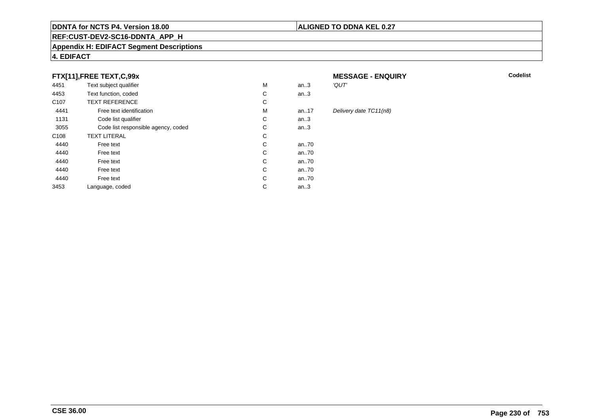### **REF:CUST-DEV2-SC16-DDNTA\_APP\_H**

#### **Appendix H: EDIFACT Segment Descriptions**

# **4. EDIFACT**

# **FTX[11],FREE TEXT,C,99x**

| 4451             | Text subject qualifier              | M | an.3  | 'QUT'  |
|------------------|-------------------------------------|---|-------|--------|
| 4453             | Text function, coded                | С | an.3  |        |
| C <sub>107</sub> | <b>TEXT REFERENCE</b>               | С |       |        |
| 4441             | Free text identification            | M | an.17 | Delive |
| 1131             | Code list qualifier                 | С | an.3  |        |
| 3055             | Code list responsible agency, coded | С | an.3  |        |
| C <sub>108</sub> | <b>TEXT LITERAL</b>                 | C |       |        |
| 4440             | Free text                           | С | an70  |        |
| 4440             | Free text                           | С | an70  |        |
| 4440             | Free text                           | С | an70  |        |
| 4440             | Free text                           | C | an70  |        |
| 4440             | Free text                           | C | an70  |        |
| 3453             | Language, coded                     | С | an.3  |        |
|                  |                                     |   |       |        |

# **MESSAGE - ENQUIRY**

**Latter School** School Codelist

#### elivery date TC11(n8)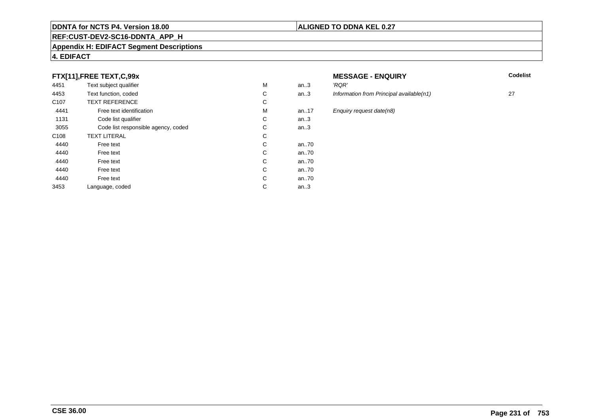#### **REF:CUST-DEV2-SC16-DDNTA\_APP\_H**

#### **Appendix H: EDIFACT Segment Descriptions**

#### **4. EDIFACT**

# **FTX[11],FREE TEXT,C,99x**

| 4451             | Text subject qualifier              | M | an.3 | 'RQR'         |
|------------------|-------------------------------------|---|------|---------------|
| 4453             | Text function, coded                | С | an.3 | <b>Inform</b> |
| C <sub>107</sub> | <b>TEXT REFERENCE</b>               | С |      |               |
| 4441             | Free text identification            | М | an17 | Enqui         |
| 1131             | Code list qualifier                 | С | an.3 |               |
| 3055             | Code list responsible agency, coded | С | an.3 |               |
| C <sub>108</sub> | <b>TEXT LITERAL</b>                 | С |      |               |
| 4440             | Free text                           | C | an70 |               |
| 4440             | Free text                           | C | an70 |               |
| 4440             | Free text                           | C | an70 |               |
| 4440             | Free text                           | C | an70 |               |
| 4440             | Free text                           | C | an70 |               |
| 3453             | Language, coded                     | С | an.3 |               |
|                  |                                     |   |      |               |

# **MESSAGE - ENQUIRY**<br>3 RQR'

**Latter School** School Codelist

an.3 Information from Principal available(n1) 27 an.17 Enquiry request date(n8)<br>.3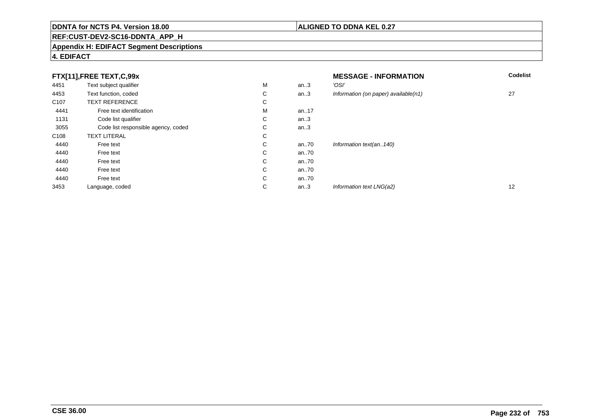# **REF:CUST-DEV2-SC16-DDNTA\_APP\_H**

#### **Appendix H: EDIFACT Segment Descriptions**

# **4. EDIFACT**

| FTX[11],FREE TEXT,C,99x |                                     |             | <b>MESSAGE - INFORMATION</b> | <b>Codelist</b>                      |                   |
|-------------------------|-------------------------------------|-------------|------------------------------|--------------------------------------|-------------------|
| 4451                    | Text subject qualifier              | М           | an.3                         | 'OSI'                                |                   |
| 4453                    | Text function, coded                | С           | an.3                         | Information (on paper) available(n1) | 27                |
| C <sub>107</sub>        | <b>TEXT REFERENCE</b>               | С           |                              |                                      |                   |
| 4441                    | Free text identification            | M           | an17                         |                                      |                   |
| 1131                    | Code list qualifier                 | $\sim$<br>◡ | an.3                         |                                      |                   |
| 3055                    | Code list responsible agency, coded | $\sim$<br>◡ | an.3                         |                                      |                   |
| C108                    | <b>TEXT LITERAL</b>                 | С           |                              |                                      |                   |
| 4440                    | Free text                           | С           | an70                         | Information text(an140)              |                   |
| 4440                    | Free text                           | С           | an70                         |                                      |                   |
| 4440                    | Free text                           | С           | an70                         |                                      |                   |
| 4440                    | Free text                           | С           | an70                         |                                      |                   |
| 4440                    | Free text                           | С           | an70                         |                                      |                   |
| 3453                    | Language, coded                     | С           | an.3                         | Information text LNG(a2)             | $12 \overline{ }$ |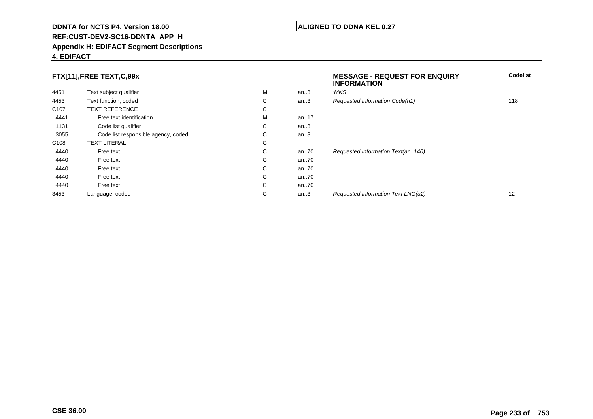#### **REF:CUST-DEV2-SC16-DDNTA\_APP\_H**

#### **Appendix H: EDIFACT Segment Descriptions**

#### **4. EDIFACT**

# **FTX[11],FREE TEXT,C,99x**

| 4451             | Text subject qualifier              | М | an.3 | 'MKS' |
|------------------|-------------------------------------|---|------|-------|
| 4453             | Text function, coded                | С | an.3 | Reque |
| C <sub>107</sub> | <b>TEXT REFERENCE</b>               | С |      |       |
| 4441             | Free text identification            | М | an17 |       |
| 1131             | Code list qualifier                 | С | an.3 |       |
| 3055             | Code list responsible agency, coded | С | an.3 |       |
| C <sub>108</sub> | <b>TEXT LITERAL</b>                 | С |      |       |
| 4440             | Free text                           | С | an70 | Reque |
| 4440             | Free text                           | C | an70 |       |
| 4440             | Free text                           | C | an70 |       |
| 4440             | Free text                           | С | an70 |       |
| 4440             | Free text                           | C | an70 |       |
| 3453             | Language, coded                     | С | an.3 | Reque |
|                  |                                     |   |      |       |

# **MESSAGE - REQUEST FOR ENQUIRYINFORMATIONCodelist**ested Information Code(n1) 118 ested Information Text(an..140) ested Information Text LNG(a2) 12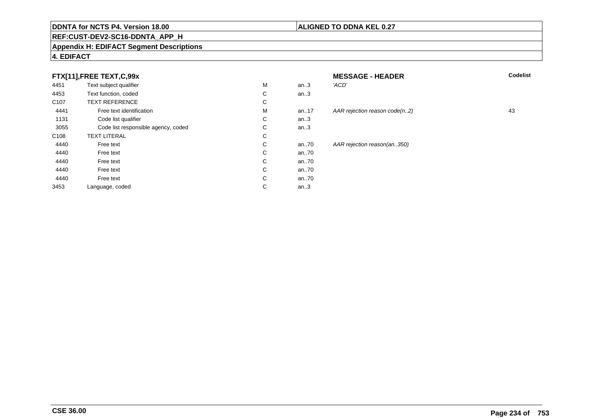# **REF:CUST-DEV2-SC16-DDNTA\_APP\_H**

#### **Appendix H: EDIFACT Segment Descriptions**

# **4. EDIFACT**

# **FTX[11],FREE TEXT,C,99x**

| 4451             | Text subject qualifier              | M | an.3  | 'ACD' |
|------------------|-------------------------------------|---|-------|-------|
| 4453             | Text function, coded                | С | an.3  |       |
| C <sub>107</sub> | <b>TEXT REFERENCE</b>               | С |       |       |
| 4441             | Free text identification            | M | an.17 | AAR I |
| 1131             | Code list qualifier                 | С | an.3  |       |
| 3055             | Code list responsible agency, coded | С | an.3  |       |
| C <sub>108</sub> | <b>TEXT LITERAL</b>                 | С |       |       |
| 4440             | Free text                           | С | an.70 | AAR I |
| 4440             | Free text                           | С | an70  |       |
| 4440             | Free text                           | С | an70  |       |
| 4440             | Free text                           | С | an70  |       |
| 4440             | Free text                           | C | an70  |       |
| 3453             | Language, coded                     | С | an.3  |       |
|                  |                                     |   |       |       |

| x                    |              |          | <b>MESSAGE - HEADER</b>       | <b>Codelist</b> |
|----------------------|--------------|----------|-------------------------------|-----------------|
| эr                   | M            | an.3     | 'ACD'                         |                 |
|                      | C            | an.3     |                               |                 |
|                      | C            |          |                               |                 |
| fication             | M            | an17     | AAR rejection reason code(n2) | 43              |
| ier                  | C            | an.3     |                               |                 |
| nsible agency, coded | C            | an.3     |                               |                 |
|                      | C            |          |                               |                 |
|                      | C            | an70     | AAR rejection reason(an350)   |                 |
|                      | C            | an70     |                               |                 |
|                      | C            | an70     |                               |                 |
|                      | C            | an.70    |                               |                 |
|                      | $\mathsf{C}$ | an $.70$ |                               |                 |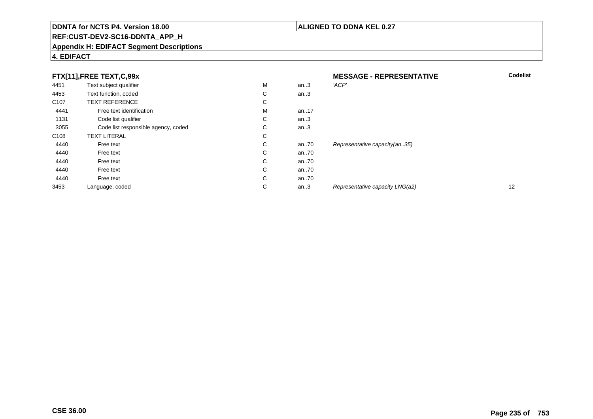# **REF:CUST-DEV2-SC16-DDNTA\_APP\_H**

#### **Appendix H: EDIFACT Segment Descriptions**

# **4. EDIFACT**

| FTX[11],FREE TEXT,C,99x |                                     |   | <b>MESSAGE - REPRESENTATIVE</b> | <b>Codelist</b>                 |    |
|-------------------------|-------------------------------------|---|---------------------------------|---------------------------------|----|
| 4451                    | Text subject qualifier              | M | an.3                            | 'ACP'                           |    |
| 4453                    | Text function, coded                | С | an.3                            |                                 |    |
| C <sub>107</sub>        | <b>TEXT REFERENCE</b>               | С |                                 |                                 |    |
| 4441                    | Free text identification            | M | an17                            |                                 |    |
| 1131                    | Code list qualifier                 | С | an.3                            |                                 |    |
| 3055                    | Code list responsible agency, coded | С | an.3                            |                                 |    |
| C <sub>108</sub>        | <b>TEXT LITERAL</b>                 | С |                                 |                                 |    |
| 4440                    | Free text                           | С | an70                            | Representative capacity(an35)   |    |
| 4440                    | Free text                           | С | an70                            |                                 |    |
| 4440                    | Free text                           | C | an70                            |                                 |    |
| 4440                    | Free text                           | С | an70                            |                                 |    |
| 4440                    | Free text                           | С | an70                            |                                 |    |
| 3453                    | Language, coded                     | С | an.3                            | Representative capacity LNG(a2) | 12 |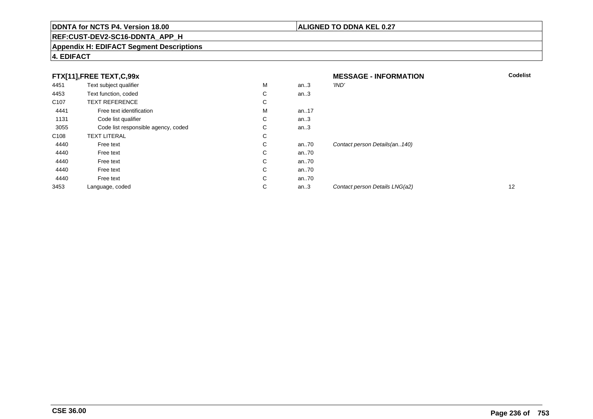# **REF:CUST-DEV2-SC16-DDNTA\_APP\_H**

#### **Appendix H: EDIFACT Segment Descriptions**

# **4. EDIFACT**

| FTX[11],FREE TEXT,C,99x |                                     |   | <b>MESSAGE - INFORMATION</b> | <b>Codelist</b>                |    |
|-------------------------|-------------------------------------|---|------------------------------|--------------------------------|----|
| 4451                    | Text subject qualifier              | M | an.3                         | 'IND'                          |    |
| 4453                    | Text function, coded                | С | an.3                         |                                |    |
| C <sub>107</sub>        | <b>TEXT REFERENCE</b>               | С |                              |                                |    |
| 4441                    | Free text identification            | M | an17                         |                                |    |
| 1131                    | Code list qualifier                 | С | an.3                         |                                |    |
| 3055                    | Code list responsible agency, coded | С | an.3                         |                                |    |
| C <sub>108</sub>        | <b>TEXT LITERAL</b>                 | С |                              |                                |    |
| 4440                    | Free text                           | С | an70                         | Contact person Details(an140)  |    |
| 4440                    | Free text                           | С | an70                         |                                |    |
| 4440                    | Free text                           | C | an70                         |                                |    |
| 4440                    | Free text                           | С | an70                         |                                |    |
| 4440                    | Free text                           | C | an70                         |                                |    |
| 3453                    | Language, coded                     | С | an.3                         | Contact person Details LNG(a2) | 12 |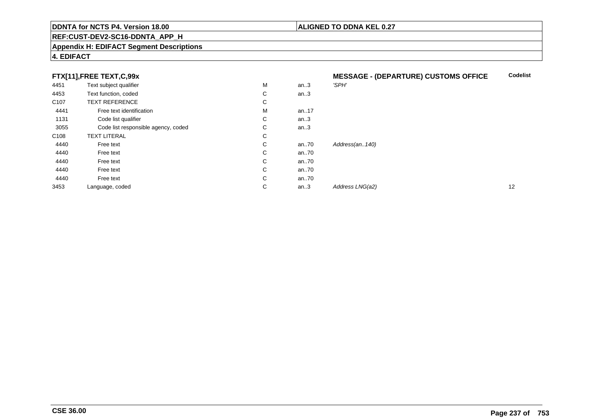#### **REF:CUST-DEV2-SC16-DDNTA\_APP\_H**

#### **Appendix H: EDIFACT Segment Descriptions**

### **4. EDIFACT**

# **FTX[11],FREE TEXT,C,99x**

| . .              | $\rightarrow$ $\rightarrow$ $\rightarrow$ $\rightarrow$ |   |         |                 |    |
|------------------|---------------------------------------------------------|---|---------|-----------------|----|
| 4451             | Text subject qualifier                                  | M | an.3    | 'SPH'           |    |
| 4453             | Text function, coded                                    | С | an $.3$ |                 |    |
| C <sub>107</sub> | <b>TEXT REFERENCE</b>                                   | С |         |                 |    |
| 4441             | Free text identification                                | M | an17    |                 |    |
| 1131             | Code list qualifier                                     | С | an.3    |                 |    |
| 3055             | Code list responsible agency, coded                     | С | an.3    |                 |    |
| C108             | <b>TEXT LITERAL</b>                                     | С |         |                 |    |
| 4440             | Free text                                               | С | an70    | Address(an140)  |    |
| 4440             | Free text                                               | С | an70    |                 |    |
| 4440             | Free text                                               | С | an70    |                 |    |
| 4440             | Free text                                               | С | an70    |                 |    |
| 4440             | Free text                                               | С | an70    |                 |    |
| 3453             | Language, coded                                         | С | an.3    | Address LNG(a2) | 12 |
|                  |                                                         |   |         |                 |    |

**ALIGNED TO DDNA KEL 0.27**

# **MESSAGE - (DEPARTURE) CUSTOMS OFFICECodelist**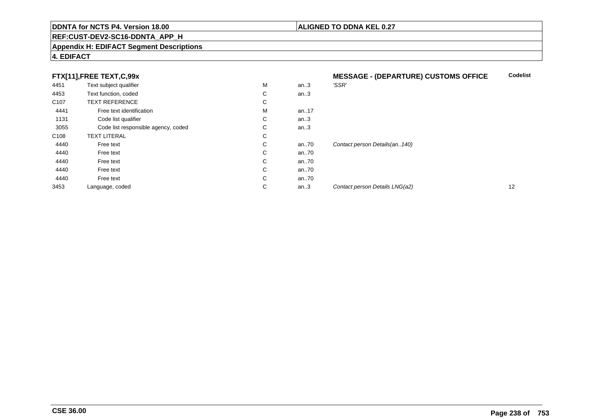#### **REF:CUST-DEV2-SC16-DDNTA\_APP\_H**

#### **Appendix H: EDIFACT Segment Descriptions**

#### **4. EDIFACT**

### **FTX[11],FREE TEXT,C,99x**

|      | FTX[11],FREE TEXT,C,99x             |              |      | <b>MESSAGE - (DEPARTURE) CUSTOMS OFFICE</b> |    |
|------|-------------------------------------|--------------|------|---------------------------------------------|----|
| 4451 | Text subject qualifier              | M            | an.3 | 'SSR'                                       |    |
| 4453 | Text function, coded                | $\mathsf{C}$ | an.3 |                                             |    |
| C107 | <b>TEXT REFERENCE</b>               | C            |      |                                             |    |
| 4441 | Free text identification            | M            | an17 |                                             |    |
| 1131 | Code list qualifier                 | C            | an.3 |                                             |    |
| 3055 | Code list responsible agency, coded | С            | an.3 |                                             |    |
| C108 | <b>TEXT LITERAL</b>                 | C            |      |                                             |    |
| 4440 | Free text                           | $\mathsf{C}$ | an70 | Contact person Details(an., 140)            |    |
| 4440 | Free text                           | C            | an70 |                                             |    |
| 4440 | Free text                           | C            | an70 |                                             |    |
| 4440 | Free text                           | $\mathsf{C}$ | an70 |                                             |    |
| 4440 | Free text                           | $\mathsf{C}$ | an70 |                                             |    |
| 3453 | Language, coded                     | С            | an.3 | Contact person Details LNG(a2)              | 12 |
|      |                                     |              |      |                                             |    |

**Codelist**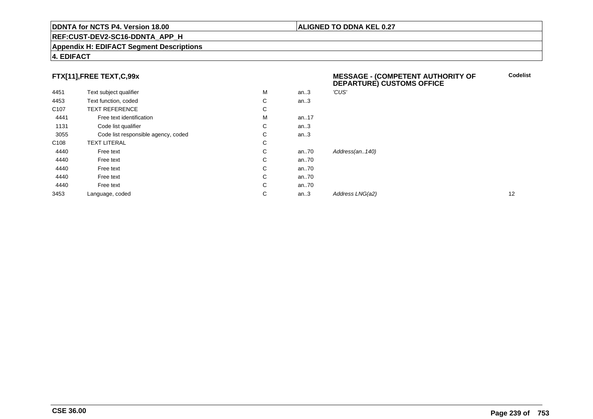#### **REF:CUST-DEV2-SC16-DDNTA\_APP\_H**

#### **Appendix H: EDIFACT Segment Descriptions**

#### **4. EDIFACT**

# **FTX[11],FREE TEXT,C,99x**

| FTX[11],FREE TEXT,C,99x |                                     |   |      | <b>MESSAGE - (COMPETENT AUTHORITY OF</b><br>DEPARTURE) CUSTOMS OFFICE | <b>Codelis</b> |
|-------------------------|-------------------------------------|---|------|-----------------------------------------------------------------------|----------------|
| 4451                    | Text subject qualifier              | M | an.3 | 'CUS'                                                                 |                |
| 4453                    | Text function, coded                | C | an.3 |                                                                       |                |
| C <sub>107</sub>        | <b>TEXT REFERENCE</b>               | C |      |                                                                       |                |
| 4441                    | Free text identification            | M | an17 |                                                                       |                |
| 1131                    | Code list qualifier                 | С | an.3 |                                                                       |                |
| 3055                    | Code list responsible agency, coded | С | an.3 |                                                                       |                |
| C <sub>108</sub>        | <b>TEXT LITERAL</b>                 | C |      |                                                                       |                |
| 4440                    | Free text                           | C | an70 | Address(an140)                                                        |                |
| 4440                    | Free text                           | С | an70 |                                                                       |                |
| 4440                    | Free text                           | C | an70 |                                                                       |                |
| 4440                    | Free text                           | С | an70 |                                                                       |                |
| 4440                    | Free text                           | C | an70 |                                                                       |                |
| 3453                    | Language, coded                     | С | an.3 | Address LNG(a2)                                                       | 12             |
|                         |                                     |   |      |                                                                       |                |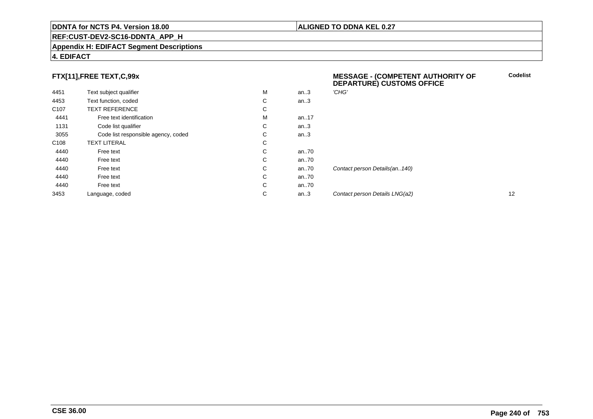#### **REF:CUST-DEV2-SC16-DDNTA\_APP\_H**

#### **Appendix H: EDIFACT Segment Descriptions**

#### **4. EDIFACT**

# **FTX[11],FREE TEXT,C,99x**

| 4451             | Text subject qualifier              | M | an.3  | 'CHG'      |
|------------------|-------------------------------------|---|-------|------------|
| 4453             | Text function, coded                | С | an.3  |            |
| C <sub>107</sub> | <b>TEXT REFERENCE</b>               | C |       |            |
| 4441             | Free text identification            | M | an17  |            |
| 1131             | Code list qualifier                 | C | an.3  |            |
| 3055             | Code list responsible agency, coded | С | an.3  |            |
| C <sub>108</sub> | <b>TEXT LITERAL</b>                 | C |       |            |
| 4440             | Free text                           | C | an70  |            |
| 4440             | Free text                           | C | an70  |            |
| 4440             | Free text                           | С | an70  | Contact pe |
| 4440             | Free text                           | C | an.70 |            |
| 4440             | Free text                           | C | an70  |            |
| 3453             | Language, coded                     | С | an.3  | Contact pe |

#### **MESSAGE - (COMPETENT AUTHORITY OFDEPARTURE) CUSTOMS OFFICECodelist**

erson Details(an..140) an...<br>2 Contact person Details LNG(a2) 12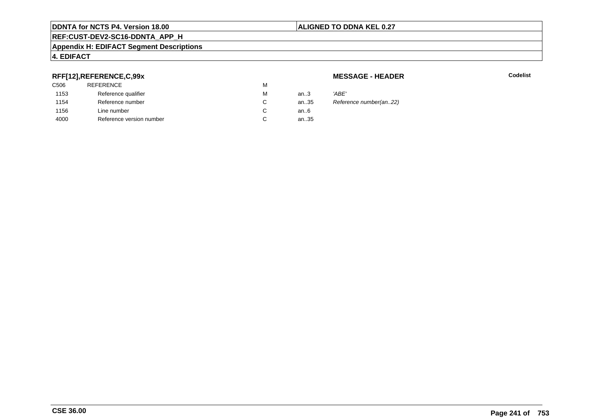### **REF:CUST-DEV2-SC16-DDNTA\_APP\_H**

#### **Appendix H: EDIFACT Segment Descriptions**

# **4. EDIFACT**

# **RFF[12],REFERENCE,C,99x**

| C506 | <b>REFERENCE</b>         | М |        |       |
|------|--------------------------|---|--------|-------|
| 1153 | Reference qualifier      | М | an $3$ | 'ABE' |
| 1154 | Reference number         | C | an35   | Refer |
| 1156 | Line number              | C | an6    |       |
| 4000 | Reference version number | C | an35   |       |
|      |                          |   |        |       |

**MESSAGE - HEADER**

**R** Codelist

Reference number(an..22)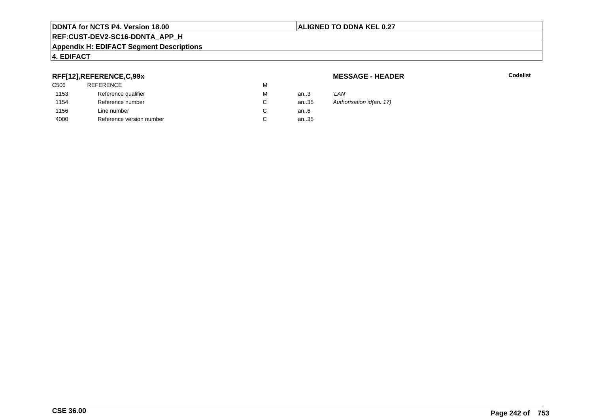# **ALIGNED TO DDNA KEL 0.27**

# **REF:CUST-DEV2-SC16-DDNTA\_APP\_H**

#### **Appendix H: EDIFACT Segment Descriptions**

# **4. EDIFACT**

# **RFF[12],REFERENCE,C,99x**

| C506 | <b>REFERENCE</b>         | M |      |       |
|------|--------------------------|---|------|-------|
| 1153 | Reference qualifier      | М | an.3 | 'LAN' |
| 1154 | Reference number         | C | an35 | Autho |
| 1156 | Line number              | С | an6  |       |
| 4000 | Reference version number | С | an35 |       |
|      |                          |   |      |       |

**MESSAGE - HEADER**

**R** Codelist

Authorisation id(an..17)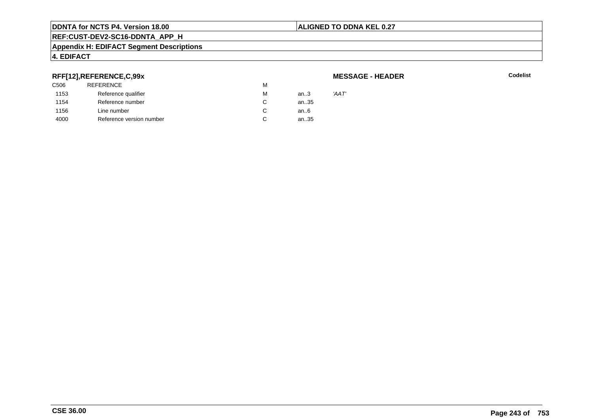# **ALIGNED TO DDNA KEL 0.27**

# **REF:CUST-DEV2-SC16-DDNTA\_APP\_H**

#### **Appendix H: EDIFACT Segment Descriptions**

# **4. EDIFACT**

# **RFF[12],REFERENCE,C,99x**

| C506 | <b>REFERENCE</b>         | М |        |       |
|------|--------------------------|---|--------|-------|
| 1153 | Reference qualifier      | М | an $3$ | 'AAT' |
| 1154 | Reference number         | C | an35   |       |
| 1156 | Line number              | С | an6    |       |
| 4000 | Reference version number | С | an35   |       |
|      |                          |   |        |       |

#### **MESSAGE - HEADER**

**R** Codelist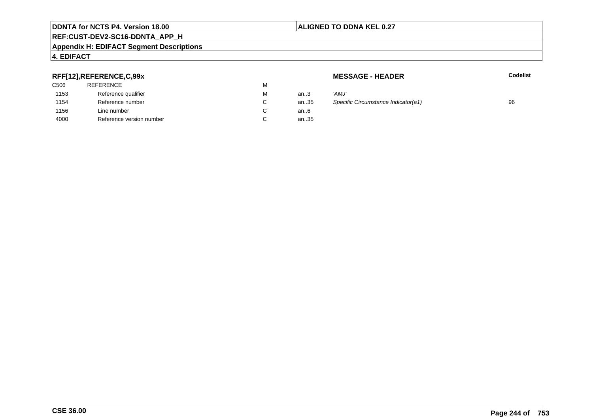### **REF:CUST-DEV2-SC16-DDNTA\_APP\_H**

#### **Appendix H: EDIFACT Segment Descriptions**

# **4. EDIFACT**

# **RFF[12],REFERENCE,C,99x**

| C506 | <b>REFERENCE</b>         | м |        |       |
|------|--------------------------|---|--------|-------|
| 1153 | Reference qualifier      | м | an $3$ | 'AMJ' |
| 1154 | Reference number         | С | an35   | Speci |
| 1156 | Line number              |   | an6    |       |
| 4000 | Reference version number | С | an35   |       |
|      |                          |   |        |       |

**MESSAGE - HEADER**

**R** Codelist

| М  | an $3$ | 'AMJ'                               |    |
|----|--------|-------------------------------------|----|
| С  | an35   | Specific Circumstance Indicator(a1) | 96 |
| C. | an6    |                                     |    |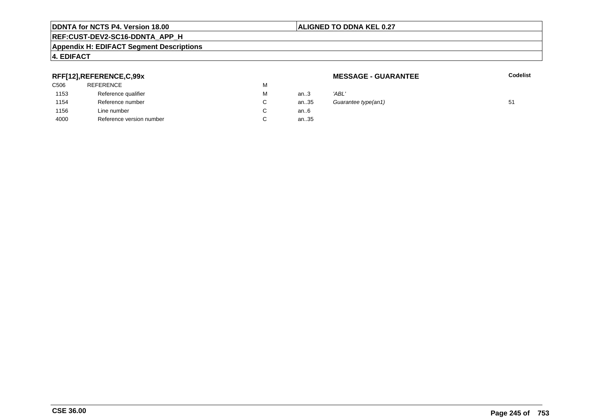### **REF:CUST-DEV2-SC16-DDNTA\_APP\_H**

#### **Appendix H: EDIFACT Segment Descriptions**

# **4. EDIFACT**

# **RFF[12],REFERENCE,C,99x**

| C506 | <b>REFERENCE</b>         | М |      |       |
|------|--------------------------|---|------|-------|
| 1153 | Reference qualifier      | М | an.3 | 'ABL' |
| 1154 | Reference number         | C | an35 | Guar  |
| 1156 | Line number              | C | an6  |       |
| 4000 | Reference version number |   | an35 |       |
|      |                          |   |      |       |

**MESSAGE - GUARANTEE**

**Codelist**

| м | an.3 | 'ABL'               |    |
|---|------|---------------------|----|
| С | an35 | Guarantee type(an1) | 51 |
| С | an6  |                     |    |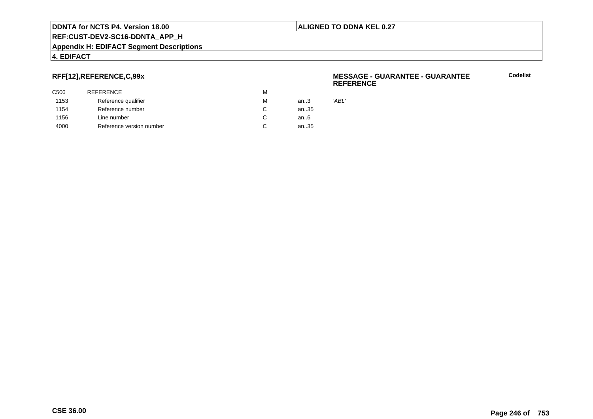#### **ALIGNED TO DDNA KEL 0.27**

**REF:CUST-DEV2-SC16-DDNTA\_APP\_H**

#### **Appendix H: EDIFACT Segment Descriptions**

#### **4. EDIFACT**

# **RFF[12],REFERENCE,C,99x**

| C506 | <b>REFERENCE</b>         | M |      |       |
|------|--------------------------|---|------|-------|
| 1153 | Reference qualifier      | М | an.3 | 'ABL' |
| 1154 | Reference number         | C | an35 |       |
| 1156 | Line number              | C | an6  |       |
| 4000 | Reference version number | C | an35 |       |
|      |                          |   |      |       |

#### **MESSAGE - GUARANTEE - GUARANTEEREFERENCE**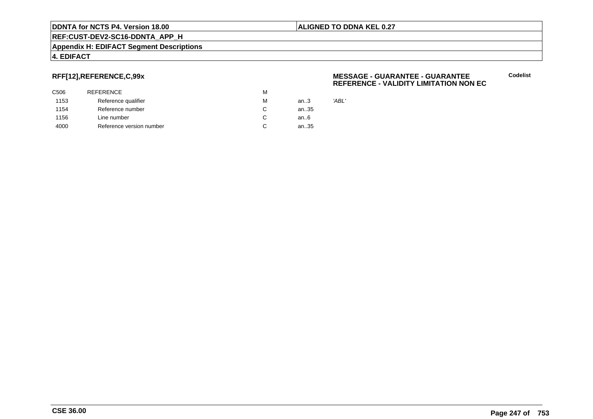#### **ALIGNED TO DDNA KEL 0.27**

**REF:CUST-DEV2-SC16-DDNTA\_APP\_H**

#### **Appendix H: EDIFACT Segment Descriptions**

#### **4. EDIFACT**

# **RFF[12],REFERENCE,C,99x**

| C506 | <b>REFERENCE</b>         | M |      |       |
|------|--------------------------|---|------|-------|
| 1153 | Reference qualifier      | M | an.3 | 'ABL' |
| 1154 | Reference number         | C | an35 |       |
| 1156 | Line number              | C | an6  |       |
| 4000 | Reference version number | C | an35 |       |
|      |                          |   |      |       |

#### **MESSAGE - GUARANTEE - GUARANTEEREFERENCE - VALIDITY LIMITATION NON EC**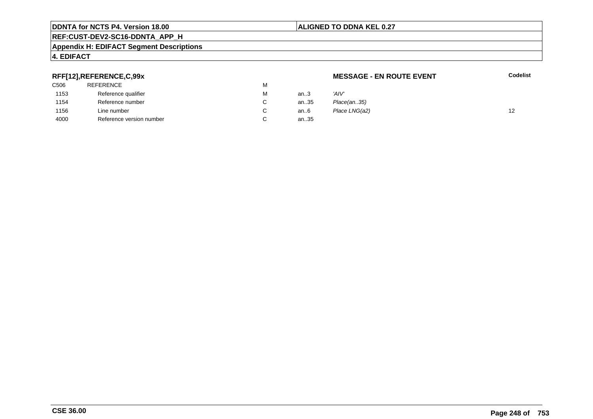# **ALIGNED TO DDNA KEL 0.27**

**MESSAGE - EN ROUTE EVENT**

# **REF:CUST-DEV2-SC16-DDNTA\_APP\_H**

#### **Appendix H: EDIFACT Segment Descriptions**

## **RFF[12],REFERENCE,C,99x**

| C506 | REFERENCE                | м |      |               |    |
|------|--------------------------|---|------|---------------|----|
| 1153 | Reference qualifier      | M | an.3 | 'AIV'         |    |
| 1154 | Reference number         |   | an35 | Place(an35)   |    |
| 1156 | Line number              |   | an6  | Place LNG(a2) | 12 |
| 4000 | Reference version number |   | an35 |               |    |

**4. EDIFACT**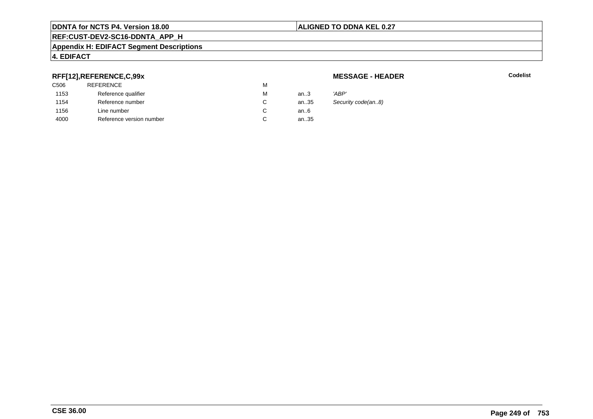## **ALIGNED TO DDNA KEL 0.27**

# **REF:CUST-DEV2-SC16-DDNTA\_APP\_H**

#### **Appendix H: EDIFACT Segment Descriptions**

# **4. EDIFACT**

# **RFF[12],REFERENCE,C,99x**

| C <sub>506</sub> | <b>REFERENCE</b>         | М |      |       |
|------------------|--------------------------|---|------|-------|
| 1153             | Reference qualifier      | М | an.3 | 'ABP' |
| 1154             | Reference number         | C | an35 | Secu  |
| 1156             | Line number              | C | an6  |       |
| 4000             | Reference version number | C | an35 |       |

**MESSAGE - HEADER**

**R** Codelist

Security code(an..8)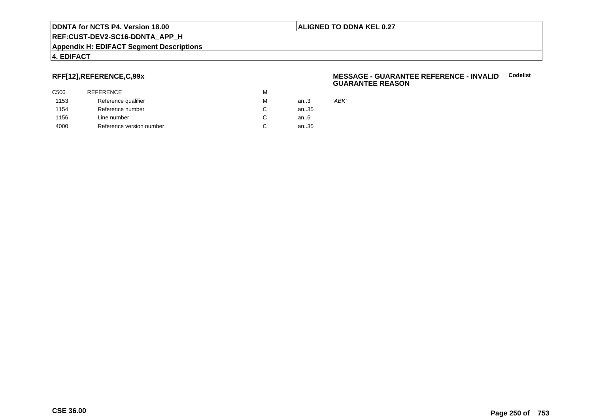#### **ALIGNED TO DDNA KEL 0.27**

**REF:CUST-DEV2-SC16-DDNTA\_APP\_H**

#### **Appendix H: EDIFACT Segment Descriptions**

#### **4. EDIFACT**

# **RFF[12],REFERENCE,C,99x**

| C506 | <b>REFERENCE</b>         | М |        |
|------|--------------------------|---|--------|
| 1153 | Reference qualifier      | М | an $3$ |
| 1154 | Reference number         | C | an35   |
| 1156 | Line number              | C | an6    |
| 4000 | Reference version number |   | an35   |

#### **MESSAGE - GUARANTEE REFERENCE - INVALIDCodelist GUARANTEE REASON**

'ABK'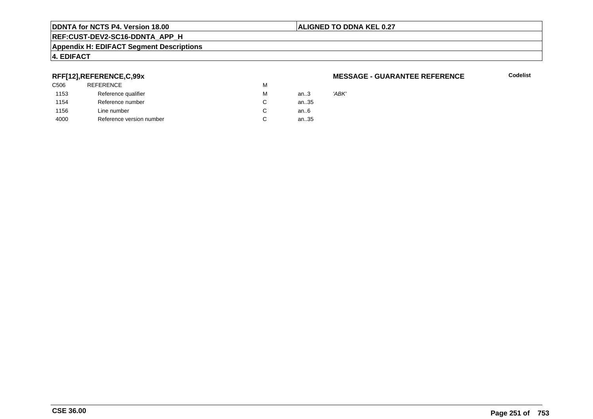#### **ALIGNED TO DDNA KEL 0.27**

**REF:CUST-DEV2-SC16-DDNTA\_APP\_H**

#### **Appendix H: EDIFACT Segment Descriptions**

# **4. EDIFACT**

## **RFF[12],REFERENCE,C,99x**

| 'ABK' |
|-------|
|       |
|       |
|       |
|       |

#### **MESSAGE - GUARANTEE REFERENCE**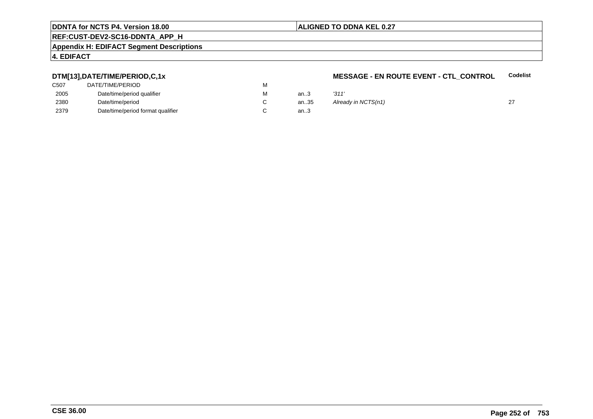#### **ALIGNED TO DDNA KEL 0.27**

# **REF:CUST-DEV2-SC16-DDNTA\_APP\_H**

#### **Appendix H: EDIFACT Segment Descriptions**

#### **4. EDIFACT**

# **DTM[13],DATE/TIME/PERIOD,C,1x**

| C507 | DATE/TIME/PERIOD                  | м |  |
|------|-----------------------------------|---|--|
| 2005 | Date/time/period qualifier        | М |  |
| 2380 | Date/time/period                  |   |  |
| 2379 | Date/time/period format qualifier |   |  |

#### **MESSAGE - EN ROUTE EVENT - CTL\_CONTROLCodelist**

| М | an.3 | '311'               |  |
|---|------|---------------------|--|
| С | an35 | Already in NCTS(n1) |  |
| С | an.3 |                     |  |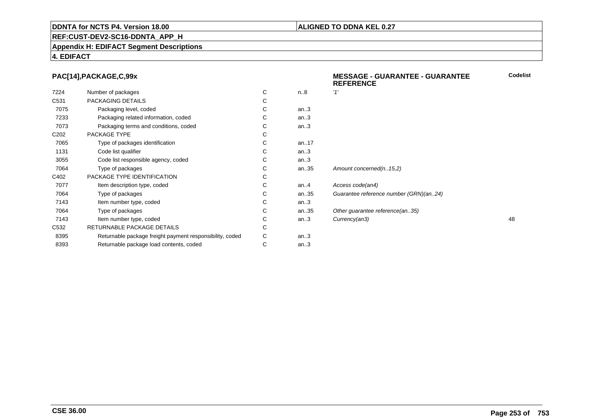### **ALIGNED TO DDNA KEL 0.27**

**REF:CUST-DEV2-SC16-DDNTA\_APP\_H**

**Appendix H: EDIFACT Segment Descriptions**

### **4. EDIFACT**

### **PAC[14],PACKAGE,C,99x**

|                  | PAC[14], PACKAGE, C, 99x                                 |   |         | <b>MESSAGE - GUARANTEE - GUARANTEE</b><br><b>REFERENCE</b> | Codelis |
|------------------|----------------------------------------------------------|---|---------|------------------------------------------------------------|---------|
| 7224             | Number of packages                                       | C | n.8     | '1'                                                        |         |
| C531             | PACKAGING DETAILS                                        | С |         |                                                            |         |
| 7075             | Packaging level, coded                                   | С | an.3    |                                                            |         |
| 7233             | Packaging related information, coded                     |   | an.3    |                                                            |         |
| 7073             | Packaging terms and conditions, coded                    |   | an.3    |                                                            |         |
| C <sub>202</sub> | PACKAGE TYPE                                             | С |         |                                                            |         |
| 7065             | Type of packages identification                          | С | an17    |                                                            |         |
| 1131             | Code list qualifier                                      | С | an.3    |                                                            |         |
| 3055             | Code list responsible agency, coded                      |   | an.3    |                                                            |         |
| 7064             | Type of packages                                         | С | an35    | Amount concerned(n15,2)                                    |         |
| C402             | PACKAGE TYPE IDENTIFICATION                              |   |         |                                                            |         |
| 7077             | Item description type, coded                             | С | an. $4$ | Access code(an4)                                           |         |
| 7064             | Type of packages                                         | С | an35    | Guarantee reference number (GRN)(an24)                     |         |
| 7143             | Item number type, coded                                  | С | an.3    |                                                            |         |
| 7064             | Type of packages                                         | С | an35    | Other guarantee reference(an35)                            |         |
| 7143             | Item number type, coded                                  | С | an.3    | Currency(an3)                                              | 48      |
| C532             | RETURNABLE PACKAGE DETAILS                               | С |         |                                                            |         |
| 8395             | Returnable package freight payment responsibility, coded | C | an.3    |                                                            |         |
| 8393             | Returnable package load contents, coded                  | С | an.3    |                                                            |         |
|                  |                                                          |   |         |                                                            |         |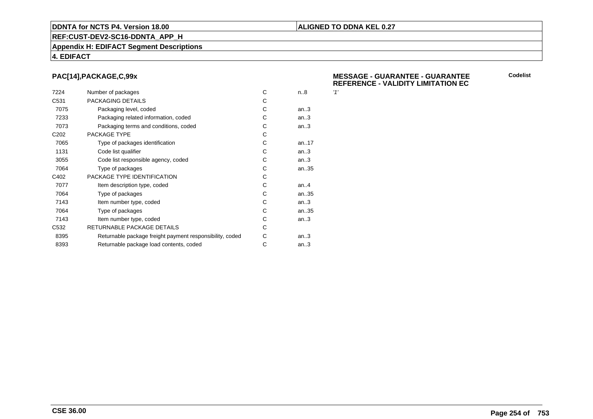### **ALIGNED TO DDNA KEL 0.27**

**REF:CUST-DEV2-SC16-DDNTA\_APP\_H**

#### **Appendix H: EDIFACT Segment Descriptions**

### **4. EDIFACT**

### **PAC[14],PACKAGE,C,99x**

| 7224             | Number of packages                                       | С | n.8       | 11' |
|------------------|----------------------------------------------------------|---|-----------|-----|
| C <sub>531</sub> | PACKAGING DETAILS                                        | С |           |     |
| 7075             | Packaging level, coded                                   | С | an.3      |     |
| 7233             | Packaging related information, coded                     | С | an.3      |     |
| 7073             | Packaging terms and conditions, coded                    | С | an.3      |     |
| C <sub>202</sub> | PACKAGE TYPE                                             | C |           |     |
| 7065             | Type of packages identification                          | C | an. $.17$ |     |
| 1131             | Code list qualifier                                      | C | an.3      |     |
| 3055             | Code list responsible agency, coded                      | C | an.3      |     |
| 7064             | Type of packages                                         | С | an35      |     |
| C402             | PACKAGE TYPE IDENTIFICATION                              | С |           |     |
| 7077             | Item description type, coded                             | C | an. $4$   |     |
| 7064             | Type of packages                                         | С | an35      |     |
| 7143             | Item number type, coded                                  | С | an.3      |     |
| 7064             | Type of packages                                         | C | an.35     |     |
| 7143             | Item number type, coded                                  | С | an.3      |     |
| C <sub>532</sub> | RETURNABLE PACKAGE DETAILS                               | С |           |     |
| 8395             | Returnable package freight payment responsibility, coded | С | an.3      |     |
| 8393             | Returnable package load contents, coded                  | С | an.3      |     |
|                  |                                                          |   |           |     |

#### **MESSAGE - GUARANTEE - GUARANTEEREFERENCE - VALIDITY LIMITATION EC**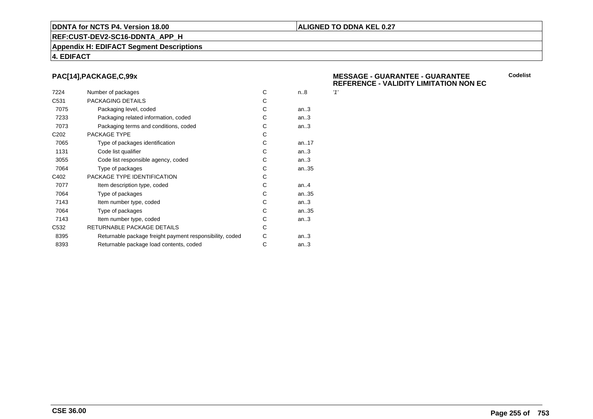### **ALIGNED TO DDNA KEL 0.27**

**REF:CUST-DEV2-SC16-DDNTA\_APP\_H**

#### **Appendix H: EDIFACT Segment Descriptions**

### **4. EDIFACT**

### **PAC[14],PACKAGE,C,99x**

| 7224             | Number of packages                                       | C | n.8    | 11' |
|------------------|----------------------------------------------------------|---|--------|-----|
| C <sub>531</sub> | PACKAGING DETAILS                                        | С |        |     |
| 7075             | Packaging level, coded                                   | С | an.3   |     |
| 7233             | Packaging related information, coded                     | С | an.3   |     |
| 7073             | Packaging terms and conditions, coded                    | С | an.3   |     |
| C <sub>202</sub> | PACKAGE TYPE                                             | C |        |     |
| 7065             | Type of packages identification                          | C | an17   |     |
| 1131             | Code list qualifier                                      | С | an.3   |     |
| 3055             | Code list responsible agency, coded                      | С | an.3   |     |
| 7064             | Type of packages                                         | С | an35   |     |
| C402             | PACKAGE TYPE IDENTIFICATION                              | С |        |     |
| 7077             | Item description type, coded                             | C | an.A   |     |
| 7064             | Type of packages                                         | C | an35   |     |
| 7143             | Item number type, coded                                  | С | an.3   |     |
| 7064             | Type of packages                                         | С | an35   |     |
| 7143             | Item number type, coded                                  | С | an.3   |     |
| C <sub>532</sub> | RETURNABLE PACKAGE DETAILS                               | С |        |     |
| 8395             | Returnable package freight payment responsibility, coded | С | an.3   |     |
| 8393             | Returnable package load contents, coded                  | С | an $3$ |     |
|                  |                                                          |   |        |     |

#### **MESSAGE - GUARANTEE - GUARANTEEREFERENCE - VALIDITY LIMITATION NON EC**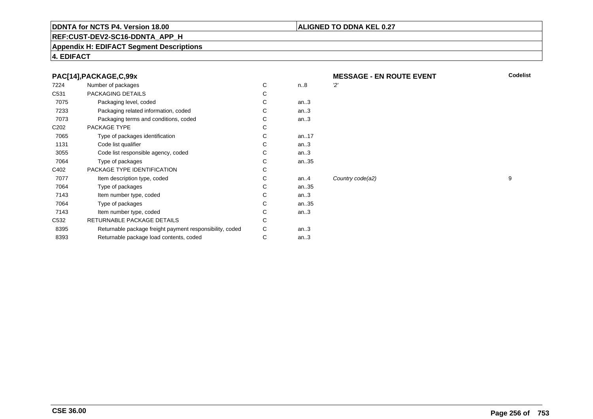### **ALIGNED TO DDNA KEL 0.27**

# **REF:CUST-DEV2-SC16-DDNTA\_APP\_H**

#### **Appendix H: EDIFACT Segment Descriptions**

### **4. EDIFACT**

|  |  | PAC[14], PACKAGE, C, 99x |
|--|--|--------------------------|
|  |  |                          |

| 7224             | Number of packages                                       | С  | n.8     | יכי |
|------------------|----------------------------------------------------------|----|---------|-----|
| C <sub>531</sub> | PACKAGING DETAILS                                        | C  |         |     |
| 7075             | Packaging level, coded                                   | C. | an.3    |     |
| 7233             | Packaging related information, coded                     | С  | an.3    |     |
| 7073             | Packaging terms and conditions, coded                    | C  | an.3    |     |
| C <sub>202</sub> | PACKAGE TYPE                                             | C  |         |     |
| 7065             | Type of packages identification                          | C  | an17    |     |
| 1131             | Code list qualifier                                      | С  | an.3    |     |
| 3055             | Code list responsible agency, coded                      | С  | an.3    |     |
| 7064             | Type of packages                                         | С  | an35    |     |
| C402             | PACKAGE TYPE IDENTIFICATION                              | С  |         |     |
| 7077             | Item description type, coded                             | C  | an. $4$ | Co  |
| 7064             | Type of packages                                         | C  | an35    |     |
| 7143             | Item number type, coded                                  | С  | an.3    |     |
| 7064             | Type of packages                                         | C  | an35    |     |
| 7143             | Item number type, coded                                  | С  | an.3    |     |
| C <sub>532</sub> | RETURNABLE PACKAGE DETAILS                               | С  |         |     |
| 8395             | Returnable package freight payment responsibility, coded | С  | an.3    |     |
| 8393             | Returnable package load contents, coded                  | С  | an.3    |     |
|                  |                                                          |    |         |     |

 **MESSAGE - EN ROUTE EVENTCodelist**

Country code(a2) 9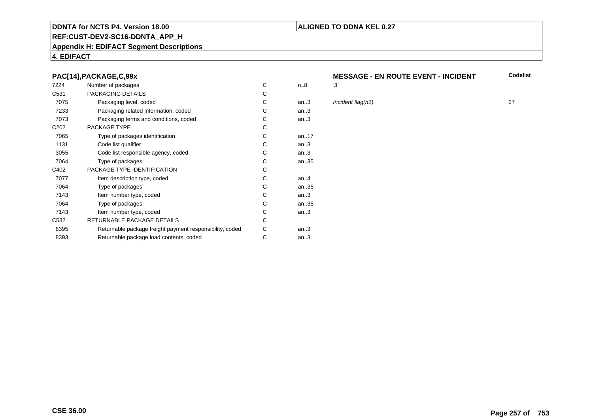### **REF:CUST-DEV2-SC16-DDNTA\_APP\_H**

#### **Appendix H: EDIFACT Segment Descriptions**

### **4. EDIFACT**

### **PAC[14],PACKAGE,C,99x**

| 7224             | Number of packages                                       | C | n.8     | '3' |
|------------------|----------------------------------------------------------|---|---------|-----|
| C <sub>531</sub> | PACKAGING DETAILS                                        | С |         |     |
| 7075             | Packaging level, coded                                   | С | an.3    | In  |
| 7233             | Packaging related information, coded                     | С | an.3    |     |
| 7073             | Packaging terms and conditions, coded                    | С | an.3    |     |
| C <sub>202</sub> | PACKAGE TYPE                                             | C |         |     |
| 7065             | Type of packages identification                          | C | an17    |     |
| 1131             | Code list qualifier                                      | C | an.3    |     |
| 3055             | Code list responsible agency, coded                      | C | an.3    |     |
| 7064             | Type of packages                                         | C | an35    |     |
| C402             | PACKAGE TYPE IDENTIFICATION                              | C |         |     |
| 7077             | Item description type, coded                             | C | an. $4$ |     |
| 7064             | Type of packages                                         | C | an35    |     |
| 7143             | Item number type, coded                                  | C | an.3    |     |
| 7064             | Type of packages                                         | C | an35    |     |
| 7143             | Item number type, coded                                  | С | an.3    |     |
| C <sub>532</sub> | RETURNABLE PACKAGE DETAILS                               | C |         |     |
| 8395             | Returnable package freight payment responsibility, coded | С | an.3    |     |
| 8393             | Returnable package load contents, coded                  | С | an.3    |     |
|                  |                                                          |   |         |     |

### **MESSAGE - EN ROUTE EVENT - INCIDENT Codelist**

**ALIGNED TO DDNA KEL 0.27**

 $\ln$ *an.* Incident flag(n1) 27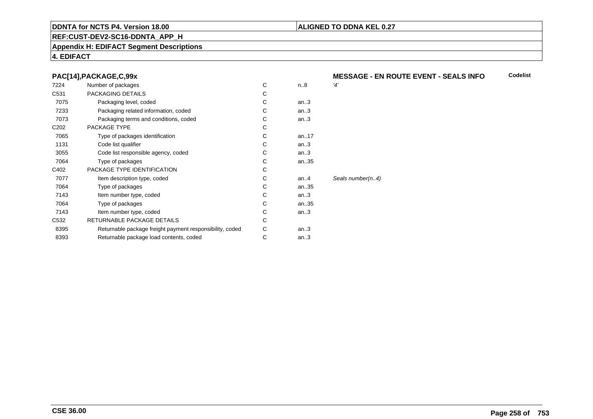### **REF:CUST-DEV2-SC16-DDNTA\_APP\_H**

### **Appendix H: EDIFACT Segment Descriptions**

### **4. EDIFACT**

### **PAC[14],PACKAGE,C,99x**

| 7224             | Number of packages                                       | С | n.8    | '4'              |
|------------------|----------------------------------------------------------|---|--------|------------------|
| C <sub>531</sub> | PACKAGING DETAILS                                        | С |        |                  |
| 7075             | Packaging level, coded                                   | С | an.3   |                  |
| 7233             | Packaging related information, coded                     | С | an.3   |                  |
| 7073             | Packaging terms and conditions, coded                    | С | an.3   |                  |
| C <sub>202</sub> | PACKAGE TYPE                                             | С |        |                  |
| 7065             | Type of packages identification                          | С | an17   |                  |
| 1131             | Code list qualifier                                      | С | an.3   |                  |
| 3055             | Code list responsible agency, coded                      | С | an.3   |                  |
| 7064             | Type of packages                                         | C | an35   |                  |
| C402             | PACKAGE TYPE IDENTIFICATION                              | C |        |                  |
| 7077             | Item description type, coded                             | С | an $4$ | Seals number(n4) |
| 7064             | Type of packages                                         | С | an35   |                  |
| 7143             | Item number type, coded                                  | С | an.3   |                  |
| 7064             | Type of packages                                         | С | an35   |                  |
| 7143             | Item number type, coded                                  | С | an.3   |                  |
| C <sub>532</sub> | RETURNABLE PACKAGE DETAILS                               | C |        |                  |
| 8395             | Returnable package freight payment responsibility, coded | С | an.3   |                  |
| 8393             | Returnable package load contents, coded                  | С | an.3   |                  |
|                  |                                                          |   |        |                  |

#### **MESSAGE - EN ROUTE EVENT - SEALS INFOCodelist**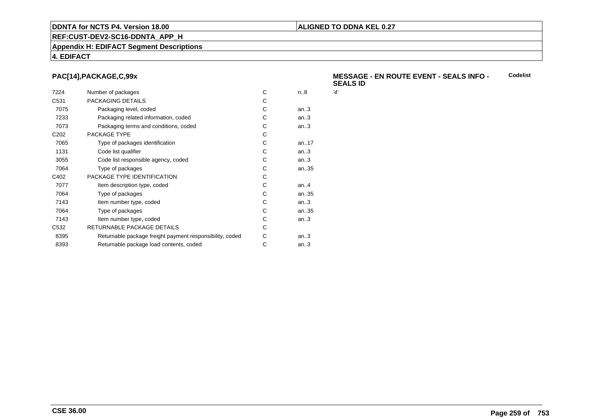## **REF:CUST-DEV2-SC16-DDNTA\_APP\_H**

### **Appendix H: EDIFACT Segment Descriptions**

### **4. EDIFACT**

### **PAC[14],PACKAGE,C,99x**

| 7224             | Number of packages                                       | C | n.8  | '4' |
|------------------|----------------------------------------------------------|---|------|-----|
| C <sub>531</sub> | PACKAGING DETAILS                                        | C |      |     |
| 7075             | Packaging level, coded                                   | C | an.3 |     |
| 7233             | Packaging related information, coded                     | С | an.3 |     |
| 7073             | Packaging terms and conditions, coded                    | С | an.3 |     |
| C <sub>202</sub> | PACKAGE TYPE                                             | C |      |     |
| 7065             | Type of packages identification                          | C | an17 |     |
| 1131             | Code list qualifier                                      | C | an.3 |     |
| 3055             | Code list responsible agency, coded                      | C | an.3 |     |
| 7064             | Type of packages                                         | С | an35 |     |
| C402             | PACKAGE TYPE IDENTIFICATION                              | C |      |     |
| 7077             | Item description type, coded                             | C | an.A |     |
| 7064             | Type of packages                                         | C | an35 |     |
| 7143             | Item number type, coded                                  | C | an.3 |     |
| 7064             | Type of packages                                         | C | an35 |     |
| 7143             | Item number type, coded                                  | C | an.3 |     |
| C <sub>532</sub> | RETURNABLE PACKAGE DETAILS                               | C |      |     |
| 8395             | Returnable package freight payment responsibility, coded | С | an.3 |     |
| 8393             | Returnable package load contents, coded                  | С | an.3 |     |
|                  |                                                          |   |      |     |

#### **MESSAGE - EN ROUTE EVENT - SEALS INFO - SEALS IDCodelist**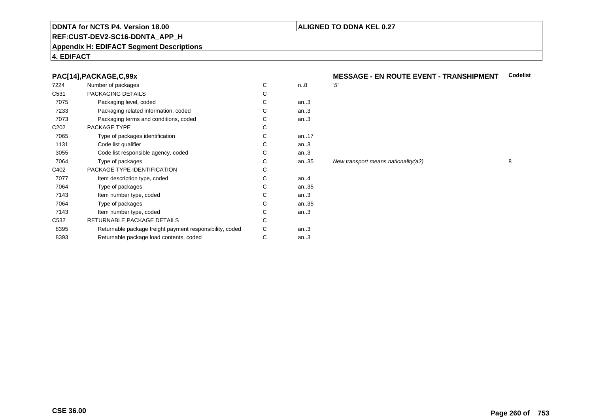### **REF:CUST-DEV2-SC16-DDNTA\_APP\_H**

### **Appendix H: EDIFACT Segment Descriptions**

### **4. EDIFACT**

### **PAC[14],PACKAGE,C,99x**

| 7224             | Number of packages                                       | C | n.8     | '5'            |
|------------------|----------------------------------------------------------|---|---------|----------------|
| C <sub>531</sub> | PACKAGING DETAILS                                        | С |         |                |
| 7075             | Packaging level, coded                                   | С | an.3    |                |
| 7233             | Packaging related information, coded                     | С | an.3    |                |
| 7073             | Packaging terms and conditions, coded                    | С | an.3    |                |
| C <sub>202</sub> | PACKAGE TYPE                                             | C |         |                |
| 7065             | Type of packages identification                          | C | an17    |                |
| 1131             | Code list qualifier                                      | C | an.3    |                |
| 3055             | Code list responsible agency, coded                      | С | an.3    |                |
| 7064             | Type of packages                                         | C | an35    | N <sub>6</sub> |
| C402             | PACKAGE TYPE IDENTIFICATION                              | С |         |                |
| 7077             | Item description type, coded                             | C | an. $4$ |                |
| 7064             | Type of packages                                         | C | an35    |                |
| 7143             | Item number type, coded                                  | C | an.3    |                |
| 7064             | Type of packages                                         | C | an35    |                |
| 7143             | Item number type, coded                                  | C | an.3    |                |
| C <sub>532</sub> | RETURNABLE PACKAGE DETAILS                               | C |         |                |
| 8395             | Returnable package freight payment responsibility, coded | С | an.3    |                |
| 8393             | Returnable package load contents, coded                  | С | an.3    |                |
|                  |                                                          |   |         |                |

## **MESSAGE - EN ROUTE EVENT - TRANSHIPMENT** Codelist

an...<br>35 New transport means nationality(a2) 8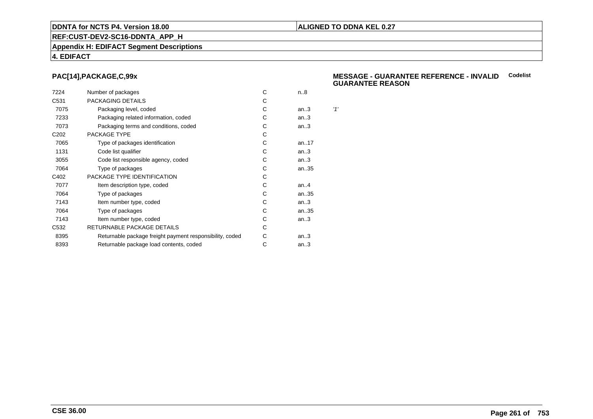### **REF:CUST-DEV2-SC16-DDNTA\_APP\_H**

#### **Appendix H: EDIFACT Segment Descriptions**

### **4. EDIFACT**

### **PAC[14],PACKAGE,C,99x**

| 7224             | Number of packages                                       | С | n.8       |     |
|------------------|----------------------------------------------------------|---|-----------|-----|
| C <sub>531</sub> | PACKAGING DETAILS                                        | С |           |     |
| 7075             | Packaging level, coded                                   | С | an.3      | '1' |
| 7233             | Packaging related information, coded                     | С | an.3      |     |
| 7073             | Packaging terms and conditions, coded                    | С | an.3      |     |
| C <sub>202</sub> | PACKAGE TYPE                                             | C |           |     |
| 7065             | Type of packages identification                          | С | an. $.17$ |     |
| 1131             | Code list qualifier                                      | С | an.3      |     |
| 3055             | Code list responsible agency, coded                      | С | an.3      |     |
| 7064             | Type of packages                                         | С | an35      |     |
| C402             | PACKAGE TYPE IDENTIFICATION                              | C |           |     |
| 7077             | Item description type, coded                             | С | an. $.4$  |     |
| 7064             | Type of packages                                         | C | an35      |     |
| 7143             | Item number type, coded                                  | C | an.3      |     |
| 7064             | Type of packages                                         | C | an35      |     |
| 7143             | Item number type, coded                                  | С | an.3      |     |
| C <sub>532</sub> | RETURNABLE PACKAGE DETAILS                               | С |           |     |
| 8395             | Returnable package freight payment responsibility, coded | С | an.3      |     |
| 8393             | Returnable package load contents, coded                  | С | an.3      |     |
|                  |                                                          |   |           |     |

#### **MESSAGE - GUARANTEE REFERENCE - INVALIDCodelistGUARANTEE REASON**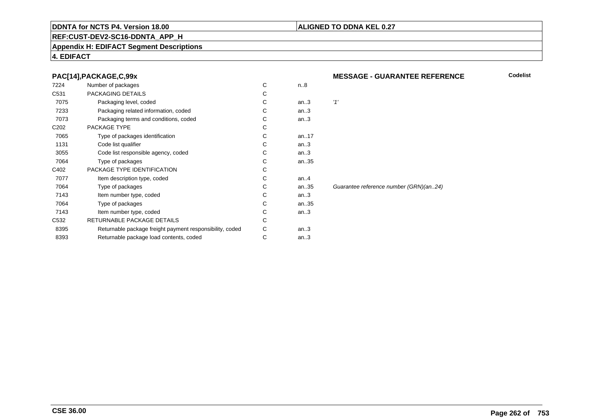### **REF:CUST-DEV2-SC16-DDNTA\_APP\_H**

### **Appendix H: EDIFACT Segment Descriptions**

### **4. EDIFACT**

### **PAC[14],PACKAGE,C,99x**

| 7224             | Number of packages                                       | C | n.8     |       |
|------------------|----------------------------------------------------------|---|---------|-------|
| C531             | PACKAGING DETAILS                                        | С |         |       |
| 7075             | Packaging level, coded                                   | C | an.3    | '1'   |
| 7233             | Packaging related information, coded                     | С | an.3    |       |
| 7073             | Packaging terms and conditions, coded                    | С | an.3    |       |
| C <sub>202</sub> | PACKAGE TYPE                                             | C |         |       |
| 7065             | Type of packages identification                          | C | an17    |       |
| 1131             | Code list qualifier                                      | С | an.3    |       |
| 3055             | Code list responsible agency, coded                      | С | an.3    |       |
| 7064             | Type of packages                                         | С | an35    |       |
| C402             | PACKAGE TYPE IDENTIFICATION                              | C |         |       |
| 7077             | Item description type, coded                             | C | an. $4$ |       |
| 7064             | Type of packages                                         | C | an35    | Guara |
| 7143             | Item number type, coded                                  | C | an.3    |       |
| 7064             | Type of packages                                         | C | an35    |       |
| 7143             | Item number type, coded                                  | С | an.3    |       |
| C <sub>532</sub> | RETURNABLE PACKAGE DETAILS                               | С |         |       |
| 8395             | Returnable package freight payment responsibility, coded | С | an.3    |       |
| 8393             | Returnable package load contents, coded                  | С | an.3    |       |
|                  |                                                          |   |         |       |

### **MESSAGE - GUARANTEE REFERENCE**

**Codelist**

rantee reference number (GRN)(an..24)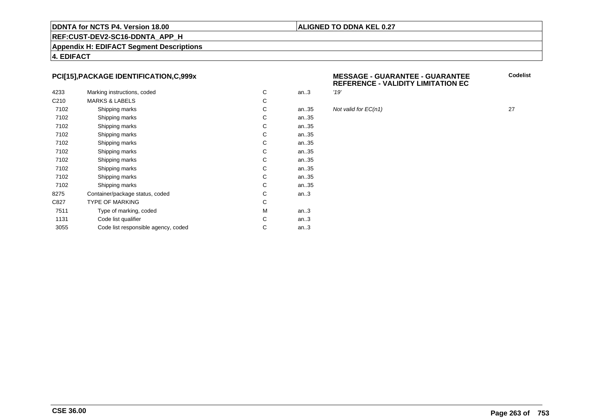### **ALIGNED TO DDNA KEL 0.27**

### **REF:CUST-DEV2-SC16-DDNTA\_APP\_H**

**Appendix H: EDIFACT Segment Descriptions**

**4. EDIFACT**

### **PCI[15],PACKAGE IDENTIFICATION,C,999x**

|                  |                                     |   |      | '19' |
|------------------|-------------------------------------|---|------|------|
| 4233             | Marking instructions, coded         | C | an.3 |      |
| C <sub>210</sub> | <b>MARKS &amp; LABELS</b>           | С |      |      |
| 7102             | Shipping marks                      | С | an35 | Not  |
| 7102             | Shipping marks                      | С | an35 |      |
| 7102             | Shipping marks                      | С | an35 |      |
| 7102             | Shipping marks                      | С | an35 |      |
| 7102             | Shipping marks                      | С | an35 |      |
| 7102             | Shipping marks                      | С | an35 |      |
| 7102             | Shipping marks                      | С | an35 |      |
| 7102             | Shipping marks                      | С | an35 |      |
| 7102             | Shipping marks                      | С | an35 |      |
| 7102             | Shipping marks                      | С | an35 |      |
| 8275             | Container/package status, coded     | С | an.3 |      |
| C827             | <b>TYPE OF MARKING</b>              | C |      |      |
| 7511             | Type of marking, coded              | М | an.3 |      |
| 1131             | Code list qualifier                 | С | an.3 |      |
| 3055             | Code list responsible agency, coded | С | an.3 |      |
|                  |                                     |   |      |      |

| v<br>^ | <b>MESSAGE - GUARANTEE - GUARANTEE</b>    |
|--------|-------------------------------------------|
|        | <b>REFERENCE - VALIDITY LIMITATION EC</b> |

Not valid for  $EC(n1)$  27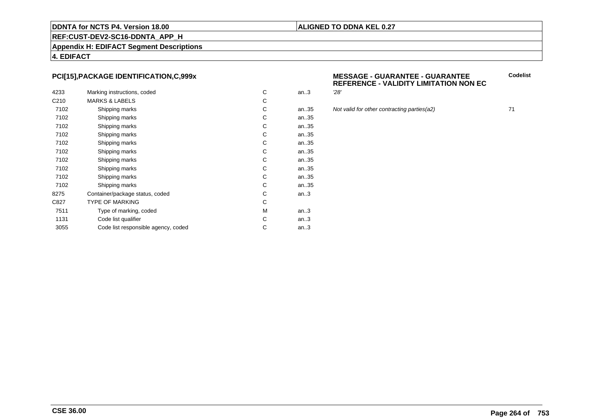### **ALIGNED TO DDNA KEL 0.27**

### **REF:CUST-DEV2-SC16-DDNTA\_APP\_H**

**Appendix H: EDIFACT Segment Descriptions**

**4. EDIFACT**

### **PCI[15],PACKAGE IDENTIFICATION,C,999x**

| 4233             | Marking instructions, coded         | C | an.3 | 28' |
|------------------|-------------------------------------|---|------|-----|
| C <sub>210</sub> | <b>MARKS &amp; LABELS</b>           | C |      |     |
| 7102             | Shipping marks                      | С | an35 | Not |
| 7102             | Shipping marks                      | С | an35 |     |
| 7102             | Shipping marks                      | C | an35 |     |
| 7102             | Shipping marks                      | С | an35 |     |
| 7102             | Shipping marks                      | С | an35 |     |
| 7102             | Shipping marks                      | C | an35 |     |
| 7102             | Shipping marks                      | C | an35 |     |
| 7102             | Shipping marks                      | C | an35 |     |
| 7102             | Shipping marks                      | C | an35 |     |
| 7102             | Shipping marks                      | C | an35 |     |
| 8275             | Container/package status, coded     | С | an.3 |     |
| C827             | <b>TYPE OF MARKING</b>              | C |      |     |
| 7511             | Type of marking, coded              | M | an.3 |     |
| 1131             | Code list qualifier                 | C | an.3 |     |
| 3055             | Code list responsible agency, coded | С | an.3 |     |
|                  |                                     |   |      |     |

### **MESSAGE - GUARANTEE - GUARANTEEREFERENCE - VALIDITY LIMITATION NON EC**

an...<br>35 Not valid for other contracting parties(a2) 71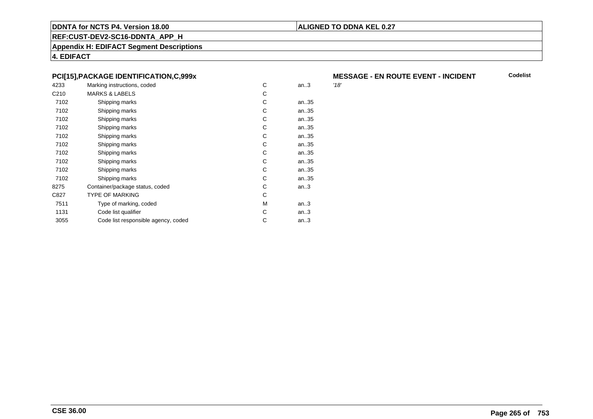### **ALIGNED TO DDNA KEL 0.27**

**REF:CUST-DEV2-SC16-DDNTA\_APP\_H**

**Appendix H: EDIFACT Segment Descriptions**

**4. EDIFACT**

### **PCI[15],PACKAGE IDENTIFICATION,C,999x**

| 4233             | Marking instructions, coded         | C | an.3 | '18' |
|------------------|-------------------------------------|---|------|------|
| C <sub>210</sub> | <b>MARKS &amp; LABELS</b>           | C |      |      |
| 7102             | Shipping marks                      | C | an35 |      |
| 7102             | Shipping marks                      | C | an35 |      |
| 7102             | Shipping marks                      | C | an35 |      |
| 7102             | Shipping marks                      | C | an35 |      |
| 7102             | Shipping marks                      | C | an35 |      |
| 7102             | Shipping marks                      | C | an35 |      |
| 7102             | Shipping marks                      | C | an35 |      |
| 7102             | Shipping marks                      | C | an35 |      |
| 7102             | Shipping marks                      | C | an35 |      |
| 7102             | Shipping marks                      | C | an35 |      |
| 8275             | Container/package status, coded     | C | an.3 |      |
| C827             | <b>TYPE OF MARKING</b>              | C |      |      |
| 7511             | Type of marking, coded              | M | an.3 |      |
| 1131             | Code list qualifier                 | C | an.3 |      |
| 3055             | Code list responsible agency, coded | C | an.3 |      |
|                  |                                     |   |      |      |

# **MESSAGE - EN ROUTE EVENT - INCIDENT**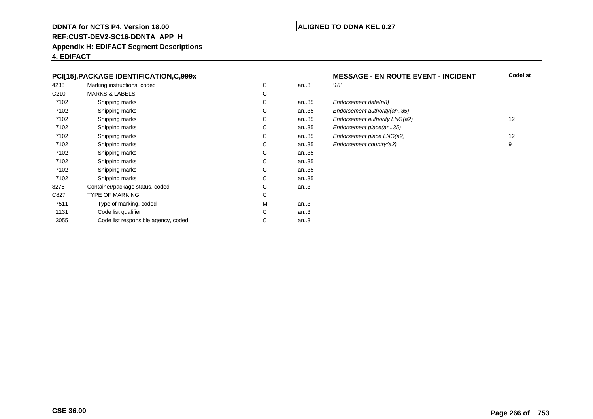### **ALIGNED TO DDNA KEL 0.27**

## **REF:CUST-DEV2-SC16-DDNTA\_APP\_H**

**Appendix H: EDIFACT Segment Descriptions**

**4. EDIFACT**

### **PCI[15],PACKAGE IDENTIFICATION,C,999x**

| 4233             | Marking instructions, coded         | С | an.3 | '18' |
|------------------|-------------------------------------|---|------|------|
| C <sub>210</sub> | <b>MARKS &amp; LABELS</b>           | С |      |      |
| 7102             | Shipping marks                      | С | an35 | Eno  |
| 7102             | Shipping marks                      | C | an35 | Eno  |
| 7102             | Shipping marks                      | C | an35 | Eno  |
| 7102             | Shipping marks                      | С | an35 | Eno  |
| 7102             | Shipping marks                      | С | an35 | Eno  |
| 7102             | Shipping marks                      | C | an35 | Eno  |
| 7102             | Shipping marks                      | С | an35 |      |
| 7102             | Shipping marks                      | С | an35 |      |
| 7102             | Shipping marks                      | C | an35 |      |
| 7102             | Shipping marks                      | С | an35 |      |
| 8275             | Container/package status, coded     | С | an.3 |      |
| C827             | <b>TYPE OF MARKING</b>              | C |      |      |
| 7511             | Type of marking, coded              | М | an.3 |      |
| 1131             | Code list qualifier                 | C | an.3 |      |
| 3055             | Code list responsible agency, coded | С | an.3 |      |
|                  |                                     |   |      |      |

### **MESSAGE - EN ROUTE EVENT - INCIDENT**<br>3 **Codelist**

| C. | an35 | Endorsement date(n8)          |    |
|----|------|-------------------------------|----|
| C. | an35 | Endorsement authority (an35)  |    |
| C. | an35 | Endorsement authority LNG(a2) | 12 |
| C. | an35 | Endorsement place(an35)       |    |
| C. | an35 | Endorsement place LNG(a2)     | 12 |
| C. | an35 | Endorsement country(a2)       | 9  |
|    |      |                               |    |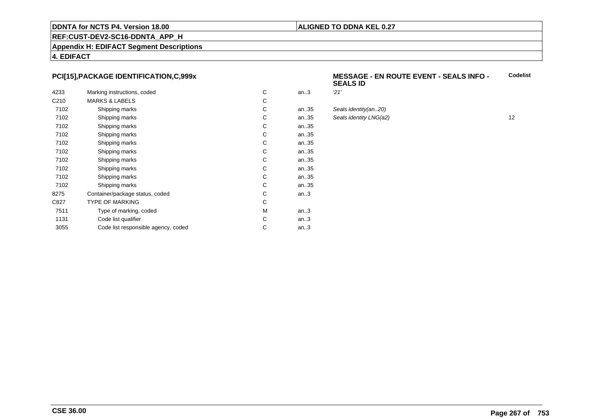### **ALIGNED TO DDNA KEL 0.27**

### **REF:CUST-DEV2-SC16-DDNTA\_APP\_H**

**Appendix H: EDIFACT Segment Descriptions**

**4. EDIFACT**

### **PCI[15],PACKAGE IDENTIFICATION,C,999x**

| 4233             | Marking instructions, coded         | C | an.3 | 21' |
|------------------|-------------------------------------|---|------|-----|
| C <sub>210</sub> | <b>MARKS &amp; LABELS</b>           | С |      |     |
| 7102             | Shipping marks                      | С | an35 | Sea |
| 7102             | Shipping marks                      | С | an35 | Sea |
| 7102             | Shipping marks                      | С | an35 |     |
| 7102             | Shipping marks                      | С | an35 |     |
| 7102             | Shipping marks                      | С | an35 |     |
| 7102             | Shipping marks                      | С | an35 |     |
| 7102             | Shipping marks                      | C | an35 |     |
| 7102             | Shipping marks                      | С | an35 |     |
| 7102             | Shipping marks                      | С | an35 |     |
| 7102             | Shipping marks                      | С | an35 |     |
| 8275             | Container/package status, coded     | С | an.3 |     |
| C827             | <b>TYPE OF MARKING</b>              | C |      |     |
| 7511             | Type of marking, coded              | М | an.3 |     |
| 1131             | Code list qualifier                 | C | an.3 |     |
| 3055             | Code list responsible agency, coded | С | an.3 |     |
|                  |                                     |   |      |     |

#### **MESSAGE - EN ROUTE EVENT - SEALS INFO - SEALS IDCodelist**

| C. | an.3 | '21'                   |    |
|----|------|------------------------|----|
| C. |      |                        |    |
| C. | an35 | Seals identity(an20)   |    |
| C. | an35 | Seals identity LNG(a2) | 12 |
| C. | an35 |                        |    |
| C. | an35 |                        |    |
|    |      |                        |    |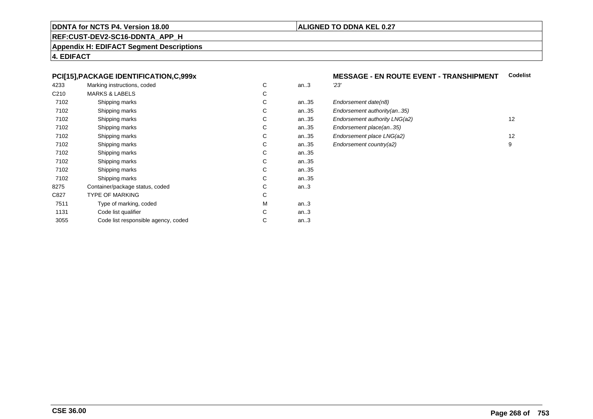### **ALIGNED TO DDNA KEL 0.27**

### **REF:CUST-DEV2-SC16-DDNTA\_APP\_H**

**Appendix H: EDIFACT Segment Descriptions**

**4. EDIFACT**

### **PCI[15],PACKAGE IDENTIFICATION,C,999x**

| 4233             | Marking instructions, coded         | C | an.3 | 23' |
|------------------|-------------------------------------|---|------|-----|
| C <sub>210</sub> | <b>MARKS &amp; LABELS</b>           | С |      |     |
| 7102             | Shipping marks                      | С | an35 | Eno |
| 7102             | Shipping marks                      | С | an35 | Eno |
| 7102             | Shipping marks                      | С | an35 | Eno |
| 7102             | Shipping marks                      | С | an35 | Eno |
| 7102             | Shipping marks                      | С | an35 | Eno |
| 7102             | Shipping marks                      | С | an35 | Eno |
| 7102             | Shipping marks                      | С | an35 |     |
| 7102             | Shipping marks                      | С | an35 |     |
| 7102             | Shipping marks                      | С | an35 |     |
| 7102             | Shipping marks                      | С | an35 |     |
| 8275             | Container/package status, coded     | С | an.3 |     |
| C827             | <b>TYPE OF MARKING</b>              | C |      |     |
| 7511             | Type of marking, coded              | М | an.3 |     |
| 1131             | Code list qualifier                 | С | an.3 |     |
| 3055             | Code list responsible agency, coded | С | an.3 |     |
|                  |                                     |   |      |     |

## **MESSAGE - EN ROUTE EVENT - TRANSHIPMENT Codelist**

| C. | an35 | Endorsement date(n8)          |    |
|----|------|-------------------------------|----|
| C. | an35 | Endorsement authority (an35)  |    |
| C. | an35 | Endorsement authority LNG(a2) | 12 |
| C. | an35 | Endorsement place(an35)       |    |
| C. | an35 | Endorsement place LNG(a2)     | 12 |
| C. | an35 | Endorsement country(a2)       | 9  |
|    |      |                               |    |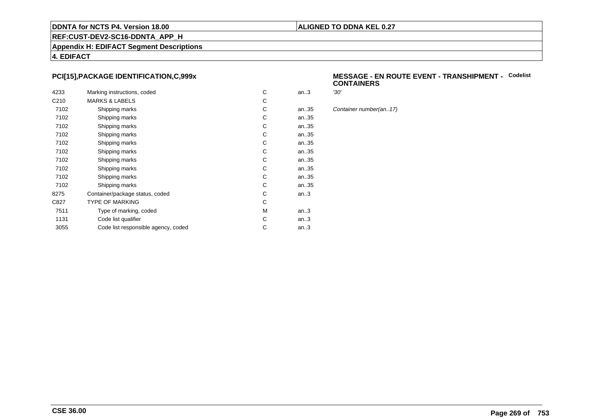### **ALIGNED TO DDNA KEL 0.27**

## **REF:CUST-DEV2-SC16-DDNTA\_APP\_H**

**Appendix H: EDIFACT Segment Descriptions**

**4. EDIFACT**

### **PCI[15],PACKAGE IDENTIFICATION,C,999x**

| 4233             | Marking instructions, coded         | C | an.3 | '30' |
|------------------|-------------------------------------|---|------|------|
|                  |                                     |   |      |      |
| C <sub>210</sub> | <b>MARKS &amp; LABELS</b>           | С |      |      |
| 7102             | Shipping marks                      | С | an35 | Cor  |
| 7102             | Shipping marks                      | С | an35 |      |
| 7102             | Shipping marks                      | С | an35 |      |
| 7102             | Shipping marks                      | С | an35 |      |
| 7102             | Shipping marks                      | С | an35 |      |
| 7102             | Shipping marks                      | С | an35 |      |
| 7102             | Shipping marks                      | С | an35 |      |
| 7102             | Shipping marks                      | С | an35 |      |
| 7102             | Shipping marks                      | С | an35 |      |
| 7102             | Shipping marks                      | С | an35 |      |
| 8275             | Container/package status, coded     | С | an.3 |      |
| C827             | <b>TYPE OF MARKING</b>              | C |      |      |
| 7511             | Type of marking, coded              | М | an.3 |      |
| 1131             | Code list qualifier                 | С | an.3 |      |
| 3055             | Code list responsible agency, coded | С | an.3 |      |
|                  |                                     |   |      |      |

#### **MESSAGE - EN ROUTE EVENT - TRANSHIPMENT -** Codelist<br>CONTAINERS **CONTAINERS**

Container number(an..17)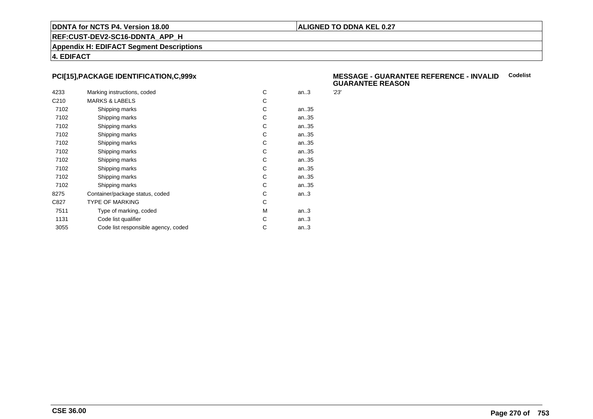### **ALIGNED TO DDNA KEL 0.27**

**REF:CUST-DEV2-SC16-DDNTA\_APP\_H**

**Appendix H: EDIFACT Segment Descriptions**

**4. EDIFACT**

### **PCI[15],PACKAGE IDENTIFICATION,C,999x**

| 4233             | Marking instructions, coded         | C | an.3 | 23' |
|------------------|-------------------------------------|---|------|-----|
|                  |                                     |   |      |     |
| C <sub>210</sub> | <b>MARKS &amp; LABELS</b>           | С |      |     |
| 7102             | Shipping marks                      | C | an35 |     |
| 7102             | Shipping marks                      | С | an35 |     |
| 7102             | Shipping marks                      | С | an35 |     |
| 7102             | Shipping marks                      | С | an35 |     |
| 7102             | Shipping marks                      | С | an35 |     |
| 7102             | Shipping marks                      | С | an35 |     |
| 7102             | Shipping marks                      | C | an35 |     |
| 7102             | Shipping marks                      | С | an35 |     |
| 7102             | Shipping marks                      | С | an35 |     |
| 7102             | Shipping marks                      | С | an35 |     |
| 8275             | Container/package status, coded     | С | an.3 |     |
| C827             | <b>TYPE OF MARKING</b>              | С |      |     |
| 7511             | Type of marking, coded              | М | an.3 |     |
| 1131             | Code list qualifier                 | C | an.3 |     |
| 3055             | Code list responsible agency, coded | С | an.3 |     |
|                  |                                     |   |      |     |

#### **MESSAGE - GUARANTEE REFERENCE - INVALIDCodelist GUARANTEE REASON**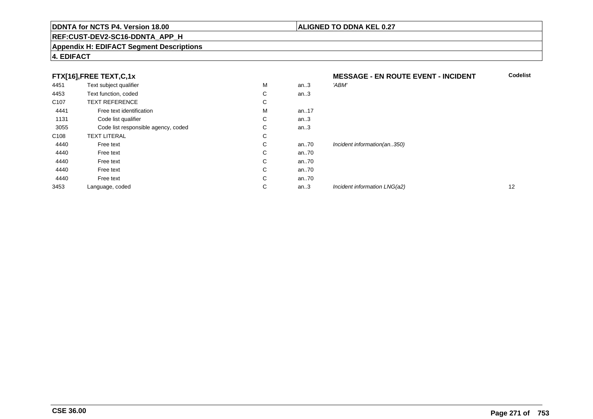### **REF:CUST-DEV2-SC16-DDNTA\_APP\_H**

#### **Appendix H: EDIFACT Segment Descriptions**

### **FTX[16],FREE TEXT,C,1x**

|                  | FTX[16],FREE TEXT,C,1x              |   |      | <b>MESSAGE - EN ROUTE EVENT - INCIDENT</b> | <b>Codelist</b> |
|------------------|-------------------------------------|---|------|--------------------------------------------|-----------------|
| 4451             | Text subject qualifier              | M | an.3 | 'ABM'                                      |                 |
| 4453             | Text function, coded                | С | an.3 |                                            |                 |
| C <sub>107</sub> | <b>TEXT REFERENCE</b>               | С |      |                                            |                 |
| 4441             | Free text identification            | м | an17 |                                            |                 |
| 1131             | Code list qualifier                 | С | an.3 |                                            |                 |
| 3055             | Code list responsible agency, coded | С | an.3 |                                            |                 |
| C <sub>108</sub> | <b>TEXT LITERAL</b>                 | С |      |                                            |                 |
| 4440             | Free text                           | С | an70 | Incident information(an350)                |                 |
| 4440             | Free text                           | С | an70 |                                            |                 |
| 4440             | Free text                           | С | an70 |                                            |                 |
| 4440             | Free text                           | С | an70 |                                            |                 |
| 4440             | Free text                           | С | an70 |                                            |                 |
| 3453             | Language, coded                     | С | an.3 | Incident information LNG(a2)               | 12              |

# **4. EDIFACT**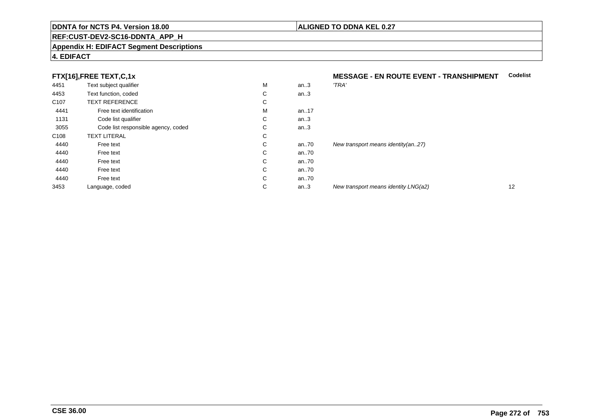### **REF:CUST-DEV2-SC16-DDNTA\_APP\_H**

#### **Appendix H: EDIFACT Segment Descriptions**

### **4. EDIFACT**

### **FTX[16] FREE TEXT C.1x**

|                  | FTX[16],FREE TEXT,C,1x              |    |      | <b>MESSAGE - EN ROUTE EVENT - TRANSHIPMENT</b> | Codelist |
|------------------|-------------------------------------|----|------|------------------------------------------------|----------|
| 4451             | Text subject qualifier              | M  | an.3 | 'TRA'                                          |          |
| 4453             | Text function, coded                | C  | an.3 |                                                |          |
| C <sub>107</sub> | <b>TEXT REFERENCE</b>               | C  |      |                                                |          |
| 4441             | Free text identification            | M  | an17 |                                                |          |
| 1131             | Code list qualifier                 | C  | an.3 |                                                |          |
| 3055             | Code list responsible agency, coded | C  | an.3 |                                                |          |
| C108             | <b>TEXT LITERAL</b>                 | C  |      |                                                |          |
| 4440             | Free text                           | C. | an70 | New transport means identity $(an27)$          |          |
| 4440             | Free text                           | C. | an70 |                                                |          |
| 4440             | Free text                           | C  | an70 |                                                |          |
| 4440             | Free text                           | C  | an70 |                                                |          |
| 4440             | Free text                           | C. | an70 |                                                |          |
| 3453             | Language, coded                     | C  | an.3 | New transport means identity LNG(a2)           | 12       |
|                  |                                     |    |      |                                                |          |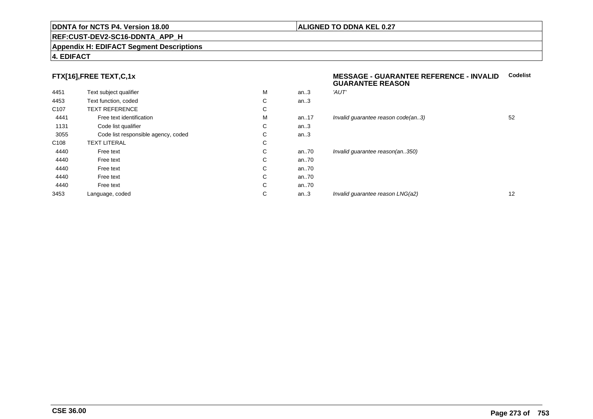### **REF:CUST-DEV2-SC16-DDNTA\_APP\_H**

#### **Appendix H: EDIFACT Segment Descriptions**

### **4. EDIFACT**

### **FTX[16],FREE TEXT,C,1x**

| 4451             | Text subject qualifier              | М | an.3  | 'AUT'  |
|------------------|-------------------------------------|---|-------|--------|
| 4453             | Text function, coded                | C | an.3  |        |
| C <sub>107</sub> | <b>TEXT REFERENCE</b>               | С |       |        |
| 4441             | Free text identification            | М | an.17 | Invali |
| 1131             | Code list qualifier                 | С | an.3  |        |
| 3055             | Code list responsible agency, coded | С | an.3  |        |
| C <sub>108</sub> | <b>TEXT LITERAL</b>                 | С |       |        |
| 4440             | Free text                           | C | an70  | Invali |
| 4440             | Free text                           | C | an70  |        |
| 4440             | Free text                           | C | an70  |        |
| 4440             | Free text                           | C | an70  |        |
| 4440             | Free text                           | C | an70  |        |
| 3453             | Language, coded                     | C | an.3  | Invali |
|                  |                                     |   |       |        |

### **MESSAGE - GUARANTEE REFERENCE - INVALIDCodelistGUARANTEE REASON**

| M | an.3 | 'AUT'                              |    |
|---|------|------------------------------------|----|
| C | an.3 |                                    |    |
| C |      |                                    |    |
| M | an17 | Invalid guarantee reason code(an3) | 52 |
| C | an.3 |                                    |    |
| C | an.3 |                                    |    |
| C |      |                                    |    |
| C | an70 | Invalid guarantee reason(an350)    |    |
| C | an70 |                                    |    |
| C | an70 |                                    |    |
| C | an70 |                                    |    |
| C | an70 |                                    |    |
| C | an.3 | Invalid guarantee reason LNG(a2)   | 12 |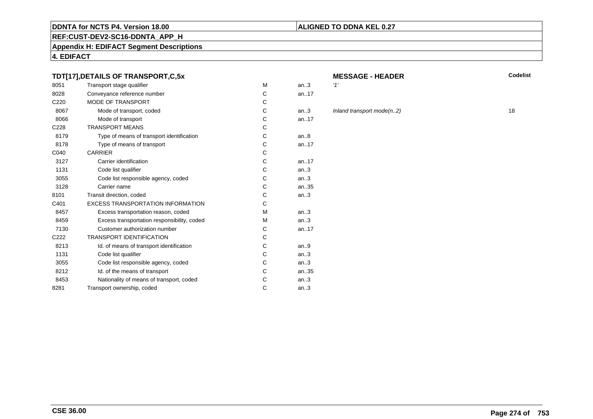### **REF:CUST-DEV2-SC16-DDNTA\_APP\_H**

**Appendix H: EDIFACT Segment Descriptions**

**4. EDIFACT**

### **TDT[17],DETAILS OF TRANSPORT,C,5x**

| 8051             | Transport stage qualifier                   | М | an.3      | 11' |
|------------------|---------------------------------------------|---|-----------|-----|
| 8028             | Conveyance reference number                 | C | an.17     |     |
| C <sub>220</sub> | <b>MODE OF TRANSPORT</b>                    | C |           |     |
| 8067             | Mode of transport, coded                    | C | an.3      | In  |
| 8066             | Mode of transport                           | C | an. $.17$ |     |
| C <sub>228</sub> | <b>TRANSPORT MEANS</b>                      | C |           |     |
| 8179             | Type of means of transport identification   | C | an.8      |     |
| 8178             | Type of means of transport                  | C | an.17     |     |
| C040             | <b>CARRIER</b>                              | C |           |     |
| 3127             | Carrier identification                      | C | an.17     |     |
| 1131             | Code list qualifier                         | C | an.3      |     |
| 3055             | Code list responsible agency, coded         | C | an.3      |     |
| 3128             | Carrier name                                | C | an35      |     |
| 8101             | Transit direction, coded                    | C | an.3      |     |
| C401             | <b>EXCESS TRANSPORTATION INFORMATION</b>    | C |           |     |
| 8457             | Excess transportation reason, coded         | M | an.3      |     |
| 8459             | Excess transportation responsibility, coded | M | an.3      |     |
| 7130             | Customer authorization number               | C | an. $.17$ |     |
| C <sub>222</sub> | <b>TRANSPORT IDENTIFICATION</b>             | C |           |     |
| 8213             | Id. of means of transport identification    | C | an.9      |     |
| 1131             | Code list qualifier                         | C | an.3      |     |
| 3055             | Code list responsible agency, coded         | C | an.3      |     |
| 8212             | Id. of the means of transport               | C | an.35     |     |
| 8453             | Nationality of means of transport, coded    | C | an.3      |     |
| 8281             | Transport ownership, coded                  | C | an.3      |     |
|                  |                                             |   |           |     |

# **MESSAGE - HEADER**

**R** Codelist

# Inland transport mode(n..2) 18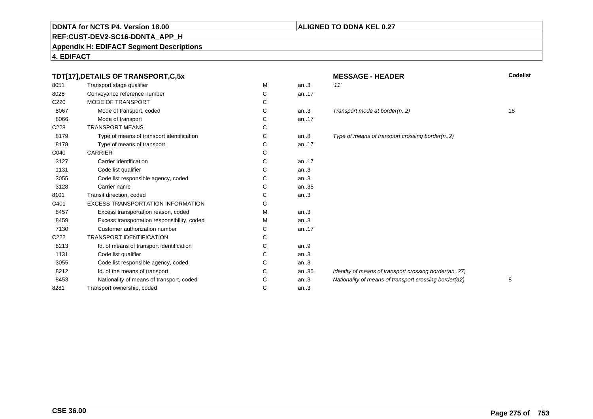### **REF:CUST-DEV2-SC16-DDNTA\_APP\_H**

### **Appendix H: EDIFACT Segment Descriptions**

|                  | TDT[17], DETAILS OF TRANSPORT, C, 5x        |   |       | <b>MESSAGE - HEADER</b>                               | <b>Codelist</b> |
|------------------|---------------------------------------------|---|-------|-------------------------------------------------------|-----------------|
| 8051             | Transport stage qualifier                   | М | an.3  | '11'                                                  |                 |
| 8028             | Conveyance reference number                 | С | an17  |                                                       |                 |
| C <sub>220</sub> | <b>MODE OF TRANSPORT</b>                    | C |       |                                                       |                 |
| 8067             | Mode of transport, coded                    | C | an.3  | Transport mode at border(n2)                          | 18              |
| 8066             | Mode of transport                           | C | an.17 |                                                       |                 |
| C228             | <b>TRANSPORT MEANS</b>                      | C |       |                                                       |                 |
| 8179             | Type of means of transport identification   | C | an.8  | Type of means of transport crossing border(n2)        |                 |
| 8178             | Type of means of transport                  | C | an17  |                                                       |                 |
| C040             | <b>CARRIER</b>                              | C |       |                                                       |                 |
| 3127             | Carrier identification                      | C | an.17 |                                                       |                 |
| 1131             | Code list qualifier                         | C | an.3  |                                                       |                 |
| 3055             | Code list responsible agency, coded         | C | an.3  |                                                       |                 |
| 3128             | Carrier name                                | С | an35  |                                                       |                 |
| 8101             | Transit direction, coded                    | C | an.3  |                                                       |                 |
| C401             | <b>EXCESS TRANSPORTATION INFORMATION</b>    | C |       |                                                       |                 |
| 8457             | Excess transportation reason, coded         | м | an.3  |                                                       |                 |
| 8459             | Excess transportation responsibility, coded | м | an.3  |                                                       |                 |
| 7130             | Customer authorization number               | C | an.17 |                                                       |                 |
| C222             | <b>TRANSPORT IDENTIFICATION</b>             | C |       |                                                       |                 |
| 8213             | Id. of means of transport identification    | С | an.9  |                                                       |                 |
| 1131             | Code list qualifier                         | C | an.3  |                                                       |                 |
| 3055             | Code list responsible agency, coded         | C | an.3  |                                                       |                 |
| 8212             | Id. of the means of transport               | C | an35  | Identity of means of transport crossing border(an27)  |                 |
| 8453             | Nationality of means of transport, coded    | C | an.3  | Nationality of means of transport crossing border(a2) | 8               |
| 8281             | Transport ownership, coded                  | C | an.3  |                                                       |                 |
|                  |                                             |   |       |                                                       |                 |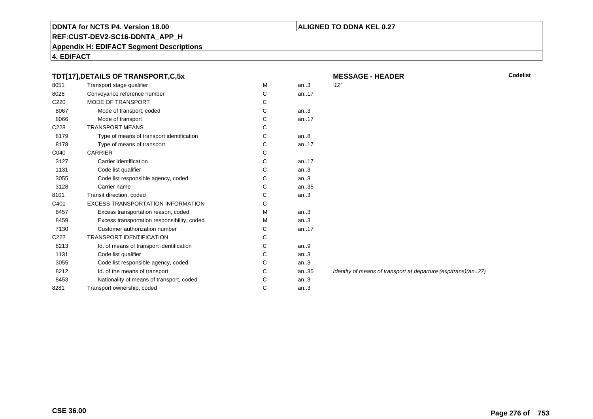### **ALIGNED TO DDNA KEL 0.27**

**REF:CUST-DEV2-SC16-DDNTA\_APP\_H**

**Appendix H: EDIFACT Segment Descriptions**

| TDT[17], DETAILS OF TRANSPORT, C, 5x |                                             |   | <b>MESSAGE - HEADER</b> |                                                               |  |
|--------------------------------------|---------------------------------------------|---|-------------------------|---------------------------------------------------------------|--|
| 8051                                 | Transport stage qualifier                   | M | an.3                    | '12'                                                          |  |
| 8028                                 | Conveyance reference number                 | С | an17                    |                                                               |  |
| C <sub>220</sub>                     | <b>MODE OF TRANSPORT</b>                    | С |                         |                                                               |  |
| 8067                                 | Mode of transport, coded                    | С | an.3                    |                                                               |  |
| 8066                                 | Mode of transport                           | С | an17                    |                                                               |  |
| C228                                 | <b>TRANSPORT MEANS</b>                      | С |                         |                                                               |  |
| 8179                                 | Type of means of transport identification   | С | an.8                    |                                                               |  |
| 8178                                 | Type of means of transport                  | С | an17                    |                                                               |  |
| C040                                 | <b>CARRIER</b>                              | С |                         |                                                               |  |
| 3127                                 | Carrier identification                      | С | an17                    |                                                               |  |
| 1131                                 | Code list qualifier                         | С | an.3                    |                                                               |  |
| 3055                                 | Code list responsible agency, coded         | С | an.3                    |                                                               |  |
| 3128                                 | Carrier name                                | С | an35                    |                                                               |  |
| 8101                                 | Transit direction, coded                    | С | an.3                    |                                                               |  |
| C401                                 | <b>EXCESS TRANSPORTATION INFORMATION</b>    | С |                         |                                                               |  |
| 8457                                 | Excess transportation reason, coded         | М | an.3                    |                                                               |  |
| 8459                                 | Excess transportation responsibility, coded | м | an.3                    |                                                               |  |
| 7130                                 | Customer authorization number               | С | an17                    |                                                               |  |
| C222                                 | <b>TRANSPORT IDENTIFICATION</b>             | С |                         |                                                               |  |
| 8213                                 | Id. of means of transport identification    | С | an.9                    |                                                               |  |
| 1131                                 | Code list qualifier                         | С | an.3                    |                                                               |  |
| 3055                                 | Code list responsible agency, coded         | С | an.3                    |                                                               |  |
| 8212                                 | Id. of the means of transport               | С | an35                    | Identity of means of transport at departure (exp/trans)(an27) |  |
| 8453                                 | Nationality of means of transport, coded    | С | an.3                    |                                                               |  |
| 8281                                 | Transport ownership, coded                  | C | an.3                    |                                                               |  |
|                                      |                                             |   |                         |                                                               |  |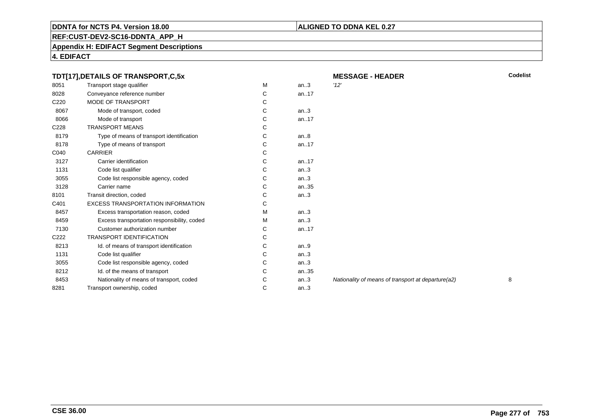### **REF:CUST-DEV2-SC16-DDNTA\_APP\_H**

**Appendix H: EDIFACT Segment Descriptions**

**4. EDIFACT**

| TDT[17],DETAILS OF TRANSPORT,C,5x |                                             | <b>MESSAGE - HEADER</b> | <b>Codelist</b> |                                                    |   |
|-----------------------------------|---------------------------------------------|-------------------------|-----------------|----------------------------------------------------|---|
| 8051                              | Transport stage qualifier                   | М                       | an.3            | '12'                                               |   |
| 8028                              | Conveyance reference number                 | С                       | an17            |                                                    |   |
| C220                              | MODE OF TRANSPORT                           | С                       |                 |                                                    |   |
| 8067                              | Mode of transport, coded                    | C                       | an.3            |                                                    |   |
| 8066                              | Mode of transport                           | С                       | an.17           |                                                    |   |
| C228                              | <b>TRANSPORT MEANS</b>                      | С                       |                 |                                                    |   |
| 8179                              | Type of means of transport identification   | С                       | an.8            |                                                    |   |
| 8178                              | Type of means of transport                  | С                       | an17            |                                                    |   |
| C040                              | <b>CARRIER</b>                              | С                       |                 |                                                    |   |
| 3127                              | Carrier identification                      | С                       | an.17           |                                                    |   |
| 1131                              | Code list qualifier                         | С                       | an.3            |                                                    |   |
| 3055                              | Code list responsible agency, coded         | C                       | an.3            |                                                    |   |
| 3128                              | Carrier name                                | С                       | an35            |                                                    |   |
| 8101                              | Transit direction, coded                    | С                       | an.3            |                                                    |   |
| C401                              | <b>EXCESS TRANSPORTATION INFORMATION</b>    | С                       |                 |                                                    |   |
| 8457                              | Excess transportation reason, coded         | м                       | an.3            |                                                    |   |
| 8459                              | Excess transportation responsibility, coded | м                       | an.3            |                                                    |   |
| 7130                              | Customer authorization number               | C                       | an.17           |                                                    |   |
| C222                              | <b>TRANSPORT IDENTIFICATION</b>             | С                       |                 |                                                    |   |
| 8213                              | Id. of means of transport identification    | С                       | an.9            |                                                    |   |
| 1131                              | Code list qualifier                         | С                       | an.3            |                                                    |   |
| 3055                              | Code list responsible agency, coded         | С                       | an.3            |                                                    |   |
| 8212                              | Id. of the means of transport               | С                       | an35            |                                                    |   |
| 8453                              | Nationality of means of transport, coded    | С                       | an.3            | Nationality of means of transport at departure(a2) | 8 |
| 8281                              | Transport ownership, coded                  | C                       | an.3            |                                                    |   |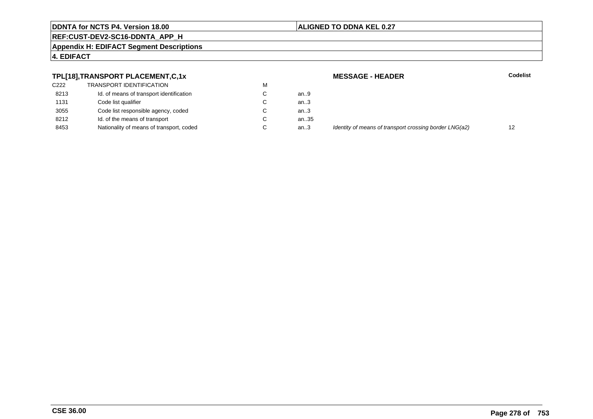### **ALIGNED TO DDNA KEL 0.27**

### **REF:CUST-DEV2-SC16-DDNTA\_APP\_H**

**Appendix H: EDIFACT Segment Descriptions**

### **4. EDIFACT**

### **TPL[18],TRANSPORT PLACEMENT,C,1x**

| C <sub>222</sub> | <b>TRANSPORT IDENTIFICATION</b>          | М |      |
|------------------|------------------------------------------|---|------|
| 8213             | Id. of means of transport identification | C | an.9 |
| 1131             | Code list qualifier                      | C | an.3 |
| 3055             | Code list responsible agency, coded      | C | an.3 |
| 8212             | Id. of the means of transport            | C | an.3 |
| 8453             | Nationality of means of transport, coded | C | an3  |
|                  |                                          |   |      |

 **MESSAGE - HEADERR** Codelist ..35<br>..3 Identity of means of transport crossing border LNG(a2) 12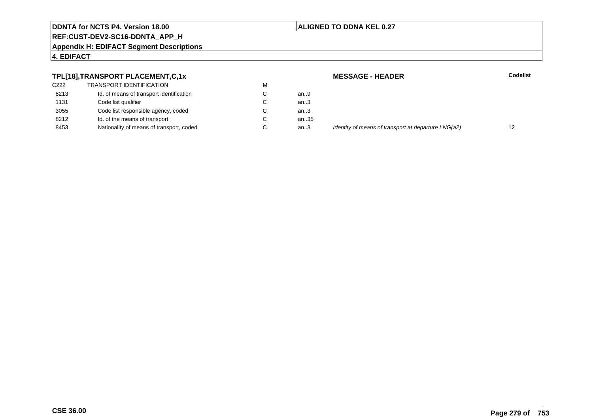### **ALIGNED TO DDNA KEL 0.27**

### **REF:CUST-DEV2-SC16-DDNTA\_APP\_H**

**Appendix H: EDIFACT Segment Descriptions**

### **4. EDIFACT**

### **TPL[18],TRANSPORT PLACEMENT,C,1x**

| C222 | <b>TRANSPORT IDENTIFICATION</b>          | м |      |
|------|------------------------------------------|---|------|
| 8213 | Id. of means of transport identification | C | an.9 |
| 1131 | Code list qualifier                      | C | an.3 |
| 3055 | Code list responsible agency, coded      | C | an.3 |
| 8212 | Id. of the means of transport            | C | an.3 |
| 8453 | Nationality of means of transport, coded | C | an3  |

 **MESSAGE - HEADERR** Codelist ..35<br>..3 Identity of means of transport at departure LNG(a2) 12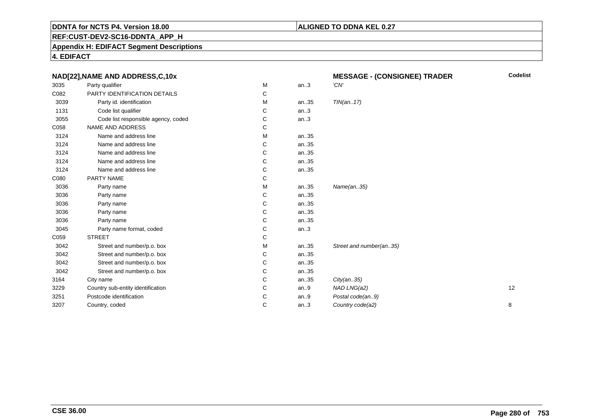### **ALIGNED TO DDNA KEL 0.27**

**REF:CUST-DEV2-SC16-DDNTA\_APP\_H**

**Appendix H: EDIFACT Segment Descriptions**

| NAD[22], NAME AND ADDRESS, C, 10x |                                     |   | <b>MESSAGE - (CONSIGNEE) TRADER</b> | <b>Codelist</b>         |    |
|-----------------------------------|-------------------------------------|---|-------------------------------------|-------------------------|----|
| 3035                              | Party qualifier                     | M | an.3                                | 'CN'                    |    |
| C082                              | PARTY IDENTIFICATION DETAILS        | С |                                     |                         |    |
| 3039                              | Party id. identification            | м | an35                                | TIN(an17)               |    |
| 1131                              | Code list qualifier                 | C | an.3                                |                         |    |
| 3055                              | Code list responsible agency, coded | С | an.3                                |                         |    |
| C058                              | <b>NAME AND ADDRESS</b>             | С |                                     |                         |    |
| 3124                              | Name and address line               | м | an35                                |                         |    |
| 3124                              | Name and address line               | С | an35                                |                         |    |
| 3124                              | Name and address line               | С | an35                                |                         |    |
| 3124                              | Name and address line               | С | an35                                |                         |    |
| 3124                              | Name and address line               | С | an35                                |                         |    |
| C080                              | PARTY NAME                          | С |                                     |                         |    |
| 3036                              | Party name                          | м | an35                                | Name(an35)              |    |
| 3036                              | Party name                          | С | an35                                |                         |    |
| 3036                              | Party name                          | С | an35                                |                         |    |
| 3036                              | Party name                          | С | an35                                |                         |    |
| 3036                              | Party name                          | С | an35                                |                         |    |
| 3045                              | Party name format, coded            | С | an.3                                |                         |    |
| C059                              | <b>STREET</b>                       | С |                                     |                         |    |
| 3042                              | Street and number/p.o. box          | м | an35                                | Street and number(an35) |    |
| 3042                              | Street and number/p.o. box          | С | an35                                |                         |    |
| 3042                              | Street and number/p.o. box          | С | an35                                |                         |    |
| 3042                              | Street and number/p.o. box          | С | an35                                |                         |    |
| 3164                              | City name                           | C | an35                                | City(an35)              |    |
| 3229                              | Country sub-entity identification   | С | an.9                                | NAD LNG(a2)             | 12 |
| 3251                              | Postcode identification             | С | an.9                                | Postal code(an9)        |    |
| 3207                              | Country, coded                      | С | an.3                                | Country code(a2)        | 8  |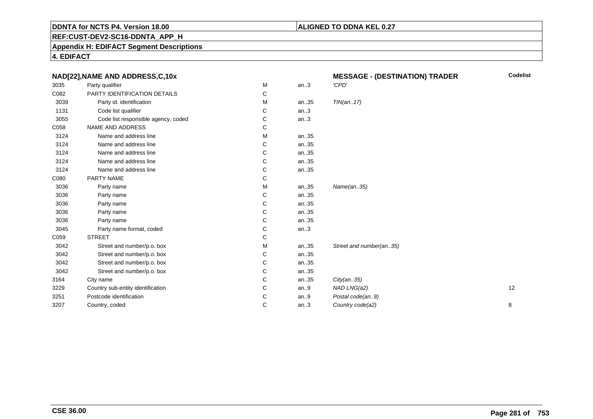### **ALIGNED TO DDNA KEL 0.27**

**REF:CUST-DEV2-SC16-DDNTA\_APP\_H**

**Appendix H: EDIFACT Segment Descriptions**

| NAD[22], NAME AND ADDRESS, C, 10x |                                     | <b>MESSAGE - (DESTINATION) TRADER</b> | <b>Codelist</b> |                         |    |
|-----------------------------------|-------------------------------------|---------------------------------------|-----------------|-------------------------|----|
| 3035                              | Party qualifier                     | M                                     | an.3            | 'CPD'                   |    |
| C082                              | PARTY IDENTIFICATION DETAILS        | С                                     |                 |                         |    |
| 3039                              | Party id. identification            | М                                     | an35            | TIN(an17)               |    |
| 1131                              | Code list qualifier                 | С                                     | an.3            |                         |    |
| 3055                              | Code list responsible agency, coded | С                                     | an.3            |                         |    |
| C058                              | NAME AND ADDRESS                    | С                                     |                 |                         |    |
| 3124                              | Name and address line               | M                                     | an35            |                         |    |
| 3124                              | Name and address line               | С                                     | an35            |                         |    |
| 3124                              | Name and address line               | С                                     | an35            |                         |    |
| 3124                              | Name and address line               | C                                     | an35            |                         |    |
| 3124                              | Name and address line               | С                                     | an35            |                         |    |
| C080                              | PARTY NAME                          | С                                     |                 |                         |    |
| 3036                              | Party name                          | M                                     | an35            | Name(an35)              |    |
| 3036                              | Party name                          | С                                     | an35            |                         |    |
| 3036                              | Party name                          | C                                     | an35            |                         |    |
| 3036                              | Party name                          | C                                     | an35            |                         |    |
| 3036                              | Party name                          | С                                     | an35            |                         |    |
| 3045                              | Party name format, coded            | С                                     | an.3            |                         |    |
| C059                              | <b>STREET</b>                       | С                                     |                 |                         |    |
| 3042                              | Street and number/p.o. box          | М                                     | an35            | Street and number(an35) |    |
| 3042                              | Street and number/p.o. box          | С                                     | an35            |                         |    |
| 3042                              | Street and number/p.o. box          | С                                     | an35            |                         |    |
| 3042                              | Street and number/p.o. box          | С                                     | an35            |                         |    |
| 3164                              | City name                           | C                                     | an35            | City(an35)              |    |
| 3229                              | Country sub-entity identification   | C                                     | an.9            | NAD LNG(a2)             | 12 |
| 3251                              | Postcode identification             | C                                     | an. $9$         | Postal code(an9)        |    |
| 3207                              | Country, coded                      | C                                     | an.3            | Country code(a2)        | 8  |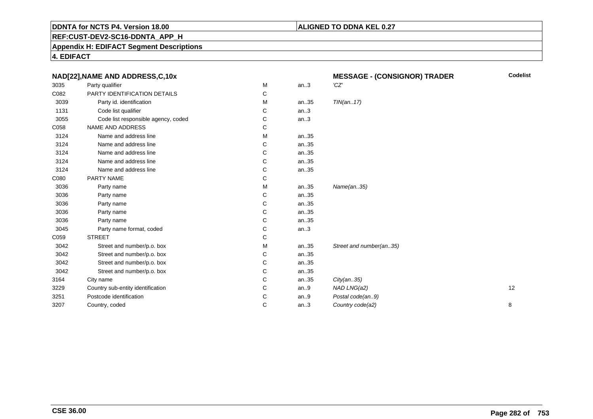### **ALIGNED TO DDNA KEL 0.27**

**REF:CUST-DEV2-SC16-DDNTA\_APP\_H**

**Appendix H: EDIFACT Segment Descriptions**

|      | NAD[22], NAME AND ADDRESS, C, 10x   |   |      | <b>MESSAGE - (CONSIGNOR) TRADER</b> | <b>Codelist</b> |
|------|-------------------------------------|---|------|-------------------------------------|-----------------|
| 3035 | Party qualifier                     | М | an.3 | 'CZ'                                |                 |
| C082 | PARTY IDENTIFICATION DETAILS        | C |      |                                     |                 |
| 3039 | Party id. identification            | М | an35 | TIN(an17)                           |                 |
| 1131 | Code list qualifier                 | С | an.3 |                                     |                 |
| 3055 | Code list responsible agency, coded | С | an.3 |                                     |                 |
| C058 | NAME AND ADDRESS                    | С |      |                                     |                 |
| 3124 | Name and address line               | М | an35 |                                     |                 |
| 3124 | Name and address line               | C | an35 |                                     |                 |
| 3124 | Name and address line               | С | an35 |                                     |                 |
| 3124 | Name and address line               | С | an35 |                                     |                 |
| 3124 | Name and address line               | С | an35 |                                     |                 |
| C080 | PARTY NAME                          | С |      |                                     |                 |
| 3036 | Party name                          | м | an35 | Name(an35)                          |                 |
| 3036 | Party name                          | С | an35 |                                     |                 |
| 3036 | Party name                          | С | an35 |                                     |                 |
| 3036 | Party name                          | С | an35 |                                     |                 |
| 3036 | Party name                          | С | an35 |                                     |                 |
| 3045 | Party name format, coded            | С | an.3 |                                     |                 |
| C059 | <b>STREET</b>                       | С |      |                                     |                 |
| 3042 | Street and number/p.o. box          | М | an35 | Street and number(an35)             |                 |
| 3042 | Street and number/p.o. box          | С | an35 |                                     |                 |
| 3042 | Street and number/p.o. box          | С | an35 |                                     |                 |
| 3042 | Street and number/p.o. box          | С | an35 |                                     |                 |
| 3164 | City name                           | C | an35 | City(an35)                          |                 |
| 3229 | Country sub-entity identification   | С | an.9 | NAD LNG(a2)                         | 12              |
| 3251 | Postcode identification             | С | an.9 | Postal code(an9)                    |                 |
| 3207 | Country, coded                      | C | an.3 | Country code(a2)                    | 8               |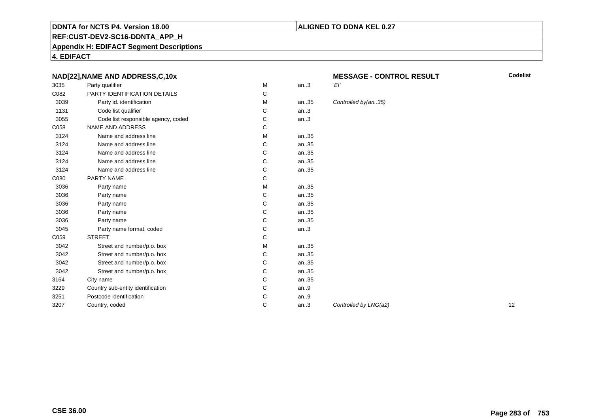### **REF:CUST-DEV2-SC16-DDNTA\_APP\_H**

### **Appendix H: EDIFACT Segment Descriptions**

**4. EDIFACT**

### **NAD[22],NAME AND ADDRESS,C,10x**

| 3035 | Party qualifier                     | M | an.3 | 'El'                        |
|------|-------------------------------------|---|------|-----------------------------|
| C082 | PARTY IDENTIFICATION DETAILS        | С |      |                             |
| 3039 | Party id. identification            | M | an35 | Controlled by(an35)         |
| 1131 | Code list qualifier                 | C | an.3 |                             |
| 3055 | Code list responsible agency, coded | C | an.3 |                             |
| C058 | NAME AND ADDRESS                    | C |      |                             |
| 3124 | Name and address line               | M | an35 |                             |
| 3124 | Name and address line               | C | an35 |                             |
| 3124 | Name and address line               | C | an35 |                             |
| 3124 | Name and address line               | C | an35 |                             |
| 3124 | Name and address line               | C | an35 |                             |
| C080 | PARTY NAME                          | C |      |                             |
| 3036 | Party name                          | M | an35 |                             |
| 3036 | Party name                          | C | an35 |                             |
| 3036 | Party name                          | C | an35 |                             |
| 3036 | Party name                          | С | an35 |                             |
| 3036 | Party name                          | C | an35 |                             |
| 3045 | Party name format, coded            | C | an.3 |                             |
| C059 | <b>STREET</b>                       | С |      |                             |
| 3042 | Street and number/p.o. box          | M | an35 |                             |
| 3042 | Street and number/p.o. box          | C | an35 |                             |
| 3042 | Street and number/p.o. box          | C | an35 |                             |
| 3042 | Street and number/p.o. box          | C | an35 |                             |
| 3164 | City name                           | C | an35 |                             |
| 3229 | Country sub-entity identification   | C | an.9 |                             |
| 3251 | Postcode identification             | C | an.9 |                             |
| 3207 | Country, coded                      | C | an.3 | Controlled by LNG(a2)<br>12 |
|      |                                     |   |      |                             |

# **MESSAGE - CONTROL RESULT**

**Codelist**

**ALIGNED TO DDNA KEL 0.27**

### rolled by(an..35)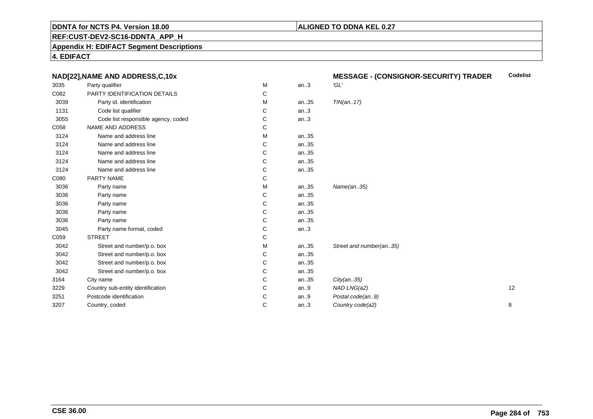### **ALIGNED TO DDNA KEL 0.27**

**REF:CUST-DEV2-SC16-DDNTA\_APP\_H**

**Appendix H: EDIFACT Segment Descriptions**

|      | NAD[22], NAME AND ADDRESS, C, 10x   |   |      | <b>MESSAGE - (CONSIGNOR-SECURITY) TRADER</b> | <b>Codelist</b> |
|------|-------------------------------------|---|------|----------------------------------------------|-----------------|
| 3035 | Party qualifier                     | M | an.3 | 'GL'                                         |                 |
| C082 | PARTY IDENTIFICATION DETAILS        | С |      |                                              |                 |
| 3039 | Party id. identification            | М | an35 | TIN(an17)                                    |                 |
| 1131 | Code list qualifier                 | С | an.3 |                                              |                 |
| 3055 | Code list responsible agency, coded | С | an.3 |                                              |                 |
| C058 | <b>NAME AND ADDRESS</b>             | С |      |                                              |                 |
| 3124 | Name and address line               | М | an35 |                                              |                 |
| 3124 | Name and address line               | С | an35 |                                              |                 |
| 3124 | Name and address line               | С | an35 |                                              |                 |
| 3124 | Name and address line               | С | an35 |                                              |                 |
| 3124 | Name and address line               | С | an35 |                                              |                 |
| C080 | PARTY NAME                          | С |      |                                              |                 |
| 3036 | Party name                          | M | an35 | Name(an35)                                   |                 |
| 3036 | Party name                          | С | an35 |                                              |                 |
| 3036 | Party name                          | С | an35 |                                              |                 |
| 3036 | Party name                          | С | an35 |                                              |                 |
| 3036 | Party name                          | С | an35 |                                              |                 |
| 3045 | Party name format, coded            | С | an.3 |                                              |                 |
| C059 | <b>STREET</b>                       | С |      |                                              |                 |
| 3042 | Street and number/p.o. box          | М | an35 | Street and number(an35)                      |                 |
| 3042 | Street and number/p.o. box          | С | an35 |                                              |                 |
| 3042 | Street and number/p.o. box          | С | an35 |                                              |                 |
| 3042 | Street and number/p.o. box          | С | an35 |                                              |                 |
| 3164 | City name                           | С | an35 | City(an35)                                   |                 |
| 3229 | Country sub-entity identification   | С | an.9 | NAD LNG(a2)                                  | 12              |
| 3251 | Postcode identification             | С | an.9 | Postal code(an9)                             |                 |
| 3207 | Country, coded                      | C | an.3 | Country code(a2)                             | 8               |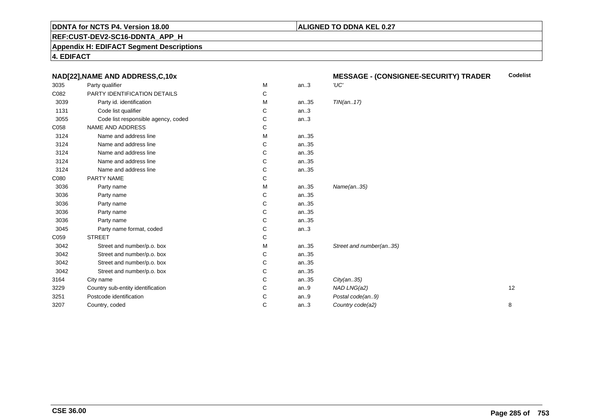### **ALIGNED TO DDNA KEL 0.27**

**REF:CUST-DEV2-SC16-DDNTA\_APP\_H**

**Appendix H: EDIFACT Segment Descriptions**

|      | NAD[22], NAME AND ADDRESS, C, 10x   |   |      | <b>MESSAGE - (CONSIGNEE-SECURITY) TRADER</b> | <b>Codelist</b> |
|------|-------------------------------------|---|------|----------------------------------------------|-----------------|
| 3035 | Party qualifier                     | M | an.3 | 'UC'                                         |                 |
| C082 | PARTY IDENTIFICATION DETAILS        | С |      |                                              |                 |
| 3039 | Party id. identification            | М | an35 | TIN(an17)                                    |                 |
| 1131 | Code list qualifier                 | С | an.3 |                                              |                 |
| 3055 | Code list responsible agency, coded | С | an.3 |                                              |                 |
| C058 | NAME AND ADDRESS                    | С |      |                                              |                 |
| 3124 | Name and address line               | М | an35 |                                              |                 |
| 3124 | Name and address line               | С | an35 |                                              |                 |
| 3124 | Name and address line               | С | an35 |                                              |                 |
| 3124 | Name and address line               | С | an35 |                                              |                 |
| 3124 | Name and address line               | C | an35 |                                              |                 |
| C080 | PARTY NAME                          | С |      |                                              |                 |
| 3036 | Party name                          | M | an35 | Name(an35)                                   |                 |
| 3036 | Party name                          | С | an35 |                                              |                 |
| 3036 | Party name                          | С | an35 |                                              |                 |
| 3036 | Party name                          | C | an35 |                                              |                 |
| 3036 | Party name                          | С | an35 |                                              |                 |
| 3045 | Party name format, coded            | С | an.3 |                                              |                 |
| C059 | <b>STREET</b>                       | С |      |                                              |                 |
| 3042 | Street and number/p.o. box          | М | an35 | Street and number(an35)                      |                 |
| 3042 | Street and number/p.o. box          | С | an35 |                                              |                 |
| 3042 | Street and number/p.o. box          | С | an35 |                                              |                 |
| 3042 | Street and number/p.o. box          | С | an35 |                                              |                 |
| 3164 | City name                           | C | an35 | City(an35)                                   |                 |
| 3229 | Country sub-entity identification   | С | an.9 | NAD LNG(a2)                                  | 12              |
| 3251 | Postcode identification             | С | an.9 | Postal code(an9)                             |                 |
| 3207 | Country, coded                      | C | an.3 | Country code(a2)                             | 8               |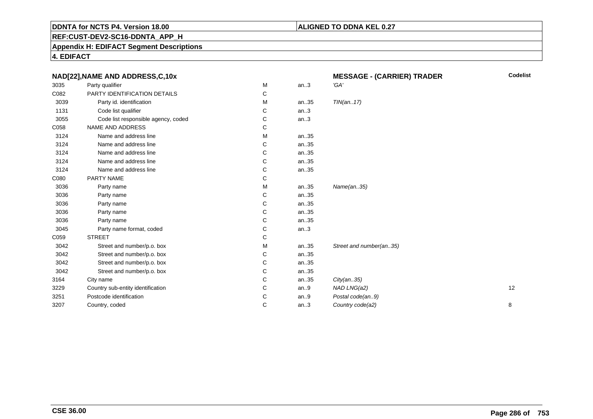### **ALIGNED TO DDNA KEL 0.27**

**REF:CUST-DEV2-SC16-DDNTA\_APP\_H**

**Appendix H: EDIFACT Segment Descriptions**

| NAD[22], NAME AND ADDRESS, C, 10x |                                     | <b>MESSAGE - (CARRIER) TRADER</b> | <b>Codelist</b> |                         |    |
|-----------------------------------|-------------------------------------|-----------------------------------|-----------------|-------------------------|----|
| 3035                              | Party qualifier                     | M                                 | an.3            | 'GA'                    |    |
| C082                              | PARTY IDENTIFICATION DETAILS        | C                                 |                 |                         |    |
| 3039                              | Party id. identification            | м                                 | an35            | TIN(an17)               |    |
| 1131                              | Code list qualifier                 | С                                 | an.3            |                         |    |
| 3055                              | Code list responsible agency, coded | С                                 | an.3            |                         |    |
| C058                              | NAME AND ADDRESS                    | С                                 |                 |                         |    |
| 3124                              | Name and address line               | M                                 | an35            |                         |    |
| 3124                              | Name and address line               | С                                 | an35            |                         |    |
| 3124                              | Name and address line               | С                                 | an35            |                         |    |
| 3124                              | Name and address line               | C                                 | an35            |                         |    |
| 3124                              | Name and address line               | С                                 | an35            |                         |    |
| C080                              | PARTY NAME                          | С                                 |                 |                         |    |
| 3036                              | Party name                          | м                                 | an35            | Name(an35)              |    |
| 3036                              | Party name                          | С                                 | an35            |                         |    |
| 3036                              | Party name                          | C                                 | an35            |                         |    |
| 3036                              | Party name                          | C                                 | an35            |                         |    |
| 3036                              | Party name                          | C                                 | an35            |                         |    |
| 3045                              | Party name format, coded            | С                                 | an.3            |                         |    |
| C059                              | <b>STREET</b>                       | С                                 |                 |                         |    |
| 3042                              | Street and number/p.o. box          | м                                 | an35            | Street and number(an35) |    |
| 3042                              | Street and number/p.o. box          | С                                 | an35            |                         |    |
| 3042                              | Street and number/p.o. box          | C                                 | an35            |                         |    |
| 3042                              | Street and number/p.o. box          | С                                 | an35            |                         |    |
| 3164                              | City name                           | C                                 | an35            | City(an35)              |    |
| 3229                              | Country sub-entity identification   | C                                 | an.9            | NAD LNG(a2)             | 12 |
| 3251                              | Postcode identification             | C                                 | an.9            | Postal code(an9)        |    |
| 3207                              | Country, coded                      | C                                 | an.3            | Country code(a2)        | 8  |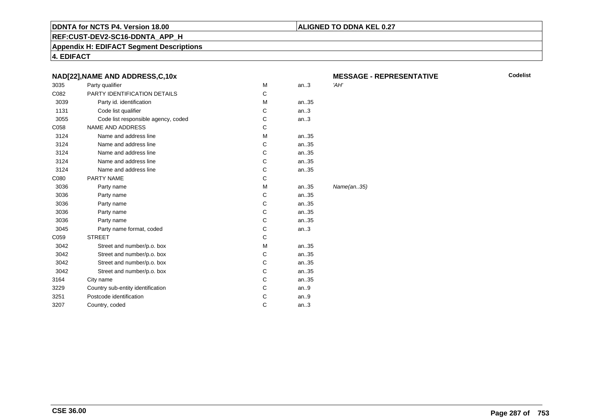### **ALIGNED TO DDNA KEL 0.27**

**REF:CUST-DEV2-SC16-DDNTA\_APP\_H**

**Appendix H: EDIFACT Segment Descriptions**

**4. EDIFACT**

|      | NAD[22], NAME AND ADDRESS, C, 10x   |   |       | <b>MESSAGE</b> |
|------|-------------------------------------|---|-------|----------------|
| 3035 | Party qualifier                     | M | an.3  | 'AH'           |
| C082 | PARTY IDENTIFICATION DETAILS        | C |       |                |
| 3039 | Party id. identification            | M | an35  |                |
| 1131 | Code list qualifier                 | С | an.3  |                |
| 3055 | Code list responsible agency, coded | С | an.3  |                |
| C058 | <b>NAME AND ADDRESS</b>             | C |       |                |
| 3124 | Name and address line               | M | an.35 |                |
| 3124 | Name and address line               | С | an35  |                |
| 3124 | Name and address line               | C | an35  |                |
| 3124 | Name and address line               | C | an35  |                |
| 3124 | Name and address line               | С | an35  |                |
| C080 | <b>PARTY NAME</b>                   | C |       |                |
| 3036 | Party name                          | М | an35  | Name(an35)     |
| 3036 | Party name                          | C | an35  |                |
| 3036 | Party name                          | C | an35  |                |
| 3036 | Party name                          | C | an35  |                |
| 3036 | Party name                          | C | an35  |                |
| 3045 | Party name format, coded            | С | an.3  |                |
| C059 | <b>STREET</b>                       | C |       |                |
| 3042 | Street and number/p.o. box          | M | an35  |                |
| 3042 | Street and number/p.o. box          | C | an.35 |                |
| 3042 | Street and number/p.o. box          | С | an35  |                |
| 3042 | Street and number/p.o. box          | C | an35  |                |
| 3164 | City name                           | C | an35  |                |
| 3229 | Country sub-entity identification   | С | an.9  |                |
| 3251 | Postcode identification             | С | an.9  |                |
| 3207 | Country, coded                      | C | an.3  |                |
|      |                                     |   |       |                |

**MESSAGE - REPRESENTATIVE**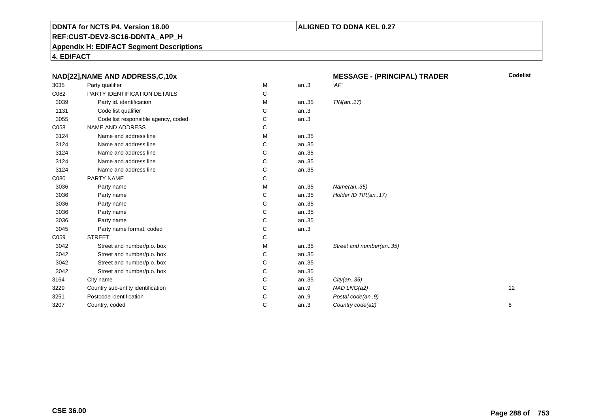### **ALIGNED TO DDNA KEL 0.27**

**REF:CUST-DEV2-SC16-DDNTA\_APP\_H**

**Appendix H: EDIFACT Segment Descriptions**

|      | NAD[22], NAME AND ADDRESS, C, 10x   |   |         | <b>MESSAGE - (PRINCIPAL) TRADER</b> | <b>Codelist</b> |
|------|-------------------------------------|---|---------|-------------------------------------|-----------------|
| 3035 | Party qualifier                     | M | an.3    | 'AF'                                |                 |
| C082 | PARTY IDENTIFICATION DETAILS        | С |         |                                     |                 |
| 3039 | Party id. identification            | М | an35    | TIN(an17)                           |                 |
| 1131 | Code list qualifier                 | С | an.3    |                                     |                 |
| 3055 | Code list responsible agency, coded | С | an.3    |                                     |                 |
| C058 | NAME AND ADDRESS                    | С |         |                                     |                 |
| 3124 | Name and address line               | M | an35    |                                     |                 |
| 3124 | Name and address line               | С | an35    |                                     |                 |
| 3124 | Name and address line               | С | an35    |                                     |                 |
| 3124 | Name and address line               | C | an35    |                                     |                 |
| 3124 | Name and address line               | С | an35    |                                     |                 |
| C080 | PARTY NAME                          | С |         |                                     |                 |
| 3036 | Party name                          | M | an35    | Name(an35)                          |                 |
| 3036 | Party name                          | С | an35    | Holder ID TIR(an17)                 |                 |
| 3036 | Party name                          | C | an35    |                                     |                 |
| 3036 | Party name                          | C | an35    |                                     |                 |
| 3036 | Party name                          | С | an35    |                                     |                 |
| 3045 | Party name format, coded            | С | an.3    |                                     |                 |
| C059 | <b>STREET</b>                       | С |         |                                     |                 |
| 3042 | Street and number/p.o. box          | М | an35    | Street and number(an35)             |                 |
| 3042 | Street and number/p.o. box          | С | an35    |                                     |                 |
| 3042 | Street and number/p.o. box          | С | an35    |                                     |                 |
| 3042 | Street and number/p.o. box          | С | an35    |                                     |                 |
| 3164 | City name                           | C | an35    | City(an35)                          |                 |
| 3229 | Country sub-entity identification   | C | an.9    | NAD LNG(a2)                         | 12              |
| 3251 | Postcode identification             | C | an. $9$ | Postal code(an9)                    |                 |
| 3207 | Country, coded                      | C | an.3    | Country code(a2)                    | 8               |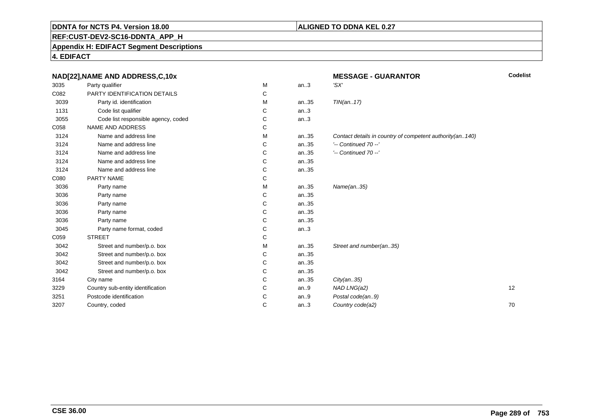#### **ALIGNED TO DDNA KEL 0.27**

**REF:CUST-DEV2-SC16-DDNTA\_APP\_H**

**Appendix H: EDIFACT Segment Descriptions**

**4. EDIFACT**

|      | NAD[22], NAME AND ADDRESS, C, 10x   |   |      | <b>MESSAGE - GUARANTOR</b>                               | Codelist |
|------|-------------------------------------|---|------|----------------------------------------------------------|----------|
| 3035 | Party qualifier                     | M | an.3 | 'SX'                                                     |          |
| C082 | PARTY IDENTIFICATION DETAILS        | С |      |                                                          |          |
| 3039 | Party id. identification            | М | an35 | TIN(an17)                                                |          |
| 1131 | Code list qualifier                 | С | an.3 |                                                          |          |
| 3055 | Code list responsible agency, coded | С | an.3 |                                                          |          |
| C058 | <b>NAME AND ADDRESS</b>             | С |      |                                                          |          |
| 3124 | Name and address line               | M | an35 | Contact details in country of competent authority(an140) |          |
| 3124 | Name and address line               | С | an35 | $'-$ Continued 70 $-$ '                                  |          |
| 3124 | Name and address line               | С | an35 | $'-$ Continued 70 $-$ '                                  |          |
| 3124 | Name and address line               | С | an35 |                                                          |          |
| 3124 | Name and address line               | С | an35 |                                                          |          |
| C080 | PARTY NAME                          | С |      |                                                          |          |
| 3036 | Party name                          | M | an35 | Name(an35)                                               |          |
| 3036 | Party name                          | С | an35 |                                                          |          |
| 3036 | Party name                          | C | an35 |                                                          |          |
| 3036 | Party name                          | С | an35 |                                                          |          |
| 3036 | Party name                          | С | an35 |                                                          |          |
| 3045 | Party name format, coded            | С | an.3 |                                                          |          |
| C059 | <b>STREET</b>                       | С |      |                                                          |          |
| 3042 | Street and number/p.o. box          | М | an35 | Street and number(an35)                                  |          |
| 3042 | Street and number/p.o. box          | С | an35 |                                                          |          |
| 3042 | Street and number/p.o. box          | С | an35 |                                                          |          |
| 3042 | Street and number/p.o. box          | С | an35 |                                                          |          |
| 3164 | City name                           | С | an35 | City(an35)                                               |          |
| 3229 | Country sub-entity identification   | С | an.9 | NAD LNG(a2)                                              | 12       |
| 3251 | Postcode identification             | С | an.9 | Postal code(an9)                                         |          |
| 3207 | Country, coded                      | C | an.3 | Country code(a2)                                         | 70       |
|      |                                     |   |      |                                                          |          |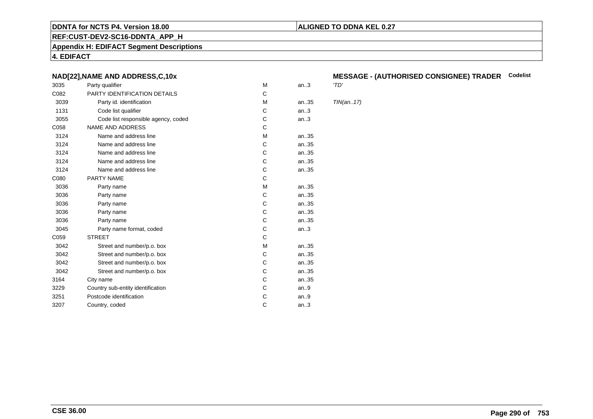#### **ALIGNED TO DDNA KEL 0.27**

**REF:CUST-DEV2-SC16-DDNTA\_APP\_H**

**Appendix H: EDIFACT Segment Descriptions**

**4. EDIFACT**

#### **NAD[22],NAME AND ADDRESS,C,10x**

| 3035 | Party qualifier                     | М | an.3  | 'TD' |
|------|-------------------------------------|---|-------|------|
| C082 | PARTY IDENTIFICATION DETAILS        | C |       |      |
| 3039 | Party id. identification            | м | an.35 | TIN  |
| 1131 | Code list qualifier                 | C | an.3  |      |
| 3055 | Code list responsible agency, coded | С | an.3  |      |
| C058 | <b>NAME AND ADDRESS</b>             | C |       |      |
| 3124 | Name and address line               | M | an35  |      |
| 3124 | Name and address line               | С | an35  |      |
| 3124 | Name and address line               | C | an35  |      |
| 3124 | Name and address line               | C | an35  |      |
| 3124 | Name and address line               | C | an35  |      |
| C080 | PARTY NAME                          | C |       |      |
| 3036 | Party name                          | M | an35  |      |
| 3036 | Party name                          | C | an35  |      |
| 3036 | Party name                          | C | an.35 |      |
| 3036 | Party name                          | C | an.35 |      |
| 3036 | Party name                          | C | an35  |      |
| 3045 | Party name format, coded            | С | an.3  |      |
| C059 | <b>STREET</b>                       | C |       |      |
| 3042 | Street and number/p.o. box          | M | an35  |      |
| 3042 | Street and number/p.o. box          | C | an35  |      |
| 3042 | Street and number/p.o. box          | C | an35  |      |
| 3042 | Street and number/p.o. box          | C | an.35 |      |
| 3164 | City name                           | С | an.35 |      |
| 3229 | Country sub-entity identification   | C | an.9  |      |
| 3251 | Postcode identification             | С | an.9  |      |
| 3207 | Country, coded                      | C | an.3  |      |
|      |                                     |   |       |      |

## **MESSAGE - (AUTHORISED CONSIGNEE) TRADER Codelist**

 $TIN(an..17)$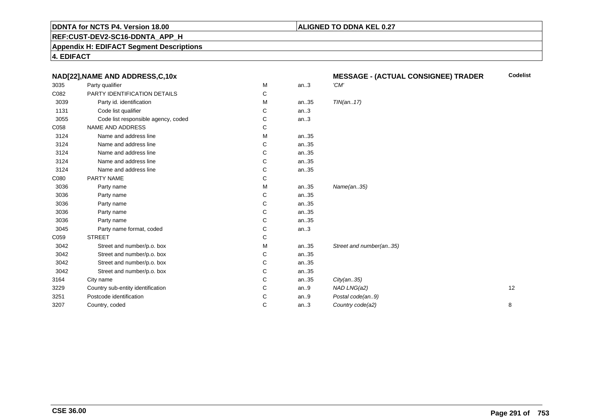#### **ALIGNED TO DDNA KEL 0.27**

**REF:CUST-DEV2-SC16-DDNTA\_APP\_H**

**Appendix H: EDIFACT Segment Descriptions**

**4. EDIFACT**

|      | NAD[22], NAME AND ADDRESS, C, 10x   |   |      | <b>MESSAGE - (ACTUAL CONSIGNEE) TRADER</b> | <b>Codelist</b> |
|------|-------------------------------------|---|------|--------------------------------------------|-----------------|
| 3035 | Party qualifier                     | М | an.3 | 'CM'                                       |                 |
| C082 | PARTY IDENTIFICATION DETAILS        | С |      |                                            |                 |
| 3039 | Party id. identification            | М | an35 | TIN(an17)                                  |                 |
| 1131 | Code list qualifier                 | С | an.3 |                                            |                 |
| 3055 | Code list responsible agency, coded | С | an.3 |                                            |                 |
| C058 | NAME AND ADDRESS                    | С |      |                                            |                 |
| 3124 | Name and address line               | М | an35 |                                            |                 |
| 3124 | Name and address line               | С | an35 |                                            |                 |
| 3124 | Name and address line               | С | an35 |                                            |                 |
| 3124 | Name and address line               | С | an35 |                                            |                 |
| 3124 | Name and address line               | С | an35 |                                            |                 |
| C080 | PARTY NAME                          | С |      |                                            |                 |
| 3036 | Party name                          | M | an35 | Name(an35)                                 |                 |
| 3036 | Party name                          | С | an35 |                                            |                 |
| 3036 | Party name                          | С | an35 |                                            |                 |
| 3036 | Party name                          | С | an35 |                                            |                 |
| 3036 | Party name                          | С | an35 |                                            |                 |
| 3045 | Party name format, coded            | С | an.3 |                                            |                 |
| C059 | <b>STREET</b>                       | С |      |                                            |                 |
| 3042 | Street and number/p.o. box          | м | an35 | Street and number(an35)                    |                 |
| 3042 | Street and number/p.o. box          | С | an35 |                                            |                 |
| 3042 | Street and number/p.o. box          | С | an35 |                                            |                 |
| 3042 | Street and number/p.o. box          | С | an35 |                                            |                 |
| 3164 | City name                           | С | an35 | City(an35)                                 |                 |
| 3229 | Country sub-entity identification   | С | an.9 | NAD LNG(a2)                                | 12              |
| 3251 | Postcode identification             | С | an.9 | Postal code(an9)                           |                 |
| 3207 | Country, coded                      | C | an.3 | Country code(a2)                           | 8               |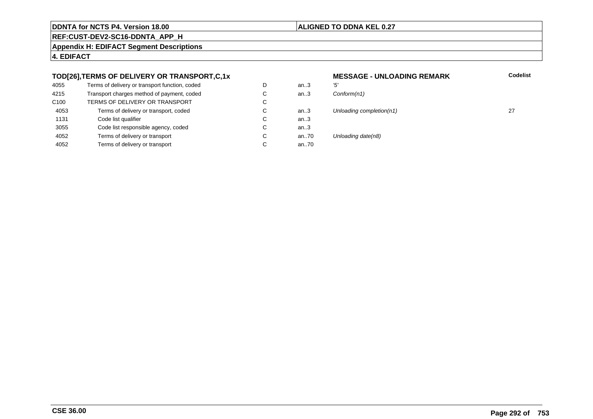#### **ALIGNED TO DDNA KEL 0.27**

an.. $3$ <br>an.. $3$ 

an..3

an..3<br>an..70

an..70

**REF:CUST-DEV2-SC16-DDNTA\_APP\_H**

**Appendix H: EDIFACT Segment Descriptions**

**4. EDIFACT**

#### **TOD[26],TERMS OF DELIVERY OR TRANSPORT,C,1x**

| 4055             | Terms of delivery or transport function, coded | D |
|------------------|------------------------------------------------|---|
| 4215             | Transport charges method of payment, coded     | C |
| C <sub>100</sub> | TERMS OF DELIVERY OR TRANSPORT                 | C |
| 4053             | Terms of delivery or transport, coded          | C |
| 1131             | Code list qualifier                            | C |
| 3055             | Code list responsible agency, coded            | C |
| 4052             | Terms of delivery or transport                 | C |
| 4052             | Terms of delivery or transport                 | C |

## **MESSAGE - UNLOADING REMARK Codelist**  $Conform(n1)$ an..3 Unloading completion(n1) 27 Unloading date(n8)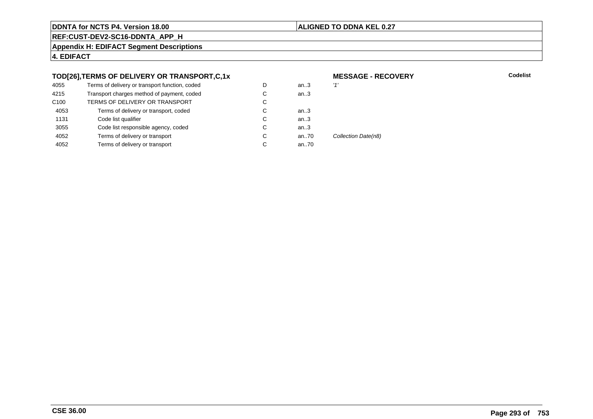#### **ALIGNED TO DDNA KEL 0.27**

**REF:CUST-DEV2-SC16-DDNTA\_APP\_H**

**Appendix H: EDIFACT Segment Descriptions**

**4. EDIFACT**

#### **TOD[26],TERMS OF DELIVERY OR TRANSPORT,C,1x**

| 4055             | Terms of delivery or transport function, coded | D | an3  | '1'    |
|------------------|------------------------------------------------|---|------|--------|
| 4215             | Transport charges method of payment, coded     | С | an.3 |        |
| C <sub>100</sub> | TERMS OF DELIVERY OR TRANSPORT                 | С |      |        |
| 4053             | Terms of delivery or transport, coded          | С | an3  |        |
| 1131             | Code list qualifier                            | C | an.3 |        |
| 3055             | Code list responsible agency, coded            | С | an.3 |        |
| 4052             | Terms of delivery or transport                 | C | an70 | Collec |
| 4052             | Terms of delivery or transport                 | С | an70 |        |
|                  |                                                |   |      |        |

#### **MESSAGE - RECOVERY**

**Lackson Codelist** Codelist

ction Date(n8)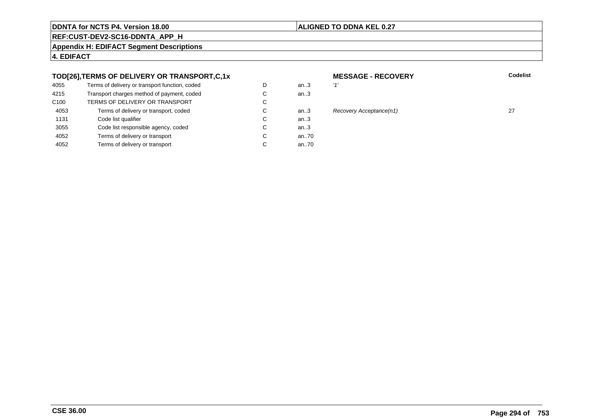#### **ALIGNED TO DDNA KEL 0.27**

**REF:CUST-DEV2-SC16-DDNTA\_APP\_H**

**Appendix H: EDIFACT Segment Descriptions**

**4. EDIFACT**

#### **TOD[26],TERMS OF DELIVERY OR TRANSPORT,C,1x**

| 4055             | Terms of delivery or transport function, coded | D | an.3 |
|------------------|------------------------------------------------|---|------|
| 4215             | Transport charges method of payment, coded     | C | an.3 |
| C <sub>100</sub> | TERMS OF DELIVERY OR TRANSPORT                 | C |      |
| 4053             | Terms of delivery or transport, coded          | C | an.3 |
| 1131             | Code list qualifier                            | C | an.3 |
| 3055             | Code list responsible agency, coded            | C | an.3 |
| 4052             | Terms of delivery or transport                 | C | an70 |
| 4052             | Terms of delivery or transport                 | C | an70 |
|                  |                                                |   |      |

#### **MESSAGE - RECOVERYLackson Codelist** Codelist

# n..3 Recovery Acceptance(n1) 27 and 27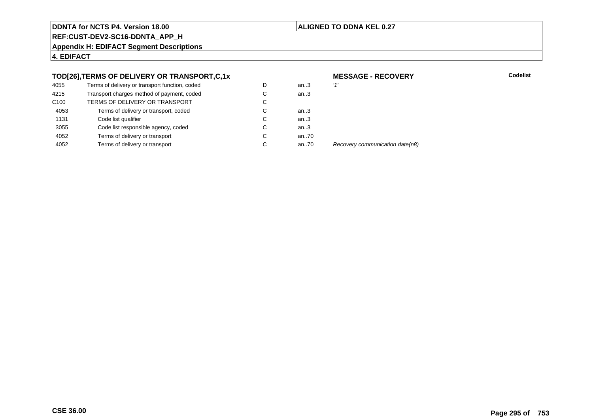#### **ALIGNED TO DDNA KEL 0.27**

**REF:CUST-DEV2-SC16-DDNTA\_APP\_H**

**Appendix H: EDIFACT Segment Descriptions**

**4. EDIFACT**

#### **TOD[26],TERMS OF DELIVERY OR TRANSPORT,C,1x**

| 4055             | Terms of delivery or transport function, coded | D | an $3$ | '1' |
|------------------|------------------------------------------------|---|--------|-----|
| 4215             | Transport charges method of payment, coded     | С | an.3   |     |
| C <sub>100</sub> | TERMS OF DELIVERY OR TRANSPORT                 | C |        |     |
| 4053             | Terms of delivery or transport, coded          | С | an.3   |     |
| 1131             | Code list qualifier                            | C | an.3   |     |
| 3055             | Code list responsible agency, coded            | С | an.3   |     |
| 4052             | Terms of delivery or transport                 | С | an70   |     |
| 4052             | Terms of delivery or transport                 | С | an70   | R   |
|                  |                                                |   |        |     |

**MESSAGE - RECOVERY**

**Lackson Codelist** Codelist

Recovery communication date(n8)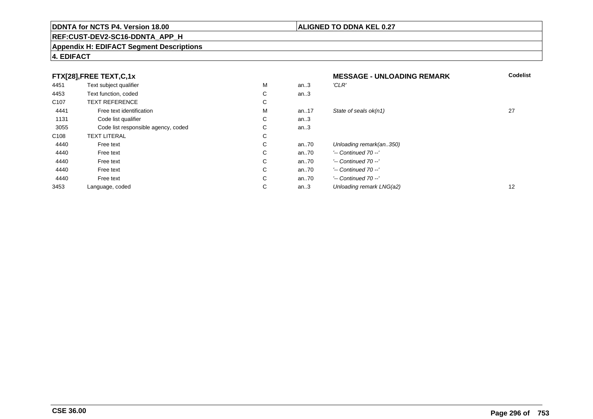#### **REF:CUST-DEV2-SC16-DDNTA\_APP\_H**

#### **Appendix H: EDIFACT Segment Descriptions**

#### **4. EDIFACT**

|                  | FTX[28], FREE TEXT, C, 1x           |             |       | <b>MESSAGE - UNLOADING REMARK</b> | <b>Codelist</b>   |
|------------------|-------------------------------------|-------------|-------|-----------------------------------|-------------------|
| 4451             | Text subject qualifier              | М           | an.3  | 'CLR'                             |                   |
| 4453             | Text function, coded                | ⌒<br>Ü      | an.3  |                                   |                   |
| C <sub>107</sub> | <b>TEXT REFERENCE</b>               | С           |       |                                   |                   |
| 4441             | Free text identification            | M           | an17  | State of seals ok(n1)             | 27                |
| 1131             | Code list qualifier                 | С           | an.3  |                                   |                   |
| 3055             | Code list responsible agency, coded | ⌒<br>◡      | an.3  |                                   |                   |
| C <sub>108</sub> | <b>TEXT LITERAL</b>                 | $\sim$<br>Ü |       |                                   |                   |
| 4440             | Free text                           | $\sim$<br>Ü | an70  | Unloading remark(an350)           |                   |
| 4440             | Free text                           | С           | an.70 | $'-$ Continued 70 $-$ '           |                   |
| 4440             | Free text                           | С           | an70  | $'-$ Continued 70 $-$ '           |                   |
| 4440             | Free text                           | С           | an70  | $'-$ Continued 70 $-$ '           |                   |
| 4440             | Free text                           | $\sim$<br>Ü | an70  | $'-$ Continued 70 $-$ '           |                   |
| 3453             | Language, coded                     | $\sim$<br>◡ | an.3  | Unloading remark LNG(a2)          | $12 \overline{ }$ |

#### **ALIGNED TO DDNA KEL 0.27**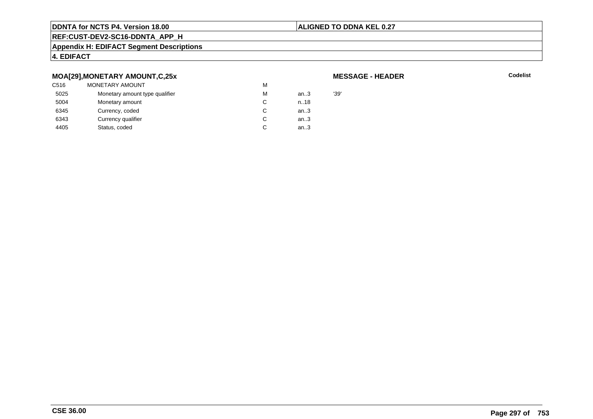#### **ALIGNED TO DDNA KEL 0.27**

### **REF:CUST-DEV2-SC16-DDNTA\_APP\_H**

#### **Appendix H: EDIFACT Segment Descriptions**

#### **4. EDIFACT**

#### **MOA[29],MONETARY AMOUNT,C,25x**

| C516 | <b>MONETARY AMOUNT</b>         | м |      |      |
|------|--------------------------------|---|------|------|
| 5025 | Monetary amount type qualifier | м | an.3 | '39' |
| 5004 | Monetary amount                |   | n.18 |      |
| 6345 | Currency, coded                |   | an.3 |      |
| 6343 | Currency qualifier             |   | an.3 |      |
| 4405 | Status, coded                  |   | an.3 |      |

#### **MESSAGE - HEADER**

**R** Codelist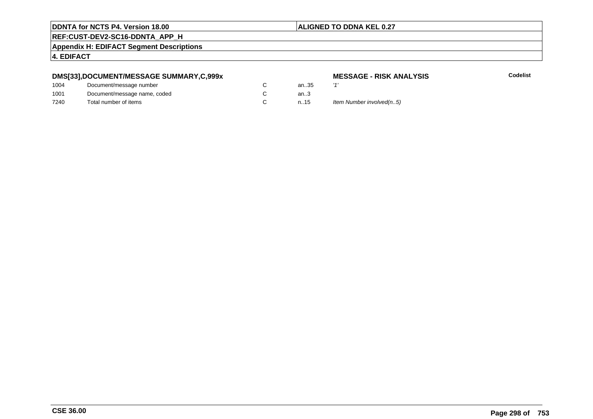#### **ALIGNED TO DDNA KEL 0.27**

### **REF:CUST-DEV2-SC16-DDNTA\_APP\_H**

**Appendix H: EDIFACT Segment Descriptions**

#### **4. EDIFACT**

#### **DMS[33],DOCUMENT/MESSAGE SUMMARY,C,999x**

| 1004 | Document/message number      | an35 | $\overline{1}$ |
|------|------------------------------|------|----------------|
| 1001 | Document/message name, coded | an3  |                |
| 7240 | Total number of items        | n.15 | lte            |

# **MESSAGE - RISK ANALYSIS**<br>..35  $'$

**Codelist**

15 Item Number involved(n..5)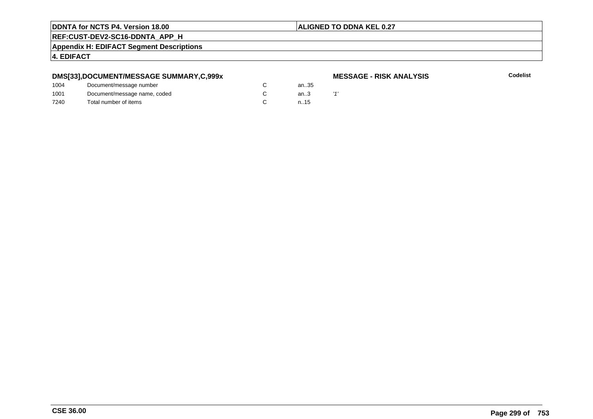#### **ALIGNED TO DDNA KEL 0.27**

**REF:CUST-DEV2-SC16-DDNTA\_APP\_H**

**Appendix H: EDIFACT Segment Descriptions**

**4. EDIFACT**

#### **DMS[33],DOCUMENT/MESSAGE SUMMARY,C,999x**

#### **MESSAGE - RISK ANALYSIS**

| 1004 | Document/message number      |  | an35 |  |
|------|------------------------------|--|------|--|
| 1001 | Document/message name, coded |  | an.3 |  |
| 7240 | Total number of items        |  | n.15 |  |
|      |                              |  |      |  |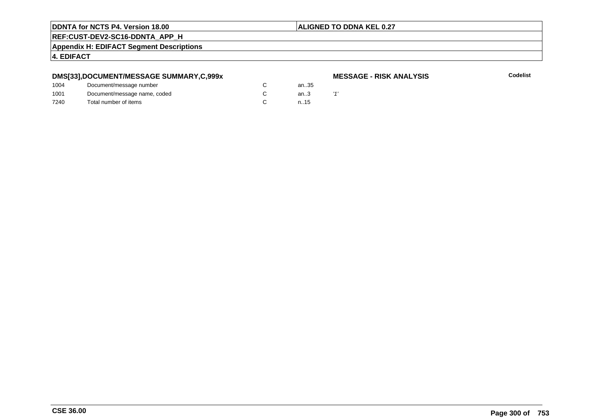#### **ALIGNED TO DDNA KEL 0.27**

**REF:CUST-DEV2-SC16-DDNTA\_APP\_H**

**Appendix H: EDIFACT Segment Descriptions**

**4. EDIFACT**

#### **DMS[33],DOCUMENT/MESSAGE SUMMARY,C,999x**

#### **MESSAGE - RISK ANALYSIS**

| 1004 | Document/message number      |  | an35 |  |
|------|------------------------------|--|------|--|
| 1001 | Document/message name, coded |  | an.3 |  |
| 7240 | Total number of items        |  | n.15 |  |
|      |                              |  |      |  |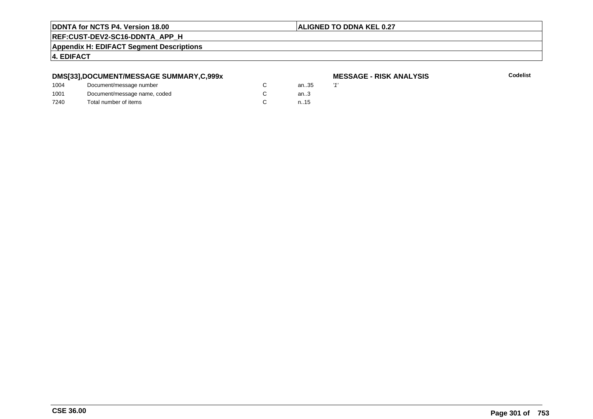#### **ALIGNED TO DDNA KEL 0.27**

#### **REF:CUST-DEV2-SC16-DDNTA\_APP\_H**

**Appendix H: EDIFACT Segment Descriptions**

#### **4. EDIFACT**

#### **DMS[33],DOCUMENT/MESSAGE SUMMARY,C,999x**

| 1004 | Document/message number      | an35   | $\overline{1}$ |
|------|------------------------------|--------|----------------|
| 1001 | Document/message name, coded | an $3$ |                |
| 7240 | Total number of items        | n.15   |                |

# **MESSAGE - RISK ANALYSIS**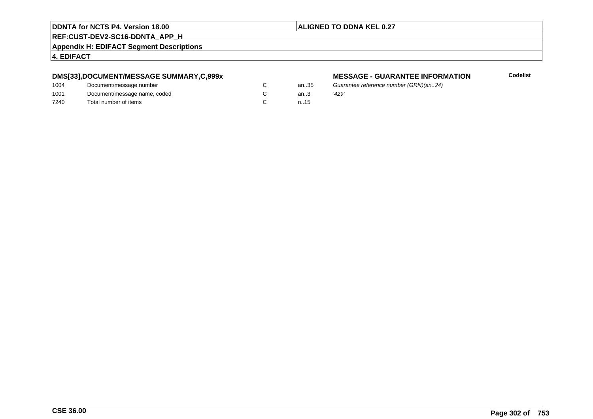#### **ALIGNED TO DDNA KEL 0.27**

**REF:CUST-DEV2-SC16-DDNTA\_APP\_H**

**Appendix H: EDIFACT Segment Descriptions**

**4. EDIFACT**

#### **DMS[33],DOCUMENT/MESSAGE SUMMARY,C,999x**

| 1004 | Document/message number      | an.35  | Guai  |
|------|------------------------------|--------|-------|
| 1001 | Document/message name, coded | an $3$ | '429' |
| 7240 | Total number of items        | n.15   |       |

#### **MESSAGE - GUARANTEE INFORMATION**

Guarantee reference number (GRN)(an..24)<br>'429'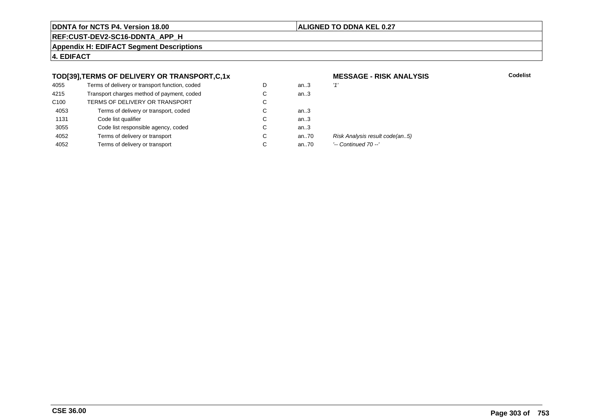#### **ALIGNED TO DDNA KEL 0.27**

**REF:CUST-DEV2-SC16-DDNTA\_APP\_H**

**Appendix H: EDIFACT Segment Descriptions**

**4. EDIFACT**

#### **TOD[39],TERMS OF DELIVERY OR TRANSPORT,C,1x**

| 4055             | Terms of delivery or transport function, coded | D | an $3$ | '1'    |
|------------------|------------------------------------------------|---|--------|--------|
| 4215             | Transport charges method of payment, coded     | С | an.3   |        |
| C <sub>100</sub> | TERMS OF DELIVERY OR TRANSPORT                 | C |        |        |
| 4053             | Terms of delivery or transport, coded          | С | an $3$ |        |
| 1131             | Code list qualifier                            | C | an.3   |        |
| 3055             | Code list responsible agency, coded            | C | an.3   |        |
| 4052             | Terms of delivery or transport                 | С | an70   | Ri     |
| 4052             | Terms of delivery or transport                 | С | an70   | $\sim$ |
|                  |                                                |   |        |        |

# **MESSAGE - RISK ANALYSIS**

**Codelist**

Risk Analysis result code(an..5)

'-- Continued 70 --'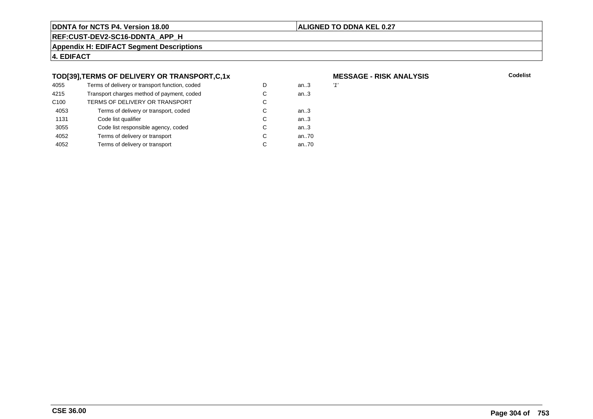#### **ALIGNED TO DDNA KEL 0.27**

**REF:CUST-DEV2-SC16-DDNTA\_APP\_H**

**Appendix H: EDIFACT Segment Descriptions**

**4. EDIFACT**

#### **TOD[39],TERMS OF DELIVERY OR TRANSPORT,C,1x**

| 4055             | Terms of delivery or transport function, coded | D | an.3 | '1' |
|------------------|------------------------------------------------|---|------|-----|
| 4215             | Transport charges method of payment, coded     | С | an.3 |     |
| C <sub>100</sub> | TERMS OF DELIVERY OR TRANSPORT                 | С |      |     |
| 4053             | Terms of delivery or transport, coded          | С | an3  |     |
| 1131             | Code list qualifier                            | C | an.3 |     |
| 3055             | Code list responsible agency, coded            | С | an.3 |     |
| 4052             | Terms of delivery or transport                 | C | an70 |     |
| 4052             | Terms of delivery or transport                 | С | an70 |     |
|                  |                                                |   |      |     |

# **MESSAGE - RISK ANALYSIS**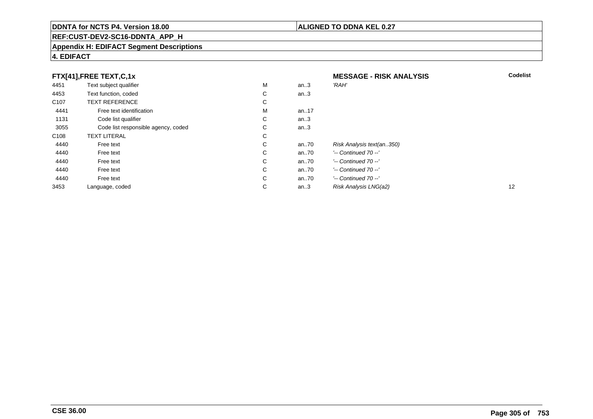#### **REF:CUST-DEV2-SC16-DDNTA\_APP\_H**

#### **Appendix H: EDIFACT Segment Descriptions**

#### **4. EDIFACT**

| FTX[41],FREE TEXT,C,1x |                                     |   | <b>MESSAGE - RISK ANALYSIS</b> | <b>Codelist</b>           |                   |
|------------------------|-------------------------------------|---|--------------------------------|---------------------------|-------------------|
| 4451                   | Text subject qualifier              | М | an.3                           | 'RAH'                     |                   |
| 4453                   | Text function, coded                | С | an.3                           |                           |                   |
| C <sub>107</sub>       | <b>TEXT REFERENCE</b>               | С |                                |                           |                   |
| 4441                   | Free text identification            | М | an17                           |                           |                   |
| 1131                   | Code list qualifier                 | С | an $.3$                        |                           |                   |
| 3055                   | Code list responsible agency, coded | C | an.3                           |                           |                   |
| C <sub>108</sub>       | <b>TEXT LITERAL</b>                 | С |                                |                           |                   |
| 4440                   | Free text                           | C | an70                           | Risk Analysis text(an350) |                   |
| 4440                   | Free text                           | C | an70                           | $'-$ Continued 70 $-$ '   |                   |
| 4440                   | Free text                           | C | an70                           | $'-$ Continued 70 $-$ '   |                   |
| 4440                   | Free text                           | C | an70                           | '-- Continued 70 --'      |                   |
| 4440                   | Free text                           | C | an70                           | $'-$ Continued 70 $-$ '   |                   |
| 3453                   | Language, coded                     | С | an.3                           | Risk Analysis LNG(a2)     | $12 \overline{ }$ |

#### **ALIGNED TO DDNA KEL 0.27**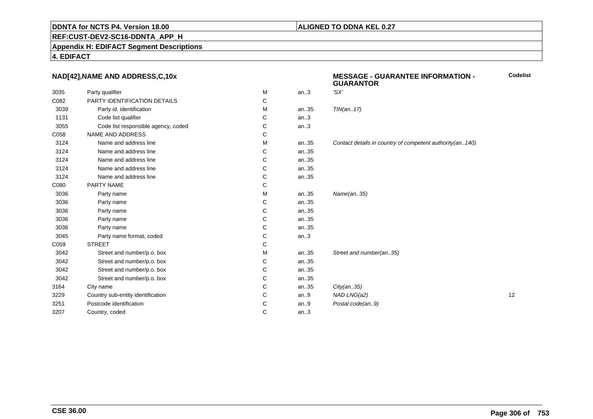#### **ALIGNED TO DDNA KEL 0.27**

**REF:CUST-DEV2-SC16-DDNTA\_APP\_H**

**Appendix H: EDIFACT Segment Descriptions**

**4. EDIFACT**

#### **NAD[42],NAME AND ADDRESS,C,10x**

|      |                                     |   |      | 9988889999                                                 |    |
|------|-------------------------------------|---|------|------------------------------------------------------------|----|
| 3035 | Party qualifier                     | M | an.3 | 'SX'                                                       |    |
| C082 | PARTY IDENTIFICATION DETAILS        | С |      |                                                            |    |
| 3039 | Party id. identification            | M | an35 | TIN(an17)                                                  |    |
| 1131 | Code list qualifier                 | С | an.3 |                                                            |    |
| 3055 | Code list responsible agency, coded | C | an.3 |                                                            |    |
| C058 | <b>NAME AND ADDRESS</b>             | С |      |                                                            |    |
| 3124 | Name and address line               | M | an35 | Contact details in country of competent authority(an. 140) |    |
| 3124 | Name and address line               | C | an35 |                                                            |    |
| 3124 | Name and address line               | C | an35 |                                                            |    |
| 3124 | Name and address line               | С | an35 |                                                            |    |
| 3124 | Name and address line               | C | an35 |                                                            |    |
| C080 | PARTY NAME                          | С |      |                                                            |    |
| 3036 | Party name                          | M | an35 | Name(an35)                                                 |    |
| 3036 | Party name                          | С | an35 |                                                            |    |
| 3036 | Party name                          | C | an35 |                                                            |    |
| 3036 | Party name                          | С | an35 |                                                            |    |
| 3036 | Party name                          | C | an35 |                                                            |    |
| 3045 | Party name format, coded            | С | an.3 |                                                            |    |
| C059 | <b>STREET</b>                       | С |      |                                                            |    |
| 3042 | Street and number/p.o. box          | M | an35 | Street and number(an35)                                    |    |
| 3042 | Street and number/p.o. box          | С | an35 |                                                            |    |
| 3042 | Street and number/p.o. box          | C | an35 |                                                            |    |
| 3042 | Street and number/p.o. box          | C | an35 |                                                            |    |
| 3164 | City name                           | С | an35 | City(an35)                                                 |    |
| 3229 | Country sub-entity identification   | C | an.9 | NAD LNG(a2)                                                | 12 |
| 3251 | Postcode identification             | C | an.9 | Postal code(an9)                                           |    |
| 3207 | Country, coded                      | C | an.3 |                                                            |    |
|      |                                     |   |      |                                                            |    |

#### **MESSAGE - GUARANTEE INFORMATION - GUARANTORCodelist**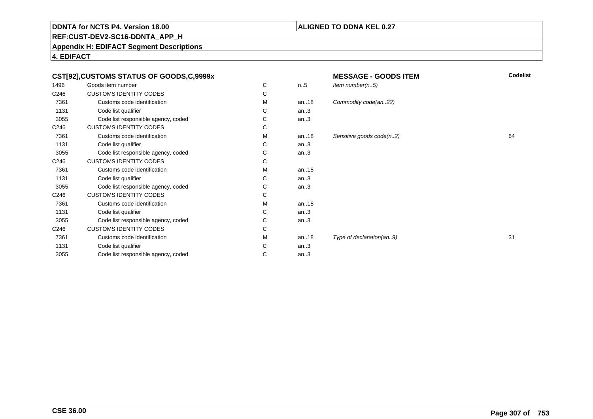#### **ALIGNED TO DDNA KEL 0.27**

**REF:CUST-DEV2-SC16-DDNTA\_APP\_H**

**Appendix H: EDIFACT Segment Descriptions**

**4. EDIFACT**

| CST[92],CUSTOMS STATUS OF GOODS,C,9999x |                                     |   | Codelist<br><b>MESSAGE - GOODS ITEM</b> |                          |    |
|-----------------------------------------|-------------------------------------|---|-----------------------------------------|--------------------------|----|
| 1496                                    | Goods item number                   | С | n.5                                     | Item number $(n.5)$      |    |
| C246                                    | <b>CUSTOMS IDENTITY CODES</b>       | С |                                         |                          |    |
| 7361                                    | Customs code identification         | М | an18                                    | Commodity code(an22)     |    |
| 1131                                    | Code list qualifier                 | С | an.3                                    |                          |    |
| 3055                                    | Code list responsible agency, coded | С | an.3                                    |                          |    |
| C246                                    | <b>CUSTOMS IDENTITY CODES</b>       | С |                                         |                          |    |
| 7361                                    | Customs code identification         | м | an18                                    | Sensitive goods code(n2) | 64 |
| 1131                                    | Code list qualifier                 | С | an.3                                    |                          |    |
| 3055                                    | Code list responsible agency, coded | С | an.3                                    |                          |    |
| C246                                    | <b>CUSTOMS IDENTITY CODES</b>       | С |                                         |                          |    |
| 7361                                    | Customs code identification         | М | an. $18$                                |                          |    |
| 1131                                    | Code list qualifier                 | С | an.3                                    |                          |    |
| 3055                                    | Code list responsible agency, coded | С | an.3                                    |                          |    |
| C246                                    | <b>CUSTOMS IDENTITY CODES</b>       | С |                                         |                          |    |
| 7361                                    | Customs code identification         | М | an18                                    |                          |    |
| 1131                                    | Code list qualifier                 | С | an.3                                    |                          |    |
| 3055                                    | Code list responsible agency, coded | С | an.3                                    |                          |    |
| C246                                    | <b>CUSTOMS IDENTITY CODES</b>       | С |                                         |                          |    |
| 7361                                    | Customs code identification         | м | an $.18$                                | Type of declaration(an9) | 31 |
| 1131                                    | Code list qualifier                 | С | an.3                                    |                          |    |
| 3055                                    | Code list responsible agency, coded | С | an.3                                    |                          |    |
|                                         |                                     |   |                                         |                          |    |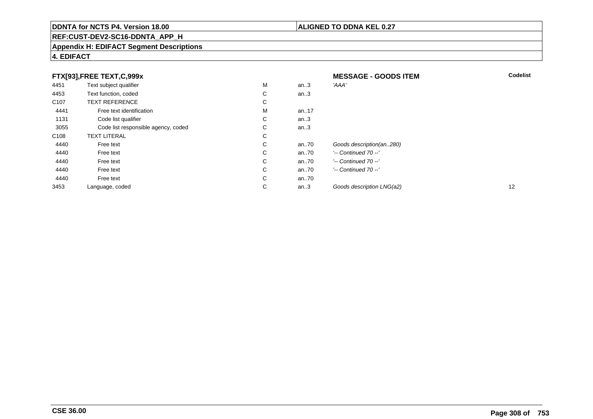#### **REF:CUST-DEV2-SC16-DDNTA\_APP\_H**

#### **Appendix H: EDIFACT Segment Descriptions**

#### **4. EDIFACT**

| FTX[93],FREE TEXT,C,999x |                                     |   | <b>MESSAGE - GOODS ITEM</b> | <b>Codelist</b>           |    |
|--------------------------|-------------------------------------|---|-----------------------------|---------------------------|----|
| 4451                     | Text subject qualifier              | М | an.3                        | 'AAA'                     |    |
| 4453                     | Text function, coded                | С | an.3                        |                           |    |
| C <sub>107</sub>         | <b>TEXT REFERENCE</b>               | С |                             |                           |    |
| 4441                     | Free text identification            | М | an17                        |                           |    |
| 1131                     | Code list qualifier                 | С | an.3                        |                           |    |
| 3055                     | Code list responsible agency, coded | С | an.3                        |                           |    |
| C <sub>108</sub>         | <b>TEXT LITERAL</b>                 | С |                             |                           |    |
| 4440                     | Free text                           | С | an70                        | Goods description(an280)  |    |
| 4440                     | Free text                           | С | an70                        | $'-$ Continued 70 $-$ '   |    |
| 4440                     | Free text                           | C | an70                        | $'-$ Continued 70 $-$ '   |    |
| 4440                     | Free text                           | C | an70                        | $'-$ Continued 70 $-$ '   |    |
| 4440                     | Free text                           | С | an70                        |                           |    |
| 3453                     | Language, coded                     | С | an.3                        | Goods description LNG(a2) | 12 |

#### **ALIGNED TO DDNA KEL 0.27**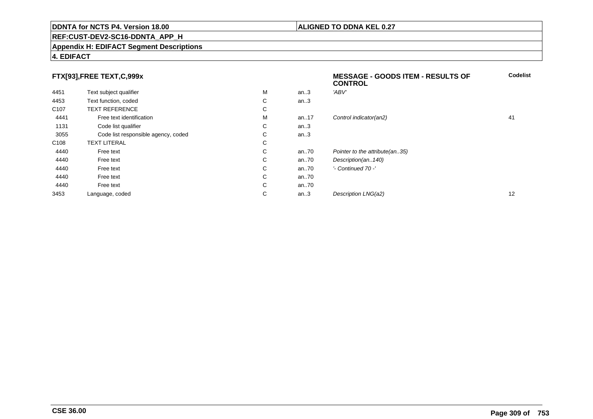#### **REF:CUST-DEV2-SC16-DDNTA\_APP\_H**

#### **Appendix H: EDIFACT Segment Descriptions**

#### **4. EDIFACT**

#### **FTX[93],FREE TEXT,C,999x**

|                  |                                     |   |       | <b>CONTROL</b>                 |    |
|------------------|-------------------------------------|---|-------|--------------------------------|----|
| 4451             | Text subject qualifier              | М | an.3  | 'ABV'                          |    |
| 4453             | Text function, coded                | C | an.3  |                                |    |
| C <sub>107</sub> | <b>TEXT REFERENCE</b>               | C |       |                                |    |
| 4441             | Free text identification            | М | an17  | Control indicator(an2)         | 41 |
| 1131             | Code list qualifier                 | C | an.3  |                                |    |
| 3055             | Code list responsible agency, coded | C | an.3  |                                |    |
| C108             | <b>TEXT LITERAL</b>                 | C |       |                                |    |
| 4440             | Free text                           | C | an.70 | Pointer to the attribute(an35) |    |
| 4440             | Free text                           | C | an.70 | Description(an140)             |    |
| 4440             | Free text                           | C | an.70 | '- Continued 70 -'             |    |
| 4440             | Free text                           | C | an.70 |                                |    |
| 4440             | Free text                           | C | an70  |                                |    |
| 3453             | Language, coded                     | С | an.3  | Description LNG(a2)            | 12 |

**Codelist**

#### **ALIGNED TO DDNA KEL 0.27**

**MESSAGE - GOODS ITEM - RESULTS OF**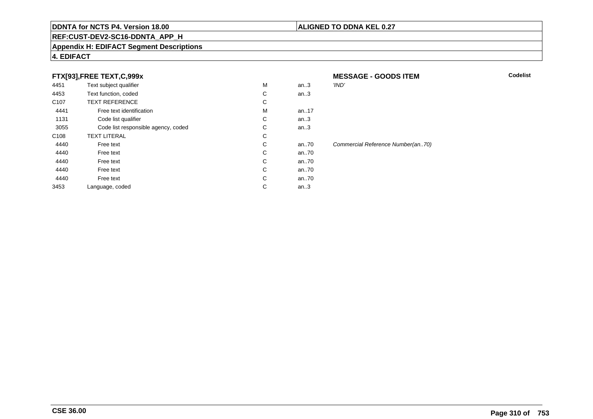#### **REF:CUST-DEV2-SC16-DDNTA\_APP\_H**

#### **Appendix H: EDIFACT Segment Descriptions**

#### **4. EDIFACT**

#### **FTX[93],FREE TEXT,C,999x**

| 4451             | Text subject qualifier              | M | an.3 | 'IND'                       |
|------------------|-------------------------------------|---|------|-----------------------------|
| 4453             | Text function, coded                | C | an.3 |                             |
| C <sub>107</sub> | <b>TEXT REFERENCE</b>               | С |      |                             |
| 4441             | Free text identification            | M | an17 |                             |
| 1131             | Code list qualifier                 | С | an.3 |                             |
| 3055             | Code list responsible agency, coded | C | an.3 |                             |
| C <sub>108</sub> | <b>TEXT LITERAL</b>                 | С |      |                             |
| 4440             | Free text                           | C | an70 | <b>Commercial Reference</b> |
| 4440             | Free text                           | C | an70 |                             |
| 4440             | Free text                           | С | an70 |                             |
| 4440             | Free text                           | C | an70 |                             |
| 4440             | Free text                           | C | an70 |                             |
| 3453             | Language, coded                     | С | an.3 |                             |
|                  |                                     |   |      |                             |

**M** Codelist Mumber(an..70)

**MESSAGE - GOODS ITEM**

#### **ALIGNED TO DDNA KEL 0.27**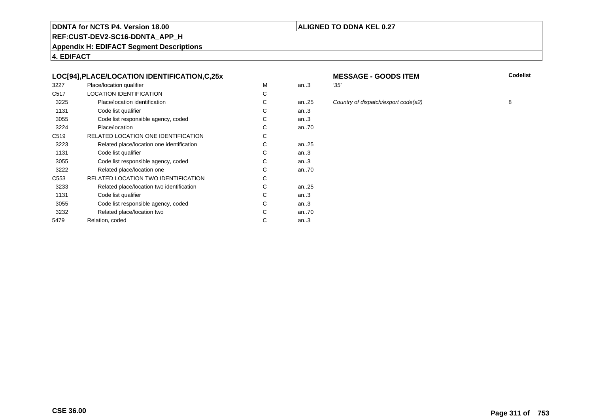#### **ALIGNED TO DDNA KEL 0.27**

**REF:CUST-DEV2-SC16-DDNTA\_APP\_H**

**Appendix H: EDIFACT Segment Descriptions**

**4. EDIFACT**

#### **LOC[94],PLACE/LOCATION IDENTIFICATION,C,25x**

| 3227             | Place/location qualifier                  | м | an.3      | '35' |
|------------------|-------------------------------------------|---|-----------|------|
| C <sub>517</sub> | <b>LOCATION IDENTIFICATION</b>            | С |           |      |
| 3225             | Place/location identification             | С | an. $.25$ | Col  |
| 1131             | Code list qualifier                       | С | an.3      |      |
| 3055             | Code list responsible agency, coded       | С | an.3      |      |
| 3224             | Place/location                            | С | an70      |      |
| C <sub>519</sub> | RELATED LOCATION ONE IDENTIFICATION       | С |           |      |
| 3223             | Related place/location one identification | С | an. $.25$ |      |
| 1131             | Code list qualifier                       | C | an.3      |      |
| 3055             | Code list responsible agency, coded       | С | an.3      |      |
| 3222             | Related place/location one                | С | an70      |      |
| C <sub>553</sub> | RELATED LOCATION TWO IDENTIFICATION       | С |           |      |
| 3233             | Related place/location two identification | С | an25      |      |
| 1131             | Code list qualifier                       | C | an.3      |      |
| 3055             | Code list responsible agency, coded       | С | an.3      |      |
| 3232             | Related place/location two                | С | an70      |      |
| 5479             | Relation, coded                           | С | an.3      |      |
|                  |                                           |   |           |      |

# **MESSAGE - GOODS ITEM**

- 
- an...<br>25 Country of dispatch/export code(a2) 8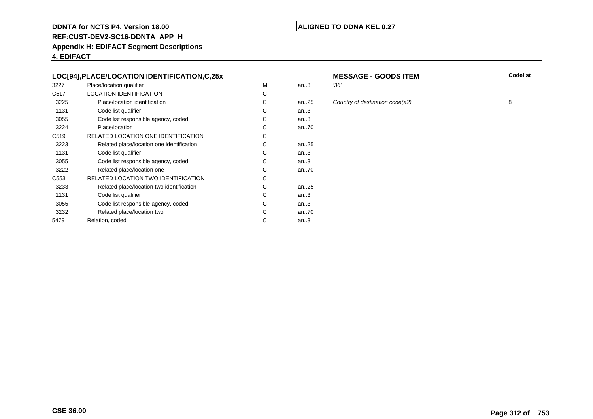### **REF:CUST-DEV2-SC16-DDNTA\_APP\_H**

**Appendix H: EDIFACT Segment Descriptions**

**4. EDIFACT**

#### **LOC[94],PLACE/LOCATION IDENTIFICATION,C,25x**

| 3227             | Place/location qualifier                   | м | an.3 | '36' |
|------------------|--------------------------------------------|---|------|------|
| C <sub>517</sub> | <b>LOCATION IDENTIFICATION</b>             | С |      |      |
| 3225             | Place/location identification              | С | an25 | Col  |
| 1131             | Code list qualifier                        | C | an.3 |      |
| 3055             | Code list responsible agency, coded        | С | an.3 |      |
| 3224             | Place/location                             | С | an70 |      |
| C <sub>519</sub> | RELATED LOCATION ONE IDENTIFICATION        | С |      |      |
| 3223             | Related place/location one identification  | C | an25 |      |
| 1131             | Code list qualifier                        | С | an.3 |      |
| 3055             | Code list responsible agency, coded        | С | an.3 |      |
| 3222             | Related place/location one                 | С | an70 |      |
| C553             | <b>RELATED LOCATION TWO IDENTIFICATION</b> | С |      |      |
| 3233             | Related place/location two identification  | С | an25 |      |
| 1131             | Code list qualifier                        | C | an.3 |      |
| 3055             | Code list responsible agency, coded        | С | an.3 |      |
| 3232             | Related place/location two                 | С | an70 |      |
| 5479             | Relation, coded                            | С | an.3 |      |
|                  |                                            |   |      |      |

# **MESSAGE - GOODS ITEM**

**M** Codelist

**ALIGNED TO DDNA KEL 0.27**

an...<br>25 Country of destination code(a2) 8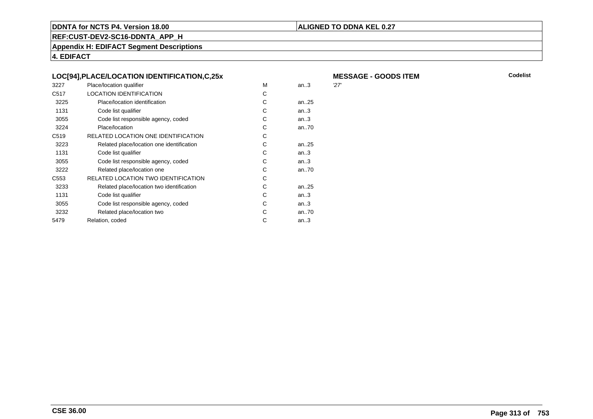#### **ALIGNED TO DDNA KEL 0.27**

**REF:CUST-DEV2-SC16-DDNTA\_APP\_H**

**Appendix H: EDIFACT Segment Descriptions**

**4. EDIFACT**

| 3227             | Place/location qualifier                  | м | an.3 | '27 |
|------------------|-------------------------------------------|---|------|-----|
| C517             | <b>LOCATION IDENTIFICATION</b>            | С |      |     |
| 3225             | Place/location identification             | С | an25 |     |
| 1131             | Code list qualifier                       | С | an.3 |     |
| 3055             | Code list responsible agency, coded       | C | an.3 |     |
| 3224             | Place/location                            | С | an70 |     |
| C519             | RELATED LOCATION ONE IDENTIFICATION       | С |      |     |
| 3223             | Related place/location one identification | С | an25 |     |
| 1131             | Code list qualifier                       | С | an.3 |     |
| 3055             | Code list responsible agency, coded       | С | an.3 |     |
| 3222             | Related place/location one                | C | an70 |     |
| C <sub>553</sub> | RELATED LOCATION TWO IDENTIFICATION       | C |      |     |
| 3233             | Related place/location two identification | С | an25 |     |
| 1131             | Code list qualifier                       | С | an.3 |     |
| 3055             | Code list responsible agency, coded       | C | an.3 |     |
| 3232             | Related place/location two                | С | an70 |     |
| 5479             | Relation, coded                           | С | an.3 |     |
|                  |                                           |   |      |     |

**MESSAGE - GOODS ITEM**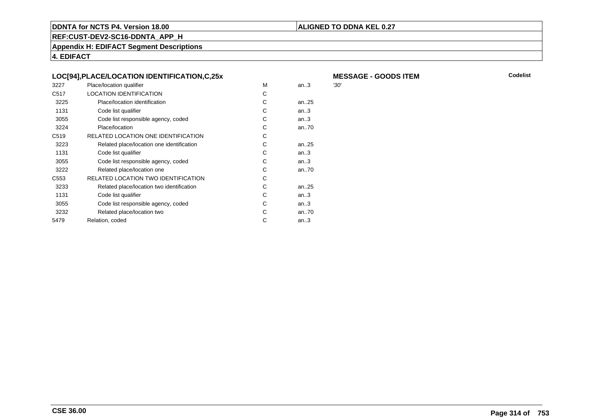#### **ALIGNED TO DDNA KEL 0.27**

**REF:CUST-DEV2-SC16-DDNTA\_APP\_H**

**Appendix H: EDIFACT Segment Descriptions**

**4. EDIFACT**

|                  | LOC[94],PLACE/LOCATION IDENTIFICATION,C,25x |   |           | <b>ME</b> |
|------------------|---------------------------------------------|---|-----------|-----------|
| 3227             | Place/location qualifier                    | м | an.3      | '30'      |
| C <sub>517</sub> | <b>LOCATION IDENTIFICATION</b>              | С |           |           |
| 3225             | Place/location identification               | С | an. $.25$ |           |
| 1131             | Code list qualifier                         | С | an.3      |           |
| 3055             | Code list responsible agency, coded         | С | an.3      |           |
| 3224             | Place/location                              | С | an.70     |           |
| C <sub>519</sub> | RELATED LOCATION ONE IDENTIFICATION         | С |           |           |
| 3223             | Related place/location one identification   | С | an. $.25$ |           |
| 1131             | Code list qualifier                         | С | an.3      |           |
| 3055             | Code list responsible agency, coded         | С | an.3      |           |
| 3222             | Related place/location one                  | С | an70      |           |
| C <sub>553</sub> | RELATED LOCATION TWO IDENTIFICATION         | С |           |           |
| 3233             | Related place/location two identification   | С | an. $.25$ |           |
| 1131             | Code list qualifier                         | С | an.3      |           |
| 3055             | Code list responsible agency, coded         | С | an.3      |           |
| 3232             | Related place/location two                  | С | an.70     |           |
| 5479             | Relation, coded                             | C | an.3      |           |
|                  |                                             |   |           |           |

**MESSAGE - GOODS ITEM**<br>30'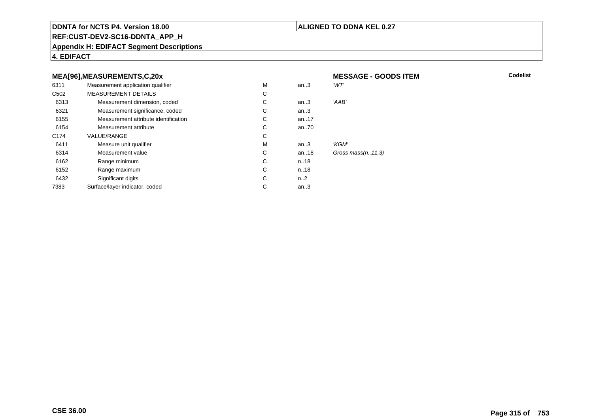#### **ALIGNED TO DDNA KEL 0.27**

**MESSAGE - GOODS ITEM**

**REF:CUST-DEV2-SC16-DDNTA\_APP\_H**

**Appendix H: EDIFACT Segment Descriptions**

**4. EDIFACT**

#### **MEA[96],MEASUREMENTS,C,20x**

| 6311             | Measurement application qualifier    | M | an.3     | 'WT'                   |
|------------------|--------------------------------------|---|----------|------------------------|
| C <sub>502</sub> | <b>MEASUREMENT DETAILS</b>           | С |          |                        |
| 6313             | Measurement dimension, coded         | С | an.3     | 'AAB'                  |
| 6321             | Measurement significance, coded      | C | an.3     |                        |
| 6155             | Measurement attribute identification | С | an17     |                        |
| 6154             | Measurement attribute                | C | an70     |                        |
| C <sub>174</sub> | VALUE/RANGE                          | С |          |                        |
| 6411             | Measure unit qualifier               | M | an.3     | 'KGM'                  |
| 6314             | Measurement value                    | С | an. $18$ | Gross mass $(n. 11.3)$ |
| 6162             | Range minimum                        | C | n.18     |                        |
| 6152             | Range maximum                        | C | n18      |                        |
| 6432             | Significant digits                   | C | n2       |                        |
| 7383             | Surface/layer indicator, coded       | С | an $3$   |                        |
|                  |                                      |   |          |                        |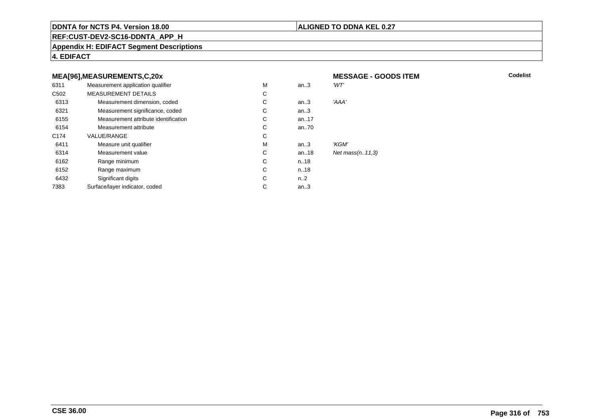#### **ALIGNED TO DDNA KEL 0.27**

**MESSAGE - GOODS ITEM**

**REF:CUST-DEV2-SC16-DDNTA\_APP\_H**

**Appendix H: EDIFACT Segment Descriptions**

**4. EDIFACT**

#### **MEA[96],MEASUREMENTS,C,20x**

| 6311             | Measurement application qualifier    | M | an.3             | 'WT'               |
|------------------|--------------------------------------|---|------------------|--------------------|
| C <sub>502</sub> | <b>MEASUREMENT DETAILS</b>           | C |                  |                    |
| 6313             | Measurement dimension, coded         | C | an.3             | 'AAA'              |
| 6321             | Measurement significance, coded      | C | an.3             |                    |
| 6155             | Measurement attribute identification | C | an. $17$         |                    |
| 6154             | Measurement attribute                | C | an70             |                    |
| C <sub>174</sub> | <b>VALUE/RANGE</b>                   | C |                  |                    |
| 6411             | Measure unit qualifier               | M | an.3             | 'KGM'              |
| 6314             | Measurement value                    | C | an18             | Net $mass(n.11.3)$ |
| 6162             | Range minimum                        | C | n.18             |                    |
| 6152             | Range maximum                        | C | n.18             |                    |
| 6432             | Significant digits                   | C | n <sub>1</sub> 2 |                    |
| 7383             | Surface/layer indicator, coded       | С | an.3             |                    |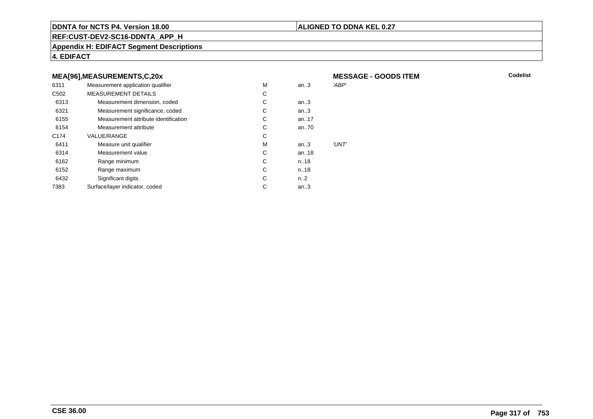#### **ALIGNED TO DDNA KEL 0.27**

**REF:CUST-DEV2-SC16-DDNTA\_APP\_H**

**Appendix H: EDIFACT Segment Descriptions**

**4. EDIFACT**

#### **MEA[96],MEASUREMENTS,C,20x**

| 6311             | Measurement application qualifier    | M | an.3     | 'ABP' |
|------------------|--------------------------------------|---|----------|-------|
| C <sub>502</sub> | <b>MEASUREMENT DETAILS</b>           | С |          |       |
| 6313             | Measurement dimension, coded         | С | an.3     |       |
| 6321             | Measurement significance, coded      | С | an.3     |       |
| 6155             | Measurement attribute identification | С | an. $17$ |       |
| 6154             | Measurement attribute                | С | an70     |       |
| C <sub>174</sub> | VALUE/RANGE                          | С |          |       |
| 6411             | Measure unit qualifier               | M | an.3     | 'UNT' |
| 6314             | Measurement value                    | С | an18     |       |
| 6162             | Range minimum                        | С | n.18     |       |
| 6152             | Range maximum                        | С | n.18     |       |
| 6432             | Significant digits                   | С | $n_{-2}$ |       |
| 7383             | Surface/layer indicator, coded       | С | an.3     |       |
|                  |                                      |   |          |       |

 **MESSAGE - GOODS ITEMM** Codelist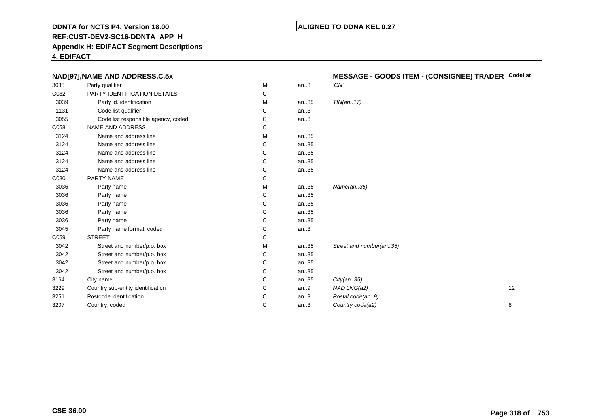#### **ALIGNED TO DDNA KEL 0.27**

**REF:CUST-DEV2-SC16-DDNTA\_APP\_H**

**Appendix H: EDIFACT Segment Descriptions**

**4. EDIFACT**

| NAD[97], NAME AND ADDRESS, C, 5x    |   |      | MESSAGE - GOODS ITEM - (CONSIGNEE) TRADER Codelist |  |  |
|-------------------------------------|---|------|----------------------------------------------------|--|--|
| Party qualifier                     | М | an.3 | 'CN'                                               |  |  |
| PARTY IDENTIFICATION DETAILS        | C |      |                                                    |  |  |
| Party id. identification            | М | an35 | TIN(an17)                                          |  |  |
| Code list qualifier                 | C | an.3 |                                                    |  |  |
| Code list responsible agency, coded | С | an.3 |                                                    |  |  |
| NAME AND ADDRESS                    | C |      |                                                    |  |  |
| Name and address line               | м | an35 |                                                    |  |  |
| Name and address line               | С | an35 |                                                    |  |  |
| Name and address line               | C | an35 |                                                    |  |  |
| Name and address line               | C | an35 |                                                    |  |  |
| Name and address line               | С | an35 |                                                    |  |  |
| PARTY NAME                          | С |      |                                                    |  |  |
| Party name                          | м | an35 | Name(an35)                                         |  |  |
| Party name                          | С | an35 |                                                    |  |  |
| Party name                          | С | an35 |                                                    |  |  |
| Party name                          | C | an35 |                                                    |  |  |
| Party name                          | C | an35 |                                                    |  |  |
| Party name format, coded            | С | an.3 |                                                    |  |  |
| <b>STREET</b>                       | С |      |                                                    |  |  |
| Street and number/p.o. box          | м | an35 | Street and number(an35)                            |  |  |
| Street and number/p.o. box          | C | an35 |                                                    |  |  |
| Street and number/p.o. box          | С | an35 |                                                    |  |  |
| Street and number/p.o. box          | C | an35 |                                                    |  |  |
| City name                           | С | an35 | City(an35)                                         |  |  |
| Country sub-entity identification   | C | an.9 | NAD LNG(a2)<br>12                                  |  |  |
| Postcode identification             | С | an.9 | Postal code(an9)                                   |  |  |
| Country, coded                      | C | an.3 | Country code(a2)<br>8                              |  |  |
|                                     |   |      |                                                    |  |  |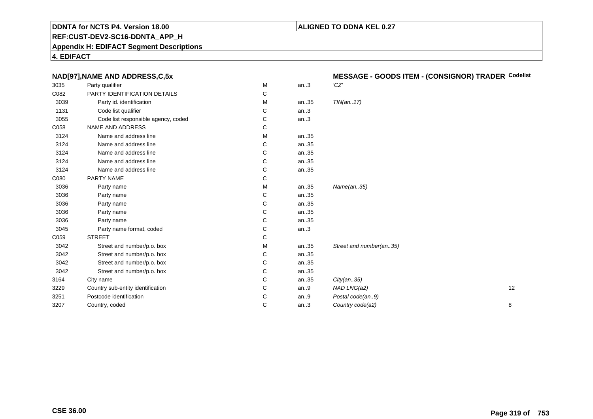#### **ALIGNED TO DDNA KEL 0.27**

**REF:CUST-DEV2-SC16-DDNTA\_APP\_H**

**Appendix H: EDIFACT Segment Descriptions**

**4. EDIFACT**

|      | NAD[97], NAME AND ADDRESS, C, 5x    |   |      | MESSAGE - GOODS ITEM - (CONSIGNOR) TRADER Codelist |  |
|------|-------------------------------------|---|------|----------------------------------------------------|--|
| 3035 | Party qualifier                     | M | an.3 | 'CZ'                                               |  |
| C082 | PARTY IDENTIFICATION DETAILS        | С |      |                                                    |  |
| 3039 | Party id. identification            | М | an35 | TIN(an17)                                          |  |
| 1131 | Code list qualifier                 | С | an.3 |                                                    |  |
| 3055 | Code list responsible agency, coded | С | an.3 |                                                    |  |
| C058 | NAME AND ADDRESS                    | С |      |                                                    |  |
| 3124 | Name and address line               | M | an35 |                                                    |  |
| 3124 | Name and address line               | С | an35 |                                                    |  |
| 3124 | Name and address line               | С | an35 |                                                    |  |
| 3124 | Name and address line               | C | an35 |                                                    |  |
| 3124 | Name and address line               | C | an35 |                                                    |  |
| C080 | PARTY NAME                          | С |      |                                                    |  |
| 3036 | Party name                          | M | an35 | Name(an35)                                         |  |
| 3036 | Party name                          | С | an35 |                                                    |  |
| 3036 | Party name                          | С | an35 |                                                    |  |
| 3036 | Party name                          | C | an35 |                                                    |  |
| 3036 | Party name                          | С | an35 |                                                    |  |
| 3045 | Party name format, coded            | С | an.3 |                                                    |  |
| C059 | <b>STREET</b>                       | С |      |                                                    |  |
| 3042 | Street and number/p.o. box          | М | an35 | Street and number(an35)                            |  |
| 3042 | Street and number/p.o. box          | С | an35 |                                                    |  |
| 3042 | Street and number/p.o. box          | С | an35 |                                                    |  |
| 3042 | Street and number/p.o. box          | С | an35 |                                                    |  |
| 3164 | City name                           | C | an35 | City(an35)                                         |  |
| 3229 | Country sub-entity identification   | С | an.9 | NAD LNG(a2)<br>12                                  |  |
| 3251 | Postcode identification             | C | an9  | Postal code(an9)                                   |  |
| 3207 | Country, coded                      | C | an.3 | 8<br>Country code(a2)                              |  |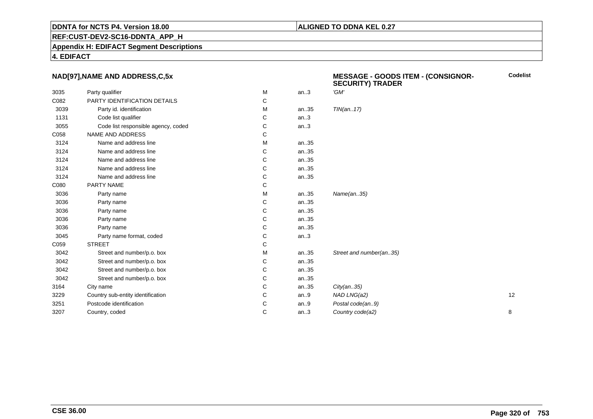#### **ALIGNED TO DDNA KEL 0.27**

**REF:CUST-DEV2-SC16-DDNTA\_APP\_H**

**Appendix H: EDIFACT Segment Descriptions**

**4. EDIFACT**

#### **NAD[97],NAME AND ADDRESS,C,5x**

|      | NAD[97], NAME AND ADDRESS, C, 5x    |              |      | <b>MESSAGE - GOODS ITEM - (CONSIGNOR-</b><br><b>SECURITY) TRADER</b> | <b>Codelist</b> |
|------|-------------------------------------|--------------|------|----------------------------------------------------------------------|-----------------|
| 3035 | Party qualifier                     | M            | an.3 | 'GM'                                                                 |                 |
| C082 | PARTY IDENTIFICATION DETAILS        | C            |      |                                                                      |                 |
| 3039 | Party id. identification            | м            | an35 | TIN(an17)                                                            |                 |
| 1131 | Code list qualifier                 | С            | an.3 |                                                                      |                 |
| 3055 | Code list responsible agency, coded | C            | an.3 |                                                                      |                 |
| C058 | NAME AND ADDRESS                    | C            |      |                                                                      |                 |
| 3124 | Name and address line               | M            | an35 |                                                                      |                 |
| 3124 | Name and address line               | С            | an35 |                                                                      |                 |
| 3124 | Name and address line               | C            | an35 |                                                                      |                 |
| 3124 | Name and address line               | С            | an35 |                                                                      |                 |
| 3124 | Name and address line               | C            | an35 |                                                                      |                 |
| C080 | PARTY NAME                          | C            |      |                                                                      |                 |
| 3036 | Party name                          | м            | an35 | Name(an35)                                                           |                 |
| 3036 | Party name                          | C            | an35 |                                                                      |                 |
| 3036 | Party name                          | С            | an35 |                                                                      |                 |
| 3036 | Party name                          | C            | an35 |                                                                      |                 |
| 3036 | Party name                          | C            | an35 |                                                                      |                 |
| 3045 | Party name format, coded            | C            | an.3 |                                                                      |                 |
| C059 | <b>STREET</b>                       | $\mathsf{C}$ |      |                                                                      |                 |
| 3042 | Street and number/p.o. box          | M            | an35 | Street and number(an35)                                              |                 |
| 3042 | Street and number/p.o. box          | С            | an35 |                                                                      |                 |
| 3042 | Street and number/p.o. box          | C            | an35 |                                                                      |                 |
| 3042 | Street and number/p.o. box          | С            | an35 |                                                                      |                 |
| 3164 | City name                           | C            | an35 | City(an35)                                                           |                 |
| 3229 | Country sub-entity identification   | C            | an.9 | NAD LNG(a2)                                                          | 12              |
| 3251 | Postcode identification             | С            | an.9 | Postal code(an9)                                                     |                 |
| 3207 | Country, coded                      | C            | an.3 | Country code(a2)                                                     | 8               |
|      |                                     |              |      |                                                                      |                 |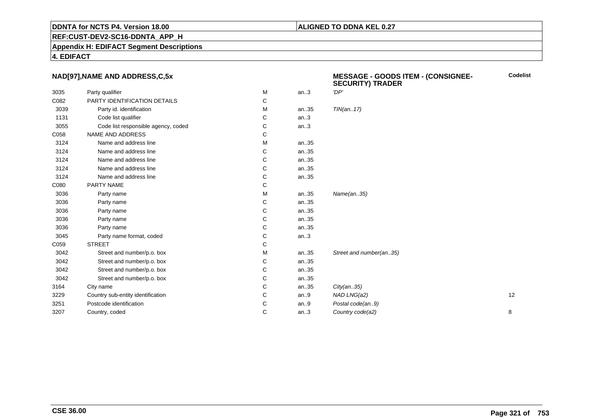#### **ALIGNED TO DDNA KEL 0.27**

**REF:CUST-DEV2-SC16-DDNTA\_APP\_H**

**Appendix H: EDIFACT Segment Descriptions**

**4. EDIFACT**

#### **NAD[97],NAME AND ADDRESS,C,5x**

|      | NAD[97], NAME AND ADDRESS, C, 5x    |   |      | <b>MESSAGE - GOODS ITEM - (CONSIGNEE-</b><br><b>SECURITY) TRADER</b> | <b>Codelist</b> |
|------|-------------------------------------|---|------|----------------------------------------------------------------------|-----------------|
| 3035 | Party qualifier                     | M | an.3 | 'DP'                                                                 |                 |
| C082 | PARTY IDENTIFICATION DETAILS        | C |      |                                                                      |                 |
| 3039 | Party id. identification            | M | an35 | TIN(an17)                                                            |                 |
| 1131 | Code list qualifier                 | С | an.3 |                                                                      |                 |
| 3055 | Code list responsible agency, coded | C | an.3 |                                                                      |                 |
| C058 | NAME AND ADDRESS                    | С |      |                                                                      |                 |
| 3124 | Name and address line               | м | an35 |                                                                      |                 |
| 3124 | Name and address line               | C | an35 |                                                                      |                 |
| 3124 | Name and address line               | С | an35 |                                                                      |                 |
| 3124 | Name and address line               | С | an35 |                                                                      |                 |
| 3124 | Name and address line               | C | an35 |                                                                      |                 |
| C080 | PARTY NAME                          | C |      |                                                                      |                 |
| 3036 | Party name                          | M | an35 | Name(an35)                                                           |                 |
| 3036 | Party name                          | C | an35 |                                                                      |                 |
| 3036 | Party name                          | С | an35 |                                                                      |                 |
| 3036 | Party name                          | С | an35 |                                                                      |                 |
| 3036 | Party name                          | С | an35 |                                                                      |                 |
| 3045 | Party name format, coded            | C | an.3 |                                                                      |                 |
| C059 | <b>STREET</b>                       | С |      |                                                                      |                 |
| 3042 | Street and number/p.o. box          | M | an35 | Street and number(an35)                                              |                 |
| 3042 | Street and number/p.o. box          | C | an35 |                                                                      |                 |
| 3042 | Street and number/p.o. box          | С | an35 |                                                                      |                 |
| 3042 | Street and number/p.o. box          | С | an35 |                                                                      |                 |
| 3164 | City name                           | C | an35 | City(an35)                                                           |                 |
| 3229 | Country sub-entity identification   | С | an.9 | NAD LNG(a2)                                                          | 12              |
| 3251 | Postcode identification             | C | an.9 | Postal code(an9)                                                     |                 |
| 3207 | Country, coded                      | C | an.3 | Country code(a2)                                                     | 8               |
|      |                                     |   |      |                                                                      |                 |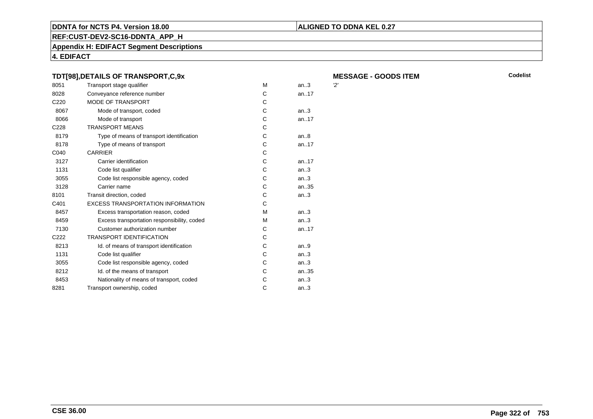#### **REF:CUST-DEV2-SC16-DDNTA\_APP\_H**

**Appendix H: EDIFACT Segment Descriptions**

**4. EDIFACT**

#### **TDT[98],DETAILS OF TRANSPORT,C,9x**8051Transport stage qualifier metals of the M<br>Conveyance reference number of the MC 8028Conveyance reference number

| C <sub>220</sub> | MODE OF TRANSPORT                           | C |           |
|------------------|---------------------------------------------|---|-----------|
| 8067             | Mode of transport, coded                    | C | an.3      |
| 8066             | Mode of transport                           | C | an.17     |
| C <sub>228</sub> | <b>TRANSPORT MEANS</b>                      | С |           |
| 8179             | Type of means of transport identification   | C | an8       |
| 8178             | Type of means of transport                  | C | an.17     |
| C040             | <b>CARRIER</b>                              | C |           |
| 3127             | Carrier identification                      | C | an. $.17$ |
| 1131             | Code list qualifier                         | C | an.3      |
| 3055             | Code list responsible agency, coded         | C | an.3      |
| 3128             | Carrier name                                | C | an35      |
| 8101             | Transit direction, coded                    | C | an.3      |
| C401             | <b>EXCESS TRANSPORTATION INFORMATION</b>    | С |           |
| 8457             | Excess transportation reason, coded         | M | an.3      |
| 8459             | Excess transportation responsibility, coded | M | an.3      |
| 7130             | Customer authorization number               | C | an17      |
| C <sub>222</sub> | <b>TRANSPORT IDENTIFICATION</b>             | C |           |
| 8213             | Id. of means of transport identification    | С | an.9      |
| 1131             | Code list qualifier                         | C | an.3      |
| 3055             | Code list responsible agency, coded         | C | an.3      |
| 8212             | Id. of the means of transport               | C | an35      |
| 8453             | Nationality of means of transport, coded    | C | an.3      |
| 8281             | Transport ownership, coded                  | С | an.3      |
|                  |                                             |   |           |

**ALIGNED TO DDNA KEL 0.27**

**MESSAGE - GOODS ITEM**<br>M an..3 2'

an $.3$ 

an..17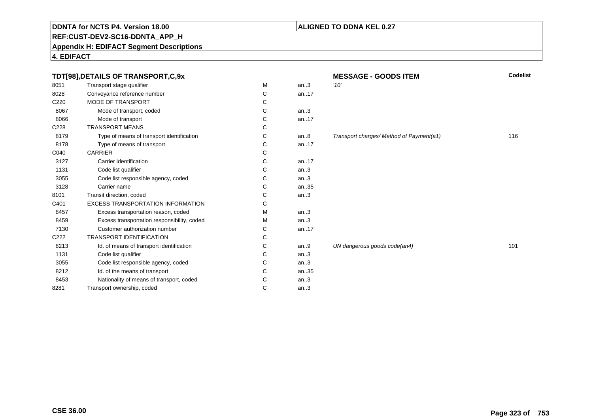#### **REF:CUST-DEV2-SC16-DDNTA\_APP\_H**

**Appendix H: EDIFACT Segment Descriptions**

**4. EDIFACT**

| TDT[98], DETAILS OF TRANSPORT, C, 9x |                                             |   |       | <b>MESSAGE - GOODS ITEM</b>              | Codelist |  |
|--------------------------------------|---------------------------------------------|---|-------|------------------------------------------|----------|--|
| 8051                                 | Transport stage qualifier                   | M | an.3  | '10'                                     |          |  |
| 8028                                 | Conveyance reference number                 | С | an17  |                                          |          |  |
| C <sub>220</sub>                     | <b>MODE OF TRANSPORT</b>                    | С |       |                                          |          |  |
| 8067                                 | Mode of transport, coded                    | С | an.3  |                                          |          |  |
| 8066                                 | Mode of transport                           | С | an.17 |                                          |          |  |
| C228                                 | <b>TRANSPORT MEANS</b>                      | С |       |                                          |          |  |
| 8179                                 | Type of means of transport identification   | С | an.8  | Transport charges/ Method of Payment(a1) | 116      |  |
| 8178                                 | Type of means of transport                  | С | an17  |                                          |          |  |
| C040                                 | <b>CARRIER</b>                              | С |       |                                          |          |  |
| 3127                                 | Carrier identification                      | С | an17  |                                          |          |  |
| 1131                                 | Code list qualifier                         | С | an.3  |                                          |          |  |
| 3055                                 | Code list responsible agency, coded         | С | an.3  |                                          |          |  |
| 3128                                 | Carrier name                                | С | an35  |                                          |          |  |
| 8101                                 | Transit direction, coded                    | С | an.3  |                                          |          |  |
| C401                                 | EXCESS TRANSPORTATION INFORMATION           | С |       |                                          |          |  |
| 8457                                 | Excess transportation reason, coded         | M | an.3  |                                          |          |  |
| 8459                                 | Excess transportation responsibility, coded | М | an.3  |                                          |          |  |
| 7130                                 | Customer authorization number               | С | an17  |                                          |          |  |
| C222                                 | <b>TRANSPORT IDENTIFICATION</b>             | С |       |                                          |          |  |
| 8213                                 | Id. of means of transport identification    | С | an.9  | UN dangerous goods code(an4)             | 101      |  |
| 1131                                 | Code list qualifier                         | С | an.3  |                                          |          |  |
| 3055                                 | Code list responsible agency, coded         | С | an.3  |                                          |          |  |
| 8212                                 | Id. of the means of transport               | С | an35  |                                          |          |  |
| 8453                                 | Nationality of means of transport, coded    | С | an.3  |                                          |          |  |
| 8281                                 | Transport ownership, coded                  | C | an.3  |                                          |          |  |
|                                      |                                             |   |       |                                          |          |  |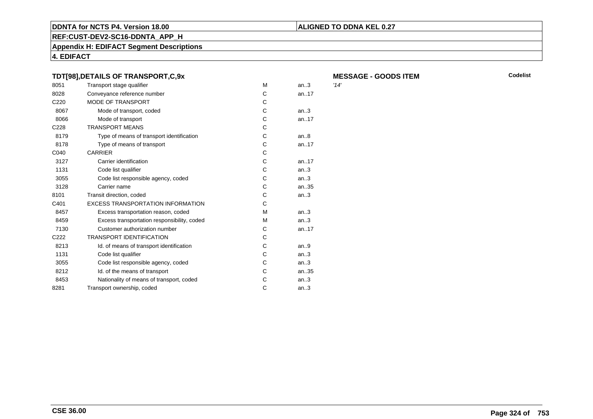#### **REF:CUST-DEV2-SC16-DDNTA\_APP\_H**

**Appendix H: EDIFACT Segment Descriptions**

**4. EDIFACT**

#### **TDT[98],DETAILS OF TRANSPORT,C,9x**

| 8051             | Transport stage qualifier                   | M | an.3  | '14' |
|------------------|---------------------------------------------|---|-------|------|
| 8028             | Conveyance reference number                 | C | an.17 |      |
| C220             | <b>MODE OF TRANSPORT</b>                    | C |       |      |
| 8067             | Mode of transport, coded                    | C | an.3  |      |
| 8066             | Mode of transport                           | C | an.17 |      |
| C <sub>228</sub> | <b>TRANSPORT MEANS</b>                      | C |       |      |
| 8179             | Type of means of transport identification   | C | an.8  |      |
| 8178             | Type of means of transport                  | С | an.17 |      |
| C040             | <b>CARRIER</b>                              | C |       |      |
| 3127             | Carrier identification                      | С | an.17 |      |
| 1131             | Code list qualifier                         | C | an.3  |      |
| 3055             | Code list responsible agency, coded         | С | an.3  |      |
| 3128             | Carrier name                                | С | an35  |      |
| 8101             | Transit direction, coded                    | C | an.3  |      |
| C401             | <b>EXCESS TRANSPORTATION INFORMATION</b>    | C |       |      |
| 8457             | Excess transportation reason, coded         | м | an.3  |      |
| 8459             | Excess transportation responsibility, coded | м | an.3  |      |
| 7130             | Customer authorization number               | С | an.17 |      |
| C <sub>222</sub> | <b>TRANSPORT IDENTIFICATION</b>             | C |       |      |
| 8213             | Id. of means of transport identification    | C | an.9  |      |
| 1131             | Code list qualifier                         | C | an.3  |      |
| 3055             | Code list responsible agency, coded         | C | an.3  |      |
| 8212             | Id. of the means of transport               | C | an35  |      |
| 8453             | Nationality of means of transport, coded    | C | an.3  |      |
| 8281             | Transport ownership, coded                  | C | an.3  |      |
|                  |                                             |   |       |      |

**ALIGNED TO DDNA KEL 0.27**

| <b>MESSAGE - GOODS ITEM</b> |  |
|-----------------------------|--|
| '14'                        |  |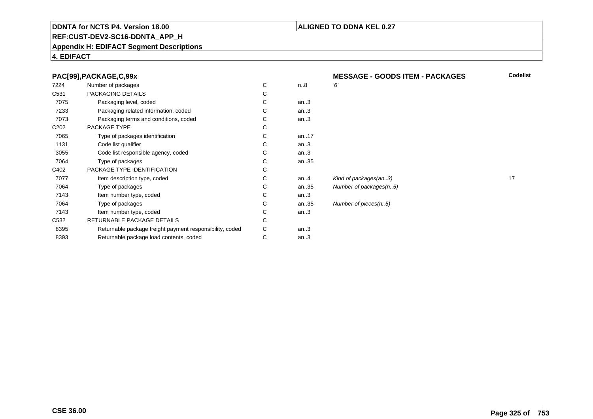### **ALIGNED TO DDNA KEL 0.27**

Number of packages(n..5)

Number of pieces(n..5)

# **REF:CUST-DEV2-SC16-DDNTA\_APP\_H**

### **Appendix H: EDIFACT Segment Descriptions**

# **4. EDIFACT**

| 7224             | Number of packages                                       | C | n.8  | 6' |
|------------------|----------------------------------------------------------|---|------|----|
| C531             | PACKAGING DETAILS                                        | С |      |    |
| 7075             | Packaging level, coded                                   | С | an.3 |    |
| 7233             | Packaging related information, coded                     | С | an.3 |    |
| 7073             | Packaging terms and conditions, coded                    | C | an.3 |    |
| C <sub>202</sub> | PACKAGE TYPE                                             | C |      |    |
| 7065             | Type of packages identification                          | C | an17 |    |
| 1131             | Code list qualifier                                      | C | an.3 |    |
| 3055             | Code list responsible agency, coded                      | C | an.3 |    |
| 7064             | Type of packages                                         | C | an35 |    |
| C402             | PACKAGE TYPE IDENTIFICATION                              | C |      |    |
| 7077             | Item description type, coded                             | C | an.4 | Ki |
| 7064             | Type of packages                                         | C | an35 | Nι |
| 7143             | Item number type, coded                                  | C | an.3 |    |
| 7064             | Type of packages                                         | C | an35 | Nι |
| 7143             | Item number type, coded                                  | С | an.3 |    |
| C532             | RETURNABLE PACKAGE DETAILS                               | C |      |    |
| 8395             | Returnable package freight payment responsibility, coded | С | an.3 |    |
| 8393             | Returnable package load contents, coded                  | С | an.3 |    |
|                  |                                                          |   |      |    |

 **MESSAGE - GOODS ITEM - PACKAGESCodelist**

Kind of packages(an..3) 17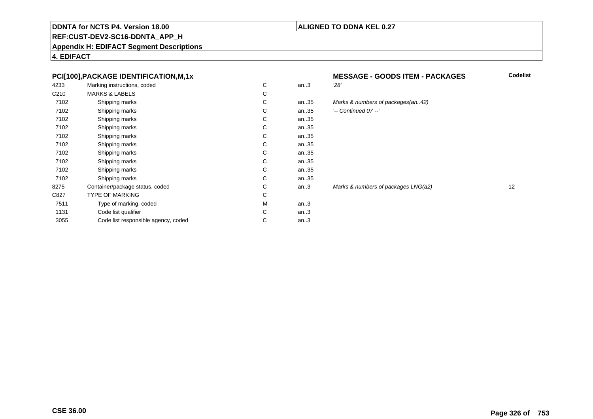### **ALIGNED TO DDNA KEL 0.27**

# **REF:CUST-DEV2-SC16-DDNTA\_APP\_H**

**Appendix H: EDIFACT Segment Descriptions**

**4. EDIFACT**

### **PCI[100],PACKAGE IDENTIFICATION,M,1x**

| 4233             | Marking instructions, coded         | C | an.3 | 28'   |
|------------------|-------------------------------------|---|------|-------|
| C <sub>210</sub> | <b>MARKS &amp; LABELS</b>           | C |      |       |
| 7102             | Shipping marks                      | C | an35 | Ma    |
| 7102             | Shipping marks                      | C | an35 | ) --' |
| 7102             | Shipping marks                      | C | an35 |       |
| 7102             | Shipping marks                      | C | an35 |       |
| 7102             | Shipping marks                      | C | an35 |       |
| 7102             | Shipping marks                      | C | an35 |       |
| 7102             | Shipping marks                      | C | an35 |       |
| 7102             | Shipping marks                      | C | an35 |       |
| 7102             | Shipping marks                      | C | an35 |       |
| 7102             | Shipping marks                      | C | an35 |       |
| 8275             | Container/package status, coded     | C | an.3 | Mai   |
| C827             | TYPE OF MARKING                     | C |      |       |
| 7511             | Type of marking, coded              | M | an.3 |       |
| 1131             | Code list qualifier                 | C | an.3 |       |
| 3055             | Code list responsible agency, coded | C | an.3 |       |
|                  |                                     |   |      |       |

# **MESSAGE - GOODS ITEM - PACKAGES**<br>n..3 28'

# an..35 Marks & numbers of packages(an..42)

| ⌒<br>U | an35 | $'-$ Continued 07 $-$ ' |
|--------|------|-------------------------|
|        |      |                         |

Marks & numbers of packages LNG(a2) 12

**Codelist**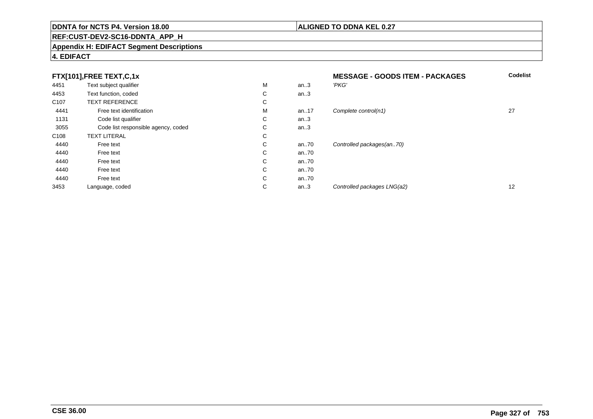# **REF:CUST-DEV2-SC16-DDNTA\_APP\_H**

### **Appendix H: EDIFACT Segment Descriptions**

# **4. EDIFACT**

| FTX[101],FREE TEXT,C,1x |                                     |   | <b>MESSAGE - GOODS ITEM - PACKAGES</b> | <b>Codelist</b>             |                   |
|-------------------------|-------------------------------------|---|----------------------------------------|-----------------------------|-------------------|
| 4451                    | Text subject qualifier              | М | an.3                                   | 'PKG'                       |                   |
| 4453                    | Text function, coded                | С | an.3                                   |                             |                   |
| C <sub>107</sub>        | <b>TEXT REFERENCE</b>               | С |                                        |                             |                   |
| 4441                    | Free text identification            | М | an17                                   | Complete control(n1)        | 27                |
| 1131                    | Code list qualifier                 | С | an.3                                   |                             |                   |
| 3055                    | Code list responsible agency, coded | С | an.3                                   |                             |                   |
| C <sub>108</sub>        | <b>TEXT LITERAL</b>                 | С |                                        |                             |                   |
| 4440                    | Free text                           | С | an70                                   | Controlled packages(an70)   |                   |
| 4440                    | Free text                           | С | an70                                   |                             |                   |
| 4440                    | Free text                           | С | an70                                   |                             |                   |
| 4440                    | Free text                           | С | an70                                   |                             |                   |
| 4440                    | Free text                           | С | an70                                   |                             |                   |
| 3453                    | Language, coded                     | С | an.3                                   | Controlled packages LNG(a2) | $12 \overline{ }$ |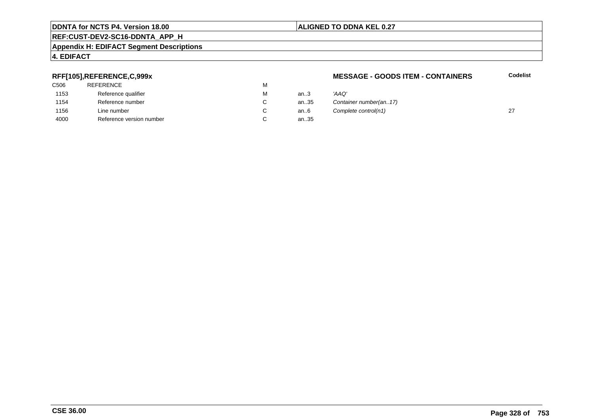### **REF:CUST-DEV2-SC16-DDNTA\_APP\_H**

### **Appendix H: EDIFACT Segment Descriptions**

### **4. EDIFACT**

### **RFF[105],REFERENCE,C,999x**

| C506 | <b>REFERENCE</b>         | м |
|------|--------------------------|---|
| 1153 | Reference qualifier      | м |
| 1154 | Reference number         | C |
| 1156 | Line number              | C |
| 4000 | Reference version number | С |

### **MESSAGE - GOODS ITEM - CONTAINERS**

**Codelist**

| М | an $3$ | 'AAO'                  |  |
|---|--------|------------------------|--|
| С | an35   | Container number(an17) |  |
| C | an6    | Complete control(n1)   |  |
| С | an35   |                        |  |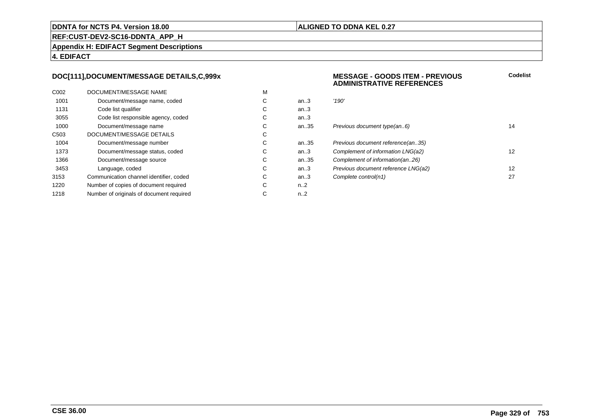### **ALIGNED TO DDNA KEL 0.27**

**REF:CUST-DEV2-SC16-DDNTA\_APP\_H**

**Appendix H: EDIFACT Segment Descriptions**

**4. EDIFACT**

### **DOC[111],DOCUMENT/MESSAGE DETAILS,C,999x**

| C <sub>0</sub> 02 | DOCUMENT/MESSAGE NAME                    | M |                  |       |
|-------------------|------------------------------------------|---|------------------|-------|
| 1001              | Document/message name, coded             | С | an.3             | '190' |
| 1131              | Code list qualifier                      | С | an.3             |       |
| 3055              | Code list responsible agency, coded      | С | an.3             |       |
| 1000              | Document/message name                    | С | an35             | Prev  |
| C <sub>503</sub>  | DOCUMENT/MESSAGE DETAILS                 | С |                  |       |
| 1004              | Document/message number                  | С | an35             | Prev  |
| 1373              | Document/message status, coded           | С | an.3             | Com   |
| 1366              | Document/message source                  | С | an35             | Com   |
| 3453              | Language, coded                          | С | an.3             | Prev  |
| 3153              | Communication channel identifier, coded  | С | an.3             | Com   |
| 1220              | Number of copies of document required    | С | n2               |       |
| 1218              | Number of originals of document required | С | n <sub>1</sub> 2 |       |
|                   |                                          |   |                  |       |

### **MESSAGE - GOODS ITEM - PREVIOUSADMINISTRATIVE REFERENCES**

| С | an.3 | '190'                               |    |
|---|------|-------------------------------------|----|
| С | an.3 |                                     |    |
| С | an.3 |                                     |    |
| С | an35 | Previous document type(an6)         | 14 |
| С |      |                                     |    |
| С | an35 | Previous document reference(an35)   |    |
| С | an.3 | Complement of information LNG(a2)   | 12 |
| С | an35 | Complement of information(an26)     |    |
| С | an.3 | Previous document reference LNG(a2) | 12 |
| С | an.3 | Complete control(n1)                | 27 |
| C | n 2  |                                     |    |

**Codelist**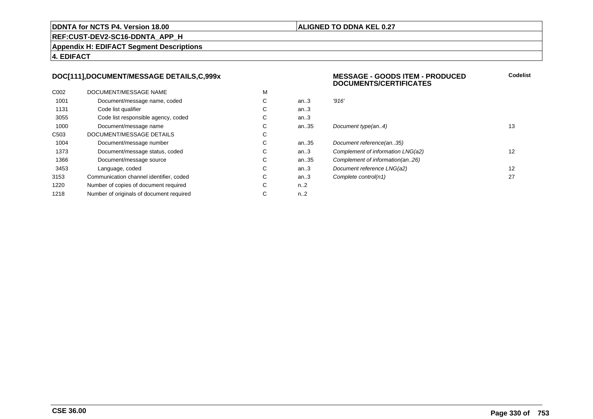### **ALIGNED TO DDNA KEL 0.27**

**REF:CUST-DEV2-SC16-DDNTA\_APP\_H**

**Appendix H: EDIFACT Segment Descriptions**

**4. EDIFACT**

### **DOC[111],DOCUMENT/MESSAGE DETAILS,C,999x**

| C <sub>0</sub> 02 | DOCUMENT/MESSAGE NAME                    | M |                  |       |
|-------------------|------------------------------------------|---|------------------|-------|
| 1001              | Document/message name, coded             | С | an.3             | '916' |
| 1131              | Code list qualifier                      | C | an.3             |       |
| 3055              | Code list responsible agency, coded      | C | an $3$           |       |
| 1000              | Document/message name                    | C | an35             | Docu  |
| C <sub>503</sub>  | DOCUMENT/MESSAGE DETAILS                 | С |                  |       |
| 1004              | Document/message number                  | C | an35             | Docu  |
| 1373              | Document/message status, coded           | С | an $3$           | Com   |
| 1366              | Document/message source                  | C | an35             | Com   |
| 3453              | Language, coded                          | C | an.3             | Docu  |
| 3153              | Communication channel identifier, coded  | С | an.3             | Com   |
| 1220              | Number of copies of document required    | C | n <sub>1</sub> 2 |       |
| 1218              | Number of originals of document required | С | n <sub>1</sub> 2 |       |
|                   |                                          |   |                  |       |

#### **MESSAGE - GOODS ITEM - PRODUCEDDOCUMENTS/CERTIFICATESCodelist**

| С | an.3 | '916'                             |    |
|---|------|-----------------------------------|----|
| С | an.3 |                                   |    |
| С | an.3 |                                   |    |
| С | an35 | Document type(an4)                | 13 |
| С |      |                                   |    |
| С | an35 | Document reference(an35)          |    |
| С | an.3 | Complement of information LNG(a2) | 12 |
| С | an35 | Complement of information(an26)   |    |
| С | an.3 | Document reference LNG(a2)        | 12 |
| С | an.3 | Complete control(n1)              | 27 |
| C | n 2  |                                   |    |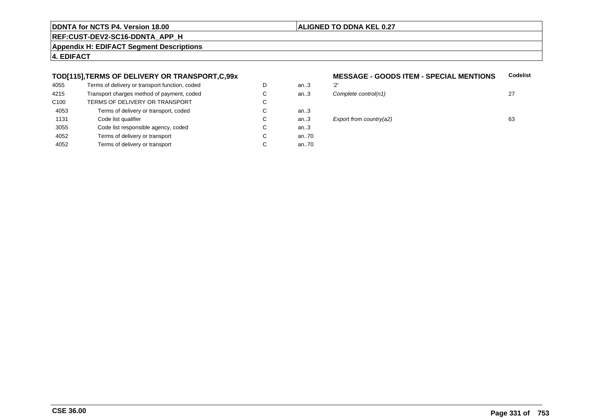### **ALIGNED TO DDNA KEL 0.27**

**REF:CUST-DEV2-SC16-DDNTA\_APP\_H**

**Appendix H: EDIFACT Segment Descriptions**

**4. EDIFACT**

### **TOD[115],TERMS OF DELIVERY OR TRANSPORT,C,99x**

| 4055             | Terms of delivery or transport function, coded | D | an3  | יכי |
|------------------|------------------------------------------------|---|------|-----|
| 4215             | Transport charges method of payment, coded     | С | an.3 | Co  |
| C <sub>100</sub> | TERMS OF DELIVERY OR TRANSPORT                 | C |      |     |
| 4053             | Terms of delivery or transport, coded          | С | an3  |     |
| 1131             | Code list qualifier                            | C | an3  | E)  |
| 3055             | Code list responsible agency, coded            | С | an.3 |     |
| 4052             | Terms of delivery or transport                 | С | an70 |     |
| 4052             | Terms of delivery or transport                 | С | an70 |     |
|                  |                                                |   |      |     |

### **MESSAGE - GOODS ITEM - SPECIAL MENTIONS**<br>m..3 2' **Codelist**

| D | an.3  | יכיי                        |    |
|---|-------|-----------------------------|----|
| С | an.3  | Complete control(n1)        | 27 |
| С |       |                             |    |
| С | an.3  |                             |    |
| С | an.3  | Export from country( $a2$ ) | 63 |
| С | an.3  |                             |    |
| ⌒ | 20.70 |                             |    |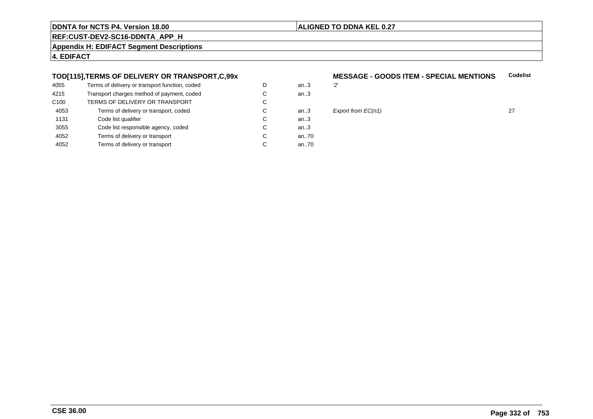### **ALIGNED TO DDNA KEL 0.27**

**REF:CUST-DEV2-SC16-DDNTA\_APP\_H**

**Appendix H: EDIFACT Segment Descriptions**

**4. EDIFACT**

### **TOD[115],TERMS OF DELIVERY OR TRANSPORT,C,99x**

| 4055             | Terms of delivery or transport function, coded | D | an $3$ | יפי |
|------------------|------------------------------------------------|---|--------|-----|
| 4215             | Transport charges method of payment, coded     | С | an.3   |     |
| C <sub>100</sub> | TERMS OF DELIVERY OR TRANSPORT                 | С |        |     |
| 4053             | Terms of delivery or transport, coded          | С | an3    | E   |
| 1131             | Code list qualifier                            | C | an.3   |     |
| 3055             | Code list responsible agency, coded            | С | an.3   |     |
| 4052             | Terms of delivery or transport                 | C | an70   |     |
| 4052             | Terms of delivery or transport                 | С | an70   |     |
|                  |                                                |   |        |     |

### **MESSAGE - GOODS ITEM - SPECIAL MENTIONS**<br>3 **Codelist**



# $\begin{array}{lll} \text{27} & \text{27} \\ \text{28} & \text{29} \\ \text{21} & \text{21} \end{array}$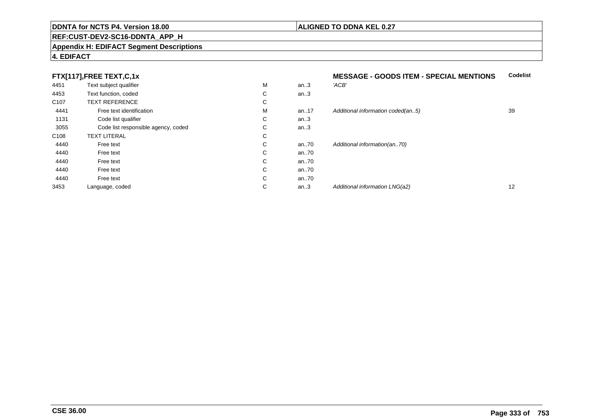### **REF:CUST-DEV2-SC16-DDNTA\_APP\_H**

### **Appendix H: EDIFACT Segment Descriptions**

# **4. EDIFACT**

|      | FTX[117],FREE TEXT,C,1x |
|------|-------------------------|
| 4451 | Text subject qualifier  |

|                  | FTX[117],FREE TEXT,C,1x             |   |      | <b>MESSAGE - GOODS ITEM - SPECIAL MENTIONS</b> | <b>C</b> |
|------------------|-------------------------------------|---|------|------------------------------------------------|----------|
| 4451             | Text subject qualifier              | M | an.3 | 'ACB'                                          |          |
| 4453             | Text function, coded                | С | an.3 |                                                |          |
| C <sub>107</sub> | <b>TEXT REFERENCE</b>               | C |      |                                                |          |
| 4441             | Free text identification            | м | an17 | Additional information coded(an5)              | 39       |
| 1131             | Code list qualifier                 | С | an.3 |                                                |          |
| 3055             | Code list responsible agency, coded | С | an.3 |                                                |          |
| C <sub>108</sub> | <b>TEXT LITERAL</b>                 | C |      |                                                |          |
| 4440             | Free text                           | C | an70 | Additional information(an70)                   |          |
| 4440             | Free text                           | С | an70 |                                                |          |
| 4440             | Free text                           | С | an70 |                                                |          |
| 4440             | Free text                           | С | an70 |                                                |          |
| 4440             | Free text                           | C | an70 |                                                |          |
| 3453             | Language, coded                     | C | an.3 | Additional information LNG(a2)                 | 12       |

**Codelist**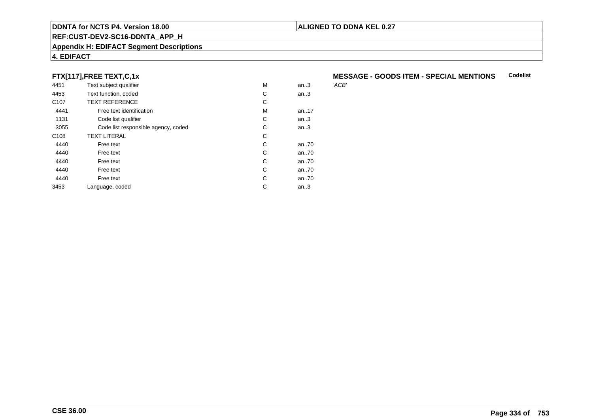# **REF:CUST-DEV2-SC16-DDNTA\_APP\_H**

### **Appendix H: EDIFACT Segment Descriptions**

# **4. EDIFACT**

# **FTX[117],FREE TEXT,C,1x**

| 4451             | Text subject qualifier              | M | an.3  | 'ACB' |
|------------------|-------------------------------------|---|-------|-------|
| 4453             | Text function, coded                | C | an.3  |       |
| C <sub>107</sub> | <b>TEXT REFERENCE</b>               | С |       |       |
| 4441             | Free text identification            | M | an17  |       |
| 1131             | Code list qualifier                 | С | an.3  |       |
| 3055             | Code list responsible agency, coded | С | an.3  |       |
| C <sub>108</sub> | <b>TEXT LITERAL</b>                 | С |       |       |
| 4440             | Free text                           | C | an.70 |       |
| 4440             | Free text                           | C | an70  |       |
| 4440             | Free text                           | C | an70  |       |
| 4440             | Free text                           | C | an70  |       |
| 4440             | Free text                           | C | an70  |       |
| 3453             | Language, coded                     | С | an.3  |       |
|                  |                                     |   |       |       |

### **MESSAGE - GOODS ITEM - SPECIAL MENTIONSCodelist**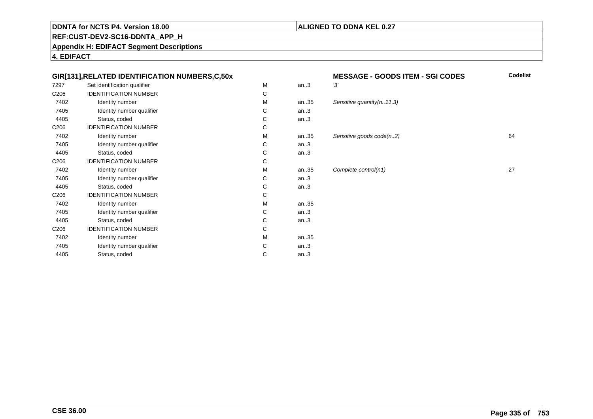### **ALIGNED TO DDNA KEL 0.27**

**REF:CUST-DEV2-SC16-DDNTA\_APP\_H**

**Appendix H: EDIFACT Segment Descriptions**

**4. EDIFACT**

### **GIR[131],RELATED IDENTIFICATION NUMBERS,C,50x**

| 7297             | Set identification qualifier | M | an.3 | '3'   |
|------------------|------------------------------|---|------|-------|
| C206             | <b>IDENTIFICATION NUMBER</b> | C |      |       |
| 7402             | Identity number              | M | an35 | $S_6$ |
| 7405             | Identity number qualifier    | C | an.3 |       |
| 4405             | Status, coded                | C | an.3 |       |
| C <sub>206</sub> | <b>IDENTIFICATION NUMBER</b> | C |      |       |
| 7402             | Identity number              | M | an35 | $S_6$ |
| 7405             | Identity number qualifier    | C | an.3 |       |
| 4405             | Status, coded                | C | an.3 |       |
| C <sub>206</sub> | <b>IDENTIFICATION NUMBER</b> | C |      |       |
| 7402             | Identity number              | M | an35 | C     |
| 7405             | Identity number qualifier    | C | an.3 |       |
| 4405             | Status, coded                | C | an.3 |       |
| C <sub>206</sub> | <b>IDENTIFICATION NUMBER</b> | C |      |       |
| 7402             | Identity number              | M | an35 |       |
| 7405             | Identity number qualifier    | C | an.3 |       |
| 4405             | Status, coded                | C | an.3 |       |
| C <sub>206</sub> | <b>IDENTIFICATION NUMBER</b> | C |      |       |
| 7402             | Identity number              | M | an35 |       |
| 7405             | Identity number qualifier    | C | an.3 |       |
| 4405             | Status, coded                | C | an.3 |       |
|                  |                              |   |      |       |

| x |   |      | <b>MESSAGE - GOODS ITEM - SGI CODES</b> | Codelist |
|---|---|------|-----------------------------------------|----------|
|   | M | an.3 | '3'                                     |          |
|   | C |      |                                         |          |
|   | M | an35 | Sensitive quantity $(n. 11, 3)$         |          |
|   | C | an.3 |                                         |          |
|   | C | an.3 |                                         |          |
|   | C |      |                                         |          |
|   | M | an35 | Sensitive goods code(n2)                | 64       |
|   | C | an.3 |                                         |          |
|   | C | an.3 |                                         |          |
|   | C |      |                                         |          |
|   | M | an35 | Complete control(n1)                    | 27       |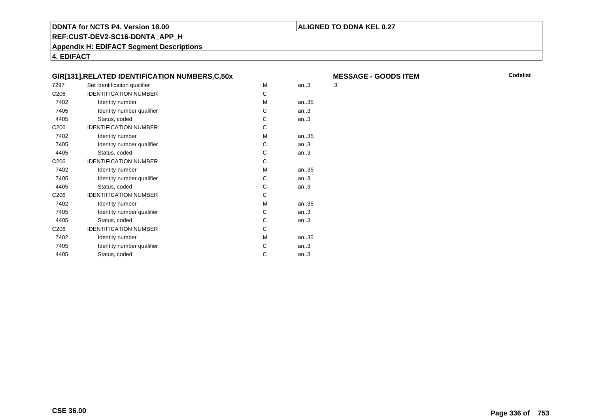### **ALIGNED TO DDNA KEL 0.27**

**REF:CUST-DEV2-SC16-DDNTA\_APP\_H**

**Appendix H: EDIFACT Segment Descriptions**

**4. EDIFACT**

|                  | GIR[131], RELATED IDENTIFICATION NUMBERS, C, 50x |   |       | M   |
|------------------|--------------------------------------------------|---|-------|-----|
| 7297             | Set identification qualifier                     | М | an.3  | '3' |
| C <sub>206</sub> | <b>IDENTIFICATION NUMBER</b>                     | C |       |     |
| 7402             | Identity number                                  | M | an35  |     |
| 7405             | Identity number qualifier                        | C | an.3  |     |
| 4405             | Status, coded                                    | C | an.3  |     |
| C <sub>206</sub> | <b>IDENTIFICATION NUMBER</b>                     | C |       |     |
| 7402             | Identity number                                  | M | an35  |     |
| 7405             | Identity number qualifier                        | C | an.3  |     |
| 4405             | Status, coded                                    | C | an.3  |     |
| C206             | <b>IDENTIFICATION NUMBER</b>                     | C |       |     |
| 7402             | Identity number                                  | M | an.35 |     |
| 7405             | Identity number qualifier                        | C | an.3  |     |
| 4405             | Status, coded                                    | C | an.3  |     |
| C <sub>206</sub> | <b>IDENTIFICATION NUMBER</b>                     | C |       |     |
| 7402             | Identity number                                  | M | an.35 |     |
| 7405             | Identity number qualifier                        | C | an.3  |     |
| 4405             | Status, coded                                    | C | an.3  |     |
| C <sub>206</sub> | <b>IDENTIFICATION NUMBER</b>                     | C |       |     |
| 7402             | Identity number                                  | M | an.35 |     |
| 7405             | Identity number qualifier                        | C | an.3  |     |
| 4405             | Status, coded                                    | C | an.3  |     |
|                  |                                                  |   |       |     |

 **MESSAGE - GOODS ITEMM** Codelist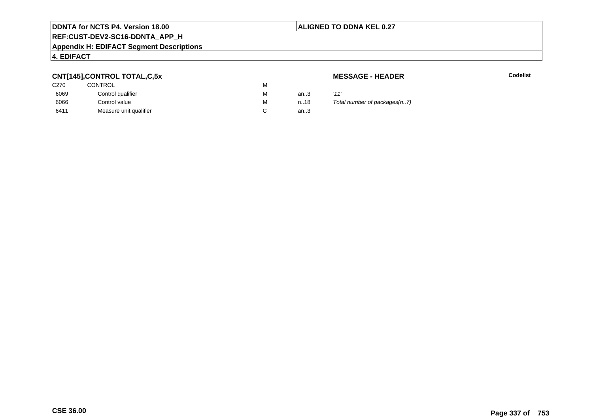### **ALIGNED TO DDNA KEL 0.27**

# **REF:CUST-DEV2-SC16-DDNTA\_APP\_H**

### **Appendix H: EDIFACT Segment Descriptions**

### **4. EDIFACT**

### **CNT[145],CONTROL TOTAL,C,5x**

| C <sub>270</sub> | <b>CONTROL</b>         | М |      |      |
|------------------|------------------------|---|------|------|
| 6069             | Control qualifier      | М | an3  | '11' |
| 6066             | Control value          | М | n.18 | Tot  |
| 6411             | Measure unit qualifier |   | an.3 |      |

### **MESSAGE - HEADER**

**R** Codelist

Total number of packages(n..7)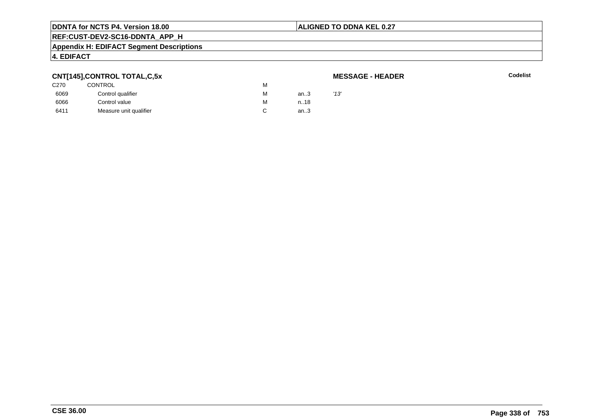### **ALIGNED TO DDNA KEL 0.27**

# **REF:CUST-DEV2-SC16-DDNTA\_APP\_H**

#### **Appendix H: EDIFACT Segment Descriptions**

### **4. EDIFACT**

### **CNT[145],CONTROL TOTAL,C,5x**

### **MESSAGE - HEADER**

|                  | --                     |   |      |      |
|------------------|------------------------|---|------|------|
| C <sub>270</sub> | CONTROL                | М |      |      |
| 6069             | Control qualifier      | М | an3  | '13' |
| 6066             | Control value          | М | n.18 |      |
| 6411             | Measure unit qualifier |   | an.3 |      |
|                  |                        |   |      |      |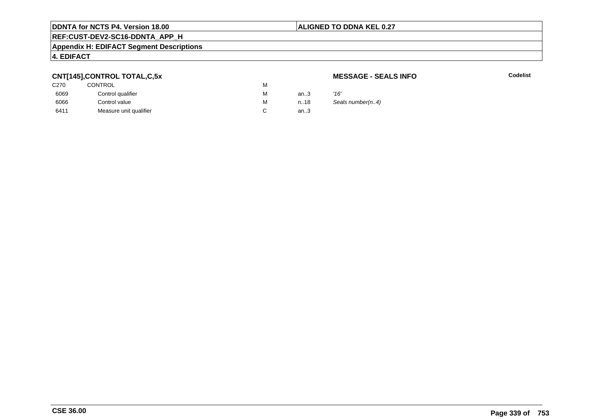### **ALIGNED TO DDNA KEL 0.27**

# **REF:CUST-DEV2-SC16-DDNTA\_APP\_H**

### **Appendix H: EDIFACT Segment Descriptions**

### **4. EDIFACT**

# **CNT[145],CONTROL TOTAL,C,5x**

| C270 | <b>CONTROL</b>         | м |      |      |
|------|------------------------|---|------|------|
| 6069 | Control qualifier      | М | an.3 | '16' |
| 6066 | Control value          | М | n18  | Sea  |
| 6411 | Measure unit qualifier |   | an.3 |      |

### **MESSAGE - SEALS INFO**

**C** Codelist

Seals number(n..4)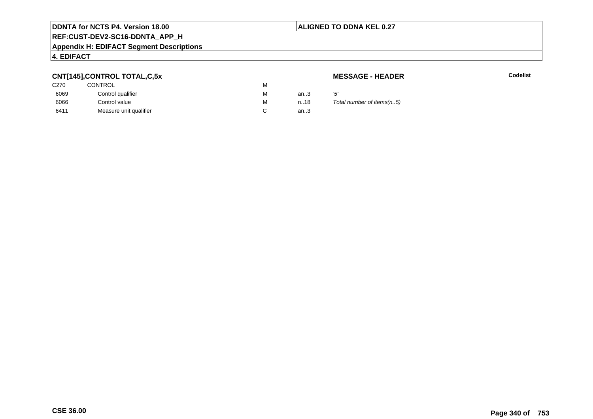### **ALIGNED TO DDNA KEL 0.27**

# **REF:CUST-DEV2-SC16-DDNTA\_APP\_H**

### **Appendix H: EDIFACT Segment Descriptions**

### **4. EDIFACT**

### **CNT[145],CONTROL TOTAL,C,5x**

| C270 | CONTROL                | М |      |     |
|------|------------------------|---|------|-----|
| 6069 | Control qualifier      | М | an.3 | '5' |
| 6066 | Control value          | м | n18  |     |
| 6411 | Measure unit qualifier |   | an.3 |     |

**MESSAGE - HEADER**

**R** Codelist

Total number of items(n..5)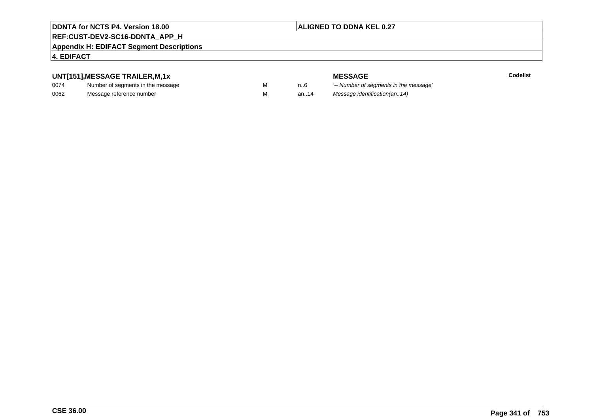# **ALIGNED TO DDNA KEL 0.27**

# **REF:CUST-DEV2-SC16-DDNTA\_APP\_H**

### **Appendix H: EDIFACT Segment Descriptions**

### **4. EDIFACT**

### **UNT[151],MESSAGE TRAILER,M,1x**

| 0074 | Number of segments in the message |  |
|------|-----------------------------------|--|
| 0062 | Message reference number          |  |

**MESSAGE**<br>M n.6 <sup>'--</sup> Number of s **Codelist** M carried manufacturer of segments in the message'<br>Carried manufacturer in the message's M an..14 Message identification(an..14)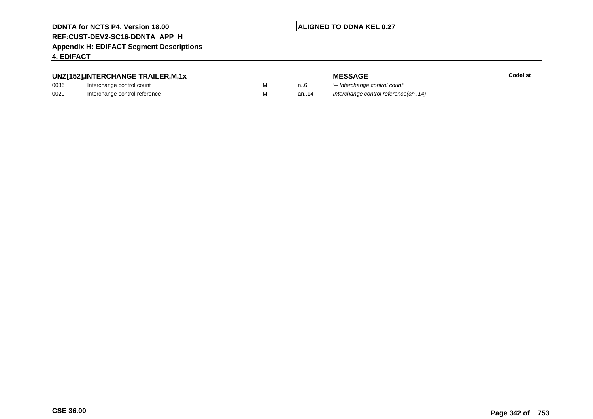### **ALIGNED TO DDNA KEL 0.27**

# **REF:CUST-DEV2-SC16-DDNTA\_APP\_H**

**Appendix H: EDIFACT Segment Descriptions**

### **4. EDIFACT**

# **UNZ[152],INTERCHANGE TRAILER,M,1x**

| 0036 | Interchange control count     |  |
|------|-------------------------------|--|
| 0020 | Interchange control reference |  |

|  |  | М |
|--|--|---|
|  |  | М |

|   |      | <b>MESSAGE</b>                      | Codelist |
|---|------|-------------------------------------|----------|
| М | n6   | '-- Interchange control count'      |          |
| М | an14 | Interchange control reference(an14) |          |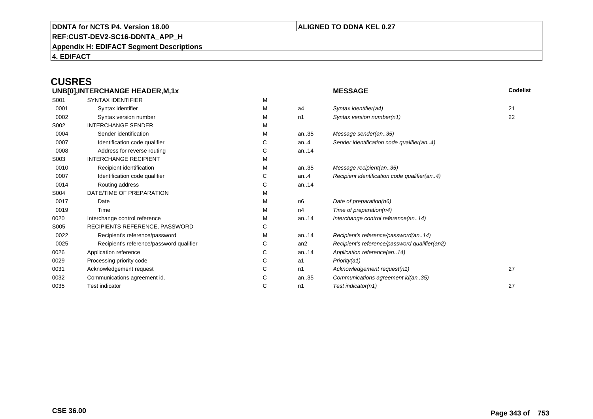### **ALIGNED TO DDNA KEL 0.27**

**REF:CUST-DEV2-SC16-DDNTA\_APP\_H**

**Appendix H: EDIFACT Segment Descriptions**

**4. EDIFACT**

# **CUSRES**

| UNB[0], INTERCHANGE HEADER, M, 1x |                                          |   | <b>MESSAGE</b>  | Codelist                                      |    |
|-----------------------------------|------------------------------------------|---|-----------------|-----------------------------------------------|----|
| S001                              | <b>SYNTAX IDENTIFIER</b>                 | М |                 |                                               |    |
| 0001                              | Syntax identifier                        | м | a4              | Syntax identifier(a4)                         | 21 |
| 0002                              | Syntax version number                    | м | n1              | Syntax version number(n1)                     | 22 |
| S002                              | <b>INTERCHANGE SENDER</b>                | М |                 |                                               |    |
| 0004                              | Sender identification                    | м | an35            | Message sender(an35)                          |    |
| 0007                              | Identification code qualifier            | С | an. $4$         | Sender identification code qualifier(an4)     |    |
| 0008                              | Address for reverse routing              | С | an14            |                                               |    |
| S003                              | <b>INTERCHANGE RECIPIENT</b>             | м |                 |                                               |    |
| 0010                              | Recipient identification                 | М | an35            | Message recipient(an35)                       |    |
| 0007                              | Identification code qualifier            | С | an. $4$         | Recipient identification code qualifier(an4)  |    |
| 0014                              | Routing address                          | С | an. $14$        |                                               |    |
| S004                              | DATE/TIME OF PREPARATION                 | М |                 |                                               |    |
| 0017                              | Date                                     | М | n6              | Date of preparation(n6)                       |    |
| 0019                              | Time                                     | м | n4              | Time of preparation( $n4$ )                   |    |
| 0020                              | Interchange control reference            | м | an14            | Interchange control reference(an14)           |    |
| S005                              | RECIPIENTS REFERENCE, PASSWORD           | С |                 |                                               |    |
| 0022                              | Recipient's reference/password           | м | an. $14$        | Recipient's reference/password(an14)          |    |
| 0025                              | Recipient's reference/password qualifier | С | an <sub>2</sub> | Recipient's reference/password qualifier(an2) |    |
| 0026                              | Application reference                    | С | an14            | Application reference(an14)                   |    |
| 0029                              | Processing priority code                 | С | a1              | Priority(a1)                                  |    |
| 0031                              | Acknowledgement request                  | С | n1              | Acknowledgement request(n1)                   | 27 |
| 0032                              | Communications agreement id.             | С | an35            | Communications agreement id(an35)             |    |
| 0035                              | Test indicator                           | C | n1              | Test indicator(n1)                            | 27 |
|                                   |                                          |   |                 |                                               |    |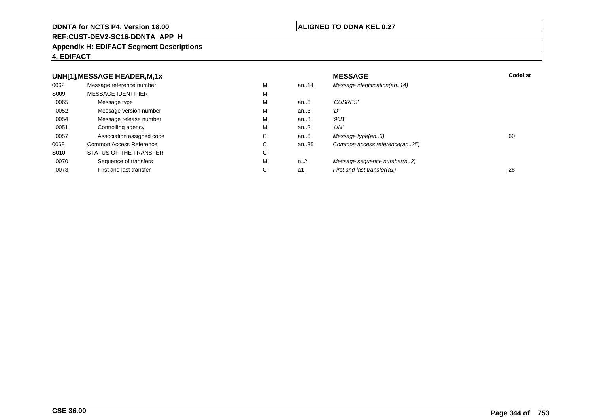### **REF:CUST-DEV2-SC16-DDNTA\_APP\_H**

### **Appendix H: EDIFACT Segment Descriptions**

### **4. EDIFACT**

#### **UNH[1],MESSAGE HEADER,M,1xx** MESSAGE **Codelist** Codelist 0062 Message reference number <sup>M</sup> an..14 Message identification(an..14) S009 MESSAGE IDENTIFIERR M M 0065Message type Message version number and the Message version number and the Message of Message Message Message M an..6  $'CUSRES'$ <br>an..3  $'D'$ 0052 Message version number <sup>M</sup>an..3 '*D'*<br>an..3 '96*B'* 0054Message release number Message release number Message of the Message of the Message of Message of Message of Me<br>
Message release number of Message of Message of Message of Message of Message of Message of Message of Messag an..3 '96B'<br>an..2 'UN' 0051 Controlling agency <sup>M</sup>an $.2$ <br>an $.6$ 0057Association assigned code **C** C<br>
mmon Access Reference **C** C an..6 Message type(an..6)<br>an..35 Common access reference(an..35) 0068Common Access Reference C<br>
STATUS OF THE TRANSFER
C Common access reference(an..35) S010 STATUS OF THE TRANSFERR C 0070Sequence of transfers M<br>
First and last transfer C n..2 Message sequence number(n..2)<br>a1 First and last transfer(a1) 0073First and last transfer First and last transfer(a1) 28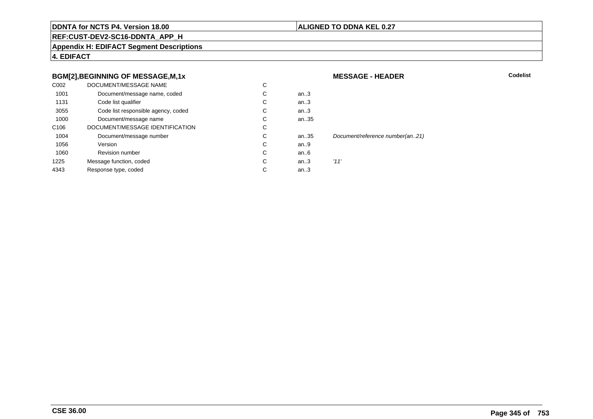### **ALIGNED TO DDNA KEL 0.27**

**MESSAGE - HEADER**

**REF:CUST-DEV2-SC16-DDNTA\_APP\_H**

**Appendix H: EDIFACT Segment Descriptions**

**4. EDIFACT**

### **BGM[2],BEGINNING OF MESSAGE,M,1x**

| C <sub>0</sub> 02 | DOCUMENT/MESSAGE NAME               | С |      |                                 |
|-------------------|-------------------------------------|---|------|---------------------------------|
| 1001              | Document/message name, coded        | C | an.3 |                                 |
| 1131              | Code list qualifier                 | C | an.3 |                                 |
| 3055              | Code list responsible agency, coded | C | an.3 |                                 |
| 1000              | Document/message name               | C | an35 |                                 |
| C <sub>106</sub>  | DOCUMENT/MESSAGE IDENTIFICATION     | C |      |                                 |
| 1004              | Document/message number             | C | an35 | Document/reference number(an21) |
| 1056              | Version                             | C | an9  |                                 |
| 1060              | <b>Revision number</b>              | C | an6  |                                 |
| 1225              | Message function, coded             | C | an.3 | '11'                            |
| 4343              | Response type, coded                | C | an.3 |                                 |
|                   |                                     |   |      |                                 |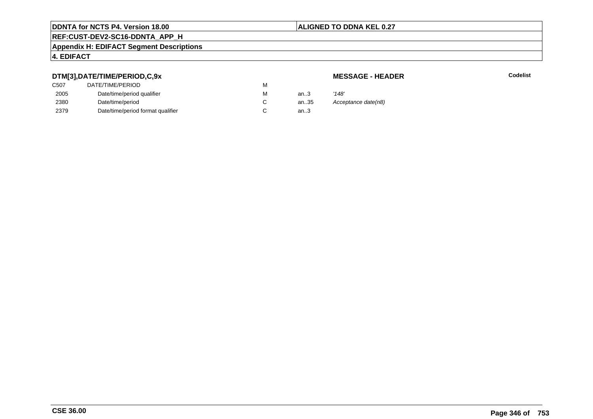### **ALIGNED TO DDNA KEL 0.27**

# **REF:CUST-DEV2-SC16-DDNTA\_APP\_H**

### **Appendix H: EDIFACT Segment Descriptions**

# **4. EDIFACT**

### **DTM[3],DATE/TIME/PERIOD,C,9x**

| <b>MESSAGE - HEADER</b> |  |
|-------------------------|--|
|-------------------------|--|

| DTM[3],DATE/TIME/PERIOD,C,9x      |                  |      |                     |
|-----------------------------------|------------------|------|---------------------|
|                                   | м                |      |                     |
| Date/time/period qualifier        | М                | an.3 | '148'               |
| Date/time/period                  |                  | an35 | Acceptance date(n8) |
| Date/time/period format qualifier |                  | an.3 |                     |
|                                   | DATE/TIME/PERIOD |      |                     |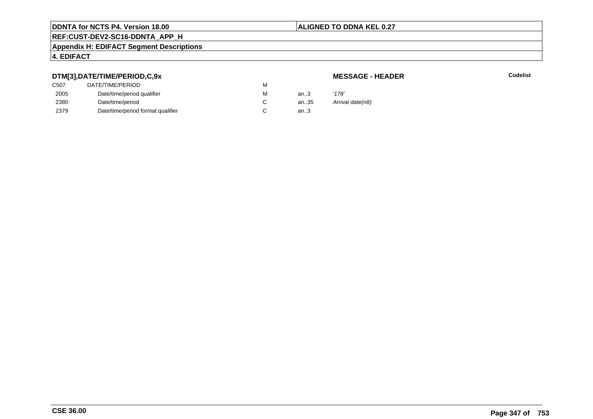### **ALIGNED TO DDNA KEL 0.27**

# **REF:CUST-DEV2-SC16-DDNTA\_APP\_H**

#### **Appendix H: EDIFACT Segment Descriptions**

### **4. EDIFACT**

### **DTM[3],DATE/TIME/PERIOD,C,9x**

# **MESSAGE - HEADER**

| C507 | DATE/TIME/PERIOD                  | M |      |                  |
|------|-----------------------------------|---|------|------------------|
| 2005 | Date/time/period qualifier        | м | an.3 | '178'            |
| 2380 | Date/time/period                  |   | an35 | Arrival date(n8) |
| 2379 | Date/time/period format qualifier |   | an.3 |                  |
|      |                                   |   |      |                  |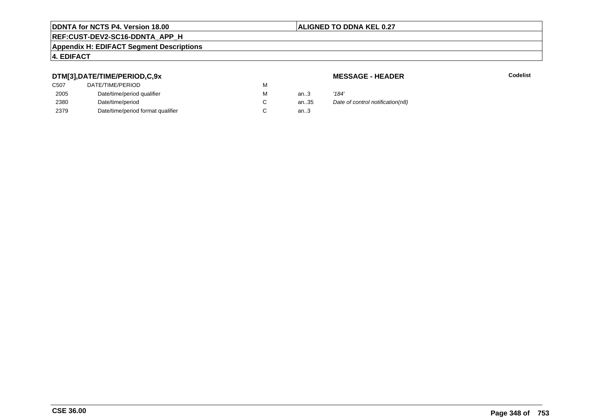### **ALIGNED TO DDNA KEL 0.27**

# **REF:CUST-DEV2-SC16-DDNTA\_APP\_H**

### **Appendix H: EDIFACT Segment Descriptions**

### **4. EDIFACT**

### **DTM[3],DATE/TIME/PERIOD,C,9x**

| C507 | DATE/TIME/PERIOD                  | М |        |       |
|------|-----------------------------------|---|--------|-------|
| 2005 | Date/time/period qualifier        | М | an $3$ | '184' |
| 2380 | Date/time/period                  |   | an35   | Date  |
| 2379 | Date/time/period format qualifier |   | an.3   |       |

**MESSAGE - HEADER**

**R** Codelist

an...<br>35 Date of control notification(n8)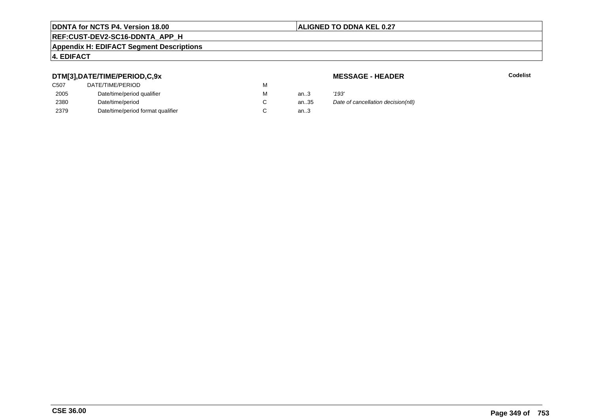### **ALIGNED TO DDNA KEL 0.27**

# **REF:CUST-DEV2-SC16-DDNTA\_APP\_H**

### **Appendix H: EDIFACT Segment Descriptions**

### **4. EDIFACT**

### **DTM[3],DATE/TIME/PERIOD,C,9x**

| C507 | DATE/TIME/PERIOD                  | М |        |       |
|------|-----------------------------------|---|--------|-------|
| 2005 | Date/time/period qualifier        | М | an $3$ | '193' |
| 2380 | Date/time/period                  |   | an35   | Date  |
| 2379 | Date/time/period format qualifier |   | an.3   |       |

**MESSAGE - HEADER**

**R** Codelist

an...<br>35 Date of cancellation decision(n8)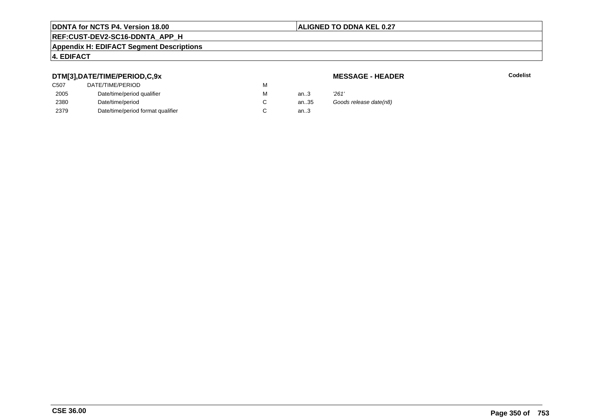### **ALIGNED TO DDNA KEL 0.27**

# **REF:CUST-DEV2-SC16-DDNTA\_APP\_H**

### **Appendix H: EDIFACT Segment Descriptions**

### **4. EDIFACT**

### **DTM[3],DATE/TIME/PERIOD,C,9x**

| <b>MESSAGE - HEADER</b> |  |
|-------------------------|--|
|-------------------------|--|

| DTM[3],DATE/TIME/PERIOD,C,9x |                                   |   | <b>MESSAGE - HEADER</b> |                        |
|------------------------------|-----------------------------------|---|-------------------------|------------------------|
| C <sub>50</sub> 7            | DATE/TIME/PERIOD                  | М |                         |                        |
| 2005                         | Date/time/period qualifier        | м | an.3                    | '261'                  |
| 2380                         | Date/time/period                  |   | an35                    | Goods release date(n8) |
| 2379                         | Date/time/period format qualifier |   | an.3                    |                        |
|                              |                                   |   |                         |                        |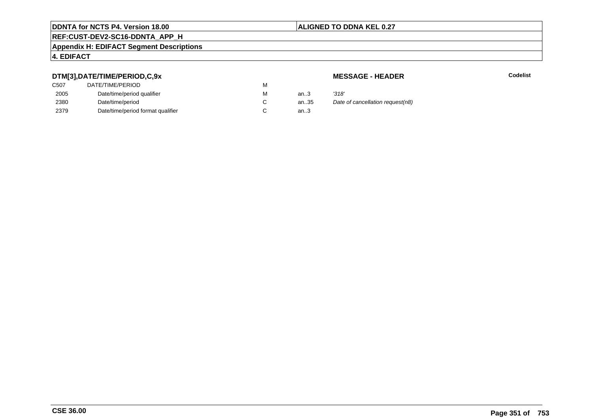### **ALIGNED TO DDNA KEL 0.27**

# **REF:CUST-DEV2-SC16-DDNTA\_APP\_H**

### **Appendix H: EDIFACT Segment Descriptions**

### **4. EDIFACT**

### **DTM[3],DATE/TIME/PERIOD,C,9x**

| DATE/TIME/PERIOD                  | М |        |       |
|-----------------------------------|---|--------|-------|
| Date/time/period qualifier        | М | an $3$ | '318' |
| Date/time/period                  |   | an35   | Date  |
| Date/time/period format qualifier |   | an.3   |       |
|                                   |   |        |       |

**MESSAGE - HEADER**

**R** Codelist

an...<br>35 Date of cancellation request(n8)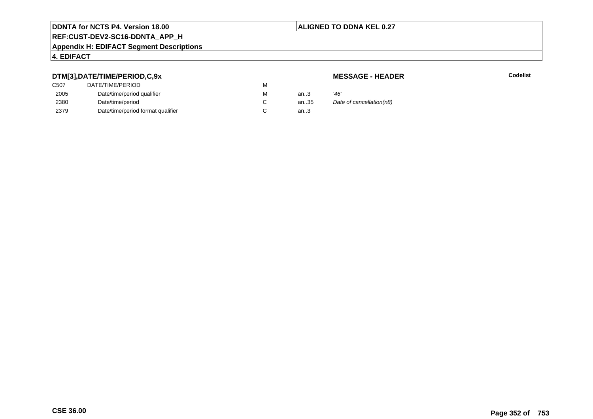### **ALIGNED TO DDNA KEL 0.27**

# **REF:CUST-DEV2-SC16-DDNTA\_APP\_H**

### **Appendix H: EDIFACT Segment Descriptions**

### **4. EDIFACT**

### **DTM[3],DATE/TIME/PERIOD,C,9x**

# **MESSAGE - HEADER**

| ---               |                                   |   |        |                          |
|-------------------|-----------------------------------|---|--------|--------------------------|
| C <sub>50</sub> 7 | DATE/TIME/PERIOD                  | М |        |                          |
| 2005              | Date/time/period qualifier        | М | an $3$ | '46'                     |
| 2380              | Date/time/period                  |   | an35   | Date of cancellation(n8) |
| 2379              | Date/time/period format qualifier |   | an.3   |                          |
|                   |                                   |   |        |                          |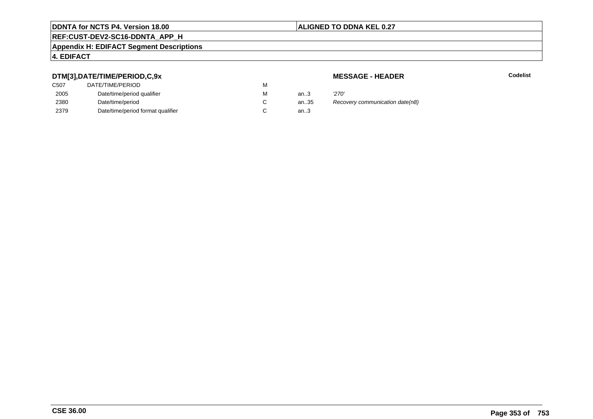# **ALIGNED TO DDNA KEL 0.27**

# **REF:CUST-DEV2-SC16-DDNTA\_APP\_H**

### **Appendix H: EDIFACT Segment Descriptions**

# **4. EDIFACT**

### **DTM[3],DATE/TIME/PERIOD,C,9x**

| C507 | DATE/TIME/PERIOD                  | М |        |       |
|------|-----------------------------------|---|--------|-------|
| 2005 | Date/time/period qualifier        | М | an $3$ | '270' |
| 2380 | Date/time/period                  |   | an.35  | Reco  |
| 2379 | Date/time/period format qualifier |   | an.3   |       |

**MESSAGE - HEADER**

**R** Codelist

antism Recovery communication date(n8).<br>..3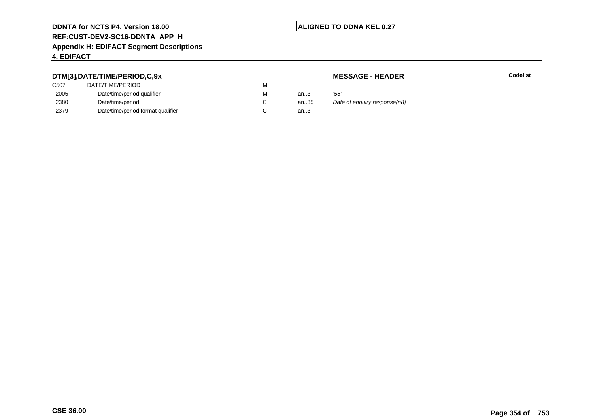### **ALIGNED TO DDNA KEL 0.27**

# **REF:CUST-DEV2-SC16-DDNTA\_APP\_H**

### **Appendix H: EDIFACT Segment Descriptions**

# **4. EDIFACT**

### **DTM[3],DATE/TIME/PERIOD,C,9x**

| <b>MESSAGE - HEADER</b> |  |
|-------------------------|--|
|-------------------------|--|

| <b>MESSAGE - HEADER</b>      |
|------------------------------|
|                              |
|                              |
| Date of enguiry response(n8) |
|                              |
|                              |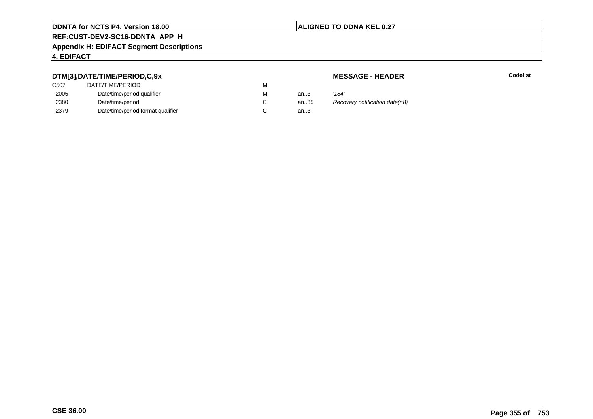# **ALIGNED TO DDNA KEL 0.27**

# **REF:CUST-DEV2-SC16-DDNTA\_APP\_H**

### **Appendix H: EDIFACT Segment Descriptions**

# **4. EDIFACT**

### **DTM[3],DATE/TIME/PERIOD,C,9x**

| C507 | DATE/TIME/PERIOD                  | М |      |       |
|------|-----------------------------------|---|------|-------|
| 2005 | Date/time/period qualifier        | М | an.3 | '184' |
| 2380 | Date/time/period                  |   | an35 | Reco  |
| 2379 | Date/time/period format qualifier |   | an.3 |       |

**MESSAGE - HEADER**

**R** Codelist

antification date (n8)<br>..3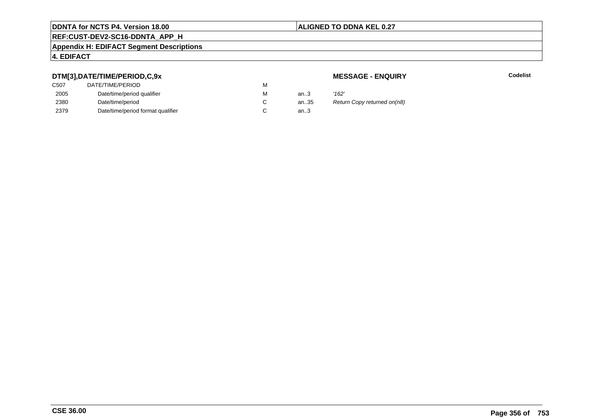# **ALIGNED TO DDNA KEL 0.27**

# **REF:CUST-DEV2-SC16-DDNTA\_APP\_H**

### **Appendix H: EDIFACT Segment Descriptions**

# **4. EDIFACT**

### **DTM[3],DATE/TIME/PERIOD,C,9x**

| C507 | DATE/TIME/PERIOD                  | М |        |       |
|------|-----------------------------------|---|--------|-------|
| 2005 | Date/time/period qualifier        | М | an $3$ | '162' |
| 2380 | Date/time/period                  |   | an35   | Retu  |
| 2379 | Date/time/period format qualifier |   | an.3   |       |

**MESSAGE - ENQUIRY**

**Example 2** Separate Codelist

35 Return Copy returned on(n8)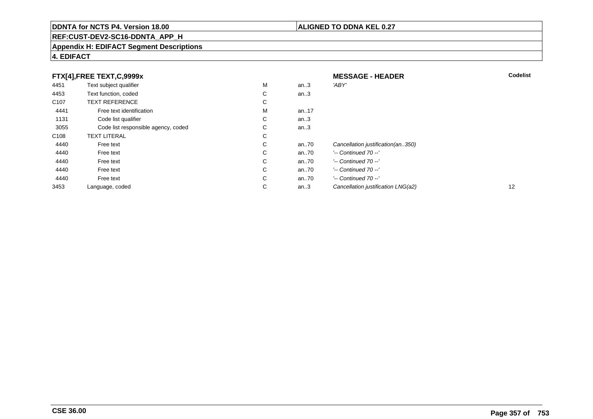# **REF:CUST-DEV2-SC16-DDNTA\_APP\_H**

### **Appendix H: EDIFACT Segment Descriptions**

# **4. EDIFACT**

|                  | FTX[4],FREE TEXT,C,9999x            |   |        | <b>MESSAGE - HEADER</b>            | <b>Codelist</b> |
|------------------|-------------------------------------|---|--------|------------------------------------|-----------------|
| 4451             | Text subject qualifier              | M | an.3   | 'ABY'                              |                 |
| 4453             | Text function, coded                | С | an.3   |                                    |                 |
| C <sub>107</sub> | <b>TEXT REFERENCE</b>               | С |        |                                    |                 |
| 4441             | Free text identification            | M | an17   |                                    |                 |
| 1131             | Code list qualifier                 | С | an $3$ |                                    |                 |
| 3055             | Code list responsible agency, coded | C | an.3   |                                    |                 |
| C <sub>108</sub> | <b>TEXT LITERAL</b>                 | С |        |                                    |                 |
| 4440             | Free text                           | C | an70   | Cancellation justification(an350)  |                 |
| 4440             | Free text                           | C | an70   | $'-$ Continued 70 $-$ '            |                 |
| 4440             | Free text                           | С | an70   | $'-$ Continued 70 $-$ '            |                 |
| 4440             | Free text                           | C | an70   | $'-$ Continued 70 $-$ '            |                 |
| 4440             | Free text                           | C | an70   | $'-$ Continued 70 $-$ '            |                 |
| 3453             | Language, coded                     | С | an.3   | Cancellation justification LNG(a2) | 12              |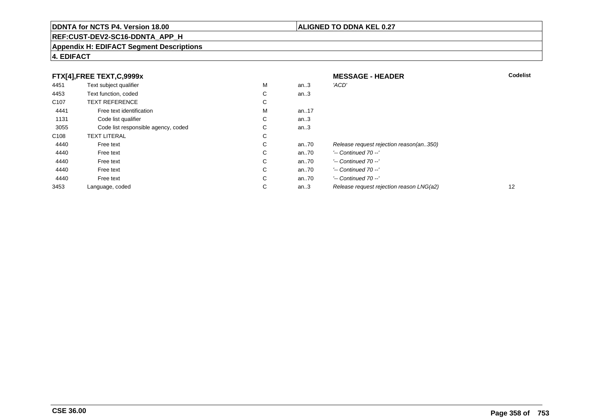# **REF:CUST-DEV2-SC16-DDNTA\_APP\_H**

### **Appendix H: EDIFACT Segment Descriptions**

### **4. EDIFACT**

|                  | FTX[4],FREE TEXT,C,9999x            |             |         | <b>MESSAGE - HEADER</b>                  | <b>Codelist</b> |
|------------------|-------------------------------------|-------------|---------|------------------------------------------|-----------------|
| 4451             | Text subject qualifier              | М           | an.3    | 'ACD'                                    |                 |
| 4453             | Text function, coded                | ⌒<br>◡      | an $.3$ |                                          |                 |
| C <sub>107</sub> | <b>TEXT REFERENCE</b>               | ⌒<br>Ü      |         |                                          |                 |
| 4441             | Free text identification            | M           | an17    |                                          |                 |
| 1131             | Code list qualifier                 | $\sim$<br>Ü | an.3    |                                          |                 |
| 3055             | Code list responsible agency, coded | ⌒<br>◡      | an.3    |                                          |                 |
| C108             | <b>TEXT LITERAL</b>                 | С           |         |                                          |                 |
| 4440             | Free text                           | С           | an70    | Release request rejection reason(an350)  |                 |
| 4440             | Free text                           | ⌒<br>◡      | an70    | $'-$ Continued 70 $-$ '                  |                 |
| 4440             | Free text                           | С           | an70    | $'-$ Continued 70 $-$ '                  |                 |
| 4440             | Free text                           | ⌒<br>Ü      | an70    | $'-$ Continued 70 $-$ '                  |                 |
| 4440             | Free text                           | C           | an70    | $'-$ Continued 70 $-$ '                  |                 |
| 3453             | Language, coded                     | С           | an.3    | Release request rejection reason LNG(a2) | 12              |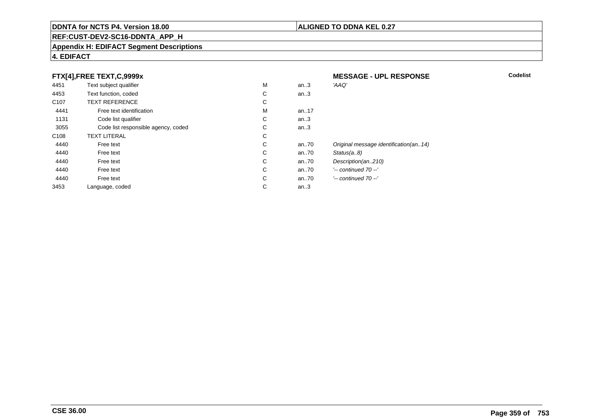### **REF:CUST-DEV2-SC16-DDNTA\_APP\_H**

### **Appendix H: EDIFACT Segment Descriptions**

### **4. EDIFACT**

### **FTX[4],FREE TEXT,C,9999x**

| .                | <u>.__ ._, , ,</u>                  |   |          |                                       |
|------------------|-------------------------------------|---|----------|---------------------------------------|
| 4451             | Text subject qualifier              | M | an.3     | 'AAQ'                                 |
| 4453             | Text function, coded                | C | an.3     |                                       |
| C <sub>107</sub> | <b>TEXT REFERENCE</b>               | C |          |                                       |
| 4441             | Free text identification            | M | an17     |                                       |
| 1131             | Code list qualifier                 | C | an.3     |                                       |
| 3055             | Code list responsible agency, coded | С | an.3     |                                       |
| C <sub>108</sub> | <b>TEXT LITERAL</b>                 | С |          |                                       |
| 4440             | Free text                           | С | an $.70$ | Original message identification(an14) |
| 4440             | Free text                           | C | an $.70$ | Status(a8)                            |
| 4440             | Free text                           | C | an70     | Description(an210)                    |
| 4440             | Free text                           | C | an $.70$ | $'-$ continued 70 $-$ '               |
| 4440             | Free text                           | C | an $.70$ | $'-$ continued $70 -'$                |
| 3453             | Language, coded                     | С | an.3     |                                       |
|                  |                                     |   |          |                                       |

 **MESSAGE - UPL RESPONSECodelist**

- 
-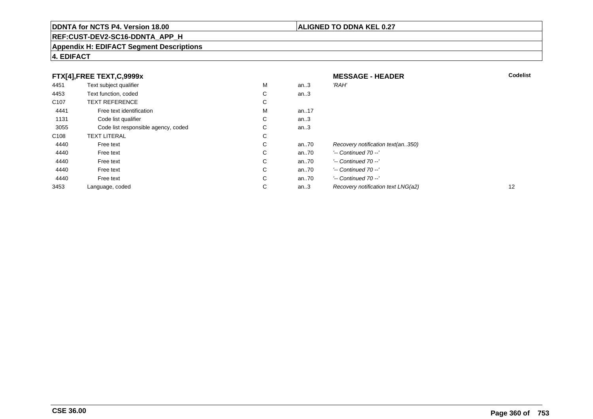# **REF:CUST-DEV2-SC16-DDNTA\_APP\_H**

### **Appendix H: EDIFACT Segment Descriptions**

# **4. EDIFACT**

|                  | FTX[4],FREE TEXT,C,9999x            |        |         | <b>MESSAGE - HEADER</b>            | Codelist |
|------------------|-------------------------------------|--------|---------|------------------------------------|----------|
| 4451             | Text subject qualifier              | М      | an.3    | 'RAH'                              |          |
| 4453             | Text function, coded                | С      | an $.3$ |                                    |          |
| C <sub>107</sub> | <b>TEXT REFERENCE</b>               | ⌒<br>Ü |         |                                    |          |
| 4441             | Free text identification            | м      | an17    |                                    |          |
| 1131             | Code list qualifier                 | C      | an $.3$ |                                    |          |
| 3055             | Code list responsible agency, coded | C.     | an.3    |                                    |          |
| C <sub>108</sub> | <b>TEXT LITERAL</b>                 | C      |         |                                    |          |
| 4440             | Free text                           | С      | an70    | Recovery notification text(an350)  |          |
| 4440             | Free text                           | C      | an70    | '-- Continued 70 --'               |          |
| 4440             | Free text                           | С      | an70    | $'-$ Continued 70 $-$ '            |          |
| 4440             | Free text                           | C      | an70    | $'-$ Continued 70 $-$ '            |          |
| 4440             | Free text                           | C      | an70    | $'-$ Continued 70 $-$ '            |          |
| 3453             | Language, coded                     | С      | an.3    | Recovery notification text LNG(a2) | 12       |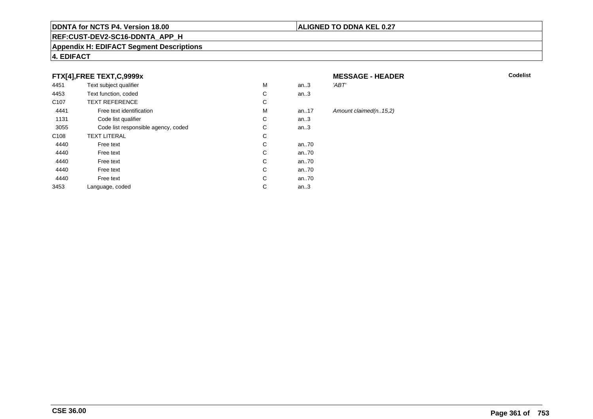#### **REF:CUST-DEV2-SC16-DDNTA\_APP\_H**

#### **Appendix H: EDIFACT Segment Descriptions**

### **4. EDIFACT**

#### **FTX[4],FREE TEXT,C,9999x**

| 4451             | Text subject qualifier              | M | an.3     | 'ABT'    |
|------------------|-------------------------------------|---|----------|----------|
| 4453             | Text function, coded                | С | an.3     |          |
| C <sub>107</sub> | <b>TEXT REFERENCE</b>               | C |          |          |
| 4441             | Free text identification            | M | an. $17$ | Amount c |
| 1131             | Code list qualifier                 | С | an.3     |          |
| 3055             | Code list responsible agency, coded | С | an.3     |          |
| C <sub>108</sub> | <b>TEXT LITERAL</b>                 | С |          |          |
| 4440             | Free text                           | С | an70     |          |
| 4440             | Free text                           | С | an70     |          |
| 4440             | Free text                           | С | an70     |          |
| 4440             | Free text                           | C | an70     |          |
| 4440             | Free text                           | С | an70     |          |
| 3453             | Language, coded                     | С | an.3     |          |
|                  |                                     |   |          |          |

#### **MESSAGE - HEADER**

**R** Codelist

#### $claimed(n..15,2)$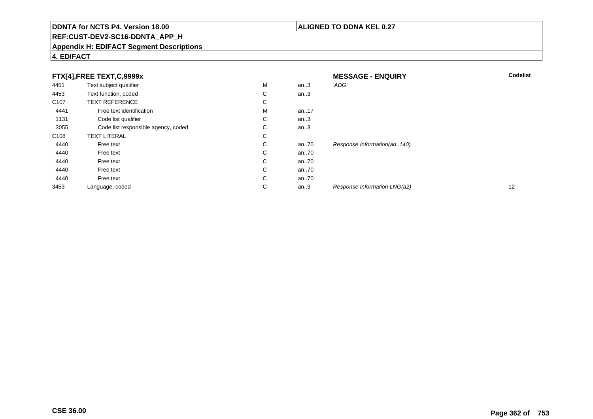### **REF:CUST-DEV2-SC16-DDNTA\_APP\_H**

#### **Appendix H: EDIFACT Segment Descriptions**

#### **4. EDIFACT**

|                  | FTX[4],FREE TEXT,C,9999x            |   |      | <b>MESSAGE - ENQUIRY</b>     | <b>Codelist</b> |
|------------------|-------------------------------------|---|------|------------------------------|-----------------|
| 4451             | Text subject qualifier              | M | an.3 | 'ADG'                        |                 |
| 4453             | Text function, coded                | С | an.3 |                              |                 |
| C <sub>107</sub> | <b>TEXT REFERENCE</b>               | С |      |                              |                 |
| 4441             | Free text identification            | M | an17 |                              |                 |
| 1131             | Code list qualifier                 | С | an.3 |                              |                 |
| 3055             | Code list responsible agency, coded | С | an.3 |                              |                 |
| C <sub>108</sub> | <b>TEXT LITERAL</b>                 | С |      |                              |                 |
| 4440             | Free text                           | С | an70 | Response Information(an140)  |                 |
| 4440             | Free text                           | С | an70 |                              |                 |
| 4440             | Free text                           | C | an70 |                              |                 |
| 4440             | Free text                           | C | an70 |                              |                 |
| 4440             | Free text                           | С | an70 |                              |                 |
| 3453             | Language, coded                     | С | an.3 | Response Information LNG(a2) | 12              |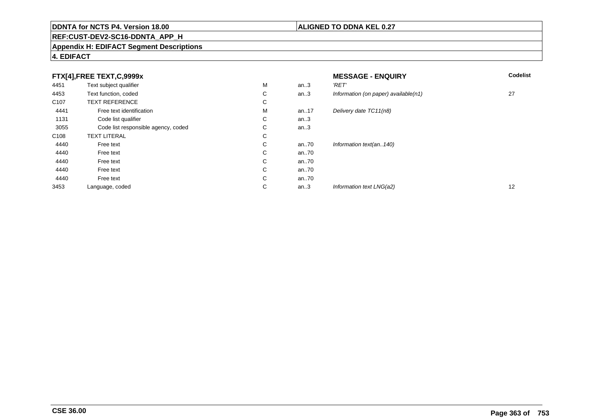### **REF:CUST-DEV2-SC16-DDNTA\_APP\_H**

#### **Appendix H: EDIFACT Segment Descriptions**

| FTX[4],FREE TEXT,C,9999x |                                     | <b>MESSAGE - ENQUIRY</b> | <b>Codelist</b> |                                      |    |
|--------------------------|-------------------------------------|--------------------------|-----------------|--------------------------------------|----|
| 4451                     | Text subject qualifier              | M                        | an.3            | 'RET'                                |    |
| 4453                     | Text function, coded                | С                        | an.3            | Information (on paper) available(n1) | 27 |
| C <sub>107</sub>         | <b>TEXT REFERENCE</b>               | ⌒<br>Ü                   |                 |                                      |    |
| 4441                     | Free text identification            | M                        | an17            | Delivery date TC11(n8)               |    |
| 1131                     | Code list qualifier                 | С                        | an.3            |                                      |    |
| 3055                     | Code list responsible agency, coded | $\sim$<br>◡              | an.3            |                                      |    |
| C108                     | <b>TEXT LITERAL</b>                 | С                        |                 |                                      |    |
| 4440                     | Free text                           | ⌒<br>Ü                   | an70            | Information text(an140)              |    |
| 4440                     | Free text                           | С                        | an70            |                                      |    |
| 4440                     | Free text                           | С                        | an70            |                                      |    |
| 4440                     | Free text                           | С                        | an70            |                                      |    |
| 4440                     | Free text                           | С                        | an70            |                                      |    |
| 3453                     | Language, coded                     | ⌒<br>◡                   | an.3            | Information text LNG(a2)             | 12 |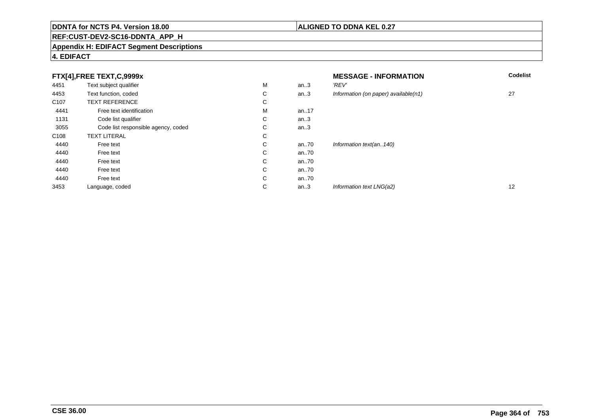### **REF:CUST-DEV2-SC16-DDNTA\_APP\_H**

#### **Appendix H: EDIFACT Segment Descriptions**

### **4. EDIFACT**

| FTX[4],FREE TEXT,C,9999x |                                     | <b>MESSAGE - INFORMATION</b> | <b>Codelist</b> |                                         |                   |
|--------------------------|-------------------------------------|------------------------------|-----------------|-----------------------------------------|-------------------|
| 4451                     | Text subject qualifier              | М                            | an.3            | 'REV'                                   |                   |
| 4453                     | Text function, coded                | С                            | an.3            | Information (on paper) available $(n1)$ | 27                |
| C <sub>107</sub>         | <b>TEXT REFERENCE</b>               | С                            |                 |                                         |                   |
| 4441                     | Free text identification            | М                            | an17            |                                         |                   |
| 1131                     | Code list qualifier                 | $\sim$<br>Ü                  | an.3            |                                         |                   |
| 3055                     | Code list responsible agency, coded | С                            | an.3            |                                         |                   |
| C108                     | <b>TEXT LITERAL</b>                 | С                            |                 |                                         |                   |
| 4440                     | Free text                           | С                            | an70            | Information text(an140)                 |                   |
| 4440                     | Free text                           | С                            | an70            |                                         |                   |
| 4440                     | Free text                           | С                            | an70            |                                         |                   |
| 4440                     | Free text                           | С                            | an70            |                                         |                   |
| 4440                     | Free text                           | С                            | an70            |                                         |                   |
| 3453                     | Language, coded                     | С                            | an.3            | Information text LNG(a2)                | $12 \overline{ }$ |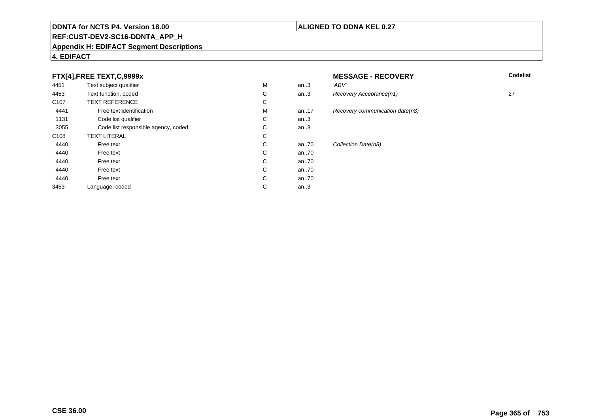#### **REF:CUST-DEV2-SC16-DDNTA\_APP\_H**

#### **Appendix H: EDIFACT Segment Descriptions**

#### **4. EDIFACT**

### **FTX[4],FREE TEXT,C,9999x**

| 4451             | Text subject qualifier              | M | an.3  | 'ABV' |
|------------------|-------------------------------------|---|-------|-------|
| 4453             | Text function, coded                | C | an.3  | Reco  |
| C <sub>107</sub> | <b>TEXT REFERENCE</b>               | С |       |       |
| 4441             | Free text identification            | M | an.17 | Reco  |
| 1131             | Code list qualifier                 | C | an.3  |       |
| 3055             | Code list responsible agency, coded | С | an.3  |       |
| C <sub>108</sub> | <b>TEXT LITERAL</b>                 | С |       |       |
| 4440             | Free text                           | C | an.70 | Colle |
| 4440             | Free text                           | C | an70  |       |
| 4440             | Free text                           | C | an70  |       |
| 4440             | Free text                           | C | an70  |       |
| 4440             | Free text                           | C | an70  |       |
| 3453             | Language, coded                     | C | an.3  |       |

# **MESSAGE - RECOVERY**

**Lackson Codelist** Codelist

Recovery Acceptance(n1) 27 Recovery communication date(n8) Collection Date(n8)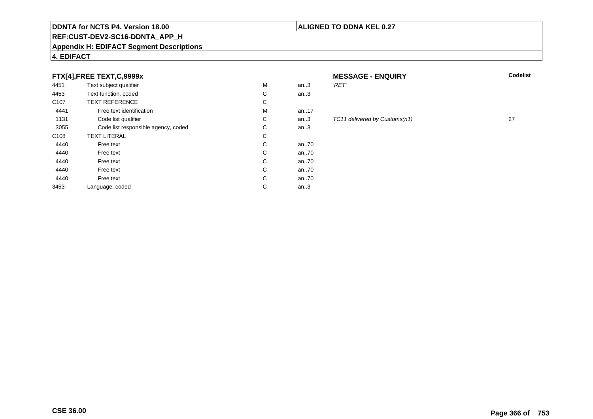#### **REF:CUST-DEV2-SC16-DDNTA\_APP\_H**

#### **Appendix H: EDIFACT Segment Descriptions**

### **4. EDIFACT**

#### **FTX[4],FREE TEXT,C,9999x**

| 4451             | Text subject qualifier              | M | an.3 | 'RET'       |
|------------------|-------------------------------------|---|------|-------------|
| 4453             | Text function, coded                | C | an.3 |             |
| C <sub>107</sub> | <b>TEXT REFERENCE</b>               | С |      |             |
| 4441             | Free text identification            | M | an17 |             |
| 1131             | Code list qualifier                 | C | an.3 | <b>TC11</b> |
| 3055             | Code list responsible agency, coded | C | an.3 |             |
| C <sub>108</sub> | <b>TEXT LITERAL</b>                 | С |      |             |
| 4440             | Free text                           | С | an70 |             |
| 4440             | Free text                           | C | an70 |             |
| 4440             | Free text                           | С | an70 |             |
| 4440             | Free text                           | С | an70 |             |
| 4440             | Free text                           | C | an70 |             |
| 3453             | Language, coded                     | C | an.3 |             |
|                  |                                     |   |      |             |

# **MESSAGE - ENQUIRY**

**ALIGNED TO DDNA KEL 0.27**

|  | í |
|--|---|
|  |   |

#### TC11 delivered by Customs(n1) 27

**Latter School** School Codelist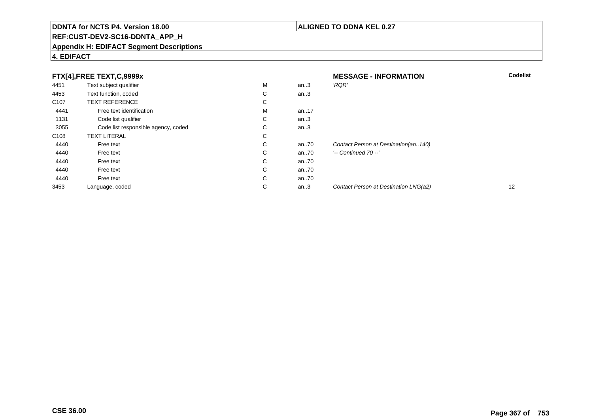### **REF:CUST-DEV2-SC16-DDNTA\_APP\_H**

#### **Appendix H: EDIFACT Segment Descriptions**

### **4. EDIFACT**

|                  | FTX[4],FREE TEXT,C,9999x            |             |      | <b>MESSAGE - INFORMATION</b>          | <b>Codelist</b> |
|------------------|-------------------------------------|-------------|------|---------------------------------------|-----------------|
| 4451             | Text subject qualifier              | м           | an.3 | 'RQR'                                 |                 |
| 4453             | Text function, coded                | $\sim$<br>◡ | an.3 |                                       |                 |
| C <sub>107</sub> | <b>TEXT REFERENCE</b>               | $\sim$<br>Ü |      |                                       |                 |
| 4441             | Free text identification            | м           | an17 |                                       |                 |
| 1131             | Code list qualifier                 | $\sim$<br>◡ | an.3 |                                       |                 |
| 3055             | Code list responsible agency, coded | $\sim$<br>◡ | an.3 |                                       |                 |
| C <sub>108</sub> | <b>TEXT LITERAL</b>                 | $\sim$<br>Ü |      |                                       |                 |
| 4440             | Free text                           | $\sim$<br>Ü | an70 | Contact Person at Destination(an140)  |                 |
| 4440             | Free text                           | C           | an70 | $'-$ Continued 70 $-$ '               |                 |
| 4440             | Free text                           | С           | an70 |                                       |                 |
| 4440             | Free text                           | С           | an70 |                                       |                 |
| 4440             | Free text                           | С           | an70 |                                       |                 |
| 3453             | Language, coded                     | $\sim$<br>◡ | an.3 | Contact Person at Destination LNG(a2) | 12              |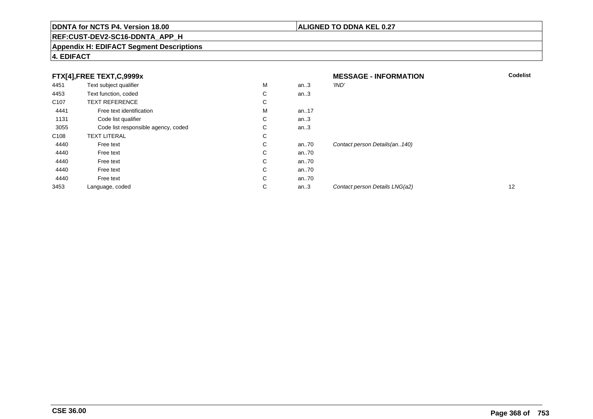### **REF:CUST-DEV2-SC16-DDNTA\_APP\_H**

#### **Appendix H: EDIFACT Segment Descriptions**

### **4. EDIFACT**

|                  | FTX[4],FREE TEXT,C,9999x            |             |      | <b>MESSAGE - INFORMATION</b>   | <b>Codelist</b> |
|------------------|-------------------------------------|-------------|------|--------------------------------|-----------------|
| 4451             | Text subject qualifier              | М           | an.3 | 'IND'                          |                 |
| 4453             | Text function, coded                | ⌒<br>Ü      | an.3 |                                |                 |
| C <sub>107</sub> | <b>TEXT REFERENCE</b>               | С           |      |                                |                 |
| 4441             | Free text identification            | М           | an17 |                                |                 |
| 1131             | Code list qualifier                 | С           | an.3 |                                |                 |
| 3055             | Code list responsible agency, coded | ⌒<br>Ü      | an.3 |                                |                 |
| C <sub>108</sub> | <b>TEXT LITERAL</b>                 | С           |      |                                |                 |
| 4440             | Free text                           | С           | an70 | Contact person Details(an140)  |                 |
| 4440             | Free text                           | С           | an70 |                                |                 |
| 4440             | Free text                           | С           | an70 |                                |                 |
| 4440             | Free text                           | С           | an70 |                                |                 |
| 4440             | Free text                           | С           | an70 |                                |                 |
| 3453             | Language, coded                     | $\sim$<br>◡ | an.3 | Contact person Details LNG(a2) | 12              |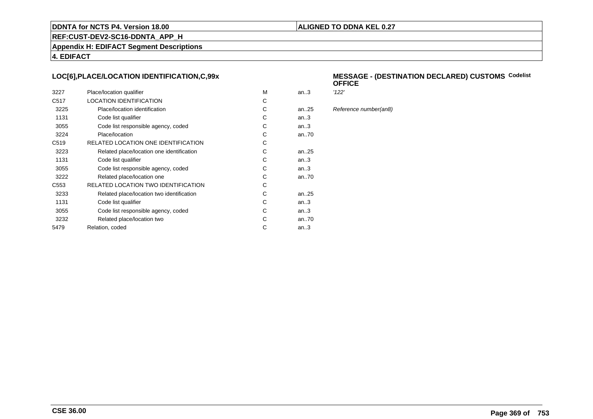#### **ALIGNED TO DDNA KEL 0.27**

**REF:CUST-DEV2-SC16-DDNTA\_APP\_H**

**Appendix H: EDIFACT Segment Descriptions**

**4. EDIFACT**

#### **LOC[6],PLACE/LOCATION IDENTIFICATION,C,99x**

| 3227             | Place/location qualifier                  | M | an3       | '122' |
|------------------|-------------------------------------------|---|-----------|-------|
| C <sub>517</sub> | <b>LOCATION IDENTIFICATION</b>            | C |           |       |
| 3225             | Place/location identification             | C | an. $.25$ | Refe  |
| 1131             | Code list qualifier                       | C | an3       |       |
| 3055             | Code list responsible agency, coded       | C | an3       |       |
| 3224             | Place/location                            | C | an70      |       |
| C <sub>519</sub> | RELATED LOCATION ONE IDENTIFICATION       | C |           |       |
| 3223             | Related place/location one identification | C | an25      |       |
| 1131             | Code list qualifier                       | C | an.3      |       |
| 3055             | Code list responsible agency, coded       | C | an.3      |       |
| 3222             | Related place/location one                | C | an70      |       |
| C <sub>553</sub> | RELATED LOCATION TWO IDENTIFICATION       | C |           |       |
| 3233             | Related place/location two identification | C | an. $.25$ |       |
| 1131             | Code list qualifier                       | C | an.3      |       |
| 3055             | Code list responsible agency, coded       | C | an3       |       |
| 3232             | Related place/location two                | C | an70      |       |
| 5479             | Relation, coded                           | C | an $3$    |       |
|                  |                                           |   |           |       |

#### **MESSAGE - (DESTINATION DECLARED) CUSTOMSCodelist OFFICE**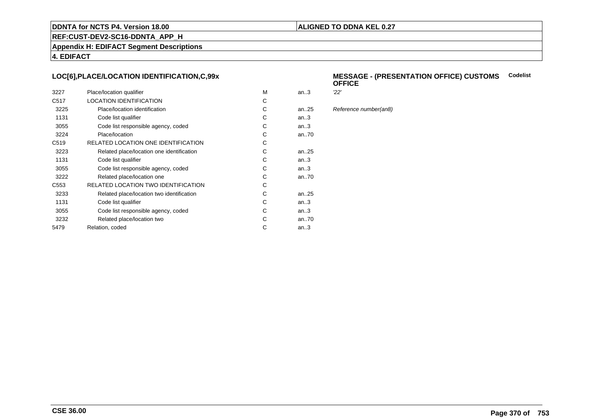#### **ALIGNED TO DDNA KEL 0.27**

**REF:CUST-DEV2-SC16-DDNTA\_APP\_H**

**Appendix H: EDIFACT Segment Descriptions**

**4. EDIFACT**

#### **LOC[6],PLACE/LOCATION IDENTIFICATION,C,99x**

| 3227             | Place/location qualifier                  | м | an.3      | 22' |
|------------------|-------------------------------------------|---|-----------|-----|
| C <sub>517</sub> | <b>LOCATION IDENTIFICATION</b>            | С |           |     |
| 3225             | Place/location identification             | С | an. $.25$ | Ref |
| 1131             | Code list qualifier                       | С | an.3      |     |
| 3055             | Code list responsible agency, coded       | С | an.3      |     |
| 3224             | Place/location                            | С | an70      |     |
| C <sub>519</sub> | RELATED LOCATION ONE IDENTIFICATION       | C |           |     |
| 3223             | Related place/location one identification | С | an25      |     |
| 1131             | Code list qualifier                       | С | an.3      |     |
| 3055             | Code list responsible agency, coded       | С | an.3      |     |
| 3222             | Related place/location one                | С | an70      |     |
| C <sub>553</sub> | RELATED LOCATION TWO IDENTIFICATION       | С |           |     |
| 3233             | Related place/location two identification | С | an. $.25$ |     |
| 1131             | Code list qualifier                       | C | an.3      |     |
| 3055             | Code list responsible agency, coded       | С | an.3      |     |
| 3232             | Related place/location two                | С | an70      |     |
| 5479             | Relation, coded                           | С | an3       |     |
|                  |                                           |   |           |     |

#### **MESSAGE - (PRESENTATION OFFICE) CUSTOMSCodelist OFFICE**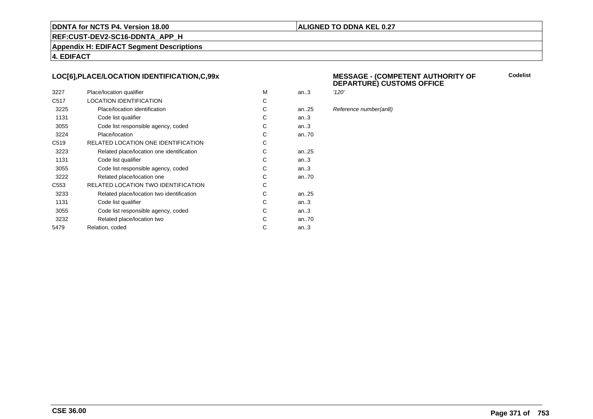#### **ALIGNED TO DDNA KEL 0.27**

**REF:CUST-DEV2-SC16-DDNTA\_APP\_H**

**Appendix H: EDIFACT Segment Descriptions**

**4. EDIFACT**

#### **LOC[6],PLACE/LOCATION IDENTIFICATION,C,99x**

| 3227             | Place/location qualifier                   | M | an.3      | '120' |
|------------------|--------------------------------------------|---|-----------|-------|
| C <sub>517</sub> | <b>LOCATION IDENTIFICATION</b>             | С |           |       |
| 3225             | Place/location identification              | C | an. $.25$ | Refe  |
| 1131             | Code list qualifier                        | C | an.3      |       |
| 3055             | Code list responsible agency, coded        | С | an.3      |       |
| 3224             | Place/location                             | С | an70      |       |
| C <sub>519</sub> | RELATED LOCATION ONE IDENTIFICATION        | С |           |       |
| 3223             | Related place/location one identification  | C | an25      |       |
| 1131             | Code list qualifier                        | C | an.3      |       |
| 3055             | Code list responsible agency, coded        | C | an.3      |       |
| 3222             | Related place/location one                 | C | an70      |       |
| C <sub>553</sub> | <b>RELATED LOCATION TWO IDENTIFICATION</b> | С |           |       |
| 3233             | Related place/location two identification  | C | an25      |       |
| 1131             | Code list qualifier                        | C | an.3      |       |
| 3055             | Code list responsible agency, coded        | C | an.3      |       |
| 3232             | Related place/location two                 | С | an70      |       |
| 5479             | Relation, coded                            | C | an.3      |       |
|                  |                                            |   |           |       |

#### **MESSAGE - (COMPETENT AUTHORITY OFDEPARTURE) CUSTOMS OFFICE**

**Codelist**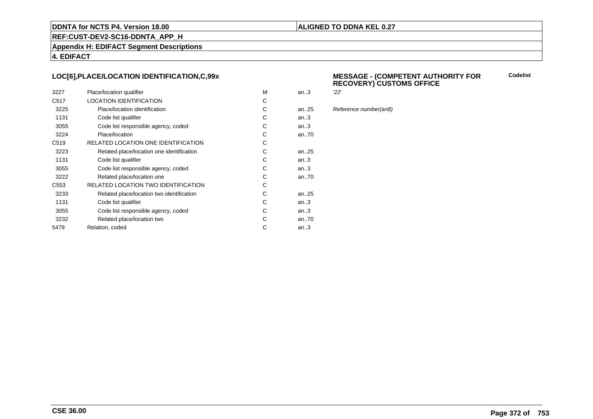#### **ALIGNED TO DDNA KEL 0.27**

**REF:CUST-DEV2-SC16-DDNTA\_APP\_H**

**Appendix H: EDIFACT Segment Descriptions**

**4. EDIFACT**

#### **LOC[6],PLACE/LOCATION IDENTIFICATION,C,99x**

| 3227             | Place/location qualifier                   | м | an.3      | 22' |
|------------------|--------------------------------------------|---|-----------|-----|
| C <sub>517</sub> | <b>LOCATION IDENTIFICATION</b>             | С |           |     |
| 3225             | Place/location identification              | С | an. $.25$ | Ref |
| 1131             | Code list qualifier                        | C | an.3      |     |
| 3055             | Code list responsible agency, coded        | С | an.3      |     |
| 3224             | Place/location                             | С | an70      |     |
| C <sub>519</sub> | RELATED LOCATION ONE IDENTIFICATION        | С |           |     |
| 3223             | Related place/location one identification  | С | an. $.25$ |     |
| 1131             | Code list qualifier                        | C | an.3      |     |
| 3055             | Code list responsible agency, coded        | С | an.3      |     |
| 3222             | Related place/location one                 | С | an70      |     |
| C <sub>553</sub> | <b>RELATED LOCATION TWO IDENTIFICATION</b> | С |           |     |
| 3233             | Related place/location two identification  | С | an. $.25$ |     |
| 1131             | Code list qualifier                        | C | an.3      |     |
| 3055             | Code list responsible agency, coded        | С | an.3      |     |
| 3232             | Related place/location two                 | С | an70      |     |
| 5479             | Relation, coded                            | С | an.3      |     |
|                  |                                            |   |           |     |

# **MESSAGE - (COMPETENT AUTHORITY FOR RECOVERY) CUSTOMS OFFICE**

**Codelist**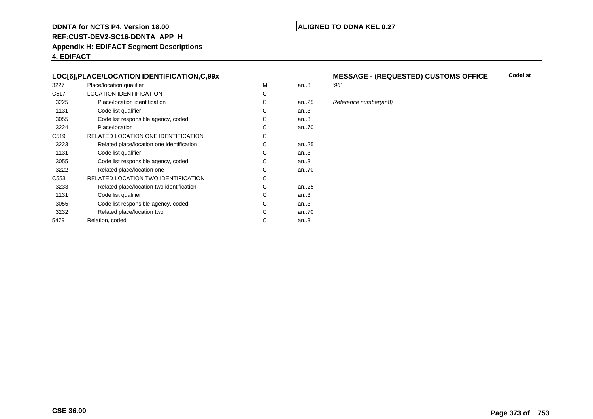#### **ALIGNED TO DDNA KEL 0.27**

**REF:CUST-DEV2-SC16-DDNTA\_APP\_H**

**Appendix H: EDIFACT Segment Descriptions**

**4. EDIFACT**

#### **LOC[6],PLACE/LOCATION IDENTIFICATION,C,99x**

| 3227             | Place/location qualifier                  | м | an.3      | '96' |
|------------------|-------------------------------------------|---|-----------|------|
| C <sub>517</sub> | <b>LOCATION IDENTIFICATION</b>            | C |           |      |
| 3225             | Place/location identification             | С | an. $.25$ | Ref  |
| 1131             | Code list qualifier                       | С | an.3      |      |
| 3055             | Code list responsible agency, coded       | С | an.3      |      |
| 3224             | Place/location                            | С | an70      |      |
| C <sub>519</sub> | RELATED LOCATION ONE IDENTIFICATION       | С |           |      |
| 3223             | Related place/location one identification | С | an. $.25$ |      |
| 1131             | Code list qualifier                       | С | an.3      |      |
| 3055             | Code list responsible agency, coded       | С | an.3      |      |
| 3222             | Related place/location one                | С | an70      |      |
| C553             | RELATED LOCATION TWO IDENTIFICATION       | С |           |      |
| 3233             | Related place/location two identification | С | an. $.25$ |      |
| 1131             | Code list qualifier                       | C | an.3      |      |
| 3055             | Code list responsible agency, coded       | С | an.3      |      |
| 3232             | Related place/location two                | C | an70      |      |
| 5479             | Relation, coded                           | С | an.3      |      |
|                  |                                           |   |           |      |

#### **MESSAGE - (REQUESTED) CUSTOMS OFFICE**<br>'96' **Codelist**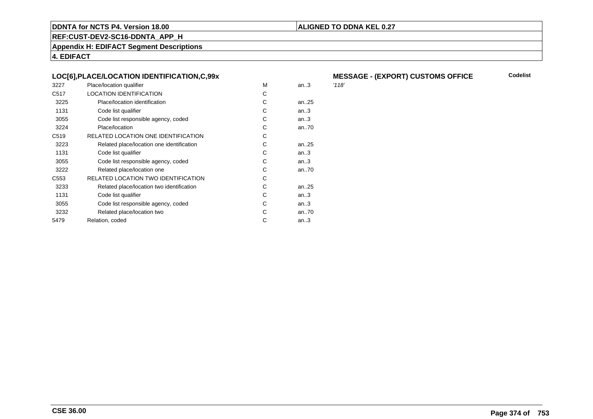#### **ALIGNED TO DDNA KEL 0.27**

**REF:CUST-DEV2-SC16-DDNTA\_APP\_H**

**Appendix H: EDIFACT Segment Descriptions**

**4. EDIFACT**

#### **LOC[6],PLACE/LOCATION IDENTIFICATION,C,99x**

| 3227             | Place/location qualifier                  | M | an.3 | '118' |
|------------------|-------------------------------------------|---|------|-------|
| C <sub>517</sub> | <b>LOCATION IDENTIFICATION</b>            | C |      |       |
| 3225             | Place/location identification             | C | an25 |       |
| 1131             | Code list qualifier                       | C | an.3 |       |
| 3055             | Code list responsible agency, coded       | C | an3  |       |
| 3224             | Place/location                            | C | an70 |       |
| C <sub>519</sub> | RELATED LOCATION ONE IDENTIFICATION       | C |      |       |
| 3223             | Related place/location one identification | C | an25 |       |
| 1131             | Code list qualifier                       | C | an3  |       |
| 3055             | Code list responsible agency, coded       | C | an3  |       |
| 3222             | Related place/location one                | C | an70 |       |
| C <sub>553</sub> | RELATED LOCATION TWO IDENTIFICATION       | C |      |       |
| 3233             | Related place/location two identification | C | an25 |       |
| 1131             | Code list qualifier                       | C | an.3 |       |
| 3055             | Code list responsible agency, coded       | C | an3  |       |
| 3232             | Related place/location two                | C | an70 |       |
| 5479             | Relation, coded                           | C | an.3 |       |
|                  |                                           |   |      |       |

# **MESSAGE - (EXPORT) CUSTOMS OFFICE**

**Codelist**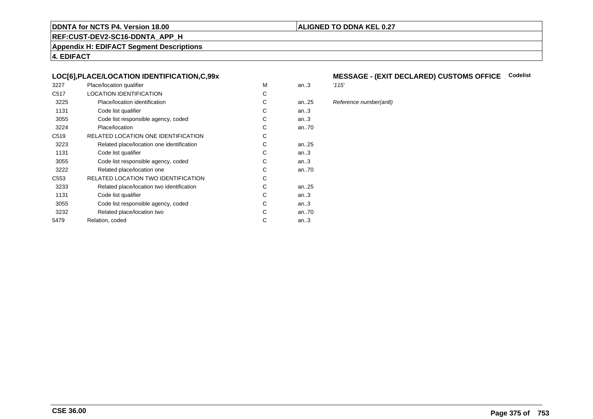#### **ALIGNED TO DDNA KEL 0.27**

**REF:CUST-DEV2-SC16-DDNTA\_APP\_H**

**Appendix H: EDIFACT Segment Descriptions**

**4. EDIFACT**

#### **LOC[6],PLACE/LOCATION IDENTIFICATION,C,99x**

| 3227             | Place/location qualifier                   | M | an.3   | '115' |
|------------------|--------------------------------------------|---|--------|-------|
| C <sub>517</sub> | <b>LOCATION IDENTIFICATION</b>             | C |        |       |
| 3225             | Place/location identification              | С | an25   | Refe  |
| 1131             | Code list qualifier                        | C | an.3   |       |
| 3055             | Code list responsible agency, coded        | С | an.3   |       |
| 3224             | Place/location                             | С | an70   |       |
| C <sub>519</sub> | RELATED LOCATION ONE IDENTIFICATION        | С |        |       |
| 3223             | Related place/location one identification  | C | an25   |       |
| 1131             | Code list qualifier                        | C | an.3   |       |
| 3055             | Code list responsible agency, coded        | С | an.3   |       |
| 3222             | Related place/location one                 | С | an70   |       |
| C553             | <b>RELATED LOCATION TWO IDENTIFICATION</b> | С |        |       |
| 3233             | Related place/location two identification  | C | an25   |       |
| 1131             | Code list qualifier                        | C | an.3   |       |
| 3055             | Code list responsible agency, coded        | С | an.3   |       |
| 3232             | Related place/location two                 | C | an70   |       |
| 5479             | Relation, coded                            | C | an $3$ |       |
|                  |                                            |   |        |       |

# **MESSAGE - (EXIT DECLARED) CUSTOMS OFFICE Codelist**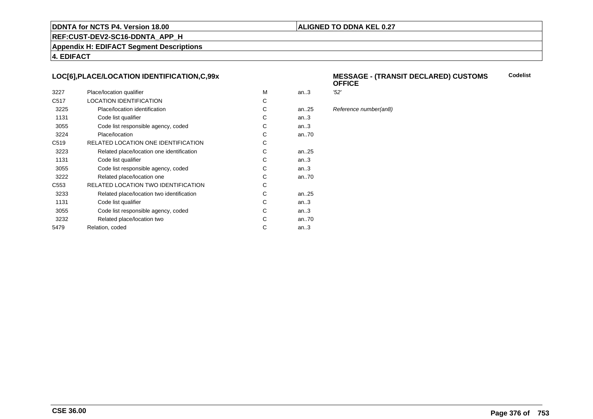#### **ALIGNED TO DDNA KEL 0.27**

**REF:CUST-DEV2-SC16-DDNTA\_APP\_H**

**Appendix H: EDIFACT Segment Descriptions**

**4. EDIFACT**

#### **LOC[6],PLACE/LOCATION IDENTIFICATION,C,99x**

| 3227             | Place/location qualifier                   | м | an.3      | '52' |
|------------------|--------------------------------------------|---|-----------|------|
| C <sub>517</sub> | LOCATION IDENTIFICATION                    | С |           |      |
| 3225             | Place/location identification              | С | an25      | Ref  |
| 1131             | Code list qualifier                        | С | an.3      |      |
| 3055             | Code list responsible agency, coded        | С | an.3      |      |
| 3224             | Place/location                             | C | an70      |      |
| C <sub>519</sub> | RELATED LOCATION ONE IDENTIFICATION        | С |           |      |
| 3223             | Related place/location one identification  | С | an25      |      |
| 1131             | Code list qualifier                        | C | an.3      |      |
| 3055             | Code list responsible agency, coded        | С | an.3      |      |
| 3222             | Related place/location one                 | С | an70      |      |
| C <sub>553</sub> | <b>RELATED LOCATION TWO IDENTIFICATION</b> | С |           |      |
| 3233             | Related place/location two identification  | C | an. $.25$ |      |
| 1131             | Code list qualifier                        | C | an.3      |      |
| 3055             | Code list responsible agency, coded        | С | an.3      |      |
| 3232             | Related place/location two                 | C | an70      |      |
| 5479             | Relation, coded                            | С | an.3      |      |
|                  |                                            |   |           |      |

#### **MESSAGE - (TRANSIT DECLARED) CUSTOMSOFFICECodelist**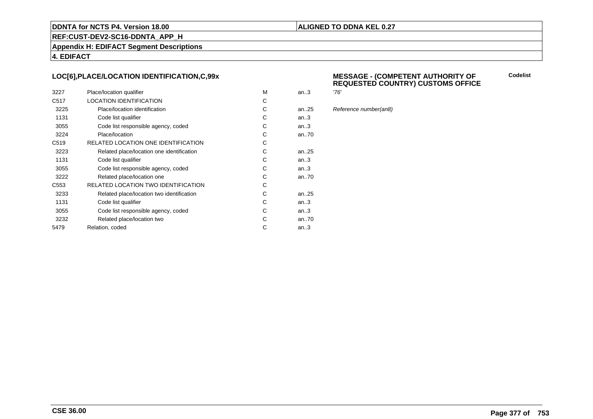#### **ALIGNED TO DDNA KEL 0.27**

**REF:CUST-DEV2-SC16-DDNTA\_APP\_H**

**Appendix H: EDIFACT Segment Descriptions**

**4. EDIFACT**

#### **LOC[6],PLACE/LOCATION IDENTIFICATION,C,99x**

| 3227             | Place/location qualifier                  | м | an.3 | '76' |
|------------------|-------------------------------------------|---|------|------|
| C <sub>517</sub> | <b>LOCATION IDENTIFICATION</b>            | С |      |      |
| 3225             | Place/location identification             | С | an25 | Ref  |
| 1131             | Code list qualifier                       | С | an.3 |      |
| 3055             | Code list responsible agency, coded       | С | an.3 |      |
| 3224             | Place/location                            | С | an70 |      |
| C <sub>519</sub> | RELATED LOCATION ONE IDENTIFICATION       | С |      |      |
| 3223             | Related place/location one identification | С | an25 |      |
| 1131             | Code list qualifier                       | С | an.3 |      |
| 3055             | Code list responsible agency, coded       | С | an.3 |      |
| 3222             | Related place/location one                | С | an70 |      |
| C <sub>553</sub> | RELATED LOCATION TWO IDENTIFICATION       | С |      |      |
| 3233             | Related place/location two identification | С | an25 |      |
| 1131             | Code list qualifier                       | C | an.3 |      |
| 3055             | Code list responsible agency, coded       | С | an.3 |      |
| 3232             | Related place/location two                | С | an70 |      |
| 5479             | Relation, coded                           | С | an.3 |      |
|                  |                                           |   |      |      |

#### **MESSAGE - (COMPETENT AUTHORITY OFREQUESTED COUNTRY) CUSTOMS OFFICE**

**Codelist**

Reference number(an8)

**CSE 36.00**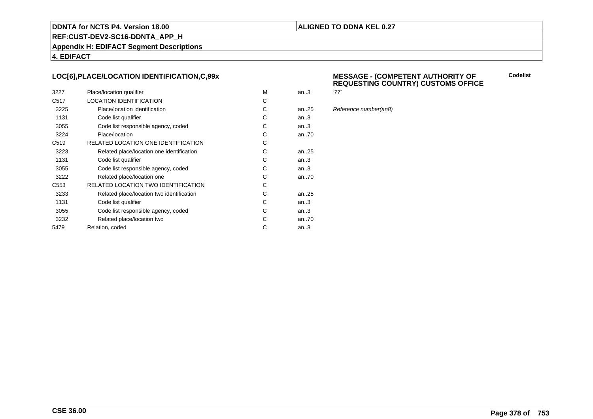#### **ALIGNED TO DDNA KEL 0.27**

**REF:CUST-DEV2-SC16-DDNTA\_APP\_H**

**Appendix H: EDIFACT Segment Descriptions**

**4. EDIFACT**

#### **LOC[6],PLACE/LOCATION IDENTIFICATION,C,99x**

| 3227             | Place/location qualifier                  | м | an.3      | '77' |
|------------------|-------------------------------------------|---|-----------|------|
| C <sub>517</sub> | <b>LOCATION IDENTIFICATION</b>            | С |           |      |
| 3225             | Place/location identification             | С | an25      | Ref  |
| 1131             | Code list qualifier                       | С | an.3      |      |
| 3055             | Code list responsible agency, coded       | С | an.3      |      |
| 3224             | Place/location                            | С | an70      |      |
| C <sub>519</sub> | RELATED LOCATION ONE IDENTIFICATION       | С |           |      |
| 3223             | Related place/location one identification | С | an. $.25$ |      |
| 1131             | Code list qualifier                       | С | an.3      |      |
| 3055             | Code list responsible agency, coded       | С | an.3      |      |
| 3222             | Related place/location one                | С | an70      |      |
| C <sub>553</sub> | RELATED LOCATION TWO IDENTIFICATION       | С |           |      |
| 3233             | Related place/location two identification | С | an. $.25$ |      |
| 1131             | Code list qualifier                       | C | an.3      |      |
| 3055             | Code list responsible agency, coded       | С | an.3      |      |
| 3232             | Related place/location two                | С | an70      |      |
| 5479             | Relation, coded                           | С | an.3      |      |

#### **MESSAGE - (COMPETENT AUTHORITY OFREQUESTING COUNTRY) CUSTOMS OFFICE**

Reference number(an8)

**Codelist**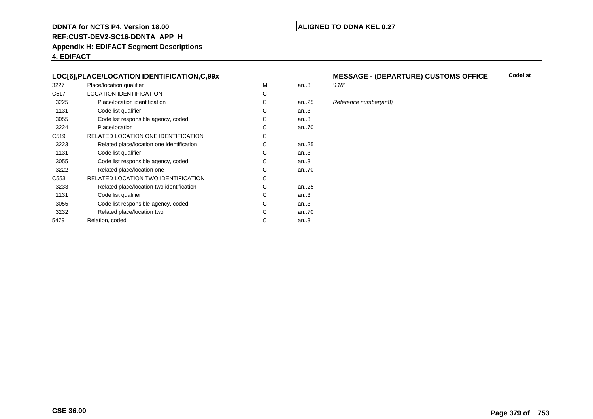#### **ALIGNED TO DDNA KEL 0.27**

**REF:CUST-DEV2-SC16-DDNTA\_APP\_H**

**Appendix H: EDIFACT Segment Descriptions**

**4. EDIFACT**

#### **LOC[6],PLACE/LOCATION IDENTIFICATION,C,99x**

| 3227             | Place/location qualifier                   | M | an.3      | '118' |
|------------------|--------------------------------------------|---|-----------|-------|
| C <sub>517</sub> | <b>LOCATION IDENTIFICATION</b>             | C |           |       |
| 3225             | Place/location identification              | С | an25      | Refe  |
| 1131             | Code list qualifier                        | C | an3       |       |
| 3055             | Code list responsible agency, coded        | С | an3       |       |
| 3224             | Place/location                             | С | an70      |       |
| C <sub>519</sub> | RELATED LOCATION ONE IDENTIFICATION        | С |           |       |
| 3223             | Related place/location one identification  | C | an25      |       |
| 1131             | Code list qualifier                        | C | an.3      |       |
| 3055             | Code list responsible agency, coded        | С | an3       |       |
| 3222             | Related place/location one                 | С | an70      |       |
| C553             | <b>RELATED LOCATION TWO IDENTIFICATION</b> | С |           |       |
| 3233             | Related place/location two identification  | C | an. $.25$ |       |
| 1131             | Code list qualifier                        | C | an.3      |       |
| 3055             | Code list responsible agency, coded        | С | an.3      |       |
| 3232             | Related place/location two                 | C | an70      |       |
| 5479             | Relation, coded                            | C | an $3$    |       |
|                  |                                            |   |           |       |

#### **MESSAGE - (DEPARTURE) CUSTOMS OFFICECodelist**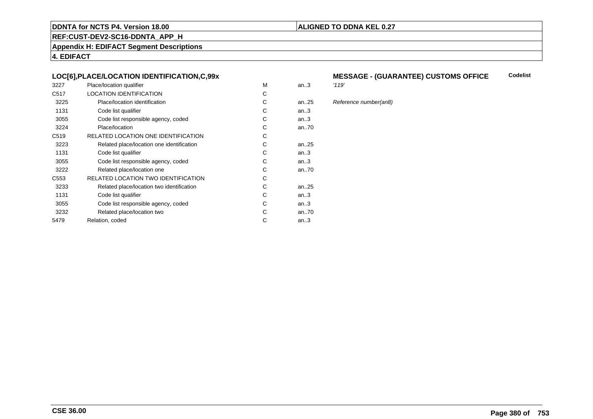#### **ALIGNED TO DDNA KEL 0.27**

**REF:CUST-DEV2-SC16-DDNTA\_APP\_H**

**Appendix H: EDIFACT Segment Descriptions**

**4. EDIFACT**

#### **LOC[6],PLACE/LOCATION IDENTIFICATION,C,99x**

| 3227             | Place/location qualifier                   | M | an.3      | '119' |
|------------------|--------------------------------------------|---|-----------|-------|
| C <sub>517</sub> | <b>LOCATION IDENTIFICATION</b>             | C |           |       |
| 3225             | Place/location identification              | С | an25      | Refe  |
| 1131             | Code list qualifier                        | C | an3       |       |
| 3055             | Code list responsible agency, coded        | С | an3       |       |
| 3224             | Place/location                             | С | an70      |       |
| C <sub>519</sub> | RELATED LOCATION ONE IDENTIFICATION        | С |           |       |
| 3223             | Related place/location one identification  | C | an25      |       |
| 1131             | Code list qualifier                        | C | an.3      |       |
| 3055             | Code list responsible agency, coded        | С | an3       |       |
| 3222             | Related place/location one                 | С | an70      |       |
| C553             | <b>RELATED LOCATION TWO IDENTIFICATION</b> | С |           |       |
| 3233             | Related place/location two identification  | C | an. $.25$ |       |
| 1131             | Code list qualifier                        | C | an.3      |       |
| 3055             | Code list responsible agency, coded        | С | an.3      |       |
| 3232             | Related place/location two                 | C | an70      |       |
| 5479             | Relation, coded                            | C | an $3$    |       |
|                  |                                            |   |           |       |

#### **MESSAGE - (GUARANTEE) CUSTOMS OFFICE Codelist**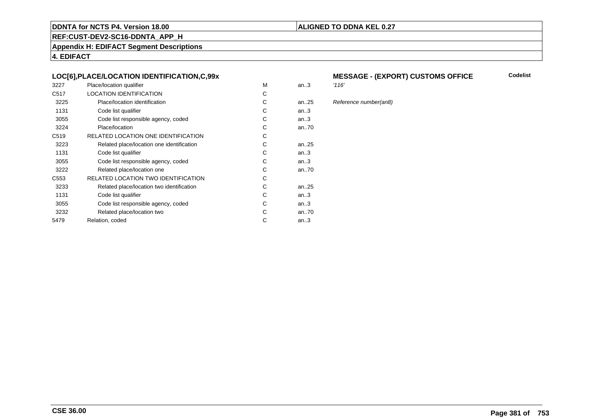#### **ALIGNED TO DDNA KEL 0.27**

**REF:CUST-DEV2-SC16-DDNTA\_APP\_H**

**Appendix H: EDIFACT Segment Descriptions**

**4. EDIFACT**

#### **LOC[6],PLACE/LOCATION IDENTIFICATION,C,99x**

| 3227             | Place/location qualifier                   | M | an.3   | '116' |
|------------------|--------------------------------------------|---|--------|-------|
| C <sub>517</sub> | <b>LOCATION IDENTIFICATION</b>             | C |        |       |
| 3225             | Place/location identification              | С | an25   | Refe  |
| 1131             | Code list qualifier                        | C | an.3   |       |
| 3055             | Code list responsible agency, coded        | С | an.3   |       |
| 3224             | Place/location                             | С | an70   |       |
| C <sub>519</sub> | RELATED LOCATION ONE IDENTIFICATION        | С |        |       |
| 3223             | Related place/location one identification  | C | an25   |       |
| 1131             | Code list qualifier                        | C | an.3   |       |
| 3055             | Code list responsible agency, coded        | С | an.3   |       |
| 3222             | Related place/location one                 | С | an70   |       |
| C553             | <b>RELATED LOCATION TWO IDENTIFICATION</b> | С |        |       |
| 3233             | Related place/location two identification  | C | an25   |       |
| 1131             | Code list qualifier                        | C | an.3   |       |
| 3055             | Code list responsible agency, coded        | С | an.3   |       |
| 3232             | Related place/location two                 | C | an70   |       |
| 5479             | Relation, coded                            | C | an $3$ |       |
|                  |                                            |   |        |       |

# **MESSAGE - (EXPORT) CUSTOMS OFFICE**

#### 5 Reference number(an8)

**Codelist**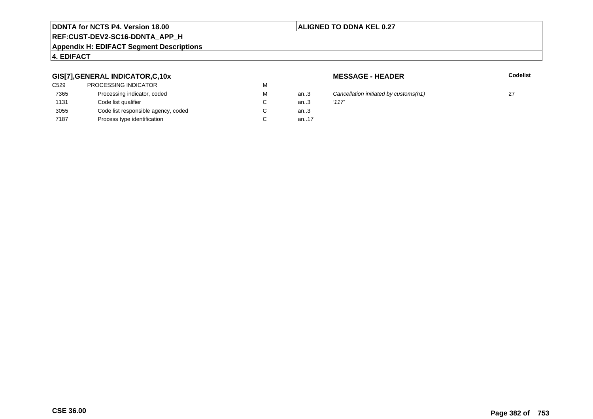### **ALIGNED TO DDNA KEL 0.27**

## **REF:CUST-DEV2-SC16-DDNTA\_APP\_H**

#### **Appendix H: EDIFACT Segment Descriptions**

#### **4. EDIFACT**

#### **GIS[7],GENERAL INDICATOR,C,10x**

| <b>PROCESSING INDICATOR</b>         | М |        |       |
|-------------------------------------|---|--------|-------|
| Processing indicator, coded         | м | an $3$ | Cand  |
| Code list qualifier                 | C | an.3   | '117' |
| Code list responsible agency, coded | С | an $3$ |       |
| Process type identification         |   | an17   |       |
|                                     |   |        |       |

**MESSAGE - HEADER**

**R** Codelist

3 Cancellation initiated by customs(n1) 27  $\frac{1}{3}$  27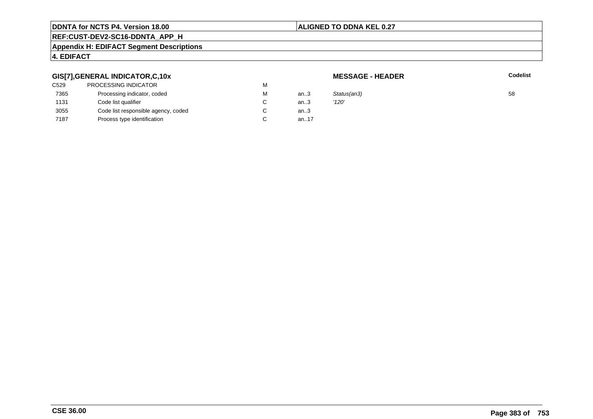#### **ALIGNED TO DDNA KEL 0.27**

# **REF:CUST-DEV2-SC16-DDNTA\_APP\_H**

#### **Appendix H: EDIFACT Segment Descriptions**

### **4. EDIFACT**

#### **GIS[7],GENERAL INDICATOR,C,10x**

| C529 | PROCESSING INDICATOR                | M |       |             |    |
|------|-------------------------------------|---|-------|-------------|----|
| 7365 | Processing indicator, coded         | М | an3   | Status(an3) | 58 |
| 1131 | Code list qualifier                 | C | an.3  | '120'       |    |
| 3055 | Code list responsible agency, coded | C | an.3  |             |    |
| 7187 | Process type identification         | C | an.17 |             |    |

**MESSAGE - HEADER**

**R** Codelist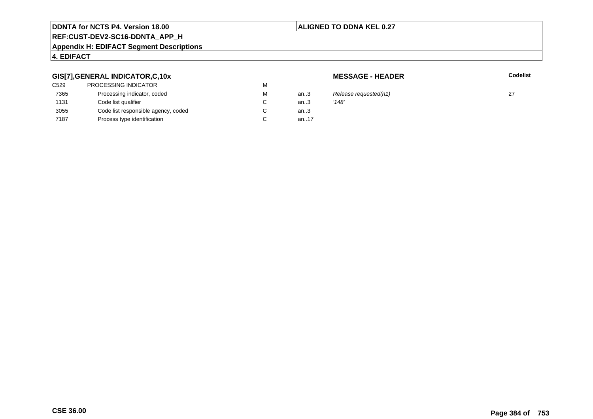#### **ALIGNED TO DDNA KEL 0.27**

# **REF:CUST-DEV2-SC16-DDNTA\_APP\_H**

#### **Appendix H: EDIFACT Segment Descriptions**

### **4. EDIFACT**

#### **GIS[7],GENERAL INDICATOR,C,10x**

| C529 | <b>PROCESSING INDICATOR</b>         | М |      |       |
|------|-------------------------------------|---|------|-------|
| 7365 | Processing indicator, coded         | М | an.3 | Rele  |
| 1131 | Code list qualifier                 | C | an.3 | '148' |
| 3055 | Code list responsible agency, coded | C | an.3 |       |
| 7187 | Process type identification         |   | an17 |       |
|      |                                     |   |      |       |

**MESSAGE - HEADER**

**R** Codelist

Release requested(n1)  $27$ <br>'148'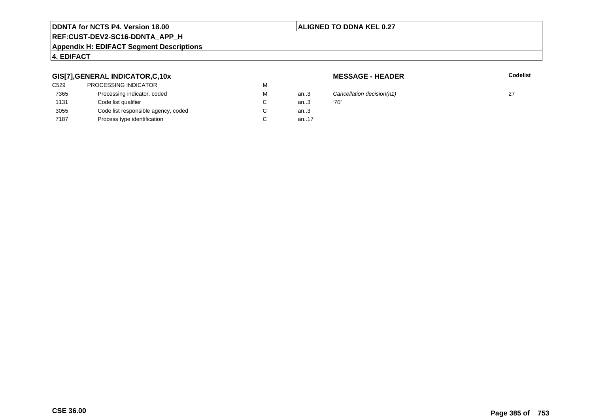#### **ALIGNED TO DDNA KEL 0.27**

# **REF:CUST-DEV2-SC16-DDNTA\_APP\_H**

#### **Appendix H: EDIFACT Segment Descriptions**

### **4. EDIFACT**

#### **GIS[7],GENERAL INDICATOR,C,10x**

| C529 | <b>PROCESSING INDICATOR</b>         | М |      |      |
|------|-------------------------------------|---|------|------|
| 7365 | Processing indicator, coded         | М | an3  | Caı  |
| 1131 | Code list qualifier                 |   | an3  | '70' |
| 3055 | Code list responsible agency, coded |   | an.3 |      |
| 7187 | Process type identification         |   | an17 |      |
|      |                                     |   |      |      |

**MESSAGE - HEADER**

**R** Codelist

Cancellation decision(n1) 27  $\frac{1}{27}$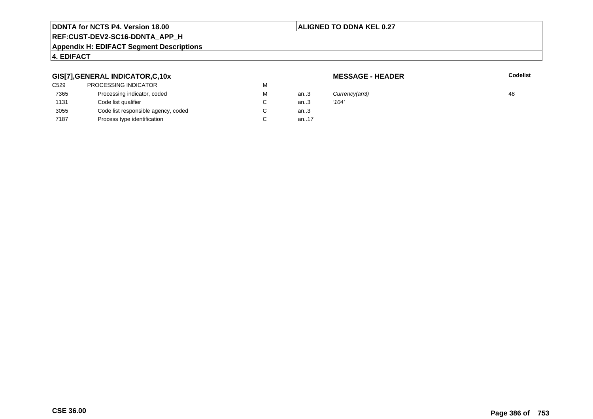#### **ALIGNED TO DDNA KEL 0.27**

## **REF:CUST-DEV2-SC16-DDNTA\_APP\_H**

#### **Appendix H: EDIFACT Segment Descriptions**

### **4. EDIFACT**

#### **GIS[7],GENERAL INDICATOR,C,10x**

| C529 | PROCESSING INDICATOR                | М |      |       |
|------|-------------------------------------|---|------|-------|
| 7365 | Processing indicator, coded         | М | an.3 | Curn  |
| 1131 | Code list qualifier                 | C | an.3 | '104' |
| 3055 | Code list responsible agency, coded | С | an.3 |       |
| 7187 | Process type identification         |   | an17 |       |
|      |                                     |   |      |       |

**MESSAGE - HEADER**

**R** Codelist

M an..3 Currency(an3) 48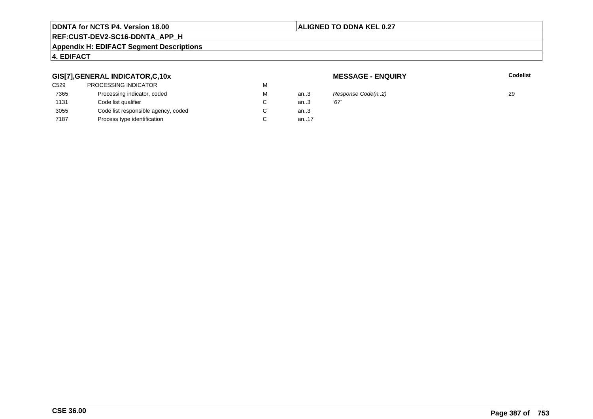#### **ALIGNED TO DDNA KEL 0.27**

# **REF:CUST-DEV2-SC16-DDNTA\_APP\_H**

#### **Appendix H: EDIFACT Segment Descriptions**

### **4. EDIFACT**

#### **GIS[7],GENERAL INDICATOR,C,10x**

| C529 | <b>PROCESSING INDICATOR</b>         | М |      |      |
|------|-------------------------------------|---|------|------|
| 7365 | Processing indicator, coded         | М | an3  | Res  |
| 1131 | Code list qualifier                 |   | an3  | '67' |
| 3055 | Code list responsible agency, coded |   | an.3 |      |
| 7187 | Process type identification         |   | an17 |      |
|      |                                     |   |      |      |

**MESSAGE - ENQUIRY**

**Latter School** School Codelist

 $R$ esponse Code(n..2) 29<br>'67'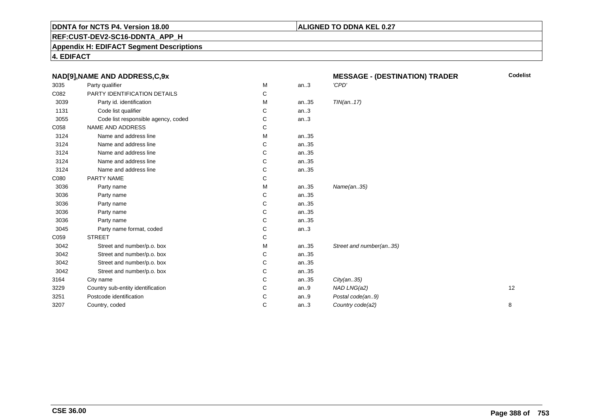#### **ALIGNED TO DDNA KEL 0.27**

**REF:CUST-DEV2-SC16-DDNTA\_APP\_H**

**Appendix H: EDIFACT Segment Descriptions**

| NAD[9], NAME AND ADDRESS, C, 9x |                                     |   | <b>MESSAGE - (DESTINATION) TRADER</b> | <b>Codelist</b>         |    |
|---------------------------------|-------------------------------------|---|---------------------------------------|-------------------------|----|
| 3035                            | Party qualifier                     | M | an.3                                  | 'CPD'                   |    |
| C082                            | PARTY IDENTIFICATION DETAILS        | С |                                       |                         |    |
| 3039                            | Party id. identification            | М | an35                                  | TIN(an17)               |    |
| 1131                            | Code list qualifier                 | С | an.3                                  |                         |    |
| 3055                            | Code list responsible agency, coded | С | an.3                                  |                         |    |
| C058                            | NAME AND ADDRESS                    | С |                                       |                         |    |
| 3124                            | Name and address line               | M | an35                                  |                         |    |
| 3124                            | Name and address line               | С | an35                                  |                         |    |
| 3124                            | Name and address line               | C | an35                                  |                         |    |
| 3124                            | Name and address line               | C | an35                                  |                         |    |
| 3124                            | Name and address line               | C | an35                                  |                         |    |
| C080                            | PARTY NAME                          | С |                                       |                         |    |
| 3036                            | Party name                          | M | an35                                  | Name(an35)              |    |
| 3036                            | Party name                          | С | an35                                  |                         |    |
| 3036                            | Party name                          | С | an35                                  |                         |    |
| 3036                            | Party name                          | С | an35                                  |                         |    |
| 3036                            | Party name                          | С | an35                                  |                         |    |
| 3045                            | Party name format, coded            | С | an.3                                  |                         |    |
| C059                            | <b>STREET</b>                       | C |                                       |                         |    |
| 3042                            | Street and number/p.o. box          | М | an35                                  | Street and number(an35) |    |
| 3042                            | Street and number/p.o. box          | С | an35                                  |                         |    |
| 3042                            | Street and number/p.o. box          | C | an35                                  |                         |    |
| 3042                            | Street and number/p.o. box          | С | an35                                  |                         |    |
| 3164                            | City name                           | C | an35                                  | City(an35)              |    |
| 3229                            | Country sub-entity identification   | C | an.9                                  | NAD LNG(a2)             | 12 |
| 3251                            | Postcode identification             | C | an.9                                  | Postal code(an9)        |    |
| 3207                            | Country, coded                      | C | an.3                                  | Country code(a2)        | 8  |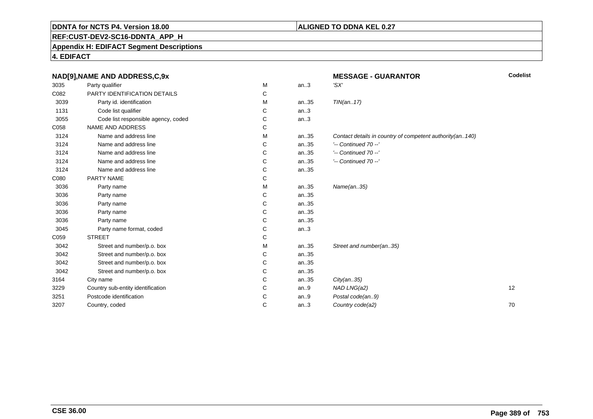# **REF:CUST-DEV2-SC16-DDNTA\_APP\_H**

**Appendix H: EDIFACT Segment Descriptions**

|      | NAD[9], NAME AND ADDRESS, C, 9x     |   |      | <b>MESSAGE - GUARANTOR</b>                               | Codelist |
|------|-------------------------------------|---|------|----------------------------------------------------------|----------|
| 3035 | Party qualifier                     | M | an.3 | 'SX'                                                     |          |
| C082 | PARTY IDENTIFICATION DETAILS        | C |      |                                                          |          |
| 3039 | Party id. identification            | M | an35 | TIN(an17)                                                |          |
| 1131 | Code list qualifier                 | C | an.3 |                                                          |          |
| 3055 | Code list responsible agency, coded | С | an.3 |                                                          |          |
| C058 | NAME AND ADDRESS                    | С |      |                                                          |          |
| 3124 | Name and address line               | M | an35 | Contact details in country of competent authority(an140) |          |
| 3124 | Name and address line               | С | an35 | $'-$ Continued 70 $-$ '                                  |          |
| 3124 | Name and address line               | C | an35 | $'-$ Continued 70 $-$ '                                  |          |
| 3124 | Name and address line               | C | an35 | $'-$ Continued 70 $-$ '                                  |          |
| 3124 | Name and address line               | C | an35 |                                                          |          |
| C080 | PARTY NAME                          | C |      |                                                          |          |
| 3036 | Party name                          | M | an35 | Name(an35)                                               |          |
| 3036 | Party name                          | C | an35 |                                                          |          |
| 3036 | Party name                          | C | an35 |                                                          |          |
| 3036 | Party name                          | С | an35 |                                                          |          |
| 3036 | Party name                          | C | an35 |                                                          |          |
| 3045 | Party name format, coded            | C | an.3 |                                                          |          |
| C059 | <b>STREET</b>                       | С |      |                                                          |          |
| 3042 | Street and number/p.o. box          | М | an35 | Street and number(an35)                                  |          |
| 3042 | Street and number/p.o. box          | C | an35 |                                                          |          |
| 3042 | Street and number/p.o. box          | С | an35 |                                                          |          |
| 3042 | Street and number/p.o. box          | С | an35 |                                                          |          |
| 3164 | City name                           | С | an35 | City(an35)                                               |          |
| 3229 | Country sub-entity identification   | C | an.9 | NAD LNG(a2)                                              | 12       |
| 3251 | Postcode identification             | C | an.9 | Postal code(an9)                                         |          |
| 3207 | Country, coded                      | C | an.3 | Country code(a2)                                         | 70       |
|      |                                     |   |      |                                                          |          |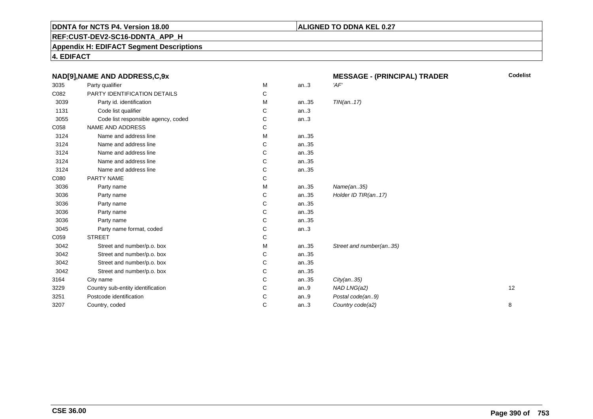#### **ALIGNED TO DDNA KEL 0.27**

**REF:CUST-DEV2-SC16-DDNTA\_APP\_H**

**Appendix H: EDIFACT Segment Descriptions**

| NAD[9], NAME AND ADDRESS, C, 9x     |   |      | <b>MESSAGE - (PRINCIPAL) TRADER</b> | <b>Codelist</b> |
|-------------------------------------|---|------|-------------------------------------|-----------------|
| Party qualifier                     | М | an.3 | 'AF'                                |                 |
| PARTY IDENTIFICATION DETAILS        | С |      |                                     |                 |
| Party id. identification            | М | an35 | TIN(an17)                           |                 |
| Code list qualifier                 | C | an.3 |                                     |                 |
| Code list responsible agency, coded | C | an.3 |                                     |                 |
| NAME AND ADDRESS                    | С |      |                                     |                 |
| Name and address line               | М | an35 |                                     |                 |
| Name and address line               | С | an35 |                                     |                 |
| Name and address line               | С | an35 |                                     |                 |
| Name and address line               | С | an35 |                                     |                 |
| Name and address line               | С | an35 |                                     |                 |
| PARTY NAME                          | С |      |                                     |                 |
| Party name                          | М | an35 | Name(an35)                          |                 |
| Party name                          | С | an35 | Holder ID TIR(an17)                 |                 |
| Party name                          | С | an35 |                                     |                 |
| Party name                          | С | an35 |                                     |                 |
| Party name                          | С | an35 |                                     |                 |
| Party name format, coded            | С | an.3 |                                     |                 |
| <b>STREET</b>                       | С |      |                                     |                 |
| Street and number/p.o. box          | М | an35 | Street and number(an35)             |                 |
| Street and number/p.o. box          | С | an35 |                                     |                 |
| Street and number/p.o. box          | С | an35 |                                     |                 |
| Street and number/p.o. box          | C | an35 |                                     |                 |
| City name                           | C | an35 | City(an35)                          |                 |
| Country sub-entity identification   | С | an.9 | NAD LNG(a2)                         | 12              |
| Postcode identification             | С | an.9 | Postal code(an9)                    |                 |
| Country, coded                      | С | an.3 | Country code(a2)                    | 8               |
|                                     |   |      |                                     |                 |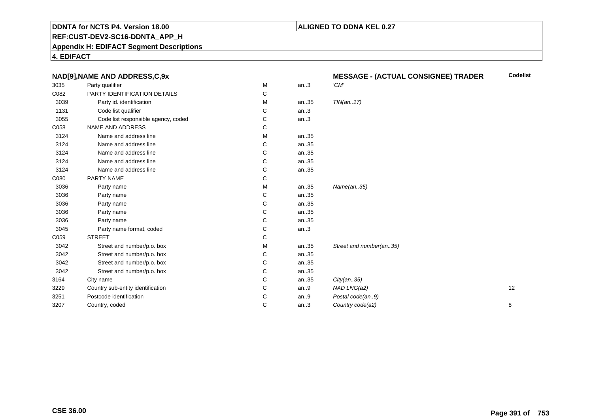#### **ALIGNED TO DDNA KEL 0.27**

**REF:CUST-DEV2-SC16-DDNTA\_APP\_H**

**Appendix H: EDIFACT Segment Descriptions**

|      | NAD[9], NAME AND ADDRESS, C, 9x     |   |      | <b>MESSAGE - (ACTUAL CONSIGNEE) TRADER</b> | <b>Codelist</b> |
|------|-------------------------------------|---|------|--------------------------------------------|-----------------|
| 3035 | Party qualifier                     | М | an.3 | 'CM'                                       |                 |
| C082 | PARTY IDENTIFICATION DETAILS        | С |      |                                            |                 |
| 3039 | Party id. identification            | М | an35 | TIN(an17)                                  |                 |
| 1131 | Code list qualifier                 | С | an.3 |                                            |                 |
| 3055 | Code list responsible agency, coded | С | an.3 |                                            |                 |
| C058 | NAME AND ADDRESS                    | С |      |                                            |                 |
| 3124 | Name and address line               | М | an35 |                                            |                 |
| 3124 | Name and address line               | С | an35 |                                            |                 |
| 3124 | Name and address line               | С | an35 |                                            |                 |
| 3124 | Name and address line               | С | an35 |                                            |                 |
| 3124 | Name and address line               | С | an35 |                                            |                 |
| C080 | PARTY NAME                          | С |      |                                            |                 |
| 3036 | Party name                          | M | an35 | Name(an35)                                 |                 |
| 3036 | Party name                          | С | an35 |                                            |                 |
| 3036 | Party name                          | С | an35 |                                            |                 |
| 3036 | Party name                          | С | an35 |                                            |                 |
| 3036 | Party name                          | С | an35 |                                            |                 |
| 3045 | Party name format, coded            | С | an.3 |                                            |                 |
| C059 | <b>STREET</b>                       | С |      |                                            |                 |
| 3042 | Street and number/p.o. box          | м | an35 | Street and number(an35)                    |                 |
| 3042 | Street and number/p.o. box          | С | an35 |                                            |                 |
| 3042 | Street and number/p.o. box          | С | an35 |                                            |                 |
| 3042 | Street and number/p.o. box          | С | an35 |                                            |                 |
| 3164 | City name                           | С | an35 | City(an35)                                 |                 |
| 3229 | Country sub-entity identification   | С | an.9 | NAD LNG(a2)                                | 12              |
| 3251 | Postcode identification             | С | an.9 | Postal code(an9)                           |                 |
| 3207 | Country, coded                      | С | an.3 | Country code(a2)                           | 8               |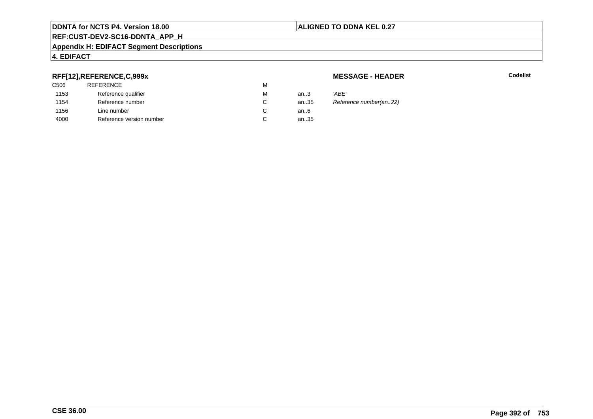#### **ALIGNED TO DDNA KEL 0.27**

# **REF:CUST-DEV2-SC16-DDNTA\_APP\_H**

#### **Appendix H: EDIFACT Segment Descriptions**

#### **4. EDIFACT**

#### **RFF[12],REFERENCE,C,999x**

| <b>REFERENCE</b>         | м |        |       |
|--------------------------|---|--------|-------|
| Reference qualifier      | М | an $3$ | 'ABE' |
| Reference number         | C | an35   | Refer |
| Line number              | C | an6    |       |
| Reference version number | C | an35   |       |
|                          |   |        |       |

#### **MESSAGE - HEADER**

**R** Codelist

Reference number(an..22)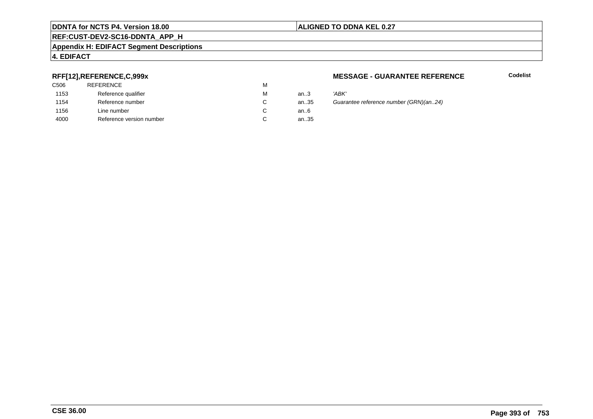#### **REF:CUST-DEV2-SC16-DDNTA\_APP\_H**

#### **Appendix H: EDIFACT Segment Descriptions**

#### **4. EDIFACT**

#### **RFF[12],REFERENCE,C,999x**

| C <sub>506</sub> | <b>REFERENCE</b>         | M |      |       |
|------------------|--------------------------|---|------|-------|
| 1153             | Reference qualifier      | м | an.3 | 'ABK' |
| 1154             | Reference number         | C | an35 | Guara |
| 1156             | Line number              | C | an6  |       |
| 4000             | Reference version number | C | an35 |       |
|                  |                          |   |      |       |

#### **MESSAGE - GUARANTEE REFERENCE**

**Codelist**

35 Guarantee reference number (GRN)(an..24)<br>6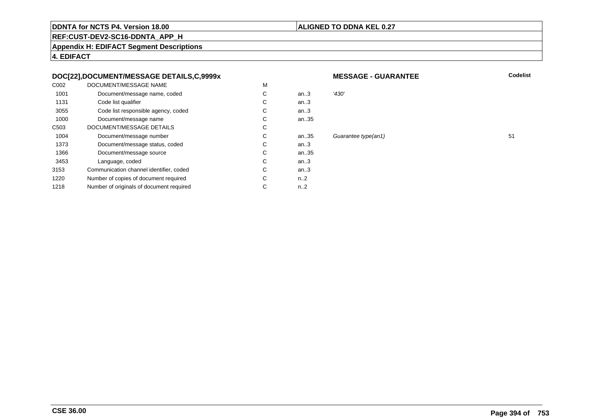#### **ALIGNED TO DDNA KEL 0.27**

# **REF:CUST-DEV2-SC16-DDNTA\_APP\_H**

**Appendix H: EDIFACT Segment Descriptions**

**4. EDIFACT**

#### **DOC[22],DOCUMENT/MESSAGE DETAILS,C,9999x**

| C002             | DOCUMENT/MESSAGE NAME                    | M |                  |       |
|------------------|------------------------------------------|---|------------------|-------|
| 1001             | Document/message name, coded             | С | an $3$           | '430' |
| 1131             | Code list qualifier                      | C | an.3             |       |
| 3055             | Code list responsible agency, coded      | С | an.3             |       |
| 1000             | Document/message name                    | С | an35             |       |
| C <sub>503</sub> | DOCUMENT/MESSAGE DETAILS                 | С |                  |       |
| 1004             | Document/message number                  | С | an35             | Guai  |
| 1373             | Document/message status, coded           | С | an.3             |       |
| 1366             | Document/message source                  | С | an35             |       |
| 3453             | Language, coded                          | C | an.3             |       |
| 3153             | Communication channel identifier, coded  | С | an.3             |       |
| 1220             | Number of copies of document required    | С | n2               |       |
| 1218             | Number of originals of document required | С | n <sub>1</sub> 2 |       |
|                  |                                          |   |                  |       |

#### **MESSAGE - GUARANTEE**

**Codelist**

Guarantee type(an1) 51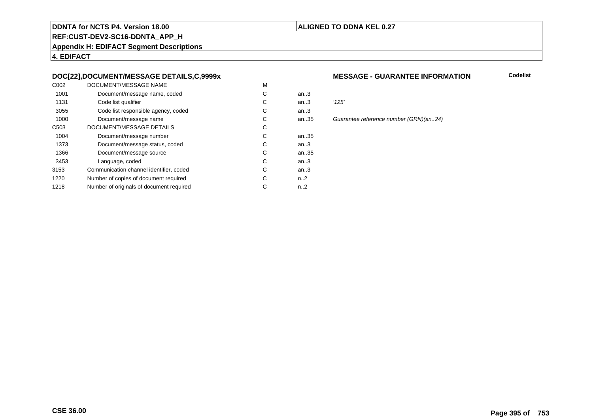#### **ALIGNED TO DDNA KEL 0.27**

**REF:CUST-DEV2-SC16-DDNTA\_APP\_H**

**Appendix H: EDIFACT Segment Descriptions**

**4. EDIFACT**

#### **DOC[22],DOCUMENT/MESSAGE DETAILS,C,9999x**

| C <sub>0</sub> 02 | DOCUMENT/MESSAGE NAME                    | M |                  |       |
|-------------------|------------------------------------------|---|------------------|-------|
| 1001              | Document/message name, coded             | С | an $3$           |       |
| 1131              | Code list qualifier                      | C | an.3             | '125' |
| 3055              | Code list responsible agency, coded      | С | an.3             |       |
| 1000              | Document/message name                    | C | an35             | Guai  |
| C <sub>503</sub>  | DOCUMENT/MESSAGE DETAILS                 | C |                  |       |
| 1004              | Document/message number                  | С | an35             |       |
| 1373              | Document/message status, coded           | С | an.3             |       |
| 1366              | Document/message source                  | С | an35             |       |
| 3453              | Language, coded                          | C | an.3             |       |
| 3153              | Communication channel identifier, coded  | C | an.3             |       |
| 1220              | Number of copies of document required    | С | n <sub>1</sub> 2 |       |
| 1218              | Number of originals of document required | С | $n_{-2}$         |       |
|                   |                                          |   |                  |       |

#### **MESSAGE - GUARANTEE INFORMATION**

**Codelist**

5 Guarantee reference number (GRN)(an..24)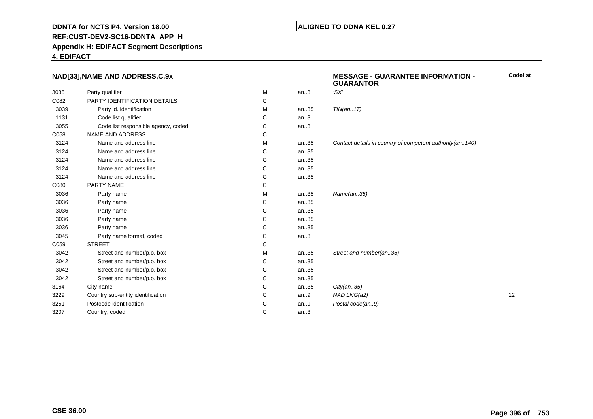## **REF:CUST-DEV2-SC16-DDNTA\_APP\_H**

#### **Appendix H: EDIFACT Segment Descriptions**

#### **4. EDIFACT**

#### **NAD[33],NAME AND ADDRESS,C,9x**

|      |                                     |   |      | 9988811                                                    |    |
|------|-------------------------------------|---|------|------------------------------------------------------------|----|
| 3035 | Party qualifier                     | M | an.3 | 'SX'                                                       |    |
| C082 | PARTY IDENTIFICATION DETAILS        | С |      |                                                            |    |
| 3039 | Party id. identification            | М | an35 | TIN(an17)                                                  |    |
| 1131 | Code list qualifier                 | С | an.3 |                                                            |    |
| 3055 | Code list responsible agency, coded | С | an.3 |                                                            |    |
| C058 | <b>NAME AND ADDRESS</b>             | C |      |                                                            |    |
| 3124 | Name and address line               | М | an35 | Contact details in country of competent authority(an. 140) |    |
| 3124 | Name and address line               | C | an35 |                                                            |    |
| 3124 | Name and address line               | C | an35 |                                                            |    |
| 3124 | Name and address line               | С | an35 |                                                            |    |
| 3124 | Name and address line               | C | an35 |                                                            |    |
| C080 | PARTY NAME                          | C |      |                                                            |    |
| 3036 | Party name                          | M | an35 | Name(an35)                                                 |    |
| 3036 | Party name                          | С | an35 |                                                            |    |
| 3036 | Party name                          | C | an35 |                                                            |    |
| 3036 | Party name                          | C | an35 |                                                            |    |
| 3036 | Party name                          | C | an35 |                                                            |    |
| 3045 | Party name format, coded            | С | an.3 |                                                            |    |
| C059 | <b>STREET</b>                       | C |      |                                                            |    |
| 3042 | Street and number/p.o. box          | M | an35 | Street and number(an35)                                    |    |
| 3042 | Street and number/p.o. box          | С | an35 |                                                            |    |
| 3042 | Street and number/p.o. box          | C | an35 |                                                            |    |
| 3042 | Street and number/p.o. box          | C | an35 |                                                            |    |
| 3164 | City name                           | C | an35 | City(an35)                                                 |    |
| 3229 | Country sub-entity identification   | C | an.9 | NAD LNG(a2)                                                | 12 |
| 3251 | Postcode identification             | C | an.9 | Postal code(an9)                                           |    |
| 3207 | Country, coded                      | C | an.3 |                                                            |    |
|      |                                     |   |      |                                                            |    |

#### **MESSAGE - GUARANTEE INFORMATION - GUARANTORCodelist**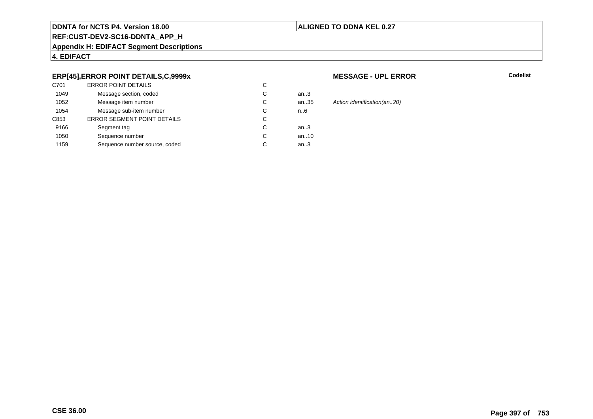## **ALIGNED TO DDNA KEL 0.27**

## **REF:CUST-DEV2-SC16-DDNTA\_APP\_H**

#### **Appendix H: EDIFACT Segment Descriptions**

## **4. EDIFACT**

## **ERP[45],ERROR POINT DETAILS,C,9999x**

| C701 | <b>ERROR POINT DETAILS</b>         | С |      |
|------|------------------------------------|---|------|
| 1049 | Message section, coded             | С | an3  |
| 1052 | Message item number                | С | an35 |
| 1054 | Message sub-item number            | С | n.6  |
| C853 | <b>ERROR SEGMENT POINT DETAILS</b> | C |      |
| 9166 | Segment tag                        | С | an3  |
| 1050 | Sequence number                    | С | an10 |
| 1159 | Sequence number source, coded      | С | an.3 |
|      |                                    |   |      |

#### **MESSAGE - UPL ERROR**

**R** Codelist

35 Action identification(an..20)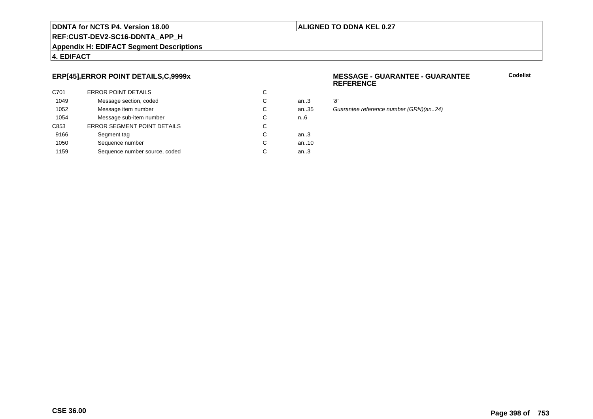## **ALIGNED TO DDNA KEL 0.27**

## **REF:CUST-DEV2-SC16-DDNTA\_APP\_H**

**Appendix H: EDIFACT Segment Descriptions**

## **4. EDIFACT**

## **ERP[45],ERROR POINT DETAILS,C,9999x**

| C701 | <b>ERROR POINT DETAILS</b>         | С |        |     |
|------|------------------------------------|---|--------|-----|
| 1049 | Message section, coded             | С | an $3$ | '8' |
| 1052 | Message item number                | С | an35   | G۱  |
| 1054 | Message sub-item number            | С | n.6    |     |
| C853 | <b>ERROR SEGMENT POINT DETAILS</b> | С |        |     |
| 9166 | Segment tag                        | С | an $3$ |     |
| 1050 | Sequence number                    | С | an10   |     |
| 1159 | Sequence number source, coded      | С | an.3   |     |
|      |                                    |   |        |     |

#### **MESSAGE - GUARANTEE - GUARANTEEREFERENCE**

**Codelist**

..35 Guarantee reference number (GRN)(an..24)<br>6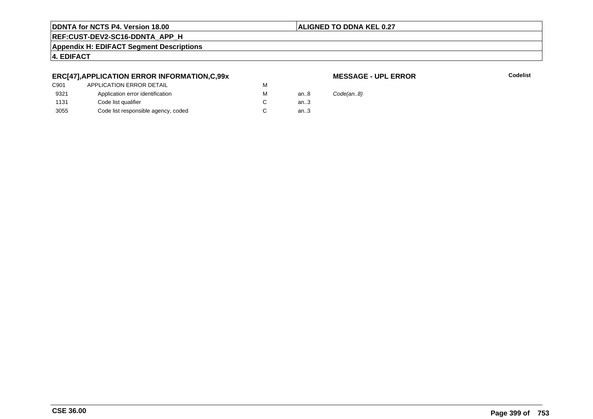## **ALIGNED TO DDNA KEL 0.27**

**REF:CUST-DEV2-SC16-DDNTA\_APP\_H**

**Appendix H: EDIFACT Segment Descriptions**

## **4. EDIFACT**

## **ERC[47],APPLICATION ERROR INFORMATION,C,99x**

## **MESSAGE - UPL ERROR**

**R** Codelist

| an8    | Code(an.8) |
|--------|------------|
| an.3   |            |
| an $3$ |            |
|        |            |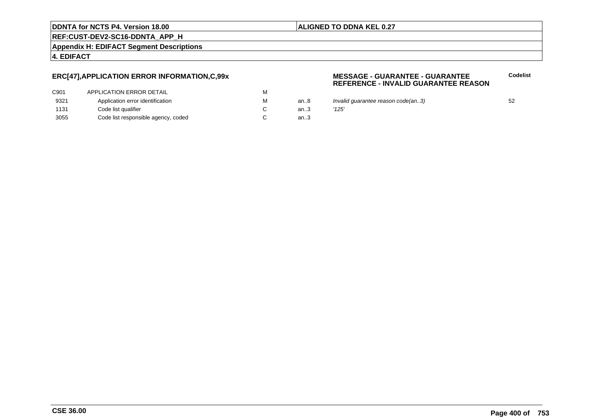## **ALIGNED TO DDNA KEL 0.27**

**REF:CUST-DEV2-SC16-DDNTA\_APP\_H**

**Appendix H: EDIFACT Segment Descriptions**

**4. EDIFACT**

## **ERC[47],APPLICATION ERROR INFORMATION,C,99x**

| C901 | APPLICATION ERROR DETAIL            | м |     |
|------|-------------------------------------|---|-----|
| 9321 | Application error identification    | м | an8 |
| 1131 | Code list qualifier                 |   | an3 |
| 3055 | Code list responsible agency, coded |   | an3 |

#### **MESSAGE - GUARANTEE - GUARANTEEREFERENCE - INVALID GUARANTEE REASON**

- an..8 Invalid guarantee reason code(an..3)<br>an..3 '125'
	-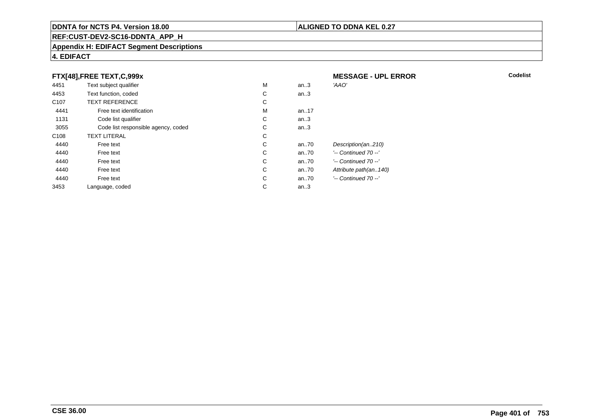## **REF:CUST-DEV2-SC16-DDNTA\_APP\_H**

#### **Appendix H: EDIFACT Segment Descriptions**

## **4. EDIFACT**

## **FTX[48],FREE TEXT,C,999x**

| FTX[48], FREE TEXT, C, 999x |                                     |   |       | <b>MESSAGE - UPL ERROR</b> |
|-----------------------------|-------------------------------------|---|-------|----------------------------|
| 4451                        | Text subject qualifier              | M | an.3  | 'AAO'                      |
| 4453                        | Text function, coded                | C | an.3  |                            |
| C <sub>107</sub>            | <b>TEXT REFERENCE</b>               | С |       |                            |
| 4441                        | Free text identification            | M | an.17 |                            |
| 1131                        | Code list qualifier                 | C | an.3  |                            |
| 3055                        | Code list responsible agency, coded | C | an.3  |                            |
| C <sub>108</sub>            | <b>TEXT LITERAL</b>                 | С |       |                            |
| 4440                        | Free text                           | C | an70  | Description(an210)         |
| 4440                        | Free text                           | C | an70  | $'-$ Continued 70 $-$ '    |
| 4440                        | Free text                           | C | an70  | $'-$ Continued 70 $-$ '    |
| 4440                        | Free text                           | C | an70  | Attribute path(an140)      |
| 4440                        | Free text                           | C | an70  | $'-$ Continued 70 $-$ '    |
| 3453                        | Language, coded                     | C | an.3  |                            |

## **ALIGNED TO DDNA KEL 0.27**

**R** Codelist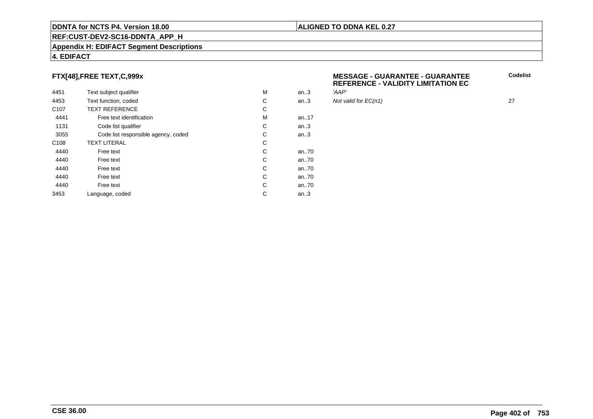### **REF:CUST-DEV2-SC16-DDNTA\_APP\_H**

#### **Appendix H: EDIFACT Segment Descriptions**

## **FTX[48],FREE TEXT,C,999x**

| 4451             | Text subject qualifier              | M | an.3 | 'AAP' |
|------------------|-------------------------------------|---|------|-------|
| 4453             | Text function, coded                | C | an.3 | Not v |
| C <sub>107</sub> | <b>TEXT REFERENCE</b>               | С |      |       |
| 4441             | Free text identification            | M | an17 |       |
| 1131             | Code list qualifier                 | C | an.3 |       |
| 3055             | Code list responsible agency, coded | С | an.3 |       |
| C <sub>108</sub> | <b>TEXT LITERAL</b>                 | C |      |       |
| 4440             | Free text                           | С | an70 |       |
| 4440             | Free text                           | C | an70 |       |
| 4440             | Free text                           | C | an70 |       |
| 4440             | Free text                           | С | an70 |       |
| 4440             | Free text                           | C | an70 |       |
| 3453             | Language, coded                     | C | an.3 |       |
|                  |                                     |   |      |       |

#### **MESSAGE - GUARANTEE - GUARANTEE REFERENCE - VALIDITY LIMITATION ECCodelist**

Not valid for  $EC(n1)$  27

- 
- 

**4. EDIFACT**

**ALIGNED TO DDNA KEL 0.27**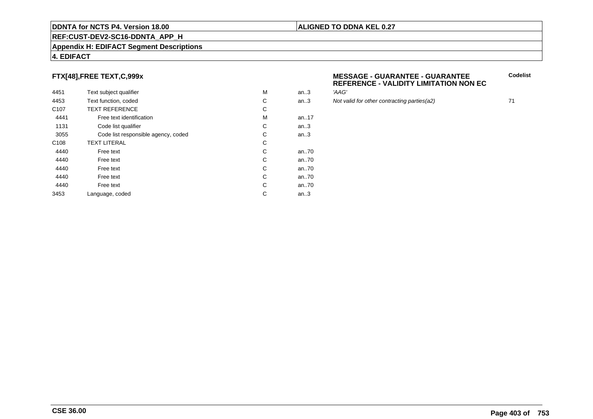### **REF:CUST-DEV2-SC16-DDNTA\_APP\_H**

#### **Appendix H: EDIFACT Segment Descriptions**

## **4. EDIFACT**

## **FTX[48],FREE TEXT,C,999x**

| 4451             | Text subject qualifier              | M | an.3 | 'AAG'  |
|------------------|-------------------------------------|---|------|--------|
| 4453             | Text function, coded                | С | an.3 | Not va |
| C <sub>107</sub> | <b>TEXT REFERENCE</b>               | С |      |        |
| 4441             | Free text identification            | M | an17 |        |
| 1131             | Code list qualifier                 | С | an.3 |        |
| 3055             | Code list responsible agency, coded | С | an.3 |        |
| C <sub>108</sub> | <b>TEXT LITERAL</b>                 | С |      |        |
| 4440             | Free text                           | C | an70 |        |
| 4440             | Free text                           | C | an70 |        |
| 4440             | Free text                           | C | an70 |        |
| 4440             | Free text                           | C | an70 |        |
| 4440             | Free text                           | C | an70 |        |
| 3453             | Language, coded                     | С | an.3 |        |
|                  |                                     |   |      |        |

#### **MESSAGE - GUARANTEE - GUARANTEEREFERENCE - VALIDITY LIMITATION NON EC**

Not valid for other contracting parties(a2) 71

**Codelist**

## **ALIGNED TO DDNA KEL 0.27**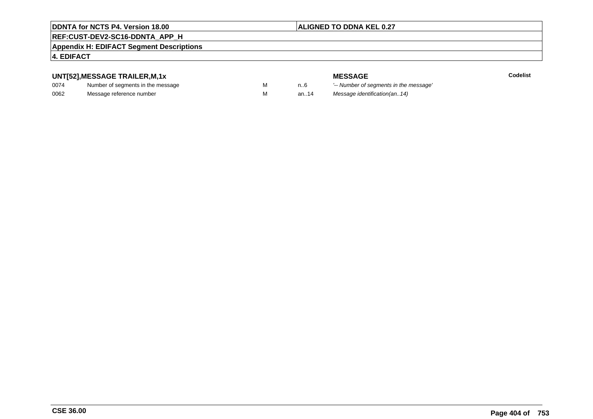## **ALIGNED TO DDNA KEL 0.27**

## **REF:CUST-DEV2-SC16-DDNTA\_APP\_H**

#### **Appendix H: EDIFACT Segment Descriptions**

## **4. EDIFACT**

## **UNT[52],MESSAGE TRAILER,M,1x**

| 0074 | Number of segments in the message |  |
|------|-----------------------------------|--|
| 0062 | Message reference number          |  |

**MESSAGE**<br>M n.6 <sup>'--</sup> Number of s **Codelist** M carried manufacturer of segments in the message'<br>Carried manufacturer in the message's M an..14 Message identification(an..14)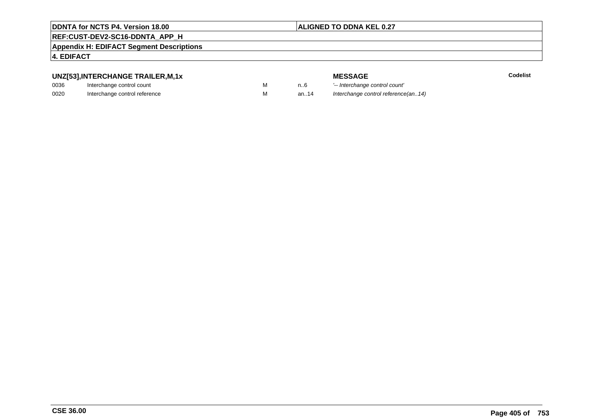## **ALIGNED TO DDNA KEL 0.27**

## **REF:CUST-DEV2-SC16-DDNTA\_APP\_H**

#### **Appendix H: EDIFACT Segment Descriptions**

## **4. EDIFACT**

## **UNZ[53],INTERCHANGE TRAILER,M,1x**

| 0036 | Interchange control count     |  |
|------|-------------------------------|--|
| 0020 | Interchange control reference |  |

**MESSAGE**<br>M n.6 <sup>1-</sup>- Interchange **E** Codelist M 1..6 <sup>'--</sup> Interchange control count'<br>M 3n..14 Interchange control reference Interchange control reference(an..14)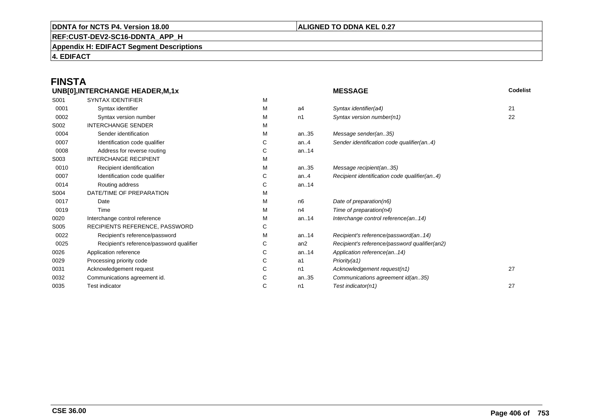## **ALIGNED TO DDNA KEL 0.27**

**REF:CUST-DEV2-SC16-DDNTA\_APP\_H**

**Appendix H: EDIFACT Segment Descriptions**

**4. EDIFACT**

# **FINSTA**

|      | UNB[0], INTERCHANGE HEADER, M, 1x        |   |                | <b>MESSAGE</b>                                | Codelist |
|------|------------------------------------------|---|----------------|-----------------------------------------------|----------|
| S001 | <b>SYNTAX IDENTIFIER</b>                 | M |                |                                               |          |
| 0001 | Syntax identifier                        | М | a4             | Syntax identifier(a4)                         | 21       |
| 0002 | Syntax version number                    | м | n1             | Syntax version number(n1)                     | 22       |
| S002 | <b>INTERCHANGE SENDER</b>                | м |                |                                               |          |
| 0004 | Sender identification                    | М | an35           | Message sender(an35)                          |          |
| 0007 | Identification code qualifier            | С | an. $4$        | Sender identification code qualifier(an4)     |          |
| 0008 | Address for reverse routing              | С | an14           |                                               |          |
| S003 | <b>INTERCHANGE RECIPIENT</b>             | м |                |                                               |          |
| 0010 | Recipient identification                 | м | an35           | Message recipient(an35)                       |          |
| 0007 | Identification code qualifier            | С | an. $4$        | Recipient identification code qualifier(an4)  |          |
| 0014 | Routing address                          | С | an14           |                                               |          |
| S004 | DATE/TIME OF PREPARATION                 | М |                |                                               |          |
| 0017 | Date                                     | м | n <sub>6</sub> | Date of preparation(n6)                       |          |
| 0019 | Time                                     | м | n4             | Time of preparation(n4)                       |          |
| 0020 | Interchange control reference            | м | an14           | Interchange control reference(an14)           |          |
| S005 | RECIPIENTS REFERENCE, PASSWORD           | С |                |                                               |          |
| 0022 | Recipient's reference/password           | м | an14           | Recipient's reference/password(an14)          |          |
| 0025 | Recipient's reference/password qualifier | С | an2            | Recipient's reference/password qualifier(an2) |          |
| 0026 | Application reference                    | С | an14           | Application reference(an14)                   |          |
| 0029 | Processing priority code                 | С | a1             | Priority(a1)                                  |          |
| 0031 | Acknowledgement request                  | С | n1             | Acknowledgement request(n1)                   | 27       |
| 0032 | Communications agreement id.             | С | an35           | Communications agreement id(an35)             |          |
| 0035 | <b>Test indicator</b>                    | С | n1             | Test indicator(n1)                            | 27       |
|      |                                          |   |                |                                               |          |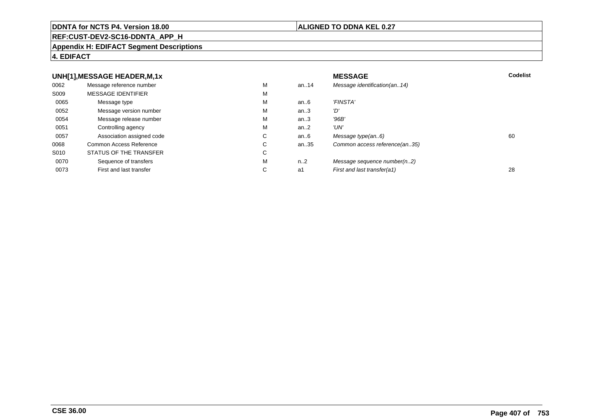#### **REF:CUST-DEV2-SC16-DDNTA\_APP\_H**

#### **Appendix H: EDIFACT Segment Descriptions**

## **4. EDIFACT**

#### **UNH[1],MESSAGE HEADER,M,1xx** MESSAGE **Codelist** Codelist 0062 Message reference number <sup>M</sup> an..14 Message identification(an..14) S009 MESSAGE IDENTIFIERR M M 0065Message type Message version number and the Message version number and the Message of Message Message Message M an..6 'FINSTA'<br>an..3 'D' 0052 Message version number <sup>M</sup>an..3 '*D'*<br>an..3 '96*B'* 0054Message release number Message release number Message of the Message of the Message of Message of Message of Me<br>
Message release number of Message of Message of Message of Message of Message of Message of Message of Messag an..3 '96B'<br>an..2 'UN' 0051 Controlling agency <sup>M</sup>an..2<br>an..6 0057Association assigned code **C** C<br>
mmon Access Reference **C** C an..6 Message type(an..6)<br>an..35 Common access reference(an..35) 0068Common Access Reference C<br>
STATUS OF THE TRANSFER
C Common access reference(an..35) S010 STATUS OF THE TRANSFERR C 0070Sequence of transfers M<br>
First and last transfer C n..2 Message sequence number(n..2)<br>a1 First and last transfer(a1) 0073First and last transfer First and last transfer(a1) 28

### **ALIGNED TO DDNA KEL 0.27**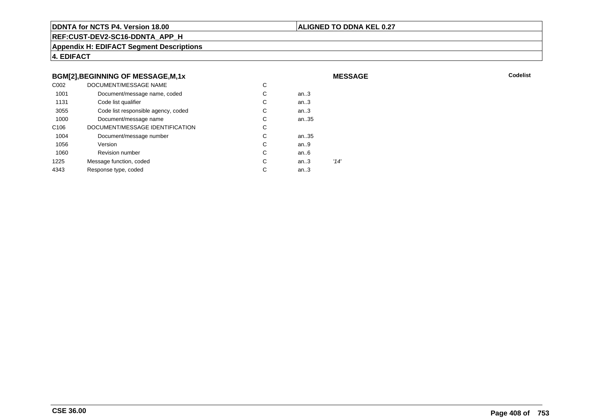## **ALIGNED TO DDNA KEL 0.27**

**MESSAGE**

**REF:CUST-DEV2-SC16-DDNTA\_APP\_H**

**Appendix H: EDIFACT Segment Descriptions**

**4. EDIFACT**

## **BGM[2],BEGINNING OF MESSAGE,M,1x**

| C <sub>0</sub> 02 | DOCUMENT/MESSAGE NAME               | С |        |      |
|-------------------|-------------------------------------|---|--------|------|
| 1001              | Document/message name, coded        | С | an $3$ |      |
| 1131              | Code list qualifier                 | С | an.3   |      |
| 3055              | Code list responsible agency, coded | С | an.3   |      |
| 1000              | Document/message name               | С | an35   |      |
| C <sub>106</sub>  | DOCUMENT/MESSAGE IDENTIFICATION     | С |        |      |
| 1004              | Document/message number             | С | an35   |      |
| 1056              | Version                             | С | an.9   |      |
| 1060              | <b>Revision number</b>              | С | an.6   |      |
| 1225              | Message function, coded             | С | an.3   | '14' |
| 4343              | Response type, coded                | С | an.3   |      |
|                   |                                     |   |        |      |

**Codelist** Codelist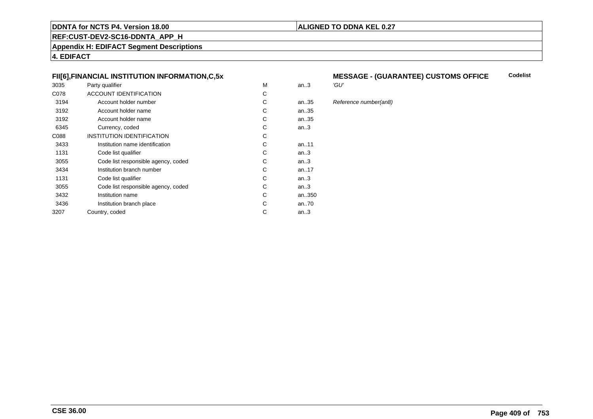**REF:CUST-DEV2-SC16-DDNTA\_APP\_H**

**Appendix H: EDIFACT Segment Descriptions**

**4. EDIFACT**

## **FII[6],FINANCIAL INSTITUTION INFORMATION,C,5x**

| 3035 | Party qualifier                     | M | an.3    | 'GU' |
|------|-------------------------------------|---|---------|------|
| C078 | ACCOUNT IDENTIFICATION              | С |         |      |
| 3194 | Account holder number               | C | an35    | Refe |
| 3192 | Account holder name                 | C | an35    |      |
| 3192 | Account holder name                 | C | an35    |      |
| 6345 | Currency, coded                     | С | an.3    |      |
| C088 | <b>INSTITUTION IDENTIFICATION</b>   | С |         |      |
| 3433 | Institution name identification     | С | an11    |      |
| 1131 | Code list qualifier                 | C | an.3    |      |
| 3055 | Code list responsible agency, coded | С | an $.3$ |      |
| 3434 | Institution branch number           | C | an17    |      |
| 1131 | Code list qualifier                 | C | an $3$  |      |
| 3055 | Code list responsible agency, coded | С | an.3    |      |
| 3432 | Institution name                    | С | an350   |      |
| 3436 | Institution branch place            | C | an70    |      |
| 3207 | Country, coded                      | C | an.3    |      |
|      |                                     |   |         |      |

#### **MESSAGE - (GUARANTEE) CUSTOMS OFFICE Codelist**

**ALIGNED TO DDNA KEL 0.27**

# 35 Reference number(an8)<br>35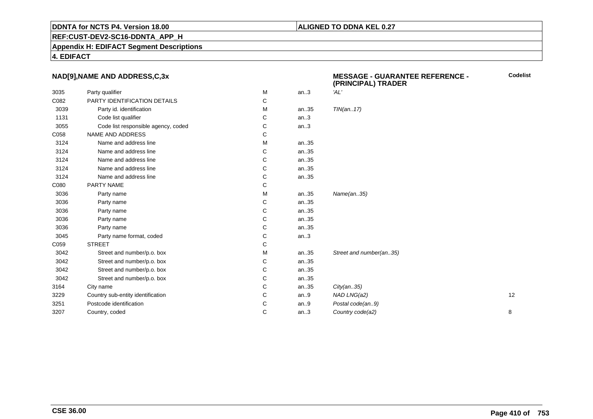## **ALIGNED TO DDNA KEL 0.27**

**REF:CUST-DEV2-SC16-DDNTA\_APP\_H**

**Appendix H: EDIFACT Segment Descriptions**

**4. EDIFACT**

## **NAD[9],NAME AND ADDRESS,C,3x**

|      | NAD[9], NAME AND ADDRESS, C, 3x     |   |      | <b>MESSAGE - GUARANTEE REFERENCE -</b><br>(PRINCIPAL) TRADER | Code |
|------|-------------------------------------|---|------|--------------------------------------------------------------|------|
| 3035 | Party qualifier                     | М | an.3 | 'AL'                                                         |      |
| C082 | PARTY IDENTIFICATION DETAILS        | С |      |                                                              |      |
| 3039 | Party id. identification            | M | an35 | TIN(an17)                                                    |      |
| 1131 | Code list qualifier                 | С | an.3 |                                                              |      |
| 3055 | Code list responsible agency, coded | С | an.3 |                                                              |      |
| C058 | NAME AND ADDRESS                    | С |      |                                                              |      |
| 3124 | Name and address line               | M | an35 |                                                              |      |
| 3124 | Name and address line               | С | an35 |                                                              |      |
| 3124 | Name and address line               | С | an35 |                                                              |      |
| 3124 | Name and address line               | С | an35 |                                                              |      |
| 3124 | Name and address line               | С | an35 |                                                              |      |
| C080 | PARTY NAME                          | С |      |                                                              |      |
| 3036 | Party name                          | М | an35 | Name(an35)                                                   |      |
| 3036 | Party name                          | С | an35 |                                                              |      |
| 3036 | Party name                          | С | an35 |                                                              |      |
| 3036 | Party name                          | С | an35 |                                                              |      |
| 3036 | Party name                          | С | an35 |                                                              |      |
| 3045 | Party name format, coded            | С | an.3 |                                                              |      |
| C059 | <b>STREET</b>                       | С |      |                                                              |      |
| 3042 | Street and number/p.o. box          | M | an35 | Street and number(an35)                                      |      |
| 3042 | Street and number/p.o. box          | С | an35 |                                                              |      |
| 3042 | Street and number/p.o. box          | С | an35 |                                                              |      |
| 3042 | Street and number/p.o. box          | С | an35 |                                                              |      |
| 3164 | City name                           | С | an35 | City(an35)                                                   |      |
| 3229 | Country sub-entity identification   | С | an.9 | NAD LNG(a2)                                                  | 12   |
| 3251 | Postcode identification             | С | an.9 | Postal code(an9)                                             |      |
| 3207 | Country, coded                      | С | an.3 | Country code(a2)                                             | 8    |
|      |                                     |   |      |                                                              |      |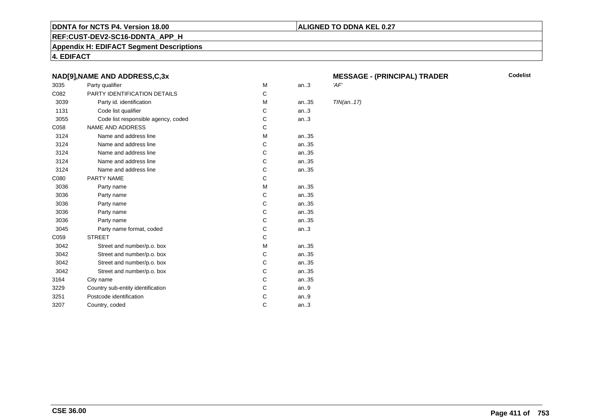## **REF:CUST-DEV2-SC16-DDNTA\_APP\_H**

**Appendix H: EDIFACT Segment Descriptions**

**4. EDIFACT**

## **NAD[9],NAME AND ADDRESS,C,3x**

| 3035 | Party qualifier                     | M | an.3  | 'AF'       |
|------|-------------------------------------|---|-------|------------|
| C082 | PARTY IDENTIFICATION DETAILS        | C |       |            |
| 3039 | Party id. identification            | М | an35  | <b>TIN</b> |
| 1131 | Code list qualifier                 | C | an.3  |            |
| 3055 | Code list responsible agency, coded | C | an.3  |            |
| C058 | NAME AND ADDRESS                    | C |       |            |
| 3124 | Name and address line               | M | an35  |            |
| 3124 | Name and address line               | C | an35  |            |
| 3124 | Name and address line               | C | an35  |            |
| 3124 | Name and address line               | C | an35  |            |
| 3124 | Name and address line               | C | an35  |            |
| C080 | PARTY NAME                          | C |       |            |
| 3036 | Party name                          | M | an35  |            |
| 3036 | Party name                          | C | an.35 |            |
| 3036 | Party name                          | С | an35  |            |
| 3036 | Party name                          | C | an35  |            |
| 3036 | Party name                          | C | an35  |            |
| 3045 | Party name format, coded            | C | an.3  |            |
| C059 | <b>STREET</b>                       | C |       |            |
| 3042 | Street and number/p.o. box          | M | an35  |            |
| 3042 | Street and number/p.o. box          | C | an35  |            |
| 3042 | Street and number/p.o. box          | C | an35  |            |
| 3042 | Street and number/p.o. box          | C | an35  |            |
| 3164 | City name                           | C | an35  |            |
| 3229 | Country sub-entity identification   | C | an.9  |            |
| 3251 | Postcode identification             | C | an.9  |            |
| 3207 | Country, coded                      | C | an.3  |            |
|      |                                     |   |       |            |

# **MESSAGE - (PRINCIPAL) TRADER**

**Codelist**

 $TIN(an..17)$ 

**ALIGNED TO DDNA KEL 0.27**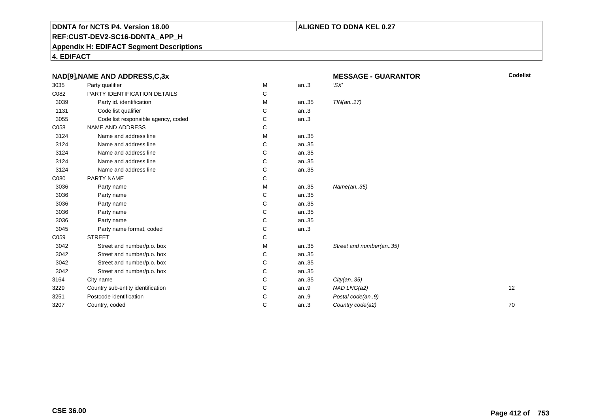## **ALIGNED TO DDNA KEL 0.27**

**REF:CUST-DEV2-SC16-DDNTA\_APP\_H**

**Appendix H: EDIFACT Segment Descriptions**

**4. EDIFACT**

|      | NAD[9], NAME AND ADDRESS, C, 3x     |   |      | <b>MESSAGE - GUARANTOR</b> | <b>Codelist</b> |
|------|-------------------------------------|---|------|----------------------------|-----------------|
| 3035 | Party qualifier                     | M | an.3 | 'SX'                       |                 |
| C082 | PARTY IDENTIFICATION DETAILS        | С |      |                            |                 |
| 3039 | Party id. identification            | м | an35 | TIN(an17)                  |                 |
| 1131 | Code list qualifier                 | C | an.3 |                            |                 |
| 3055 | Code list responsible agency, coded | С | an.3 |                            |                 |
| C058 | NAME AND ADDRESS                    | С |      |                            |                 |
| 3124 | Name and address line               | м | an35 |                            |                 |
| 3124 | Name and address line               | C | an35 |                            |                 |
| 3124 | Name and address line               | С | an35 |                            |                 |
| 3124 | Name and address line               | C | an35 |                            |                 |
| 3124 | Name and address line               | С | an35 |                            |                 |
| C080 | PARTY NAME                          | С |      |                            |                 |
| 3036 | Party name                          | м | an35 | Name(an35)                 |                 |
| 3036 | Party name                          | C | an35 |                            |                 |
| 3036 | Party name                          | C | an35 |                            |                 |
| 3036 | Party name                          | C | an35 |                            |                 |
| 3036 | Party name                          | С | an35 |                            |                 |
| 3045 | Party name format, coded            | С | an.3 |                            |                 |
| C059 | <b>STREET</b>                       | С |      |                            |                 |
| 3042 | Street and number/p.o. box          | М | an35 | Street and number(an35)    |                 |
| 3042 | Street and number/p.o. box          | С | an35 |                            |                 |
| 3042 | Street and number/p.o. box          | С | an35 |                            |                 |
| 3042 | Street and number/p.o. box          | С | an35 |                            |                 |
| 3164 | City name                           | C | an35 | City(an35)                 |                 |
| 3229 | Country sub-entity identification   | C | an.9 | NAD LNG(a2)                | 12              |
| 3251 | Postcode identification             | C | an.9 | Postal code(an9)           |                 |
| 3207 | Country, coded                      | C | an.3 | Country code(a2)           | 70              |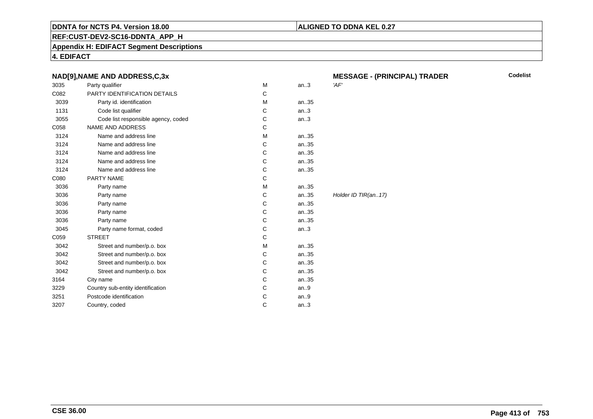## **ALIGNED TO DDNA KEL 0.27**

**REF:CUST-DEV2-SC16-DDNTA\_APP\_H**

**Appendix H: EDIFACT Segment Descriptions**

**4. EDIFACT**

|      | NAD[9], NAME AND ADDRESS, C, 3x     |   |      | <b>MESSAGE - (PRINCIPAL) TRADER</b> |
|------|-------------------------------------|---|------|-------------------------------------|
| 3035 | Party qualifier                     | M | an.3 | 'AF'                                |
| C082 | PARTY IDENTIFICATION DETAILS        | C |      |                                     |
| 3039 | Party id. identification            | M | an35 |                                     |
| 1131 | Code list qualifier                 | C | an.3 |                                     |
| 3055 | Code list responsible agency, coded | C | an.3 |                                     |
| C058 | <b>NAME AND ADDRESS</b>             | C |      |                                     |
| 3124 | Name and address line               | M | an35 |                                     |
| 3124 | Name and address line               | C | an35 |                                     |
| 3124 | Name and address line               | С | an35 |                                     |
| 3124 | Name and address line               | C | an35 |                                     |
| 3124 | Name and address line               | C | an35 |                                     |
| C080 | <b>PARTY NAME</b>                   | C |      |                                     |
| 3036 | Party name                          | M | an35 |                                     |
| 3036 | Party name                          | C | an35 | Holder ID TIR(an17)                 |
| 3036 | Party name                          | C | an35 |                                     |
| 3036 | Party name                          | C | an35 |                                     |
| 3036 | Party name                          | C | an35 |                                     |
| 3045 | Party name format, coded            | C | an.3 |                                     |
| C059 | <b>STREET</b>                       | C |      |                                     |
| 3042 | Street and number/p.o. box          | M | an35 |                                     |
| 3042 | Street and number/p.o. box          | C | an35 |                                     |
| 3042 | Street and number/p.o. box          | С | an35 |                                     |
| 3042 | Street and number/p.o. box          | C | an35 |                                     |
| 3164 | City name                           | C | an35 |                                     |
| 3229 | Country sub-entity identification   | C | an.9 |                                     |
| 3251 | Postcode identification             | C | an.9 |                                     |
| 3207 | Country, coded                      | C | an.3 |                                     |
|      |                                     |   |      |                                     |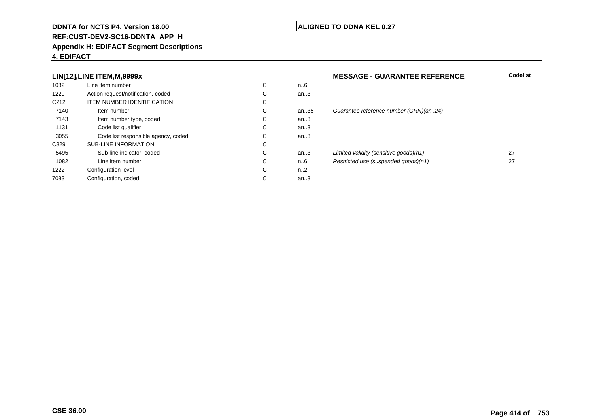### **REF:CUST-DEV2-SC16-DDNTA\_APP\_H**

#### **Appendix H: EDIFACT Segment Descriptions**

## **4. EDIFACT**

## **LIN[12],LINE ITEM,M,9999x**

| 1082             | Line item number                    | С | n6   |
|------------------|-------------------------------------|---|------|
| 1229             | Action request/notification, coded  | C | an.3 |
| C <sub>212</sub> | <b>ITEM NUMBER IDENTIFICATION</b>   | С |      |
| 7140             | Item number                         | С | an.3 |
| 7143             | Item number type, coded             | С | an.3 |
| 1131             | Code list qualifier                 | C | an.3 |
| 3055             | Code list responsible agency, coded | С | an.3 |
| C829             | <b>SUB-LINE INFORMATION</b>         | C |      |
| 5495             | Sub-line indicator, coded           | C | an.3 |
| 1082             | Line item number                    | C | n6   |
| 1222             | Configuration level                 | C | n2   |
| 7083             | Configuration, coded                | С | an.3 |
|                  |                                     |   |      |

## **ALIGNED TO DDNA KEL 0.27**

# **MESSAGE - GUARANTEE REFERENCE Codelist** an.35 Guarantee reference number (GRN)(an..24)<br>.3 an...<br>and the unit of the sensitive goods)(n1) 27<br>and the sensitive goods)(n1) 27<br>and the sensitive control in the sensitive control of the sensitive control of the sensitive control of the sensitive control of the sensiti n..6 Restricted use (suspended goods)(n1) <sup>27</sup>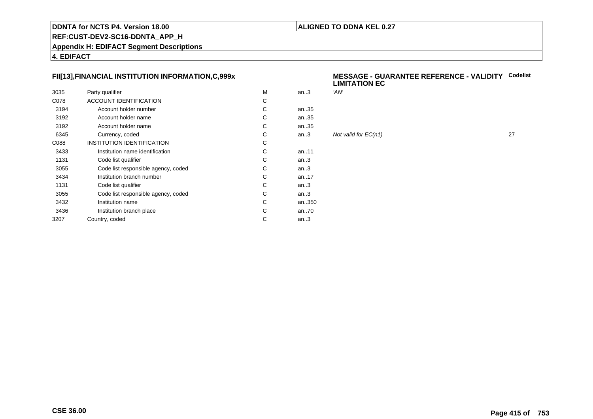## **ALIGNED TO DDNA KEL 0.27**

## **REF:CUST-DEV2-SC16-DDNTA\_APP\_H**

**Appendix H: EDIFACT Segment Descriptions**

**4. EDIFACT**

## **FII[13],FINANCIAL INSTITUTION INFORMATION,C,999x**

| 3035 | Party qualifier                     | M | an.3      | 'AN' |
|------|-------------------------------------|---|-----------|------|
| C078 | ACCOUNT IDENTIFICATION              | C |           |      |
| 3194 | Account holder number               | C | an35      |      |
| 3192 | Account holder name                 | C | an35      |      |
| 3192 | Account holder name                 | C | an35      |      |
| 6345 | Currency, coded                     | C | an.3      | Not  |
| C088 | INSTITUTION IDENTIFICATION          | С |           |      |
| 3433 | Institution name identification     | C | an11      |      |
| 1131 | Code list qualifier                 | C | an.3      |      |
| 3055 | Code list responsible agency, coded | C | an.3      |      |
| 3434 | Institution branch number           | C | an. $.17$ |      |
| 1131 | Code list qualifier                 | C | an.3      |      |
| 3055 | Code list responsible agency, coded | C | an.3      |      |
| 3432 | Institution name                    | C | an350     |      |
| 3436 | Institution branch place            | C | an70      |      |
| 3207 | Country, coded                      | С | an.3      |      |
|      |                                     |   |           |      |

#### **MESSAGE - GUARANTEE REFERENCE - VALIDITYCodelistLIMITATION EC**

| м | an.3 | 'AN'                 |    |
|---|------|----------------------|----|
| С |      |                      |    |
| С | an35 |                      |    |
| С | an35 |                      |    |
| С | an35 |                      |    |
| С | an.3 | Not valid for EC(n1) | 27 |
| С |      |                      |    |
| С | an11 |                      |    |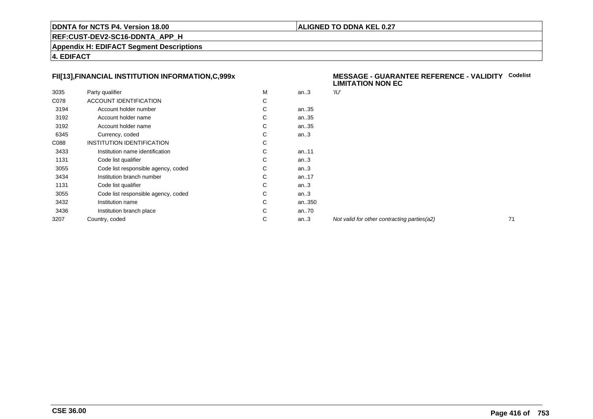## **ALIGNED TO DDNA KEL 0.27**

**REF:CUST-DEV2-SC16-DDNTA\_APP\_H**

**Appendix H: EDIFACT Segment Descriptions**

**4. EDIFACT**

## **FII[13],FINANCIAL INSTITUTION INFORMATION,C,999x**

| 3035 | Party qualifier                     | М | an.3      | 'וע" |
|------|-------------------------------------|---|-----------|------|
| C078 | <b>ACCOUNT IDENTIFICATION</b>       | С |           |      |
| 3194 | Account holder number               | С | an35      |      |
| 3192 | Account holder name                 | C | an35      |      |
| 3192 | Account holder name                 | С | an35      |      |
| 6345 | Currency, coded                     | С | an.3      |      |
| C088 | INSTITUTION IDENTIFICATION          | С |           |      |
| 3433 | Institution name identification     | С | an11      |      |
| 1131 | Code list qualifier                 | С | an.3      |      |
| 3055 | Code list responsible agency, coded | С | an.3      |      |
| 3434 | Institution branch number           | C | an. $.17$ |      |
| 1131 | Code list qualifier                 | С | an.3      |      |
| 3055 | Code list responsible agency, coded | С | an.3      |      |
| 3432 | Institution name                    | C | an350     |      |
| 3436 | Institution branch place            | С | an70      |      |
| 3207 | Country, coded                      | С | an.3      | Noi  |
|      |                                     |   |           |      |

#### **MESSAGE - GUARANTEE REFERENCE - VALIDITYCodelist LIMITATION NON EC**

Not valid for other contracting parties(a2) 71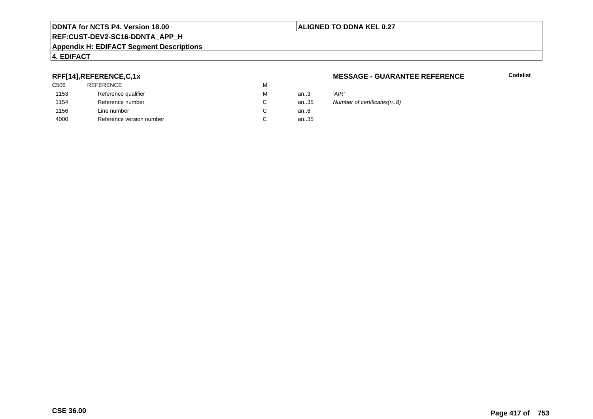## **ALIGNED TO DDNA KEL 0.27**

## **REF:CUST-DEV2-SC16-DDNTA\_APP\_H**

#### **Appendix H: EDIFACT Segment Descriptions**

## **4. EDIFACT**

## **RFF[14],REFERENCE,C,1x**

| C <sub>506</sub> | <b>REFERENCE</b>         | М |        |       |
|------------------|--------------------------|---|--------|-------|
| 1153             | Reference qualifier      | М | an $3$ | 'AIR' |
| 1154             | Reference number         | C | an35   | Num   |
| 1156             | Line number              | C | an6    |       |
| 4000             | Reference version number | C | an35   |       |
|                  |                          |   |        |       |

### **MESSAGE - GUARANTEE REFERENCE**

**Codelist**

35 Number of certificates(n..8)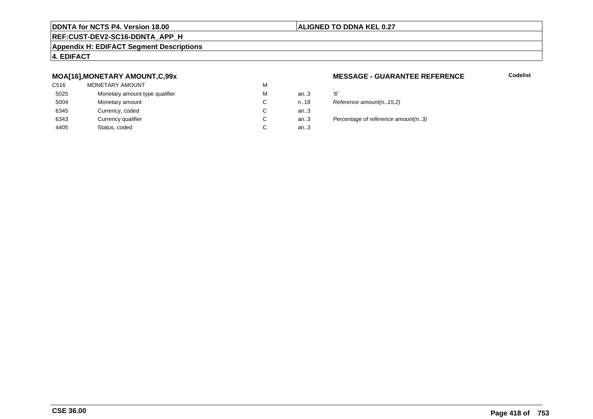## **ALIGNED TO DDNA KEL 0.27**

## **REF:CUST-DEV2-SC16-DDNTA\_APP\_H**

#### **Appendix H: EDIFACT Segment Descriptions**

## **4. EDIFACT**

## **MOA[16],MONETARY AMOUNT,C,99x**

| C516 | MONETARY AMOUNT                | M |      |    |
|------|--------------------------------|---|------|----|
| 5025 | Monetary amount type qualifier | M | an.3 | Έ  |
| 5004 | Monetary amount                | C | n.18 | R  |
| 6345 | Currency, coded                | C | an.3 |    |
| 6343 | Currency qualifier             | C | an.3 | Pι |
| 4405 | Status, coded                  | С | an.3 |    |
|      |                                |   |      |    |

### **MESSAGE - GUARANTEE REFERENCE**

| м | an $3$ | '6'                                |
|---|--------|------------------------------------|
| С | n18    | Reference amount(n15,2)            |
| С | an.3   |                                    |
| С | an.3   | Percentage of reference amount(n3) |
| С | an3    |                                    |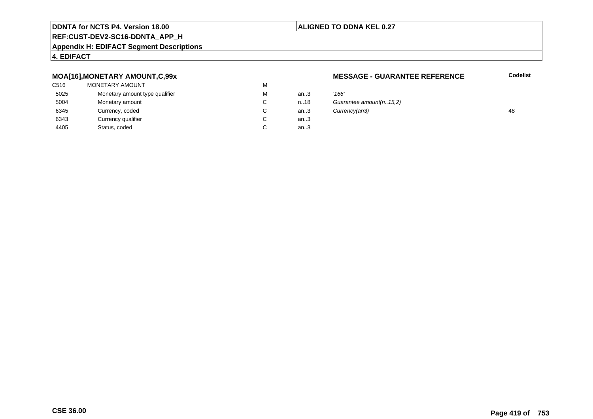## **ALIGNED TO DDNA KEL 0.27**

## **REF:CUST-DEV2-SC16-DDNTA\_APP\_H**

#### **Appendix H: EDIFACT Segment Descriptions**

## **4. EDIFACT**

## **MOA[16],MONETARY AMOUNT,C,99x**

| C516 | MONETARY AMOUNT                | M |      |       |
|------|--------------------------------|---|------|-------|
| 5025 | Monetary amount type qualifier | M | an.3 | '166' |
| 5004 | Monetary amount                | C | n.18 | Guai  |
| 6345 | Currency, coded                | C | an.3 | Curn  |
| 6343 | Currency qualifier             | C | an.3 |       |
| 4405 | Status, coded                  | С | an.3 |       |
|      |                                |   |      |       |

### **MESSAGE - GUARANTEE REFERENCE**

| м  | an $3$ | '166'                   |    |
|----|--------|-------------------------|----|
| C. | n.18   | Guarantee amount(n15,2) |    |
| C. | an $3$ | Currency(an3)           | 48 |
| С  | an $3$ |                         |    |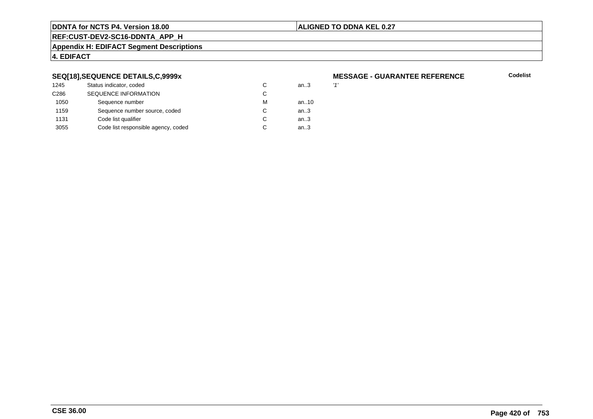## **ALIGNED TO DDNA KEL 0.27**

## **REF:CUST-DEV2-SC16-DDNTA\_APP\_H**

#### **Appendix H: EDIFACT Segment Descriptions**

## **4. EDIFACT**

## **SEQ[18],SEQUENCE DETAILS,C,9999x**

| 1245             | Status indicator, coded             | C | an.3 | 11' |
|------------------|-------------------------------------|---|------|-----|
| C <sub>286</sub> | <b>SEQUENCE INFORMATION</b>         | С |      |     |
| 1050             | Sequence number                     | м | an10 |     |
| 1159             | Sequence number source, coded       | C | an.3 |     |
| 1131             | Code list qualifier                 | C | an.3 |     |
| 3055             | Code list responsible agency, coded |   | an.3 |     |
|                  |                                     |   |      |     |

# **MESSAGE - GUARANTEE REFERENCE**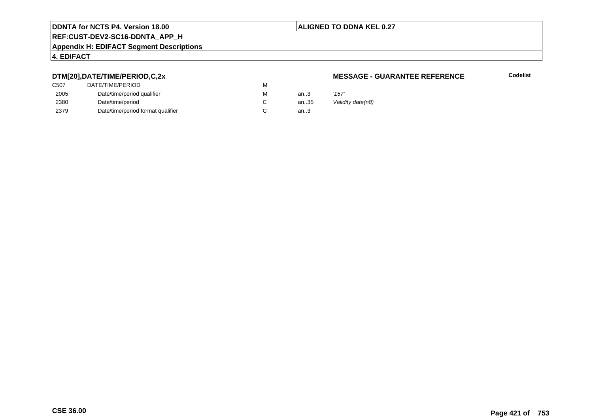## **ALIGNED TO DDNA KEL 0.27**

## **REF:CUST-DEV2-SC16-DDNTA\_APP\_H**

#### **Appendix H: EDIFACT Segment Descriptions**

## **4. EDIFACT**

## **DTM[20],DATE/TIME/PERIOD,C,2x**

| C507 | DATE/TIME/PERIOD                  | М |          |       |
|------|-----------------------------------|---|----------|-------|
| 2005 | Date/time/period qualifier        | М | an $3$   | '157' |
| 2380 | Date/time/period                  |   | an $.35$ | Valic |
| 2379 | Date/time/period format qualifier |   | an.3     |       |

### **MESSAGE - GUARANTEE REFERENCE**

**Codelist**

Validity date(n8)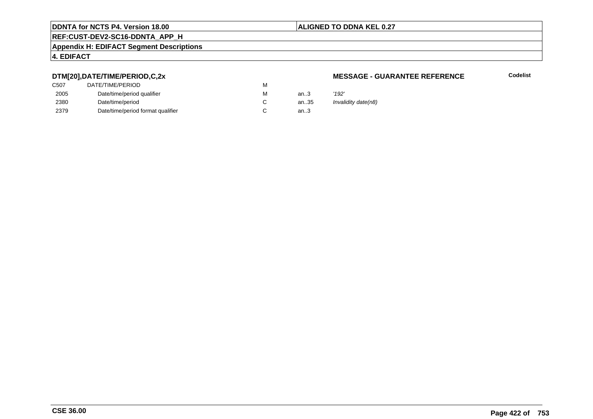## **ALIGNED TO DDNA KEL 0.27**

## **REF:CUST-DEV2-SC16-DDNTA\_APP\_H**

#### **Appendix H: EDIFACT Segment Descriptions**

## **4. EDIFACT**

## **DTM[20],DATE/TIME/PERIOD,C,2x**

| DATE/TIME/PERIOD                  | М |          |       |
|-----------------------------------|---|----------|-------|
| Date/time/period qualifier        | М | an $3$   | '192' |
| Date/time/period                  |   | an $.35$ | Inval |
| Date/time/period format qualifier |   | an.3     |       |
|                                   |   |          |       |

### **MESSAGE - GUARANTEE REFERENCE**

**Codelist**

Invalidity date(n8)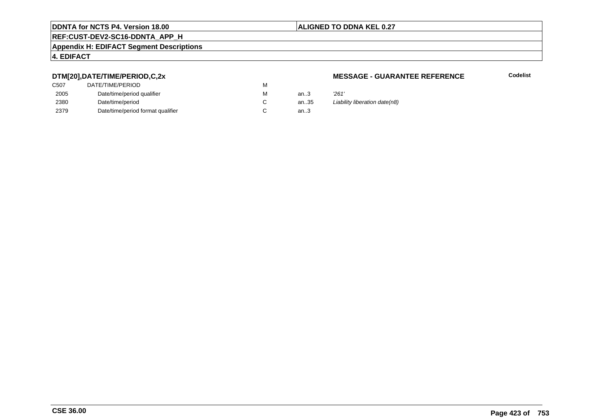## **ALIGNED TO DDNA KEL 0.27**

## **REF:CUST-DEV2-SC16-DDNTA\_APP\_H**

#### **Appendix H: EDIFACT Segment Descriptions**

## **4. EDIFACT**

## **DTM[20],DATE/TIME/PERIOD,C,2x**

| DATE/TIME/PERIOD                  | М |        |       |
|-----------------------------------|---|--------|-------|
| Date/time/period qualifier        | м | an $3$ | '261' |
| Date/time/period                  |   | an35   | Liabi |
| Date/time/period format qualifier |   | an $3$ |       |
|                                   |   |        |       |

#### **MESSAGE - GUARANTEE REFERENCE**

**Codelist**

an.35 Liability liberation date(n8)<br>.3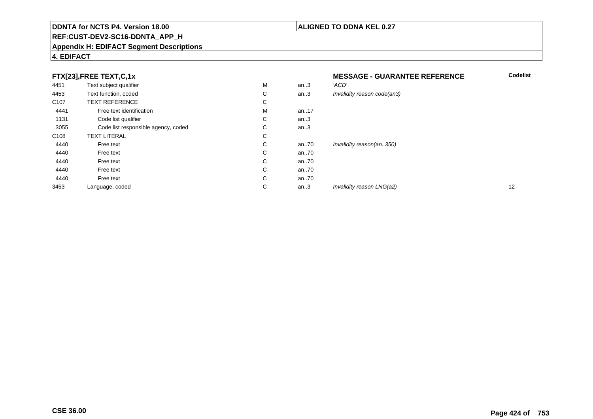### **REF:CUST-DEV2-SC16-DDNTA\_APP\_H**

#### **Appendix H: EDIFACT Segment Descriptions**

## **4. EDIFACT**

## **FTX[23],FREE TEXT,C,1x**

| 4451             | Text subject qualifier              | M | an.3  | 'ACD'                       |
|------------------|-------------------------------------|---|-------|-----------------------------|
| 4453             | Text function, coded                | С | an.3  | Invalidity reason code(an3) |
| C <sub>107</sub> | <b>TEXT REFERENCE</b>               | С |       |                             |
| 4441             | Free text identification            | M | an.17 |                             |
| 1131             | Code list qualifier                 | C | an.3  |                             |
| 3055             | Code list responsible agency, coded | С | an.3  |                             |
| C <sub>108</sub> | <b>TEXT LITERAL</b>                 | С |       |                             |
| 4440             | Free text                           | С | an70  | Invalidity reason(an350)    |
| 4440             | Free text                           | С | an70  |                             |
| 4440             | Free text                           | C | an70  |                             |
| 4440             | Free text                           | C | an70  |                             |
| 4440             | Free text                           | С | an70  |                             |
| 3453             | Language, coded                     | C | an.3  | Invalidity reason LNG(a2)   |
|                  |                                     |   |       |                             |

## **MESSAGE - GUARANTEE REFERENCE**

**ALIGNED TO DDNA KEL 0.27**

| М | an.3 | 'ACD'                       |    |
|---|------|-----------------------------|----|
| С | an.3 | Invalidity reason code(an3) |    |
| С |      |                             |    |
| М | an17 |                             |    |
| С | an.3 |                             |    |
| С | an.3 |                             |    |
| С |      |                             |    |
| С | an70 | Invalidity reason(an350)    |    |
| С | an70 |                             |    |
| С | an70 |                             |    |
| С | an70 |                             |    |
| С | an70 |                             |    |
| С | an.3 | Invalidity reason LNG(a2)   | 12 |
|   |      |                             |    |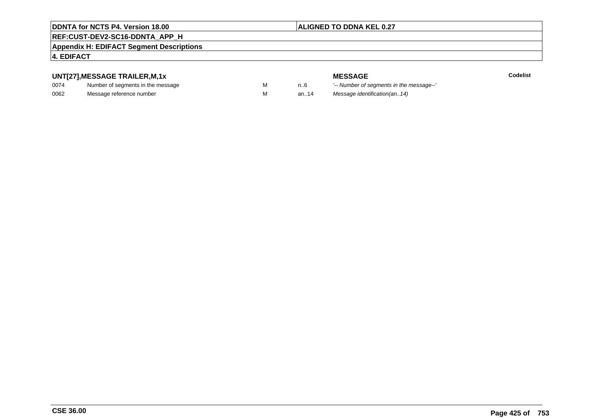## **ALIGNED TO DDNA KEL 0.27**

## **REF:CUST-DEV2-SC16-DDNTA\_APP\_H**

#### **Appendix H: EDIFACT Segment Descriptions**

## **4. EDIFACT**

## **UNT[27],MESSAGE TRAILER,M,1x**

| 0074 | Number of segments in the message |  |
|------|-----------------------------------|--|
| 0062 | Message reference number          |  |

**MESSAGE**<br>M n.6 <sup>'--</sup> Number of s **Codelist** n..6 '-- Number of segments in the message--' M an..14 Message identification(an..14)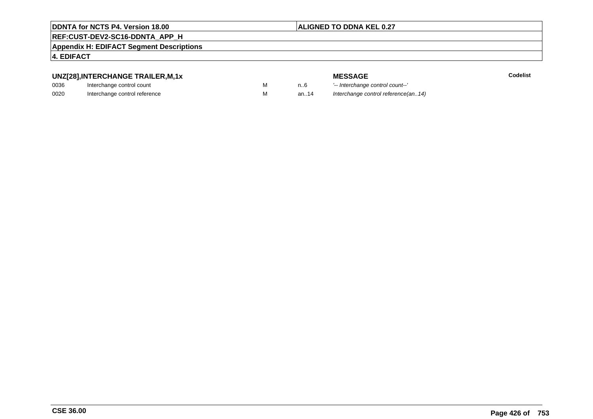## **ALIGNED TO DDNA KEL 0.27**

## **REF:CUST-DEV2-SC16-DDNTA\_APP\_H**

**Appendix H: EDIFACT Segment Descriptions**

## **4. EDIFACT**

## **UNZ[28],INTERCHANGE TRAILER,M,1x**

| 0036 | Interchange control count     |  |
|------|-------------------------------|--|
| 0020 | Interchange control reference |  |

| "ווירודרדונייווי חמונו |  |
|------------------------|--|
| control count          |  |
| anntin informan        |  |

**E** Codelist

**MESSAGE**<br>M n.6 <sup>1-</sup>- Interchange M an..6 <sup>'--</sup> Interchange control count--'<br>M an..14 Interchange control reference(a Interchange control reference(an..14)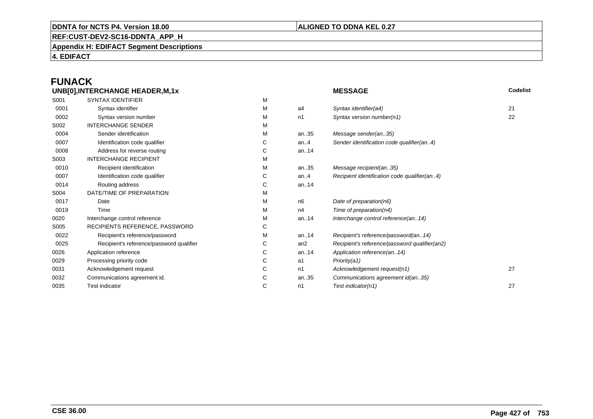## **ALIGNED TO DDNA KEL 0.27**

**REF:CUST-DEV2-SC16-DDNTA\_APP\_H**

**Appendix H: EDIFACT Segment Descriptions**

**4. EDIFACT**

# **FUNACK**

|      | UNB[0], INTERCHANGE HEADER, M, 1x        |   |                 | Codelist<br><b>MESSAGE</b>                    |    |
|------|------------------------------------------|---|-----------------|-----------------------------------------------|----|
| S001 | <b>SYNTAX IDENTIFIER</b>                 | M |                 |                                               |    |
| 0001 | Syntax identifier                        | M | a4              | Syntax identifier(a4)                         | 21 |
| 0002 | Syntax version number                    | M | n1              | Syntax version number(n1)                     | 22 |
| S002 | <b>INTERCHANGE SENDER</b>                | М |                 |                                               |    |
| 0004 | Sender identification                    | М | an35            | Message sender(an35)                          |    |
| 0007 | Identification code qualifier            | С | an. $4$         | Sender identification code qualifier(an4)     |    |
| 0008 | Address for reverse routing              | С | an14            |                                               |    |
| S003 | <b>INTERCHANGE RECIPIENT</b>             | М |                 |                                               |    |
| 0010 | Recipient identification                 | М | an35            | Message recipient(an35)                       |    |
| 0007 | Identification code qualifier            | С | an. $4$         | Recipient identification code qualifier(an4)  |    |
| 0014 | Routing address                          | С | an14            |                                               |    |
| S004 | DATE/TIME OF PREPARATION                 | м |                 |                                               |    |
| 0017 | Date                                     | М | n6              | Date of preparation(n6)                       |    |
| 0019 | Time                                     | м | n4              | Time of preparation(n4)                       |    |
| 0020 | Interchange control reference            | М | an14            | Interchange control reference(an14)           |    |
| S005 | RECIPIENTS REFERENCE, PASSWORD           | С |                 |                                               |    |
| 0022 | Recipient's reference/password           | М | an14            | Recipient's reference/password(an14)          |    |
| 0025 | Recipient's reference/password qualifier | С | an <sub>2</sub> | Recipient's reference/password qualifier(an2) |    |
| 0026 | Application reference                    | С | an14            | Application reference(an14)                   |    |
| 0029 | Processing priority code                 | С | a1              | Priority(a1)                                  |    |
| 0031 | Acknowledgement request                  | С | n1              | Acknowledgement request(n1)                   | 27 |
| 0032 | Communications agreement id.             | С | an35            | Communications agreement id(an35)             |    |
| 0035 | <b>Test indicator</b>                    | С | n1              | Test indicator(n1)                            | 27 |
|      |                                          |   |                 |                                               |    |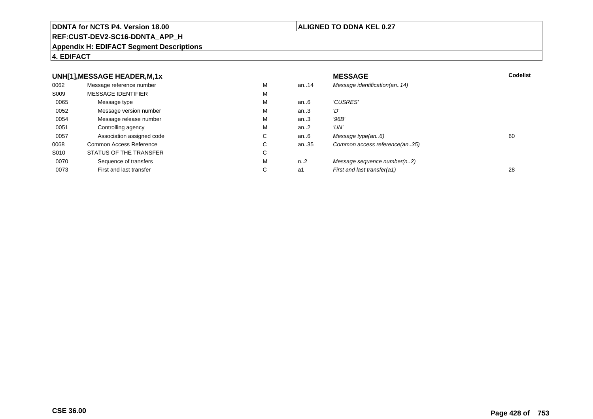#### **REF:CUST-DEV2-SC16-DDNTA\_APP\_H**

#### **Appendix H: EDIFACT Segment Descriptions**

## **4. EDIFACT**

#### **UNH[1],MESSAGE HEADER,M,1xx** MESSAGE **Codelist** Codelist 0062 Message reference number <sup>M</sup> an..14 Message identification(an..14) S009 MESSAGE IDENTIFIERR M M 0065Message type Message version number and the Message version number and the Message of Message Message Message M an..6  $'CUSRES'$ <br>an..3  $'D'$ 0052 Message version number <sup>M</sup>an..3 '*D'*<br>an..3 '96*B'* 0054Message release number Message release number Message of the Message of the Message of Message of Message of Me<br>
Message release number of Message of Message of Message of Message of Message of Message of Message of Messag an..3 '96B'<br>an..2 'UN' 0051Controlling agency<br>
Association assigned code<br>
C an..2<br>an..6 0057Association assigned code **C** C<br>
mmon Access Reference **C** C an..6 Message type(an..6)<br>an..35 Common access reference(an..35) 0068Common Access Reference C<br>
STATUS OF THE TRANSFER
C Common access reference(an..35) S010 STATUS OF THE TRANSFERR C 0070Sequence of transfers M<br>
First and last transfer C n..2 Message sequence number(n..2)<br>a1 First and last transfer(a1) 0073First and last transfer First and last transfer(a1) 28

## **ALIGNED TO DDNA KEL 0.27**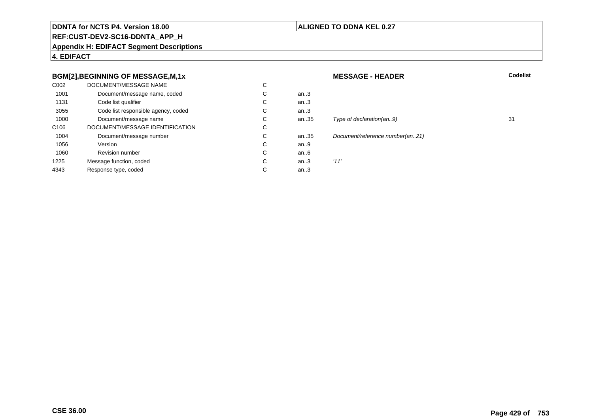## **ALIGNED TO DDNA KEL 0.27**

## **REF:CUST-DEV2-SC16-DDNTA\_APP\_H**

**Appendix H: EDIFACT Segment Descriptions**

**4. EDIFACT**

## **BGM[2],BEGINNING OF MESSAGE,M,1x**

| C002             | DOCUMENT/MESSAGE NAME               | С |      |      |
|------------------|-------------------------------------|---|------|------|
| 1001             | Document/message name, coded        | С | an.3 |      |
| 1131             | Code list qualifier                 | C | an.3 |      |
| 3055             | Code list responsible agency, coded | C | an.3 |      |
| 1000             | Document/message name               | С | an35 | Tyr  |
| C <sub>106</sub> | DOCUMENT/MESSAGE IDENTIFICATION     | C |      |      |
| 1004             | Document/message number             | C | an35 | Doc  |
| 1056             | Version                             | C | an.9 |      |
| 1060             | <b>Revision number</b>              | C | an6  |      |
| 1225             | Message function, coded             | C | an.3 | '11' |
| 4343             | Response type, coded                | С | an.3 |      |
|                  |                                     |   |      |      |

## **MESSAGE - HEADER**

**R** Codelist

# Type of declaration(an..9) 31

Document/reference number(an..21)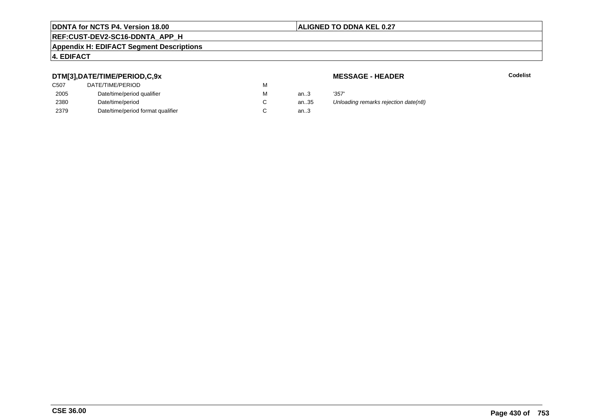## **ALIGNED TO DDNA KEL 0.27**

## **REF:CUST-DEV2-SC16-DDNTA\_APP\_H**

#### **Appendix H: EDIFACT Segment Descriptions**

## **4. EDIFACT**

## **DTM[3],DATE/TIME/PERIOD,C,9x**

| C507 | DATE/TIME/PERIOD                  | М |      |       |
|------|-----------------------------------|---|------|-------|
| 2005 | Date/time/period qualifier        | М | an.3 | '357' |
| 2380 | Date/time/period                  |   | an35 | Unlo  |
| 2379 | Date/time/period format qualifier |   | an.3 |       |

**MESSAGE - HEADER**

**R** Codelist

35 Unloading remarks rejection date(n8)<br>3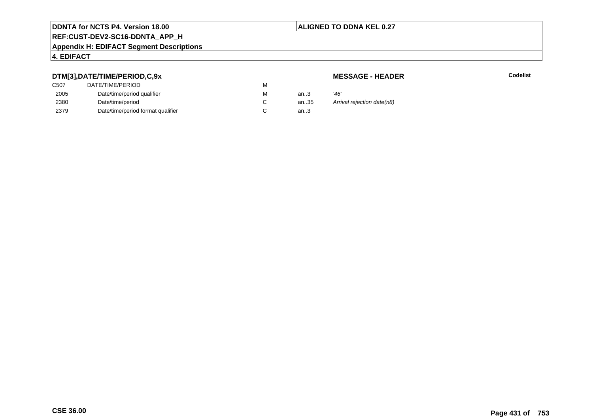## **ALIGNED TO DDNA KEL 0.27**

## **REF:CUST-DEV2-SC16-DDNTA\_APP\_H**

#### **Appendix H: EDIFACT Segment Descriptions**

## **4. EDIFACT**

## **DTM[3],DATE/TIME/PERIOD,C,9x**

| <b>MESSAGE - HEADER</b> |  |
|-------------------------|--|
|-------------------------|--|

**R** Codelist

| DTM[3],DATE/TIME/PERIOD,C,9x |                                   |   |      | <b>MESSAGE - HEADER</b>    |  |
|------------------------------|-----------------------------------|---|------|----------------------------|--|
| C <sub>50</sub> 7            | DATE/TIME/PERIOD                  | м |      |                            |  |
| 2005                         | Date/time/period qualifier        | М | an.3 | '46'                       |  |
| 2380                         | Date/time/period                  |   | an35 | Arrival rejection date(n8) |  |
| 2379                         | Date/time/period format qualifier |   | an.3 |                            |  |
|                              |                                   |   |      |                            |  |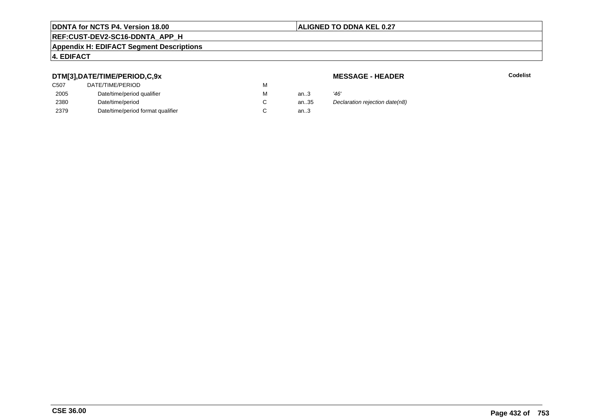## **ALIGNED TO DDNA KEL 0.27**

## **REF:CUST-DEV2-SC16-DDNTA\_APP\_H**

#### **Appendix H: EDIFACT Segment Descriptions**

## **4. EDIFACT**

## **DTM[3],DATE/TIME/PERIOD,C,9x**

| DATE/TIME/PERIOD                  | м |      |      |
|-----------------------------------|---|------|------|
| Date/time/period qualifier        | м | an.3 | '46' |
| Date/time/period                  |   | an35 | Dec  |
| Date/time/period format qualifier |   | an.3 |      |
|                                   |   |      |      |

**MESSAGE - HEADER**

**R** Codelist

35 Declaration rejection date(n8)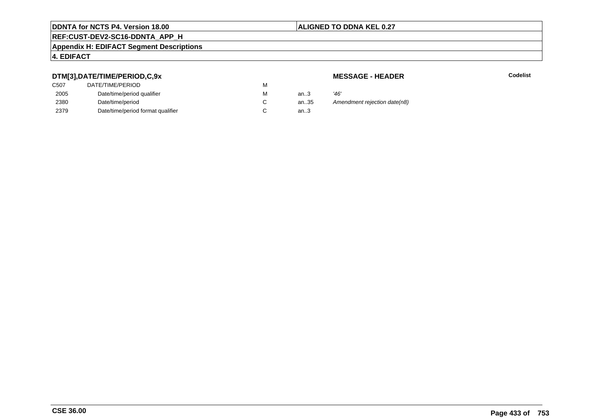#### **ALIGNED TO DDNA KEL 0.27**

# **REF:CUST-DEV2-SC16-DDNTA\_APP\_H**

#### **Appendix H: EDIFACT Segment Descriptions**

#### **4. EDIFACT**

## **DTM[3],DATE/TIME/PERIOD,C,9x**

| DATE/TIME/PERIOD                  | м |      |      |
|-----------------------------------|---|------|------|
| Date/time/period qualifier        | м | an.3 | '46' |
| Date/time/period                  |   | an35 | Аm   |
| Date/time/period format qualifier |   | an.3 |      |
|                                   |   |      |      |

**MESSAGE - HEADER**

**R** Codelist

35 Amendment rejection date(n8)<br>3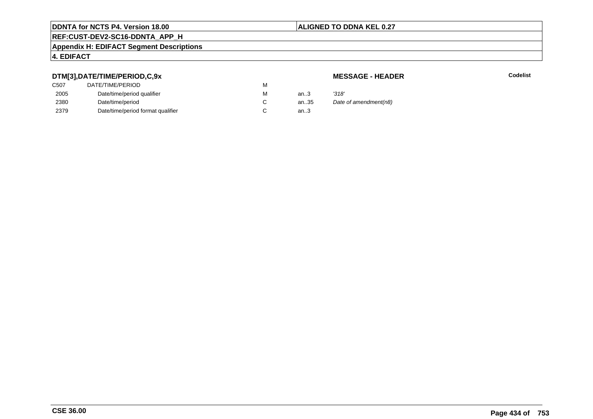#### **ALIGNED TO DDNA KEL 0.27**

# **REF:CUST-DEV2-SC16-DDNTA\_APP\_H**

#### **Appendix H: EDIFACT Segment Descriptions**

#### **4. EDIFACT**

## **DTM[3],DATE/TIME/PERIOD,C,9x**

# **MESSAGE - HEADER**

**R** Codelist

| . .               |                                   |   |      |                       |
|-------------------|-----------------------------------|---|------|-----------------------|
| C <sub>50</sub> 7 | DATE/TIME/PERIOD                  | м |      |                       |
| 2005              | Date/time/period qualifier        | м | an3  | '318'                 |
| 2380              | Date/time/period                  |   | an35 | Date of amendment(n8) |
| 2379              | Date/time/period format qualifier |   | an.3 |                       |
|                   |                                   |   |      |                       |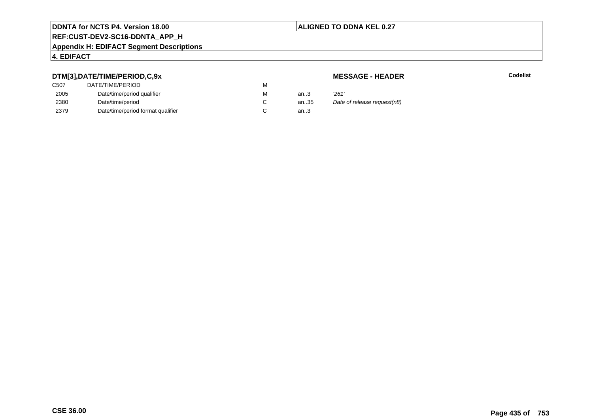#### **ALIGNED TO DDNA KEL 0.27**

# **REF:CUST-DEV2-SC16-DDNTA\_APP\_H**

#### **Appendix H: EDIFACT Segment Descriptions**

#### **4. EDIFACT**

## **DTM[3],DATE/TIME/PERIOD,C,9x**

| C <sub>50</sub> 7 | DATE/TIME/PERIOD                  | м |        |       |
|-------------------|-----------------------------------|---|--------|-------|
| 2005              | Date/time/period qualifier        | м | an.3   | '261' |
| 2380              | Date/time/period                  |   | an35   | Date  |
| 2379              | Date/time/period format qualifier |   | an $3$ |       |

#### **MESSAGE - HEADER**

**R** Codelist

35 Date of release request(n8)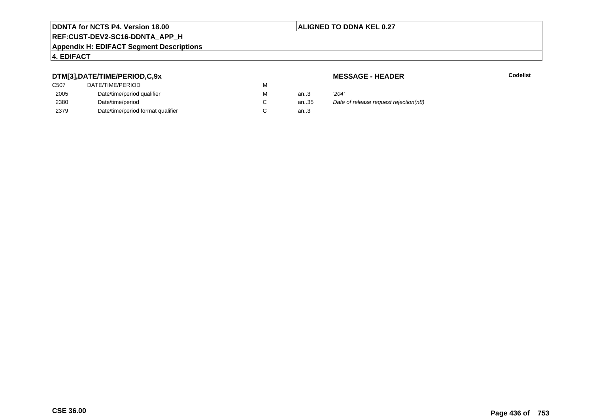#### **ALIGNED TO DDNA KEL 0.27**

# **REF:CUST-DEV2-SC16-DDNTA\_APP\_H**

#### **Appendix H: EDIFACT Segment Descriptions**

#### **4. EDIFACT**

## **DTM[3],DATE/TIME/PERIOD,C,9x**

| C507 | DATE/TIME/PERIOD                  | М |      |       |
|------|-----------------------------------|---|------|-------|
| 2005 | Date/time/period qualifier        | М | an.3 | '204' |
| 2380 | Date/time/period                  |   | an35 | Date  |
| 2379 | Date/time/period format qualifier |   | an.3 |       |

**MESSAGE - HEADER**

**R** Codelist

35 Date of release request rejection(n8)<br>3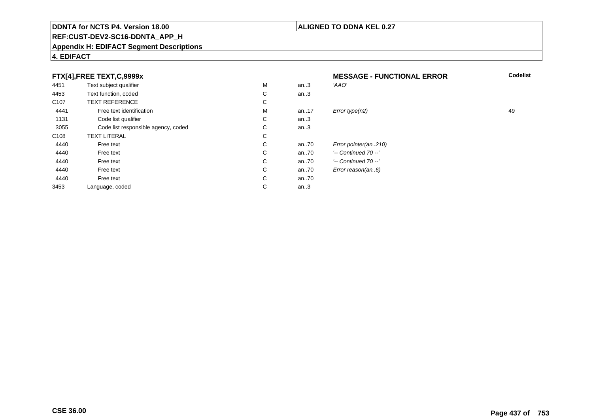#### **REF:CUST-DEV2-SC16-DDNTA\_APP\_H**

#### **Appendix H: EDIFACT Segment Descriptions**

#### **4. EDIFACT**

#### **FTX[4],FREE TEXT,C,9999xMESSAGE - FUNCTIONAL ERROR**<br>M an..3 *'AAO'*  **Codelist** 4451Text subject qualifier M<br>
Text function, coded C an..3 'AAO' 4453Text function, coded C<br>
TEXT REFERENCE an..3 C107 TEXT REFERENCEE C  $\mathsf{M}% _{T}=\mathsf{M}_{T}\!\left( a,b\right) ,\ \mathsf{M}_{T}=\mathsf{M}_{T}$ 4441Free text identification M<br>Code list qualifier development of the code list qualifier development of  $\mathbf C$ M an..17  $Error$  type(n2)  $\qquad \qquad$  49 1131Code list qualifier C<br>Code list responsible agency, coded C an..3 3055Code list responsible agency, coded C<br>
XT LITERAL C an..3 C108TEXT LITERAL<br>Free text  $\mathbf C$ 44400 Free text C C an..70 *Error pointer(an..210)*<br>C an..70 <sup>'--</sup> Continued 70 --' 44400 Free text C C an..70 '-- Continued 70 --'<br>C an..70 '-- Continued 70 --' 44400 Free text C C an..70 '-- Continued 70 --'<br>C an..70 Error reason(an..6) 44400 Free text C C an..70 *Error reason(an..6)*<br>C an..70 44400 Free text C C an..70<br>C an..3 3453Language, coded an..3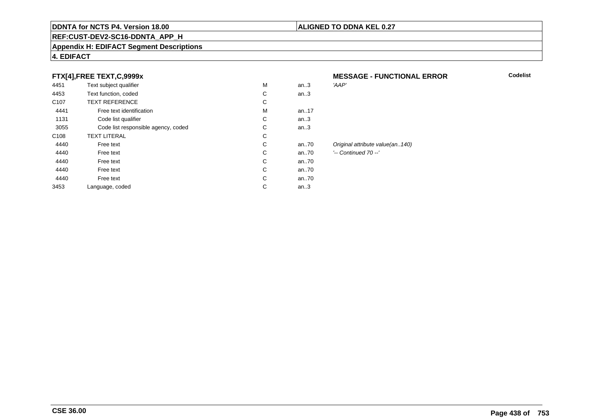#### **REF:CUST-DEV2-SC16-DDNTA\_APP\_H**

#### **Appendix H: EDIFACT Segment Descriptions**

#### **4. EDIFACT**

## **FTX[4],FREE TEXT,C,9999x**

| 4451             | Text subject qualifier              | M | an.3    | 'AAP'                           |
|------------------|-------------------------------------|---|---------|---------------------------------|
| 4453             | Text function, coded                | С | an.3    |                                 |
| C <sub>107</sub> | <b>TEXT REFERENCE</b>               | С |         |                                 |
| 4441             | Free text identification            | M | an.17   |                                 |
| 1131             | Code list qualifier                 | С | an.3    |                                 |
| 3055             | Code list responsible agency, coded | С | an.3    |                                 |
| C <sub>108</sub> | <b>TEXT LITERAL</b>                 | С |         |                                 |
| 4440             | Free text                           | С | an70    | Original attribute value(an140) |
| 4440             | Free text                           | С | an70    | '-- Continued 70 --'            |
| 4440             | Free text                           | С | an70    |                                 |
| 4440             | Free text                           | С | an70    |                                 |
| 4440             | Free text                           | С | an70    |                                 |
| 3453             | Language, coded                     | С | an $.3$ |                                 |
|                  |                                     |   |         |                                 |

# **MESSAGE - FUNCTIONAL ERROR**

**ALIGNED TO DDNA KEL 0.27**

**Codelist**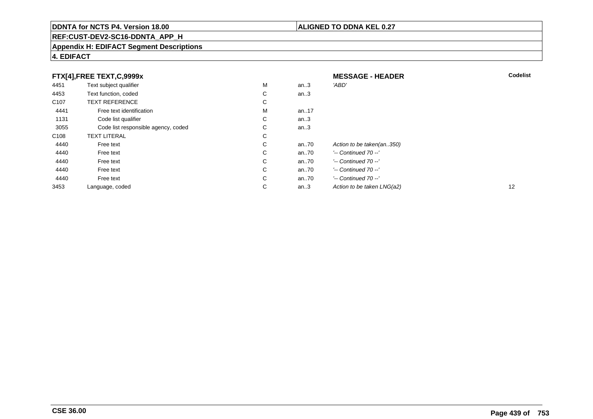# **REF:CUST-DEV2-SC16-DDNTA\_APP\_H**

#### **Appendix H: EDIFACT Segment Descriptions**

|                  | FTX[4],FREE TEXT,C,9999x            |    |      | <b>MESSAGE - HEADER</b>    | <b>Codelist</b> |
|------------------|-------------------------------------|----|------|----------------------------|-----------------|
| 4451             | Text subject qualifier              | M  | an.3 | 'ABD'                      |                 |
| 4453             | Text function, coded                | C  | an.3 |                            |                 |
| C <sub>107</sub> | <b>TEXT REFERENCE</b>               | C  |      |                            |                 |
| 4441             | Free text identification            | м  | an17 |                            |                 |
| 1131             | Code list qualifier                 | C  | an.3 |                            |                 |
| 3055             | Code list responsible agency, coded | C  | an.3 |                            |                 |
| C <sub>108</sub> | <b>TEXT LITERAL</b>                 | C  |      |                            |                 |
| 4440             | Free text                           | C  | an70 | Action to be taken(an350)  |                 |
| 4440             | Free text                           | C. | an70 | $'-$ Continued 70 $-$ '    |                 |
| 4440             | Free text                           | C  | an70 | $'-$ Continued 70 $-$ '    |                 |
| 4440             | Free text                           | C  | an70 | $'-$ Continued 70 $-$ '    |                 |
| 4440             | Free text                           | C  | an70 | $'-$ Continued 70 $-$ '    |                 |
| 3453             | Language, coded                     | C  | an.3 | Action to be taken LNG(a2) | 12              |

# **4. EDIFACT**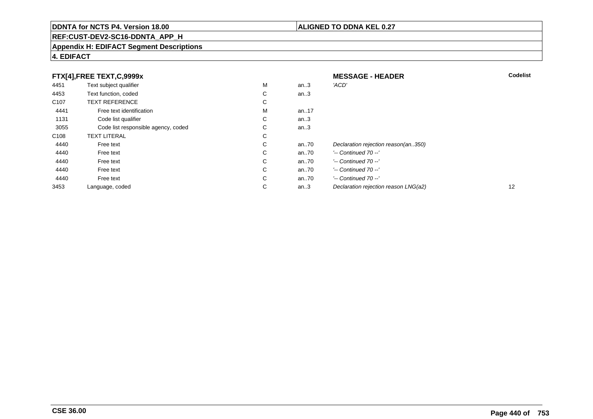# **REF:CUST-DEV2-SC16-DDNTA\_APP\_H**

#### **Appendix H: EDIFACT Segment Descriptions**

# **4. EDIFACT**

|                  | FTX[4],FREE TEXT,C,9999x            |    |         | <b>MESSAGE - HEADER</b>              | <b>Codelist</b> |
|------------------|-------------------------------------|----|---------|--------------------------------------|-----------------|
| 4451             | Text subject qualifier              | М  | an.3    | 'ACD'                                |                 |
| 4453             | Text function, coded                | С  | an.3    |                                      |                 |
| C <sub>107</sub> | <b>TEXT REFERENCE</b>               | С  |         |                                      |                 |
| 4441             | Free text identification            | м  | an17    |                                      |                 |
| 1131             | Code list qualifier                 | C  | an $.3$ |                                      |                 |
| 3055             | Code list responsible agency, coded | C. | an.3    |                                      |                 |
| C <sub>108</sub> | <b>TEXT LITERAL</b>                 | С  |         |                                      |                 |
| 4440             | Free text                           | С  | an70    | Declaration rejection reason(an350)  |                 |
| 4440             | Free text                           | C  | an70    | '-- Continued 70 --'                 |                 |
| 4440             | Free text                           | C  | an70    | $'-$ Continued 70 $-$ '              |                 |
| 4440             | Free text                           | C. | an70    | $'-$ Continued 70 $-$ '              |                 |
| 4440             | Free text                           | C  | an70    | $'-$ Continued 70 $-$ '              |                 |
| 3453             | Language, coded                     | С  | an.3    | Declaration rejection reason LNG(a2) | 12              |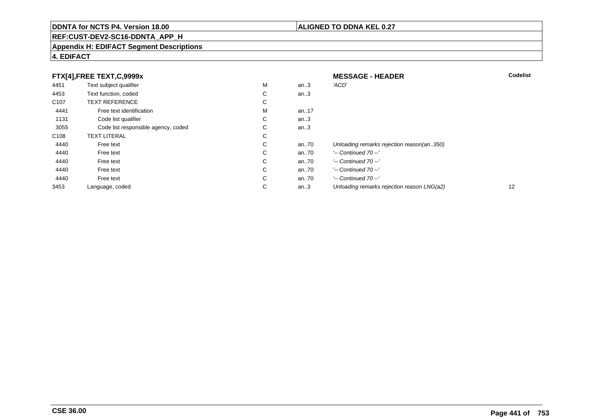# **REF:CUST-DEV2-SC16-DDNTA\_APP\_H**

#### **Appendix H: EDIFACT Segment Descriptions**

# **4. EDIFACT**

| FTX[4],FREE TEXT,C,9999x |                                     | <b>MESSAGE - HEADER</b> | <b>Codelist</b> |                                            |    |
|--------------------------|-------------------------------------|-------------------------|-----------------|--------------------------------------------|----|
| 4451                     | Text subject qualifier              | M                       | an.3            | 'ACD'                                      |    |
| 4453                     | Text function, coded                | С                       | an.3            |                                            |    |
| C <sub>107</sub>         | <b>TEXT REFERENCE</b>               | С                       |                 |                                            |    |
| 4441                     | Free text identification            | M                       | an17            |                                            |    |
| 1131                     | Code list qualifier                 | С                       | an.3            |                                            |    |
| 3055                     | Code list responsible agency, coded | С                       | an.3            |                                            |    |
| C <sub>108</sub>         | <b>TEXT LITERAL</b>                 | С                       |                 |                                            |    |
| 4440                     | Free text                           | С                       | an70            | Unloading remarks rejection reason(an350)  |    |
| 4440                     | Free text                           | С                       | an70            | $'-$ Continued 70 $-$ '                    |    |
| 4440                     | Free text                           | C                       | an70            | $'-$ Continued 70 $-$ '                    |    |
| 4440                     | Free text                           | С                       | an70            | $'-$ Continued 70 $-$ '                    |    |
| 4440                     | Free text                           | C                       | an70            | $'-$ Continued 70 $-$ '                    |    |
| 3453                     | Language, coded                     | С                       | an.3            | Unloading remarks rejection reason LNG(a2) | 12 |

**CSE 36.00**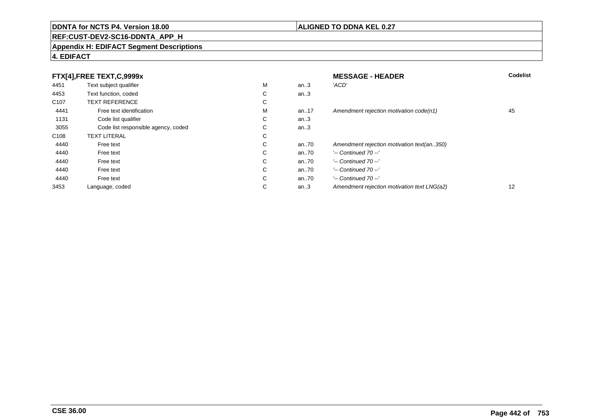# **REF:CUST-DEV2-SC16-DDNTA\_APP\_H**

#### **Appendix H: EDIFACT Segment Descriptions**

# **4. EDIFACT**

| FTX[4], FREE TEXT, C, 9999x |                                     | <b>MESSAGE - HEADER</b> | <b>Codelist</b> |                                             |    |
|-----------------------------|-------------------------------------|-------------------------|-----------------|---------------------------------------------|----|
| 4451                        | Text subject qualifier              | M                       | an.3            | 'ACD'                                       |    |
| 4453                        | Text function, coded                | ⌒<br>Ü                  | an.3            |                                             |    |
| C <sub>107</sub>            | <b>TEXT REFERENCE</b>               | ⌒<br>◡                  |                 |                                             |    |
| 4441                        | Free text identification            | M                       | an17            | Amendment rejection motivation code(n1)     | 45 |
| 1131                        | Code list qualifier                 | ⌒<br>◡                  | an.3            |                                             |    |
| 3055                        | Code list responsible agency, coded | ⌒<br>◡                  | an.3            |                                             |    |
| C <sub>108</sub>            | <b>TEXT LITERAL</b>                 | С                       |                 |                                             |    |
| 4440                        | Free text                           | ⌒<br>◡                  | an70            | Amendment rejection motivation text(an350)  |    |
| 4440                        | Free text                           | $\sim$<br>◡             | an70            | $'-$ Continued 70 $-$ '                     |    |
| 4440                        | Free text                           | C                       | an70            | $'-$ Continued 70 $-$ '                     |    |
| 4440                        | Free text                           | С                       | an70            | $'-$ Continued 70 $-$ '                     |    |
| 4440                        | Free text                           | С                       | an70            | $'-$ Continued 70 $-$ '                     |    |
| 3453                        | Language, coded                     | ⌒<br>◡                  | an.3            | Amendment rejection motivation text LNG(a2) | 12 |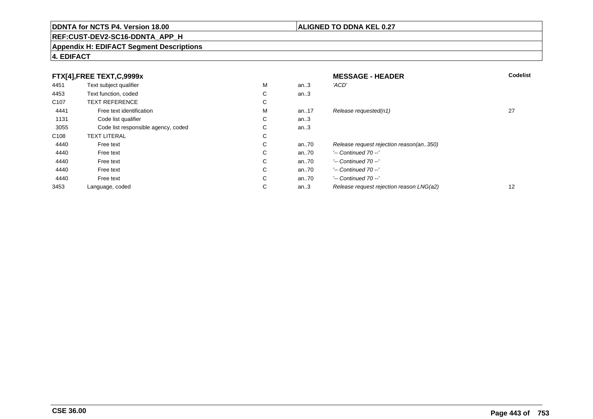# **REF:CUST-DEV2-SC16-DDNTA\_APP\_H**

#### **Appendix H: EDIFACT Segment Descriptions**

# **4. EDIFACT**

| FTX[4],FREE TEXT,C,9999x |                                     | <b>MESSAGE - HEADER</b> | Codelist |                                          |    |
|--------------------------|-------------------------------------|-------------------------|----------|------------------------------------------|----|
| 4451                     | Text subject qualifier              | М                       | an.3     | 'ACD'                                    |    |
| 4453                     | Text function, coded                | ⌒<br>◡                  | an.3     |                                          |    |
| C <sub>107</sub>         | <b>TEXT REFERENCE</b>               | $\sim$<br>Ü             |          |                                          |    |
| 4441                     | Free text identification            | М                       | an17     | Release requested(n1)                    | 27 |
| 1131                     | Code list qualifier                 | С                       | an.3     |                                          |    |
| 3055                     | Code list responsible agency, coded | $\sim$<br>Ü             | an.3     |                                          |    |
| C <sub>108</sub>         | <b>TEXT LITERAL</b>                 | $\sim$<br>◡             |          |                                          |    |
| 4440                     | Free text                           | ⌒<br>◡                  | an70     | Release request rejection reason(an350)  |    |
| 4440                     | Free text                           | С                       | an70     | $'-$ Continued 70 $-$ '                  |    |
| 4440                     | Free text                           | C                       | an70     | $'-$ Continued 70 $-$ '                  |    |
| 4440                     | Free text                           | С                       | an70     | $'-$ Continued 70 $-$ '                  |    |
| 4440                     | Free text                           | $\sim$<br>Ü             | an.70    | $'-$ Continued 70 $-$ '                  |    |
| 3453                     | Language, coded                     | $\sim$<br>◡             | an.3     | Release request rejection reason LNG(a2) | 12 |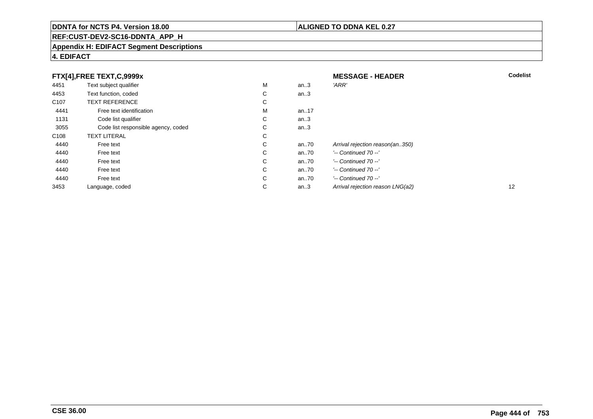# **REF:CUST-DEV2-SC16-DDNTA\_APP\_H**

#### **Appendix H: EDIFACT Segment Descriptions**

# **4. EDIFACT**

|                  | FTX[4],FREE TEXT,C,9999x            |   |         | <b>MESSAGE - HEADER</b>          | Codelist |
|------------------|-------------------------------------|---|---------|----------------------------------|----------|
| 4451             | Text subject qualifier              | M | an.3    | 'ARR'                            |          |
| 4453             | Text function, coded                | С | an. $3$ |                                  |          |
| C <sub>107</sub> | <b>TEXT REFERENCE</b>               | С |         |                                  |          |
| 4441             | Free text identification            | M | an17    |                                  |          |
| 1131             | Code list qualifier                 | С | an $3$  |                                  |          |
| 3055             | Code list responsible agency, coded | C | an.3    |                                  |          |
| C <sub>108</sub> | <b>TEXT LITERAL</b>                 | С |         |                                  |          |
| 4440             | Free text                           | С | an70    | Arrival rejection reason(an350)  |          |
| 4440             | Free text                           | C | an70    | $'-$ Continued 70 $-$ '          |          |
| 4440             | Free text                           | C | an70    | $'-$ Continued 70 $-$ '          |          |
| 4440             | Free text                           | С | an70    | $'-$ Continued 70 $-$ '          |          |
| 4440             | Free text                           | C | an70    | $'-$ Continued 70 $-$ '          |          |
| 3453             | Language, coded                     | С | an.3    | Arrival rejection reason LNG(a2) | 12       |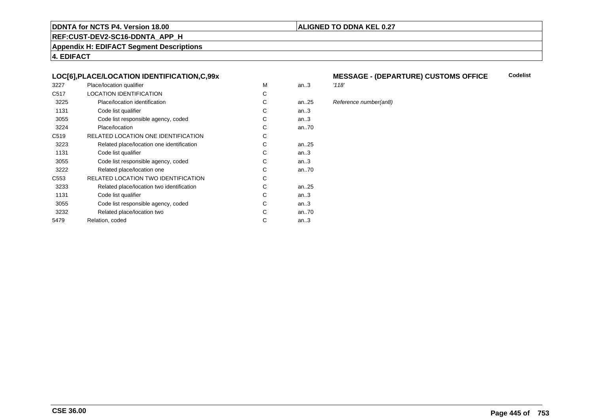#### **ALIGNED TO DDNA KEL 0.27**

**REF:CUST-DEV2-SC16-DDNTA\_APP\_H**

**Appendix H: EDIFACT Segment Descriptions**

**4. EDIFACT**

#### **LOC[6],PLACE/LOCATION IDENTIFICATION,C,99x**

| 3227             | Place/location qualifier                   | M | an.3      | '118' |
|------------------|--------------------------------------------|---|-----------|-------|
| C <sub>517</sub> | <b>LOCATION IDENTIFICATION</b>             | C |           |       |
| 3225             | Place/location identification              | С | an25      | Refe  |
| 1131             | Code list qualifier                        | C | an3       |       |
| 3055             | Code list responsible agency, coded        | С | an.3      |       |
| 3224             | Place/location                             | С | an70      |       |
| C <sub>519</sub> | RELATED LOCATION ONE IDENTIFICATION        | C |           |       |
| 3223             | Related place/location one identification  | C | an. $.25$ |       |
| 1131             | Code list qualifier                        | C | an.3      |       |
| 3055             | Code list responsible agency, coded        | С | an3       |       |
| 3222             | Related place/location one                 | C | an70      |       |
| C553             | <b>RELATED LOCATION TWO IDENTIFICATION</b> | С |           |       |
| 3233             | Related place/location two identification  | С | an25      |       |
| 1131             | Code list qualifier                        | C | an.3      |       |
| 3055             | Code list responsible agency, coded        | С | an3       |       |
| 3232             | Related place/location two                 | C | an70      |       |
| 5479             | Relation, coded                            | C | an.3      |       |
|                  |                                            |   |           |       |

#### **MESSAGE - (DEPARTURE) CUSTOMS OFFICECodelist**

5 Reference number(an8)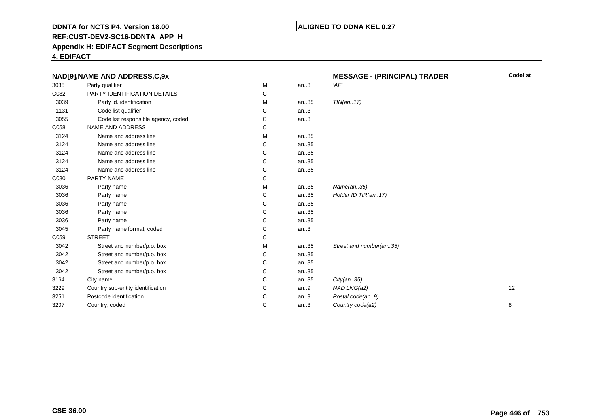### **ALIGNED TO DDNA KEL 0.27**

**REF:CUST-DEV2-SC16-DDNTA\_APP\_H**

**Appendix H: EDIFACT Segment Descriptions**

**4. EDIFACT**

| NAD[9], NAME AND ADDRESS, C, 9x |                                     |   |      | <b>MESSAGE - (PRINCIPAL) TRADER</b> | <b>Codelist</b> |
|---------------------------------|-------------------------------------|---|------|-------------------------------------|-----------------|
| 3035                            | Party qualifier                     | M | an.3 | 'AF'                                |                 |
| C082                            | PARTY IDENTIFICATION DETAILS        | С |      |                                     |                 |
| 3039                            | Party id. identification            | M | an35 | TIN(an17)                           |                 |
| 1131                            | Code list qualifier                 | C | an.3 |                                     |                 |
| 3055                            | Code list responsible agency, coded | C | an.3 |                                     |                 |
| C058                            | NAME AND ADDRESS                    | С |      |                                     |                 |
| 3124                            | Name and address line               | M | an35 |                                     |                 |
| 3124                            | Name and address line               | С | an35 |                                     |                 |
| 3124                            | Name and address line               | С | an35 |                                     |                 |
| 3124                            | Name and address line               | С | an35 |                                     |                 |
| 3124                            | Name and address line               | С | an35 |                                     |                 |
| C080                            | PARTY NAME                          | С |      |                                     |                 |
| 3036                            | Party name                          | м | an35 | Name(an35)                          |                 |
| 3036                            | Party name                          | С | an35 | Holder ID TIR(an17)                 |                 |
| 3036                            | Party name                          | С | an35 |                                     |                 |
| 3036                            | Party name                          | С | an35 |                                     |                 |
| 3036                            | Party name                          | С | an35 |                                     |                 |
| 3045                            | Party name format, coded            | С | an.3 |                                     |                 |
| C059                            | <b>STREET</b>                       | С |      |                                     |                 |
| 3042                            | Street and number/p.o. box          | M | an35 | Street and number(an35)             |                 |
| 3042                            | Street and number/p.o. box          | С | an35 |                                     |                 |
| 3042                            | Street and number/p.o. box          | С | an35 |                                     |                 |
| 3042                            | Street and number/p.o. box          | С | an35 |                                     |                 |
| 3164                            | City name                           | C | an35 | City(an35)                          |                 |
| 3229                            | Country sub-entity identification   | С | an.9 | NAD LNG(a2)                         | 12              |
| 3251                            | Postcode identification             | С | an.9 | Postal code(an9)                    |                 |
| 3207                            | Country, coded                      | С | an.3 | Country code(a2)                    | 8               |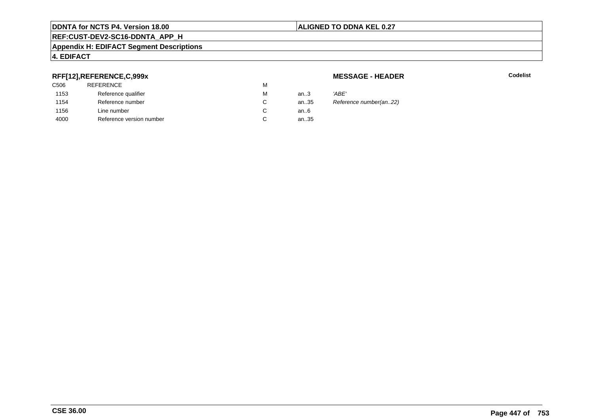#### **ALIGNED TO DDNA KEL 0.27**

# **REF:CUST-DEV2-SC16-DDNTA\_APP\_H**

#### **Appendix H: EDIFACT Segment Descriptions**

### **4. EDIFACT**

#### **RFF[12],REFERENCE,C,999x**

| <b>REFERENCE</b>         | м |      |       |
|--------------------------|---|------|-------|
| Reference qualifier      | М | an.3 | 'ABE' |
| Reference number         | C | an35 | Refer |
| Line number              | C | an6  |       |
| Reference version number | C | an35 |       |
|                          |   |      |       |

#### **MESSAGE - HEADER**

**R** Codelist

Reference number(an..22)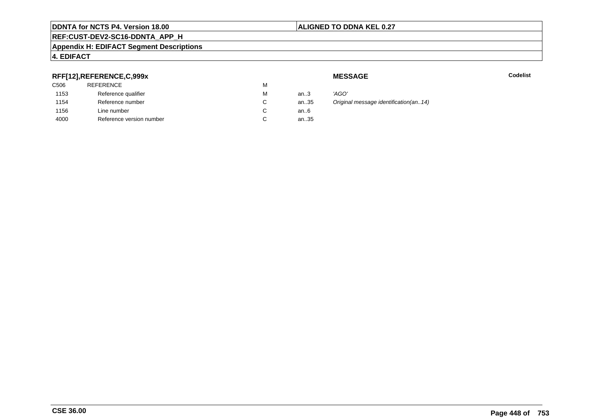# **ALIGNED TO DDNA KEL 0.27**

# **REF:CUST-DEV2-SC16-DDNTA\_APP\_H**

#### **Appendix H: EDIFACT Segment Descriptions**

# **4. EDIFACT**

# **RFF[12],REFERENCE,C,999x**

| an $3$ |
|--------|
| an35   |
| an6    |
| an35   |
|        |

**MESSAGE**

**Codelist** Codelist

 an..3 'AGO' Original message identification(an..14)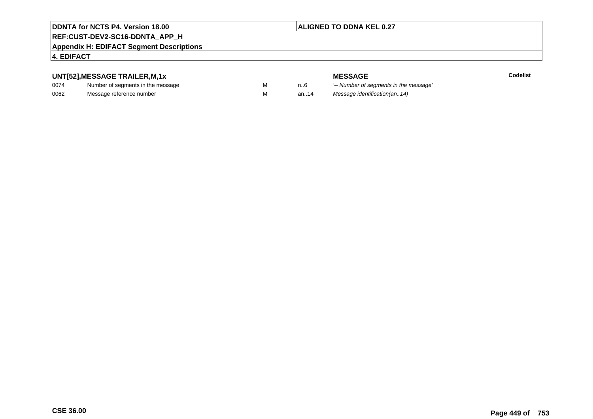# **ALIGNED TO DDNA KEL 0.27**

# **REF:CUST-DEV2-SC16-DDNTA\_APP\_H**

#### **Appendix H: EDIFACT Segment Descriptions**

## **4. EDIFACT**

# **UNT[52],MESSAGE TRAILER,M,1x**

| 0074 | Number of segments in the message |  |
|------|-----------------------------------|--|
| 0062 | Message reference number          |  |

**MESSAGE**<br>M n.6 <sup>'--</sup> Number of s **Codelist** M carried manufacturer of segments in the message'<br>Carried manufacturer in the message's M an..14 Message identification(an..14)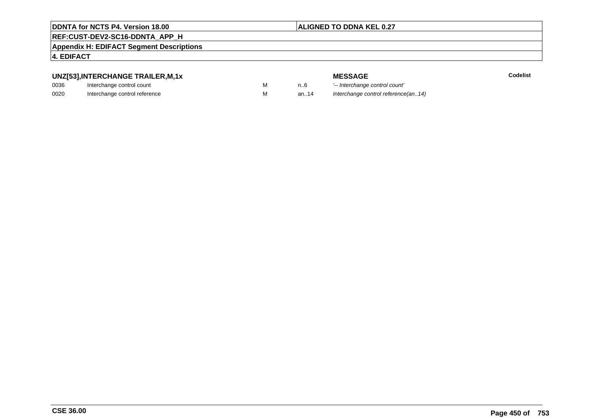# **ALIGNED TO DDNA KEL 0.27**

# **REF:CUST-DEV2-SC16-DDNTA\_APP\_H**

#### **Appendix H: EDIFACT Segment Descriptions**

#### **4. EDIFACT**

# **UNZ[53],INTERCHANGE TRAILER,M,1x**

| 0036 | Interchange control count     |  |
|------|-------------------------------|--|
| 0020 | Interchange control reference |  |

|   |      | <b>MESSAGE</b>                      | Codelist |
|---|------|-------------------------------------|----------|
| M | n6   | '-- Interchange control count'      |          |
| M | an14 | Interchange control reference(an14) |          |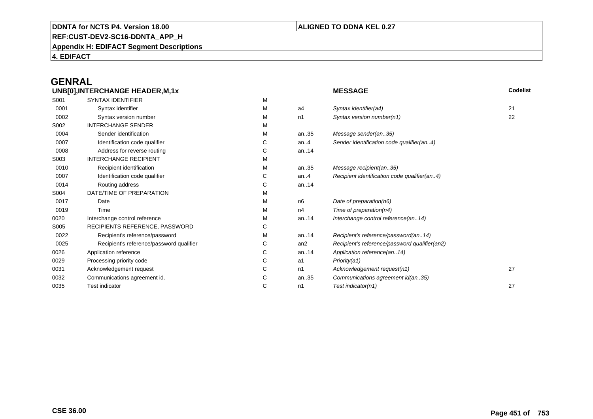### **ALIGNED TO DDNA KEL 0.27**

**REF:CUST-DEV2-SC16-DDNTA\_APP\_H**

**Appendix H: EDIFACT Segment Descriptions**

**4. EDIFACT**

# **GENRAL**

| UNB[0], INTERCHANGE HEADER, M, 1x |                                          |   | Codelist<br><b>MESSAGE</b> |                                               |    |
|-----------------------------------|------------------------------------------|---|----------------------------|-----------------------------------------------|----|
| S001                              | <b>SYNTAX IDENTIFIER</b>                 | M |                            |                                               |    |
| 0001                              | Syntax identifier                        | М | a4                         | Syntax identifier(a4)                         | 21 |
| 0002                              | Syntax version number                    | м | n1                         | Syntax version number(n1)                     | 22 |
| S002                              | <b>INTERCHANGE SENDER</b>                | м |                            |                                               |    |
| 0004                              | Sender identification                    | M | an35                       | Message sender(an35)                          |    |
| 0007                              | Identification code qualifier            | С | an.4                       | Sender identification code qualifier(an4)     |    |
| 0008                              | Address for reverse routing              | С | an14                       |                                               |    |
| S003                              | <b>INTERCHANGE RECIPIENT</b>             | M |                            |                                               |    |
| 0010                              | Recipient identification                 | м | an35                       | Message recipient(an35)                       |    |
| 0007                              | Identification code qualifier            | С | an.4                       | Recipient identification code qualifier(an4)  |    |
| 0014                              | Routing address                          | С | an14                       |                                               |    |
| S004                              | DATE/TIME OF PREPARATION                 | м |                            |                                               |    |
| 0017                              | Date                                     | M | n6                         | Date of preparation(n6)                       |    |
| 0019                              | Time                                     | м | n4                         | Time of preparation(n4)                       |    |
| 0020                              | Interchange control reference            | М | an14                       | Interchange control reference(an14)           |    |
| S005                              | RECIPIENTS REFERENCE, PASSWORD           | С |                            |                                               |    |
| 0022                              | Recipient's reference/password           | М | an14                       | Recipient's reference/password(an14)          |    |
| 0025                              | Recipient's reference/password qualifier | С | an <sub>2</sub>            | Recipient's reference/password qualifier(an2) |    |
| 0026                              | Application reference                    | С | an14                       | Application reference(an14)                   |    |
| 0029                              | Processing priority code                 | С | a1                         | Priority(a1)                                  |    |
| 0031                              | Acknowledgement request                  | С | n1                         | Acknowledgement request(n1)                   | 27 |
| 0032                              | Communications agreement id.             | С | an35                       | Communications agreement id(an35)             |    |
| 0035                              | Test indicator                           | С | n1                         | Test indicator(n1)                            | 27 |
|                                   |                                          |   |                            |                                               |    |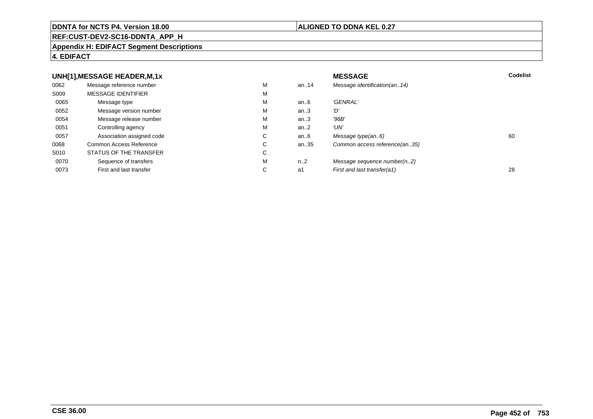#### **REF:CUST-DEV2-SC16-DDNTA\_APP\_H**

#### **Appendix H: EDIFACT Segment Descriptions**

#### **4. EDIFACT**

#### **UNH[1],MESSAGE HEADER,M,1xx** MESSAGE **Codelist** Codelist 0062 Message reference number <sup>M</sup> an..14 Message identification(an..14) S009 MESSAGE IDENTIFIERR M M 0065Message type Message version number and the Message version number and the Message of Message Message Message M an..6 'GENRAL'<br>an..3 'D' 0052 Message version number <sup>M</sup>an..3 '*D'*<br>an..3 '96*B'* 0054Message release number Message release number Message of the Message of the Message of Message of Message of Me<br>
Message release number of Message of Message of Message of Message of Message of Message of Message of Messag an..3 '96B'<br>an..2 'UN' 0051 Controlling agency <sup>M</sup>an..2<br>an..6 0057Association assigned code **C** C<br>
mmon Access Reference **C** C an..6 Message type(an..6)<br>an..35 Common access reference(an..35) 0068Common Access Reference C<br>
STATUS OF THE TRANSFER
C Common access reference(an..35) S010 STATUS OF THE TRANSFERR C 0070Sequence of transfers M<br>
First and last transfer C n..2 Message sequence number(n..2)<br>a1 First and last transfer(a1) 0073First and last transfer First and last transfer(a1) 28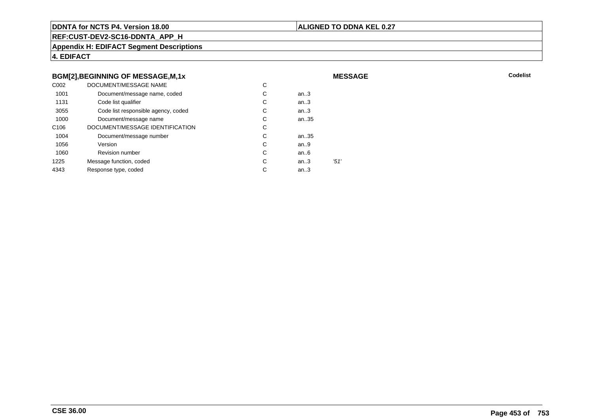#### **ALIGNED TO DDNA KEL 0.27**

**MESSAGE**

**REF:CUST-DEV2-SC16-DDNTA\_APP\_H**

**Appendix H: EDIFACT Segment Descriptions**

**4. EDIFACT**

#### **BGM[2],BEGINNING OF MESSAGE,M,1x**

| C <sub>0</sub> 02 | DOCUMENT/MESSAGE NAME               | С |        |      |
|-------------------|-------------------------------------|---|--------|------|
| 1001              | Document/message name, coded        | С | an $3$ |      |
| 1131              | Code list qualifier                 | С | an.3   |      |
| 3055              | Code list responsible agency, coded | С | an.3   |      |
| 1000              | Document/message name               | С | an35   |      |
| C <sub>106</sub>  | DOCUMENT/MESSAGE IDENTIFICATION     | С |        |      |
| 1004              | Document/message number             | С | an35   |      |
| 1056              | Version                             | С | an.9   |      |
| 1060              | <b>Revision number</b>              | С | an.6   |      |
| 1225              | Message function, coded             | С | an.3   | '51' |
| 4343              | Response type, coded                | С | an.3   |      |
|                   |                                     |   |        |      |

**Codelist** Codelist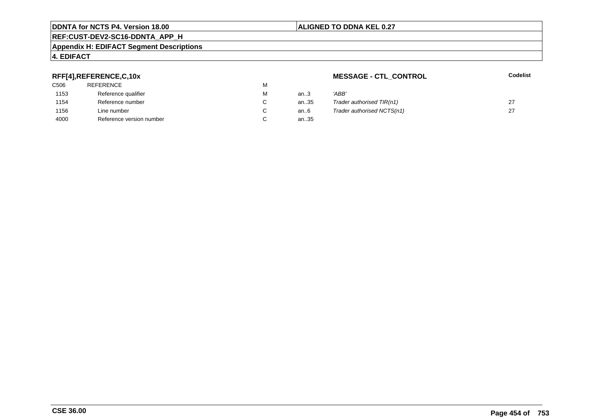#### **REF:CUST-DEV2-SC16-DDNTA\_APP\_H**

#### **Appendix H: EDIFACT Segment Descriptions**

# **4. EDIFACT**

# **RFF[4],REFERENCE,C,10x**

| 'ABB' |
|-------|
| Trade |
| Trade |
|       |
|       |

## **MESSAGE - CTL\_CONTROL**

#### **Codelist**

| М                        | an3  | 'ABB                       |  |
|--------------------------|------|----------------------------|--|
| C                        | an35 | Trader authorised TIR(n1)  |  |
| C                        | an6  | Trader authorised NCTS(n1) |  |
| $\overline{\phantom{0}}$ | $-$  |                            |  |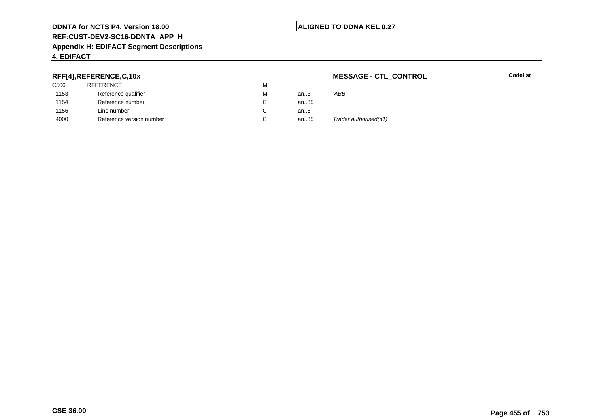#### **ALIGNED TO DDNA KEL 0.27**

# **REF:CUST-DEV2-SC16-DDNTA\_APP\_H**

#### **Appendix H: EDIFACT Segment Descriptions**

# **4. EDIFACT**

## **RFF[4],REFERENCE,C,10x**

| C506 | REFERENCE                | м |      |                       |
|------|--------------------------|---|------|-----------------------|
| 1153 | Reference qualifier      | M | an.3 | 'ABB'                 |
| 1154 | Reference number         |   | an35 |                       |
| 1156 | Line number              |   | an6  |                       |
| 4000 | Reference version number | ັ | an35 | Trader authorised(n1) |

#### **MESSAGE - CTL\_CONTROL**

**Codelist**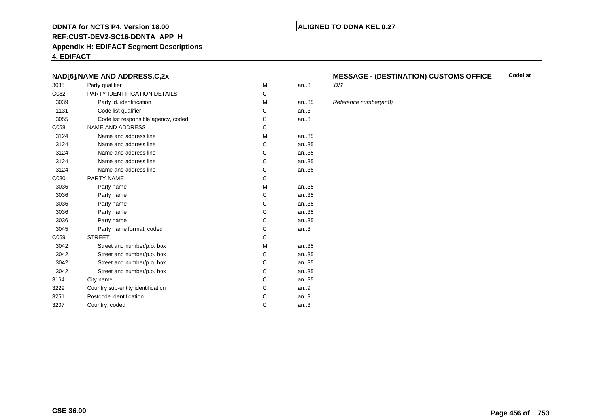#### **REF:CUST-DEV2-SC16-DDNTA\_APP\_H**

**Appendix H: EDIFACT Segment Descriptions**

**4. EDIFACT**

#### **NAD[6],NAME AND ADDRESS,C,2x**

| 3035 | Party qualifier                     | M | an.3  | 'DS' |
|------|-------------------------------------|---|-------|------|
| C082 | PARTY IDENTIFICATION DETAILS        | C |       |      |
| 3039 | Party id. identification            | M | an.35 | Refe |
| 1131 | Code list qualifier                 | С | an.3  |      |
| 3055 | Code list responsible agency, coded | С | an.3  |      |
| C058 | <b>NAME AND ADDRESS</b>             | C |       |      |
| 3124 | Name and address line               | M | an35  |      |
| 3124 | Name and address line               | C | an.35 |      |
| 3124 | Name and address line               | C | an.35 |      |
| 3124 | Name and address line               | C | an.35 |      |
| 3124 | Name and address line               | C | an35  |      |
| C080 | <b>PARTY NAME</b>                   | C |       |      |
| 3036 | Party name                          | М | an.35 |      |
| 3036 | Party name                          | C | an.35 |      |
| 3036 | Party name                          | C | an35  |      |
| 3036 | Party name                          | С | an35  |      |
| 3036 | Party name                          | C | an35  |      |
| 3045 | Party name format, coded            | С | an.3  |      |
| C059 | <b>STREET</b>                       | C |       |      |
| 3042 | Street and number/p.o. box          | M | an35  |      |
| 3042 | Street and number/p.o. box          | C | an35  |      |
| 3042 | Street and number/p.o. box          | С | an35  |      |
| 3042 | Street and number/p.o. box          | C | an35  |      |
| 3164 | City name                           | С | an35  |      |
| 3229 | Country sub-entity identification   | C | an.9  |      |
| 3251 | Postcode identification             | С | an.9  |      |
| 3207 | Country, coded                      | C | an.3  |      |
|      |                                     |   |       |      |

#### **MESSAGE - (DESTINATION) CUSTOMS OFFICE**<br>'DS' **Codelist**

#### Reference number(an8)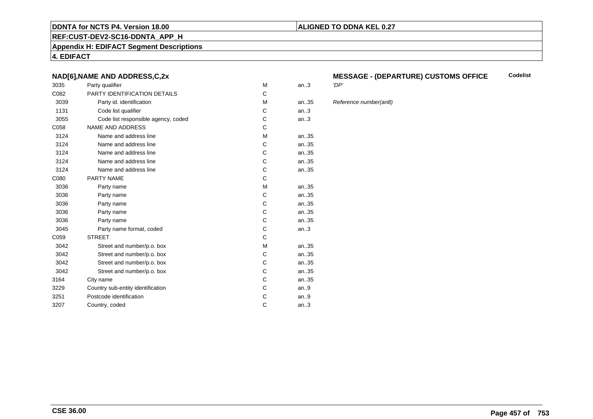#### **REF:CUST-DEV2-SC16-DDNTA\_APP\_H**

**Appendix H: EDIFACT Segment Descriptions**

**4. EDIFACT**

#### **NAD[6],NAME AND ADDRESS,C,2x**

| 3035 | Party qualifier                     | M | an.3  | 'DP' |
|------|-------------------------------------|---|-------|------|
| C082 | PARTY IDENTIFICATION DETAILS        | C |       |      |
| 3039 | Party id. identification            | M | an.35 | Refe |
| 1131 | Code list qualifier                 | С | an.3  |      |
| 3055 | Code list responsible agency, coded | С | an.3  |      |
| C058 | <b>NAME AND ADDRESS</b>             | C |       |      |
| 3124 | Name and address line               | M | an35  |      |
| 3124 | Name and address line               | C | an.35 |      |
| 3124 | Name and address line               | C | an.35 |      |
| 3124 | Name and address line               | C | an.35 |      |
| 3124 | Name and address line               | C | an35  |      |
| C080 | <b>PARTY NAME</b>                   | C |       |      |
| 3036 | Party name                          | М | an.35 |      |
| 3036 | Party name                          | C | an.35 |      |
| 3036 | Party name                          | C | an35  |      |
| 3036 | Party name                          | С | an35  |      |
| 3036 | Party name                          | C | an35  |      |
| 3045 | Party name format, coded            | С | an.3  |      |
| C059 | <b>STREET</b>                       | C |       |      |
| 3042 | Street and number/p.o. box          | M | an35  |      |
| 3042 | Street and number/p.o. box          | C | an35  |      |
| 3042 | Street and number/p.o. box          | С | an35  |      |
| 3042 | Street and number/p.o. box          | C | an35  |      |
| 3164 | City name                           | С | an35  |      |
| 3229 | Country sub-entity identification   | C | an.9  |      |
| 3251 | Postcode identification             | С | an.9  |      |
| 3207 | Country, coded                      | C | an.3  |      |
|      |                                     |   |       |      |

#### **MESSAGE - (DEPARTURE) CUSTOMS OFFICECodelist**

**ALIGNED TO DDNA KEL 0.27**

Reference number(an8)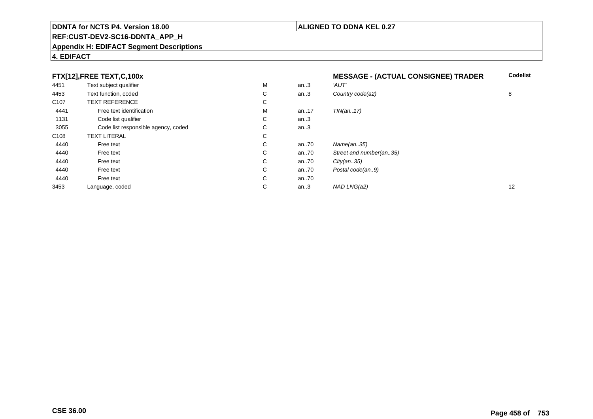# **REF:CUST-DEV2-SC16-DDNTA\_APP\_H**

#### **Appendix H: EDIFACT Segment Descriptions**

# **4. EDIFACT**

|                  | FTX[12],FREE TEXT,C,100x            |             |      | <b>MESSAGE - (ACTUAL CONSIGNEE) TRADER</b> | <b>Codelist</b> |
|------------------|-------------------------------------|-------------|------|--------------------------------------------|-----------------|
| 4451             | Text subject qualifier              | М           | an.3 | 'AUT'                                      |                 |
| 4453             | Text function, coded                | С           | an.3 | Country code(a2)                           | 8               |
| C <sub>107</sub> | <b>TEXT REFERENCE</b>               | С           |      |                                            |                 |
| 4441             | Free text identification            | м           | an17 | TIN(an17)                                  |                 |
| 1131             | Code list qualifier                 | С           | an.3 |                                            |                 |
| 3055             | Code list responsible agency, coded | C           | an.3 |                                            |                 |
| C <sub>108</sub> | <b>TEXT LITERAL</b>                 | С           |      |                                            |                 |
| 4440             | Free text                           | C           | an70 | Name(an35)                                 |                 |
| 4440             | Free text                           | $\sim$<br>Ü | an70 | Street and number(an35)                    |                 |
| 4440             | Free text                           | C           | an70 | City(an35)                                 |                 |
| 4440             | Free text                           | C           | an70 | Postal code(an9)                           |                 |
| 4440             | Free text                           | C           | an70 |                                            |                 |
| 3453             | Language, coded                     | С           | an.3 | NAD LNG(a2)                                | 12              |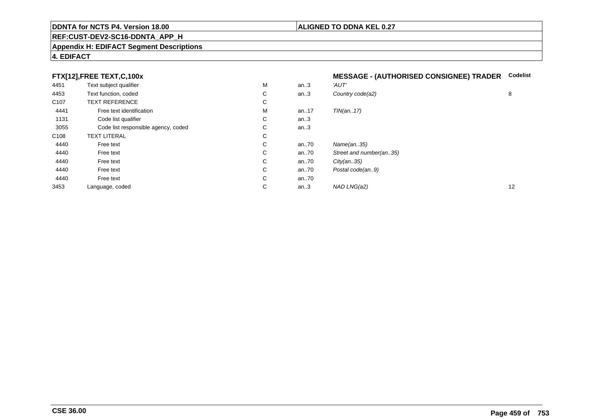#### **REF:CUST-DEV2-SC16-DDNTA\_APP\_H**

#### **Appendix H: EDIFACT Segment Descriptions**

# **4. EDIFACT**

## **FTX[12],FREE TEXT,C,100x**

|  | MESSAGE - (AUTHORISED CONSIGNEE) TRADER Codelist |  |
|--|--------------------------------------------------|--|
|  |                                                  |  |

| 4451             | Text subject qualifier              | м  | an.3 | 'AUT'                   |    |
|------------------|-------------------------------------|----|------|-------------------------|----|
| 4453             | Text function, coded                | C  | an.3 | Country code(a2)        | 8  |
| C <sub>107</sub> | <b>TEXT REFERENCE</b>               | C  |      |                         |    |
| 4441             | Free text identification            | M  | an17 | TIN(an17)               |    |
| 1131             | Code list qualifier                 | C. | an.3 |                         |    |
| 3055             | Code list responsible agency, coded | C. | an.3 |                         |    |
| C <sub>108</sub> | <b>TEXT LITERAL</b>                 | C  |      |                         |    |
| 4440             | Free text                           | C  | an70 | Name(an35)              |    |
| 4440             | Free text                           | C. | an70 | Street and number(an35) |    |
| 4440             | Free text                           | C  | an70 | City(an35)              |    |
| 4440             | Free text                           | C  | an70 | Postal code(an9)        |    |
| 4440             | Free text                           | C  | an70 |                         |    |
| 3453             | Language, coded                     | C  | an.3 | NAD LNG(a2)             | 12 |
|                  |                                     |    |      |                         |    |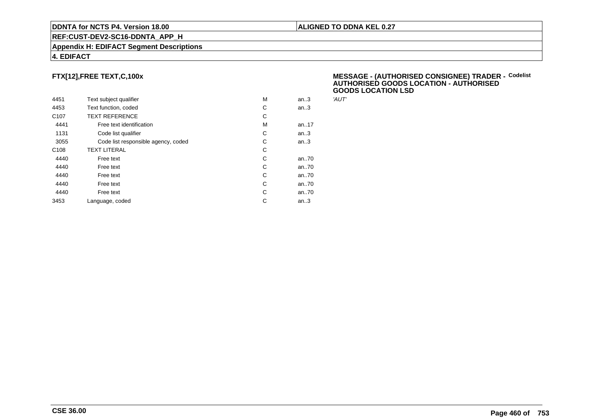#### **REF:CUST-DEV2-SC16-DDNTA\_APP\_H**

#### **Appendix H: EDIFACT Segment Descriptions**

#### **4. EDIFACT**

# **FTX[12],FREE TEXT,C,100x**

| 4451             | Text subject qualifier              | M | an.3 | 'AUT' |
|------------------|-------------------------------------|---|------|-------|
| 4453             | Text function, coded                | С | an.3 |       |
| C <sub>107</sub> | <b>TEXT REFERENCE</b>               | С |      |       |
| 4441             | Free text identification            | M | an17 |       |
| 1131             | Code list qualifier                 | C | an.3 |       |
| 3055             | Code list responsible agency, coded | C | an.3 |       |
| C <sub>108</sub> | <b>TEXT LITERAL</b>                 | C |      |       |
| 4440             | Free text                           | C | an70 |       |
| 4440             | Free text                           | C | an70 |       |
| 4440             | Free text                           | C | an70 |       |
| 4440             | Free text                           | C | an70 |       |
| 4440             | Free text                           | C | an70 |       |
| 3453             | Language, coded                     | C | an.3 |       |
|                  |                                     |   |      |       |

#### **MESSAGE - (AUTHORISED CONSIGNEE) TRADER - AUTHORISED GOODS LOCATION - AUTHORISEDGOODS LOCATION LSDCodelist**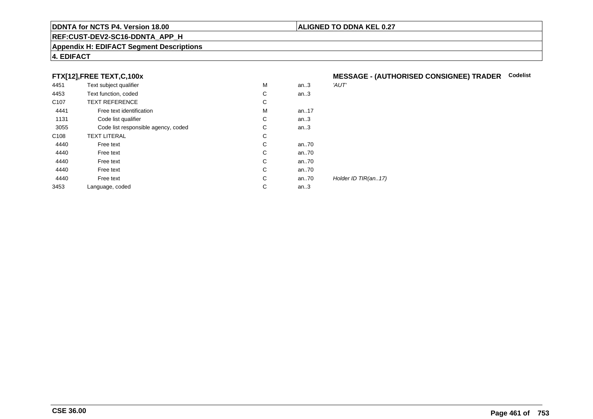#### **REF:CUST-DEV2-SC16-DDNTA\_APP\_H**

#### **Appendix H: EDIFACT Segment Descriptions**

# **4. EDIFACT**

# **FTX[12],FREE TEXT,C,100x**

| 4451             | Text subject qualifier              | M | an.3 | 'AUT'               |
|------------------|-------------------------------------|---|------|---------------------|
| 4453             | Text function, coded                | C | an.3 |                     |
| C <sub>107</sub> | <b>TEXT REFERENCE</b>               | C |      |                     |
| 4441             | Free text identification            | M | an17 |                     |
| 1131             | Code list qualifier                 | C | an.3 |                     |
| 3055             | Code list responsible agency, coded | С | an.3 |                     |
| C <sub>108</sub> | <b>TEXT LITERAL</b>                 | C |      |                     |
| 4440             | Free text                           | C | an70 |                     |
| 4440             | Free text                           | C | an70 |                     |
| 4440             | Free text                           | C | an70 |                     |
| 4440             | Free text                           | C | an70 |                     |
| 4440             | Free text                           | C | an70 | Holder ID TIR(an17) |
| 3453             | Language, coded                     | С | an.3 |                     |
|                  |                                     |   |      |                     |

# **MESSAGE - (AUTHORISED CONSIGNEE) TRADER Codelist**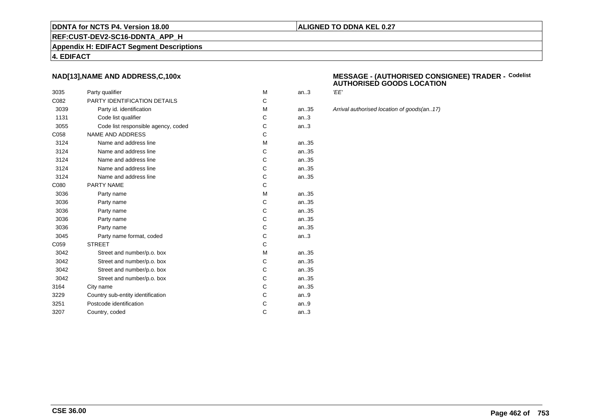# **ALIGNED TO DDNA KEL 0.27**

**REF:CUST-DEV2-SC16-DDNTA\_APP\_H**

**Appendix H: EDIFACT Segment Descriptions**

#### **4. EDIFACT**

#### **NAD[13],NAME AND ADDRESS,C,100x**

| 3035 | Party qualifier                     | M | an.3   | 'EE'  |
|------|-------------------------------------|---|--------|-------|
| C082 | <b>PARTY IDENTIFICATION DETAILS</b> | C |        |       |
| 3039 | Party id. identification            | M | an35   | Arriv |
| 1131 | Code list qualifier                 | С | an.3   |       |
| 3055 | Code list responsible agency, coded | С | an.3   |       |
| C058 | <b>NAME AND ADDRESS</b>             | C |        |       |
| 3124 | Name and address line               | M | an35   |       |
| 3124 | Name and address line               | С | an35   |       |
| 3124 | Name and address line               | C | an35   |       |
| 3124 | Name and address line               | C | an35   |       |
| 3124 | Name and address line               | C | an35   |       |
| C080 | <b>PARTY NAME</b>                   | C |        |       |
| 3036 | Party name                          | М | an.35  |       |
| 3036 | Party name                          | С | an.35  |       |
| 3036 | Party name                          | C | an35   |       |
| 3036 | Party name                          | С | an35   |       |
| 3036 | Party name                          | C | an35   |       |
| 3045 | Party name format, coded            | C | an.3   |       |
| C059 | <b>STREET</b>                       | C |        |       |
| 3042 | Street and number/p.o. box          | M | an35   |       |
| 3042 | Street and number/p.o. box          | C | an.35  |       |
| 3042 | Street and number/p.o. box          | C | an.35  |       |
| 3042 | Street and number/p.o. box          | C | an.35  |       |
| 3164 | City name                           | C | an35   |       |
| 3229 | Country sub-entity identification   | C | an $9$ |       |
| 3251 | Postcode identification             | С | an $9$ |       |
| 3207 | Country, coded                      | C | an.3   |       |
|      |                                     |   |        |       |

#### **MESSAGE - (AUTHORISED CONSIGNEE) TRADER - AUTHORISED GOODS LOCATIONCodelist**

Arrival authorised location of goods(an..17)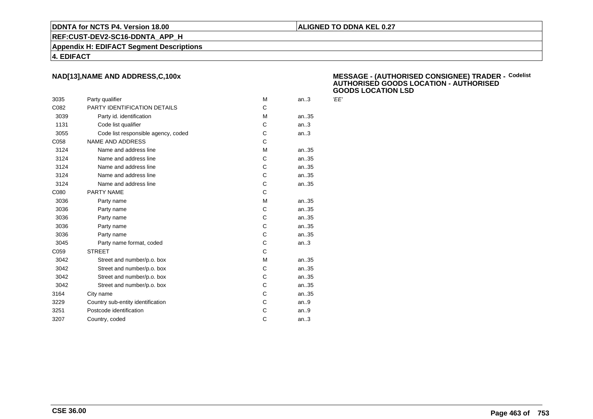#### **REF:CUST-DEV2-SC16-DDNTA\_APP\_H**

**Appendix H: EDIFACT Segment Descriptions**

#### **4. EDIFACT**

## **NAD[13],NAME AND ADDRESS,C,100x**

| 3035 | Party qualifier                     | м | an.3 | 'EE' |
|------|-------------------------------------|---|------|------|
| C082 | PARTY IDENTIFICATION DETAILS        | C |      |      |
| 3039 | Party id. identification            | м | an35 |      |
| 1131 | Code list qualifier                 | C | an.3 |      |
| 3055 | Code list responsible agency, coded | C | an.3 |      |
| C058 | <b>NAME AND ADDRESS</b>             | C |      |      |
| 3124 | Name and address line               | М | an35 |      |
| 3124 | Name and address line               | C | an35 |      |
| 3124 | Name and address line               | C | an35 |      |
| 3124 | Name and address line               | C | an35 |      |
| 3124 | Name and address line               | C | an35 |      |
| C080 | PARTY NAME                          | C |      |      |
| 3036 | Party name                          | M | an35 |      |
| 3036 | Party name                          | C | an35 |      |
| 3036 | Party name                          | C | an35 |      |
| 3036 | Party name                          | C | an35 |      |
| 3036 | Party name                          | C | an35 |      |
| 3045 | Party name format, coded            | C | an.3 |      |
| C059 | <b>STREET</b>                       | C |      |      |
| 3042 | Street and number/p.o. box          | M | an35 |      |
| 3042 | Street and number/p.o. box          | C | an35 |      |
| 3042 | Street and number/p.o. box          | C | an35 |      |
| 3042 | Street and number/p.o. box          | C | an35 |      |
| 3164 | City name                           | C | an35 |      |
| 3229 | Country sub-entity identification   | C | an.9 |      |
| 3251 | Postcode identification             | C | an.9 |      |
| 3207 | Country, coded                      | C | an.3 |      |
|      |                                     |   |      |      |

#### **MESSAGE - (AUTHORISED CONSIGNEE) TRADER - AUTHORISED GOODS LOCATION - AUTHORISEDGOODS LOCATION LSDCodelist**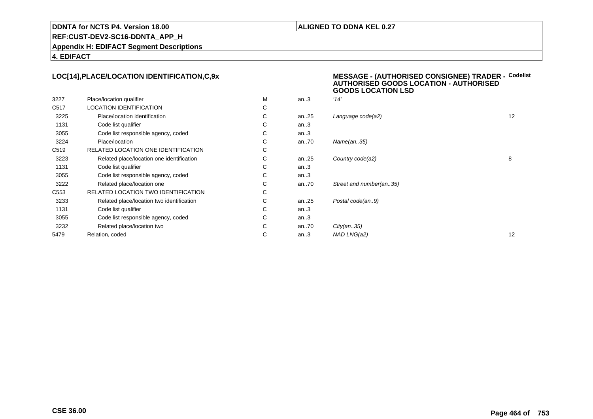#### **ALIGNED TO DDNA KEL 0.27**

**REF:CUST-DEV2-SC16-DDNTA\_APP\_H**

**Appendix H: EDIFACT Segment Descriptions**

**4. EDIFACT**

#### **LOC[14],PLACE/LOCATION IDENTIFICATION,C,9xMESSAGE - (AUTHORISED CONSIGNEE) TRADER - AUTHORISED GOODS LOCATION - AUTHORISED**

|                  |                                           |   |          | <b>GOODS LOCATION LSD</b> |    |
|------------------|-------------------------------------------|---|----------|---------------------------|----|
| 3227             | Place/location qualifier                  | M | an.3     | '14'                      |    |
| C517             | <b>LOCATION IDENTIFICATION</b>            | С |          |                           |    |
| 3225             | Place/location identification             | С | an25     | Language code(a2)         | 12 |
| 1131             | Code list qualifier                       | С | an.3     |                           |    |
| 3055             | Code list responsible agency, coded       | С | an.3     |                           |    |
| 3224             | Place/location                            | С | an70     | Name(an35)                |    |
| C519             | RELATED LOCATION ONE IDENTIFICATION       | С |          |                           |    |
| 3223             | Related place/location one identification | С | an $.25$ | Country code(a2)          | 8  |
| 1131             | Code list qualifier                       | C | an.3     |                           |    |
| 3055             | Code list responsible agency, coded       | С | an.3     |                           |    |
| 3222             | Related place/location one                | С | an70     | Street and number(an35)   |    |
| C <sub>553</sub> | RELATED LOCATION TWO IDENTIFICATION       | С |          |                           |    |
| 3233             | Related place/location two identification | C | an $.25$ | Postal code(an9)          |    |
| 1131             | Code list qualifier                       | С | an.3     |                           |    |
| 3055             | Code list responsible agency, coded       | С | an.3     |                           |    |
| 3232             | Related place/location two                | С | an70     | City(an35)                |    |
| 5479             | Relation, coded                           | С | an.3     | NAD LNG(a2)               | 12 |
|                  |                                           |   |          |                           |    |

**Codelist**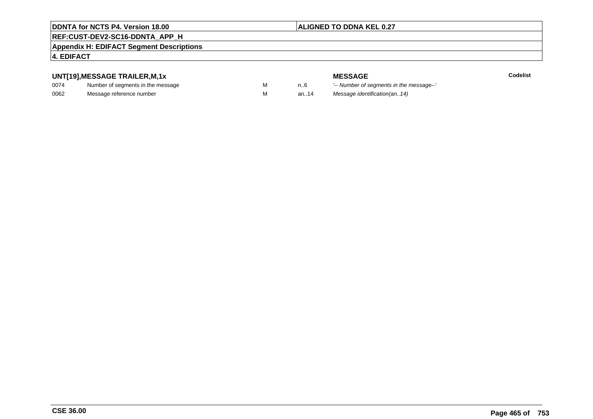# **ALIGNED TO DDNA KEL 0.27**

# **REF:CUST-DEV2-SC16-DDNTA\_APP\_H**

#### **Appendix H: EDIFACT Segment Descriptions**

# **4. EDIFACT**

# **UNT[19],MESSAGE TRAILER,M,1x**

| 0074 | Number of segments in the message |  |
|------|-----------------------------------|--|
| 0062 | Message reference number          |  |

**MESSAGE**<br>M n.6 <sup>'--</sup> Number of s **Codelist** n..6 '-- Number of segments in the message--' M an..14 Message identification(an..14)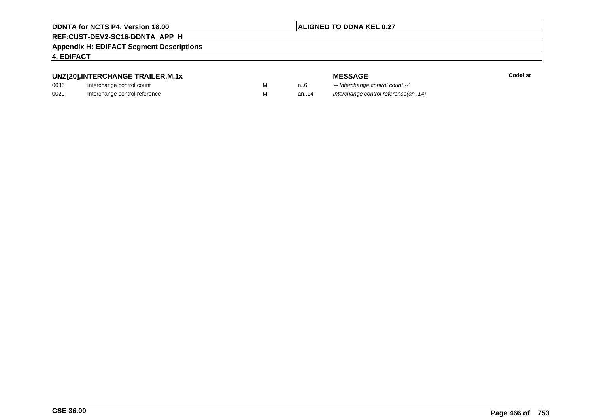#### **ALIGNED TO DDNA KEL 0.27**

# **REF:CUST-DEV2-SC16-DDNTA\_APP\_H**

#### **Appendix H: EDIFACT Segment Descriptions**

#### **4. EDIFACT**

# **UNZ[20],INTERCHANGE TRAILER,M,1x**

| 0036 | Interchange control count     |  |
|------|-------------------------------|--|
| 0020 | Interchange control reference |  |

| <u>IANUL TIVAILLIVIII, IA</u> |  |
|-------------------------------|--|
| ige control count             |  |
| wa aantial isfaisanaa         |  |

**MESSAGE**<br>M n.6 <sup>1-</sup>- Interchange **E** m..6 <sup>1</sup>-- Interchange control count --'<br>
M an..14 *Interchange control reference (a* Interchange control reference(an..14)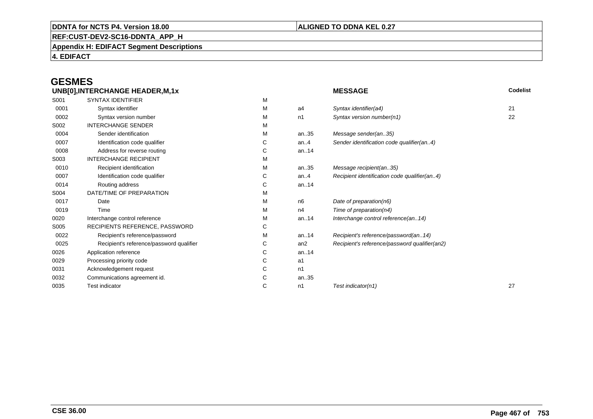## **ALIGNED TO DDNA KEL 0.27**

**REF:CUST-DEV2-SC16-DDNTA\_APP\_H**

**Appendix H: EDIFACT Segment Descriptions**

**4. EDIFACT**

# **GESMES**

| <b>SYNTAX IDENTIFIER</b>                 | М |                 |                                               |    |
|------------------------------------------|---|-----------------|-----------------------------------------------|----|
| Syntax identifier                        | М | a4              | Syntax identifier(a4)                         | 21 |
| Syntax version number                    | М | n1              | Syntax version number(n1)                     | 22 |
| <b>INTERCHANGE SENDER</b>                | М |                 |                                               |    |
| Sender identification                    | м | an35            | Message sender(an35)                          |    |
| Identification code qualifier            | С | an. $4$         | Sender identification code qualifier(an4)     |    |
| Address for reverse routing              | С | an14            |                                               |    |
| <b>INTERCHANGE RECIPIENT</b>             | М |                 |                                               |    |
| Recipient identification                 | М | an35            | Message recipient(an35)                       |    |
| Identification code qualifier            | С | an.4            | Recipient identification code qualifier(an4)  |    |
| Routing address                          | С | an14            |                                               |    |
| DATE/TIME OF PREPARATION                 | М |                 |                                               |    |
| Date                                     | М | n6              | Date of preparation(n6)                       |    |
| Time                                     | М | n4              | Time of preparation(n4)                       |    |
| Interchange control reference            | м | an14            | Interchange control reference(an14)           |    |
| RECIPIENTS REFERENCE, PASSWORD           | С |                 |                                               |    |
| Recipient's reference/password           | м | an14            | Recipient's reference/password(an14)          |    |
| Recipient's reference/password qualifier | С | an <sub>2</sub> | Recipient's reference/password qualifier(an2) |    |
| Application reference                    | С | an14            |                                               |    |
| Processing priority code                 | С | a1              |                                               |    |
| Acknowledgement request                  | С | n1              |                                               |    |
| Communications agreement id.             | С | an35            |                                               |    |
| <b>Test indicator</b>                    | С | n1              | Test indicator(n1)                            | 27 |
|                                          |   |                 |                                               |    |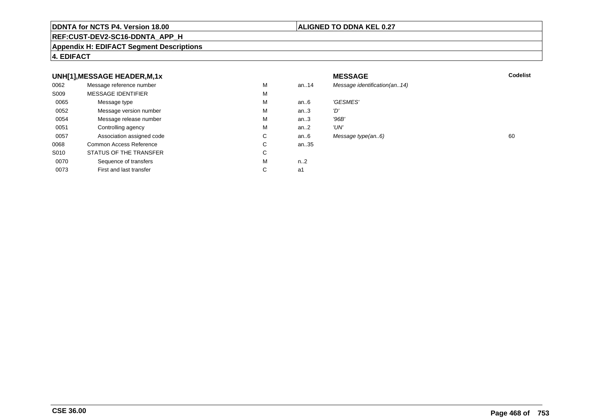#### **REF:CUST-DEV2-SC16-DDNTA\_APP\_H**

#### **Appendix H: EDIFACT Segment Descriptions**

#### **4. EDIFACT**

#### **UNH[1],MESSAGE HEADER,M,1xx** MESSAGE **Codelist** Codelist 0062 Message reference number <sup>M</sup> an..14 Message identification(an..14) S009 MESSAGE IDENTIFIERR M M 0065Message type Message version number and the Message version number and the Message of Message Message Message M an..6 'GESMES'<br>an..3 'D' 0052Message version number<br>
Message release number<br>
M an..3 'D'<br>an..3 '96B' 0054Message release number Market and the Market Market Market Market Market Market Market Market Market Market Ma<br>
Market Market Market Market Market Market Market Market Market Market Market Market Market Market Market Marke an..3 '96B'<br>an..2 'UN' 0051 Controlling agency <sup>M</sup>an..2<br>an..6 0057Association assigned code **C** C<br>
mmon Access Reference **C** C Message type(an..6) 60 0068Common Access Reference C<br>
STATUS OF THE TRANSFER
C an..35 S010 STATUS OF THE TRANSFERR C 0070Sequence of transfers M<br>
First and last transfer C n..2<br>a1 0073First and last transfer  $C \qquad \qquad$  a1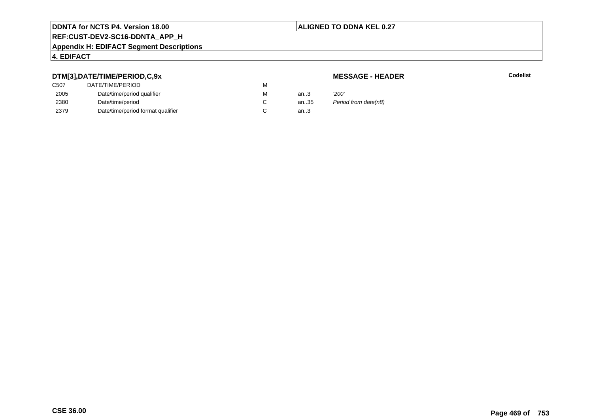# **ALIGNED TO DDNA KEL 0.27**

# **REF:CUST-DEV2-SC16-DDNTA\_APP\_H**

#### **Appendix H: EDIFACT Segment Descriptions**

# **4. EDIFACT**

# **DTM[3],DATE/TIME/PERIOD,C,9x**

# **MESSAGE - HEADER**

**R** Codelist

| ---               |                                   |   |      |                      |
|-------------------|-----------------------------------|---|------|----------------------|
| C <sub>50</sub> 7 | DATE/TIME/PERIOD                  | М |      |                      |
| 2005              | Date/time/period qualifier        | М | an.3 | '200'                |
| 2380              | Date/time/period                  |   | an35 | Period from date(n8) |
| 2379              | Date/time/period format qualifier |   | an.3 |                      |
|                   |                                   |   |      |                      |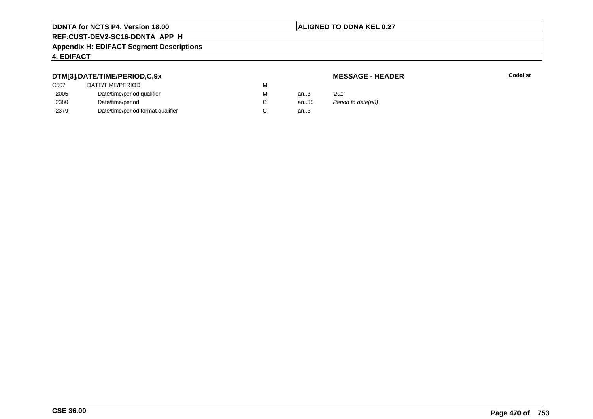# **ALIGNED TO DDNA KEL 0.27**

# **REF:CUST-DEV2-SC16-DDNTA\_APP\_H**

#### **Appendix H: EDIFACT Segment Descriptions**

# **4. EDIFACT**

# **DTM[3],DATE/TIME/PERIOD,C,9x**

# **MESSAGE - HEADER**

**R** Codelist

| C507 | DATE/TIME/PERIOD                  | M |      |                    |
|------|-----------------------------------|---|------|--------------------|
| 2005 | Date/time/period qualifier        | M | an.3 | '201'              |
| 2380 | Date/time/period                  |   | an35 | Period to date(n8) |
| 2379 | Date/time/period format qualifier |   | an.3 |                    |
|      |                                   |   |      |                    |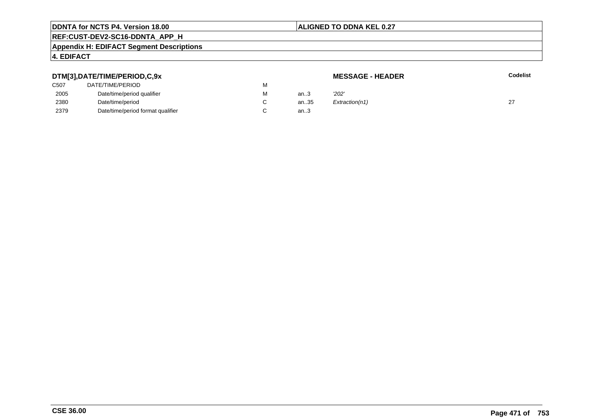# **ALIGNED TO DDNA KEL 0.27**

# **REF:CUST-DEV2-SC16-DDNTA\_APP\_H**

#### **Appendix H: EDIFACT Segment Descriptions**

# **4. EDIFACT**

#### **DTM[3],DATE/TIME/PERIOD,C,9xMESSAGE - HEADER R** Codelist C507 DATE/TIME/PERIODD<sub>N</sub> M 2005Date/time/period qualifier metals of the Material Material of the Material Material Material Material Material Material Material Material Material Material Material Material Material Material Material Material Material Mat M an..3 '2*02'* 2380Date/time/period<br>Date/time/period format qualifier example and contact C C an..35  $Extraction(n1)$  27 2379Date/time/period format qualifier an..3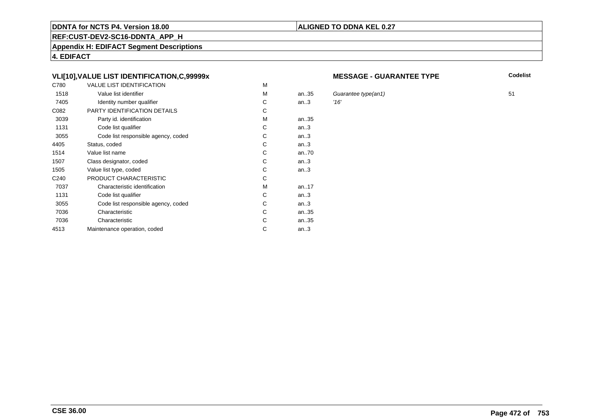# **REF:CUST-DEV2-SC16-DDNTA\_APP\_H**

**Appendix H: EDIFACT Segment Descriptions**

**4. EDIFACT**

# **VLI[10],VALUE LIST IDENTIFICATION,C,99999x**

| C780             | <b>VALUE LIST IDENTIFICATION</b>    | M |      |      |
|------------------|-------------------------------------|---|------|------|
| 1518             | Value list identifier               | M | an35 | Gu   |
| 7405             | Identity number qualifier           | С | an.3 | '16' |
| C082             | PARTY IDENTIFICATION DETAILS        | С |      |      |
| 3039             | Party id. identification            | М | an35 |      |
| 1131             | Code list qualifier                 | С | an.3 |      |
| 3055             | Code list responsible agency, coded | C | an.3 |      |
| 4405             | Status, coded                       | C | an.3 |      |
| 1514             | Value list name                     | C | an70 |      |
| 1507             | Class designator, coded             | C | an.3 |      |
| 1505             | Value list type, coded              | С | an.3 |      |
| C <sub>240</sub> | PRODUCT CHARACTERISTIC              | С |      |      |
| 7037             | Characteristic identification       | м | an17 |      |
| 1131             | Code list qualifier                 | С | an.3 |      |
| 3055             | Code list responsible agency, coded | С | an.3 |      |
| 7036             | Characteristic                      | C | an35 |      |
| 7036             | Characteristic                      | С | an35 |      |
| 4513             | Maintenance operation, coded        | С | an.3 |      |
|                  |                                     |   |      |      |

#### **MESSAGE - GUARANTEE TYPE**

**ALIGNED TO DDNA KEL 0.27**

**Codelist**

Guarantee type(an1) 51<br>16'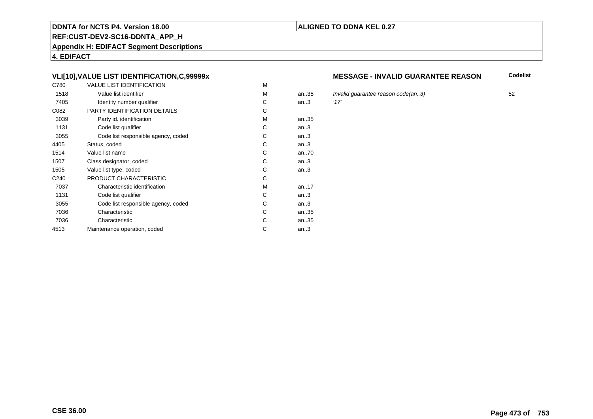# **REF:CUST-DEV2-SC16-DDNTA\_APP\_H**

**Appendix H: EDIFACT Segment Descriptions**

**4. EDIFACT**

# **VLI[10],VALUE LIST IDENTIFICATION,C,99999x**

| C780             | <b>VALUE LIST IDENTIFICATION</b>    | M |      |      |
|------------------|-------------------------------------|---|------|------|
| 1518             | Value list identifier               | M | an35 | Inva |
| 7405             | Identity number qualifier           | С | an.3 | '17' |
| C082             | PARTY IDENTIFICATION DETAILS        | C |      |      |
| 3039             | Party id. identification            | м | an35 |      |
| 1131             | Code list qualifier                 | C | an.3 |      |
| 3055             | Code list responsible agency, coded | С | an.3 |      |
| 4405             | Status, coded                       | С | an.3 |      |
| 1514             | Value list name                     | С | an70 |      |
| 1507             | Class designator, coded             | C | an.3 |      |
| 1505             | Value list type, coded              | С | an.3 |      |
| C <sub>240</sub> | PRODUCT CHARACTERISTIC              | С |      |      |
| 7037             | Characteristic identification       | М | an17 |      |
| 1131             | Code list qualifier                 | С | an.3 |      |
| 3055             | Code list responsible agency, coded | С | an.3 |      |
| 7036             | Characteristic                      | C | an35 |      |
| 7036             | Characteristic                      | C | an35 |      |
| 4513             | Maintenance operation, coded        | С | an.3 |      |
|                  |                                     |   |      |      |

### **MESSAGE - INVALID GUARANTEE REASON**

**Codelist**

5 Invalid guarantee reason code(an..3) 52<br>117'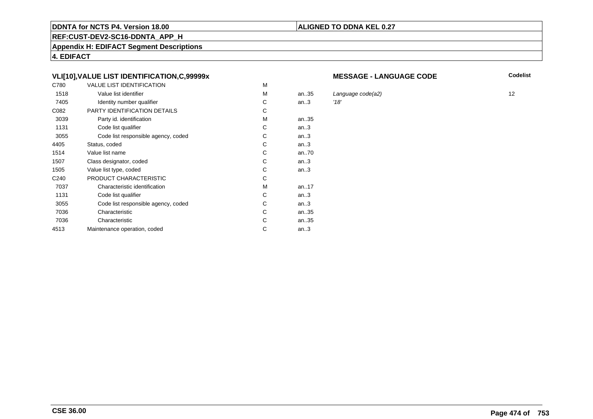# **REF:CUST-DEV2-SC16-DDNTA\_APP\_H**

**Appendix H: EDIFACT Segment Descriptions**

**4. EDIFACT**

# **VLI[10],VALUE LIST IDENTIFICATION,C,99999x**

| C780             | <b>VALUE LIST IDENTIFICATION</b>    | M |      |      |
|------------------|-------------------------------------|---|------|------|
| 1518             | Value list identifier               | м | an35 | Lar  |
| 7405             | Identity number qualifier           | С | an.3 | '18' |
| C082             | PARTY IDENTIFICATION DETAILS        | С |      |      |
| 3039             | Party id. identification            | М | an35 |      |
| 1131             | Code list qualifier                 | С | an.3 |      |
| 3055             | Code list responsible agency, coded | C | an.3 |      |
| 4405             | Status, coded                       | C | an.3 |      |
| 1514             | Value list name                     | C | an70 |      |
| 1507             | Class designator, coded             | C | an.3 |      |
| 1505             | Value list type, coded              | С | an.3 |      |
| C <sub>240</sub> | PRODUCT CHARACTERISTIC              | С |      |      |
| 7037             | Characteristic identification       | м | an17 |      |
| 1131             | Code list qualifier                 | С | an.3 |      |
| 3055             | Code list responsible agency, coded | С | an.3 |      |
| 7036             | Characteristic                      | C | an35 |      |
| 7036             | Characteristic                      | С | an35 |      |
| 4513             | Maintenance operation, coded        | С | an.3 |      |
|                  |                                     |   |      |      |

#### **MESSAGE - LANGUAGE CODE**

**ALIGNED TO DDNA KEL 0.27**

**Codelist**

Language code(a2) 12<br>12<br>'18'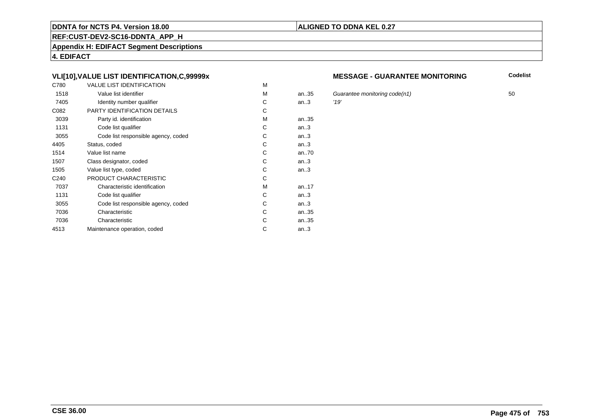# **REF:CUST-DEV2-SC16-DDNTA\_APP\_H**

**Appendix H: EDIFACT Segment Descriptions**

**4. EDIFACT**

# **VLI[10],VALUE LIST IDENTIFICATION,C,99999x**

| C780             | <b>VALUE LIST IDENTIFICATION</b>    | M |           |      |
|------------------|-------------------------------------|---|-----------|------|
| 1518             | Value list identifier               | M | an.35     | Gu   |
| 7405             | Identity number qualifier           | С | an.3      | '19' |
| C082             | PARTY IDENTIFICATION DETAILS        | С |           |      |
| 3039             | Party id. identification            | м | an35      |      |
| 1131             | Code list qualifier                 | C | an.3      |      |
| 3055             | Code list responsible agency, coded | C | an.3      |      |
| 4405             | Status, coded                       | С | an.3      |      |
| 1514             | Value list name                     | C | an70      |      |
| 1507             | Class designator, coded             | C | an.3      |      |
| 1505             | Value list type, coded              | С | an.3      |      |
| C <sub>240</sub> | PRODUCT CHARACTERISTIC              | С |           |      |
| 7037             | Characteristic identification       | м | an. $.17$ |      |
| 1131             | Code list qualifier                 | С | an.3      |      |
| 3055             | Code list responsible agency, coded | С | an.3      |      |
| 7036             | Characteristic                      | C | an35      |      |
| 7036             | Characteristic                      | C | an35      |      |
| 4513             | Maintenance operation, coded        | С | an.3      |      |
|                  |                                     |   |           |      |

#### **MESSAGE - GUARANTEE MONITORING**

**Codelist**

Guarantee monitoring code(n1)  $50$ <br>'19'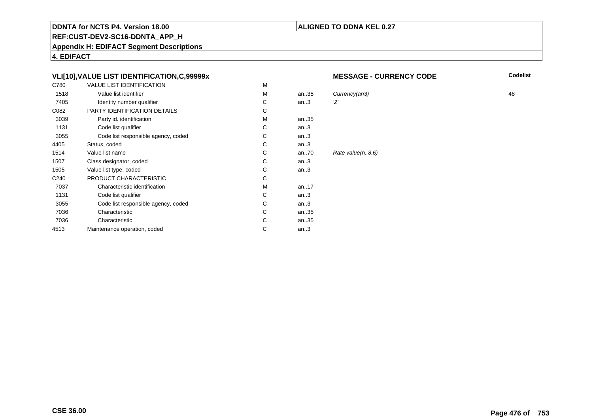### **REF:CUST-DEV2-SC16-DDNTA\_APP\_H**

**Appendix H: EDIFACT Segment Descriptions**

**4. EDIFACT**

# **VLI[10],VALUE LIST IDENTIFICATION,C,99999x**

| C780             | <b>VALUE LIST IDENTIFICATION</b>    | М |      |        |
|------------------|-------------------------------------|---|------|--------|
| 1518             | Value list identifier               | M | an35 | Curren |
| 7405             | Identity number qualifier           | С | an.3 | 2'     |
| C082             | PARTY IDENTIFICATION DETAILS        | C |      |        |
| 3039             | Party id. identification            | M | an35 |        |
| 1131             | Code list qualifier                 | С | an.3 |        |
| 3055             | Code list responsible agency, coded | С | an.3 |        |
| 4405             | Status, coded                       | C | an.3 |        |
| 1514             | Value list name                     | C | an70 | Rate v |
| 1507             | Class designator, coded             | C | an.3 |        |
| 1505             | Value list type, coded              | C | an.3 |        |
| C <sub>240</sub> | PRODUCT CHARACTERISTIC              | C |      |        |
| 7037             | Characteristic identification       | M | an17 |        |
| 1131             | Code list qualifier                 | C | an.3 |        |
| 3055             | Code list responsible agency, coded | С | an.3 |        |
| 7036             | Characteristic                      | C | an35 |        |
| 7036             | Characteristic                      | C | an35 |        |
| 4513             | Maintenance operation, coded        | C | an.3 |        |
|                  |                                     |   |      |        |

#### **MESSAGE - CURRENCY CODE**

**Codelist**

M an..35 Currency(an3) 48  $value(n..8,6)$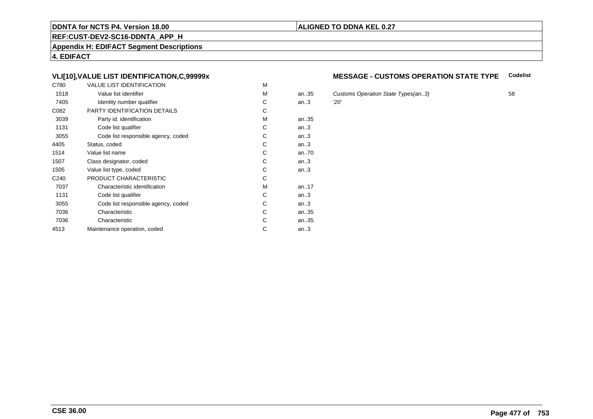### **REF:CUST-DEV2-SC16-DDNTA\_APP\_H**

**Appendix H: EDIFACT Segment Descriptions**

**4. EDIFACT**

# **VLI[10],VALUE LIST IDENTIFICATION,C,99999x**

| C780             | <b>VALUE LIST IDENTIFICATION</b>    | M |           |     |
|------------------|-------------------------------------|---|-----------|-----|
| 1518             | Value list identifier               | M | an.35     | Cus |
| 7405             | Identity number qualifier           | С | an.3      | 20' |
| C082             | PARTY IDENTIFICATION DETAILS        | С |           |     |
| 3039             | Party id. identification            | м | an35      |     |
| 1131             | Code list qualifier                 | C | an.3      |     |
| 3055             | Code list responsible agency, coded | C | an.3      |     |
| 4405             | Status, coded                       | С | an.3      |     |
| 1514             | Value list name                     | C | an70      |     |
| 1507             | Class designator, coded             | C | an.3      |     |
| 1505             | Value list type, coded              | С | an.3      |     |
| C <sub>240</sub> | PRODUCT CHARACTERISTIC              | С |           |     |
| 7037             | Characteristic identification       | м | an. $.17$ |     |
| 1131             | Code list qualifier                 | С | an.3      |     |
| 3055             | Code list responsible agency, coded | С | an.3      |     |
| 7036             | Characteristic                      | C | an35      |     |
| 7036             | Characteristic                      | C | an35      |     |
| 4513             | Maintenance operation, coded        | С | an.3      |     |
|                  |                                     |   |           |     |

#### **MESSAGE - CUSTOMS OPERATION STATE TYPECodelist**

Customs Operation State Types(an..3) 58<br>
20'

**ALIGNED TO DDNA KEL 0.27**

**CSE 36.00**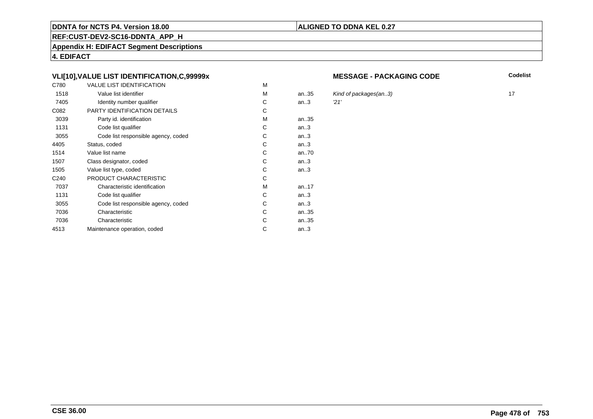# **REF:CUST-DEV2-SC16-DDNTA\_APP\_H**

**Appendix H: EDIFACT Segment Descriptions**

**4. EDIFACT**

# **VLI[10],VALUE LIST IDENTIFICATION,C,99999x**

| C780             | <b>VALUE LIST IDENTIFICATION</b>    | M |           |      |
|------------------|-------------------------------------|---|-----------|------|
| 1518             | Value list identifier               | M | an.35     | Kin  |
| 7405             | Identity number qualifier           | С | an.3      | '21' |
| C082             | PARTY IDENTIFICATION DETAILS        | С |           |      |
| 3039             | Party id. identification            | м | an35      |      |
| 1131             | Code list qualifier                 | C | an.3      |      |
| 3055             | Code list responsible agency, coded | C | an.3      |      |
| 4405             | Status, coded                       | С | an.3      |      |
| 1514             | Value list name                     | C | an70      |      |
| 1507             | Class designator, coded             | C | an.3      |      |
| 1505             | Value list type, coded              | С | an.3      |      |
| C <sub>240</sub> | PRODUCT CHARACTERISTIC              | С |           |      |
| 7037             | Characteristic identification       | м | an. $.17$ |      |
| 1131             | Code list qualifier                 | С | an.3      |      |
| 3055             | Code list responsible agency, coded | С | an.3      |      |
| 7036             | Characteristic                      | C | an35      |      |
| 7036             | Characteristic                      | С | an35      |      |
| 4513             | Maintenance operation, coded        | С | an.3      |      |
|                  |                                     |   |           |      |

#### **MESSAGE - PACKAGING CODE**

**Codelist**

Kind of packages(an..3) 17<br>21'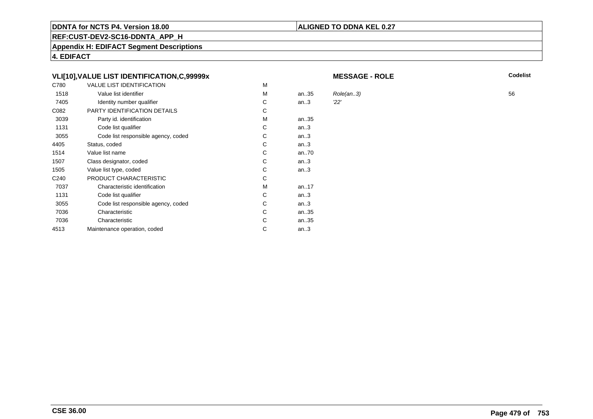# **REF:CUST-DEV2-SC16-DDNTA\_APP\_H**

**Appendix H: EDIFACT Segment Descriptions**

**4. EDIFACT**

# **VLI[10],VALUE LIST IDENTIFICATION,C,99999x**

| C780 | <b>VALUE LIST IDENTIFICATION</b>    | M |      |           |    |
|------|-------------------------------------|---|------|-----------|----|
| 1518 | Value list identifier               | M | an35 | Role(an3) | 56 |
| 7405 | Identity number qualifier           | С | an.3 | 22'       |    |
| C082 | PARTY IDENTIFICATION DETAILS        | С |      |           |    |
| 3039 | Party id. identification            | М | an35 |           |    |
| 1131 | Code list qualifier                 | С | an.3 |           |    |
| 3055 | Code list responsible agency, coded | С | an.3 |           |    |
| 4405 | Status, coded                       | С | an.3 |           |    |
| 1514 | Value list name                     | С | an70 |           |    |
| 1507 | Class designator, coded             | C | an.3 |           |    |
| 1505 | Value list type, coded              | С | an.3 |           |    |
| C240 | PRODUCT CHARACTERISTIC              | С |      |           |    |
| 7037 | Characteristic identification       | M | an17 |           |    |
| 1131 | Code list qualifier                 | С | an.3 |           |    |
| 3055 | Code list responsible agency, coded | С | an.3 |           |    |
| 7036 | Characteristic                      | С | an35 |           |    |
| 7036 | Characteristic                      | С | an35 |           |    |
| 4513 | Maintenance operation, coded        | C | an.3 |           |    |
|      |                                     |   |      |           |    |

**MESSAGE - ROLE**

**ALIGNED TO DDNA KEL 0.27**

**Codelist**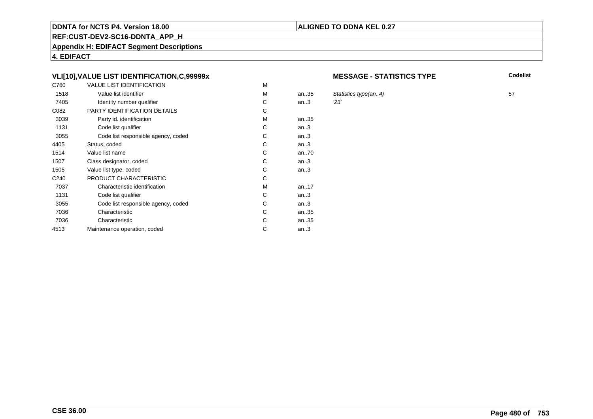# **REF:CUST-DEV2-SC16-DDNTA\_APP\_H**

**Appendix H: EDIFACT Segment Descriptions**

**4. EDIFACT**

# **VLI[10],VALUE LIST IDENTIFICATION,C,99999x**

| C780             | <b>VALUE LIST IDENTIFICATION</b>    | M |      |     |
|------------------|-------------------------------------|---|------|-----|
| 1518             | Value list identifier               | м | an35 | Sta |
| 7405             | Identity number qualifier           | С | an.3 | 23' |
| C082             | PARTY IDENTIFICATION DETAILS        | С |      |     |
| 3039             | Party id. identification            | М | an35 |     |
| 1131             | Code list qualifier                 | С | an.3 |     |
| 3055             | Code list responsible agency, coded | C | an.3 |     |
| 4405             | Status, coded                       | C | an.3 |     |
| 1514             | Value list name                     | C | an70 |     |
| 1507             | Class designator, coded             | C | an.3 |     |
| 1505             | Value list type, coded              | С | an.3 |     |
| C <sub>240</sub> | PRODUCT CHARACTERISTIC              | С |      |     |
| 7037             | Characteristic identification       | м | an17 |     |
| 1131             | Code list qualifier                 | С | an.3 |     |
| 3055             | Code list responsible agency, coded | С | an.3 |     |
| 7036             | Characteristic                      | C | an35 |     |
| 7036             | Characteristic                      | С | an35 |     |
| 4513             | Maintenance operation, coded        | С | an.3 |     |
|                  |                                     |   |      |     |

#### **MESSAGE - STATISTICS TYPE**

**Codelist**

Statistics type(an..4) 57<br>
23'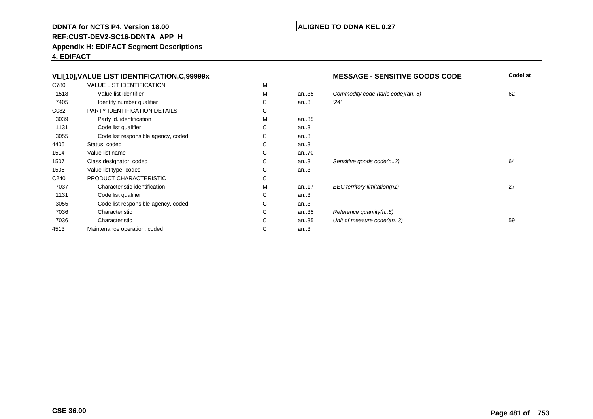**REF:CUST-DEV2-SC16-DDNTA\_APP\_H**

**Appendix H: EDIFACT Segment Descriptions**

**4. EDIFACT**

#### **VLI[10],VALUE LIST IDENTIFICATION,C,99999xMESSAGE - SENSITIVE GOODS CODE**<br>M **Codelist** C780 VALUE LIST IDENTIFICATIONN M M 1518Value list identifier metallier and the metallier of the Model of the Model of the Model of the Model of the Model of the Model of the Model of the Model of the Model of the Model of the Model of the Model of the Model of an..35 Commodity code (taric code)(an..6) 62<br>an..3  $\frac{24}{3}$ 7405Identity number qualifier  $\begin{array}{ccc} \text{I} & \text{I} & \text{I} \\ \text{I} & \text{I} & \text{I} \\ \text{I} & \text{I} & \text{I} \end{array}$ C an..3 '24' C082 PARTY IDENTIFICATION DETAILSs c M 3039Party id. identification M<br>Code list qualifier and the code list qualifier and the code list of code list of code list of code list of co an..35 1131Code list qualifier C<br>Code list responsible agency, coded C an..3 3055Code list responsible agency, coded C<br>
tus. coded C an..3 4405Status, coded C<br>
Value list name C an..3 1514Value list name C<br>Class designator, coded C an..70<br>an..3 1507Class designator, coded C<br>
Value list type. coded C Sensitive goods code(n..2) 64 1505Value list type, coded C<br>
PRODUCT CHARACTERISTIC C an..3 C240 PRODUCT CHARACTERISTICc c 7037Characteristic identification M<br>Code list qualifier C an..17 EEC territory limitation(n1) 27 1131Code list qualifier Code list responsible agency, coded Code list responsible agency, coded C an..3 3055Code list responsible agency, coded C<br>Characteristic C an..3<br>an..35 7036Characteristic Characteristic Characteristic Characteristic C an..35 Reference quantity(n..6)<br>an..35 Unit of measure code(an 7036Characteristic C<br>
Intenance operation. coded<br>
C Unit of measure code(an..3) 59 4513Maintenance operation, coded an..3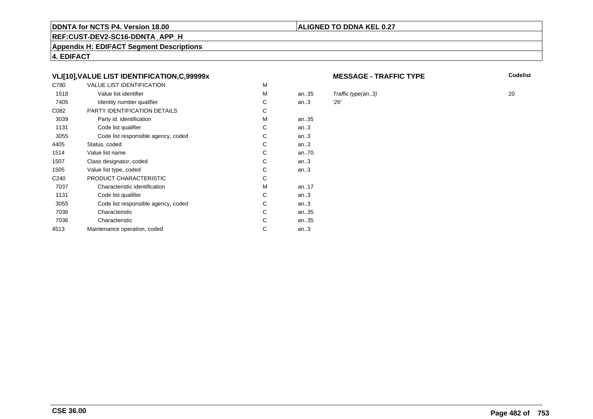# **REF:CUST-DEV2-SC16-DDNTA\_APP\_H**

**Appendix H: EDIFACT Segment Descriptions**

**4. EDIFACT**

# **VLI[10],VALUE LIST IDENTIFICATION,C,99999x**

| C780             | <b>VALUE LIST IDENTIFICATION</b>    | M |      |     |
|------------------|-------------------------------------|---|------|-----|
| 1518             | Value list identifier               | м | an35 | Tra |
| 7405             | Identity number qualifier           | С | an.3 | 26' |
| C082             | PARTY IDENTIFICATION DETAILS        | С |      |     |
| 3039             | Party id. identification            | М | an35 |     |
| 1131             | Code list qualifier                 | С | an.3 |     |
| 3055             | Code list responsible agency, coded | C | an.3 |     |
| 4405             | Status, coded                       | C | an.3 |     |
| 1514             | Value list name                     | C | an70 |     |
| 1507             | Class designator, coded             | C | an.3 |     |
| 1505             | Value list type, coded              | С | an.3 |     |
| C <sub>240</sub> | PRODUCT CHARACTERISTIC              | С |      |     |
| 7037             | Characteristic identification       | м | an17 |     |
| 1131             | Code list qualifier                 | С | an.3 |     |
| 3055             | Code list responsible agency, coded | С | an.3 |     |
| 7036             | Characteristic                      | C | an35 |     |
| 7036             | Characteristic                      | С | an35 |     |
| 4513             | Maintenance operation, coded        | С | an.3 |     |
|                  |                                     |   |      |     |

#### **MESSAGE - TRAFFIC TYPE**

**ALIGNED TO DDNA KEL 0.27**

**Codelist**

Traffic type(an..3)  $20$ <br> $26'$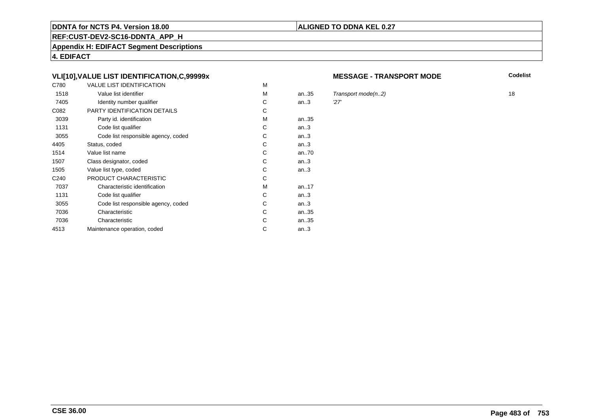# **REF:CUST-DEV2-SC16-DDNTA\_APP\_H**

**Appendix H: EDIFACT Segment Descriptions**

**4. EDIFACT**

# **VLI[10],VALUE LIST IDENTIFICATION,C,99999x**

| C780             | <b>VALUE LIST IDENTIFICATION</b>    | M |      |     |
|------------------|-------------------------------------|---|------|-----|
| 1518             | Value list identifier               | м | an35 | Tra |
| 7405             | Identity number qualifier           | С | an.3 | 27' |
| C082             | PARTY IDENTIFICATION DETAILS        | С |      |     |
| 3039             | Party id. identification            | М | an35 |     |
| 1131             | Code list qualifier                 | С | an.3 |     |
| 3055             | Code list responsible agency, coded | C | an.3 |     |
| 4405             | Status, coded                       | C | an.3 |     |
| 1514             | Value list name                     | C | an70 |     |
| 1507             | Class designator, coded             | C | an.3 |     |
| 1505             | Value list type, coded              | С | an.3 |     |
| C <sub>240</sub> | PRODUCT CHARACTERISTIC              | С |      |     |
| 7037             | Characteristic identification       | м | an17 |     |
| 1131             | Code list qualifier                 | С | an.3 |     |
| 3055             | Code list responsible agency, coded | С | an.3 |     |
| 7036             | Characteristic                      | C | an35 |     |
| 7036             | Characteristic                      | С | an35 |     |
| 4513             | Maintenance operation, coded        | С | an.3 |     |
|                  |                                     |   |      |     |

#### **MESSAGE - TRANSPORT MODE**

**Codelist**

 $Transport\ mode(n..2)$  18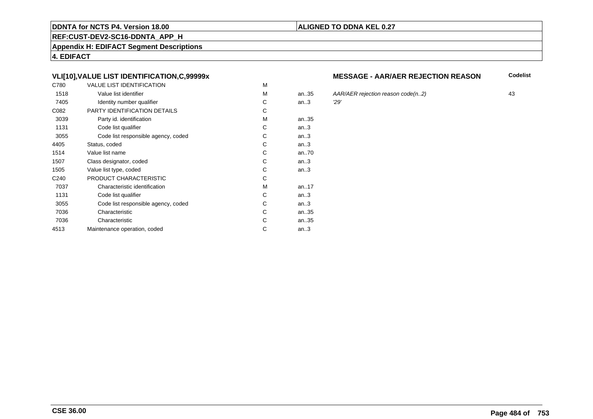# **REF:CUST-DEV2-SC16-DDNTA\_APP\_H**

**Appendix H: EDIFACT Segment Descriptions**

**4. EDIFACT**

# **VLI[10],VALUE LIST IDENTIFICATION,C,99999x**

| C780             | <b>VALUE LIST IDENTIFICATION</b>    | M |           |     |
|------------------|-------------------------------------|---|-----------|-----|
| 1518             | Value list identifier               | M | an.35     | AA  |
| 7405             | Identity number qualifier           | С | an.3      | 29' |
| C082             | PARTY IDENTIFICATION DETAILS        | С |           |     |
| 3039             | Party id. identification            | м | an35      |     |
| 1131             | Code list qualifier                 | C | an.3      |     |
| 3055             | Code list responsible agency, coded | C | an.3      |     |
| 4405             | Status, coded                       | С | an.3      |     |
| 1514             | Value list name                     | C | an70      |     |
| 1507             | Class designator, coded             | C | an.3      |     |
| 1505             | Value list type, coded              | С | an.3      |     |
| C <sub>240</sub> | PRODUCT CHARACTERISTIC              | С |           |     |
| 7037             | Characteristic identification       | м | an. $.17$ |     |
| 1131             | Code list qualifier                 | С | an.3      |     |
| 3055             | Code list responsible agency, coded | С | an.3      |     |
| 7036             | Characteristic                      | C | an35      |     |
| 7036             | Characteristic                      | С | an35      |     |
| 4513             | Maintenance operation, coded        | С | an.3      |     |
|                  |                                     |   |           |     |

## **MESSAGE - AAR/AER REJECTION REASON**

**Codelist**

an..35 AAR/AER rejection reason code(n..2) <sup>43</sup>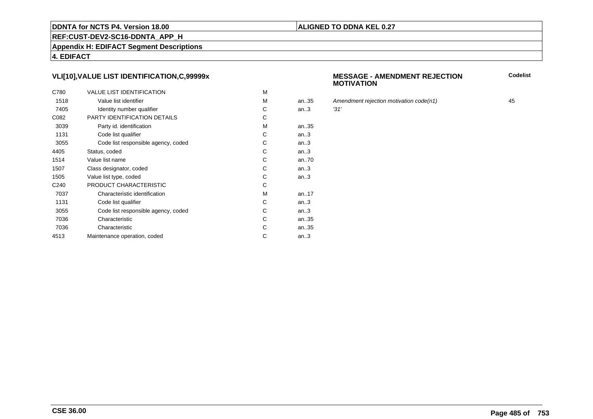### **REF:CUST-DEV2-SC16-DDNTA\_APP\_H**

**Appendix H: EDIFACT Segment Descriptions**

**4. EDIFACT**

# **VLI[10],VALUE LIST IDENTIFICATION,C,99999x**

| C780             | <b>VALUE LIST IDENTIFICATION</b>    | M |      |      |
|------------------|-------------------------------------|---|------|------|
| 1518             | Value list identifier               | M | an35 | Аm   |
| 7405             | Identity number qualifier           | С | an.3 | '31' |
| C082             | PARTY IDENTIFICATION DETAILS        | С |      |      |
| 3039             | Party id. identification            | M | an35 |      |
| 1131             | Code list qualifier                 | С | an.3 |      |
| 3055             | Code list responsible agency, coded | C | an.3 |      |
| 4405             | Status, coded                       | C | an.3 |      |
| 1514             | Value list name                     | C | an70 |      |
| 1507             | Class designator, coded             | C | an.3 |      |
| 1505             | Value list type, coded              | С | an.3 |      |
| C <sub>240</sub> | PRODUCT CHARACTERISTIC              | С |      |      |
| 7037             | Characteristic identification       | м | an17 |      |
| 1131             | Code list qualifier                 | С | an.3 |      |
| 3055             | Code list responsible agency, coded | С | an.3 |      |
| 7036             | Characteristic                      | C | an35 |      |
| 7036             | Characteristic                      | С | an35 |      |
| 4513             | Maintenance operation, coded        | С | an.3 |      |
|                  |                                     |   |      |      |

#### **MESSAGE - AMENDMENT REJECTIONMOTIVATION**

**Codelist**

Amendment rejection motivation code(n1) 45<br>
31'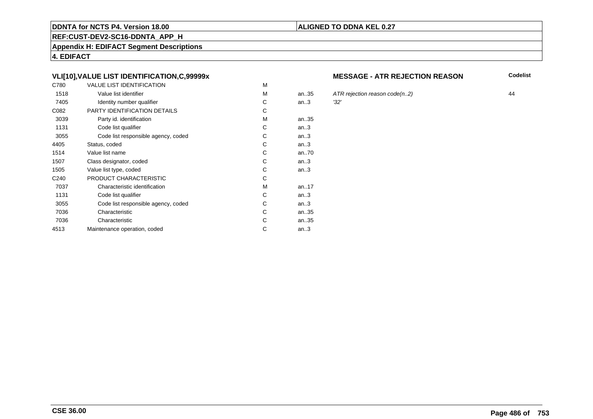# **REF:CUST-DEV2-SC16-DDNTA\_APP\_H**

**Appendix H: EDIFACT Segment Descriptions**

**4. EDIFACT**

# **VLI[10],VALUE LIST IDENTIFICATION,C,99999x**

| C780             | <b>VALUE LIST IDENTIFICATION</b>    | M |           |      |
|------------------|-------------------------------------|---|-----------|------|
| 1518             | Value list identifier               | M | an.35     | ATI  |
| 7405             | Identity number qualifier           | С | an.3      | '32' |
| C082             | PARTY IDENTIFICATION DETAILS        | С |           |      |
| 3039             | Party id. identification            | м | an35      |      |
| 1131             | Code list qualifier                 | C | an.3      |      |
| 3055             | Code list responsible agency, coded | C | an.3      |      |
| 4405             | Status, coded                       | С | an.3      |      |
| 1514             | Value list name                     | C | an70      |      |
| 1507             | Class designator, coded             | C | an.3      |      |
| 1505             | Value list type, coded              | С | an.3      |      |
| C <sub>240</sub> | PRODUCT CHARACTERISTIC              | С |           |      |
| 7037             | Characteristic identification       | м | an. $.17$ |      |
| 1131             | Code list qualifier                 | С | an.3      |      |
| 3055             | Code list responsible agency, coded | С | an.3      |      |
| 7036             | Characteristic                      | C | an35      |      |
| 7036             | Characteristic                      | С | an35      |      |
| 4513             | Maintenance operation, coded        | С | an.3      |      |
|                  |                                     |   |           |      |

#### **MESSAGE - ATR REJECTION REASON**

**Codelist**

ATR rejection reason code(n..2)  $44$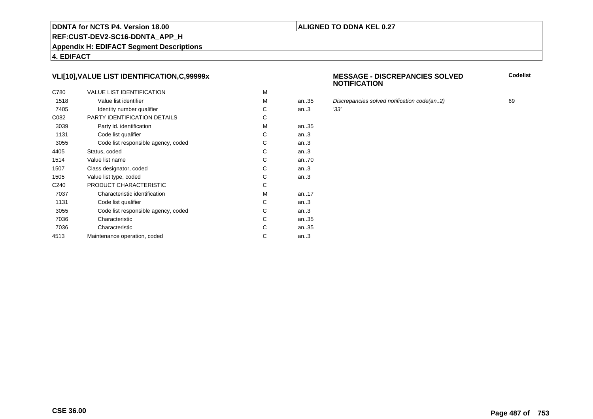# **REF:CUST-DEV2-SC16-DDNTA\_APP\_H**

**Appendix H: EDIFACT Segment Descriptions**

**4. EDIFACT**

# **VLI[10],VALUE LIST IDENTIFICATION,C,99999x**

| C780             | <b>VALUE LIST IDENTIFICATION</b>    | M |      |      |
|------------------|-------------------------------------|---|------|------|
| 1518             | Value list identifier               | M | an35 | Dis  |
| 7405             | Identity number qualifier           | С | an.3 | '33' |
| C082             | PARTY IDENTIFICATION DETAILS        | С |      |      |
| 3039             | Party id. identification            | М | an35 |      |
| 1131             | Code list qualifier                 | C | an.3 |      |
| 3055             | Code list responsible agency, coded | C | an.3 |      |
| 4405             | Status, coded                       | C | an.3 |      |
| 1514             | Value list name                     | C | an70 |      |
| 1507             | Class designator, coded             | C | an.3 |      |
| 1505             | Value list type, coded              | С | an.3 |      |
| C <sub>240</sub> | PRODUCT CHARACTERISTIC              | C |      |      |
| 7037             | Characteristic identification       | м | an17 |      |
| 1131             | Code list qualifier                 | С | an.3 |      |
| 3055             | Code list responsible agency, coded | С | an.3 |      |
| 7036             | Characteristic                      | C | an35 |      |
| 7036             | Characteristic                      | C | an35 |      |
| 4513             | Maintenance operation, coded        | С | an.3 |      |
|                  |                                     |   |      |      |

#### **MESSAGE - DISCREPANCIES SOLVEDNOTIFICATION**

**Codelist**

Discrepancies solved notification code(an..2) 69<br>
'33'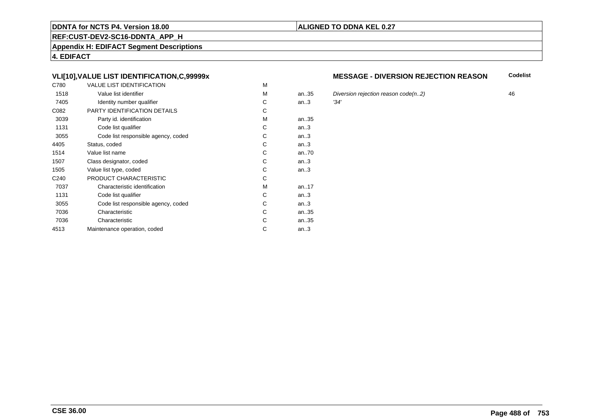# **REF:CUST-DEV2-SC16-DDNTA\_APP\_H**

**Appendix H: EDIFACT Segment Descriptions**

**4. EDIFACT**

# **VLI[10],VALUE LIST IDENTIFICATION,C,99999x**

| C780             | <b>VALUE LIST IDENTIFICATION</b>    | M |       |      |
|------------------|-------------------------------------|---|-------|------|
| 1518             | Value list identifier               | М | an.35 | Div  |
| 7405             | Identity number qualifier           | С | an.3  | '34' |
| C082             | <b>PARTY IDENTIFICATION DETAILS</b> | С |       |      |
| 3039             | Party id. identification            | М | an35  |      |
| 1131             | Code list qualifier                 | C | an.3  |      |
| 3055             | Code list responsible agency, coded | C | an.3  |      |
| 4405             | Status, coded                       | C | an.3  |      |
| 1514             | Value list name                     | C | an70  |      |
| 1507             | Class designator, coded             | C | an.3  |      |
| 1505             | Value list type, coded              | С | an.3  |      |
| C <sub>240</sub> | PRODUCT CHARACTERISTIC              | С |       |      |
| 7037             | Characteristic identification       | М | an17  |      |
| 1131             | Code list qualifier                 | С | an.3  |      |
| 3055             | Code list responsible agency, coded | С | an.3  |      |
| 7036             | Characteristic                      | C | an35  |      |
| 7036             | Characteristic                      | C | an35  |      |
| 4513             | Maintenance operation, coded        | С | an.3  |      |
|                  |                                     |   |       |      |

#### **MESSAGE - DIVERSION REJECTION REASONCodelist**

5 Diversion rejection reason code(n..2)  $\frac{34'}{2}$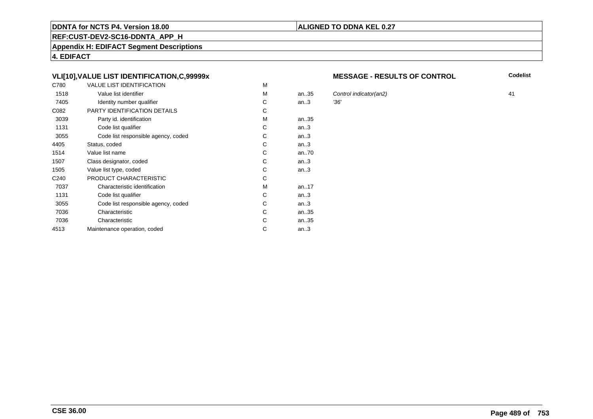### **REF:CUST-DEV2-SC16-DDNTA\_APP\_H**

**Appendix H: EDIFACT Segment Descriptions**

**4. EDIFACT**

# **VLI[10],VALUE LIST IDENTIFICATION,C,99999x**

| C780             | <b>VALUE LIST IDENTIFICATION</b>    | M |           |      |
|------------------|-------------------------------------|---|-----------|------|
| 1518             | Value list identifier               | M | an.35     | Cor  |
| 7405             | Identity number qualifier           | С | an.3      | '36' |
| C082             | PARTY IDENTIFICATION DETAILS        | С |           |      |
| 3039             | Party id. identification            | м | an35      |      |
| 1131             | Code list qualifier                 | C | an.3      |      |
| 3055             | Code list responsible agency, coded | C | an.3      |      |
| 4405             | Status, coded                       | С | an.3      |      |
| 1514             | Value list name                     | C | an70      |      |
| 1507             | Class designator, coded             | C | an.3      |      |
| 1505             | Value list type, coded              | С | an.3      |      |
| C <sub>240</sub> | PRODUCT CHARACTERISTIC              | С |           |      |
| 7037             | Characteristic identification       | м | an. $.17$ |      |
| 1131             | Code list qualifier                 | С | an.3      |      |
| 3055             | Code list responsible agency, coded | С | an.3      |      |
| 7036             | Characteristic                      | C | an35      |      |
| 7036             | Characteristic                      | С | an35      |      |
| 4513             | Maintenance operation, coded        | С | an.3      |      |
|                  |                                     |   |           |      |

#### **MESSAGE - RESULTS OF CONTROL**

**Codelist**

Control indicator(an2) 41<br>136'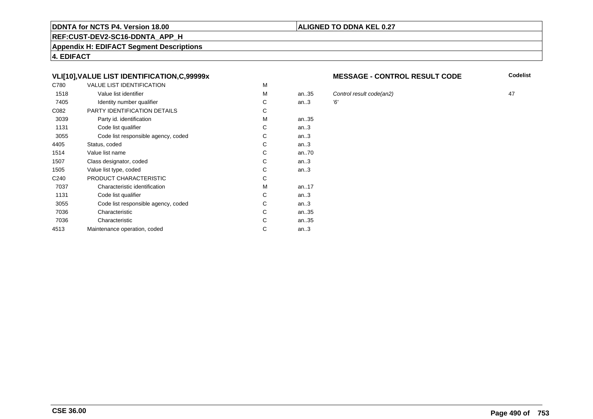# **REF:CUST-DEV2-SC16-DDNTA\_APP\_H**

**Appendix H: EDIFACT Segment Descriptions**

**4. EDIFACT**

# **VLI[10],VALUE LIST IDENTIFICATION,C,99999x**

| C780             | <b>VALUE LIST IDENTIFICATION</b>    | м |           |    |
|------------------|-------------------------------------|---|-----------|----|
| 1518             | Value list identifier               | M | an35      | Co |
| 7405             | Identity number qualifier           | С | an.3      | Έ, |
| C082             | PARTY IDENTIFICATION DETAILS        | С |           |    |
| 3039             | Party id. identification            | M | an35      |    |
| 1131             | Code list qualifier                 | C | an.3      |    |
| 3055             | Code list responsible agency, coded | С | an.3      |    |
| 4405             | Status, coded                       | С | an.3      |    |
| 1514             | Value list name                     | C | an70      |    |
| 1507             | Class designator, coded             | C | an.3      |    |
| 1505             | Value list type, coded              | С | an.3      |    |
| C <sub>240</sub> | PRODUCT CHARACTERISTIC              | С |           |    |
| 7037             | Characteristic identification       | M | an. $.17$ |    |
| 1131             | Code list qualifier                 | С | an.3      |    |
| 3055             | Code list responsible agency, coded | С | an.3      |    |
| 7036             | Characteristic                      | C | an35      |    |
| 7036             | Characteristic                      | С | an35      |    |
| 4513             | Maintenance operation, coded        | С | an.3      |    |
|                  |                                     |   |           |    |

#### **MESSAGE - CONTROL RESULT CODE**

**Codelist**

Control result code(an2) 47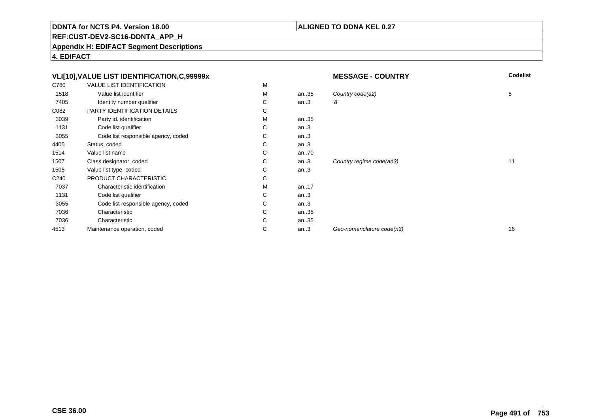# **ALIGNED TO DDNA KEL 0.27**

**REF:CUST-DEV2-SC16-DDNTA\_APP\_H**

**Appendix H: EDIFACT Segment Descriptions**

**4. EDIFACT**

|                  | VLI[10], VALUE LIST IDENTIFICATION, C, 99999x |   |          | <b>MESSAGE - COUNTRY</b>  | <b>Codelist</b> |
|------------------|-----------------------------------------------|---|----------|---------------------------|-----------------|
| C780             | <b>VALUE LIST IDENTIFICATION</b>              | М |          |                           |                 |
| 1518             | Value list identifier                         | М | an35     | Country code(a2)          | 8               |
| 7405             | Identity number qualifier                     | С | an.3     | '8'                       |                 |
| C082             | PARTY IDENTIFICATION DETAILS                  | С |          |                           |                 |
| 3039             | Party id. identification                      | М | an35     |                           |                 |
| 1131             | Code list qualifier                           | С | an.3     |                           |                 |
| 3055             | Code list responsible agency, coded           | С | an.3     |                           |                 |
| 4405             | Status, coded                                 | С | an.3     |                           |                 |
| 1514             | Value list name                               | С | an $.70$ |                           |                 |
| 1507             | Class designator, coded                       | С | an.3     | Country regime code(an3)  | 11              |
| 1505             | Value list type, coded                        | С | an.3     |                           |                 |
| C <sub>240</sub> | PRODUCT CHARACTERISTIC                        | С |          |                           |                 |
| 7037             | Characteristic identification                 | М | an17     |                           |                 |
| 1131             | Code list qualifier                           | С | an.3     |                           |                 |
| 3055             | Code list responsible agency, coded           | С | an.3     |                           |                 |
| 7036             | Characteristic                                | С | an35     |                           |                 |
| 7036             | Characteristic                                | С | an35     |                           |                 |
| 4513             | Maintenance operation, coded                  | С | an.3     | Geo-nomenclature code(n3) | 16              |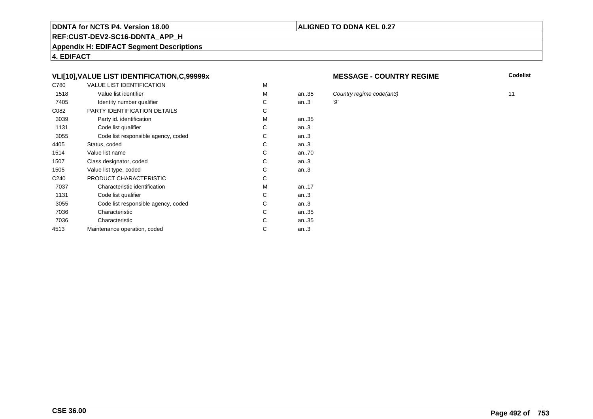# **REF:CUST-DEV2-SC16-DDNTA\_APP\_H**

**Appendix H: EDIFACT Segment Descriptions**

**4. EDIFACT**

# **VLI[10],VALUE LIST IDENTIFICATION,C,99999x**

| C780             | <b>VALUE LIST IDENTIFICATION</b>    | M |      |     |
|------------------|-------------------------------------|---|------|-----|
| 1518             | Value list identifier               | M | an35 | C   |
| 7405             | Identity number qualifier           | С | an.3 | '9' |
| C082             | PARTY IDENTIFICATION DETAILS        | С |      |     |
| 3039             | Party id. identification            | M | an35 |     |
| 1131             | Code list qualifier                 | C | an.3 |     |
| 3055             | Code list responsible agency, coded | C | an.3 |     |
| 4405             | Status, coded                       | С | an.3 |     |
| 1514             | Value list name                     | С | an70 |     |
| 1507             | Class designator, coded             | C | an.3 |     |
| 1505             | Value list type, coded              | C | an.3 |     |
| C <sub>240</sub> | PRODUCT CHARACTERISTIC              | C |      |     |
| 7037             | Characteristic identification       | M | an17 |     |
| 1131             | Code list qualifier                 | C | an.3 |     |
| 3055             | Code list responsible agency, coded | С | an.3 |     |
| 7036             | Characteristic                      | С | an35 |     |
| 7036             | Characteristic                      | С | an35 |     |
| 4513             | Maintenance operation, coded        | С | an.3 |     |
|                  |                                     |   |      |     |

#### **MESSAGE - COUNTRY REGIME**

**Codelist**

country regime code(an3) 11<br>
11<br>
19'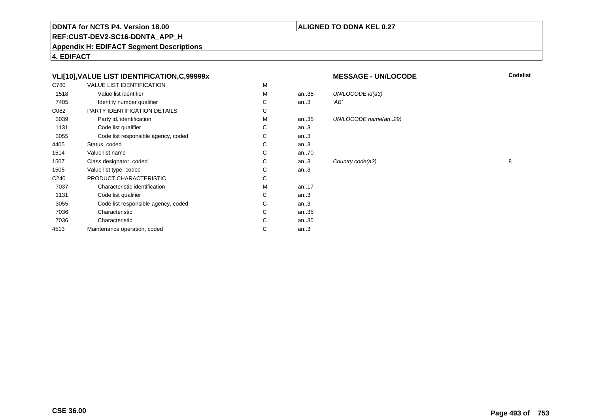## **ALIGNED TO DDNA KEL 0.27**

**REF:CUST-DEV2-SC16-DDNTA\_APP\_H**

**Appendix H: EDIFACT Segment Descriptions**

**4. EDIFACT**

# **VLI[10],VALUE LIST IDENTIFICATION,C,99999x**

| C780             | <b>VALUE LIST IDENTIFICATION</b>    | M |      |      |
|------------------|-------------------------------------|---|------|------|
| 1518             | Value list identifier               | M | an35 | UN/  |
| 7405             | Identity number qualifier           | С | an.3 | 'AB' |
| C082             | PARTY IDENTIFICATION DETAILS        | C |      |      |
| 3039             | Party id. identification            | M | an35 | UN/  |
| 1131             | Code list qualifier                 | C | an.3 |      |
| 3055             | Code list responsible agency, coded | C | an.3 |      |
| 4405             | Status, coded                       | C | an.3 |      |
| 1514             | Value list name                     | C | an70 |      |
| 1507             | Class designator, coded             | C | an.3 | Cou  |
| 1505             | Value list type, coded              | C | an.3 |      |
| C <sub>240</sub> | PRODUCT CHARACTERISTIC              | C |      |      |
| 7037             | Characteristic identification       | М | an17 |      |
| 1131             | Code list qualifier                 | C | an.3 |      |
| 3055             | Code list responsible agency, coded | C | an.3 |      |
| 7036             | Characteristic                      | C | an35 |      |
| 7036             | Characteristic                      | C | an35 |      |
| 4513             | Maintenance operation, coded        | С | an.3 |      |
|                  |                                     |   |      |      |

#### **MESSAGE - UN/LOCODE**

UN/LOCODE name(an..29)

UN/LOCODE id(a3)<br>'AB'

**Codelist**

Country code(a2) 8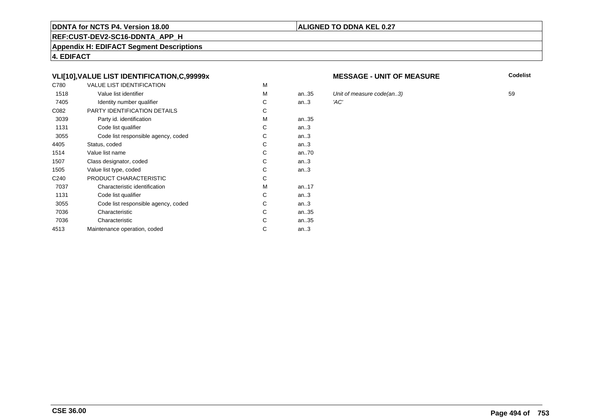### **REF:CUST-DEV2-SC16-DDNTA\_APP\_H**

**Appendix H: EDIFACT Segment Descriptions**

**4. EDIFACT**

# **VLI[10],VALUE LIST IDENTIFICATION,C,99999x**

| C780             | <b>VALUE LIST IDENTIFICATION</b>    | M |           |      |
|------------------|-------------------------------------|---|-----------|------|
| 1518             | Value list identifier               | M | an35      | Unit |
| 7405             | Identity number qualifier           | С | an.3      | 'AC' |
| C082             | PARTY IDENTIFICATION DETAILS        | С |           |      |
| 3039             | Party id. identification            | M | an35      |      |
| 1131             | Code list qualifier                 | C | an.3      |      |
| 3055             | Code list responsible agency, coded | С | an.3      |      |
| 4405             | Status, coded                       | С | an.3      |      |
| 1514             | Value list name                     | С | an70      |      |
| 1507             | Class designator, coded             | C | an.3      |      |
| 1505             | Value list type, coded              | C | an.3      |      |
| C <sub>240</sub> | PRODUCT CHARACTERISTIC              | C |           |      |
| 7037             | Characteristic identification       | M | an. $.17$ |      |
| 1131             | Code list qualifier                 | C | an.3      |      |
| 3055             | Code list responsible agency, coded | С | an.3      |      |
| 7036             | Characteristic                      | C | an35      |      |
| 7036             | Characteristic                      | С | an35      |      |
| 4513             | Maintenance operation, coded        | С | an.3      |      |
|                  |                                     |   |           |      |

#### **MESSAGE - UNIT OF MEASURE**

**Codelist**

Unit of measure code(an..3) 59<br>'AC'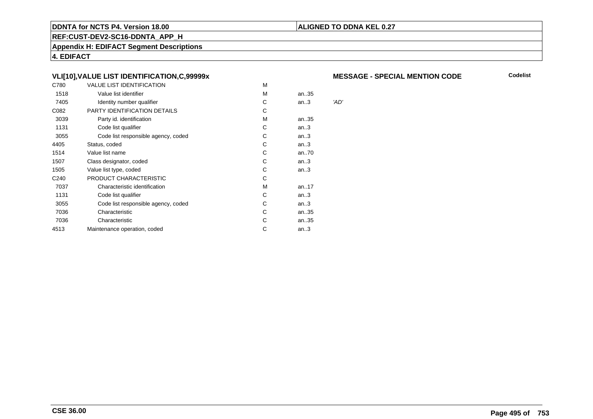# **ALIGNED TO DDNA KEL 0.27**

**REF:CUST-DEV2-SC16-DDNTA\_APP\_H**

**Appendix H: EDIFACT Segment Descriptions**

**4. EDIFACT**

# **VLI[10],VALUE LIST IDENTIFICATION,C,99999x**

| C780             | <b>VALUE LIST IDENTIFICATION</b>    | M |        |      |
|------------------|-------------------------------------|---|--------|------|
| 1518             | Value list identifier               | M | an35   |      |
| 7405             | Identity number qualifier           | C | an.3   | 'AD' |
| C082             | PARTY IDENTIFICATION DETAILS        | С |        |      |
| 3039             | Party id. identification            | M | an35   |      |
| 1131             | Code list qualifier                 | С | an.3   |      |
| 3055             | Code list responsible agency, coded | С | an.3   |      |
| 4405             | Status, coded                       | С | an.3   |      |
| 1514             | Value list name                     | С | an70   |      |
| 1507             | Class designator, coded             | C | an.3   |      |
| 1505             | Value list type, coded              | С | an.3   |      |
| C <sub>240</sub> | PRODUCT CHARACTERISTIC              | С |        |      |
| 7037             | Characteristic identification       | м | an17   |      |
| 1131             | Code list qualifier                 | C | an.3   |      |
| 3055             | Code list responsible agency, coded | С | an.3   |      |
| 7036             | Characteristic                      | C | an35   |      |
| 7036             | Characteristic                      | С | an35   |      |
| 4513             | Maintenance operation, coded        | С | an $3$ |      |
|                  |                                     |   |        |      |

#### **MESSAGE - SPECIAL MENTION CODE**

**Codelist**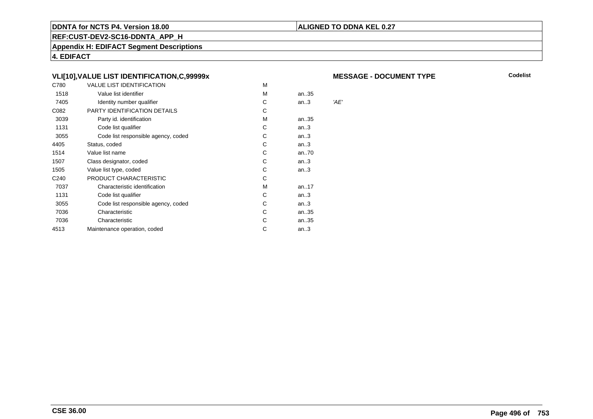# **ALIGNED TO DDNA KEL 0.27**

**REF:CUST-DEV2-SC16-DDNTA\_APP\_H**

**Appendix H: EDIFACT Segment Descriptions**

**4. EDIFACT**

# **VLI[10],VALUE LIST IDENTIFICATION,C,99999x**

| C780             | <b>VALUE LIST IDENTIFICATION</b>    | M |        |      |
|------------------|-------------------------------------|---|--------|------|
| 1518             | Value list identifier               | M | an35   |      |
| 7405             | Identity number qualifier           | C | an.3   | 'AE' |
| C082             | <b>PARTY IDENTIFICATION DETAILS</b> | С |        |      |
| 3039             | Party id. identification            | М | an35   |      |
| 1131             | Code list qualifier                 | С | an.3   |      |
| 3055             | Code list responsible agency, coded | С | an $3$ |      |
| 4405             | Status, coded                       | С | an.3   |      |
| 1514             | Value list name                     | С | an70   |      |
| 1507             | Class designator, coded             | C | an.3   |      |
| 1505             | Value list type, coded              | C | an.3   |      |
| C <sub>240</sub> | PRODUCT CHARACTERISTIC              | С |        |      |
| 7037             | Characteristic identification       | м | an17   |      |
| 1131             | Code list qualifier                 | С | an.3   |      |
| 3055             | Code list responsible agency, coded | С | an.3   |      |
| 7036             | Characteristic                      | С | an35   |      |
| 7036             | Characteristic                      | C | an35   |      |
| 4513             | Maintenance operation, coded        | С | an $3$ |      |
|                  |                                     |   |        |      |

#### **MESSAGE - DOCUMENT TYPE**

**Codelist**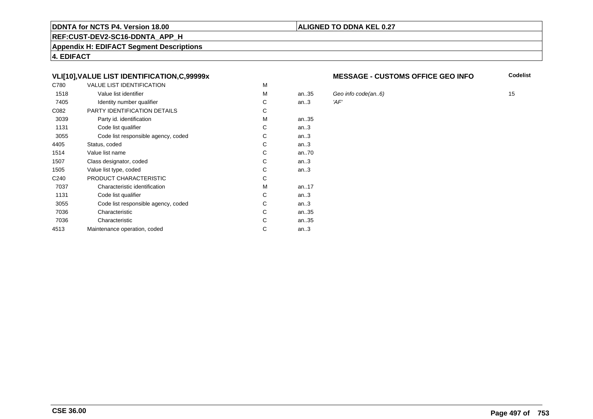# **REF:CUST-DEV2-SC16-DDNTA\_APP\_H**

**Appendix H: EDIFACT Segment Descriptions**

**4. EDIFACT**

# **VLI[10],VALUE LIST IDENTIFICATION,C,99999x**

| C780             | <b>VALUE LIST IDENTIFICATION</b>    | M |      |      |
|------------------|-------------------------------------|---|------|------|
| 1518             | Value list identifier               | М | an35 | Gec  |
| 7405             | Identity number qualifier           | С | an.3 | 'AF' |
| C082             | PARTY IDENTIFICATION DETAILS        | С |      |      |
| 3039             | Party id. identification            | м | an35 |      |
| 1131             | Code list qualifier                 | C | an.3 |      |
| 3055             | Code list responsible agency, coded | C | an.3 |      |
| 4405             | Status, coded                       | C | an.3 |      |
| 1514             | Value list name                     | C | an70 |      |
| 1507             | Class designator, coded             | C | an.3 |      |
| 1505             | Value list type, coded              | С | an.3 |      |
| C <sub>240</sub> | PRODUCT CHARACTERISTIC              | С |      |      |
| 7037             | Characteristic identification       | м | an17 |      |
| 1131             | Code list qualifier                 | С | an.3 |      |
| 3055             | Code list responsible agency, coded | С | an.3 |      |
| 7036             | Characteristic                      | С | an35 |      |
| 7036             | Characteristic                      | C | an35 |      |
| 4513             | Maintenance operation, coded        | С | an.3 |      |
|                  |                                     |   |      |      |

#### **MESSAGE - CUSTOMS OFFICE GEO INFO**

**Codelist**

Geo info code(an..6)  $\blacksquare$  15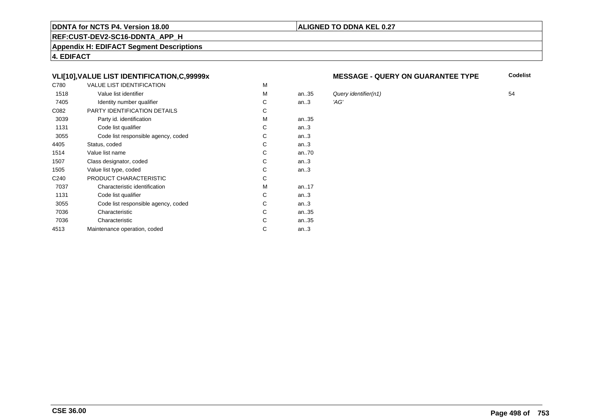# **REF:CUST-DEV2-SC16-DDNTA\_APP\_H**

**Appendix H: EDIFACT Segment Descriptions**

**4. EDIFACT**

# **VLI[10],VALUE LIST IDENTIFICATION,C,99999x**

| C780             | <b>VALUE LIST IDENTIFICATION</b>    | M |           |      |
|------------------|-------------------------------------|---|-----------|------|
| 1518             | Value list identifier               | M | an35      | Que  |
| 7405             | Identity number qualifier           | С | an.3      | 'AG' |
| C082             | PARTY IDENTIFICATION DETAILS        | С |           |      |
| 3039             | Party id. identification            | M | an35      |      |
| 1131             | Code list qualifier                 | C | an.3      |      |
| 3055             | Code list responsible agency, coded | С | an.3      |      |
| 4405             | Status, coded                       | С | an.3      |      |
| 1514             | Value list name                     | С | an70      |      |
| 1507             | Class designator, coded             | С | an.3      |      |
| 1505             | Value list type, coded              | С | an.3      |      |
| C <sub>240</sub> | PRODUCT CHARACTERISTIC              | С |           |      |
| 7037             | Characteristic identification       | M | an. $.17$ |      |
| 1131             | Code list qualifier                 | С | an.3      |      |
| 3055             | Code list responsible agency, coded | С | an.3      |      |
| 7036             | Characteristic                      | C | an35      |      |
| 7036             | Characteristic                      | С | an35      |      |
| 4513             | Maintenance operation, coded        | C | an.3      |      |
|                  |                                     |   |           |      |

#### **MESSAGE - QUERY ON GUARANTEE TYPE**

**Codelist**

Query identifier(n1) 54<br>'AG'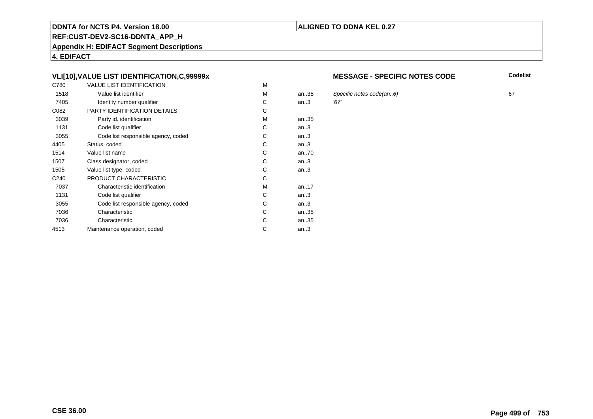### **REF:CUST-DEV2-SC16-DDNTA\_APP\_H**

**Appendix H: EDIFACT Segment Descriptions**

**4. EDIFACT**

# **VLI[10],VALUE LIST IDENTIFICATION,C,99999x**

| C780             | <b>VALUE LIST IDENTIFICATION</b>    | M |           |      |
|------------------|-------------------------------------|---|-----------|------|
| 1518             | Value list identifier               | M | an35      | Spe  |
| 7405             | Identity number qualifier           | С | an.3      | '67' |
| C082             | PARTY IDENTIFICATION DETAILS        | С |           |      |
| 3039             | Party id. identification            | м | an35      |      |
| 1131             | Code list qualifier                 | C | an.3      |      |
| 3055             | Code list responsible agency, coded | C | an.3      |      |
| 4405             | Status, coded                       | С | an.3      |      |
| 1514             | Value list name                     | C | an70      |      |
| 1507             | Class designator, coded             | C | an.3      |      |
| 1505             | Value list type, coded              | С | an.3      |      |
| C <sub>240</sub> | PRODUCT CHARACTERISTIC              | С |           |      |
| 7037             | Characteristic identification       | м | an. $.17$ |      |
| 1131             | Code list qualifier                 | С | an.3      |      |
| 3055             | Code list responsible agency, coded | С | an.3      |      |
| 7036             | Characteristic                      | C | an35      |      |
| 7036             | Characteristic                      | C | an35      |      |
| 4513             | Maintenance operation, coded        | С | an.3      |      |
|                  |                                     |   |           |      |

#### **MESSAGE - SPECIFIC NOTES CODE**

**Codelist**

Specific notes code(an..6) 67<br>'67'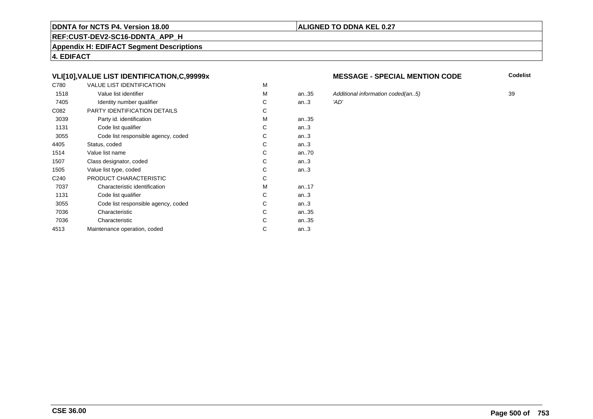### **REF:CUST-DEV2-SC16-DDNTA\_APP\_H**

**Appendix H: EDIFACT Segment Descriptions**

**4. EDIFACT**

# **VLI[10],VALUE LIST IDENTIFICATION,C,99999x**

| C780             | <b>VALUE LIST IDENTIFICATION</b>    | M |           |      |
|------------------|-------------------------------------|---|-----------|------|
| 1518             | Value list identifier               | M | an35      | Add  |
| 7405             | Identity number qualifier           | C | an.3      | 'AD' |
| C082             | PARTY IDENTIFICATION DETAILS        | C |           |      |
| 3039             | Party id. identification            | M | an35      |      |
| 1131             | Code list qualifier                 | C | an.3      |      |
| 3055             | Code list responsible agency, coded | C | an.3      |      |
| 4405             | Status, coded                       | C | an.3      |      |
| 1514             | Value list name                     | C | an70      |      |
| 1507             | Class designator, coded             | C | an.3      |      |
| 1505             | Value list type, coded              | C | an.3      |      |
| C <sub>240</sub> | PRODUCT CHARACTERISTIC              | C |           |      |
| 7037             | Characteristic identification       | M | an. $.17$ |      |
| 1131             | Code list qualifier                 | C | an.3      |      |
| 3055             | Code list responsible agency, coded | C | an.3      |      |
| 7036             | Characteristic                      | C | an35      |      |
| 7036             | Characteristic                      | C | an35      |      |
| 4513             | Maintenance operation, coded        | С | an.3      |      |
|                  |                                     |   |           |      |

#### **MESSAGE - SPECIAL MENTION CODE**

**Codelist**

Additional information coded(an..5) 39<br>'AD'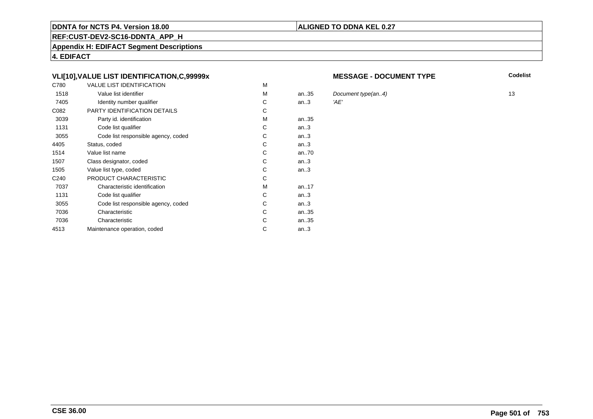# **REF:CUST-DEV2-SC16-DDNTA\_APP\_H**

**Appendix H: EDIFACT Segment Descriptions**

**4. EDIFACT**

# **VLI[10],VALUE LIST IDENTIFICATION,C,99999x**

| C780             | <b>VALUE LIST IDENTIFICATION</b>    | M |           |      |
|------------------|-------------------------------------|---|-----------|------|
| 1518             | Value list identifier               | M | an35      | Doc  |
| 7405             | Identity number qualifier           | С | an.3      | 'AE' |
| C082             | PARTY IDENTIFICATION DETAILS        | C |           |      |
| 3039             | Party id. identification            | M | an35      |      |
| 1131             | Code list qualifier                 | C | an.3      |      |
| 3055             | Code list responsible agency, coded | C | an.3      |      |
| 4405             | Status, coded                       | C | an.3      |      |
| 1514             | Value list name                     | C | an70      |      |
| 1507             | Class designator, coded             | C | an.3      |      |
| 1505             | Value list type, coded              | C | an.3      |      |
| C <sub>240</sub> | PRODUCT CHARACTERISTIC              | C |           |      |
| 7037             | Characteristic identification       | М | an. $.17$ |      |
| 1131             | Code list qualifier                 | C | an.3      |      |
| 3055             | Code list responsible agency, coded | C | an.3      |      |
| 7036             | Characteristic                      | C | an35      |      |
| 7036             | Characteristic                      | C | an35      |      |
| 4513             | Maintenance operation, coded        | С | an.3      |      |
|                  |                                     |   |           |      |

#### **MESSAGE - DOCUMENT TYPE**

**Codelist**

Document type(an..4) 13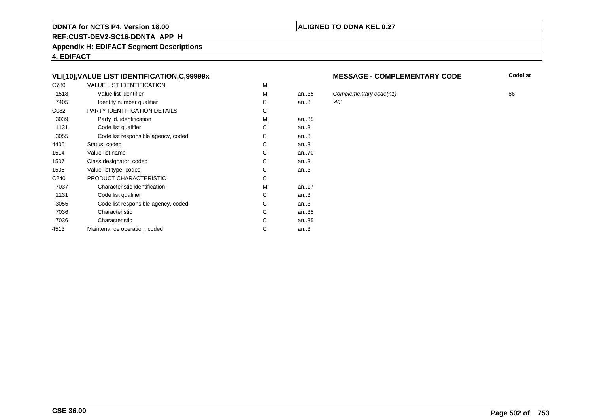# **REF:CUST-DEV2-SC16-DDNTA\_APP\_H**

**Appendix H: EDIFACT Segment Descriptions**

**4. EDIFACT**

# **VLI[10],VALUE LIST IDENTIFICATION,C,99999x**

| C780             | <b>VALUE LIST IDENTIFICATION</b>    | M |           |      |
|------------------|-------------------------------------|---|-----------|------|
| 1518             | Value list identifier               | M | an.35     | Cor  |
| 7405             | Identity number qualifier           | С | an.3      | '40' |
| C082             | PARTY IDENTIFICATION DETAILS        | С |           |      |
| 3039             | Party id. identification            | М | an35      |      |
| 1131             | Code list qualifier                 | C | an.3      |      |
| 3055             | Code list responsible agency, coded | C | an.3      |      |
| 4405             | Status, coded                       | C | an.3      |      |
| 1514             | Value list name                     | C | an70      |      |
| 1507             | Class designator, coded             | C | an.3      |      |
| 1505             | Value list type, coded              | С | an.3      |      |
| C <sub>240</sub> | PRODUCT CHARACTERISTIC              | С |           |      |
| 7037             | Characteristic identification       | М | an. $.17$ |      |
| 1131             | Code list qualifier                 | С | an.3      |      |
| 3055             | Code list responsible agency, coded | С | an.3      |      |
| 7036             | Characteristic                      | C | an35      |      |
| 7036             | Characteristic                      | C | an35      |      |
| 4513             | Maintenance operation, coded        | С | an.3      |      |
|                  |                                     |   |           |      |

#### **MESSAGE - COMPLEMENTARY CODE**

**Codelist**

Complementary code(n1)  $36$ <br> $(40)$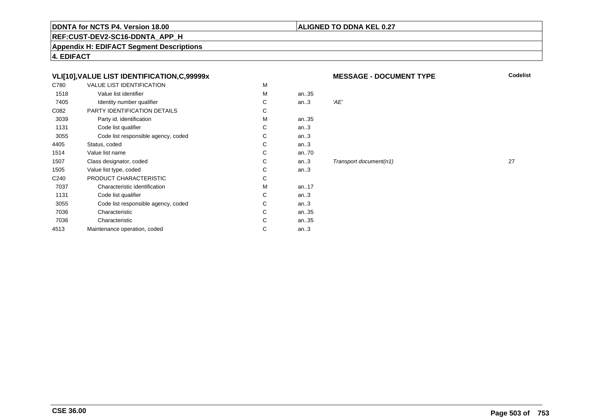# **ALIGNED TO DDNA KEL 0.27**

**REF:CUST-DEV2-SC16-DDNTA\_APP\_H**

**Appendix H: EDIFACT Segment Descriptions**

**4. EDIFACT**

# **VLI[10],VALUE LIST IDENTIFICATION,C,99999x**

| C780             | <b>VALUE LIST IDENTIFICATION</b>    | М |           |      |
|------------------|-------------------------------------|---|-----------|------|
| 1518             | Value list identifier               | M | an35      |      |
| 7405             | Identity number qualifier           | С | an.3      | 'AE' |
| C082             | PARTY IDENTIFICATION DETAILS        | С |           |      |
| 3039             | Party id. identification            | M | an35      |      |
| 1131             | Code list qualifier                 | C | an.3      |      |
| 3055             | Code list responsible agency, coded | C | an.3      |      |
| 4405             | Status, coded                       | С | an.3      |      |
| 1514             | Value list name                     | C | an70      |      |
| 1507             | Class designator, coded             | C | an.3      | Trai |
| 1505             | Value list type, coded              | С | an.3      |      |
| C <sub>240</sub> | PRODUCT CHARACTERISTIC              | С |           |      |
| 7037             | Characteristic identification       | м | an. $.17$ |      |
| 1131             | Code list qualifier                 | С | an.3      |      |
| 3055             | Code list responsible agency, coded | С | an.3      |      |
| 7036             | Characteristic                      | С | an35      |      |
| 7036             | Characteristic                      | С | an35      |      |
| 4513             | Maintenance operation, coded        | С | an.3      |      |
|                  |                                     |   |           |      |

**MESSAGE - DOCUMENT TYPE**

**Codelist**

#### $Transport document(n1)$  27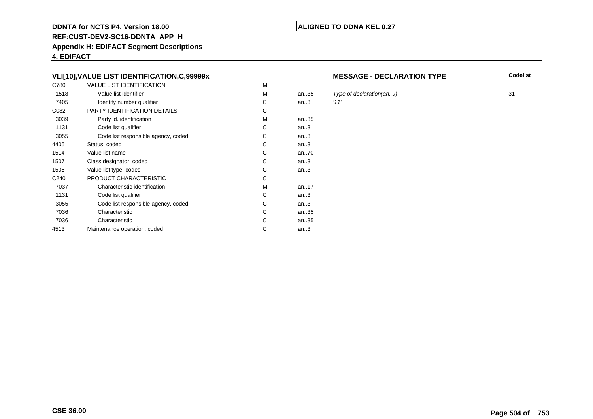# **REF:CUST-DEV2-SC16-DDNTA\_APP\_H**

**Appendix H: EDIFACT Segment Descriptions**

**4. EDIFACT**

# **VLI[10],VALUE LIST IDENTIFICATION,C,99999x**

| C780             | <b>VALUE LIST IDENTIFICATION</b>    | M |       |      |
|------------------|-------------------------------------|---|-------|------|
| 1518             | Value list identifier               | M | an.35 | Typ  |
| 7405             | Identity number qualifier           | С | an.3  | '11' |
| C082             | <b>PARTY IDENTIFICATION DETAILS</b> | С |       |      |
| 3039             | Party id. identification            | М | an35  |      |
| 1131             | Code list qualifier                 | C | an.3  |      |
| 3055             | Code list responsible agency, coded | C | an.3  |      |
| 4405             | Status, coded                       | C | an.3  |      |
| 1514             | Value list name                     | C | an70  |      |
| 1507             | Class designator, coded             | C | an.3  |      |
| 1505             | Value list type, coded              | С | an.3  |      |
| C <sub>240</sub> | PRODUCT CHARACTERISTIC              | С |       |      |
| 7037             | Characteristic identification       | М | an17  |      |
| 1131             | Code list qualifier                 | С | an.3  |      |
| 3055             | Code list responsible agency, coded | С | an.3  |      |
| 7036             | Characteristic                      | C | an35  |      |
| 7036             | Characteristic                      | C | an35  |      |
| 4513             | Maintenance operation, coded        | С | an.3  |      |
|                  |                                     |   |       |      |

#### **MESSAGE - DECLARATION TYPE**

**Codelist**

Type of declaration(an..9) 31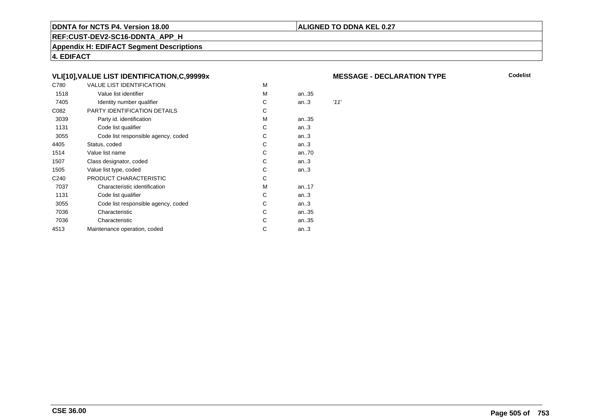# **ALIGNED TO DDNA KEL 0.27**

**REF:CUST-DEV2-SC16-DDNTA\_APP\_H**

**Appendix H: EDIFACT Segment Descriptions**

**4. EDIFACT**

# **VLI[10],VALUE LIST IDENTIFICATION,C,99999x**

| C780             | <b>VALUE LIST IDENTIFICATION</b>    | M |      |      |
|------------------|-------------------------------------|---|------|------|
| 1518             | Value list identifier               | M | an35 |      |
| 7405             | Identity number qualifier           | C | an.3 | '11' |
| C082             | PARTY IDENTIFICATION DETAILS        | С |      |      |
| 3039             | Party id. identification            | м | an35 |      |
| 1131             | Code list qualifier                 | С | an.3 |      |
| 3055             | Code list responsible agency, coded | С | an.3 |      |
| 4405             | Status, coded                       | С | an.3 |      |
| 1514             | Value list name                     | C | an70 |      |
| 1507             | Class designator, coded             | C | an.3 |      |
| 1505             | Value list type, coded              | С | an.3 |      |
| C <sub>240</sub> | PRODUCT CHARACTERISTIC              | С |      |      |
| 7037             | Characteristic identification       | м | an17 |      |
| 1131             | Code list qualifier                 | С | an.3 |      |
| 3055             | Code list responsible agency, coded | С | an.3 |      |
| 7036             | Characteristic                      | С | an35 |      |
| 7036             | Characteristic                      | С | an35 |      |
| 4513             | Maintenance operation, coded        | С | an.3 |      |
|                  |                                     |   |      |      |

#### **MESSAGE - DECLARATION TYPE**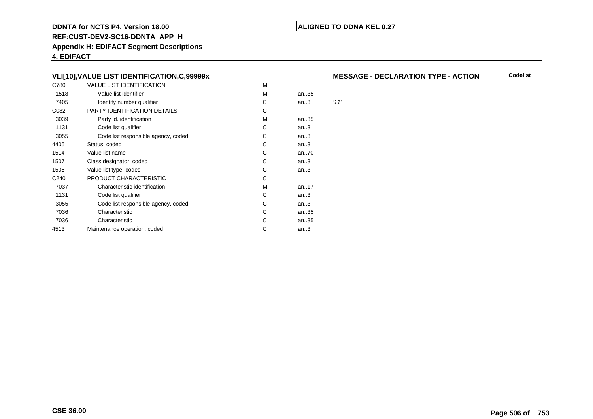# **ALIGNED TO DDNA KEL 0.27**

**REF:CUST-DEV2-SC16-DDNTA\_APP\_H**

**Appendix H: EDIFACT Segment Descriptions**

**4. EDIFACT**

# **VLI[10],VALUE LIST IDENTIFICATION,C,99999x**

| C780             | <b>VALUE LIST IDENTIFICATION</b>    | M |      |      |
|------------------|-------------------------------------|---|------|------|
| 1518             | Value list identifier               | м | an35 |      |
| 7405             | Identity number qualifier           | С | an.3 | '11' |
| C082             | PARTY IDENTIFICATION DETAILS        | С |      |      |
| 3039             | Party id. identification            | M | an35 |      |
| 1131             | Code list qualifier                 | С | an.3 |      |
| 3055             | Code list responsible agency, coded | С | an.3 |      |
| 4405             | Status, coded                       | С | an.3 |      |
| 1514             | Value list name                     | С | an70 |      |
| 1507             | Class designator, coded             | C | an.3 |      |
| 1505             | Value list type, coded              | С | an.3 |      |
| C <sub>240</sub> | PRODUCT CHARACTERISTIC              | С |      |      |
| 7037             | Characteristic identification       | м | an17 |      |
| 1131             | Code list qualifier                 | С | an.3 |      |
| 3055             | Code list responsible agency, coded | С | an.3 |      |
| 7036             | Characteristic                      | С | an35 |      |
| 7036             | Characteristic                      | С | an35 |      |
| 4513             | Maintenance operation, coded        | С | an.3 |      |
|                  |                                     |   |      |      |

# **MESSAGE - DECLARATION TYPE - ACTION**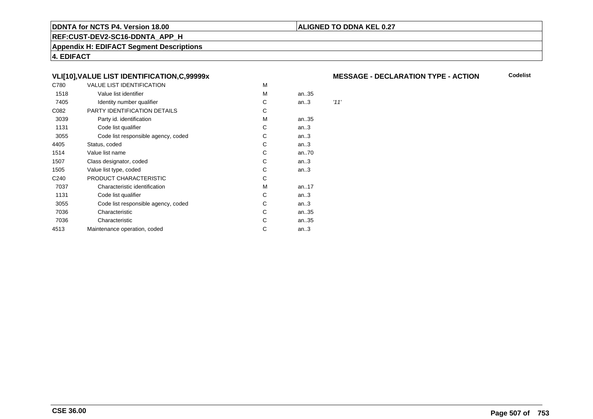# **ALIGNED TO DDNA KEL 0.27**

**REF:CUST-DEV2-SC16-DDNTA\_APP\_H**

**Appendix H: EDIFACT Segment Descriptions**

**4. EDIFACT**

# **VLI[10],VALUE LIST IDENTIFICATION,C,99999x**

| C780             | <b>VALUE LIST IDENTIFICATION</b>    | M |      |      |
|------------------|-------------------------------------|---|------|------|
| 1518             | Value list identifier               | M | an35 |      |
| 7405             | Identity number qualifier           | C | an.3 | '11' |
| C082             | PARTY IDENTIFICATION DETAILS        | С |      |      |
| 3039             | Party id. identification            | м | an35 |      |
| 1131             | Code list qualifier                 | С | an.3 |      |
| 3055             | Code list responsible agency, coded | С | an.3 |      |
| 4405             | Status, coded                       | С | an.3 |      |
| 1514             | Value list name                     | C | an70 |      |
| 1507             | Class designator, coded             | C | an.3 |      |
| 1505             | Value list type, coded              | С | an.3 |      |
| C <sub>240</sub> | PRODUCT CHARACTERISTIC              | С |      |      |
| 7037             | Characteristic identification       | м | an17 |      |
| 1131             | Code list qualifier                 | С | an.3 |      |
| 3055             | Code list responsible agency, coded | С | an.3 |      |
| 7036             | Characteristic                      | С | an35 |      |
| 7036             | Characteristic                      | С | an35 |      |
| 4513             | Maintenance operation, coded        | С | an.3 |      |
|                  |                                     |   |      |      |

# **MESSAGE - DECLARATION TYPE - ACTION**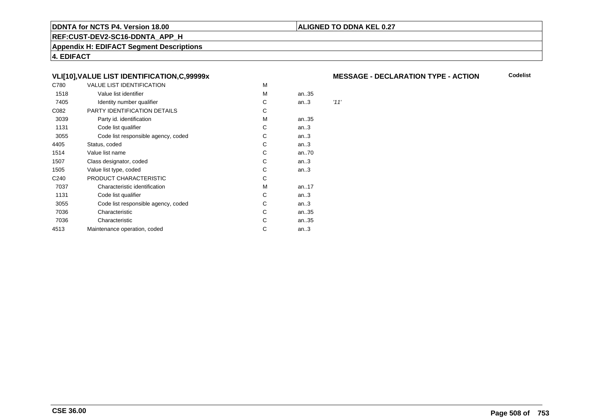# **ALIGNED TO DDNA KEL 0.27**

**REF:CUST-DEV2-SC16-DDNTA\_APP\_H**

**Appendix H: EDIFACT Segment Descriptions**

**4. EDIFACT**

# **VLI[10],VALUE LIST IDENTIFICATION,C,99999x**

| C780             | <b>VALUE LIST IDENTIFICATION</b>    | M |      |      |
|------------------|-------------------------------------|---|------|------|
| 1518             | Value list identifier               | м | an35 |      |
| 7405             | Identity number qualifier           | С | an.3 | '11' |
| C082             | PARTY IDENTIFICATION DETAILS        | С |      |      |
| 3039             | Party id. identification            | M | an35 |      |
| 1131             | Code list qualifier                 | С | an.3 |      |
| 3055             | Code list responsible agency, coded | С | an.3 |      |
| 4405             | Status, coded                       | С | an.3 |      |
| 1514             | Value list name                     | С | an70 |      |
| 1507             | Class designator, coded             | C | an.3 |      |
| 1505             | Value list type, coded              | С | an.3 |      |
| C <sub>240</sub> | PRODUCT CHARACTERISTIC              | С |      |      |
| 7037             | Characteristic identification       | М | an17 |      |
| 1131             | Code list qualifier                 | С | an.3 |      |
| 3055             | Code list responsible agency, coded | С | an.3 |      |
| 7036             | Characteristic                      | С | an35 |      |
| 7036             | Characteristic                      | С | an35 |      |
| 4513             | Maintenance operation, coded        | С | an.3 |      |
|                  |                                     |   |      |      |

# **MESSAGE - DECLARATION TYPE - ACTION**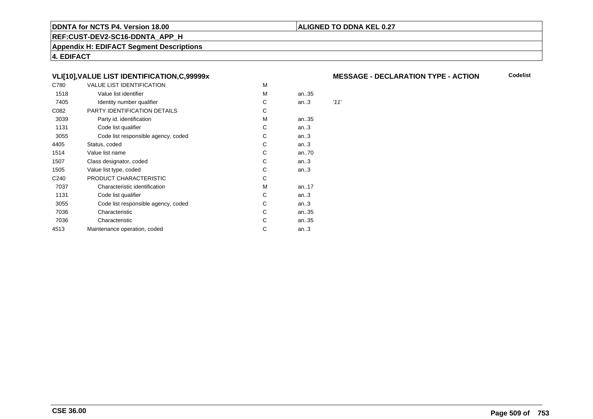# **ALIGNED TO DDNA KEL 0.27**

**REF:CUST-DEV2-SC16-DDNTA\_APP\_H**

**Appendix H: EDIFACT Segment Descriptions**

**4. EDIFACT**

# **VLI[10],VALUE LIST IDENTIFICATION,C,99999x**

| C780             | <b>VALUE LIST IDENTIFICATION</b>    | M |      |      |
|------------------|-------------------------------------|---|------|------|
| 1518             | Value list identifier               | М | an35 |      |
| 7405             | Identity number qualifier           | С | an.3 | '11' |
| C082             | PARTY IDENTIFICATION DETAILS        | С |      |      |
| 3039             | Party id. identification            | M | an35 |      |
| 1131             | Code list qualifier                 | С | an.3 |      |
| 3055             | Code list responsible agency, coded | С | an.3 |      |
| 4405             | Status, coded                       | С | an.3 |      |
| 1514             | Value list name                     | С | an70 |      |
| 1507             | Class designator, coded             | C | an.3 |      |
| 1505             | Value list type, coded              | С | an.3 |      |
| C <sub>240</sub> | PRODUCT CHARACTERISTIC              | С |      |      |
| 7037             | Characteristic identification       | М | an17 |      |
| 1131             | Code list qualifier                 | С | an.3 |      |
| 3055             | Code list responsible agency, coded | С | an.3 |      |
| 7036             | Characteristic                      | С | an35 |      |
| 7036             | Characteristic                      | С | an35 |      |
| 4513             | Maintenance operation, coded        | С | an.3 |      |
|                  |                                     |   |      |      |

# **MESSAGE - DECLARATION TYPE - ACTION**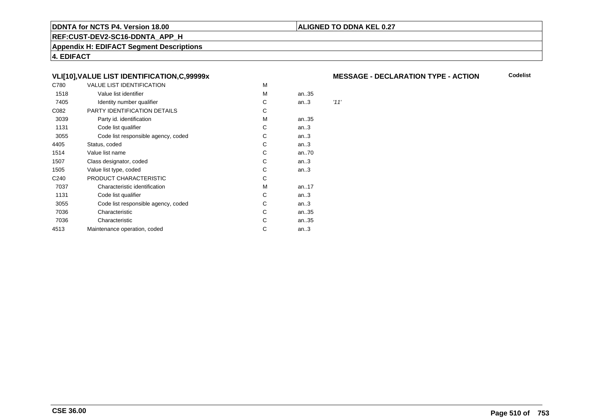# **ALIGNED TO DDNA KEL 0.27**

**REF:CUST-DEV2-SC16-DDNTA\_APP\_H**

**Appendix H: EDIFACT Segment Descriptions**

**4. EDIFACT**

# **VLI[10],VALUE LIST IDENTIFICATION,C,99999x**

| C780             | <b>VALUE LIST IDENTIFICATION</b>    | M |      |      |
|------------------|-------------------------------------|---|------|------|
| 1518             | Value list identifier               | М | an35 |      |
| 7405             | Identity number qualifier           | С | an.3 | '11' |
| C082             | PARTY IDENTIFICATION DETAILS        | С |      |      |
| 3039             | Party id. identification            | M | an35 |      |
| 1131             | Code list qualifier                 | С | an.3 |      |
| 3055             | Code list responsible agency, coded | С | an.3 |      |
| 4405             | Status, coded                       | С | an.3 |      |
| 1514             | Value list name                     | С | an70 |      |
| 1507             | Class designator, coded             | C | an.3 |      |
| 1505             | Value list type, coded              | С | an.3 |      |
| C <sub>240</sub> | PRODUCT CHARACTERISTIC              | С |      |      |
| 7037             | Characteristic identification       | М | an17 |      |
| 1131             | Code list qualifier                 | С | an.3 |      |
| 3055             | Code list responsible agency, coded | С | an.3 |      |
| 7036             | Characteristic                      | С | an35 |      |
| 7036             | Characteristic                      | С | an35 |      |
| 4513             | Maintenance operation, coded        | С | an.3 |      |
|                  |                                     |   |      |      |

# **MESSAGE - DECLARATION TYPE - ACTION**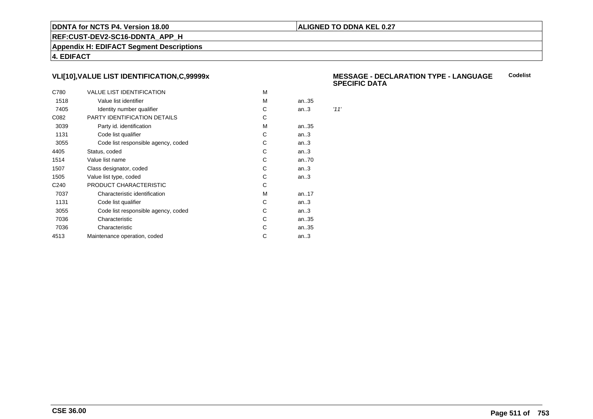# **ALIGNED TO DDNA KEL 0.27**

**REF:CUST-DEV2-SC16-DDNTA\_APP\_H**

**Appendix H: EDIFACT Segment Descriptions**

**4. EDIFACT**

# **VLI[10],VALUE LIST IDENTIFICATION,C,99999x**

| C780             | <b>VALUE LIST IDENTIFICATION</b>    | M |      |      |
|------------------|-------------------------------------|---|------|------|
| 1518             | Value list identifier               | M | an35 |      |
| 7405             | Identity number qualifier           | С | an.3 | '11' |
| C082             | PARTY IDENTIFICATION DETAILS        | С |      |      |
| 3039             | Party id. identification            | м | an35 |      |
| 1131             | Code list qualifier                 | С | an.3 |      |
| 3055             | Code list responsible agency, coded | С | an.3 |      |
| 4405             | Status, coded                       | С | an.3 |      |
| 1514             | Value list name                     | C | an70 |      |
| 1507             | Class designator, coded             | С | an.3 |      |
| 1505             | Value list type, coded              | С | an.3 |      |
| C <sub>240</sub> | PRODUCT CHARACTERISTIC              | С |      |      |
| 7037             | Characteristic identification       | м | an17 |      |
| 1131             | Code list qualifier                 | С | an.3 |      |
| 3055             | Code list responsible agency, coded | С | an.3 |      |
| 7036             | Characteristic                      | C | an35 |      |
| 7036             | Characteristic                      | С | an35 |      |
| 4513             | Maintenance operation, coded        | С | an.3 |      |
|                  |                                     |   |      |      |

#### **MESSAGE - DECLARATION TYPE - LANGUAGESPECIFIC DATACodelist**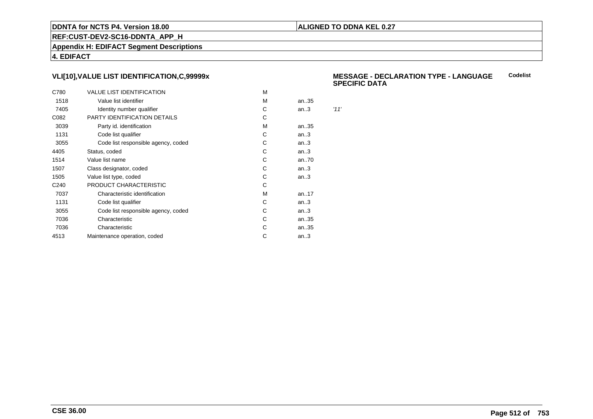# **ALIGNED TO DDNA KEL 0.27**

**REF:CUST-DEV2-SC16-DDNTA\_APP\_H**

**Appendix H: EDIFACT Segment Descriptions**

**4. EDIFACT**

# **VLI[10],VALUE LIST IDENTIFICATION,C,99999x**

| C780             | <b>VALUE LIST IDENTIFICATION</b>    | M |      |      |
|------------------|-------------------------------------|---|------|------|
| 1518             | Value list identifier               | M | an35 |      |
| 7405             | Identity number qualifier           | С | an.3 | '11' |
| C082             | PARTY IDENTIFICATION DETAILS        | С |      |      |
| 3039             | Party id. identification            | м | an35 |      |
| 1131             | Code list qualifier                 | С | an.3 |      |
| 3055             | Code list responsible agency, coded | С | an.3 |      |
| 4405             | Status, coded                       | С | an.3 |      |
| 1514             | Value list name                     | C | an70 |      |
| 1507             | Class designator, coded             | С | an.3 |      |
| 1505             | Value list type, coded              | С | an.3 |      |
| C <sub>240</sub> | PRODUCT CHARACTERISTIC              | С |      |      |
| 7037             | Characteristic identification       | м | an17 |      |
| 1131             | Code list qualifier                 | С | an.3 |      |
| 3055             | Code list responsible agency, coded | С | an.3 |      |
| 7036             | Characteristic                      | C | an35 |      |
| 7036             | Characteristic                      | С | an35 |      |
| 4513             | Maintenance operation, coded        | С | an.3 |      |
|                  |                                     |   |      |      |

#### **MESSAGE - DECLARATION TYPE - LANGUAGESPECIFIC DATACodelist**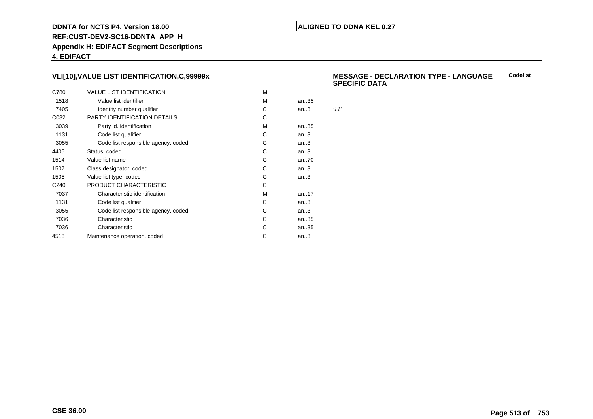# **ALIGNED TO DDNA KEL 0.27**

**REF:CUST-DEV2-SC16-DDNTA\_APP\_H**

**Appendix H: EDIFACT Segment Descriptions**

**4. EDIFACT**

# **VLI[10],VALUE LIST IDENTIFICATION,C,99999x**

| C780             | <b>VALUE LIST IDENTIFICATION</b>    | M |      |      |
|------------------|-------------------------------------|---|------|------|
| 1518             | Value list identifier               | M | an35 |      |
| 7405             | Identity number qualifier           | С | an.3 | '11' |
| C082             | PARTY IDENTIFICATION DETAILS        | С |      |      |
| 3039             | Party id. identification            | м | an35 |      |
| 1131             | Code list qualifier                 | С | an.3 |      |
| 3055             | Code list responsible agency, coded | С | an.3 |      |
| 4405             | Status, coded                       | С | an.3 |      |
| 1514             | Value list name                     | C | an70 |      |
| 1507             | Class designator, coded             | С | an.3 |      |
| 1505             | Value list type, coded              | С | an.3 |      |
| C <sub>240</sub> | PRODUCT CHARACTERISTIC              | С |      |      |
| 7037             | Characteristic identification       | м | an17 |      |
| 1131             | Code list qualifier                 | С | an.3 |      |
| 3055             | Code list responsible agency, coded | С | an.3 |      |
| 7036             | Characteristic                      | C | an35 |      |
| 7036             | Characteristic                      | С | an35 |      |
| 4513             | Maintenance operation, coded        | С | an.3 |      |
|                  |                                     |   |      |      |

#### **MESSAGE - DECLARATION TYPE - LANGUAGESPECIFIC DATACodelist**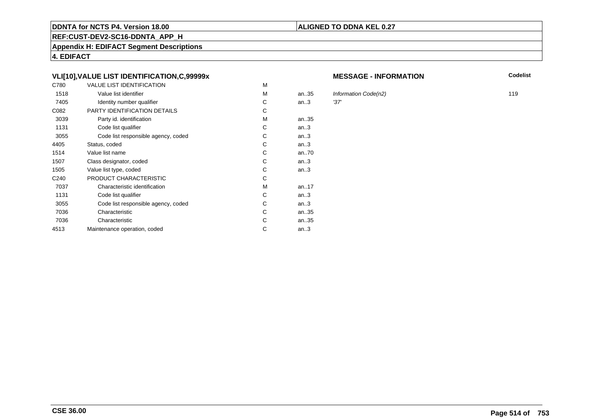# **REF:CUST-DEV2-SC16-DDNTA\_APP\_H**

**Appendix H: EDIFACT Segment Descriptions**

**4. EDIFACT**

# **VLI[10],VALUE LIST IDENTIFICATION,C,99999x**

| C780             | <b>VALUE LIST IDENTIFICATION</b>    | M |      |      |
|------------------|-------------------------------------|---|------|------|
| 1518             | Value list identifier               | м | an35 | Infc |
| 7405             | Identity number qualifier           | С | an.3 | '37' |
| C082             | PARTY IDENTIFICATION DETAILS        | С |      |      |
| 3039             | Party id. identification            | М | an35 |      |
| 1131             | Code list qualifier                 | С | an.3 |      |
| 3055             | Code list responsible agency, coded | C | an.3 |      |
| 4405             | Status, coded                       | C | an.3 |      |
| 1514             | Value list name                     | C | an70 |      |
| 1507             | Class designator, coded             | C | an.3 |      |
| 1505             | Value list type, coded              | С | an.3 |      |
| C <sub>240</sub> | PRODUCT CHARACTERISTIC              | С |      |      |
| 7037             | Characteristic identification       | м | an17 |      |
| 1131             | Code list qualifier                 | С | an.3 |      |
| 3055             | Code list responsible agency, coded | С | an.3 |      |
| 7036             | Characteristic                      | C | an35 |      |
| 7036             | Characteristic                      | С | an35 |      |
| 4513             | Maintenance operation, coded        | С | an.3 |      |
|                  |                                     |   |      |      |

#### **MESSAGE - INFORMATION**

**N** Codelist

Information Code(n2) 119<br>.37' 119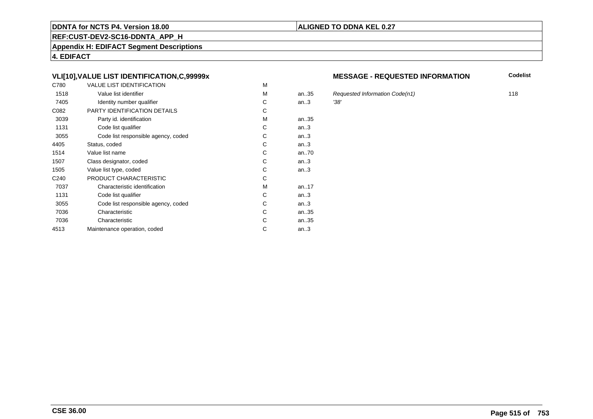# **REF:CUST-DEV2-SC16-DDNTA\_APP\_H**

**Appendix H: EDIFACT Segment Descriptions**

**4. EDIFACT**

# **VLI[10],VALUE LIST IDENTIFICATION,C,99999x**

| C780             | <b>VALUE LIST IDENTIFICATION</b>    | M |       |      |
|------------------|-------------------------------------|---|-------|------|
| 1518             | Value list identifier               | М | an.35 | Red  |
| 7405             | Identity number qualifier           | С | an.3  | '38' |
| C082             | <b>PARTY IDENTIFICATION DETAILS</b> | С |       |      |
| 3039             | Party id. identification            | М | an35  |      |
| 1131             | Code list qualifier                 | C | an.3  |      |
| 3055             | Code list responsible agency, coded | C | an.3  |      |
| 4405             | Status, coded                       | C | an.3  |      |
| 1514             | Value list name                     | C | an70  |      |
| 1507             | Class designator, coded             | C | an.3  |      |
| 1505             | Value list type, coded              | С | an.3  |      |
| C <sub>240</sub> | PRODUCT CHARACTERISTIC              | С |       |      |
| 7037             | Characteristic identification       | М | an17  |      |
| 1131             | Code list qualifier                 | С | an.3  |      |
| 3055             | Code list responsible agency, coded | С | an.3  |      |
| 7036             | Characteristic                      | C | an35  |      |
| 7036             | Characteristic                      | C | an35  |      |
| 4513             | Maintenance operation, coded        | С | an.3  |      |
|                  |                                     |   |       |      |

# **MESSAGE - REQUESTED INFORMATION**

**Codelist**

Requested Information Code(n1) 118<br>.38'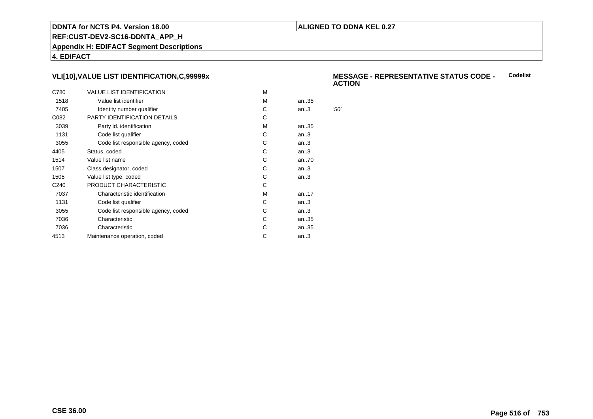# **ALIGNED TO DDNA KEL 0.27**

**REF:CUST-DEV2-SC16-DDNTA\_APP\_H**

**Appendix H: EDIFACT Segment Descriptions**

**4. EDIFACT**

# **VLI[10],VALUE LIST IDENTIFICATION,C,99999x**

| C780             | <b>VALUE LIST IDENTIFICATION</b>    | м |      |      |
|------------------|-------------------------------------|---|------|------|
| 1518             | Value list identifier               | м | an35 |      |
| 7405             | Identity number qualifier           | С | an.3 | '50' |
| C082             | PARTY IDENTIFICATION DETAILS        | С |      |      |
| 3039             | Party id. identification            | м | an35 |      |
| 1131             | Code list qualifier                 | C | an.3 |      |
| 3055             | Code list responsible agency, coded | С | an.3 |      |
| 4405             | Status, coded                       | C | an.3 |      |
| 1514             | Value list name                     | С | an70 |      |
| 1507             | Class designator, coded             | С | an.3 |      |
| 1505             | Value list type, coded              | С | an.3 |      |
| C <sub>240</sub> | PRODUCT CHARACTERISTIC              | С |      |      |
| 7037             | Characteristic identification       | м | an17 |      |
| 1131             | Code list qualifier                 | С | an.3 |      |
| 3055             | Code list responsible agency, coded | С | an.3 |      |
| 7036             | Characteristic                      | C | an35 |      |
| 7036             | Characteristic                      | С | an35 |      |
| 4513             | Maintenance operation, coded        | С | an.3 |      |
|                  |                                     |   |      |      |

#### **MESSAGE - REPRESENTATIVE STATUS CODE - ACTIONCodelist**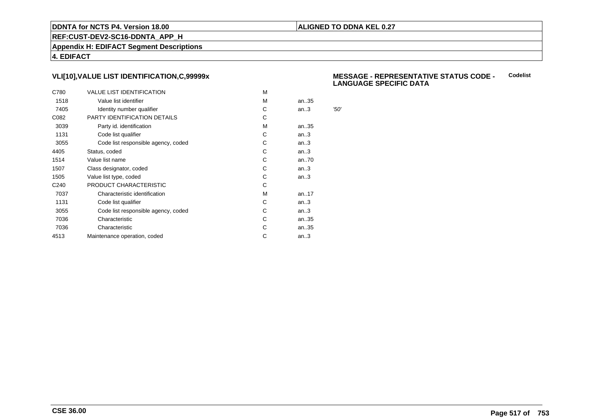# **ALIGNED TO DDNA KEL 0.27**

**REF:CUST-DEV2-SC16-DDNTA\_APP\_H**

**Appendix H: EDIFACT Segment Descriptions**

**4. EDIFACT**

# **VLI[10],VALUE LIST IDENTIFICATION,C,99999x**

| C780             | <b>VALUE LIST IDENTIFICATION</b>    | M |      |      |
|------------------|-------------------------------------|---|------|------|
| 1518             | Value list identifier               | M | an35 |      |
| 7405             | Identity number qualifier           | С | an.3 | '50' |
| C082             | PARTY IDENTIFICATION DETAILS        | С |      |      |
| 3039             | Party id. identification            | м | an35 |      |
| 1131             | Code list qualifier                 | С | an.3 |      |
| 3055             | Code list responsible agency, coded | С | an.3 |      |
| 4405             | Status, coded                       | С | an.3 |      |
| 1514             | Value list name                     | C | an70 |      |
| 1507             | Class designator, coded             | С | an.3 |      |
| 1505             | Value list type, coded              | С | an.3 |      |
| C <sub>240</sub> | PRODUCT CHARACTERISTIC              | С |      |      |
| 7037             | Characteristic identification       | м | an17 |      |
| 1131             | Code list qualifier                 | С | an.3 |      |
| 3055             | Code list responsible agency, coded | С | an.3 |      |
| 7036             | Characteristic                      | C | an35 |      |
| 7036             | Characteristic                      | С | an35 |      |
| 4513             | Maintenance operation, coded        | С | an.3 |      |
|                  |                                     |   |      |      |

#### **MESSAGE - REPRESENTATIVE STATUS CODE - LANGUAGE SPECIFIC DATACodelist**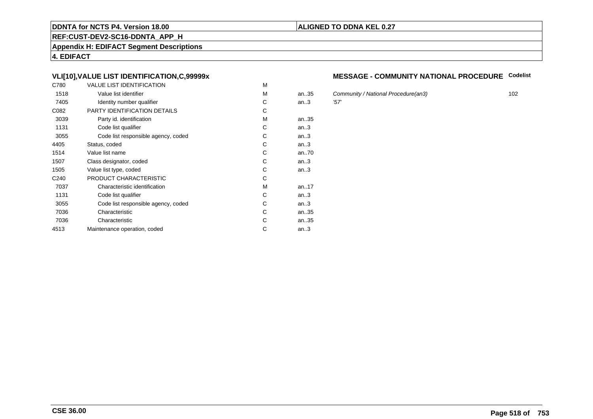# **REF:CUST-DEV2-SC16-DDNTA\_APP\_H**

**Appendix H: EDIFACT Segment Descriptions**

**4. EDIFACT**

# **VLI[10],VALUE LIST IDENTIFICATION,C,99999x**

| C780             | <b>VALUE LIST IDENTIFICATION</b>    | M |      |      |
|------------------|-------------------------------------|---|------|------|
| 1518             | Value list identifier               | M | an35 | Cor  |
| 7405             | Identity number qualifier           | С | an.3 | '57' |
| C082             | PARTY IDENTIFICATION DETAILS        | С |      |      |
| 3039             | Party id. identification            | М | an35 |      |
| 1131             | Code list qualifier                 | С | an.3 |      |
| 3055             | Code list responsible agency, coded | C | an.3 |      |
| 4405             | Status, coded                       | C | an.3 |      |
| 1514             | Value list name                     | C | an70 |      |
| 1507             | Class designator, coded             | C | an.3 |      |
| 1505             | Value list type, coded              | С | an.3 |      |
| C <sub>240</sub> | PRODUCT CHARACTERISTIC              | С |      |      |
| 7037             | Characteristic identification       | м | an17 |      |
| 1131             | Code list qualifier                 | С | an.3 |      |
| 3055             | Code list responsible agency, coded | С | an.3 |      |
| 7036             | Characteristic                      | C | an35 |      |
| 7036             | Characteristic                      | С | an35 |      |
| 4513             | Maintenance operation, coded        | С | an.3 |      |
|                  |                                     |   |      |      |

# **MESSAGE - COMMUNITY NATIONAL PROCEDURE Codelist**

Community / National Procedure(an3) 102<br>157'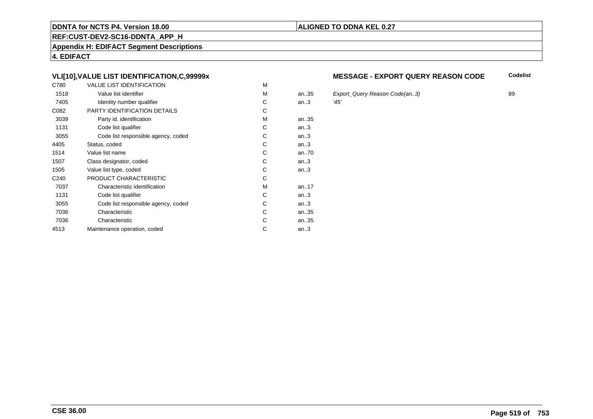# **REF:CUST-DEV2-SC16-DDNTA\_APP\_H**

**Appendix H: EDIFACT Segment Descriptions**

**4. EDIFACT**

# **VLI[10],VALUE LIST IDENTIFICATION,C,99999x**

| C780             | <b>VALUE LIST IDENTIFICATION</b>    | M |           |      |
|------------------|-------------------------------------|---|-----------|------|
| 1518             | Value list identifier               | M | an.35     | Exp  |
| 7405             | Identity number qualifier           | С | an.3      | '45' |
| C082             | PARTY IDENTIFICATION DETAILS        | С |           |      |
| 3039             | Party id. identification            | М | an35      |      |
| 1131             | Code list qualifier                 | C | an.3      |      |
| 3055             | Code list responsible agency, coded | C | an.3      |      |
| 4405             | Status, coded                       | C | an.3      |      |
| 1514             | Value list name                     | C | an70      |      |
| 1507             | Class designator, coded             | C | an.3      |      |
| 1505             | Value list type, coded              | С | an.3      |      |
| C <sub>240</sub> | PRODUCT CHARACTERISTIC              | С |           |      |
| 7037             | Characteristic identification       | М | an. $.17$ |      |
| 1131             | Code list qualifier                 | С | an.3      |      |
| 3055             | Code list responsible agency, coded | С | an.3      |      |
| 7036             | Characteristic                      | C | an35      |      |
| 7036             | Characteristic                      | C | an35      |      |
| 4513             | Maintenance operation, coded        | С | an.3      |      |
|                  |                                     |   |           |      |

#### **MESSAGE - EXPORT QUERY REASON CODECodelist**

Export\_Query Reason Code(an..3) 89<br>145'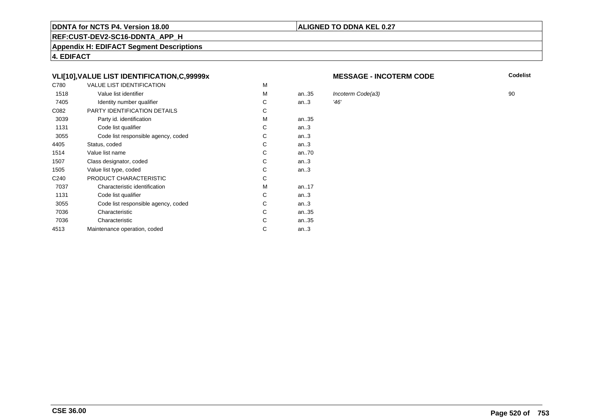# **REF:CUST-DEV2-SC16-DDNTA\_APP\_H**

**Appendix H: EDIFACT Segment Descriptions**

**4. EDIFACT**

# **VLI[10],VALUE LIST IDENTIFICATION,C,99999x**

| C780             | <b>VALUE LIST IDENTIFICATION</b>    | M |      |            |
|------------------|-------------------------------------|---|------|------------|
| 1518             | Value list identifier               | м | an35 | <b>Inc</b> |
| 7405             | Identity number qualifier           | С | an.3 | '46'       |
| C082             | PARTY IDENTIFICATION DETAILS        | С |      |            |
| 3039             | Party id. identification            | М | an35 |            |
| 1131             | Code list qualifier                 | С | an.3 |            |
| 3055             | Code list responsible agency, coded | C | an.3 |            |
| 4405             | Status, coded                       | C | an.3 |            |
| 1514             | Value list name                     | C | an70 |            |
| 1507             | Class designator, coded             | C | an.3 |            |
| 1505             | Value list type, coded              | С | an.3 |            |
| C <sub>240</sub> | PRODUCT CHARACTERISTIC              | С |      |            |
| 7037             | Characteristic identification       | м | an17 |            |
| 1131             | Code list qualifier                 | С | an.3 |            |
| 3055             | Code list responsible agency, coded | С | an.3 |            |
| 7036             | Characteristic                      | C | an35 |            |
| 7036             | Characteristic                      | С | an35 |            |
| 4513             | Maintenance operation, coded        | С | an.3 |            |
|                  |                                     |   |      |            |

#### **MESSAGE - INCOTERM CODE**

**ALIGNED TO DDNA KEL 0.27**

**Codelist**

 $\frac{1}{46}$ <br>  $\frac{1}{46}$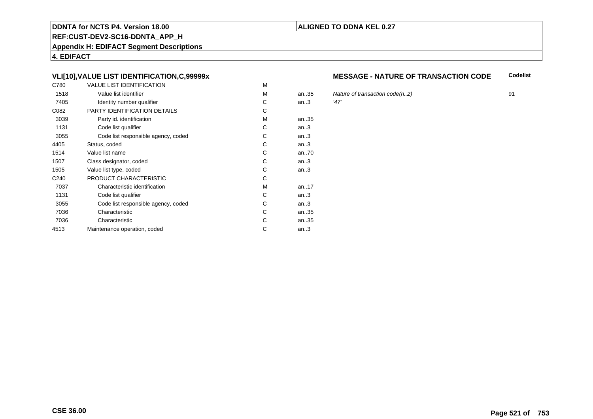# **REF:CUST-DEV2-SC16-DDNTA\_APP\_H**

**Appendix H: EDIFACT Segment Descriptions**

**4. EDIFACT**

# **VLI[10],VALUE LIST IDENTIFICATION,C,99999x**

| C780             | <b>VALUE LIST IDENTIFICATION</b>    | M |           |      |
|------------------|-------------------------------------|---|-----------|------|
| 1518             | Value list identifier               | M | an.35     | Nat  |
| 7405             | Identity number qualifier           | С | an.3      | '47' |
| C082             | PARTY IDENTIFICATION DETAILS        | С |           |      |
| 3039             | Party id. identification            | М | an35      |      |
| 1131             | Code list qualifier                 | C | an.3      |      |
| 3055             | Code list responsible agency, coded | C | an.3      |      |
| 4405             | Status, coded                       | C | an.3      |      |
| 1514             | Value list name                     | C | an70      |      |
| 1507             | Class designator, coded             | C | an.3      |      |
| 1505             | Value list type, coded              | С | an.3      |      |
| C <sub>240</sub> | PRODUCT CHARACTERISTIC              | С |           |      |
| 7037             | Characteristic identification       | М | an. $.17$ |      |
| 1131             | Code list qualifier                 | С | an.3      |      |
| 3055             | Code list responsible agency, coded | С | an.3      |      |
| 7036             | Characteristic                      | C | an35      |      |
| 7036             | Characteristic                      | C | an35      |      |
| 4513             | Maintenance operation, coded        | С | an.3      |      |
|                  |                                     |   |           |      |

#### **MESSAGE - NATURE OF TRANSACTION CODECodelist**

Nature of transaction code(n..2) 91<br>  $27'$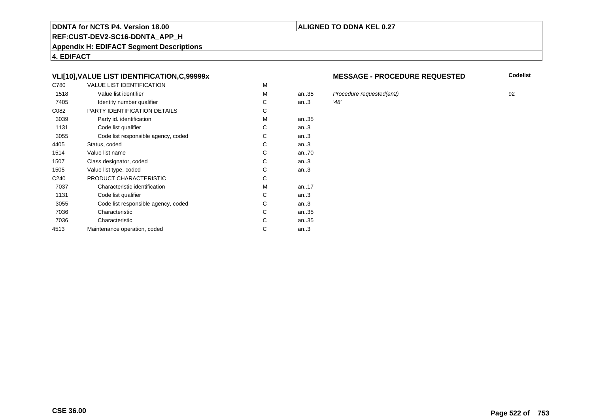# **REF:CUST-DEV2-SC16-DDNTA\_APP\_H**

**Appendix H: EDIFACT Segment Descriptions**

**4. EDIFACT**

# **VLI[10],VALUE LIST IDENTIFICATION,C,99999x**

| C780             | <b>VALUE LIST IDENTIFICATION</b>    | M |           |      |
|------------------|-------------------------------------|---|-----------|------|
| 1518             | Value list identifier               | M | an.35     | Pro  |
| 7405             | Identity number qualifier           | С | an.3      | '48' |
| C082             | PARTY IDENTIFICATION DETAILS        | С |           |      |
| 3039             | Party id. identification            | М | an35      |      |
| 1131             | Code list qualifier                 | C | an.3      |      |
| 3055             | Code list responsible agency, coded | C | an.3      |      |
| 4405             | Status, coded                       | C | an.3      |      |
| 1514             | Value list name                     | C | an70      |      |
| 1507             | Class designator, coded             | C | an.3      |      |
| 1505             | Value list type, coded              | С | an.3      |      |
| C <sub>240</sub> | PRODUCT CHARACTERISTIC              | С |           |      |
| 7037             | Characteristic identification       | М | an. $.17$ |      |
| 1131             | Code list qualifier                 | С | an.3      |      |
| 3055             | Code list responsible agency, coded | С | an.3      |      |
| 7036             | Characteristic                      | C | an35      |      |
| 7036             | Characteristic                      | C | an35      |      |
| 4513             | Maintenance operation, coded        | С | an.3      |      |
|                  |                                     |   |           |      |

#### **MESSAGE - PROCEDURE REQUESTED**

**Codelist**

an..35 Procedure requested(an2) <sup>92</sup>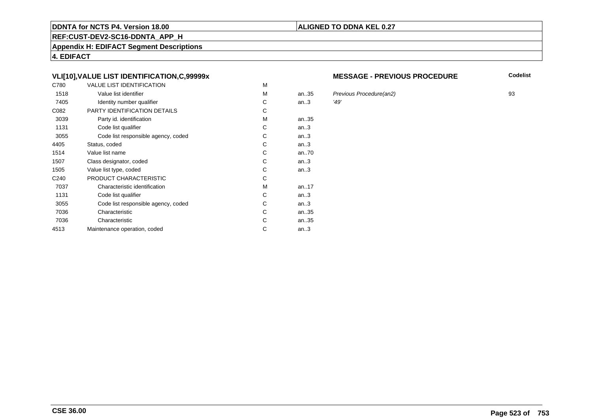# **REF:CUST-DEV2-SC16-DDNTA\_APP\_H**

**Appendix H: EDIFACT Segment Descriptions**

**4. EDIFACT**

# **VLI[10],VALUE LIST IDENTIFICATION,C,99999x**

| C780             | <b>VALUE LIST IDENTIFICATION</b>    | M |      |      |
|------------------|-------------------------------------|---|------|------|
| 1518             | Value list identifier               | M | an35 | Pre  |
| 7405             | Identity number qualifier           | С | an.3 | '49' |
| C082             | PARTY IDENTIFICATION DETAILS        | C |      |      |
| 3039             | Party id. identification            | м | an35 |      |
| 1131             | Code list qualifier                 | C | an.3 |      |
| 3055             | Code list responsible agency, coded | С | an.3 |      |
| 4405             | Status, coded                       | С | an.3 |      |
| 1514             | Value list name                     | С | an70 |      |
| 1507             | Class designator, coded             | C | an.3 |      |
| 1505             | Value list type, coded              | С | an.3 |      |
| C <sub>240</sub> | PRODUCT CHARACTERISTIC              | С |      |      |
| 7037             | Characteristic identification       | М | an17 |      |
| 1131             | Code list qualifier                 | С | an.3 |      |
| 3055             | Code list responsible agency, coded | С | an.3 |      |
| 7036             | Characteristic                      | C | an35 |      |
| 7036             | Characteristic                      | C | an35 |      |
| 4513             | Maintenance operation, coded        | С | an.3 |      |
|                  |                                     |   |      |      |

#### **MESSAGE - PREVIOUS PROCEDURE**

**Codelist**

an..35 Previous Procedure(an2) <sup>93</sup>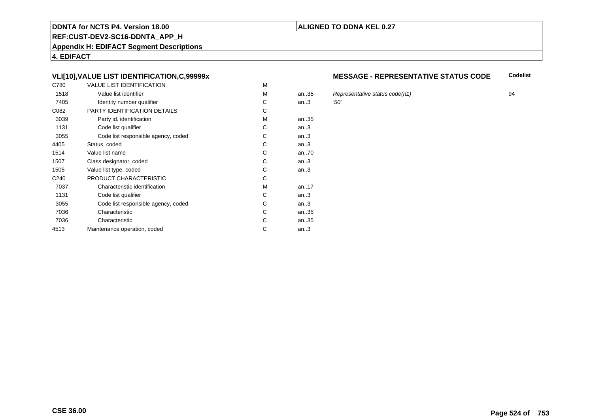# **REF:CUST-DEV2-SC16-DDNTA\_APP\_H**

**Appendix H: EDIFACT Segment Descriptions**

**4. EDIFACT**

# **VLI[10],VALUE LIST IDENTIFICATION,C,99999x**

| C780             | <b>VALUE LIST IDENTIFICATION</b>    | M |      |      |
|------------------|-------------------------------------|---|------|------|
| 1518             | Value list identifier               | M | an35 | Re   |
| 7405             | Identity number qualifier           | С | an.3 | '50' |
| C082             | PARTY IDENTIFICATION DETAILS        | С |      |      |
| 3039             | Party id. identification            | м | an35 |      |
| 1131             | Code list qualifier                 | C | an.3 |      |
| 3055             | Code list responsible agency, coded | C | an.3 |      |
| 4405             | Status, coded                       | С | an.3 |      |
| 1514             | Value list name                     | C | an70 |      |
| 1507             | Class designator, coded             | C | an.3 |      |
| 1505             | Value list type, coded              | С | an.3 |      |
| C <sub>240</sub> | PRODUCT CHARACTERISTIC              | С |      |      |
| 7037             | Characteristic identification       | м | an17 |      |
| 1131             | Code list qualifier                 | С | an.3 |      |
| 3055             | Code list responsible agency, coded | С | an.3 |      |
| 7036             | Characteristic                      | C | an35 |      |
| 7036             | Characteristic                      | C | an35 |      |
| 4513             | Maintenance operation, coded        | С | an.3 |      |
|                  |                                     |   |      |      |

#### **MESSAGE - REPRESENTATIVE STATUS CODECodelist**

Representative status code(n1) 94<br> $294$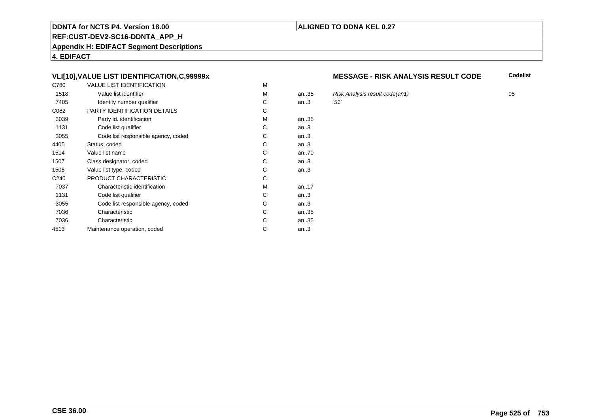# **REF:CUST-DEV2-SC16-DDNTA\_APP\_H**

**Appendix H: EDIFACT Segment Descriptions**

**4. EDIFACT**

# **VLI[10],VALUE LIST IDENTIFICATION,C,99999x**

| C780             | <b>VALUE LIST IDENTIFICATION</b>    | M |           |            |
|------------------|-------------------------------------|---|-----------|------------|
| 1518             | Value list identifier               | M | an.35     | <b>Ris</b> |
| 7405             | Identity number qualifier           | С | an.3      | '51'       |
| C082             | PARTY IDENTIFICATION DETAILS        | С |           |            |
| 3039             | Party id. identification            | М | an35      |            |
| 1131             | Code list qualifier                 | C | an.3      |            |
| 3055             | Code list responsible agency, coded | C | an.3      |            |
| 4405             | Status, coded                       | C | an.3      |            |
| 1514             | Value list name                     | C | an70      |            |
| 1507             | Class designator, coded             | C | an.3      |            |
| 1505             | Value list type, coded              | С | an.3      |            |
| C <sub>240</sub> | PRODUCT CHARACTERISTIC              | С |           |            |
| 7037             | Characteristic identification       | М | an. $.17$ |            |
| 1131             | Code list qualifier                 | С | an.3      |            |
| 3055             | Code list responsible agency, coded | С | an.3      |            |
| 7036             | Characteristic                      | C | an35      |            |
| 7036             | Characteristic                      | C | an35      |            |
| 4513             | Maintenance operation, coded        | С | an.3      |            |
|                  |                                     |   |           |            |

#### **MESSAGE - RISK ANALYSIS RESULT CODE**

**Codelist**

an..35 Risk Analysis result code(an1) <sup>95</sup>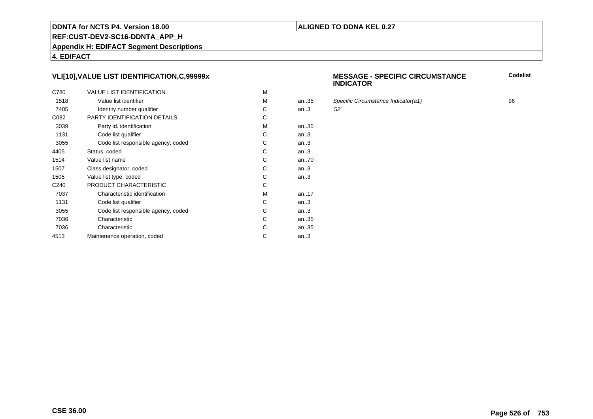# **REF:CUST-DEV2-SC16-DDNTA\_APP\_H**

**Appendix H: EDIFACT Segment Descriptions**

**4. EDIFACT**

# **VLI[10],VALUE LIST IDENTIFICATION,C,99999x**

| C780             | <b>VALUE LIST IDENTIFICATION</b>    | M |      |      |
|------------------|-------------------------------------|---|------|------|
| 1518             | Value list identifier               | M | an35 | Spe  |
| 7405             | Identity number qualifier           | С | an.3 | '52' |
| C082             | PARTY IDENTIFICATION DETAILS        | С |      |      |
| 3039             | Party id. identification            | м | an35 |      |
| 1131             | Code list qualifier                 | C | an.3 |      |
| 3055             | Code list responsible agency, coded | C | an.3 |      |
| 4405             | Status, coded                       | C | an.3 |      |
| 1514             | Value list name                     | C | an70 |      |
| 1507             | Class designator, coded             | C | an.3 |      |
| 1505             | Value list type, coded              | С | an.3 |      |
| C <sub>240</sub> | PRODUCT CHARACTERISTIC              | С |      |      |
| 7037             | Characteristic identification       | м | an17 |      |
| 1131             | Code list qualifier                 | С | an.3 |      |
| 3055             | Code list responsible agency, coded | С | an.3 |      |
| 7036             | Characteristic                      | C | an35 |      |
| 7036             | Characteristic                      | С | an35 |      |
| 4513             | Maintenance operation, coded        | С | an.3 |      |
|                  |                                     |   |      |      |

#### **MESSAGE - SPECIFIC CIRCUMSTANCEINDICATOR**

Specific Circumstance Indicator(a1) 96<br>152'

**ALIGNED TO DDNA KEL 0.27**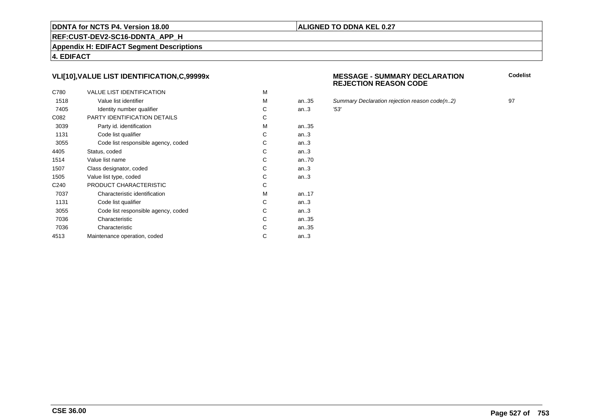# **REF:CUST-DEV2-SC16-DDNTA\_APP\_H**

**Appendix H: EDIFACT Segment Descriptions**

**4. EDIFACT**

# **VLI[10],VALUE LIST IDENTIFICATION,C,99999x**

| C780             | <b>VALUE LIST IDENTIFICATION</b>    | M |      |      |
|------------------|-------------------------------------|---|------|------|
| 1518             | Value list identifier               | M | an35 | Sur  |
| 7405             | Identity number qualifier           | С | an.3 | '53' |
| C082             | PARTY IDENTIFICATION DETAILS        | С |      |      |
| 3039             | Party id. identification            | м | an35 |      |
| 1131             | Code list qualifier                 | C | an.3 |      |
| 3055             | Code list responsible agency, coded | C | an.3 |      |
| 4405             | Status, coded                       | C | an.3 |      |
| 1514             | Value list name                     | C | an70 |      |
| 1507             | Class designator, coded             | C | an.3 |      |
| 1505             | Value list type, coded              | С | an.3 |      |
| C <sub>240</sub> | PRODUCT CHARACTERISTIC              | С |      |      |
| 7037             | Characteristic identification       | м | an17 |      |
| 1131             | Code list qualifier                 | С | an.3 |      |
| 3055             | Code list responsible agency, coded | С | an.3 |      |
| 7036             | Characteristic                      | C | an35 |      |
| 7036             | Characteristic                      | С | an35 |      |
| 4513             | Maintenance operation, coded        | С | an.3 |      |
|                  |                                     |   |      |      |

#### **MESSAGE - SUMMARY DECLARATIONREJECTION REASON CODE**

**Codelist**

Summary Declaration rejection reason code(n..2) 97<br>'53'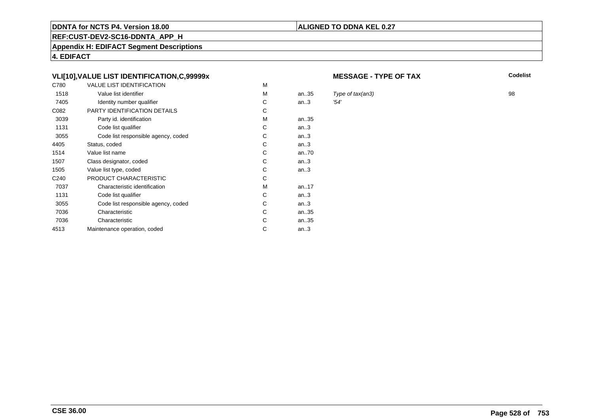# **REF:CUST-DEV2-SC16-DDNTA\_APP\_H**

**Appendix H: EDIFACT Segment Descriptions**

**4. EDIFACT**

# **VLI[10],VALUE LIST IDENTIFICATION,C,99999x**

| C780             | <b>VALUE LIST IDENTIFICATION</b>    | M |       |      |
|------------------|-------------------------------------|---|-------|------|
| 1518             | Value list identifier               | M | an.35 | Typ  |
| 7405             | Identity number qualifier           | С | an.3  | '54' |
| C082             | PARTY IDENTIFICATION DETAILS        | С |       |      |
| 3039             | Party id. identification            | М | an35  |      |
| 1131             | Code list qualifier                 | С | an.3  |      |
| 3055             | Code list responsible agency, coded | C | an.3  |      |
| 4405             | Status, coded                       | C | an.3  |      |
| 1514             | Value list name                     | C | an70  |      |
| 1507             | Class designator, coded             | C | an.3  |      |
| 1505             | Value list type, coded              | С | an.3  |      |
| C <sub>240</sub> | PRODUCT CHARACTERISTIC              | С |       |      |
| 7037             | Characteristic identification       | м | an17  |      |
| 1131             | Code list qualifier                 | С | an.3  |      |
| 3055             | Code list responsible agency, coded | С | an.3  |      |
| 7036             | Characteristic                      | C | an35  |      |
| 7036             | Characteristic                      | С | an35  |      |
| 4513             | Maintenance operation, coded        | С | an.3  |      |
|                  |                                     |   |       |      |

#### **MESSAGE - TYPE OF TAX**

**ALIGNED TO DDNA KEL 0.27**

**X** Codelist

Type of tax(an3) 98<br> $254'$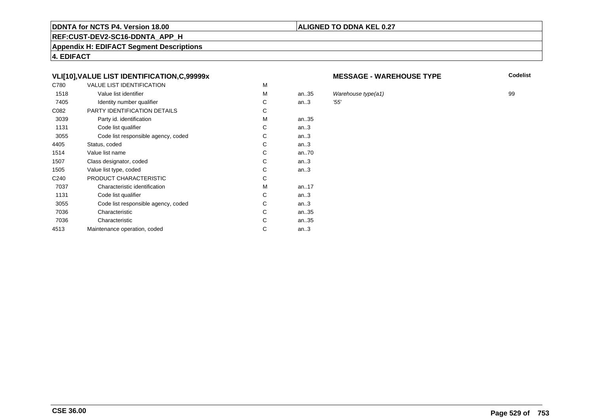# **REF:CUST-DEV2-SC16-DDNTA\_APP\_H**

**Appendix H: EDIFACT Segment Descriptions**

**4. EDIFACT**

# **VLI[10],VALUE LIST IDENTIFICATION,C,99999x**

| C780             | <b>VALUE LIST IDENTIFICATION</b>    | M |       |     |
|------------------|-------------------------------------|---|-------|-----|
| 1518             | Value list identifier               | M | an.35 | Wa  |
| 7405             | Identity number qualifier           | С | an.3  | 55' |
| C082             | PARTY IDENTIFICATION DETAILS        | С |       |     |
| 3039             | Party id. identification            | м | an35  |     |
| 1131             | Code list qualifier                 | C | an.3  |     |
| 3055             | Code list responsible agency, coded | C | an.3  |     |
| 4405             | Status, coded                       | С | an.3  |     |
| 1514             | Value list name                     | C | an70  |     |
| 1507             | Class designator, coded             | C | an.3  |     |
| 1505             | Value list type, coded              | С | an.3  |     |
| C <sub>240</sub> | PRODUCT CHARACTERISTIC              | С |       |     |
| 7037             | Characteristic identification       | м | an17  |     |
| 1131             | Code list qualifier                 | С | an.3  |     |
| 3055             | Code list responsible agency, coded | С | an.3  |     |
| 7036             | Characteristic                      | C | an35  |     |
| 7036             | Characteristic                      | С | an35  |     |
| 4513             | Maintenance operation, coded        | С | an.3  |     |
|                  |                                     |   |       |     |

#### **MESSAGE - WAREHOUSE TYPE**

**Codelist**

Warehouse type(a1)  $\qquad$  99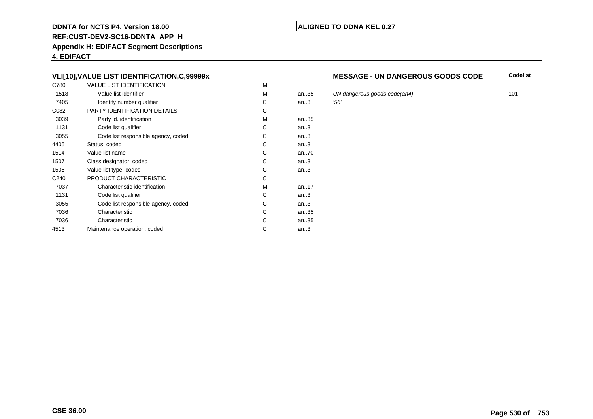# **REF:CUST-DEV2-SC16-DDNTA\_APP\_H**

**Appendix H: EDIFACT Segment Descriptions**

**4. EDIFACT**

# **VLI[10],VALUE LIST IDENTIFICATION,C,99999x**

| C780             | <b>VALUE LIST IDENTIFICATION</b>    | M |      |     |
|------------------|-------------------------------------|---|------|-----|
| 1518             | Value list identifier               | M | an35 | UN  |
| 7405             | Identity number qualifier           | С | an.3 | 56' |
| C082             | PARTY IDENTIFICATION DETAILS        | C |      |     |
| 3039             | Party id. identification            | М | an35 |     |
| 1131             | Code list qualifier                 | C | an.3 |     |
| 3055             | Code list responsible agency, coded | С | an.3 |     |
| 4405             | Status, coded                       | C | an.3 |     |
| 1514             | Value list name                     | C | an70 |     |
| 1507             | Class designator, coded             | C | an.3 |     |
| 1505             | Value list type, coded              | С | an.3 |     |
| C <sub>240</sub> | PRODUCT CHARACTERISTIC              | С |      |     |
| 7037             | Characteristic identification       | М | an17 |     |
| 1131             | Code list qualifier                 | С | an.3 |     |
| 3055             | Code list responsible agency, coded | С | an.3 |     |
| 7036             | Characteristic                      | C | an35 |     |
| 7036             | Characteristic                      | C | an35 |     |
| 4513             | Maintenance operation, coded        | С | an.3 |     |
|                  |                                     |   |      |     |

#### **MESSAGE - UN DANGEROUS GOODS CODE**

**Codelist**

UN dangerous goods code(an4) 101<br>156'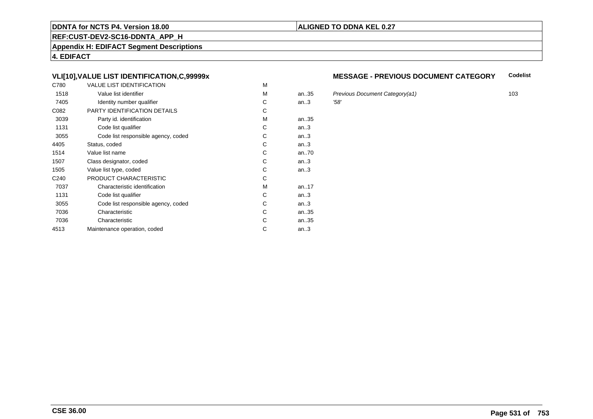# **REF:CUST-DEV2-SC16-DDNTA\_APP\_H**

**Appendix H: EDIFACT Segment Descriptions**

**4. EDIFACT**

# **VLI[10],VALUE LIST IDENTIFICATION,C,99999x**

| C780             | <b>VALUE LIST IDENTIFICATION</b>    | M |           |      |
|------------------|-------------------------------------|---|-----------|------|
| 1518             | Value list identifier               | M | an.35     | Pre  |
| 7405             | Identity number qualifier           | С | an.3      | '58' |
| C082             | PARTY IDENTIFICATION DETAILS        | С |           |      |
| 3039             | Party id. identification            | м | an35      |      |
| 1131             | Code list qualifier                 | C | an.3      |      |
| 3055             | Code list responsible agency, coded | C | an.3      |      |
| 4405             | Status, coded                       | С | an.3      |      |
| 1514             | Value list name                     | C | an70      |      |
| 1507             | Class designator, coded             | C | an.3      |      |
| 1505             | Value list type, coded              | С | an.3      |      |
| C <sub>240</sub> | PRODUCT CHARACTERISTIC              | С |           |      |
| 7037             | Characteristic identification       | м | an. $.17$ |      |
| 1131             | Code list qualifier                 | С | an.3      |      |
| 3055             | Code list responsible agency, coded | С | an.3      |      |
| 7036             | Characteristic                      | C | an35      |      |
| 7036             | Characteristic                      | С | an35      |      |
| 4513             | Maintenance operation, coded        | С | an.3      |      |
|                  |                                     |   |           |      |

#### **MESSAGE - PREVIOUS DOCUMENT CATEGORYCodelist**

Previous Document Category(a1) 103<br>158'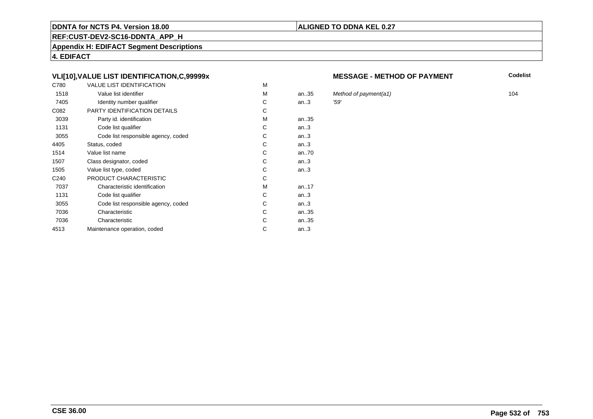# **REF:CUST-DEV2-SC16-DDNTA\_APP\_H**

**Appendix H: EDIFACT Segment Descriptions**

**4. EDIFACT**

# **VLI[10],VALUE LIST IDENTIFICATION,C,99999x**

| C780             | <b>VALUE LIST IDENTIFICATION</b>    | M |       |      |
|------------------|-------------------------------------|---|-------|------|
| 1518             | Value list identifier               | M | an.35 | Mei  |
| 7405             | Identity number qualifier           | С | an.3  | '59' |
| C082             | PARTY IDENTIFICATION DETAILS        | С |       |      |
| 3039             | Party id. identification            | м | an35  |      |
| 1131             | Code list qualifier                 | C | an.3  |      |
| 3055             | Code list responsible agency, coded | C | an.3  |      |
| 4405             | Status, coded                       | С | an.3  |      |
| 1514             | Value list name                     | C | an70  |      |
| 1507             | Class designator, coded             | C | an.3  |      |
| 1505             | Value list type, coded              | С | an.3  |      |
| C <sub>240</sub> | PRODUCT CHARACTERISTIC              | С |       |      |
| 7037             | Characteristic identification       | м | an17  |      |
| 1131             | Code list qualifier                 | С | an.3  |      |
| 3055             | Code list responsible agency, coded | С | an.3  |      |
| 7036             | Characteristic                      | C | an35  |      |
| 7036             | Characteristic                      | С | an35  |      |
| 4513             | Maintenance operation, coded        | С | an.3  |      |
|                  |                                     |   |       |      |

#### **MESSAGE - METHOD OF PAYMENT**

**Codelist**

Method of payment(a1) 104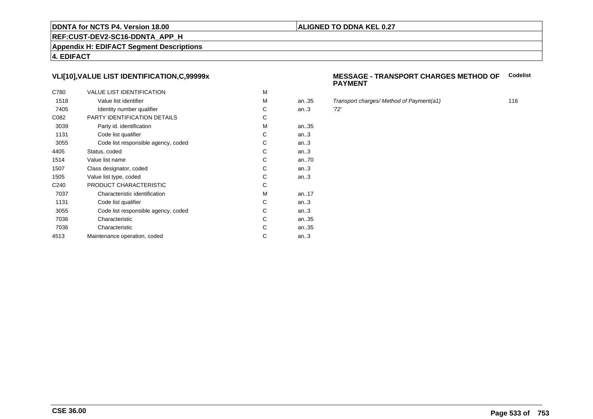# **REF:CUST-DEV2-SC16-DDNTA\_APP\_H**

**Appendix H: EDIFACT Segment Descriptions**

**4. EDIFACT**

# **VLI[10],VALUE LIST IDENTIFICATION,C,99999x**

| C780             | <b>VALUE LIST IDENTIFICATION</b>    | M |      |      |
|------------------|-------------------------------------|---|------|------|
| 1518             | Value list identifier               | M | an35 | Tra  |
| 7405             | Identity number qualifier           | С | an.3 | '72' |
| C082             | PARTY IDENTIFICATION DETAILS        | С |      |      |
| 3039             | Party id. identification            | M | an35 |      |
| 1131             | Code list qualifier                 | С | an.3 |      |
| 3055             | Code list responsible agency, coded | C | an.3 |      |
| 4405             | Status, coded                       | C | an.3 |      |
| 1514             | Value list name                     | C | an70 |      |
| 1507             | Class designator, coded             | C | an.3 |      |
| 1505             | Value list type, coded              | С | an.3 |      |
| C <sub>240</sub> | PRODUCT CHARACTERISTIC              | С |      |      |
| 7037             | Characteristic identification       | M | an17 |      |
| 1131             | Code list qualifier                 | С | an.3 |      |
| 3055             | Code list responsible agency, coded | С | an.3 |      |
| 7036             | Characteristic                      | C | an35 |      |
| 7036             | Characteristic                      | С | an35 |      |
| 4513             | Maintenance operation, coded        | С | an.3 |      |
|                  |                                     |   |      |      |

#### **MESSAGE - TRANSPORT CHARGES METHOD OFCodelistPAYMENT**

Transport charges/ Method of Payment(a1) 116<br>116<br>'72'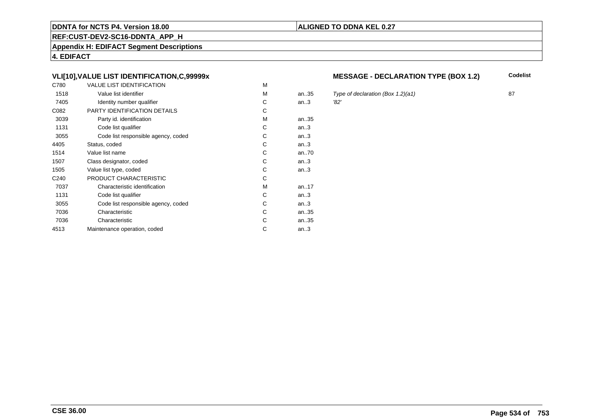# **REF:CUST-DEV2-SC16-DDNTA\_APP\_H**

**Appendix H: EDIFACT Segment Descriptions**

**4. EDIFACT**

# **VLI[10],VALUE LIST IDENTIFICATION,C,99999x**

| C780             | <b>VALUE LIST IDENTIFICATION</b>    | M |           |      |
|------------------|-------------------------------------|---|-----------|------|
| 1518             | Value list identifier               | M | an.35     | Typ  |
| 7405             | Identity number qualifier           | С | an.3      | '82' |
| C082             | PARTY IDENTIFICATION DETAILS        | С |           |      |
| 3039             | Party id. identification            | М | an35      |      |
| 1131             | Code list qualifier                 | C | an.3      |      |
| 3055             | Code list responsible agency, coded | C | an.3      |      |
| 4405             | Status, coded                       | C | an.3      |      |
| 1514             | Value list name                     | C | an70      |      |
| 1507             | Class designator, coded             | C | an.3      |      |
| 1505             | Value list type, coded              | С | an.3      |      |
| C <sub>240</sub> | PRODUCT CHARACTERISTIC              | С |           |      |
| 7037             | Characteristic identification       | М | an. $.17$ |      |
| 1131             | Code list qualifier                 | С | an.3      |      |
| 3055             | Code list responsible agency, coded | С | an.3      |      |
| 7036             | Characteristic                      | C | an35      |      |
| 7036             | Characteristic                      | C | an35      |      |
| 4513             | Maintenance operation, coded        | С | an.3      |      |
|                  |                                     |   |           |      |

# **MESSAGE - DECLARATION TYPE (BOX 1.2)** Codelist

5 Type of declaration (Box 1.2)(a1) 87<br>32'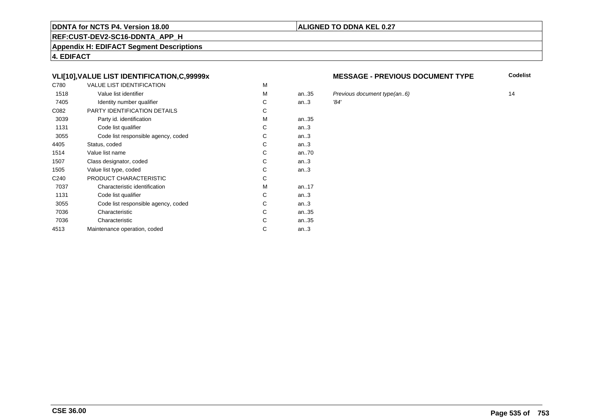# **REF:CUST-DEV2-SC16-DDNTA\_APP\_H**

**Appendix H: EDIFACT Segment Descriptions**

**4. EDIFACT**

# **VLI[10],VALUE LIST IDENTIFICATION,C,99999x**

| C780             | <b>VALUE LIST IDENTIFICATION</b>    | M |      |      |
|------------------|-------------------------------------|---|------|------|
| 1518             | Value list identifier               | M | an35 | Pre  |
| 7405             | Identity number qualifier           | С | an.3 | '84' |
| C082             | PARTY IDENTIFICATION DETAILS        | C |      |      |
| 3039             | Party id. identification            | М | an35 |      |
| 1131             | Code list qualifier                 | C | an.3 |      |
| 3055             | Code list responsible agency, coded | С | an.3 |      |
| 4405             | Status, coded                       | C | an.3 |      |
| 1514             | Value list name                     | C | an70 |      |
| 1507             | Class designator, coded             | C | an.3 |      |
| 1505             | Value list type, coded              | С | an.3 |      |
| C <sub>240</sub> | PRODUCT CHARACTERISTIC              | С |      |      |
| 7037             | Characteristic identification       | М | an17 |      |
| 1131             | Code list qualifier                 | С | an.3 |      |
| 3055             | Code list responsible agency, coded | С | an.3 |      |
| 7036             | Characteristic                      | C | an35 |      |
| 7036             | Characteristic                      | C | an35 |      |
| 4513             | Maintenance operation, coded        | С | an.3 |      |
|                  |                                     |   |      |      |

#### **MESSAGE - PREVIOUS DOCUMENT TYPE**

**Codelist**

Previous document type(an..6) 14<br>
34'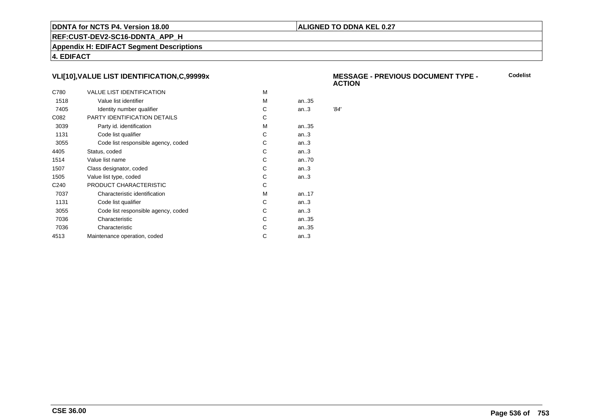# **ALIGNED TO DDNA KEL 0.27**

**REF:CUST-DEV2-SC16-DDNTA\_APP\_H**

**Appendix H: EDIFACT Segment Descriptions**

**4. EDIFACT**

# **VLI[10],VALUE LIST IDENTIFICATION,C,99999x**

| C780             | <b>VALUE LIST IDENTIFICATION</b>    | м |           |      |
|------------------|-------------------------------------|---|-----------|------|
| 1518             | Value list identifier               | м | an35      |      |
| 7405             | Identity number qualifier           | C | an.3      | '84' |
| C082             | PARTY IDENTIFICATION DETAILS        | C |           |      |
| 3039             | Party id. identification            | м | an35      |      |
| 1131             | Code list qualifier                 | C | an.3      |      |
| 3055             | Code list responsible agency, coded | С | an.3      |      |
| 4405             | Status, coded                       | С | an.3      |      |
| 1514             | Value list name                     | С | an70      |      |
| 1507             | Class designator, coded             | С | an.3      |      |
| 1505             | Value list type, coded              | C | an.3      |      |
| C <sub>240</sub> | PRODUCT CHARACTERISTIC              | С |           |      |
| 7037             | Characteristic identification       | м | an. $.17$ |      |
| 1131             | Code list qualifier                 | С | an.3      |      |
| 3055             | Code list responsible agency, coded | С | an.3      |      |
| 7036             | Characteristic                      | C | an35      |      |
| 7036             | Characteristic                      | С | an35      |      |
| 4513             | Maintenance operation, coded        | С | an.3      |      |
|                  |                                     |   |           |      |

#### **MESSAGE - PREVIOUS DOCUMENT TYPE - ACTIONCodelist**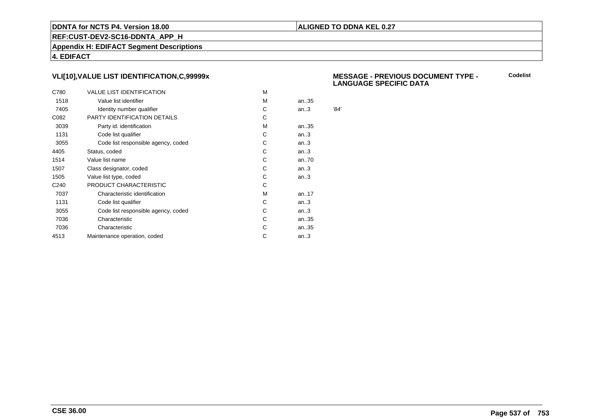# **ALIGNED TO DDNA KEL 0.27**

**REF:CUST-DEV2-SC16-DDNTA\_APP\_H**

**Appendix H: EDIFACT Segment Descriptions**

**4. EDIFACT**

# **VLI[10],VALUE LIST IDENTIFICATION,C,99999x**

| C780             | <b>VALUE LIST IDENTIFICATION</b>    | M |      |      |
|------------------|-------------------------------------|---|------|------|
| 1518             | Value list identifier               | M | an35 |      |
| 7405             | Identity number qualifier           | С | an.3 | '84' |
| C082             | PARTY IDENTIFICATION DETAILS        | С |      |      |
| 3039             | Party id. identification            | м | an35 |      |
| 1131             | Code list qualifier                 | С | an.3 |      |
| 3055             | Code list responsible agency, coded | С | an.3 |      |
| 4405             | Status, coded                       | С | an.3 |      |
| 1514             | Value list name                     | C | an70 |      |
| 1507             | Class designator, coded             | С | an.3 |      |
| 1505             | Value list type, coded              | С | an.3 |      |
| C <sub>240</sub> | PRODUCT CHARACTERISTIC              | С |      |      |
| 7037             | Characteristic identification       | м | an17 |      |
| 1131             | Code list qualifier                 | С | an.3 |      |
| 3055             | Code list responsible agency, coded | С | an.3 |      |
| 7036             | Characteristic                      | C | an35 |      |
| 7036             | Characteristic                      | С | an35 |      |
| 4513             | Maintenance operation, coded        | С | an.3 |      |
|                  |                                     |   |      |      |

#### **MESSAGE - PREVIOUS DOCUMENT TYPE - LANGUAGE SPECIFIC DATACodelist**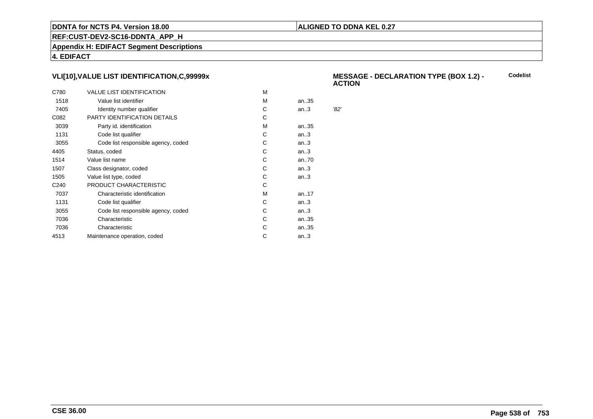# **ALIGNED TO DDNA KEL 0.27**

**REF:CUST-DEV2-SC16-DDNTA\_APP\_H**

**Appendix H: EDIFACT Segment Descriptions**

**4. EDIFACT**

# **VLI[10],VALUE LIST IDENTIFICATION,C,99999x**

| C780             | <b>VALUE LIST IDENTIFICATION</b>    | м |           |      |
|------------------|-------------------------------------|---|-----------|------|
| 1518             | Value list identifier               | м | an35      |      |
| 7405             | Identity number qualifier           | С | an.3      | '82' |
| C082             | PARTY IDENTIFICATION DETAILS        | С |           |      |
| 3039             | Party id. identification            | м | an35      |      |
| 1131             | Code list qualifier                 | C | an.3      |      |
| 3055             | Code list responsible agency, coded | С | an.3      |      |
| 4405             | Status, coded                       | С | an.3      |      |
| 1514             | Value list name                     | С | an70      |      |
| 1507             | Class designator, coded             | С | an.3      |      |
| 1505             | Value list type, coded              | С | an.3      |      |
| C <sub>240</sub> | PRODUCT CHARACTERISTIC              | С |           |      |
| 7037             | Characteristic identification       | м | an. $.17$ |      |
| 1131             | Code list qualifier                 | С | an.3      |      |
| 3055             | Code list responsible agency, coded | С | an.3      |      |
| 7036             | Characteristic                      | C | an35      |      |
| 7036             | Characteristic                      | С | an35      |      |
| 4513             | Maintenance operation, coded        | С | an.3      |      |
|                  |                                     |   |           |      |

#### **MESSAGE - DECLARATION TYPE (BOX 1.2) - ACTIONCodelist**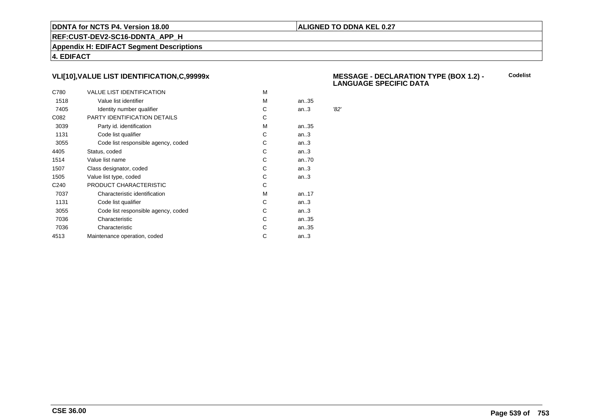# **ALIGNED TO DDNA KEL 0.27**

**REF:CUST-DEV2-SC16-DDNTA\_APP\_H**

**Appendix H: EDIFACT Segment Descriptions**

**4. EDIFACT**

# **VLI[10],VALUE LIST IDENTIFICATION,C,99999x**

| C780             | <b>VALUE LIST IDENTIFICATION</b>    | M |      |      |
|------------------|-------------------------------------|---|------|------|
| 1518             | Value list identifier               | M | an35 |      |
| 7405             | Identity number qualifier           | С | an.3 | '82' |
| C082             | PARTY IDENTIFICATION DETAILS        | С |      |      |
| 3039             | Party id. identification            | м | an35 |      |
| 1131             | Code list qualifier                 | С | an.3 |      |
| 3055             | Code list responsible agency, coded | С | an.3 |      |
| 4405             | Status, coded                       | С | an.3 |      |
| 1514             | Value list name                     | C | an70 |      |
| 1507             | Class designator, coded             | С | an.3 |      |
| 1505             | Value list type, coded              | С | an.3 |      |
| C <sub>240</sub> | PRODUCT CHARACTERISTIC              | С |      |      |
| 7037             | Characteristic identification       | м | an17 |      |
| 1131             | Code list qualifier                 | С | an.3 |      |
| 3055             | Code list responsible agency, coded | С | an.3 |      |
| 7036             | Characteristic                      | C | an35 |      |
| 7036             | Characteristic                      | С | an35 |      |
| 4513             | Maintenance operation, coded        | С | an.3 |      |
|                  |                                     |   |      |      |

#### **MESSAGE - DECLARATION TYPE (BOX 1.2) - LANGUAGE SPECIFIC DATACodelist**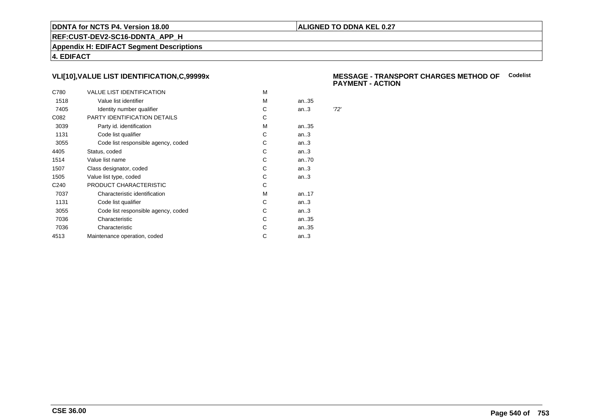# **ALIGNED TO DDNA KEL 0.27**

**REF:CUST-DEV2-SC16-DDNTA\_APP\_H**

**Appendix H: EDIFACT Segment Descriptions**

**4. EDIFACT**

# **VLI[10],VALUE LIST IDENTIFICATION,C,99999x**

| C780             | <b>VALUE LIST IDENTIFICATION</b>    | м |      |      |
|------------------|-------------------------------------|---|------|------|
| 1518             | Value list identifier               | м | an35 |      |
| 7405             | Identity number qualifier           | С | an.3 | '72' |
| C082             | PARTY IDENTIFICATION DETAILS        | C |      |      |
| 3039             | Party id. identification            | м | an35 |      |
| 1131             | Code list qualifier                 | C | an.3 |      |
| 3055             | Code list responsible agency, coded | С | an.3 |      |
| 4405             | Status, coded                       | С | an.3 |      |
| 1514             | Value list name                     | С | an70 |      |
| 1507             | Class designator, coded             | С | an.3 |      |
| 1505             | Value list type, coded              | С | an.3 |      |
| C <sub>240</sub> | PRODUCT CHARACTERISTIC              | С |      |      |
| 7037             | Characteristic identification       | M | an17 |      |
| 1131             | Code list qualifier                 | С | an.3 |      |
| 3055             | Code list responsible agency, coded | С | an.3 |      |
| 7036             | Characteristic                      | С | an35 |      |
| 7036             | Characteristic                      | С | an35 |      |
| 4513             | Maintenance operation, coded        | С | an.3 |      |
|                  |                                     |   |      |      |

#### **MESSAGE - TRANSPORT CHARGES METHOD OFCodelistPAYMENT - ACTION**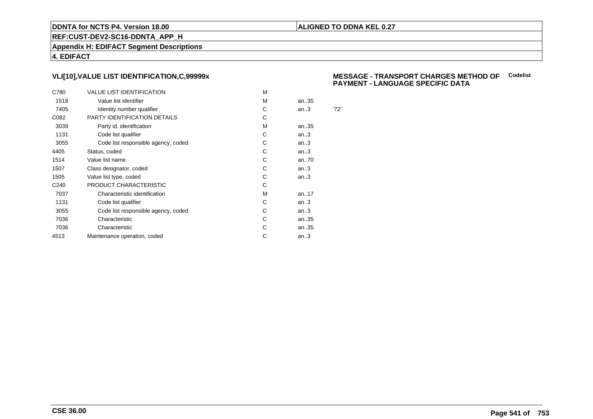### **ALIGNED TO DDNA KEL 0.27**

**REF:CUST-DEV2-SC16-DDNTA\_APP\_H**

**Appendix H: EDIFACT Segment Descriptions**

**4. EDIFACT**

# **VLI[10],VALUE LIST IDENTIFICATION,C,99999x**

| C780             | <b>VALUE LIST IDENTIFICATION</b>    | м |      |      |
|------------------|-------------------------------------|---|------|------|
| 1518             | Value list identifier               | м | an35 |      |
| 7405             | Identity number qualifier           | С | an.3 | '72' |
| C082             | PARTY IDENTIFICATION DETAILS        | C |      |      |
| 3039             | Party id. identification            | м | an35 |      |
| 1131             | Code list qualifier                 | C | an.3 |      |
| 3055             | Code list responsible agency, coded | С | an.3 |      |
| 4405             | Status, coded                       | С | an.3 |      |
| 1514             | Value list name                     | С | an70 |      |
| 1507             | Class designator, coded             | С | an.3 |      |
| 1505             | Value list type, coded              | С | an.3 |      |
| C <sub>240</sub> | PRODUCT CHARACTERISTIC              | С |      |      |
| 7037             | Characteristic identification       | M | an17 |      |
| 1131             | Code list qualifier                 | С | an.3 |      |
| 3055             | Code list responsible agency, coded | С | an.3 |      |
| 7036             | Characteristic                      | С | an35 |      |
| 7036             | Characteristic                      | С | an35 |      |
| 4513             | Maintenance operation, coded        | С | an.3 |      |
|                  |                                     |   |      |      |

#### **MESSAGE - TRANSPORT CHARGES METHOD OFCodelist PAYMENT - LANGUAGE SPECIFIC DATA**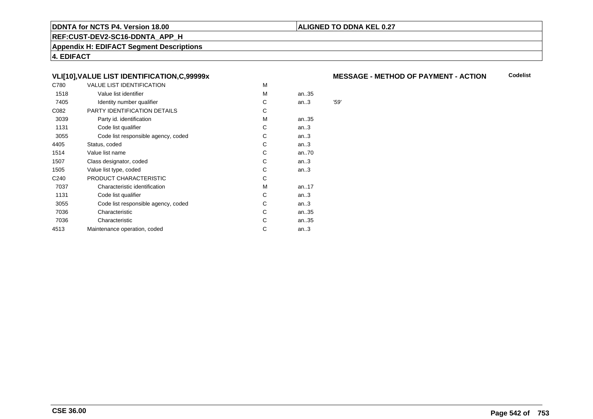### **ALIGNED TO DDNA KEL 0.27**

**REF:CUST-DEV2-SC16-DDNTA\_APP\_H**

**Appendix H: EDIFACT Segment Descriptions**

**4. EDIFACT**

# **VLI[10],VALUE LIST IDENTIFICATION,C,99999x**

| C780             | VALUE LIST IDENTIFICATION           | M |      |      |
|------------------|-------------------------------------|---|------|------|
| 1518             | Value list identifier               | M | an35 |      |
| 7405             | Identity number qualifier           | С | an.3 | '59' |
| C082             | PARTY IDENTIFICATION DETAILS        | С |      |      |
| 3039             | Party id. identification            | м | an35 |      |
| 1131             | Code list qualifier                 | С | an.3 |      |
| 3055             | Code list responsible agency, coded | С | an.3 |      |
| 4405             | Status, coded                       | С | an.3 |      |
| 1514             | Value list name                     | C | an70 |      |
| 1507             | Class designator, coded             | C | an.3 |      |
| 1505             | Value list type, coded              | C | an.3 |      |
| C <sub>240</sub> | PRODUCT CHARACTERISTIC              | С |      |      |
| 7037             | Characteristic identification       | М | an17 |      |
| 1131             | Code list qualifier                 | С | an.3 |      |
| 3055             | Code list responsible agency, coded | С | an.3 |      |
| 7036             | Characteristic                      | С | an35 |      |
| 7036             | Characteristic                      | С | an35 |      |
| 4513             | Maintenance operation, coded        | С | an.3 |      |
|                  |                                     |   |      |      |

#### **MESSAGE - METHOD OF PAYMENT - ACTIONCodelist**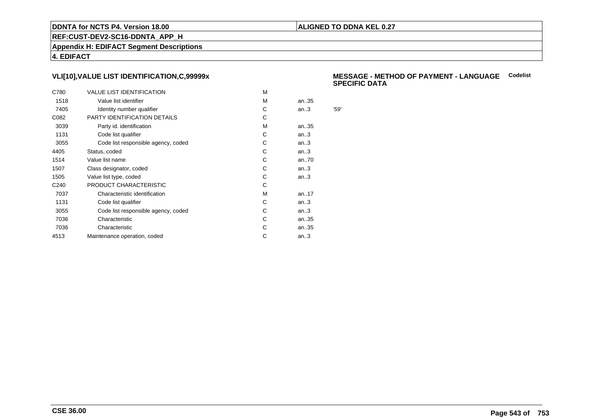### **ALIGNED TO DDNA KEL 0.27**

**REF:CUST-DEV2-SC16-DDNTA\_APP\_H**

**Appendix H: EDIFACT Segment Descriptions**

**4. EDIFACT**

# **VLI[10],VALUE LIST IDENTIFICATION,C,99999x**

| C780             | <b>VALUE LIST IDENTIFICATION</b>    | м |      |      |
|------------------|-------------------------------------|---|------|------|
| 1518             | Value list identifier               | м | an35 |      |
| 7405             | Identity number qualifier           | С | an.3 | '59' |
| C082             | PARTY IDENTIFICATION DETAILS        | С |      |      |
| 3039             | Party id. identification            | м | an35 |      |
| 1131             | Code list qualifier                 | C | an.3 |      |
| 3055             | Code list responsible agency, coded | С | an.3 |      |
| 4405             | Status, coded                       | C | an.3 |      |
| 1514             | Value list name                     | С | an70 |      |
| 1507             | Class designator, coded             | С | an.3 |      |
| 1505             | Value list type, coded              | С | an.3 |      |
| C <sub>240</sub> | PRODUCT CHARACTERISTIC              | С |      |      |
| 7037             | Characteristic identification       | м | an17 |      |
| 1131             | Code list qualifier                 | С | an.3 |      |
| 3055             | Code list responsible agency, coded | С | an.3 |      |
| 7036             | Characteristic                      | C | an35 |      |
| 7036             | Characteristic                      | С | an35 |      |
| 4513             | Maintenance operation, coded        | С | an.3 |      |
|                  |                                     |   |      |      |

#### **MESSAGE - METHOD OF PAYMENT - LANGUAGECodelistSPECIFIC DATA**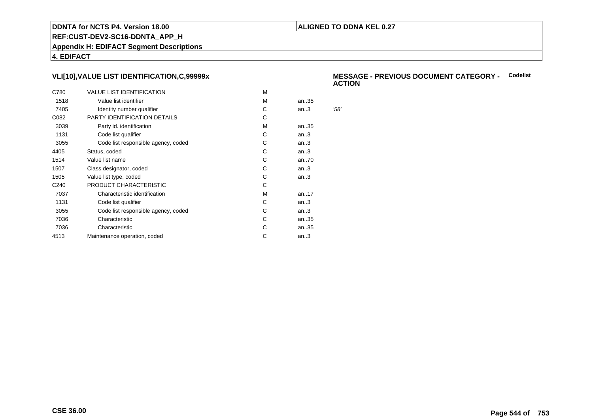### **ALIGNED TO DDNA KEL 0.27**

**REF:CUST-DEV2-SC16-DDNTA\_APP\_H**

**Appendix H: EDIFACT Segment Descriptions**

**4. EDIFACT**

# **VLI[10],VALUE LIST IDENTIFICATION,C,99999x**

| C780             | <b>VALUE LIST IDENTIFICATION</b>    | м |      |      |
|------------------|-------------------------------------|---|------|------|
| 1518             | Value list identifier               | м | an35 |      |
| 7405             | Identity number qualifier           | С | an.3 | '58' |
| C082             | PARTY IDENTIFICATION DETAILS        | C |      |      |
| 3039             | Party id. identification            | м | an35 |      |
| 1131             | Code list qualifier                 | C | an.3 |      |
| 3055             | Code list responsible agency, coded | С | an.3 |      |
| 4405             | Status, coded                       | С | an.3 |      |
| 1514             | Value list name                     | С | an70 |      |
| 1507             | Class designator, coded             | С | an.3 |      |
| 1505             | Value list type, coded              | С | an.3 |      |
| C <sub>240</sub> | PRODUCT CHARACTERISTIC              | С |      |      |
| 7037             | Characteristic identification       | M | an17 |      |
| 1131             | Code list qualifier                 | С | an.3 |      |
| 3055             | Code list responsible agency, coded | С | an.3 |      |
| 7036             | Characteristic                      | С | an35 |      |
| 7036             | Characteristic                      | С | an35 |      |
| 4513             | Maintenance operation, coded        | С | an.3 |      |
|                  |                                     |   |      |      |

#### **MESSAGE - PREVIOUS DOCUMENT CATEGORY -** Codelist<br>ACTION **ACTION**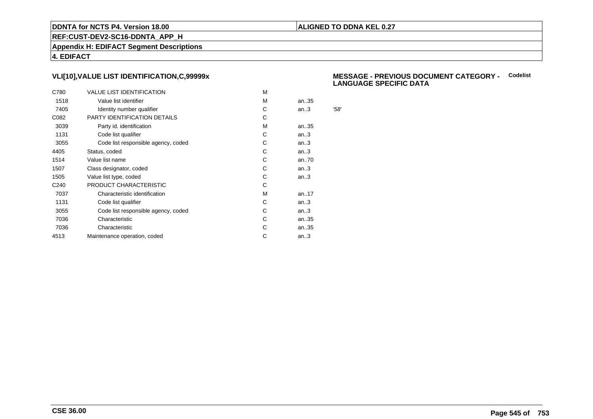### **ALIGNED TO DDNA KEL 0.27**

**REF:CUST-DEV2-SC16-DDNTA\_APP\_H**

**Appendix H: EDIFACT Segment Descriptions**

**4. EDIFACT**

# **VLI[10],VALUE LIST IDENTIFICATION,C,99999x**

| C780             | <b>VALUE LIST IDENTIFICATION</b>    | M |      |      |
|------------------|-------------------------------------|---|------|------|
| 1518             | Value list identifier               | M | an35 |      |
| 7405             | Identity number qualifier           | С | an.3 | '58' |
| C082             | PARTY IDENTIFICATION DETAILS        | С |      |      |
| 3039             | Party id. identification            | м | an35 |      |
| 1131             | Code list qualifier                 | С | an.3 |      |
| 3055             | Code list responsible agency, coded | С | an.3 |      |
| 4405             | Status, coded                       | С | an.3 |      |
| 1514             | Value list name                     | C | an70 |      |
| 1507             | Class designator, coded             | С | an.3 |      |
| 1505             | Value list type, coded              | С | an.3 |      |
| C <sub>240</sub> | PRODUCT CHARACTERISTIC              | С |      |      |
| 7037             | Characteristic identification       | м | an17 |      |
| 1131             | Code list qualifier                 | С | an.3 |      |
| 3055             | Code list responsible agency, coded | С | an.3 |      |
| 7036             | Characteristic                      | C | an35 |      |
| 7036             | Characteristic                      | С | an35 |      |
| 4513             | Maintenance operation, coded        | С | an.3 |      |
|                  |                                     |   |      |      |

#### **MESSAGE - PREVIOUS DOCUMENT CATEGORY -** Codelist<br>
LANGUAGE SPECIELS DATA **LANGUAGE SPECIFIC DATA**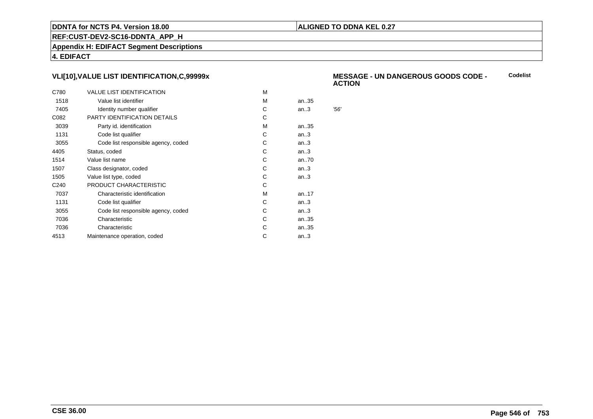### **ALIGNED TO DDNA KEL 0.27**

**REF:CUST-DEV2-SC16-DDNTA\_APP\_H**

**Appendix H: EDIFACT Segment Descriptions**

**4. EDIFACT**

# **VLI[10],VALUE LIST IDENTIFICATION,C,99999x**

| C780             | <b>VALUE LIST IDENTIFICATION</b>    | м |      |     |
|------------------|-------------------------------------|---|------|-----|
| 1518             | Value list identifier               | м | an35 |     |
| 7405             | Identity number qualifier           | С | an.3 | 56' |
| C082             | PARTY IDENTIFICATION DETAILS        | C |      |     |
| 3039             | Party id. identification            | м | an35 |     |
| 1131             | Code list qualifier                 | C | an.3 |     |
| 3055             | Code list responsible agency, coded | С | an.3 |     |
| 4405             | Status, coded                       | С | an.3 |     |
| 1514             | Value list name                     | С | an70 |     |
| 1507             | Class designator, coded             | С | an.3 |     |
| 1505             | Value list type, coded              | С | an.3 |     |
| C <sub>240</sub> | PRODUCT CHARACTERISTIC              | С |      |     |
| 7037             | Characteristic identification       | M | an17 |     |
| 1131             | Code list qualifier                 | С | an.3 |     |
| 3055             | Code list responsible agency, coded | С | an.3 |     |
| 7036             | Characteristic                      | С | an35 |     |
| 7036             | Characteristic                      | С | an35 |     |
| 4513             | Maintenance operation, coded        | С | an.3 |     |
|                  |                                     |   |      |     |

#### **MESSAGE - UN DANGEROUS GOODS CODE - ACTIONCodelist**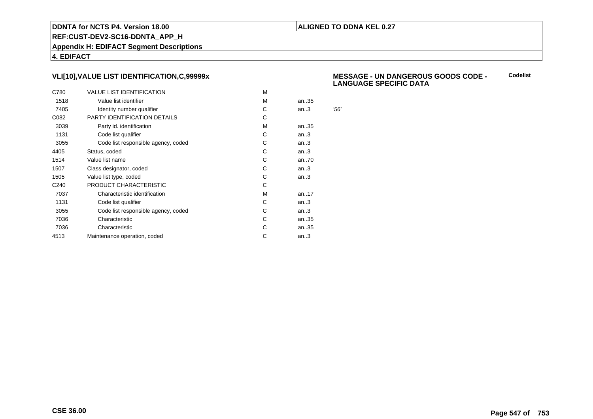### **ALIGNED TO DDNA KEL 0.27**

**REF:CUST-DEV2-SC16-DDNTA\_APP\_H**

**Appendix H: EDIFACT Segment Descriptions**

**4. EDIFACT**

# **VLI[10],VALUE LIST IDENTIFICATION,C,99999x**

| C780             | <b>VALUE LIST IDENTIFICATION</b>    | м |      |     |
|------------------|-------------------------------------|---|------|-----|
| 1518             | Value list identifier               | м | an35 |     |
| 7405             | Identity number qualifier           | С | an.3 | 56' |
| C082             | PARTY IDENTIFICATION DETAILS        | С |      |     |
| 3039             | Party id. identification            | м | an35 |     |
| 1131             | Code list qualifier                 | C | an.3 |     |
| 3055             | Code list responsible agency, coded | С | an.3 |     |
| 4405             | Status, coded                       | C | an.3 |     |
| 1514             | Value list name                     | С | an70 |     |
| 1507             | Class designator, coded             | С | an.3 |     |
| 1505             | Value list type, coded              | С | an.3 |     |
| C <sub>240</sub> | PRODUCT CHARACTERISTIC              | С |      |     |
| 7037             | Characteristic identification       | м | an17 |     |
| 1131             | Code list qualifier                 | С | an.3 |     |
| 3055             | Code list responsible agency, coded | С | an.3 |     |
| 7036             | Characteristic                      | C | an35 |     |
| 7036             | Characteristic                      | С | an35 |     |
| 4513             | Maintenance operation, coded        | С | an.3 |     |
|                  |                                     |   |      |     |

#### **MESSAGE - UN DANGEROUS GOODS CODE - LANGUAGE SPECIFIC DATACodelist**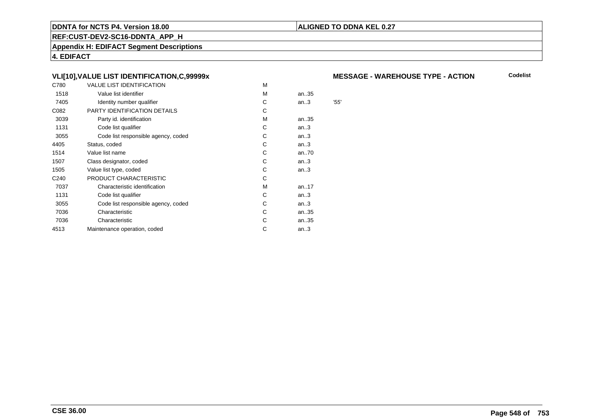### **ALIGNED TO DDNA KEL 0.27**

**REF:CUST-DEV2-SC16-DDNTA\_APP\_H**

**Appendix H: EDIFACT Segment Descriptions**

**4. EDIFACT**

# **VLI[10],VALUE LIST IDENTIFICATION,C,99999x**

| C780             | <b>VALUE LIST IDENTIFICATION</b>    | M |      |                        |
|------------------|-------------------------------------|---|------|------------------------|
| 1518             | Value list identifier               | M | an35 |                        |
| 7405             | Identity number qualifier           | С | an.3 | $^{\prime}55^{\prime}$ |
| C082             | PARTY IDENTIFICATION DETAILS        | С |      |                        |
| 3039             | Party id. identification            | М | an35 |                        |
| 1131             | Code list qualifier                 | С | an.3 |                        |
| 3055             | Code list responsible agency, coded | С | an.3 |                        |
| 4405             | Status, coded                       | С | an.3 |                        |
| 1514             | Value list name                     | C | an70 |                        |
| 1507             | Class designator, coded             | C | an.3 |                        |
| 1505             | Value list type, coded              | С | an.3 |                        |
| C <sub>240</sub> | PRODUCT CHARACTERISTIC              | С |      |                        |
| 7037             | Characteristic identification       | м | an17 |                        |
| 1131             | Code list qualifier                 | С | an.3 |                        |
| 3055             | Code list responsible agency, coded | С | an.3 |                        |
| 7036             | Characteristic                      | С | an35 |                        |
| 7036             | Characteristic                      | С | an35 |                        |
| 4513             | Maintenance operation, coded        | С | an.3 |                        |
|                  |                                     |   |      |                        |

#### **MESSAGE - WAREHOUSE TYPE - ACTION**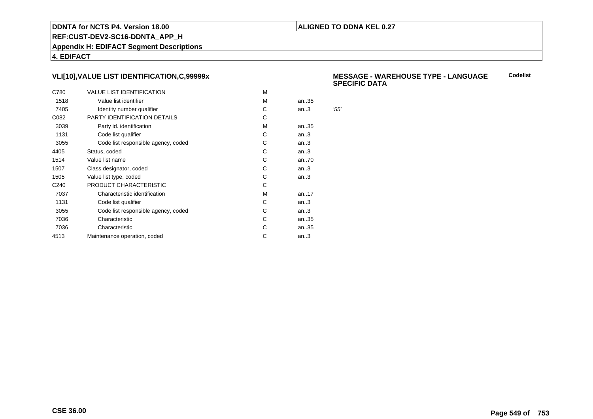### **ALIGNED TO DDNA KEL 0.27**

**REF:CUST-DEV2-SC16-DDNTA\_APP\_H**

**Appendix H: EDIFACT Segment Descriptions**

**4. EDIFACT**

# **VLI[10],VALUE LIST IDENTIFICATION,C,99999x**

| C780             | <b>VALUE LIST IDENTIFICATION</b>    | м |      |     |
|------------------|-------------------------------------|---|------|-----|
| 1518             | Value list identifier               | м | an35 |     |
| 7405             | Identity number qualifier           | С | an.3 | 55' |
| C082             | PARTY IDENTIFICATION DETAILS        | С |      |     |
| 3039             | Party id. identification            | м | an35 |     |
| 1131             | Code list qualifier                 | C | an.3 |     |
| 3055             | Code list responsible agency, coded | С | an.3 |     |
| 4405             | Status, coded                       | C | an.3 |     |
| 1514             | Value list name                     | С | an70 |     |
| 1507             | Class designator, coded             | С | an.3 |     |
| 1505             | Value list type, coded              | С | an.3 |     |
| C <sub>240</sub> | PRODUCT CHARACTERISTIC              | С |      |     |
| 7037             | Characteristic identification       | м | an17 |     |
| 1131             | Code list qualifier                 | С | an.3 |     |
| 3055             | Code list responsible agency, coded | С | an.3 |     |
| 7036             | Characteristic                      | C | an35 |     |
| 7036             | Characteristic                      | С | an35 |     |
| 4513             | Maintenance operation, coded        | С | an.3 |     |
|                  |                                     |   |      |     |

#### **MESSAGE - WAREHOUSE TYPE - LANGUAGESPECIFIC DATACodelist**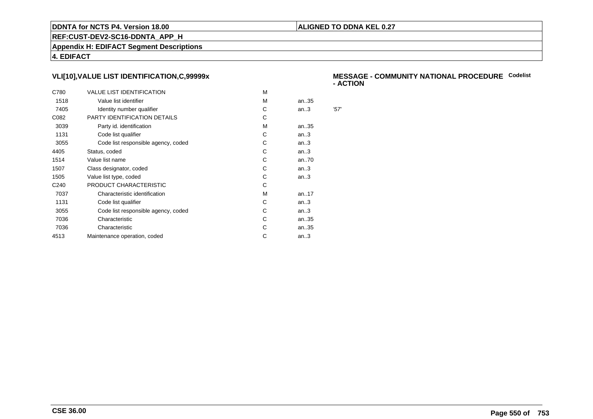### **ALIGNED TO DDNA KEL 0.27**

**REF:CUST-DEV2-SC16-DDNTA\_APP\_H**

**Appendix H: EDIFACT Segment Descriptions**

**4. EDIFACT**

# **VLI[10],VALUE LIST IDENTIFICATION,C,99999x**

| C780             | <b>VALUE LIST IDENTIFICATION</b>    | м |           |      |
|------------------|-------------------------------------|---|-----------|------|
| 1518             | Value list identifier               | м | an35      |      |
| 7405             | Identity number qualifier           | С | an.3      | '57' |
| C082             | PARTY IDENTIFICATION DETAILS        | С |           |      |
| 3039             | Party id. identification            | м | an35      |      |
| 1131             | Code list qualifier                 | C | an.3      |      |
| 3055             | Code list responsible agency, coded | С | an.3      |      |
| 4405             | Status, coded                       | С | an.3      |      |
| 1514             | Value list name                     | С | an70      |      |
| 1507             | Class designator, coded             | С | an.3      |      |
| 1505             | Value list type, coded              | С | an.3      |      |
| C <sub>240</sub> | PRODUCT CHARACTERISTIC              | С |           |      |
| 7037             | Characteristic identification       | м | an. $.17$ |      |
| 1131             | Code list qualifier                 | С | an.3      |      |
| 3055             | Code list responsible agency, coded | С | an.3      |      |
| 7036             | Characteristic                      | C | an35      |      |
| 7036             | Characteristic                      | С | an35      |      |
| 4513             | Maintenance operation, coded        | С | an.3      |      |
|                  |                                     |   |           |      |

#### **MESSAGE - COMMUNITY NATIONAL PROCEDURECodelist- ACTION**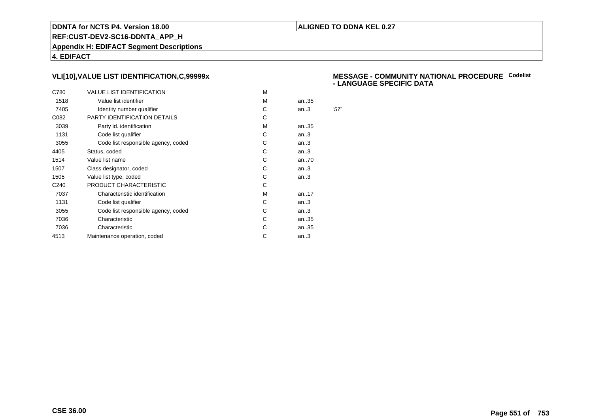### **ALIGNED TO DDNA KEL 0.27**

**REF:CUST-DEV2-SC16-DDNTA\_APP\_H**

**Appendix H: EDIFACT Segment Descriptions**

**4. EDIFACT**

# **VLI[10],VALUE LIST IDENTIFICATION,C,99999x**

| C780             | <b>VALUE LIST IDENTIFICATION</b>    | м |      |      |
|------------------|-------------------------------------|---|------|------|
| 1518             | Value list identifier               | м | an35 |      |
| 7405             | Identity number qualifier           | С | an.3 | '57' |
| C082             | PARTY IDENTIFICATION DETAILS        | C |      |      |
| 3039             | Party id. identification            | м | an35 |      |
| 1131             | Code list qualifier                 | C | an.3 |      |
| 3055             | Code list responsible agency, coded | С | an.3 |      |
| 4405             | Status, coded                       | C | an.3 |      |
| 1514             | Value list name                     | С | an70 |      |
| 1507             | Class designator, coded             | С | an.3 |      |
| 1505             | Value list type, coded              | С | an.3 |      |
| C <sub>240</sub> | PRODUCT CHARACTERISTIC              | С |      |      |
| 7037             | Characteristic identification       | M | an17 |      |
| 1131             | Code list qualifier                 | С | an.3 |      |
| 3055             | Code list responsible agency, coded | С | an.3 |      |
| 7036             | Characteristic                      | С | an35 |      |
| 7036             | Characteristic                      | С | an35 |      |
| 4513             | Maintenance operation, coded        | С | an.3 |      |
|                  |                                     |   |      |      |

#### **MESSAGE - COMMUNITY NATIONAL PROCEDURECodelist - LANGUAGE SPECIFIC DATA**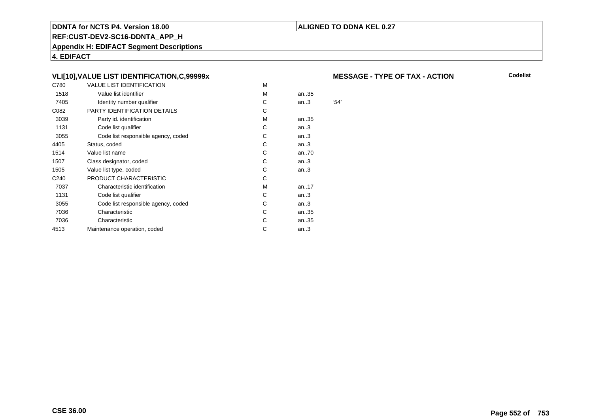### **ALIGNED TO DDNA KEL 0.27**

**REF:CUST-DEV2-SC16-DDNTA\_APP\_H**

**Appendix H: EDIFACT Segment Descriptions**

**4. EDIFACT**

# **VLI[10],VALUE LIST IDENTIFICATION,C,99999x**

| C780             | <b>VALUE LIST IDENTIFICATION</b>    | M |      |      |
|------------------|-------------------------------------|---|------|------|
| 1518             | Value list identifier               | M | an35 |      |
| 7405             | Identity number qualifier           | C | an.3 | '54' |
| C082             | PARTY IDENTIFICATION DETAILS        | С |      |      |
| 3039             | Party id. identification            | М | an35 |      |
| 1131             | Code list qualifier                 | С | an.3 |      |
| 3055             | Code list responsible agency, coded | С | an.3 |      |
| 4405             | Status, coded                       | С | an.3 |      |
| 1514             | Value list name                     | C | an70 |      |
| 1507             | Class designator, coded             | C | an.3 |      |
| 1505             | Value list type, coded              | С | an.3 |      |
| C <sub>240</sub> | PRODUCT CHARACTERISTIC              | С |      |      |
| 7037             | Characteristic identification       | м | an17 |      |
| 1131             | Code list qualifier                 | С | an.3 |      |
| 3055             | Code list responsible agency, coded | С | an.3 |      |
| 7036             | Characteristic                      | С | an35 |      |
| 7036             | Characteristic                      | С | an35 |      |
| 4513             | Maintenance operation, coded        | С | an.3 |      |
|                  |                                     |   |      |      |

#### **MESSAGE - TYPE OF TAX - ACTION**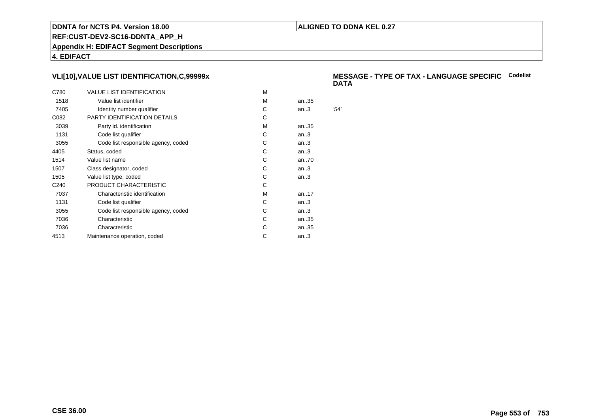### **ALIGNED TO DDNA KEL 0.27**

**REF:CUST-DEV2-SC16-DDNTA\_APP\_H**

**Appendix H: EDIFACT Segment Descriptions**

**4. EDIFACT**

# **VLI[10],VALUE LIST IDENTIFICATION,C,99999x**

| C780             | <b>VALUE LIST IDENTIFICATION</b>    | м |      |      |
|------------------|-------------------------------------|---|------|------|
| 1518             | Value list identifier               | м | an35 |      |
| 7405             | Identity number qualifier           | С | an.3 | '54' |
| C082             | PARTY IDENTIFICATION DETAILS        | C |      |      |
| 3039             | Party id. identification            | м | an35 |      |
| 1131             | Code list qualifier                 | C | an.3 |      |
| 3055             | Code list responsible agency, coded | С | an.3 |      |
| 4405             | Status, coded                       | С | an.3 |      |
| 1514             | Value list name                     | С | an70 |      |
| 1507             | Class designator, coded             | С | an.3 |      |
| 1505             | Value list type, coded              | С | an.3 |      |
| C <sub>240</sub> | PRODUCT CHARACTERISTIC              | С |      |      |
| 7037             | Characteristic identification       | M | an17 |      |
| 1131             | Code list qualifier                 | С | an.3 |      |
| 3055             | Code list responsible agency, coded | С | an.3 |      |
| 7036             | Characteristic                      | С | an35 |      |
| 7036             | Characteristic                      | С | an35 |      |
| 4513             | Maintenance operation, coded        | С | an.3 |      |
|                  |                                     |   |      |      |

#### **MESSAGE - TYPE OF TAX - LANGUAGE SPECIFICCodelistDATA**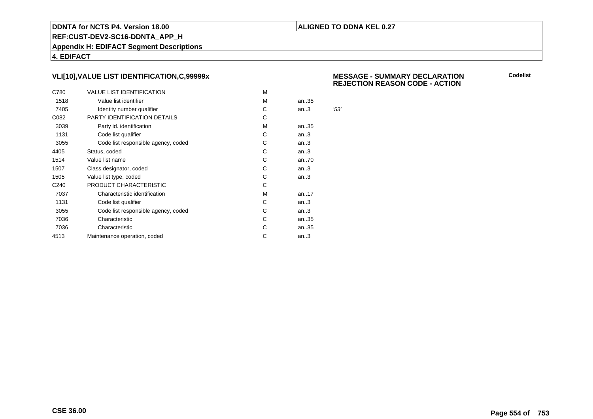### **ALIGNED TO DDNA KEL 0.27**

**REF:CUST-DEV2-SC16-DDNTA\_APP\_H**

**Appendix H: EDIFACT Segment Descriptions**

**4. EDIFACT**

# **VLI[10],VALUE LIST IDENTIFICATION,C,99999x**

| C780             | <b>VALUE LIST IDENTIFICATION</b>    | м |      |      |
|------------------|-------------------------------------|---|------|------|
| 1518             | Value list identifier               | м | an35 |      |
| 7405             | Identity number qualifier           | С | an.3 | '53' |
| C082             | PARTY IDENTIFICATION DETAILS        | C |      |      |
| 3039             | Party id. identification            | м | an35 |      |
| 1131             | Code list qualifier                 | C | an.3 |      |
| 3055             | Code list responsible agency, coded | С | an.3 |      |
| 4405             | Status, coded                       | C | an.3 |      |
| 1514             | Value list name                     | С | an70 |      |
| 1507             | Class designator, coded             | С | an.3 |      |
| 1505             | Value list type, coded              | С | an.3 |      |
| C <sub>240</sub> | PRODUCT CHARACTERISTIC              | С |      |      |
| 7037             | Characteristic identification       | M | an17 |      |
| 1131             | Code list qualifier                 | С | an.3 |      |
| 3055             | Code list responsible agency, coded | С | an.3 |      |
| 7036             | Characteristic                      | С | an35 |      |
| 7036             | Characteristic                      | С | an35 |      |
| 4513             | Maintenance operation, coded        | С | an.3 |      |
|                  |                                     |   |      |      |

 **MESSAGE - SUMMARY DECLARATIONREJECTION REASON CODE - ACTION**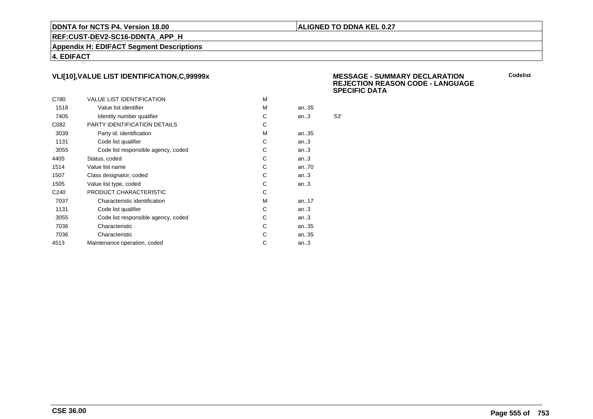### **ALIGNED TO DDNA KEL 0.27**

**REF:CUST-DEV2-SC16-DDNTA\_APP\_H**

**Appendix H: EDIFACT Segment Descriptions**

**4. EDIFACT**

# **VLI[10],VALUE LIST IDENTIFICATION,C,99999x**

|                  |                                     |   |       | ັ    |
|------------------|-------------------------------------|---|-------|------|
| C780             | <b>VALUE LIST IDENTIFICATION</b>    | M |       |      |
| 1518             | Value list identifier               | М | an35  |      |
| 7405             | Identity number qualifier           | С | an.3  | '53' |
| C082             | <b>PARTY IDENTIFICATION DETAILS</b> | C |       |      |
| 3039             | Party id. identification            | M | an35  |      |
| 1131             | Code list qualifier                 | C | an.3  |      |
| 3055             | Code list responsible agency, coded | C | an.3  |      |
| 4405             | Status, coded                       | C | an.3  |      |
| 1514             | Value list name                     | C | an70  |      |
| 1507             | Class designator, coded             | C | an.3  |      |
| 1505             | Value list type, coded              | С | an.3  |      |
| C <sub>240</sub> | PRODUCT CHARACTERISTIC              | С |       |      |
| 7037             | Characteristic identification       | М | an.17 |      |
| 1131             | Code list qualifier                 | C | an.3  |      |
| 3055             | Code list responsible agency, coded | С | an.3  |      |
| 7036             | Characteristic                      | C | an35  |      |
| 7036             | Characteristic                      | C | an35  |      |
| 4513             | Maintenance operation, coded        | С | an.3  |      |
|                  |                                     |   |       |      |

 **MESSAGE - SUMMARY DECLARATION REJECTION REASON CODE - LANGUAGESPECIFIC DATA**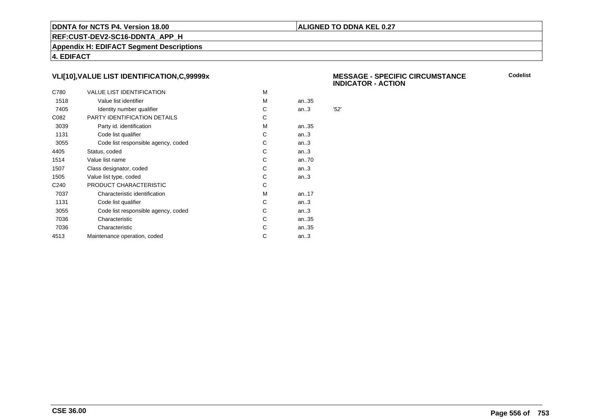### **ALIGNED TO DDNA KEL 0.27**

**REF:CUST-DEV2-SC16-DDNTA\_APP\_H**

**Appendix H: EDIFACT Segment Descriptions**

**4. EDIFACT**

# **VLI[10],VALUE LIST IDENTIFICATION,C,99999x**

| C780             | <b>VALUE LIST IDENTIFICATION</b>    | м |           |      |
|------------------|-------------------------------------|---|-----------|------|
| 1518             | Value list identifier               | м | an35      |      |
| 7405             | Identity number qualifier           | C | an.3      | '52' |
| C082             | PARTY IDENTIFICATION DETAILS        | C |           |      |
| 3039             | Party id. identification            | м | an35      |      |
| 1131             | Code list qualifier                 | C | an.3      |      |
| 3055             | Code list responsible agency, coded | С | an.3      |      |
| 4405             | Status, coded                       | С | an.3      |      |
| 1514             | Value list name                     | С | an70      |      |
| 1507             | Class designator, coded             | С | an.3      |      |
| 1505             | Value list type, coded              | C | an.3      |      |
| C <sub>240</sub> | PRODUCT CHARACTERISTIC              | С |           |      |
| 7037             | Characteristic identification       | м | an. $.17$ |      |
| 1131             | Code list qualifier                 | С | an.3      |      |
| 3055             | Code list responsible agency, coded | С | an.3      |      |
| 7036             | Characteristic                      | C | an35      |      |
| 7036             | Characteristic                      | С | an35      |      |
| 4513             | Maintenance operation, coded        | С | an.3      |      |
|                  |                                     |   |           |      |

 **MESSAGE - SPECIFIC CIRCUMSTANCEINDICATOR - ACTION**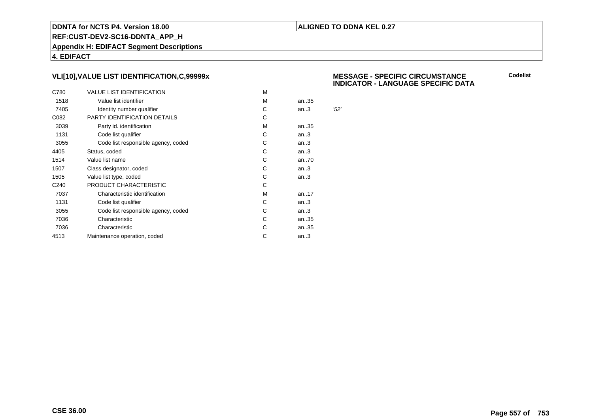### **ALIGNED TO DDNA KEL 0.27**

**REF:CUST-DEV2-SC16-DDNTA\_APP\_H**

**Appendix H: EDIFACT Segment Descriptions**

**4. EDIFACT**

# **VLI[10],VALUE LIST IDENTIFICATION,C,99999x**

| C780             | <b>VALUE LIST IDENTIFICATION</b>    | M |      |      |
|------------------|-------------------------------------|---|------|------|
| 1518             | Value list identifier               | М | an35 |      |
| 7405             | Identity number qualifier           | С | an.3 | '52' |
| C082             | PARTY IDENTIFICATION DETAILS        | C |      |      |
| 3039             | Party id. identification            | М | an35 |      |
| 1131             | Code list qualifier                 | C | an.3 |      |
| 3055             | Code list responsible agency, coded | С | an.3 |      |
| 4405             | Status, coded                       | C | an.3 |      |
| 1514             | Value list name                     | С | an70 |      |
| 1507             | Class designator, coded             | С | an.3 |      |
| 1505             | Value list type, coded              | C | an.3 |      |
| C <sub>240</sub> | PRODUCT CHARACTERISTIC              | С |      |      |
| 7037             | Characteristic identification       | M | an17 |      |
| 1131             | Code list qualifier                 | C | an.3 |      |
| 3055             | Code list responsible agency, coded | С | an.3 |      |
| 7036             | Characteristic                      | С | an35 |      |
| 7036             | Characteristic                      | С | an35 |      |
| 4513             | Maintenance operation, coded        | С | an.3 |      |
|                  |                                     |   |      |      |

#### **MESSAGE - SPECIFIC CIRCUMSTANCEINDICATOR - LANGUAGE SPECIFIC DATA**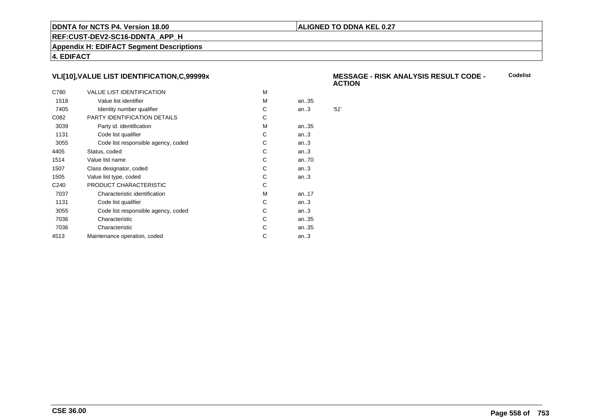### **ALIGNED TO DDNA KEL 0.27**

**REF:CUST-DEV2-SC16-DDNTA\_APP\_H**

**Appendix H: EDIFACT Segment Descriptions**

**4. EDIFACT**

# **VLI[10],VALUE LIST IDENTIFICATION,C,99999x**

| C780             | <b>VALUE LIST IDENTIFICATION</b>    | м |      |      |
|------------------|-------------------------------------|---|------|------|
| 1518             | Value list identifier               | м | an35 |      |
| 7405             | Identity number qualifier           | С | an.3 | '51' |
| C082             | PARTY IDENTIFICATION DETAILS        | С |      |      |
| 3039             | Party id. identification            | м | an35 |      |
| 1131             | Code list qualifier                 | C | an.3 |      |
| 3055             | Code list responsible agency, coded | С | an.3 |      |
| 4405             | Status, coded                       | C | an.3 |      |
| 1514             | Value list name                     | С | an70 |      |
| 1507             | Class designator, coded             | С | an.3 |      |
| 1505             | Value list type, coded              | С | an.3 |      |
| C <sub>240</sub> | PRODUCT CHARACTERISTIC              | С |      |      |
| 7037             | Characteristic identification       | м | an17 |      |
| 1131             | Code list qualifier                 | С | an.3 |      |
| 3055             | Code list responsible agency, coded | С | an.3 |      |
| 7036             | Characteristic                      | C | an35 |      |
| 7036             | Characteristic                      | С | an35 |      |
| 4513             | Maintenance operation, coded        | С | an.3 |      |
|                  |                                     |   |      |      |

#### **MESSAGE - RISK ANALYSIS RESULT CODE - ACTIONCodelist**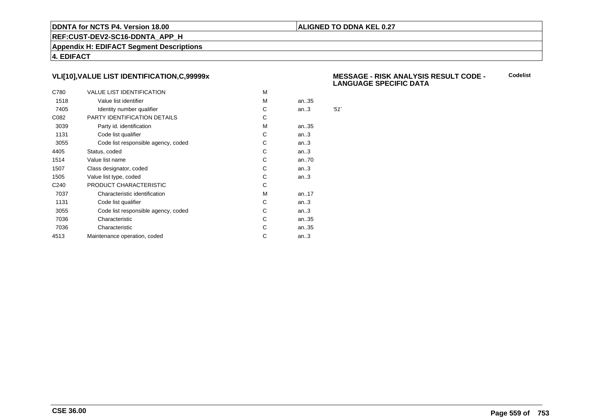### **ALIGNED TO DDNA KEL 0.27**

**REF:CUST-DEV2-SC16-DDNTA\_APP\_H**

**Appendix H: EDIFACT Segment Descriptions**

**4. EDIFACT**

# **VLI[10],VALUE LIST IDENTIFICATION,C,99999x**

| C780             | <b>VALUE LIST IDENTIFICATION</b>    | м |      |      |
|------------------|-------------------------------------|---|------|------|
| 1518             | Value list identifier               | м | an35 |      |
| 7405             | Identity number qualifier           | С | an.3 | '51' |
| C082             | PARTY IDENTIFICATION DETAILS        | С |      |      |
| 3039             | Party id. identification            | м | an35 |      |
| 1131             | Code list qualifier                 | C | an.3 |      |
| 3055             | Code list responsible agency, coded | С | an.3 |      |
| 4405             | Status, coded                       | C | an.3 |      |
| 1514             | Value list name                     | С | an70 |      |
| 1507             | Class designator, coded             | С | an.3 |      |
| 1505             | Value list type, coded              | С | an.3 |      |
| C <sub>240</sub> | PRODUCT CHARACTERISTIC              | С |      |      |
| 7037             | Characteristic identification       | м | an17 |      |
| 1131             | Code list qualifier                 | С | an.3 |      |
| 3055             | Code list responsible agency, coded | С | an.3 |      |
| 7036             | Characteristic                      | C | an35 |      |
| 7036             | Characteristic                      | С | an35 |      |
| 4513             | Maintenance operation, coded        | С | an.3 |      |
|                  |                                     |   |      |      |

#### **MESSAGE - RISK ANALYSIS RESULT CODE - LANGUAGE SPECIFIC DATACodelist**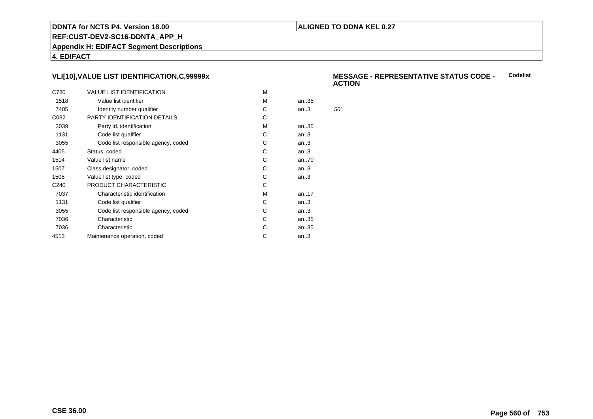### **ALIGNED TO DDNA KEL 0.27**

**REF:CUST-DEV2-SC16-DDNTA\_APP\_H**

**Appendix H: EDIFACT Segment Descriptions**

**4. EDIFACT**

# **VLI[10],VALUE LIST IDENTIFICATION,C,99999x**

| C780             | <b>VALUE LIST IDENTIFICATION</b>    | м |      |      |
|------------------|-------------------------------------|---|------|------|
| 1518             | Value list identifier               | м | an35 |      |
| 7405             | Identity number qualifier           | С | an.3 | '50' |
| C082             | PARTY IDENTIFICATION DETAILS        | С |      |      |
| 3039             | Party id. identification            | м | an35 |      |
| 1131             | Code list qualifier                 | C | an.3 |      |
| 3055             | Code list responsible agency, coded | С | an.3 |      |
| 4405             | Status, coded                       | C | an.3 |      |
| 1514             | Value list name                     | С | an70 |      |
| 1507             | Class designator, coded             | С | an.3 |      |
| 1505             | Value list type, coded              | С | an.3 |      |
| C <sub>240</sub> | PRODUCT CHARACTERISTIC              | С |      |      |
| 7037             | Characteristic identification       | м | an17 |      |
| 1131             | Code list qualifier                 | С | an.3 |      |
| 3055             | Code list responsible agency, coded | С | an.3 |      |
| 7036             | Characteristic                      | C | an35 |      |
| 7036             | Characteristic                      | С | an35 |      |
| 4513             | Maintenance operation, coded        | С | an.3 |      |
|                  |                                     |   |      |      |

#### **MESSAGE - REPRESENTATIVE STATUS CODE - ACTIONCodelist**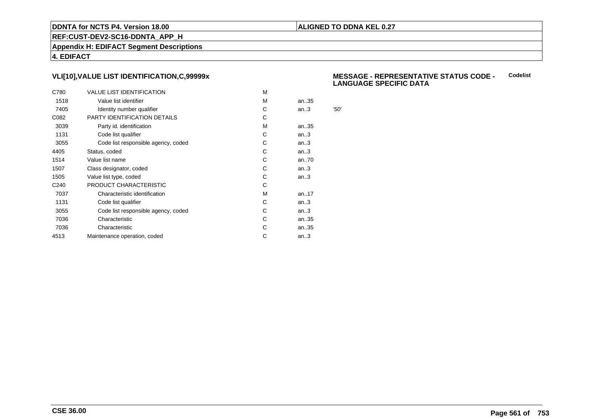### **ALIGNED TO DDNA KEL 0.27**

**REF:CUST-DEV2-SC16-DDNTA\_APP\_H**

**Appendix H: EDIFACT Segment Descriptions**

**4. EDIFACT**

# **VLI[10],VALUE LIST IDENTIFICATION,C,99999x**

| C780             | <b>VALUE LIST IDENTIFICATION</b>    | M |      |      |
|------------------|-------------------------------------|---|------|------|
| 1518             | Value list identifier               | M | an35 |      |
| 7405             | Identity number qualifier           | С | an.3 | '50' |
| C082             | PARTY IDENTIFICATION DETAILS        | С |      |      |
| 3039             | Party id. identification            | м | an35 |      |
| 1131             | Code list qualifier                 | С | an.3 |      |
| 3055             | Code list responsible agency, coded | С | an.3 |      |
| 4405             | Status, coded                       | С | an.3 |      |
| 1514             | Value list name                     | C | an70 |      |
| 1507             | Class designator, coded             | С | an.3 |      |
| 1505             | Value list type, coded              | С | an.3 |      |
| C <sub>240</sub> | PRODUCT CHARACTERISTIC              | С |      |      |
| 7037             | Characteristic identification       | м | an17 |      |
| 1131             | Code list qualifier                 | С | an.3 |      |
| 3055             | Code list responsible agency, coded | С | an.3 |      |
| 7036             | Characteristic                      | C | an35 |      |
| 7036             | Characteristic                      | С | an35 |      |
| 4513             | Maintenance operation, coded        | С | an.3 |      |
|                  |                                     |   |      |      |

#### **MESSAGE - REPRESENTATIVE STATUS CODE - LANGUAGE SPECIFIC DATACodelist**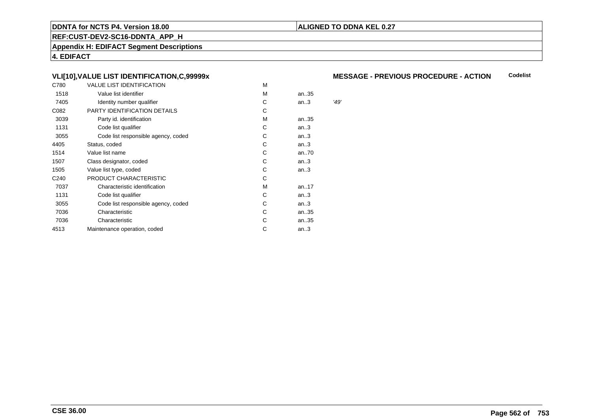### **ALIGNED TO DDNA KEL 0.27**

**REF:CUST-DEV2-SC16-DDNTA\_APP\_H**

**Appendix H: EDIFACT Segment Descriptions**

**4. EDIFACT**

# **VLI[10],VALUE LIST IDENTIFICATION,C,99999x**

| C780             | VALUE LIST IDENTIFICATION           | M |      |      |
|------------------|-------------------------------------|---|------|------|
| 1518             | Value list identifier               | M | an35 |      |
| 7405             | Identity number qualifier           | С | an.3 | '49' |
| C082             | PARTY IDENTIFICATION DETAILS        | С |      |      |
| 3039             | Party id. identification            | м | an35 |      |
| 1131             | Code list qualifier                 | С | an.3 |      |
| 3055             | Code list responsible agency, coded | С | an.3 |      |
| 4405             | Status, coded                       | С | an.3 |      |
| 1514             | Value list name                     | C | an70 |      |
| 1507             | Class designator, coded             | C | an.3 |      |
| 1505             | Value list type, coded              | C | an.3 |      |
| C <sub>240</sub> | PRODUCT CHARACTERISTIC              | С |      |      |
| 7037             | Characteristic identification       | м | an17 |      |
| 1131             | Code list qualifier                 | С | an.3 |      |
| 3055             | Code list responsible agency, coded | С | an.3 |      |
| 7036             | Characteristic                      | С | an35 |      |
| 7036             | Characteristic                      | С | an35 |      |
| 4513             | Maintenance operation, coded        | С | an.3 |      |
|                  |                                     |   |      |      |

#### **MESSAGE - PREVIOUS PROCEDURE - ACTIONCodelist**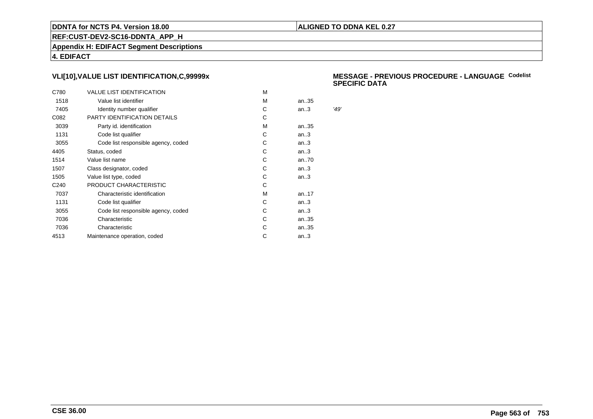### **ALIGNED TO DDNA KEL 0.27**

**REF:CUST-DEV2-SC16-DDNTA\_APP\_H**

**Appendix H: EDIFACT Segment Descriptions**

**4. EDIFACT**

# **VLI[10],VALUE LIST IDENTIFICATION,C,99999x**

| C780             | <b>VALUE LIST IDENTIFICATION</b>    | м |      |      |
|------------------|-------------------------------------|---|------|------|
| 1518             | Value list identifier               | м | an35 |      |
| 7405             | Identity number qualifier           | С | an.3 | '49' |
| C082             | PARTY IDENTIFICATION DETAILS        | С |      |      |
| 3039             | Party id. identification            | м | an35 |      |
| 1131             | Code list qualifier                 | C | an.3 |      |
| 3055             | Code list responsible agency, coded | С | an.3 |      |
| 4405             | Status, coded                       | C | an.3 |      |
| 1514             | Value list name                     | С | an70 |      |
| 1507             | Class designator, coded             | С | an.3 |      |
| 1505             | Value list type, coded              | С | an.3 |      |
| C <sub>240</sub> | PRODUCT CHARACTERISTIC              | С |      |      |
| 7037             | Characteristic identification       | м | an17 |      |
| 1131             | Code list qualifier                 | С | an.3 |      |
| 3055             | Code list responsible agency, coded | С | an.3 |      |
| 7036             | Characteristic                      | C | an35 |      |
| 7036             | Characteristic                      | С | an35 |      |
| 4513             | Maintenance operation, coded        | С | an.3 |      |
|                  |                                     |   |      |      |

#### **MESSAGE - PREVIOUS PROCEDURE - LANGUAGECodelistSPECIFIC DATA**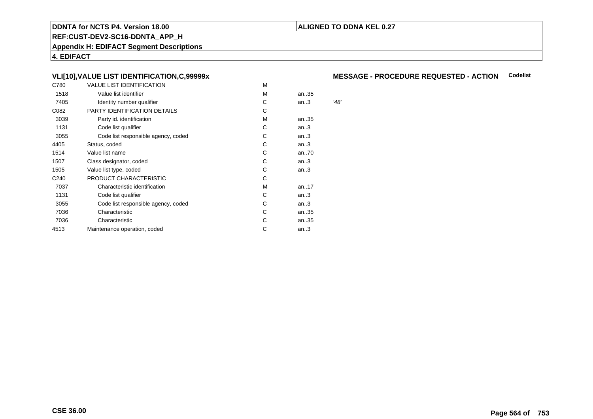### **ALIGNED TO DDNA KEL 0.27**

**REF:CUST-DEV2-SC16-DDNTA\_APP\_H**

**Appendix H: EDIFACT Segment Descriptions**

**4. EDIFACT**

# **VLI[10],VALUE LIST IDENTIFICATION,C,99999x**

| C780             | <b>VALUE LIST IDENTIFICATION</b>    | M |      |      |
|------------------|-------------------------------------|---|------|------|
| 1518             | Value list identifier               | M | an35 |      |
| 7405             | Identity number qualifier           | C | an.3 | '48' |
| C082             | PARTY IDENTIFICATION DETAILS        | С |      |      |
| 3039             | Party id. identification            | м | an35 |      |
| 1131             | Code list qualifier                 | С | an.3 |      |
| 3055             | Code list responsible agency, coded | С | an.3 |      |
| 4405             | Status, coded                       | С | an.3 |      |
| 1514             | Value list name                     | C | an70 |      |
| 1507             | Class designator, coded             | C | an.3 |      |
| 1505             | Value list type, coded              | С | an.3 |      |
| C <sub>240</sub> | PRODUCT CHARACTERISTIC              | С |      |      |
| 7037             | Characteristic identification       | м | an17 |      |
| 1131             | Code list qualifier                 | С | an.3 |      |
| 3055             | Code list responsible agency, coded | С | an.3 |      |
| 7036             | Characteristic                      | С | an35 |      |
| 7036             | Characteristic                      | С | an35 |      |
| 4513             | Maintenance operation, coded        | С | an.3 |      |
|                  |                                     |   |      |      |

# **MESSAGE - PROCEDURE REQUESTED - ACTION Codelist**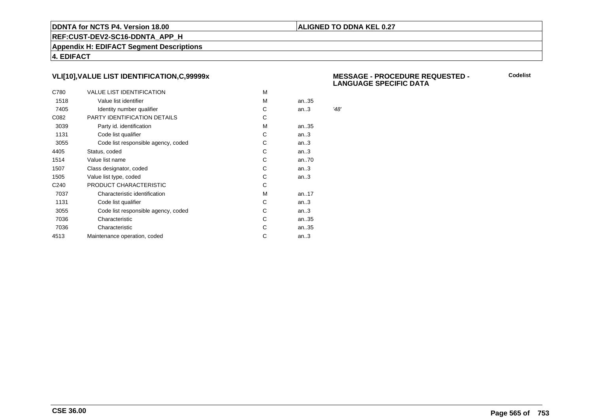### **ALIGNED TO DDNA KEL 0.27**

**REF:CUST-DEV2-SC16-DDNTA\_APP\_H**

**Appendix H: EDIFACT Segment Descriptions**

**4. EDIFACT**

# **VLI[10],VALUE LIST IDENTIFICATION,C,99999x**

| C780             | <b>VALUE LIST IDENTIFICATION</b>    | M |      |      |
|------------------|-------------------------------------|---|------|------|
| 1518             | Value list identifier               | M | an35 |      |
| 7405             | Identity number qualifier           | С | an.3 | '48' |
| C082             | PARTY IDENTIFICATION DETAILS        | С |      |      |
| 3039             | Party id. identification            | м | an35 |      |
| 1131             | Code list qualifier                 | С | an.3 |      |
| 3055             | Code list responsible agency, coded | С | an.3 |      |
| 4405             | Status, coded                       | С | an.3 |      |
| 1514             | Value list name                     | C | an70 |      |
| 1507             | Class designator, coded             | С | an.3 |      |
| 1505             | Value list type, coded              | С | an.3 |      |
| C <sub>240</sub> | PRODUCT CHARACTERISTIC              | С |      |      |
| 7037             | Characteristic identification       | м | an17 |      |
| 1131             | Code list qualifier                 | С | an.3 |      |
| 3055             | Code list responsible agency, coded | С | an.3 |      |
| 7036             | Characteristic                      | C | an35 |      |
| 7036             | Characteristic                      | С | an35 |      |
| 4513             | Maintenance operation, coded        | С | an.3 |      |
|                  |                                     |   |      |      |

#### **MESSAGE - PROCEDURE REQUESTED - LANGUAGE SPECIFIC DATA**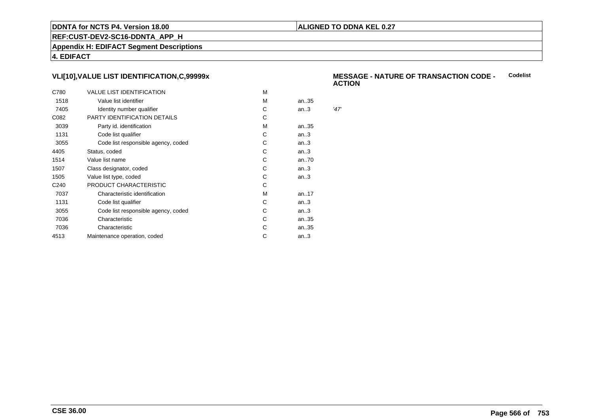### **ALIGNED TO DDNA KEL 0.27**

**REF:CUST-DEV2-SC16-DDNTA\_APP\_H**

**Appendix H: EDIFACT Segment Descriptions**

**4. EDIFACT**

# **VLI[10],VALUE LIST IDENTIFICATION,C,99999x**

| C780             | <b>VALUE LIST IDENTIFICATION</b>    | м |      |      |
|------------------|-------------------------------------|---|------|------|
| 1518             | Value list identifier               | м | an35 |      |
| 7405             | Identity number qualifier           | С | an.3 | '47' |
| C082             | PARTY IDENTIFICATION DETAILS        | C |      |      |
| 3039             | Party id. identification            | м | an35 |      |
| 1131             | Code list qualifier                 | C | an.3 |      |
| 3055             | Code list responsible agency, coded | С | an.3 |      |
| 4405             | Status, coded                       | C | an.3 |      |
| 1514             | Value list name                     | С | an70 |      |
| 1507             | Class designator, coded             | С | an.3 |      |
| 1505             | Value list type, coded              | С | an.3 |      |
| C <sub>240</sub> | PRODUCT CHARACTERISTIC              | С |      |      |
| 7037             | Characteristic identification       | M | an17 |      |
| 1131             | Code list qualifier                 | С | an.3 |      |
| 3055             | Code list responsible agency, coded | С | an.3 |      |
| 7036             | Characteristic                      | С | an35 |      |
| 7036             | Characteristic                      | С | an35 |      |
| 4513             | Maintenance operation, coded        | С | an.3 |      |
|                  |                                     |   |      |      |

#### **MESSAGE - NATURE OF TRANSACTION CODE - ACTIONCodelist**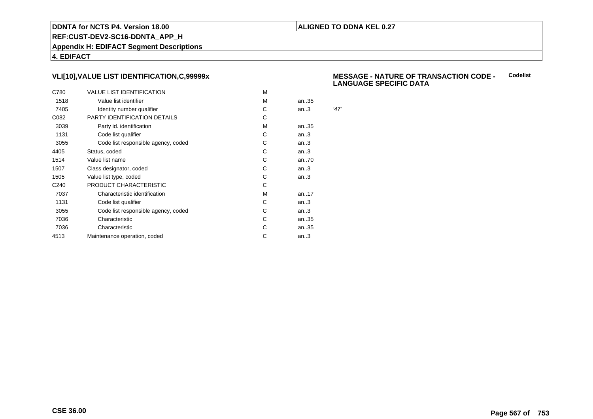### **ALIGNED TO DDNA KEL 0.27**

**REF:CUST-DEV2-SC16-DDNTA\_APP\_H**

**Appendix H: EDIFACT Segment Descriptions**

**4. EDIFACT**

# **VLI[10],VALUE LIST IDENTIFICATION,C,99999x**

| C780             | <b>VALUE LIST IDENTIFICATION</b>    | M |      |      |
|------------------|-------------------------------------|---|------|------|
| 1518             | Value list identifier               | M | an35 |      |
| 7405             | Identity number qualifier           | С | an.3 | '47' |
| C082             | PARTY IDENTIFICATION DETAILS        | С |      |      |
| 3039             | Party id. identification            | м | an35 |      |
| 1131             | Code list qualifier                 | С | an.3 |      |
| 3055             | Code list responsible agency, coded | С | an.3 |      |
| 4405             | Status, coded                       | С | an.3 |      |
| 1514             | Value list name                     | C | an70 |      |
| 1507             | Class designator, coded             | С | an.3 |      |
| 1505             | Value list type, coded              | С | an.3 |      |
| C <sub>240</sub> | PRODUCT CHARACTERISTIC              | С |      |      |
| 7037             | Characteristic identification       | м | an17 |      |
| 1131             | Code list qualifier                 | С | an.3 |      |
| 3055             | Code list responsible agency, coded | С | an.3 |      |
| 7036             | Characteristic                      | C | an35 |      |
| 7036             | Characteristic                      | С | an35 |      |
| 4513             | Maintenance operation, coded        | С | an.3 |      |
|                  |                                     |   |      |      |

#### **MESSAGE - NATURE OF TRANSACTION CODE - LANGUAGE SPECIFIC DATACodelist**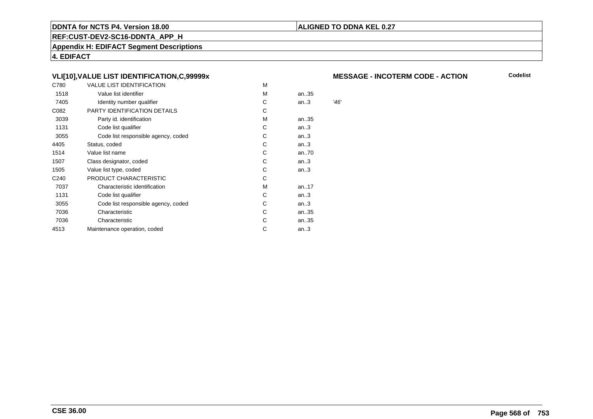### **ALIGNED TO DDNA KEL 0.27**

**REF:CUST-DEV2-SC16-DDNTA\_APP\_H**

**Appendix H: EDIFACT Segment Descriptions**

**4. EDIFACT**

# **VLI[10],VALUE LIST IDENTIFICATION,C,99999x**

| C780             | <b>VALUE LIST IDENTIFICATION</b>    | M |      |      |
|------------------|-------------------------------------|---|------|------|
| 1518             | Value list identifier               | M | an35 |      |
| 7405             | Identity number qualifier           | C | an.3 | '46' |
| C082             | PARTY IDENTIFICATION DETAILS        | С |      |      |
| 3039             | Party id. identification            | м | an35 |      |
| 1131             | Code list qualifier                 | С | an.3 |      |
| 3055             | Code list responsible agency, coded | С | an.3 |      |
| 4405             | Status, coded                       | С | an.3 |      |
| 1514             | Value list name                     | C | an70 |      |
| 1507             | Class designator, coded             | C | an.3 |      |
| 1505             | Value list type, coded              | С | an.3 |      |
| C <sub>240</sub> | PRODUCT CHARACTERISTIC              | С |      |      |
| 7037             | Characteristic identification       | м | an17 |      |
| 1131             | Code list qualifier                 | С | an.3 |      |
| 3055             | Code list responsible agency, coded | С | an.3 |      |
| 7036             | Characteristic                      | С | an35 |      |
| 7036             | Characteristic                      | С | an35 |      |
| 4513             | Maintenance operation, coded        | С | an.3 |      |
|                  |                                     |   |      |      |

#### **MESSAGE - INCOTERM CODE - ACTION**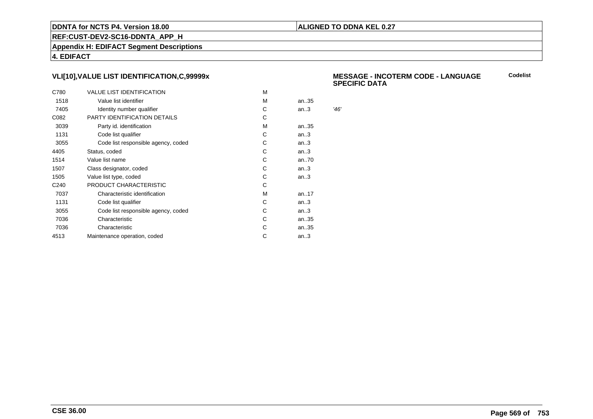### **ALIGNED TO DDNA KEL 0.27**

**REF:CUST-DEV2-SC16-DDNTA\_APP\_H**

**Appendix H: EDIFACT Segment Descriptions**

**4. EDIFACT**

# **VLI[10],VALUE LIST IDENTIFICATION,C,99999x**

| C780             | <b>VALUE LIST IDENTIFICATION</b>    | M |      |      |
|------------------|-------------------------------------|---|------|------|
| 1518             | Value list identifier               | M | an35 |      |
| 7405             | Identity number qualifier           | С | an.3 | '46' |
| C082             | PARTY IDENTIFICATION DETAILS        | С |      |      |
| 3039             | Party id. identification            | м | an35 |      |
| 1131             | Code list qualifier                 | С | an.3 |      |
| 3055             | Code list responsible agency, coded | С | an.3 |      |
| 4405             | Status, coded                       | С | an.3 |      |
| 1514             | Value list name                     | C | an70 |      |
| 1507             | Class designator, coded             | С | an.3 |      |
| 1505             | Value list type, coded              | С | an.3 |      |
| C <sub>240</sub> | PRODUCT CHARACTERISTIC              | С |      |      |
| 7037             | Characteristic identification       | м | an17 |      |
| 1131             | Code list qualifier                 | С | an.3 |      |
| 3055             | Code list responsible agency, coded | С | an.3 |      |
| 7036             | Characteristic                      | C | an35 |      |
| 7036             | Characteristic                      | С | an35 |      |
| 4513             | Maintenance operation, coded        | С | an.3 |      |
|                  |                                     |   |      |      |

#### **MESSAGE - INCOTERM CODE - LANGUAGESPECIFIC DATACodelist**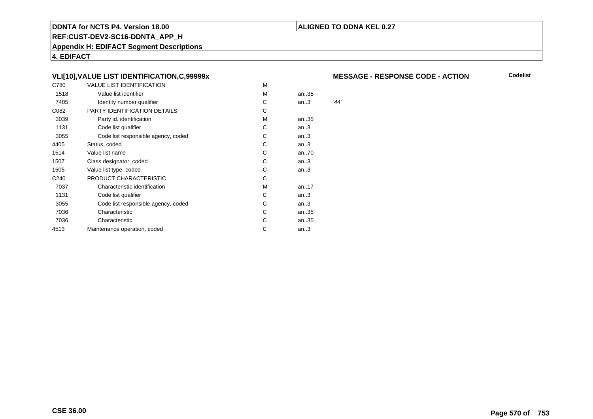### **ALIGNED TO DDNA KEL 0.27**

**REF:CUST-DEV2-SC16-DDNTA\_APP\_H**

**Appendix H: EDIFACT Segment Descriptions**

**4. EDIFACT**

# **VLI[10],VALUE LIST IDENTIFICATION,C,99999x**

| C780             | VALUE LIST IDENTIFICATION           | M |      |      |
|------------------|-------------------------------------|---|------|------|
| 1518             | Value list identifier               | M | an35 |      |
| 7405             | Identity number qualifier           | С | an.3 | '44' |
| C082             | PARTY IDENTIFICATION DETAILS        | С |      |      |
| 3039             | Party id. identification            | м | an35 |      |
| 1131             | Code list qualifier                 | С | an.3 |      |
| 3055             | Code list responsible agency, coded | С | an.3 |      |
| 4405             | Status, coded                       | С | an.3 |      |
| 1514             | Value list name                     | C | an70 |      |
| 1507             | Class designator, coded             | C | an.3 |      |
| 1505             | Value list type, coded              | C | an.3 |      |
| C <sub>240</sub> | PRODUCT CHARACTERISTIC              | С |      |      |
| 7037             | Characteristic identification       | м | an17 |      |
| 1131             | Code list qualifier                 | С | an.3 |      |
| 3055             | Code list responsible agency, coded | С | an.3 |      |
| 7036             | Characteristic                      | С | an35 |      |
| 7036             | Characteristic                      | С | an35 |      |
| 4513             | Maintenance operation, coded        | С | an.3 |      |
|                  |                                     |   |      |      |

#### **MESSAGE - RESPONSE CODE - ACTION**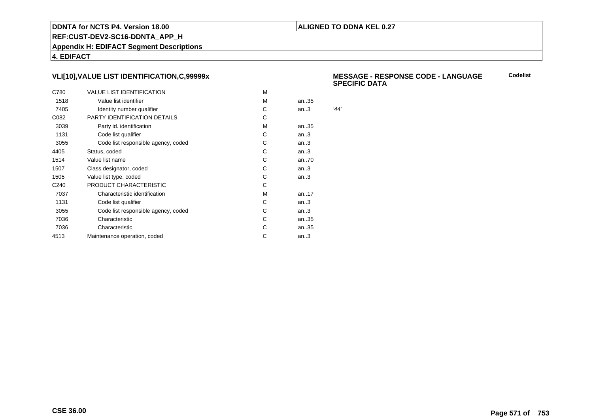### **ALIGNED TO DDNA KEL 0.27**

**REF:CUST-DEV2-SC16-DDNTA\_APP\_H**

**Appendix H: EDIFACT Segment Descriptions**

**4. EDIFACT**

# **VLI[10],VALUE LIST IDENTIFICATION,C,99999x**

| C780             | <b>VALUE LIST IDENTIFICATION</b>    | м |      |      |
|------------------|-------------------------------------|---|------|------|
| 1518             | Value list identifier               | м | an35 |      |
| 7405             | Identity number qualifier           | С | an.3 | '44' |
| C082             | PARTY IDENTIFICATION DETAILS        | С |      |      |
| 3039             | Party id. identification            | м | an35 |      |
| 1131             | Code list qualifier                 | C | an.3 |      |
| 3055             | Code list responsible agency, coded | С | an.3 |      |
| 4405             | Status, coded                       | C | an.3 |      |
| 1514             | Value list name                     | С | an70 |      |
| 1507             | Class designator, coded             | С | an.3 |      |
| 1505             | Value list type, coded              | С | an.3 |      |
| C <sub>240</sub> | PRODUCT CHARACTERISTIC              | С |      |      |
| 7037             | Characteristic identification       | м | an17 |      |
| 1131             | Code list qualifier                 | С | an.3 |      |
| 3055             | Code list responsible agency, coded | С | an.3 |      |
| 7036             | Characteristic                      | C | an35 |      |
| 7036             | Characteristic                      | С | an35 |      |
| 4513             | Maintenance operation, coded        | С | an.3 |      |
|                  |                                     |   |      |      |

 **MESSAGE - RESPONSE CODE - LANGUAGESPECIFIC DATACodelist**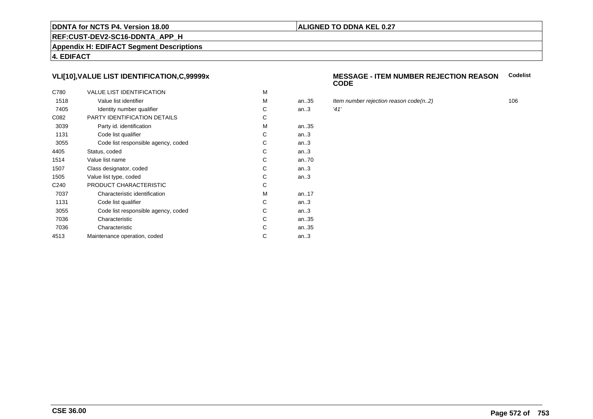# **REF:CUST-DEV2-SC16-DDNTA\_APP\_H**

**Appendix H: EDIFACT Segment Descriptions**

**4. EDIFACT**

# **VLI[10],VALUE LIST IDENTIFICATION,C,99999x**

| C780             | <b>VALUE LIST IDENTIFICATION</b>    | M |      |      |
|------------------|-------------------------------------|---|------|------|
| 1518             | Value list identifier               | M | an35 | Iter |
| 7405             | Identity number qualifier           | С | an.3 | '41' |
| C082             | PARTY IDENTIFICATION DETAILS        | С |      |      |
| 3039             | Party id. identification            | м | an35 |      |
| 1131             | Code list qualifier                 | C | an.3 |      |
| 3055             | Code list responsible agency, coded | C | an.3 |      |
| 4405             | Status, coded                       | C | an.3 |      |
| 1514             | Value list name                     | C | an70 |      |
| 1507             | Class designator, coded             | C | an.3 |      |
| 1505             | Value list type, coded              | С | an.3 |      |
| C <sub>240</sub> | PRODUCT CHARACTERISTIC              | С |      |      |
| 7037             | Characteristic identification       | м | an17 |      |
| 1131             | Code list qualifier                 | С | an.3 |      |
| 3055             | Code list responsible agency, coded | С | an.3 |      |
| 7036             | Characteristic                      | C | an35 |      |
| 7036             | Characteristic                      | С | an35 |      |
| 4513             | Maintenance operation, coded        | С | an.3 |      |
|                  |                                     |   |      |      |

#### **MESSAGE - ITEM NUMBER REJECTION REASONCODECodelist**

- Item number rejection reason code(n..2) 106<br> $41'$ 
	-

**ALIGNED TO DDNA KEL 0.27**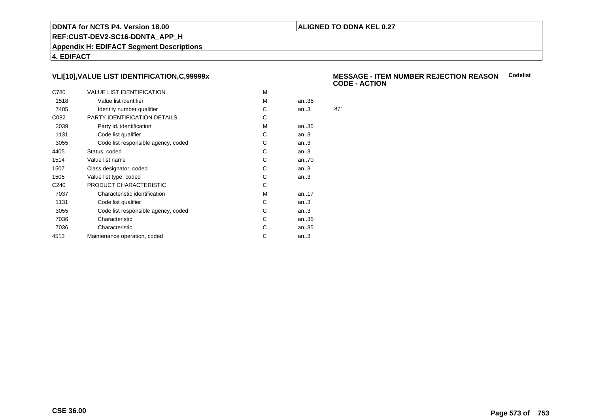### **ALIGNED TO DDNA KEL 0.27**

**REF:CUST-DEV2-SC16-DDNTA\_APP\_H**

**Appendix H: EDIFACT Segment Descriptions**

**4. EDIFACT**

# **VLI[10],VALUE LIST IDENTIFICATION,C,99999x**

| C780             | <b>VALUE LIST IDENTIFICATION</b>    | M |      |      |
|------------------|-------------------------------------|---|------|------|
| 1518             | Value list identifier               | М | an35 |      |
| 7405             | Identity number qualifier           | С | an.3 | '41' |
| C082             | PARTY IDENTIFICATION DETAILS        | C |      |      |
| 3039             | Party id. identification            | М | an35 |      |
| 1131             | Code list qualifier                 | C | an.3 |      |
| 3055             | Code list responsible agency, coded | С | an.3 |      |
| 4405             | Status, coded                       | C | an.3 |      |
| 1514             | Value list name                     | С | an70 |      |
| 1507             | Class designator, coded             | С | an.3 |      |
| 1505             | Value list type, coded              | C | an.3 |      |
| C <sub>240</sub> | PRODUCT CHARACTERISTIC              | С |      |      |
| 7037             | Characteristic identification       | M | an17 |      |
| 1131             | Code list qualifier                 | C | an.3 |      |
| 3055             | Code list responsible agency, coded | С | an.3 |      |
| 7036             | Characteristic                      | С | an35 |      |
| 7036             | Characteristic                      | С | an35 |      |
| 4513             | Maintenance operation, coded        | С | an.3 |      |
|                  |                                     |   |      |      |

#### **MESSAGE - ITEM NUMBER REJECTION REASONCodelistCODE - ACTION**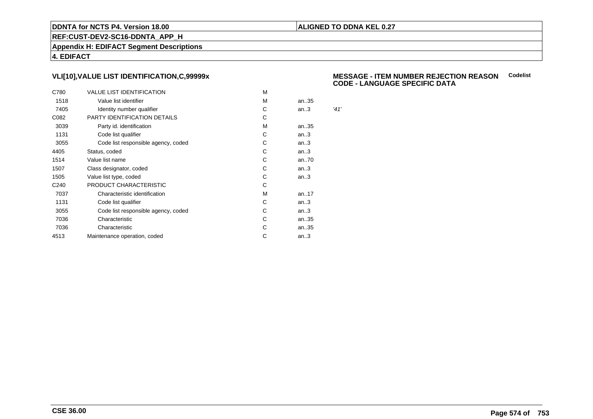### **ALIGNED TO DDNA KEL 0.27**

**REF:CUST-DEV2-SC16-DDNTA\_APP\_H**

**Appendix H: EDIFACT Segment Descriptions**

**4. EDIFACT**

# **VLI[10],VALUE LIST IDENTIFICATION,C,99999x**

| C780             | <b>VALUE LIST IDENTIFICATION</b>    | M |      |      |
|------------------|-------------------------------------|---|------|------|
| 1518             | Value list identifier               | M | an35 |      |
| 7405             | Identity number qualifier           | С | an.3 | '41' |
| C082             | PARTY IDENTIFICATION DETAILS        | С |      |      |
| 3039             | Party id. identification            | м | an35 |      |
| 1131             | Code list qualifier                 | С | an.3 |      |
| 3055             | Code list responsible agency, coded | С | an.3 |      |
| 4405             | Status, coded                       | С | an.3 |      |
| 1514             | Value list name                     | C | an70 |      |
| 1507             | Class designator, coded             | С | an.3 |      |
| 1505             | Value list type, coded              | С | an.3 |      |
| C <sub>240</sub> | PRODUCT CHARACTERISTIC              | С |      |      |
| 7037             | Characteristic identification       | м | an17 |      |
| 1131             | Code list qualifier                 | С | an.3 |      |
| 3055             | Code list responsible agency, coded | С | an.3 |      |
| 7036             | Characteristic                      | C | an35 |      |
| 7036             | Characteristic                      | С | an35 |      |
| 4513             | Maintenance operation, coded        | С | an.3 |      |
|                  |                                     |   |      |      |

#### **MESSAGE - ITEM NUMBER REJECTION REASONCodelist CODE - LANGUAGE SPECIFIC DATA**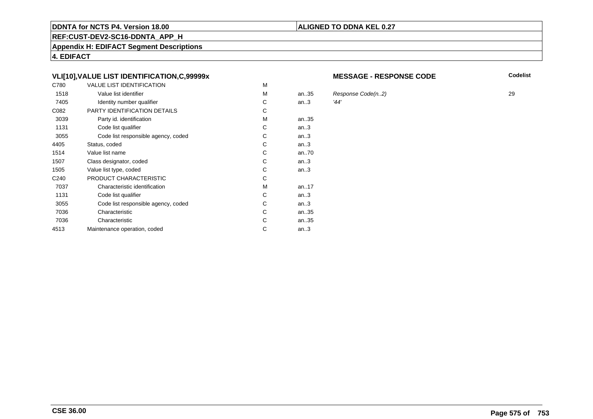# **REF:CUST-DEV2-SC16-DDNTA\_APP\_H**

**Appendix H: EDIFACT Segment Descriptions**

**4. EDIFACT**

# **VLI[10],VALUE LIST IDENTIFICATION,C,99999x**

| C780             | <b>VALUE LIST IDENTIFICATION</b>    | M |           |      |
|------------------|-------------------------------------|---|-----------|------|
| 1518             | Value list identifier               | M | an.35     | Res  |
| 7405             | Identity number qualifier           | С | an.3      | '44' |
| C082             | PARTY IDENTIFICATION DETAILS        | С |           |      |
| 3039             | Party id. identification            | м | an35      |      |
| 1131             | Code list qualifier                 | C | an.3      |      |
| 3055             | Code list responsible agency, coded | C | an.3      |      |
| 4405             | Status, coded                       | С | an.3      |      |
| 1514             | Value list name                     | C | an70      |      |
| 1507             | Class designator, coded             | C | an.3      |      |
| 1505             | Value list type, coded              | С | an.3      |      |
| C <sub>240</sub> | PRODUCT CHARACTERISTIC              | С |           |      |
| 7037             | Characteristic identification       | м | an. $.17$ |      |
| 1131             | Code list qualifier                 | С | an.3      |      |
| 3055             | Code list responsible agency, coded | С | an.3      |      |
| 7036             | Characteristic                      | C | an35      |      |
| 7036             | Characteristic                      | С | an35      |      |
| 4513             | Maintenance operation, coded        | С | an.3      |      |
|                  |                                     |   |           |      |

#### **MESSAGE - RESPONSE CODE**

**Codelist**

**Page 575 of753**

**CSE 36.00**

# **ALIGNED TO DDNA KEL 0.27**

# $R$ esponse Code(n..2) 29<br>29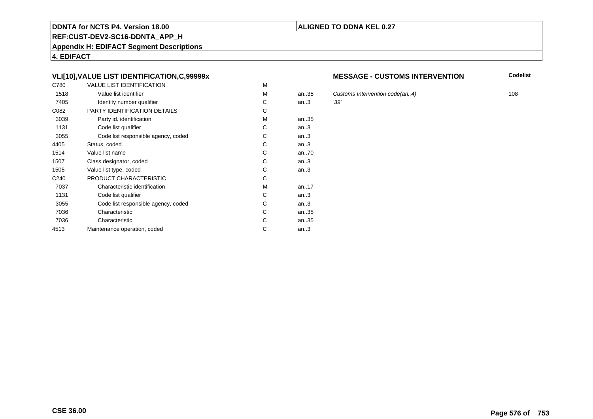#### **REF:CUST-DEV2-SC16-DDNTA\_APP\_H**

**Appendix H: EDIFACT Segment Descriptions**

**4. EDIFACT**

# **VLI[10],VALUE LIST IDENTIFICATION,C,99999x**

| C780             | <b>VALUE LIST IDENTIFICATION</b>    | M |       |      |
|------------------|-------------------------------------|---|-------|------|
| 1518             | Value list identifier               | М | an.35 | Cus  |
| 7405             | Identity number qualifier           | С | an.3  | '39' |
| C082             | <b>PARTY IDENTIFICATION DETAILS</b> | С |       |      |
| 3039             | Party id. identification            | М | an35  |      |
| 1131             | Code list qualifier                 | C | an.3  |      |
| 3055             | Code list responsible agency, coded | C | an.3  |      |
| 4405             | Status, coded                       | C | an.3  |      |
| 1514             | Value list name                     | C | an70  |      |
| 1507             | Class designator, coded             | C | an.3  |      |
| 1505             | Value list type, coded              | С | an.3  |      |
| C <sub>240</sub> | PRODUCT CHARACTERISTIC              | С |       |      |
| 7037             | Characteristic identification       | М | an17  |      |
| 1131             | Code list qualifier                 | С | an.3  |      |
| 3055             | Code list responsible agency, coded | С | an.3  |      |
| 7036             | Characteristic                      | C | an35  |      |
| 7036             | Characteristic                      | C | an35  |      |
| 4513             | Maintenance operation, coded        | С | an.3  |      |
|                  |                                     |   |       |      |

#### **MESSAGE - CUSTOMS INTERVENTION**

**Codelist**

Customs Intervention code(an..4) 108<br>
'39'

# **ALIGNED TO DDNA KEL 0.27**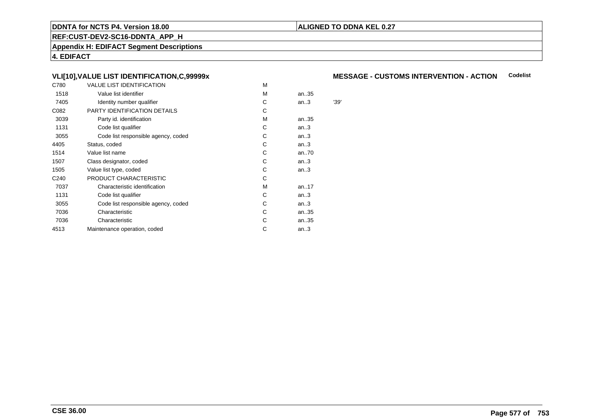#### **ALIGNED TO DDNA KEL 0.27**

**REF:CUST-DEV2-SC16-DDNTA\_APP\_H**

**Appendix H: EDIFACT Segment Descriptions**

**4. EDIFACT**

#### **VLI[10],VALUE LIST IDENTIFICATION,C,99999x**

| C780             | <b>VALUE LIST IDENTIFICATION</b>    | M |      |      |
|------------------|-------------------------------------|---|------|------|
| 1518             | Value list identifier               | M | an35 |      |
| 7405             | Identity number qualifier           | C | an.3 | '39' |
| C082             | PARTY IDENTIFICATION DETAILS        | С |      |      |
| 3039             | Party id. identification            | м | an35 |      |
| 1131             | Code list qualifier                 | С | an.3 |      |
| 3055             | Code list responsible agency, coded | С | an.3 |      |
| 4405             | Status, coded                       | С | an.3 |      |
| 1514             | Value list name                     | C | an70 |      |
| 1507             | Class designator, coded             | C | an.3 |      |
| 1505             | Value list type, coded              | С | an.3 |      |
| C <sub>240</sub> | PRODUCT CHARACTERISTIC              | С |      |      |
| 7037             | Characteristic identification       | м | an17 |      |
| 1131             | Code list qualifier                 | С | an.3 |      |
| 3055             | Code list responsible agency, coded | С | an.3 |      |
| 7036             | Characteristic                      | С | an35 |      |
| 7036             | Characteristic                      | С | an35 |      |
| 4513             | Maintenance operation, coded        | С | an.3 |      |
|                  |                                     |   |      |      |

#### **MESSAGE - CUSTOMS INTERVENTION - ACTIONCodelist**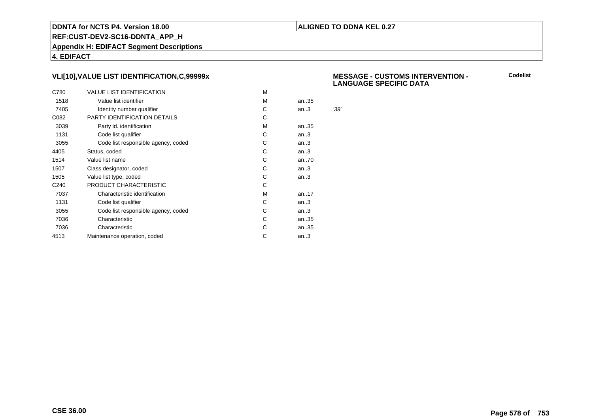#### **ALIGNED TO DDNA KEL 0.27**

**REF:CUST-DEV2-SC16-DDNTA\_APP\_H**

**Appendix H: EDIFACT Segment Descriptions**

**4. EDIFACT**

#### **VLI[10],VALUE LIST IDENTIFICATION,C,99999x**

| C780             | <b>VALUE LIST IDENTIFICATION</b>    | м |      |      |
|------------------|-------------------------------------|---|------|------|
| 1518             | Value list identifier               | м | an35 |      |
| 7405             | Identity number qualifier           | С | an.3 | '39' |
| C082             | PARTY IDENTIFICATION DETAILS        | С |      |      |
| 3039             | Party id. identification            | м | an35 |      |
| 1131             | Code list qualifier                 | C | an.3 |      |
| 3055             | Code list responsible agency, coded | С | an.3 |      |
| 4405             | Status, coded                       | C | an.3 |      |
| 1514             | Value list name                     | С | an70 |      |
| 1507             | Class designator, coded             | С | an.3 |      |
| 1505             | Value list type, coded              | С | an.3 |      |
| C <sub>240</sub> | PRODUCT CHARACTERISTIC              | С |      |      |
| 7037             | Characteristic identification       | м | an17 |      |
| 1131             | Code list qualifier                 | С | an.3 |      |
| 3055             | Code list responsible agency, coded | С | an.3 |      |
| 7036             | Characteristic                      | C | an35 |      |
| 7036             | Characteristic                      | С | an35 |      |
| 4513             | Maintenance operation, coded        | С | an.3 |      |
|                  |                                     |   |      |      |

#### **MESSAGE - CUSTOMS INTERVENTION - LANGUAGE SPECIFIC DATA**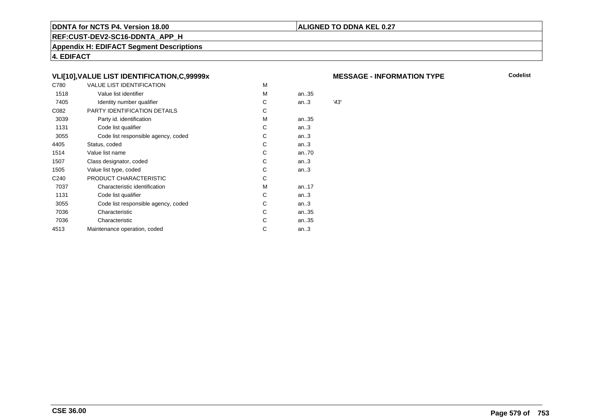#### **ALIGNED TO DDNA KEL 0.27**

**REF:CUST-DEV2-SC16-DDNTA\_APP\_H**

**Appendix H: EDIFACT Segment Descriptions**

**4. EDIFACT**

#### **VLI[10],VALUE LIST IDENTIFICATION,C,99999x**

| C780             | VALUE LIST IDENTIFICATION           | M |      |      |
|------------------|-------------------------------------|---|------|------|
| 1518             | Value list identifier               | M | an35 |      |
| 7405             | Identity number qualifier           | С | an.3 | '43' |
| C082             | PARTY IDENTIFICATION DETAILS        | С |      |      |
| 3039             | Party id. identification            | м | an35 |      |
| 1131             | Code list qualifier                 | С | an.3 |      |
| 3055             | Code list responsible agency, coded | С | an.3 |      |
| 4405             | Status, coded                       | С | an.3 |      |
| 1514             | Value list name                     | C | an70 |      |
| 1507             | Class designator, coded             | C | an.3 |      |
| 1505             | Value list type, coded              | C | an.3 |      |
| C <sub>240</sub> | PRODUCT CHARACTERISTIC              | С |      |      |
| 7037             | Characteristic identification       | м | an17 |      |
| 1131             | Code list qualifier                 | С | an.3 |      |
| 3055             | Code list responsible agency, coded | С | an.3 |      |
| 7036             | Characteristic                      | С | an35 |      |
| 7036             | Characteristic                      | С | an35 |      |
| 4513             | Maintenance operation, coded        | С | an.3 |      |
|                  |                                     |   |      |      |

#### **MESSAGE - INFORMATION TYPE**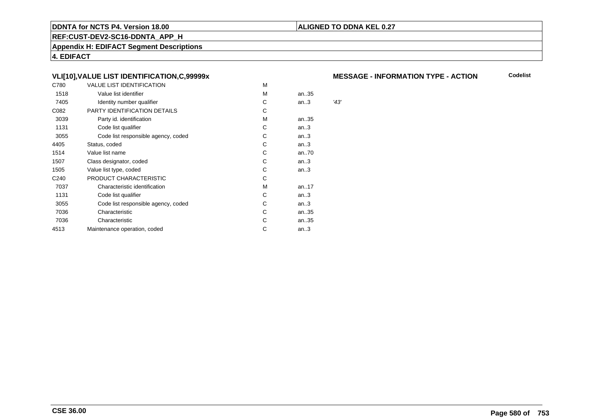#### **ALIGNED TO DDNA KEL 0.27**

**REF:CUST-DEV2-SC16-DDNTA\_APP\_H**

**Appendix H: EDIFACT Segment Descriptions**

**4. EDIFACT**

#### **VLI[10],VALUE LIST IDENTIFICATION,C,99999x**

| C780             | VALUE LIST IDENTIFICATION           | M |      |      |
|------------------|-------------------------------------|---|------|------|
| 1518             | Value list identifier               | M | an35 |      |
| 7405             | Identity number qualifier           | С | an.3 | '43' |
| C082             | PARTY IDENTIFICATION DETAILS        | С |      |      |
| 3039             | Party id. identification            | м | an35 |      |
| 1131             | Code list qualifier                 | С | an.3 |      |
| 3055             | Code list responsible agency, coded | С | an.3 |      |
| 4405             | Status, coded                       | С | an.3 |      |
| 1514             | Value list name                     | C | an70 |      |
| 1507             | Class designator, coded             | C | an.3 |      |
| 1505             | Value list type, coded              | C | an.3 |      |
| C <sub>240</sub> | PRODUCT CHARACTERISTIC              | С |      |      |
| 7037             | Characteristic identification       | м | an17 |      |
| 1131             | Code list qualifier                 | С | an.3 |      |
| 3055             | Code list responsible agency, coded | С | an.3 |      |
| 7036             | Characteristic                      | С | an35 |      |
| 7036             | Characteristic                      | С | an35 |      |
| 4513             | Maintenance operation, coded        | С | an.3 |      |
|                  |                                     |   |      |      |

#### **MESSAGE - INFORMATION TYPE - ACTION**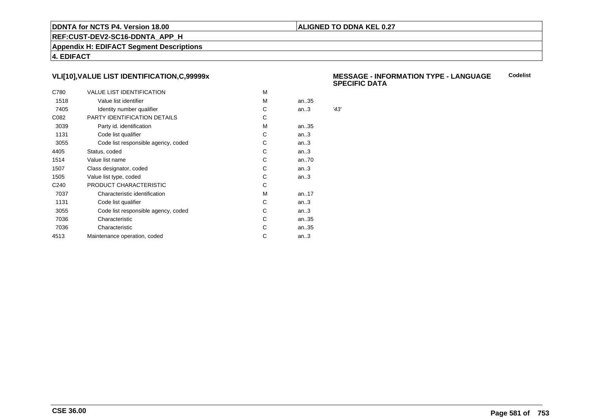#### **ALIGNED TO DDNA KEL 0.27**

**REF:CUST-DEV2-SC16-DDNTA\_APP\_H**

**Appendix H: EDIFACT Segment Descriptions**

**4. EDIFACT**

#### **VLI[10],VALUE LIST IDENTIFICATION,C,99999x**

| C780             | <b>VALUE LIST IDENTIFICATION</b>    | м |      |      |
|------------------|-------------------------------------|---|------|------|
| 1518             | Value list identifier               | M | an35 |      |
| 7405             | Identity number qualifier           | С | an.3 | '43' |
| C082             | PARTY IDENTIFICATION DETAILS        | С |      |      |
| 3039             | Party id. identification            | м | an35 |      |
| 1131             | Code list qualifier                 | C | an.3 |      |
| 3055             | Code list responsible agency, coded | С | an.3 |      |
| 4405             | Status, coded                       | C | an.3 |      |
| 1514             | Value list name                     | C | an70 |      |
| 1507             | Class designator, coded             | С | an.3 |      |
| 1505             | Value list type, coded              | C | an.3 |      |
| C <sub>240</sub> | PRODUCT CHARACTERISTIC              | С |      |      |
| 7037             | Characteristic identification       | м | an17 |      |
| 1131             | Code list qualifier                 | С | an.3 |      |
| 3055             | Code list responsible agency, coded | С | an.3 |      |
| 7036             | Characteristic                      | С | an35 |      |
| 7036             | Characteristic                      | С | an35 |      |
| 4513             | Maintenance operation, coded        | С | an.3 |      |
|                  |                                     |   |      |      |

#### **MESSAGE - INFORMATION TYPE - LANGUAGESPECIFIC DATACodelist**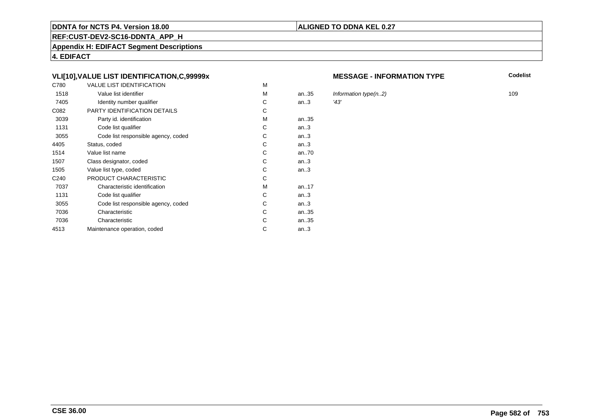#### **REF:CUST-DEV2-SC16-DDNTA\_APP\_H**

**Appendix H: EDIFACT Segment Descriptions**

**4. EDIFACT**

#### **VLI[10],VALUE LIST IDENTIFICATION,C,99999x**

| C780             | <b>VALUE LIST IDENTIFICATION</b>    | M |           |      |
|------------------|-------------------------------------|---|-----------|------|
| 1518             | Value list identifier               | M | an.35     | Infc |
| 7405             | Identity number qualifier           | С | an.3      | '43' |
| C082             | PARTY IDENTIFICATION DETAILS        | С |           |      |
| 3039             | Party id. identification            | м | an35      |      |
| 1131             | Code list qualifier                 | C | an.3      |      |
| 3055             | Code list responsible agency, coded | C | an.3      |      |
| 4405             | Status, coded                       | С | an.3      |      |
| 1514             | Value list name                     | C |           |      |
| 1507             | Class designator, coded             | C | an.3      |      |
| 1505             | Value list type, coded              | С | an.3      |      |
| C <sub>240</sub> | PRODUCT CHARACTERISTIC              | С |           |      |
| 7037             | Characteristic identification       | м | an. $.17$ |      |
| 1131             | Code list qualifier                 | С | an.3      |      |
| 3055             | Code list responsible agency, coded | С | an.3      |      |
| 7036             | Characteristic                      | C | an35      |      |
| 7036             | Characteristic                      | C | an35      |      |
| 4513             | Maintenance operation, coded        | С | an.3      |      |
|                  |                                     |   |           |      |

#### **MESSAGE - INFORMATION TYPE**

**Codelist**

Information type(n..2) 109<br> $\frac{43'}{8}$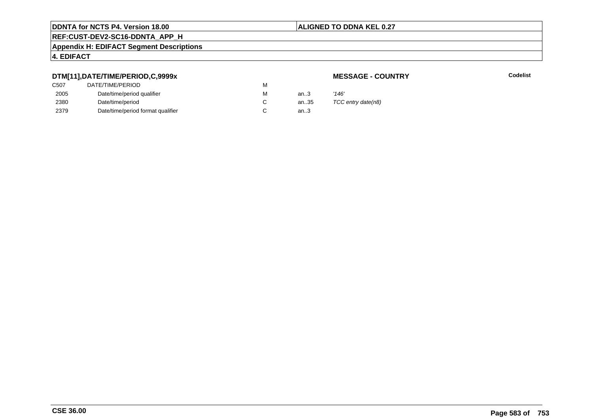#### **ALIGNED TO DDNA KEL 0.27**

# **REF:CUST-DEV2-SC16-DDNTA\_APP\_H**

#### **Appendix H: EDIFACT Segment Descriptions**

### **4. EDIFACT**

#### **DTM[11],DATE/TIME/PERIOD,C,9999x**

### **MESSAGE - COUNTRY**

**Lackson Codelist** Codelist

| C <sub>50</sub> 7 | DATE/TIME/PERIOD                  | м |      |                    |
|-------------------|-----------------------------------|---|------|--------------------|
| 2005              | Date/time/period qualifier        | м | an3  | '146'              |
| 2380              | Date/time/period                  |   | an35 | TCC entry date(n8) |
| 2379              | Date/time/period format qualifier |   | an3  |                    |
|                   |                                   |   |      |                    |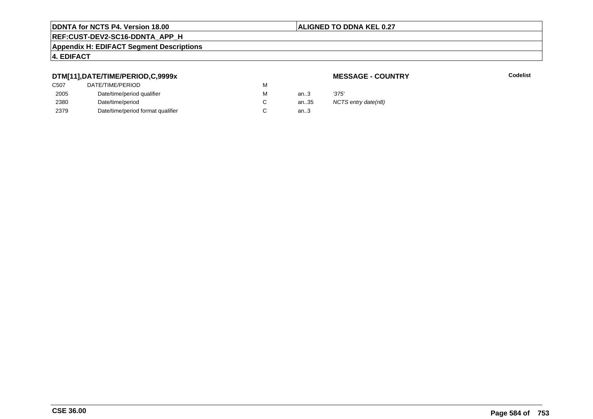#### **ALIGNED TO DDNA KEL 0.27**

# **REF:CUST-DEV2-SC16-DDNTA\_APP\_H**

#### **Appendix H: EDIFACT Segment Descriptions**

### **4. EDIFACT**

#### **DTM[11],DATE/TIME/PERIOD,C,9999x**

### **MESSAGE - COUNTRY**

**Lackson Codelist** Codelist

| C <sub>507</sub> | DATE/TIME/PERIOD                  | M |        |                     |
|------------------|-----------------------------------|---|--------|---------------------|
| 2005             | Date/time/period qualifier        | м | an $3$ | '375'               |
| 2380             | Date/time/period                  |   | an35   | NCTS entry date(n8) |
| 2379             | Date/time/period format qualifier |   | an $3$ |                     |
|                  |                                   |   |        |                     |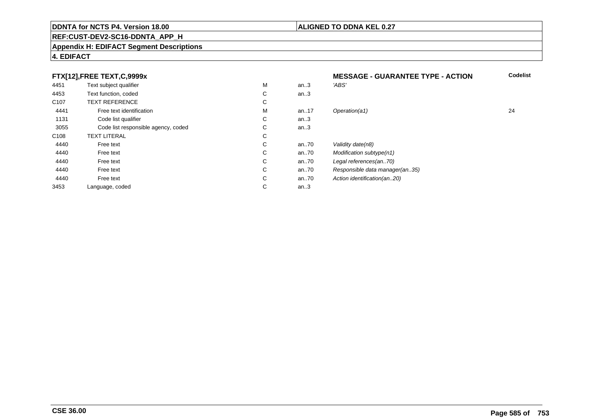#### **REF:CUST-DEV2-SC16-DDNTA\_APP\_H**

#### **Appendix H: EDIFACT Segment Descriptions**

#### **4. EDIFACT**

#### **FTX[12],FREE TEXT,C,9999xMESSAGE - GUARANTEE TYPE - ACTION**<br>M an..3 *'ABS'*  **Codelist** 4451Text subject qualifier M<br>
Text function, coded C M an..3 *'ABS'*<br>-4453Text function, coded C<br>
TEXT REFERENCE an..3 C107 TEXT REFERENCEE C  $\mathsf{M}% _{T}=\mathsf{M}_{T}\!\left( a,b\right) ,\ \mathsf{M}_{T}=\mathsf{M}_{T}$ 4441Free text identification M<br>Code list qualifier development of the code list qualifier development of  $\mathbf C$ M an..17 Operation(a1) 24 1131Code list qualifier C<br>Code list responsible agency, coded C an..3 3055Code list responsible agency, coded C<br>
XT LITERAL C an..3 C108TEXT LITERAL<br>Free text  $\mathbf C$ 44400 Free text C C an..70 Validity date(n8)<br>C an..70 Modification subt 44400 Free text C C an..70 Modification subtype(n1)<br>C an..70 Legal references(an..70) 44400 Free text C C an..70 Legal references(an..70)<br>C an..70 Responsible data manag 44400 Free text C C an..70 Responsible data manager(an..35)<br>C an..70 Action identification(an..20) 44400 Free text C C an..70 Action identification(an..20)<br>C an..3 3453Language, coded an..3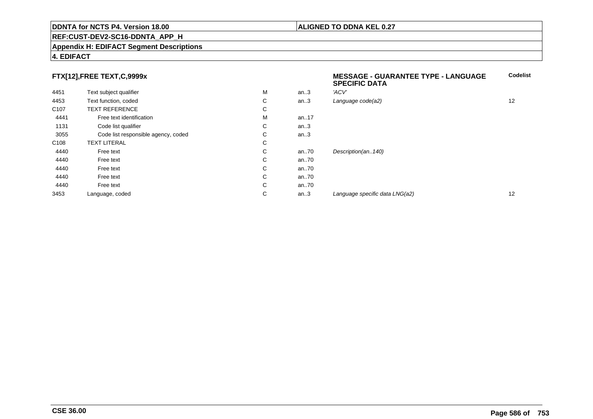#### **REF:CUST-DEV2-SC16-DDNTA\_APP\_H**

#### **Appendix H: EDIFACT Segment Descriptions**

#### **4. EDIFACT**

### **FTX[12],FREE TEXT,C,9999x**

| FTX[12],FREE TEXT,C,9999x |                                     |    |          | <b>MESSAGE - GUARANTEE TYPE - LANGUAGE</b><br><b>SPECIFIC DATA</b> | <b>Codelist</b> |
|---------------------------|-------------------------------------|----|----------|--------------------------------------------------------------------|-----------------|
| 4451                      | Text subject qualifier              | M  | an.3     | 'ACV'                                                              |                 |
| 4453                      | Text function, coded                | C  | an.3     | Language code(a2)                                                  | 12              |
| C <sub>107</sub>          | <b>TEXT REFERENCE</b>               | C  |          |                                                                    |                 |
| 4441                      | Free text identification            | м  | an17     |                                                                    |                 |
| 1131                      | Code list qualifier                 | C. | an.3     |                                                                    |                 |
| 3055                      | Code list responsible agency, coded | C. | an.3     |                                                                    |                 |
| C <sub>108</sub>          | <b>TEXT LITERAL</b>                 | C  |          |                                                                    |                 |
| 4440                      | Free text                           | C. | an $.70$ | Description(an140)                                                 |                 |
| 4440                      | Free text                           | C. | an $.70$ |                                                                    |                 |
| 4440                      | Free text                           | C  | an $.70$ |                                                                    |                 |
| 4440                      | Free text                           | C  | an $.70$ |                                                                    |                 |
| 4440                      | Free text                           | C  | an $.70$ |                                                                    |                 |
| 3453                      | Language, coded                     | С  | an.3     | Language specific data LNG(a2)                                     | 12              |
|                           |                                     |    |          |                                                                    |                 |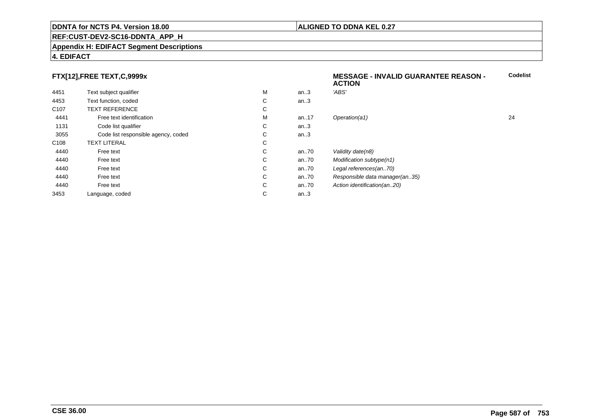#### **REF:CUST-DEV2-SC16-DDNTA\_APP\_H**

#### **Appendix H: EDIFACT Segment Descriptions**

#### **4. EDIFACT**

### **FTX[12],FREE TEXT,C,9999x**

|                  | $\ldots$                            |   |      | <b>ACTION</b>                  |    |
|------------------|-------------------------------------|---|------|--------------------------------|----|
| 4451             | Text subject qualifier              | M | an.3 | 'ABS'                          |    |
| 4453             | Text function, coded                | С | an.3 |                                |    |
| C <sub>107</sub> | <b>TEXT REFERENCE</b>               | С |      |                                |    |
| 4441             | Free text identification            | M | an17 | Operation(a1)                  | 24 |
| 1131             | Code list qualifier                 | С | an.3 |                                |    |
| 3055             | Code list responsible agency, coded | С | an.3 |                                |    |
| C108             | <b>TEXT LITERAL</b>                 | С |      |                                |    |
| 4440             | Free text                           | С | an70 | Validity date(n8)              |    |
| 4440             | Free text                           | С | an70 | Modification subtype(n1)       |    |
| 4440             | Free text                           | С | an70 | Legal references(an70)         |    |
| 4440             | Free text                           | С | an70 | Responsible data manager(an35) |    |
| 4440             | Free text                           | С | an70 | Action identification(an20)    |    |
| 3453             | Language, coded                     | С | an.3 |                                |    |
|                  |                                     |   |      |                                |    |

#### **ALIGNED TO DDNA KEL 0.27**

**MESSAGE - INVALID GUARANTEE REASON -**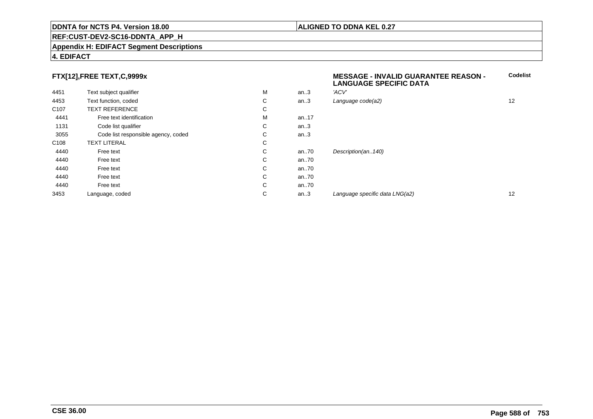#### **REF:CUST-DEV2-SC16-DDNTA\_APP\_H**

#### **Appendix H: EDIFACT Segment Descriptions**

#### **4. EDIFACT**

### **FTX[12],FREE TEXT,C,9999x**

| 4451             | Text subject qualifier              | M | an.3 | 'ACV'                          |                   |
|------------------|-------------------------------------|---|------|--------------------------------|-------------------|
| 4453             | Text function, coded                | C | an.3 | Language code(a2)              | 12                |
| C <sub>107</sub> | <b>TEXT REFERENCE</b>               | C |      |                                |                   |
| 4441             | Free text identification            | M | an17 |                                |                   |
| 1131             | Code list qualifier                 | C | an.3 |                                |                   |
| 3055             | Code list responsible agency, coded | C | an.3 |                                |                   |
| C <sub>108</sub> | <b>TEXT LITERAL</b>                 | С |      |                                |                   |
| 4440             | Free text                           | С | an70 | Description(an140)             |                   |
| 4440             | Free text                           | C | an70 |                                |                   |
| 4440             | Free text                           | C | an70 |                                |                   |
| 4440             | Free text                           | C | an70 |                                |                   |
| 4440             | Free text                           | C | an70 |                                |                   |
| 3453             | Language, coded                     | C | an.3 | Language specific data LNG(a2) | $12 \overline{ }$ |
|                  |                                     |   |      |                                |                   |

# **MESSAGE - INVALID GUARANTEE REASON - LANGUAGE SPECIFIC DATACodelist** $C$  an..3 Language code(a2) and  $12$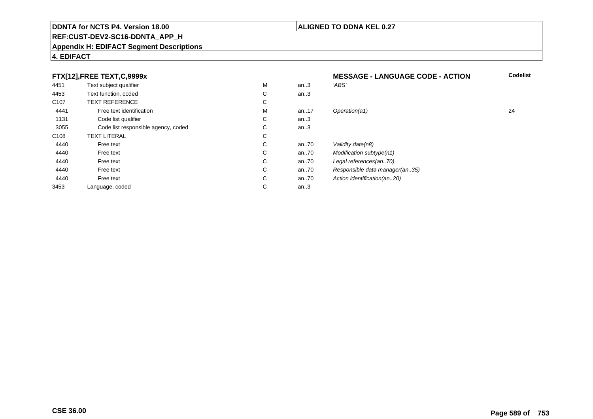#### **REF:CUST-DEV2-SC16-DDNTA\_APP\_H**

#### **Appendix H: EDIFACT Segment Descriptions**

#### **4. EDIFACT**

#### **FTX[12],FREE TEXT,C,9999xMESSAGE - LANGUAGE CODE - ACTION**<br>M an..3 *'ABS'*  **Codelist** 4451Text subject qualifier M<br>
Text function, coded C M an..3 *'ABS'*<br>-4453Text function, coded C<br>
TEXT REFERENCE an..3 C107 TEXT REFERENCEE C  $\mathsf{M}% _{T}=\mathsf{M}_{T}\!\left( a,b\right) ,\ \mathsf{M}_{T}=\mathsf{M}_{T}$ 4441Free text identification M<br>Code list qualifier development of the code list qualifier development of  $\mathbf C$ M an..17 Operation(a1) 24 1131Code list qualifier C<br>Code list responsible agency, coded C an..3 3055Code list responsible agency, coded C<br>
XT LITERAL C an..3 C108TEXT LITERAL<br>Free text  $\mathbf C$ 44400 Free text C C an..70 Validity date(n8)<br>C an..70 Modification subt 44400 Free text C C an..70 Modification subtype(n1)<br>C an..70 Legal references(an..70) 44400 Free text C C an..70 Legal references(an..70)<br>C an..70 Responsible data manag 44400 Free text C C an..70 Responsible data manager(an..35)<br>C an..70 Action identification(an..20) 44400 Free text C C an..70 Action identification(an..20)<br>C an..3 3453Language, coded an..3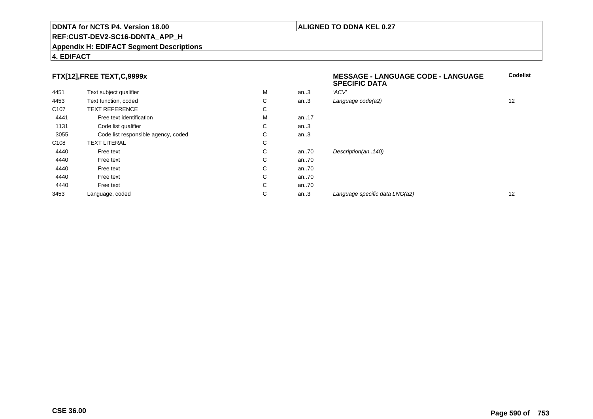#### **REF:CUST-DEV2-SC16-DDNTA\_APP\_H**

#### **Appendix H: EDIFACT Segment Descriptions**

#### **4. EDIFACT**

### **FTX[12],FREE TEXT,C,9999x**

| FTX[12],FREE TEXT,C,9999x |                                     |    |          | <b>MESSAGE - LANGUAGE CODE - LANGUAGE</b><br><b>SPECIFIC DATA</b> | <b>Codelist</b> |
|---------------------------|-------------------------------------|----|----------|-------------------------------------------------------------------|-----------------|
| 4451                      | Text subject qualifier              | M  | an.3     | 'ACV'                                                             |                 |
| 4453                      | Text function, coded                | C  | an.3     | Language code(a2)                                                 | 12              |
| C <sub>107</sub>          | <b>TEXT REFERENCE</b>               | C  |          |                                                                   |                 |
| 4441                      | Free text identification            | м  | an17     |                                                                   |                 |
| 1131                      | Code list qualifier                 | C. | an.3     |                                                                   |                 |
| 3055                      | Code list responsible agency, coded | C. | an.3     |                                                                   |                 |
| C <sub>108</sub>          | <b>TEXT LITERAL</b>                 | C  |          |                                                                   |                 |
| 4440                      | Free text                           | C. | an $.70$ | Description(an140)                                                |                 |
| 4440                      | Free text                           | C  | an $.70$ |                                                                   |                 |
| 4440                      | Free text                           | C  | an $.70$ |                                                                   |                 |
| 4440                      | Free text                           | C  | an $.70$ |                                                                   |                 |
| 4440                      | Free text                           | C  | an $.70$ |                                                                   |                 |
| 3453                      | Language, coded                     | С  | an.3     | Language specific data LNG(a2)                                    | 12              |
|                           |                                     |    |          |                                                                   |                 |

# **ALIGNED TO DDNA KEL 0.27**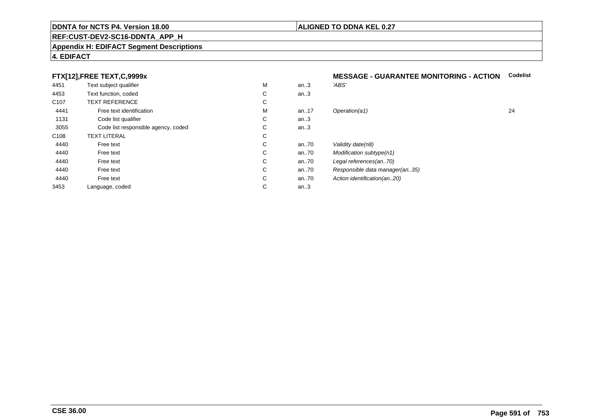#### **REF:CUST-DEV2-SC16-DDNTA\_APP\_H**

#### **Appendix H: EDIFACT Segment Descriptions**

#### **4. EDIFACT**

### **FTX[12],FREE TEXT,C,9999x**

| 4451             | Text subject qualifier              | M | an.3 | 'ABS'                          |
|------------------|-------------------------------------|---|------|--------------------------------|
| 4453             | Text function, coded                | С | an.3 |                                |
| C <sub>107</sub> | <b>TEXT REFERENCE</b>               | С |      |                                |
| 4441             | Free text identification            | M | an17 | Operation(a1)                  |
| 1131             | Code list qualifier                 | С | an.3 |                                |
| 3055             | Code list responsible agency, coded | С | an.3 |                                |
| C <sub>108</sub> | <b>TEXT LITERAL</b>                 | С |      |                                |
| 4440             | Free text                           | С | an70 | Validity date(n8)              |
| 4440             | Free text                           | С | an70 | Modification subtype(n1)       |
| 4440             | Free text                           | С | an70 | Legal references(an70)         |
| 4440             | Free text                           | С | an70 | Responsible data manager(an35) |
| 4440             | Free text                           | С | an70 | Action identification(an20)    |
| 3453             | Language, coded                     | С | an.3 |                                |
|                  |                                     |   |      |                                |

# **MESSAGE - GUARANTEE MONITORING - ACTION Codelist**

| М | an.3 | 'ABS'                          |    |
|---|------|--------------------------------|----|
| С | an.3 |                                |    |
| С |      |                                |    |
| М | an17 | Operation(a1)                  | 24 |
| С | an.3 |                                |    |
| С | an.3 |                                |    |
| С |      |                                |    |
| С | an70 | Validity date(n8)              |    |
| С | an70 | Modification subtype(n1)       |    |
| С | an70 | Legal references(an70)         |    |
| С | an70 | Responsible data manager(an35) |    |
| С | an70 | Action identification(an20)    |    |
| C | an.3 |                                |    |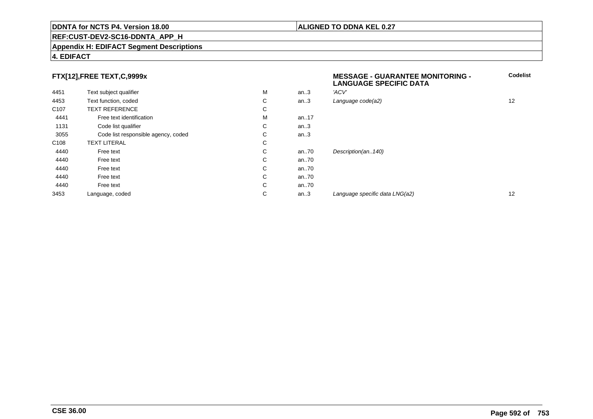#### **REF:CUST-DEV2-SC16-DDNTA\_APP\_H**

#### **Appendix H: EDIFACT Segment Descriptions**

#### **4. EDIFACT**

### **FTX[12],FREE TEXT,C,9999x**

|                  | FTX[12],FREE TEXT,C,9999x           |   |      | <b>MESSAGE - GUARANTEE MONITORING -</b><br><b>LANGUAGE SPECIFIC DATA</b> |    |
|------------------|-------------------------------------|---|------|--------------------------------------------------------------------------|----|
| 4451             | Text subject qualifier              | M | an.3 | 'ACV'                                                                    |    |
| 4453             | Text function, coded                | С | an.3 | Language code(a2)                                                        | 12 |
| C <sub>107</sub> | <b>TEXT REFERENCE</b>               | С |      |                                                                          |    |
| 4441             | Free text identification            | M | an17 |                                                                          |    |
| 1131             | Code list qualifier                 | С | an.3 |                                                                          |    |
| 3055             | Code list responsible agency, coded | С | an.3 |                                                                          |    |
| C <sub>108</sub> | <b>TEXT LITERAL</b>                 | С |      |                                                                          |    |
| 4440             | Free text                           | С | an70 | Description(an140)                                                       |    |
| 4440             | Free text                           | С | an70 |                                                                          |    |
| 4440             | Free text                           | С | an70 |                                                                          |    |
| 4440             | Free text                           | С | an70 |                                                                          |    |
| 4440             | Free text                           | С | an70 |                                                                          |    |
| 3453             | Language, coded                     | С | an.3 | Language specific data LNG(a2)                                           | 12 |
|                  |                                     |   |      |                                                                          |    |

#### **ALIGNED TO DDNA KEL 0.27**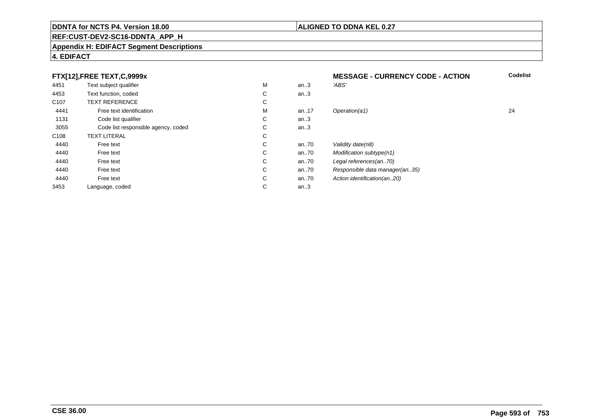### **REF:CUST-DEV2-SC16-DDNTA\_APP\_H**

#### **Appendix H: EDIFACT Segment Descriptions**

#### **4. EDIFACT**

#### **FTX[12],FREE TEXT,C,9999xMESSAGE - CURRENCY CODE - ACTION**<br>M an..3 *'ABS'*  **Codelist** 4451Text subject qualifier M<br>
Text function, coded C M an..3 *'ABS'*<br>-4453Text function, coded C<br>
TEXT REFERENCE an..3 C107 TEXT REFERENCEE C  $\mathsf{M}% _{T}=\mathsf{M}_{T}\!\left( a,b\right) ,\ \mathsf{M}_{T}=\mathsf{M}_{T}$ 4441Free text identification M<br>Code list qualifier development of the code list qualifier development of  $\mathbf C$ M an..17 Operation(a1) 24 1131Code list qualifier C<br>Code list responsible agency, coded C an..3 3055Code list responsible agency, coded C<br>
XT LITERAL C an..3 C108TEXT LITERAL<br>Free text  $\mathbf C$ 44400 Free text C C an..70 Validity date(n8)<br>C an..70 Modification subt 44400 Free text C C an..70 Modification subtype(n1)<br>C an..70 Legal references(an..70) 44400 Free text C C an..70 Legal references(an..70)<br>C an..70 Responsible data manag 44400 Free text C C an..70 Responsible data manager(an..35)<br>C an..70 Action identification(an..20) 44400 Free text C C an..70 Action identification(an..20)<br>C an..3 3453Language, coded an..3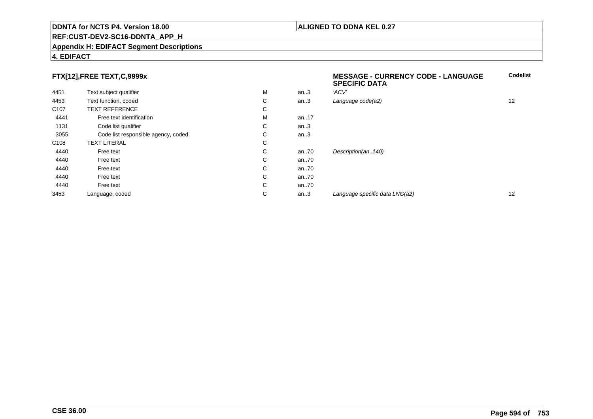#### **REF:CUST-DEV2-SC16-DDNTA\_APP\_H**

#### **Appendix H: EDIFACT Segment Descriptions**

### **FTX[12],FREE TEXT,C,9999x**

|                  |                                     |   |      | <b>SPECIFIC DATA</b>           |    |
|------------------|-------------------------------------|---|------|--------------------------------|----|
| 4451             | Text subject qualifier              | M | an.3 | 'ACV'                          |    |
| 4453             | Text function, coded                | С | an.3 | Language code(a2)              | 12 |
| C <sub>107</sub> | <b>TEXT REFERENCE</b>               | C |      |                                |    |
| 4441             | Free text identification            | M | an17 |                                |    |
| 1131             | Code list qualifier                 | С | an.3 |                                |    |
| 3055             | Code list responsible agency, coded | С | an.3 |                                |    |
| C <sub>108</sub> | <b>TEXT LITERAL</b>                 | С |      |                                |    |
| 4440             | Free text                           | C | an70 | Description(an140)             |    |
| 4440             | Free text                           | C | an70 |                                |    |
| 4440             | Free text                           | С | an70 |                                |    |
| 4440             | Free text                           | C | an70 |                                |    |
| 4440             | Free text                           | C | an70 |                                |    |
| 3453             | Language, coded                     | С | an.3 | Language specific data LNG(a2) | 12 |

**4. EDIFACT**

**Codelist**

#### **ALIGNED TO DDNA KEL 0.27**

**MESSAGE - CURRENCY CODE - LANGUAGE**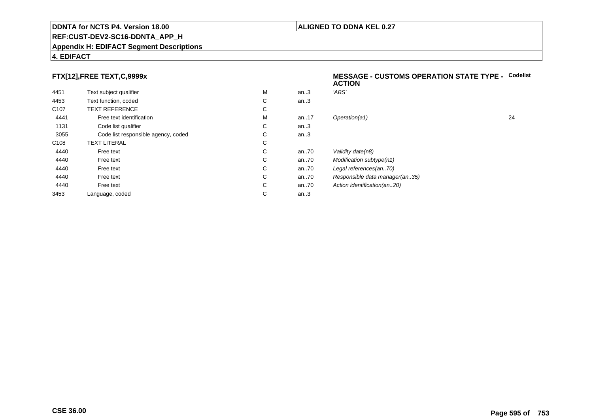#### **REF:CUST-DEV2-SC16-DDNTA\_APP\_H**

#### **Appendix H: EDIFACT Segment Descriptions**

### **4. EDIFACT**

### **FTX[12],FREE TEXT,C,9999x**

| 4451             | Text subject qualifier              | M | an.3  | 'ABS'  |
|------------------|-------------------------------------|---|-------|--------|
| 4453             | Text function, coded                | C | an.3  |        |
| C <sub>107</sub> | <b>TEXT REFERENCE</b>               | C |       |        |
| 4441             | Free text identification            | M | an.17 | Opera  |
| 1131             | Code list qualifier                 | C | an.3  |        |
| 3055             | Code list responsible agency, coded | C | an.3  |        |
| C <sub>108</sub> | <b>TEXT LITERAL</b>                 | C |       |        |
| 4440             | Free text                           | C | an70  | Validi |
| 4440             | Free text                           | C | an.70 | Modit  |
| 4440             | Free text                           | C | an70  | Legal  |
| 4440             | Free text                           | C | an70  | Resp   |
| 4440             | Free text                           | C | an70  | Action |
| 3453             | Language, coded                     | С | an.3  |        |
|                  |                                     |   |       |        |

#### **MESSAGE - CUSTOMS OPERATION STATE TYPE -** Codelist<br>ACTION **ACTION**

| М | an.3 | 'ABS'                          |    |
|---|------|--------------------------------|----|
| С | an.3 |                                |    |
| С |      |                                |    |
| М | an17 | Operation(a1)                  | 24 |
| С | an.3 |                                |    |
| С | an.3 |                                |    |
| С |      |                                |    |
| С | an70 | Validity date(n8)              |    |
| С | an70 | Modification subtype(n1)       |    |
| С | an70 | Legal references(an70)         |    |
| С | an70 | Responsible data manager(an35) |    |
| С | an70 | Action identification(an20)    |    |
| С | an.3 |                                |    |
|   |      |                                |    |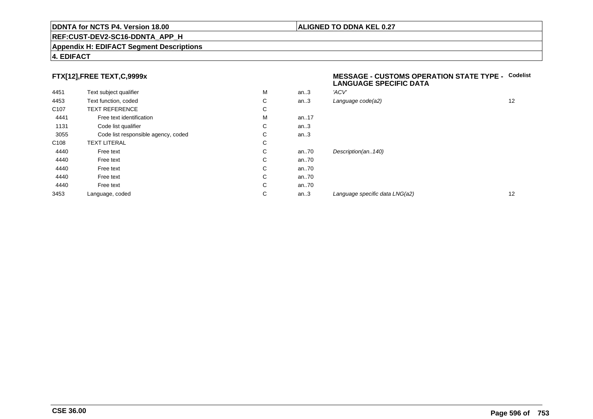#### **REF:CUST-DEV2-SC16-DDNTA\_APP\_H**

#### **Appendix H: EDIFACT Segment Descriptions**

#### **4. EDIFACT**

#### **FTX[12],FREE TEXT,C,9999x**

| 4451             | Text subject qualifier              | M | an.3  | 'ACV' |
|------------------|-------------------------------------|---|-------|-------|
| 4453             | Text function, coded                | C | an.3  | Langu |
| C <sub>107</sub> | <b>TEXT REFERENCE</b>               | С |       |       |
| 4441             | Free text identification            | M | an17  |       |
| 1131             | Code list qualifier                 | C | an.3  |       |
| 3055             | Code list responsible agency, coded | C | an.3  |       |
| C <sub>108</sub> | <b>TEXT LITERAL</b>                 | C |       |       |
| 4440             | Free text                           | C | an.70 | Desci |
| 4440             | Free text                           | C | an70  |       |
| 4440             | Free text                           | C | an70  |       |
| 4440             | Free text                           | C | an70  |       |
| 4440             | Free text                           | C | an70  |       |
| 3453             | Language, coded                     | C | an.3  | Langı |
|                  |                                     |   |       |       |

#### **MESSAGE - CUSTOMS OPERATION STATE TYPE - CodelistLANGUAGE SPECIFIC DATA**

| M | an.3 | 'ACV'                          |    |
|---|------|--------------------------------|----|
| С | an.3 | Language code(a2)              | 12 |
| С |      |                                |    |
| М | an17 |                                |    |
| С | an.3 |                                |    |
| С | an.3 |                                |    |
| С |      |                                |    |
| С | an70 | Description(an140)             |    |
| С | an70 |                                |    |
| С | an70 |                                |    |
| С | an70 |                                |    |
| С | an70 |                                |    |
| С | an.3 | Language specific data LNG(a2) | 12 |
|   |      |                                |    |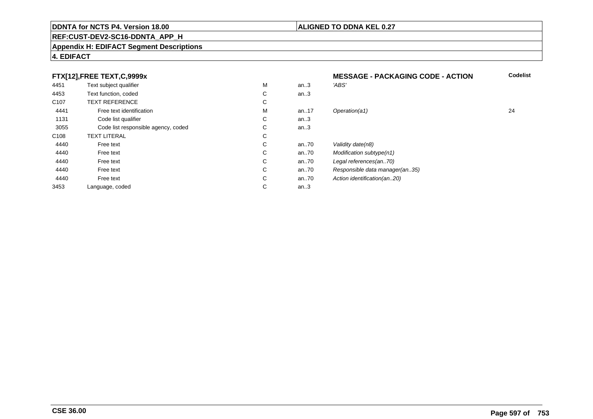### **REF:CUST-DEV2-SC16-DDNTA\_APP\_H**

#### **Appendix H: EDIFACT Segment Descriptions**

#### **4. EDIFACT**

#### **FTX[12],FREE TEXT,C,9999xMESSAGE - PACKAGING CODE - ACTION**<br>M an..3 *'ABS'*  **Codelist** 4451Text subject qualifier M<br>
Text function, coded C M an..3 *'ABS'*<br>-4453Text function, coded C<br>
TEXT REFERENCE an..3 C107 TEXT REFERENCEE C  $\mathsf{M}% _{T}=\mathsf{M}_{T}\!\left( a,b\right) ,\ \mathsf{M}_{T}=\mathsf{M}_{T}$ 4441Free text identification M<br>Code list qualifier development of the code list qualifier development of  $\mathbf C$ M an..17 Operation(a1) 24 1131Code list qualifier C<br>Code list responsible agency, coded C an..3 3055Code list responsible agency, coded C<br>
XT LITERAL C an..3 C108TEXT LITERAL<br>Free text  $\mathbf C$ 44400 Free text C C an..70 Validity date(n8)<br>C an..70 Modification subt 44400 Free text C C an..70 Modification subtype(n1)<br>C an..70 Legal references(an..70) 44400 Free text C C an..70 Legal references(an..70)<br>C an..70 Responsible data manag 44400 Free text C C an..70 Responsible data manager(an..35)<br>C an..70 Action identification(an..20) 44400 Free text C C an..70 Action identification(an..20)<br>C an..3 3453Language, coded an..3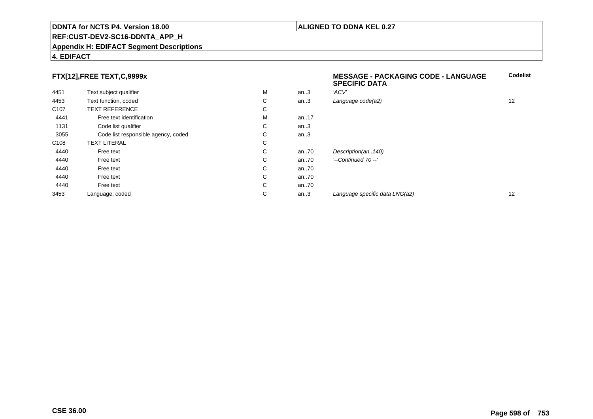#### **REF:CUST-DEV2-SC16-DDNTA\_APP\_H**

#### **Appendix H: EDIFACT Segment Descriptions**

#### **4. EDIFACT**

### **FTX[12],FREE TEXT,C,9999x**

|                  | FTX[12],FREE TEXT,C,9999x           |    |          | <b>MESSAGE - PACKAGING CODE - LANGUAGE</b><br><b>SPECIFIC DATA</b> | <b>Codelist</b> |
|------------------|-------------------------------------|----|----------|--------------------------------------------------------------------|-----------------|
| 4451             | Text subject qualifier              | M  | an.3     | 'ACV'                                                              |                 |
| 4453             | Text function, coded                | C  | an.3     | Language code(a2)                                                  | 12              |
| C <sub>107</sub> | <b>TEXT REFERENCE</b>               | C  |          |                                                                    |                 |
| 4441             | Free text identification            | м  | an17     |                                                                    |                 |
| 1131             | Code list qualifier                 | C. | an.3     |                                                                    |                 |
| 3055             | Code list responsible agency, coded | C  | an.3     |                                                                    |                 |
| C <sub>108</sub> | <b>TEXT LITERAL</b>                 | C  |          |                                                                    |                 |
| 4440             | Free text                           | C  | an70     | Description(an140)                                                 |                 |
| 4440             | Free text                           | C. | an.70    | '--Continued 70 --'                                                |                 |
| 4440             | Free text                           | C  | an $.70$ |                                                                    |                 |
| 4440             | Free text                           | C  | an70     |                                                                    |                 |
| 4440             | Free text                           | C  | an70     |                                                                    |                 |
| 3453             | Language, coded                     | C  | an.3     | Language specific data LNG(a2)                                     | 12              |
|                  |                                     |    |          |                                                                    |                 |

**ALIGNED TO DDNA KEL 0.27**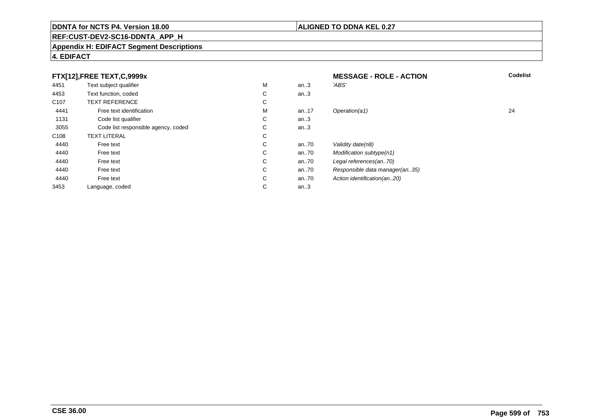### **ALIGNED TO DDNA KEL 0.27**

# **REF:CUST-DEV2-SC16-DDNTA\_APP\_H**

#### **Appendix H: EDIFACT Segment Descriptions**

### **4. EDIFACT**

|                  | FTX[12], FREE TEXT, C, 9999x        |        |      | <b>MESSAGE - ROLE - ACTION</b> | <b>Codelist</b> |
|------------------|-------------------------------------|--------|------|--------------------------------|-----------------|
| 4451             | Text subject qualifier              | М      | an.3 | 'ABS'                          |                 |
| 4453             | Text function, coded                | C      | an.3 |                                |                 |
| C <sub>107</sub> | <b>TEXT REFERENCE</b>               | ⌒<br>Ü |      |                                |                 |
| 4441             | Free text identification            | М      | an17 | Operation(a1)                  | 24              |
| 1131             | Code list qualifier                 | С      | an.3 |                                |                 |
| 3055             | Code list responsible agency, coded | ⌒<br>Ü | an.3 |                                |                 |
| C <sub>108</sub> | <b>TEXT LITERAL</b>                 | С      |      |                                |                 |
| 4440             | Free text                           | C      | an70 | Validity date(n8)              |                 |
| 4440             | Free text                           | C      | an70 | Modification subtype(n1)       |                 |
| 4440             | Free text                           | C      | an70 | Legal references(an70)         |                 |
| 4440             | Free text                           | C      | an70 | Responsible data manager(an35) |                 |
| 4440             | Free text                           | C      | an70 | Action identification(an20)    |                 |
| 3453             | Language, coded                     | С      | an.3 |                                |                 |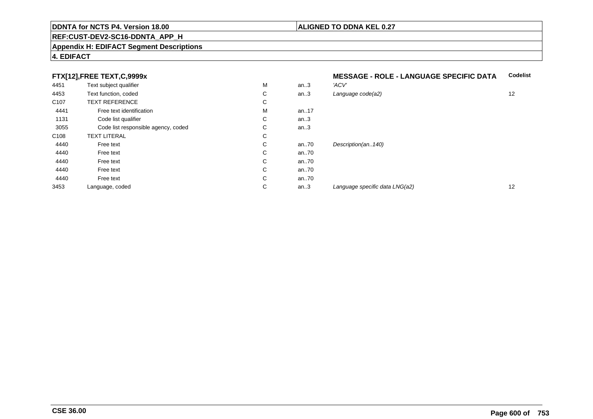#### **REF:CUST-DEV2-SC16-DDNTA\_APP\_H**

#### **Appendix H: EDIFACT Segment Descriptions**

#### **4. EDIFACT**

### **FTX[12],FREE TEXT,C,9999x**

| 4451             | Text subject qualifier              | M | an.3     | 'ACV' |
|------------------|-------------------------------------|---|----------|-------|
| 4453             | Text function, coded                | С | an.3     | Langu |
| C <sub>107</sub> | <b>TEXT REFERENCE</b>               | С |          |       |
| 4441             | Free text identification            | M | an17     |       |
| 1131             | Code list qualifier                 | С | an.3     |       |
| 3055             | Code list responsible agency, coded | С | an.3     |       |
| C <sub>108</sub> | <b>TEXT LITERAL</b>                 | С |          |       |
| 4440             | Free text                           | С | an70     | Desci |
| 4440             | Free text                           | С | an70     |       |
| 4440             | Free text                           | С | an70     |       |
| 4440             | Free text                           | С | an $.70$ |       |
| 4440             | Free text                           | С | an70     |       |
| 3453             | Language, coded                     | С | an.3     | Langı |
|                  |                                     |   |          |       |

#### **MESSAGE - ROLE - LANGUAGE SPECIFIC DATACodelist**

| М | an.3 | 'ACV'                          |    |
|---|------|--------------------------------|----|
| С | an.3 | Language code(a2)              | 12 |
| С |      |                                |    |
| М | an17 |                                |    |
| С | an.3 |                                |    |
| C | an.3 |                                |    |
| С |      |                                |    |
| С | an70 | Description(an140)             |    |
| С | an70 |                                |    |
| С | an70 |                                |    |
| С | an70 |                                |    |
| С | an70 |                                |    |
| С | an.3 | Language specific data LNG(a2) | 12 |
|   |      |                                |    |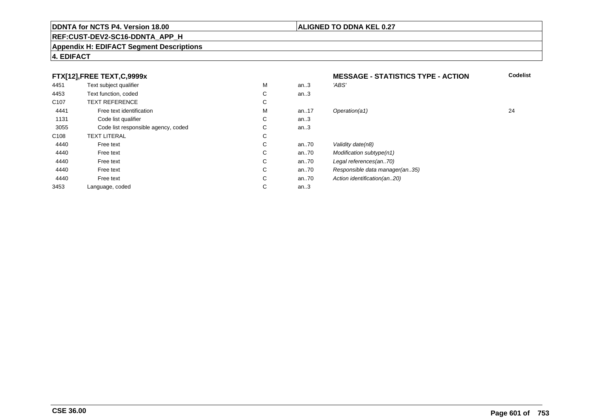#### **REF:CUST-DEV2-SC16-DDNTA\_APP\_H**

#### **Appendix H: EDIFACT Segment Descriptions**

#### **FTX[12],FREE TEXT,C,9999x**

| FTX[12], FREE TEXT, C, 9999x |                                     |   | <b>MESSAGE - STATISTICS TYPE - ACTION</b> | Codeli                         |    |
|------------------------------|-------------------------------------|---|-------------------------------------------|--------------------------------|----|
| 4451                         | Text subject qualifier              | М | an.3                                      | 'ABS'                          |    |
| 4453                         | Text function, coded                | C | an.3                                      |                                |    |
| C <sub>107</sub>             | <b>TEXT REFERENCE</b>               | С |                                           |                                |    |
| 4441                         | Free text identification            | м | an17                                      | Operation(a1)                  | 24 |
| 1131                         | Code list qualifier                 | C | an.3                                      |                                |    |
| 3055                         | Code list responsible agency, coded | C | an.3                                      |                                |    |
| C <sub>108</sub>             | <b>TEXT LITERAL</b>                 | С |                                           |                                |    |
| 4440                         | Free text                           | C | an70                                      | Validity date(n8)              |    |
| 4440                         | Free text                           | C | an70                                      | Modification subtype(n1)       |    |
| 4440                         | Free text                           | C | an70                                      | Legal references(an70)         |    |
| 4440                         | Free text                           | C | an70                                      | Responsible data manager(an35) |    |
| 4440                         | Free text                           | C | an70                                      | Action identification(an20)    |    |
| 3453                         | Language, coded                     | С | an.3                                      |                                |    |

**4. EDIFACT**

**Codelist**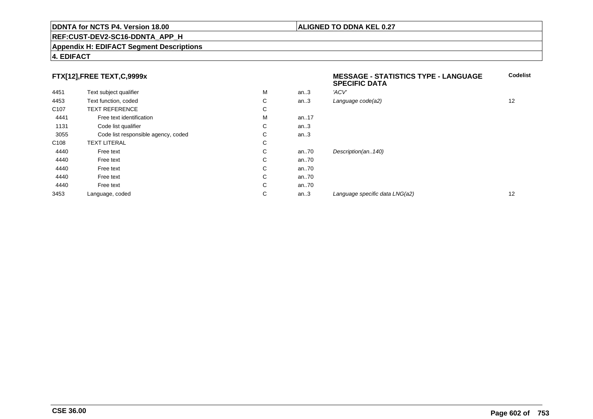#### **REF:CUST-DEV2-SC16-DDNTA\_APP\_H**

#### **Appendix H: EDIFACT Segment Descriptions**

#### **4. EDIFACT**

### **FTX[12],FREE TEXT,C,9999x**

| FTX[12],FREE TEXT,C,9999x |                                     |    |          | <b>MESSAGE - STATISTICS TYPE - LANGUAGE</b><br><b>SPECIFIC DATA</b> | <b>Codelist</b> |
|---------------------------|-------------------------------------|----|----------|---------------------------------------------------------------------|-----------------|
| 4451                      | Text subject qualifier              | M  | an.3     | 'ACV'                                                               |                 |
| 4453                      | Text function, coded                | C  | an.3     | Language code(a2)                                                   | 12              |
| C <sub>107</sub>          | <b>TEXT REFERENCE</b>               | C  |          |                                                                     |                 |
| 4441                      | Free text identification            | м  | an17     |                                                                     |                 |
| 1131                      | Code list qualifier                 | C. | an.3     |                                                                     |                 |
| 3055                      | Code list responsible agency, coded | C. | an.3     |                                                                     |                 |
| C <sub>108</sub>          | <b>TEXT LITERAL</b>                 | C  |          |                                                                     |                 |
| 4440                      | Free text                           | C. | an $.70$ | Description(an140)                                                  |                 |
| 4440                      | Free text                           | C. | an $.70$ |                                                                     |                 |
| 4440                      | Free text                           | C  | an $.70$ |                                                                     |                 |
| 4440                      | Free text                           | C  | an $.70$ |                                                                     |                 |
| 4440                      | Free text                           | C  | an $.70$ |                                                                     |                 |
| 3453                      | Language, coded                     | С  | an.3     | Language specific data LNG(a2)                                      | 12              |
|                           |                                     |    |          |                                                                     |                 |

**ALIGNED TO DDNA KEL 0.27**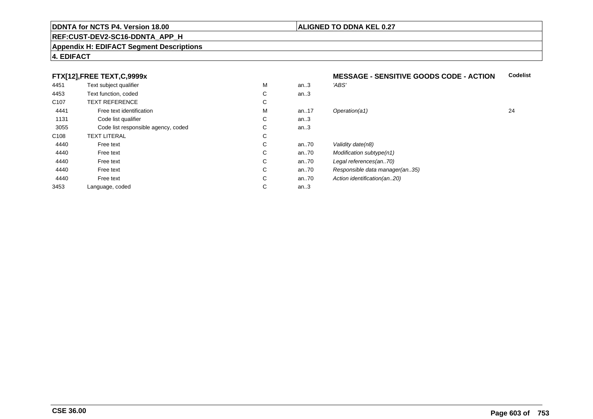#### **REF:CUST-DEV2-SC16-DDNTA\_APP\_H**

#### **Appendix H: EDIFACT Segment Descriptions**

#### **4. EDIFACT**

### **FTX[12],FREE TEXT,C,9999x**

| --               |                                     |   |          |                                |    |
|------------------|-------------------------------------|---|----------|--------------------------------|----|
| 4451             | Text subject qualifier              | M | an.3     | 'ABS'                          |    |
| 4453             | Text function, coded                | С | an.3     |                                |    |
| C <sub>107</sub> | <b>TEXT REFERENCE</b>               | С |          |                                |    |
| 4441             | Free text identification            | M | an17     | Operation(a1)                  | 24 |
| 1131             | Code list qualifier                 | С | an.3     |                                |    |
| 3055             | Code list responsible agency, coded | С | an.3     |                                |    |
| C108             | <b>TEXT LITERAL</b>                 | С |          |                                |    |
| 4440             | Free text                           | С | an $.70$ | Validity date(n8)              |    |
| 4440             | Free text                           | С | an $.70$ | Modification subtype(n1)       |    |
| 4440             | Free text                           | С | an $.70$ | Legal references(an70)         |    |
| 4440             | Free text                           | С | an $.70$ | Responsible data manager(an35) |    |
| 4440             | Free text                           | С | an.70    | Action identification(an20)    |    |
| 3453             | Language, coded                     | С | an.3     |                                |    |
|                  |                                     |   |          |                                |    |

#### **MESSAGE - SENSITIVE GOODS CODE - ACTIONCodelist**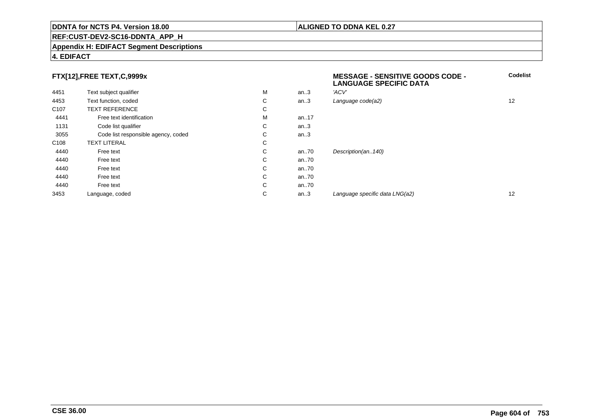#### **REF:CUST-DEV2-SC16-DDNTA\_APP\_H**

#### **Appendix H: EDIFACT Segment Descriptions**

#### **4. EDIFACT**

#### **FTX[12],FREE TEXT,C,9999x**

| FTX[12],FREE TEXT,C,9999x |                                     |    |      | <b>MESSAGE - SENSITIVE GOODS CODE -</b><br><b>LANGUAGE SPECIFIC DATA</b> | Codel             |
|---------------------------|-------------------------------------|----|------|--------------------------------------------------------------------------|-------------------|
| 4451                      | Text subject qualifier              | M  | an.3 | 'ACV'                                                                    |                   |
| 4453                      | Text function, coded                | C  | an.3 | Language code(a2)                                                        | $12 \overline{ }$ |
| C <sub>107</sub>          | <b>TEXT REFERENCE</b>               | C  |      |                                                                          |                   |
| 4441                      | Free text identification            | M  | an17 |                                                                          |                   |
| 1131                      | Code list qualifier                 | C  | an.3 |                                                                          |                   |
| 3055                      | Code list responsible agency, coded | C  | an.3 |                                                                          |                   |
| C <sub>108</sub>          | <b>TEXT LITERAL</b>                 | C  |      |                                                                          |                   |
| 4440                      | Free text                           | C. | an70 | Description(an140)                                                       |                   |
| 4440                      | Free text                           | C. | an70 |                                                                          |                   |
| 4440                      | Free text                           | C  | an70 |                                                                          |                   |
| 4440                      | Free text                           | C  | an70 |                                                                          |                   |
| 4440                      | Free text                           | C  | an70 |                                                                          |                   |
| 3453                      | Language, coded                     | C  | an.3 | Language specific data LNG(a2)                                           | 12                |
|                           |                                     |    |      |                                                                          |                   |

**Codelist**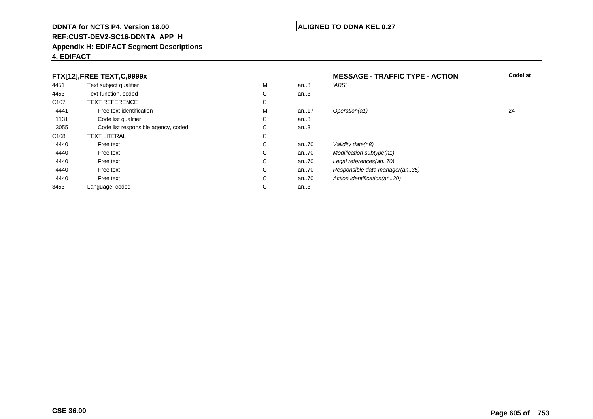### **REF:CUST-DEV2-SC16-DDNTA\_APP\_H**

#### **Appendix H: EDIFACT Segment Descriptions**

### **4. EDIFACT**

| FTX[12], FREE TEXT, C, 9999x |                                     |   | <b>MESSAGE - TRAFFIC TYPE - ACTION</b> | <b>Codelist</b>                |    |
|------------------------------|-------------------------------------|---|----------------------------------------|--------------------------------|----|
| 4451                         | Text subject qualifier              | М | an.3                                   | 'ABS'                          |    |
| 4453                         | Text function, coded                | С | an.3                                   |                                |    |
| C <sub>107</sub>             | <b>TEXT REFERENCE</b>               | С |                                        |                                |    |
| 4441                         | Free text identification            | М | an17                                   | Operation(a1)                  | 24 |
| 1131                         | Code list qualifier                 | С | an.3                                   |                                |    |
| 3055                         | Code list responsible agency, coded | С | an.3                                   |                                |    |
| C <sub>108</sub>             | <b>TEXT LITERAL</b>                 | С |                                        |                                |    |
| 4440                         | Free text                           | С | an70                                   | Validity date(n8)              |    |
| 4440                         | Free text                           | С | an70                                   | Modification subtype(n1)       |    |
| 4440                         | Free text                           | C | an70                                   | Legal references(an70)         |    |
| 4440                         | Free text                           | С | an70                                   | Responsible data manager(an35) |    |
| 4440                         | Free text                           | С | an70                                   | Action identification(an20)    |    |
| 3453                         | Language, coded                     | С | an.3                                   |                                |    |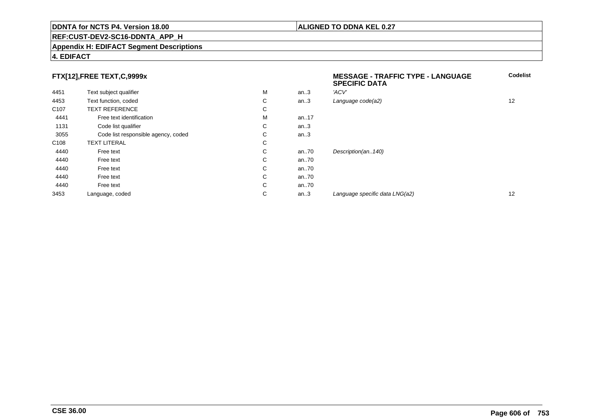#### **REF:CUST-DEV2-SC16-DDNTA\_APP\_H**

#### **Appendix H: EDIFACT Segment Descriptions**

#### **4. EDIFACT**

### **FTX[12],FREE TEXT,C,9999x**

| FTX[12],FREE TEXT,C,9999x |                                     |   |      | <b>MESSAGE - TRAFFIC TYPE - LANGUAGE</b><br><b>SPECIFIC DATA</b> | Codelist |
|---------------------------|-------------------------------------|---|------|------------------------------------------------------------------|----------|
| 4451                      | Text subject qualifier              | м | an.3 | 'ACV'                                                            |          |
| 4453                      | Text function, coded                | C | an.3 | Language code(a2)                                                | 12       |
| C <sub>107</sub>          | <b>TEXT REFERENCE</b>               | С |      |                                                                  |          |
| 4441                      | Free text identification            | м | an17 |                                                                  |          |
| 1131                      | Code list qualifier                 | С | an.3 |                                                                  |          |
| 3055                      | Code list responsible agency, coded | C | an.3 |                                                                  |          |
| C <sub>108</sub>          | <b>TEXT LITERAL</b>                 | C |      |                                                                  |          |
| 4440                      | Free text                           | C | an70 | Description(an140)                                               |          |
| 4440                      | Free text                           | C | an70 |                                                                  |          |
| 4440                      | Free text                           | C | an70 |                                                                  |          |
| 4440                      | Free text                           | C | an70 |                                                                  |          |
| 4440                      | Free text                           | C | an70 |                                                                  |          |
| 3453                      | Language, coded                     | С | an.3 | Language specific data LNG(a2)                                   | 12       |
|                           |                                     |   |      |                                                                  |          |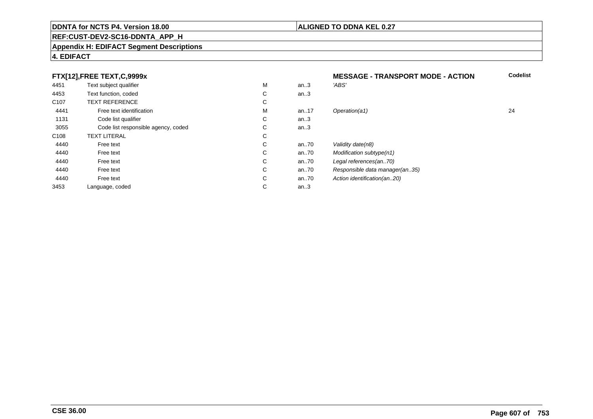#### **REF:CUST-DEV2-SC16-DDNTA\_APP\_H**

#### **Appendix H: EDIFACT Segment Descriptions**

#### **4. EDIFACT**

#### **FTX[12],FREE TEXT,C,9999xMESSAGE - TRANSPORT MODE - ACTION**<br>M an..3 *'ABS'*  **Codelist** 4451Text subject qualifier M<br>
Text function, coded C M an..3 *'ABS'*<br>-4453Text function, coded C<br>
TEXT REFERENCE an..3 C107 TEXT REFERENCEE C  $\mathsf{M}% _{T}=\mathsf{M}_{T}\!\left( a,b\right) ,\ \mathsf{M}_{T}=\mathsf{M}_{T}$ 4441Free text identification M<br>Code list qualifier development of the code list qualifier development of  $\mathbf C$ M an..17 Operation(a1) 24 1131Code list qualifier C<br>Code list responsible agency, coded C an..3 3055Code list responsible agency, coded C<br>
XT LITERAL C an..3 C108TEXT LITERAL<br>Free text  $\mathbf C$ 44400 Free text C C an..70 Validity date(n8)<br>C an..70 Modification subt 44400 Free text C C an..70 Modification subtype(n1)<br>C an..70 Legal references(an..70) 44400 Free text C C an..70 Legal references(an..70)<br>C an..70 Responsible data manag 44400 Free text C C an..70 Responsible data manager(an..35)<br>C an..70 Action identification(an..20) 44400 Free text C C an..70 Action identification(an..20)<br>C an..3 3453Language, coded an..3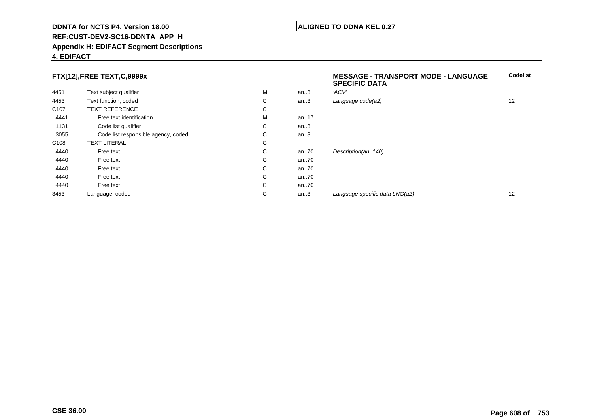#### **REF:CUST-DEV2-SC16-DDNTA\_APP\_H**

#### **Appendix H: EDIFACT Segment Descriptions**

#### **4. EDIFACT**

### **FTX[12],FREE TEXT,C,9999x**

| FTX[12],FREE TEXT,C,9999x |                                     |   |      | <b>MESSAGE - TRANSPORT MODE - LANGUAGE</b><br><b>SPECIFIC DATA</b> | <b>Codelist</b> |
|---------------------------|-------------------------------------|---|------|--------------------------------------------------------------------|-----------------|
| 4451                      | Text subject qualifier              | M | an.3 | 'ACV'                                                              |                 |
| 4453                      | Text function, coded                | С | an.3 | Language code(a2)                                                  | 12              |
| C <sub>107</sub>          | <b>TEXT REFERENCE</b>               | С |      |                                                                    |                 |
| 4441                      | Free text identification            | M | an17 |                                                                    |                 |
| 1131                      | Code list qualifier                 | C | an.3 |                                                                    |                 |
| 3055                      | Code list responsible agency, coded | С | an.3 |                                                                    |                 |
| C <sub>108</sub>          | <b>TEXT LITERAL</b>                 | С |      |                                                                    |                 |
| 4440                      | Free text                           | C | an70 | Description(an140)                                                 |                 |
| 4440                      | Free text                           | C | an70 |                                                                    |                 |
| 4440                      | Free text                           | C | an70 |                                                                    |                 |
| 4440                      | Free text                           | С | an70 |                                                                    |                 |
| 4440                      | Free text                           | C | an70 |                                                                    |                 |
| 3453                      | Language, coded                     | С | an.3 | Language specific data LNG(a2)                                     | 12              |
|                           |                                     |   |      |                                                                    |                 |

### **ALIGNED TO DDNA KEL 0.27**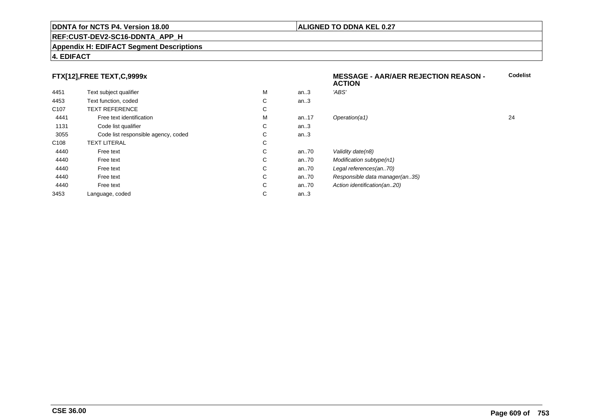#### **REF:CUST-DEV2-SC16-DDNTA\_APP\_H**

#### **Appendix H: EDIFACT Segment Descriptions**

#### **4. EDIFACT**

### **FTX[12],FREE TEXT,C,9999x**

|                  | $\ldots$                            |   |      | <b>ACTION</b>                  |    |
|------------------|-------------------------------------|---|------|--------------------------------|----|
| 4451             | Text subject qualifier              | M | an.3 | 'ABS'                          |    |
| 4453             | Text function, coded                | С | an.3 |                                |    |
| C <sub>107</sub> | <b>TEXT REFERENCE</b>               | С |      |                                |    |
| 4441             | Free text identification            | M | an17 | Operation(a1)                  | 24 |
| 1131             | Code list qualifier                 | С | an.3 |                                |    |
| 3055             | Code list responsible agency, coded | С | an.3 |                                |    |
| C108             | <b>TEXT LITERAL</b>                 | С |      |                                |    |
| 4440             | Free text                           | С | an70 | Validity date(n8)              |    |
| 4440             | Free text                           | С | an70 | Modification subtype(n1)       |    |
| 4440             | Free text                           | С | an70 | Legal references(an70)         |    |
| 4440             | Free text                           | С | an70 | Responsible data manager(an35) |    |
| 4440             | Free text                           | С | an70 | Action identification(an20)    |    |
| 3453             | Language, coded                     | С | an.3 |                                |    |
|                  |                                     |   |      |                                |    |

**Codelist**

#### **ALIGNED TO DDNA KEL 0.27**

**MESSAGE - AAR/AER REJECTION REASON -**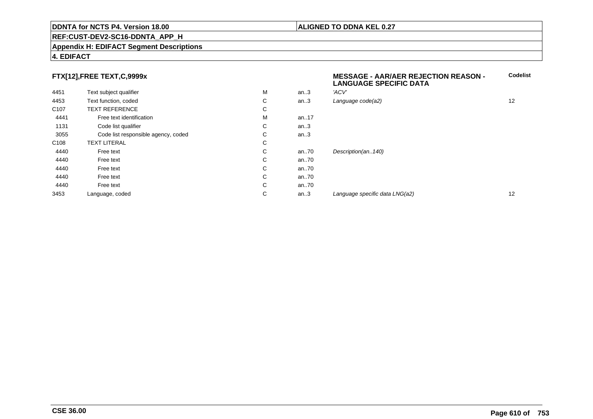#### **REF:CUST-DEV2-SC16-DDNTA\_APP\_H**

#### **Appendix H: EDIFACT Segment Descriptions**

#### **4. EDIFACT**

### **FTX[12],FREE TEXT,C,9999x**

| 4451             | Text subject qualifier              | M | an.3 | 'ACV'         |
|------------------|-------------------------------------|---|------|---------------|
| 4453             | Text function, coded                | C | an.3 | Language co   |
| C <sub>107</sub> | <b>TEXT REFERENCE</b>               | С |      |               |
| 4441             | Free text identification            | M | an17 |               |
| 1131             | Code list qualifier                 | C | an.3 |               |
| 3055             | Code list responsible agency, coded | С | an.3 |               |
| C <sub>108</sub> | <b>TEXT LITERAL</b>                 | C |      |               |
| 4440             | Free text                           | C | an70 | Description(a |
| 4440             | Free text                           | C | an70 |               |
| 4440             | Free text                           | C | an70 |               |
| 4440             | Free text                           | C | an70 |               |
| 4440             | Free text                           | С | an70 |               |
| 3453             | Language, coded                     | С | an.3 | Language sp   |
|                  |                                     |   |      |               |

 **MESSAGE - AAR/AER REJECTION REASON - LANGUAGE SPECIFIC DATACodelist** $C$  an..3 Language code(a2) and  $12$ an..140) an...<br>an... an... an... an... an... an... an... an... an... an... an... an... an... an... an... an... an... an... an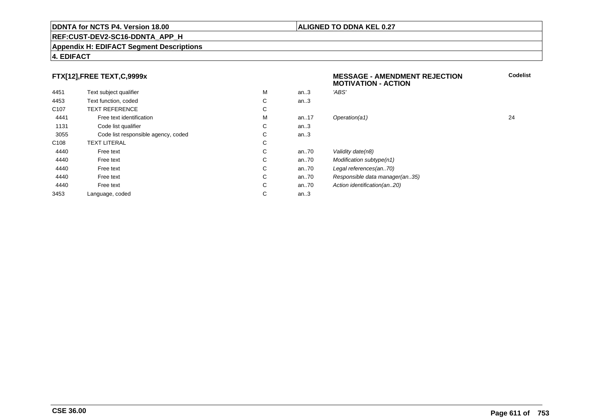## **REF:CUST-DEV2-SC16-DDNTA\_APP\_H**

#### **Appendix H: EDIFACT Segment Descriptions**

#### **4. EDIFACT**

### **FTX[12],FREE TEXT,C,9999x**

| 4451             | Text subject qualifier              | M | an.3     | 'ABS'                    |
|------------------|-------------------------------------|---|----------|--------------------------|
| 4453             | Text function, coded                | C | an.3     |                          |
| C <sub>107</sub> | <b>TEXT REFERENCE</b>               | C |          |                          |
| 4441             | Free text identification            | M | an. $17$ | Operation(a1)            |
| 1131             | Code list qualifier                 | C | an.3     |                          |
| 3055             | Code list responsible agency, coded | С | an.3     |                          |
| C <sub>108</sub> | <b>TEXT LITERAL</b>                 | C |          |                          |
| 4440             | Free text                           | C | an70     | Validity date(n8)        |
| 4440             | Free text                           | C | an70     | Modification subtype(n1) |
| 4440             | Free text                           | C | an70     | Legal references(an70)   |
| 4440             | Free text                           | C | an70     | Responsible data manad   |
| 4440             | Free text                           | C | an70     | Action identification(an |
| 3453             | Language, coded                     | С | an.3     |                          |
|                  |                                     |   |          |                          |

| x                 |   |       | <b>MESSAGE - AMENDMENT REJECTION</b><br><b>MOTIVATION - ACTION</b> | <b>Codelist</b> |
|-------------------|---|-------|--------------------------------------------------------------------|-----------------|
|                   | M | an.3  | 'ABS'                                                              |                 |
|                   | C | an.3  |                                                                    |                 |
|                   | C |       |                                                                    |                 |
| tion              | M | an17  | Operation(a1)                                                      | 24              |
|                   | С | an.3  |                                                                    |                 |
| ole agency, coded | С | an.3  |                                                                    |                 |
|                   | C |       |                                                                    |                 |
|                   | C | an70  | Validity date(n8)                                                  |                 |
|                   | C | an70  | Modification subtype(n1)                                           |                 |
|                   | C | an70  | Legal references(an70)                                             |                 |
|                   | C | an70  | Responsible data manager(an35)                                     |                 |
|                   | C | an.70 | Action identification(an20)                                        |                 |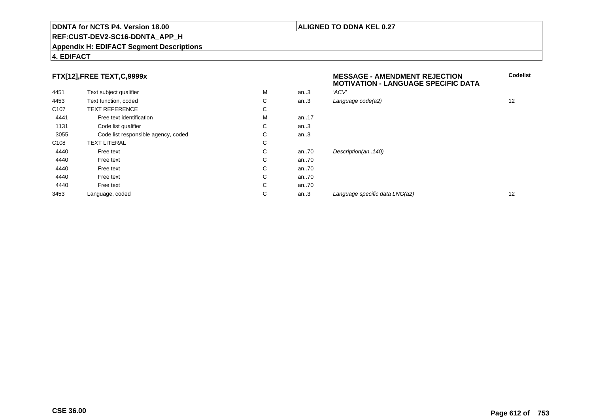#### **REF:CUST-DEV2-SC16-DDNTA\_APP\_H**

#### **Appendix H: EDIFACT Segment Descriptions**

#### **4. EDIFACT**

### **FTX[12],FREE TEXT,C,9999x**

| 4451             | Text subject qualifier              | M | an.3 | 'ACV'                          |    |
|------------------|-------------------------------------|---|------|--------------------------------|----|
| 4453             | Text function, coded                | C | an.3 | Language code(a2)              | 12 |
| C <sub>107</sub> | <b>TEXT REFERENCE</b>               | С |      |                                |    |
| 4441             | Free text identification            | M | an17 |                                |    |
| 1131             | Code list qualifier                 | С | an.3 |                                |    |
| 3055             | Code list responsible agency, coded | С | an.3 |                                |    |
| C108             | <b>TEXT LITERAL</b>                 | С |      |                                |    |
| 4440             | Free text                           | C | an70 | Description(an140)             |    |
| 4440             | Free text                           | С | an70 |                                |    |
| 4440             | Free text                           | C | an70 |                                |    |
| 4440             | Free text                           | С | an70 |                                |    |
| 4440             | Free text                           | С | an70 |                                |    |
| 3453             | Language, coded                     | C | an.3 | Language specific data LNG(a2) | 12 |
|                  |                                     |   |      |                                |    |

# **MESSAGE - AMENDMENT REJECTION MOTIVATION - LANGUAGE SPECIFIC DATACodelist** $C$  an..3 Language code(a2) and  $12$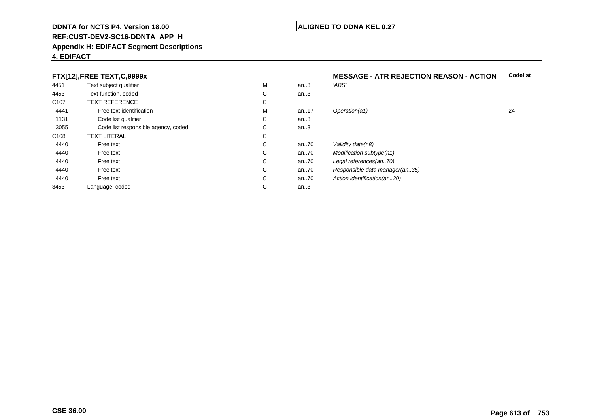#### **REF:CUST-DEV2-SC16-DDNTA\_APP\_H**

#### **Appendix H: EDIFACT Segment Descriptions**

### **4. EDIFACT**

# **FTX[12],FREE TEXT,C,9999x**

| 4451             | Text subject qualifier              | M | an.3     | 'ABS'                          |    |
|------------------|-------------------------------------|---|----------|--------------------------------|----|
| 4453             | Text function, coded                | С | an.3     |                                |    |
| C <sub>107</sub> | <b>TEXT REFERENCE</b>               | С |          |                                |    |
| 4441             | Free text identification            | M | an17     | Operation(a1)                  | 24 |
| 1131             | Code list qualifier                 | С | an.3     |                                |    |
| 3055             | Code list responsible agency, coded | C | an.3     |                                |    |
| C108             | <b>TEXT LITERAL</b>                 | С |          |                                |    |
| 4440             | Free text                           | C | an70     | Validity date(n8)              |    |
| 4440             | Free text                           | С | an.70    | Modification subtype(n1)       |    |
| 4440             | Free text                           | С | an $.70$ | Legal references(an70)         |    |
| 4440             | Free text                           | C | an $.70$ | Responsible data manager(an35) |    |
| 4440             | Free text                           | C | an.70    | Action identification(an20)    |    |
| 3453             | Language, coded                     | С | an.3     |                                |    |
|                  |                                     |   |          |                                |    |

#### **MESSAGE - ATR REJECTION REASON - ACTIONCodelist**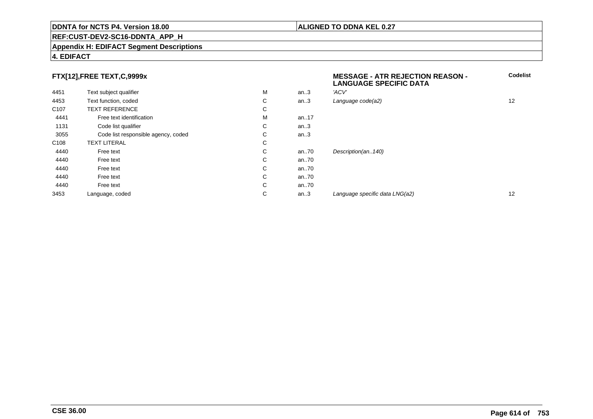#### **REF:CUST-DEV2-SC16-DDNTA\_APP\_H**

#### **Appendix H: EDIFACT Segment Descriptions**

### **4. EDIFACT**

# **FTX[12],FREE TEXT,C,9999x**

| FTX[12],FREE TEXT,C,9999x |                                     |   |       | <b>MESSAGE - ATR REJECTION REASON -</b><br><b>LANGUAGE SPECIFIC DATA</b> | Co                |
|---------------------------|-------------------------------------|---|-------|--------------------------------------------------------------------------|-------------------|
| 4451                      | Text subject qualifier              | M | an.3  | 'ACV'                                                                    |                   |
| 4453                      | Text function, coded                | C | an.3  | Language code(a2)                                                        | 12 <sup>°</sup>   |
| C <sub>107</sub>          | <b>TEXT REFERENCE</b>               | C |       |                                                                          |                   |
| 4441                      | Free text identification            | M | an17  |                                                                          |                   |
| 1131                      | Code list qualifier                 | C | an.3  |                                                                          |                   |
| 3055                      | Code list responsible agency, coded | C | an.3  |                                                                          |                   |
| C <sub>108</sub>          | <b>TEXT LITERAL</b>                 | C |       |                                                                          |                   |
| 4440                      | Free text                           | C | an70  | Description(an140)                                                       |                   |
| 4440                      | Free text                           | C | an70  |                                                                          |                   |
| 4440                      | Free text                           | C | an70  |                                                                          |                   |
| 4440                      | Free text                           | C | an70  |                                                                          |                   |
| 4440                      | Free text                           | C | an.70 |                                                                          |                   |
| 3453                      | Language, coded                     | С | an.3  | Language specific data LNG(a2)                                           | $12 \overline{ }$ |
|                           |                                     |   |       |                                                                          |                   |

**Codelist**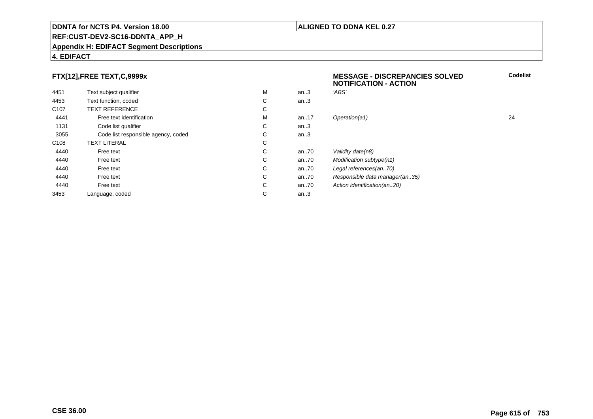# **ALIGNED TO DDNA KEL 0.27**

**MESSAGE - DISCREPANCIES SOLVED**

**NOTIFICATION - ACTION**

**REF:CUST-DEV2-SC16-DDNTA\_APP\_H**

#### **Appendix H: EDIFACT Segment Descriptions**

### **4. EDIFACT**

# **FTX[12],FREE TEXT,C,9999x**

| 4451             | Text subject qualifier              | M | an.3     | 'ABS'                          |    |
|------------------|-------------------------------------|---|----------|--------------------------------|----|
| 4453             | Text function, coded                | C | an.3     |                                |    |
| C <sub>107</sub> | <b>TEXT REFERENCE</b>               | C |          |                                |    |
| 4441             | Free text identification            | M | an17     | Operation(a1)                  | 24 |
| 1131             | Code list qualifier                 | C | an.3     |                                |    |
| 3055             | Code list responsible agency, coded | C | an.3     |                                |    |
| C <sub>108</sub> | <b>TEXT LITERAL</b>                 | С |          |                                |    |
| 4440             | Free text                           | С | an $.70$ | Validity date(n8)              |    |
| 4440             | Free text                           | С | an $.70$ | Modification subtype(n1)       |    |
| 4440             | Free text                           | C | an $.70$ | Legal references(an70)         |    |
| 4440             | Free text                           | C | an70     | Responsible data manager(an35) |    |
| 4440             | Free text                           | C | an $.70$ | Action identification(an20)    |    |
| 3453             | Language, coded                     | С | an.3     |                                |    |
|                  |                                     |   |          |                                |    |

### **CSE 36.00**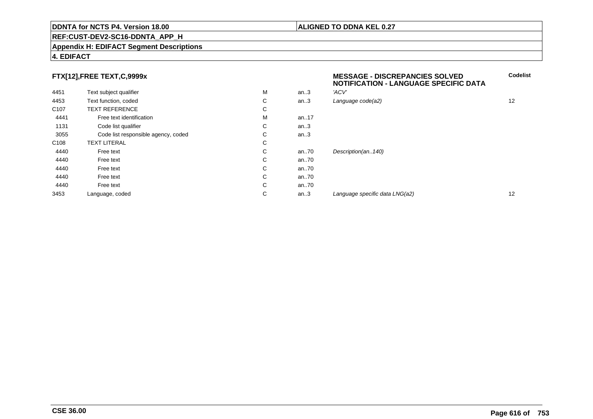#### **REF:CUST-DEV2-SC16-DDNTA\_APP\_H**

#### **Appendix H: EDIFACT Segment Descriptions**

### **4. EDIFACT**

# **FTX[12],FREE TEXT,C,9999x**

|                  | FTX[12],FREE TEXT,C,9999x           |   |      | <b>MESSAGE - DISCREPANCIES SOLVED</b><br><b>NOTIFICATION - LANGUAGE SPECIFIC DATA</b> |    |
|------------------|-------------------------------------|---|------|---------------------------------------------------------------------------------------|----|
| 4451             | Text subject qualifier              | M | an.3 | 'ACV'                                                                                 |    |
| 4453             | Text function, coded                | С | an.3 | Language code(a2)                                                                     | 12 |
| C <sub>107</sub> | <b>TEXT REFERENCE</b>               | C |      |                                                                                       |    |
| 4441             | Free text identification            | M | an17 |                                                                                       |    |
| 1131             | Code list qualifier                 | С | an.3 |                                                                                       |    |
| 3055             | Code list responsible agency, coded | С | an.3 |                                                                                       |    |
| C <sub>108</sub> | <b>TEXT LITERAL</b>                 | С |      |                                                                                       |    |
| 4440             | Free text                           | С | an70 | Description(an140)                                                                    |    |
| 4440             | Free text                           | C | an70 |                                                                                       |    |
| 4440             | Free text                           | С | an70 |                                                                                       |    |
| 4440             | Free text                           | С | an70 |                                                                                       |    |
| 4440             | Free text                           | C | an70 |                                                                                       |    |
| 3453             | Language, coded                     | С | an.3 | Language specific data LNG(a2)                                                        | 12 |
|                  |                                     |   |      |                                                                                       |    |

#### **ALIGNED TO DDNA KEL 0.27**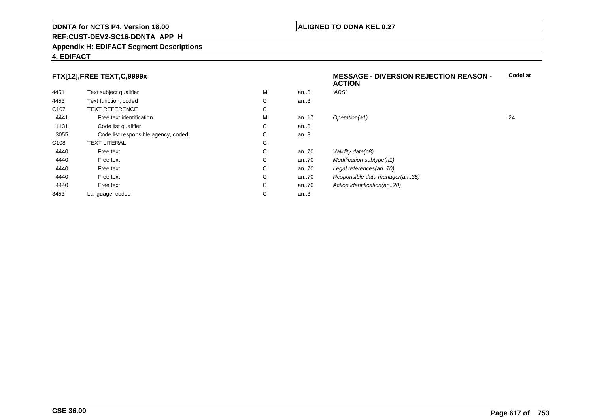#### **REF:CUST-DEV2-SC16-DDNTA\_APP\_H**

#### **Appendix H: EDIFACT Segment Descriptions**

### **4. EDIFACT**

# **FTX[12],FREE TEXT,C,9999x**

|                  |                                     |   |          | <b>ACTION</b>                  |    |
|------------------|-------------------------------------|---|----------|--------------------------------|----|
| 4451             | Text subject qualifier              | M | an.3     | 'ABS'                          |    |
| 4453             | Text function, coded                | C | an.3     |                                |    |
| C <sub>107</sub> | <b>TEXT REFERENCE</b>               | С |          |                                |    |
| 4441             | Free text identification            | M | an17     | Operation(a1)                  | 24 |
| 1131             | Code list qualifier                 | C | an.3     |                                |    |
| 3055             | Code list responsible agency, coded | С | an.3     |                                |    |
| C108             | <b>TEXT LITERAL</b>                 | C |          |                                |    |
| 4440             | Free text                           | C | an70     | Validity date(n8)              |    |
| 4440             | Free text                           | С | an $.70$ | Modification subtype(n1)       |    |
| 4440             | Free text                           | С | an.70    | Legal references(an70)         |    |
| 4440             | Free text                           | C | an.70    | Responsible data manager(an35) |    |
| 4440             | Free text                           | С | an $.70$ | Action identification(an20)    |    |
| 3453             | Language, coded                     | С | an.3     |                                |    |
|                  |                                     |   |          |                                |    |

# **MESSAGE - DIVERSION REJECTION REASON - Codelist**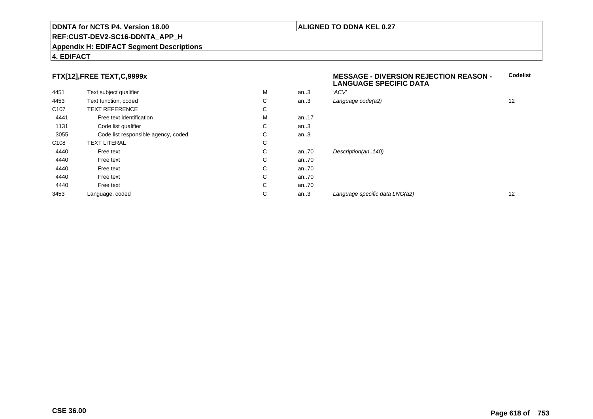#### **REF:CUST-DEV2-SC16-DDNTA\_APP\_H**

#### **Appendix H: EDIFACT Segment Descriptions**

### **4. EDIFACT**

# **FTX[12],FREE TEXT,C,9999x**

| 4451             | Text subject qualifier              | M | an.3     | 'ACV'               |
|------------------|-------------------------------------|---|----------|---------------------|
| 4453             | Text function, coded                | С | an.3     | Language code(a2)   |
| C <sub>107</sub> | <b>TEXT REFERENCE</b>               | С |          |                     |
| 4441             | Free text identification            | M | an.17    |                     |
| 1131             | Code list qualifier                 | С | an.3     |                     |
| 3055             | Code list responsible agency, coded | С | an.3     |                     |
| C <sub>108</sub> | <b>TEXT LITERAL</b>                 | С |          |                     |
| 4440             | Free text                           | С | an70     | Description(an140)  |
| 4440             | Free text                           | С | an70     |                     |
| 4440             | Free text                           | C | an70     |                     |
| 4440             | Free text                           | С | an.70    |                     |
| 4440             | Free text                           | С | an $.70$ |                     |
| 3453             | Language, coded                     | С | an.3     | Language specific d |
|                  |                                     |   |          |                     |

#### **MESSAGE - DIVERSION REJECTION REASON - LANGUAGE SPECIFIC DATACodelist**

| M | an.3 | 'ACV'                          |    |
|---|------|--------------------------------|----|
| С | an.3 | Language code(a2)              | 12 |
| С |      |                                |    |
| М | an17 |                                |    |
| С | an.3 |                                |    |
| С | an.3 |                                |    |
| С |      |                                |    |
| С | an70 | Description(an140)             |    |
| С | an70 |                                |    |
| С | an70 |                                |    |
| С | an70 |                                |    |
| С | an70 |                                |    |
| С | an.3 | Language specific data LNG(a2) | 12 |
|   |      |                                |    |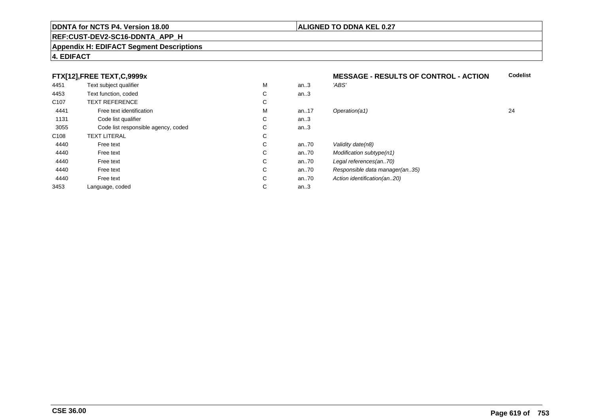#### **REF:CUST-DEV2-SC16-DDNTA\_APP\_H**

#### **Appendix H: EDIFACT Segment Descriptions**

### **4. EDIFACT**

# **FTX[12],FREE TEXT,C,9999x**

|                  | FTX[12],FREE TEXT,C,9999x           |   |      | <b>MESSAGE - RESULTS OF CONTROL - ACTION</b> |    |
|------------------|-------------------------------------|---|------|----------------------------------------------|----|
| 4451             | Text subject qualifier              | M | an.3 | 'ABS'                                        |    |
| 4453             | Text function, coded                | С | an.3 |                                              |    |
| C <sub>107</sub> | <b>TEXT REFERENCE</b>               | С |      |                                              |    |
| 4441             | Free text identification            | M | an17 | Operation(a1)                                | 24 |
| 1131             | Code list qualifier                 | С | an.3 |                                              |    |
| 3055             | Code list responsible agency, coded | С | an.3 |                                              |    |
| C108             | <b>TEXT LITERAL</b>                 | С |      |                                              |    |
| 4440             | Free text                           | С | an70 | Validity date(n8)                            |    |
| 4440             | Free text                           | С | an70 | Modification subtype(n1)                     |    |
| 4440             | Free text                           | С | an70 | Legal references(an70)                       |    |
| 4440             | Free text                           | С | an70 | Responsible data manager(an35)               |    |
| 4440             | Free text                           | С | an70 | Action identification(an20)                  |    |
| 3453             | Language, coded                     | С | an.3 |                                              |    |

**ALIGNED TO DDNA KEL 0.27**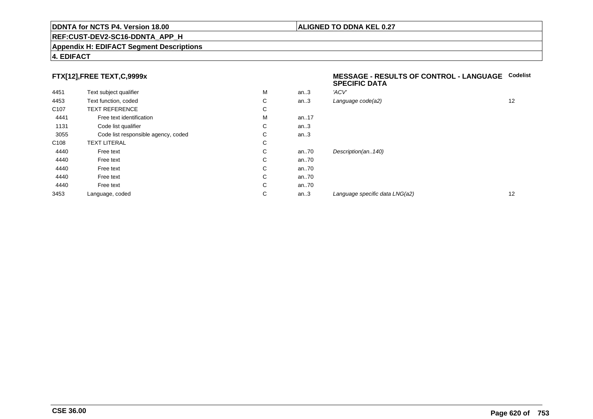#### **REF:CUST-DEV2-SC16-DDNTA\_APP\_H**

#### **Appendix H: EDIFACT Segment Descriptions**

### **4. EDIFACT**

# **FTX[12],FREE TEXT,C,9999x**

| 4451             | Text subject qualifier              | M | an.3     | 'ACV' |
|------------------|-------------------------------------|---|----------|-------|
| 4453             | Text function, coded                | С | an.3     | Langı |
| C <sub>107</sub> | <b>TEXT REFERENCE</b>               | С |          |       |
| 4441             | Free text identification            | M | an. $17$ |       |
| 1131             | Code list qualifier                 | С | an.3     |       |
| 3055             | Code list responsible agency, coded | С | an.3     |       |
| C <sub>108</sub> | <b>TEXT LITERAL</b>                 | C |          |       |
| 4440             | Free text                           | С | an70     | Desci |
| 4440             | Free text                           | C | an70     |       |
| 4440             | Free text                           | С | an70     |       |
| 4440             | Free text                           | С | an70     |       |
| 4440             | Free text                           | С | an70     |       |
| 3453             | Language, coded                     | С | an.3     | Langu |
|                  |                                     |   |          |       |

#### **MESSAGE - RESULTS OF CONTROL - LANGUAGECodelistSPECIFIC DATA**

| М | an.3 | 'ACV'                          |    |
|---|------|--------------------------------|----|
| С | an.3 | Language code(a2)              | 12 |
| С |      |                                |    |
| M | an17 |                                |    |
| С | an.3 |                                |    |
| C | an.3 |                                |    |
| С |      |                                |    |
| С | an70 | Description(an140)             |    |
| С | an70 |                                |    |
| С | an70 |                                |    |
| С | an70 |                                |    |
| С | an70 |                                |    |
| С | an.3 | Language specific data LNG(a2) | 12 |
|   |      |                                |    |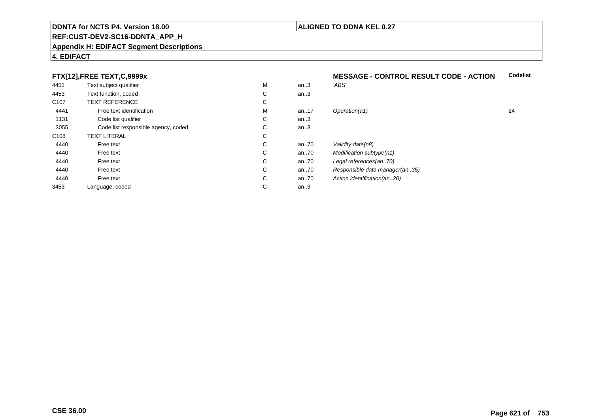#### **REF:CUST-DEV2-SC16-DDNTA\_APP\_H**

#### **Appendix H: EDIFACT Segment Descriptions**

## **4. EDIFACT**

# **FTX[12],FREE TEXT,C,9999x**

| 4451             | Text subject qualifier              | M | an.3 | 'ABS'                          |    |
|------------------|-------------------------------------|---|------|--------------------------------|----|
| 4453             | Text function, coded                | C | an.3 |                                |    |
| C <sub>107</sub> | <b>TEXT REFERENCE</b>               | С |      |                                |    |
| 4441             | Free text identification            | M | an17 | Operation(a1)                  | 24 |
| 1131             | Code list qualifier                 | С | an.3 |                                |    |
| 3055             | Code list responsible agency, coded | C | an.3 |                                |    |
| C108             | <b>TEXT LITERAL</b>                 | С |      |                                |    |
| 4440             | Free text                           | C | an70 | Validity date(n8)              |    |
| 4440             | Free text                           | C | an70 | Modification subtype(n1)       |    |
| 4440             | Free text                           | C | an70 | Legal references(an70)         |    |
| 4440             | Free text                           | C | an70 | Responsible data manager(an35) |    |
| 4440             | Free text                           | C | an70 | Action identification(an20)    |    |
| 3453             | Language, coded                     | C | an.3 |                                |    |
|                  |                                     |   |      |                                |    |

#### **MESSAGE - CONTROL RESULT CODE - ACTIONCodelist**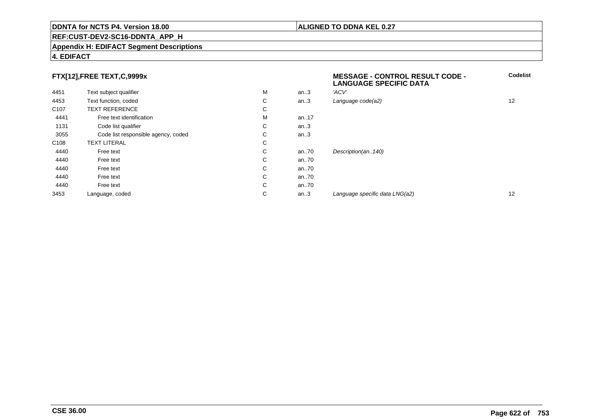#### **REF:CUST-DEV2-SC16-DDNTA\_APP\_H**

#### **Appendix H: EDIFACT Segment Descriptions**

# **FTX[12],FREE TEXT,C,9999x**

| FTX[12],FREE TEXT,C,9999x |                                     |   |          | <b>MESSAGE - CONTROL RESULT CODE -</b><br><b>LANGUAGE SPECIFIC DATA</b> | Codelis |
|---------------------------|-------------------------------------|---|----------|-------------------------------------------------------------------------|---------|
| 4451                      | Text subject qualifier              | M | an.3     | 'ACV'                                                                   |         |
| 4453                      | Text function, coded                | С | an.3     | Language code(a2)                                                       | 12      |
| C <sub>107</sub>          | <b>TEXT REFERENCE</b>               | С |          |                                                                         |         |
| 4441                      | Free text identification            | M | an. $17$ |                                                                         |         |
| 1131                      | Code list qualifier                 | С | an.3     |                                                                         |         |
| 3055                      | Code list responsible agency, coded | С | an.3     |                                                                         |         |
| C <sub>108</sub>          | <b>TEXT LITERAL</b>                 | С |          |                                                                         |         |
| 4440                      | Free text                           | С | an70     | Description(an140)                                                      |         |
| 4440                      | Free text                           | С | an70     |                                                                         |         |
| 4440                      | Free text                           | С | an70     |                                                                         |         |
| 4440                      | Free text                           | С | an70     |                                                                         |         |
| 4440                      | Free text                           | С | an70     |                                                                         |         |
| 3453                      | Language, coded                     | С | an.3     | Language specific data LNG(a2)                                          | 12      |

# **4. EDIFACT**

**Codelist**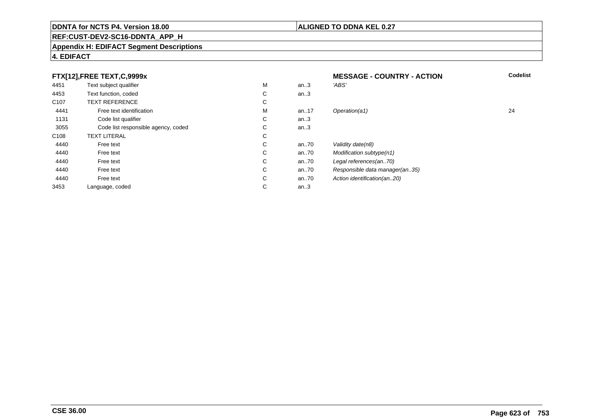# **ALIGNED TO DDNA KEL 0.27**

# **REF:CUST-DEV2-SC16-DDNTA\_APP\_H**

#### **Appendix H: EDIFACT Segment Descriptions**

# **4. EDIFACT**

| FTX[12], FREE TEXT, C, 9999x |                                     |             | <b>MESSAGE - COUNTRY - ACTION</b> | <b>Codelist</b>                |    |
|------------------------------|-------------------------------------|-------------|-----------------------------------|--------------------------------|----|
| 4451                         | Text subject qualifier              | M           | an.3                              | 'ABS'                          |    |
| 4453                         | Text function, coded                | C           | an $3$                            |                                |    |
| C <sub>107</sub>             | <b>TEXT REFERENCE</b>               | C           |                                   |                                |    |
| 4441                         | Free text identification            | M           | an17                              | Operation(a1)                  | 24 |
| 1131                         | Code list qualifier                 | C           | an.3                              |                                |    |
| 3055                         | Code list responsible agency, coded | C           | an $3$                            |                                |    |
| C <sub>108</sub>             | <b>TEXT LITERAL</b>                 | C           |                                   |                                |    |
| 4440                         | Free text                           | C           | an70                              | Validity date(n8)              |    |
| 4440                         | Free text                           | C.          | an70                              | Modification subtype(n1)       |    |
| 4440                         | Free text                           | C           | an70                              | Legal references(an70)         |    |
| 4440                         | Free text                           | C.          | an70                              | Responsible data manager(an35) |    |
| 4440                         | Free text                           | C           | an70                              | Action identification(an20)    |    |
| 3453                         | Language, coded                     | $\sim$<br>◡ | an $.3$                           |                                |    |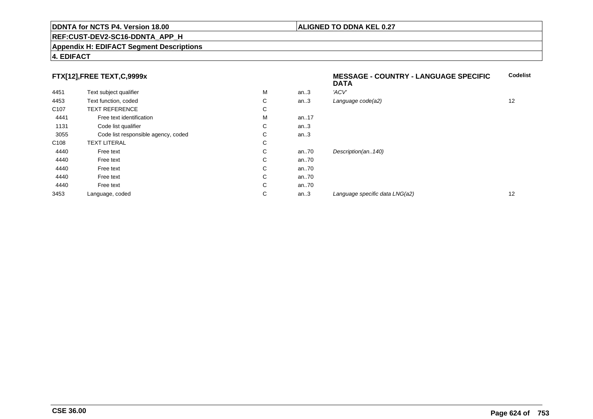# **REF:CUST-DEV2-SC16-DDNTA\_APP\_H**

#### **Appendix H: EDIFACT Segment Descriptions**

# **4. EDIFACT**

| FTX[12], FREE TEXT, C, 9999x |                                     |    | <b>Codelist</b><br><b>MESSAGE - COUNTRY - LANGUAGE SPECIFIC</b><br><b>DATA</b> |                                |    |
|------------------------------|-------------------------------------|----|--------------------------------------------------------------------------------|--------------------------------|----|
| 4451                         | Text subject qualifier              | м  | an.3                                                                           | 'ACV'                          |    |
| 4453                         | Text function, coded                | C  | an.3                                                                           | Language code(a2)              | 12 |
| C <sub>107</sub>             | <b>TEXT REFERENCE</b>               | C  |                                                                                |                                |    |
| 4441                         | Free text identification            | M  | an17                                                                           |                                |    |
| 1131                         | Code list qualifier                 | C  | an.3                                                                           |                                |    |
| 3055                         | Code list responsible agency, coded | C. | an.3                                                                           |                                |    |
| C <sub>108</sub>             | <b>TEXT LITERAL</b>                 | C  |                                                                                |                                |    |
| 4440                         | Free text                           | C. | an70                                                                           | Description(an140)             |    |
| 4440                         | Free text                           | C  | an70                                                                           |                                |    |
| 4440                         | Free text                           | C. | an70                                                                           |                                |    |
| 4440                         | Free text                           | C  | an70                                                                           |                                |    |
| 4440                         | Free text                           | C  | an70                                                                           |                                |    |
| 3453                         | Language, coded                     | C  | an.3                                                                           | Language specific data LNG(a2) | 12 |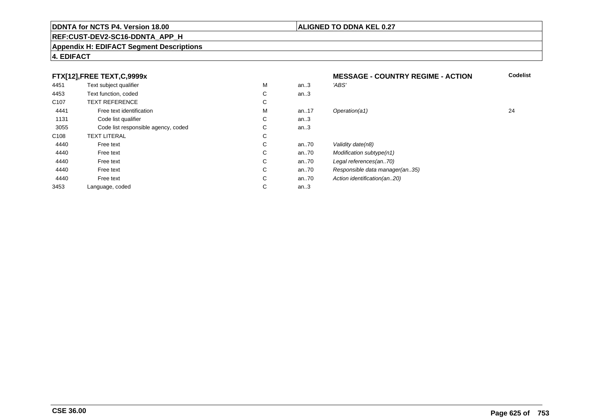# **REF:CUST-DEV2-SC16-DDNTA\_APP\_H**

#### **Appendix H: EDIFACT Segment Descriptions**

# **4. EDIFACT**

| FTX[12], FREE TEXT, C, 9999x |                                     |   | <b>MESSAGE - COUNTRY REGIME - ACTION</b> | <b>Codelist</b>                |    |
|------------------------------|-------------------------------------|---|------------------------------------------|--------------------------------|----|
| 4451                         | Text subject qualifier              | M | an.3                                     | 'ABS'                          |    |
| 4453                         | Text function, coded                | С | an.3                                     |                                |    |
| C <sub>107</sub>             | <b>TEXT REFERENCE</b>               | С |                                          |                                |    |
| 4441                         | Free text identification            | M | an17                                     | Operation(a1)                  | 24 |
| 1131                         | Code list qualifier                 | С | an $3$                                   |                                |    |
| 3055                         | Code list responsible agency, coded | C | an $3$                                   |                                |    |
| C <sub>108</sub>             | <b>TEXT LITERAL</b>                 | C |                                          |                                |    |
| 4440                         | Free text                           | С | an70                                     | Validity date(n8)              |    |
| 4440                         | Free text                           | C | an70                                     | Modification subtype(n1)       |    |
| 4440                         | Free text                           | С | an70                                     | Legal references(an70)         |    |
| 4440                         | Free text                           | C | an70                                     | Responsible data manager(an35) |    |
| 4440                         | Free text                           | C | an70                                     | Action identification(an20)    |    |
| 3453                         | Language, coded                     | С | an.3                                     |                                |    |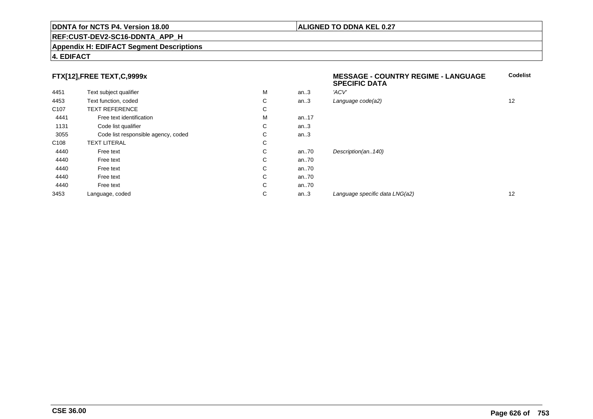#### **REF:CUST-DEV2-SC16-DDNTA\_APP\_H**

#### **Appendix H: EDIFACT Segment Descriptions**

### **4. EDIFACT**

# **FTX[12],FREE TEXT,C,9999x**

|                  | FTX[12],FREE TEXT,C,9999x           |    |          | <b>MESSAGE - COUNTRY REGIME - LANGUAGE</b><br><b>SPECIFIC DATA</b> | <b>Codelist</b> |
|------------------|-------------------------------------|----|----------|--------------------------------------------------------------------|-----------------|
| 4451             | Text subject qualifier              | M  | an.3     | 'ACV'                                                              |                 |
| 4453             | Text function, coded                | C  | an.3     | Language code(a2)                                                  | 12              |
| C <sub>107</sub> | <b>TEXT REFERENCE</b>               | C  |          |                                                                    |                 |
| 4441             | Free text identification            | м  | an17     |                                                                    |                 |
| 1131             | Code list qualifier                 | C. | an.3     |                                                                    |                 |
| 3055             | Code list responsible agency, coded | C. | an.3     |                                                                    |                 |
| C <sub>108</sub> | <b>TEXT LITERAL</b>                 | C  |          |                                                                    |                 |
| 4440             | Free text                           | C. | an $.70$ | Description(an140)                                                 |                 |
| 4440             | Free text                           | C  | an $.70$ |                                                                    |                 |
| 4440             | Free text                           | C  | an $.70$ |                                                                    |                 |
| 4440             | Free text                           | C  | an $.70$ |                                                                    |                 |
| 4440             | Free text                           | C  | an $.70$ |                                                                    |                 |
| 3453             | Language, coded                     | С  | an.3     | Language specific data LNG(a2)                                     | 12              |
|                  |                                     |    |          |                                                                    |                 |

### **ALIGNED TO DDNA KEL 0.27**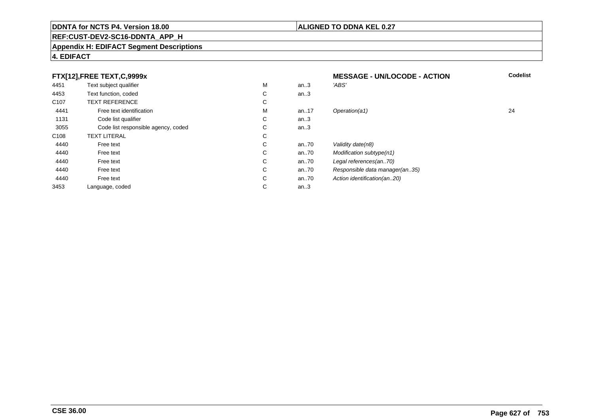# **REF:CUST-DEV2-SC16-DDNTA\_APP\_H**

#### **Appendix H: EDIFACT Segment Descriptions**

| FTX[12], FREE TEXT, C, 9999x |                                     |   | <b>MESSAGE - UN/LOCODE - ACTION</b> | <b>Codelist</b>                |    |
|------------------------------|-------------------------------------|---|-------------------------------------|--------------------------------|----|
| 4451                         | Text subject qualifier              | M | an.3                                | 'ABS'                          |    |
| 4453                         | Text function, coded                | C | an.3                                |                                |    |
| C <sub>107</sub>             | <b>TEXT REFERENCE</b>               | С |                                     |                                |    |
| 4441                         | Free text identification            | M | an17                                | Operation(a1)                  | 24 |
| 1131                         | Code list qualifier                 | С | an $3$                              |                                |    |
| 3055                         | Code list responsible agency, coded | C | an.3                                |                                |    |
| C108                         | <b>TEXT LITERAL</b>                 | С |                                     |                                |    |
| 4440                         | Free text                           | С | an70                                | Validity date(n8)              |    |
| 4440                         | Free text                           | C | an70                                | Modification subtype(n1)       |    |
| 4440                         | Free text                           | C | an70                                | Legal references(an70)         |    |
| 4440                         | Free text                           | C | an70                                | Responsible data manager(an35) |    |
| 4440                         | Free text                           | C | an70                                | Action identification(an20)    |    |
| 3453                         | Language, coded                     | С | an.3                                |                                |    |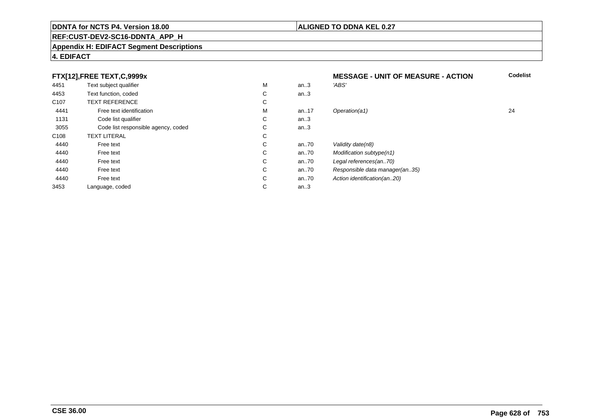### **REF:CUST-DEV2-SC16-DDNTA\_APP\_H**

#### **Appendix H: EDIFACT Segment Descriptions**

## **4. EDIFACT**

#### **FTX[12],FREE TEXT,C,9999xMESSAGE - UNIT OF MEASURE - ACTION**<br>M an..3 *'ABS'*  **Codelist** 4451Text subject qualifier M<br>
Text function, coded C M an..3 *'ABS'*<br>-4453Text function, coded C<br>
TEXT REFERENCE an..3 C107 TEXT REFERENCEE C  $\mathsf{M}% _{T}=\mathsf{M}_{T}\!\left( a,b\right) ,\ \mathsf{M}_{T}=\mathsf{M}_{T}$ 4441Free text identification M<br>Code list qualifier development of the code list qualifier development of  $\mathbf C$ M an..17 Operation(a1) 24 1131Code list qualifier C<br>Code list responsible agency, coded C an..3 3055Code list responsible agency, coded C<br>
XT LITERAL C an..3 C108TEXT LITERAL<br>Free text  $\mathbf C$ 44400 Free text C C an..70 Validity date(n8)<br>C an..70 Modification subt 44400 Free text C C an..70 Modification subtype(n1)<br>C an..70 Legal references(an..70) 44400 Free text C C an..70 Legal references(an..70)<br>C an..70 Responsible data manag 44400 Free text C C an..70 Responsible data manager(an..35)<br>C an..70 Action identification(an..20) 44400 Free text C C an..70 Action identification(an..20)<br>C an..3 3453Language, coded an..3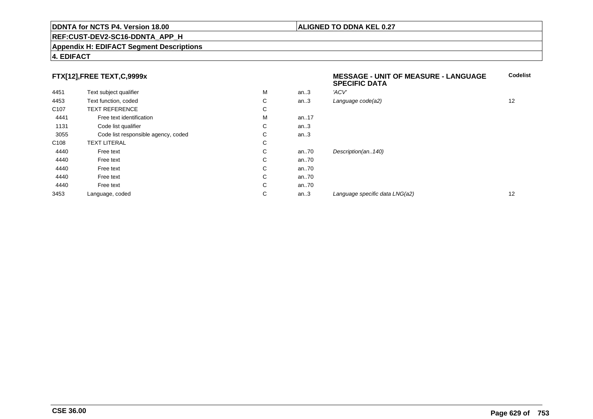#### **REF:CUST-DEV2-SC16-DDNTA\_APP\_H**

#### **Appendix H: EDIFACT Segment Descriptions**

### **4. EDIFACT**

# **FTX[12],FREE TEXT,C,9999x**

|                  | FTX[12],FREE TEXT,C,9999x           |    |          | <b>MESSAGE - UNIT OF MEASURE - LANGUAGE</b><br><b>SPECIFIC DATA</b> | <b>Codelist</b> |
|------------------|-------------------------------------|----|----------|---------------------------------------------------------------------|-----------------|
| 4451             | Text subject qualifier              | M  | an.3     | 'ACV'                                                               |                 |
| 4453             | Text function, coded                | C  | an.3     | Language code(a2)                                                   | 12              |
| C <sub>107</sub> | <b>TEXT REFERENCE</b>               | C  |          |                                                                     |                 |
| 4441             | Free text identification            | м  | an17     |                                                                     |                 |
| 1131             | Code list qualifier                 | C. | an.3     |                                                                     |                 |
| 3055             | Code list responsible agency, coded | C. | an.3     |                                                                     |                 |
| C <sub>108</sub> | <b>TEXT LITERAL</b>                 | C  |          |                                                                     |                 |
| 4440             | Free text                           | C. | an $.70$ | Description(an140)                                                  |                 |
| 4440             | Free text                           | C  | an $.70$ |                                                                     |                 |
| 4440             | Free text                           | C  | an $.70$ |                                                                     |                 |
| 4440             | Free text                           | C  | an $.70$ |                                                                     |                 |
| 4440             | Free text                           | C  | an $.70$ |                                                                     |                 |
| 3453             | Language, coded                     | С  | an.3     | Language specific data LNG(a2)                                      | 12              |
|                  |                                     |    |          |                                                                     |                 |

### **ALIGNED TO DDNA KEL 0.27**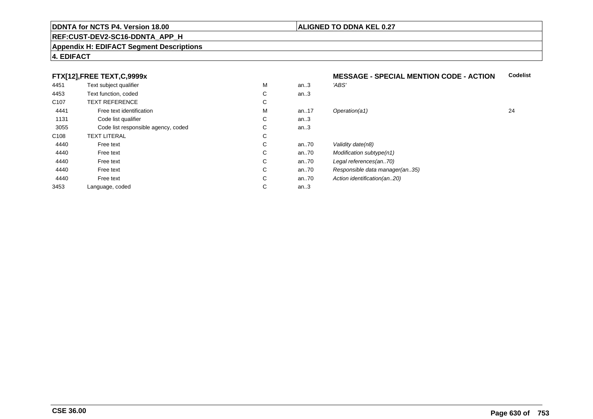#### **REF:CUST-DEV2-SC16-DDNTA\_APP\_H**

#### **Appendix H: EDIFACT Segment Descriptions**

### **4. EDIFACT**

# **FTX[12],FREE TEXT,C,9999x**

| 4451             | Text subject qualifier              | M | an.3     | 'ABS'                          |    |
|------------------|-------------------------------------|---|----------|--------------------------------|----|
| 4453             | Text function, coded                | С | an.3     |                                |    |
| C <sub>107</sub> | <b>TEXT REFERENCE</b>               | С |          |                                |    |
| 4441             | Free text identification            | M | an17     | Operation(a1)                  | 24 |
| 1131             | Code list qualifier                 | С | an.3     |                                |    |
| 3055             | Code list responsible agency, coded | С | an.3     |                                |    |
| C108             | <b>TEXT LITERAL</b>                 | С |          |                                |    |
| 4440             | Free text                           | С | an $.70$ | Validity date(n8)              |    |
| 4440             | Free text                           | С | an $.70$ | Modification subtype(n1)       |    |
| 4440             | Free text                           | С | an.70    | Legal references(an70)         |    |
| 4440             | Free text                           | С | an $.70$ | Responsible data manager(an35) |    |
| 4440             | Free text                           | С | an $.70$ | Action identification(an20)    |    |
| 3453             | Language, coded                     | С | an.3     |                                |    |
|                  |                                     |   |          |                                |    |

#### **MESSAGE - SPECIAL MENTION CODE - ACTIONCodelist**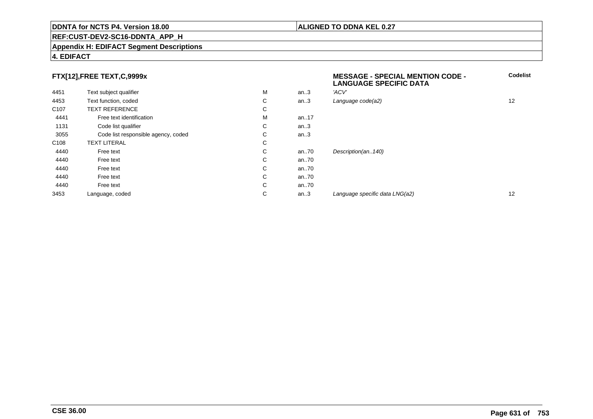#### **REF:CUST-DEV2-SC16-DDNTA\_APP\_H**

#### **Appendix H: EDIFACT Segment Descriptions**

#### **4. EDIFACT**

# **FTX[12],FREE TEXT,C,9999x**

|                  | FTX[12],FREE TEXT,C,9999x           |   |          | <b>MESSAGE - SPECIAL MENTION CODE -</b><br><b>LANGUAGE SPECIFIC DATA</b> | Сc |
|------------------|-------------------------------------|---|----------|--------------------------------------------------------------------------|----|
| 4451             | Text subject qualifier              | M | an.3     | 'ACV'                                                                    |    |
| 4453             | Text function, coded                | С | an.3     | Language code(a2)                                                        | 12 |
| C <sub>107</sub> | <b>TEXT REFERENCE</b>               | С |          |                                                                          |    |
| 4441             | Free text identification            | M | an17     |                                                                          |    |
| 1131             | Code list qualifier                 | С | an.3     |                                                                          |    |
| 3055             | Code list responsible agency, coded | С | an.3     |                                                                          |    |
| C <sub>108</sub> | <b>TEXT LITERAL</b>                 | С |          |                                                                          |    |
| 4440             | Free text                           | С | an70     | Description(an140)                                                       |    |
| 4440             | Free text                           | С | an70     |                                                                          |    |
| 4440             | Free text                           | С | an70     |                                                                          |    |
| 4440             | Free text                           | С | an70     |                                                                          |    |
| 4440             | Free text                           | С | an $.70$ |                                                                          |    |
| 3453             | Language, coded                     | С | an.3     | Language specific data LNG(a2)                                           | 12 |

# **ALIGNED TO DDNA KEL 0.27**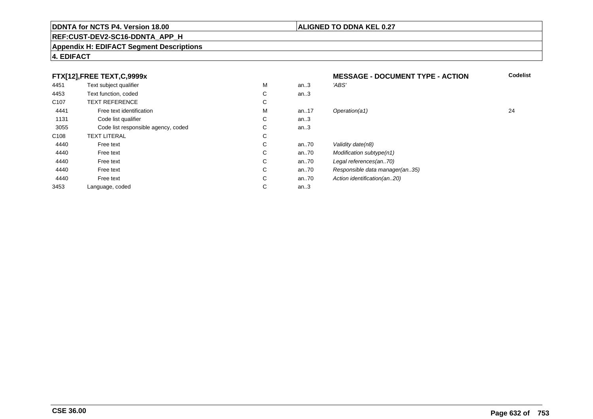#### **REF:CUST-DEV2-SC16-DDNTA\_APP\_H**

#### **Appendix H: EDIFACT Segment Descriptions**

### **4. EDIFACT**

#### **FTX[12],FREE TEXT,C,9999xMESSAGE - DOCUMENT TYPE - ACTION**<br>M an..3 *'ABS'*  **Codelist** 4451Text subject qualifier M<br>
Text function, coded C M an..3 *'ABS'*<br>-4453Text function, coded C<br>
TEXT REFERENCE an..3 C107 TEXT REFERENCEE C  $\mathsf{M}% _{T}=\mathsf{M}_{T}\!\left( a,b\right) ,\ \mathsf{M}_{T}=\mathsf{M}_{T}$ 4441Free text identification M<br>Code list qualifier development of the code list qualifier development of  $\mathbf C$ M an..17 Operation(a1) 24 1131Code list qualifier C<br>Code list responsible agency, coded C an..3 3055Code list responsible agency, coded C<br>
XT LITERAL C an..3 C108TEXT LITERAL<br>Free text  $\mathbf C$ 44400 Free text C C an..70 Validity date(n8)<br>C an..70 Modification subt 44400 Free text C C an..70 Modification subtype(n1)<br>C an..70 Legal references(an..70) 44400 Free text C C an..70 Legal references(an..70)<br>C an..70 Responsible data manag 44400 Free text C C an..70 Responsible data manager(an..35)<br>C an..70 Action identification(an..20) 44400 Free text C C an..70 Action identification(an..20)<br>C an..3 3453Language, coded an..3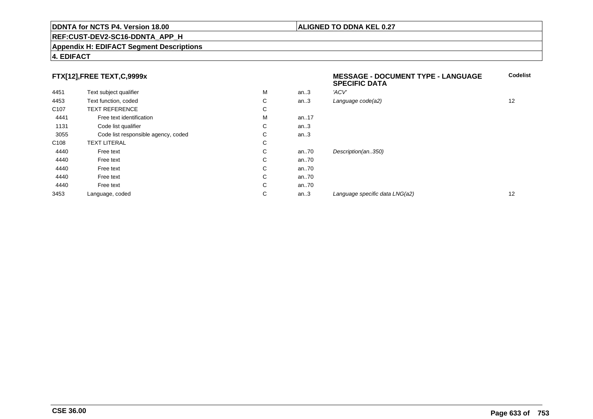#### **REF:CUST-DEV2-SC16-DDNTA\_APP\_H**

#### **Appendix H: EDIFACT Segment Descriptions**

#### **4. EDIFACT**

# **FTX[12],FREE TEXT,C,9999x**

| FTX[12],FREE TEXT,C,9999x |                                     |   |      | <b>MESSAGE - DOCUMENT TYPE - LANGUAGE</b><br><b>SPECIFIC DATA</b> | Codelist |
|---------------------------|-------------------------------------|---|------|-------------------------------------------------------------------|----------|
| 4451                      | Text subject qualifier              | м | an.3 | 'ACV'                                                             |          |
| 4453                      | Text function, coded                | C | an.3 | Language code(a2)                                                 | 12       |
| C <sub>107</sub>          | <b>TEXT REFERENCE</b>               | С |      |                                                                   |          |
| 4441                      | Free text identification            | м | an17 |                                                                   |          |
| 1131                      | Code list qualifier                 | С | an.3 |                                                                   |          |
| 3055                      | Code list responsible agency, coded | С | an.3 |                                                                   |          |
| C <sub>108</sub>          | <b>TEXT LITERAL</b>                 | C |      |                                                                   |          |
| 4440                      | Free text                           | C | an70 | Description(an350)                                                |          |
| 4440                      | Free text                           | C | an70 |                                                                   |          |
| 4440                      | Free text                           | C | an70 |                                                                   |          |
| 4440                      | Free text                           | C | an70 |                                                                   |          |
| 4440                      | Free text                           | C | an70 |                                                                   |          |
| 3453                      | Language, coded                     | С | an.3 | Language specific data LNG(a2)                                    | 12       |
|                           |                                     |   |      |                                                                   |          |

**Codelist**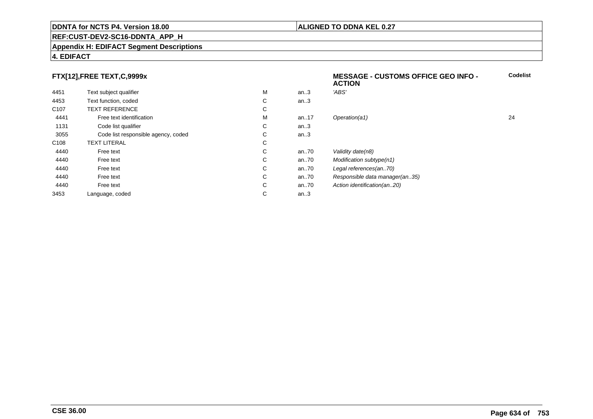#### **REF:CUST-DEV2-SC16-DDNTA\_APP\_H**

#### **Appendix H: EDIFACT Segment Descriptions**

# **4. EDIFACT**

# **FTX[12],FREE TEXT,C,9999x**

|                  |                                     |    |          | <b>ACTION</b>                  |    |
|------------------|-------------------------------------|----|----------|--------------------------------|----|
| 4451             | Text subject qualifier              | М  | an.3     | 'ABS'                          |    |
| 4453             | Text function, coded                | C  | an.3     |                                |    |
| C <sub>107</sub> | <b>TEXT REFERENCE</b>               | C  |          |                                |    |
| 4441             | Free text identification            | М  | an17     | Operation(a1)                  | 24 |
| 1131             | Code list qualifier                 | C  | an.3     |                                |    |
| 3055             | Code list responsible agency, coded | C  | an.3     |                                |    |
| C <sub>108</sub> | <b>TEXT LITERAL</b>                 | C  |          |                                |    |
| 4440             | Free text                           | C. | an70     | Validity date(n8)              |    |
| 4440             | Free text                           | C  | an $.70$ | Modification subtype(n1)       |    |
| 4440             | Free text                           | C  | an $.70$ | Legal references(an70)         |    |
| 4440             | Free text                           | C. | an70     | Responsible data manager(an35) |    |
| 4440             | Free text                           | C  | an70     | Action identification (an20)   |    |
| 3453             | Language, coded                     | C  | an.3     |                                |    |

**Codelist**

#### **ALIGNED TO DDNA KEL 0.27**

**MESSAGE - CUSTOMS OFFICE GEO INFO -**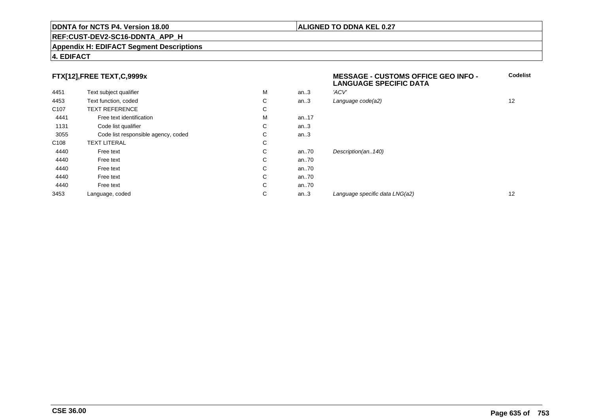#### **REF:CUST-DEV2-SC16-DDNTA\_APP\_H**

#### **Appendix H: EDIFACT Segment Descriptions**

#### **4. EDIFACT**

# **FTX[12],FREE TEXT,C,9999x**

|                  |                                     |   |         | LANGUAUL UI LUII IU DATA       |    |
|------------------|-------------------------------------|---|---------|--------------------------------|----|
| 4451             | Text subject qualifier              | M | an.3    | 'ACV'                          |    |
| 4453             | Text function, coded                | С | an.3    | Language code(a2)              | 12 |
| C <sub>107</sub> | <b>TEXT REFERENCE</b>               | С |         |                                |    |
| 4441             | Free text identification            | M | an17    |                                |    |
| 1131             | Code list qualifier                 | С | an $.3$ |                                |    |
| 3055             | Code list responsible agency, coded | С | an.3    |                                |    |
| C <sub>108</sub> | <b>TEXT LITERAL</b>                 | С |         |                                |    |
| 4440             | Free text                           | С | an70    | Description(an140)             |    |
| 4440             | Free text                           | С | an70    |                                |    |
| 4440             | Free text                           | С | an70    |                                |    |
| 4440             | Free text                           | С | an70    |                                |    |
| 4440             | Free text                           | С | an70    |                                |    |
| 3453             | Language, coded                     | С | an $.3$ | Language specific data LNG(a2) | 12 |
|                  |                                     |   |         |                                |    |

### **ALIGNED TO DDNA KEL 0.27**

**MESSAGE - CUSTOMS OFFICE GEO INFO -**

**LANGUAGE SPECIFIC DATA**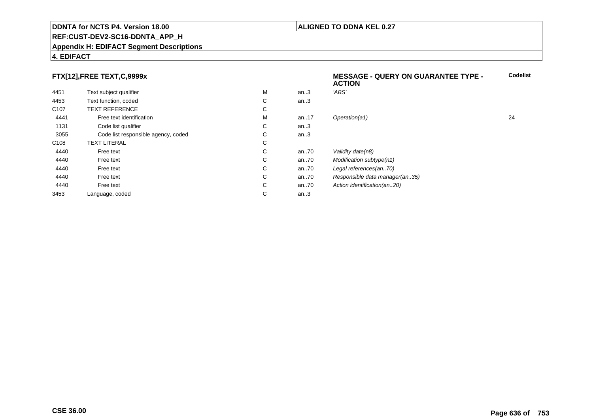#### **REF:CUST-DEV2-SC16-DDNTA\_APP\_H**

#### **Appendix H: EDIFACT Segment Descriptions**

### **4. EDIFACT**

# **FTX[12],FREE TEXT,C,9999x**

|                  | FTX[12],FREE TEXT,C,9999x           |   |          | <b>MESSAGE - QUERY ON GUARANTEE TYPE -</b><br><b>ACTION</b> |    |
|------------------|-------------------------------------|---|----------|-------------------------------------------------------------|----|
| 4451             | Text subject qualifier              | M | an.3     | 'ABS'                                                       |    |
| 4453             | Text function, coded                | C | an.3     |                                                             |    |
| C <sub>107</sub> | <b>TEXT REFERENCE</b>               | C |          |                                                             |    |
| 4441             | Free text identification            | M | an. $17$ | Operation(a1)                                               | 24 |
| 1131             | Code list qualifier                 | С | an.3     |                                                             |    |
| 3055             | Code list responsible agency, coded | С | an.3     |                                                             |    |
| C <sub>108</sub> | <b>TEXT LITERAL</b>                 | C |          |                                                             |    |
| 4440             | Free text                           | C | an70     | Validity date(n8)                                           |    |
| 4440             | Free text                           | C | an70     | Modification subtype(n1)                                    |    |
| 4440             | Free text                           | С | an70     | Legal references(an70)                                      |    |
| 4440             | Free text                           | С | an70     | Responsible data manager(an35)                              |    |
| 4440             | Free text                           | С | an70     | Action identification(an20)                                 |    |
| 3453             | Language, coded                     | C | an.3     |                                                             |    |
|                  |                                     |   |          |                                                             |    |

### **ALIGNED TO DDNA KEL 0.27**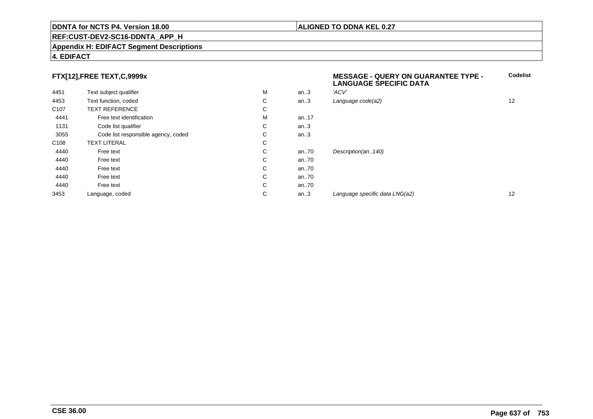#### **REF:CUST-DEV2-SC16-DDNTA\_APP\_H**

#### **Appendix H: EDIFACT Segment Descriptions**

### **4. EDIFACT**

# **FTX[12],FREE TEXT,C,9999x**

| . .              | $\overline{\phantom{a}}$            |   |      | <b>LANGUAGE SPECIFIC DATA</b>  |    |
|------------------|-------------------------------------|---|------|--------------------------------|----|
| 4451             | Text subject qualifier              | M | an.3 | 'ACV'                          |    |
| 4453             | Text function, coded                | С | an.3 | Language code(a2)              | 12 |
| C <sub>107</sub> | <b>TEXT REFERENCE</b>               | С |      |                                |    |
| 4441             | Free text identification            | M | an17 |                                |    |
| 1131             | Code list qualifier                 | С | an.3 |                                |    |
| 3055             | Code list responsible agency, coded | С | an.3 |                                |    |
| C108             | <b>TEXT LITERAL</b>                 | С |      |                                |    |
| 4440             | Free text                           | С | an70 | Description(an140)             |    |
| 4440             | Free text                           | С | an70 |                                |    |
| 4440             | Free text                           | С | an70 |                                |    |
| 4440             | Free text                           | С | an70 |                                |    |
| 4440             | Free text                           | С | an70 |                                |    |
| 3453             | Language, coded                     | С | an.3 | Language specific data LNG(a2) | 12 |
|                  |                                     |   |      |                                |    |

**Codelist**

**ALIGNED TO DDNA KEL 0.27**

**MESSAGE - QUERY ON GUARANTEE TYPE -**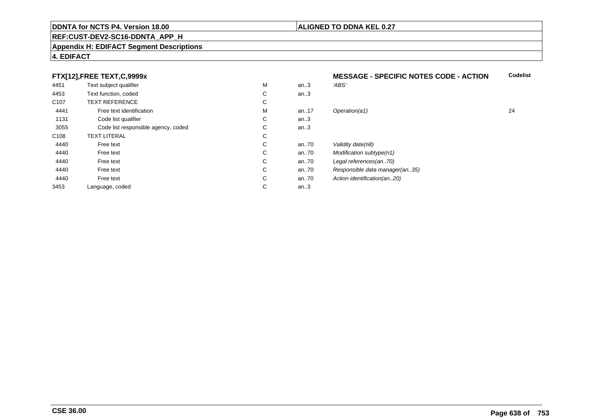#### **REF:CUST-DEV2-SC16-DDNTA\_APP\_H**

#### **Appendix H: EDIFACT Segment Descriptions**

### **4. EDIFACT**

# **FTX[12],FREE TEXT,C,9999x**

|                  | FTX[12], FREE TEXT, C, 9999x        |   |          | <b>MESSAGE - SPECIFIC NOTES CODE - ACTION</b> |    |
|------------------|-------------------------------------|---|----------|-----------------------------------------------|----|
| 4451             | Text subject qualifier              | M | an.3     | 'ABS'                                         |    |
| 4453             | Text function, coded                | С | an.3     |                                               |    |
| C <sub>107</sub> | <b>TEXT REFERENCE</b>               | С |          |                                               |    |
| 4441             | Free text identification            | M | an. $17$ | Operation(a1)                                 | 24 |
| 1131             | Code list qualifier                 | C | an.3     |                                               |    |
| 3055             | Code list responsible agency, coded | C | an.3     |                                               |    |
| C <sub>108</sub> | <b>TEXT LITERAL</b>                 | С |          |                                               |    |
| 4440             | Free text                           | С | an $.70$ | Validity date(n8)                             |    |
| 4440             | Free text                           | С | an70     | Modification subtype(n1)                      |    |
| 4440             | Free text                           | C | an70     | Legal references(an70)                        |    |
| 4440             | Free text                           | C | an70     | Responsible data manager(an35)                |    |
| 4440             | Free text                           | C | an70     | Action identification(an20)                   |    |
| 3453             | Language, coded                     | C | an.3     |                                               |    |

## **ALIGNED TO DDNA KEL 0.27**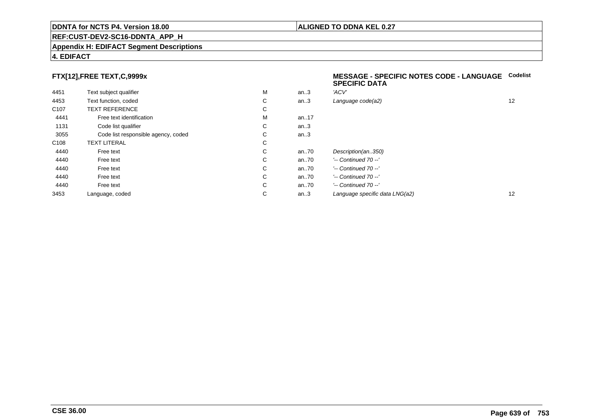#### **REF:CUST-DEV2-SC16-DDNTA\_APP\_H**

#### **Appendix H: EDIFACT Segment Descriptions**

### **4. EDIFACT**

# **FTX[12],FREE TEXT,C,9999x**

| 4451             | Text subject qualifier              | M | an.3  | 'ACV'                          |
|------------------|-------------------------------------|---|-------|--------------------------------|
| 4453             | Text function, coded                | C | an.3  | Language code(a2)              |
| C <sub>107</sub> | <b>TEXT REFERENCE</b>               | C |       |                                |
| 4441             | Free text identification            | M | an.17 |                                |
| 1131             | Code list qualifier                 | C | an.3  |                                |
| 3055             | Code list responsible agency, coded | С | an.3  |                                |
| C <sub>108</sub> | <b>TEXT LITERAL</b>                 | C |       |                                |
| 4440             | Free text                           | C | an70  | Description(an350)             |
| 4440             | Free text                           | C | an.70 | '-- Continued 70 --'           |
| 4440             | Free text                           | C | an.70 | $'-$ Continued 70 $-$ '        |
| 4440             | Free text                           | C | an.70 | $'-$ Continued 70 $-$ '        |
| 4440             | Free text                           | C | an.70 | '-- Continued 70 --'           |
| 3453             | Language, coded                     | C | an.3  | Language specific data LNG(a2) |

#### **MESSAGE - SPECIFIC NOTES CODE - LANGUAGECodelistSPECIFIC DATA**

| М | an.3 | 'ACV'                          |    |
|---|------|--------------------------------|----|
| С | an.3 | Language code(a2)              | 12 |
| С |      |                                |    |
| М | an17 |                                |    |
| С | an.3 |                                |    |
| С | an.3 |                                |    |
| С |      |                                |    |
| С | an70 | Description(an350)             |    |
| С | an70 | $'-$ Continued 70 $-$ '        |    |
| С | an70 | $'-$ Continued 70 $-$ '        |    |
| С | an70 | $'-$ Continued 70 $-$ '        |    |
| С | an70 | $'-$ Continued 70 $-$ '        |    |
| С | an.3 | Language specific data LNG(a2) | 12 |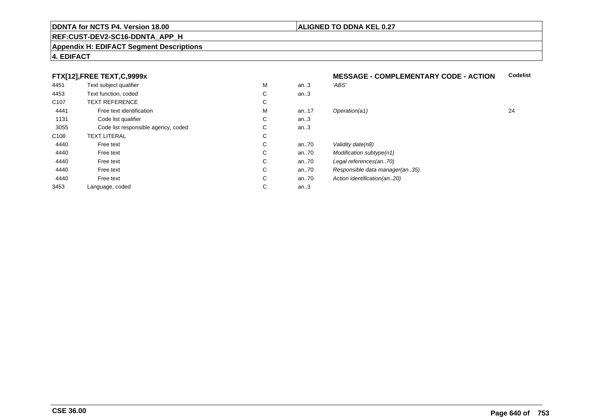#### **REF:CUST-DEV2-SC16-DDNTA\_APP\_H**

#### **Appendix H: EDIFACT Segment Descriptions**

### **4. EDIFACT**

# **FTX[12],FREE TEXT,C,9999x**

| 4451             | Text subject qualifier              | M | an.3     | 'ABS'                          |    |
|------------------|-------------------------------------|---|----------|--------------------------------|----|
| 4453             | Text function, coded                | С | an.3     |                                |    |
| C <sub>107</sub> | <b>TEXT REFERENCE</b>               | С |          |                                |    |
| 4441             | Free text identification            | M | an17     | Operation(a1)                  | 24 |
| 1131             | Code list qualifier                 | С | an.3     |                                |    |
| 3055             | Code list responsible agency, coded | С | an.3     |                                |    |
| C108             | <b>TEXT LITERAL</b>                 | С |          |                                |    |
| 4440             | Free text                           | С | an $.70$ | Validity date(n8)              |    |
| 4440             | Free text                           | С | an $.70$ | Modification subtype(n1)       |    |
| 4440             | Free text                           | С | an.70    | Legal references(an70)         |    |
| 4440             | Free text                           | С | an $.70$ | Responsible data manager(an35) |    |
| 4440             | Free text                           | С | an $.70$ | Action identification(an20)    |    |
| 3453             | Language, coded                     | С | an.3     |                                |    |
|                  |                                     |   |          |                                |    |

#### **MESSAGE - COMPLEMENTARY CODE - ACTIONCodelist**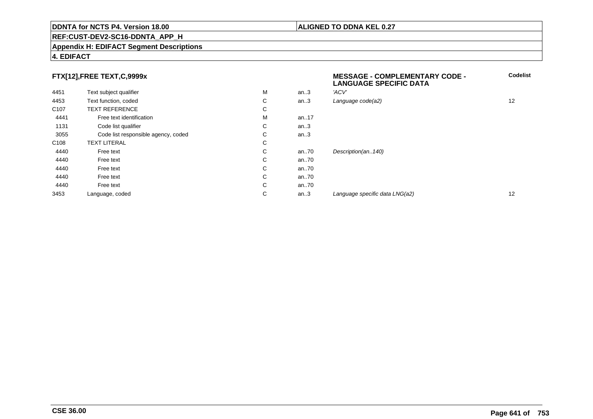#### **REF:CUST-DEV2-SC16-DDNTA\_APP\_H**

#### **Appendix H: EDIFACT Segment Descriptions**

### **4. EDIFACT**

# **FTX[12],FREE TEXT,C,9999x**

|                  | FTX[12],FREE TEXT,C,9999x           |   |      | <b>MESSAGE - COMPLEMENTARY CODE -</b><br><b>LANGUAGE SPECIFIC DATA</b> |    |
|------------------|-------------------------------------|---|------|------------------------------------------------------------------------|----|
| 4451             | Text subject qualifier              | M | an.3 | 'ACV'                                                                  |    |
| 4453             | Text function, coded                | С | an.3 | Language code(a2)                                                      | 12 |
| C <sub>107</sub> | <b>TEXT REFERENCE</b>               | С |      |                                                                        |    |
| 4441             | Free text identification            | M | an17 |                                                                        |    |
| 1131             | Code list qualifier                 | С | an.3 |                                                                        |    |
| 3055             | Code list responsible agency, coded | С | an.3 |                                                                        |    |
| C <sub>108</sub> | <b>TEXT LITERAL</b>                 | С |      |                                                                        |    |
| 4440             | Free text                           | С | an70 | Description(an140)                                                     |    |
| 4440             | Free text                           | С | an70 |                                                                        |    |
| 4440             | Free text                           | С | an70 |                                                                        |    |
| 4440             | Free text                           | С | an70 |                                                                        |    |
| 4440             | Free text                           | С | an70 |                                                                        |    |
| 3453             | Language, coded                     | С | an.3 | Language specific data LNG(a2)                                         | 12 |
|                  |                                     |   |      |                                                                        |    |

# **ALIGNED TO DDNA KEL 0.27**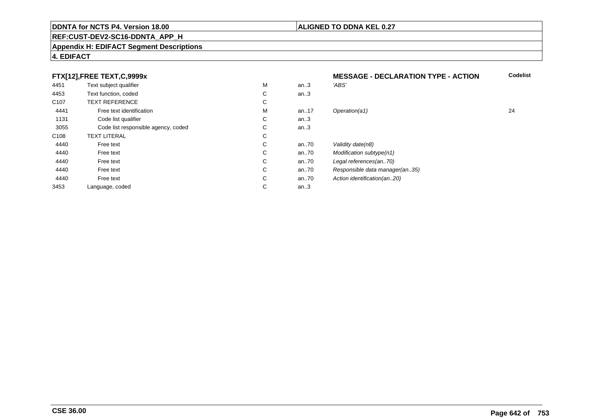#### **REF:CUST-DEV2-SC16-DDNTA\_APP\_H**

#### **Appendix H: EDIFACT Segment Descriptions**

## **4. EDIFACT**

# **FTX[12],FREE TEXT,C,9999x**

|                  | FTX[12],FREE TEXT,C,9999x           |   |      | <b>MESSAGE - DECLARATION TYPE - ACTION</b> |    |
|------------------|-------------------------------------|---|------|--------------------------------------------|----|
| 4451             | Text subject qualifier              | M | an.3 | 'ABS'                                      |    |
| 4453             | Text function, coded                | С | an.3 |                                            |    |
| C <sub>107</sub> | <b>TEXT REFERENCE</b>               | С |      |                                            |    |
| 4441             | Free text identification            | M | an17 | Operation(a1)                              | 24 |
| 1131             | Code list qualifier                 | С | an.3 |                                            |    |
| 3055             | Code list responsible agency, coded | С | an.3 |                                            |    |
| C <sub>108</sub> | <b>TEXT LITERAL</b>                 | С |      |                                            |    |
| 4440             | Free text                           | С | an70 | Validity date(n8)                          |    |
| 4440             | Free text                           | С | an70 | Modification subtype(n1)                   |    |
| 4440             | Free text                           | С | an70 | Legal references(an70)                     |    |
| 4440             | Free text                           | С | an70 | Responsible data manager(an35)             |    |
| 4440             | Free text                           | С | an70 | Action identification(an20)                |    |
| 3453             | Language, coded                     | С | an.3 |                                            |    |

# **ALIGNED TO DDNA KEL 0.27**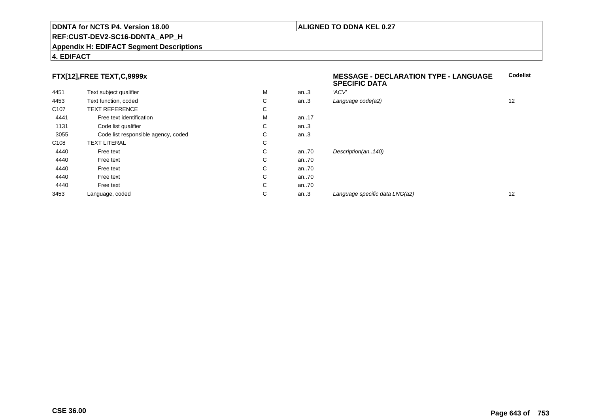#### **REF:CUST-DEV2-SC16-DDNTA\_APP\_H**

#### **Appendix H: EDIFACT Segment Descriptions**

### **4. EDIFACT**

# **FTX[12],FREE TEXT,C,9999x**

| $\ldots$         |                                     |   |       | <b>SPECIFIC DATA</b>           |    |  |
|------------------|-------------------------------------|---|-------|--------------------------------|----|--|
| 4451             | Text subject qualifier              | М | an.3  | 'ACV'                          |    |  |
| 4453             | Text function, coded                | С | an.3  | Language code(a2)              | 12 |  |
| C <sub>107</sub> | <b>TEXT REFERENCE</b>               | C |       |                                |    |  |
| 4441             | Free text identification            | М | an17  |                                |    |  |
| 1131             | Code list qualifier                 | С | an.3  |                                |    |  |
| 3055             | Code list responsible agency, coded | C | an.3  |                                |    |  |
| C108             | <b>TEXT LITERAL</b>                 | C |       |                                |    |  |
| 4440             | Free text                           | C | an.70 | Description(an140)             |    |  |
| 4440             | Free text                           | C | an70  |                                |    |  |
| 4440             | Free text                           | C | an70  |                                |    |  |
| 4440             | Free text                           | C | an70  |                                |    |  |
| 4440             | Free text                           | C | an70  |                                |    |  |
| 3453             | Language, coded                     | С | an.3  | Language specific data LNG(a2) | 12 |  |
|                  |                                     |   |       |                                |    |  |

**Codelist**

### **ALIGNED TO DDNA KEL 0.27**

**MESSAGE - DECLARATION TYPE - LANGUAGE**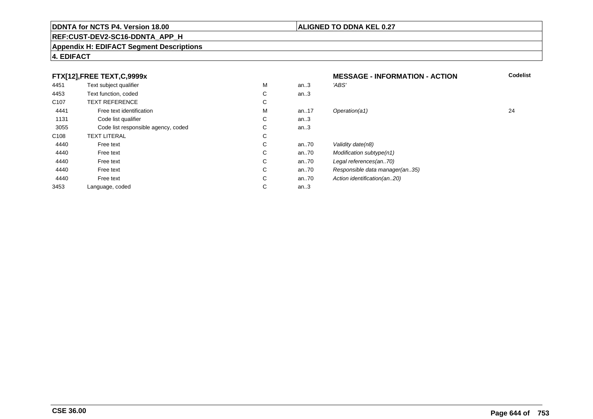#### **REF:CUST-DEV2-SC16-DDNTA\_APP\_H**

#### **Appendix H: EDIFACT Segment Descriptions**

### **4. EDIFACT**

#### **FTX[12],FREE TEXT,C,9999xMESSAGE - INFORMATION - ACTION**<br>M an..3 *'ABS'*  **Codelist** 4451Text subject qualifier M<br>
Text function, coded C M an..3 *'ABS'*<br>-4453Text function, coded C<br>
TEXT REFERENCE an..3 C107 TEXT REFERENCEE C  $\mathsf{M}% _{T}=\mathsf{M}_{T}\!\left( a,b\right) ,\ \mathsf{M}_{T}=\mathsf{M}_{T}$ 4441Free text identification M<br>Code list qualifier development of the code list qualifier development of  $\mathbf C$ M an..17 Operation(a1) 24 1131Code list qualifier C<br>Code list responsible agency, coded C an..3 3055Code list responsible agency, coded C<br>
XT LITERAL C an..3 C108TEXT LITERAL<br>Free text  $\mathbf C$ 44400 Free text C C an..70 Validity date(n8)<br>C an..70 Modification subt 44400 Free text C C an..70 Modification subtype(n1)<br>C an..70 Legal references(an..70) 44400 Free text C C an..70 Legal references(an..70)<br>C an..70 Responsible data manag 44400 Free text C C an..70 Responsible data manager(an..35)<br>C an..70 Action identification(an..20) 44400 Free text C C an..70 Action identification(an..20)<br>C an..3 3453Language, coded an..3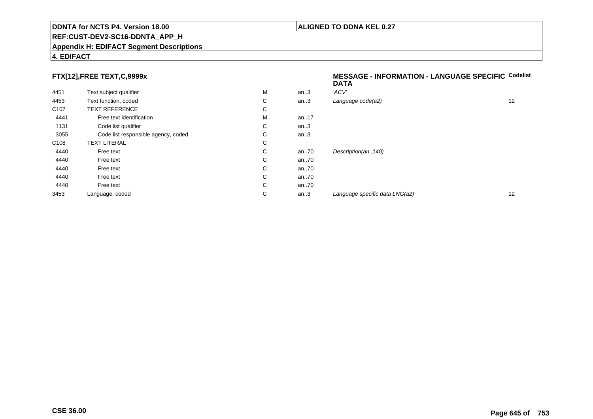#### **REF:CUST-DEV2-SC16-DDNTA\_APP\_H**

#### **Appendix H: EDIFACT Segment Descriptions**

# **4. EDIFACT**

# **FTX[12],FREE TEXT,C,9999x**

| 4451             | Text subject qualifier              | M | an.3     | 'ACV'                  |
|------------------|-------------------------------------|---|----------|------------------------|
| 4453             | Text function, coded                | С | an.3     | Language code(a2)      |
| C <sub>107</sub> | <b>TEXT REFERENCE</b>               | С |          |                        |
| 4441             | Free text identification            | M | an. $17$ |                        |
| 1131             | Code list qualifier                 | С | an.3     |                        |
| 3055             | Code list responsible agency, coded | С | an.3     |                        |
| C <sub>108</sub> | <b>TEXT LITERAL</b>                 | С |          |                        |
| 4440             | Free text                           | С | an70     | Description(an140)     |
| 4440             | Free text                           | С | an70     |                        |
| 4440             | Free text                           | С | an70     |                        |
| 4440             | Free text                           | С | an.70    |                        |
| 4440             | Free text                           | С | an.70    |                        |
| 3453             | Language, coded                     | С | an.3     | Language specific data |

#### **MESSAGE - INFORMATION - LANGUAGE SPECIFICCodelistDATA**

| М | an.3    | 'ACV'                          |    |
|---|---------|--------------------------------|----|
| С | an.3    | Language code(a2)              | 12 |
| С |         |                                |    |
| М | an17    |                                |    |
| С | an $.3$ |                                |    |
| С | an.3    |                                |    |
| С |         |                                |    |
| С | an70    | Description(an140)             |    |
| С | an70    |                                |    |
| С | an70    |                                |    |
| С | an70    |                                |    |
| С | an70    |                                |    |
| С | an.3    | Language specific data LNG(a2) | 12 |
|   |         |                                |    |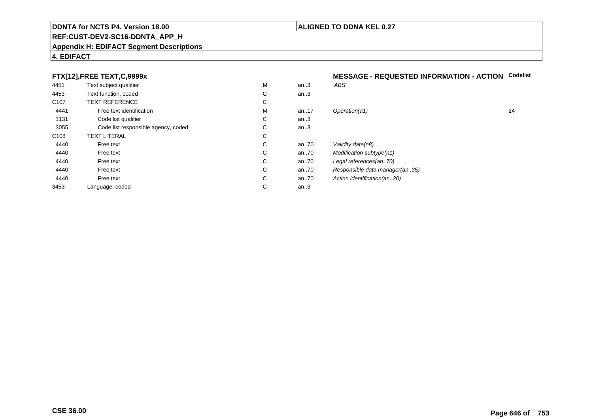#### **REF:CUST-DEV2-SC16-DDNTA\_APP\_H**

#### **Appendix H: EDIFACT Segment Descriptions**

### **4. EDIFACT**

# **FTX[12],FREE TEXT,C,9999x**

| 4451             | Text subject qualifier              | M | an.3  | 'ABS'                          |
|------------------|-------------------------------------|---|-------|--------------------------------|
| 4453             | Text function, coded                | C | an.3  |                                |
| C <sub>107</sub> | <b>TEXT REFERENCE</b>               | С |       |                                |
| 4441             | Free text identification            | M | an.17 | Operation(a1)                  |
| 1131             | Code list qualifier                 | C | an.3  |                                |
| 3055             | Code list responsible agency, coded | C | an.3  |                                |
| C <sub>108</sub> | <b>TEXT LITERAL</b>                 | С |       |                                |
| 4440             | Free text                           | C | an70  | Validity date(n8)              |
| 4440             | Free text                           | C | an70  | Modification subtype(n1)       |
| 4440             | Free text                           | C | an70  | Legal references(an70)         |
| 4440             | Free text                           | C | an70  | Responsible data manager(an35) |
| 4440             | Free text                           | C | an70  | Action identification(an20)    |
| 3453             | Language, coded                     | С | an.3  |                                |
|                  |                                     |   |       |                                |

# **MESSAGE - REQUESTED INFORMATION - ACTION Codelist**

| М | an.3 | 'ABS'                          |    |
|---|------|--------------------------------|----|
| С | an.3 |                                |    |
| С |      |                                |    |
| М | an17 | Operation(a1)                  | 24 |
| С | an.3 |                                |    |
| С | an.3 |                                |    |
| С |      |                                |    |
| С | an70 | Validity date(n8)              |    |
| С | an70 | Modification subtype(n1)       |    |
| С | an70 | Legal references(an70)         |    |
| С | an70 | Responsible data manager(an35) |    |
| С | an70 | Action identification(an20)    |    |
| С | an.3 |                                |    |
|   |      |                                |    |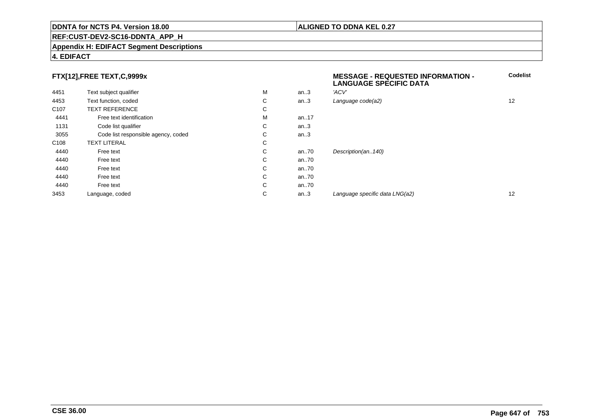#### **REF:CUST-DEV2-SC16-DDNTA\_APP\_H**

#### **Appendix H: EDIFACT Segment Descriptions**

### **4. EDIFACT**

# **FTX[12],FREE TEXT,C,9999x**

|                  | FTX[12],FREE TEXT,C,9999x           |   |      | <b>MESSAGE - REQUESTED INFORMATION -</b><br><b>LANGUAGE SPECIFIC DATA</b> | <b>C</b> |
|------------------|-------------------------------------|---|------|---------------------------------------------------------------------------|----------|
| 4451             | Text subject qualifier              | M | an.3 | 'ACV'                                                                     |          |
| 4453             | Text function, coded                | С | an.3 | Language code(a2)                                                         | 12       |
| C <sub>107</sub> | <b>TEXT REFERENCE</b>               | С |      |                                                                           |          |
| 4441             | Free text identification            | M | an17 |                                                                           |          |
| 1131             | Code list qualifier                 | С | an.3 |                                                                           |          |
| 3055             | Code list responsible agency, coded | С | an.3 |                                                                           |          |
| C <sub>108</sub> | <b>TEXT LITERAL</b>                 | С |      |                                                                           |          |
| 4440             | Free text                           | С | an70 | Description(an140)                                                        |          |
| 4440             | Free text                           | С | an70 |                                                                           |          |
| 4440             | Free text                           | С | an70 |                                                                           |          |
| 4440             | Free text                           | С | an70 |                                                                           |          |
| 4440             | Free text                           | С | an70 |                                                                           |          |
| 3453             | Language, coded                     | С | an.3 | Language specific data LNG(a2)                                            | 12       |
|                  |                                     |   |      |                                                                           |          |

**Codelist**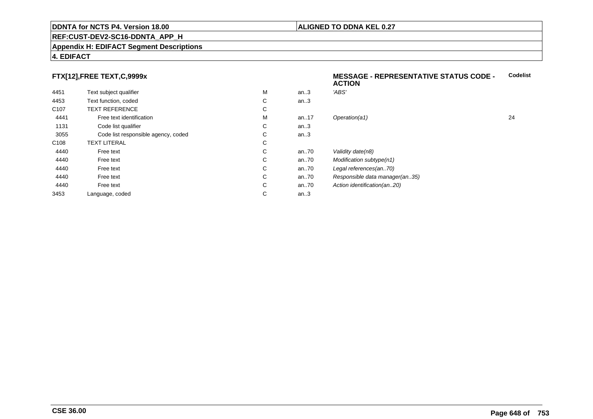#### **REF:CUST-DEV2-SC16-DDNTA\_APP\_H**

#### **Appendix H: EDIFACT Segment Descriptions**

# **4. EDIFACT**

# **FTX[12],FREE TEXT,C,9999x**

| 4451             | Text subject qualifier              | M | an.3     | 'ABS'                       |
|------------------|-------------------------------------|---|----------|-----------------------------|
| 4453             | Text function, coded                | C | an.3     |                             |
| C <sub>107</sub> | <b>TEXT REFERENCE</b>               | С |          |                             |
| 4441             | Free text identification            | M | an. $17$ | Operation(a1)               |
| 1131             | Code list qualifier                 | C | an.3     |                             |
| 3055             | Code list responsible agency, coded | C | an.3     |                             |
| C <sub>108</sub> | <b>TEXT LITERAL</b>                 | С |          |                             |
| 4440             | Free text                           | C | an70     | Validity date(n8)           |
| 4440             | Free text                           | C | an70     | Modification subtype(n1)    |
| 4440             | Free text                           | C | an70     | Legal references(an70)      |
| 4440             | Free text                           | C | an.70    | Responsible data manager    |
| 4440             | Free text                           | C | an70     | Action identification(an20) |
| 3453             | Language, coded                     | С | an.3     |                             |

#### **MESSAGE - REPRESENTATIVE STATUS CODE - ACTIONCodelist**

| м | an.3 | 'ABS'                          |    |
|---|------|--------------------------------|----|
| С | an.3 |                                |    |
| С |      |                                |    |
| м | an17 | Operation(a1)                  | 24 |
| С | an.3 |                                |    |
| С | an.3 |                                |    |
| С |      |                                |    |
| С | an70 | Validity date(n8)              |    |
| С | an70 | Modification subtype(n1)       |    |
| С | an70 | Legal references(an70)         |    |
| С | an70 | Responsible data manager(an35) |    |
| С | an70 | Action identification(an20)    |    |
| С | an.3 |                                |    |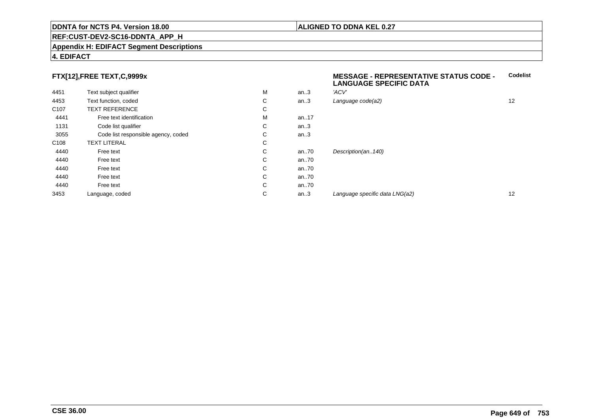#### **REF:CUST-DEV2-SC16-DDNTA\_APP\_H**

#### **Appendix H: EDIFACT Segment Descriptions**

#### **4. EDIFACT**

## **FTX[12],FREE TEXT,C,9999x**

| 4451             | Text subject qualifier              | M | an.3 | 'ACV' |
|------------------|-------------------------------------|---|------|-------|
| 4453             | Text function, coded                | С | an.3 | Langu |
| C <sub>107</sub> | <b>TEXT REFERENCE</b>               | C |      |       |
| 4441             | Free text identification            | M | an17 |       |
| 1131             | Code list qualifier                 | C | an.3 |       |
| 3055             | Code list responsible agency, coded | C | an.3 |       |
| C <sub>108</sub> | <b>TEXT LITERAL</b>                 | C |      |       |
| 4440             | Free text                           | C | an70 | Desci |
| 4440             | Free text                           | C | an70 |       |
| 4440             | Free text                           | C | an70 |       |
| 4440             | Free text                           | C | an70 |       |
| 4440             | Free text                           | C | an70 |       |
| 3453             | Language, coded                     | C | an.3 | Langı |
|                  |                                     |   |      |       |

#### **MESSAGE - REPRESENTATIVE STATUS CODE - LANGUAGE SPECIFIC DATACodelist**

| М | an.3 | 'ACV'                          |    |
|---|------|--------------------------------|----|
| С | an.3 | Language code(a2)              | 12 |
| С |      |                                |    |
| M | an17 |                                |    |
| С | an.3 |                                |    |
| С | an.3 |                                |    |
| С |      |                                |    |
| С | an70 | Description(an140)             |    |
| С | an70 |                                |    |
| С | an70 |                                |    |
| С | an70 |                                |    |
| С | an70 |                                |    |
| С | an.3 | Language specific data LNG(a2) | 12 |
|   |      |                                |    |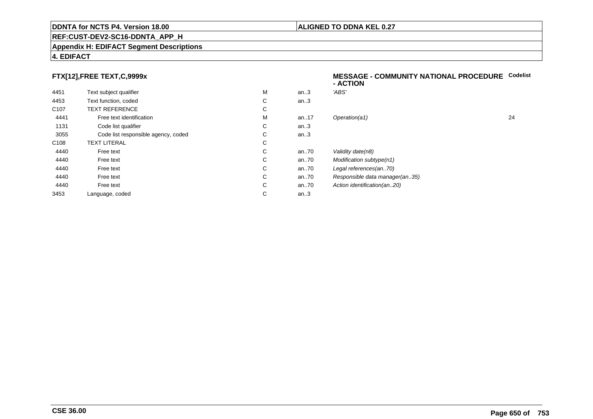#### **REF:CUST-DEV2-SC16-DDNTA\_APP\_H**

#### **Appendix H: EDIFACT Segment Descriptions**

## **4. EDIFACT**

## **FTX[12],FREE TEXT,C,9999x**

| 4451             | Text subject qualifier              | M | an.3  | 'ABS'  |
|------------------|-------------------------------------|---|-------|--------|
| 4453             | Text function, coded                | С | an.3  |        |
| C <sub>107</sub> | <b>TEXT REFERENCE</b>               | С |       |        |
| 4441             | Free text identification            | M | an.17 | Opera  |
| 1131             | Code list qualifier                 | С | an.3  |        |
| 3055             | Code list responsible agency, coded | С | an.3  |        |
| C <sub>108</sub> | <b>TEXT LITERAL</b>                 | С |       |        |
| 4440             | Free text                           | C | an.70 | Validi |
| 4440             | Free text                           | C | an70  | Modit  |
| 4440             | Free text                           | C | an70  | Legal  |
| 4440             | Free text                           | С | an70  | Resp   |
| 4440             | Free text                           | С | an70  | Action |
| 3453             | Language, coded                     | С | an.3  |        |
|                  |                                     |   |       |        |

#### **MESSAGE - COMMUNITY NATIONAL PROCEDURECodelist- ACTION**

| М | an.3 | 'ABS'                          |    |
|---|------|--------------------------------|----|
| С | an.3 |                                |    |
| С |      |                                |    |
| М | an17 | Operation(a1)                  | 24 |
| С | an.3 |                                |    |
| С | an.3 |                                |    |
| С |      |                                |    |
| С | an70 | Validity date(n8)              |    |
| С | an70 | Modification subtype(n1)       |    |
| С | an70 | Legal references(an70)         |    |
| С | an70 | Responsible data manager(an35) |    |
| С | an70 | Action identification(an20)    |    |
| С | an.3 |                                |    |
|   |      |                                |    |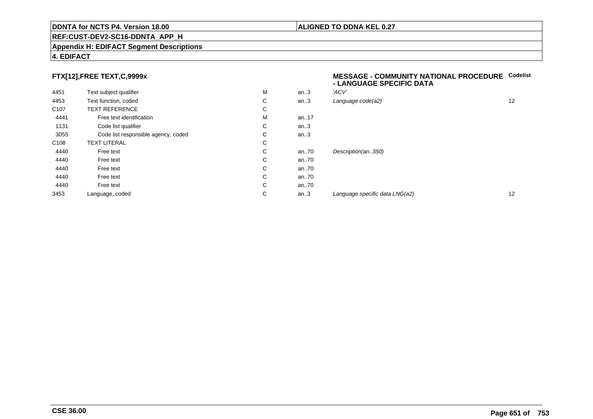#### **REF:CUST-DEV2-SC16-DDNTA\_APP\_H**

#### **Appendix H: EDIFACT Segment Descriptions**

#### **4. EDIFACT**

## **FTX[12],FREE TEXT,C,9999x**

| 4451             | Text subject qualifier              | M | an.3 | 'ACV' |
|------------------|-------------------------------------|---|------|-------|
| 4453             | Text function, coded                | С | an.3 | Langu |
| C <sub>107</sub> | <b>TEXT REFERENCE</b>               | C |      |       |
| 4441             | Free text identification            | M | an17 |       |
| 1131             | Code list qualifier                 | С | an.3 |       |
| 3055             | Code list responsible agency, coded | С | an.3 |       |
| C <sub>108</sub> | <b>TEXT LITERAL</b>                 | C |      |       |
| 4440             | Free text                           | C | an70 | Desci |
| 4440             | Free text                           | C | an70 |       |
| 4440             | Free text                           | С | an70 |       |
| 4440             | Free text                           | С | an70 |       |
| 4440             | Free text                           | C | an70 |       |
| 3453             | Language, coded                     | С | an.3 | Langı |
|                  |                                     |   |      |       |

#### **MESSAGE - COMMUNITY NATIONAL PROCEDURECodelist - LANGUAGE SPECIFIC DATA**

| М | an.3 | 'ACV'                          |    |
|---|------|--------------------------------|----|
| С | an.3 | Language code(a2)              | 12 |
| С |      |                                |    |
| М | an17 |                                |    |
| С | an.3 |                                |    |
| С | an.3 |                                |    |
| С |      |                                |    |
| С | an70 | Description(an350)             |    |
| С | an70 |                                |    |
| С | an70 |                                |    |
| С | an70 |                                |    |
| С | an70 |                                |    |
| С | an.3 | Language specific data LNG(a2) | 12 |
|   |      |                                |    |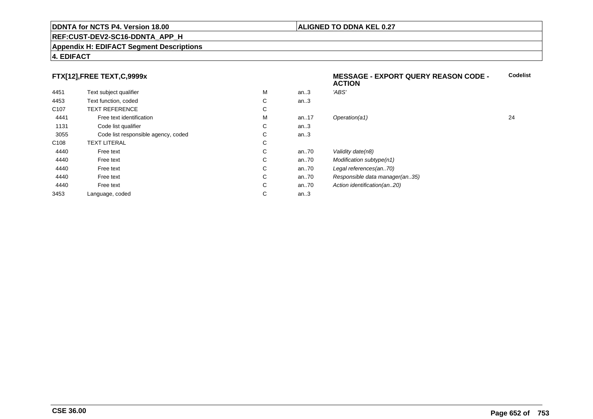#### **REF:CUST-DEV2-SC16-DDNTA\_APP\_H**

#### **Appendix H: EDIFACT Segment Descriptions**

#### **4. EDIFACT**

## **FTX[12],FREE TEXT,C,9999x**

|                  |                                     |   |      | 6911VII                        |    |
|------------------|-------------------------------------|---|------|--------------------------------|----|
| 4451             | Text subject qualifier              | M | an.3 | 'ABS'                          |    |
| 4453             | Text function, coded                | С | an.3 |                                |    |
| C <sub>107</sub> | <b>TEXT REFERENCE</b>               | С |      |                                |    |
| 4441             | Free text identification            | M | an17 | Operation(a1)                  | 24 |
| 1131             | Code list qualifier                 | С | an.3 |                                |    |
| 3055             | Code list responsible agency, coded | С | an.3 |                                |    |
| C <sub>108</sub> | TEXT LITERAL                        | С |      |                                |    |
| 4440             | Free text                           | С | an70 | Validity date(n8)              |    |
| 4440             | Free text                           | С | an70 | Modification subtype(n1)       |    |
| 4440             | Free text                           | С | an70 | Legal references(an70)         |    |
| 4440             | Free text                           | С | an70 | Responsible data manager(an35) |    |
| 4440             | Free text                           | С | an70 | Action identification(an20)    |    |
| 3453             | Language, coded                     | С | an.3 |                                |    |
|                  |                                     |   |      |                                |    |

#### **ALIGNED TO DDNA KEL 0.27**

**ACTION**

**MESSAGE - EXPORT QUERY REASON CODE -**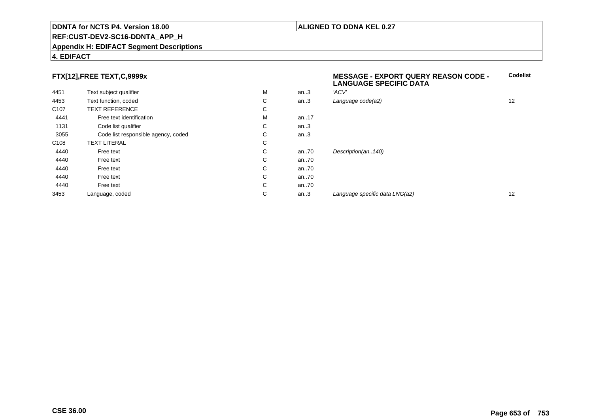#### **REF:CUST-DEV2-SC16-DDNTA\_APP\_H**

#### **Appendix H: EDIFACT Segment Descriptions**

#### **4. EDIFACT**

## **FTX[12],FREE TEXT,C,9999x**

| 4451             | Text subject qualifier              | M | an.3  | 'ACV'               |
|------------------|-------------------------------------|---|-------|---------------------|
| 4453             | Text function, coded                | С | an.3  | Language code(a2)   |
| C <sub>107</sub> | <b>TEXT REFERENCE</b>               | С |       |                     |
| 4441             | Free text identification            | М | an.17 |                     |
| 1131             | Code list qualifier                 | С | an.3  |                     |
| 3055             | Code list responsible agency, coded | С | an.3  |                     |
| C <sub>108</sub> | <b>TEXT LITERAL</b>                 | С |       |                     |
| 4440             | Free text                           | С | an70  | Description(an140)  |
| 4440             | Free text                           | С | an70  |                     |
| 4440             | Free text                           | С | an70  |                     |
| 4440             | Free text                           | С | an.70 |                     |
| 4440             | Free text                           | С | an.70 |                     |
| 3453             | Language, coded                     | С | an.3  | Language specific d |
|                  |                                     |   |       |                     |

# **MESSAGE - EXPORT QUERY REASON CODE - LANGUAGE SPECIFIC DATACodelist** $C$  an..3 Language code(a2) and  $12$

#### an..3 Language specific data LNG(a2) <sup>12</sup>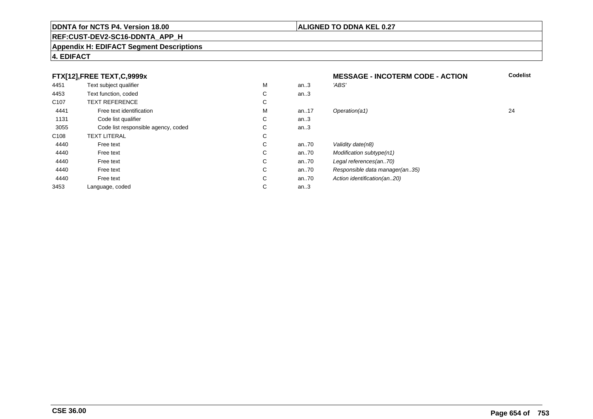#### **REF:CUST-DEV2-SC16-DDNTA\_APP\_H**

#### **Appendix H: EDIFACT Segment Descriptions**

#### **4. EDIFACT**

#### **FTX[12],FREE TEXT,C,9999xMESSAGE - INCOTERM CODE - ACTION**<br>M an..3 *'ABS'*  **Codelist** 4451Text subject qualifier M<br>
Text function, coded C M an..3 *'ABS'*<br>-4453Text function, coded C<br>
TEXT REFERENCE an..3 C107 TEXT REFERENCEE C  $\mathsf{M}% _{T}=\mathsf{M}_{T}\!\left( a,b\right) ,\ \mathsf{M}_{T}=\mathsf{M}_{T}$ 4441Free text identification M<br>Code list qualifier development of the code list qualifier development of  $\mathbf C$ M an..17 Operation(a1) 24 1131Code list qualifier C<br>Code list responsible agency, coded C an..3 3055Code list responsible agency, coded C<br>
XT LITERAL C an..3 C108TEXT LITERAL<br>Free text  $\mathbf C$ 44400 Free text C C an..70 Validity date(n8)<br>C an..70 Modification subt 44400 Free text C C an..70 Modification subtype(n1)<br>C an..70 Legal references(an..70) 44400 Free text C C an..70 Legal references(an..70)<br>C an..70 Responsible data manag 44400 Free text C C an..70 Responsible data manager(an..35)<br>C an..70 Action identification(an..20) 44400 Free text C C an..70 Action identification(an..20)<br>C an..3 3453Language, coded an..3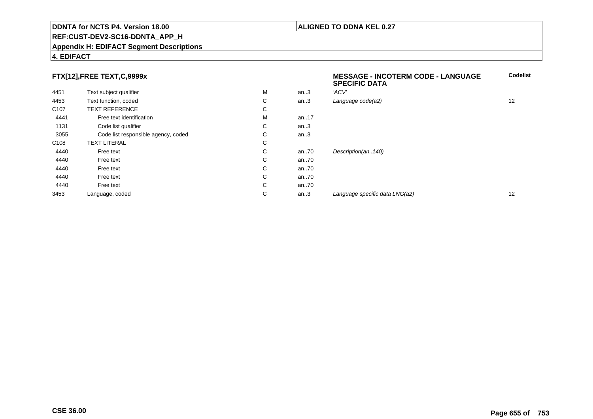#### **REF:CUST-DEV2-SC16-DDNTA\_APP\_H**

#### **Appendix H: EDIFACT Segment Descriptions**

#### **4. EDIFACT**

## **FTX[12],FREE TEXT,C,9999x**

| FTX[12],FREE TEXT,C,9999x |                                     |   | <b>MESSAGE - INCOTERM CODE - LANGUAGE</b><br><b>SPECIFIC DATA</b> | Codelist                       |    |
|---------------------------|-------------------------------------|---|-------------------------------------------------------------------|--------------------------------|----|
| 4451                      | Text subject qualifier              | M | an.3                                                              | 'ACV'                          |    |
| 4453                      | Text function, coded                | С | an.3                                                              | Language code(a2)              | 12 |
| C <sub>107</sub>          | <b>TEXT REFERENCE</b>               | С |                                                                   |                                |    |
| 4441                      | Free text identification            | M | an17                                                              |                                |    |
| 1131                      | Code list qualifier                 | С | an.3                                                              |                                |    |
| 3055                      | Code list responsible agency, coded | С | an.3                                                              |                                |    |
| C <sub>108</sub>          | <b>TEXT LITERAL</b>                 | С |                                                                   |                                |    |
| 4440                      | Free text                           | С | an70                                                              | Description(an140)             |    |
| 4440                      | Free text                           | С | an70                                                              |                                |    |
| 4440                      | Free text                           | С | an70                                                              |                                |    |
| 4440                      | Free text                           | С | an70                                                              |                                |    |
| 4440                      | Free text                           | С | an70                                                              |                                |    |
| 3453                      | Language, coded                     | C | an.3                                                              | Language specific data LNG(a2) | 12 |
|                           |                                     |   |                                                                   |                                |    |

**Codelist**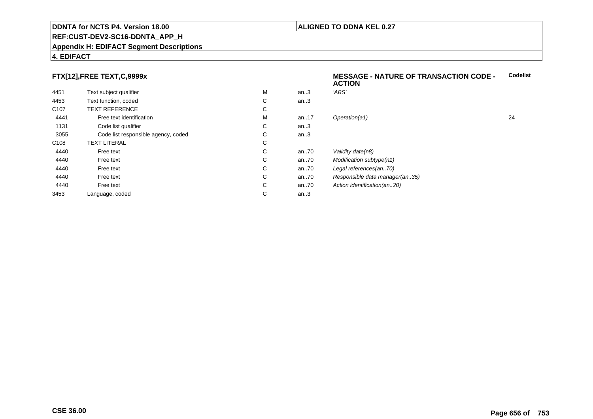#### **REF:CUST-DEV2-SC16-DDNTA\_APP\_H**

#### **Appendix H: EDIFACT Segment Descriptions**

#### **4. EDIFACT**

## **FTX[12],FREE TEXT,C,9999x**

| 4451             | Text subject qualifier              | M | an.3  | 'ABS'                   |
|------------------|-------------------------------------|---|-------|-------------------------|
| 4453             | Text function, coded                | С | an.3  |                         |
| C <sub>107</sub> | <b>TEXT REFERENCE</b>               | С |       |                         |
| 4441             | Free text identification            | M | an.17 | Operation(a1)           |
| 1131             | Code list qualifier                 | С | an.3  |                         |
| 3055             | Code list responsible agency, coded | С | an.3  |                         |
| C <sub>108</sub> | <b>TEXT LITERAL</b>                 | С |       |                         |
| 4440             | Free text                           | С | an70  | Validity date(n8)       |
| 4440             | Free text                           | C | an70  | <b>Modification sub</b> |
| 4440             | Free text                           | С | an70  | Legal references        |
| 4440             | Free text                           | С | an.70 | Responsible dat         |
| 4440             | Free text                           | С | an70  | Action identificat      |
| 3453             | Language, coded                     | С | an.3  |                         |
|                  |                                     |   |       |                         |

#### **MESSAGE - NATURE OF TRANSACTION CODE - ACTIONCodelist**

M an..17 Operation(a1) 24 an..70 Modification subtype(n1) ances(an..70) data manager(an..35) tification(an..20)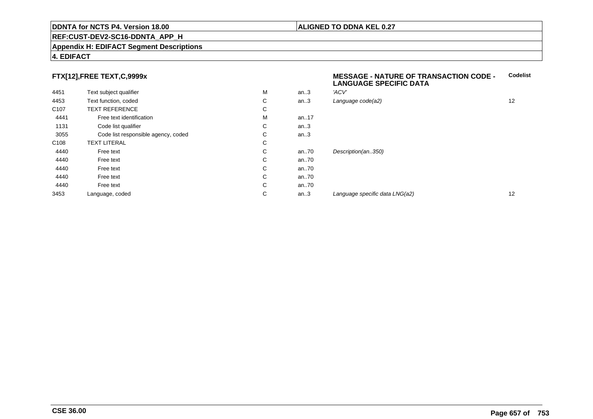#### **REF:CUST-DEV2-SC16-DDNTA\_APP\_H**

#### **Appendix H: EDIFACT Segment Descriptions**

#### **4. EDIFACT**

#### **FTX[12],FREE TEXT,C,9999x**

| 4451             | Text subject qualifier              | M | an.3 | 'ACV'               |
|------------------|-------------------------------------|---|------|---------------------|
| 4453             | Text function, coded                | С | an.3 | Language code(a2)   |
| C <sub>107</sub> | <b>TEXT REFERENCE</b>               | С |      |                     |
| 4441             | Free text identification            | M | an17 |                     |
| 1131             | Code list qualifier                 | С | an.3 |                     |
| 3055             | Code list responsible agency, coded | С | an.3 |                     |
| C <sub>108</sub> | <b>TEXT LITERAL</b>                 | С |      |                     |
| 4440             | Free text                           | C | an70 | Description(an350)  |
| 4440             | Free text                           | C | an70 |                     |
| 4440             | Free text                           | C | an70 |                     |
| 4440             | Free text                           | C | an70 |                     |
| 4440             | Free text                           | C | an70 |                     |
| 3453             | Language, coded                     | С | an.3 | Language specific d |

#### **MESSAGE - NATURE OF TRANSACTION CODE - LANGUAGE SPECIFIC DATACodelist**

| М | an.3 | 'ACV'                          |    |
|---|------|--------------------------------|----|
| С | an.3 | Language code(a2)              | 12 |
| С |      |                                |    |
| М | an17 |                                |    |
| С | an.3 |                                |    |
| С | an.3 |                                |    |
| С |      |                                |    |
| С | an70 | Description(an350)             |    |
| С | an70 |                                |    |
| С | an70 |                                |    |
| С | an70 |                                |    |
| С | an70 |                                |    |
| С | an.3 | Language specific data LNG(a2) | 12 |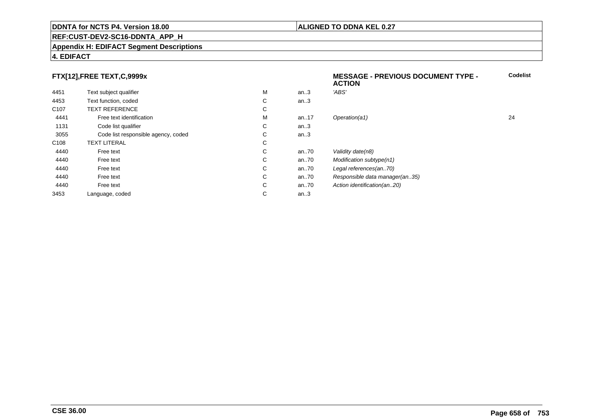#### **REF:CUST-DEV2-SC16-DDNTA\_APP\_H**

#### **Appendix H: EDIFACT Segment Descriptions**

## **4. EDIFACT**

## **FTX[12],FREE TEXT,C,9999x**

|                  |                                     |   |      | <b>ACTION</b>                  |    |
|------------------|-------------------------------------|---|------|--------------------------------|----|
| 4451             | Text subject qualifier              | М | an.3 | 'ABS'                          |    |
| 4453             | Text function, coded                | C | an.3 |                                |    |
| C <sub>107</sub> | <b>TEXT REFERENCE</b>               | С |      |                                |    |
| 4441             | Free text identification            | М | an17 | Operation(a1)                  | 24 |
| 1131             | Code list qualifier                 | C | an.3 |                                |    |
| 3055             | Code list responsible agency, coded | C | an.3 |                                |    |
| C <sub>108</sub> | <b>TEXT LITERAL</b>                 | C |      |                                |    |
| 4440             | Free text                           | C | an70 | Validity date(n8)              |    |
| 4440             | Free text                           | C | an70 | Modification subtype(n1)       |    |
| 4440             | Free text                           | C | an70 | Legal references(an70)         |    |
| 4440             | Free text                           | C | an70 | Responsible data manager(an35) |    |
| 4440             | Free text                           | C | an70 | Action identification(an20)    |    |
| 3453             | Language, coded                     | С | an.3 |                                |    |

**Codelist**

#### **ALIGNED TO DDNA KEL 0.27**

**MESSAGE - PREVIOUS DOCUMENT TYPE -**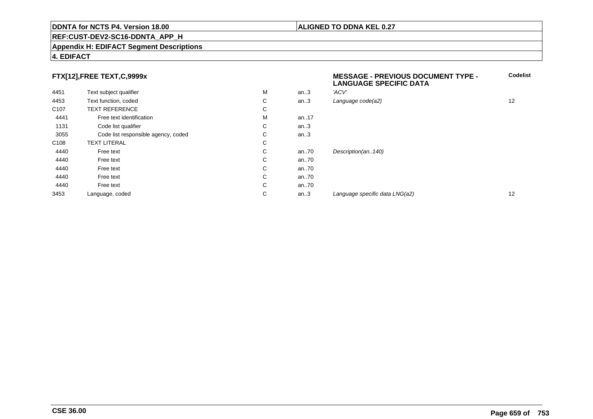#### **REF:CUST-DEV2-SC16-DDNTA\_APP\_H**

#### **Appendix H: EDIFACT Segment Descriptions**

#### **4. EDIFACT**

## **FTX[12],FREE TEXT,C,9999x**

|                  | FTX[12],FREE TEXT,C,9999x           |   |      | <b>MESSAGE - PREVIOUS DOCUMENT TYPE -</b><br><b>LANGUAGE SPECIFIC DATA</b> |    |
|------------------|-------------------------------------|---|------|----------------------------------------------------------------------------|----|
| 4451             | Text subject qualifier              | M | an.3 | 'ACV'                                                                      |    |
| 4453             | Text function, coded                | С | an.3 | Language code(a2)                                                          | 12 |
| C <sub>107</sub> | <b>TEXT REFERENCE</b>               | С |      |                                                                            |    |
| 4441             | Free text identification            | M | an17 |                                                                            |    |
| 1131             | Code list qualifier                 | С | an.3 |                                                                            |    |
| 3055             | Code list responsible agency, coded | С | an.3 |                                                                            |    |
| C <sub>108</sub> | <b>TEXT LITERAL</b>                 | С |      |                                                                            |    |
| 4440             | Free text                           | С | an70 | Description(an140)                                                         |    |
| 4440             | Free text                           | С | an70 |                                                                            |    |
| 4440             | Free text                           | С | an70 |                                                                            |    |
| 4440             | Free text                           | С | an70 |                                                                            |    |
| 4440             | Free text                           | С | an70 |                                                                            |    |
| 3453             | Language, coded                     | С | an.3 | Language specific data LNG(a2)                                             | 12 |
|                  |                                     |   |      |                                                                            |    |

**ALIGNED TO DDNA KEL 0.27**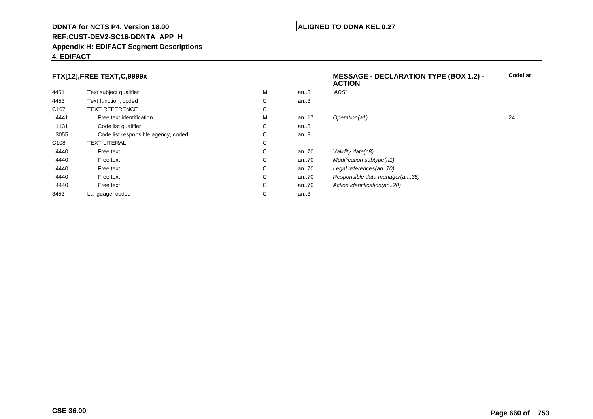#### **REF:CUST-DEV2-SC16-DDNTA\_APP\_H**

#### **Appendix H: EDIFACT Segment Descriptions**

## **4. EDIFACT**

## **FTX[12],FREE TEXT,C,9999x**

|                  |                                     |   |      | <b>ACTION</b>                  |    |
|------------------|-------------------------------------|---|------|--------------------------------|----|
| 4451             | Text subject qualifier              | М | an.3 | 'ABS'                          |    |
| 4453             | Text function, coded                | С | an.3 |                                |    |
| C <sub>107</sub> | <b>TEXT REFERENCE</b>               | С |      |                                |    |
| 4441             | Free text identification            | М | an17 | Operation(a1)                  | 24 |
| 1131             | Code list qualifier                 | С | an.3 |                                |    |
| 3055             | Code list responsible agency, coded | С | an.3 |                                |    |
| C <sub>108</sub> | <b>TEXT LITERAL</b>                 | С |      |                                |    |
| 4440             | Free text                           | С | an70 | Validity date(n8)              |    |
| 4440             | Free text                           | С | an70 | Modification subtype(n1)       |    |
| 4440             | Free text                           | С | an70 | Legal references(an70)         |    |
| 4440             | Free text                           | С | an70 | Responsible data manager(an35) |    |
| 4440             | Free text                           | С | an70 | Action identification(an20)    |    |
| 3453             | Language, coded                     | С | an.3 |                                |    |
|                  |                                     |   |      |                                |    |

**Codelist**

#### **ALIGNED TO DDNA KEL 0.27**

**MESSAGE - DECLARATION TYPE (BOX 1.2) -**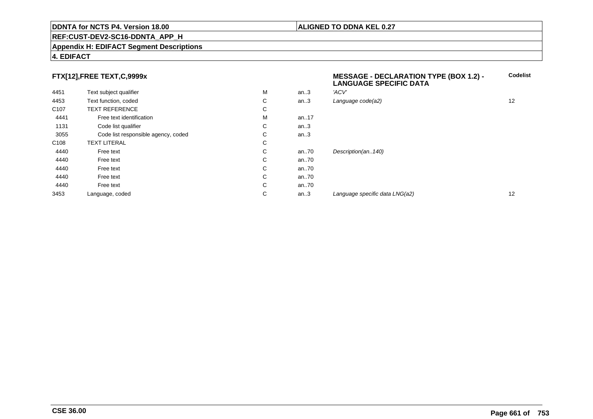#### **REF:CUST-DEV2-SC16-DDNTA\_APP\_H**

#### **Appendix H: EDIFACT Segment Descriptions**

## **4. EDIFACT**

## **FTX[12],FREE TEXT,C,9999x**

| 4451             | Text subject qualifier              | M | an.3 | 'ACV'                          |    |
|------------------|-------------------------------------|---|------|--------------------------------|----|
| 4453             | Text function, coded                | С | an.3 | Language code(a2)              | 12 |
| C <sub>107</sub> | <b>TEXT REFERENCE</b>               | С |      |                                |    |
| 4441             | Free text identification            | M | an17 |                                |    |
| 1131             | Code list qualifier                 | С | an.3 |                                |    |
| 3055             | Code list responsible agency, coded | С | an.3 |                                |    |
| C <sub>108</sub> | <b>TEXT LITERAL</b>                 | С |      |                                |    |
| 4440             | Free text                           | С | an70 | Description(an140)             |    |
| 4440             | Free text                           | С | an70 |                                |    |
| 4440             | Free text                           | С | an70 |                                |    |
| 4440             | Free text                           | С | an70 |                                |    |
| 4440             | Free text                           | С | an70 |                                |    |
| 3453             | Language, coded                     | С | an.3 | Language specific data LNG(a2) | 12 |

# **MESSAGE - DECLARATION TYPE (BOX 1.2) - LANGUAGE SPECIFIC DATACodelist** $C$  an..3 Language code(a2) and  $12$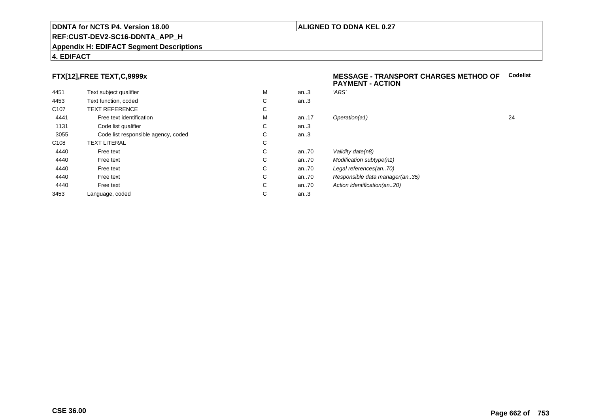#### **ALIGNED TO DDNA KEL 0.27**

## **REF:CUST-DEV2-SC16-DDNTA\_APP\_H**

#### **Appendix H: EDIFACT Segment Descriptions**

#### **4. EDIFACT**

#### **FTX[12],FREE TEXT,C,9999x**

| 4451             | Text subject qualifier              | M | an.3  | 'ABS'  |
|------------------|-------------------------------------|---|-------|--------|
| 4453             | Text function, coded                | C | an.3  |        |
| C <sub>107</sub> | <b>TEXT REFERENCE</b>               | С |       |        |
| 4441             | Free text identification            | M | an.17 | Opera  |
| 1131             | Code list qualifier                 | C | an.3  |        |
| 3055             | Code list responsible agency, coded | С | an.3  |        |
| C <sub>108</sub> | <b>TEXT LITERAL</b>                 | C |       |        |
| 4440             | Free text                           | C | an70  | Validi |
| 4440             | Free text                           | C | an70  | Modit  |
| 4440             | Free text                           | C | an70  | Legal  |
| 4440             | Free text                           | C | an70  | Resp   |
| 4440             | Free text                           | С | an70  | Action |
| 3453             | Language, coded                     | С | an.3  |        |
|                  |                                     |   |       |        |

#### **MESSAGE - TRANSPORT CHARGES METHOD OFCodelistPAYMENT - ACTION**

| м | an.3 | 'ABS'                          |    |
|---|------|--------------------------------|----|
| С | an.3 |                                |    |
| С |      |                                |    |
| М | an17 | Operation(a1)                  | 24 |
| С | an.3 |                                |    |
| С | an.3 |                                |    |
| С |      |                                |    |
| С | an70 | Validity date(n8)              |    |
| С | an70 | Modification subtype(n1)       |    |
| С | an70 | Legal references(an70)         |    |
| С | an70 | Responsible data manager(an35) |    |
| С | an70 | Action identification(an20)    |    |
| С | an.3 |                                |    |
|   |      |                                |    |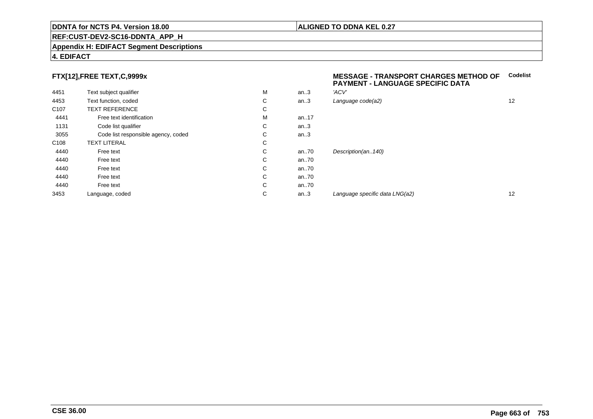#### **REF:CUST-DEV2-SC16-DDNTA\_APP\_H**

#### **Appendix H: EDIFACT Segment Descriptions**

#### **4. EDIFACT**

## **FTX[12],FREE TEXT,C,9999x**

| 4451             | Text subject qualifier              | M | an.3 | 'ACV' |
|------------------|-------------------------------------|---|------|-------|
| 4453             | Text function, coded                | С | an.3 | Langı |
| C <sub>107</sub> | <b>TEXT REFERENCE</b>               | С |      |       |
| 4441             | Free text identification            | M | an17 |       |
| 1131             | Code list qualifier                 | С | an.3 |       |
| 3055             | Code list responsible agency, coded | С | an.3 |       |
| C <sub>108</sub> | <b>TEXT LITERAL</b>                 | C |      |       |
| 4440             | Free text                           | С | an70 | Desci |
| 4440             | Free text                           | C | an70 |       |
| 4440             | Free text                           | С | an70 |       |
| 4440             | Free text                           | С | an70 |       |
| 4440             | Free text                           | С | an70 |       |
| 3453             | Language, coded                     | С | an.3 | Langu |
|                  |                                     |   |      |       |

#### **MESSAGE - TRANSPORT CHARGES METHOD OFCodelist PAYMENT - LANGUAGE SPECIFIC DATA**

| M | an.3 | 'ACV'                          |    |
|---|------|--------------------------------|----|
| С | an.3 | Language code(a2)              | 12 |
| С |      |                                |    |
| М | an17 |                                |    |
| С | an.3 |                                |    |
| С | an.3 |                                |    |
| С |      |                                |    |
| С | an70 | Description(an140)             |    |
| С | an70 |                                |    |
| С | an70 |                                |    |
| С | an70 |                                |    |
| С | an70 |                                |    |
| С | an.3 | Language specific data LNG(a2) | 12 |
|   |      |                                |    |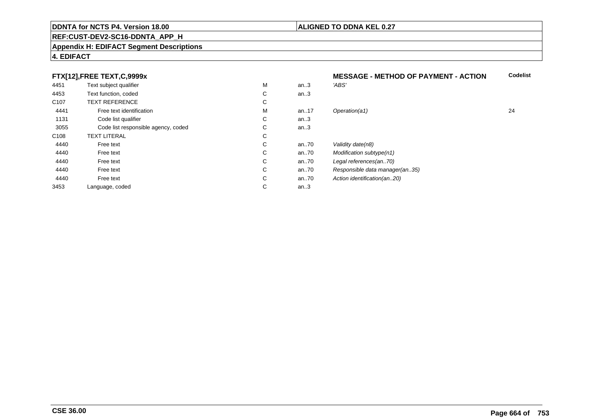#### **REF:CUST-DEV2-SC16-DDNTA\_APP\_H**

#### **Appendix H: EDIFACT Segment Descriptions**

#### **4. EDIFACT**

## **FTX[12],FREE TEXT,C,9999x**

|                  | FTX[12],FREE TEXT,C,9999x           |   |        | <b>MESSAGE - METHOD OF PAYMENT - ACTION</b> |    |
|------------------|-------------------------------------|---|--------|---------------------------------------------|----|
| 4451             | Text subject qualifier              | M | an.3   | 'ABS'                                       |    |
| 4453             | Text function, coded                | С | an $3$ |                                             |    |
| C <sub>107</sub> | <b>TEXT REFERENCE</b>               | С |        |                                             |    |
| 4441             | Free text identification            | M | an17   | Operation(a1)                               | 24 |
| 1131             | Code list qualifier                 | С | an.3   |                                             |    |
| 3055             | Code list responsible agency, coded | С | an.3   |                                             |    |
| C108             | <b>TEXT LITERAL</b>                 | С |        |                                             |    |
| 4440             | Free text                           | С | an70   | Validity date(n8)                           |    |
| 4440             | Free text                           | С | an70   | Modification subtype(n1)                    |    |
| 4440             | Free text                           | С | an70   | Legal references(an70)                      |    |
| 4440             | Free text                           | С | an70   | Responsible data manager(an35)              |    |
| 4440             | Free text                           | С | an70   | Action identification(an20)                 |    |
| 3453             | Language, coded                     | С | an.3   |                                             |    |

# **ALIGNED TO DDNA KEL 0.27**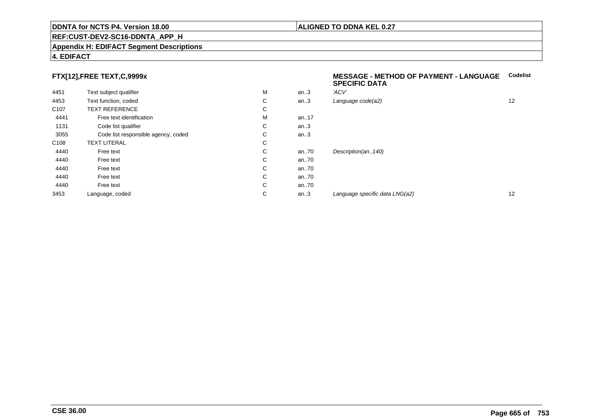#### **REF:CUST-DEV2-SC16-DDNTA\_APP\_H**

#### **Appendix H: EDIFACT Segment Descriptions**

#### **4. EDIFACT**

#### **FTX[12],FREE TEXT,C,9999x**

| 4451             | Text subject qualifier              | M | an.3 | 'ACV' |
|------------------|-------------------------------------|---|------|-------|
| 4453             | Text function, coded                | С | an.3 | Langu |
| C <sub>107</sub> | <b>TEXT REFERENCE</b>               | C |      |       |
| 4441             | Free text identification            | M | an17 |       |
| 1131             | Code list qualifier                 | C | an.3 |       |
| 3055             | Code list responsible agency, coded | C | an.3 |       |
| C <sub>108</sub> | <b>TEXT LITERAL</b>                 | C |      |       |
| 4440             | Free text                           | C | an70 | Desci |
| 4440             | Free text                           | C | an70 |       |
| 4440             | Free text                           | C | an70 |       |
| 4440             | Free text                           | C | an70 |       |
| 4440             | Free text                           | C | an70 |       |
| 3453             | Language, coded                     | C | an.3 | Langı |
|                  |                                     |   |      |       |

#### **MESSAGE - METHOD OF PAYMENT - LANGUAGECodelistSPECIFIC DATA**

| М | an.3 | 'ACV'                          |    |
|---|------|--------------------------------|----|
| С | an.3 | Language code(a2)              | 12 |
| С |      |                                |    |
| М | an17 |                                |    |
| С | an.3 |                                |    |
| С | an.3 |                                |    |
| С |      |                                |    |
| С | an70 | Description(an140)             |    |
| С | an70 |                                |    |
| С | an70 |                                |    |
| С | an70 |                                |    |
| С | an70 |                                |    |
| С | an.3 | Language specific data LNG(a2) | 12 |
|   |      |                                |    |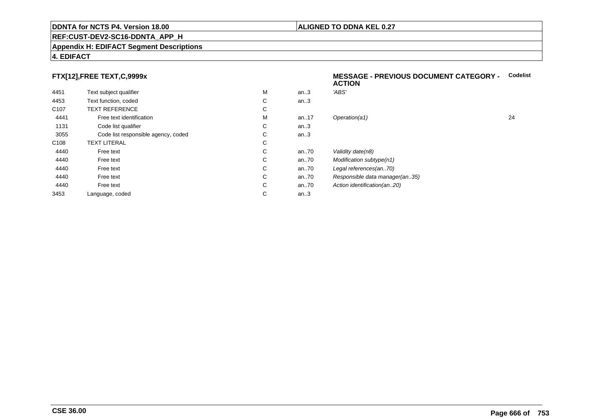#### **REF:CUST-DEV2-SC16-DDNTA\_APP\_H**

#### **Appendix H: EDIFACT Segment Descriptions**

## **4. EDIFACT**

## **FTX[12],FREE TEXT,C,9999x**

| 4451             | Text subject qualifier              | M | an.3  | 'ABS'  |
|------------------|-------------------------------------|---|-------|--------|
| 4453             | Text function, coded                | C | an.3  |        |
| C <sub>107</sub> | <b>TEXT REFERENCE</b>               | C |       |        |
| 4441             | Free text identification            | M | an.17 | Opera  |
| 1131             | Code list qualifier                 | C | an.3  |        |
| 3055             | Code list responsible agency, coded | C | an.3  |        |
| C <sub>108</sub> | <b>TEXT LITERAL</b>                 | C |       |        |
| 4440             | Free text                           | C | an70  | Validi |
| 4440             | Free text                           | C | an.70 | Modit  |
| 4440             | Free text                           | C | an70  | Legal  |
| 4440             | Free text                           | C | an70  | Resp   |
| 4440             | Free text                           | C | an70  | Action |
| 3453             | Language, coded                     | С | an.3  |        |
|                  |                                     |   |       |        |

#### **MESSAGE - PREVIOUS DOCUMENT CATEGORY -** Codelist<br>ACTION **ACTION**

| М | an.3 | 'ABS'                          |    |
|---|------|--------------------------------|----|
| С | an.3 |                                |    |
| С |      |                                |    |
| М | an17 | Operation(a1)                  | 24 |
| С | an.3 |                                |    |
| С | an.3 |                                |    |
| С |      |                                |    |
| С | an70 | Validity date(n8)              |    |
| С | an70 | Modification subtype(n1)       |    |
| С | an70 | Legal references(an70)         |    |
| С | an70 | Responsible data manager(an35) |    |
| С | an70 | Action identification(an20)    |    |
| С | an.3 |                                |    |
|   |      |                                |    |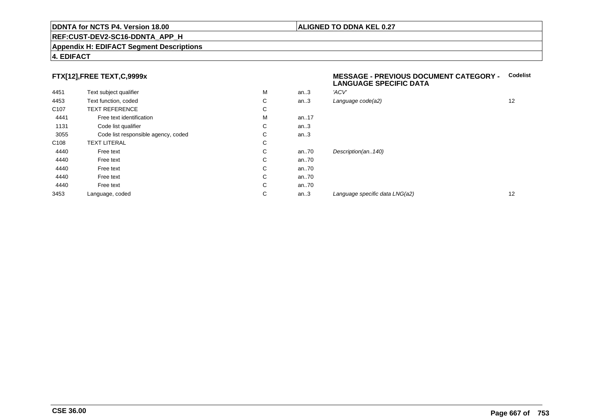#### **REF:CUST-DEV2-SC16-DDNTA\_APP\_H**

#### **Appendix H: EDIFACT Segment Descriptions**

#### **4. EDIFACT**

## **FTX[12],FREE TEXT,C,9999x**

| 4451             | Text subject qualifier              | M | an.3 | 'ACV' |
|------------------|-------------------------------------|---|------|-------|
| 4453             | Text function, coded                | С | an.3 | Langu |
| C <sub>107</sub> | <b>TEXT REFERENCE</b>               | C |      |       |
| 4441             | Free text identification            | M | an17 |       |
| 1131             | Code list qualifier                 | С | an.3 |       |
| 3055             | Code list responsible agency, coded | С | an.3 |       |
| C <sub>108</sub> | <b>TEXT LITERAL</b>                 | C |      |       |
| 4440             | Free text                           | C | an70 | Desci |
| 4440             | Free text                           | C | an70 |       |
| 4440             | Free text                           | С | an70 |       |
| 4440             | Free text                           | С | an70 |       |
| 4440             | Free text                           | C | an70 |       |
| 3453             | Language, coded                     | С | an.3 | Langı |
|                  |                                     |   |      |       |

#### **MESSAGE - PREVIOUS DOCUMENT CATEGORY - CodelistLANGUAGE SPECIFIC DATA**

| М | an.3 | 'ACV'                          |    |
|---|------|--------------------------------|----|
| С | an.3 | Language code(a2)              | 12 |
| С |      |                                |    |
| М | an17 |                                |    |
| С | an.3 |                                |    |
| С | an.3 |                                |    |
| С |      |                                |    |
| С | an70 | Description(an140)             |    |
| С | an70 |                                |    |
| С | an70 |                                |    |
| С | an70 |                                |    |
| С | an70 |                                |    |
| С | an.3 | Language specific data LNG(a2) | 12 |
|   |      |                                |    |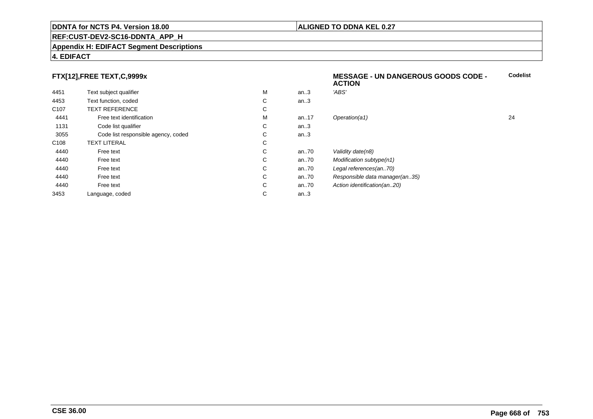#### **REF:CUST-DEV2-SC16-DDNTA\_APP\_H**

#### **Appendix H: EDIFACT Segment Descriptions**

#### **4. EDIFACT**

#### **FTX[12],FREE TEXT,C,9999x**

|                                     |   |         | <b>ACTION</b>                  |    |
|-------------------------------------|---|---------|--------------------------------|----|
| Text subject qualifier              | М | an.3    | 'ABS'                          |    |
| Text function, coded                | C | an.3    |                                |    |
| <b>TEXT REFERENCE</b>               | C |         |                                |    |
| Free text identification            | М | an17    | Operation(a1)                  | 24 |
| Code list qualifier                 | C | an.3    |                                |    |
| Code list responsible agency, coded | C | an.3    |                                |    |
| <b>TEXT LITERAL</b>                 | C |         |                                |    |
| Free text                           | C | an70    | Validity date(n8)              |    |
| Free text                           | C | an70    | Modification subtype(n1)       |    |
| Free text                           | C | an70    | Legal references(an70)         |    |
| Free text                           | C | an70    | Responsible data manager(an35) |    |
| Free text                           | C | an70    | Action identification(an20)    |    |
| Language, coded                     | C | an $.3$ |                                |    |
|                                     |   |         |                                |    |

**Codelist**

#### **ALIGNED TO DDNA KEL 0.27**

**MESSAGE - UN DANGEROUS GOODS CODE -**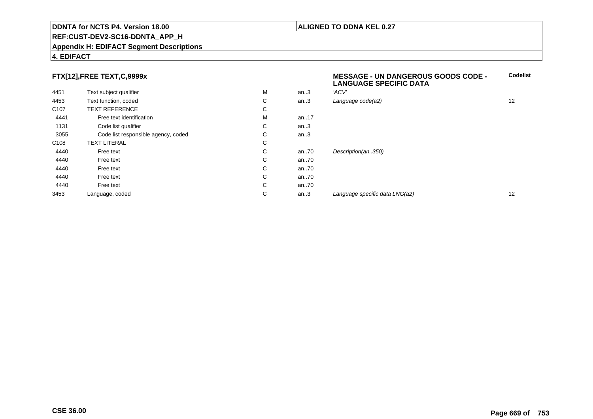#### **REF:CUST-DEV2-SC16-DDNTA\_APP\_H**

#### **Appendix H: EDIFACT Segment Descriptions**

#### **4. EDIFACT**

## **FTX[12],FREE TEXT,C,9999x**

|                  | . .                                 |   |      | <b>LANGUAGE SPECIFIC DATA</b>  |    |
|------------------|-------------------------------------|---|------|--------------------------------|----|
| 4451             | Text subject qualifier              | M | an.3 | 'ACV'                          |    |
| 4453             | Text function, coded                | С | an.3 | Language code(a2)              | 12 |
| C <sub>107</sub> | <b>TEXT REFERENCE</b>               | С |      |                                |    |
| 4441             | Free text identification            | M | an17 |                                |    |
| 1131             | Code list qualifier                 | С | an.3 |                                |    |
| 3055             | Code list responsible agency, coded | С | an.3 |                                |    |
| C108             | <b>TEXT LITERAL</b>                 | С |      |                                |    |
| 4440             | Free text                           | С | an70 | Description(an350)             |    |
| 4440             | Free text                           | С | an70 |                                |    |
| 4440             | Free text                           | С | an70 |                                |    |
| 4440             | Free text                           | С | an70 |                                |    |
| 4440             | Free text                           | С | an70 |                                |    |
| 3453             | Language, coded                     | С | an.3 | Language specific data LNG(a2) | 12 |
|                  |                                     |   |      |                                |    |

#### **ALIGNED TO DDNA KEL 0.27**

**MESSAGE - UN DANGEROUS GOODS CODE -**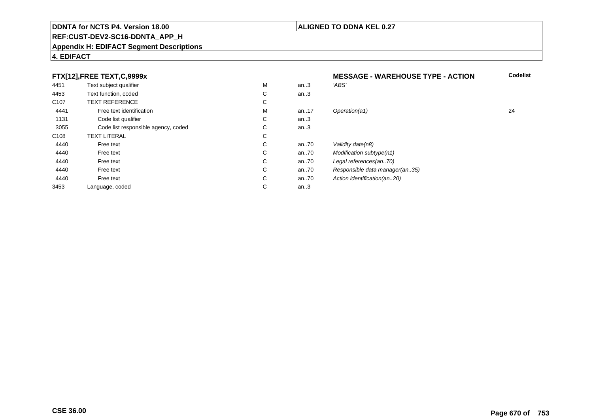#### **REF:CUST-DEV2-SC16-DDNTA\_APP\_H**

#### **Appendix H: EDIFACT Segment Descriptions**

#### **4. EDIFACT**

#### **FTX[12],FREE TEXT,C,9999xMESSAGE - WAREHOUSE TYPE - ACTION**<br>M an..3 *'ABS'*  **Codelist** 4451Text subject qualifier M<br>
Text function, coded C M an..3 *'ABS'*<br>-4453Text function, coded C<br>
TEXT REFERENCE an..3 C107 TEXT REFERENCEE C  $\mathsf{M}% _{T}=\mathsf{M}_{T}\!\left( a,b\right) ,\ \mathsf{M}_{T}=\mathsf{M}_{T}$ 4441Free text identification M<br>Code list qualifier development of the code list qualifier development of  $\mathbf C$ M an..17 Operation(a1) 24 1131Code list qualifier C<br>Code list responsible agency, coded C an..3 3055Code list responsible agency, coded C<br>
XT LITERAL C an..3 C108TEXT LITERAL<br>Free text  $\mathbf C$ 44400 Free text C C an..70 Validity date(n8)<br>C an..70 Modification subt 44400 Free text C C an..70 Modification subtype(n1)<br>C an..70 Legal references(an..70) 44400 Free text C C an..70 Legal references(an..70)<br>C an..70 Responsible data manag 44400 Free text C C an..70 Responsible data manager(an..35)<br>C an..70 Action identification(an..20) 44400 Free text C C an..70 Action identification(an..20)<br>C an..3 3453Language, coded an..3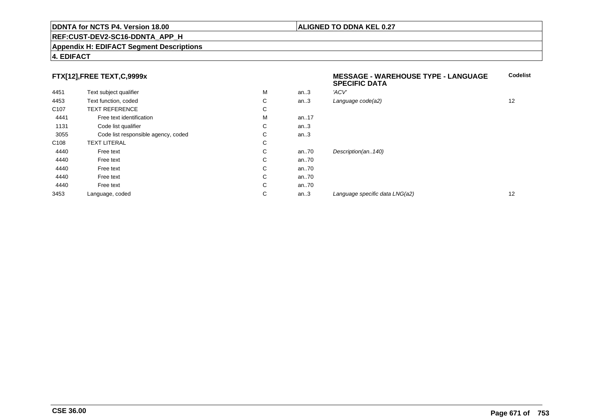#### **REF:CUST-DEV2-SC16-DDNTA\_APP\_H**

#### **Appendix H: EDIFACT Segment Descriptions**

#### **4. EDIFACT**

#### **FTX[12],FREE TEXT,C,9999x**

|                  | FTX[12],FREE TEXT,C,9999x           |   |          | <b>MESSAGE - WAREHOUSE TYPE - LANGUAGE</b><br><b>SPECIFIC DATA</b> |    |
|------------------|-------------------------------------|---|----------|--------------------------------------------------------------------|----|
| 4451             | Text subject qualifier              | M | an.3     | 'ACV'                                                              |    |
| 4453             | Text function, coded                | C | an.3     | Language code(a2)                                                  | 12 |
| C <sub>107</sub> | <b>TEXT REFERENCE</b>               | C |          |                                                                    |    |
| 4441             | Free text identification            | м | an17     |                                                                    |    |
| 1131             | Code list qualifier                 | С | an.3     |                                                                    |    |
| 3055             | Code list responsible agency, coded | С | an.3     |                                                                    |    |
| C <sub>108</sub> | <b>TEXT LITERAL</b>                 | C |          |                                                                    |    |
| 4440             | Free text                           | C | an $.70$ | Description(an140)                                                 |    |
| 4440             | Free text                           | С | an $.70$ |                                                                    |    |
| 4440             | Free text                           | C | an $.70$ |                                                                    |    |
| 4440             | Free text                           | С | an $.70$ |                                                                    |    |
| 4440             | Free text                           | C | an.70    |                                                                    |    |
| 3453             | Language, coded                     | С | an.3     | Language specific data LNG(a2)                                     | 12 |
|                  |                                     |   |          |                                                                    |    |

**Codelist**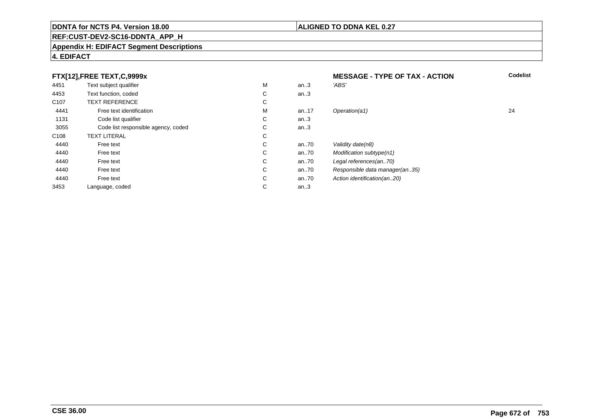## **REF:CUST-DEV2-SC16-DDNTA\_APP\_H**

#### **Appendix H: EDIFACT Segment Descriptions**

## **4. EDIFACT**

|                  | FTX[12], FREE TEXT, C, 9999x        |   |      | <b>MESSAGE - TYPE OF TAX - ACTION</b> | <b>Codelist</b> |
|------------------|-------------------------------------|---|------|---------------------------------------|-----------------|
| 4451             | Text subject qualifier              | М | an.3 | 'ABS'                                 |                 |
| 4453             | Text function, coded                | С | an.3 |                                       |                 |
| C <sub>107</sub> | <b>TEXT REFERENCE</b>               | С |      |                                       |                 |
| 4441             | Free text identification            | М | an17 | Operation(a1)                         | 24              |
| 1131             | Code list qualifier                 | С | an.3 |                                       |                 |
| 3055             | Code list responsible agency, coded | С | an.3 |                                       |                 |
| C108             | <b>TEXT LITERAL</b>                 | С |      |                                       |                 |
| 4440             | Free text                           | С | an70 | Validity date(n8)                     |                 |
| 4440             | Free text                           | С | an70 | Modification subtype(n1)              |                 |
| 4440             | Free text                           | С | an70 | Legal references(an70)                |                 |
| 4440             | Free text                           | С | an70 | Responsible data manager(an35)        |                 |
| 4440             | Free text                           | С | an70 | Action identification(an20)           |                 |
| 3453             | Language, coded                     | С | an.3 |                                       |                 |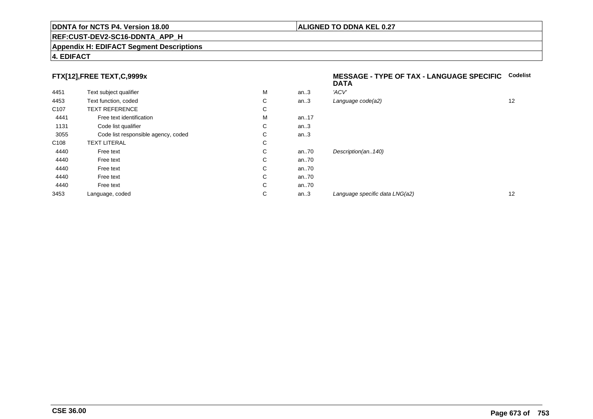#### **REF:CUST-DEV2-SC16-DDNTA\_APP\_H**

#### **Appendix H: EDIFACT Segment Descriptions**

## **4. EDIFACT**

## **FTX[12],FREE TEXT,C,9999x**

| 4451             | Text subject qualifier              | M | an.3     | 'ACV'                |
|------------------|-------------------------------------|---|----------|----------------------|
| 4453             | Text function, coded                | С | an.3     | Language code(a2)    |
| C <sub>107</sub> | <b>TEXT REFERENCE</b>               | С |          |                      |
| 4441             | Free text identification            | M | an.17    |                      |
| 1131             | Code list qualifier                 | С | an.3     |                      |
| 3055             | Code list responsible agency, coded | С | an.3     |                      |
| C <sub>108</sub> | <b>TEXT LITERAL</b>                 | С |          |                      |
| 4440             | Free text                           | C | an70     | Description(an140)   |
| 4440             | Free text                           | С | an70     |                      |
| 4440             | Free text                           | C | an70     |                      |
| 4440             | Free text                           | C | an70     |                      |
| 4440             | Free text                           | C | an $.70$ |                      |
| 3453             | Language, coded                     | С | an.3     | Language specific di |
|                  |                                     |   |          |                      |

#### **MESSAGE - TYPE OF TAX - LANGUAGE SPECIFICCodelistDATA**

| М | an.3 | 'ACV'                          |    |
|---|------|--------------------------------|----|
| С | an.3 | Language code(a2)              | 12 |
| С |      |                                |    |
| М | an17 |                                |    |
| С | an.3 |                                |    |
| С | an.3 |                                |    |
| С |      |                                |    |
| С | an70 | Description(an140)             |    |
| С | an70 |                                |    |
| С | an70 |                                |    |
| С | an70 |                                |    |
| С | an70 |                                |    |
| С | an.3 | Language specific data LNG(a2) | 12 |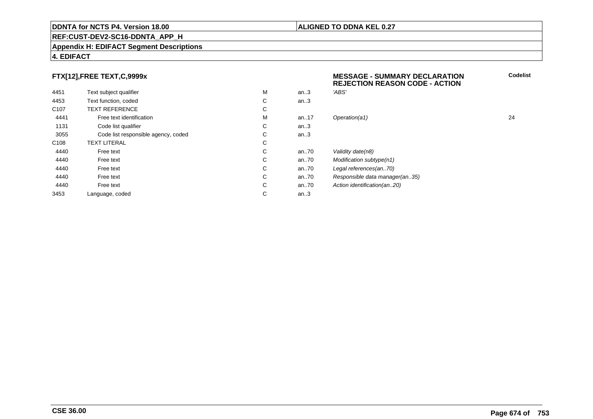## **REF:CUST-DEV2-SC16-DDNTA\_APP\_H**

#### **Appendix H: EDIFACT Segment Descriptions**

#### **4. EDIFACT**

## **FTX[12],FREE TEXT,C,9999x**

| 4451             | Text subject qualifier              | M | an.3     | 'ABS'                   |
|------------------|-------------------------------------|---|----------|-------------------------|
| 4453             | Text function, coded                | С | an.3     |                         |
| C <sub>107</sub> | <b>TEXT REFERENCE</b>               | C |          |                         |
| 4441             | Free text identification            | M | an.17    | Operation(a1)           |
| 1131             | Code list qualifier                 | С | an.3     |                         |
| 3055             | Code list responsible agency, coded | С | an.3     |                         |
| C <sub>108</sub> | <b>TEXT LITERAL</b>                 | С |          |                         |
| 4440             | Free text                           | C | an70     | Validity date(n8)       |
| 4440             | Free text                           | C | an70     | <b>Modification sub</b> |
| 4440             | Free text                           | C | an70     | Legal references        |
| 4440             | Free text                           | C | an70     | Responsible dat         |
| 4440             | Free text                           | C | an $.70$ | Action identificat      |
| 3453             | Language, coded                     | С | an.3     |                         |
|                  |                                     |   |          |                         |

## **MESSAGE - SUMMARY DECLARATION REJECTION REASON CODE - ACTIONCodelist**

M an..17 Operation(a1) 24 ubtype(n1) es(an..70) lata manager(an..35) ation(an..20)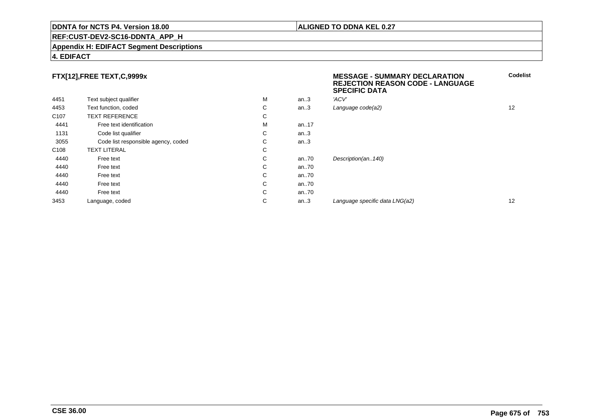#### **REF:CUST-DEV2-SC16-DDNTA\_APP\_H**

#### **Appendix H: EDIFACT Segment Descriptions**

#### **4. EDIFACT**

## **FTX[12],FREE TEXT,C,9999x**

|                  |                                     |   |      | ---   |
|------------------|-------------------------------------|---|------|-------|
| 4451             | Text subject qualifier              | M | an.3 | 'ACV' |
| 4453             | Text function, coded                | С | an.3 | Langi |
| C <sub>107</sub> | <b>TEXT REFERENCE</b>               | С |      |       |
| 4441             | Free text identification            | M | an17 |       |
| 1131             | Code list qualifier                 | С | an.3 |       |
| 3055             | Code list responsible agency, coded | С | an.3 |       |
| C <sub>108</sub> | <b>TEXT LITERAL</b>                 | С |      |       |
| 4440             | Free text                           | С | an70 | Desci |
| 4440             | Free text                           | С | an70 |       |
| 4440             | Free text                           | С | an70 |       |
| 4440             | Free text                           | С | an70 |       |
| 4440             | Free text                           | С | an70 |       |
| 3453             | Language, coded                     | С | an.3 | Langı |
|                  |                                     |   |      |       |

#### **MESSAGE - SUMMARY DECLARATION REJECTION REASON CODE - LANGUAGESPECIFIC DATACodelist**

| м | an3  | 'ACV'                          |    |
|---|------|--------------------------------|----|
| С | an.3 | Language code(a2)              | 12 |
| С |      |                                |    |
| М | an17 |                                |    |
| С | an.3 |                                |    |
| С | an.3 |                                |    |
| С |      |                                |    |
| С | an70 | Description(an140)             |    |
| С | an70 |                                |    |
| С | an70 |                                |    |
| С | an70 |                                |    |
| С | an70 |                                |    |
| С | an.3 | Language specific data LNG(a2) | 12 |
|   |      |                                |    |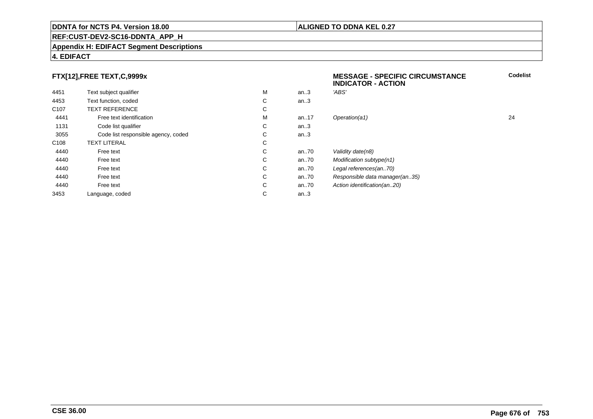#### **ALIGNED TO DDNA KEL 0.27**

**MESSAGE - SPECIFIC CIRCUMSTANCE**

## **REF:CUST-DEV2-SC16-DDNTA\_APP\_H**

#### **Appendix H: EDIFACT Segment Descriptions**

#### **4. EDIFACT**

#### **FTX[12],FREE TEXT,C,9999x**

|                  |                                     |   |          | <b>INDICATOR - ACTION</b>      |    |
|------------------|-------------------------------------|---|----------|--------------------------------|----|
| 4451             | Text subject qualifier              | M | an.3     | 'ABS'                          |    |
| 4453             | Text function, coded                | C | an.3     |                                |    |
| C <sub>107</sub> | <b>TEXT REFERENCE</b>               | С |          |                                |    |
| 4441             | Free text identification            | M | an17     | Operation(a1)                  | 24 |
| 1131             | Code list qualifier                 | C | an.3     |                                |    |
| 3055             | Code list responsible agency, coded | C | an.3     |                                |    |
| C <sub>108</sub> | <b>TEXT LITERAL</b>                 | C |          |                                |    |
| 4440             | Free text                           | C | an $.70$ | Validity date(n8)              |    |
| 4440             | Free text                           | C | an $.70$ | Modification subtype(n1)       |    |
| 4440             | Free text                           | C | an70     | Legal references(an70)         |    |
| 4440             | Free text                           | С | an70     | Responsible data manager(an35) |    |
| 4440             | Free text                           | C | an $.70$ | Action identification(an20)    |    |
| 3453             | Language, coded                     | С | an.3     |                                |    |
|                  |                                     |   |          |                                |    |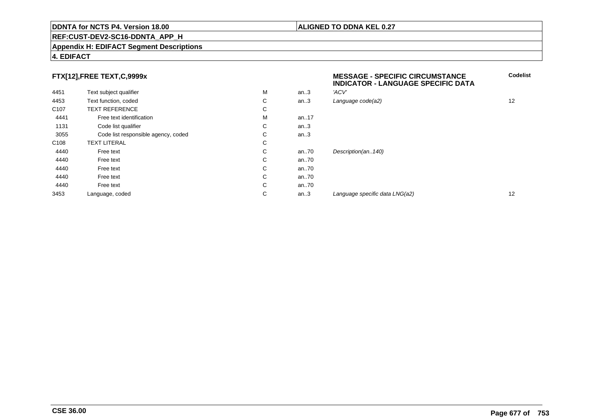#### **REF:CUST-DEV2-SC16-DDNTA\_APP\_H**

#### **Appendix H: EDIFACT Segment Descriptions**

#### **4. EDIFACT**

#### **FTX[12],FREE TEXT,C,9999x**

| FTX[12],FREE TEXT,C,9999x |                                     |    |      | <b>MESSAGE - SPECIFIC CIRCUMSTANCE</b><br><b>INDICATOR - LANGUAGE SPECIFIC DATA</b> | Code              |  |
|---------------------------|-------------------------------------|----|------|-------------------------------------------------------------------------------------|-------------------|--|
| 4451                      | Text subject qualifier              | М  | an.3 | 'ACV'                                                                               |                   |  |
| 4453                      | Text function, coded                | C  | an.3 | Language code(a2)                                                                   | $12 \overline{ }$ |  |
| C <sub>107</sub>          | <b>TEXT REFERENCE</b>               | C  |      |                                                                                     |                   |  |
| 4441                      | Free text identification            | M  | an17 |                                                                                     |                   |  |
| 1131                      | Code list qualifier                 | C. | an.3 |                                                                                     |                   |  |
| 3055                      | Code list responsible agency, coded | C  | an.3 |                                                                                     |                   |  |
| C <sub>108</sub>          | <b>TEXT LITERAL</b>                 | C  |      |                                                                                     |                   |  |
| 4440                      | Free text                           | C  | an70 | Description(an140)                                                                  |                   |  |
| 4440                      | Free text                           | C  | an70 |                                                                                     |                   |  |
| 4440                      | Free text                           | C  | an70 |                                                                                     |                   |  |
| 4440                      | Free text                           | C  | an70 |                                                                                     |                   |  |
| 4440                      | Free text                           | C  | an70 |                                                                                     |                   |  |
| 3453                      | Language, coded                     | C  | an.3 | Language specific data LNG(a2)                                                      | $12 \overline{ }$ |  |
|                           |                                     |    |      |                                                                                     |                   |  |

**ALIGNED TO DDNA KEL 0.27**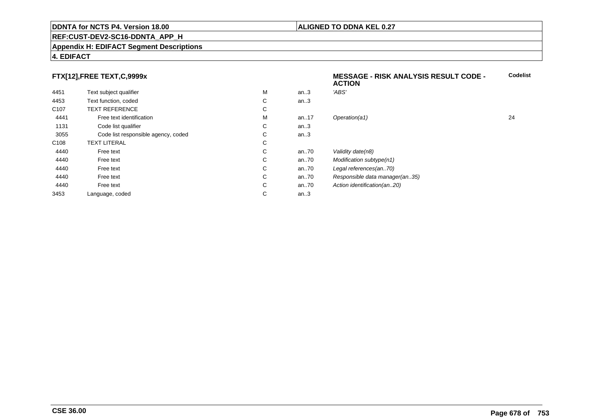#### **REF:CUST-DEV2-SC16-DDNTA\_APP\_H**

#### **Appendix H: EDIFACT Segment Descriptions**

#### **4. EDIFACT**

## **FTX[12],FREE TEXT,C,9999x**

|                                     |   |      | <b>ACTION</b>                  |    |
|-------------------------------------|---|------|--------------------------------|----|
| Text subject qualifier              | M | an.3 | 'ABS'                          |    |
| Text function, coded                | C | an.3 |                                |    |
| <b>TEXT REFERENCE</b>               | С |      |                                |    |
| Free text identification            | м | an17 | Operation(a1)                  | 24 |
| Code list qualifier                 | C | an.3 |                                |    |
| Code list responsible agency, coded | С | an.3 |                                |    |
| <b>TEXT LITERAL</b>                 | С |      |                                |    |
| Free text                           | C | an70 | Validity date(n8)              |    |
| Free text                           | C | an70 | Modification subtype(n1)       |    |
| Free text                           | С | an70 | Legal references(an70)         |    |
| Free text                           | C | an70 | Responsible data manager(an35) |    |
| Free text                           | С | an70 | Action identification(an20)    |    |
| Language, coded                     | С | an.3 |                                |    |
|                                     |   |      |                                |    |

**Codelist**

#### **ALIGNED TO DDNA KEL 0.27**

**MESSAGE - RISK ANALYSIS RESULT CODE -**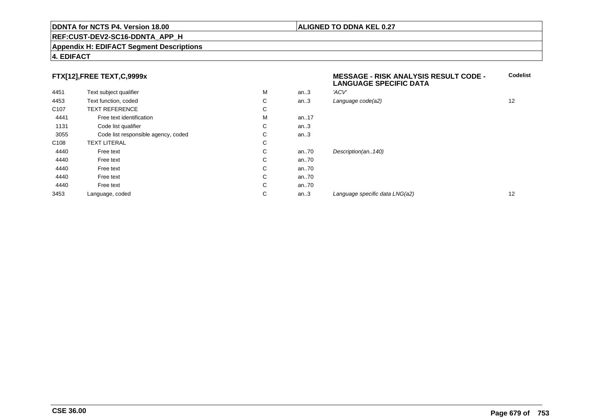#### **REF:CUST-DEV2-SC16-DDNTA\_APP\_H**

#### **Appendix H: EDIFACT Segment Descriptions**

#### **4. EDIFACT**

#### **FTX[12],FREE TEXT,C,9999x**

| . .              |                                     |   |      | <b>LANGUAGE SPECIFIC DATA</b>  |    |
|------------------|-------------------------------------|---|------|--------------------------------|----|
| 4451             | Text subject qualifier              | M | an.3 | 'ACV'                          |    |
| 4453             | Text function, coded                | С | an.3 | Language code(a2)              | 12 |
| C <sub>107</sub> | <b>TEXT REFERENCE</b>               | С |      |                                |    |
| 4441             | Free text identification            | M | an17 |                                |    |
| 1131             | Code list qualifier                 | C | an.3 |                                |    |
| 3055             | Code list responsible agency, coded | С | an.3 |                                |    |
| C108             | <b>TEXT LITERAL</b>                 | С |      |                                |    |
| 4440             | Free text                           | С | an70 | Description(an140)             |    |
| 4440             | Free text                           | С | an70 |                                |    |
| 4440             | Free text                           | C | an70 |                                |    |
| 4440             | Free text                           | С | an70 |                                |    |
| 4440             | Free text                           | C | an70 |                                |    |
| 3453             | Language, coded                     | С | an.3 | Language specific data LNG(a2) | 12 |
|                  |                                     |   |      |                                |    |

# **ALIGNED TO DDNA KEL 0.27**

**MESSAGE - RISK ANALYSIS RESULT CODE -**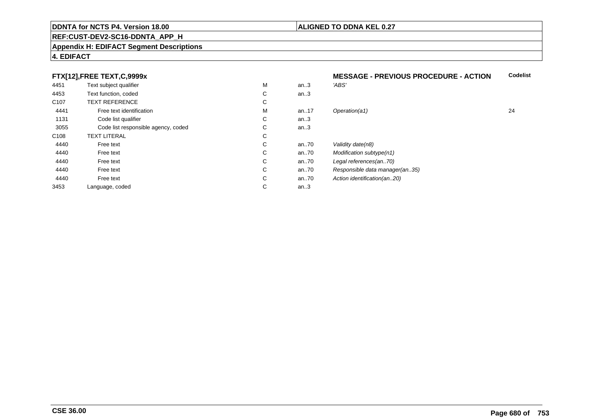#### **REF:CUST-DEV2-SC16-DDNTA\_APP\_H**

#### **Appendix H: EDIFACT Segment Descriptions**

#### **4. EDIFACT**

#### **FTX[12],FREE TEXT,C,9999x**

|                  | FTX[12], FREE TEXT, C, 9999x        |   |          | <b>MESSAGE - PREVIOUS PROCEDURE - ACTION</b> |    |
|------------------|-------------------------------------|---|----------|----------------------------------------------|----|
| 4451             | Text subject qualifier              | M | an.3     | 'ABS'                                        |    |
| 4453             | Text function, coded                | С | an.3     |                                              |    |
| C <sub>107</sub> | <b>TEXT REFERENCE</b>               | С |          |                                              |    |
| 4441             | Free text identification            | M | an17     | Operation(a1)                                | 24 |
| 1131             | Code list qualifier                 | С | an.3     |                                              |    |
| 3055             | Code list responsible agency, coded | С | an.3     |                                              |    |
| C <sub>108</sub> | <b>TEXT LITERAL</b>                 | С |          |                                              |    |
| 4440             | Free text                           | С | an $.70$ | Validity date(n8)                            |    |
| 4440             | Free text                           | С | an $.70$ | Modification subtype(n1)                     |    |
| 4440             | Free text                           | С | an $.70$ | Legal references(an70)                       |    |
| 4440             | Free text                           | С | an $.70$ | Responsible data manager(an35)               |    |
| 4440             | Free text                           | С | an70     | Action identification(an20)                  |    |
| 3453             | Language, coded                     | С | an.3     |                                              |    |
|                  |                                     |   |          |                                              |    |

**ALIGNED TO DDNA KEL 0.27**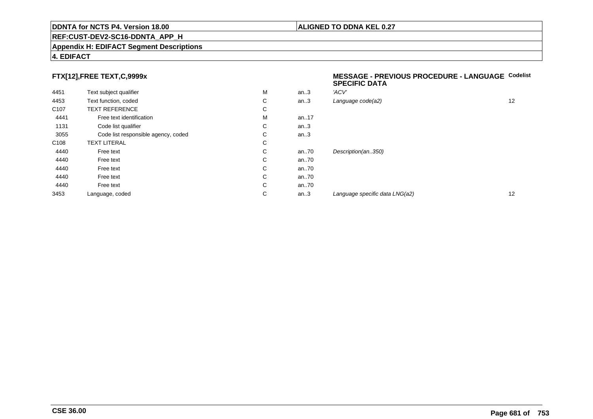#### **REF:CUST-DEV2-SC16-DDNTA\_APP\_H**

#### **Appendix H: EDIFACT Segment Descriptions**

#### **4. EDIFACT**

## **FTX[12],FREE TEXT,C,9999x**

| 4451             | Text subject qualifier              | M | an.3 | 'ACV' |
|------------------|-------------------------------------|---|------|-------|
| 4453             | Text function, coded                | С | an.3 | Langı |
| C <sub>107</sub> | <b>TEXT REFERENCE</b>               | С |      |       |
| 4441             | Free text identification            | M | an17 |       |
| 1131             | Code list qualifier                 | С | an.3 |       |
| 3055             | Code list responsible agency, coded | С | an.3 |       |
| C <sub>108</sub> | <b>TEXT LITERAL</b>                 | C |      |       |
| 4440             | Free text                           | С | an70 | Desci |
| 4440             | Free text                           | C | an70 |       |
| 4440             | Free text                           | С | an70 |       |
| 4440             | Free text                           | С | an70 |       |
| 4440             | Free text                           | С | an70 |       |
| 3453             | Language, coded                     | С | an.3 | Langu |
|                  |                                     |   |      |       |

#### **MESSAGE - PREVIOUS PROCEDURE - LANGUAGECodelistSPECIFIC DATA**

| М | an.3 | 'ACV'                          |    |
|---|------|--------------------------------|----|
| С | an.3 | Language code(a2)              | 12 |
| С |      |                                |    |
| М | an17 |                                |    |
| С | an.3 |                                |    |
| С | an.3 |                                |    |
| С |      |                                |    |
| С | an70 | Description(an350)             |    |
| С | an70 |                                |    |
| С | an70 |                                |    |
| С | an70 |                                |    |
| С | an70 |                                |    |
| С | an.3 | Language specific data LNG(a2) | 12 |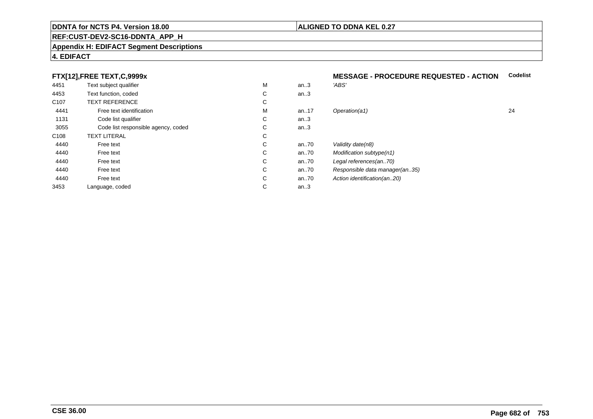#### **REF:CUST-DEV2-SC16-DDNTA\_APP\_H**

#### **Appendix H: EDIFACT Segment Descriptions**

#### **4. EDIFACT**

## **FTX[12],FREE TEXT,C,9999x**

| 4451             | Text subject qualifier              | M | an.3 | 'ABS'                          |    |
|------------------|-------------------------------------|---|------|--------------------------------|----|
| 4453             | Text function, coded                | С | an.3 |                                |    |
| C <sub>107</sub> | <b>TEXT REFERENCE</b>               | C |      |                                |    |
| 4441             | Free text identification            | М | an17 | Operation(a1)                  | 24 |
| 1131             | Code list qualifier                 | C | an.3 |                                |    |
| 3055             | Code list responsible agency, coded | С | an.3 |                                |    |
| C <sub>108</sub> | <b>TEXT LITERAL</b>                 | С |      |                                |    |
| 4440             | Free text                           | C | an70 | Validity date(n8)              |    |
| 4440             | Free text                           | С | an70 | Modification subtype(n1)       |    |
| 4440             | Free text                           | C | an70 | Legal references(an70)         |    |
| 4440             | Free text                           | С | an70 | Responsible data manager(an35) |    |
| 4440             | Free text                           | C | an70 | Action identification(an20)    |    |
| 3453             | Language, coded                     | С | an.3 |                                |    |
|                  |                                     |   |      |                                |    |

# **MESSAGE - PROCEDURE REQUESTED - ACTION Codelist**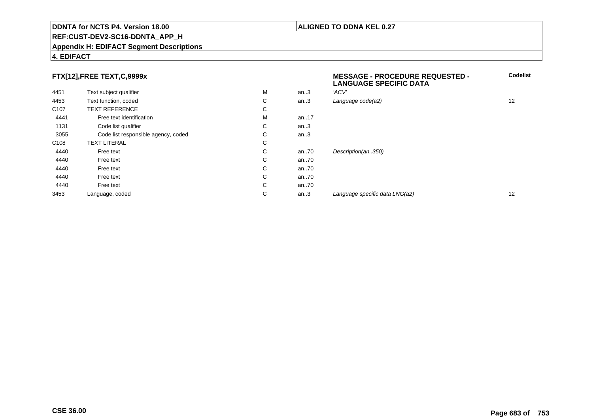#### **REF:CUST-DEV2-SC16-DDNTA\_APP\_H**

#### **Appendix H: EDIFACT Segment Descriptions**

#### **FTX[12],FREE TEXT,C,9999x**

| FTX[12],FREE TEXT,C,9999x |                                     |   |          | <b>MESSAGE - PROCEDURE REQUESTED -</b><br><b>LANGUAGE SPECIFIC DATA</b> | Codeli |
|---------------------------|-------------------------------------|---|----------|-------------------------------------------------------------------------|--------|
| 4451                      | Text subject qualifier              | М | an.3     | 'ACV'                                                                   |        |
| 4453                      | Text function, coded                | C | an.3     | Language code(a2)                                                       | 12     |
| C <sub>107</sub>          | <b>TEXT REFERENCE</b>               | C |          |                                                                         |        |
| 4441                      | Free text identification            | М | an. $17$ |                                                                         |        |
| 1131                      | Code list qualifier                 | C | an.3     |                                                                         |        |
| 3055                      | Code list responsible agency, coded | C | an.3     |                                                                         |        |
| C <sub>108</sub>          | <b>TEXT LITERAL</b>                 | C |          |                                                                         |        |
| 4440                      | Free text                           | C | an70     | Description(an350)                                                      |        |
| 4440                      | Free text                           | C | an70     |                                                                         |        |
| 4440                      | Free text                           | C | an70     |                                                                         |        |
| 4440                      | Free text                           | C | an70     |                                                                         |        |
| 4440                      | Free text                           | C | an70     |                                                                         |        |
| 3453                      | Language, coded                     | С | an.3     | Language specific data LNG(a2)                                          | 12     |
|                           |                                     |   |          |                                                                         |        |

**Codelist**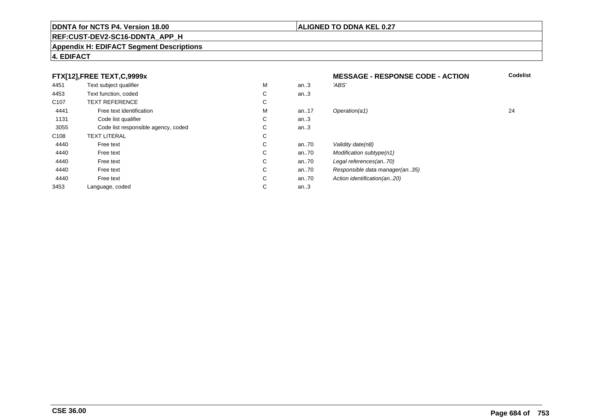#### **REF:CUST-DEV2-SC16-DDNTA\_APP\_H**

#### **Appendix H: EDIFACT Segment Descriptions**

#### **4. EDIFACT**

#### **FTX[12],FREE TEXT,C,9999xMESSAGE - RESPONSE CODE - ACTION**<br>M an..3 *'ABS'*  **Codelist** 4451Text subject qualifier M<br>
Text function, coded C M an..3 *'ABS'*<br>-4453Text function, coded C<br>
TEXT REFERENCE an..3 C107 TEXT REFERENCEE C  $\mathsf{M}% _{T}=\mathsf{M}_{T}\!\left( a,b\right) ,\ \mathsf{M}_{T}=\mathsf{M}_{T}$ 4441Free text identification M<br>Code list qualifier development of the code list qualifier development of  $\mathbf C$ M an..17 Operation(a1) 24 1131Code list qualifier C<br>Code list responsible agency, coded C an..3 3055Code list responsible agency, coded C<br>
XT LITERAL C an..3 C108TEXT LITERAL<br>Free text  $\mathbf C$ 44400 Free text C C an..70 Validity date(n8)<br>C an..70 Modification subt 44400 Free text C C an..70 Modification subtype(n1)<br>C an..70 Legal references(an..70) 44400 Free text C C an..70 Legal references(an..70)<br>C an..70 Responsible data manag 44400 Free text C C an..70 Responsible data manager(an..35)<br>C an..70 Action identification(an..20) 44400 Free text C C an..70 Action identification(an..20)<br>C an..3 3453Language, coded an..3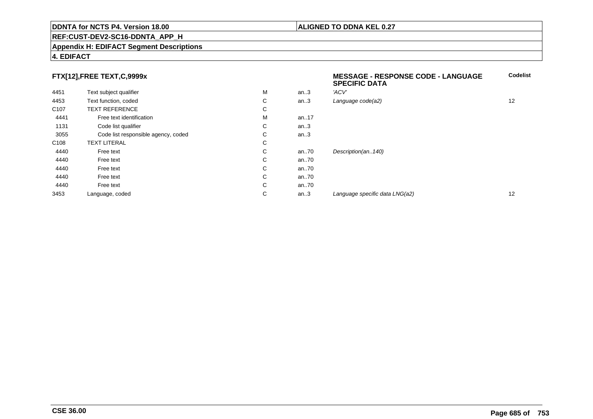#### **REF:CUST-DEV2-SC16-DDNTA\_APP\_H**

#### **Appendix H: EDIFACT Segment Descriptions**

#### **4. EDIFACT**

#### **FTX[12],FREE TEXT,C,9999x**

|                  |                                     |   |      | <b>SPECIFIC DATA</b>           |    |
|------------------|-------------------------------------|---|------|--------------------------------|----|
| 4451             | Text subject qualifier              | M | an.3 | 'ACV'                          |    |
| 4453             | Text function, coded                | С | an.3 | Language code(a2)              | 12 |
| C <sub>107</sub> | <b>TEXT REFERENCE</b>               | C |      |                                |    |
| 4441             | Free text identification            | M | an17 |                                |    |
| 1131             | Code list qualifier                 | С | an.3 |                                |    |
| 3055             | Code list responsible agency, coded | С | an.3 |                                |    |
| C <sub>108</sub> | <b>TEXT LITERAL</b>                 | С |      |                                |    |
| 4440             | Free text                           | C | an70 | Description(an140)             |    |
| 4440             | Free text                           | C | an70 |                                |    |
| 4440             | Free text                           | С | an70 |                                |    |
| 4440             | Free text                           | C | an70 |                                |    |
| 4440             | Free text                           | C | an70 |                                |    |
| 3453             | Language, coded                     | С | an.3 | Language specific data LNG(a2) | 12 |

**Codelist**

**ALIGNED TO DDNA KEL 0.27**

**MESSAGE - RESPONSE CODE - LANGUAGE**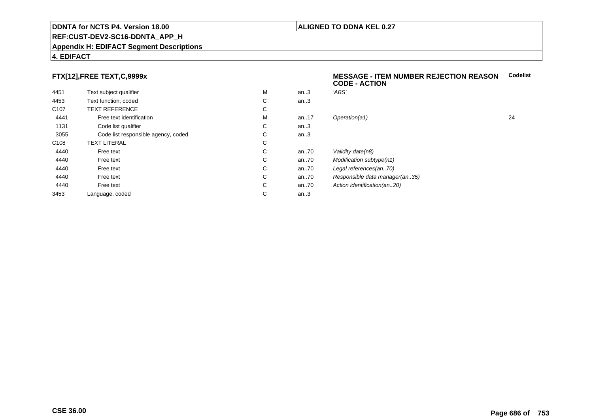#### **ALIGNED TO DDNA KEL 0.27**

### **REF:CUST-DEV2-SC16-DDNTA\_APP\_H**

#### **Appendix H: EDIFACT Segment Descriptions**

#### **4. EDIFACT**

#### **FTX[12],FREE TEXT,C,9999x**

| 4451             | Text subject qualifier              | M | an.3     | 'ABS'  |
|------------------|-------------------------------------|---|----------|--------|
| 4453             | Text function, coded                | C | an.3     |        |
| C <sub>107</sub> | <b>TEXT REFERENCE</b>               | С |          |        |
| 4441             | Free text identification            | М | an. $17$ | Opera  |
| 1131             | Code list qualifier                 | C | an.3     |        |
| 3055             | Code list responsible agency, coded | С | an.3     |        |
| C <sub>108</sub> | <b>TEXT LITERAL</b>                 | C |          |        |
| 4440             | Free text                           | C | an70     | Validi |
| 4440             | Free text                           | C | an70     | Modit  |
| 4440             | Free text                           | C | an70     | Legal  |
| 4440             | Free text                           | C | an70     | Resp   |
| 4440             | Free text                           | С | an70     | Action |
| 3453             | Language, coded                     | С | an.3     |        |
|                  |                                     |   |          |        |

#### **MESSAGE - ITEM NUMBER REJECTION REASONCodelistCODE - ACTION**

| м | an.3 | 'ABS'                          |    |
|---|------|--------------------------------|----|
| С | an.3 |                                |    |
| С |      |                                |    |
| М | an17 | Operation(a1)                  | 24 |
| С | an.3 |                                |    |
| С | an.3 |                                |    |
| С |      |                                |    |
| С | an70 | Validity date(n8)              |    |
| С | an70 | Modification subtype(n1)       |    |
| С | an70 | Legal references(an70)         |    |
| С | an70 | Responsible data manager(an35) |    |
| С | an70 | Action identification(an20)    |    |
| С | an.3 |                                |    |
|   |      |                                |    |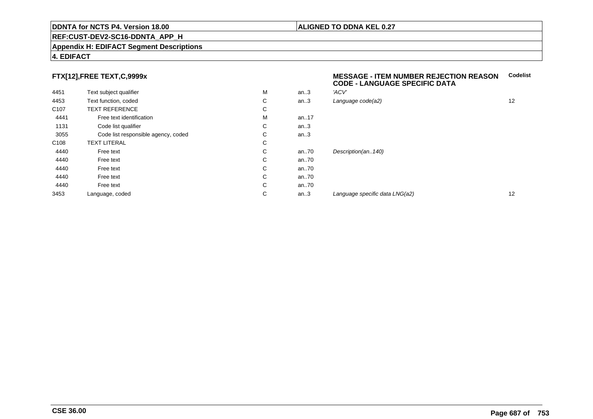#### **REF:CUST-DEV2-SC16-DDNTA\_APP\_H**

#### **Appendix H: EDIFACT Segment Descriptions**

#### **4. EDIFACT**

#### **FTX[12],FREE TEXT,C,9999x**

| 4451             | Text subject qualifier              | M | an.3 | 'ACV' |
|------------------|-------------------------------------|---|------|-------|
| 4453             | Text function, coded                | С | an.3 | Langu |
| C <sub>107</sub> | <b>TEXT REFERENCE</b>               | С |      |       |
| 4441             | Free text identification            | M | an17 |       |
| 1131             | Code list qualifier                 | С | an.3 |       |
| 3055             | Code list responsible agency, coded | С | an.3 |       |
| C <sub>108</sub> | <b>TEXT LITERAL</b>                 | С |      |       |
| 4440             | Free text                           | C | an70 | Desci |
| 4440             | Free text                           | C | an70 |       |
| 4440             | Free text                           | С | an70 |       |
| 4440             | Free text                           | С | an70 |       |
| 4440             | Free text                           | С | an70 |       |
| 3453             | Language, coded                     | С | an.3 | Langı |
|                  |                                     |   |      |       |

#### **MESSAGE - ITEM NUMBER REJECTION REASONCodelistCODE - LANGUAGE SPECIFIC DATA**

| М | an.3    | 'ACV'                          |    |
|---|---------|--------------------------------|----|
| С | an $.3$ | Language code(a2)              | 12 |
| С |         |                                |    |
| М | an17    |                                |    |
| С | an.3    |                                |    |
| С | an.3    |                                |    |
| С |         |                                |    |
| С | an70    | Description(an140)             |    |
| С | an70    |                                |    |
| С | an70    |                                |    |
| С | an70    |                                |    |
| С | an70    |                                |    |
| С | an.3    | Language specific data LNG(a2) | 12 |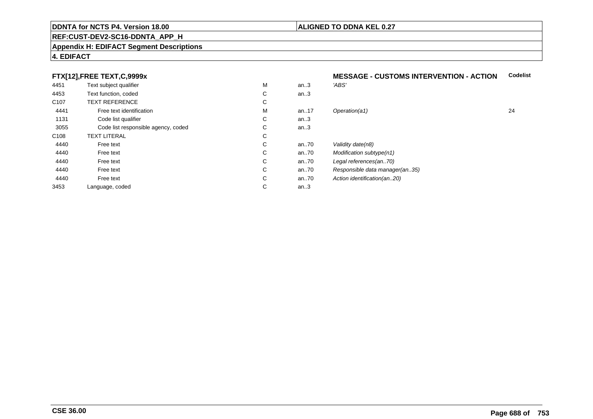#### **REF:CUST-DEV2-SC16-DDNTA\_APP\_H**

#### **Appendix H: EDIFACT Segment Descriptions**

#### **4. EDIFACT**

#### **FTX[12],FREE TEXT,C,9999x**

| 4451             | Text subject qualifier              | M | an.3     | 'ABS'                          |    |
|------------------|-------------------------------------|---|----------|--------------------------------|----|
| 4453             | Text function, coded                | С | an.3     |                                |    |
| C <sub>107</sub> | <b>TEXT REFERENCE</b>               | С |          |                                |    |
| 4441             | Free text identification            | M | an17     | Operation(a1)                  | 24 |
| 1131             | Code list qualifier                 | С | an.3     |                                |    |
| 3055             | Code list responsible agency, coded | С | an.3     |                                |    |
| C108             | <b>TEXT LITERAL</b>                 | С |          |                                |    |
| 4440             | Free text                           | С | an70     | Validity date(n8)              |    |
| 4440             | Free text                           | С | an $.70$ | Modification subtype(n1)       |    |
| 4440             | Free text                           | С | an70     | Legal references(an70)         |    |
| 4440             | Free text                           | С | an70     | Responsible data manager(an35) |    |
| 4440             | Free text                           | С | an70     | Action identification(an20)    |    |
| 3453             | Language, coded                     | С | an.3     |                                |    |
|                  |                                     |   |          |                                |    |

#### **MESSAGE - CUSTOMS INTERVENTION - ACTIONCodelist**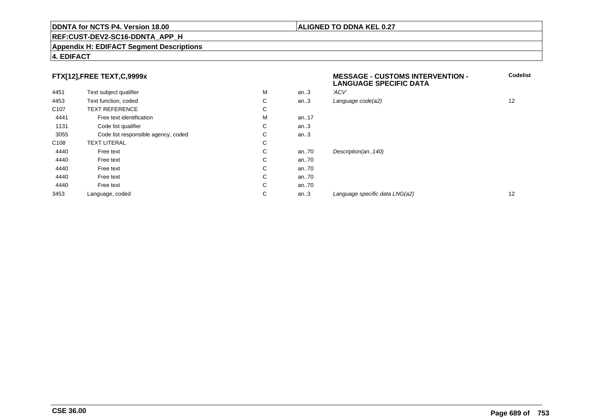#### **REF:CUST-DEV2-SC16-DDNTA\_APP\_H**

#### **Appendix H: EDIFACT Segment Descriptions**

#### **4. EDIFACT**

#### **FTX[12],FREE TEXT,C,9999x**

| FTX[12],FREE TEXT,C,9999x           |   |          | <b>MESSAGE - CUSTOMS INTERVENTION -</b><br><b>LANGUAGE SPECIFIC DATA</b> | Codelis |
|-------------------------------------|---|----------|--------------------------------------------------------------------------|---------|
| Text subject qualifier              | M | an.3     | 'ACV'                                                                    |         |
| Text function, coded                | C | an.3     | Language code(a2)                                                        | 12      |
| <b>TEXT REFERENCE</b>               | C |          |                                                                          |         |
| Free text identification            | М | an17     |                                                                          |         |
| Code list qualifier                 | С | an.3     |                                                                          |         |
| Code list responsible agency, coded | С | an.3     |                                                                          |         |
| <b>TEXT LITERAL</b>                 | C |          |                                                                          |         |
| Free text                           | C | an $.70$ | Description(an140)                                                       |         |
| Free text                           | С | an $.70$ |                                                                          |         |
| Free text                           | C | an $.70$ |                                                                          |         |
| Free text                           | С | an $.70$ |                                                                          |         |
| Free text                           | С | an.70    |                                                                          |         |
| Language, coded                     | С | an.3     | Language specific data LNG(a2)                                           | 12      |
|                                     |   |          |                                                                          |         |

**Codelist**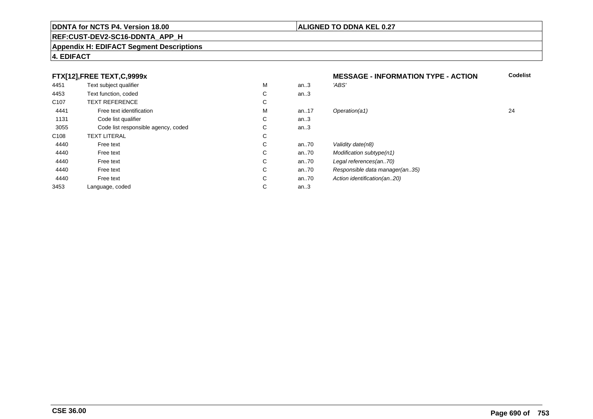Language, coded

#### **REF:CUST-DEV2-SC16-DDNTA\_APP\_H**

#### **Appendix H: EDIFACT Segment Descriptions**

#### **4. EDIFACT**

4440

4440

4440

4440

4440

3453

#### **FTX[12],FREE TEXT,C,9999x**4451Text subject qualifier M<br>
Text function, coded C M an..3 *'ABS'*<br>-4453Text function, coded C<br>
TEXT REFERENCE an..3 C107 TEXT REFERENCEE C  $\mathsf{M}% _{T}=\mathsf{M}_{T}\!\left( a,b\right) ,\ \mathsf{M}_{T}=\mathsf{M}_{T}$ 4441Free text identification M<br>Code list qualifier development of the code list qualifier development of  $\mathbf C$ 1131Code list qualifier C<br>Code list responsible agency, coded C an..3 3055Code list responsible agency, coded C<br>
XT LITERAL C an..3 C108TEXT LITERAL<br>Free text

0 Free text C

0 Free text C

0 Free text C

0 Free text C

0 Free text C

 $\mathbf C$ 

# **MESSAGE - INFORMATION TYPE - ACTION**<br>M an..3 *'ABS'*  **Codelist** M an..17 Operation(a1) 24 C an..70 Validity date(n8)<br>C an..70 Modification subt C an..70 Modification subtype(n1)<br>C an..70 Legal references(an..70) C an..70 Legal references(an..70)<br>C an..70 Responsible data manag C an..70 Responsible data manager(an..35)<br>C an..70 Action identification(an..20) C an..70 Action identification(an..20)<br>C an..3 an..3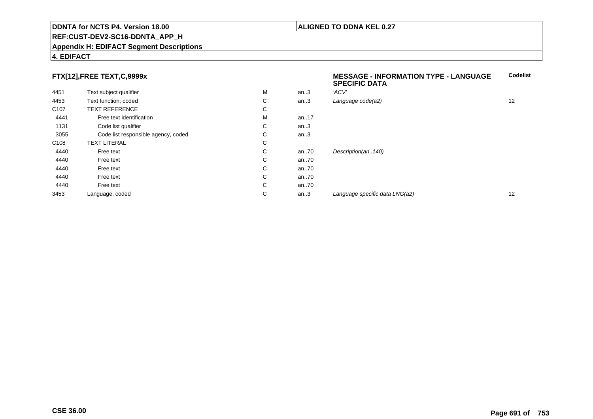#### **REF:CUST-DEV2-SC16-DDNTA\_APP\_H**

#### **Appendix H: EDIFACT Segment Descriptions**

#### **FTX[12],FREE TEXT,C,9999x**

|                  | $\ldots$                            |    |      | <b>SPECIFIC DATA</b>           |                   |
|------------------|-------------------------------------|----|------|--------------------------------|-------------------|
| 4451             | Text subject qualifier              | M  | an.3 | 'ACV'                          |                   |
| 4453             | Text function, coded                | C  | an.3 | Language code(a2)              | $12 \overline{ }$ |
| C <sub>107</sub> | <b>TEXT REFERENCE</b>               | C  |      |                                |                   |
| 4441             | Free text identification            | M  | an17 |                                |                   |
| 1131             | Code list qualifier                 | C. | an.3 |                                |                   |
| 3055             | Code list responsible agency, coded | C  | an.3 |                                |                   |
| C108             | <b>TEXT LITERAL</b>                 | C  |      |                                |                   |
| 4440             | Free text                           | C  | an70 | Description(an140)             |                   |
| 4440             | Free text                           | C  | an70 |                                |                   |
| 4440             | Free text                           | C  | an70 |                                |                   |
| 4440             | Free text                           | C  | an70 |                                |                   |
| 4440             | Free text                           | C  | an70 |                                |                   |
| 3453             | Language, coded                     | C  | an.3 | Language specific data LNG(a2) | $12 \overline{ }$ |
|                  |                                     |    |      |                                |                   |

# **4. EDIFACT**

**Codelist**

#### **ALIGNED TO DDNA KEL 0.27**

**MESSAGE - INFORMATION TYPE - LANGUAGE**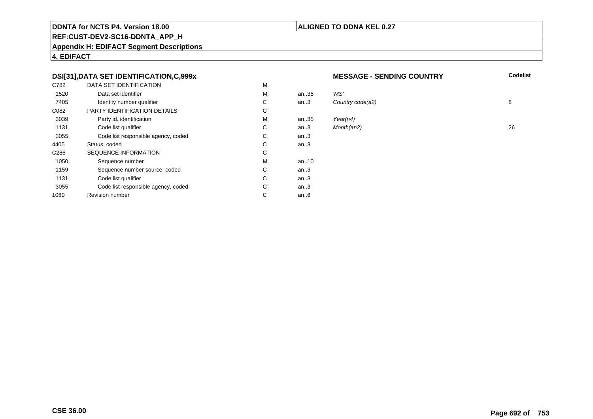#### **ALIGNED TO DDNA KEL 0.27**

## **REF:CUST-DEV2-SC16-DDNTA\_APP\_H**

**Appendix H: EDIFACT Segment Descriptions**

**4. EDIFACT**

#### **DSI[31],DATA SET IDENTIFICATION,C,999x**

| C782             | DATA SET IDENTIFICATION             | M |        |          |
|------------------|-------------------------------------|---|--------|----------|
| 1520             | Data set identifier                 | M | an35   | 'MS'     |
| 7405             | Identity number qualifier           | C | an $3$ | Country  |
| C082             | PARTY IDENTIFICATION DETAILS        | C |        |          |
| 3039             | Party id. identification            | M | an35   | Year(n4) |
| 1131             | Code list qualifier                 | C | an $3$ | Month(al |
| 3055             | Code list responsible agency, coded | C | an $3$ |          |
| 4405             | Status, coded                       | C | an.3   |          |
| C <sub>286</sub> | <b>SEQUENCE INFORMATION</b>         | C |        |          |
| 1050             | Sequence number                     | M | an10   |          |
| 1159             | Sequence number source, coded       | C | an $3$ |          |
| 1131             | Code list qualifier                 | C | an $3$ |          |
| 3055             | Code list responsible agency, coded | C | an.3   |          |
| 1060             | <b>Revision number</b>              | С | an6    |          |
|                  |                                     |   |        |          |

#### **MESSAGE - SENDING COUNTRY**

**Codelist**

| М<br>С | an35<br>an.3 | 'MS'<br>Country code(a2) | 8  |
|--------|--------------|--------------------------|----|
| C.     |              |                          |    |
| М      | an35         | Year( $n4$ )             |    |
| С      | an.3         | Month(an2)               | 26 |
| С      | an.3         |                          |    |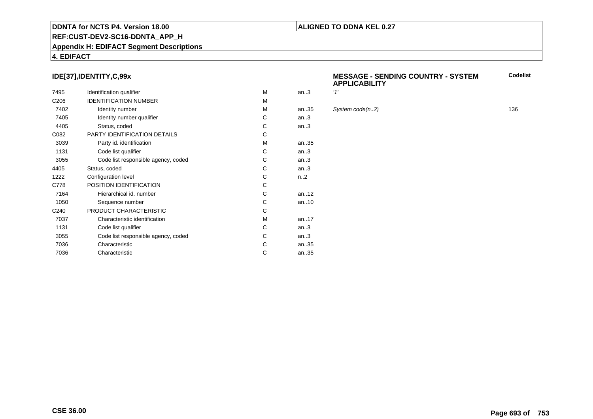### **REF:CUST-DEV2-SC16-DDNTA\_APP\_H**

#### **Appendix H: EDIFACT Segment Descriptions**

#### **4. EDIFACT**

#### **IDE[37],IDENTITY,C,99x**

| 7495             | Identification qualifier            | M | an.3             | '1' |
|------------------|-------------------------------------|---|------------------|-----|
| C <sub>206</sub> | <b>IDENTIFICATION NUMBER</b>        | M |                  |     |
| 7402             | Identity number                     | M | an35             | S)  |
| 7405             | Identity number qualifier           | С | an.3             |     |
| 4405             | Status, coded                       | C | an.3             |     |
| C082             | <b>PARTY IDENTIFICATION DETAILS</b> | C |                  |     |
| 3039             | Party id. identification            | M | an35             |     |
| 1131             | Code list qualifier                 | C | an.3             |     |
| 3055             | Code list responsible agency, coded | С | an.3             |     |
| 4405             | Status, coded                       | C | an.3             |     |
| 1222             | Configuration level                 | C | n <sub>1</sub> 2 |     |
| C778             | POSITION IDENTIFICATION             | C |                  |     |
| 7164             | Hierarchical id. number             | C | an $.12$         |     |
| 1050             | Sequence number                     | C | an10             |     |
| C <sub>240</sub> | PRODUCT CHARACTERISTIC              | C |                  |     |
| 7037             | Characteristic identification       | м | an17             |     |
| 1131             | Code list qualifier                 | С | an.3             |     |
| 3055             | Code list responsible agency, coded | С | an.3             |     |
| 7036             | Characteristic                      | C | an35             |     |
| 7036             | Characteristic                      | С | an35             |     |
|                  |                                     |   |                  |     |

#### **MESSAGE - SENDING COUNTRY - SYSTEMAPPLICABILITYCodelist**

#### $System code(n.2)$  136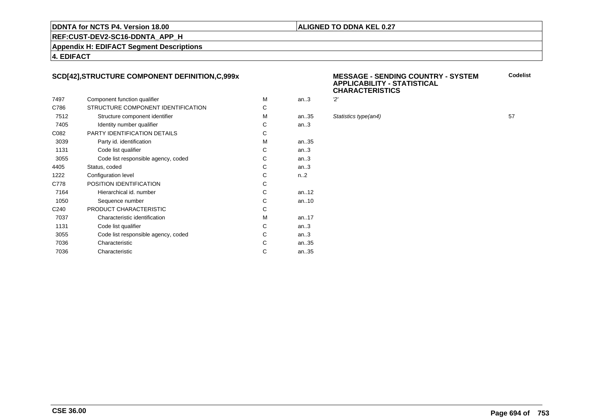#### **ALIGNED TO DDNA KEL 0.27**

**REF:CUST-DEV2-SC16-DDNTA\_APP\_H**

**Appendix H: EDIFACT Segment Descriptions**

#### **4. EDIFACT**

#### **SCD[42],STRUCTURE COMPONENT DEFINITION,C,999x**

|                  |                                     |   |                  | ັ         |
|------------------|-------------------------------------|---|------------------|-----------|
| 7497             | Component function qualifier        | м | an.3             | 2'        |
| C786             | STRUCTURE COMPONENT IDENTIFICATION  | C |                  |           |
| 7512             | Structure component identifier      | M | an35             | <b>St</b> |
| 7405             | Identity number qualifier           | C | an.3             |           |
| C082             | <b>PARTY IDENTIFICATION DETAILS</b> | C |                  |           |
| 3039             | Party id. identification            | М | an.35            |           |
| 1131             | Code list qualifier                 | C | an.3             |           |
| 3055             | Code list responsible agency, coded | С | an.3             |           |
| 4405             | Status, coded                       | C | an.3             |           |
| 1222             | Configuration level                 | C | n <sub>1</sub> 2 |           |
| C778             | POSITION IDENTIFICATION             | C |                  |           |
| 7164             | Hierarchical id. number             | C | an. $.12$        |           |
| 1050             | Sequence number                     | C | an $.10$         |           |
| C <sub>240</sub> | PRODUCT CHARACTERISTIC              | C |                  |           |
| 7037             | Characteristic identification       | M | an. $17$         |           |
| 1131             | Code list qualifier                 | C | an.3             |           |
| 3055             | Code list responsible agency, coded | C | an.3             |           |
| 7036             | Characteristic                      | С | an35             |           |
| 7036             | Characteristic                      | С | an35             |           |
|                  |                                     |   |                  |           |

#### **MESSAGE - SENDING COUNTRY - SYSTEMAPPLICABILITY - STATISTICALCHARACTERISTICSCodelist**

| М  | an.3 | 'יפ                  |    |
|----|------|----------------------|----|
| C. |      |                      |    |
| М  | an35 | Statistics type(an4) | 57 |
| C. | an.3 |                      |    |
| C. |      |                      |    |
| М  | an35 |                      |    |
|    |      |                      |    |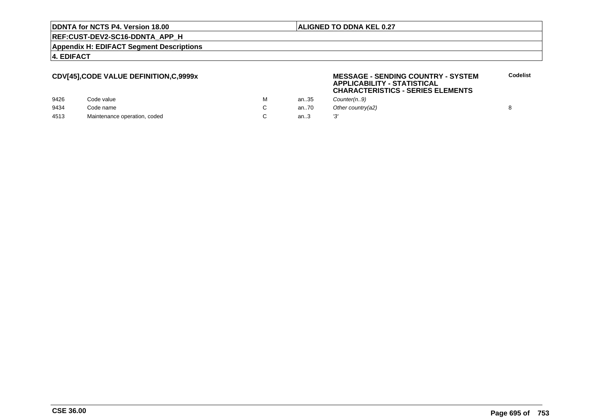#### **ALIGNED TO DDNA KEL 0.27**

**MESSAGE - SENDING COUNTRY - SYSTEM**

**APPLICABILITY - STATISTICAL**

### **REF:CUST-DEV2-SC16-DDNTA\_APP\_H**

**Appendix H: EDIFACT Segment Descriptions**

#### **4. EDIFACT**

#### **CDV[45],CODE VALUE DEFINITION,C,9999x**

|      |                              |   |      | <b>CHARACTERISTICS - SERIES ELEMENTS</b> |  |
|------|------------------------------|---|------|------------------------------------------|--|
| 9426 | Code value                   | м | an35 | Counter(n9)                              |  |
| 9434 | Code name                    |   | an70 | Other country(a2)                        |  |
| 4513 | Maintenance operation, coded |   | an.3 |                                          |  |

**Codelist**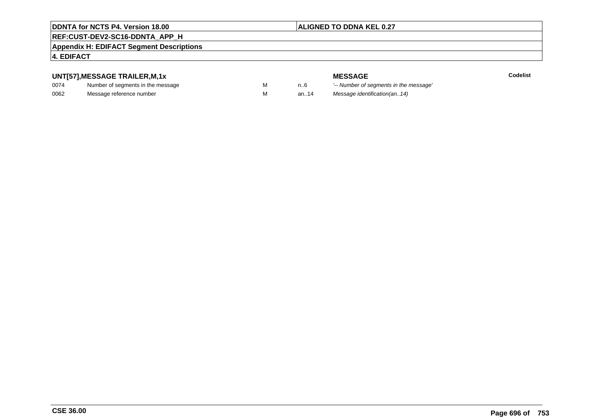### **ALIGNED TO DDNA KEL 0.27**

## **REF:CUST-DEV2-SC16-DDNTA\_APP\_H**

#### **Appendix H: EDIFACT Segment Descriptions**

### **4. EDIFACT**

### **UNT[57],MESSAGE TRAILER,M,1x**

| 0074 | Number of segments in the message |  |
|------|-----------------------------------|--|
| 0062 | Message reference number          |  |

**Codelist**

**MESSAGE**<br>M n.6 <sup>'--</sup> Number of s M carried manufacturer of segments in the message'<br>Carried manufacturer in the message's M an..14 Message identification(an..14)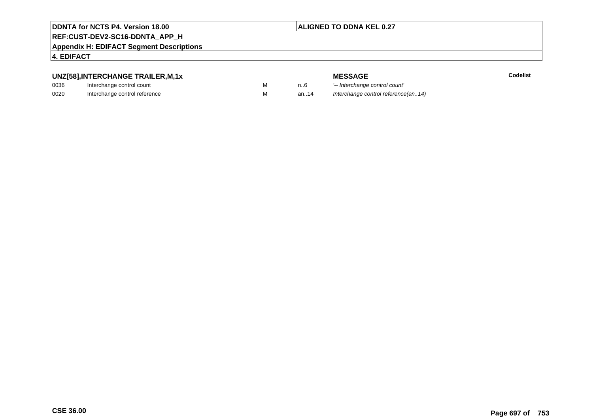#### **ALIGNED TO DDNA KEL 0.27**

## **REF:CUST-DEV2-SC16-DDNTA\_APP\_H**

**Appendix H: EDIFACT Segment Descriptions**

#### **4. EDIFACT**

### **UNZ[58],INTERCHANGE TRAILER,M,1x**

| 0036 | Interchange control count     |  |
|------|-------------------------------|--|
| 0020 | Interchange control reference |  |

| TUL IINAILLINIII, IA |  |
|----------------------|--|
| control count        |  |
| aantral rafaranaa    |  |

**E** Codelist

**MESSAGE**<br>M n.6 <sup>1-</sup>- Interchange M 1..6 <sup>'--</sup> Interchange control count'<br>M 3n..14 Interchange control reference Interchange control reference(an..14)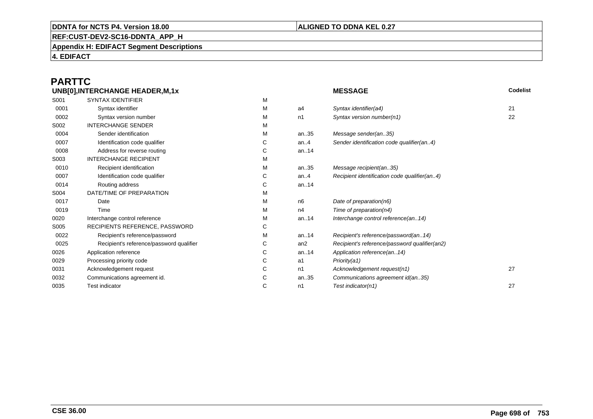#### **ALIGNED TO DDNA KEL 0.27**

**REF:CUST-DEV2-SC16-DDNTA\_APP\_H**

**Appendix H: EDIFACT Segment Descriptions**

**4. EDIFACT**

#### **PARTTCUNB[0],INTERCHANGE HEADER,M,1x**

| UNB[0], INTERCHANGE HEADER, M, 1x |                                          |   | <b>MESSAGE</b> | Codelist                                      |    |
|-----------------------------------|------------------------------------------|---|----------------|-----------------------------------------------|----|
| S001                              | <b>SYNTAX IDENTIFIER</b>                 | М |                |                                               |    |
| 0001                              | Syntax identifier                        | М | a4             | Syntax identifier(a4)                         | 21 |
| 0002                              | Syntax version number                    | М | n1             | Syntax version number(n1)                     | 22 |
| S002                              | <b>INTERCHANGE SENDER</b>                | М |                |                                               |    |
| 0004                              | Sender identification                    | М | an35           | Message sender(an35)                          |    |
| 0007                              | Identification code qualifier            | С | an. $4$        | Sender identification code qualifier(an4)     |    |
| 0008                              | Address for reverse routing              | С | an14           |                                               |    |
| S003                              | <b>INTERCHANGE RECIPIENT</b>             | М |                |                                               |    |
| 0010                              | Recipient identification                 | М | an35           | Message recipient(an35)                       |    |
| 0007                              | Identification code qualifier            | С | an. $4$        | Recipient identification code qualifier(an4)  |    |
| 0014                              | Routing address                          | С | an14           |                                               |    |
| S004                              | DATE/TIME OF PREPARATION                 | М |                |                                               |    |
| 0017                              | Date                                     | М | n6             | Date of preparation(n6)                       |    |
| 0019                              | Time                                     | М | n4             | Time of preparation( $n4$ )                   |    |
| 0020                              | Interchange control reference            | М | an14           | Interchange control reference(an14)           |    |
| S005                              | RECIPIENTS REFERENCE, PASSWORD           | С |                |                                               |    |
| 0022                              | Recipient's reference/password           | М | an14           | Recipient's reference/password(an14)          |    |
| 0025                              | Recipient's reference/password qualifier | С | an2            | Recipient's reference/password qualifier(an2) |    |
| 0026                              | Application reference                    | С | an14           | Application reference(an14)                   |    |
| 0029                              | Processing priority code                 | С | a1             | Priority(a1)                                  |    |
| 0031                              | Acknowledgement request                  | С | n1             | Acknowledgement request(n1)                   | 27 |
| 0032                              | Communications agreement id.             | С | an35           | Communications agreement id(an35)             |    |
| 0035                              | <b>Test indicator</b>                    | С | n1             | Test indicator(n1)                            | 27 |
|                                   |                                          |   |                |                                               |    |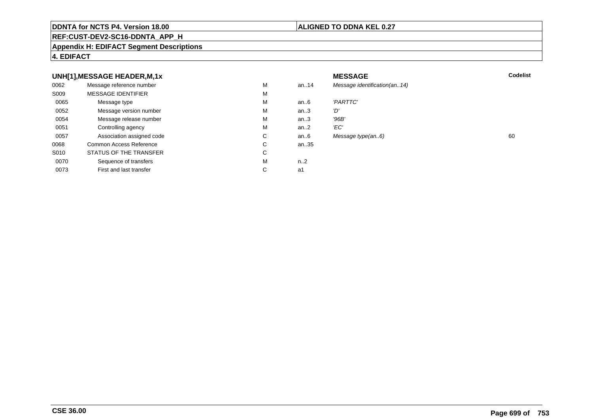#### **REF:CUST-DEV2-SC16-DDNTA\_APP\_H**

#### **Appendix H: EDIFACT Segment Descriptions**

#### **4. EDIFACT**

#### **UNH[1],MESSAGE HEADER,M,1xx** MESSAGE **Codelist** Codelist 0062 Message reference number <sup>M</sup> an..14 Message identification(an..14) S009 MESSAGE IDENTIFIERR M M 0065Message type Message version number and the Message version number and the Message of Message Message Message M an..6 'PARTTC'<br>an..3 'D' 0052Message version number<br>
Message release number<br>
M an..3 'D'<br>an..3 '96B' 0054Message release number Market and the Market Market Market Market Market Market Market Market Market Market Ma<br>
Market Market Market Market Market Market Market Market Market Market Market Market Market Market Market Marke an..3 '96B<br>an..2 'EC' 0051 Controlling agency <sup>M</sup>an $.2$ <br>an $.6$ 0057Association assigned code **C** C<br>
mmon Access Reference **C** C Message type(an..6) 60 0068Common Access Reference C<br>
STATUS OF THE TRANSFER
C an..35 S010 STATUS OF THE TRANSFERR C 0070Sequence of transfers M<br>
First and last transfer C n..2<br>a1 0073First and last transfer  $C \qquad \qquad$  a1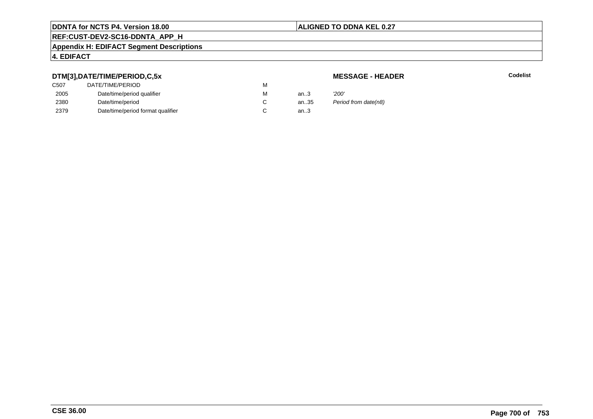#### **ALIGNED TO DDNA KEL 0.27**

# **REF:CUST-DEV2-SC16-DDNTA\_APP\_H**

#### **Appendix H: EDIFACT Segment Descriptions**

### **4. EDIFACT**

#### **DTM[3],DATE/TIME/PERIOD,C,5x**

| <b>MESSAGE - HEADER</b> |  |
|-------------------------|--|
|-------------------------|--|

**R** Codelist

| DTM[3],DATE/TIME/PERIOD,C,5x | <b>MESSAGE - HEADER</b>           |   |      |                      |
|------------------------------|-----------------------------------|---|------|----------------------|
| C <sub>50</sub> 7            | DATE/TIME/PERIOD                  | м |      |                      |
| 2005                         | Date/time/period qualifier        | М | an3  | '200'                |
| 2380                         | Date/time/period                  |   | an35 | Period from date(n8) |
| 2379                         | Date/time/period format qualifier |   | an.3 |                      |
|                              |                                   |   |      |                      |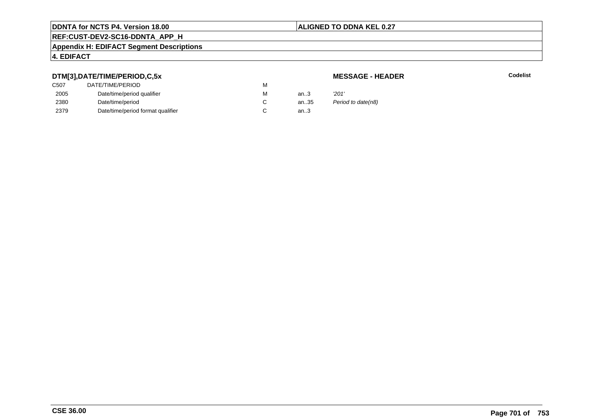#### **ALIGNED TO DDNA KEL 0.27**

# **REF:CUST-DEV2-SC16-DDNTA\_APP\_H**

#### **Appendix H: EDIFACT Segment Descriptions**

#### **4. EDIFACT**

#### **DTM[3],DATE/TIME/PERIOD,C,5x**

### **MESSAGE - HEADER**

**R** Codelist

| ---               |                                   |   |      |                    |
|-------------------|-----------------------------------|---|------|--------------------|
| C <sub>50</sub> 7 | DATE/TIME/PERIOD                  | М |      |                    |
| 2005              | Date/time/period qualifier        | M | an.3 | '201'              |
| 2380              | Date/time/period                  | ັ | an35 | Period to date(n8) |
| 2379              | Date/time/period format qualifier |   | an.3 |                    |
|                   |                                   |   |      |                    |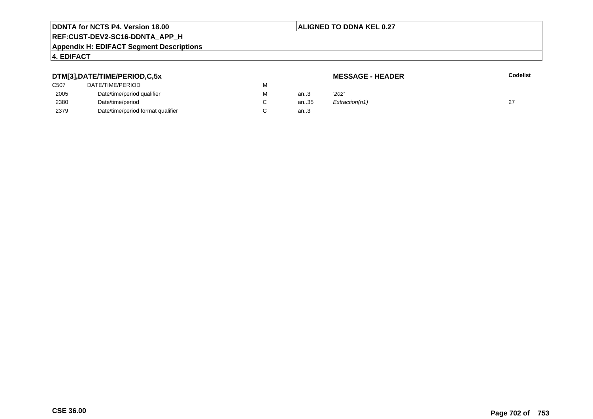#### **ALIGNED TO DDNA KEL 0.27**

# **REF:CUST-DEV2-SC16-DDNTA\_APP\_H**

#### **Appendix H: EDIFACT Segment Descriptions**

#### **4. EDIFACT**

#### **DTM[3],DATE/TIME/PERIOD,C,5xMESSAGE - HEADER R** Codelist C507 DATE/TIME/PERIODD<sub>N</sub> M 2005Date/time/period qualifier metals of the Material Material of the Material Material Material Material Material Material Material Material Material Material Material Material Material Material Material Material Material Mat M an..3 '2*02'* 2380Date/time/period<br>Date/time/period format qualifier example and contact C C an..35  $Extraction(n1)$  27 2379Date/time/period format qualifier an..3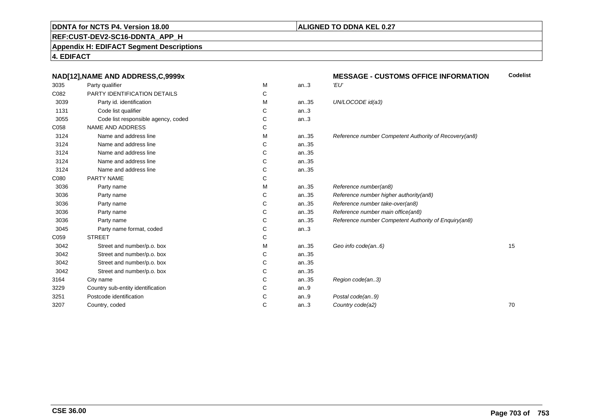#### **ALIGNED TO DDNA KEL 0.27**

# **REF:CUST-DEV2-SC16-DDNTA\_APP\_H**

**Appendix H: EDIFACT Segment Descriptions**

**4. EDIFACT**

|      | NAD[12], NAME AND ADDRESS, C, 9999x |   |      | <b>MESSAGE - CUSTOMS OFFICE INFORMATION</b>           | <b>Codelist</b> |
|------|-------------------------------------|---|------|-------------------------------------------------------|-----------------|
| 3035 | Party qualifier                     | М | an.3 | 'EU'                                                  |                 |
| C082 | PARTY IDENTIFICATION DETAILS        | С |      |                                                       |                 |
| 3039 | Party id. identification            | М | an35 | UN/LOCODE id(a3)                                      |                 |
| 1131 | Code list qualifier                 | C | an.3 |                                                       |                 |
| 3055 | Code list responsible agency, coded | C | an.3 |                                                       |                 |
| C058 | <b>NAME AND ADDRESS</b>             | С |      |                                                       |                 |
| 3124 | Name and address line               | м | an35 | Reference number Competent Authority of Recovery(an8) |                 |
| 3124 | Name and address line               | С | an35 |                                                       |                 |
| 3124 | Name and address line               | С | an35 |                                                       |                 |
| 3124 | Name and address line               | С | an35 |                                                       |                 |
| 3124 | Name and address line               | С | an35 |                                                       |                 |
| C080 | PARTY NAME                          | С |      |                                                       |                 |
| 3036 | Party name                          | м | an35 | Reference number(an8)                                 |                 |
| 3036 | Party name                          | С | an35 | Reference number higher authority(an8)                |                 |
| 3036 | Party name                          | С | an35 | Reference number take-over(an8)                       |                 |
| 3036 | Party name                          | С | an35 | Reference number main office(an8)                     |                 |
| 3036 | Party name                          | С | an35 | Reference number Competent Authority of Enquiry(an8)  |                 |
| 3045 | Party name format, coded            | С | an.3 |                                                       |                 |
| C059 | <b>STREET</b>                       | С |      |                                                       |                 |
| 3042 | Street and number/p.o. box          | м | an35 | Geo info code(an6)                                    | 15              |
| 3042 | Street and number/p.o. box          | С | an35 |                                                       |                 |
| 3042 | Street and number/p.o. box          | С | an35 |                                                       |                 |
| 3042 | Street and number/p.o. box          | С | an35 |                                                       |                 |
| 3164 | City name                           | C | an35 | Region code(an3)                                      |                 |
| 3229 | Country sub-entity identification   | С | an.9 |                                                       |                 |
| 3251 | Postcode identification             | С | an.9 | Postal code(an9)                                      |                 |
| 3207 | Country, coded                      | С | an.3 | Country code(a2)                                      | 70              |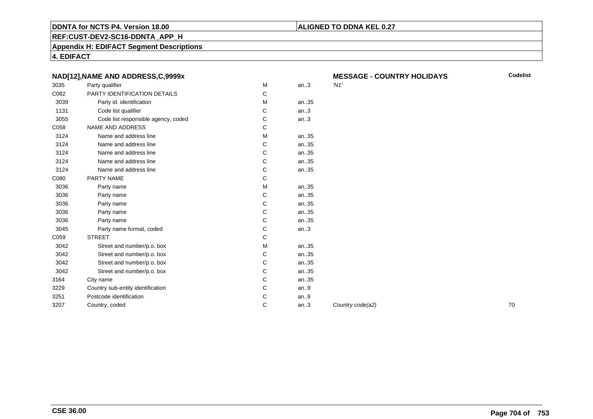#### **ALIGNED TO DDNA KEL 0.27**

**REF:CUST-DEV2-SC16-DDNTA\_APP\_H**

**Appendix H: EDIFACT Segment Descriptions**

**4. EDIFACT**

|      | NAD[12], NAME AND ADDRESS, C, 9999x |   |       | ME      |
|------|-------------------------------------|---|-------|---------|
| 3035 | Party qualifier                     | M | an.3  | $'$ N1' |
| C082 | PARTY IDENTIFICATION DETAILS        | C |       |         |
| 3039 | Party id. identification            | м | an35  |         |
| 1131 | Code list qualifier                 | С | an.3  |         |
| 3055 | Code list responsible agency, coded | C | an.3  |         |
| C058 | <b>NAME AND ADDRESS</b>             | C |       |         |
| 3124 | Name and address line               | M | an35  |         |
| 3124 | Name and address line               | C | an35  |         |
| 3124 | Name and address line               | C | an35  |         |
| 3124 | Name and address line               | C | an35  |         |
| 3124 | Name and address line               | C | an35  |         |
| C080 | PARTY NAME                          | C |       |         |
| 3036 | Party name                          | M | an35  |         |
| 3036 | Party name                          | C | an35  |         |
| 3036 | Party name                          | C | an35  |         |
| 3036 | Party name                          | C | an35  |         |
| 3036 | Party name                          | C | an.35 |         |
| 3045 | Party name format, coded            | C | an.3  |         |
| C059 | <b>STREET</b>                       | C |       |         |
| 3042 | Street and number/p.o. box          | м | an35  |         |
| 3042 | Street and number/p.o. box          | C | an35  |         |
| 3042 | Street and number/p.o. box          | C | an35  |         |
| 3042 | Street and number/p.o. box          | C | an.35 |         |
| 3164 | City name                           | C | an35  |         |
| 3229 | Country sub-entity identification   | C | an.9  |         |
| 3251 | Postcode identification             | C | an.9  |         |
| 3207 | Country, coded                      | C | an.3  | Cou     |
|      |                                     |   |       |         |

**MESSAGE - COUNTRY HOLIDAYS**

**Codelist**

an... Country code(a2) **70**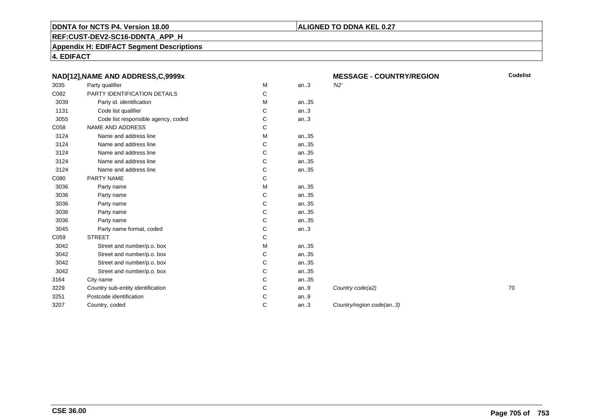#### **ALIGNED TO DDNA KEL 0.27**

**MESSAGE - COUNTRY/REGION**

**REF:CUST-DEV2-SC16-DDNTA\_APP\_H**

**Appendix H: EDIFACT Segment Descriptions**

**4. EDIFACT**

|      | NAD[12], NAME AND ADDRESS, C, 9999x |   |      | <b>MESSAGE - COUNTRY/REGION</b> | C  |
|------|-------------------------------------|---|------|---------------------------------|----|
| 3035 | Party qualifier                     | М | an.3 | $'$ N2'                         |    |
| C082 | PARTY IDENTIFICATION DETAILS        | C |      |                                 |    |
| 3039 | Party id. identification            | м | an35 |                                 |    |
| 1131 | Code list qualifier                 | C | an.3 |                                 |    |
| 3055 | Code list responsible agency, coded | С | an.3 |                                 |    |
| C058 | <b>NAME AND ADDRESS</b>             | С |      |                                 |    |
| 3124 | Name and address line               | M | an35 |                                 |    |
| 3124 | Name and address line               | С | an35 |                                 |    |
| 3124 | Name and address line               | C | an35 |                                 |    |
| 3124 | Name and address line               | C | an35 |                                 |    |
| 3124 | Name and address line               | С | an35 |                                 |    |
| C080 | PARTY NAME                          | С |      |                                 |    |
| 3036 | Party name                          | M | an35 |                                 |    |
| 3036 | Party name                          | С | an35 |                                 |    |
| 3036 | Party name                          | C | an35 |                                 |    |
| 3036 | Party name                          | C | an35 |                                 |    |
| 3036 | Party name                          | С | an35 |                                 |    |
| 3045 | Party name format, coded            | C | an.3 |                                 |    |
| C059 | <b>STREET</b>                       | С |      |                                 |    |
| 3042 | Street and number/p.o. box          | М | an35 |                                 |    |
| 3042 | Street and number/p.o. box          | С | an35 |                                 |    |
| 3042 | Street and number/p.o. box          | С | an35 |                                 |    |
| 3042 | Street and number/p.o. box          | С | an35 |                                 |    |
| 3164 | City name                           | C | an35 |                                 |    |
| 3229 | Country sub-entity identification   | C | an.9 | Country code(a2)                | 70 |
| 3251 | Postcode identification             | С | an.9 |                                 |    |
| 3207 | Country, coded                      | С | an.3 | Country/region code(an3)        |    |
|      |                                     |   |      |                                 |    |

**Codelist**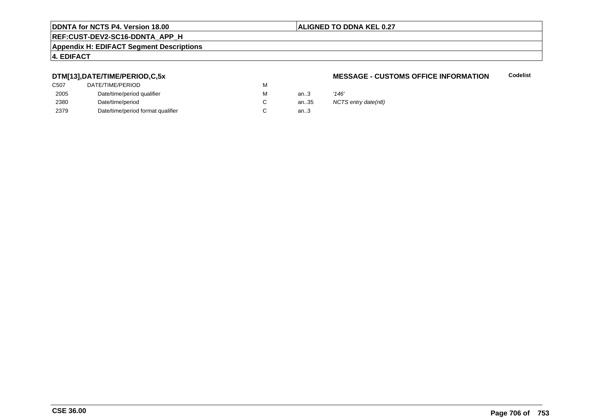#### **ALIGNED TO DDNA KEL 0.27**

# **REF:CUST-DEV2-SC16-DDNTA\_APP\_H**

#### **Appendix H: EDIFACT Segment Descriptions**

### **4. EDIFACT**

#### **DTM[13],DATE/TIME/PERIOD,C,5x**

| DATE/TIME/PERIOD                  | М |          |            |
|-----------------------------------|---|----------|------------|
| Date/time/period qualifier        | М | an $3$   | '146'      |
| Date/time/period                  |   | an $.35$ | <b>NCT</b> |
| Date/time/period format qualifier |   | an.3     |            |
|                                   |   |          |            |

#### **MESSAGE - CUSTOMS OFFICE INFORMATIONCodelist**

NCTS entry date(n8)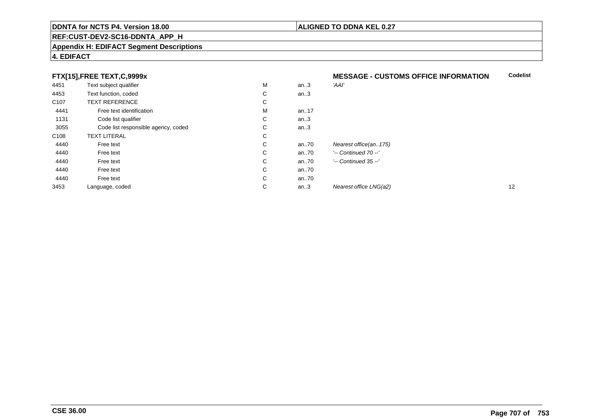#### **REF:CUST-DEV2-SC16-DDNTA\_APP\_H**

#### **Appendix H: EDIFACT Segment Descriptions**

#### **4. EDIFACT**

#### **FTX[15],FREE TEXT,C,9999x**

|                  | FTX[15], FREE TEXT, C, 9999x        |   |       | <b>MESSAGE - CUSTOMS OFFICE INFORMATION</b> | <b>Codelis</b> |
|------------------|-------------------------------------|---|-------|---------------------------------------------|----------------|
| 4451             | Text subject qualifier              | M | an.3  | 'AAI'                                       |                |
| 4453             | Text function, coded                | С | an.3  |                                             |                |
| C <sub>107</sub> | <b>TEXT REFERENCE</b>               | С |       |                                             |                |
| 4441             | Free text identification            | M | an.17 |                                             |                |
| 1131             | Code list qualifier                 | С | an.3  |                                             |                |
| 3055             | Code list responsible agency, coded | C | an.3  |                                             |                |
| C <sub>108</sub> | <b>TEXT LITERAL</b>                 | С |       |                                             |                |
| 4440             | Free text                           | C | an70  | Nearest office(an175)                       |                |
| 4440             | Free text                           | C | an.70 | $'-$ Continued 70 $-$ '                     |                |
| 4440             | Free text                           | C | an70  | $'-$ Continued 35 $-$ '                     |                |
| 4440             | Free text                           | C | an70  |                                             |                |
| 4440             | Free text                           | C | an70  |                                             |                |
| 3453             | Language, coded                     | C | an.3  | Nearest office LNG(a2)                      | 12             |

**Codelist**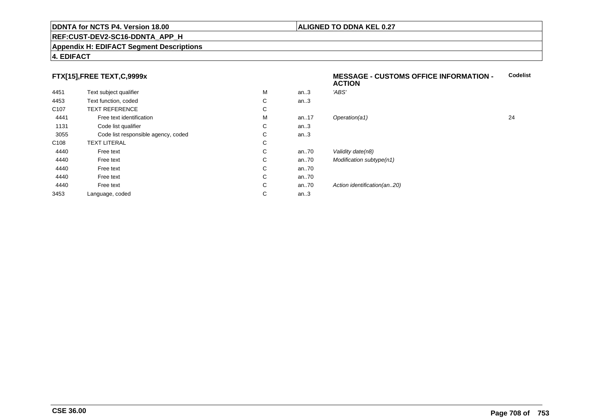#### **REF:CUST-DEV2-SC16-DDNTA\_APP\_H**

#### **Appendix H: EDIFACT Segment Descriptions**

### **4. EDIFACT**

#### **FTX[15],FREE TEXT,C,9999x**

| 4451             | Text subject qualifier              | M | an.3    | 'ABS'                       |    |
|------------------|-------------------------------------|---|---------|-----------------------------|----|
| 4453             | Text function, coded                | С | an.3    |                             |    |
| C <sub>107</sub> | <b>TEXT REFERENCE</b>               | С |         |                             |    |
| 4441             | Free text identification            | M | an17    | Operation(a1)               | 24 |
| 1131             | Code list qualifier                 | С | an.3    |                             |    |
| 3055             | Code list responsible agency, coded | С | an.3    |                             |    |
| C <sub>108</sub> | <b>TEXT LITERAL</b>                 | С |         |                             |    |
| 4440             | Free text                           | С | an70    | Validity date(n8)           |    |
| 4440             | Free text                           | C | an70    | Modification subtype(n1)    |    |
| 4440             | Free text                           | С | an70    |                             |    |
| 4440             | Free text                           | C | an70    |                             |    |
| 4440             | Free text                           | С | an70    | Action identification(an20) |    |
| 3453             | Language, coded                     | С | an. $3$ |                             |    |
|                  |                                     |   |         |                             |    |

#### **MESSAGE - CUSTOMS OFFICE INFORMATION - ACTIONCodelist**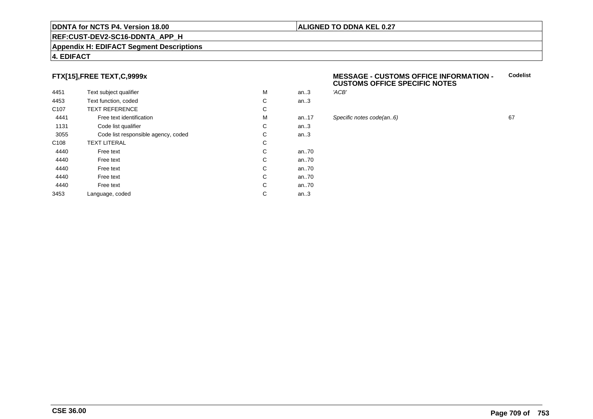#### **REF:CUST-DEV2-SC16-DDNTA\_APP\_H**

#### **Appendix H: EDIFACT Segment Descriptions**

#### **4. EDIFACT**

#### **FTX[15],FREE TEXT,C,9999x**

| 4451             | Text subject qualifier              | M | an.3  | 'ACB' |
|------------------|-------------------------------------|---|-------|-------|
| 4453             | Text function, coded                | С | an.3  |       |
| C <sub>107</sub> | <b>TEXT REFERENCE</b>               | С |       |       |
| 4441             | Free text identification            | M | an.17 | Speci |
| 1131             | Code list qualifier                 | С | an.3  |       |
| 3055             | Code list responsible agency, coded | С | an.3  |       |
| C <sub>108</sub> | <b>TEXT LITERAL</b>                 | C |       |       |
| 4440             | Free text                           | С | an70  |       |
| 4440             | Free text                           | С | an.70 |       |
| 4440             | Free text                           | С | an70  |       |
| 4440             | Free text                           | С | an70  |       |
| 4440             | Free text                           | С | an70  |       |
| 3453             | Language, coded                     | С | an.3  |       |
|                  |                                     |   |       |       |

#### **MESSAGE - CUSTOMS OFFICE INFORMATION - CUSTOMS OFFICE SPECIFIC NOTESCodelist**

**ALIGNED TO DDNA KEL 0.27**

# an..17 Specific notes code(an..6) <sup>67</sup>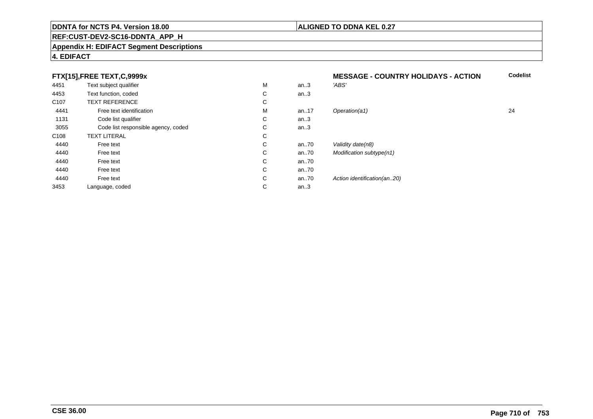#### **REF:CUST-DEV2-SC16-DDNTA\_APP\_H**

#### **Appendix H: EDIFACT Segment Descriptions**

#### **4. EDIFACT**

### **FTX[15],FREE TEXT,C,9999x**

| 4451             | Text subject qualifier              | M | an.3  | 'ABS'                       |
|------------------|-------------------------------------|---|-------|-----------------------------|
| 4453             | Text function, coded                | С | an.3  |                             |
| C <sub>107</sub> | <b>TEXT REFERENCE</b>               | С |       |                             |
| 4441             | Free text identification            | M | an.17 | Operation(a1)               |
| 1131             | Code list qualifier                 | С | an.3  |                             |
| 3055             | Code list responsible agency, coded | С | an.3  |                             |
| C <sub>108</sub> | <b>TEXT LITERAL</b>                 | С |       |                             |
| 4440             | Free text                           | С | an70  | Validity date(n8)           |
| 4440             | Free text                           | С | an70  | Modification subtype(n1)    |
| 4440             | Free text                           | С | an70  |                             |
| 4440             | Free text                           | С | an70  |                             |
| 4440             | Free text                           | С | an70  | Action identification(an20) |
| 3453             | Language, coded                     | С | an.3  |                             |
|                  |                                     |   |       |                             |

 **MESSAGE - COUNTRY HOLIDAYS - ACTION Codelist** M an..17 Operation(a1) 24

**CSE 36.00**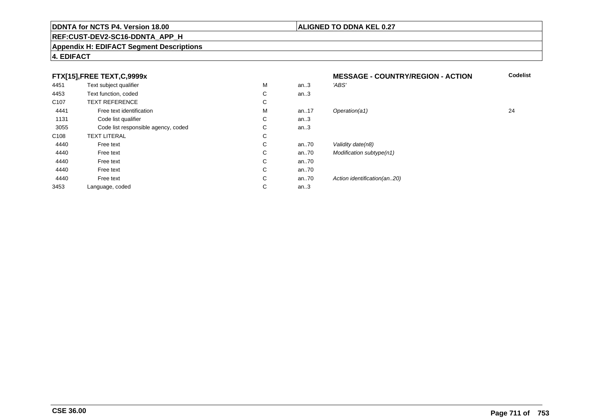### **REF:CUST-DEV2-SC16-DDNTA\_APP\_H**

#### **Appendix H: EDIFACT Segment Descriptions**

#### **4. EDIFACT**

#### **FTX[15],FREE TEXT,C,9999x**

|                  | $\sqrt{2}$ , $\sqrt{2}$ , $\sqrt{2}$ |   |      |                              |    |
|------------------|--------------------------------------|---|------|------------------------------|----|
| 4451             | Text subject qualifier               | M | an.3 | 'ABS'                        |    |
| 4453             | Text function, coded                 | С | an.3 |                              |    |
| C <sub>107</sub> | <b>TEXT REFERENCE</b>                | С |      |                              |    |
| 4441             | Free text identification             | M | an17 | Operation(a1)                | 24 |
| 1131             | Code list qualifier                  | С | an.3 |                              |    |
| 3055             | Code list responsible agency, coded  | С | an.3 |                              |    |
| C108             | <b>TEXT LITERAL</b>                  | С |      |                              |    |
| 4440             | Free text                            | С | an70 | Validity date(n8)            |    |
| 4440             | Free text                            | С | an70 | Modification subtype(n1)     |    |
| 4440             | Free text                            | С | an70 |                              |    |
| 4440             | Free text                            | С | an70 |                              |    |
| 4440             | Free text                            | С | an70 | Action identification (an20) |    |
| 3453             | Language, coded                      | С | an.3 |                              |    |
|                  |                                      |   |      |                              |    |

 **MESSAGE - COUNTRY/REGION - ACTIONCodelist**

## **CSE 36.00**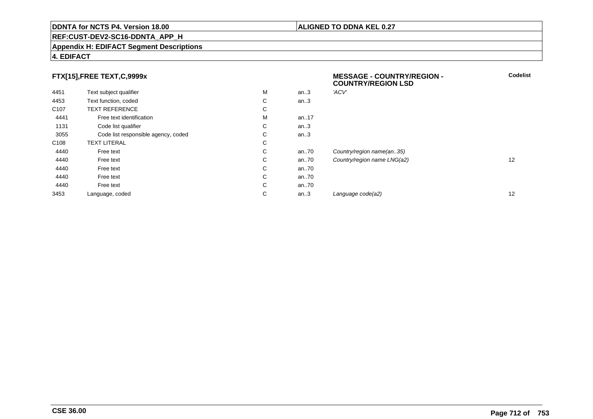#### **REF:CUST-DEV2-SC16-DDNTA\_APP\_H**

#### **Appendix H: EDIFACT Segment Descriptions**

#### **4. EDIFACT**

#### **FTX[15],FREE TEXT,C,9999x**

|                  |                                     |   |          | <b>COUNTRY/REGION LSD</b>   |    |
|------------------|-------------------------------------|---|----------|-----------------------------|----|
| 4451             | Text subject qualifier              | M | an.3     | 'ACV'                       |    |
| 4453             | Text function, coded                | C | an.3     |                             |    |
| C <sub>107</sub> | <b>TEXT REFERENCE</b>               | C |          |                             |    |
| 4441             | Free text identification            | M | an17     |                             |    |
| 1131             | Code list qualifier                 | C | an.3     |                             |    |
| 3055             | Code list responsible agency, coded | С | an.3     |                             |    |
| C <sub>108</sub> | <b>TEXT LITERAL</b>                 | С |          |                             |    |
| 4440             | Free text                           | C | an.70    | Country/region name(an35)   |    |
| 4440             | Free text                           | C | an.70    | Country/region name LNG(a2) | 12 |
| 4440             | Free text                           | С | an.70    |                             |    |
| 4440             | Free text                           | C | an $.70$ |                             |    |
| 4440             | Free text                           | С | an $.70$ |                             |    |
| 3453             | Language, coded                     | С | an.3     | Language code(a2)           | 12 |

#### **ALIGNED TO DDNA KEL 0.27**

**MESSAGE - COUNTRY/REGION -**

**Codelist**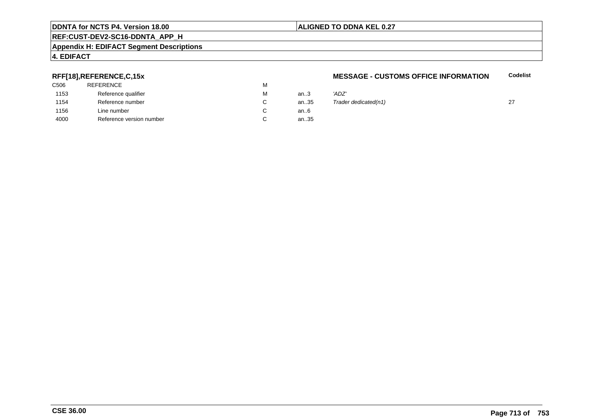## **ALIGNED TO DDNA KEL 0.27**

# **REF:CUST-DEV2-SC16-DDNTA\_APP\_H**

#### **Appendix H: EDIFACT Segment Descriptions**

### **4. EDIFACT**

#### **RFF[18],REFERENCE,C,15x**

| 'ADZ'         |
|---------------|
| Trade<br>an35 |
|               |
| an35          |
| an.3<br>an6   |

#### **MESSAGE - CUSTOMS OFFICE INFORMATION**

**Codelist**

| М  | an.3 | 'ADZ'                |  |
|----|------|----------------------|--|
| C. | an35 | Trader dedicated(n1) |  |
| C. | an6  |                      |  |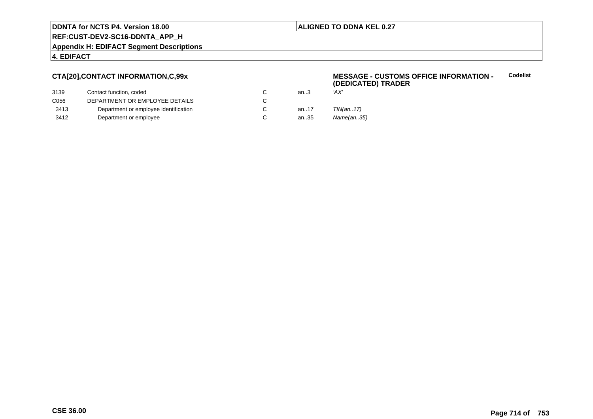#### **ALIGNED TO DDNA KEL 0.27**

**REF:CUST-DEV2-SC16-DDNTA\_APP\_H**

**Appendix H: EDIFACT Segment Descriptions**

#### **4. EDIFACT**

#### **CTA[20],CONTACT INFORMATION,C,99x**

| Contact function, coded               | an.3 | 'AX'      |
|---------------------------------------|------|-----------|
| DEPARTMENT OR EMPLOYEE DETAILS        |      |           |
| Department or employee identification | an17 | TIN(an17) |
| Department or employee                | an35 | Name(an3  |
|                                       |      |           |

#### **MESSAGE - CUSTOMS OFFICE INFORMATION - (DEDICATED) TRADERCodelist**

- 
- e(an..35)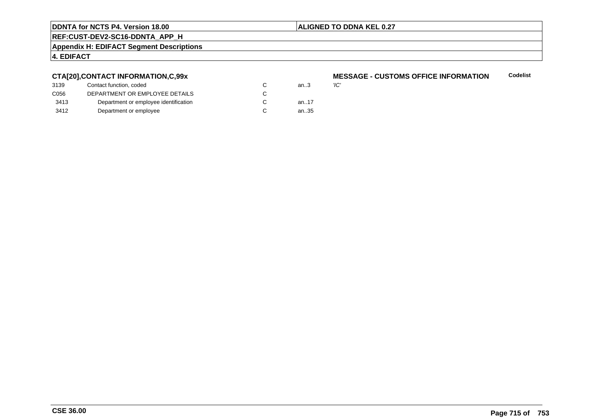#### **ALIGNED TO DDNA KEL 0.27**

**REF:CUST-DEV2-SC16-DDNTA\_APP\_H**

**Appendix H: EDIFACT Segment Descriptions**

### **4. EDIFACT**

#### **CTA[20],CONTACT INFORMATION,C,99x**

| 3139 | Contact function, coded               | an $3$ | 'ІС' |
|------|---------------------------------------|--------|------|
| C056 | DEPARTMENT OR EMPLOYEE DETAILS        |        |      |
| 3413 | Department or employee identification | an17   |      |
| 3412 | Department or employee                | an35   |      |

#### **MESSAGE - CUSTOMS OFFICE INFORMATION Codelist**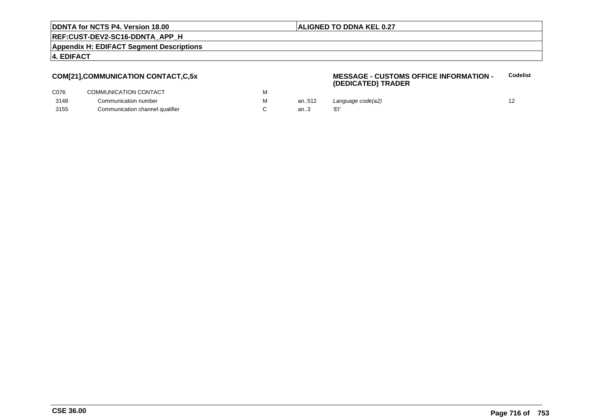#### **ALIGNED TO DDNA KEL 0.27**

**REF:CUST-DEV2-SC16-DDNTA\_APP\_H**

**Appendix H: EDIFACT Segment Descriptions**

#### **4. EDIFACT**

#### **COM[21],COMMUNICATION CONTACT,C,5x**

#### **MESSAGE - CUSTOMS OFFICE INFORMATION - (DEDICATED) TRADERCodelist**

| C076 | COMMUNICATION CONTACT           |       |                   |  |
|------|---------------------------------|-------|-------------------|--|
| 3148 | Communication number            | an512 | Language code(a2) |  |
| 3155 | Communication channel qualifier |       |                   |  |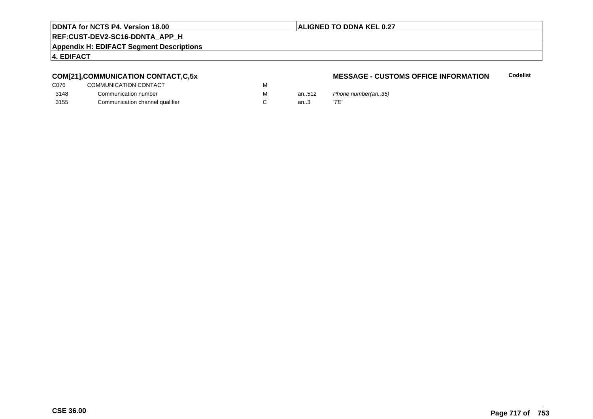#### **ALIGNED TO DDNA KEL 0.27**

### **REF:CUST-DEV2-SC16-DDNTA\_APP\_H**

**Appendix H: EDIFACT Segment Descriptions**

#### **4. EDIFACT**

### **COM[21],COMMUNICATION CONTACT,C,5x**

| C076 | COMMUNICATION CONTACT           | м |
|------|---------------------------------|---|
| 3148 | Communication number            | м |
| 3155 | Communication channel qualifier |   |

#### **MESSAGE - CUSTOMS OFFICE INFORMATIONCodelist**

an..512 Phone number(an..35)<br>an..3  $T E'$ an.. $3$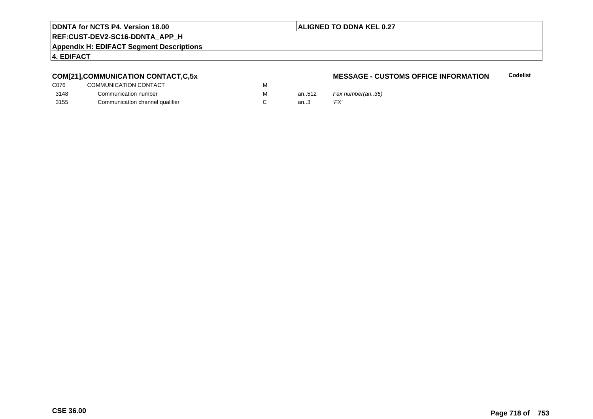#### **ALIGNED TO DDNA KEL 0.27**

### **REF:CUST-DEV2-SC16-DDNTA\_APP\_H**

**Appendix H: EDIFACT Segment Descriptions**

#### **4. EDIFACT**

### **COM[21],COMMUNICATION CONTACT,C,5x**

| C076 | COMMUNICATION CONTACT           | м |       |      |
|------|---------------------------------|---|-------|------|
| 3148 | Communication number            | м | an512 | Fax  |
| 3155 | Communication channel qualifier |   | an.3  | 'FX' |

#### **MESSAGE - CUSTOMS OFFICE INFORMATIONCodelist**

.512 *Fax number(an..35)*<br>.3 *'FX'*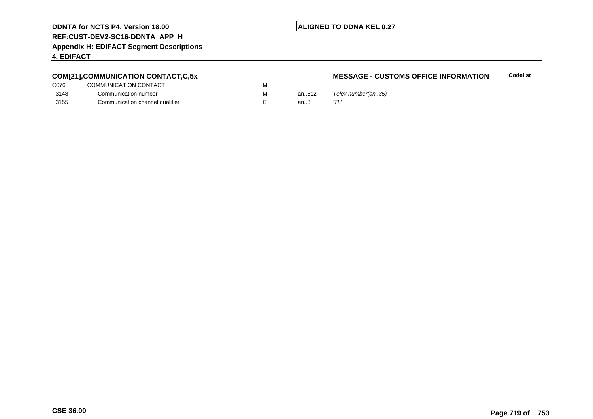#### **ALIGNED TO DDNA KEL 0.27**

### **REF:CUST-DEV2-SC16-DDNTA\_APP\_H**

**Appendix H: EDIFACT Segment Descriptions**

#### **4. EDIFACT**

### **COM[21],COMMUNICATION CONTACT,C,5x**

| C076 | COMMUNICATION CONTACT           | M |
|------|---------------------------------|---|
| 3148 | Communication number            | м |
| 3155 | Communication channel qualifier |   |

#### **MESSAGE - CUSTOMS OFFICE INFORMATIONCodelist**

an..512  $T$ elex number(an..35)<br>an..3  $T\text{L}'$ an.. $3$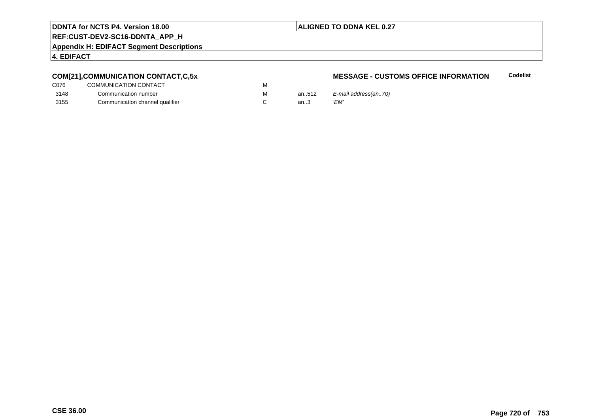#### **ALIGNED TO DDNA KEL 0.27**

### **REF:CUST-DEV2-SC16-DDNTA\_APP\_H**

**Appendix H: EDIFACT Segment Descriptions**

#### **4. EDIFACT**

### **COM[21],COMMUNICATION CONTACT,C,5x**

| C076 | COMMUNICATION CONTACT           | м |      |
|------|---------------------------------|---|------|
| 3148 | Communication number            | м | an51 |
| 3155 | Communication channel qualifier |   | an3  |

#### **MESSAGE - CUSTOMS OFFICE INFORMATIONCodelist**

an..512  $E$ -mail address(an..70)<br>an..3  $VEM'$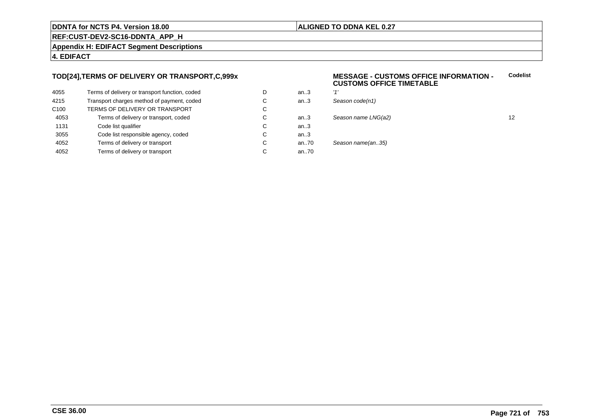### **ALIGNED TO DDNA KEL 0.27**

**REF:CUST-DEV2-SC16-DDNTA\_APP\_H**

**Appendix H: EDIFACT Segment Descriptions**

### **4. EDIFACT**

### **TOD[24],TERMS OF DELIVERY OR TRANSPORT,C,999x**

| 4055             | Terms of delivery or transport function, coded | D | an $3$ | '1'   |
|------------------|------------------------------------------------|---|--------|-------|
| 4215             | Transport charges method of payment, coded     | C | an.3   | $S_6$ |
| C <sub>100</sub> | TERMS OF DELIVERY OR TRANSPORT                 | С |        |       |
| 4053             | Terms of delivery or transport, coded          | C | an.3   | Sε    |
| 1131             | Code list qualifier                            | С | an.3   |       |
| 3055             | Code list responsible agency, coded            | С | an $3$ |       |
| 4052             | Terms of delivery or transport                 | С | an70   | Sε    |
| 4052             | Terms of delivery or transport                 | С | an70   |       |
|                  |                                                |   |        |       |

### **MESSAGE - CUSTOMS OFFICE INFORMATION - CUSTOMS OFFICE TIMETABLECodelist**

| D | an.3 | 111                 |    |
|---|------|---------------------|----|
| С | an.3 | Season code(n1)     |    |
| С |      |                     |    |
| С | an.3 | Season name LNG(a2) | 12 |
| С | an.3 |                     |    |
| С | an.3 |                     |    |
| С | an70 | Season name(an35)   |    |
| С | an70 |                     |    |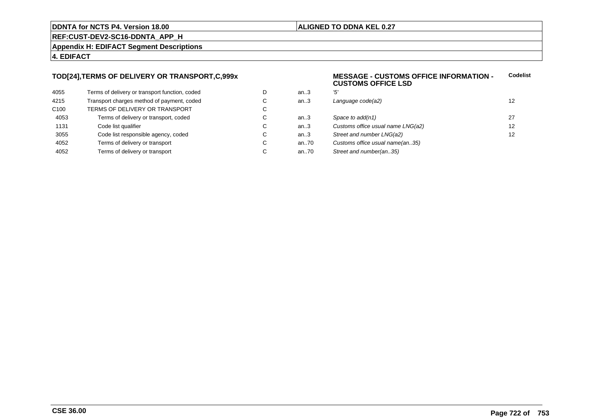### **ALIGNED TO DDNA KEL 0.27**

**REF:CUST-DEV2-SC16-DDNTA\_APP\_H**

**Appendix H: EDIFACT Segment Descriptions**

### **4. EDIFACT**

### **TOD[24],TERMS OF DELIVERY OR TRANSPORT,C,999x**

| 4055             | Terms of delivery or transport function, coded | D |
|------------------|------------------------------------------------|---|
| 4215             | Transport charges method of payment, coded     | C |
| C <sub>100</sub> | TERMS OF DELIVERY OR TRANSPORT                 | C |
| 4053             | Terms of delivery or transport, coded          | C |
| 1131             | Code list qualifier                            | C |
| 3055             | Code list responsible agency, coded            | C |
| 4052             | Terms of delivery or transport                 | C |
| 4052             | Terms of delivery or transport                 | C |

### **MESSAGE - CUSTOMS OFFICE INFORMATION - CUSTOMS OFFICE LSDCodelist**

| D  | an.3 | '5'                               |    |
|----|------|-----------------------------------|----|
| С  | an.3 | Language code(a2)                 | 12 |
| C. |      |                                   |    |
| С  | an.3 | Space to add(n1)                  | 27 |
| C  | an.3 | Customs office usual name LNG(a2) | 12 |
| C. | an.3 | Street and number LNG(a2)         | 12 |
| C. | an70 | Customs office usual name(an35)   |    |
| C  | an70 | Street and number(an35)           |    |
|    |      |                                   |    |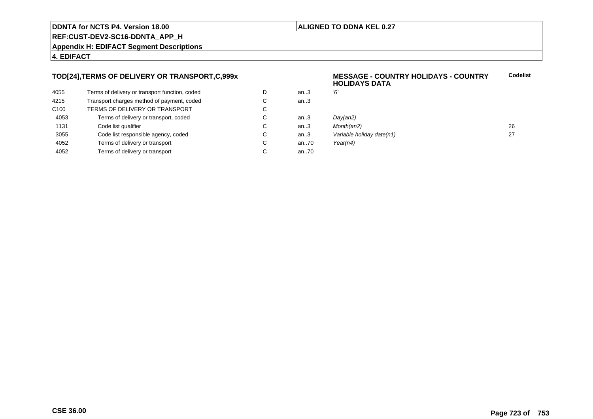### **ALIGNED TO DDNA KEL 0.27**

**REF:CUST-DEV2-SC16-DDNTA\_APP\_H**

**Appendix H: EDIFACT Segment Descriptions**

### **4. EDIFACT**

### **TOD[24],TERMS OF DELIVERY OR TRANSPORT,C,999x**

| Terms of delivery or transport function, coded | D | an.3 |
|------------------------------------------------|---|------|
| Transport charges method of payment, coded     | C | an.3 |
| TERMS OF DELIVERY OR TRANSPORT                 | C |      |
| Terms of delivery or transport, coded          | C | an.3 |
| Code list qualifier                            | C | an.3 |
| Code list responsible agency, coded            | C | an.3 |
| Terms of delivery or transport                 | C | an70 |
| Terms of delivery or transport                 | C | an70 |
|                                                |   |      |

### **MESSAGE - COUNTRY HOLIDAYS - COUNTRYHOLIDAYS DATACodelist**

| D  | an.3 | Έ                         |    |
|----|------|---------------------------|----|
| C. | an.3 |                           |    |
| C. |      |                           |    |
| С  | an.3 | Day(an2)                  |    |
| C. | an.3 | Month(an2)                | 26 |
| С  | an.3 | Variable holiday date(n1) | 27 |
| C. | an70 | Year(n4)                  |    |
|    |      |                           |    |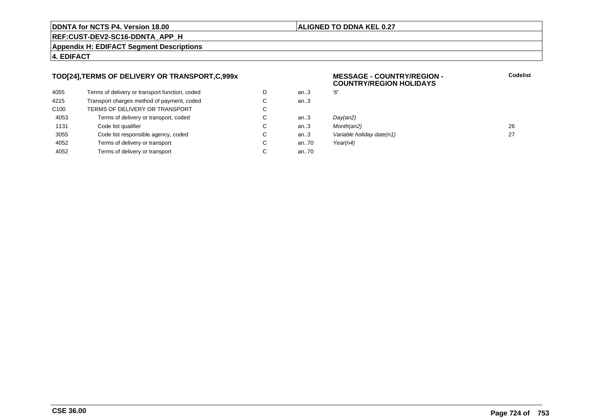### **ALIGNED TO DDNA KEL 0.27**

**REF:CUST-DEV2-SC16-DDNTA\_APP\_H**

**Appendix H: EDIFACT Segment Descriptions**

### **4. EDIFACT**

### **TOD[24],TERMS OF DELIVERY OR TRANSPORT,C,999x**

| 4055             | Terms of delivery or transport function, coded | D | an.3 | Έ, |
|------------------|------------------------------------------------|---|------|----|
| 4215             | Transport charges method of payment, coded     | С | an.3 |    |
| C <sub>100</sub> | TERMS OF DELIVERY OR TRANSPORT                 | C |      |    |
| 4053             | Terms of delivery or transport, coded          | С | an3  | Di |
| 1131             | Code list qualifier                            | C | an3  | M  |
| 3055             | Code list responsible agency, coded            | С | an.3 | Vć |
| 4052             | Terms of delivery or transport                 | С | an70 | Yε |
| 4052             | Terms of delivery or transport                 | С | an70 |    |
|                  |                                                |   |      |    |

### **MESSAGE - COUNTRY/REGION - COUNTRY/REGION HOLIDAYS**

| D  | an.3 | '6'                       |    |
|----|------|---------------------------|----|
| С  | an.3 |                           |    |
| C. |      |                           |    |
| C. | an.3 | Day(an2)                  |    |
| C. | an.3 | Month(an2)                | 26 |
| C. | an.3 | Variable holiday date(n1) | 27 |
| С  | an70 | Year(n4)                  |    |
|    |      |                           |    |

**Codelist**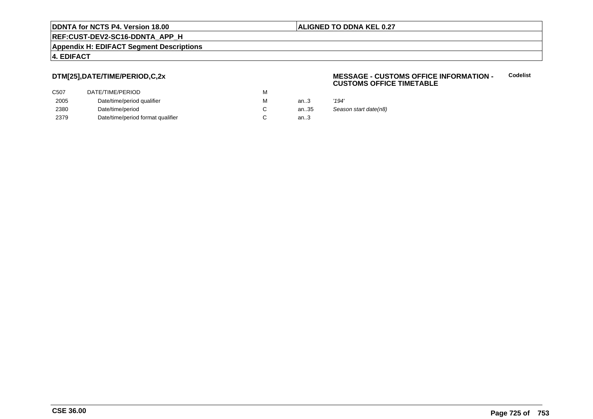### **ALIGNED TO DDNA KEL 0.27**

**REF:CUST-DEV2-SC16-DDNTA\_APP\_H**

**Appendix H: EDIFACT Segment Descriptions**

### **4. EDIFACT**

### **DTM[25],DATE/TIME/PERIOD,C,2x**

| DATE/TIME/PERIOD                  | М |      |                       |
|-----------------------------------|---|------|-----------------------|
| Date/time/period qualifier        | М | an.3 | '194'                 |
| Date/time/period                  |   | an35 | Season start date(n8) |
| Date/time/period format qualifier |   | an.3 |                       |
|                                   |   |      |                       |

### **MESSAGE - CUSTOMS OFFICE INFORMATION - CUSTOMS OFFICE TIMETABLECodelist**

|    | '194'             |
|----|-------------------|
| 35 | Season start date |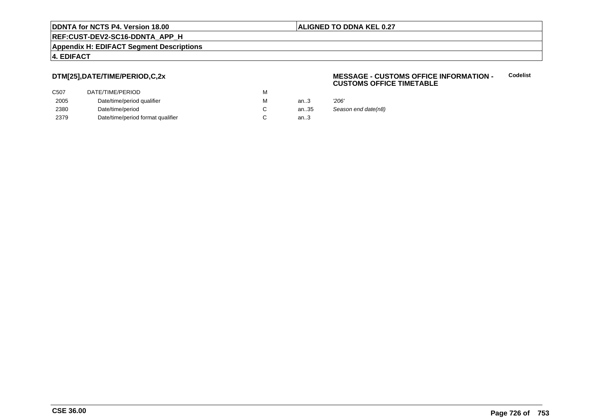### **ALIGNED TO DDNA KEL 0.27**

**REF:CUST-DEV2-SC16-DDNTA\_APP\_H**

**Appendix H: EDIFACT Segment Descriptions**

### **4. EDIFACT**

### **DTM[25],DATE/TIME/PERIOD,C,2x**

| C <sub>50</sub> 7 | DATE/TIME/PERIOD                  | м |        |                     |
|-------------------|-----------------------------------|---|--------|---------------------|
| 2005              | Date/time/period qualifier        | м | an.3   | '206'               |
| 2380              | Date/time/period                  |   | an35   | Season end date(n8) |
| 2379              | Date/time/period format qualifier |   | an $3$ |                     |

### **MESSAGE - CUSTOMS OFFICE INFORMATION - CUSTOMS OFFICE TIMETABLECodelist**

| 3  | '206'           |
|----|-----------------|
| 35 | Season end date |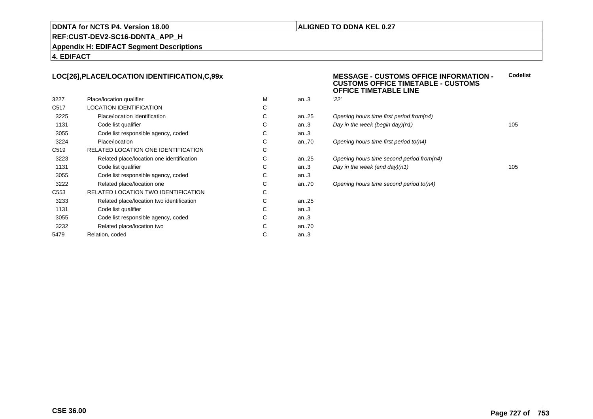### **ALIGNED TO DDNA KEL 0.27**

### **REF:CUST-DEV2-SC16-DDNTA\_APP\_H**

**Appendix H: EDIFACT Segment Descriptions**

### **4. EDIFACT**

### **LOC[26],PLACE/LOCATION IDENTIFICATION,C,99x**

| 3227             | Place/location qualifier                  | м | an.3      | 22' |
|------------------|-------------------------------------------|---|-----------|-----|
| C <sub>517</sub> | <b>LOCATION IDENTIFICATION</b>            | С |           |     |
| 3225             | Place/location identification             | С | an25      | Ope |
| 1131             | Code list qualifier                       | С | an.3      | Day |
| 3055             | Code list responsible agency, coded       | С | an.3      |     |
| 3224             | Place/location                            | С | an70      | Ope |
| C <sub>519</sub> | RELATED LOCATION ONE IDENTIFICATION       | С |           |     |
| 3223             | Related place/location one identification | С | an25      | Ope |
| 1131             | Code list qualifier                       | С | an.3      | Day |
| 3055             | Code list responsible agency, coded       | С | an.3      |     |
| 3222             | Related place/location one                | С | an70      | Ope |
| C <sub>553</sub> | RELATED LOCATION TWO IDENTIFICATION       | С |           |     |
| 3233             | Related place/location two identification | С | an. $.25$ |     |
| 1131             | Code list qualifier                       | C | an.3      |     |
| 3055             | Code list responsible agency, coded       | С | an.3      |     |
| 3232             | Related place/location two                | С | an70      |     |
| 5479             | Relation, coded                           | С | an.3      |     |
|                  |                                           |   |           |     |

### **MESSAGE - CUSTOMS OFFICE INFORMATION - CUSTOMS OFFICE TIMETABLE - CUSTOMSOFFICE TIMETABLE LINECodelist**

| м | an3    | "22"                                      |     |
|---|--------|-------------------------------------------|-----|
| С |        |                                           |     |
| С | an25   | Opening hours time first period from(n4)  |     |
| С | an.3   | Day in the week (begin day) $(n1)$        | 105 |
| С | an $3$ |                                           |     |
| С | an70   | Opening hours time first period to(n4)    |     |
| С |        |                                           |     |
| С | an25   | Opening hours time second period from(n4) |     |
| С | an $3$ | Day in the week (end day) $(n1)$          | 105 |
| С | an.3   |                                           |     |
| С | an70   | Opening hours time second period to(n4)   |     |
| С |        |                                           |     |
|   |        |                                           |     |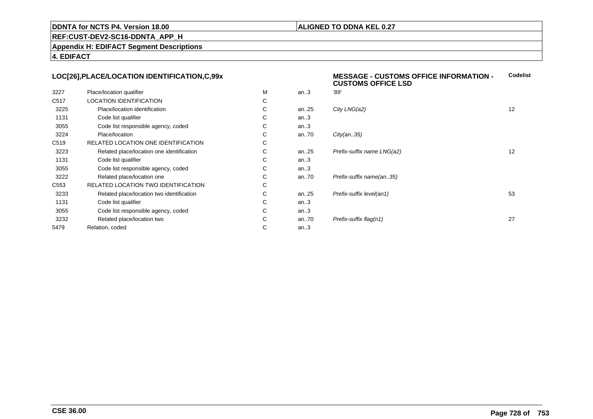### **ALIGNED TO DDNA KEL 0.27**

**REF:CUST-DEV2-SC16-DDNTA\_APP\_H**

**Appendix H: EDIFACT Segment Descriptions**

**4. EDIFACT**

### **LOC[26],PLACE/LOCATION IDENTIFICATION,C,99x**

|                  | LOC[26],PLACE/LOCATION IDENTIFICATION,C,99x |   |          | <b>MESSAGE - CUSTOMS OFFICE INFORMATION -</b><br><b>CUSTOMS OFFICE LSD</b> |    |  |
|------------------|---------------------------------------------|---|----------|----------------------------------------------------------------------------|----|--|
| 3227             | Place/location qualifier                    | M | an.3     | '89'                                                                       |    |  |
| C517             | <b>LOCATION IDENTIFICATION</b>              | С |          |                                                                            |    |  |
| 3225             | Place/location identification               | C | an $.25$ | City LNG(a2)                                                               | 12 |  |
| 1131             | Code list qualifier                         | С | an.3     |                                                                            |    |  |
| 3055             | Code list responsible agency, coded         | С | an.3     |                                                                            |    |  |
| 3224             | Place/location                              | C | an70     | City(an35)                                                                 |    |  |
| C519             | RELATED LOCATION ONE IDENTIFICATION         | С |          |                                                                            |    |  |
| 3223             | Related place/location one identification   | С | an $.25$ | Prefix-suffix name LNG(a2)                                                 | 12 |  |
| 1131             | Code list qualifier                         | С | an.3     |                                                                            |    |  |
| 3055             | Code list responsible agency, coded         | С | an.3     |                                                                            |    |  |
| 3222             | Related place/location one                  | С | an70     | Prefix-suffix name(an35)                                                   |    |  |
| C <sub>553</sub> | <b>RELATED LOCATION TWO IDENTIFICATION</b>  | С |          |                                                                            |    |  |
| 3233             | Related place/location two identification   | С | an $.25$ | Prefix-suffix level(an1)                                                   | 53 |  |
| 1131             | Code list qualifier                         | С | an.3     |                                                                            |    |  |
| 3055             | Code list responsible agency, coded         | С | an.3     |                                                                            |    |  |
| 3232             | Related place/location two                  | С | an70     | Prefix-suffix flag(n1)                                                     | 27 |  |
| 5479             | Relation, coded                             | С | an.3     |                                                                            |    |  |
|                  |                                             |   |          |                                                                            |    |  |

**Codelist**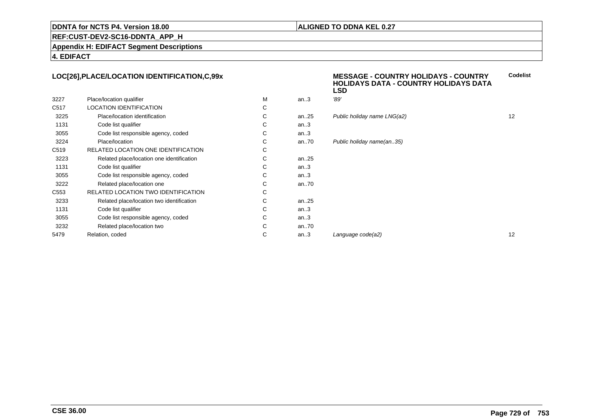### **ALIGNED TO DDNA KEL 0.27**

**REF:CUST-DEV2-SC16-DDNTA\_APP\_H**

**Appendix H: EDIFACT Segment Descriptions**

**4. EDIFACT**

### **LOC[26],PLACE/LOCATION IDENTIFICATION,C,99x**

|                  |                                            |   |          | LSD                         |    |
|------------------|--------------------------------------------|---|----------|-----------------------------|----|
| 3227             | Place/location qualifier                   | M | an.3     | '89'                        |    |
| C517             | <b>LOCATION IDENTIFICATION</b>             | C |          |                             |    |
| 3225             | Place/location identification              | С | an $.25$ | Public holiday name LNG(a2) | 12 |
| 1131             | Code list qualifier                        | С | an.3     |                             |    |
| 3055             | Code list responsible agency, coded        | С | an.3     |                             |    |
| 3224             | Place/location                             | С | an $.70$ | Public holiday name(an35)   |    |
| C519             | RELATED LOCATION ONE IDENTIFICATION        | С |          |                             |    |
| 3223             | Related place/location one identification  | С | an $.25$ |                             |    |
| 1131             | Code list qualifier                        | С | an.3     |                             |    |
| 3055             | Code list responsible agency, coded        | С | an.3     |                             |    |
| 3222             | Related place/location one                 | С | an70     |                             |    |
| C <sub>553</sub> | <b>RELATED LOCATION TWO IDENTIFICATION</b> | C |          |                             |    |
| 3233             | Related place/location two identification  | С | an $.25$ |                             |    |
| 1131             | Code list qualifier                        | С | an.3     |                             |    |
| 3055             | Code list responsible agency, coded        | С | an.3     |                             |    |
| 3232             | Related place/location two                 | С | an $.70$ |                             |    |
| 5479             | Relation, coded                            | C | an.3     | Language code(a2)           | 12 |
|                  |                                            |   |          |                             |    |

# **MESSAGE - COUNTRY HOLIDAYS - COUNTRY HOLIDAYS DATA - COUNTRY HOLIDAYS DATALSDCodelist**day name  $LNG(a2)$  12 day name(an..35)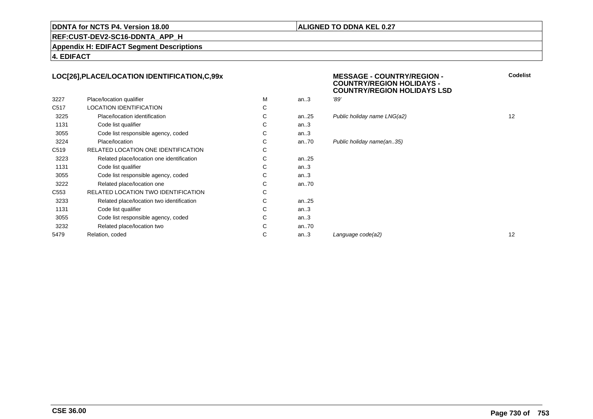### **ALIGNED TO DDNA KEL 0.27**

**REF:CUST-DEV2-SC16-DDNTA\_APP\_H**

**Appendix H: EDIFACT Segment Descriptions**

**4. EDIFACT**

### **LOC[26],PLACE/LOCATION IDENTIFICATION,C,99x**

| 3227             | Place/location qualifier                   | м | an.3      | '89' |
|------------------|--------------------------------------------|---|-----------|------|
| C <sub>517</sub> | <b>LOCATION IDENTIFICATION</b>             | С |           |      |
| 3225             | Place/location identification              | С | an.25     | Put  |
| 1131             | Code list qualifier                        | С | an.3      |      |
| 3055             | Code list responsible agency, coded        | C | an.3      |      |
| 3224             | Place/location                             | С | an70      | Pul  |
| C <sub>519</sub> | RELATED LOCATION ONE IDENTIFICATION        | С |           |      |
| 3223             | Related place/location one identification  | С | an. $.25$ |      |
| 1131             | Code list qualifier                        | С | an.3      |      |
| 3055             | Code list responsible agency, coded        | С | an.3      |      |
| 3222             | Related place/location one                 | С | an70      |      |
| C <sub>553</sub> | <b>RELATED LOCATION TWO IDENTIFICATION</b> | С |           |      |
| 3233             | Related place/location two identification  | С | an25      |      |
| 1131             | Code list qualifier                        | С | an.3      |      |
| 3055             | Code list responsible agency, coded        | С | an.3      |      |
| 3232             | Related place/location two                 | С | an70      |      |
| 5479             | Relation, coded                            | С | an.3      | Lar  |
|                  |                                            |   |           |      |

 **MESSAGE - COUNTRY/REGION - COUNTRY/REGION HOLIDAYS - COUNTRY/REGION HOLIDAYS LSDCodelist**

| . |      |                             |    |
|---|------|-----------------------------|----|
| С |      |                             |    |
| С | an25 | Public holiday name LNG(a2) | 12 |
| С | an.3 |                             |    |
| С | an.3 |                             |    |
| С | an70 | Public holiday name(an35)   |    |
| С |      |                             |    |
| С | an25 |                             |    |
| С | an.3 |                             |    |
| С | an.3 |                             |    |
| С | an70 |                             |    |
| С |      |                             |    |
| С | an25 |                             |    |
| С | an.3 |                             |    |
| С | an.3 |                             |    |
| С | an70 |                             |    |
| С | an.3 | Language code(a2)           | 12 |
|   |      |                             |    |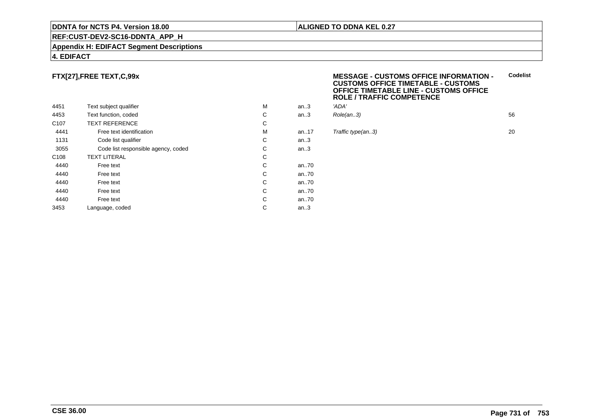### **REF:CUST-DEV2-SC16-DDNTA\_APP\_H**

### **Appendix H: EDIFACT Segment Descriptions**

### **4. EDIFACT**

### **FTX[27],FREE TEXT,C,99x**

|                  |                                     |   |         | שטח     |
|------------------|-------------------------------------|---|---------|---------|
| 4451             | Text subject qualifier              | M | an.3    | 'ADA'   |
| 4453             | Text function, coded                | С | an.3    | Role(   |
| C <sub>107</sub> | <b>TEXT REFERENCE</b>               | C |         |         |
| 4441             | Free text identification            | M | an.17   | Traffio |
| 1131             | Code list qualifier                 | С | an.3    |         |
| 3055             | Code list responsible agency, coded | С | an.3    |         |
| C <sub>108</sub> | <b>TEXT LITERAL</b>                 | С |         |         |
| 4440             | Free text                           | С | an70    |         |
| 4440             | Free text                           | С | an70    |         |
| 4440             | Free text                           | С | an70    |         |
| 4440             | Free text                           | С | an70    |         |
| 4440             | Free text                           | С | an70    |         |
| 3453             | Language, coded                     | С | an $.3$ |         |
|                  |                                     |   |         |         |

### **MESSAGE - CUSTOMS OFFICE INFORMATION - CUSTOMS OFFICE TIMETABLE - CUSTOMS OFFICE TIMETABLE LINE - CUSTOMS OFFICEROLE / TRAFFIC COMPETENCECodelist**

| М  | an3 | 'ADA'         |    |
|----|-----|---------------|----|
| C. |     | an3 Role(an3) | 56 |
| C  |     |               |    |

### **Traffic type(an..3)** 20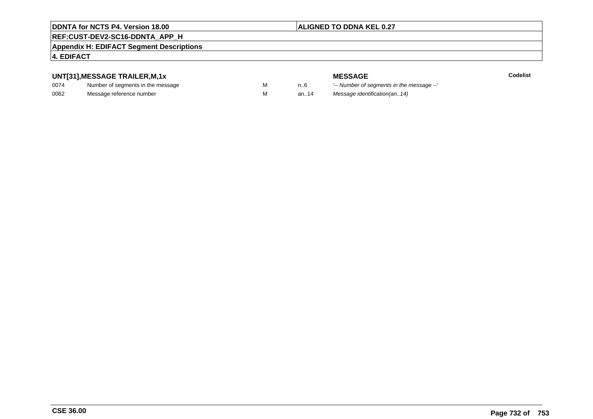### **ALIGNED TO DDNA KEL 0.27**

### **REF:CUST-DEV2-SC16-DDNTA\_APP\_H**

### **Appendix H: EDIFACT Segment Descriptions**

### **4. EDIFACT**

### **UNT[31],MESSAGE TRAILER,M,1x**

| 0074 | Number of segments in the message |  |
|------|-----------------------------------|--|
| 0062 | Message reference number          |  |

**MESSAGE**<br>M n.6 <sup>'--</sup> Number of s **Codelist** n..6 '-- Number of segments in the message --' M an..14 Message identification(an..14)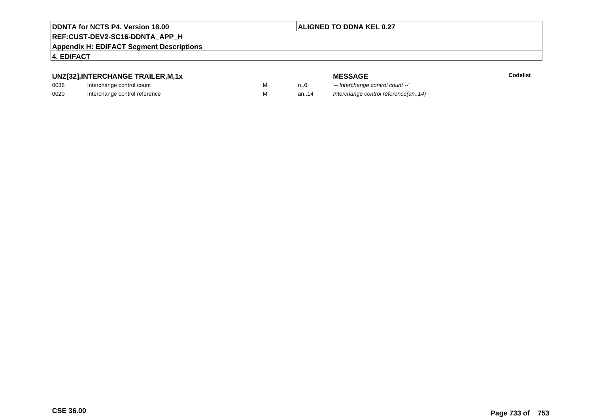### **ALIGNED TO DDNA KEL 0.27**

### **REF:CUST-DEV2-SC16-DDNTA\_APP\_H**

**Appendix H: EDIFACT Segment Descriptions**

### **4. EDIFACT**

### **UNZ[32],INTERCHANGE TRAILER,M,1x**

| 0036 | Interchange control count     |  |
|------|-------------------------------|--|
| 0020 | Interchange control reference |  |

**MESSAGE**<br>M n.6 <sup>1-</sup>- Interchange **E** m..6 <sup>1</sup>-- Interchange control count --'<br>
M an..14 Interchange control reference a Interchange control reference(an..14)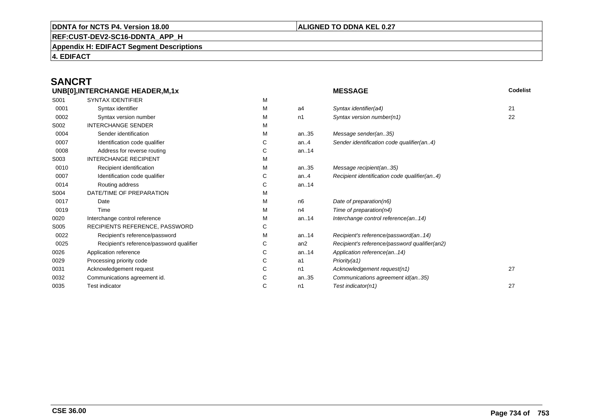### **ALIGNED TO DDNA KEL 0.27**

**REF:CUST-DEV2-SC16-DDNTA\_APP\_H**

**Appendix H: EDIFACT Segment Descriptions**

**4. EDIFACT**

### **SANCRTUNB[0],INTERCHANGE HEADER,M,1x**

|      | UNB[0], INTERCHANGE HEADER, M, 1x        |   |         | <b>MESSAGE</b>                                |    |
|------|------------------------------------------|---|---------|-----------------------------------------------|----|
| S001 | <b>SYNTAX IDENTIFIER</b>                 | М |         |                                               |    |
| 0001 | Syntax identifier                        | М | a4      | Syntax identifier(a4)                         | 21 |
| 0002 | Syntax version number                    | М | n1      | Syntax version number(n1)                     | 22 |
| S002 | <b>INTERCHANGE SENDER</b>                | М |         |                                               |    |
| 0004 | Sender identification                    | М | an35    | Message sender(an35)                          |    |
| 0007 | Identification code qualifier            | С | an. $4$ | Sender identification code qualifier(an4)     |    |
| 0008 | Address for reverse routing              | С | an14    |                                               |    |
| S003 | <b>INTERCHANGE RECIPIENT</b>             | М |         |                                               |    |
| 0010 | Recipient identification                 | М | an35    | Message recipient(an35)                       |    |
| 0007 | Identification code qualifier            | С | an. $4$ | Recipient identification code qualifier(an4)  |    |
| 0014 | Routing address                          | С | an14    |                                               |    |
| S004 | DATE/TIME OF PREPARATION                 | М |         |                                               |    |
| 0017 | Date                                     | М | n6      | Date of preparation(n6)                       |    |
| 0019 | Time                                     | М | n4      | Time of preparation( $n4$ )                   |    |
| 0020 | Interchange control reference            | М | an14    | Interchange control reference(an14)           |    |
| S005 | RECIPIENTS REFERENCE, PASSWORD           | С |         |                                               |    |
| 0022 | Recipient's reference/password           | М | an14    | Recipient's reference/password(an14)          |    |
| 0025 | Recipient's reference/password qualifier | С | an2     | Recipient's reference/password qualifier(an2) |    |
| 0026 | Application reference                    | С | an14    | Application reference(an14)                   |    |
| 0029 | Processing priority code                 | С | a1      | Priority(a1)                                  |    |
| 0031 | Acknowledgement request                  | С | n1      | Acknowledgement request(n1)                   | 27 |
| 0032 | Communications agreement id.             | С | an35    | Communications agreement id(an35)             |    |
| 0035 | <b>Test indicator</b>                    | С | n1      | Test indicator(n1)                            | 27 |
|      |                                          |   |         |                                               |    |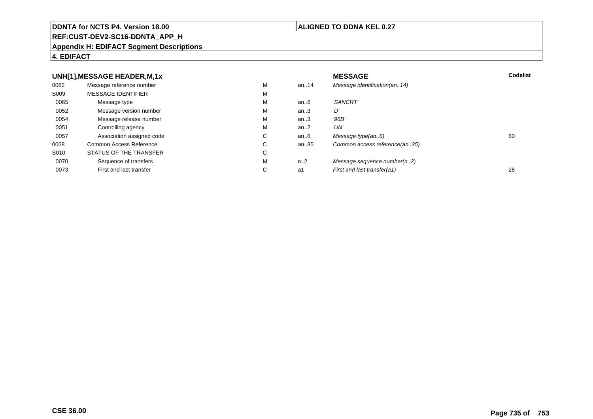### **REF:CUST-DEV2-SC16-DDNTA\_APP\_H**

### **Appendix H: EDIFACT Segment Descriptions**

### **4. EDIFACT**

### **UNH[1],MESSAGE HEADER,M,1xx** MESSAGE **Codelist** Codelist 0062 Message reference number <sup>M</sup> an..14 Message identification(an..14) S009 MESSAGE IDENTIFIERR M M 0065Message type Message version number and the Message version number and the Message of Message Message Message M an..6 'SANCRT'<br>an..3 'D' 0052 Message version number <sup>M</sup>an..3 '*D'*<br>an..3 '96*B'* 0054Message release number Message release number Message of the Message of the Message of Message of Message of Me<br>
Message release number of Message of Message of Message of Message of Message of Message of Message of Messag an..3 '96B'<br>an..2 'UN' 0051Controlling agency<br>
Association assigned code<br>
C an $.2$ <br>an $.6$ 0057Association assigned code **C** C<br>
mmon Access Reference **C** C an..6 Message type(an..6)<br>an..35 Common access reference(an..35) 0068Common Access Reference C<br>
STATUS OF THE TRANSFER
C Common access reference(an..35) S010 STATUS OF THE TRANSFERR C 0070Sequence of transfers M<br>
First and last transfer C n..2 Message sequence number(n..2)<br>a1 First and last transfer(a1) 0073First and last transfer First and last transfer(a1) 28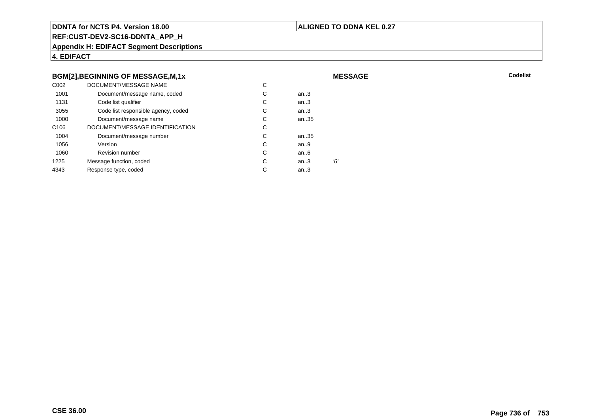### **ALIGNED TO DDNA KEL 0.27**

**MESSAGE**

**REF:CUST-DEV2-SC16-DDNTA\_APP\_H**

**Appendix H: EDIFACT Segment Descriptions**

**4. EDIFACT**

### **BGM[2],BEGINNING OF MESSAGE,M,1x**

| C <sub>0</sub> 02 | DOCUMENT/MESSAGE NAME               | С |        |     |
|-------------------|-------------------------------------|---|--------|-----|
| 1001              | Document/message name, coded        | С | an.3   |     |
| 1131              | Code list qualifier                 | C | an.3   |     |
| 3055              | Code list responsible agency, coded | С | an.3   |     |
| 1000              | Document/message name               | C | an35   |     |
| C <sub>106</sub>  | DOCUMENT/MESSAGE IDENTIFICATION     | С |        |     |
| 1004              | Document/message number             | С | an35   |     |
| 1056              | Version                             | С | an.9   |     |
| 1060              | <b>Revision number</b>              | С | an.6   |     |
| 1225              | Message function, coded             | C | an $3$ | '6' |
| 4343              | Response type, coded                | C | an.3   |     |
|                   |                                     |   |        |     |

**Codelist** Codelist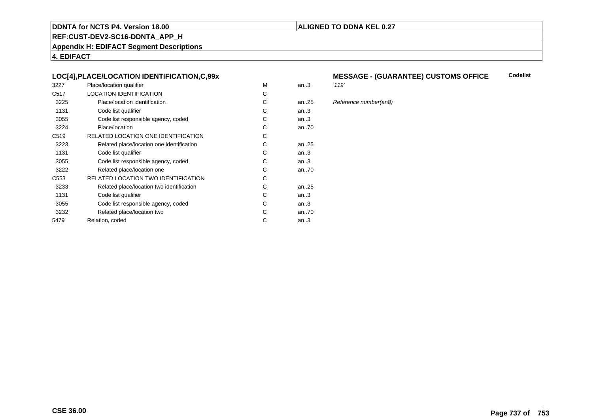### **ALIGNED TO DDNA KEL 0.27**

**REF:CUST-DEV2-SC16-DDNTA\_APP\_H**

**Appendix H: EDIFACT Segment Descriptions**

**4. EDIFACT**

### **LOC[4],PLACE/LOCATION IDENTIFICATION,C,99x**

| 3227             | Place/location qualifier                   | M | an.3   | '119' |
|------------------|--------------------------------------------|---|--------|-------|
| C <sub>517</sub> | <b>LOCATION IDENTIFICATION</b>             | C |        |       |
| 3225             | Place/location identification              | С | an25   | Refe  |
| 1131             | Code list qualifier                        | C | an.3   |       |
| 3055             | Code list responsible agency, coded        | С | an.3   |       |
| 3224             | Place/location                             | С | an70   |       |
| C <sub>519</sub> | RELATED LOCATION ONE IDENTIFICATION        | С |        |       |
| 3223             | Related place/location one identification  | C | an25   |       |
| 1131             | Code list qualifier                        | C | an.3   |       |
| 3055             | Code list responsible agency, coded        | С | an.3   |       |
| 3222             | Related place/location one                 | С | an70   |       |
| C553             | <b>RELATED LOCATION TWO IDENTIFICATION</b> | С |        |       |
| 3233             | Related place/location two identification  | C | an25   |       |
| 1131             | Code list qualifier                        | C | an.3   |       |
| 3055             | Code list responsible agency, coded        | С | an.3   |       |
| 3232             | Related place/location two                 | C | an70   |       |
| 5479             | Relation, coded                            | C | an $3$ |       |
|                  |                                            |   |        |       |

### **MESSAGE - (GUARANTEE) CUSTOMS OFFICE Codelist**

5 Reference number(an8)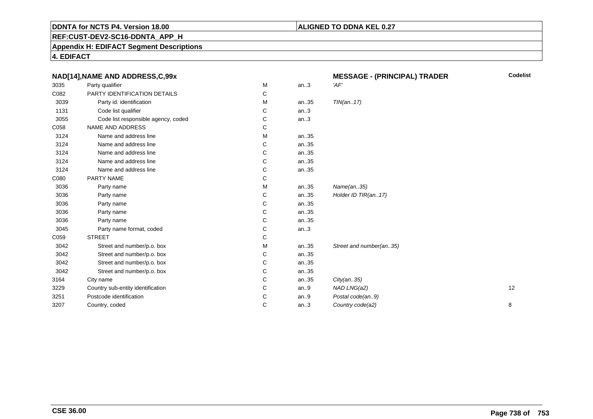### **ALIGNED TO DDNA KEL 0.27**

**REF:CUST-DEV2-SC16-DDNTA\_APP\_H**

**Appendix H: EDIFACT Segment Descriptions**

**4. EDIFACT**

|      | NAD[14], NAME AND ADDRESS, C, 99x   |   |         | <b>MESSAGE - (PRINCIPAL) TRADER</b> | <b>Codelist</b> |  |
|------|-------------------------------------|---|---------|-------------------------------------|-----------------|--|
| 3035 | Party qualifier                     | M | an.3    | 'AF'                                |                 |  |
| C082 | PARTY IDENTIFICATION DETAILS        | С |         |                                     |                 |  |
| 3039 | Party id. identification            | М | an35    | TIN(an17)                           |                 |  |
| 1131 | Code list qualifier                 | С | an.3    |                                     |                 |  |
| 3055 | Code list responsible agency, coded | С | an.3    |                                     |                 |  |
| C058 | NAME AND ADDRESS                    | С |         |                                     |                 |  |
| 3124 | Name and address line               | M | an35    |                                     |                 |  |
| 3124 | Name and address line               | С | an35    |                                     |                 |  |
| 3124 | Name and address line               | С | an35    |                                     |                 |  |
| 3124 | Name and address line               | C | an35    |                                     |                 |  |
| 3124 | Name and address line               | С | an35    |                                     |                 |  |
| C080 | PARTY NAME                          | С |         |                                     |                 |  |
| 3036 | Party name                          | M | an35    | Name(an35)                          |                 |  |
| 3036 | Party name                          | С | an35    | Holder ID TIR(an17)                 |                 |  |
| 3036 | Party name                          | C | an35    |                                     |                 |  |
| 3036 | Party name                          | C | an35    |                                     |                 |  |
| 3036 | Party name                          | С | an35    |                                     |                 |  |
| 3045 | Party name format, coded            | С | an.3    |                                     |                 |  |
| C059 | <b>STREET</b>                       | С |         |                                     |                 |  |
| 3042 | Street and number/p.o. box          | М | an35    | Street and number(an35)             |                 |  |
| 3042 | Street and number/p.o. box          | С | an35    |                                     |                 |  |
| 3042 | Street and number/p.o. box          | С | an35    |                                     |                 |  |
| 3042 | Street and number/p.o. box          | С | an35    |                                     |                 |  |
| 3164 | City name                           | C | an35    | City(an35)                          |                 |  |
| 3229 | Country sub-entity identification   | C | an.9    | NAD LNG(a2)                         | 12              |  |
| 3251 | Postcode identification             | C | an. $9$ | Postal code(an9)                    |                 |  |
| 3207 | Country, coded                      | C | an.3    | Country code(a2)                    | 8               |  |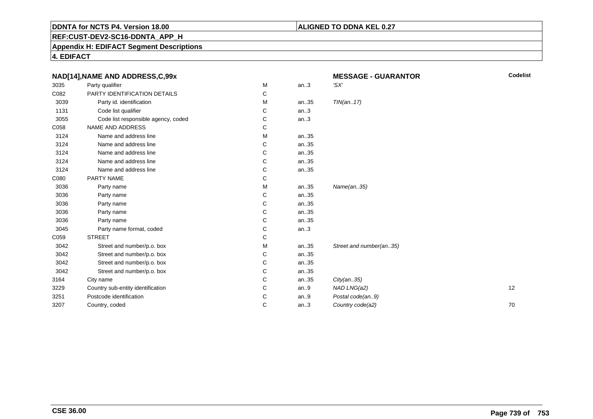### **ALIGNED TO DDNA KEL 0.27**

**REF:CUST-DEV2-SC16-DDNTA\_APP\_H**

**Appendix H: EDIFACT Segment Descriptions**

**4. EDIFACT**

|      | NAD[14], NAME AND ADDRESS, C, 99x   |   |      | <b>MESSAGE - GUARANTOR</b> | <b>Codelist</b> |
|------|-------------------------------------|---|------|----------------------------|-----------------|
| 3035 | Party qualifier                     | M | an.3 | 'SX'                       |                 |
| C082 | PARTY IDENTIFICATION DETAILS        | С |      |                            |                 |
| 3039 | Party id. identification            | М | an35 | TIN(an17)                  |                 |
| 1131 | Code list qualifier                 | С | an.3 |                            |                 |
| 3055 | Code list responsible agency, coded | С | an.3 |                            |                 |
| C058 | NAME AND ADDRESS                    | С |      |                            |                 |
| 3124 | Name and address line               | М | an35 |                            |                 |
| 3124 | Name and address line               | С | an35 |                            |                 |
| 3124 | Name and address line               | С | an35 |                            |                 |
| 3124 | Name and address line               | C | an35 |                            |                 |
| 3124 | Name and address line               | С | an35 |                            |                 |
| C080 | PARTY NAME                          | C |      |                            |                 |
| 3036 | Party name                          | M | an35 | Name(an35)                 |                 |
| 3036 | Party name                          | С | an35 |                            |                 |
| 3036 | Party name                          | C | an35 |                            |                 |
| 3036 | Party name                          | C | an35 |                            |                 |
| 3036 | Party name                          | С | an35 |                            |                 |
| 3045 | Party name format, coded            | С | an.3 |                            |                 |
| C059 | <b>STREET</b>                       | C |      |                            |                 |
| 3042 | Street and number/p.o. box          | М | an35 | Street and number(an35)    |                 |
| 3042 | Street and number/p.o. box          | С | an35 |                            |                 |
| 3042 | Street and number/p.o. box          | C | an35 |                            |                 |
| 3042 | Street and number/p.o. box          | С | an35 |                            |                 |
| 3164 | City name                           | C | an35 | City(an35)                 |                 |
| 3229 | Country sub-entity identification   | C | an.9 | NAD LNG(a2)                | 12              |
| 3251 | Postcode identification             | C | an.9 | Postal code(an9)           |                 |
| 3207 | Country, coded                      | C | an.3 | Country code(a2)           | 70              |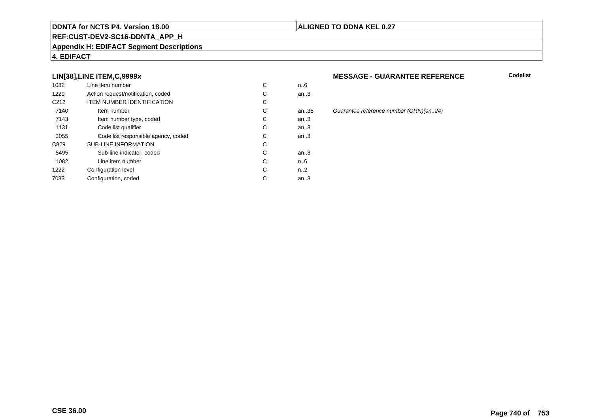### **REF:CUST-DEV2-SC16-DDNTA\_APP\_H**

### **Appendix H: EDIFACT Segment Descriptions**

### **4. EDIFACT**

### **LIN[38],LINE ITEM,C,9999x**

|                  | Line item number                    |   |      |
|------------------|-------------------------------------|---|------|
| 1082             |                                     | С | n6   |
| 1229             | Action request/notification, coded  | С | an.3 |
| C <sub>212</sub> | <b>ITEM NUMBER IDENTIFICATION</b>   | С |      |
| 7140             | Item number                         | С | an.3 |
| 7143             | Item number type, coded             | С | an.3 |
| 1131             | Code list qualifier                 | С | an.3 |
| 3055             | Code list responsible agency, coded | C | an.3 |
| C829             | <b>SUB-LINE INFORMATION</b>         | С |      |
| 5495             | Sub-line indicator, coded           | C | an.3 |
| 1082             | Line item number                    | C | n6   |
| 1222             | Configuration level                 | C | n2   |
| 7083             | Configuration, coded                | С | an.3 |
|                  |                                     |   |      |

### **MESSAGE - GUARANTEE REFERENCE**

**Codelist**

an.35 Guarantee reference number (GRN)(an..24)<br>.3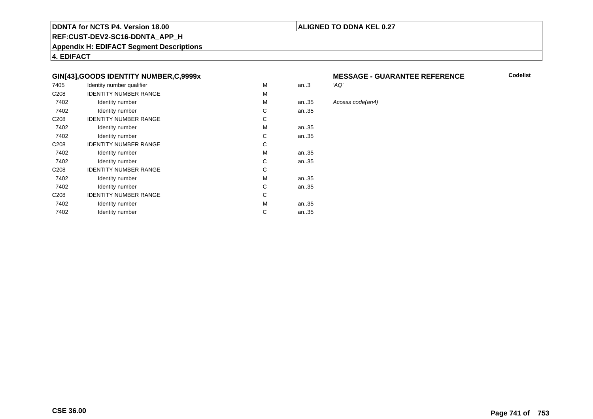### **ALIGNED TO DDNA KEL 0.27**

**REF:CUST-DEV2-SC16-DDNTA\_APP\_H**

**Appendix H: EDIFACT Segment Descriptions**

**4. EDIFACT**

### **GIN[43],GOODS IDENTITY NUMBER,C,9999x**

| 7405             | Identity number qualifier    | M | an.3 | 'AQ' |
|------------------|------------------------------|---|------|------|
| C <sub>208</sub> | <b>IDENTITY NUMBER RANGE</b> | M |      |      |
| 7402             | Identity number              | M | an35 | Асс  |
| 7402             | Identity number              | C | an35 |      |
| C <sub>208</sub> | <b>IDENTITY NUMBER RANGE</b> | C |      |      |
| 7402             | Identity number              | M | an35 |      |
| 7402             | Identity number              | C | an35 |      |
| C <sub>208</sub> | <b>IDENTITY NUMBER RANGE</b> | C |      |      |
| 7402             | Identity number              | M | an35 |      |
| 7402             | Identity number              | C | an35 |      |
| C <sub>208</sub> | <b>IDENTITY NUMBER RANGE</b> | C |      |      |
| 7402             | Identity number              | M | an35 |      |
| 7402             | Identity number              | C | an35 |      |
| C <sub>208</sub> | <b>IDENTITY NUMBER RANGE</b> | C |      |      |
| 7402             | Identity number              | M | an35 |      |
| 7402             | Identity number              | C | an35 |      |
|                  |                              |   |      |      |

## **MESSAGE - GUARANTEE REFERENCE**<br>'AQ'

**Codelist**

### Access code(an4)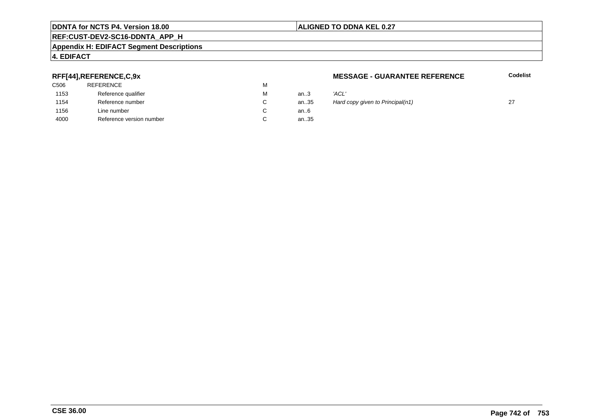### **REF:CUST-DEV2-SC16-DDNTA\_APP\_H**

### **Appendix H: EDIFACT Segment Descriptions**

### **4. EDIFACT**

### **RFF[44],REFERENCE,C,9x**

| C506 | <b>REFERENCE</b>         | м |      |       |
|------|--------------------------|---|------|-------|
| 1153 | Reference qualifier      | М | an.3 | 'ACL' |
| 1154 | Reference number         | С | an35 | Hard  |
| 1156 | Line number              | C | an6  |       |
| 4000 | Reference version number |   | an35 |       |

### **MESSAGE - GUARANTEE REFERENCE**

**Codelist**

| м | an.3 | 'ACL'                            |    |
|---|------|----------------------------------|----|
| С | an35 | Hard copy given to Principal(n1) | 27 |
| C | an6  |                                  |    |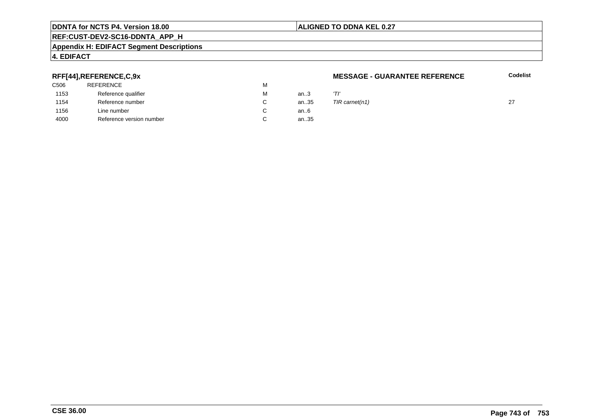### **ALIGNED TO DDNA KEL 0.27**

## **REF:CUST-DEV2-SC16-DDNTA\_APP\_H**

### **Appendix H: EDIFACT Segment Descriptions**

### **4. EDIFACT**

### **RFF[44],REFERENCE,C,9x**

| C506 | <b>REFERENCE</b>         | м |      |     |
|------|--------------------------|---|------|-----|
| 1153 | Reference qualifier      | м | an3  | 'Tl |
| 1154 | Reference number         | С | an35 | TIF |
| 1156 | Line number              |   | an6  |     |
| 4000 | Reference version number |   | an35 |     |
|      |                          |   |      |     |

### **MESSAGE - GUARANTEE REFERENCE**

**Codelist**

| M  | an3 |                                 |  |
|----|-----|---------------------------------|--|
| C. |     | an35 $TIR \, \text{carnet}(n1)$ |  |
| C. | an6 |                                 |  |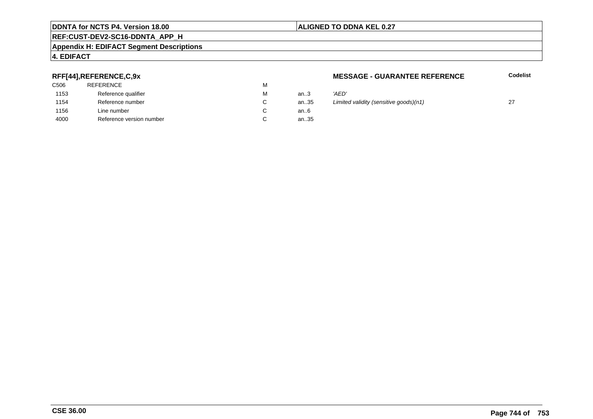### **REF:CUST-DEV2-SC16-DDNTA\_APP\_H**

### **Appendix H: EDIFACT Segment Descriptions**

### **4. EDIFACT**

### **RFF[44],REFERENCE,C,9x**

| C506 | <b>REFERENCE</b>         | М |      |        |
|------|--------------------------|---|------|--------|
| 1153 | Reference qualifier      | М | an.3 | 'AED'  |
| 1154 | Reference number         | C | an35 | Limite |
| 1156 | Line number              | С | an6  |        |
| 4000 | Reference version number | С | an35 |        |
|      |                          |   |      |        |

### **MESSAGE - GUARANTEE REFERENCE**

**Codelist**

| М      | an3  | 'AED'                                  |    |
|--------|------|----------------------------------------|----|
| C      | an35 | Limited validity (sensitive goods)(n1) | 27 |
| C.     | an6  |                                        |    |
| $\sim$ | $ -$ |                                        |    |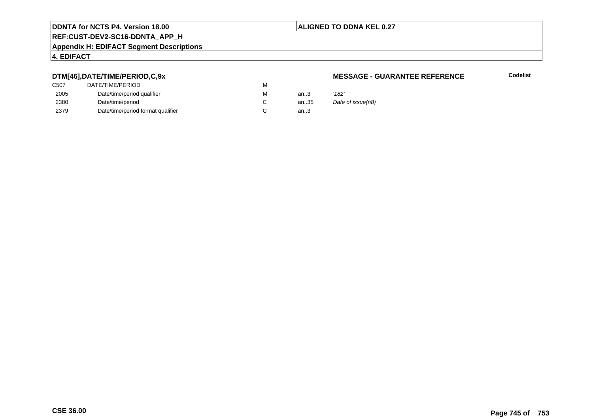### **ALIGNED TO DDNA KEL 0.27**

### **REF:CUST-DEV2-SC16-DDNTA\_APP\_H**

### **Appendix H: EDIFACT Segment Descriptions**

### **4. EDIFACT**

### **DTM[46],DATE/TIME/PERIOD,C,9x**

| DATE/TIME/PERIOD                  | М |          |       |
|-----------------------------------|---|----------|-------|
| Date/time/period qualifier        | М | an $3$   | '182' |
| Date/time/period                  |   | an $.35$ | Date  |
| Date/time/period format qualifier |   | an.3     |       |
|                                   |   |          |       |

### **MESSAGE - GUARANTEE REFERENCE**

**Codelist**

Date of issue(n8)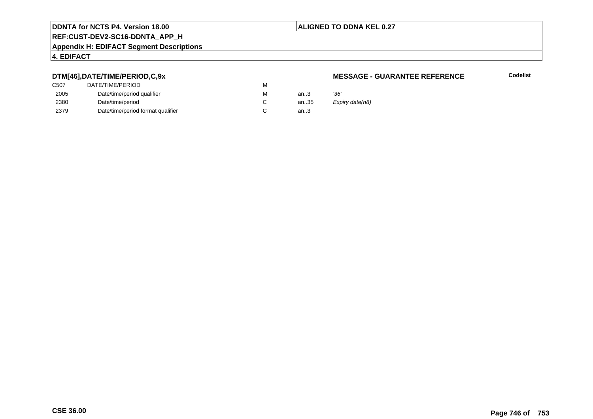### **ALIGNED TO DDNA KEL 0.27**

## **REF:CUST-DEV2-SC16-DDNTA\_APP\_H**

### **Appendix H: EDIFACT Segment Descriptions**

### **4. EDIFACT**

### **DTM[46],DATE/TIME/PERIOD,C,9x**

| DATE/TIME/PERIOD                  | м |       |      |
|-----------------------------------|---|-------|------|
| Date/time/period qualifier        | м | an.3  | '36' |
| Date/time/period                  |   | an.35 | Exp  |
| Date/time/period format qualifier |   | an.3  |      |
|                                   |   |       |      |

### **MESSAGE - GUARANTEE REFERENCE**

**Codelist**

Expiry date(n8)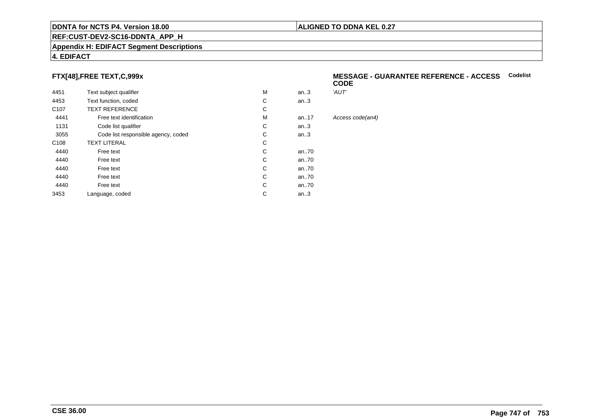### **REF:CUST-DEV2-SC16-DDNTA\_APP\_H**

### **Appendix H: EDIFACT Segment Descriptions**

### **4. EDIFACT**

### **FTX[48],FREE TEXT,C,999x**

| 4451             | Text subject qualifier              | М | an.3     | 'AUT'            |
|------------------|-------------------------------------|---|----------|------------------|
| 4453             | Text function, coded                | C | an.3     |                  |
| C <sub>107</sub> | <b>TEXT REFERENCE</b>               | С |          |                  |
| 4441             | Free text identification            | М | an. $17$ | Access code(an4) |
| 1131             | Code list qualifier                 | C | an.3     |                  |
| 3055             | Code list responsible agency, coded | С | an.3     |                  |
| C <sub>108</sub> | <b>TEXT LITERAL</b>                 | С |          |                  |
| 4440             | Free text                           | C | an70     |                  |
| 4440             | Free text                           | C | an70     |                  |
| 4440             | Free text                           | C | an70     |                  |
| 4440             | Free text                           | C | an70     |                  |
| 4440             | Free text                           | C | an70     |                  |
| 3453             | Language, coded                     | С | an.3     |                  |
|                  |                                     |   |          |                  |

### **MESSAGE - GUARANTEE REFERENCE - ACCESSCodelistCODE**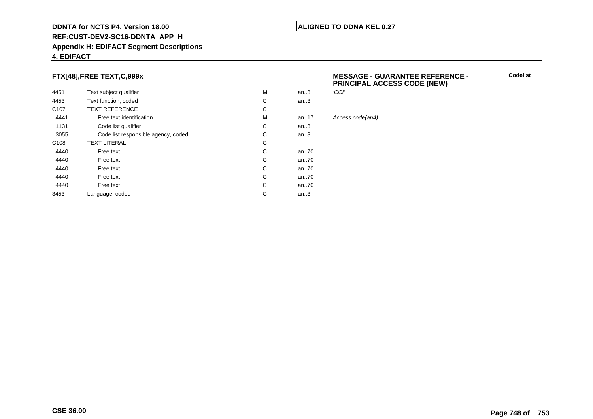### **REF:CUST-DEV2-SC16-DDNTA\_APP\_H**

### **Appendix H: EDIFACT Segment Descriptions**

### **4. EDIFACT**

### **FTX[48],FREE TEXT,C,999x**

| 4451             | Text subject qualifier              | M | 'CCI'<br>an.3 |      |
|------------------|-------------------------------------|---|---------------|------|
| 4453             | Text function, coded                | C | an.3          |      |
| C <sub>107</sub> | <b>TEXT REFERENCE</b>               | C |               |      |
| 4441             | Free text identification            | M | an. $.17$     | Acce |
| 1131             | Code list qualifier                 | C | an.3          |      |
| 3055             | Code list responsible agency, coded | C | an.3          |      |
| C <sub>108</sub> | <b>TEXT LITERAL</b>                 | С |               |      |
| 4440             | Free text                           | C | an70          |      |
| 4440             | Free text                           | C | an70          |      |
| 4440             | Free text                           | C | an70          |      |
| 4440             | Free text                           | C | an70          |      |
| 4440             | Free text                           | C | an70          |      |
| 3453             | Language, coded                     | С | an.3          |      |
|                  |                                     |   |               |      |

### **MESSAGE - GUARANTEE REFERENCE - PRINCIPAL ACCESS CODE (NEW)**

**Codelist**

Access code(an4)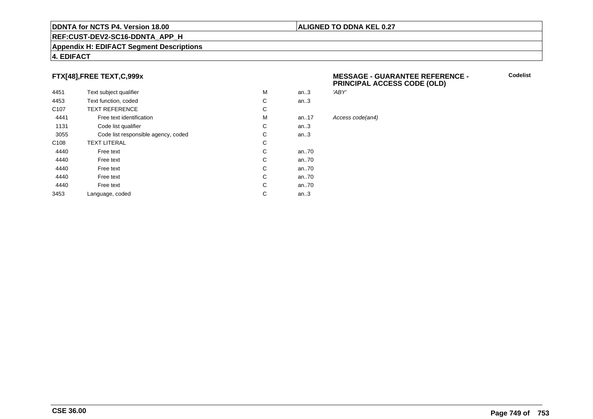### **REF:CUST-DEV2-SC16-DDNTA\_APP\_H**

### **Appendix H: EDIFACT Segment Descriptions**

### **4. EDIFACT**

### **FTX[48],FREE TEXT,C,999x**

| 4451             | Text subject qualifier              | M | an.3      |
|------------------|-------------------------------------|---|-----------|
| 4453             | Text function, coded                | C | an $3$    |
| C <sub>107</sub> | <b>TEXT REFERENCE</b>               | С |           |
| 4441             | Free text identification            | M | an. $.17$ |
| 1131             | Code list qualifier                 | C | an.3      |
| 3055             | Code list responsible agency, coded | С | an.3      |
| C <sub>108</sub> | <b>TEXT LITERAL</b>                 | C |           |
| 4440             | Free text                           | C | an70      |
| 4440             | Free text                           | C | an70      |
| 4440             | Free text                           | C | an70      |
| 4440             | Free text                           | C | an70      |
| 4440             | Free text                           | C | an70      |
| 3453             | Language, coded                     | С | an $.3$   |

### **MESSAGE - GUARANTEE REFERENCE - PRINCIPAL ACCESS CODE (OLD)**

**Codelist**

'ABY'

Access code(an4)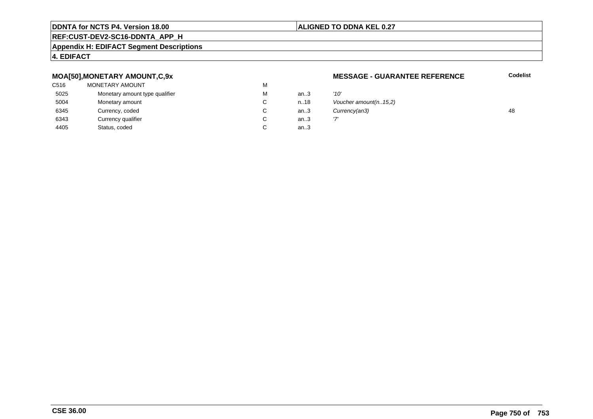### **ALIGNED TO DDNA KEL 0.27**

### **REF:CUST-DEV2-SC16-DDNTA\_APP\_H**

### **Appendix H: EDIFACT Segment Descriptions**

### **4. EDIFACT**

### **MOA[50],MONETARY AMOUNT,C,9x**

| C516 | MONETARY AMOUNT                | М |      |      |
|------|--------------------------------|---|------|------|
| 5025 | Monetary amount type qualifier | М | an.3 | '10' |
| 5004 | Monetary amount                | C | n.18 | Vοι  |
| 6345 | Currency, coded                | C | an.3 | Cuı  |
| 6343 | Currency qualifier             | С | an.3 | י7י  |
| 4405 | Status, coded                  |   | an.3 |      |

### **MESSAGE - GUARANTEE REFERENCE**

**Codelist**

| М | an.3    | '10'                    |    |
|---|---------|-------------------------|----|
| С | n.18    | Voucher amount(n. 15,2) |    |
| С | an $3$  | Currency(an3)           | 48 |
| С | an.3    |                         |    |
| С | an $.3$ |                         |    |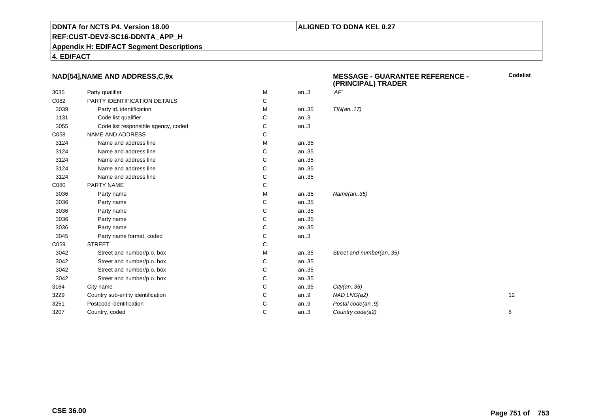### **ALIGNED TO DDNA KEL 0.27**

**REF:CUST-DEV2-SC16-DDNTA\_APP\_H**

**Appendix H: EDIFACT Segment Descriptions**

**4. EDIFACT**

### **NAD[54],NAME AND ADDRESS,C,9x**

| <b>NAD[54],NAME AND ADDRESS,C,9x</b> |                                     |   |      | <b>MESSAGE - GUARANTEE REFERENCE -</b><br>(PRINCIPAL) TRADER |    |
|--------------------------------------|-------------------------------------|---|------|--------------------------------------------------------------|----|
| 3035                                 | Party qualifier                     | M | an.3 | 'AF'                                                         |    |
| C082                                 | PARTY IDENTIFICATION DETAILS        | С |      |                                                              |    |
| 3039                                 | Party id. identification            | M | an35 | TIN(an17)                                                    |    |
| 1131                                 | Code list qualifier                 | С | an.3 |                                                              |    |
| 3055                                 | Code list responsible agency, coded | С | an.3 |                                                              |    |
| C058                                 | NAME AND ADDRESS                    | С |      |                                                              |    |
| 3124                                 | Name and address line               | М | an35 |                                                              |    |
| 3124                                 | Name and address line               | С | an35 |                                                              |    |
| 3124                                 | Name and address line               | С | an35 |                                                              |    |
| 3124                                 | Name and address line               | С | an35 |                                                              |    |
| 3124                                 | Name and address line               | С | an35 |                                                              |    |
| C080                                 | PARTY NAME                          | С |      |                                                              |    |
| 3036                                 | Party name                          | М | an35 | Name(an35)                                                   |    |
| 3036                                 | Party name                          | С | an35 |                                                              |    |
| 3036                                 | Party name                          | С | an35 |                                                              |    |
| 3036                                 | Party name                          | С | an35 |                                                              |    |
| 3036                                 | Party name                          | C | an35 |                                                              |    |
| 3045                                 | Party name format, coded            | С | an.3 |                                                              |    |
| C059                                 | <b>STREET</b>                       | С |      |                                                              |    |
| 3042                                 | Street and number/p.o. box          | M | an35 | Street and number(an35)                                      |    |
| 3042                                 | Street and number/p.o. box          | С | an35 |                                                              |    |
| 3042                                 | Street and number/p.o. box          | С | an35 |                                                              |    |
| 3042                                 | Street and number/p.o. box          | С | an35 |                                                              |    |
| 3164                                 | City name                           | С | an35 | City(an35)                                                   |    |
| 3229                                 | Country sub-entity identification   | С | an.9 | NAD LNG(a2)                                                  | 12 |
| 3251                                 | Postcode identification             | С | an.9 | Postal code(an9)                                             |    |
| 3207                                 | Country, coded                      | С | an.3 | Country code(a2)                                             | 8  |
|                                      |                                     |   |      |                                                              |    |

**Codelist**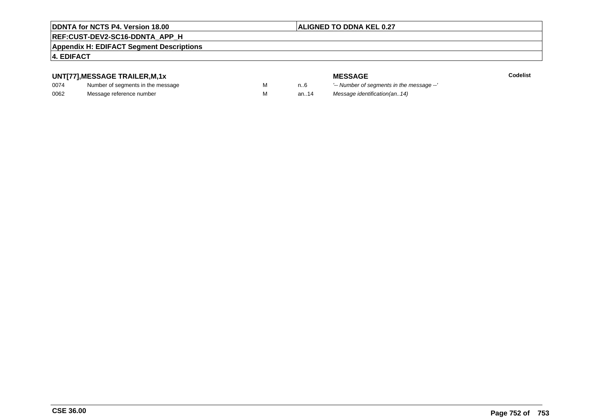### **ALIGNED TO DDNA KEL 0.27**

### **REF:CUST-DEV2-SC16-DDNTA\_APP\_H**

### **Appendix H: EDIFACT Segment Descriptions**

### **4. EDIFACT**

### **UNT[77],MESSAGE TRAILER,M,1x**

| 0074 | Number of segments in the message |  |
|------|-----------------------------------|--|
| 0062 | Message reference number          |  |

**MESSAGE**<br>M n.6 <sup>'--</sup> Number of s **Codelist** n..6 '-- Number of segments in the message --' M an..14 Message identification(an..14)